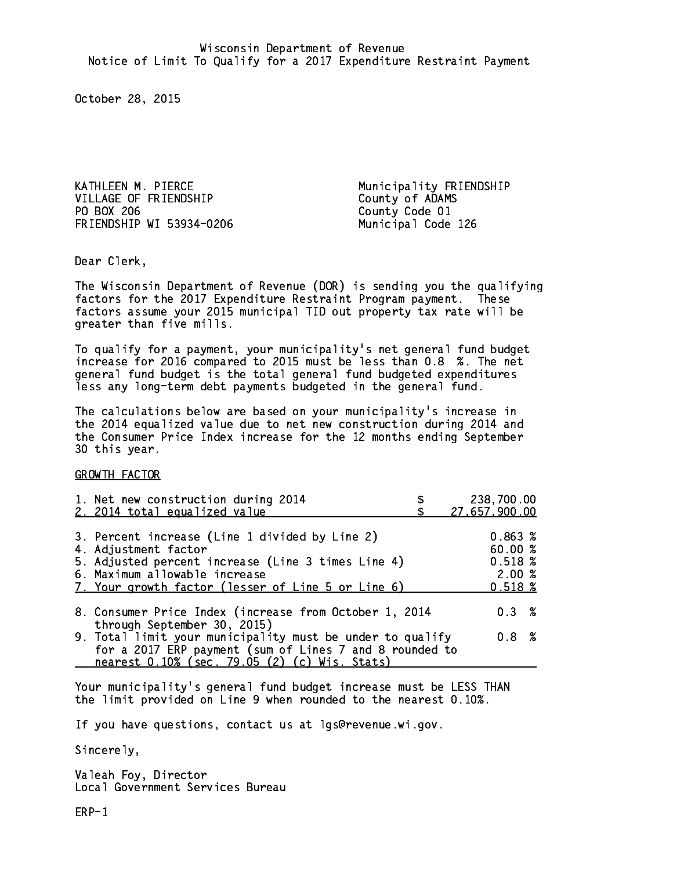KATHLEEN M. PIERCE Municipality FRIENDSHIP VILLAGE OF FRIENDSHIP County of ADAMS PO BOX 206 FRIENDSHIP WI 53934-0206 Municipal Code 126

County Code 01

Dear Clerk. Dear Clerk,

The Wisconsin Department of Revenue (DOR) is sending you the qualifying factors for the 2017 Expenditure Restraint Program payment. These factors assume your 2015 municipal TID out property tax rate will be greater than five mills.

 To qualify for a payment, your municipality's net general fund budget increase for 2016 compared to 2015 must be less than 0.8 %. The net general fund budget is the total general fund budgeted expenditures less any long-term debt payments budgeted in the general fund.

The calculations below are based on your municipality's increase in the 2014 equalized value due to net new construction during 2014 and the Consumer Price Index increase for the 12 months ending September 30 this year. 30 this year.

GROWTH FACTOR

| 1. Net new construction during 2014<br>2. 2014 total equalized value                                                                                                                                                | 238,700.00<br>27,657,900.00                          |
|---------------------------------------------------------------------------------------------------------------------------------------------------------------------------------------------------------------------|------------------------------------------------------|
| 3. Percent increase (Line 1 divided by Line 2)<br>4. Adjustment factor<br>5. Adjusted percent increase (Line 3 times Line 4)<br>6. Maximum allowable increase<br>7. Your growth factor (lesser of Line 5 or Line 6) | 0.863%<br>60.00%<br>0.518~%<br>2.00%<br>$0.518 \; %$ |
| 8. Consumer Price Index (increase from October 1, 2014                                                                                                                                                              | $0.3 \t%$                                            |
| through September 30, 2015)<br>9. Total limit your municipality must be under to qualify<br>for a 2017 ERP payment (sum of Lines 7 and 8 rounded to<br>nearest 0.10% (sec. 79.05 (2) (c) Wis. Stats)                | 0.8 %                                                |

Your municipality's general fund budget increase must be LESS THAN the limit provided on Line 9 when rounded to the nearest 0.10%.

If you have questions, contact us at lgs@revenue.wi.gov.

Sincerely,

Valeah Foy, Director Local Government Services Bureau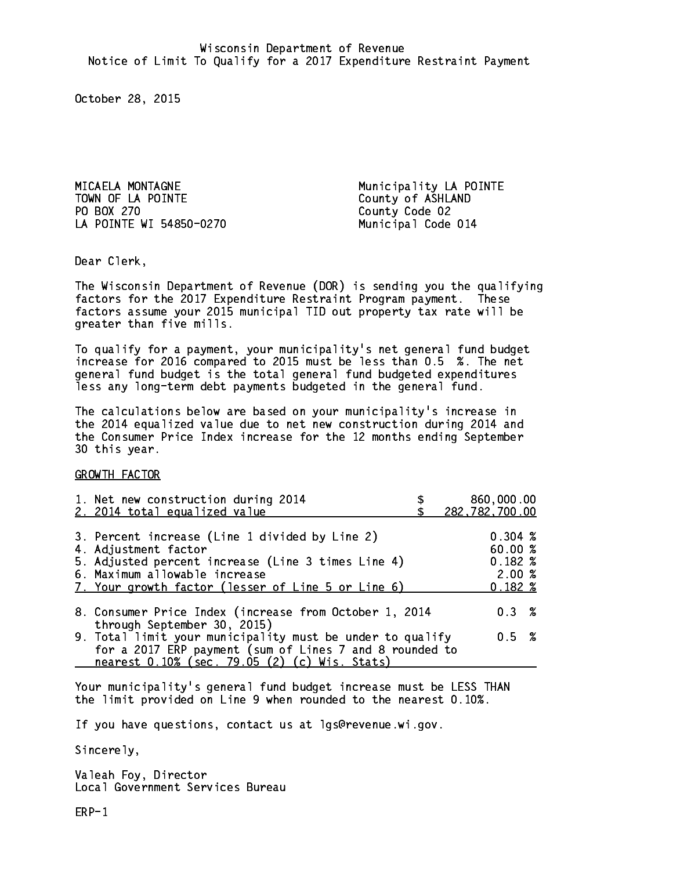MICAELA MONTAGNE **Municipality LA POINTE** TOWN OF LA POINTE County of ASHLAND PO BOX 270 LA POINTE WI 54850-0270 Municipal Code 014

County Code 02

Dear Clerk. Dear Clerk,

The Wisconsin Department of Revenue (DOR) is sending you the qualifying factors for the 2017 Expenditure Restraint Program payment. These factors assume your 2015 municipal TID out property tax rate will be greater than five mills.

 To qualify for a payment, your municipality's net general fund budget increase for 2016 compared to 2015 must be less than 0.5 %. The net general fund budget is the total general fund budgeted expenditures less any long-term debt payments budgeted in the general fund.

The calculations below are based on your municipality's increase in the 2014 equalized value due to net new construction during 2014 and the Consumer Price Index increase for the 12 months ending September 30 this year. 30 this year.

GROWTH FACTOR

| 1. Net new construction during 2014<br>2. 2014 total equalized value                                                                                                                                                | 860,000.00<br>282,782,700.00                          |
|---------------------------------------------------------------------------------------------------------------------------------------------------------------------------------------------------------------------|-------------------------------------------------------|
| 3. Percent increase (Line 1 divided by Line 2)<br>4. Adjustment factor<br>5. Adjusted percent increase (Line 3 times Line 4)<br>6. Maximum allowable increase<br>7. Your growth factor (lesser of Line 5 or Line 6) | $0.304 \; %$<br>60.00%<br>$0.182*$<br>2.00%<br>0.182% |
| 8. Consumer Price Index (increase from October 1, 2014<br>through September 30, 2015)                                                                                                                               | 0.3%                                                  |
| 9. Total limit your municipality must be under to qualify<br>for a 2017 ERP payment (sum of Lines 7 and 8 rounded to<br>nearest 0.10% (sec. 79.05 (2) (c) Wis. Stats)                                               | 0.5 %                                                 |

Your municipality's general fund budget increase must be LESS THAN the limit provided on Line 9 when rounded to the nearest 0.10%.

If you have questions, contact us at lgs@revenue.wi.gov.

Sincerely,

Valeah Foy, Director Local Government Services Bureau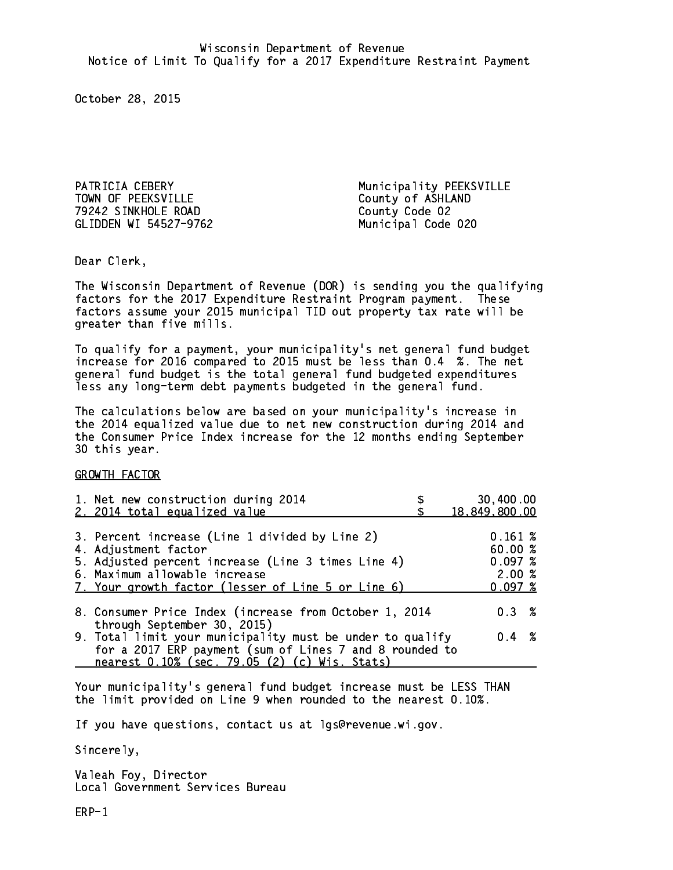TOWN OF PEEKSVILLE County of ASHLAND 79242 SINKHOLE ROAD County Code 02 GLIDDEN WI 54527-9762

PATRICIA CEBERY Municipality PEEKSVILLE Municipal Code 020

Dear Clerk. Dear Clerk,

The Wisconsin Department of Revenue (DOR) is sending you the qualifying factors for the 2017 Expenditure Restraint Program payment. These factors assume your 2015 municipal TID out property tax rate will be greater than five mills.

 To qualify for a payment, your municipality's net general fund budget increase for 2016 compared to 2015 must be less than 0.4 %. The net general fund budget is the total general fund budgeted expenditures less any long-term debt payments budgeted in the general fund.

The calculations below are based on your municipality's increase in the 2014 equalized value due to net new construction during 2014 and the Consumer Price Index increase for the 12 months ending September 30 this year. 30 this year.

GROWTH FACTOR

| 1. Net new construction during 2014<br>2. 2014 total equalized value                                                                                                                                                | 30,400.00<br>18,849,800.00                       |
|---------------------------------------------------------------------------------------------------------------------------------------------------------------------------------------------------------------------|--------------------------------------------------|
| 3. Percent increase (Line 1 divided by Line 2)<br>4. Adjustment factor<br>5. Adjusted percent increase (Line 3 times Line 4)<br>6. Maximum allowable increase<br>7. Your growth factor (lesser of Line 5 or Line 6) | 0.161~%<br>60.00%<br>0.097~%<br>2.00%<br>0.097~% |
| 8. Consumer Price Index (increase from October 1, 2014                                                                                                                                                              | 0.3%                                             |
| through September 30, 2015)<br>9. Total limit your municipality must be under to qualify<br>for a 2017 ERP payment (sum of Lines 7 and 8 rounded to<br>nearest 0.10% (sec. 79.05 (2) (c) Wis. Stats)                | $0.4 \t%$                                        |

Your municipality's general fund budget increase must be LESS THAN the limit provided on Line 9 when rounded to the nearest 0.10%.

If you have questions, contact us at lgs@revenue.wi.gov.

Sincerely,

Valeah Foy, Director Local Government Services Bureau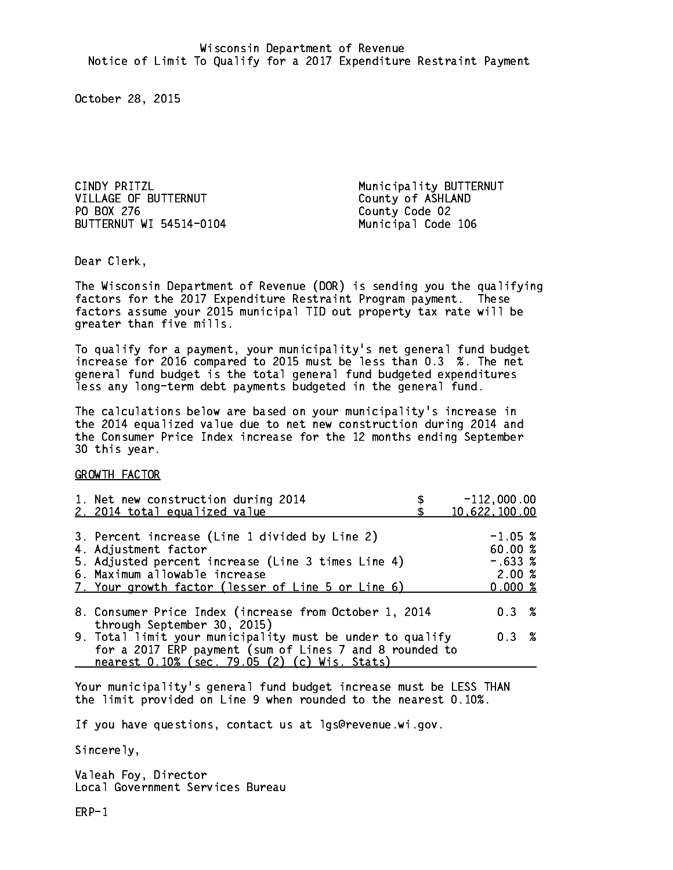CINDY PRITZL **Municipality BUTTERNUT** VILLAGE OF BUTTERNUT County of ASHLAND PO BOX 276 BUTTERNUT WI 54514-0104 Municipal Code 106

County Code 02

Dear Clerk. Dear Clerk,

The Wisconsin Department of Revenue (DOR) is sending you the qualifying factors for the 2017 Expenditure Restraint Program payment. These factors assume your 2015 municipal TID out property tax rate will be greater than five mills.

 To qualify for a payment, your municipality's net general fund budget increase for 2016 compared to 2015 must be less than 0.3 %. The net general fund budget is the total general fund budgeted expenditures less any long-term debt payments budgeted in the general fund.

The calculations below are based on your municipality's increase in the 2014 equalized value due to net new construction during 2014 and the Consumer Price Index increase for the 12 months ending September 30 this year. 30 this year.

GROWTH FACTOR

| 1. Net new construction during 2014<br>2. 2014 total equalized value                                                                                                                                                | $-112,000.00$<br>10,622,100.00                      |
|---------------------------------------------------------------------------------------------------------------------------------------------------------------------------------------------------------------------|-----------------------------------------------------|
| 3. Percent increase (Line 1 divided by Line 2)<br>4. Adjustment factor<br>5. Adjusted percent increase (Line 3 times Line 4)<br>6. Maximum allowable increase<br>7. Your growth factor (lesser of Line 5 or Line 6) | $-1.05~%$<br>60.00%<br>$-.633%$<br>2.00%<br>0.000 % |
| 8. Consumer Price Index (increase from October 1, 2014<br>through September 30, 2015)                                                                                                                               | 0.3%                                                |
| 9. Total limit your municipality must be under to qualify<br>for a 2017 ERP payment (sum of Lines 7 and 8 rounded to<br>nearest 0.10% (sec. 79.05 (2) (c) Wis. Stats)                                               | 0.3%                                                |

Your municipality's general fund budget increase must be LESS THAN the limit provided on Line 9 when rounded to the nearest 0.10%.

If you have questions, contact us at lgs@revenue.wi.gov.

Sincerely,

Valeah Foy, Director Local Government Services Bureau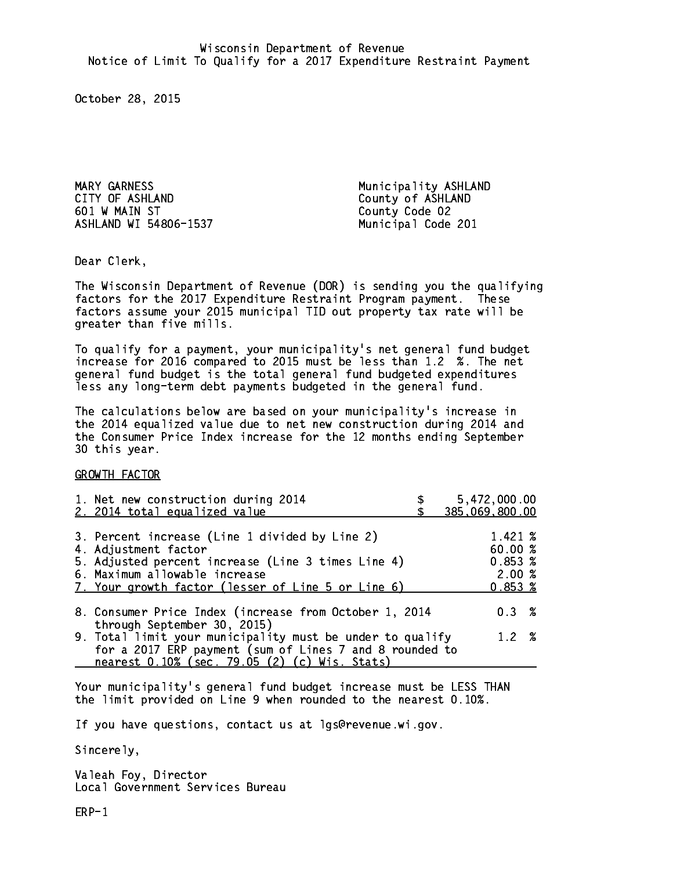MARY GARNESS Municipality ASHLAND CITY OF ASHLAND COUNTY OF ASHLAND 601 W MAIN ST County Code 02 ASHLAND WI 54806-1537 Municipal Code 201

Dear Clerk. Dear Clerk,

The Wisconsin Department of Revenue (DOR) is sending you the qualifying factors for the 2017 Expenditure Restraint Program payment. These factors assume your 2015 municipal TID out property tax rate will be greater than five mills.

 To qualify for a payment, your municipality's net general fund budget increase for 2016 compared to 2015 must be less than 1.2 %. The net general fund budget is the total general fund budgeted expenditures less any long-term debt payments budgeted in the general fund.

The calculations below are based on your municipality's increase in the 2014 equalized value due to net new construction during 2014 and the Consumer Price Index increase for the 12 months ending September 30 this year. 30 this year.

GROWTH FACTOR

| 1. Net new construction during 2014<br>2. 2014 total equalized value                                                                                                                                                | 5,472,000.00<br>385,069,800.00                         |
|---------------------------------------------------------------------------------------------------------------------------------------------------------------------------------------------------------------------|--------------------------------------------------------|
| 3. Percent increase (Line 1 divided by Line 2)<br>4. Adjustment factor<br>5. Adjusted percent increase (Line 3 times Line 4)<br>6. Maximum allowable increase<br>7. Your growth factor (lesser of Line 5 or Line 6) | 1.421 %<br>60.00%<br>$0.853*$<br>2.00%<br>$0.853 \; %$ |
| 8. Consumer Price Index (increase from October 1, 2014                                                                                                                                                              | $0.3 \t%$                                              |
| through September 30, 2015)<br>9. Total limit your municipality must be under to qualify<br>for a 2017 ERP payment (sum of Lines 7 and 8 rounded to<br>nearest 0.10% (sec. 79.05 (2) (c) Wis. Stats)                | $1.2 \t%$                                              |

Your municipality's general fund budget increase must be LESS THAN the limit provided on Line 9 when rounded to the nearest 0.10%.

If you have questions, contact us at lgs@revenue.wi.gov.

Sincerely,

Valeah Foy, Director Local Government Services Bureau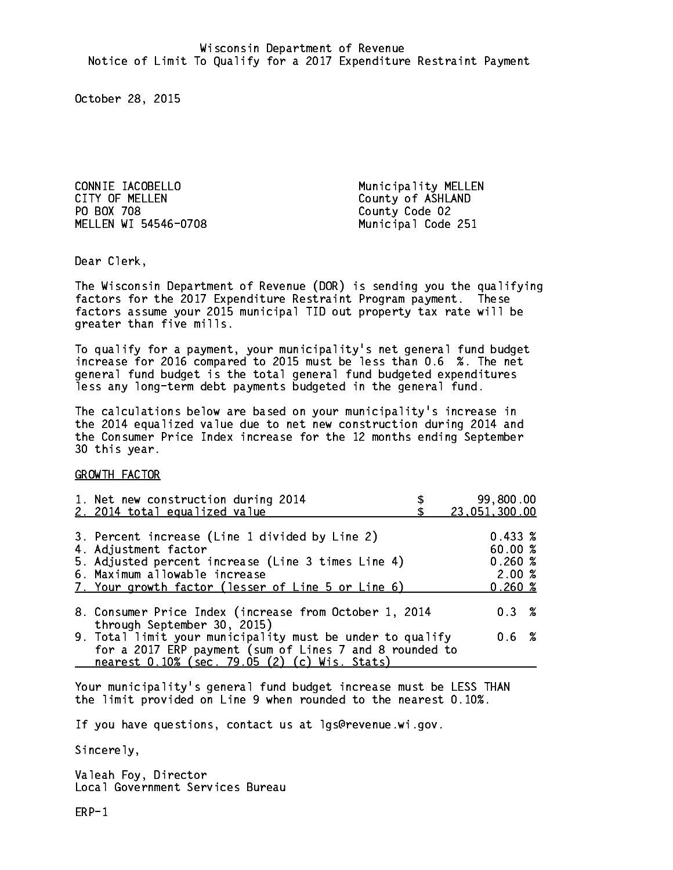CONNIE IACOBELLO Municipality MELLEN CITY OF MELLEN COUNTY OF ASHLAND PO BOX 708 County Code 02 MELLEN WI 54546-0708 Municipal Code 251

Dear Clerk. Dear Clerk,

The Wisconsin Department of Revenue (DOR) is sending you the qualifying factors for the 2017 Expenditure Restraint Program payment. These factors assume your 2015 municipal TID out property tax rate will be greater than five mills.

 To qualify for a payment, your municipality's net general fund budget increase for 2016 compared to 2015 must be less than 0.6 %. The net general fund budget is the total general fund budgeted expenditures less any long-term debt payments budgeted in the general fund.

The calculations below are based on your municipality's increase in the 2014 equalized value due to net new construction during 2014 and the Consumer Price Index increase for the 12 months ending September 30 this year. 30 this year.

GROWTH FACTOR

| 1. Net new construction during 2014                                                                                                                                                                                 | 99,800.00                                            |
|---------------------------------------------------------------------------------------------------------------------------------------------------------------------------------------------------------------------|------------------------------------------------------|
| 2. 2014 total equalized value                                                                                                                                                                                       | 23,051,300.00                                        |
| 3. Percent increase (Line 1 divided by Line 2)<br>4. Adjustment factor<br>5. Adjusted percent increase (Line 3 times Line 4)<br>6. Maximum allowable increase<br>7. Your growth factor (lesser of Line 5 or Line 6) | $0.433 \;$ %<br>60.00%<br>0.260~%<br>2.00%<br>0.260% |
| 8. Consumer Price Index (increase from October 1, 2014                                                                                                                                                              | $0.3 \t%$                                            |
| through September 30, 2015)<br>9. Total limit your municipality must be under to qualify<br>for a 2017 ERP payment (sum of Lines 7 and 8 rounded to<br>nearest 0.10% (sec. 79.05 (2) (c) Wis. Stats)                | 0.6 %                                                |

Your municipality's general fund budget increase must be LESS THAN the limit provided on Line 9 when rounded to the nearest 0.10%.

If you have questions, contact us at lgs@revenue.wi.gov.

Sincerely,

Valeah Foy, Director Local Government Services Bureau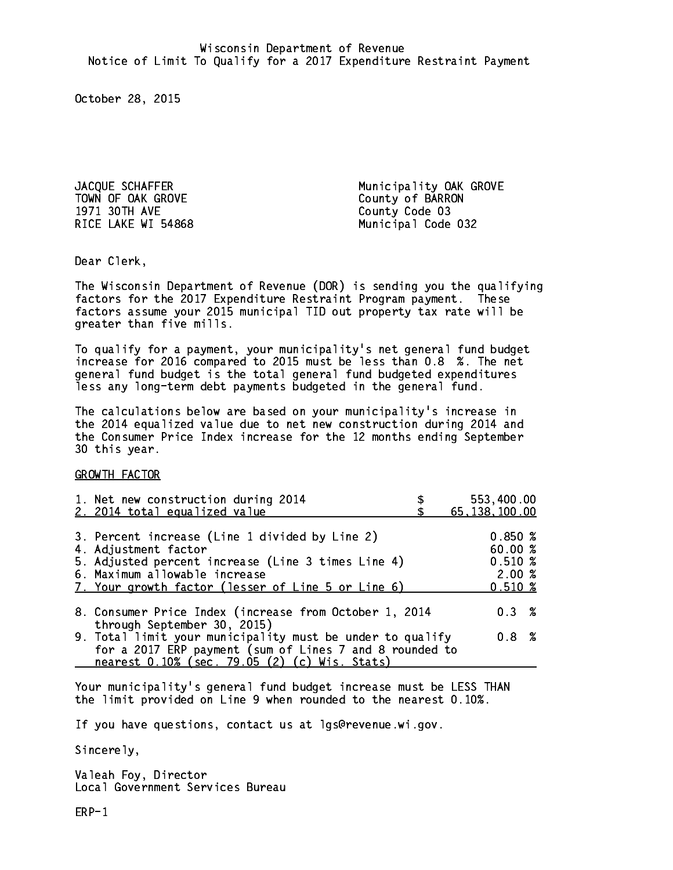TOWN OF OAK GROVE COUNTY OF BARRON 1971 30TH AVE County Code 03

JACQUE SCHAFFER Municipality OAK GROVE RICE LAKE WI 54868 Municipal Code 032

Dear Clerk. Dear Clerk,

The Wisconsin Department of Revenue (DOR) is sending you the qualifying factors for the 2017 Expenditure Restraint Program payment. These factors assume your 2015 municipal TID out property tax rate will be greater than five mills.

 To qualify for a payment, your municipality's net general fund budget increase for 2016 compared to 2015 must be less than 0.8 %. The net general fund budget is the total general fund budgeted expenditures less any long-term debt payments budgeted in the general fund.

The calculations below are based on your municipality's increase in the 2014 equalized value due to net new construction during 2014 and the Consumer Price Index increase for the 12 months ending September 30 this year. 30 this year.

GROWTH FACTOR

| 1. Net new construction during 2014<br>2. 2014 total equalized value                                                                                                                                                | 553,400.00<br>65, 138, 100.00                   |
|---------------------------------------------------------------------------------------------------------------------------------------------------------------------------------------------------------------------|-------------------------------------------------|
| 3. Percent increase (Line 1 divided by Line 2)<br>4. Adjustment factor<br>5. Adjusted percent increase (Line 3 times Line 4)<br>6. Maximum allowable increase<br>7. Your growth factor (lesser of Line 5 or Line 6) | 0.850%<br>60.00%<br>$0.510*$<br>2.00%<br>0.510% |
| 8. Consumer Price Index (increase from October 1, 2014                                                                                                                                                              | $0.3 \t%$                                       |
| through September 30, 2015)<br>9. Total limit your municipality must be under to qualify<br>for a 2017 ERP payment (sum of Lines 7 and 8 rounded to<br>nearest 0.10% (sec. 79.05 (2) (c) Wis. Stats)                | 0.8%                                            |

Your municipality's general fund budget increase must be LESS THAN the limit provided on Line 9 when rounded to the nearest 0.10%.

If you have questions, contact us at lgs@revenue.wi.gov.

Sincerely,

Valeah Foy, Director Local Government Services Bureau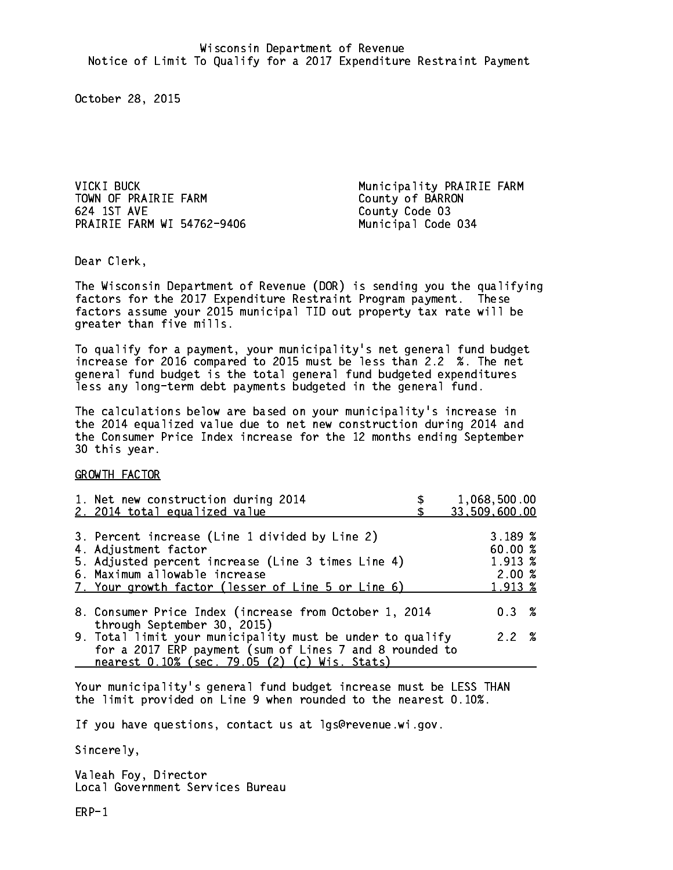VICKI BUCK **Municipality PRAIRIE FARM** TOWN OF PRAIRIE FARM County of BARRON 624 1ST AVE County Code 03 PRAIRIE FARM WI 54762-9406 Municipal Code 034

Dear Clerk. Dear Clerk,

The Wisconsin Department of Revenue (DOR) is sending you the qualifying factors for the 2017 Expenditure Restraint Program payment. These factors assume your 2015 municipal TID out property tax rate will be greater than five mills.

 To qualify for a payment, your municipality's net general fund budget increase for 2016 compared to 2015 must be less than 2.2 %. The net general fund budget is the total general fund budgeted expenditures less any long-term debt payments budgeted in the general fund.

The calculations below are based on your municipality's increase in the 2014 equalized value due to net new construction during 2014 and the Consumer Price Index increase for the 12 months ending September 30 this year. 30 this year.

GROWTH FACTOR

| 1. Net new construction during 2014<br>2. 2014 total equalized value                                                                                                                                                | 1,068,500.00<br>33,509,600.00                     |
|---------------------------------------------------------------------------------------------------------------------------------------------------------------------------------------------------------------------|---------------------------------------------------|
| 3. Percent increase (Line 1 divided by Line 2)<br>4. Adjustment factor<br>5. Adjusted percent increase (Line 3 times Line 4)<br>6. Maximum allowable increase<br>7. Your growth factor (lesser of Line 5 or Line 6) | 3.189~%<br>60.00 %<br>1.913 %<br>2.00%<br>1.913 % |
| 8. Consumer Price Index (increase from October 1, 2014                                                                                                                                                              | $0.3 \t%$                                         |
| through September 30, 2015)<br>9. Total limit your municipality must be under to qualify<br>for a 2017 ERP payment (sum of Lines 7 and 8 rounded to<br>nearest 0.10% (sec. 79.05 (2) (c) Wis. Stats)                | 2.2%                                              |
|                                                                                                                                                                                                                     |                                                   |

Your municipality's general fund budget increase must be LESS THAN the limit provided on Line 9 when rounded to the nearest 0.10%.

If you have questions, contact us at lgs@revenue.wi.gov.

Sincerely,

Valeah Foy, Director Local Government Services Bureau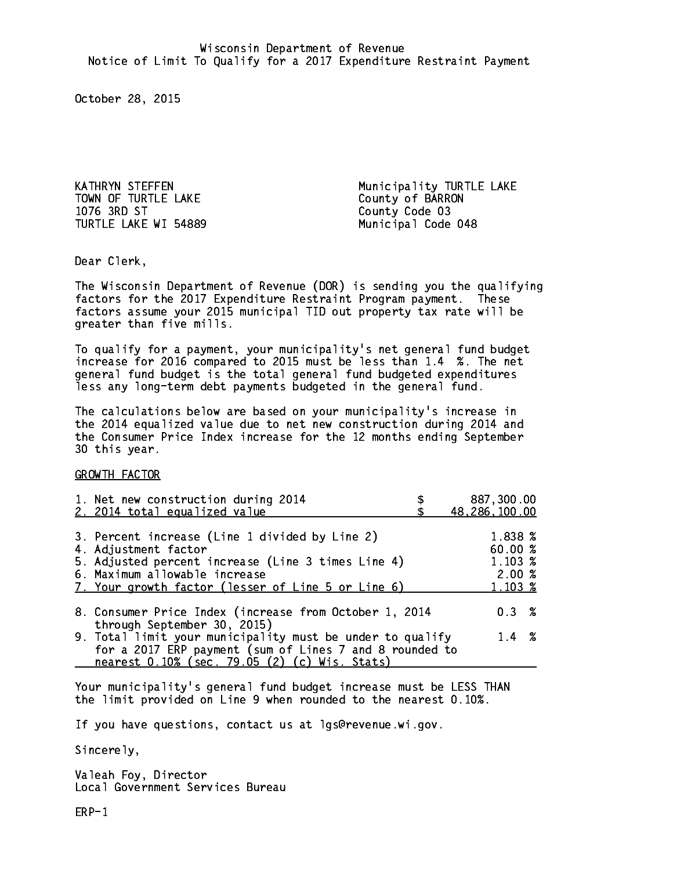TOWN OF TURTLE LAKE County of BARRON 1076 3RD ST TURTLE LAKE WI 54889 Municipal Code 048

KATHRYN STEFFEN Municipality TURTLE LAKE County Code 03

Dear Clerk. Dear Clerk,

The Wisconsin Department of Revenue (DOR) is sending you the qualifying factors for the 2017 Expenditure Restraint Program payment. These factors assume your 2015 municipal TID out property tax rate will be greater than five mills.

 To qualify for a payment, your municipality's net general fund budget increase for 2016 compared to 2015 must be less than 1.4 %. The net general fund budget is the total general fund budgeted expenditures less any long-term debt payments budgeted in the general fund.

The calculations below are based on your municipality's increase in the 2014 equalized value due to net new construction during 2014 and the Consumer Price Index increase for the 12 months ending September 30 this year. 30 this year.

GROWTH FACTOR

| 1. Net new construction during 2014                                                                                                                                                                                 | 887,300.00                                                   |
|---------------------------------------------------------------------------------------------------------------------------------------------------------------------------------------------------------------------|--------------------------------------------------------------|
| 2. 2014 total equalized value                                                                                                                                                                                       | 48,286,100.00                                                |
| 3. Percent increase (Line 1 divided by Line 2)<br>4. Adjustment factor<br>5. Adjusted percent increase (Line 3 times Line 4)<br>6. Maximum allowable increase<br>7. Your growth factor (lesser of Line 5 or Line 6) | 1.838 %<br>60.00%<br>$1.103 \; \text{%}$<br>2.00%<br>1.103 % |
| 8. Consumer Price Index (increase from October 1, 2014                                                                                                                                                              | $0.3 \t%$                                                    |
| through September 30, 2015)<br>9. Total limit your municipality must be under to qualify<br>for a 2017 ERP payment (sum of Lines 7 and 8 rounded to<br>nearest 0.10% (sec. 79.05 (2) (c) Wis. Stats)                | $1.4 \t%$                                                    |

Your municipality's general fund budget increase must be LESS THAN the limit provided on Line 9 when rounded to the nearest 0.10%.

If you have questions, contact us at lgs@revenue.wi.gov.

Sincerely,

Valeah Foy, Director Local Government Services Bureau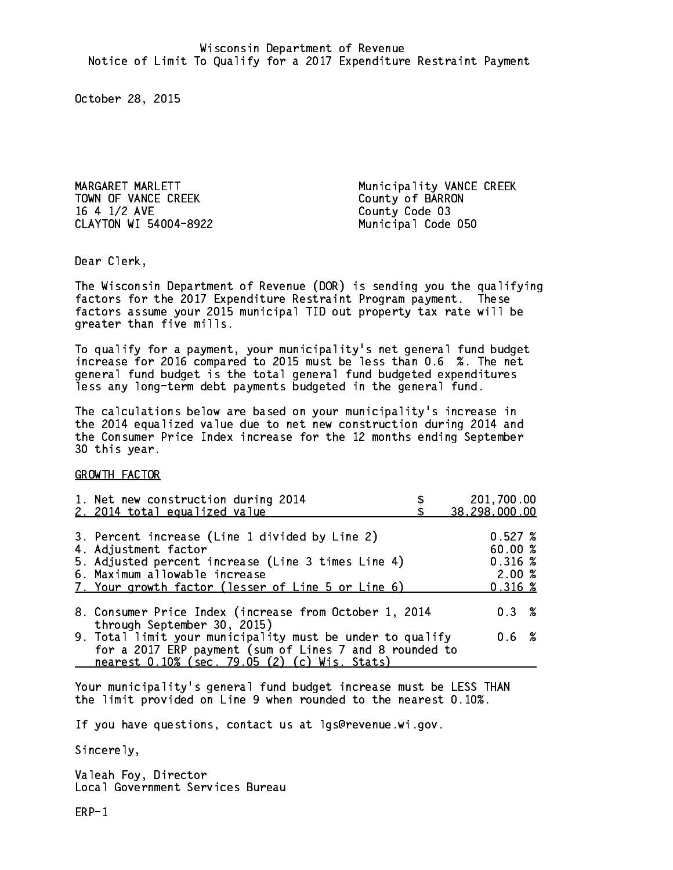TOWN OF VANCE CREEK COUNTY OF BARRON 16 4 1/2 AVE County Code 03 CLAYTON WI 54004-8922 Municipal Code 050

MARGARET MARLETT **Municipality VANCE CREEK** 

Dear Clerk. Dear Clerk,

The Wisconsin Department of Revenue (DOR) is sending you the qualifying factors for the 2017 Expenditure Restraint Program payment. These factors assume your 2015 municipal TID out property tax rate will be greater than five mills.

 To qualify for a payment, your municipality's net general fund budget increase for 2016 compared to 2015 must be less than 0.6 %. The net general fund budget is the total general fund budgeted expenditures less any long-term debt payments budgeted in the general fund.

The calculations below are based on your municipality's increase in the 2014 equalized value due to net new construction during 2014 and the Consumer Price Index increase for the 12 months ending September 30 this year. 30 this year.

GROWTH FACTOR

| 1. Net new construction during 2014<br>2. 2014 total equalized value                                                                                                                                                | 201,700.00<br>38,298,000.00                    |
|---------------------------------------------------------------------------------------------------------------------------------------------------------------------------------------------------------------------|------------------------------------------------|
| 3. Percent increase (Line 1 divided by Line 2)<br>4. Adjustment factor<br>5. Adjusted percent increase (Line 3 times Line 4)<br>6. Maximum allowable increase<br>7. Your growth factor (lesser of Line 5 or Line 6) | 0.527%<br>60.00%<br>0.316~%<br>2.00%<br>0.316% |
| 8. Consumer Price Index (increase from October 1, 2014                                                                                                                                                              | 0.3%                                           |
| through September 30, 2015)<br>9. Total limit your municipality must be under to qualify<br>for a 2017 ERP payment (sum of Lines 7 and 8 rounded to<br>nearest 0.10% (sec. 79.05 (2) (c) Wis. Stats)                | 0.6 %                                          |

Your municipality's general fund budget increase must be LESS THAN the limit provided on Line 9 when rounded to the nearest 0.10%.

If you have questions, contact us at lgs@revenue.wi.gov.

Sincerely,

Valeah Foy, Director Local Government Services Bureau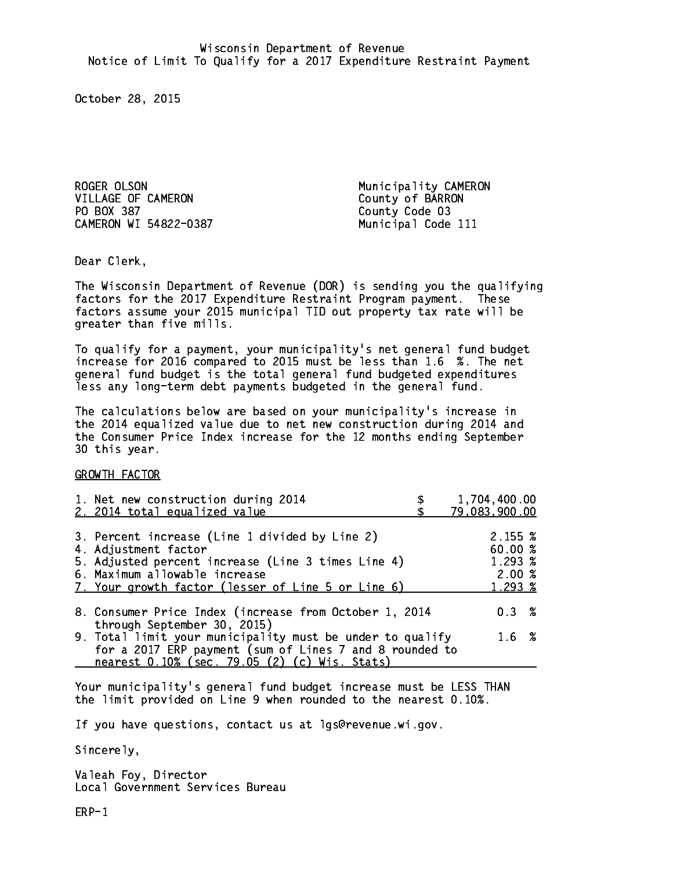ROGER OLSON Municipality CAMERON VILLAGE OF CAMERON COUNTY Of BARRON PO BOX 387 County Code 03 CAMERON WI 54822-0387 Municipal Code 111

Dear Clerk. Dear Clerk,

The Wisconsin Department of Revenue (DOR) is sending you the qualifying factors for the 2017 Expenditure Restraint Program payment. These factors assume your 2015 municipal TID out property tax rate will be greater than five mills.

 To qualify for a payment, your municipality's net general fund budget increase for 2016 compared to 2015 must be less than 1.6 %. The net general fund budget is the total general fund budgeted expenditures less any long-term debt payments budgeted in the general fund.

The calculations below are based on your municipality's increase in the 2014 equalized value due to net new construction during 2014 and the Consumer Price Index increase for the 12 months ending September 30 this year. 30 this year.

GROWTH FACTOR

| 1. Net new construction during 2014<br>2. 2014 total equalized value                                                                                                                                                | 1,704,400.00<br>79,083,900.00                                  |
|---------------------------------------------------------------------------------------------------------------------------------------------------------------------------------------------------------------------|----------------------------------------------------------------|
| 3. Percent increase (Line 1 divided by Line 2)<br>4. Adjustment factor<br>5. Adjusted percent increase (Line 3 times Line 4)<br>6. Maximum allowable increase<br>7. Your growth factor (lesser of Line 5 or Line 6) | $2.155 \; \text{\%}$<br>60.00 %<br>1.293 %<br>2.00%<br>1.293 % |
| 8. Consumer Price Index (increase from October 1, 2014                                                                                                                                                              | $0.3 \t%$                                                      |
| through September 30, 2015)<br>9. Total limit your municipality must be under to qualify<br>for a 2017 ERP payment (sum of Lines 7 and 8 rounded to<br>nearest 0.10% (sec. 79.05 (2) (c) Wis. Stats)                | 1.6 %                                                          |

Your municipality's general fund budget increase must be LESS THAN the limit provided on Line 9 when rounded to the nearest 0.10%.

If you have questions, contact us at lgs@revenue.wi.gov.

Sincerely,

Valeah Foy, Director Local Government Services Bureau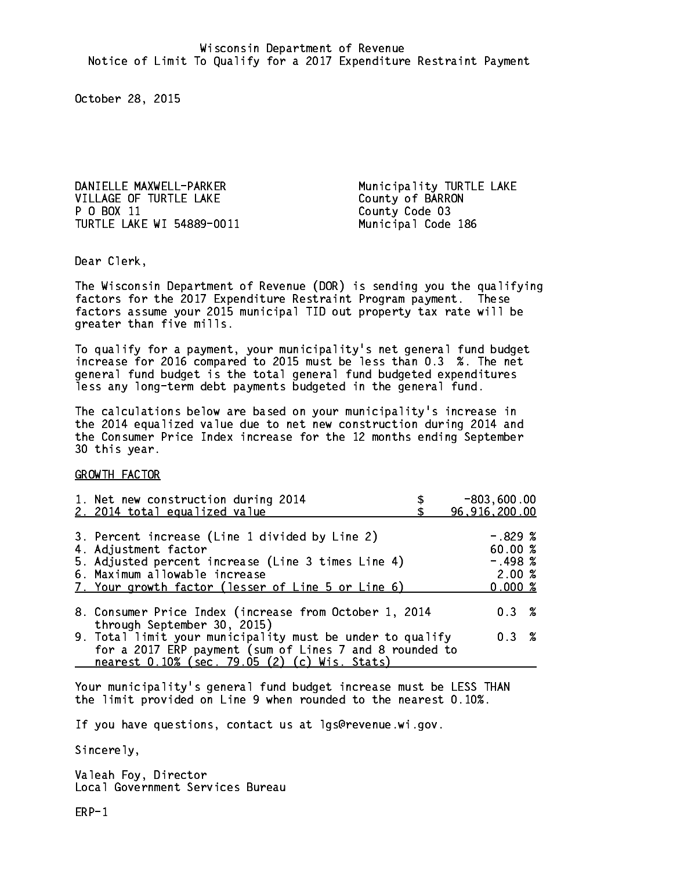DANIELLE MAXWELL-PARKER Municipality TURTLE LAKE VILLAGE OF TURTLE LAKE County of BARRON P 0 BOX 11 TURTLE LAKE WI 54889-0011 Municipal Code 186

County Code 03

Dear Clerk. Dear Clerk,

The Wisconsin Department of Revenue (DOR) is sending you the qualifying factors for the 2017 Expenditure Restraint Program payment. These factors assume your 2015 municipal TID out property tax rate will be greater than five mills.

 To qualify for a payment, your municipality's net general fund budget increase for 2016 compared to 2015 must be less than 0.3 %. The net general fund budget is the total general fund budgeted expenditures less any long-term debt payments budgeted in the general fund.

The calculations below are based on your municipality's increase in the 2014 equalized value due to net new construction during 2014 and the Consumer Price Index increase for the 12 months ending September 30 this year. 30 this year.

GROWTH FACTOR

| 1. Net new construction during 2014<br>2. 2014 total equalized value                                                                                                                                                | $-803,600.00$<br>96,916,200.00                      |
|---------------------------------------------------------------------------------------------------------------------------------------------------------------------------------------------------------------------|-----------------------------------------------------|
| 3. Percent increase (Line 1 divided by Line 2)<br>4. Adjustment factor<br>5. Adjusted percent increase (Line 3 times Line 4)<br>6. Maximum allowable increase<br>7. Your growth factor (lesser of Line 5 or Line 6) | $-.829%$<br>60.00%<br>$-.498~%$<br>2.00%<br>0.000 % |
| 8. Consumer Price Index (increase from October 1, 2014<br>through September 30, 2015)                                                                                                                               | 0.3%                                                |
| 9. Total limit your municipality must be under to qualify<br>for a 2017 ERP payment (sum of Lines 7 and 8 rounded to<br>nearest 0.10% (sec. 79.05 (2) (c) Wis. Stats)                                               | 0.3%                                                |

Your municipality's general fund budget increase must be LESS THAN the limit provided on Line 9 when rounded to the nearest 0.10%.

If you have questions, contact us at lgs@revenue.wi.gov.

Sincerely,

Valeah Foy, Director Local Government Services Bureau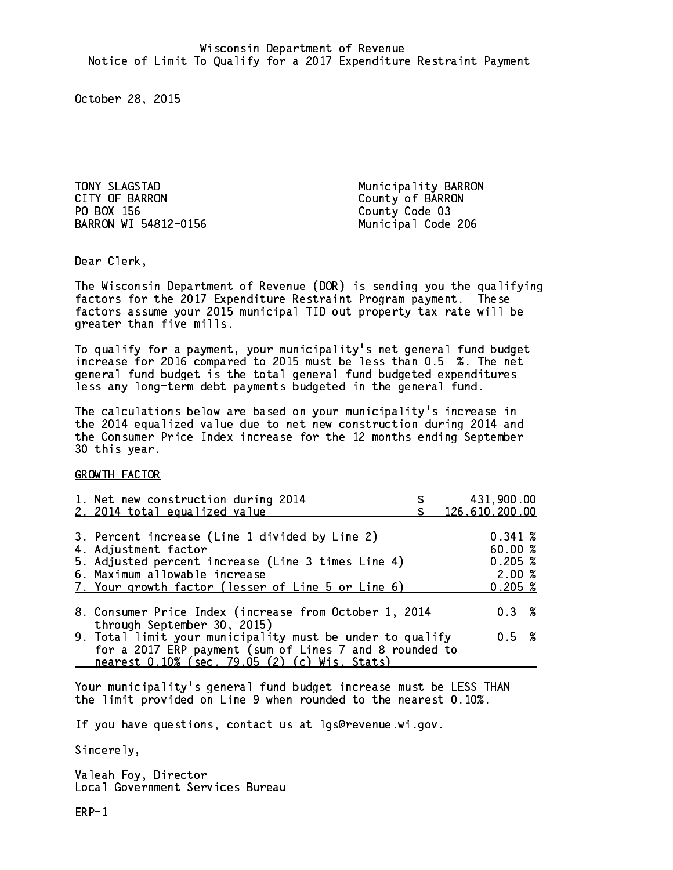TONY SLAGSTAD Municipality BARRON<br>CITY OF BARRON CITY OF BARRON PO BOX 156 County Code 03 BARRON WI 54812-0156 Municipal Code 206

County of BARRON

Dear Clerk. Dear Clerk,

The Wisconsin Department of Revenue (DOR) is sending you the qualifying factors for the 2017 Expenditure Restraint Program payment. These factors assume your 2015 municipal TID out property tax rate will be greater than five mills.

 To qualify for a payment, your municipality's net general fund budget increase for 2016 compared to 2015 must be less than 0.5 %. The net general fund budget is the total general fund budgeted expenditures less any long-term debt payments budgeted in the general fund.

The calculations below are based on your municipality's increase in the 2014 equalized value due to net new construction during 2014 and the Consumer Price Index increase for the 12 months ending September 30 this year. 30 this year.

GROWTH FACTOR

| 1. Net new construction during 2014<br>2. 2014 total equalized value                                     |  | 431,900.00<br>126,610,200.00 |  |
|----------------------------------------------------------------------------------------------------------|--|------------------------------|--|
|                                                                                                          |  |                              |  |
| 3. Percent increase (Line 1 divided by Line 2)                                                           |  | 0.341~%                      |  |
| 4. Adjustment factor                                                                                     |  | 60.00 %                      |  |
| 5. Adjusted percent increase (Line 3 times Line 4)                                                       |  | 0.205~%                      |  |
| 6. Maximum allowable increase<br>7. Your growth factor (lesser of Line 5 or Line 6)                      |  | 2.00%<br>0.205~%             |  |
|                                                                                                          |  |                              |  |
| 8. Consumer Price Index (increase from October 1, 2014                                                   |  | $0.3 \t%$                    |  |
| through September 30, 2015)                                                                              |  |                              |  |
| 9. Total limit your municipality must be under to qualify                                                |  | 0.5 %                        |  |
| for a 2017 ERP payment (sum of Lines 7 and 8 rounded to<br>nearest 0.10% (sec. 79.05 (2) (c) Wis. Stats) |  |                              |  |
|                                                                                                          |  |                              |  |

Your municipality's general fund budget increase must be LESS THAN the limit provided on Line 9 when rounded to the nearest 0.10%.

If you have questions, contact us at lgs@revenue.wi.gov.

Sincerely,

Valeah Foy, Director Local Government Services Bureau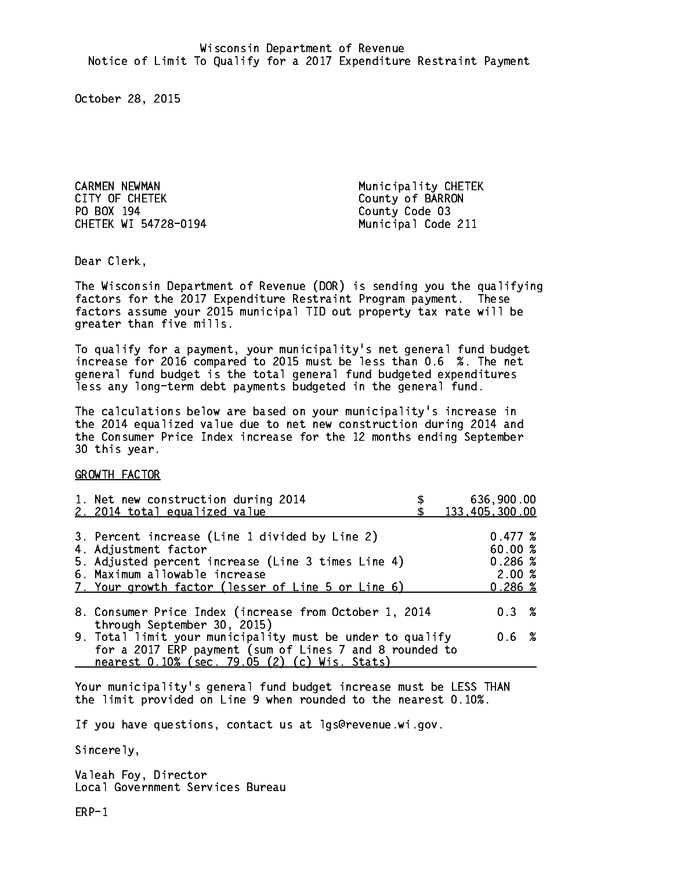CARMEN NEWMAN Municipality CHETEK CITY OF CHETEK COUNTY OF BARRON PO BOX 194 County Code 03 CHETEK WI 54728-0194 Municipal Code 211

Dear Clerk. Dear Clerk,

The Wisconsin Department of Revenue (DOR) is sending you the qualifying factors for the 2017 Expenditure Restraint Program payment. These factors assume your 2015 municipal TID out property tax rate will be greater than five mills.

 To qualify for a payment, your municipality's net general fund budget increase for 2016 compared to 2015 must be less than 0.6 %. The net general fund budget is the total general fund budgeted expenditures less any long-term debt payments budgeted in the general fund.

The calculations below are based on your municipality's increase in the 2014 equalized value due to net new construction during 2014 and the Consumer Price Index increase for the 12 months ending September 30 this year. 30 this year.

GROWTH FACTOR

| 1. Net new construction during 2014<br>2. 2014 total equalized value                                                                                                                                                | 636,900.00<br>133,405,300.00                     |
|---------------------------------------------------------------------------------------------------------------------------------------------------------------------------------------------------------------------|--------------------------------------------------|
| 3. Percent increase (Line 1 divided by Line 2)<br>4. Adjustment factor<br>5. Adjusted percent increase (Line 3 times Line 4)<br>6. Maximum allowable increase<br>7. Your growth factor (lesser of Line 5 or Line 6) | 0.477~%<br>60.00%<br>0.286~%<br>2.00%<br>0.286~% |
| 8. Consumer Price Index (increase from October 1, 2014<br>through September 30, 2015)                                                                                                                               | 0.3%                                             |
| 9. Total limit your municipality must be under to qualify<br>for a 2017 ERP payment (sum of Lines 7 and 8 rounded to<br>nearest 0.10% (sec. 79.05 (2) (c) Wis. Stats)                                               | 0.6 %                                            |

Your municipality's general fund budget increase must be LESS THAN the limit provided on Line 9 when rounded to the nearest 0.10%.

If you have questions, contact us at lgs@revenue.wi.gov.

Sincerely,

Valeah Foy, Director Local Government Services Bureau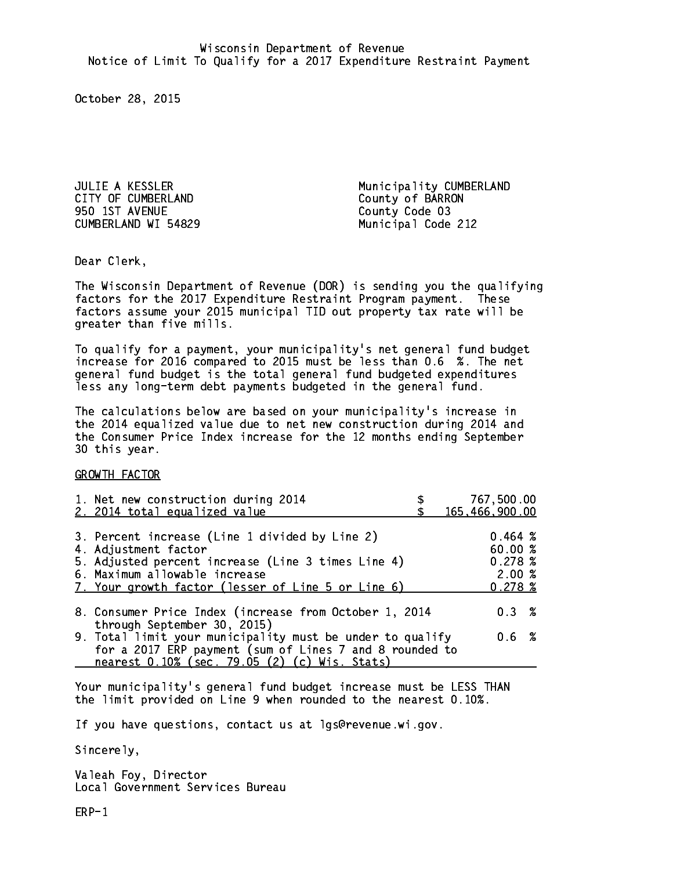CITY OF CUMBERLAND COUNTY OF BARRON 950 1ST AVENUE County Code 03 CUMBERLAND WI 54829 Municipal Code 212

JULIE A KESSLER Municipality CUMBERLAND

Dear Clerk. Dear Clerk,

The Wisconsin Department of Revenue (DOR) is sending you the qualifying factors for the 2017 Expenditure Restraint Program payment. These factors assume your 2015 municipal TID out property tax rate will be greater than five mills.

 To qualify for a payment, your municipality's net general fund budget increase for 2016 compared to 2015 must be less than 0.6 %. The net general fund budget is the total general fund budgeted expenditures less any long-term debt payments budgeted in the general fund.

The calculations below are based on your municipality's increase in the 2014 equalized value due to net new construction during 2014 and the Consumer Price Index increase for the 12 months ending September 30 this year. 30 this year.

GROWTH FACTOR

| 1. Net new construction during 2014<br>2. 2014 total equalized value                                                                                                                                                |                                                                              | 767,500.00<br>165,466,900.00                                                                                                                                                   |
|---------------------------------------------------------------------------------------------------------------------------------------------------------------------------------------------------------------------|------------------------------------------------------------------------------|--------------------------------------------------------------------------------------------------------------------------------------------------------------------------------|
| 3. Percent increase (Line 1 divided by Line 2)<br>4. Adjustment factor<br>5. Adjusted percent increase (Line 3 times Line 4)<br>6. Maximum allowable increase<br>7. Your growth factor (lesser of Line 5 or Line 6) |                                                                              | 0.464~%<br>60.00%<br>0.278~%<br>2.00%<br>0.278~%                                                                                                                               |
|                                                                                                                                                                                                                     |                                                                              | $0.3 \t%$                                                                                                                                                                      |
|                                                                                                                                                                                                                     |                                                                              | 0.6 %                                                                                                                                                                          |
|                                                                                                                                                                                                                     | through September 30, 2015)<br>nearest 0.10% (sec. 79.05 (2) (c) Wis. Stats) | 8. Consumer Price Index (increase from October 1, 2014<br>9. Total limit your municipality must be under to qualify<br>for a 2017 ERP payment (sum of Lines 7 and 8 rounded to |

Your municipality's general fund budget increase must be LESS THAN the limit provided on Line 9 when rounded to the nearest 0.10%.

If you have questions, contact us at lgs@revenue.wi.gov.

Sincerely,

Valeah Foy, Director Local Government Services Bureau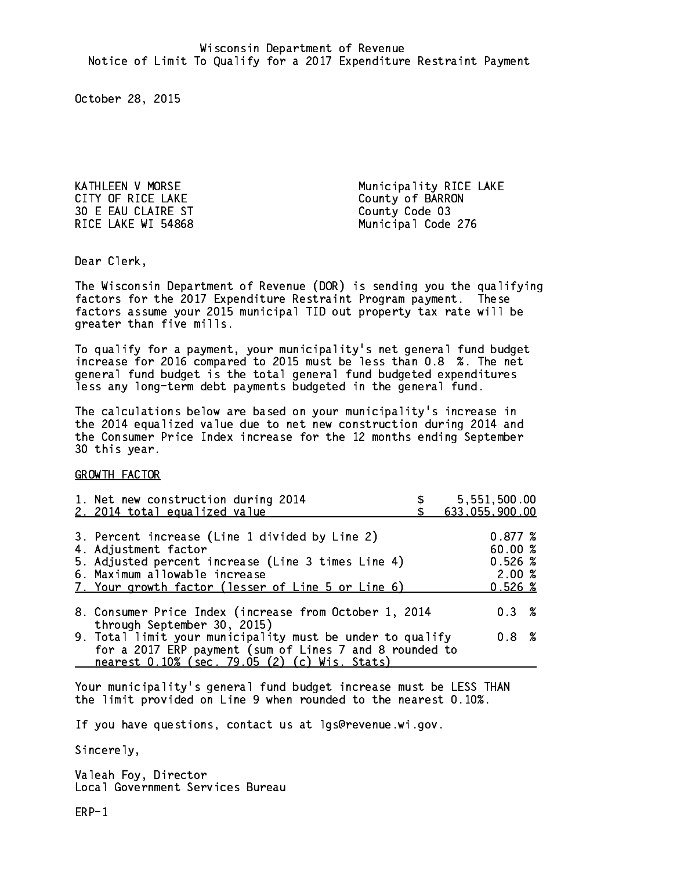CITY OF RICE LAKE COUNTY OF BARRON 30 E EAU CLAIRE ST County Code 03

KATHLEEN V MORSE Municipality RICE LAKE RICE LAKE WI 54868 Municipal Code 276

Dear Clerk. Dear Clerk,

The Wisconsin Department of Revenue (DOR) is sending you the qualifying factors for the 2017 Expenditure Restraint Program payment. These factors assume your 2015 municipal TID out property tax rate will be greater than five mills.

 To qualify for a payment, your municipality's net general fund budget increase for 2016 compared to 2015 must be less than 0.8 %. The net general fund budget is the total general fund budgeted expenditures less any long-term debt payments budgeted in the general fund.

The calculations below are based on your municipality's increase in the 2014 equalized value due to net new construction during 2014 and the Consumer Price Index increase for the 12 months ending September 30 this year. 30 this year.

GROWTH FACTOR

| 1. Net new construction during 2014<br>2. 2014 total equalized value                                                                                                                                                | 5,551,500.00<br>633,055,900.00                    |
|---------------------------------------------------------------------------------------------------------------------------------------------------------------------------------------------------------------------|---------------------------------------------------|
| 3. Percent increase (Line 1 divided by Line 2)<br>4. Adjustment factor<br>5. Adjusted percent increase (Line 3 times Line 4)<br>6. Maximum allowable increase<br>7. Your growth factor (lesser of Line 5 or Line 6) | 0.877~%<br>60.00 %<br>0.526~%<br>2.00%<br>0.526~% |
| 8. Consumer Price Index (increase from October 1, 2014                                                                                                                                                              | $0.3 \t%$                                         |
| through September 30, 2015)<br>9. Total limit your municipality must be under to qualify<br>for a 2017 ERP payment (sum of Lines 7 and 8 rounded to<br>nearest 0.10% (sec. 79.05 (2) (c) Wis. Stats)                | 0.8 %                                             |

Your municipality's general fund budget increase must be LESS THAN the limit provided on Line 9 when rounded to the nearest 0.10%.

If you have questions, contact us at lgs@revenue.wi.gov.

Sincerely,

Valeah Foy, Director Local Government Services Bureau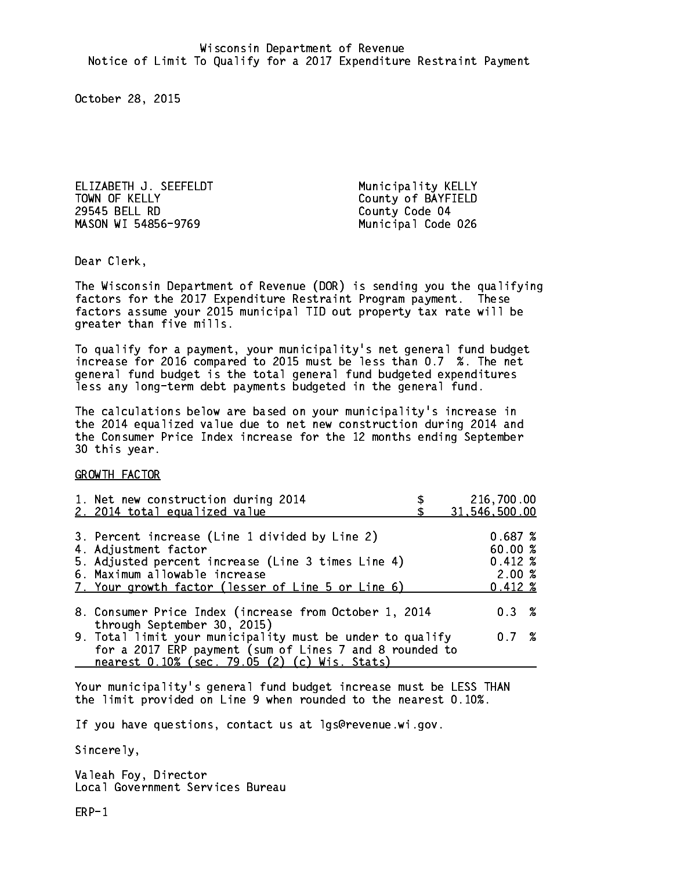ELIZABETH J. SEEFELDT Municipality KELLY TOWN OF KELLY **COUNTY COUNTY OF BAYFIELD** 29545 BELL RD County Code 04 MASON WI 54856-9769 Municipal Code 026

Dear Clerk. Dear Clerk,

The Wisconsin Department of Revenue (DOR) is sending you the qualifying factors for the 2017 Expenditure Restraint Program payment. These factors assume your 2015 municipal TID out property tax rate will be greater than five mills.

 To qualify for a payment, your municipality's net general fund budget increase for 2016 compared to 2015 must be less than 0.7 %. The net general fund budget is the total general fund budgeted expenditures less any long-term debt payments budgeted in the general fund.

The calculations below are based on your municipality's increase in the 2014 equalized value due to net new construction during 2014 and the Consumer Price Index increase for the 12 months ending September 30 this year. 30 this year.

GROWTH FACTOR

| 1. Net new construction during 2014<br>2. 2014 total equalized value                                                                                                                                                | 216,700.00<br>31,546,500.00                        |
|---------------------------------------------------------------------------------------------------------------------------------------------------------------------------------------------------------------------|----------------------------------------------------|
| 3. Percent increase (Line 1 divided by Line 2)<br>4. Adjustment factor<br>5. Adjusted percent increase (Line 3 times Line 4)<br>6. Maximum allowable increase<br>7. Your growth factor (lesser of Line 5 or Line 6) | 0.687~%<br>60.00%<br>$0.412*$<br>2.00%<br>$0.412*$ |
| 8. Consumer Price Index (increase from October 1, 2014<br>through September 30, 2015)                                                                                                                               | 0.3%                                               |
| 9. Total limit your municipality must be under to qualify<br>for a 2017 ERP payment (sum of Lines 7 and 8 rounded to<br>nearest 0.10% (sec. 79.05 (2) (c) Wis. Stats)                                               | 0.7%                                               |

Your municipality's general fund budget increase must be LESS THAN the limit provided on Line 9 when rounded to the nearest 0.10%.

If you have questions, contact us at lgs@revenue.wi.gov.

Sincerely,

Valeah Foy, Director Local Government Services Bureau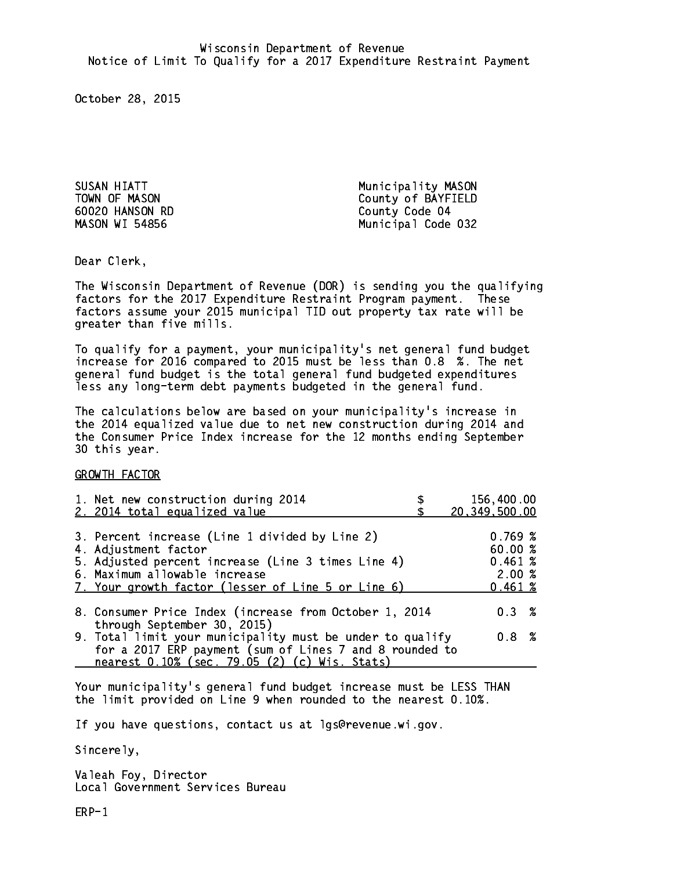60020 HANSON RD County Code 04 **MASON WI 54856** 

SUSAN HIATT Municipality MASON TOWN OF MASON County of BAYFIELD Municipal Code 032

Dear Clerk. Dear Clerk,

The Wisconsin Department of Revenue (DOR) is sending you the qualifying factors for the 2017 Expenditure Restraint Program payment. These factors assume your 2015 municipal TID out property tax rate will be greater than five mills.

 To qualify for a payment, your municipality's net general fund budget increase for 2016 compared to 2015 must be less than 0.8 %. The net general fund budget is the total general fund budgeted expenditures less any long-term debt payments budgeted in the general fund.

The calculations below are based on your municipality's increase in the 2014 equalized value due to net new construction during 2014 and the Consumer Price Index increase for the 12 months ending September 30 this year. 30 this year.

GROWTH FACTOR

| 1. Net new construction during 2014<br>2. 2014 total equalized value                                                                                                                                                | 156,400.00<br>20,349,500.00                       |
|---------------------------------------------------------------------------------------------------------------------------------------------------------------------------------------------------------------------|---------------------------------------------------|
| 3. Percent increase (Line 1 divided by Line 2)<br>4. Adjustment factor<br>5. Adjusted percent increase (Line 3 times Line 4)<br>6. Maximum allowable increase<br>7. Your growth factor (lesser of Line 5 or Line 6) | 0.769~%<br>60.00 %<br>0.461~%<br>2.00%<br>0.461~% |
| 8. Consumer Price Index (increase from October 1, 2014<br>through September 30, 2015)                                                                                                                               | $0.3 \t%$                                         |
| 9. Total limit your municipality must be under to qualify<br>for a 2017 ERP payment (sum of Lines 7 and 8 rounded to<br>nearest 0.10% (sec. 79.05 (2) (c) Wis. Stats)                                               | 0.8 %                                             |

Your municipality's general fund budget increase must be LESS THAN the limit provided on Line 9 when rounded to the nearest 0.10%.

If you have questions, contact us at lgs@revenue.wi.gov.

Sincerely,

Valeah Foy, Director Local Government Services Bureau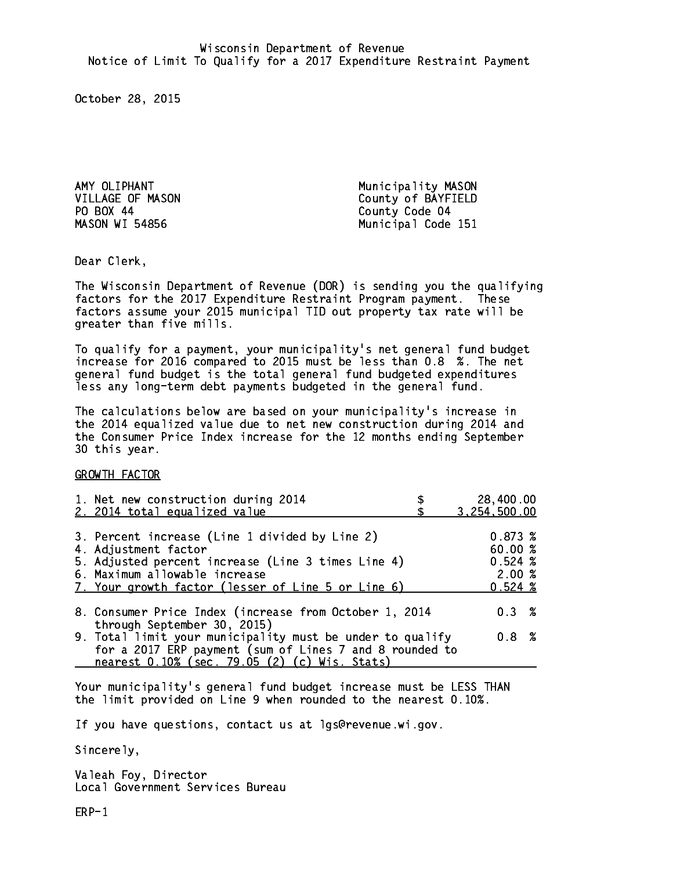PO BOX 44 **MASON WI 54856** 

AMY OLIPHANT Municipality MASON VILLAGE OF MASON County of BAYFIELD County Code 04 Municipal Code 151

Dear Clerk. Dear Clerk,

The Wisconsin Department of Revenue (DOR) is sending you the qualifying factors for the 2017 Expenditure Restraint Program payment. These factors assume your 2015 municipal TID out property tax rate will be greater than five mills.

 To qualify for a payment, your municipality's net general fund budget increase for 2016 compared to 2015 must be less than 0.8 %. The net general fund budget is the total general fund budgeted expenditures less any long-term debt payments budgeted in the general fund.

The calculations below are based on your municipality's increase in the 2014 equalized value due to net new construction during 2014 and the Consumer Price Index increase for the 12 months ending September 30 this year. 30 this year.

GROWTH FACTOR

| 1. Net new construction during 2014<br>2. 2014 total equalized value                                                                                                                                                | 28,400.00<br>3,254,500.00                             |
|---------------------------------------------------------------------------------------------------------------------------------------------------------------------------------------------------------------------|-------------------------------------------------------|
| 3. Percent increase (Line 1 divided by Line 2)<br>4. Adjustment factor<br>5. Adjusted percent increase (Line 3 times Line 4)<br>6. Maximum allowable increase<br>7. Your growth factor (lesser of Line 5 or Line 6) | 0.873~%<br>60.00 %<br>$0.524 \; %$<br>2.00%<br>0.524% |
| 8. Consumer Price Index (increase from October 1, 2014<br>through September 30, 2015)                                                                                                                               | $0.3 \t%$                                             |
| 9. Total limit your municipality must be under to qualify<br>for a 2017 ERP payment (sum of Lines 7 and 8 rounded to<br>nearest 0.10% (sec. 79.05 (2) (c) Wis. Stats)                                               | 0.8 %                                                 |

Your municipality's general fund budget increase must be LESS THAN the limit provided on Line 9 when rounded to the nearest 0.10%.

If you have questions, contact us at lgs@revenue.wi.gov.

Sincerely,

Valeah Foy, Director Local Government Services Bureau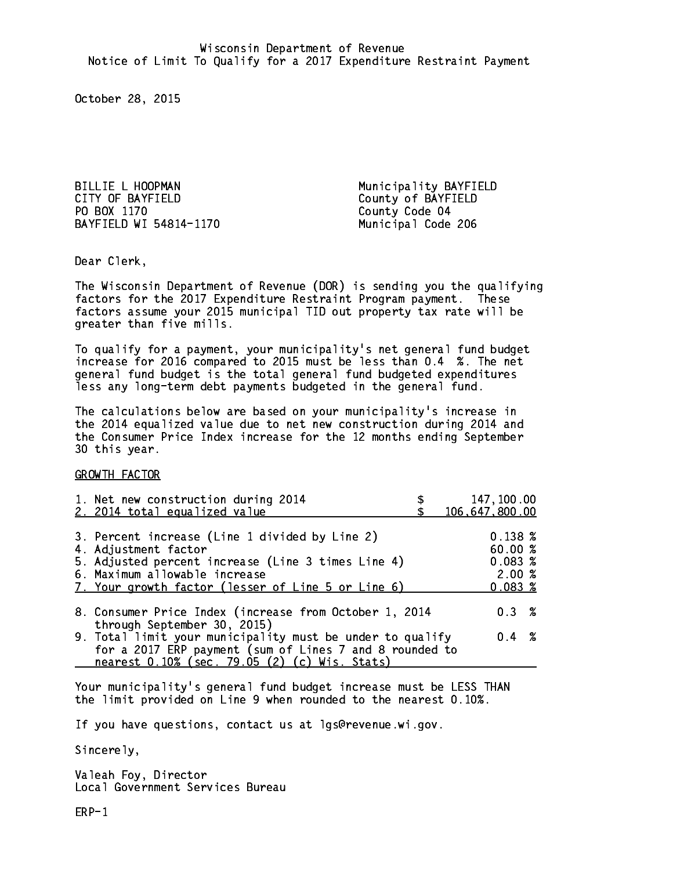BILLIE L HOOPMAN Municipality BAYFIELD CITY OF BAYFIELD County of BAYFIELD PO BOX 1170 BAYFIELD WI 54814-1170 Municipal Code 206

County Code 04

Dear Clerk. Dear Clerk,

The Wisconsin Department of Revenue (DOR) is sending you the qualifying factors for the 2017 Expenditure Restraint Program payment. These factors assume your 2015 municipal TID out property tax rate will be greater than five mills.

 To qualify for a payment, your municipality's net general fund budget increase for 2016 compared to 2015 must be less than 0.4 %. The net general fund budget is the total general fund budgeted expenditures less any long-term debt payments budgeted in the general fund.

The calculations below are based on your municipality's increase in the 2014 equalized value due to net new construction during 2014 and the Consumer Price Index increase for the 12 months ending September 30 this year. 30 this year.

GROWTH FACTOR

| 1. Net new construction during 2014<br>2. 2014 total equalized value                                                                                                                                                | 147,100.00<br>106,647,800.00                     |
|---------------------------------------------------------------------------------------------------------------------------------------------------------------------------------------------------------------------|--------------------------------------------------|
| 3. Percent increase (Line 1 divided by Line 2)<br>4. Adjustment factor<br>5. Adjusted percent increase (Line 3 times Line 4)<br>6. Maximum allowable increase<br>7. Your growth factor (lesser of Line 5 or Line 6) | 0.138~%<br>60.00%<br>0.083~%<br>2.00%<br>0.083~% |
| 8. Consumer Price Index (increase from October 1, 2014<br>through September 30, 2015)                                                                                                                               | $0.3 \t%$                                        |
| 9. Total limit your municipality must be under to qualify<br>for a 2017 ERP payment (sum of Lines 7 and 8 rounded to<br>nearest 0.10% (sec. 79.05 (2) (c) Wis. Stats)                                               | $0.4 \t%$                                        |

Your municipality's general fund budget increase must be LESS THAN the limit provided on Line 9 when rounded to the nearest 0.10%.

If you have questions, contact us at lgs@revenue.wi.gov.

Sincerely,

Valeah Foy, Director Local Government Services Bureau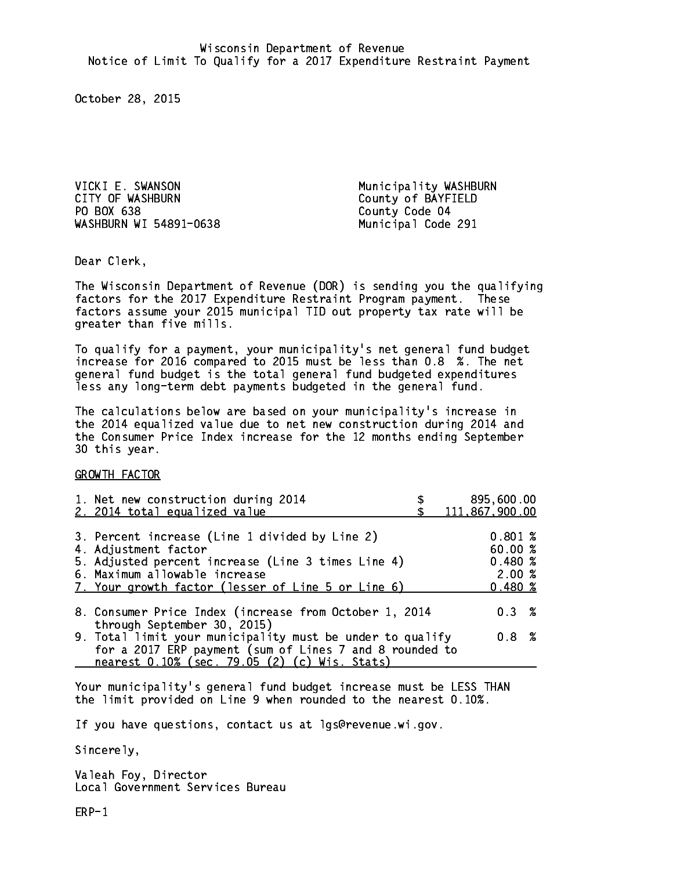VICKI E. SWANSON **Municipality WASHBURN** CITY OF WASHBURN COUNTY OF WASHBURN PO BOX 638 WASHBURN WI 54891-0638 Municipal Code 291

County Code 04

Dear Clerk. Dear Clerk,

The Wisconsin Department of Revenue (DOR) is sending you the qualifying factors for the 2017 Expenditure Restraint Program payment. These factors assume your 2015 municipal TID out property tax rate will be greater than five mills.

 To qualify for a payment, your municipality's net general fund budget increase for 2016 compared to 2015 must be less than 0.8 %. The net general fund budget is the total general fund budgeted expenditures less any long-term debt payments budgeted in the general fund.

The calculations below are based on your municipality's increase in the 2014 equalized value due to net new construction during 2014 and the Consumer Price Index increase for the 12 months ending September 30 this year. 30 this year.

GROWTH FACTOR

| 1. Net new construction during 2014<br>2. 2014 total equalized value                                                                                                                                                | 895,600.00<br>111,867,900.00                   |
|---------------------------------------------------------------------------------------------------------------------------------------------------------------------------------------------------------------------|------------------------------------------------|
| 3. Percent increase (Line 1 divided by Line 2)<br>4. Adjustment factor<br>5. Adjusted percent increase (Line 3 times Line 4)<br>6. Maximum allowable increase<br>7. Your growth factor (lesser of Line 5 or Line 6) | 0.801%<br>60.00%<br>0.480~%<br>2.00%<br>0.480% |
| 8. Consumer Price Index (increase from October 1, 2014                                                                                                                                                              | $0.3 \t%$                                      |
| through September 30, 2015)<br>9. Total limit your municipality must be under to qualify<br>for a 2017 ERP payment (sum of Lines 7 and 8 rounded to<br>nearest 0.10% (sec. 79.05 (2) (c) Wis. Stats)                | 0.8%                                           |

Your municipality's general fund budget increase must be LESS THAN the limit provided on Line 9 when rounded to the nearest 0.10%.

If you have questions, contact us at lgs@revenue.wi.gov.

Sincerely,

Valeah Foy, Director Local Government Services Bureau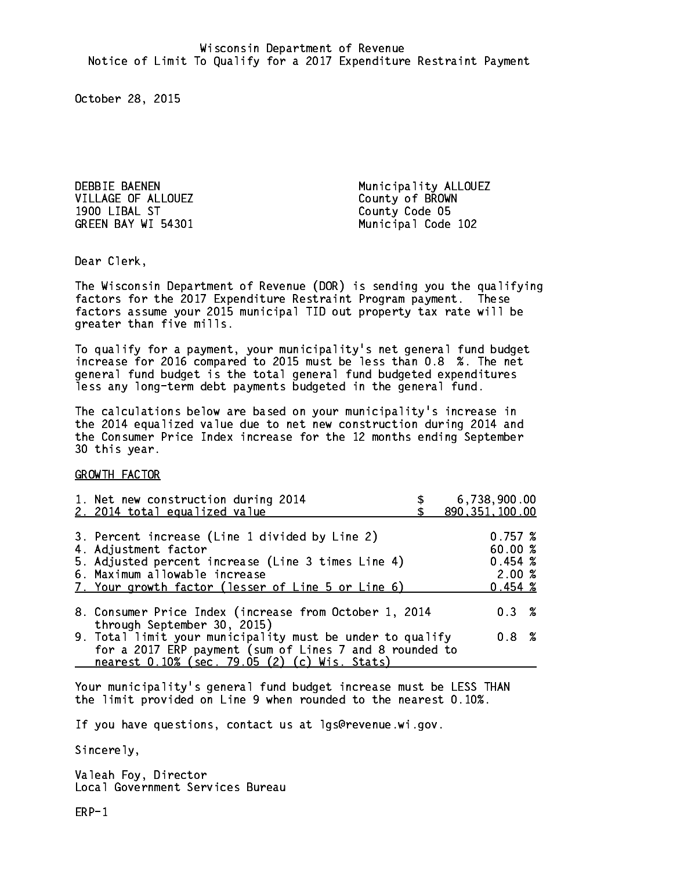DEBBIE BAENEN Municipality ALLOUEZ VILLAGE OF ALLOUEZ County of BROWN 1900 LIBAL ST County Code 05 GREEN BAY WI 54301 Municipal Code 102

Dear Clerk. Dear Clerk,

The Wisconsin Department of Revenue (DOR) is sending you the qualifying factors for the 2017 Expenditure Restraint Program payment. These factors assume your 2015 municipal TID out property tax rate will be greater than five mills.

 To qualify for a payment, your municipality's net general fund budget increase for 2016 compared to 2015 must be less than 0.8 %. The net general fund budget is the total general fund budgeted expenditures less any long-term debt payments budgeted in the general fund.

The calculations below are based on your municipality's increase in the 2014 equalized value due to net new construction during 2014 and the Consumer Price Index increase for the 12 months ending September 30 this year. 30 this year.

GROWTH FACTOR

| 6,738,900.00<br>890, 351, 100.00                                                                                              |
|-------------------------------------------------------------------------------------------------------------------------------|
| 0.757~%<br>60.00 %<br>0.454~%<br>2.00%<br>$0.454 \;$ %                                                                        |
| $0.3 \t%$                                                                                                                     |
| 9. Total limit your municipality must be under to qualify<br>0.8 %<br>for a 2017 ERP payment (sum of Lines 7 and 8 rounded to |
|                                                                                                                               |

Your municipality's general fund budget increase must be LESS THAN the limit provided on Line 9 when rounded to the nearest 0.10%.

If you have questions, contact us at lgs@revenue.wi.gov.

Sincerely,

Valeah Foy, Director Local Government Services Bureau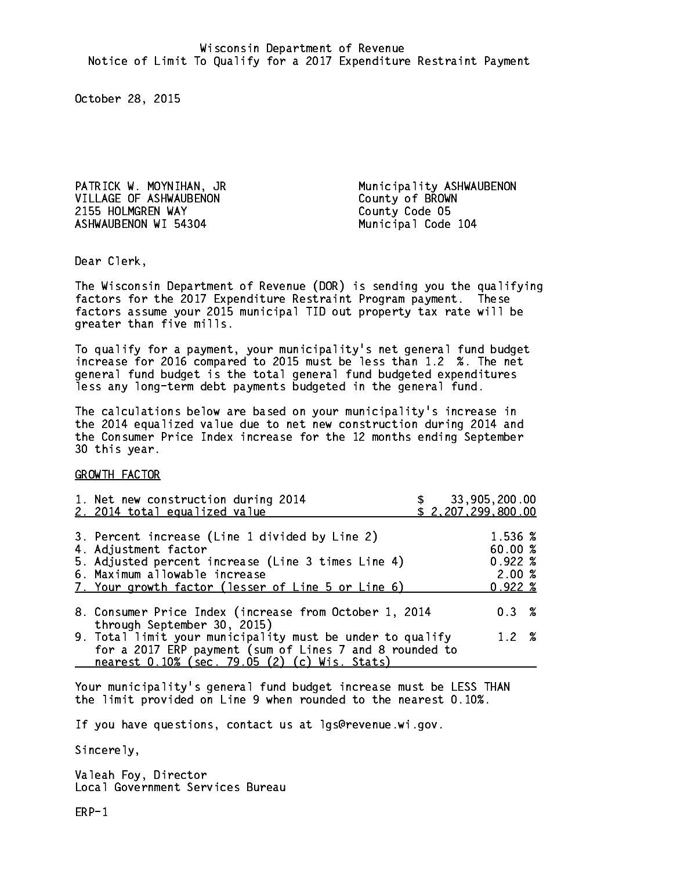VILLAGE OF ASHWAUBENON County of BROWN 2155 HOLMGREN WAY County Code 05 ASHWAUBENON WI 54304 Municipal Code 104

PATRICK W. MOYNIHAN, JR Municipality ASHWAUBENON

Dear Clerk. Dear Clerk,

The Wisconsin Department of Revenue (DOR) is sending you the qualifying factors for the 2017 Expenditure Restraint Program payment. These factors assume your 2015 municipal TID out property tax rate will be greater than five mills.

 To qualify for a payment, your municipality's net general fund budget increase for 2016 compared to 2015 must be less than 1.2 %. The net general fund budget is the total general fund budgeted expenditures less any long-term debt payments budgeted in the general fund.

The calculations below are based on your municipality's increase in the 2014 equalized value due to net new construction during 2014 and the Consumer Price Index increase for the 12 months ending September 30 this year. 30 this year.

GROWTH FACTOR

| 1. Net new construction during 2014<br>2. 2014 total equalized value                                                                                                                                                |  | \$33,905,200.00<br>\$2,207,299,800.00                |  |
|---------------------------------------------------------------------------------------------------------------------------------------------------------------------------------------------------------------------|--|------------------------------------------------------|--|
| 3. Percent increase (Line 1 divided by Line 2)<br>4. Adjustment factor<br>5. Adjusted percent increase (Line 3 times Line 4)<br>6. Maximum allowable increase<br>7. Your growth factor (lesser of Line 5 or Line 6) |  | 1.536 %<br>60.00%<br>$0.922 \;$ %<br>2.00%<br>0.922% |  |
| 8. Consumer Price Index (increase from October 1, 2014<br>through September 30, 2015)                                                                                                                               |  | $0.3 \t%$                                            |  |
| 9. Total limit your municipality must be under to qualify<br>for a 2017 ERP payment (sum of Lines 7 and 8 rounded to<br>nearest 0.10% (sec. 79.05 (2) (c) Wis. Stats)                                               |  | 1.2%                                                 |  |

Your municipality's general fund budget increase must be LESS THAN the limit provided on Line 9 when rounded to the nearest 0.10%.

If you have questions, contact us at lgs@revenue.wi.gov.

Sincerely,

Valeah Foy, Director Local Government Services Bureau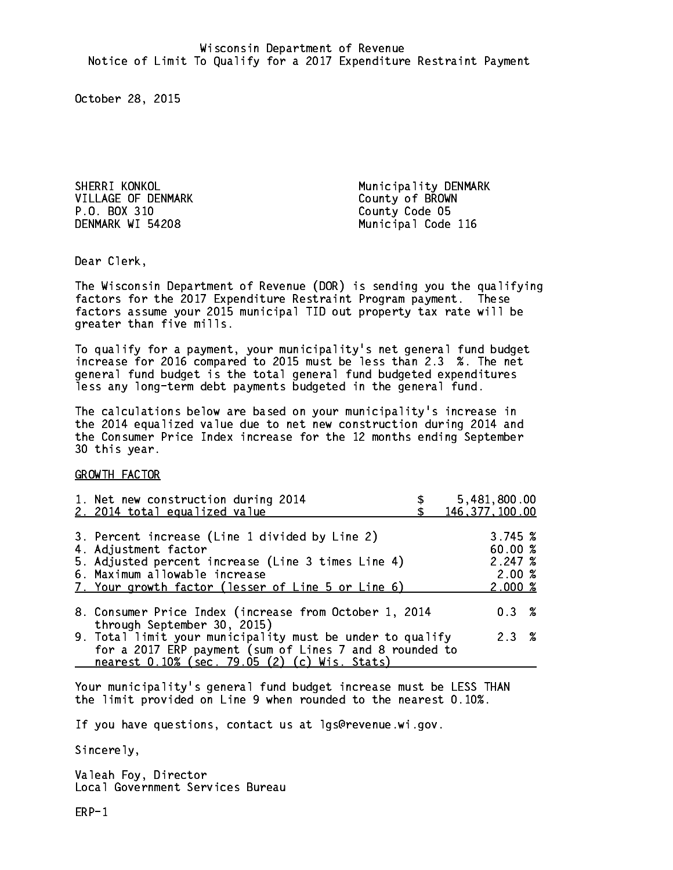VILLAGE OF DENMARK County of BROWN P.O. BOX 310 County Code 05 DENMARK WI 54208

SHERRI KONKOL NG MUNICIPALITY DENMARK Municipal Code 116

Dear Clerk. Dear Clerk,

The Wisconsin Department of Revenue (DOR) is sending you the qualifying factors for the 2017 Expenditure Restraint Program payment. These factors assume your 2015 municipal TID out property tax rate will be greater than five mills.

 To qualify for a payment, your municipality's net general fund budget increase for 2016 compared to 2015 must be less than 2.3 %. The net general fund budget is the total general fund budgeted expenditures less any long-term debt payments budgeted in the general fund.

The calculations below are based on your municipality's increase in the 2014 equalized value due to net new construction during 2014 and the Consumer Price Index increase for the 12 months ending September 30 this year. 30 this year.

GROWTH FACTOR

| 1. Net new construction during 2014<br>2. 2014 total equalized value                                                                                                                                                | 5,481,800.00<br>146, 377, 100.00                 |
|---------------------------------------------------------------------------------------------------------------------------------------------------------------------------------------------------------------------|--------------------------------------------------|
| 3. Percent increase (Line 1 divided by Line 2)<br>4. Adjustment factor<br>5. Adjusted percent increase (Line 3 times Line 4)<br>6. Maximum allowable increase<br>7. Your growth factor (lesser of Line 5 or Line 6) | 3.745~%<br>60.00%<br>2.247~%<br>2.00%<br>2.000~% |
| 8. Consumer Price Index (increase from October 1, 2014                                                                                                                                                              | $0.3 \t%$                                        |
| through September 30, 2015)<br>9. Total limit your municipality must be under to qualify<br>for a 2017 ERP payment (sum of Lines 7 and 8 rounded to<br>nearest 0.10% (sec. 79.05 (2) (c) Wis. Stats)                | 2.3%                                             |

Your municipality's general fund budget increase must be LESS THAN the limit provided on Line 9 when rounded to the nearest 0.10%.

If you have questions, contact us at lgs@revenue.wi.gov.

Sincerely,

Valeah Foy, Director Local Government Services Bureau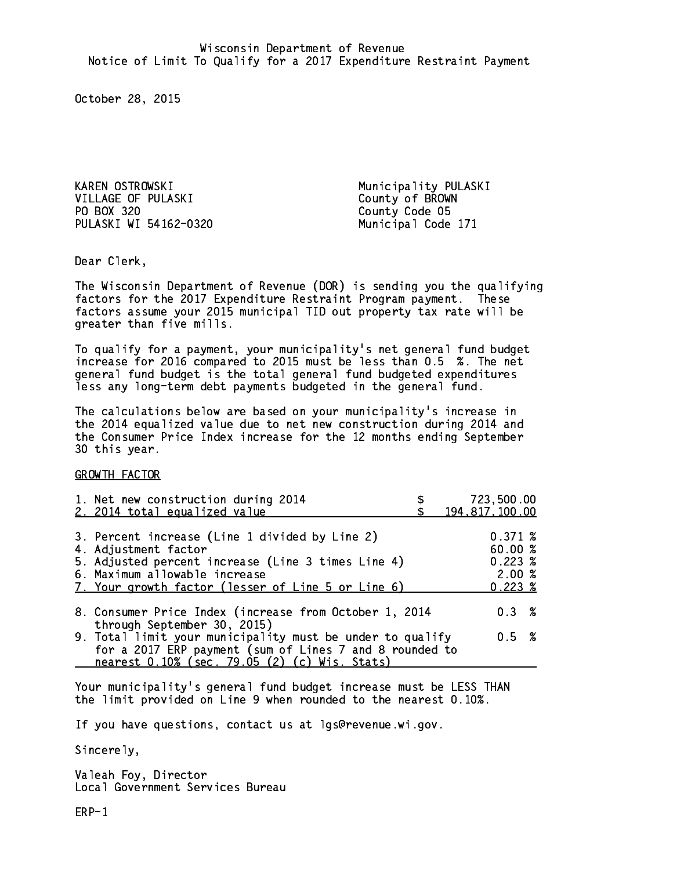KAREN OSTROWSKI **Municipality PULASKI** VILLAGE OF PULASKI County of BROWN PO BOX 320 County Code 05 PULASKI WI 54162-0320 Municipal Code 171

Dear Clerk. Dear Clerk,

The Wisconsin Department of Revenue (DOR) is sending you the qualifying factors for the 2017 Expenditure Restraint Program payment. These factors assume your 2015 municipal TID out property tax rate will be greater than five mills.

 To qualify for a payment, your municipality's net general fund budget increase for 2016 compared to 2015 must be less than 0.5 %. The net general fund budget is the total general fund budgeted expenditures less any long-term debt payments budgeted in the general fund.

The calculations below are based on your municipality's increase in the 2014 equalized value due to net new construction during 2014 and the Consumer Price Index increase for the 12 months ending September 30 this year. 30 this year.

GROWTH FACTOR

| 1. Net new construction during 2014<br>2. 2014 total equalized value                                                                                                                                                |  | 723,500.00<br>194, 817, 100.00                             |  |
|---------------------------------------------------------------------------------------------------------------------------------------------------------------------------------------------------------------------|--|------------------------------------------------------------|--|
| 3. Percent increase (Line 1 divided by Line 2)<br>4. Adjustment factor<br>5. Adjusted percent increase (Line 3 times Line 4)<br>6. Maximum allowable increase<br>7. Your growth factor (lesser of Line 5 or Line 6) |  | 0.371~%<br>60.00%<br>$0.223 \;$ %<br>2.00%<br>$0.223 \; %$ |  |
| 8. Consumer Price Index (increase from October 1, 2014                                                                                                                                                              |  | $0.3 \t%$                                                  |  |
| through September 30, 2015)<br>9. Total limit your municipality must be under to qualify<br>for a 2017 ERP payment (sum of Lines 7 and 8 rounded to<br>nearest 0.10% (sec. 79.05 (2) (c) Wis. Stats)                |  | 0.5 %                                                      |  |

Your municipality's general fund budget increase must be LESS THAN the limit provided on Line 9 when rounded to the nearest 0.10%.

If you have questions, contact us at lgs@revenue.wi.gov.

Sincerely,

Valeah Foy, Director Local Government Services Bureau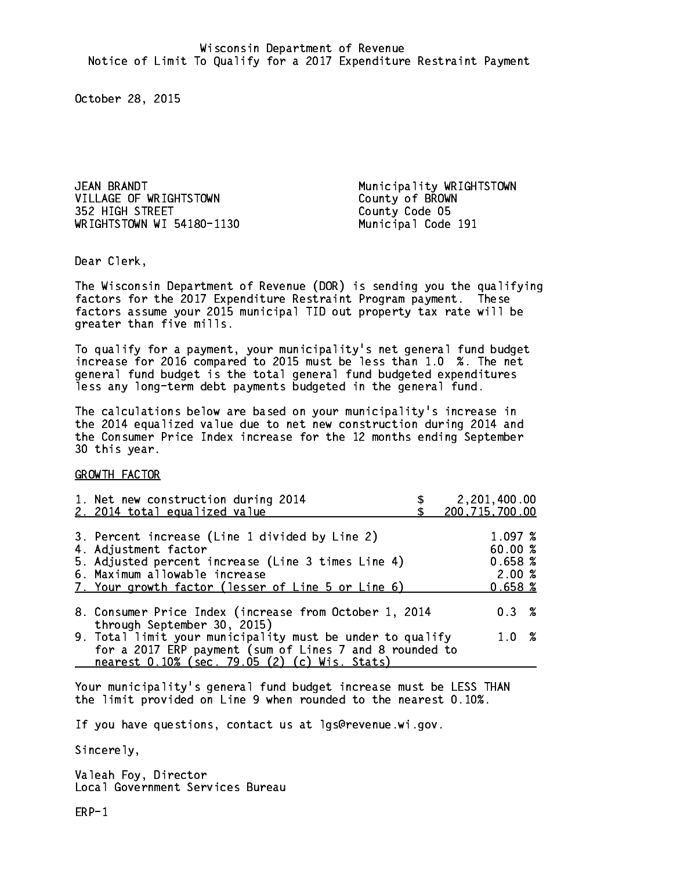JEAN BRANDT **Municipality WRIGHTSTOWN** VILLAGE OF WRIGHTSTOWN County of BROWN 352 HIGH STREET County Code 05 WRIGHTSTOWN WI 54180-1130 Municipal Code 191

Dear Clerk. Dear Clerk,

The Wisconsin Department of Revenue (DOR) is sending you the qualifying factors for the 2017 Expenditure Restraint Program payment. These factors assume your 2015 municipal TID out property tax rate will be greater than five mills.

 To qualify for a payment, your municipality's net general fund budget increase for 2016 compared to 2015 must be less than 1.0 %. The net general fund budget is the total general fund budgeted expenditures less any long-term debt payments budgeted in the general fund.

The calculations below are based on your municipality's increase in the 2014 equalized value due to net new construction during 2014 and the Consumer Price Index increase for the 12 months ending September 30 this year. 30 this year.

GROWTH FACTOR

| 1. Net new construction during 2014<br>2. 2014 total equalized value                                                                                                                                                | 2,201,400.00<br>200, 715, 700.00                  |
|---------------------------------------------------------------------------------------------------------------------------------------------------------------------------------------------------------------------|---------------------------------------------------|
| 3. Percent increase (Line 1 divided by Line 2)<br>4. Adjustment factor<br>5. Adjusted percent increase (Line 3 times Line 4)<br>6. Maximum allowable increase<br>7. Your growth factor (lesser of Line 5 or Line 6) | 1.097~%<br>60.00 %<br>0.658~%<br>2.00%<br>0.658~% |
| 8. Consumer Price Index (increase from October 1, 2014                                                                                                                                                              | $0.3 \t%$                                         |
| through September 30, 2015)<br>9. Total limit your municipality must be under to qualify<br>for a 2017 ERP payment (sum of Lines 7 and 8 rounded to<br>nearest 0.10% (sec. 79.05 (2) (c) Wis. Stats)                | 1.0 %                                             |

Your municipality's general fund budget increase must be LESS THAN the limit provided on Line 9 when rounded to the nearest 0.10%.

If you have questions, contact us at lgs@revenue.wi.gov.

Sincerely,

Valeah Foy, Director Local Government Services Bureau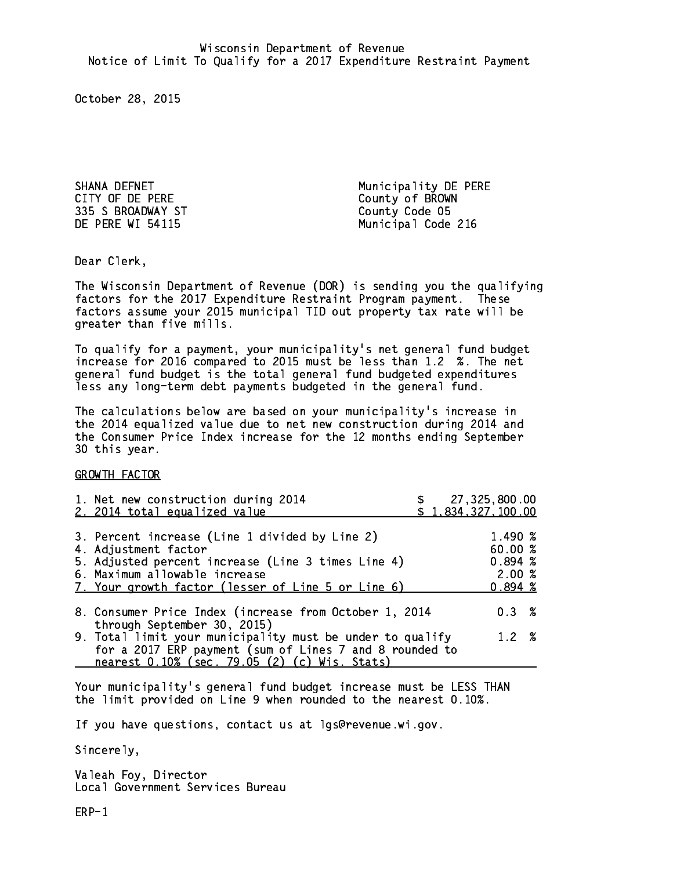CITY OF DE PERE COUNTY OF BROWN 335 S BROADWAY ST County Code 05

SHANA DEFNET **Municipality DE PERE** DE PERE WI 54115 Municipal Code 216

Dear Clerk. Dear Clerk,

The Wisconsin Department of Revenue (DOR) is sending you the qualifying factors for the 2017 Expenditure Restraint Program payment. These factors assume your 2015 municipal TID out property tax rate will be greater than five mills.

 To qualify for a payment, your municipality's net general fund budget increase for 2016 compared to 2015 must be less than 1.2 %. The net general fund budget is the total general fund budgeted expenditures less any long-term debt payments budgeted in the general fund.

The calculations below are based on your municipality's increase in the 2014 equalized value due to net new construction during 2014 and the Consumer Price Index increase for the 12 months ending September 30 this year. 30 this year.

GROWTH FACTOR

| 1. Net new construction during 2014<br>2. 2014 total equalized value                                                                                                                                                | \$27,325,800.00<br>\$1,834,327,100.00                   |
|---------------------------------------------------------------------------------------------------------------------------------------------------------------------------------------------------------------------|---------------------------------------------------------|
| 3. Percent increase (Line 1 divided by Line 2)<br>4. Adjustment factor<br>5. Adjusted percent increase (Line 3 times Line 4)<br>6. Maximum allowable increase<br>7. Your growth factor (lesser of Line 5 or Line 6) | 1.490 %<br>60.00 %<br>$0.894*$<br>2.00%<br>$0.894 \; %$ |
| 8. Consumer Price Index (increase from October 1, 2014                                                                                                                                                              | 0.3%                                                    |
| through September 30, 2015)<br>9. Total limit your municipality must be under to qualify<br>for a 2017 ERP payment (sum of Lines 7 and 8 rounded to<br>nearest 0.10% (sec. 79.05 (2) (c) Wis. Stats)                | 1.2 %                                                   |

Your municipality's general fund budget increase must be LESS THAN the limit provided on Line 9 when rounded to the nearest 0.10%.

If you have questions, contact us at lgs@revenue.wi.gov.

Sincerely,

Valeah Foy, Director Local Government Services Bureau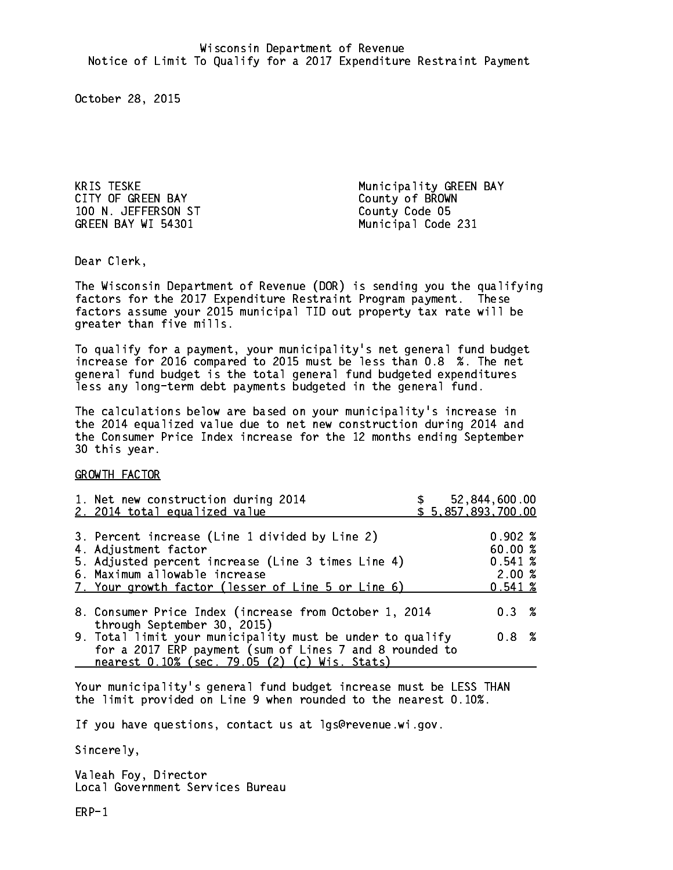CITY OF GREEN BAY County of BROWN 100 N. JEFFERSON ST County Code 05 GREEN BAY WI 54301 Municipal Code 231

Municipality GREEN BAY

Dear Clerk. Dear Clerk,

The Wisconsin Department of Revenue (DOR) is sending you the qualifying factors for the 2017 Expenditure Restraint Program payment. These factors assume your 2015 municipal TID out property tax rate will be greater than five mills.

 To qualify for a payment, your municipality's net general fund budget increase for 2016 compared to 2015 must be less than 0.8 %. The net general fund budget is the total general fund budgeted expenditures less any long-term debt payments budgeted in the general fund.

The calculations below are based on your municipality's increase in the 2014 equalized value due to net new construction during 2014 and the Consumer Price Index increase for the 12 months ending September 30 this year. 30 this year.

GROWTH FACTOR

| 1. Net new construction during 2014<br>2. 2014 total equalized value                                                                                                                                                |  | 52,844,600.00<br>\$5,857,893,700.00             |  |
|---------------------------------------------------------------------------------------------------------------------------------------------------------------------------------------------------------------------|--|-------------------------------------------------|--|
| 3. Percent increase (Line 1 divided by Line 2)<br>4. Adjustment factor<br>5. Adjusted percent increase (Line 3 times Line 4)<br>6. Maximum allowable increase<br>7. Your growth factor (lesser of Line 5 or Line 6) |  | 0.902%<br>60.00%<br>0.541~%<br>2.00%<br>0.541~% |  |
| 8. Consumer Price Index (increase from October 1, 2014<br>through September 30, 2015)                                                                                                                               |  | $0.3 \t%$                                       |  |
| 9. Total limit your municipality must be under to qualify<br>for a 2017 ERP payment (sum of Lines 7 and 8 rounded to<br>nearest 0.10% (sec. 79.05 (2) (c) Wis. Stats)                                               |  | 0.8 <sup>8</sup>                                |  |

Your municipality's general fund budget increase must be LESS THAN the limit provided on Line 9 when rounded to the nearest 0.10%.

If you have questions, contact us at lgs@revenue.wi.gov.

Sincerely,

Valeah Foy, Director Local Government Services Bureau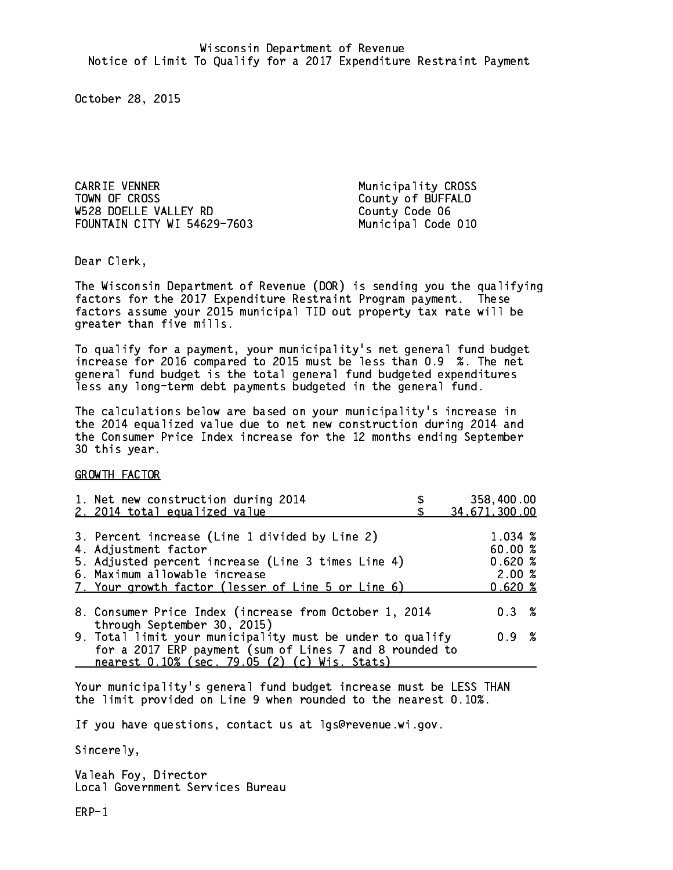CARRIE VENNER **Municipality** CROSS TOWN OF CROSS County of BUFFALO W528 DOELLE VALLEY RD County Code 06 FOUNTAIN CITY WI 54629-7603 Municipal Code 010

Dear Clerk. Dear Clerk,

The Wisconsin Department of Revenue (DOR) is sending you the qualifying factors for the 2017 Expenditure Restraint Program payment. These factors assume your 2015 municipal TID out property tax rate will be greater than five mills.

 To qualify for a payment, your municipality's net general fund budget increase for 2016 compared to 2015 must be less than 0.9 %. The net general fund budget is the total general fund budgeted expenditures less any long-term debt payments budgeted in the general fund.

The calculations below are based on your municipality's increase in the 2014 equalized value due to net new construction during 2014 and the Consumer Price Index increase for the 12 months ending September 30 this year. 30 this year.

GROWTH FACTOR

| 1. Net new construction during 2014                                                                                                                                                                                 | 358,400.00                                     |
|---------------------------------------------------------------------------------------------------------------------------------------------------------------------------------------------------------------------|------------------------------------------------|
| 2. 2014 total equalized value                                                                                                                                                                                       | 34,671,300.00                                  |
| 3. Percent increase (Line 1 divided by Line 2)<br>4. Adjustment factor<br>5. Adjusted percent increase (Line 3 times Line 4)<br>6. Maximum allowable increase<br>7. Your growth factor (lesser of Line 5 or Line 6) | 1.034 %<br>60.00%<br>0.620%<br>2.00%<br>0.620% |
| 8. Consumer Price Index (increase from October 1, 2014                                                                                                                                                              | $0.3 \t%$                                      |
| through September 30, 2015)<br>9. Total limit your municipality must be under to qualify<br>for a 2017 ERP payment (sum of Lines 7 and 8 rounded to<br>nearest 0.10% (sec. 79.05 (2) (c) Wis. Stats)                | 0.9 %                                          |

Your municipality's general fund budget increase must be LESS THAN the limit provided on Line 9 when rounded to the nearest 0.10%.

If you have questions, contact us at lgs@revenue.wi.gov.

Sincerely,

Valeah Foy, Director Local Government Services Bureau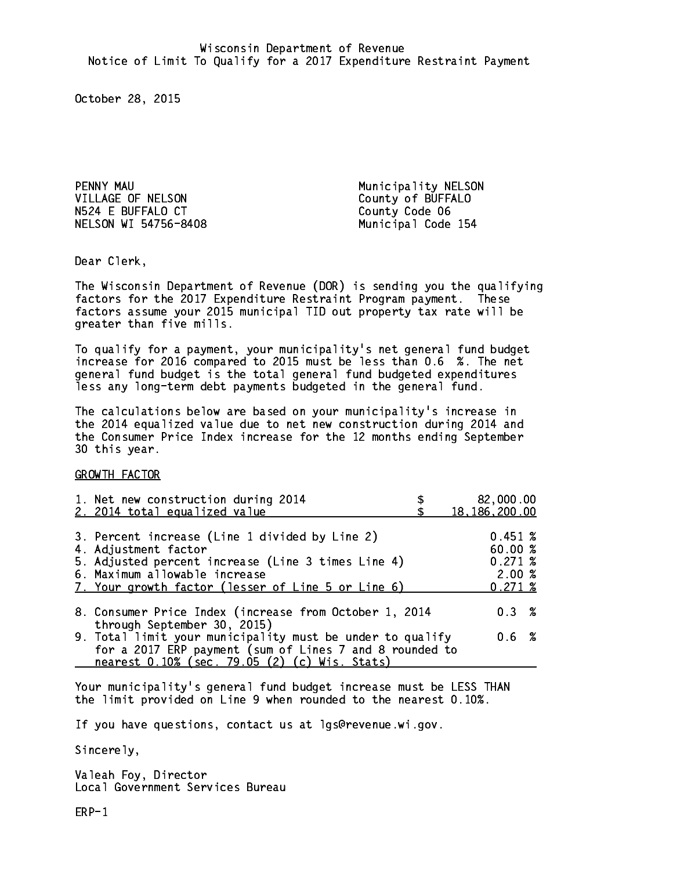PENNY MAU **Municipality NELSON** VILLAGE OF NELSON County of BUFFALO N524 E BUFFALO CT County Code 06 NELSON WI 54756-8408 Municipal Code 154

Dear Clerk. Dear Clerk,

The Wisconsin Department of Revenue (DOR) is sending you the qualifying factors for the 2017 Expenditure Restraint Program payment. These factors assume your 2015 municipal TID out property tax rate will be greater than five mills.

 To qualify for a payment, your municipality's net general fund budget increase for 2016 compared to 2015 must be less than 0.6 %. The net general fund budget is the total general fund budgeted expenditures less any long-term debt payments budgeted in the general fund.

The calculations below are based on your municipality's increase in the 2014 equalized value due to net new construction during 2014 and the Consumer Price Index increase for the 12 months ending September 30 this year. 30 this year.

GROWTH FACTOR

| 1. Net new construction during 2014<br>2. 2014 total equalized value                                                                                                                                                | 82,000.00<br>18, 186, 200.00                     |
|---------------------------------------------------------------------------------------------------------------------------------------------------------------------------------------------------------------------|--------------------------------------------------|
| 3. Percent increase (Line 1 divided by Line 2)<br>4. Adjustment factor<br>5. Adjusted percent increase (Line 3 times Line 4)<br>6. Maximum allowable increase<br>7. Your growth factor (lesser of Line 5 or Line 6) | 0.451~%<br>60.00%<br>0.271~%<br>2.00%<br>0.271~% |
| 8. Consumer Price Index (increase from October 1, 2014                                                                                                                                                              | 0.3%                                             |
| through September 30, 2015)<br>9. Total limit your municipality must be under to qualify<br>for a 2017 ERP payment (sum of Lines 7 and 8 rounded to<br>nearest 0.10% (sec. 79.05 (2) (c) Wis. Stats)                | 0.6 %                                            |

Your municipality's general fund budget increase must be LESS THAN the limit provided on Line 9 when rounded to the nearest 0.10%.

If you have questions, contact us at lgs@revenue.wi.gov.

Sincerely,

Valeah Foy, Director Local Government Services Bureau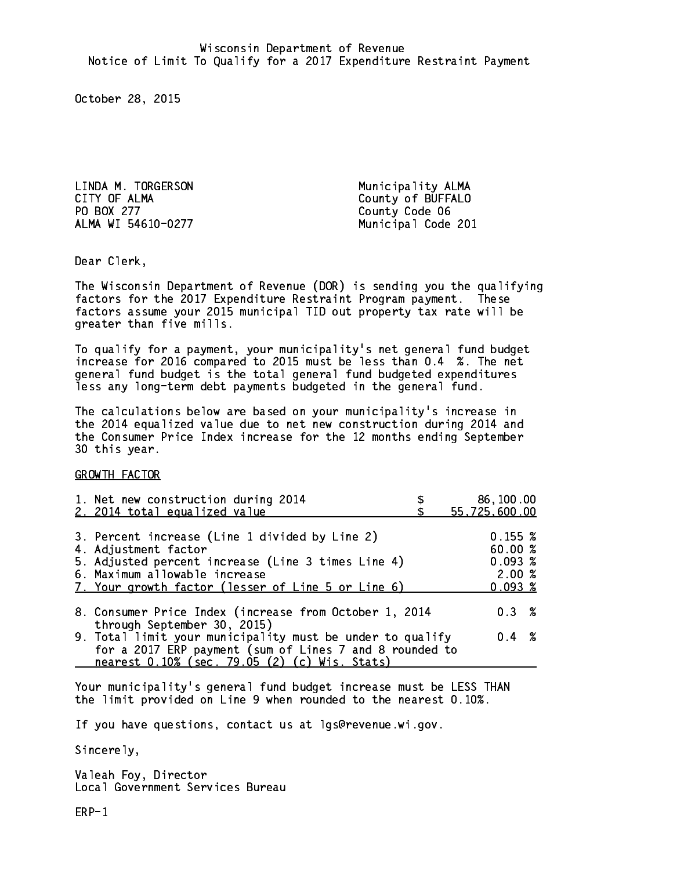LINDA M. TORGERSON Municipality ALMA CITY OF ALMA COUNTY OF ALMA PO BOX 277 County Code 06 ALMA WI 54610-0277 Municipal Code 201

Dear Clerk. Dear Clerk,

The Wisconsin Department of Revenue (DOR) is sending you the qualifying factors for the 2017 Expenditure Restraint Program payment. These factors assume your 2015 municipal TID out property tax rate will be greater than five mills.

 To qualify for a payment, your municipality's net general fund budget increase for 2016 compared to 2015 must be less than 0.4 %. The net general fund budget is the total general fund budgeted expenditures less any long-term debt payments budgeted in the general fund.

The calculations below are based on your municipality's increase in the 2014 equalized value due to net new construction during 2014 and the Consumer Price Index increase for the 12 months ending September 30 this year. 30 this year.

GROWTH FACTOR

| 1. Net new construction during 2014<br>2. 2014 total equalized value | 86,100.00<br>55,725,600.00 |
|----------------------------------------------------------------------|----------------------------|
|                                                                      |                            |
| 3. Percent increase (Line 1 divided by Line 2)                       | 0.155~%                    |
| 4. Adjustment factor                                                 | 60.00%                     |
| 5. Adjusted percent increase (Line 3 times Line 4)                   | $0.093 \;$ %               |
| 6. Maximum allowable increase                                        | 2.00%                      |
| 7. Your growth factor (lesser of Line 5 or Line 6)                   | $0.093*$                   |
|                                                                      |                            |
| 8. Consumer Price Index (increase from October 1, 2014               | $0.3 \t%$                  |
| through September 30, 2015)                                          |                            |
| 9. Total limit your municipality must be under to qualify            | $0.4 \t%$                  |
| for a 2017 ERP payment (sum of Lines 7 and 8 rounded to              |                            |
| nearest 0.10% (sec. 79.05 (2) (c) Wis. Stats)                        |                            |

Your municipality's general fund budget increase must be LESS THAN the limit provided on Line 9 when rounded to the nearest 0.10%.

If you have questions, contact us at lgs@revenue.wi.gov.

Sincerely,

Valeah Foy, Director Local Government Services Bureau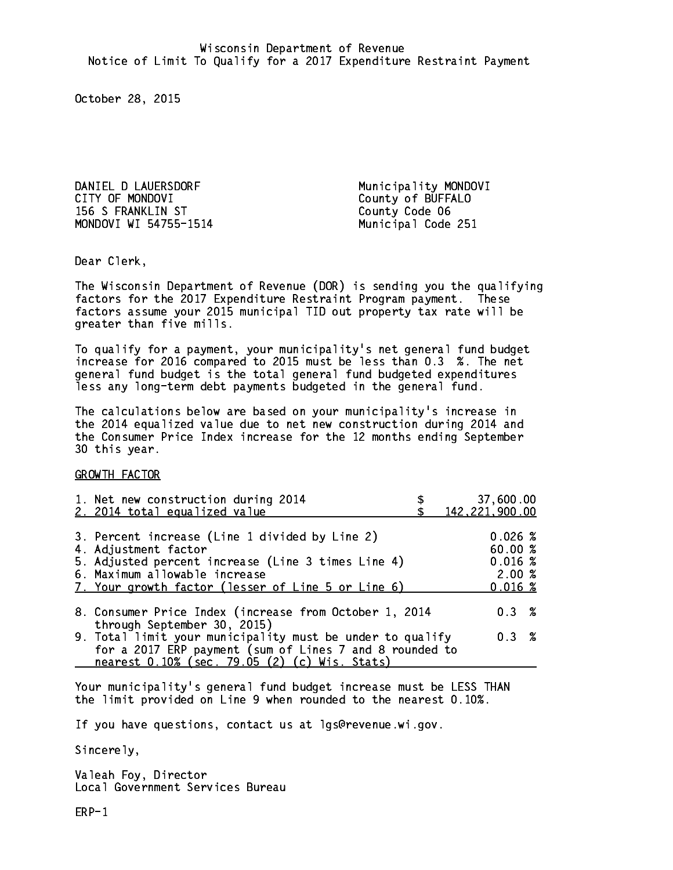DANIEL D LAUERSDORF Municipality MONDOVI CITY OF MONDOVI COUNTY County of BUFFALO 156 S FRANKLIN ST County Code 06 MONDOVI WI 54755-1514

Municipal Code 251

Dear Clerk. Dear Clerk,

The Wisconsin Department of Revenue (DOR) is sending you the qualifying factors for the 2017 Expenditure Restraint Program payment. These factors assume your 2015 municipal TID out property tax rate will be greater than five mills.

 To qualify for a payment, your municipality's net general fund budget increase for 2016 compared to 2015 must be less than 0.3 %. The net general fund budget is the total general fund budgeted expenditures less any long-term debt payments budgeted in the general fund.

The calculations below are based on your municipality's increase in the 2014 equalized value due to net new construction during 2014 and the Consumer Price Index increase for the 12 months ending September 30 this year. 30 this year.

GROWTH FACTOR

| 1. Net new construction during 2014<br>2. 2014 total equalized value                                                                                                                                                | 37,600.00<br>142, 221, 900.00                     |
|---------------------------------------------------------------------------------------------------------------------------------------------------------------------------------------------------------------------|---------------------------------------------------|
| 3. Percent increase (Line 1 divided by Line 2)<br>4. Adjustment factor<br>5. Adjusted percent increase (Line 3 times Line 4)<br>6. Maximum allowable increase<br>7. Your growth factor (lesser of Line 5 or Line 6) | $0.026$ %<br>60.00%<br>0.016~%<br>2.00%<br>0.016% |
| 8. Consumer Price Index (increase from October 1, 2014                                                                                                                                                              | 0.3%                                              |
| through September 30, 2015)<br>9. Total limit your municipality must be under to qualify<br>for a 2017 ERP payment (sum of Lines 7 and 8 rounded to<br>nearest 0.10% (sec. 79.05 (2) (c) Wis. Stats)                | 0.3%                                              |

Your municipality's general fund budget increase must be LESS THAN the limit provided on Line 9 when rounded to the nearest 0.10%.

If you have questions, contact us at lgs@revenue.wi.gov.

Sincerely,

Valeah Foy, Director Local Government Services Bureau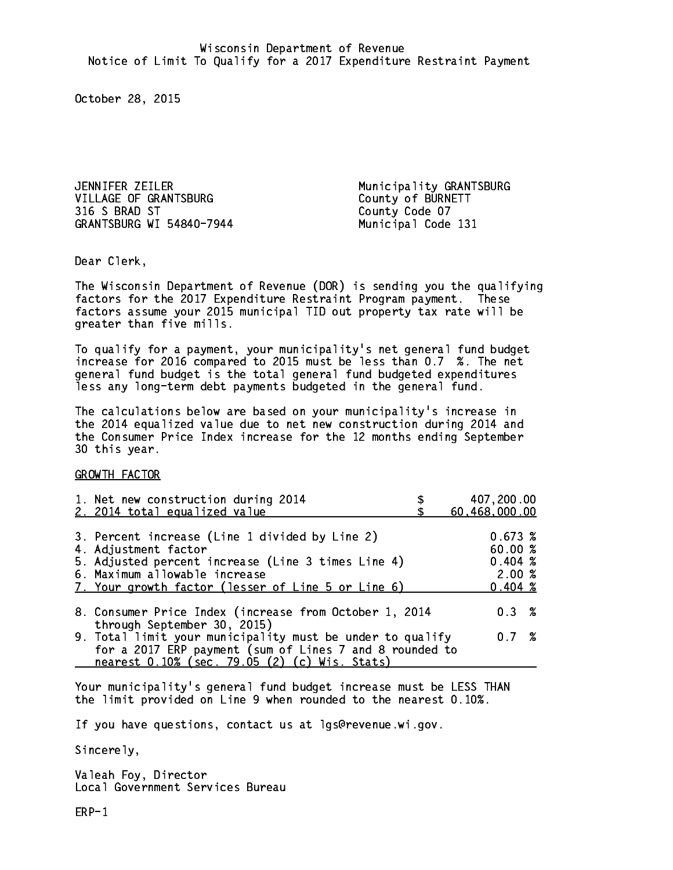JENNIFER ZEILER Municipality GRANTSBURG VILLAGE OF GRANTSBURG<br>316 S BRAD ST County Code 07 GRANTSBURG WI 54840-7944 Municipal Code 131

County Code 07

Dear Clerk. Dear Clerk,

The Wisconsin Department of Revenue (DOR) is sending you the qualifying factors for the 2017 Expenditure Restraint Program payment. These factors assume your 2015 municipal TID out property tax rate will be greater than five mills.

 To qualify for a payment, your municipality's net general fund budget increase for 2016 compared to 2015 must be less than 0.7 %. The net general fund budget is the total general fund budgeted expenditures less any long-term debt payments budgeted in the general fund.

The calculations below are based on your municipality's increase in the 2014 equalized value due to net new construction during 2014 and the Consumer Price Index increase for the 12 months ending September 30 this year. 30 this year.

GROWTH FACTOR

| 1. Net new construction during 2014<br>2. 2014 total equalized value                                                                                                                                                | 407,200.00<br>60,468,000.00                                |
|---------------------------------------------------------------------------------------------------------------------------------------------------------------------------------------------------------------------|------------------------------------------------------------|
| 3. Percent increase (Line 1 divided by Line 2)<br>4. Adjustment factor<br>5. Adjusted percent increase (Line 3 times Line 4)<br>6. Maximum allowable increase<br>7. Your growth factor (lesser of Line 5 or Line 6) | 0.673~%<br>60.00%<br>$0.404 \;$ %<br>2.00%<br>$0.404 \; %$ |
| 8. Consumer Price Index (increase from October 1, 2014                                                                                                                                                              | $0.3 \t%$                                                  |
| through September 30, 2015)<br>9. Total limit your municipality must be under to qualify<br>for a 2017 ERP payment (sum of Lines 7 and 8 rounded to<br>nearest 0.10% (sec. 79.05 (2) (c) Wis. Stats)                | 0.7%                                                       |

Your municipality's general fund budget increase must be LESS THAN the limit provided on Line 9 when rounded to the nearest 0.10%.

If you have questions, contact us at lgs@revenue.wi.gov.

Sincerely,

Valeah Foy, Director Local Government Services Bureau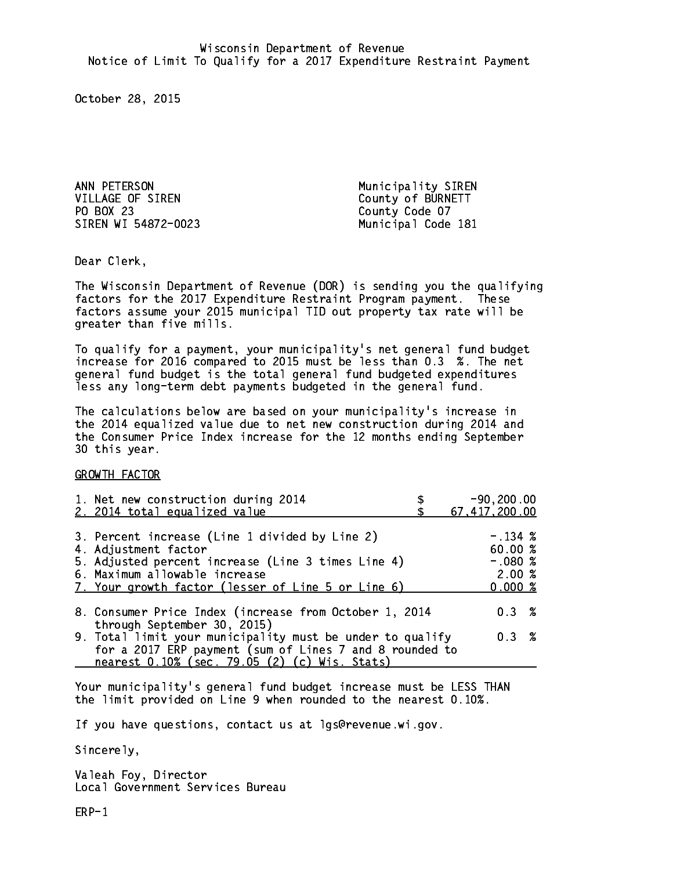ANN PETERSON Municipality SIREN VILLAGE OF SIREN County of BURNETT PO BOX 23 SIREN WI 54872-0023 Municipal Code 181

County Code 07

Dear Clerk. Dear Clerk,

The Wisconsin Department of Revenue (DOR) is sending you the qualifying factors for the 2017 Expenditure Restraint Program payment. These factors assume your 2015 municipal TID out property tax rate will be greater than five mills.

 To qualify for a payment, your municipality's net general fund budget increase for 2016 compared to 2015 must be less than 0.3 %. The net general fund budget is the total general fund budgeted expenditures less any long-term debt payments budgeted in the general fund.

The calculations below are based on your municipality's increase in the 2014 equalized value due to net new construction during 2014 and the Consumer Price Index increase for the 12 months ending September 30 this year. 30 this year.

GROWTH FACTOR

| 1. Net new construction during 2014<br>2. 2014 total equalized value                                                                                                                                                | $-90, 200.00$<br>67, 417, 200.00                     |
|---------------------------------------------------------------------------------------------------------------------------------------------------------------------------------------------------------------------|------------------------------------------------------|
| 3. Percent increase (Line 1 divided by Line 2)<br>4. Adjustment factor<br>5. Adjusted percent increase (Line 3 times Line 4)<br>6. Maximum allowable increase<br>7. Your growth factor (lesser of Line 5 or Line 6) | $-.134~%$<br>60.00%<br>$-.080$ %<br>2.00%<br>0.000 % |
| 8. Consumer Price Index (increase from October 1, 2014                                                                                                                                                              | 0.3%                                                 |
| through September 30, 2015)<br>9. Total limit your municipality must be under to qualify<br>for a 2017 ERP payment (sum of Lines 7 and 8 rounded to<br>nearest 0.10% (sec. 79.05 (2) (c) Wis. Stats)                | 0.3%                                                 |

Your municipality's general fund budget increase must be LESS THAN the limit provided on Line 9 when rounded to the nearest 0.10%.

If you have questions, contact us at lgs@revenue.wi.gov.

Sincerely,

Valeah Foy, Director Local Government Services Bureau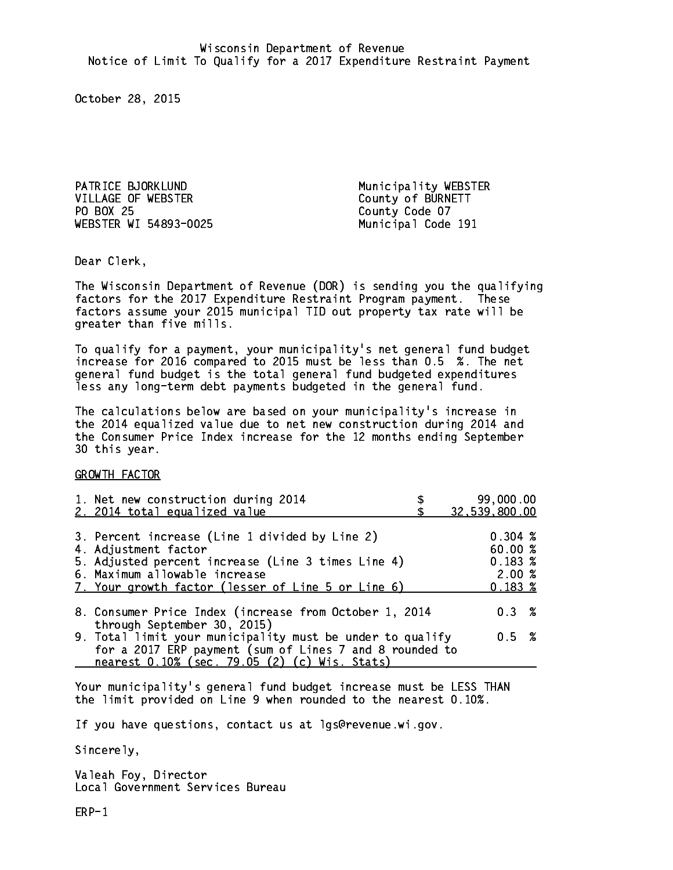PATRICE BJORKLUND Municipality WEBSTER VILLAGE OF WEBSTER County of BURNETT PO BOX 25 WEBSTER WI 54893-0025 Municipal Code 191

County Code 07

Dear Clerk. Dear Clerk,

The Wisconsin Department of Revenue (DOR) is sending you the qualifying factors for the 2017 Expenditure Restraint Program payment. These factors assume your 2015 municipal TID out property tax rate will be greater than five mills.

 To qualify for a payment, your municipality's net general fund budget increase for 2016 compared to 2015 must be less than 0.5 %. The net general fund budget is the total general fund budgeted expenditures less any long-term debt payments budgeted in the general fund.

The calculations below are based on your municipality's increase in the 2014 equalized value due to net new construction during 2014 and the Consumer Price Index increase for the 12 months ending September 30 this year. 30 this year.

GROWTH FACTOR

| 1. Net new construction during 2014                                                                                                                                                                                 | 99,000.00                                                       |  |
|---------------------------------------------------------------------------------------------------------------------------------------------------------------------------------------------------------------------|-----------------------------------------------------------------|--|
| 2. 2014 total equalized value                                                                                                                                                                                       | 32,539,800.00                                                   |  |
| 3. Percent increase (Line 1 divided by Line 2)<br>4. Adjustment factor<br>5. Adjusted percent increase (Line 3 times Line 4)<br>6. Maximum allowable increase<br>7. Your growth factor (lesser of Line 5 or Line 6) | $0.304 \; %$<br>60.00%<br>$0.183 \;$ %<br>2.00%<br>$0.183 \;$ % |  |
| 8. Consumer Price Index (increase from October 1, 2014                                                                                                                                                              | $0.3 \t%$                                                       |  |
| through September 30, 2015)<br>9. Total limit your municipality must be under to qualify<br>for a 2017 ERP payment (sum of Lines 7 and 8 rounded to<br>nearest 0.10% (sec. 79.05 (2) (c) Wis. Stats)                | 0.5 %                                                           |  |

Your municipality's general fund budget increase must be LESS THAN the limit provided on Line 9 when rounded to the nearest 0.10%.

If you have questions, contact us at lgs@revenue.wi.gov.

Sincerely,

Valeah Foy, Director Local Government Services Bureau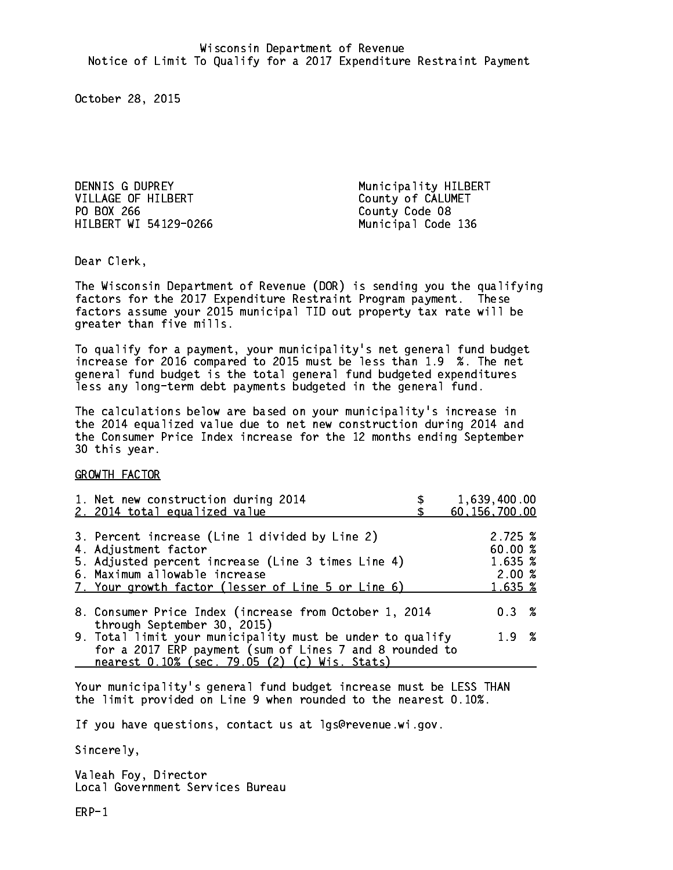DENNIS G DUPREY Municipality HILBERT VILLAGE OF HILBERT<br>
PO BOX 266<br>
County Code 08 HILBERT WI 54129-0266 Municipal Code 136

County Code 08

Dear Clerk. Dear Clerk,

The Wisconsin Department of Revenue (DOR) is sending you the qualifying factors for the 2017 Expenditure Restraint Program payment. These factors assume your 2015 municipal TID out property tax rate will be greater than five mills.

 To qualify for a payment, your municipality's net general fund budget increase for 2016 compared to 2015 must be less than 1.9 %. The net general fund budget is the total general fund budgeted expenditures less any long-term debt payments budgeted in the general fund.

The calculations below are based on your municipality's increase in the 2014 equalized value due to net new construction during 2014 and the Consumer Price Index increase for the 12 months ending September 30 this year. 30 this year.

GROWTH FACTOR

| 1. Net new construction during 2014<br>2. 2014 total equalized value                                                                                                                                                | 1,639,400.00<br>60, 156, 700.00                   |
|---------------------------------------------------------------------------------------------------------------------------------------------------------------------------------------------------------------------|---------------------------------------------------|
| 3. Percent increase (Line 1 divided by Line 2)<br>4. Adjustment factor<br>5. Adjusted percent increase (Line 3 times Line 4)<br>6. Maximum allowable increase<br>7. Your growth factor (lesser of Line 5 or Line 6) | 2.725~%<br>60.00 %<br>1.635 %<br>2.00%<br>1.635 % |
| 8. Consumer Price Index (increase from October 1, 2014                                                                                                                                                              | $0.3 \t%$                                         |
| through September 30, 2015)<br>9. Total limit your municipality must be under to qualify<br>for a 2017 ERP payment (sum of Lines 7 and 8 rounded to<br>nearest 0.10% (sec. 79.05 (2) (c) Wis. Stats)                | 1.9%                                              |

Your municipality's general fund budget increase must be LESS THAN the limit provided on Line 9 when rounded to the nearest 0.10%.

If you have questions, contact us at lgs@revenue.wi.gov.

Sincerely,

Valeah Foy, Director Local Government Services Bureau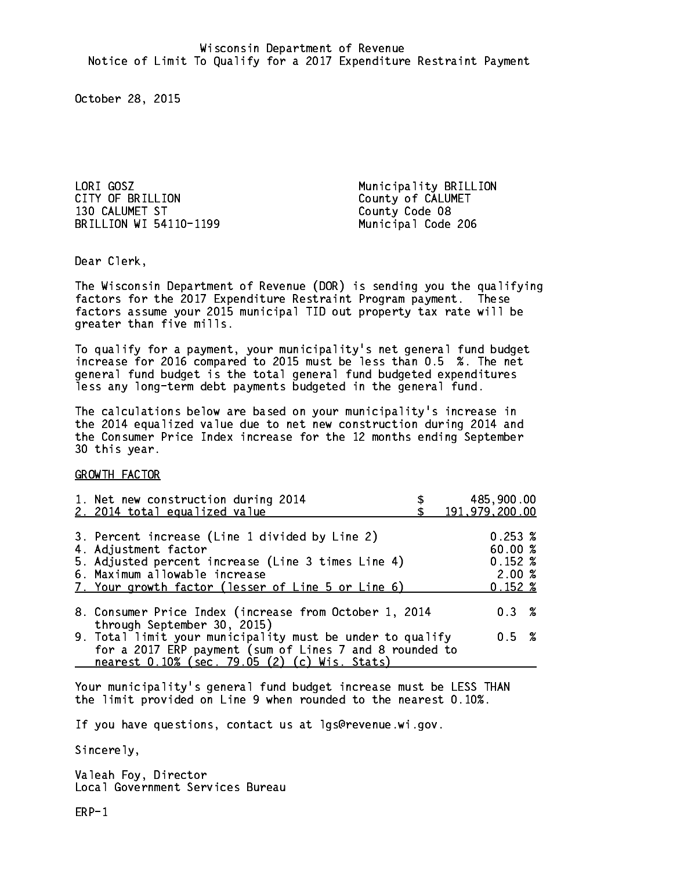LORI GOSZ<br>
CITY OF BRILLION CITY OF BRILLION 130 CALUMET ST County Code 08 BRILLION WI 54110-1199 Municipal Code 206

County of CALUMET

Dear Clerk. Dear Clerk,

The Wisconsin Department of Revenue (DOR) is sending you the qualifying factors for the 2017 Expenditure Restraint Program payment. These factors assume your 2015 municipal TID out property tax rate will be greater than five mills.

 To qualify for a payment, your municipality's net general fund budget increase for 2016 compared to 2015 must be less than 0.5 %. The net general fund budget is the total general fund budgeted expenditures less any long-term debt payments budgeted in the general fund.

The calculations below are based on your municipality's increase in the 2014 equalized value due to net new construction during 2014 and the Consumer Price Index increase for the 12 months ending September 30 this year. 30 this year.

GROWTH FACTOR

| 1. Net new construction during 2014<br>2. 2014 total equalized value                                                                                                                                                | 485,900.00<br>191,979,200.00                                |
|---------------------------------------------------------------------------------------------------------------------------------------------------------------------------------------------------------------------|-------------------------------------------------------------|
| 3. Percent increase (Line 1 divided by Line 2)<br>4. Adjustment factor<br>5. Adjusted percent increase (Line 3 times Line 4)<br>6. Maximum allowable increase<br>7. Your growth factor (lesser of Line 5 or Line 6) | $0.253 \;$ %<br>60.00%<br>$0.152*$<br>2.00%<br>$0.152 \; %$ |
| 8. Consumer Price Index (increase from October 1, 2014                                                                                                                                                              | $0.3 \t%$                                                   |
| through September 30, 2015)<br>9. Total limit your municipality must be under to qualify<br>for a 2017 ERP payment (sum of Lines 7 and 8 rounded to<br>nearest 0.10% (sec. 79.05 (2) (c) Wis. Stats)                | 0.5 %                                                       |

Your municipality's general fund budget increase must be LESS THAN the limit provided on Line 9 when rounded to the nearest 0.10%.

If you have questions, contact us at lgs@revenue.wi.gov.

Sincerely,

Valeah Foy, Director Local Government Services Bureau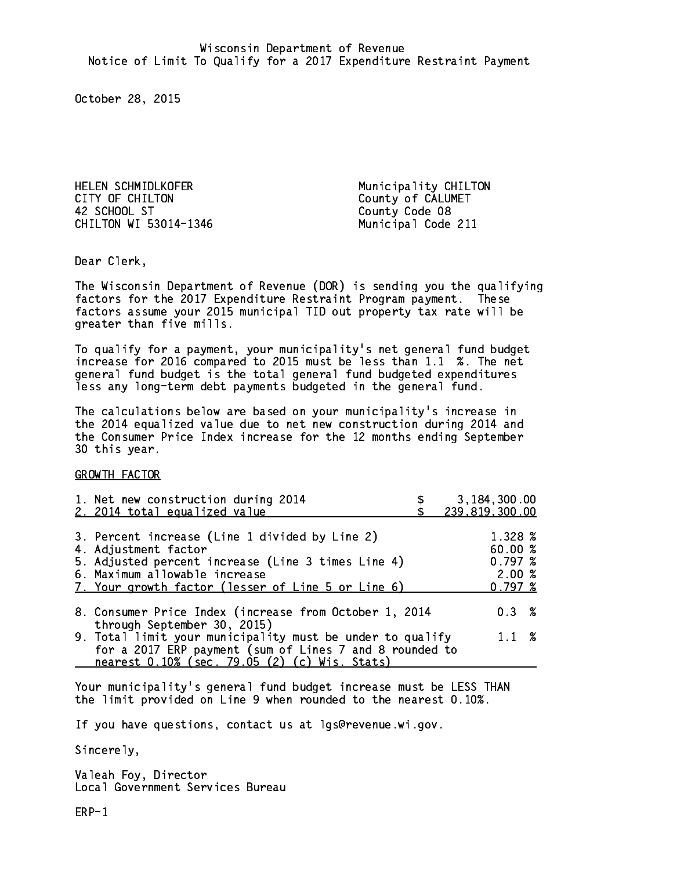HELEN SCHMIDLKOFER Municipality CHILTON CITY OF CHILTON COUNTY OF CALUMET 42 SCHOOL ST County Code 08 CHILTON WI 53014-1346 Municipal Code 211

Dear Clerk. Dear Clerk,

The Wisconsin Department of Revenue (DOR) is sending you the qualifying factors for the 2017 Expenditure Restraint Program payment. These factors assume your 2015 municipal TID out property tax rate will be greater than five mills.

 To qualify for a payment, your municipality's net general fund budget increase for 2016 compared to 2015 must be less than 1.1 %. The net general fund budget is the total general fund budgeted expenditures less any long-term debt payments budgeted in the general fund.

The calculations below are based on your municipality's increase in the 2014 equalized value due to net new construction during 2014 and the Consumer Price Index increase for the 12 months ending September 30 this year. 30 this year.

GROWTH FACTOR

|                                                                                                                      | 1.328 %<br>60.00 %<br>0.797~%<br>2.00%<br>0.797~% |                                |
|----------------------------------------------------------------------------------------------------------------------|---------------------------------------------------|--------------------------------|
| 8. Consumer Price Index (increase from October 1, 2014                                                               | $0.3 \t%$                                         |                                |
| 9. Total limit your municipality must be under to qualify<br>for a 2017 ERP payment (sum of Lines 7 and 8 rounded to | $1.1 \t%$                                         |                                |
|                                                                                                                      |                                                   | 3,184,300.00<br>239,819,300.00 |

Your municipality's general fund budget increase must be LESS THAN the limit provided on Line 9 when rounded to the nearest 0.10%.

If you have questions, contact us at lgs@revenue.wi.gov.

Sincerely,

Valeah Foy, Director Local Government Services Bureau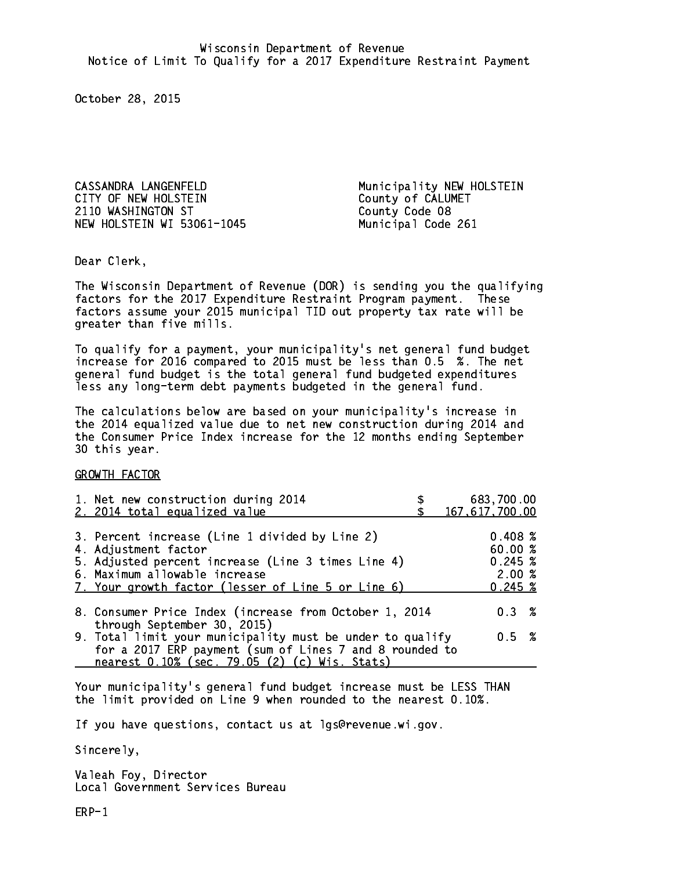CITY OF NEW HOLSTEIN COUNTY OF CALUMET 2110 WASHINGTON ST County Code 08 NEW HOLSTEIN WI 53061-1045 Municipal Code 261

CASSANDRA LANGENFELD Municipality NEW HOLSTEIN

Dear Clerk. Dear Clerk,

The Wisconsin Department of Revenue (DOR) is sending you the qualifying factors for the 2017 Expenditure Restraint Program payment. These factors assume your 2015 municipal TID out property tax rate will be greater than five mills.

 To qualify for a payment, your municipality's net general fund budget increase for 2016 compared to 2015 must be less than 0.5 %. The net general fund budget is the total general fund budgeted expenditures less any long-term debt payments budgeted in the general fund.

The calculations below are based on your municipality's increase in the 2014 equalized value due to net new construction during 2014 and the Consumer Price Index increase for the 12 months ending September 30 this year. 30 this year.

GROWTH FACTOR

| 1. Net new construction during 2014<br>2. 2014 total equalized value                                                                                                                                                | 683,700.00<br>167,617,700.00                     |
|---------------------------------------------------------------------------------------------------------------------------------------------------------------------------------------------------------------------|--------------------------------------------------|
| 3. Percent increase (Line 1 divided by Line 2)<br>4. Adjustment factor<br>5. Adjusted percent increase (Line 3 times Line 4)<br>6. Maximum allowable increase<br>7. Your growth factor (lesser of Line 5 or Line 6) | 0.408~%<br>60.00%<br>0.245~%<br>2.00%<br>0.245~% |
| 8. Consumer Price Index (increase from October 1, 2014                                                                                                                                                              | 0.3%                                             |
| through September 30, 2015)<br>9. Total limit your municipality must be under to qualify<br>for a 2017 ERP payment (sum of Lines 7 and 8 rounded to<br>nearest 0.10% (sec. 79.05 (2) (c) Wis. Stats)                | 0.5 %                                            |

Your municipality's general fund budget increase must be LESS THAN the limit provided on Line 9 when rounded to the nearest 0.10%.

If you have questions, contact us at lgs@revenue.wi.gov.

Sincerely,

Valeah Foy, Director Local Government Services Bureau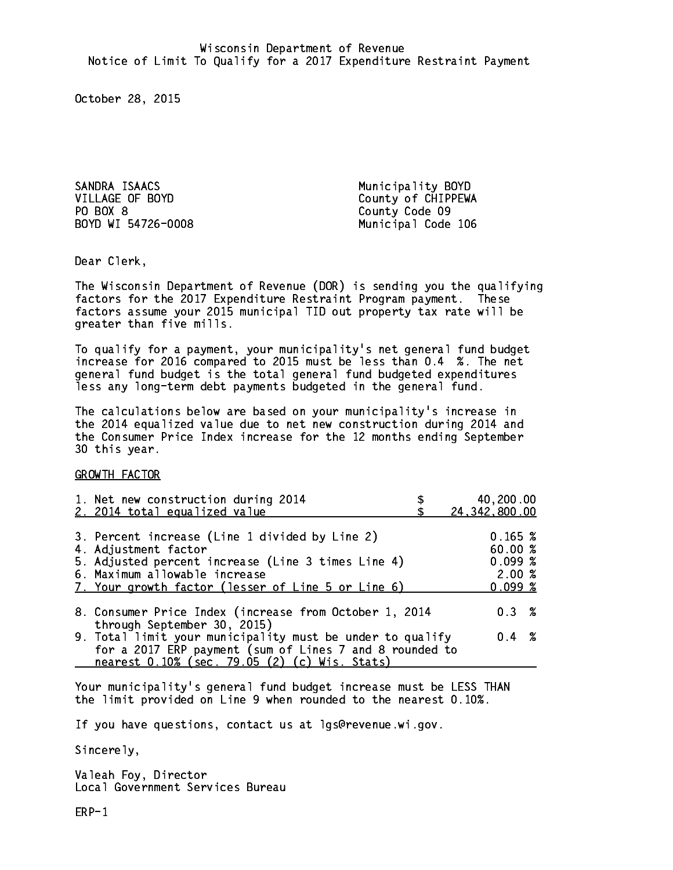SANDRA ISAACS Municipality BOYD PO BOX 8

VILLAGE OF BOYD County of CHIPPEWA County Code 09 BOYD WI 54726-0008 Municipal Code 106

Dear Clerk. Dear Clerk,

The Wisconsin Department of Revenue (DOR) is sending you the qualifying factors for the 2017 Expenditure Restraint Program payment. These factors assume your 2015 municipal TID out property tax rate will be greater than five mills.

 To qualify for a payment, your municipality's net general fund budget increase for 2016 compared to 2015 must be less than 0.4 %. The net general fund budget is the total general fund budgeted expenditures less any long-term debt payments budgeted in the general fund.

The calculations below are based on your municipality's increase in the 2014 equalized value due to net new construction during 2014 and the Consumer Price Index increase for the 12 months ending September 30 this year. 30 this year.

GROWTH FACTOR

| 1. Net new construction during 2014<br>2. 2014 total equalized value                                                                                                                                                | 40,200.00<br>24, 342, 800.00                    |
|---------------------------------------------------------------------------------------------------------------------------------------------------------------------------------------------------------------------|-------------------------------------------------|
| 3. Percent increase (Line 1 divided by Line 2)<br>4. Adjustment factor<br>5. Adjusted percent increase (Line 3 times Line 4)<br>6. Maximum allowable increase<br>7. Your growth factor (lesser of Line 5 or Line 6) | 0.165~%<br>60.00%<br>0.099~%<br>2.00%<br>0.099% |
| 8. Consumer Price Index (increase from October 1, 2014<br>through September 30, 2015)                                                                                                                               | 0.3%                                            |
| 9. Total limit your municipality must be under to qualify<br>for a 2017 ERP payment (sum of Lines 7 and 8 rounded to<br>nearest 0.10% (sec. 79.05 (2) (c) Wis. Stats)                                               | $0.4 \t%$                                       |

Your municipality's general fund budget increase must be LESS THAN the limit provided on Line 9 when rounded to the nearest 0.10%.

If you have questions, contact us at lgs@revenue.wi.gov.

Sincerely,

Valeah Foy, Director Local Government Services Bureau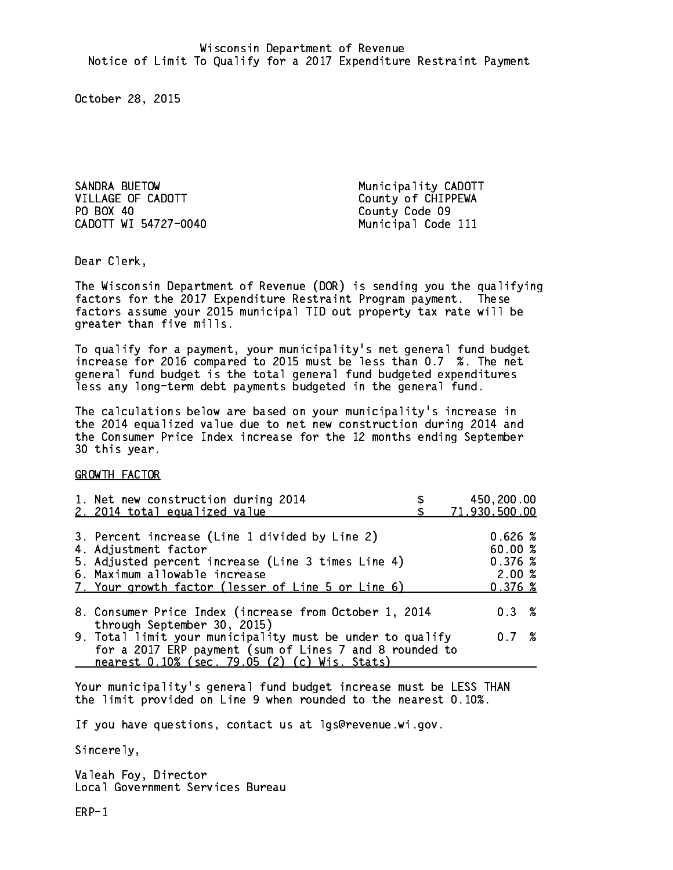SANDRA BUETOW Municipality CADOTT VILLAGE OF CADOTT County of CHIPPEWA PO BOX 40 County Code 09 CADOTT WI 54727-0040 Municipal Code 111

Dear Clerk. Dear Clerk,

The Wisconsin Department of Revenue (DOR) is sending you the qualifying factors for the 2017 Expenditure Restraint Program payment. These factors assume your 2015 municipal TID out property tax rate will be greater than five mills.

 To qualify for a payment, your municipality's net general fund budget increase for 2016 compared to 2015 must be less than 0.7 %. The net general fund budget is the total general fund budgeted expenditures less any long-term debt payments budgeted in the general fund.

The calculations below are based on your municipality's increase in the 2014 equalized value due to net new construction during 2014 and the Consumer Price Index increase for the 12 months ending September 30 this year. 30 this year.

GROWTH FACTOR

| 1. Net new construction during 2014<br>2. 2014 total equalized value                                                                                                                                                | 450,200.00<br>71,930,500.00                      |
|---------------------------------------------------------------------------------------------------------------------------------------------------------------------------------------------------------------------|--------------------------------------------------|
| 3. Percent increase (Line 1 divided by Line 2)<br>4. Adjustment factor<br>5. Adjusted percent increase (Line 3 times Line 4)<br>6. Maximum allowable increase<br>7. Your growth factor (lesser of Line 5 or Line 6) | 0.626~%<br>60.00%<br>0.376~%<br>2.00%<br>0.376~% |
| 8. Consumer Price Index (increase from October 1, 2014<br>through September 30, 2015)                                                                                                                               | 0.3%                                             |
| 9. Total limit your municipality must be under to qualify<br>for a 2017 ERP payment (sum of Lines 7 and 8 rounded to<br>nearest 0.10% (sec. 79.05 (2) (c) Wis. Stats)                                               | 0.7%                                             |

Your municipality's general fund budget increase must be LESS THAN the limit provided on Line 9 when rounded to the nearest 0.10%.

If you have questions, contact us at lgs@revenue.wi.gov.

Sincerely,

Valeah Foy, Director Local Government Services Bureau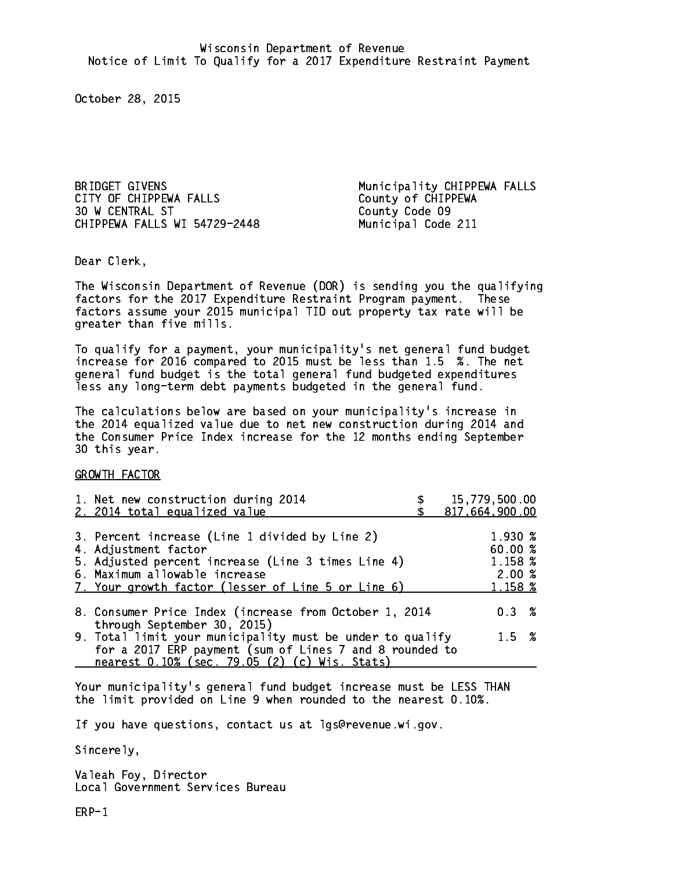CITY OF CHIPPEWA FALLS County of CHIPPEWA 30 W CENTRAL ST County Code 09 CHIPPEWA FALLS WI 54729-2448 Municipal Code 211

BRIDGET GIVENS **Municipality CHIPPEWA FALLS** 

Dear Clerk. Dear Clerk,

The Wisconsin Department of Revenue (DOR) is sending you the qualifying factors for the 2017 Expenditure Restraint Program payment. These factors assume your 2015 municipal TID out property tax rate will be greater than five mills.

 To qualify for a payment, your municipality's net general fund budget increase for 2016 compared to 2015 must be less than 1.5 %. The net general fund budget is the total general fund budgeted expenditures less any long-term debt payments budgeted in the general fund.

The calculations below are based on your municipality's increase in the 2014 equalized value due to net new construction during 2014 and the Consumer Price Index increase for the 12 months ending September 30 this year. 30 this year.

GROWTH FACTOR

| 1. Net new construction during 2014<br>2. 2014 total equalized value                                                                                                                                                | 15,779,500.00<br>817,664,900.00                   |
|---------------------------------------------------------------------------------------------------------------------------------------------------------------------------------------------------------------------|---------------------------------------------------|
| 3. Percent increase (Line 1 divided by Line 2)<br>4. Adjustment factor<br>5. Adjusted percent increase (Line 3 times Line 4)<br>6. Maximum allowable increase<br>7. Your growth factor (lesser of Line 5 or Line 6) | 1.930 %<br>60.00 %<br>1.158 %<br>2.00%<br>1.158 % |
| 8. Consumer Price Index (increase from October 1, 2014<br>through September 30, 2015)                                                                                                                               | 0.3%                                              |
| 9. Total limit your municipality must be under to qualify<br>for a 2017 ERP payment (sum of Lines 7 and 8 rounded to<br>nearest 0.10% (sec. 79.05 (2) (c) Wis. Stats)                                               | $1.5 \t%$                                         |

Your municipality's general fund budget increase must be LESS THAN the limit provided on Line 9 when rounded to the nearest 0.10%.

If you have questions, contact us at lgs@revenue.wi.gov.

Sincerely,

Valeah Foy, Director Local Government Services Bureau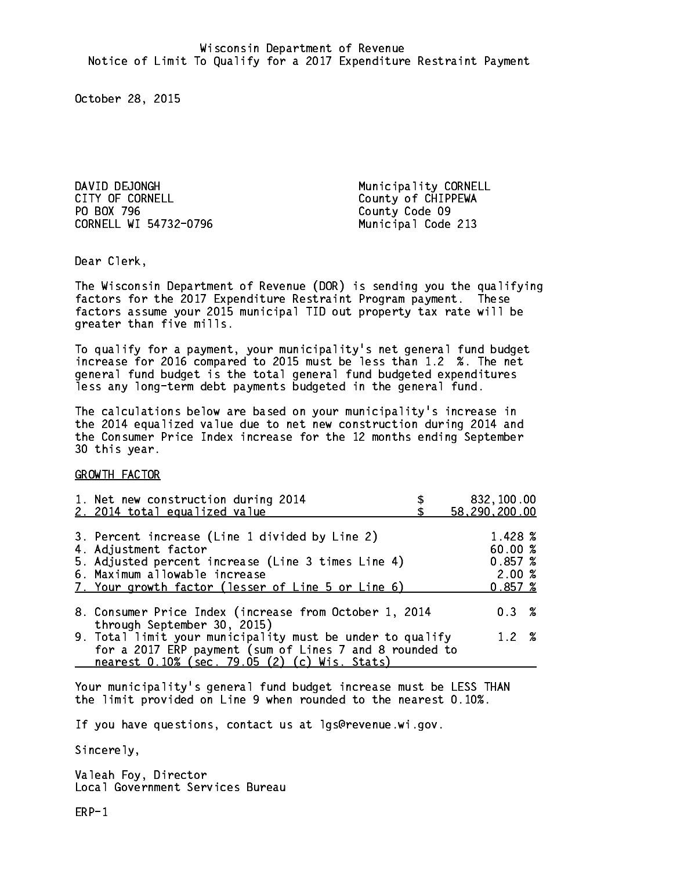DAVID DEJONGH Municipality CORNELL CITY OF CORNELL CITY OF COUNTLE PO BOX 796 County Code 09 CORNELL WI 54732-0796

Municipal Code 213

Dear Clerk. Dear Clerk,

The Wisconsin Department of Revenue (DOR) is sending you the qualifying factors for the 2017 Expenditure Restraint Program payment. These factors assume your 2015 municipal TID out property tax rate will be greater than five mills.

 To qualify for a payment, your municipality's net general fund budget increase for 2016 compared to 2015 must be less than 1.2 %. The net general fund budget is the total general fund budgeted expenditures less any long-term debt payments budgeted in the general fund.

The calculations below are based on your municipality's increase in the 2014 equalized value due to net new construction during 2014 and the Consumer Price Index increase for the 12 months ending September 30 this year. 30 this year.

GROWTH FACTOR

| 1. Net new construction during 2014                                                                                                                                                                                 | 832,100.00                                       |
|---------------------------------------------------------------------------------------------------------------------------------------------------------------------------------------------------------------------|--------------------------------------------------|
| 2. 2014 total equalized value                                                                                                                                                                                       | 58,290,200.00                                    |
| 3. Percent increase (Line 1 divided by Line 2)<br>4. Adjustment factor<br>5. Adjusted percent increase (Line 3 times Line 4)<br>6. Maximum allowable increase<br>7. Your growth factor (lesser of Line 5 or Line 6) | 1.428 %<br>60.00%<br>0.857~%<br>2.00%<br>0.857~% |
| 8. Consumer Price Index (increase from October 1, 2014                                                                                                                                                              | $0.3 \t%$                                        |
| through September 30, 2015)<br>9. Total limit your municipality must be under to qualify<br>for a 2017 ERP payment (sum of Lines 7 and 8 rounded to<br>nearest 0.10% (sec. 79.05 (2) (c) Wis. Stats)                | 1.2%                                             |

Your municipality's general fund budget increase must be LESS THAN the limit provided on Line 9 when rounded to the nearest 0.10%.

If you have questions, contact us at lgs@revenue.wi.gov.

Sincerely,

Valeah Foy, Director Local Government Services Bureau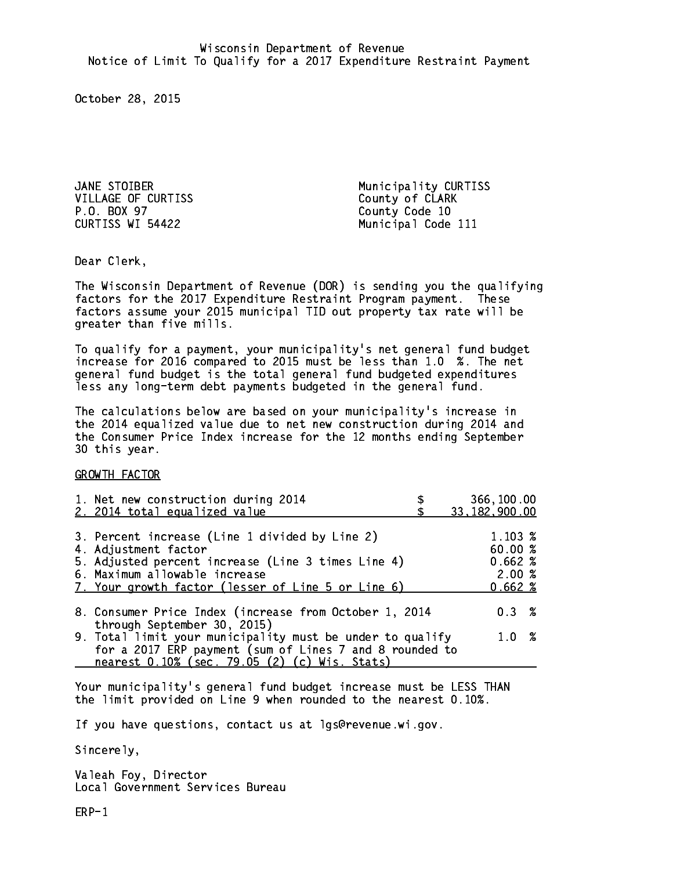JANE STOIBER Municipality CURTISS VILLAGE OF CURTISS County of CLARK P.O. BOX 97 County Code 10 CURTISS WI 54422

Municipal Code 111

Dear Clerk. Dear Clerk,

The Wisconsin Department of Revenue (DOR) is sending you the qualifying factors for the 2017 Expenditure Restraint Program payment. These factors assume your 2015 municipal TID out property tax rate will be greater than five mills.

 To qualify for a payment, your municipality's net general fund budget increase for 2016 compared to 2015 must be less than 1.0 %. The net general fund budget is the total general fund budgeted expenditures less any long-term debt payments budgeted in the general fund.

The calculations below are based on your municipality's increase in the 2014 equalized value due to net new construction during 2014 and the Consumer Price Index increase for the 12 months ending September 30 this year. 30 this year.

GROWTH FACTOR

| 1. Net new construction during 2014<br>2. 2014 total equalized value                                                                                                                                                | 366,100.00<br>33, 182, 900.00                  |
|---------------------------------------------------------------------------------------------------------------------------------------------------------------------------------------------------------------------|------------------------------------------------|
| 3. Percent increase (Line 1 divided by Line 2)<br>4. Adjustment factor<br>5. Adjusted percent increase (Line 3 times Line 4)<br>6. Maximum allowable increase<br>7. Your growth factor (lesser of Line 5 or Line 6) | 1.103 %<br>60.00%<br>0.662%<br>2.00%<br>0.662% |
| 8. Consumer Price Index (increase from October 1, 2014<br>through September 30, 2015)                                                                                                                               | $0.3 \t%$                                      |
| 9. Total limit your municipality must be under to qualify<br>for a 2017 ERP payment (sum of Lines 7 and 8 rounded to<br>nearest 0.10% (sec. 79.05 (2) (c) Wis. Stats)                                               | 1.0%                                           |

Your municipality's general fund budget increase must be LESS THAN the limit provided on Line 9 when rounded to the nearest 0.10%.

If you have questions, contact us at lgs@revenue.wi.gov.

Sincerely,

Valeah Foy, Director Local Government Services Bureau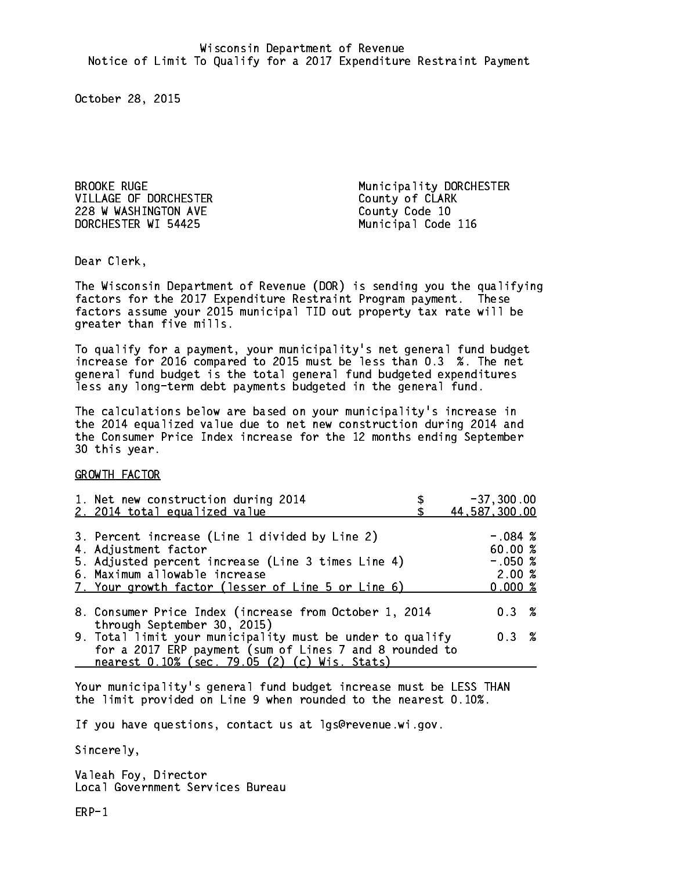VILLAGE OF DORCHESTER County of CLARK 228 W WASHINGTON AVE County Code 10 DORCHESTER WI 54425 Municipal Code 116

BROOKE RUGE Municipality DORCHESTER

Dear Clerk. Dear Clerk,

The Wisconsin Department of Revenue (DOR) is sending you the qualifying factors for the 2017 Expenditure Restraint Program payment. These factors assume your 2015 municipal TID out property tax rate will be greater than five mills.

 To qualify for a payment, your municipality's net general fund budget increase for 2016 compared to 2015 must be less than 0.3 %. The net general fund budget is the total general fund budgeted expenditures less any long-term debt payments budgeted in the general fund.

The calculations below are based on your municipality's increase in the 2014 equalized value due to net new construction during 2014 and the Consumer Price Index increase for the 12 months ending September 30 this year. 30 this year.

GROWTH FACTOR

| 1. Net new construction during 2014<br>2. 2014 total equalized value                                                                                                                                                | $-37, 300.00$<br>44,587,300.00                       |
|---------------------------------------------------------------------------------------------------------------------------------------------------------------------------------------------------------------------|------------------------------------------------------|
| 3. Percent increase (Line 1 divided by Line 2)<br>4. Adjustment factor<br>5. Adjusted percent increase (Line 3 times Line 4)<br>6. Maximum allowable increase<br>7. Your growth factor (lesser of Line 5 or Line 6) | $-.084~%$<br>60.00%<br>$-.050~%$<br>2.00%<br>0.000 % |
| 8. Consumer Price Index (increase from October 1, 2014                                                                                                                                                              | 0.3%                                                 |
| through September 30, 2015)<br>9. Total limit your municipality must be under to qualify<br>for a 2017 ERP payment (sum of Lines 7 and 8 rounded to<br>nearest 0.10% (sec. 79.05 (2) (c) Wis. Stats)                | 0.3%                                                 |

Your municipality's general fund budget increase must be LESS THAN the limit provided on Line 9 when rounded to the nearest 0.10%.

If you have questions, contact us at lgs@revenue.wi.gov.

Sincerely,

Valeah Foy, Director Local Government Services Bureau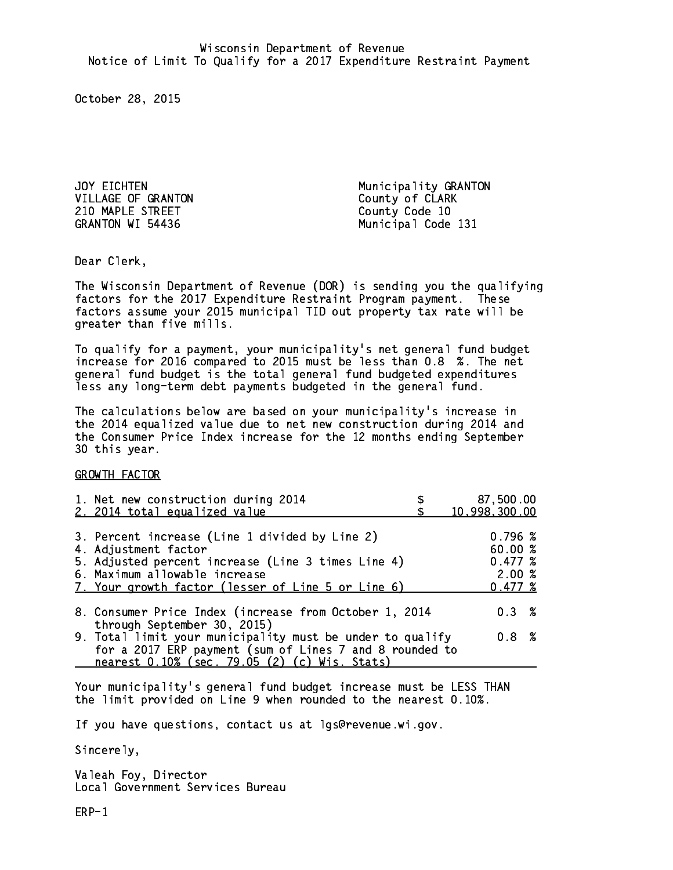VILLAGE OF GRANTON County of CLARK 210 MAPLE STREET County Code 10 GRANTON WI 54436

JOY EICHTEN Municipality GRANTON Municipal Code 131

Dear Clerk. Dear Clerk,

The Wisconsin Department of Revenue (DOR) is sending you the qualifying factors for the 2017 Expenditure Restraint Program payment. These factors assume your 2015 municipal TID out property tax rate will be greater than five mills.

 To qualify for a payment, your municipality's net general fund budget increase for 2016 compared to 2015 must be less than 0.8 %. The net general fund budget is the total general fund budgeted expenditures less any long-term debt payments budgeted in the general fund.

The calculations below are based on your municipality's increase in the 2014 equalized value due to net new construction during 2014 and the Consumer Price Index increase for the 12 months ending September 30 this year. 30 this year.

GROWTH FACTOR

| 1. Net new construction during 2014<br>2. 2014 total equalized value                                                                                                                                                | 87,500.00<br>10,998,300.00                       |
|---------------------------------------------------------------------------------------------------------------------------------------------------------------------------------------------------------------------|--------------------------------------------------|
| 3. Percent increase (Line 1 divided by Line 2)<br>4. Adjustment factor<br>5. Adjusted percent increase (Line 3 times Line 4)<br>6. Maximum allowable increase<br>7. Your growth factor (lesser of Line 5 or Line 6) | 0.796~%<br>60.00%<br>0.477~%<br>2.00%<br>0.477~% |
| 8. Consumer Price Index (increase from October 1, 2014                                                                                                                                                              | $0.3 \t%$                                        |
| through September 30, 2015)<br>9. Total limit your municipality must be under to qualify<br>for a 2017 ERP payment (sum of Lines 7 and 8 rounded to<br>nearest 0.10% (sec. 79.05 (2) (c) Wis. Stats)                | 0.8%                                             |

Your municipality's general fund budget increase must be LESS THAN the limit provided on Line 9 when rounded to the nearest 0.10%.

If you have questions, contact us at lgs@revenue.wi.gov.

Sincerely,

Valeah Foy, Director Local Government Services Bureau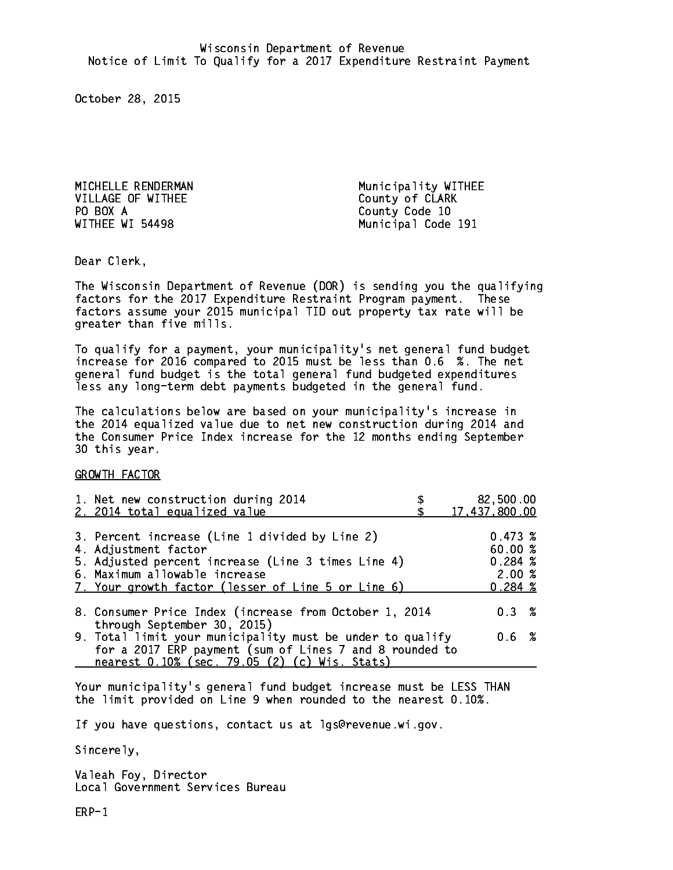VILLAGE OF WITHEE County of CLARK PO BOX A County Code 10 PO BOX A

MICHELLE RENDERMAN Municipality WITHEE Municipal Code 191

Dear Clerk. Dear Clerk,

The Wisconsin Department of Revenue (DOR) is sending you the qualifying factors for the 2017 Expenditure Restraint Program payment. These factors assume your 2015 municipal TID out property tax rate will be greater than five mills.

 To qualify for a payment, your municipality's net general fund budget increase for 2016 compared to 2015 must be less than 0.6 %. The net general fund budget is the total general fund budgeted expenditures less any long-term debt payments budgeted in the general fund.

The calculations below are based on your municipality's increase in the 2014 equalized value due to net new construction during 2014 and the Consumer Price Index increase for the 12 months ending September 30 this year. 30 this year.

GROWTH FACTOR

| 1. Net new construction during 2014<br>2. 2014 total equalized value                                                                                                                                                | 82,500.00<br>17,437,800.00                       |
|---------------------------------------------------------------------------------------------------------------------------------------------------------------------------------------------------------------------|--------------------------------------------------|
| 3. Percent increase (Line 1 divided by Line 2)<br>4. Adjustment factor<br>5. Adjusted percent increase (Line 3 times Line 4)<br>6. Maximum allowable increase<br>7. Your growth factor (lesser of Line 5 or Line 6) | 0.473~%<br>60.00%<br>0.284~%<br>2.00%<br>0.284~% |
| 8. Consumer Price Index (increase from October 1, 2014<br>through September 30, 2015)                                                                                                                               | 0.3%                                             |
| 9. Total limit your municipality must be under to qualify<br>for a 2017 ERP payment (sum of Lines 7 and 8 rounded to<br>nearest 0.10% (sec. 79.05 (2) (c) Wis. Stats)                                               | 0.6 %                                            |

Your municipality's general fund budget increase must be LESS THAN the limit provided on Line 9 when rounded to the nearest 0.10%.

If you have questions, contact us at lgs@revenue.wi.gov.

Sincerely,

Valeah Foy, Director Local Government Services Bureau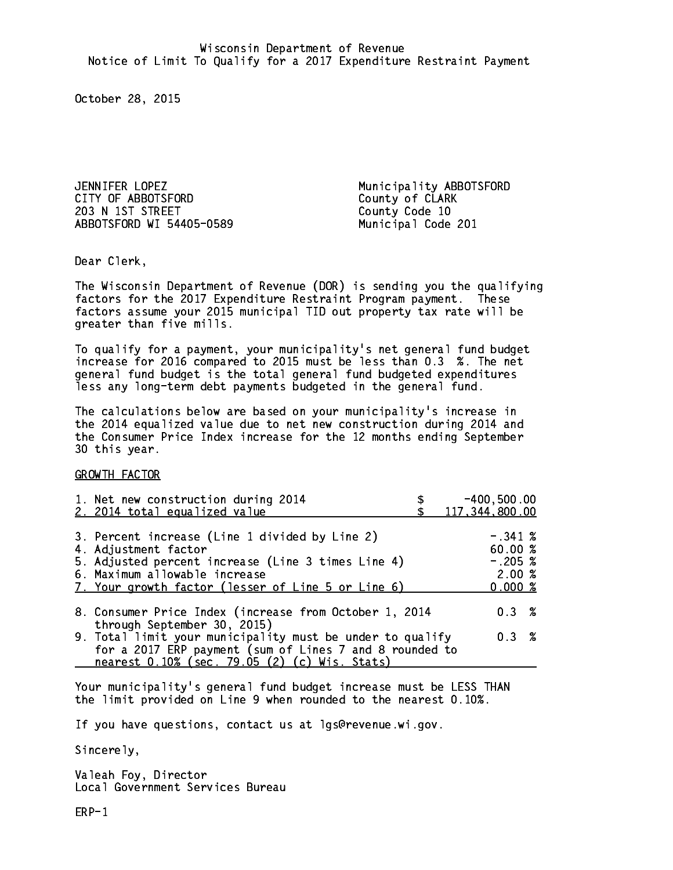JENNIFER LOPEZ Municipality ABBOTSFORD CITY OF ABBOTSFORD COUNTY OF CLARK 203 N 1ST STREET County Code 10 ABBOTSFORD WI 54405-0589 Municipal Code 201

Dear Clerk. Dear Clerk,

The Wisconsin Department of Revenue (DOR) is sending you the qualifying factors for the 2017 Expenditure Restraint Program payment. These factors assume your 2015 municipal TID out property tax rate will be greater than five mills.

 To qualify for a payment, your municipality's net general fund budget increase for 2016 compared to 2015 must be less than 0.3 %. The net general fund budget is the total general fund budgeted expenditures less any long-term debt payments budgeted in the general fund.

The calculations below are based on your municipality's increase in the 2014 equalized value due to net new construction during 2014 and the Consumer Price Index increase for the 12 months ending September 30 this year. 30 this year.

GROWTH FACTOR

| 1. Net new construction during 2014<br>2. 2014 total equalized value                                                                                                                                                | $-400, 500.00$<br>117,344,800.00                      |
|---------------------------------------------------------------------------------------------------------------------------------------------------------------------------------------------------------------------|-------------------------------------------------------|
| 3. Percent increase (Line 1 divided by Line 2)<br>4. Adjustment factor<br>5. Adjusted percent increase (Line 3 times Line 4)<br>6. Maximum allowable increase<br>7. Your growth factor (lesser of Line 5 or Line 6) | $-.341~%$<br>60.00 %<br>$-.205$ %<br>2.00%<br>0.000~% |
| 8. Consumer Price Index (increase from October 1, 2014                                                                                                                                                              | $0.3 \t%$                                             |
| through September 30, 2015)<br>9. Total limit your municipality must be under to qualify<br>for a 2017 ERP payment (sum of Lines 7 and 8 rounded to<br>nearest 0.10% (sec. 79.05 (2) (c) Wis. Stats)                | $0.3 \t%$                                             |

Your municipality's general fund budget increase must be LESS THAN the limit provided on Line 9 when rounded to the nearest 0.10%.

If you have questions, contact us at lgs@revenue.wi.gov.

Sincerely,

Valeah Foy, Director Local Government Services Bureau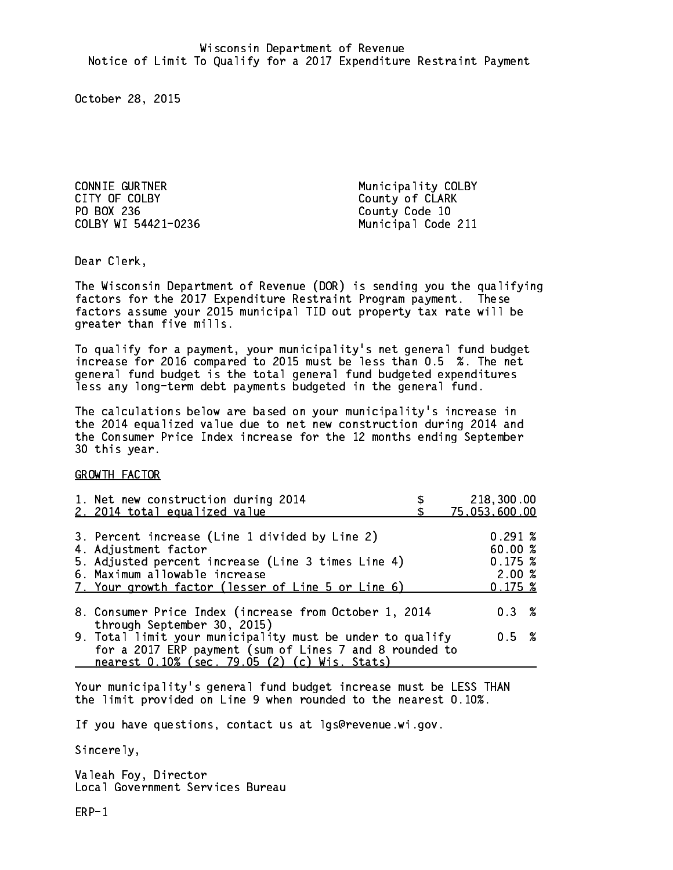CONNIE GURTNER Municipality COLBY CITY OF COLBY COUNTY County of CLARK PO BOX 236 COLBY WI 54421-0236 Municipal Code 211

County Code 10

Dear Clerk. Dear Clerk,

The Wisconsin Department of Revenue (DOR) is sending you the qualifying factors for the 2017 Expenditure Restraint Program payment. These factors assume your 2015 municipal TID out property tax rate will be greater than five mills.

 To qualify for a payment, your municipality's net general fund budget increase for 2016 compared to 2015 must be less than 0.5 %. The net general fund budget is the total general fund budgeted expenditures less any long-term debt payments budgeted in the general fund.

The calculations below are based on your municipality's increase in the 2014 equalized value due to net new construction during 2014 and the Consumer Price Index increase for the 12 months ending September 30 this year. 30 this year.

GROWTH FACTOR

| 1. Net new construction during 2014<br>2. 2014 total equalized value                                                                                                                                                | 218,300.00<br>75,053,600.00                            |
|---------------------------------------------------------------------------------------------------------------------------------------------------------------------------------------------------------------------|--------------------------------------------------------|
| 3. Percent increase (Line 1 divided by Line 2)<br>4. Adjustment factor<br>5. Adjusted percent increase (Line 3 times Line 4)<br>6. Maximum allowable increase<br>7. Your growth factor (lesser of Line 5 or Line 6) | $0.291 \;$ %<br>60.00 %<br>0.175~%<br>2.00%<br>0.175~% |
| 8. Consumer Price Index (increase from October 1, 2014<br>through September 30, 2015)                                                                                                                               | $0.3 \t%$                                              |
| 9. Total limit your municipality must be under to qualify<br>for a 2017 ERP payment (sum of Lines 7 and 8 rounded to<br>nearest 0.10% (sec. 79.05 (2) (c) Wis. Stats)                                               | 0.5 %                                                  |

Your municipality's general fund budget increase must be LESS THAN the limit provided on Line 9 when rounded to the nearest 0.10%.

If you have questions, contact us at lgs@revenue.wi.gov.

Sincerely,

Valeah Foy, Director Local Government Services Bureau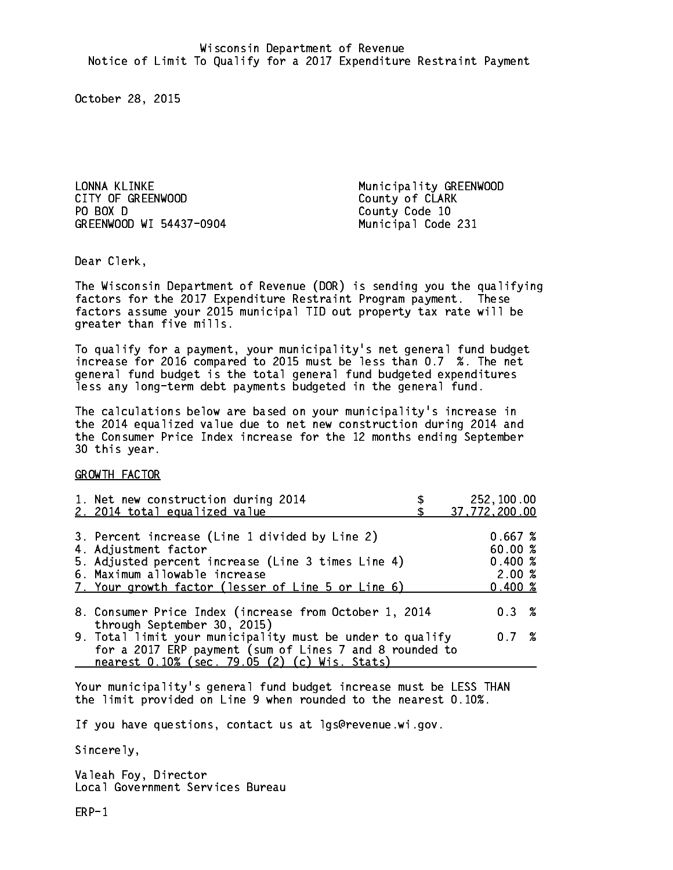LONNA KLINKE Municipality GREENWOOD CITY OF GREENWOOD COUNTY OF CLARK PO BOX D GREENWOOD WI 54437-0904 Municipal Code 231

County Code 10

Dear Clerk. Dear Clerk,

The Wisconsin Department of Revenue (DOR) is sending you the qualifying factors for the 2017 Expenditure Restraint Program payment. These factors assume your 2015 municipal TID out property tax rate will be greater than five mills.

 To qualify for a payment, your municipality's net general fund budget increase for 2016 compared to 2015 must be less than 0.7 %. The net general fund budget is the total general fund budgeted expenditures less any long-term debt payments budgeted in the general fund.

The calculations below are based on your municipality's increase in the 2014 equalized value due to net new construction during 2014 and the Consumer Price Index increase for the 12 months ending September 30 this year. 30 this year.

GROWTH FACTOR

| 1. Net new construction during 2014<br>2. 2014 total equalized value | 252,100.00<br>37,772,200.00 |
|----------------------------------------------------------------------|-----------------------------|
|                                                                      |                             |
| 3. Percent increase (Line 1 divided by Line 2)                       | 0.667~%                     |
| 4. Adjustment factor                                                 | 60.00%                      |
| 5. Adjusted percent increase (Line 3 times Line 4)                   | 0.400~%                     |
| 6. Maximum allowable increase                                        | 2.00%                       |
| 7. Your growth factor (lesser of Line 5 or Line 6)                   | $0.400 \; %$                |
|                                                                      |                             |
| 8. Consumer Price Index (increase from October 1, 2014               | $0.3 \t%$                   |
| through September 30, 2015)                                          |                             |
| 9. Total limit your municipality must be under to qualify            | 0.7%                        |
| for a 2017 ERP payment (sum of Lines 7 and 8 rounded to              |                             |
| nearest 0.10% (sec. 79.05 (2) (c) Wis. Stats)                        |                             |

Your municipality's general fund budget increase must be LESS THAN the limit provided on Line 9 when rounded to the nearest 0.10%.

If you have questions, contact us at lgs@revenue.wi.gov.

Sincerely,

Valeah Foy, Director Local Government Services Bureau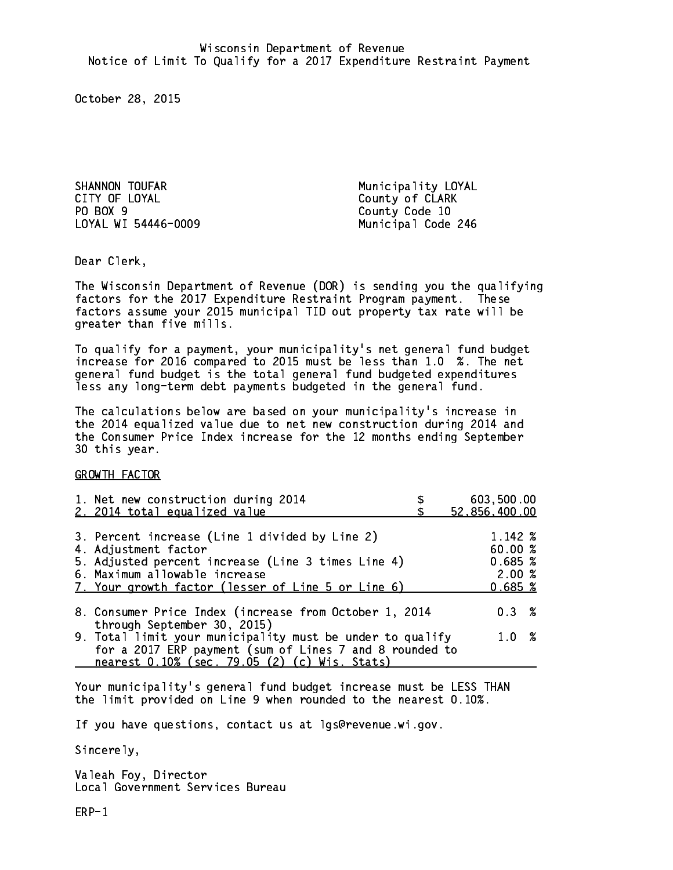SHANNON TOUFAR Municipality LOYAL CITY OF LOYAL COUNTY OF LOYAL PO BOX 9 LOYAL WI 54446-0009 Municipal Code 246

County Code 10

Dear Clerk. Dear Clerk,

The Wisconsin Department of Revenue (DOR) is sending you the qualifying factors for the 2017 Expenditure Restraint Program payment. These factors assume your 2015 municipal TID out property tax rate will be greater than five mills.

 To qualify for a payment, your municipality's net general fund budget increase for 2016 compared to 2015 must be less than 1.0 %. The net general fund budget is the total general fund budgeted expenditures less any long-term debt payments budgeted in the general fund.

The calculations below are based on your municipality's increase in the 2014 equalized value due to net new construction during 2014 and the Consumer Price Index increase for the 12 months ending September 30 this year. 30 this year.

GROWTH FACTOR

| 1. Net new construction during 2014<br>2. 2014 total equalized value                                                                                                                                                | 603,500.00<br>52,856,400.00                      |
|---------------------------------------------------------------------------------------------------------------------------------------------------------------------------------------------------------------------|--------------------------------------------------|
| 3. Percent increase (Line 1 divided by Line 2)<br>4. Adjustment factor<br>5. Adjusted percent increase (Line 3 times Line 4)<br>6. Maximum allowable increase<br>7. Your growth factor (lesser of Line 5 or Line 6) | 1.142 %<br>60.00%<br>0.685~%<br>2.00%<br>0.685~% |
| 8. Consumer Price Index (increase from October 1, 2014                                                                                                                                                              | $0.3 \t%$                                        |
| through September 30, 2015)<br>9. Total limit your municipality must be under to qualify<br>for a 2017 ERP payment (sum of Lines 7 and 8 rounded to<br>nearest 0.10% (sec. 79.05 (2) (c) Wis. Stats)                | 1.0%                                             |

Your municipality's general fund budget increase must be LESS THAN the limit provided on Line 9 when rounded to the nearest 0.10%.

If you have questions, contact us at lgs@revenue.wi.gov.

Sincerely,

Valeah Foy, Director Local Government Services Bureau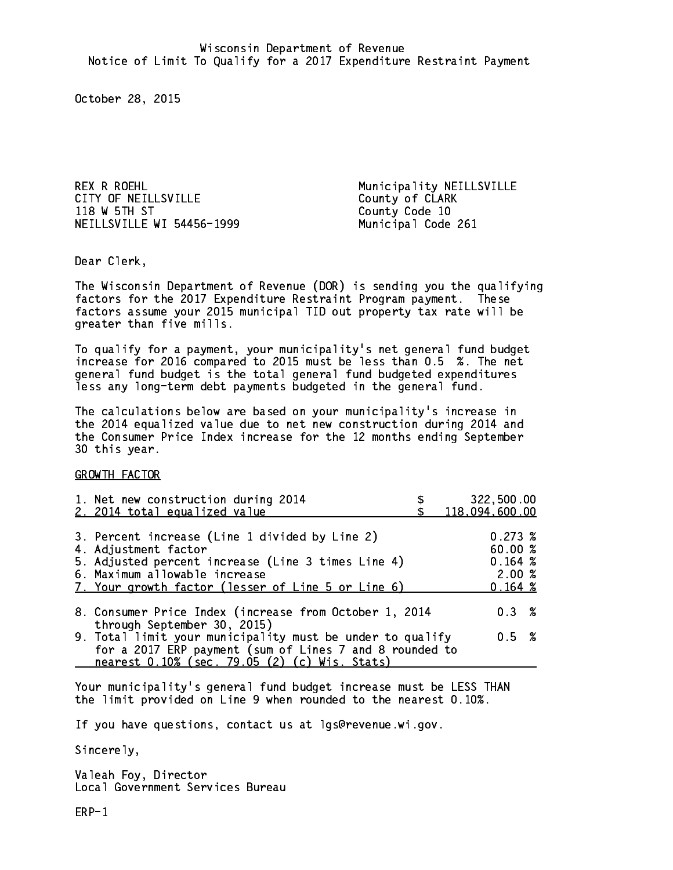REX R ROEHL **Municipality NEILLSVILLE** CITY OF NEILLSVILLE COUNTY OF CLARK 118 W 5TH ST County Code 10 NEILLSVILLE WI 54456-1999 Municipal Code 261

Dear Clerk. Dear Clerk,

The Wisconsin Department of Revenue (DOR) is sending you the qualifying factors for the 2017 Expenditure Restraint Program payment. These factors assume your 2015 municipal TID out property tax rate will be greater than five mills.

 To qualify for a payment, your municipality's net general fund budget increase for 2016 compared to 2015 must be less than 0.5 %. The net general fund budget is the total general fund budgeted expenditures less any long-term debt payments budgeted in the general fund.

The calculations below are based on your municipality's increase in the 2014 equalized value due to net new construction during 2014 and the Consumer Price Index increase for the 12 months ending September 30 this year. 30 this year.

GROWTH FACTOR

| 1. Net new construction during 2014<br>2. 2014 total equalized value                                                                                                                                                | 322,500.00<br>118,094,600.00                     |
|---------------------------------------------------------------------------------------------------------------------------------------------------------------------------------------------------------------------|--------------------------------------------------|
| 3. Percent increase (Line 1 divided by Line 2)<br>4. Adjustment factor<br>5. Adjusted percent increase (Line 3 times Line 4)<br>6. Maximum allowable increase<br>7. Your growth factor (lesser of Line 5 or Line 6) | 0.273~%<br>60.00%<br>0.164~%<br>2.00%<br>0.164~% |
| 8. Consumer Price Index (increase from October 1, 2014<br>through September 30, 2015)                                                                                                                               | 0.3%                                             |
| 9. Total limit your municipality must be under to qualify<br>for a 2017 ERP payment (sum of Lines 7 and 8 rounded to<br>nearest 0.10% (sec. 79.05 (2) (c) Wis. Stats)                                               | 0.5 %                                            |

Your municipality's general fund budget increase must be LESS THAN the limit provided on Line 9 when rounded to the nearest 0.10%.

If you have questions, contact us at lgs@revenue.wi.gov.

Sincerely,

Valeah Foy, Director Local Government Services Bureau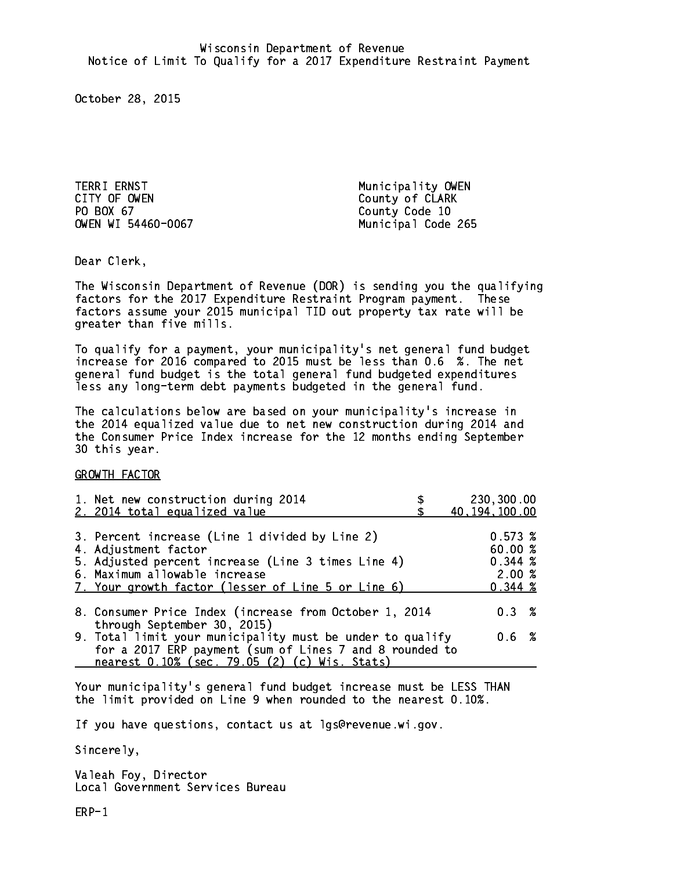TERRI ERNST **Municipality OWEN** CITY OF OWEN COUNTY OF OUR COUNTY OF CLARK PO BOX 67

County Code 10 OWEN WI 54460-0067 Municipal Code 265

Dear Clerk. Dear Clerk,

The Wisconsin Department of Revenue (DOR) is sending you the qualifying factors for the 2017 Expenditure Restraint Program payment. These factors assume your 2015 municipal TID out property tax rate will be greater than five mills.

 To qualify for a payment, your municipality's net general fund budget increase for 2016 compared to 2015 must be less than 0.6 %. The net general fund budget is the total general fund budgeted expenditures less any long-term debt payments budgeted in the general fund.

The calculations below are based on your municipality's increase in the 2014 equalized value due to net new construction during 2014 and the Consumer Price Index increase for the 12 months ending September 30 this year. 30 this year.

GROWTH FACTOR

| 1. Net new construction during 2014<br>2. 2014 total equalized value                                                                                                                                                | 230,300.00<br>40, 194, 100.00                    |
|---------------------------------------------------------------------------------------------------------------------------------------------------------------------------------------------------------------------|--------------------------------------------------|
| 3. Percent increase (Line 1 divided by Line 2)<br>4. Adjustment factor<br>5. Adjusted percent increase (Line 3 times Line 4)<br>6. Maximum allowable increase<br>7. Your growth factor (lesser of Line 5 or Line 6) | 0.573~%<br>60.00%<br>0.344~%<br>2.00%<br>0.344~% |
| 8. Consumer Price Index (increase from October 1, 2014                                                                                                                                                              | 0.3%                                             |
| through September 30, 2015)<br>9. Total limit your municipality must be under to qualify<br>for a 2017 ERP payment (sum of Lines 7 and 8 rounded to<br>nearest 0.10% (sec. 79.05 (2) (c) Wis. Stats)                | 0.6 %                                            |

Your municipality's general fund budget increase must be LESS THAN the limit provided on Line 9 when rounded to the nearest 0.10%.

If you have questions, contact us at lgs@revenue.wi.gov.

Sincerely,

Valeah Foy, Director Local Government Services Bureau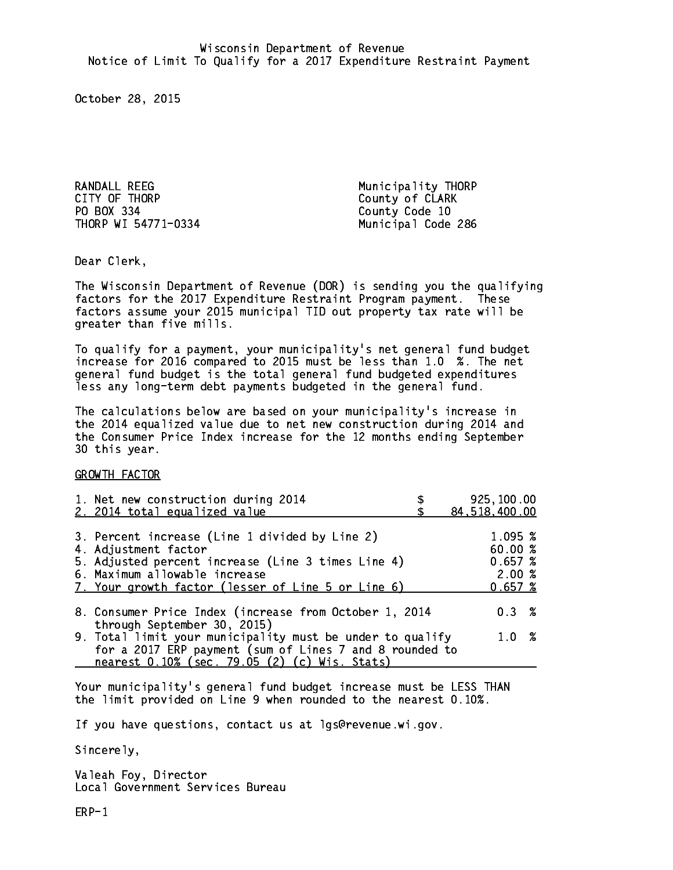RANDALL REEG Municipality THORP CITY OF THORP COUNTY County of CLARK PO BOX 334 County Code 10 THORP WI 54771-0334 Municipal Code 286

Dear Clerk. Dear Clerk,

The Wisconsin Department of Revenue (DOR) is sending you the qualifying factors for the 2017 Expenditure Restraint Program payment. These factors assume your 2015 municipal TID out property tax rate will be greater than five mills.

 To qualify for a payment, your municipality's net general fund budget increase for 2016 compared to 2015 must be less than 1.0 %. The net general fund budget is the total general fund budgeted expenditures less any long-term debt payments budgeted in the general fund.

The calculations below are based on your municipality's increase in the 2014 equalized value due to net new construction during 2014 and the Consumer Price Index increase for the 12 months ending September 30 this year. 30 this year.

GROWTH FACTOR

| 1. Net new construction during 2014<br>2. 2014 total equalized value                                                                                                                                                | 925,100.00<br>84,518,400.00                      |
|---------------------------------------------------------------------------------------------------------------------------------------------------------------------------------------------------------------------|--------------------------------------------------|
| 3. Percent increase (Line 1 divided by Line 2)<br>4. Adjustment factor<br>5. Adjusted percent increase (Line 3 times Line 4)<br>6. Maximum allowable increase<br>7. Your growth factor (lesser of Line 5 or Line 6) | 1.095~%<br>60.00%<br>0.657~%<br>2.00%<br>0.657~% |
| 8. Consumer Price Index (increase from October 1, 2014<br>through September 30, 2015)                                                                                                                               | $0.3 \t%$                                        |
| 9. Total limit your municipality must be under to qualify<br>for a 2017 ERP payment (sum of Lines 7 and 8 rounded to<br>nearest 0.10% (sec. 79.05 (2) (c) Wis. Stats)                                               | 1.0%                                             |

Your municipality's general fund budget increase must be LESS THAN the limit provided on Line 9 when rounded to the nearest 0.10%.

If you have questions, contact us at lgs@revenue.wi.gov.

Sincerely,

Valeah Foy, Director Local Government Services Bureau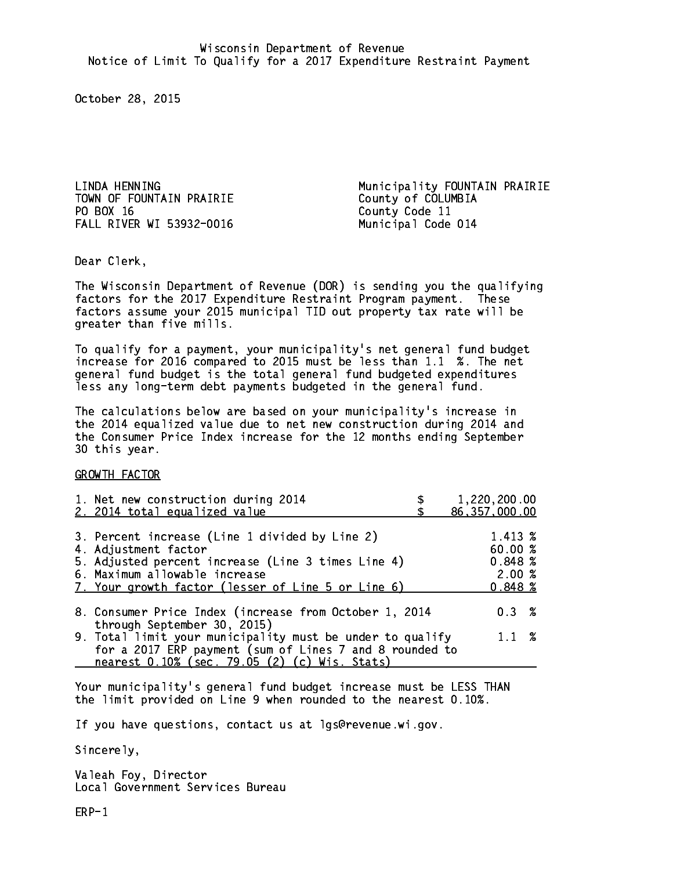TOWN OF FOUNTAIN PRAIRIE County of COLUMBIA PO BOX 16 FALL RIVER WI 53932-0016 Municipal Code 014

LINDA HENNING **Municipality FOUNTAIN PRAIRIE** County Code 11

Dear Clerk. Dear Clerk,

The Wisconsin Department of Revenue (DOR) is sending you the qualifying factors for the 2017 Expenditure Restraint Program payment. These factors assume your 2015 municipal TID out property tax rate will be greater than five mills.

 To qualify for a payment, your municipality's net general fund budget increase for 2016 compared to 2015 must be less than 1.1 %. The net general fund budget is the total general fund budgeted expenditures less any long-term debt payments budgeted in the general fund.

The calculations below are based on your municipality's increase in the 2014 equalized value due to net new construction during 2014 and the Consumer Price Index increase for the 12 months ending September 30 this year. 30 this year.

GROWTH FACTOR

| 1. Net new construction during 2014<br>2. 2014 total equalized value                                                                                                                                                | 1,220,200.00<br>86, 357, 000.00                  |
|---------------------------------------------------------------------------------------------------------------------------------------------------------------------------------------------------------------------|--------------------------------------------------|
| 3. Percent increase (Line 1 divided by Line 2)<br>4. Adjustment factor<br>5. Adjusted percent increase (Line 3 times Line 4)<br>6. Maximum allowable increase<br>7. Your growth factor (lesser of Line 5 or Line 6) | 1.413 %<br>60.00%<br>0.848~%<br>2.00%<br>0.848~% |
| 8. Consumer Price Index (increase from October 1, 2014<br>through September 30, 2015)                                                                                                                               | 0.3%                                             |
| 9. Total limit your municipality must be under to qualify<br>for a 2017 ERP payment (sum of Lines 7 and 8 rounded to<br>nearest 0.10% (sec. 79.05 (2) (c) Wis. Stats)                                               | $1.1 \t%$                                        |

Your municipality's general fund budget increase must be LESS THAN the limit provided on Line 9 when rounded to the nearest 0.10%.

If you have questions, contact us at lgs@revenue.wi.gov.

Sincerely,

Valeah Foy, Director Local Government Services Bureau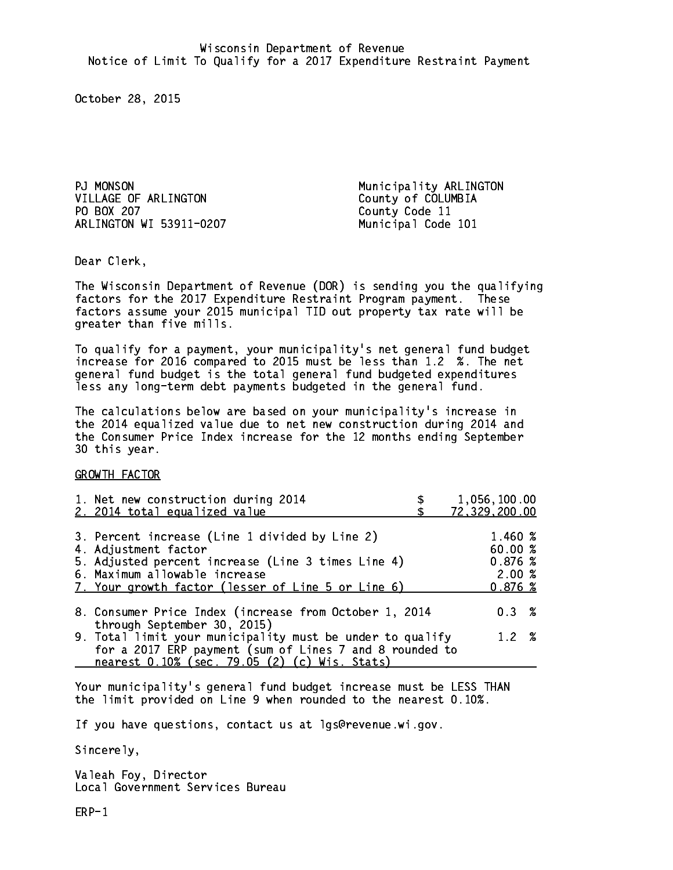PJ MONSON VILLAGE OF ARLINGTON County of COLUMBIA PO BOX 207 ARLINGTON WI 53911-0207 Municipal Code 101

Municipality ARLINGTON County Code 11

Dear Clerk. Dear Clerk,

The Wisconsin Department of Revenue (DOR) is sending you the qualifying factors for the 2017 Expenditure Restraint Program payment. These factors assume your 2015 municipal TID out property tax rate will be greater than five mills.

 To qualify for a payment, your municipality's net general fund budget increase for 2016 compared to 2015 must be less than 1.2 %. The net general fund budget is the total general fund budgeted expenditures less any long-term debt payments budgeted in the general fund.

The calculations below are based on your municipality's increase in the 2014 equalized value due to net new construction during 2014 and the Consumer Price Index increase for the 12 months ending September 30 this year. 30 this year.

GROWTH FACTOR

| 1. Net new construction during 2014<br>2. 2014 total equalized value                                                                                                                                                | 1,056,100.00<br>72,329,200.00                  |
|---------------------------------------------------------------------------------------------------------------------------------------------------------------------------------------------------------------------|------------------------------------------------|
| 3. Percent increase (Line 1 divided by Line 2)<br>4. Adjustment factor<br>5. Adjusted percent increase (Line 3 times Line 4)<br>6. Maximum allowable increase<br>7. Your growth factor (lesser of Line 5 or Line 6) | 1.460 %<br>60.00%<br>0.876%<br>2.00%<br>0.876% |
| 8. Consumer Price Index (increase from October 1, 2014<br>through September 30, 2015)                                                                                                                               | 0.3%                                           |
| 9. Total limit your municipality must be under to qualify<br>for a 2017 ERP payment (sum of Lines 7 and 8 rounded to<br>nearest 0.10% (sec. 79.05 (2) (c) Wis. Stats)                                               | 1.2%                                           |

Your municipality's general fund budget increase must be LESS THAN the limit provided on Line 9 when rounded to the nearest 0.10%.

If you have questions, contact us at lgs@revenue.wi.gov.

Sincerely,

Valeah Foy, Director Local Government Services Bureau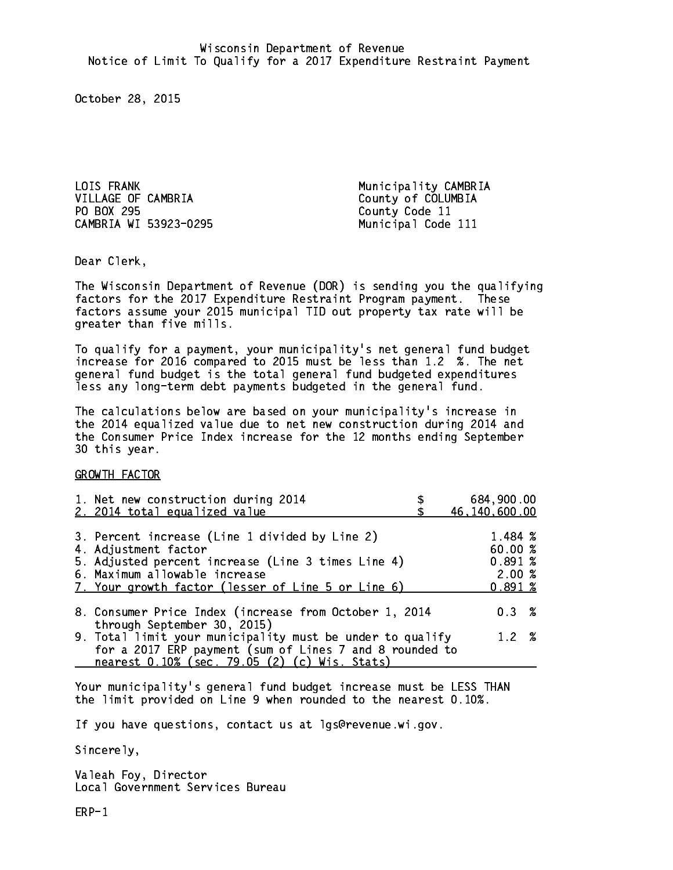LOIS FRANK Municipality CAMBRIA VILLAGE OF CAMBRIA County of COLUMBIA PO BOX 295 County Code 11 CAMBRIA WI 53923-0295 Municipal Code 111

Dear Clerk. Dear Clerk,

The Wisconsin Department of Revenue (DOR) is sending you the qualifying factors for the 2017 Expenditure Restraint Program payment. These factors assume your 2015 municipal TID out property tax rate will be greater than five mills.

 To qualify for a payment, your municipality's net general fund budget increase for 2016 compared to 2015 must be less than 1.2 %. The net general fund budget is the total general fund budgeted expenditures less any long-term debt payments budgeted in the general fund.

The calculations below are based on your municipality's increase in the 2014 equalized value due to net new construction during 2014 and the Consumer Price Index increase for the 12 months ending September 30 this year. 30 this year.

GROWTH FACTOR

| 1. Net new construction during 2014<br>2. 2014 total equalized value | 684,900.00<br>46,140,600.00 |
|----------------------------------------------------------------------|-----------------------------|
|                                                                      |                             |
| 3. Percent increase (Line 1 divided by Line 2)                       | 1.484 %                     |
| 4. Adjustment factor                                                 | 60.00%                      |
| 5. Adjusted percent increase (Line 3 times Line 4)                   | 0.891~%                     |
| 6. Maximum allowable increase                                        | 2.00%                       |
| 7. Your growth factor (lesser of Line 5 or Line 6)                   | 0.891%                      |
| 8. Consumer Price Index (increase from October 1, 2014               | $0.3 \t%$                   |
| through September 30, 2015)                                          |                             |
| 9. Total limit your municipality must be under to qualify            | 1.2%                        |
| for a 2017 ERP payment (sum of Lines 7 and 8 rounded to              |                             |
| nearest 0.10% (sec. 79.05 (2) (c) Wis. Stats)                        |                             |

Your municipality's general fund budget increase must be LESS THAN the limit provided on Line 9 when rounded to the nearest 0.10%.

If you have questions, contact us at lgs@revenue.wi.gov.

Sincerely,

Valeah Foy, Director Local Government Services Bureau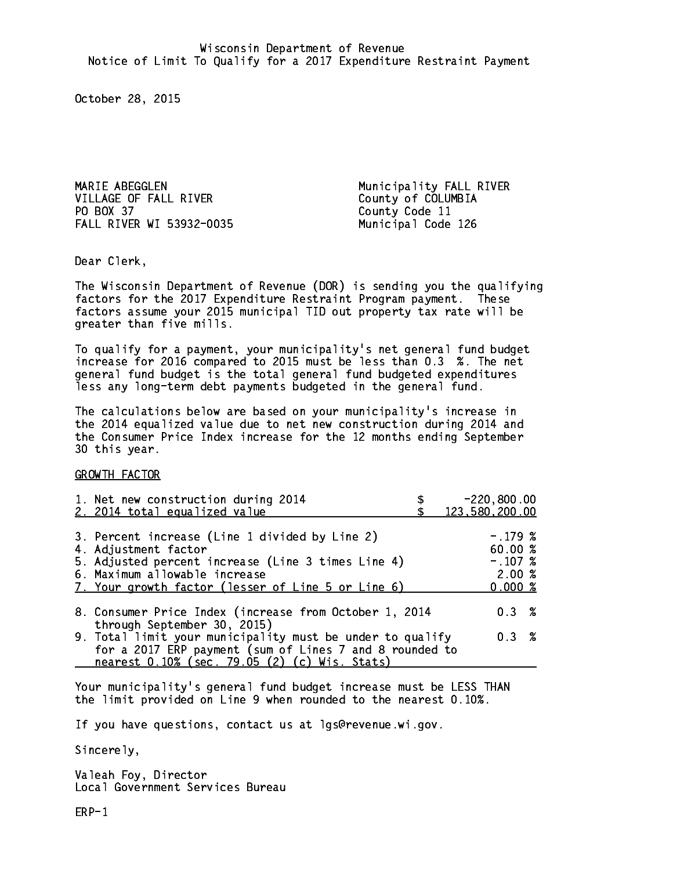MARIE ABEGGLEN **Municipality FALL RIVER** VILLAGE OF FALL RIVER County of COLUMBIA PO BOX 37 FALL RIVER WI 53932-0035 Municipal Code 126

County Code 11

Dear Clerk. Dear Clerk,

The Wisconsin Department of Revenue (DOR) is sending you the qualifying factors for the 2017 Expenditure Restraint Program payment. These factors assume your 2015 municipal TID out property tax rate will be greater than five mills.

 To qualify for a payment, your municipality's net general fund budget increase for 2016 compared to 2015 must be less than 0.3 %. The net general fund budget is the total general fund budgeted expenditures less any long-term debt payments budgeted in the general fund.

The calculations below are based on your municipality's increase in the 2014 equalized value due to net new construction during 2014 and the Consumer Price Index increase for the 12 months ending September 30 this year. 30 this year.

GROWTH FACTOR

| 1. Net new construction during 2014<br>2. 2014 total equalized value                                                                                                                                                | $-220,800.00$<br>123,580,200.00                       |
|---------------------------------------------------------------------------------------------------------------------------------------------------------------------------------------------------------------------|-------------------------------------------------------|
| 3. Percent increase (Line 1 divided by Line 2)<br>4. Adjustment factor<br>5. Adjusted percent increase (Line 3 times Line 4)<br>6. Maximum allowable increase<br>7. Your growth factor (lesser of Line 5 or Line 6) | $-.179$ %<br>60.00 %<br>$-.107~%$<br>2.00%<br>0.000~% |
| 8. Consumer Price Index (increase from October 1, 2014<br>through September 30, 2015)                                                                                                                               | $0.3 \t%$                                             |
| 9. Total limit your municipality must be under to qualify<br>for a 2017 ERP payment (sum of Lines 7 and 8 rounded to<br>nearest 0.10% (sec. 79.05 (2) (c) Wis. Stats)                                               | $0.3 \t%$                                             |
|                                                                                                                                                                                                                     |                                                       |

Your municipality's general fund budget increase must be LESS THAN the limit provided on Line 9 when rounded to the nearest 0.10%.

If you have questions, contact us at lgs@revenue.wi.gov.

Sincerely,

Valeah Foy, Director Local Government Services Bureau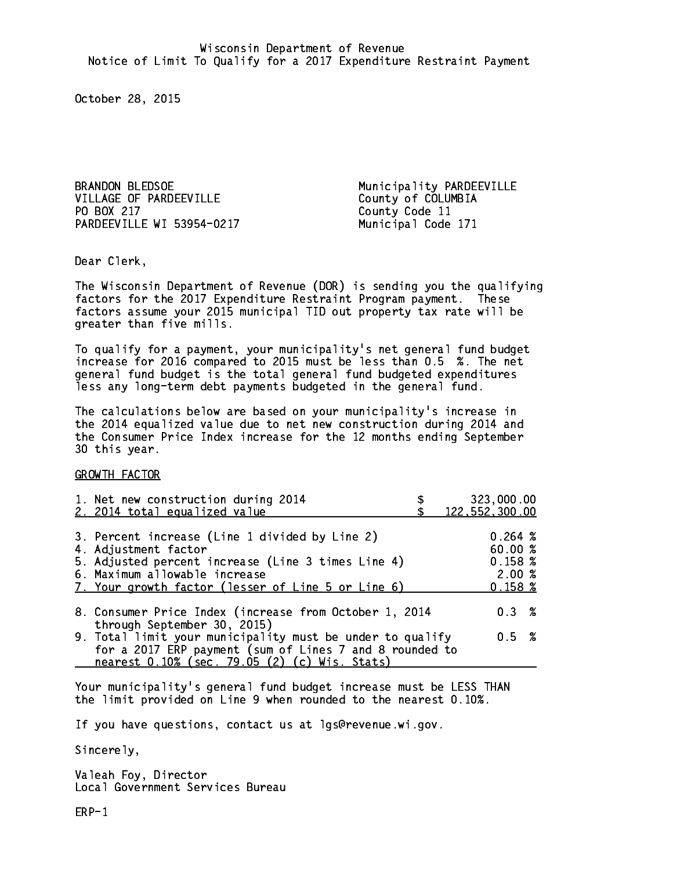BRANDON BLEDSOE Municipality PARDEEVILLE VILLAGE OF PARDEEVILLE County of COLUMBIA PO BOX 217 PARDEEVILLE WI 53954-0217 Municipal Code 171

County Code 11

Dear Clerk. Dear Clerk,

The Wisconsin Department of Revenue (DOR) is sending you the qualifying factors for the 2017 Expenditure Restraint Program payment. These factors assume your 2015 municipal TID out property tax rate will be greater than five mills.

 To qualify for a payment, your municipality's net general fund budget increase for 2016 compared to 2015 must be less than 0.5 %. The net general fund budget is the total general fund budgeted expenditures less any long-term debt payments budgeted in the general fund.

The calculations below are based on your municipality's increase in the 2014 equalized value due to net new construction during 2014 and the Consumer Price Index increase for the 12 months ending September 30 this year. 30 this year.

GROWTH FACTOR

| 1. Net new construction during 2014<br>2. 2014 total equalized value                                                                                                                                                | 323,000.00<br>122, 552, 300.00                   |
|---------------------------------------------------------------------------------------------------------------------------------------------------------------------------------------------------------------------|--------------------------------------------------|
| 3. Percent increase (Line 1 divided by Line 2)<br>4. Adjustment factor<br>5. Adjusted percent increase (Line 3 times Line 4)<br>6. Maximum allowable increase<br>7. Your growth factor (lesser of Line 5 or Line 6) | 0.264~%<br>60.00%<br>0.158~%<br>2.00%<br>0.158~% |
| 8. Consumer Price Index (increase from October 1, 2014                                                                                                                                                              | 0.3%                                             |
| through September 30, 2015)<br>9. Total limit your municipality must be under to qualify<br>for a 2017 ERP payment (sum of Lines 7 and 8 rounded to<br>nearest 0.10% (sec. 79.05 (2) (c) Wis. Stats)                | 0.5 %                                            |

Your municipality's general fund budget increase must be LESS THAN the limit provided on Line 9 when rounded to the nearest 0.10%.

If you have questions, contact us at lgs@revenue.wi.gov.

Sincerely,

Valeah Foy, Director Local Government Services Bureau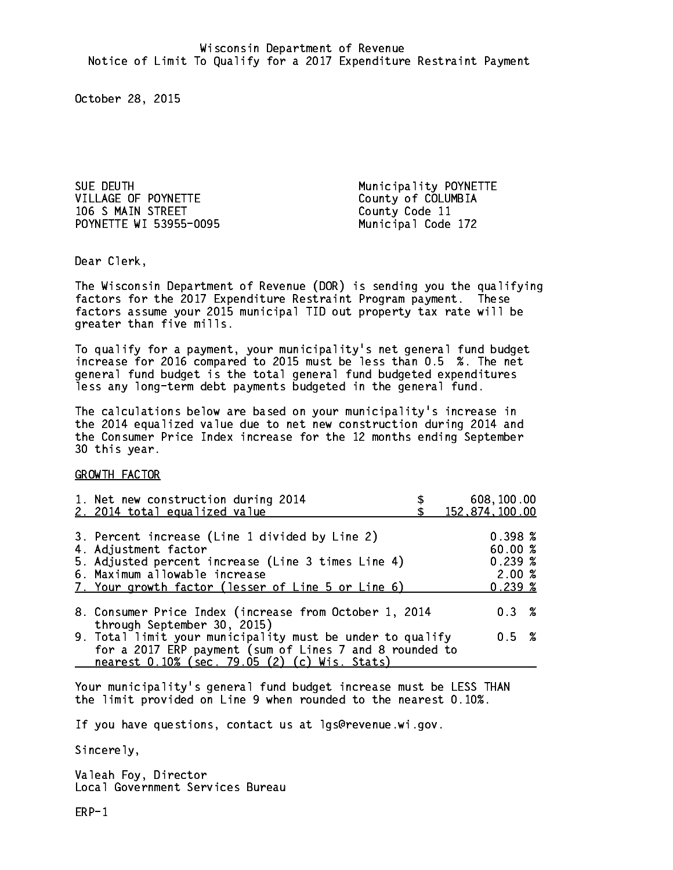SUE DEUTH **Municipality POYNETTE** VILLAGE OF POYNETTE County of COLUMBIA 106 S MAIN STREET County Code 11 POYNETTE WI 53955-0095 Municipal Code 172

Dear Clerk. Dear Clerk,

The Wisconsin Department of Revenue (DOR) is sending you the qualifying factors for the 2017 Expenditure Restraint Program payment. These factors assume your 2015 municipal TID out property tax rate will be greater than five mills.

 To qualify for a payment, your municipality's net general fund budget increase for 2016 compared to 2015 must be less than 0.5 %. The net general fund budget is the total general fund budgeted expenditures less any long-term debt payments budgeted in the general fund.

The calculations below are based on your municipality's increase in the 2014 equalized value due to net new construction during 2014 and the Consumer Price Index increase for the 12 months ending September 30 this year. 30 this year.

GROWTH FACTOR

| 1. Net new construction during 2014<br>2. 2014 total equalized value                                                                                                                                                | 608,100.00<br>152,874,100.00                                  |
|---------------------------------------------------------------------------------------------------------------------------------------------------------------------------------------------------------------------|---------------------------------------------------------------|
| 3. Percent increase (Line 1 divided by Line 2)<br>4. Adjustment factor<br>5. Adjusted percent increase (Line 3 times Line 4)<br>6. Maximum allowable increase<br>7. Your growth factor (lesser of Line 5 or Line 6) | $0.398 \; \text{\%}$<br>60.00%<br>$0.239*$<br>2.00%<br>0.239% |
| 8. Consumer Price Index (increase from October 1, 2014                                                                                                                                                              | 0.3%                                                          |
| through September 30, 2015)<br>9. Total limit your municipality must be under to qualify<br>for a 2017 ERP payment (sum of Lines 7 and 8 rounded to<br>nearest 0.10% (sec. 79.05 (2) (c) Wis. Stats)                | 0.5 %                                                         |

Your municipality's general fund budget increase must be LESS THAN the limit provided on Line 9 when rounded to the nearest 0.10%.

If you have questions, contact us at lgs@revenue.wi.gov.

Sincerely,

Valeah Foy, Director Local Government Services Bureau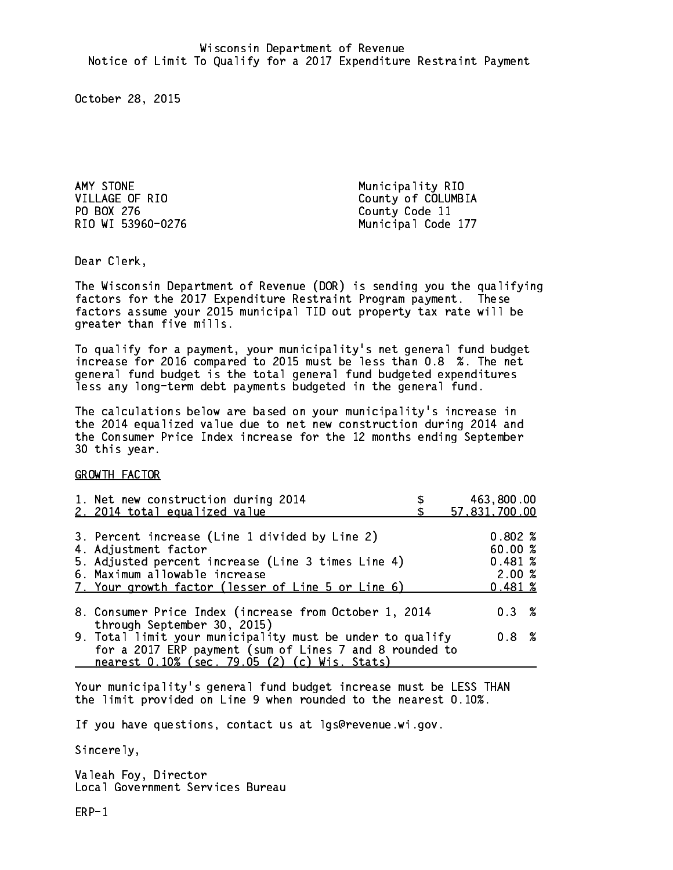AMY STONE Municipality RIO PO BOX 276 County Code 11

VILLAGE OF RIO County of COLUMBIA RIO WI 53960-0276 Municipal Code 177

Dear Clerk. Dear Clerk,

The Wisconsin Department of Revenue (DOR) is sending you the qualifying factors for the 2017 Expenditure Restraint Program payment. These factors assume your 2015 municipal TID out property tax rate will be greater than five mills.

 To qualify for a payment, your municipality's net general fund budget increase for 2016 compared to 2015 must be less than 0.8 %. The net general fund budget is the total general fund budgeted expenditures less any long-term debt payments budgeted in the general fund.

The calculations below are based on your municipality's increase in the 2014 equalized value due to net new construction during 2014 and the Consumer Price Index increase for the 12 months ending September 30 this year. 30 this year.

GROWTH FACTOR

| 1. Net new construction during 2014<br>2. 2014 total equalized value                                                                                                                                                | 463,800.00<br>57,831,700.00                     |
|---------------------------------------------------------------------------------------------------------------------------------------------------------------------------------------------------------------------|-------------------------------------------------|
| 3. Percent increase (Line 1 divided by Line 2)<br>4. Adjustment factor<br>5. Adjusted percent increase (Line 3 times Line 4)<br>6. Maximum allowable increase<br>7. Your growth factor (lesser of Line 5 or Line 6) | 0.802%<br>60.00%<br>0.481~%<br>2.00%<br>0.481~% |
| 8. Consumer Price Index (increase from October 1, 2014<br>through September 30, 2015)                                                                                                                               | $0.3 \t%$                                       |
| 9. Total limit your municipality must be under to qualify<br>for a 2017 ERP payment (sum of Lines 7 and 8 rounded to<br>nearest 0.10% (sec. 79.05 (2) (c) Wis. Stats)                                               | 0.8 %                                           |

Your municipality's general fund budget increase must be LESS THAN the limit provided on Line 9 when rounded to the nearest 0.10%.

If you have questions, contact us at lgs@revenue.wi.gov.

Sincerely,

Valeah Foy, Director Local Government Services Bureau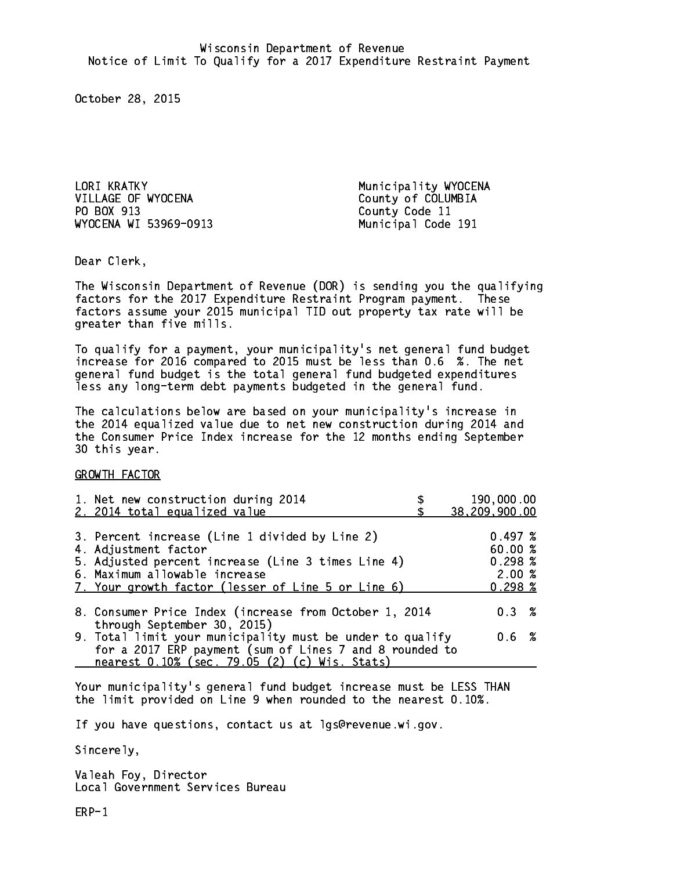LORI KRATKY **Municipality WYOCENA** VILLAGE OF WYOCENA County of COLUMBIA PO BOX 913 County Code 11 WYOCENA WI 53969-0913 Municipal Code 191

Dear Clerk. Dear Clerk,

The Wisconsin Department of Revenue (DOR) is sending you the qualifying factors for the 2017 Expenditure Restraint Program payment. These factors assume your 2015 municipal TID out property tax rate will be greater than five mills.

 To qualify for a payment, your municipality's net general fund budget increase for 2016 compared to 2015 must be less than 0.6 %. The net general fund budget is the total general fund budgeted expenditures less any long-term debt payments budgeted in the general fund.

The calculations below are based on your municipality's increase in the 2014 equalized value due to net new construction during 2014 and the Consumer Price Index increase for the 12 months ending September 30 this year. 30 this year.

GROWTH FACTOR

| 1. Net new construction during 2014<br>2. 2014 total equalized value                                                                                                                                                | 190,000.00<br>38,209,900.00                           |
|---------------------------------------------------------------------------------------------------------------------------------------------------------------------------------------------------------------------|-------------------------------------------------------|
| 3. Percent increase (Line 1 divided by Line 2)<br>4. Adjustment factor<br>5. Adjusted percent increase (Line 3 times Line 4)<br>6. Maximum allowable increase<br>7. Your growth factor (lesser of Line 5 or Line 6) | 0.497~%<br>60.00%<br>0.298~%<br>2.00%<br>$0.298 \; %$ |
| 8. Consumer Price Index (increase from October 1, 2014                                                                                                                                                              | $0.3 \t%$                                             |
| through September 30, 2015)<br>9. Total limit your municipality must be under to qualify<br>for a 2017 ERP payment (sum of Lines 7 and 8 rounded to<br>nearest 0.10% (sec. 79.05 (2) (c) Wis. Stats)                | 0.6 %                                                 |

Your municipality's general fund budget increase must be LESS THAN the limit provided on Line 9 when rounded to the nearest 0.10%.

If you have questions, contact us at lgs@revenue.wi.gov.

Sincerely,

Valeah Foy, Director Local Government Services Bureau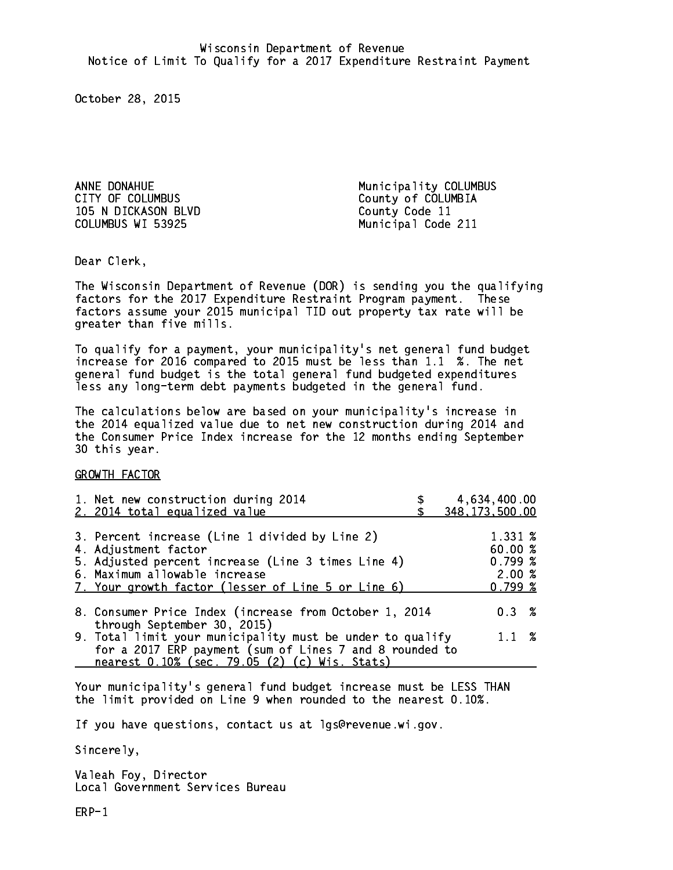105 N DICKASON BLVD County Code 11 COLUMBUS WI 53925

ANNE DONAHUE<br>
CITY OF COLUMBUS<br>
County of COLUMBIA County of COLUMBIA Municipal Code 211

Dear Clerk. Dear Clerk,

The Wisconsin Department of Revenue (DOR) is sending you the qualifying factors for the 2017 Expenditure Restraint Program payment. These factors assume your 2015 municipal TID out property tax rate will be greater than five mills.

 To qualify for a payment, your municipality's net general fund budget increase for 2016 compared to 2015 must be less than 1.1 %. The net general fund budget is the total general fund budgeted expenditures less any long-term debt payments budgeted in the general fund.

The calculations below are based on your municipality's increase in the 2014 equalized value due to net new construction during 2014 and the Consumer Price Index increase for the 12 months ending September 30 this year. 30 this year.

GROWTH FACTOR

| 1. Net new construction during 2014<br>2. 2014 total equalized value                                                                                                                                                | 4,634,400.00<br>348, 173, 500.00                  |
|---------------------------------------------------------------------------------------------------------------------------------------------------------------------------------------------------------------------|---------------------------------------------------|
| 3. Percent increase (Line 1 divided by Line 2)<br>4. Adjustment factor<br>5. Adjusted percent increase (Line 3 times Line 4)<br>6. Maximum allowable increase<br>7. Your growth factor (lesser of Line 5 or Line 6) | 1.331 %<br>60.00 %<br>0.799~%<br>2.00%<br>0.799~% |
| 8. Consumer Price Index (increase from October 1, 2014<br>through September 30, 2015)<br>9. Total limit your municipality must be under to qualify                                                                  | $0.3 \t%$<br>$1.1 \t%$                            |
| for a 2017 ERP payment (sum of Lines 7 and 8 rounded to<br>nearest 0.10% (sec. 79.05 (2) (c) Wis. Stats)                                                                                                            |                                                   |

Your municipality's general fund budget increase must be LESS THAN the limit provided on Line 9 when rounded to the nearest 0.10%.

If you have questions, contact us at lgs@revenue.wi.gov.

Sincerely,

Valeah Foy, Director Local Government Services Bureau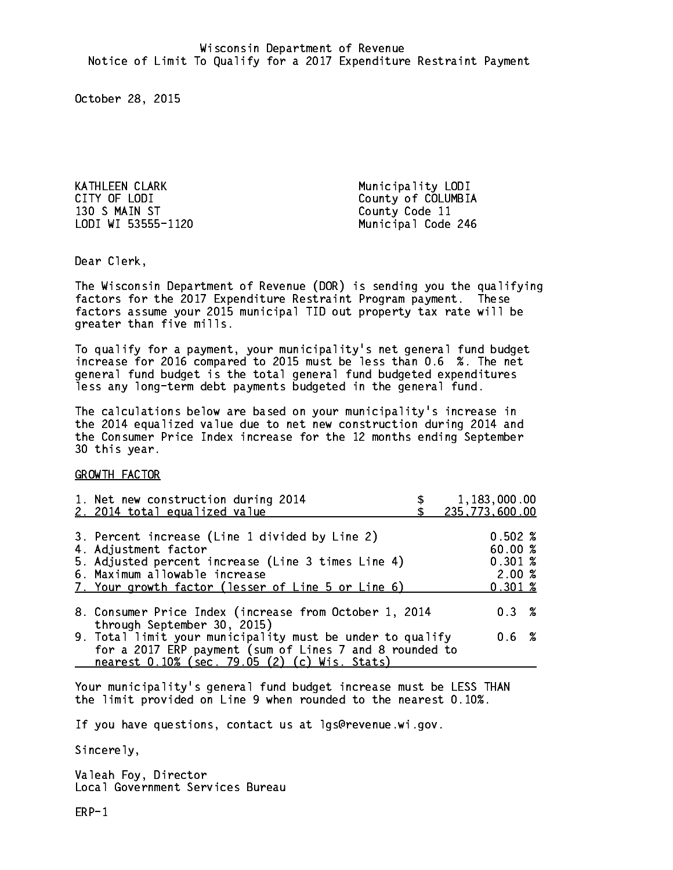KATHLEEN CLARK Municipality LODI 130 S MAIN ST County Code 11

CITY OF LODI County of COLUMBIA LODI WI 53555-1120 Municipal Code 246

Dear Clerk. Dear Clerk,

The Wisconsin Department of Revenue (DOR) is sending you the qualifying factors for the 2017 Expenditure Restraint Program payment. These factors assume your 2015 municipal TID out property tax rate will be greater than five mills.

 To qualify for a payment, your municipality's net general fund budget increase for 2016 compared to 2015 must be less than 0.6 %. The net general fund budget is the total general fund budgeted expenditures less any long-term debt payments budgeted in the general fund.

The calculations below are based on your municipality's increase in the 2014 equalized value due to net new construction during 2014 and the Consumer Price Index increase for the 12 months ending September 30 this year. 30 this year.

GROWTH FACTOR

| 1. Net new construction during 2014<br>2. 2014 total equalized value                                                                                                                                                | 1,183,000.00<br>235,773,600.00                               |
|---------------------------------------------------------------------------------------------------------------------------------------------------------------------------------------------------------------------|--------------------------------------------------------------|
| 3. Percent increase (Line 1 divided by Line 2)<br>4. Adjustment factor<br>5. Adjusted percent increase (Line 3 times Line 4)<br>6. Maximum allowable increase<br>7. Your growth factor (lesser of Line 5 or Line 6) | $0.502 \; \%$<br>60.00 %<br>0.301~%<br>2.00%<br>$0.301 \; %$ |
| 8. Consumer Price Index (increase from October 1, 2014                                                                                                                                                              | 0.3%                                                         |
| through September 30, 2015)<br>9. Total limit your municipality must be under to qualify<br>for a 2017 ERP payment (sum of Lines 7 and 8 rounded to<br>nearest 0.10% (sec. 79.05 (2) (c) Wis. Stats)                | $0.6\;{\;}\;%$                                               |

Your municipality's general fund budget increase must be LESS THAN the limit provided on Line 9 when rounded to the nearest 0.10%.

If you have questions, contact us at lgs@revenue.wi.gov.

Sincerely,

Valeah Foy, Director Local Government Services Bureau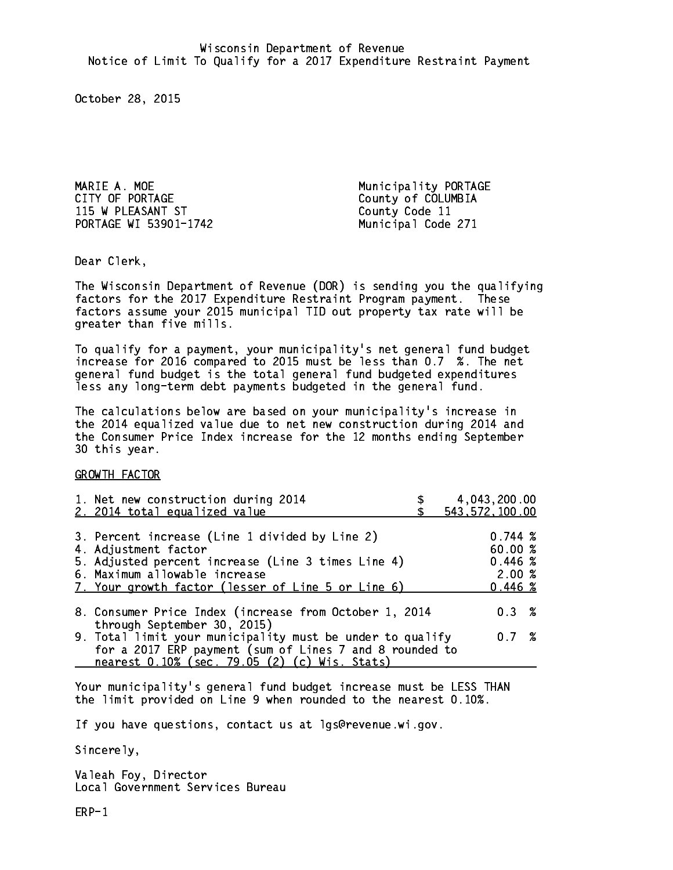MARIE A. MOE Municipality PORTAGE CITY OF PORTAGE COUNTY OF COLUMBIA 115 W PLEASANT ST County Code 11 PORTAGE WI 53901-1742 Municipal Code 271

Dear Clerk. Dear Clerk,

The Wisconsin Department of Revenue (DOR) is sending you the qualifying factors for the 2017 Expenditure Restraint Program payment. These factors assume your 2015 municipal TID out property tax rate will be greater than five mills.

 To qualify for a payment, your municipality's net general fund budget increase for 2016 compared to 2015 must be less than 0.7 %. The net general fund budget is the total general fund budgeted expenditures less any long-term debt payments budgeted in the general fund.

The calculations below are based on your municipality's increase in the 2014 equalized value due to net new construction during 2014 and the Consumer Price Index increase for the 12 months ending September 30 this year. 30 this year.

GROWTH FACTOR

| 1. Net new construction during 2014<br>2. 2014 total equalized value                                                 | 4,043,200.00<br>543, 572, 100.00 |
|----------------------------------------------------------------------------------------------------------------------|----------------------------------|
|                                                                                                                      |                                  |
| 3. Percent increase (Line 1 divided by Line 2)<br>4. Adjustment factor                                               | 0.744~%<br>60.00 %               |
| 5. Adjusted percent increase (Line 3 times Line 4)                                                                   | 0.446~%                          |
| 6. Maximum allowable increase<br>7. Your growth factor (lesser of Line 5 or Line 6)                                  | 2.00%<br>0.446~%                 |
| 8. Consumer Price Index (increase from October 1, 2014                                                               | $0.3 \t%$                        |
| through September 30, 2015)                                                                                          |                                  |
| 9. Total limit your municipality must be under to qualify<br>for a 2017 ERP payment (sum of Lines 7 and 8 rounded to | 0.7%                             |
| nearest 0.10% (sec. 79.05 (2) (c) Wis. Stats)                                                                        |                                  |

Your municipality's general fund budget increase must be LESS THAN the limit provided on Line 9 when rounded to the nearest 0.10%.

If you have questions, contact us at lgs@revenue.wi.gov.

Sincerely,

Valeah Foy, Director Local Government Services Bureau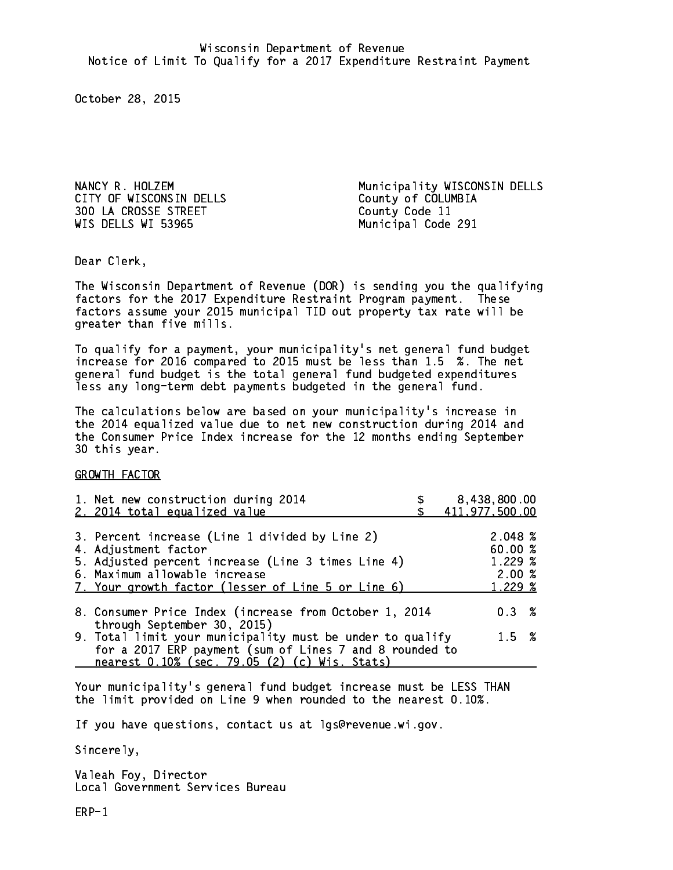CITY OF WISCONSIN DELLS County of COLUMBIA 300 LA CROSSE STREET County Code 11 WIS DELLS WI 53965 Municipal Code 291

NANCY R. HOLZEM Municipality WISCONSIN DELLS

Dear Clerk. Dear Clerk,

The Wisconsin Department of Revenue (DOR) is sending you the qualifying factors for the 2017 Expenditure Restraint Program payment. These factors assume your 2015 municipal TID out property tax rate will be greater than five mills.

 To qualify for a payment, your municipality's net general fund budget increase for 2016 compared to 2015 must be less than 1.5 %. The net general fund budget is the total general fund budgeted expenditures less any long-term debt payments budgeted in the general fund.

The calculations below are based on your municipality's increase in the 2014 equalized value due to net new construction during 2014 and the Consumer Price Index increase for the 12 months ending September 30 this year. 30 this year.

GROWTH FACTOR

| 1. Net new construction during 2014<br>2. 2014 total equalized value                                                                                                                                                | 8,438,800.00<br>411,977,500.00                   |
|---------------------------------------------------------------------------------------------------------------------------------------------------------------------------------------------------------------------|--------------------------------------------------|
| 3. Percent increase (Line 1 divided by Line 2)<br>4. Adjustment factor<br>5. Adjusted percent increase (Line 3 times Line 4)<br>6. Maximum allowable increase<br>7. Your growth factor (lesser of Line 5 or Line 6) | 2.048~%<br>60.00 %<br>1.229%<br>2.00%<br>1.229 % |
| 8. Consumer Price Index (increase from October 1, 2014<br>through September 30, 2015)                                                                                                                               | 0.3%                                             |
| 9. Total limit your municipality must be under to qualify<br>for a 2017 ERP payment (sum of Lines 7 and 8 rounded to<br>nearest 0.10% (sec. 79.05 (2) (c) Wis. Stats)                                               | $1.5 \t%$                                        |

Your municipality's general fund budget increase must be LESS THAN the limit provided on Line 9 when rounded to the nearest 0.10%.

If you have questions, contact us at lgs@revenue.wi.gov.

Sincerely,

Valeah Foy, Director Local Government Services Bureau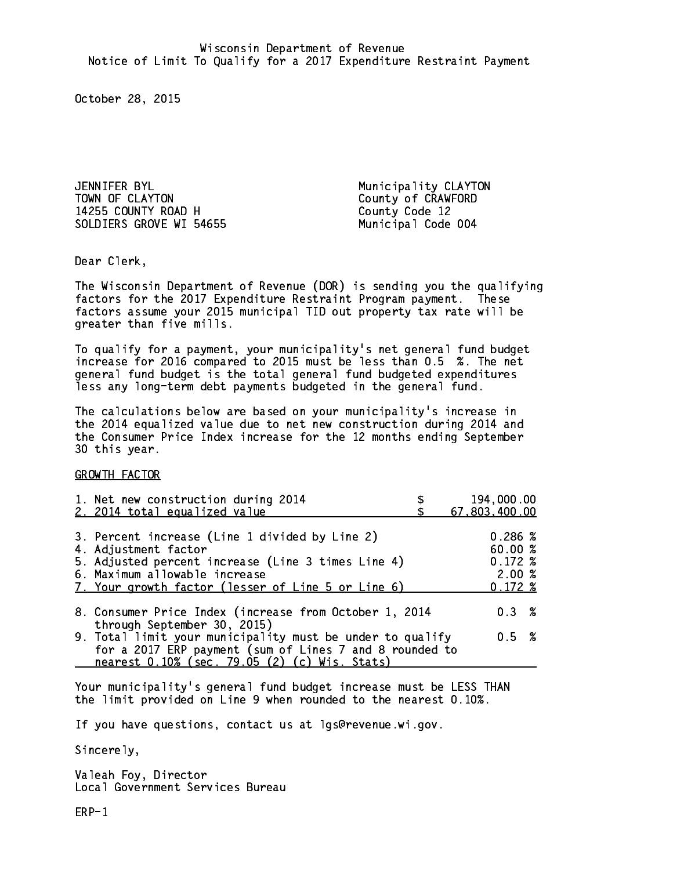JENNIFER BYL Municipality CLAYTON TOWN OF CLAYTON County of CRAWFORD 14255 COUNTY ROAD H County Code 12 SOLDIERS GROVE WI 54655 Municipal Code 004

Dear Clerk. Dear Clerk,

The Wisconsin Department of Revenue (DOR) is sending you the qualifying factors for the 2017 Expenditure Restraint Program payment. These factors assume your 2015 municipal TID out property tax rate will be greater than five mills.

 To qualify for a payment, your municipality's net general fund budget increase for 2016 compared to 2015 must be less than 0.5 %. The net general fund budget is the total general fund budgeted expenditures less any long-term debt payments budgeted in the general fund.

The calculations below are based on your municipality's increase in the 2014 equalized value due to net new construction during 2014 and the Consumer Price Index increase for the 12 months ending September 30 this year. 30 this year.

GROWTH FACTOR

| 1. Net new construction during 2014                                                                                                                                                                                 | 194,000.00                                                 |
|---------------------------------------------------------------------------------------------------------------------------------------------------------------------------------------------------------------------|------------------------------------------------------------|
| 2. 2014 total equalized value                                                                                                                                                                                       | 67,803,400.00                                              |
| 3. Percent increase (Line 1 divided by Line 2)<br>4. Adjustment factor<br>5. Adjusted percent increase (Line 3 times Line 4)<br>6. Maximum allowable increase<br>7. Your growth factor (lesser of Line 5 or Line 6) | 0.286~%<br>60.00%<br>$0.172 \;$ %<br>2.00%<br>$0.172 \; %$ |
| 8. Consumer Price Index (increase from October 1, 2014                                                                                                                                                              | $0.3 \t%$                                                  |
| through September 30, 2015)<br>9. Total limit your municipality must be under to qualify<br>for a 2017 ERP payment (sum of Lines 7 and 8 rounded to<br>nearest 0.10% (sec. 79.05 (2) (c) Wis. Stats)                | 0.5 %                                                      |

Your municipality's general fund budget increase must be LESS THAN the limit provided on Line 9 when rounded to the nearest 0.10%.

If you have questions, contact us at lgs@revenue.wi.gov.

Sincerely,

Valeah Foy, Director Local Government Services Bureau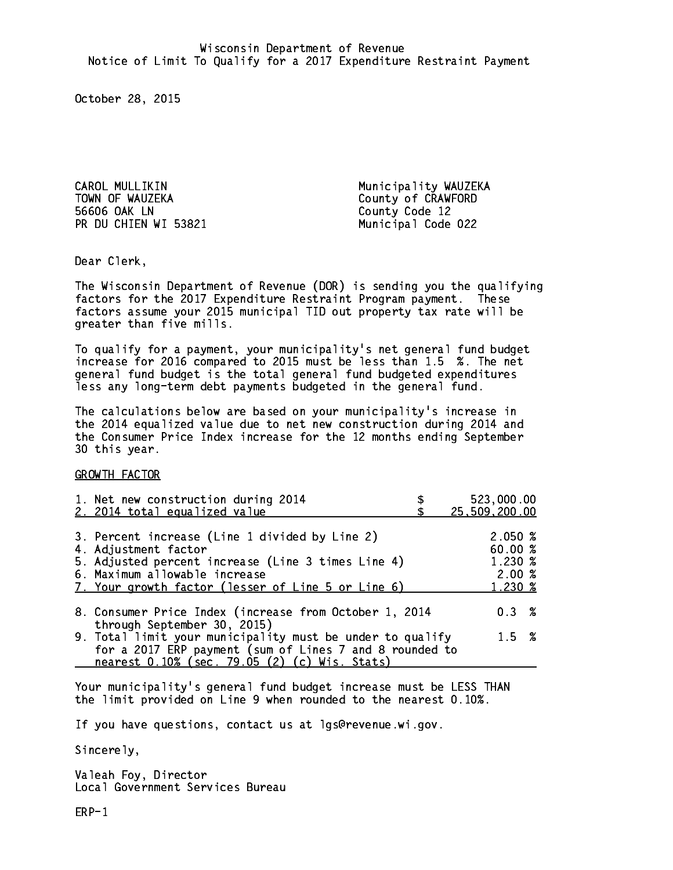CAROL MULLIKIN Municipality WAUZEKA TOWN OF WAUZEKA County of CRAWFORD 56606 OAK LN County Code 12 PR DU CHIEN WI 53821 Municipal Code 022

Dear Clerk. Dear Clerk,

The Wisconsin Department of Revenue (DOR) is sending you the qualifying factors for the 2017 Expenditure Restraint Program payment. These factors assume your 2015 municipal TID out property tax rate will be greater than five mills.

 To qualify for a payment, your municipality's net general fund budget increase for 2016 compared to 2015 must be less than 1.5 %. The net general fund budget is the total general fund budgeted expenditures less any long-term debt payments budgeted in the general fund.

The calculations below are based on your municipality's increase in the 2014 equalized value due to net new construction during 2014 and the Consumer Price Index increase for the 12 months ending September 30 this year. 30 this year.

GROWTH FACTOR

| 1. Net new construction during 2014                                                                                                                                                                                 | 523,000.00                                       |
|---------------------------------------------------------------------------------------------------------------------------------------------------------------------------------------------------------------------|--------------------------------------------------|
| 2. 2014 total equalized value                                                                                                                                                                                       | 25,509,200.00                                    |
| 3. Percent increase (Line 1 divided by Line 2)<br>4. Adjustment factor<br>5. Adjusted percent increase (Line 3 times Line 4)<br>6. Maximum allowable increase<br>7. Your growth factor (lesser of Line 5 or Line 6) | 2.050~%<br>60.00%<br>1.230 %<br>2.00%<br>1.230 % |
| 8. Consumer Price Index (increase from October 1, 2014<br>through September 30, 2015)                                                                                                                               | $0.3 \t%$                                        |
| 9. Total limit your municipality must be under to qualify<br>for a 2017 ERP payment (sum of Lines 7 and 8 rounded to<br>nearest 0.10% (sec. 79.05 (2) (c) Wis. Stats)                                               | $1.5 \t%$                                        |

Your municipality's general fund budget increase must be LESS THAN the limit provided on Line 9 when rounded to the nearest 0.10%.

If you have questions, contact us at lgs@revenue.wi.gov.

Sincerely,

Valeah Foy, Director Local Government Services Bureau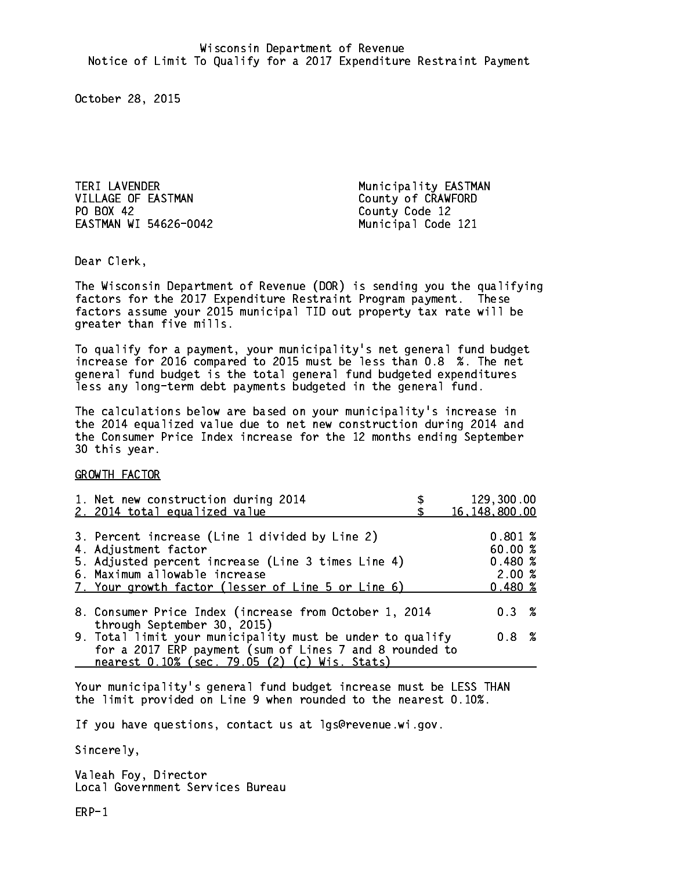TERI LAVENDER Municipality EASTMAN VILLAGE OF EASTMAN County of CRAWFORD PO BOX 42 EASTMAN WI 54626-0042 Municipal Code 121

County Code 12

Dear Clerk. Dear Clerk,

The Wisconsin Department of Revenue (DOR) is sending you the qualifying factors for the 2017 Expenditure Restraint Program payment. These factors assume your 2015 municipal TID out property tax rate will be greater than five mills.

 To qualify for a payment, your municipality's net general fund budget increase for 2016 compared to 2015 must be less than 0.8 %. The net general fund budget is the total general fund budgeted expenditures less any long-term debt payments budgeted in the general fund.

The calculations below are based on your municipality's increase in the 2014 equalized value due to net new construction during 2014 and the Consumer Price Index increase for the 12 months ending September 30 this year. 30 this year.

GROWTH FACTOR

| 1. Net new construction during 2014<br>2. 2014 total equalized value                                                                                                                                                | 129,300.00<br>16,148,800.00                    |
|---------------------------------------------------------------------------------------------------------------------------------------------------------------------------------------------------------------------|------------------------------------------------|
| 3. Percent increase (Line 1 divided by Line 2)<br>4. Adjustment factor<br>5. Adjusted percent increase (Line 3 times Line 4)<br>6. Maximum allowable increase<br>7. Your growth factor (lesser of Line 5 or Line 6) | 0.801%<br>60.00%<br>0.480~%<br>2.00%<br>0.480% |
| 8. Consumer Price Index (increase from October 1, 2014                                                                                                                                                              | $0.3 \t%$                                      |
| through September 30, 2015)<br>9. Total limit your municipality must be under to qualify<br>for a 2017 ERP payment (sum of Lines 7 and 8 rounded to<br>nearest 0.10% (sec. 79.05 (2) (c) Wis. Stats)                | 0.8 <sup>8</sup>                               |

Your municipality's general fund budget increase must be LESS THAN the limit provided on Line 9 when rounded to the nearest 0.10%.

If you have questions, contact us at lgs@revenue.wi.gov.

Sincerely,

Valeah Foy, Director Local Government Services Bureau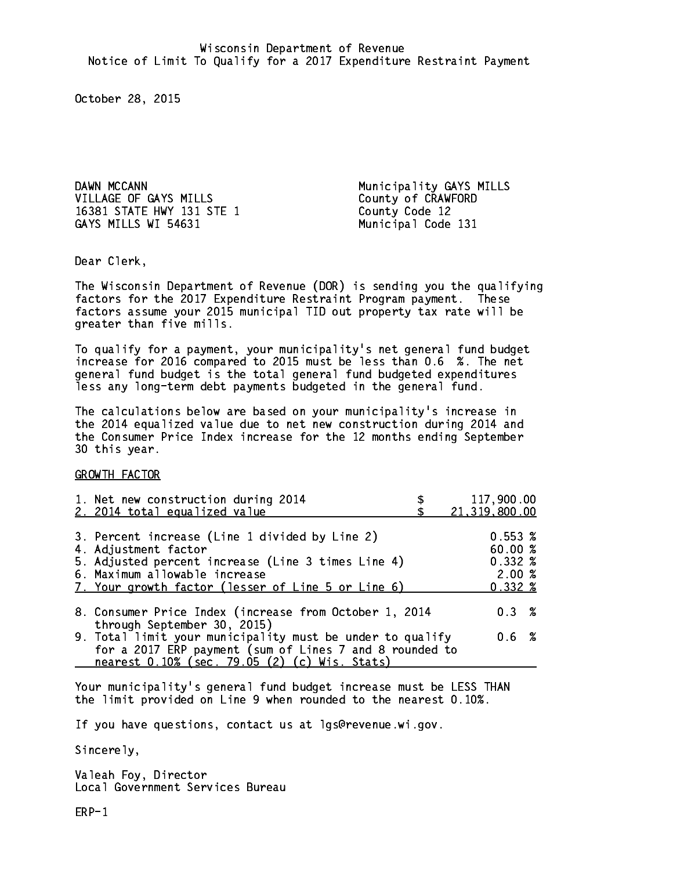DAWN MCCANN **Municipality GAYS** MILLS VILLAGE OF GAYS MILLS County of CRAWFORD 16381 STATE HWY 131 STE 1 County Code 12 GAYS MILLS WI 54631 Municipal Code 131

Dear Clerk. Dear Clerk,

The Wisconsin Department of Revenue (DOR) is sending you the qualifying factors for the 2017 Expenditure Restraint Program payment. These factors assume your 2015 municipal TID out property tax rate will be greater than five mills.

 To qualify for a payment, your municipality's net general fund budget increase for 2016 compared to 2015 must be less than 0.6 %. The net general fund budget is the total general fund budgeted expenditures less any long-term debt payments budgeted in the general fund.

The calculations below are based on your municipality's increase in the 2014 equalized value due to net new construction during 2014 and the Consumer Price Index increase for the 12 months ending September 30 this year. 30 this year.

GROWTH FACTOR

| 1. Net new construction during 2014<br>2. 2014 total equalized value                                                                                                                                                | 117,900.00<br>21,319,800.00                                 |
|---------------------------------------------------------------------------------------------------------------------------------------------------------------------------------------------------------------------|-------------------------------------------------------------|
| 3. Percent increase (Line 1 divided by Line 2)<br>4. Adjustment factor<br>5. Adjusted percent increase (Line 3 times Line 4)<br>6. Maximum allowable increase<br>7. Your growth factor (lesser of Line 5 or Line 6) | $0.553 \;$ %<br>60.00%<br>$0.332 \; %$<br>2.00%<br>$0.332*$ |
| 8. Consumer Price Index (increase from October 1, 2014<br>through September 30, 2015)                                                                                                                               | 0.3%                                                        |
| 9. Total limit your municipality must be under to qualify<br>for a 2017 ERP payment (sum of Lines 7 and 8 rounded to<br>nearest 0.10% (sec. 79.05 (2) (c) Wis. Stats)                                               | 0.6 %                                                       |

Your municipality's general fund budget increase must be LESS THAN the limit provided on Line 9 when rounded to the nearest 0.10%.

If you have questions, contact us at lgs@revenue.wi.gov.

Sincerely,

Valeah Foy, Director Local Government Services Bureau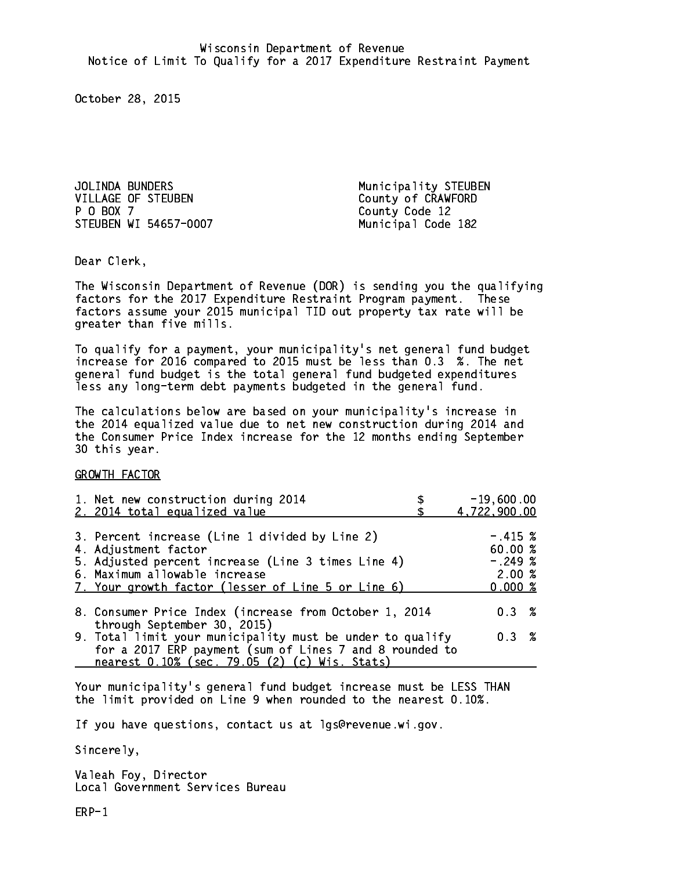JOLINDA BUNDERS Municipality STEUBEN VILLAGE OF STEUBEN County of CRAWFORD P 0 BOX 7 STEUBEN WI 54657-0007 Municipal Code 182

County Code 12

Dear Clerk. Dear Clerk,

The Wisconsin Department of Revenue (DOR) is sending you the qualifying factors for the 2017 Expenditure Restraint Program payment. These factors assume your 2015 municipal TID out property tax rate will be greater than five mills.

 To qualify for a payment, your municipality's net general fund budget increase for 2016 compared to 2015 must be less than 0.3 %. The net general fund budget is the total general fund budgeted expenditures less any long-term debt payments budgeted in the general fund.

The calculations below are based on your municipality's increase in the 2014 equalized value due to net new construction during 2014 and the Consumer Price Index increase for the 12 months ending September 30 this year. 30 this year.

GROWTH FACTOR

| 1. Net new construction during 2014<br>2. 2014 total equalized value                                     | $-19,600.00$<br>4,722,900.00 |
|----------------------------------------------------------------------------------------------------------|------------------------------|
|                                                                                                          |                              |
| 3. Percent increase (Line 1 divided by Line 2)<br>4. Adjustment factor                                   | $-.415~%$<br>60.00%          |
| 5. Adjusted percent increase (Line 3 times Line 4)                                                       | $-.249~%$                    |
| 6. Maximum allowable increase                                                                            | 2.00%                        |
| 7. Your growth factor (lesser of Line 5 or Line 6)                                                       | 0.000~%                      |
| 8. Consumer Price Index (increase from October 1, 2014<br>through September 30, 2015)                    | $0.3 \t%$                    |
| 9. Total limit your municipality must be under to qualify                                                | 0.3 %                        |
| for a 2017 ERP payment (sum of Lines 7 and 8 rounded to<br>nearest 0.10% (sec. 79.05 (2) (c) Wis. Stats) |                              |

Your municipality's general fund budget increase must be LESS THAN the limit provided on Line 9 when rounded to the nearest 0.10%.

If you have questions, contact us at lgs@revenue.wi.gov.

Sincerely,

Valeah Foy, Director Local Government Services Bureau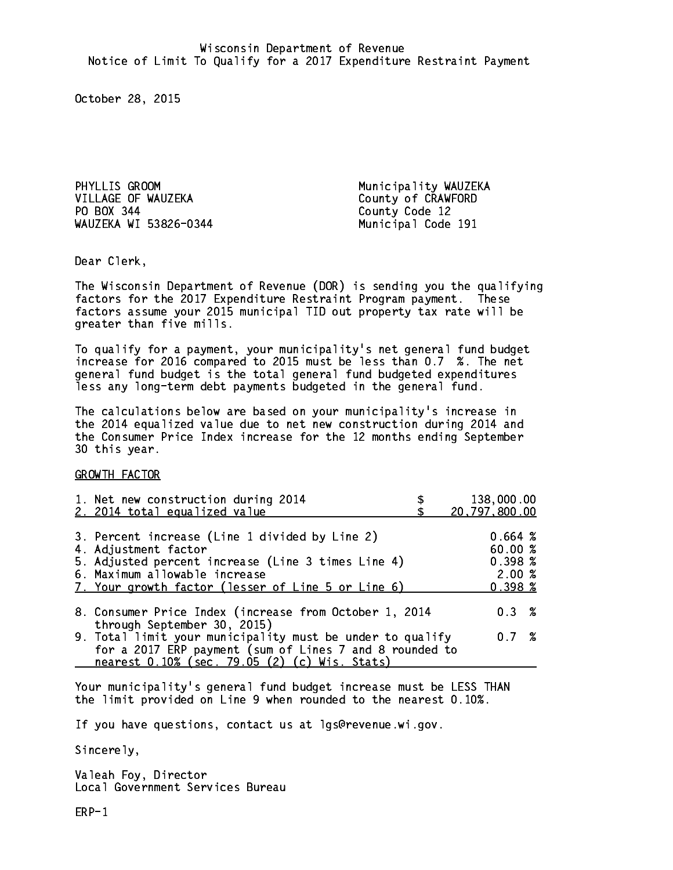PHYLLIS GROOM **Municipality WAUZEKA** VILLAGE OF WAUZEKA County of CRAWFORD PO BOX 344 County Code 12 WAUZEKA WI 53826-0344 Municipal Code 191

Dear Clerk. Dear Clerk,

The Wisconsin Department of Revenue (DOR) is sending you the qualifying factors for the 2017 Expenditure Restraint Program payment. These factors assume your 2015 municipal TID out property tax rate will be greater than five mills.

 To qualify for a payment, your municipality's net general fund budget increase for 2016 compared to 2015 must be less than 0.7 %. The net general fund budget is the total general fund budgeted expenditures less any long-term debt payments budgeted in the general fund.

The calculations below are based on your municipality's increase in the 2014 equalized value due to net new construction during 2014 and the Consumer Price Index increase for the 12 months ending September 30 this year. 30 this year. This year of the second terms of the second terms in the second terms in the second terms in the

GROWTH FACTOR

| 1. Net new construction during 2014<br>2. 2014 total equalized value                                                                                                                                                | 138,000.00<br>20,797,800.00                                        |
|---------------------------------------------------------------------------------------------------------------------------------------------------------------------------------------------------------------------|--------------------------------------------------------------------|
| 3. Percent increase (Line 1 divided by Line 2)<br>4. Adjustment factor<br>5. Adjusted percent increase (Line 3 times Line 4)<br>6. Maximum allowable increase<br>7. Your growth factor (lesser of Line 5 or Line 6) | 0.664~%<br>60.00%<br>$0.398 \; \text{\%}$<br>2.00%<br>$0.398 \; %$ |
| 8. Consumer Price Index (increase from October 1, 2014                                                                                                                                                              | $0.3 \t%$                                                          |
| through September 30, 2015)<br>9. Total limit your municipality must be under to qualify<br>for a 2017 ERP payment (sum of Lines 7 and 8 rounded to<br>nearest 0.10% (sec. 79.05 (2) (c) Wis. Stats)                | 0.7%                                                               |

Your municipality's general fund budget increase must be LESS THAN the limit provided on Line 9 when rounded to the nearest 0.10%.

If you have questions, contact us at lgs@revenue.wi.gov.

Sincerely,

Valeah Foy, Director Local Government Services Bureau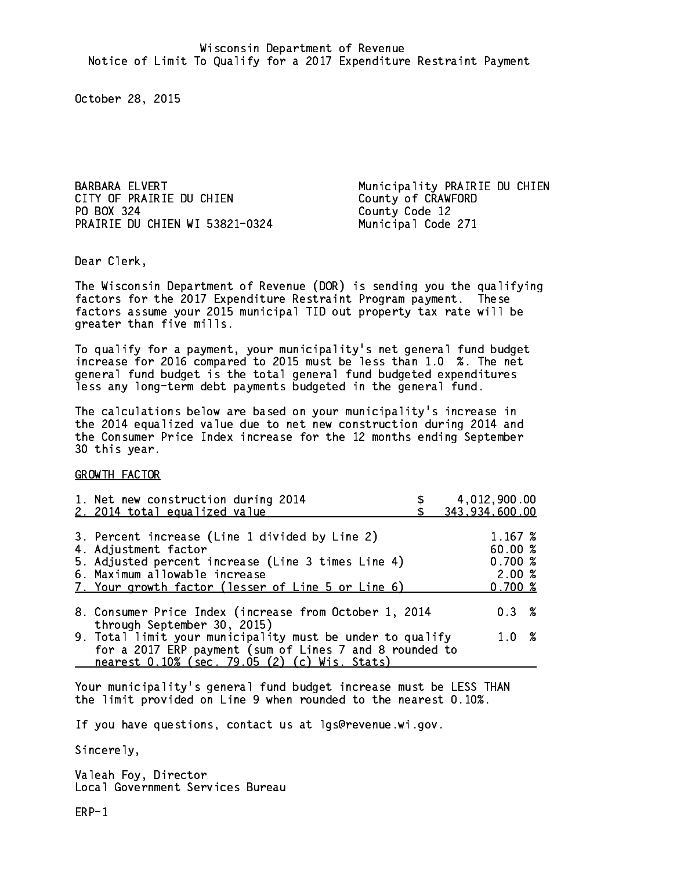CITY OF PRAIRIE DU CHIEN COUNTY OF CRAWFORD PO BOX 324 County Code 12 PRAIRIE DU CHIEN WI 53821-0324 Municipal Code 271

BARBARA ELVERT **Municipality PRAIRIE DU CHIEN** 

Dear Clerk. Dear Clerk,

The Wisconsin Department of Revenue (DOR) is sending you the qualifying factors for the 2017 Expenditure Restraint Program payment. These factors assume your 2015 municipal TID out property tax rate will be greater than five mills.

 To qualify for a payment, your municipality's net general fund budget increase for 2016 compared to 2015 must be less than 1.0 %. The net general fund budget is the total general fund budgeted expenditures less any long-term debt payments budgeted in the general fund.

The calculations below are based on your municipality's increase in the 2014 equalized value due to net new construction during 2014 and the Consumer Price Index increase for the 12 months ending September 30 this year. 30 this year.

GROWTH FACTOR

| 1. Net new construction during 2014<br>2. 2014 total equalized value                                                                                                                                                | 4,012,900.00<br>343,934,600.00                    |  |
|---------------------------------------------------------------------------------------------------------------------------------------------------------------------------------------------------------------------|---------------------------------------------------|--|
| 3. Percent increase (Line 1 divided by Line 2)<br>4. Adjustment factor<br>5. Adjusted percent increase (Line 3 times Line 4)<br>6. Maximum allowable increase<br>7. Your growth factor (lesser of Line 5 or Line 6) | 1.167 %<br>60.00 %<br>0.700~%<br>2.00%<br>0.700~% |  |
| 8. Consumer Price Index (increase from October 1, 2014                                                                                                                                                              | $0.3 \t%$                                         |  |
| through September 30, 2015)<br>9. Total limit your municipality must be under to qualify<br>for a 2017 ERP payment (sum of Lines 7 and 8 rounded to<br>nearest 0.10% (sec. 79.05 (2) (c) Wis. Stats)                | 1.0 %                                             |  |

Your municipality's general fund budget increase must be LESS THAN the limit provided on Line 9 when rounded to the nearest 0.10%.

If you have questions, contact us at lgs@revenue.wi.gov.

Sincerely,

Valeah Foy, Director Local Government Services Bureau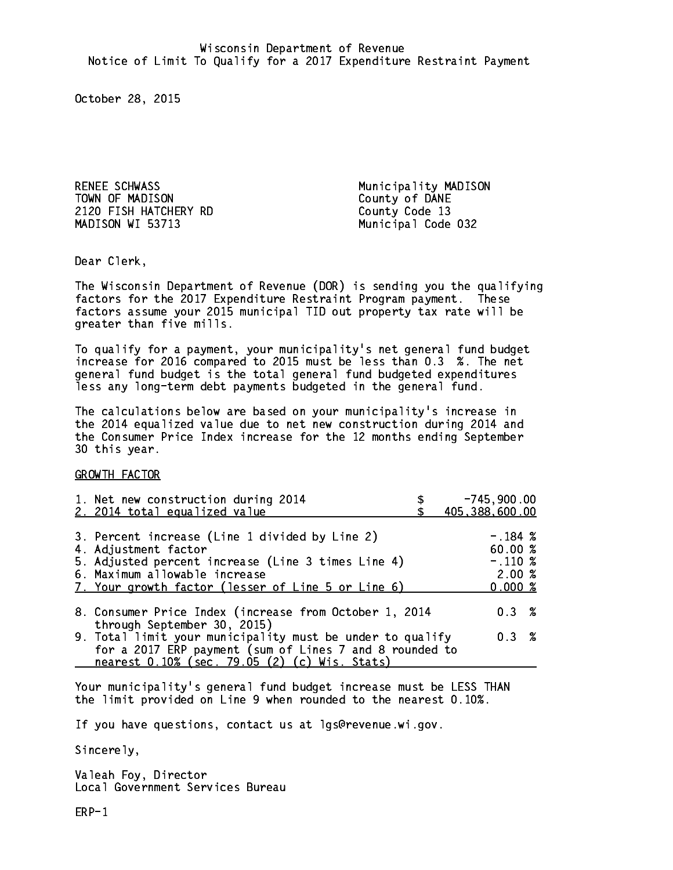RENEE SCHWASS Municipality MADISON TOWN OF MADISON County of DANE 2120 FISH HATCHERY RD County Code 13 MADISON WI 53713

Municipal Code 032

Dear Clerk. Dear Clerk,

The Wisconsin Department of Revenue (DOR) is sending you the qualifying factors for the 2017 Expenditure Restraint Program payment. These factors assume your 2015 municipal TID out property tax rate will be greater than five mills.

 To qualify for a payment, your municipality's net general fund budget increase for 2016 compared to 2015 must be less than 0.3 %. The net general fund budget is the total general fund budgeted expenditures less any long-term debt payments budgeted in the general fund.

The calculations below are based on your municipality's increase in the 2014 equalized value due to net new construction during 2014 and the Consumer Price Index increase for the 12 months ending September 30 this year. 30 this year.

GROWTH FACTOR

| 1. Net new construction during 2014<br>2. 2014 total equalized value                                                                                                                                                | $-745,900.00$<br>405,388,600.00                       |
|---------------------------------------------------------------------------------------------------------------------------------------------------------------------------------------------------------------------|-------------------------------------------------------|
| 3. Percent increase (Line 1 divided by Line 2)<br>4. Adjustment factor<br>5. Adjusted percent increase (Line 3 times Line 4)<br>6. Maximum allowable increase<br>7. Your growth factor (lesser of Line 5 or Line 6) | $-.184~%$<br>60.00 %<br>$-.110~%$<br>2.00%<br>0.000~% |
| 8. Consumer Price Index (increase from October 1, 2014<br>through September 30, 2015)                                                                                                                               | $0.3 \t%$                                             |
| 9. Total limit your municipality must be under to qualify<br>for a 2017 ERP payment (sum of Lines 7 and 8 rounded to<br>nearest 0.10% (sec. 79.05 (2) (c) Wis. Stats)                                               | 0.3%                                                  |

Your municipality's general fund budget increase must be LESS THAN the limit provided on Line 9 when rounded to the nearest 0.10%.

If you have questions, contact us at lgs@revenue.wi.gov.

Sincerely,

Valeah Foy, Director Local Government Services Bureau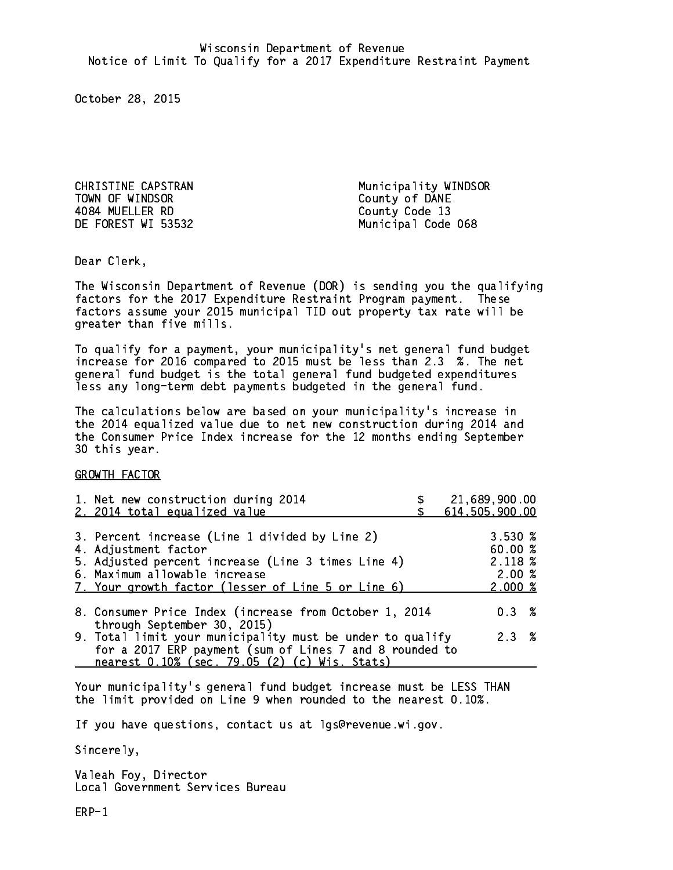CHRISTINE CAPSTRAN Municipality WINDSOR TOWN OF WINDSOR County of DANE 4084 MUELLER RD County Code 13

DE FOREST WI 53532 Municipal Code 068

Dear Clerk. Dear Clerk,

The Wisconsin Department of Revenue (DOR) is sending you the qualifying factors for the 2017 Expenditure Restraint Program payment. These factors assume your 2015 municipal TID out property tax rate will be greater than five mills.

 To qualify for a payment, your municipality's net general fund budget increase for 2016 compared to 2015 must be less than 2.3 %. The net general fund budget is the total general fund budgeted expenditures less any long-term debt payments budgeted in the general fund.

The calculations below are based on your municipality's increase in the 2014 equalized value due to net new construction during 2014 and the Consumer Price Index increase for the 12 months ending September 30 this year. 30 this year.

GROWTH FACTOR

| 1. Net new construction during 2014<br>2. 2014 total equalized value                                                                                                                                                | 21,689,900.00<br>614,505,900.00                  |
|---------------------------------------------------------------------------------------------------------------------------------------------------------------------------------------------------------------------|--------------------------------------------------|
| 3. Percent increase (Line 1 divided by Line 2)<br>4. Adjustment factor<br>5. Adjusted percent increase (Line 3 times Line 4)<br>6. Maximum allowable increase<br>7. Your growth factor (lesser of Line 5 or Line 6) | 3.530%<br>60.00 %<br>2.118 %<br>2.00%<br>2.000~% |
| 8. Consumer Price Index (increase from October 1, 2014                                                                                                                                                              | 0.3%                                             |
| through September 30, 2015)<br>9. Total limit your municipality must be under to qualify<br>for a 2017 ERP payment (sum of Lines 7 and 8 rounded to<br>nearest 0.10% (sec. 79.05 (2) (c) Wis. Stats)                | 2.3%                                             |

Your municipality's general fund budget increase must be LESS THAN the limit provided on Line 9 when rounded to the nearest 0.10%.

If you have questions, contact us at lgs@revenue.wi.gov.

Sincerely,

Valeah Foy, Director Local Government Services Bureau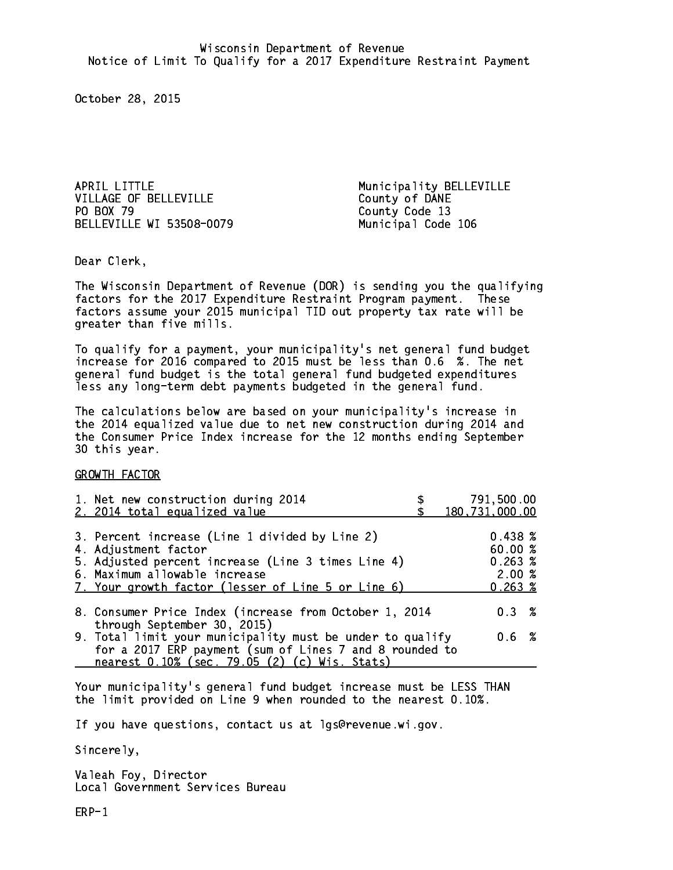APRIL LITTLE Municipality BELLEVILLE VILLAGE OF BELLEVILLE County of DANE PO BOX 79 BELLEVILLE WI 53508-0079 Municipal Code 106

County Code 13

Dear Clerk. Dear Clerk,

The Wisconsin Department of Revenue (DOR) is sending you the qualifying factors for the 2017 Expenditure Restraint Program payment. These factors assume your 2015 municipal TID out property tax rate will be greater than five mills.

 To qualify for a payment, your municipality's net general fund budget increase for 2016 compared to 2015 must be less than 0.6 %. The net general fund budget is the total general fund budgeted expenditures less any long-term debt payments budgeted in the general fund.

The calculations below are based on your municipality's increase in the 2014 equalized value due to net new construction during 2014 and the Consumer Price Index increase for the 12 months ending September 30 this year. 30 this year.

GROWTH FACTOR

| 1. Net new construction during 2014<br>2. 2014 total equalized value                                                                                                                                                | 791,500.00<br>180,731,000.00                          |
|---------------------------------------------------------------------------------------------------------------------------------------------------------------------------------------------------------------------|-------------------------------------------------------|
| 3. Percent increase (Line 1 divided by Line 2)<br>4. Adjustment factor<br>5. Adjusted percent increase (Line 3 times Line 4)<br>6. Maximum allowable increase<br>7. Your growth factor (lesser of Line 5 or Line 6) | 0.438~%<br>60.00%<br>0.263~%<br>2.00%<br>$0.263 \; %$ |
| 8. Consumer Price Index (increase from October 1, 2014                                                                                                                                                              | 0.3%                                                  |
| through September 30, 2015)<br>9. Total limit your municipality must be under to qualify<br>for a 2017 ERP payment (sum of Lines 7 and 8 rounded to<br>nearest 0.10% (sec. 79.05 (2) (c) Wis. Stats)                | 0.6 %                                                 |

Your municipality's general fund budget increase must be LESS THAN the limit provided on Line 9 when rounded to the nearest 0.10%.

If you have questions, contact us at lgs@revenue.wi.gov.

Sincerely,

Valeah Foy, Director Local Government Services Bureau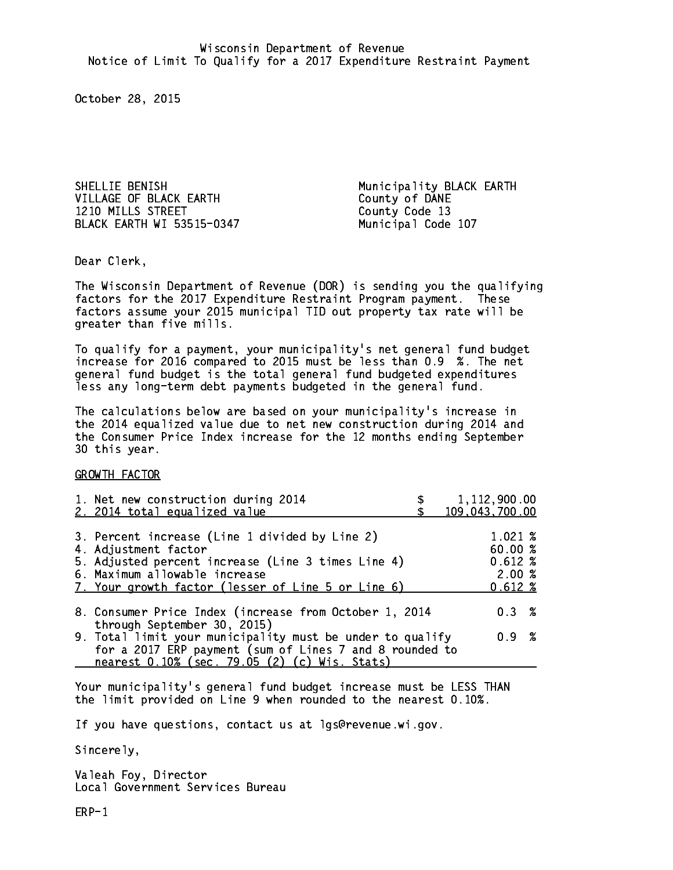SHELLIE BENISH Municipality BLACK EARTH VILLAGE OF BLACK EARTH County of DANE 1210 MILLS STREET County Code 13 BLACK EARTH WI 53515-0347 Municipal Code 107

Dear Clerk. Dear Clerk,

The Wisconsin Department of Revenue (DOR) is sending you the qualifying factors for the 2017 Expenditure Restraint Program payment. These factors assume your 2015 municipal TID out property tax rate will be greater than five mills.

 To qualify for a payment, your municipality's net general fund budget increase for 2016 compared to 2015 must be less than 0.9 %. The net general fund budget is the total general fund budgeted expenditures less any long-term debt payments budgeted in the general fund.

The calculations below are based on your municipality's increase in the 2014 equalized value due to net new construction during 2014 and the Consumer Price Index increase for the 12 months ending September 30 this year. 30 this year.

GROWTH FACTOR

| 1. Net new construction during 2014                                                                                                                                                                  | 1,112,900.00   |
|------------------------------------------------------------------------------------------------------------------------------------------------------------------------------------------------------|----------------|
| 2. 2014 total equalized value                                                                                                                                                                        | 109,043,700.00 |
| 3. Percent increase (Line 1 divided by Line 2)                                                                                                                                                       | 1.021%         |
| 4. Adjustment factor                                                                                                                                                                                 | 60.00%         |
| 5. Adjusted percent increase (Line 3 times Line 4)                                                                                                                                                   | $0.612*$       |
| 6. Maximum allowable increase                                                                                                                                                                        | 2.00%          |
| 7. Your growth factor (lesser of Line 5 or Line 6)                                                                                                                                                   | 0.612%         |
| 8. Consumer Price Index (increase from October 1, 2014                                                                                                                                               | $0.3 \t%$      |
| through September 30, 2015)<br>9. Total limit your municipality must be under to qualify<br>for a 2017 ERP payment (sum of Lines 7 and 8 rounded to<br>nearest 0.10% (sec. 79.05 (2) (c) Wis. Stats) | 0.9 %          |

Your municipality's general fund budget increase must be LESS THAN the limit provided on Line 9 when rounded to the nearest 0.10%.

If you have questions, contact us at lgs@revenue.wi.gov.

Sincerely,

Valeah Foy, Director Local Government Services Bureau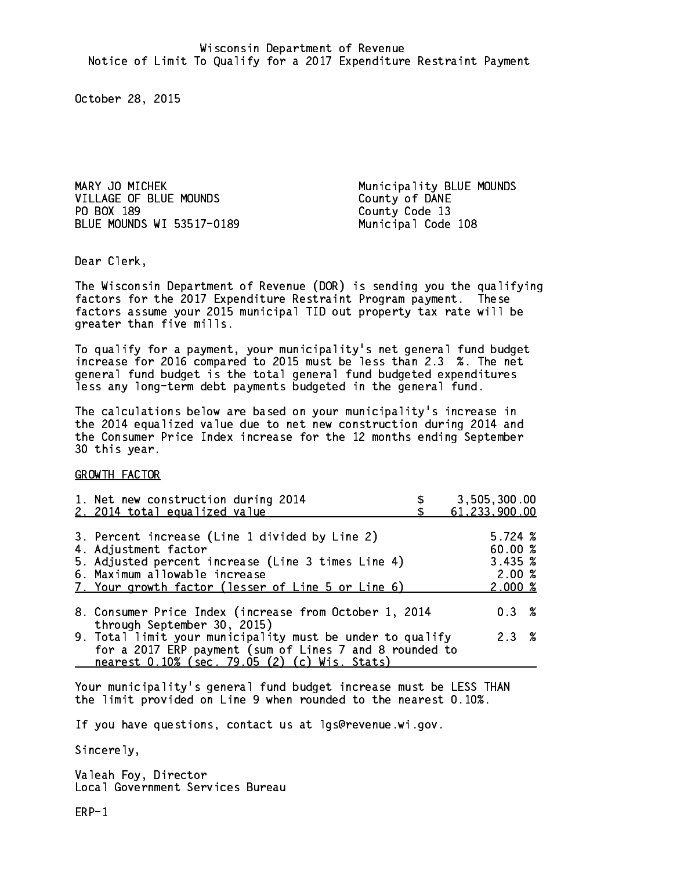MARY JO MICHEK **Municipality BLUE MOUNDS** VILLAGE OF BLUE MOUNDS County of DANE PO BOX 189 BLUE MOUNDS WI 53517-0189 Municipal Code 108

County Code 13

Dear Clerk. Dear Clerk,

The Wisconsin Department of Revenue (DOR) is sending you the qualifying factors for the 2017 Expenditure Restraint Program payment. These factors assume your 2015 municipal TID out property tax rate will be greater than five mills.

 To qualify for a payment, your municipality's net general fund budget increase for 2016 compared to 2015 must be less than 2.3 %. The net general fund budget is the total general fund budgeted expenditures less any long-term debt payments budgeted in the general fund.

The calculations below are based on your municipality's increase in the 2014 equalized value due to net new construction during 2014 and the Consumer Price Index increase for the 12 months ending September 30 this year. 30 this year.

GROWTH FACTOR

| 1. Net new construction during 2014<br>2. 2014 total equalized value                                                                                                                                                | 3,505,300.00<br>61, 233, 900.00                   |
|---------------------------------------------------------------------------------------------------------------------------------------------------------------------------------------------------------------------|---------------------------------------------------|
| 3. Percent increase (Line 1 divided by Line 2)<br>4. Adjustment factor<br>5. Adjusted percent increase (Line 3 times Line 4)<br>6. Maximum allowable increase<br>7. Your growth factor (lesser of Line 5 or Line 6) | 5.724~%<br>60.00 %<br>3.435~%<br>2.00%<br>2.000~% |
| 8. Consumer Price Index (increase from October 1, 2014<br>through September 30, 2015)                                                                                                                               | $0.3 \t%$                                         |
| 9. Total limit your municipality must be under to qualify<br>for a 2017 ERP payment (sum of Lines 7 and 8 rounded to<br>nearest 0.10% (sec. 79.05 (2) (c) Wis. Stats)                                               | 2.3%                                              |

Your municipality's general fund budget increase must be LESS THAN the limit provided on Line 9 when rounded to the nearest 0.10%.

If you have questions, contact us at lgs@revenue.wi.gov.

Sincerely,

Valeah Foy, Director Local Government Services Bureau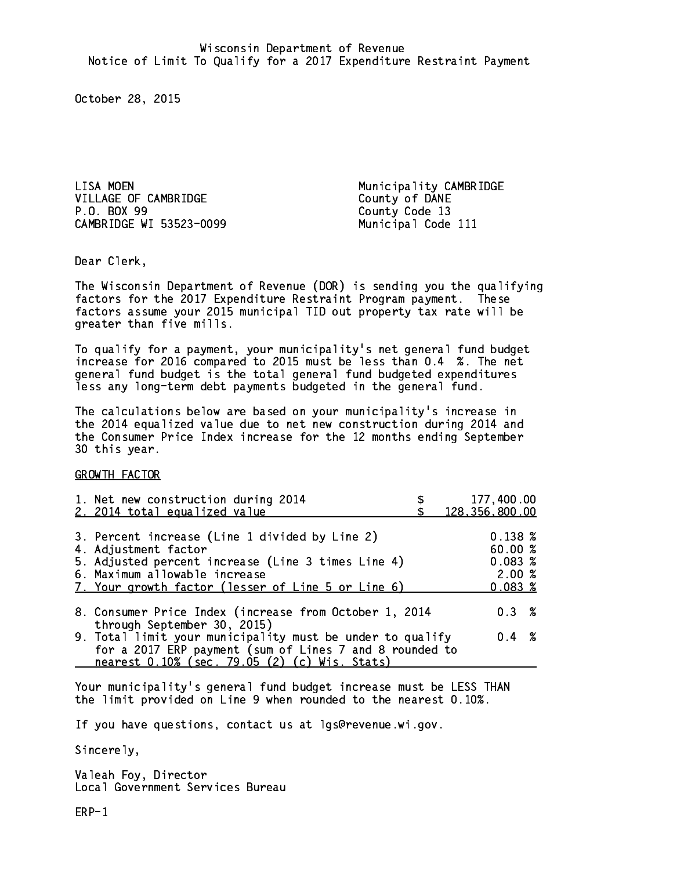LISA MOEN **Municipality CAMBRIDGE** VILLAGE OF CAMBRIDGE COUNTY OF DANE P.O. BOX 99 CAMBRIDGE WI 53523-0099 Municipal Code 111

County Code 13

Dear Clerk. Dear Clerk,

The Wisconsin Department of Revenue (DOR) is sending you the qualifying factors for the 2017 Expenditure Restraint Program payment. These factors assume your 2015 municipal TID out property tax rate will be greater than five mills.

 To qualify for a payment, your municipality's net general fund budget increase for 2016 compared to 2015 must be less than 0.4 %. The net general fund budget is the total general fund budgeted expenditures less any long-term debt payments budgeted in the general fund.

The calculations below are based on your municipality's increase in the 2014 equalized value due to net new construction during 2014 and the Consumer Price Index increase for the 12 months ending September 30 this year. 30 this year.

GROWTH FACTOR

| 1. Net new construction during 2014<br>2. 2014 total equalized value                                                                                                                                                |                                                                              | 177,400.00<br>128, 356, 800.00                                                                                                                                                 |
|---------------------------------------------------------------------------------------------------------------------------------------------------------------------------------------------------------------------|------------------------------------------------------------------------------|--------------------------------------------------------------------------------------------------------------------------------------------------------------------------------|
| 3. Percent increase (Line 1 divided by Line 2)<br>4. Adjustment factor<br>5. Adjusted percent increase (Line 3 times Line 4)<br>6. Maximum allowable increase<br>7. Your growth factor (lesser of Line 5 or Line 6) |                                                                              | $0.138 \; \text{\%}$<br>60.00%<br>0.083~%<br>2.00%<br>0.083%                                                                                                                   |
|                                                                                                                                                                                                                     |                                                                              | $0.3 \t%$                                                                                                                                                                      |
|                                                                                                                                                                                                                     |                                                                              | $0.4 \t%$                                                                                                                                                                      |
|                                                                                                                                                                                                                     | through September 30, 2015)<br>nearest 0.10% (sec. 79.05 (2) (c) Wis. Stats) | 8. Consumer Price Index (increase from October 1, 2014<br>9. Total limit your municipality must be under to qualify<br>for a 2017 ERP payment (sum of Lines 7 and 8 rounded to |

Your municipality's general fund budget increase must be LESS THAN the limit provided on Line 9 when rounded to the nearest 0.10%.

If you have questions, contact us at lgs@revenue.wi.gov.

Sincerely,

Valeah Foy, Director Local Government Services Bureau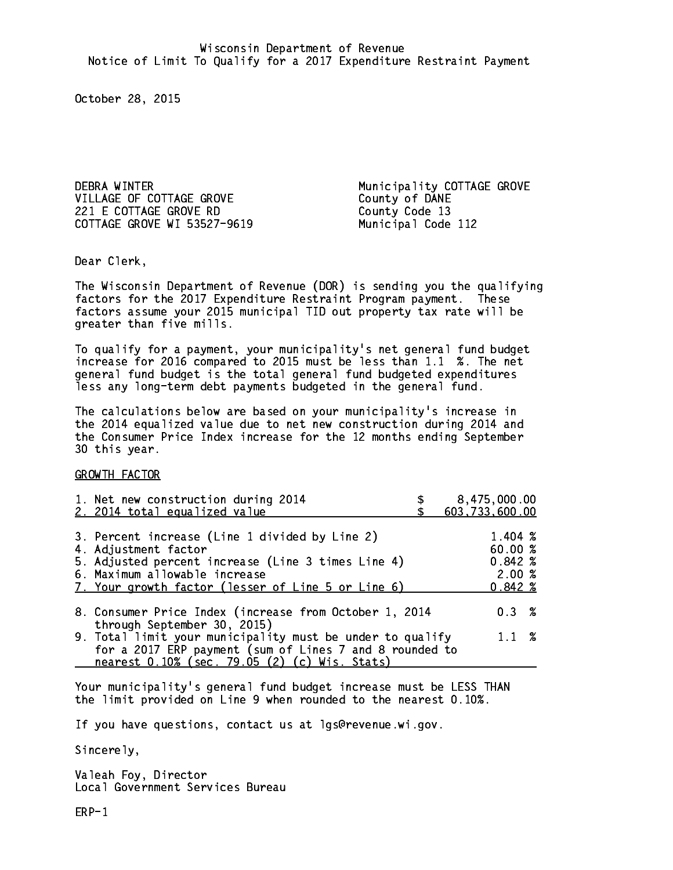DEBRA WINTER **Municipality COTTAGE GROVE** VILLAGE OF COTTAGE GROVE COUNTY Of DANE 221 E COTTAGE GROVE RD County Code 13 COTTAGE GROVE WI 53527-9619 Municipal Code 112

Dear Clerk. Dear Clerk,

The Wisconsin Department of Revenue (DOR) is sending you the qualifying factors for the 2017 Expenditure Restraint Program payment. These factors assume your 2015 municipal TID out property tax rate will be greater than five mills.

 To qualify for a payment, your municipality's net general fund budget increase for 2016 compared to 2015 must be less than 1.1 %. The net general fund budget is the total general fund budgeted expenditures less any long-term debt payments budgeted in the general fund.

The calculations below are based on your municipality's increase in the 2014 equalized value due to net new construction during 2014 and the Consumer Price Index increase for the 12 months ending September 30 this year. 30 this year.

GROWTH FACTOR

|                                                                                                                      | 8,475,000.00<br>603,733,600.00                                      |
|----------------------------------------------------------------------------------------------------------------------|---------------------------------------------------------------------|
|                                                                                                                      | $1.404 \; \text{\%}$<br>60.00%<br>$0.842*$<br>2.00%<br>$0.842 \; %$ |
| 8. Consumer Price Index (increase from October 1, 2014                                                               | $0.3 \t%$                                                           |
| 9. Total limit your municipality must be under to qualify<br>for a 2017 ERP payment (sum of Lines 7 and 8 rounded to | $1.1 \t%$                                                           |
|                                                                                                                      |                                                                     |

Your municipality's general fund budget increase must be LESS THAN the limit provided on Line 9 when rounded to the nearest 0.10%.

If you have questions, contact us at lgs@revenue.wi.gov.

Sincerely,

Valeah Foy, Director Local Government Services Bureau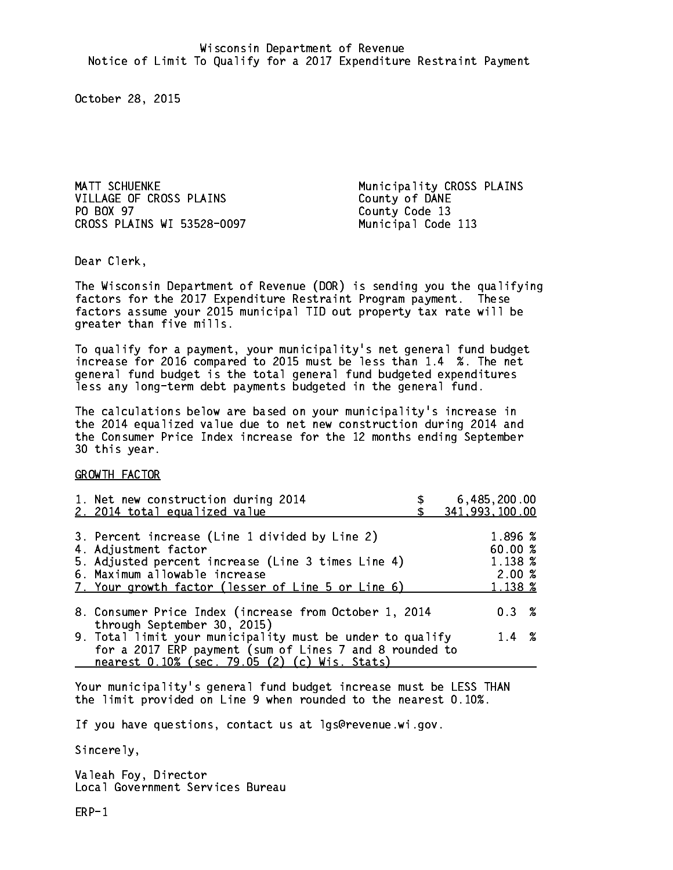MATT SCHUENKE **Municipality CROSS PLAINS** VILLAGE OF CROSS PLAINS County of DANE PO BOX 97 CROSS PLAINS WI 53528-0097 Municipal Code 113

County Code 13

Dear Clerk. Dear Clerk,

The Wisconsin Department of Revenue (DOR) is sending you the qualifying factors for the 2017 Expenditure Restraint Program payment. These factors assume your 2015 municipal TID out property tax rate will be greater than five mills.

 To qualify for a payment, your municipality's net general fund budget increase for 2016 compared to 2015 must be less than 1.4 %. The net general fund budget is the total general fund budgeted expenditures less any long-term debt payments budgeted in the general fund.

The calculations below are based on your municipality's increase in the 2014 equalized value due to net new construction during 2014 and the Consumer Price Index increase for the 12 months ending September 30 this year. 30 this year.

GROWTH FACTOR

| 1. Net new construction during 2014<br>2. 2014 total equalized value                                                                                                                                                | 6,485,200.00<br>341,993,100.00                    |
|---------------------------------------------------------------------------------------------------------------------------------------------------------------------------------------------------------------------|---------------------------------------------------|
| 3. Percent increase (Line 1 divided by Line 2)<br>4. Adjustment factor<br>5. Adjusted percent increase (Line 3 times Line 4)<br>6. Maximum allowable increase<br>7. Your growth factor (lesser of Line 5 or Line 6) | 1.896 %<br>60.00 %<br>1.138 %<br>2.00%<br>1.138 % |
| 8. Consumer Price Index (increase from October 1, 2014<br>through September 30, 2015)                                                                                                                               | 0.3%                                              |
| 9. Total limit your municipality must be under to qualify<br>for a 2017 ERP payment (sum of Lines 7 and 8 rounded to<br>nearest 0.10% (sec. 79.05 (2) (c) Wis. Stats)                                               | $1.4 \t%$                                         |

Your municipality's general fund budget increase must be LESS THAN the limit provided on Line 9 when rounded to the nearest 0.10%.

If you have questions, contact us at lgs@revenue.wi.gov.

Sincerely,

Valeah Foy, Director Local Government Services Bureau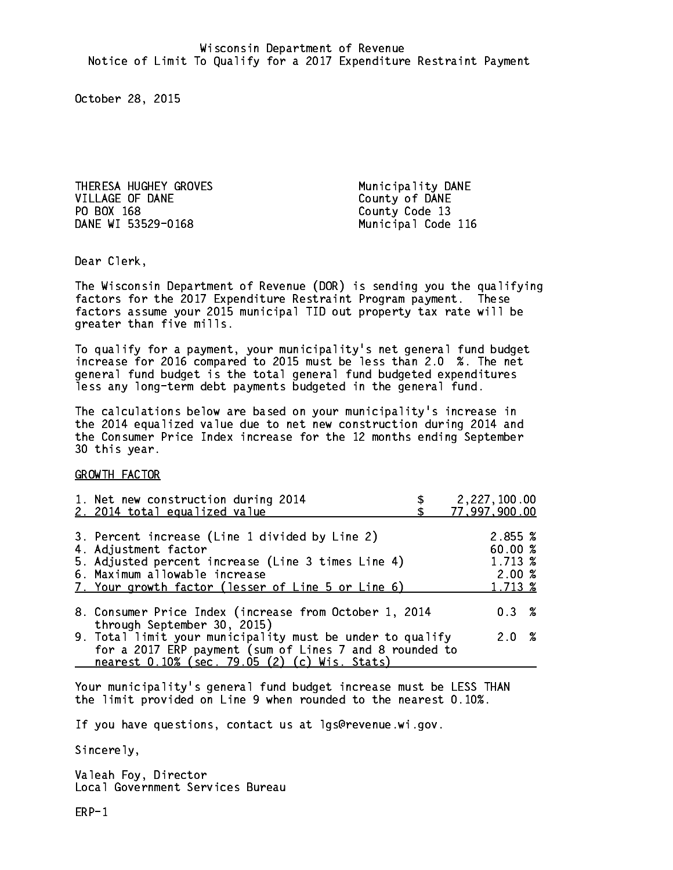THERESA HUGHEY GROVES Municipality DANE VILLAGE OF DANE County of DANE PO BOX 168 County Code 13 DANE WI 53529-0168

Municipal Code 116

Dear Clerk. Dear Clerk,

The Wisconsin Department of Revenue (DOR) is sending you the qualifying factors for the 2017 Expenditure Restraint Program payment. These factors assume your 2015 municipal TID out property tax rate will be greater than five mills.

 To qualify for a payment, your municipality's net general fund budget increase for 2016 compared to 2015 must be less than 2.0 %. The net general fund budget is the total general fund budgeted expenditures less any long-term debt payments budgeted in the general fund.

The calculations below are based on your municipality's increase in the 2014 equalized value due to net new construction during 2014 and the Consumer Price Index increase for the 12 months ending September 30 this year. 30 this year.

GROWTH FACTOR

| 1. Net new construction during 2014<br>2. 2014 total equalized value                                                                                                                                                | 2,227,100.00<br>77,997,900.00                     |
|---------------------------------------------------------------------------------------------------------------------------------------------------------------------------------------------------------------------|---------------------------------------------------|
| 3. Percent increase (Line 1 divided by Line 2)<br>4. Adjustment factor<br>5. Adjusted percent increase (Line 3 times Line 4)<br>6. Maximum allowable increase<br>7. Your growth factor (lesser of Line 5 or Line 6) | 2.855 %<br>60.00 %<br>1.713 %<br>2.00%<br>1.713 % |
| 8. Consumer Price Index (increase from October 1, 2014<br>through September 30, 2015)                                                                                                                               | 0.3%                                              |
| 9. Total limit your municipality must be under to qualify<br>for a 2017 ERP payment (sum of Lines 7 and 8 rounded to<br>nearest 0.10% (sec. 79.05 (2) (c) Wis. Stats)                                               | 2.0%                                              |

Your municipality's general fund budget increase must be LESS THAN the limit provided on Line 9 when rounded to the nearest 0.10%.

If you have questions, contact us at lgs@revenue.wi.gov.

Sincerely,

Valeah Foy, Director Local Government Services Bureau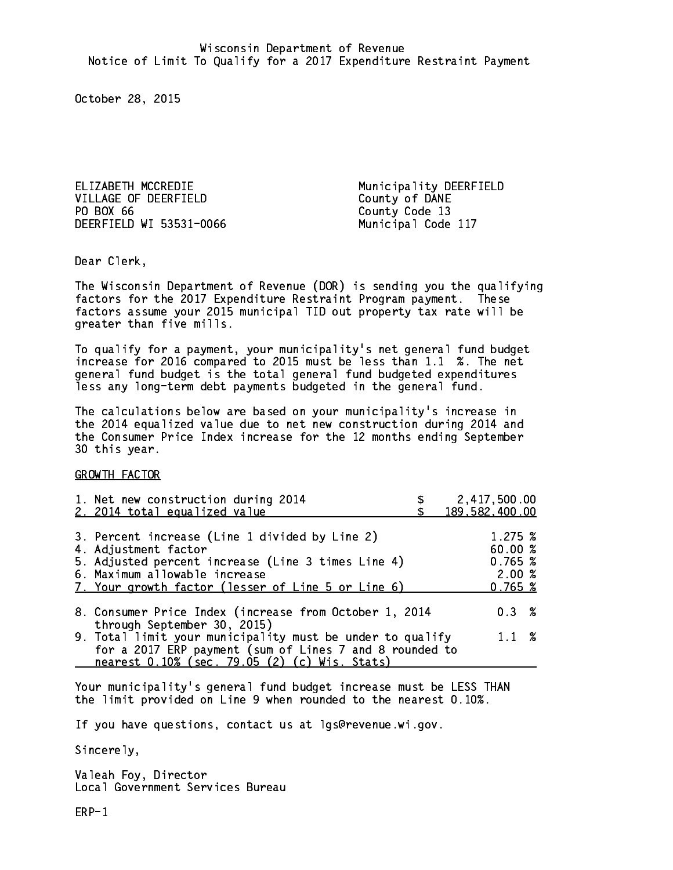ELIZABETH MCCREDIE Municipality DEERFIELD VILLAGE OF DEERFIELD County of DANE PO BOX 66 DEERFIELD WI 53531-0066 Municipal Code 117

County Code 13

Dear Clerk. Dear Clerk,

The Wisconsin Department of Revenue (DOR) is sending you the qualifying factors for the 2017 Expenditure Restraint Program payment. These factors assume your 2015 municipal TID out property tax rate will be greater than five mills.

 To qualify for a payment, your municipality's net general fund budget increase for 2016 compared to 2015 must be less than 1.1 %. The net general fund budget is the total general fund budgeted expenditures less any long-term debt payments budgeted in the general fund.

The calculations below are based on your municipality's increase in the 2014 equalized value due to net new construction during 2014 and the Consumer Price Index increase for the 12 months ending September 30 this year. 30 this year.

GROWTH FACTOR

|                                                                                                                      | 2,417,500.00<br>189,582,400.00                                                                                                                                                                                                                                                                               |
|----------------------------------------------------------------------------------------------------------------------|--------------------------------------------------------------------------------------------------------------------------------------------------------------------------------------------------------------------------------------------------------------------------------------------------------------|
|                                                                                                                      | 1.275~%<br>60.00 %<br>0.765~%<br>2.00%<br>0.765~%                                                                                                                                                                                                                                                            |
|                                                                                                                      | $0.3 \t%$                                                                                                                                                                                                                                                                                                    |
| 9. Total limit your municipality must be under to qualify<br>for a 2017 ERP payment (sum of Lines 7 and 8 rounded to | $1.1 \t%$                                                                                                                                                                                                                                                                                                    |
|                                                                                                                      | 1. Net new construction during 2014<br>3. Percent increase (Line 1 divided by Line 2)<br>5. Adjusted percent increase (Line 3 times Line 4)<br>7. Your growth factor (lesser of Line 5 or Line 6)<br>8. Consumer Price Index (increase from October 1, 2014<br>nearest 0.10% (sec. 79.05 (2) (c) Wis. Stats) |

Your municipality's general fund budget increase must be LESS THAN the limit provided on Line 9 when rounded to the nearest 0.10%.

If you have questions, contact us at lgs@revenue.wi.gov.

Sincerely,

Valeah Foy, Director Local Government Services Bureau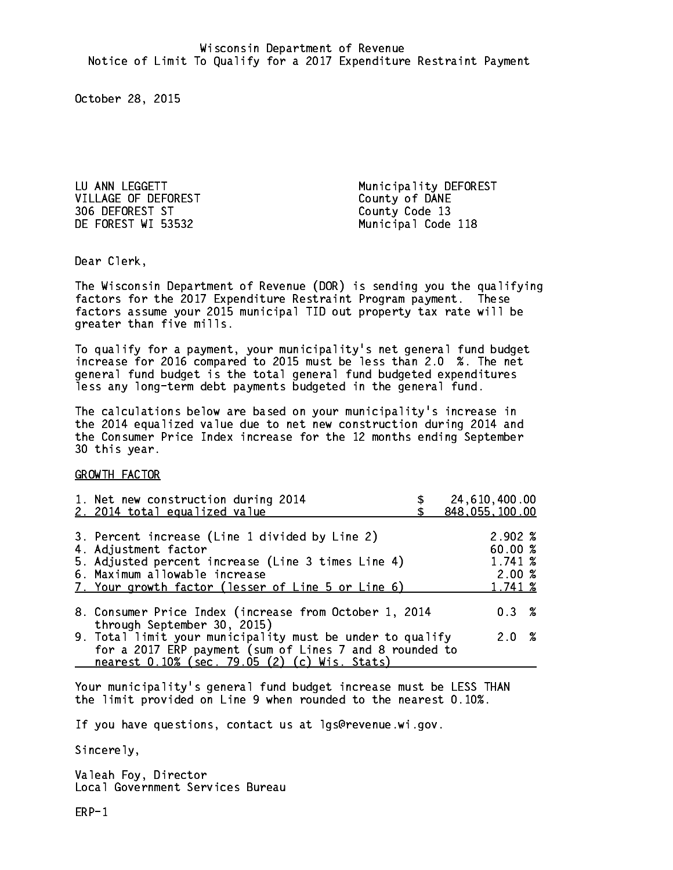LU ANN LEGGETT Municipality DEFOREST VILLAGE OF DEFOREST County of DANE 306 DEFOREST ST County Code 13 DE FOREST WI 53532 Municipal Code 118

Dear Clerk. Dear Clerk,

The Wisconsin Department of Revenue (DOR) is sending you the qualifying factors for the 2017 Expenditure Restraint Program payment. These factors assume your 2015 municipal TID out property tax rate will be greater than five mills.

 To qualify for a payment, your municipality's net general fund budget increase for 2016 compared to 2015 must be less than 2.0 %. The net general fund budget is the total general fund budgeted expenditures less any long-term debt payments budgeted in the general fund.

The calculations below are based on your municipality's increase in the 2014 equalized value due to net new construction during 2014 and the Consumer Price Index increase for the 12 months ending September 30 this year. 30 this year.

GROWTH FACTOR

| 1. Net new construction during 2014<br>2. 2014 total equalized value                                     | 24,610,400.00<br>848,055,100.00 |
|----------------------------------------------------------------------------------------------------------|---------------------------------|
|                                                                                                          |                                 |
| 3. Percent increase (Line 1 divided by Line 2)<br>4. Adjustment factor                                   | $2.902 \; \%$<br>60.00%         |
| 5. Adjusted percent increase (Line 3 times Line 4)                                                       | 1.741 %                         |
| 6. Maximum allowable increase                                                                            | 2.00%                           |
| 7. Your growth factor (lesser of Line 5 or Line 6)                                                       | 1.741 %                         |
| 8. Consumer Price Index (increase from October 1, 2014<br>through September 30, 2015)                    | $0.3 \t%$                       |
| 9. Total limit your municipality must be under to qualify                                                | 2.0%                            |
| for a 2017 ERP payment (sum of Lines 7 and 8 rounded to<br>nearest 0.10% (sec. 79.05 (2) (c) Wis. Stats) |                                 |

Your municipality's general fund budget increase must be LESS THAN the limit provided on Line 9 when rounded to the nearest 0.10%.

If you have questions, contact us at lgs@revenue.wi.gov.

Sincerely,

Valeah Foy, Director Local Government Services Bureau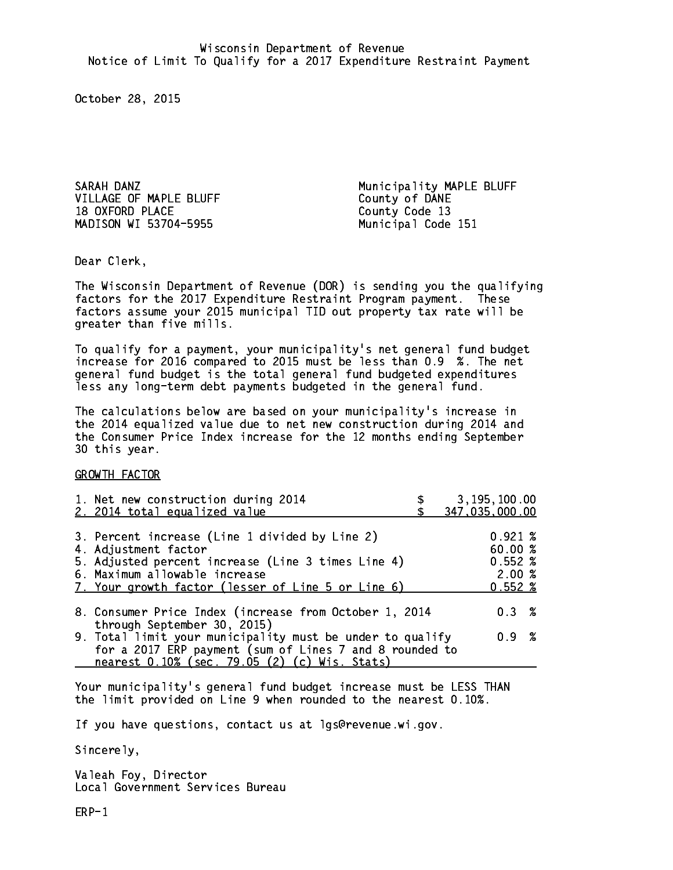VILLAGE OF MAPLE BLUFF COUNTY Of DANE 18 OXFORD PLACE County Code 13 MADISON WI 53704-5955 Municipal Code 151

SARAH DANZ **Municipality MAPLE BLUFF** 

Dear Clerk. Dear Clerk,

The Wisconsin Department of Revenue (DOR) is sending you the qualifying factors for the 2017 Expenditure Restraint Program payment. These factors assume your 2015 municipal TID out property tax rate will be greater than five mills.

 To qualify for a payment, your municipality's net general fund budget increase for 2016 compared to 2015 must be less than 0.9 %. The net general fund budget is the total general fund budgeted expenditures less any long-term debt payments budgeted in the general fund.

The calculations below are based on your municipality's increase in the 2014 equalized value due to net new construction during 2014 and the Consumer Price Index increase for the 12 months ending September 30 this year. 30 this year.

GROWTH FACTOR

| 1. Net new construction during 2014<br>2. 2014 total equalized value                                                                                                                                                | 3, 195, 100.00<br>347,035,000.00                             |
|---------------------------------------------------------------------------------------------------------------------------------------------------------------------------------------------------------------------|--------------------------------------------------------------|
| 3. Percent increase (Line 1 divided by Line 2)<br>4. Adjustment factor<br>5. Adjusted percent increase (Line 3 times Line 4)<br>6. Maximum allowable increase<br>7. Your growth factor (lesser of Line 5 or Line 6) | $0.921 \;$ %<br>60.00 %<br>$0.552*$<br>2.00%<br>$0.552 \; %$ |
| 8. Consumer Price Index (increase from October 1, 2014                                                                                                                                                              | 0.3%                                                         |
| through September 30, 2015)<br>9. Total limit your municipality must be under to qualify<br>for a 2017 ERP payment (sum of Lines 7 and 8 rounded to<br>nearest 0.10% (sec. 79.05 (2) (c) Wis. Stats)                | 0.9 %                                                        |

Your municipality's general fund budget increase must be LESS THAN the limit provided on Line 9 when rounded to the nearest 0.10%.

If you have questions, contact us at lgs@revenue.wi.gov.

Sincerely,

Valeah Foy, Director Local Government Services Bureau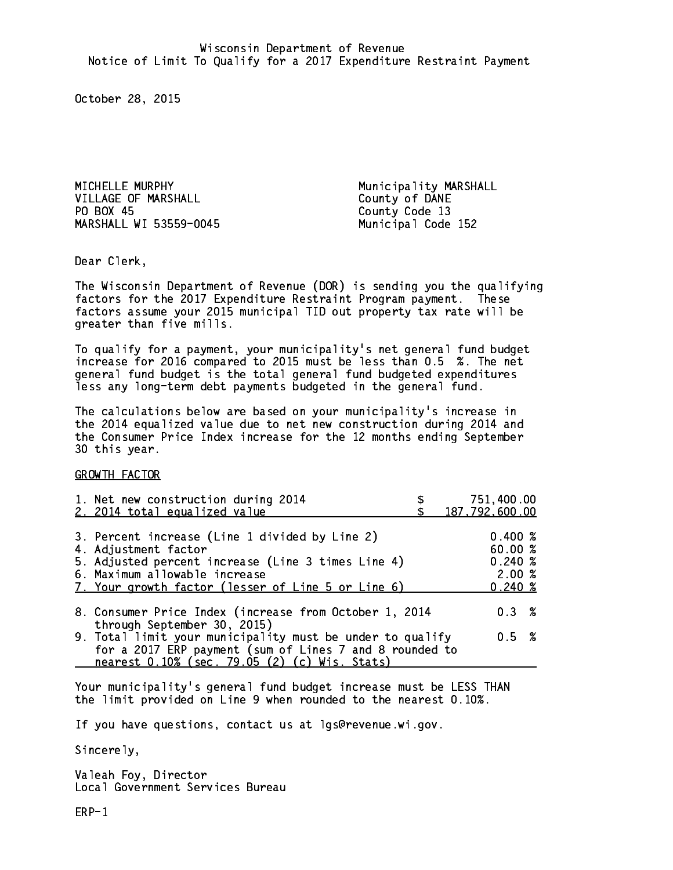MICHELLE MURPHY Municipality MARSHALL VILLAGE OF MARSHALL County of DANE PO BOX 45 MARSHALL WI 53559-0045 Municipal Code 152

County Code 13

Dear Clerk. Dear Clerk,

The Wisconsin Department of Revenue (DOR) is sending you the qualifying factors for the 2017 Expenditure Restraint Program payment. These factors assume your 2015 municipal TID out property tax rate will be greater than five mills.

 To qualify for a payment, your municipality's net general fund budget increase for 2016 compared to 2015 must be less than 0.5 %. The net general fund budget is the total general fund budgeted expenditures less any long-term debt payments budgeted in the general fund.

The calculations below are based on your municipality's increase in the 2014 equalized value due to net new construction during 2014 and the Consumer Price Index increase for the 12 months ending September 30 this year. 30 this year.

GROWTH FACTOR

| 1. Net new construction during 2014<br>2. 2014 total equalized value                                                                                                                                                | 751,400.00<br>187,792,600.00                     |
|---------------------------------------------------------------------------------------------------------------------------------------------------------------------------------------------------------------------|--------------------------------------------------|
| 3. Percent increase (Line 1 divided by Line 2)<br>4. Adjustment factor<br>5. Adjusted percent increase (Line 3 times Line 4)<br>6. Maximum allowable increase<br>7. Your growth factor (lesser of Line 5 or Line 6) | 0.400~%<br>60.00%<br>$0.240*$<br>2.00%<br>0.240% |
| 8. Consumer Price Index (increase from October 1, 2014<br>through September 30, 2015)                                                                                                                               | 0.3%                                             |
| 9. Total limit your municipality must be under to qualify<br>for a 2017 ERP payment (sum of Lines 7 and 8 rounded to<br>nearest 0.10% (sec. 79.05 (2) (c) Wis. Stats)                                               | 0.5 %                                            |

Your municipality's general fund budget increase must be LESS THAN the limit provided on Line 9 when rounded to the nearest 0.10%.

If you have questions, contact us at lgs@revenue.wi.gov.

Sincerely,

Valeah Foy, Director Local Government Services Bureau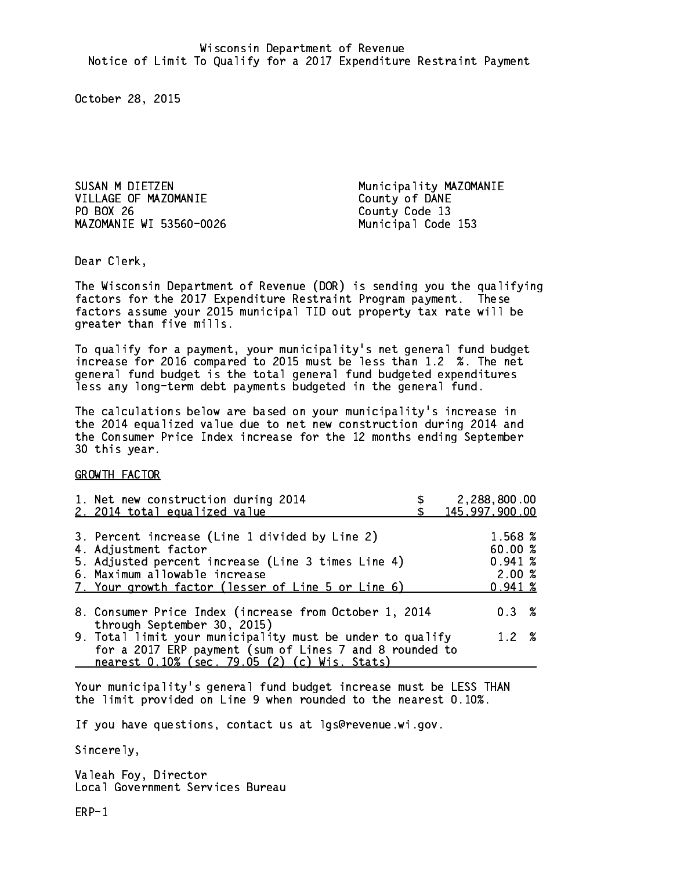SUSAN M DIETZEN Municipality MAZOMANIE VILLAGE OF MAZOMANIE County of DANE PO BOX 26 MAZOMANIE WI 53560-0026 Municipal Code 153

County Code 13

Dear Clerk. Dear Clerk,

The Wisconsin Department of Revenue (DOR) is sending you the qualifying factors for the 2017 Expenditure Restraint Program payment. These factors assume your 2015 municipal TID out property tax rate will be greater than five mills.

 To qualify for a payment, your municipality's net general fund budget increase for 2016 compared to 2015 must be less than 1.2 %. The net general fund budget is the total general fund budgeted expenditures less any long-term debt payments budgeted in the general fund.

The calculations below are based on your municipality's increase in the 2014 equalized value due to net new construction during 2014 and the Consumer Price Index increase for the 12 months ending September 30 this year. 30 this year.

GROWTH FACTOR

| 1. Net new construction during 2014<br>2. 2014 total equalized value                                                                                                                                                | 2,288,800.00<br>145,997,900.00                   |
|---------------------------------------------------------------------------------------------------------------------------------------------------------------------------------------------------------------------|--------------------------------------------------|
| 3. Percent increase (Line 1 divided by Line 2)<br>4. Adjustment factor<br>5. Adjusted percent increase (Line 3 times Line 4)<br>6. Maximum allowable increase<br>7. Your growth factor (lesser of Line 5 or Line 6) | 1.568 %<br>60.00%<br>0.941~%<br>2.00%<br>0.941~% |
| 8. Consumer Price Index (increase from October 1, 2014<br>through September 30, 2015)                                                                                                                               | $0.3 \t%$                                        |
| 9. Total limit your municipality must be under to qualify<br>for a 2017 ERP payment (sum of Lines 7 and 8 rounded to<br>nearest 0.10% (sec. 79.05 (2) (c) Wis. Stats)                                               | 1.2%                                             |

Your municipality's general fund budget increase must be LESS THAN the limit provided on Line 9 when rounded to the nearest 0.10%.

If you have questions, contact us at lgs@revenue.wi.gov.

Sincerely,

Valeah Foy, Director Local Government Services Bureau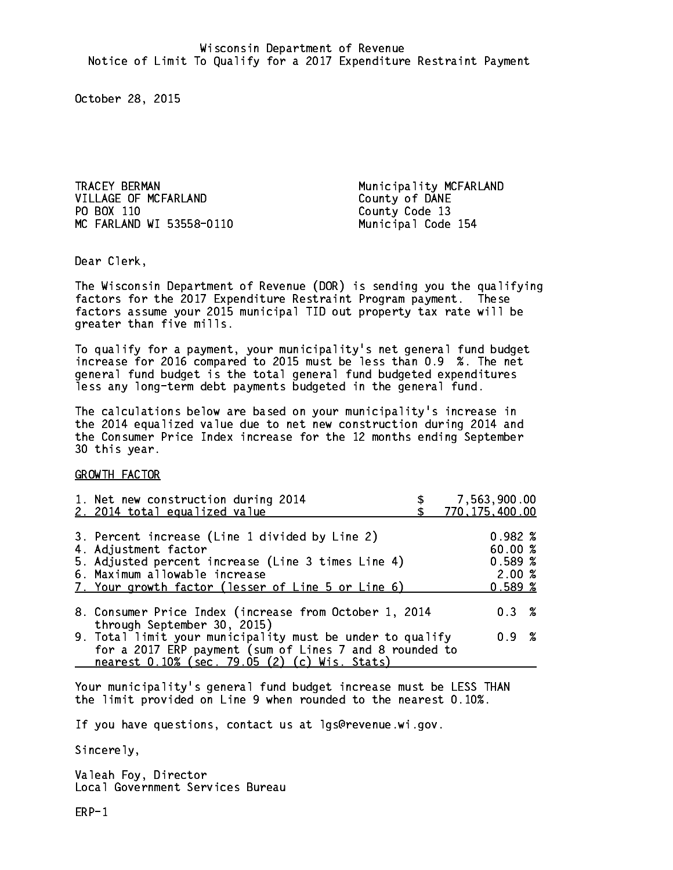TRACEY BERMAN Municipality MCFARLAND VILLAGE OF MCFARLAND County of DANE PO BOX 110 MC FARLAND WI 53558-0110 Municipal Code 154

County Code 13

Dear Clerk. Dear Clerk,

The Wisconsin Department of Revenue (DOR) is sending you the qualifying factors for the 2017 Expenditure Restraint Program payment. These factors assume your 2015 municipal TID out property tax rate will be greater than five mills.

 To qualify for a payment, your municipality's net general fund budget increase for 2016 compared to 2015 must be less than 0.9 %. The net general fund budget is the total general fund budgeted expenditures less any long-term debt payments budgeted in the general fund.

The calculations below are based on your municipality's increase in the 2014 equalized value due to net new construction during 2014 and the Consumer Price Index increase for the 12 months ending September 30 this year. 30 this year.

GROWTH FACTOR

| 1. Net new construction during 2014<br>2. 2014 total equalized value                                                                                                                                                | 7,563,900.00<br>770, 175, 400.00               |
|---------------------------------------------------------------------------------------------------------------------------------------------------------------------------------------------------------------------|------------------------------------------------|
| 3. Percent increase (Line 1 divided by Line 2)<br>4. Adjustment factor<br>5. Adjusted percent increase (Line 3 times Line 4)<br>6. Maximum allowable increase<br>7. Your growth factor (lesser of Line 5 or Line 6) | 0.982%<br>60.00 %<br>0.589%<br>2.00%<br>0.589% |
| 8. Consumer Price Index (increase from October 1, 2014                                                                                                                                                              | $0.3 \t%$                                      |
| through September 30, 2015)<br>9. Total limit your municipality must be under to qualify<br>for a 2017 ERP payment (sum of Lines 7 and 8 rounded to<br>nearest 0.10% (sec. 79.05 (2) (c) Wis. Stats)                | 0.9 %                                          |

Your municipality's general fund budget increase must be LESS THAN the limit provided on Line 9 when rounded to the nearest 0.10%.

If you have questions, contact us at lgs@revenue.wi.gov.

Sincerely,

Valeah Foy, Director Local Government Services Bureau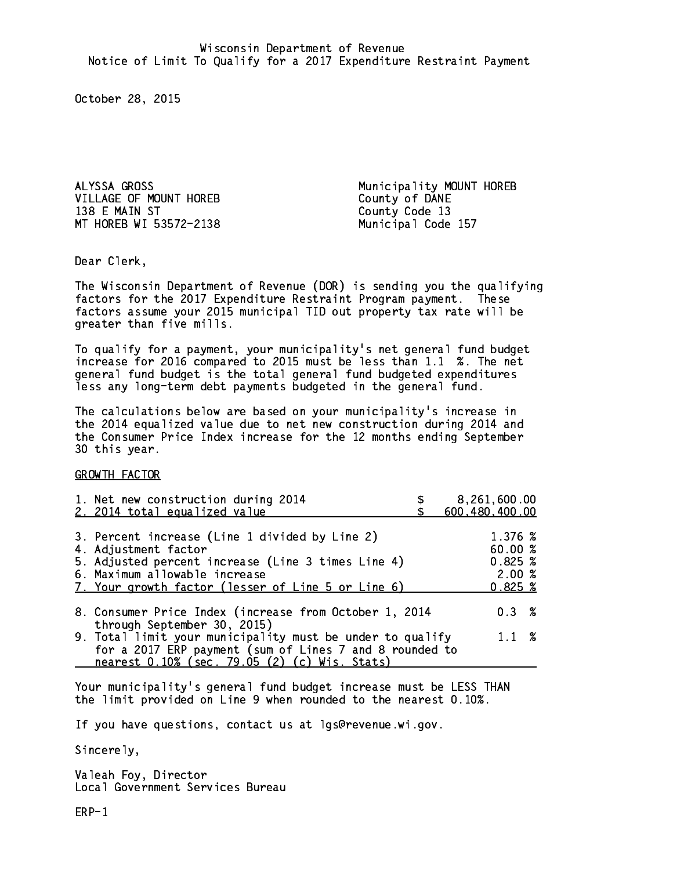ALYSSA GROSS **Municipality MOUNT HOREB** VILLAGE OF MOUNT HOREB County of DANE 138 E MAIN ST MT HOREB WI 53572-2138 Municipal Code 157

County Code 13

Dear Clerk. Dear Clerk,

The Wisconsin Department of Revenue (DOR) is sending you the qualifying factors for the 2017 Expenditure Restraint Program payment. These factors assume your 2015 municipal TID out property tax rate will be greater than five mills.

 To qualify for a payment, your municipality's net general fund budget increase for 2016 compared to 2015 must be less than 1.1 %. The net general fund budget is the total general fund budgeted expenditures less any long-term debt payments budgeted in the general fund.

The calculations below are based on your municipality's increase in the 2014 equalized value due to net new construction during 2014 and the Consumer Price Index increase for the 12 months ending September 30 this year. 30 this year.

GROWTH FACTOR

| 1. Net new construction during 2014<br>2. 2014 total equalized value                                                                                                                                                | 8,261,600.00<br>600,480,400.00                    |
|---------------------------------------------------------------------------------------------------------------------------------------------------------------------------------------------------------------------|---------------------------------------------------|
| 3. Percent increase (Line 1 divided by Line 2)<br>4. Adjustment factor<br>5. Adjusted percent increase (Line 3 times Line 4)<br>6. Maximum allowable increase<br>7. Your growth factor (lesser of Line 5 or Line 6) | 1.376 %<br>60.00 %<br>0.825~%<br>2.00%<br>0.825~% |
| 8. Consumer Price Index (increase from October 1, 2014<br>through September 30, 2015)                                                                                                                               | 0.3%                                              |
| 9. Total limit your municipality must be under to qualify<br>for a 2017 ERP payment (sum of Lines 7 and 8 rounded to<br>nearest 0.10% (sec. 79.05 (2) (c) Wis. Stats)                                               | $1.1 \t%$                                         |

Your municipality's general fund budget increase must be LESS THAN the limit provided on Line 9 when rounded to the nearest 0.10%.

If you have questions, contact us at lgs@revenue.wi.gov.

Sincerely,

Valeah Foy, Director Local Government Services Bureau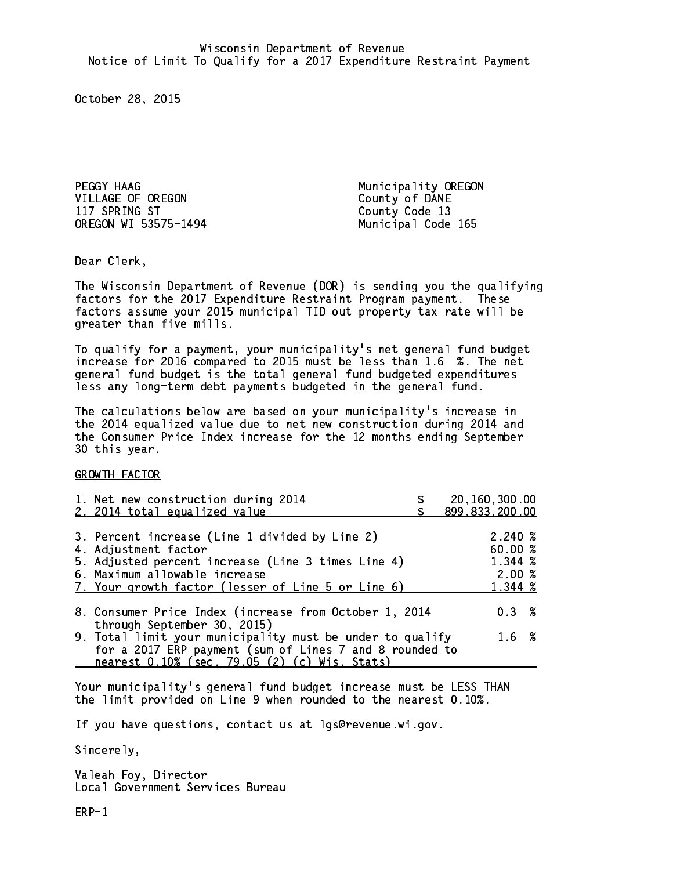PEGGY HAAG Municipality OREGON 117 SPRING ST County Code 13 OREGON WI 53575-1494 Municipal Code 165

County of DANE

Dear Clerk. Dear Clerk,

The Wisconsin Department of Revenue (DOR) is sending you the qualifying factors for the 2017 Expenditure Restraint Program payment. These factors assume your 2015 municipal TID out property tax rate will be greater than five mills.

 To qualify for a payment, your municipality's net general fund budget increase for 2016 compared to 2015 must be less than 1.6 %. The net general fund budget is the total general fund budgeted expenditures less any long-term debt payments budgeted in the general fund.

The calculations below are based on your municipality's increase in the 2014 equalized value due to net new construction during 2014 and the Consumer Price Index increase for the 12 months ending September 30 this year. 30 this year.

GROWTH FACTOR

|                                                                                                                                                              | 20,160,300.00<br>899,833,200.00                                                                                                                                                                                                                                                                                                                                                               |
|--------------------------------------------------------------------------------------------------------------------------------------------------------------|-----------------------------------------------------------------------------------------------------------------------------------------------------------------------------------------------------------------------------------------------------------------------------------------------------------------------------------------------------------------------------------------------|
|                                                                                                                                                              | $2.240 \; \text{\%}$<br>60.00 %<br>1.344 %<br>2.00%<br>1.344 %                                                                                                                                                                                                                                                                                                                                |
|                                                                                                                                                              | 0.3%                                                                                                                                                                                                                                                                                                                                                                                          |
|                                                                                                                                                              | $1.6 \t%$                                                                                                                                                                                                                                                                                                                                                                                     |
| 1. Net new construction during 2014<br>2. 2014 total equalized value<br>4. Adjustment factor<br>6. Maximum allowable increase<br>through September 30, 2015) | 3. Percent increase (Line 1 divided by Line 2)<br>5. Adjusted percent increase (Line 3 times Line 4)<br>7. Your growth factor (lesser of Line 5 or Line 6)<br>8. Consumer Price Index (increase from October 1, 2014<br>9. Total limit your municipality must be under to qualify<br>for a 2017 ERP payment (sum of Lines 7 and 8 rounded to<br>nearest 0.10% (sec. 79.05 (2) (c) Wis. Stats) |

Your municipality's general fund budget increase must be LESS THAN the limit provided on Line 9 when rounded to the nearest 0.10%.

If you have questions, contact us at lgs@revenue.wi.gov.

Sincerely,

Valeah Foy, Director Local Government Services Bureau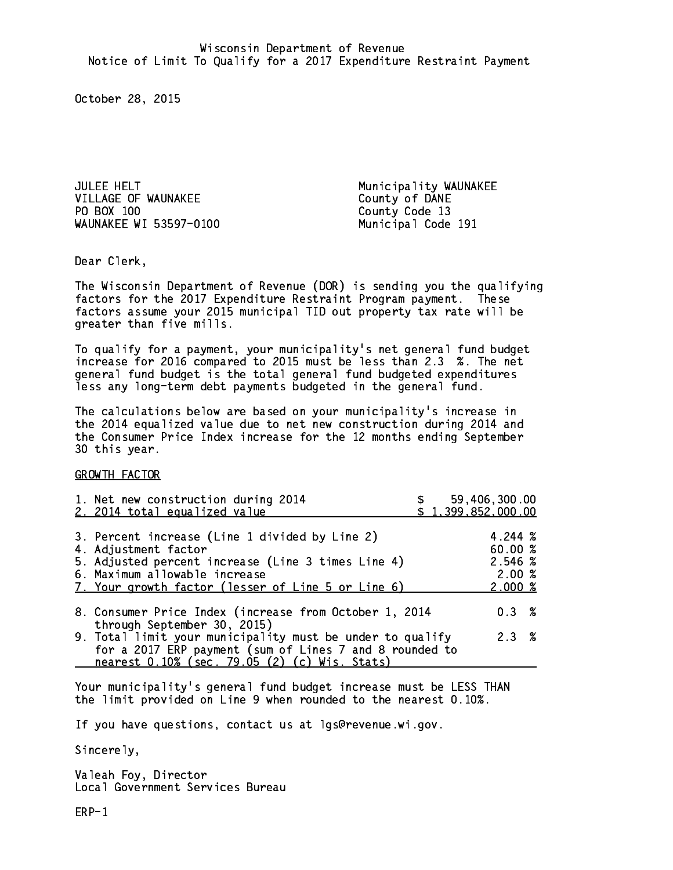JULEE HELT **Municipality WAUNAKEE** VILLAGE OF WAUNAKEE COUNTY OF DANE PO BOX 100 WAUNAKEE WI 53597-0100 Municipal Code 191

County Code 13

Dear Clerk. Dear Clerk,

The Wisconsin Department of Revenue (DOR) is sending you the qualifying factors for the 2017 Expenditure Restraint Program payment. These factors assume your 2015 municipal TID out property tax rate will be greater than five mills.

 To qualify for a payment, your municipality's net general fund budget increase for 2016 compared to 2015 must be less than 2.3 %. The net general fund budget is the total general fund budgeted expenditures less any long-term debt payments budgeted in the general fund.

The calculations below are based on your municipality's increase in the 2014 equalized value due to net new construction during 2014 and the Consumer Price Index increase for the 12 months ending September 30 this year. 30 this year.

GROWTH FACTOR

| 1. Net new construction during 2014<br>2. 2014 total equalized value                                                                                                                                                |  | \$59,406,300.00<br>\$1,399,852,000.00             |  |
|---------------------------------------------------------------------------------------------------------------------------------------------------------------------------------------------------------------------|--|---------------------------------------------------|--|
| 3. Percent increase (Line 1 divided by Line 2)<br>4. Adjustment factor<br>5. Adjusted percent increase (Line 3 times Line 4)<br>6. Maximum allowable increase<br>7. Your growth factor (lesser of Line 5 or Line 6) |  | 4.244 %<br>60.00 %<br>2.546 %<br>2.00%<br>2.000~% |  |
| 8. Consumer Price Index (increase from October 1, 2014<br>through September 30, 2015)                                                                                                                               |  | 0.3%                                              |  |
| 9. Total limit your municipality must be under to qualify<br>for a 2017 ERP payment (sum of Lines 7 and 8 rounded to<br>nearest 0.10% (sec. 79.05 (2) (c) Wis. Stats)                                               |  | 2.3%                                              |  |

Your municipality's general fund budget increase must be LESS THAN the limit provided on Line 9 when rounded to the nearest 0.10%.

If you have questions, contact us at lgs@revenue.wi.gov.

Sincerely,

Valeah Foy, Director Local Government Services Bureau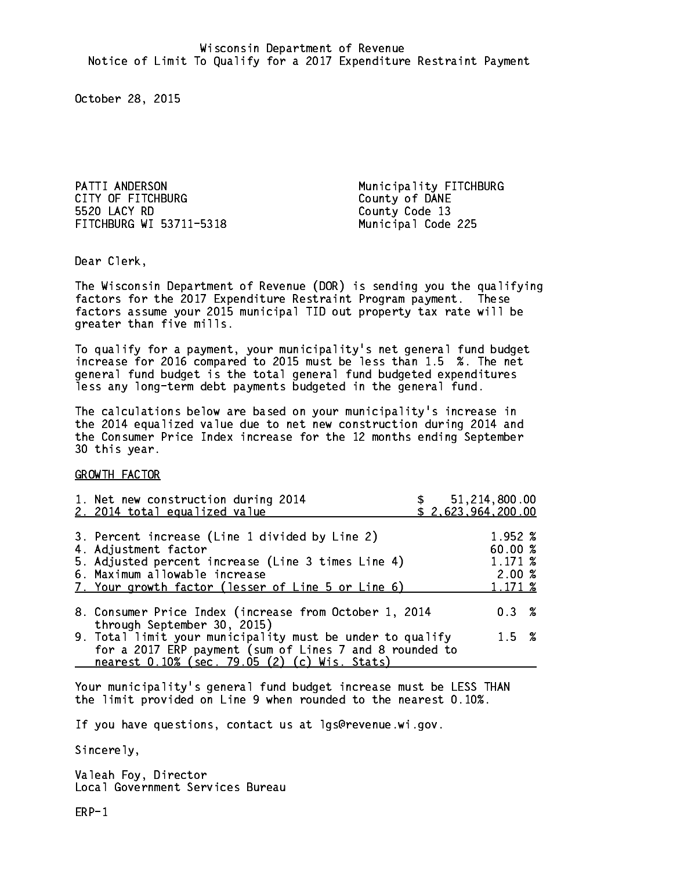PATTI ANDERSON **Municipality FITCHBURG** CITY OF FITCHBURG COUNTY OF DANE 5520 LACY RD FITCHBURG WI 53711-5318 Municipal Code 225

County Code 13

Dear Clerk. Dear Clerk,

The Wisconsin Department of Revenue (DOR) is sending you the qualifying factors for the 2017 Expenditure Restraint Program payment. These factors assume your 2015 municipal TID out property tax rate will be greater than five mills.

 To qualify for a payment, your municipality's net general fund budget increase for 2016 compared to 2015 must be less than 1.5 %. The net general fund budget is the total general fund budgeted expenditures less any long-term debt payments budgeted in the general fund.

The calculations below are based on your municipality's increase in the 2014 equalized value due to net new construction during 2014 and the Consumer Price Index increase for the 12 months ending September 30 this year. 30 this year.

GROWTH FACTOR

| 1. Net new construction during 2014<br>2. 2014 total equalized value                                                                                                                                                |  | \$51,214,800.00<br>\$2,623,964,200.00             |  |
|---------------------------------------------------------------------------------------------------------------------------------------------------------------------------------------------------------------------|--|---------------------------------------------------|--|
| 3. Percent increase (Line 1 divided by Line 2)<br>4. Adjustment factor<br>5. Adjusted percent increase (Line 3 times Line 4)<br>6. Maximum allowable increase<br>7. Your growth factor (lesser of Line 5 or Line 6) |  | 1.952 %<br>60.00 %<br>1.171 %<br>2.00%<br>1.171 % |  |
| 8. Consumer Price Index (increase from October 1, 2014<br>through September 30, 2015)                                                                                                                               |  | $0.3 \t%$                                         |  |
| 9. Total limit your municipality must be under to qualify<br>for a 2017 ERP payment (sum of Lines 7 and 8 rounded to<br>nearest 0.10% (sec. 79.05 (2) (c) Wis. Stats)                                               |  | $1.5 \t%$                                         |  |

Your municipality's general fund budget increase must be LESS THAN the limit provided on Line 9 when rounded to the nearest 0.10%.

If you have questions, contact us at lgs@revenue.wi.gov.

Sincerely,

Valeah Foy, Director Local Government Services Bureau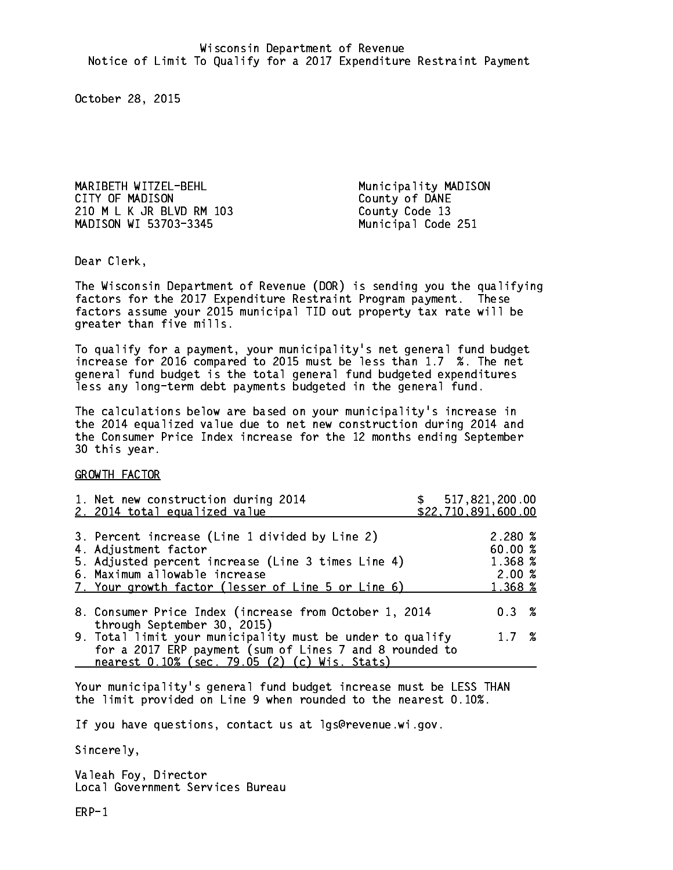MARIBETH WITZEL-BEHL Municipality MADISON CITY OF MADISON COUNTY OF DANE 210 M L K JR BLVD RM 103 County Code 13 MADISON WI 53703-3345 Municipal Code 251

Dear Clerk. Dear Clerk,

The Wisconsin Department of Revenue (DOR) is sending you the qualifying factors for the 2017 Expenditure Restraint Program payment. These factors assume your 2015 municipal TID out property tax rate will be greater than five mills.

 To qualify for a payment, your municipality's net general fund budget increase for 2016 compared to 2015 must be less than 1.7 %. The net general fund budget is the total general fund budgeted expenditures less any long-term debt payments budgeted in the general fund.

The calculations below are based on your municipality's increase in the 2014 equalized value due to net new construction during 2014 and the Consumer Price Index increase for the 12 months ending September 30 this year. 30 this year. This year of the second terms of the second terms in the second terms in the second terms in the

GROWTH FACTOR

| 3. Percent increase (Line 1 divided by Line 2)<br>2.280%<br>60.00%<br>4. Adjustment factor<br>1.368 %<br>5. Adjusted percent increase (Line 3 times Line 4)<br>2.00%<br>6. Maximum allowable increase<br>7. Your growth factor (lesser of Line 5 or Line 6)<br>1.368 %<br>0.3% | \$517,821,200.00<br>\$22,710,891,600.00 |  |
|--------------------------------------------------------------------------------------------------------------------------------------------------------------------------------------------------------------------------------------------------------------------------------|-----------------------------------------|--|
| 8. Consumer Price Index (increase from October 1, 2014                                                                                                                                                                                                                         |                                         |  |
|                                                                                                                                                                                                                                                                                |                                         |  |
| through September 30, 2015)<br>9. Total limit your municipality must be under to qualify<br>1.7%<br>for a 2017 ERP payment (sum of Lines 7 and 8 rounded to<br>nearest 0.10% (sec. 79.05 (2) (c) Wis. Stats)                                                                   |                                         |  |

Your municipality's general fund budget increase must be LESS THAN the limit provided on Line 9 when rounded to the nearest 0.10%.

If you have questions, contact us at lgs@revenue.wi.gov.

Sincerely,

Valeah Foy, Director Local Government Services Bureau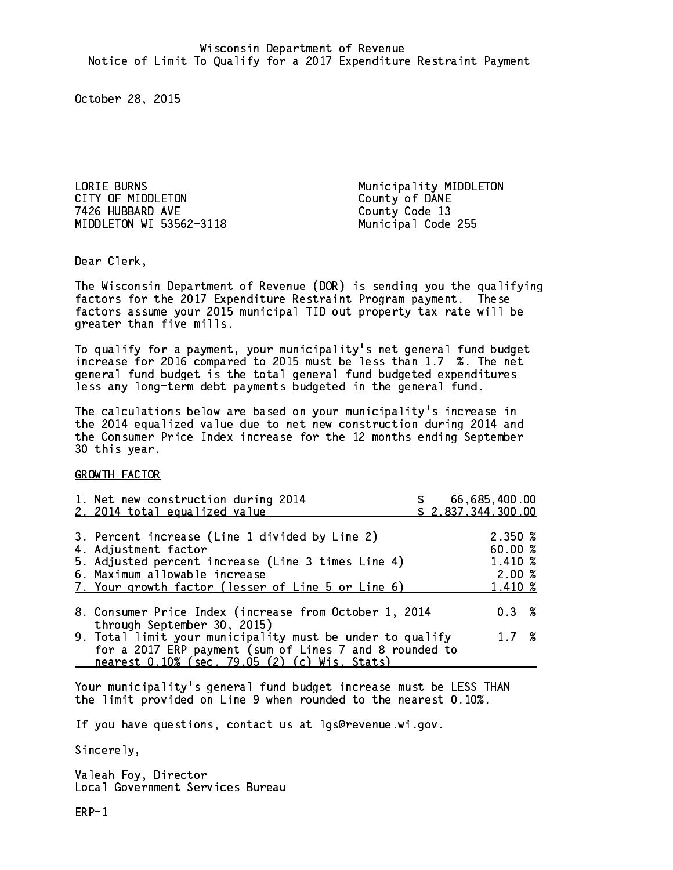LORIE BURNS **Municipality MIDDLETON** CITY OF MIDDLETON COUNTY OF DANE 7426 HUBBARD AVE County Code 13 MIDDLETON WI 53562-3118 Municipal Code 255

Dear Clerk. Dear Clerk,

The Wisconsin Department of Revenue (DOR) is sending you the qualifying factors for the 2017 Expenditure Restraint Program payment. These factors assume your 2015 municipal TID out property tax rate will be greater than five mills.

 To qualify for a payment, your municipality's net general fund budget increase for 2016 compared to 2015 must be less than 1.7 %. The net general fund budget is the total general fund budgeted expenditures less any long-term debt payments budgeted in the general fund.

The calculations below are based on your municipality's increase in the 2014 equalized value due to net new construction during 2014 and the Consumer Price Index increase for the 12 months ending September 30 this year. 30 this year. This year of the second terms of the second terms in the second terms in the second terms in the

GROWTH FACTOR

| 1. Net new construction during 2014<br>2. 2014 total equalized value                                                                                                                                                |  | 66,685,400.00<br>\$2,837,344,300.00                 |  |
|---------------------------------------------------------------------------------------------------------------------------------------------------------------------------------------------------------------------|--|-----------------------------------------------------|--|
| 3. Percent increase (Line 1 divided by Line 2)<br>4. Adjustment factor<br>5. Adjusted percent increase (Line 3 times Line 4)<br>6. Maximum allowable increase<br>7. Your growth factor (lesser of Line 5 or Line 6) |  | $2.350\%$<br>60.00 %<br>1.410 %<br>2.00%<br>1.410 % |  |
| 8. Consumer Price Index (increase from October 1, 2014<br>through September 30, 2015)                                                                                                                               |  | 0.3%                                                |  |
| 9. Total limit your municipality must be under to qualify<br>for a 2017 ERP payment (sum of Lines 7 and 8 rounded to<br>nearest 0.10% (sec. 79.05 (2) (c) Wis. Stats)                                               |  | 1.7 %                                               |  |

Your municipality's general fund budget increase must be LESS THAN the limit provided on Line 9 when rounded to the nearest 0.10%.

If you have questions, contact us at lgs@revenue.wi.gov.

Sincerely,

Valeah Foy, Director Local Government Services Bureau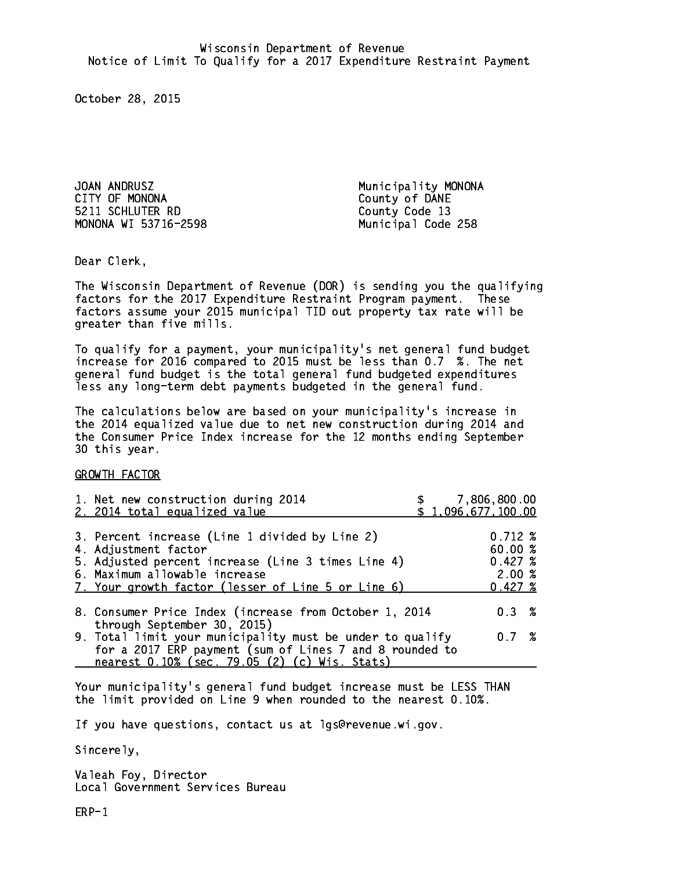JOAN ANDRUSZ **Municipality MONONA** CITY OF MONONA COUNTY OF DANE 5211 SCHLUTER RD County Code 13 MONONA WI 53716-2598 Municipal Code 258

Dear Clerk. Dear Clerk,

The Wisconsin Department of Revenue (DOR) is sending you the qualifying factors for the 2017 Expenditure Restraint Program payment. These factors assume your 2015 municipal TID out property tax rate will be greater than five mills.

 To qualify for a payment, your municipality's net general fund budget increase for 2016 compared to 2015 must be less than 0.7 %. The net general fund budget is the total general fund budgeted expenditures less any long-term debt payments budgeted in the general fund.

The calculations below are based on your municipality's increase in the 2014 equalized value due to net new construction during 2014 and the Consumer Price Index increase for the 12 months ending September 30 this year. 30 this year. This year of the second terms of the second terms in the second terms in the second terms in the

GROWTH FACTOR

| 1. Net new construction during 2014<br>2. 2014 total equalized value                                                                                                                                                | 7,806,800.00<br>\$1,096,677,100.00                     |
|---------------------------------------------------------------------------------------------------------------------------------------------------------------------------------------------------------------------|--------------------------------------------------------|
| 3. Percent increase (Line 1 divided by Line 2)<br>4. Adjustment factor<br>5. Adjusted percent increase (Line 3 times Line 4)<br>6. Maximum allowable increase<br>7. Your growth factor (lesser of Line 5 or Line 6) | $0.712 \;$ %<br>60.00 %<br>0.427~%<br>2.00%<br>0.427~% |
| 8. Consumer Price Index (increase from October 1, 2014<br>through September 30, 2015)                                                                                                                               | 0.3%                                                   |
| 9. Total limit your municipality must be under to qualify<br>for a 2017 ERP payment (sum of Lines 7 and 8 rounded to<br>nearest 0.10% (sec. 79.05 (2) (c) Wis. Stats)                                               | 0.7%                                                   |

Your municipality's general fund budget increase must be LESS THAN the limit provided on Line 9 when rounded to the nearest 0.10%.

If you have questions, contact us at lgs@revenue.wi.gov.

Sincerely,

Valeah Foy, Director Local Government Services Bureau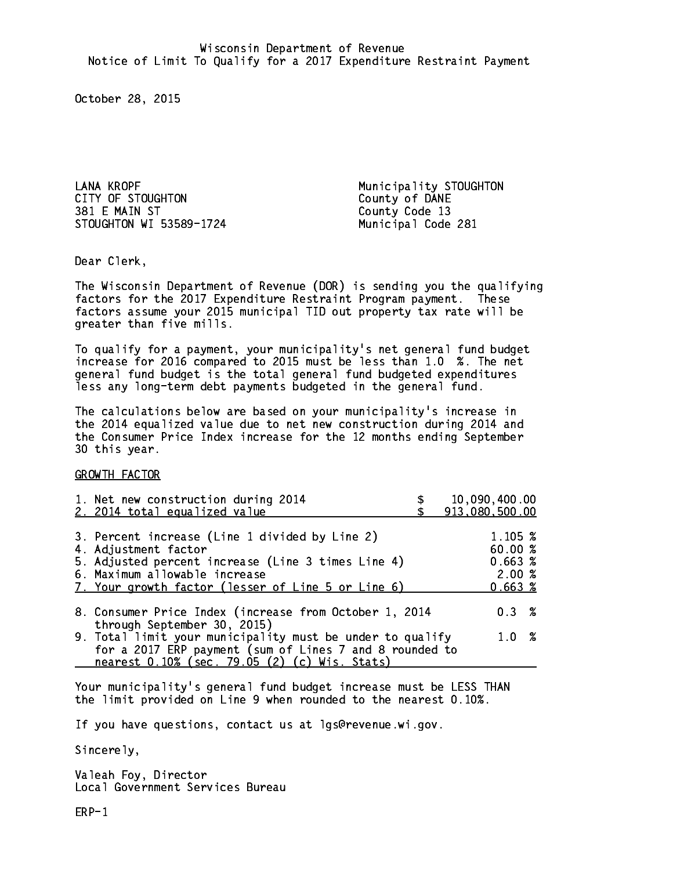LANA KROPF Municipality STOUGHTON CITY OF STOUGHTON<br>
381 E MAIN ST<br>
County Code 13 STOUGHTON WI 53589-1724 Municipal Code 281

County Code 13

Dear Clerk. Dear Clerk,

The Wisconsin Department of Revenue (DOR) is sending you the qualifying factors for the 2017 Expenditure Restraint Program payment. These factors assume your 2015 municipal TID out property tax rate will be greater than five mills.

 To qualify for a payment, your municipality's net general fund budget increase for 2016 compared to 2015 must be less than 1.0 %. The net general fund budget is the total general fund budgeted expenditures less any long-term debt payments budgeted in the general fund.

The calculations below are based on your municipality's increase in the 2014 equalized value due to net new construction during 2014 and the Consumer Price Index increase for the 12 months ending September 30 this year. 30 this year. This year of the second terms of the second terms in the second terms in the second terms in the

GROWTH FACTOR

| 1. Net new construction during 2014<br>2. 2014 total equalized value                                                 | 10,090,400.00<br>913,080,500.00 |
|----------------------------------------------------------------------------------------------------------------------|---------------------------------|
| 3. Percent increase (Line 1 divided by Line 2)                                                                       | 1.105~%                         |
| 4. Adjustment factor<br>5. Adjusted percent increase (Line 3 times Line 4)                                           | 60.00%<br>0.663~%               |
| 6. Maximum allowable increase<br>7. Your growth factor (lesser of Line 5 or Line 6)                                  | 2.00%<br>0.663~%                |
| 8. Consumer Price Index (increase from October 1, 2014<br>through September 30, 2015)                                | $0.3 \t%$                       |
| 9. Total limit your municipality must be under to qualify<br>for a 2017 ERP payment (sum of Lines 7 and 8 rounded to | $1.0 \t%$                       |
| nearest 0.10% (sec. 79.05 (2) (c) Wis. Stats)                                                                        |                                 |

Your municipality's general fund budget increase must be LESS THAN the limit provided on Line 9 when rounded to the nearest 0.10%.

If you have questions, contact us at lgs@revenue.wi.gov.

Sincerely,

Valeah Foy, Director Local Government Services Bureau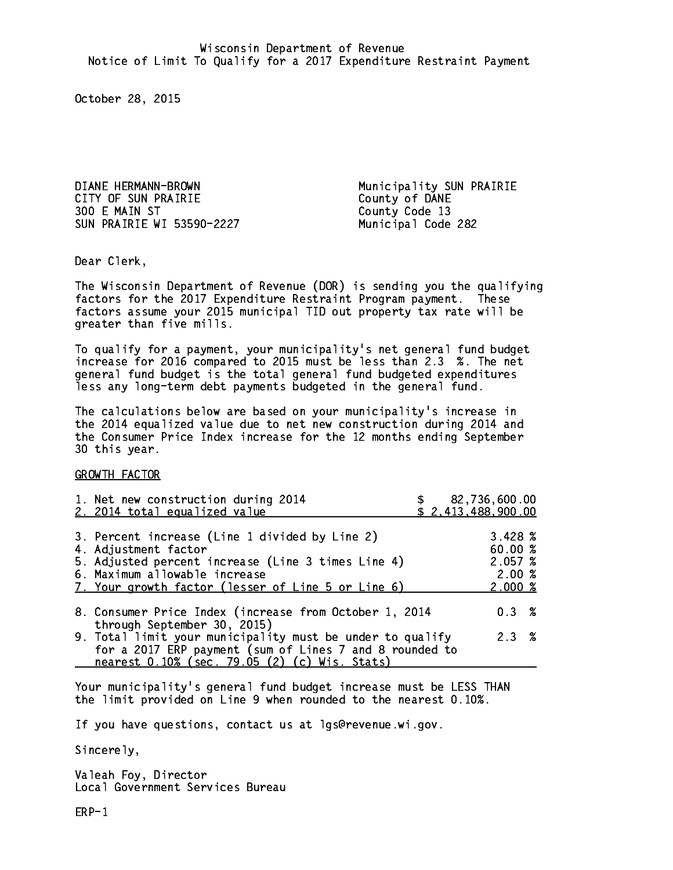DIANE HERMANN-BROWN Municipality SUN PRAIRIE CITY OF SUN PRAIRIE<br>300 E MAIN ST<br>County Code 13 SUN PRAIRIE WI 53590-2227 Municipal Code 282

County Code 13

Dear Clerk. Dear Clerk,

The Wisconsin Department of Revenue (DOR) is sending you the qualifying factors for the 2017 Expenditure Restraint Program payment. These factors assume your 2015 municipal TID out property tax rate will be greater than five mills.

 To qualify for a payment, your municipality's net general fund budget increase for 2016 compared to 2015 must be less than 2.3 %. The net general fund budget is the total general fund budgeted expenditures less any long-term debt payments budgeted in the general fund.

The calculations below are based on your municipality's increase in the 2014 equalized value due to net new construction during 2014 and the Consumer Price Index increase for the 12 months ending September 30 this year. 30 this year. This year of the second terms of the second terms in the second terms in the second terms in the

GROWTH FACTOR

| 1. Net new construction during 2014<br>2. 2014 total equalized value                                                                                                                                                |  | \$82,736,600.00<br>\$2,413,488,900.00                         |  |
|---------------------------------------------------------------------------------------------------------------------------------------------------------------------------------------------------------------------|--|---------------------------------------------------------------|--|
| 3. Percent increase (Line 1 divided by Line 2)<br>4. Adjustment factor<br>5. Adjusted percent increase (Line 3 times Line 4)<br>6. Maximum allowable increase<br>7. Your growth factor (lesser of Line 5 or Line 6) |  | 3.428~%<br>60.00%<br>2.057~%<br>2.00%<br>$2.000 \; \text{\%}$ |  |
| 8. Consumer Price Index (increase from October 1, 2014<br>through September 30, 2015)                                                                                                                               |  | $0.3 \t%$                                                     |  |
| 9. Total limit your municipality must be under to qualify<br>for a 2017 ERP payment (sum of Lines 7 and 8 rounded to<br>nearest 0.10% (sec. 79.05 (2) (c) Wis. Stats)                                               |  | 2.3%                                                          |  |

Your municipality's general fund budget increase must be LESS THAN the limit provided on Line 9 when rounded to the nearest 0.10%.

If you have questions, contact us at lgs@revenue.wi.gov.

Sincerely,

Valeah Foy, Director Local Government Services Bureau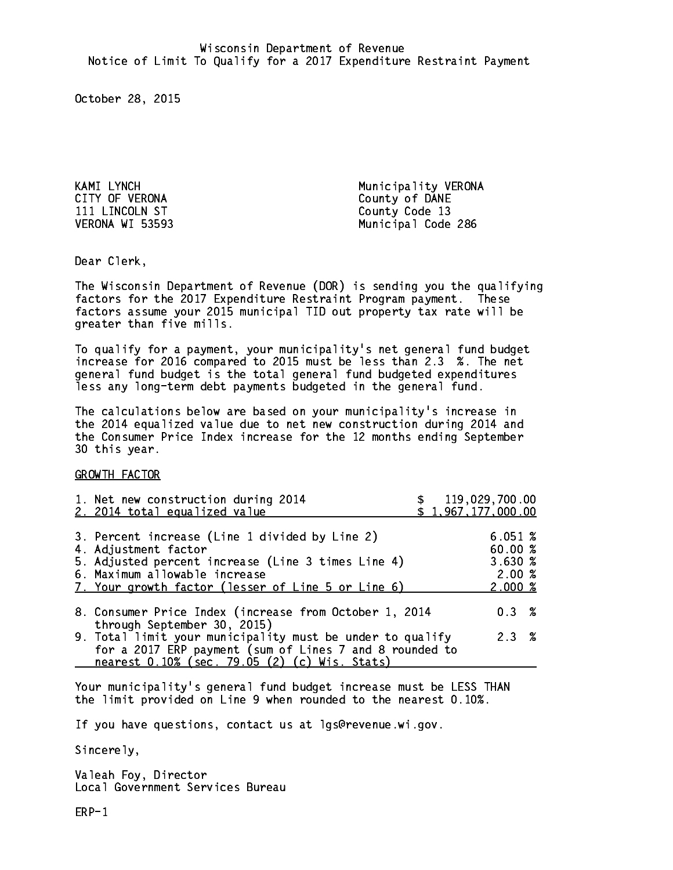CITY OF VERONA COUNTY OF DANE 111 LINCOLN ST VERONA WI 53593

KAMI LYNCH GOD CONTROLLER Municipality VERONA County Code 13 Municipal Code 286

Dear Clerk. Dear Clerk,

The Wisconsin Department of Revenue (DOR) is sending you the qualifying factors for the 2017 Expenditure Restraint Program payment. These factors assume your 2015 municipal TID out property tax rate will be greater than five mills.

 To qualify for a payment, your municipality's net general fund budget increase for 2016 compared to 2015 must be less than 2.3 %. The net general fund budget is the total general fund budgeted expenditures less any long-term debt payments budgeted in the general fund.

The calculations below are based on your municipality's increase in the 2014 equalized value due to net new construction during 2014 and the Consumer Price Index increase for the 12 months ending September 30 this year. 30 this year. This year of the second terms of the second terms in the second terms in the second terms in the

GROWTH FACTOR

| 1. Net new construction during 2014<br>2. 2014 total equalized value                                                                                                                                                |  | \$119,029,700.00<br>\$1,967,177,000.00          |  |
|---------------------------------------------------------------------------------------------------------------------------------------------------------------------------------------------------------------------|--|-------------------------------------------------|--|
| 3. Percent increase (Line 1 divided by Line 2)<br>4. Adjustment factor<br>5. Adjusted percent increase (Line 3 times Line 4)<br>6. Maximum allowable increase<br>7. Your growth factor (lesser of Line 5 or Line 6) |  | 6.051~%<br>60.00%<br>3.630%<br>2.00%<br>2.000~% |  |
| 8. Consumer Price Index (increase from October 1, 2014<br>through September 30, 2015)                                                                                                                               |  | 0.3%                                            |  |
| 9. Total limit your municipality must be under to qualify<br>for a 2017 ERP payment (sum of Lines 7 and 8 rounded to<br>nearest 0.10% (sec. 79.05 (2) (c) Wis. Stats)                                               |  | 2.3%                                            |  |
|                                                                                                                                                                                                                     |  |                                                 |  |

Your municipality's general fund budget increase must be LESS THAN the limit provided on Line 9 when rounded to the nearest 0.10%.

If you have questions, contact us at lgs@revenue.wi.gov.

Sincerely,

Valeah Foy, Director Local Government Services Bureau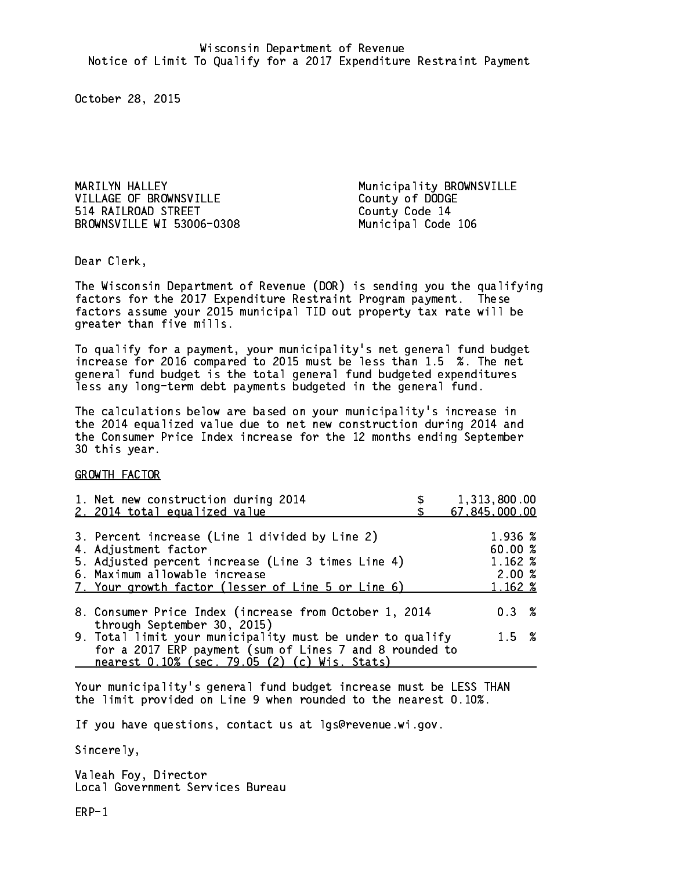MARILYN HALLEY **Municipality BROWNSVILLE** VILLAGE OF BROWNSVILLE County of DODGE 514 RAILROAD STREET County Code 14 BROWNSVILLE WI 53006-0308 Municipal Code 106

Dear Clerk. Dear Clerk,

The Wisconsin Department of Revenue (DOR) is sending you the qualifying factors for the 2017 Expenditure Restraint Program payment. These factors assume your 2015 municipal TID out property tax rate will be greater than five mills.

 To qualify for a payment, your municipality's net general fund budget increase for 2016 compared to 2015 must be less than 1.5 %. The net general fund budget is the total general fund budgeted expenditures less any long-term debt payments budgeted in the general fund.

The calculations below are based on your municipality's increase in the 2014 equalized value due to net new construction during 2014 and the Consumer Price Index increase for the 12 months ending September 30 this year. 30 this year. This year of the second terms of the second terms in the second terms in the second terms in the

GROWTH FACTOR

| 1. Net new construction during 2014<br>2. 2014 total equalized value                                                                                                                                                | 1,313,800.00<br>67,845,000.00                     |
|---------------------------------------------------------------------------------------------------------------------------------------------------------------------------------------------------------------------|---------------------------------------------------|
| 3. Percent increase (Line 1 divided by Line 2)<br>4. Adjustment factor<br>5. Adjusted percent increase (Line 3 times Line 4)<br>6. Maximum allowable increase<br>7. Your growth factor (lesser of Line 5 or Line 6) | 1.936 %<br>60.00 %<br>1.162 %<br>2.00%<br>1.162 % |
| 8. Consumer Price Index (increase from October 1, 2014<br>through September 30, 2015)                                                                                                                               | $0.3 \t%$                                         |
| 9. Total limit your municipality must be under to qualify<br>for a 2017 ERP payment (sum of Lines 7 and 8 rounded to<br>nearest 0.10% (sec. 79.05 (2) (c) Wis. Stats)                                               | $1.5 \t%$                                         |

Your municipality's general fund budget increase must be LESS THAN the limit provided on Line 9 when rounded to the nearest 0.10%.

If you have questions, contact us at lgs@revenue.wi.gov.

Sincerely,

Valeah Foy, Director Local Government Services Bureau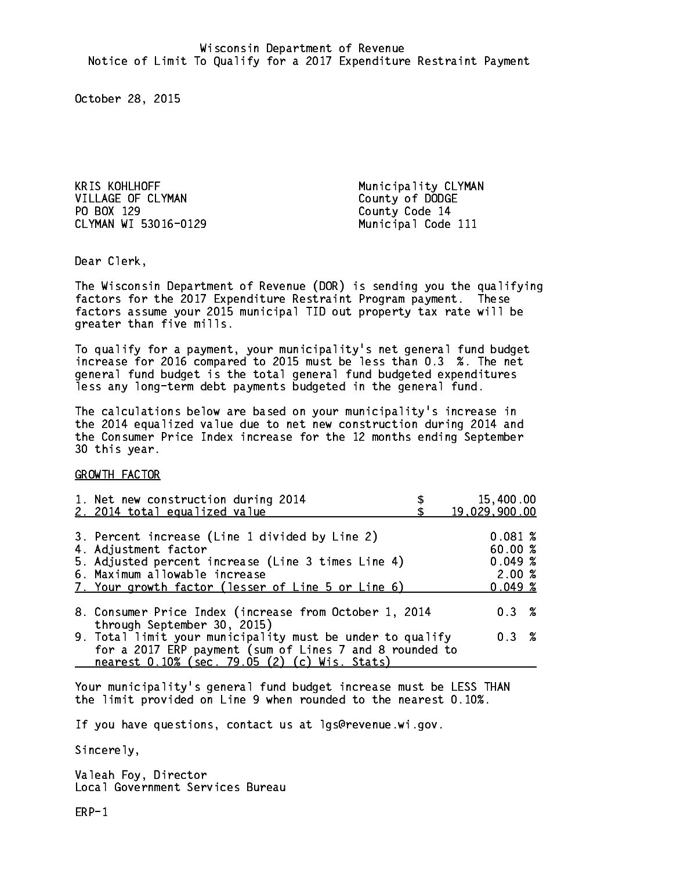KRIS KOHLHOFF Municipality CLYMAN VILLAGE OF CLYMAN County of DODGE PO BOX 129 County Code 14 CLYMAN WI 53016-0129 Municipal Code 111

Dear Clerk. Dear Clerk,

The Wisconsin Department of Revenue (DOR) is sending you the qualifying factors for the 2017 Expenditure Restraint Program payment. These factors assume your 2015 municipal TID out property tax rate will be greater than five mills.

 To qualify for a payment, your municipality's net general fund budget increase for 2016 compared to 2015 must be less than 0.3 %. The net general fund budget is the total general fund budgeted expenditures less any long-term debt payments budgeted in the general fund.

The calculations below are based on your municipality's increase in the 2014 equalized value due to net new construction during 2014 and the Consumer Price Index increase for the 12 months ending September 30 this year. 30 this year. This year of the second terms of the second terms in the second terms in the second terms in the

GROWTH FACTOR

| 1. Net new construction during 2014<br>2. 2014 total equalized value                                                                                                                                                | 15,400.00<br>19,029,900.00                       |
|---------------------------------------------------------------------------------------------------------------------------------------------------------------------------------------------------------------------|--------------------------------------------------|
| 3. Percent increase (Line 1 divided by Line 2)<br>4. Adjustment factor<br>5. Adjusted percent increase (Line 3 times Line 4)<br>6. Maximum allowable increase<br>7. Your growth factor (lesser of Line 5 or Line 6) | 0.081~%<br>60.00%<br>0.049~%<br>2.00%<br>0.049~% |
| 8. Consumer Price Index (increase from October 1, 2014                                                                                                                                                              | 0.3%                                             |
| through September 30, 2015)<br>9. Total limit your municipality must be under to qualify<br>for a 2017 ERP payment (sum of Lines 7 and 8 rounded to<br>nearest 0.10% (sec. 79.05 (2) (c) Wis. Stats)                | 0.3%                                             |

Your municipality's general fund budget increase must be LESS THAN the limit provided on Line 9 when rounded to the nearest 0.10%.

If you have questions, contact us at lgs@revenue.wi.gov.

Sincerely,

Valeah Foy, Director Local Government Services Bureau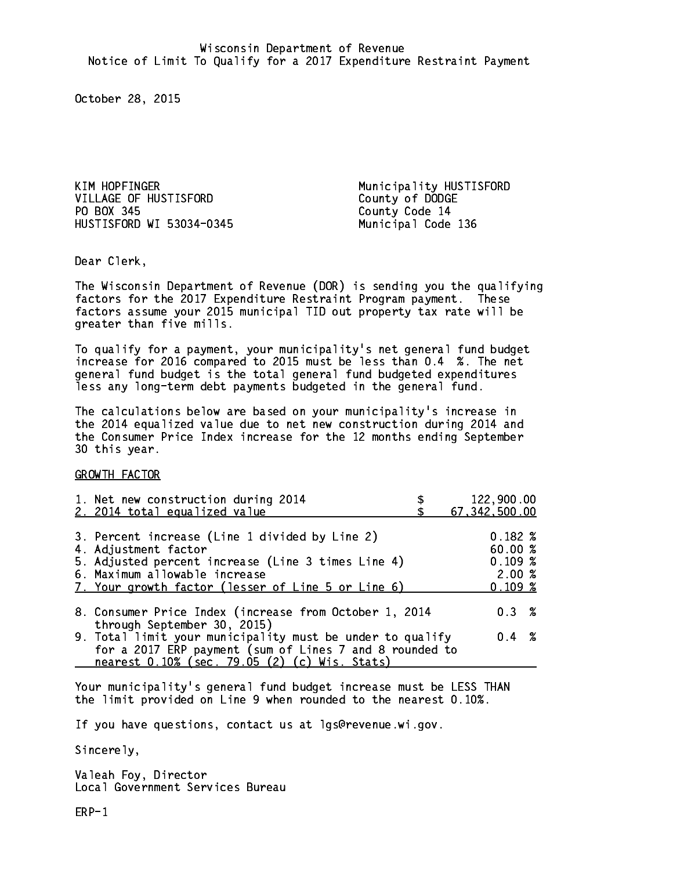KIM HOPFINGER Municipality HUSTISFORD VILLAGE OF HUSTISFORD County of DODGE PO BOX 345 County Code 14 HUSTISFORD WI 53034-0345 Municipal Code 136

Dear Clerk. Dear Clerk,

The Wisconsin Department of Revenue (DOR) is sending you the qualifying factors for the 2017 Expenditure Restraint Program payment. These factors assume your 2015 municipal TID out property tax rate will be greater than five mills.

 To qualify for a payment, your municipality's net general fund budget increase for 2016 compared to 2015 must be less than 0.4 %. The net general fund budget is the total general fund budgeted expenditures less any long-term debt payments budgeted in the general fund.

The calculations below are based on your municipality's increase in the 2014 equalized value due to net new construction during 2014 and the Consumer Price Index increase for the 12 months ending September 30 this year. 30 this year. This year of the second terms of the second terms in the second terms in the second terms in the

GROWTH FACTOR

| 1. Net new construction during 2014<br>2. 2014 total equalized value                                                                                                                                                | 122,900.00<br>67, 342, 500.00                         |
|---------------------------------------------------------------------------------------------------------------------------------------------------------------------------------------------------------------------|-------------------------------------------------------|
| 3. Percent increase (Line 1 divided by Line 2)<br>4. Adjustment factor<br>5. Adjusted percent increase (Line 3 times Line 4)<br>6. Maximum allowable increase<br>7. Your growth factor (lesser of Line 5 or Line 6) | $0.182 \; %$<br>60.00 %<br>0.109~%<br>2.00%<br>0.109% |
| 8. Consumer Price Index (increase from October 1, 2014<br>through September 30, 2015)                                                                                                                               | $0.3 \t%$                                             |
| 9. Total limit your municipality must be under to qualify<br>for a 2017 ERP payment (sum of Lines 7 and 8 rounded to<br>nearest 0.10% (sec. 79.05 (2) (c) Wis. Stats)                                               | $0.4 \t%$                                             |

Your municipality's general fund budget increase must be LESS THAN the limit provided on Line 9 when rounded to the nearest 0.10%.

If you have questions, contact us at lgs@revenue.wi.gov.

Sincerely,

Valeah Foy, Director Local Government Services Bureau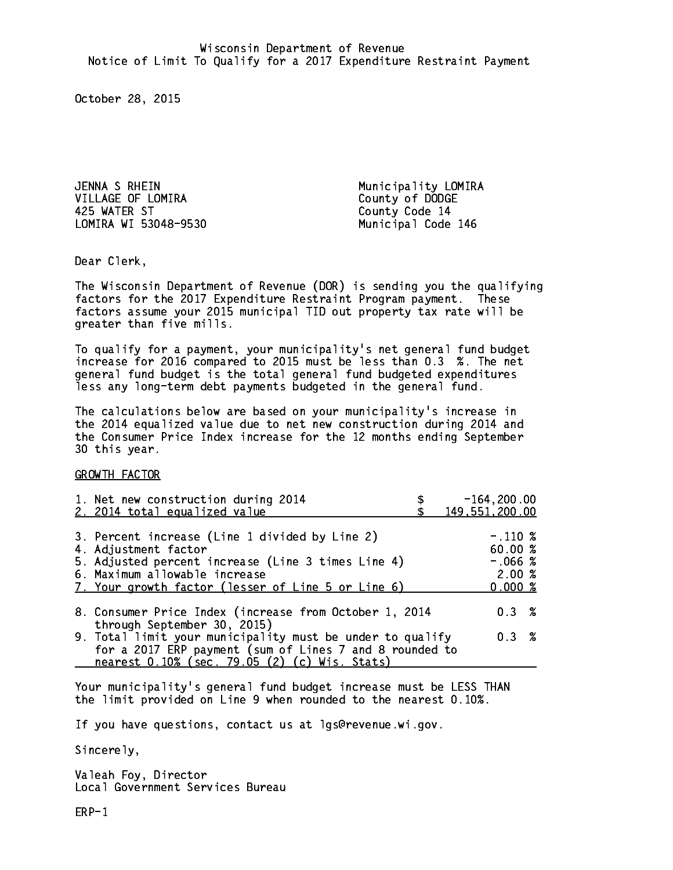JENNA S RHEIN Municipality LOMIRA VILLAGE OF LOMIRA County of DODGE 425 WATER ST County Code 14 LOMIRA WI 53048-9530 Municipal Code 146

Dear Clerk. Dear Clerk,

The Wisconsin Department of Revenue (DOR) is sending you the qualifying factors for the 2017 Expenditure Restraint Program payment. These factors assume your 2015 municipal TID out property tax rate will be greater than five mills.

 To qualify for a payment, your municipality's net general fund budget increase for 2016 compared to 2015 must be less than 0.3 %. The net general fund budget is the total general fund budgeted expenditures less any long-term debt payments budgeted in the general fund.

The calculations below are based on your municipality's increase in the 2014 equalized value due to net new construction during 2014 and the Consumer Price Index increase for the 12 months ending September 30 this year. 30 this year. This year of the second terms of the second terms in the second terms in the second terms in the

GROWTH FACTOR

| 1. Net new construction during 2014<br>2. 2014 total equalized value                                                                                                                                                | $-164, 200.00$<br>149,551,200.00                      |
|---------------------------------------------------------------------------------------------------------------------------------------------------------------------------------------------------------------------|-------------------------------------------------------|
| 3. Percent increase (Line 1 divided by Line 2)<br>4. Adjustment factor<br>5. Adjusted percent increase (Line 3 times Line 4)<br>6. Maximum allowable increase<br>7. Your growth factor (lesser of Line 5 or Line 6) | $-.110\%$<br>60.00 %<br>$-.066$ %<br>2.00%<br>0.000~% |
| 8. Consumer Price Index (increase from October 1, 2014                                                                                                                                                              | $0.3 \t%$                                             |
| through September 30, 2015)<br>9. Total limit your municipality must be under to qualify<br>for a 2017 ERP payment (sum of Lines 7 and 8 rounded to<br>nearest 0.10% (sec. 79.05 (2) (c) Wis. Stats)                | $0.3 \t%$                                             |

Your municipality's general fund budget increase must be LESS THAN the limit provided on Line 9 when rounded to the nearest 0.10%.

If you have questions, contact us at lgs@revenue.wi.gov.

Sincerely,

Valeah Foy, Director Local Government Services Bureau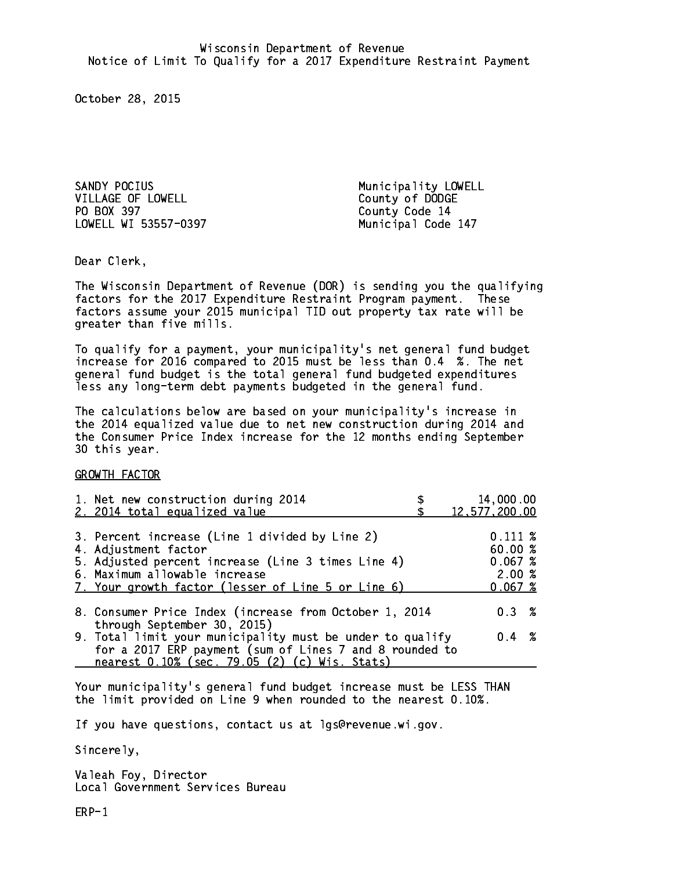SANDY POCIUS **Municipality** LOWELL VILLAGE OF LOWELL COUNTY OF DODGE PO BOX 397 County Code 14 LOWELL WI 53557-0397 Municipal Code 147

Dear Clerk. Dear Clerk,

The Wisconsin Department of Revenue (DOR) is sending you the qualifying factors for the 2017 Expenditure Restraint Program payment. These factors assume your 2015 municipal TID out property tax rate will be greater than five mills.

 To qualify for a payment, your municipality's net general fund budget increase for 2016 compared to 2015 must be less than 0.4 %. The net general fund budget is the total general fund budgeted expenditures less any long-term debt payments budgeted in the general fund.

The calculations below are based on your municipality's increase in the 2014 equalized value due to net new construction during 2014 and the Consumer Price Index increase for the 12 months ending September 30 this year. 30 this year. This year of the second terms of the second terms in the second terms in the second terms in the

GROWTH FACTOR

| 1. Net new construction during 2014<br>2. 2014 total equalized value                                                                                                                                                | 14,000.00<br>12,577,200.00                            |
|---------------------------------------------------------------------------------------------------------------------------------------------------------------------------------------------------------------------|-------------------------------------------------------|
| 3. Percent increase (Line 1 divided by Line 2)<br>4. Adjustment factor<br>5. Adjusted percent increase (Line 3 times Line 4)<br>6. Maximum allowable increase<br>7. Your growth factor (lesser of Line 5 or Line 6) | $0.111 \;$ %<br>60.00%<br>0.067~%<br>2.00%<br>0.067~% |
| 8. Consumer Price Index (increase from October 1, 2014                                                                                                                                                              | 0.3%                                                  |
| through September 30, 2015)<br>9. Total limit your municipality must be under to qualify<br>for a 2017 ERP payment (sum of Lines 7 and 8 rounded to<br>nearest 0.10% (sec. 79.05 (2) (c) Wis. Stats)                | $0.4 \t%$                                             |

Your municipality's general fund budget increase must be LESS THAN the limit provided on Line 9 when rounded to the nearest 0.10%.

If you have questions, contact us at lgs@revenue.wi.gov.

Sincerely,

Valeah Foy, Director Local Government Services Bureau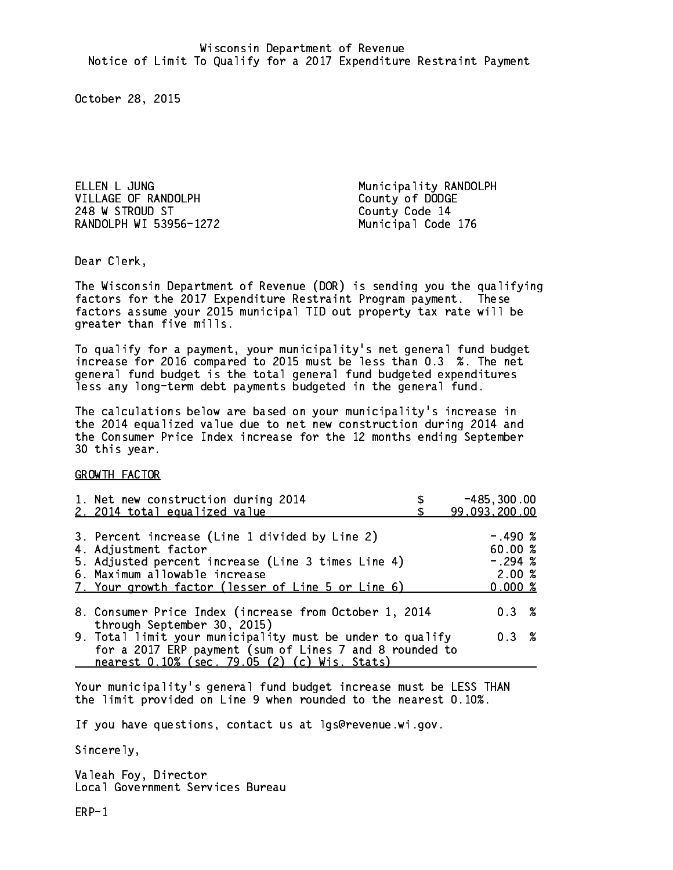ELLEN L JUNG **Municipality RANDOLPH** VILLAGE OF RANDOLPH County of DODGE 248 W STROUD ST County Code 14 RANDOLPH WI 53956-1272 Municipal Code 176

Dear Clerk. Dear Clerk,

The Wisconsin Department of Revenue (DOR) is sending you the qualifying factors for the 2017 Expenditure Restraint Program payment. These factors assume your 2015 municipal TID out property tax rate will be greater than five mills.

 To qualify for a payment, your municipality's net general fund budget increase for 2016 compared to 2015 must be less than 0.3 %. The net general fund budget is the total general fund budgeted expenditures less any long-term debt payments budgeted in the general fund.

The calculations below are based on your municipality's increase in the 2014 equalized value due to net new construction during 2014 and the Consumer Price Index increase for the 12 months ending September 30 this year. 30 this year. This year of the second terms of the second terms in the second terms in the second terms in the

GROWTH FACTOR

| 1. Net new construction during 2014<br>2. 2014 total equalized value                                                                                                                                                | $-485, 300.00$<br>99,093,200.00                      |
|---------------------------------------------------------------------------------------------------------------------------------------------------------------------------------------------------------------------|------------------------------------------------------|
| 3. Percent increase (Line 1 divided by Line 2)<br>4. Adjustment factor<br>5. Adjusted percent increase (Line 3 times Line 4)<br>6. Maximum allowable increase<br>7. Your growth factor (lesser of Line 5 or Line 6) | $-.490~%$<br>60.00%<br>$-.294$ %<br>2.00%<br>0.000 % |
| 8. Consumer Price Index (increase from October 1, 2014<br>through September 30, 2015)                                                                                                                               | 0.3%                                                 |
| 9. Total limit your municipality must be under to qualify<br>for a 2017 ERP payment (sum of Lines 7 and 8 rounded to<br>nearest 0.10% (sec. 79.05 (2) (c) Wis. Stats)                                               | 0.3%                                                 |

Your municipality's general fund budget increase must be LESS THAN the limit provided on Line 9 when rounded to the nearest 0.10%.

If you have questions, contact us at lgs@revenue.wi.gov.

Sincerely,

Valeah Foy, Director Local Government Services Bureau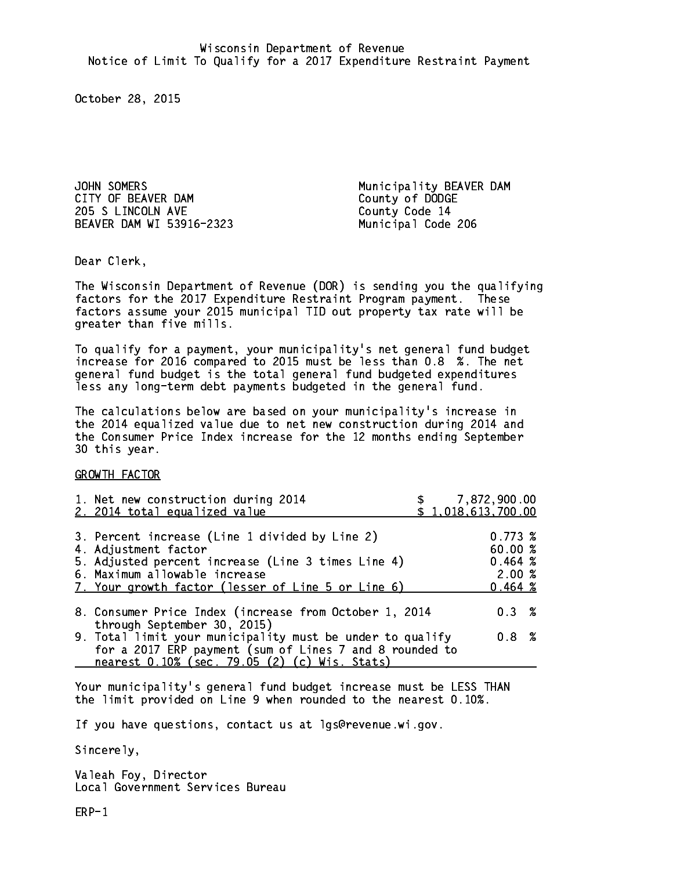JOHN SOMERS<br>CITY OF BEAVER DAM CITY County of DODGE 205 S LINCOLN AVE County Code 14 BEAVER DAM WI 53916-2323 Municipal Code 206

County of DODGE

Dear Clerk. Dear Clerk,

The Wisconsin Department of Revenue (DOR) is sending you the qualifying factors for the 2017 Expenditure Restraint Program payment. These factors assume your 2015 municipal TID out property tax rate will be greater than five mills.

 To qualify for a payment, your municipality's net general fund budget increase for 2016 compared to 2015 must be less than 0.8 %. The net general fund budget is the total general fund budgeted expenditures less any long-term debt payments budgeted in the general fund.

The calculations below are based on your municipality's increase in the 2014 equalized value due to net new construction during 2014 and the Consumer Price Index increase for the 12 months ending September 30 this year. 30 this year. This year of the second terms of the second terms in the second terms in the second terms in the

GROWTH FACTOR

| 1. Net new construction during 2014<br>2. 2014 total equalized value                                                                                                                                                | \$1,018,613,700.00 | \$7,872,900.00                                    |  |
|---------------------------------------------------------------------------------------------------------------------------------------------------------------------------------------------------------------------|--------------------|---------------------------------------------------|--|
| 3. Percent increase (Line 1 divided by Line 2)<br>4. Adjustment factor<br>5. Adjusted percent increase (Line 3 times Line 4)<br>6. Maximum allowable increase<br>7. Your growth factor (lesser of Line 5 or Line 6) |                    | 0.773~%<br>60.00 %<br>0.464~%<br>2.00%<br>0.464~% |  |
| 8. Consumer Price Index (increase from October 1, 2014<br>through September 30, 2015)                                                                                                                               |                    | $0.3 \t%$                                         |  |
| 9. Total limit your municipality must be under to qualify<br>for a 2017 ERP payment (sum of Lines 7 and 8 rounded to<br>nearest 0.10% (sec. 79.05 (2) (c) Wis. Stats)                                               |                    | 0.8 <sup>8</sup>                                  |  |

Your municipality's general fund budget increase must be LESS THAN the limit provided on Line 9 when rounded to the nearest 0.10%.

If you have questions, contact us at lgs@revenue.wi.gov.

Sincerely,

Valeah Foy, Director Local Government Services Bureau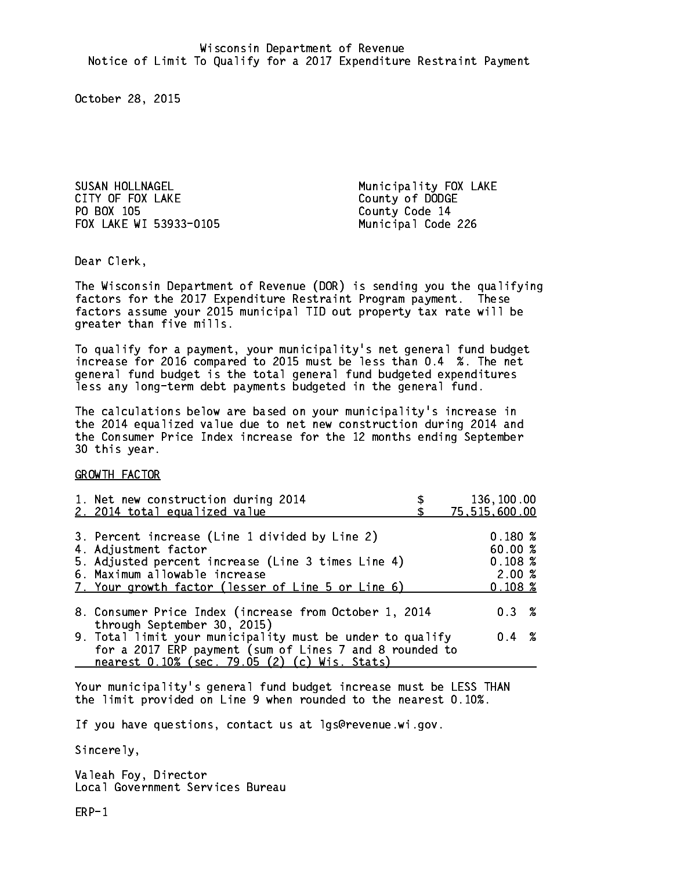SUSAN HOLLNAGEL **Municipality FOX LAKE** CITY OF FOX LAKE COUNTY OF DODGE PO BOX 105 FOX LAKE WI 53933-0105 Municipal Code 226

County Code 14

Dear Clerk. Dear Clerk,

The Wisconsin Department of Revenue (DOR) is sending you the qualifying factors for the 2017 Expenditure Restraint Program payment. These factors assume your 2015 municipal TID out property tax rate will be greater than five mills.

 To qualify for a payment, your municipality's net general fund budget increase for 2016 compared to 2015 must be less than 0.4 %. The net general fund budget is the total general fund budgeted expenditures less any long-term debt payments budgeted in the general fund.

The calculations below are based on your municipality's increase in the 2014 equalized value due to net new construction during 2014 and the Consumer Price Index increase for the 12 months ending September 30 this year. 30 this year. This year of the second terms of the second terms in the second terms in the second terms in the

GROWTH FACTOR

| 1. Net new construction during 2014                                                                                                                                                                                 | 136,100.00                                      |
|---------------------------------------------------------------------------------------------------------------------------------------------------------------------------------------------------------------------|-------------------------------------------------|
| 2. 2014 total equalized value                                                                                                                                                                                       | 75,515,600.00                                   |
| 3. Percent increase (Line 1 divided by Line 2)<br>4. Adjustment factor<br>5. Adjusted percent increase (Line 3 times Line 4)<br>6. Maximum allowable increase<br>7. Your growth factor (lesser of Line 5 or Line 6) | 0.180%<br>60.00%<br>0.108~%<br>2.00%<br>0.108~% |
| 8. Consumer Price Index (increase from October 1, 2014                                                                                                                                                              | $0.3 \t%$                                       |
| through September 30, 2015)<br>9. Total limit your municipality must be under to qualify<br>for a 2017 ERP payment (sum of Lines 7 and 8 rounded to<br>nearest 0.10% (sec. 79.05 (2) (c) Wis. Stats)                | $0.4 \t%$                                       |

Your municipality's general fund budget increase must be LESS THAN the limit provided on Line 9 when rounded to the nearest 0.10%.

If you have questions, contact us at lgs@revenue.wi.gov.

Sincerely,

Valeah Foy, Director Local Government Services Bureau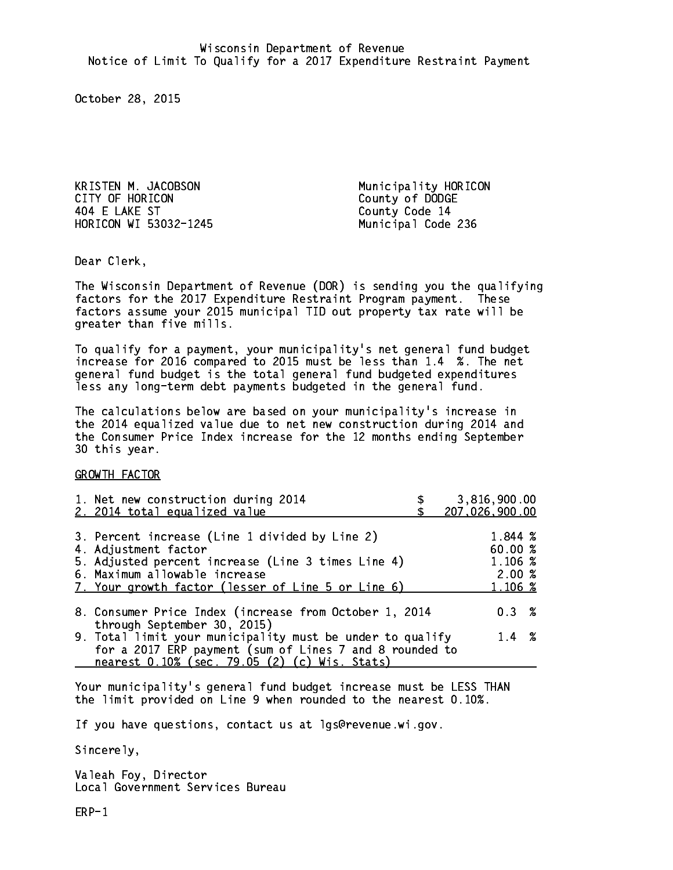KRISTEN M. JACOBSON Municipality HORICON CITY OF HORICON COUNTY OF DODGE 404 E LAKE ST County Code 14 HORICON WI 53032-1245

Municipal Code 236

Dear Clerk. Dear Clerk,

The Wisconsin Department of Revenue (DOR) is sending you the qualifying factors for the 2017 Expenditure Restraint Program payment. These factors assume your 2015 municipal TID out property tax rate will be greater than five mills.

 To qualify for a payment, your municipality's net general fund budget increase for 2016 compared to 2015 must be less than 1.4 %. The net general fund budget is the total general fund budgeted expenditures less any long-term debt payments budgeted in the general fund.

The calculations below are based on your municipality's increase in the 2014 equalized value due to net new construction during 2014 and the Consumer Price Index increase for the 12 months ending September 30 this year. 30 this year. This year of the second terms of the second terms in the second terms in the second terms in the

GROWTH FACTOR

| 1. Net new construction during 2014<br>2. 2014 total equalized value                                                                                                                                                | 3,816,900.00<br>207,026,900.00                   |
|---------------------------------------------------------------------------------------------------------------------------------------------------------------------------------------------------------------------|--------------------------------------------------|
| 3. Percent increase (Line 1 divided by Line 2)<br>4. Adjustment factor<br>5. Adjusted percent increase (Line 3 times Line 4)<br>6. Maximum allowable increase<br>7. Your growth factor (lesser of Line 5 or Line 6) | 1.844 %<br>60.00%<br>1.106 %<br>2.00%<br>1.106 % |
| 8. Consumer Price Index (increase from October 1, 2014                                                                                                                                                              | 0.3%                                             |
| through September 30, 2015)<br>9. Total limit your municipality must be under to qualify<br>for a 2017 ERP payment (sum of Lines 7 and 8 rounded to<br>nearest 0.10% (sec. 79.05 (2) (c) Wis. Stats)                | $1.4 \t%$                                        |

Your municipality's general fund budget increase must be LESS THAN the limit provided on Line 9 when rounded to the nearest 0.10%.

If you have questions, contact us at lgs@revenue.wi.gov.

Sincerely,

Valeah Foy, Director Local Government Services Bureau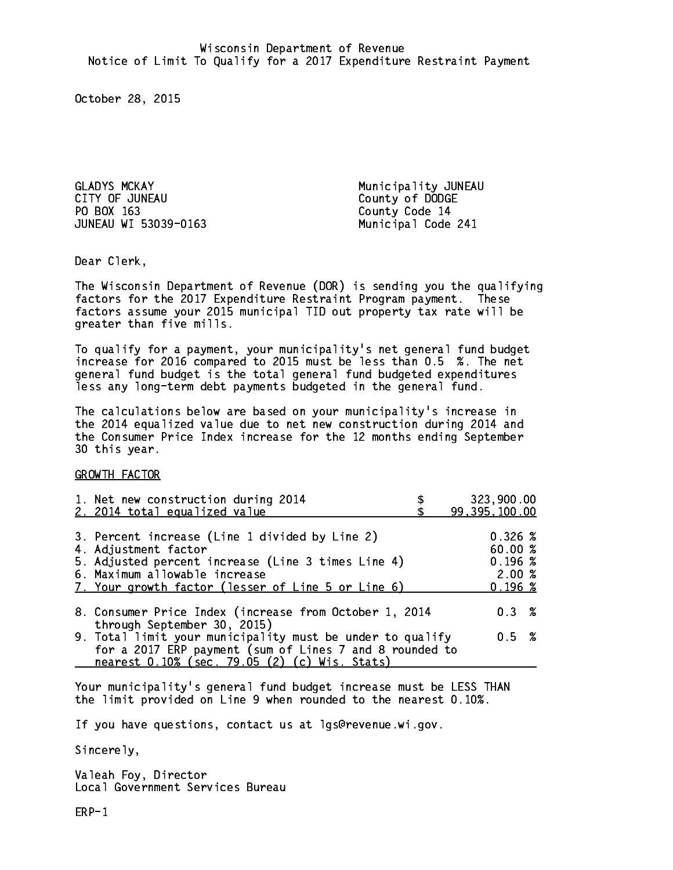GLADYS MCKAY Municipality JUNEAU PO BOX 163 County Code 14 JUNEAU WI 53039-0163 Municipal Code 241

County of DODGE

Dear Clerk. Dear Clerk,

The Wisconsin Department of Revenue (DOR) is sending you the qualifying factors for the 2017 Expenditure Restraint Program payment. These factors assume your 2015 municipal TID out property tax rate will be greater than five mills.

 To qualify for a payment, your municipality's net general fund budget increase for 2016 compared to 2015 must be less than 0.5 %. The net general fund budget is the total general fund budgeted expenditures less any long-term debt payments budgeted in the general fund.

The calculations below are based on your municipality's increase in the 2014 equalized value due to net new construction during 2014 and the Consumer Price Index increase for the 12 months ending September 30 this year. 30 this year. This year of the second terms of the second terms in the second terms in the second terms in the

GROWTH FACTOR

| 1. Net new construction during 2014<br>2. 2014 total equalized value                                                                                                                                                | 323,900.00<br>99, 395, 100.00                                  |
|---------------------------------------------------------------------------------------------------------------------------------------------------------------------------------------------------------------------|----------------------------------------------------------------|
| 3. Percent increase (Line 1 divided by Line 2)<br>4. Adjustment factor<br>5. Adjusted percent increase (Line 3 times Line 4)<br>6. Maximum allowable increase<br>7. Your growth factor (lesser of Line 5 or Line 6) | $0.326 \; \text{\%}$<br>60.00 %<br>0.196~%<br>2.00%<br>0.196~% |
| 8. Consumer Price Index (increase from October 1, 2014                                                                                                                                                              | 0.3%                                                           |
| through September 30, 2015)<br>9. Total limit your municipality must be under to qualify<br>for a 2017 ERP payment (sum of Lines 7 and 8 rounded to<br>nearest 0.10% (sec. 79.05 (2) (c) Wis. Stats)                | 0.5 %                                                          |

Your municipality's general fund budget increase must be LESS THAN the limit provided on Line 9 when rounded to the nearest 0.10%.

If you have questions, contact us at lgs@revenue.wi.gov.

Sincerely,

Valeah Foy, Director Local Government Services Bureau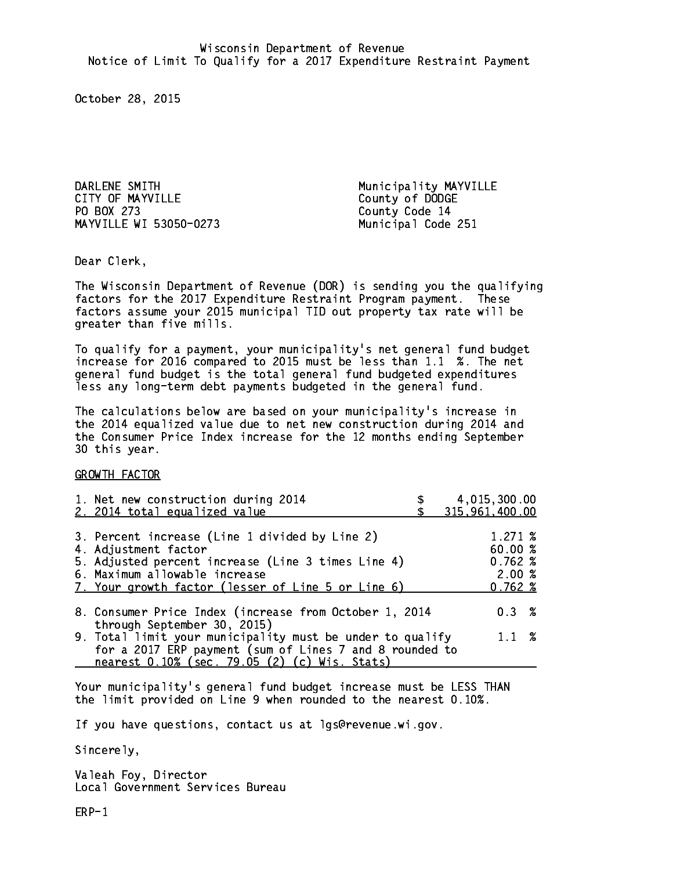DARLENE SMITH GARLENE SMITH MUNICIPALITY MAYVILLE<br>CITY OF MAYVILLE CITY County of DODGE PO BOX 273 MAYVILLE WI 53050-0273 Municipal Code 251

County of DODGE County Code 14

Dear Clerk. Dear Clerk,

The Wisconsin Department of Revenue (DOR) is sending you the qualifying factors for the 2017 Expenditure Restraint Program payment. These factors assume your 2015 municipal TID out property tax rate will be greater than five mills.

 To qualify for a payment, your municipality's net general fund budget increase for 2016 compared to 2015 must be less than 1.1 %. The net general fund budget is the total general fund budgeted expenditures less any long-term debt payments budgeted in the general fund.

The calculations below are based on your municipality's increase in the 2014 equalized value due to net new construction during 2014 and the Consumer Price Index increase for the 12 months ending September 30 this year. 30 this year.

GROWTH FACTOR

| 1. Net new construction during 2014<br>2. 2014 total equalized value                                                                                                                                                | 4,015,300.00<br>315,961,400.00                   |
|---------------------------------------------------------------------------------------------------------------------------------------------------------------------------------------------------------------------|--------------------------------------------------|
| 3. Percent increase (Line 1 divided by Line 2)<br>4. Adjustment factor<br>5. Adjusted percent increase (Line 3 times Line 4)<br>6. Maximum allowable increase<br>7. Your growth factor (lesser of Line 5 or Line 6) | 1.271~%<br>60.00 %<br>0.762~%<br>2.00%<br>0.762% |
| 8. Consumer Price Index (increase from October 1, 2014<br>through September 30, 2015)                                                                                                                               | $0.3 \t%$                                        |
| 9. Total limit your municipality must be under to qualify<br>for a 2017 ERP payment (sum of Lines 7 and 8 rounded to                                                                                                | $1.1 \t%$                                        |
| nearest 0.10% (sec. 79.05 (2) (c) Wis. Stats)                                                                                                                                                                       |                                                  |

Your municipality's general fund budget increase must be LESS THAN the limit provided on Line 9 when rounded to the nearest 0.10%.

If you have questions, contact us at lgs@revenue.wi.gov.

Sincerely,

Valeah Foy, Director Local Government Services Bureau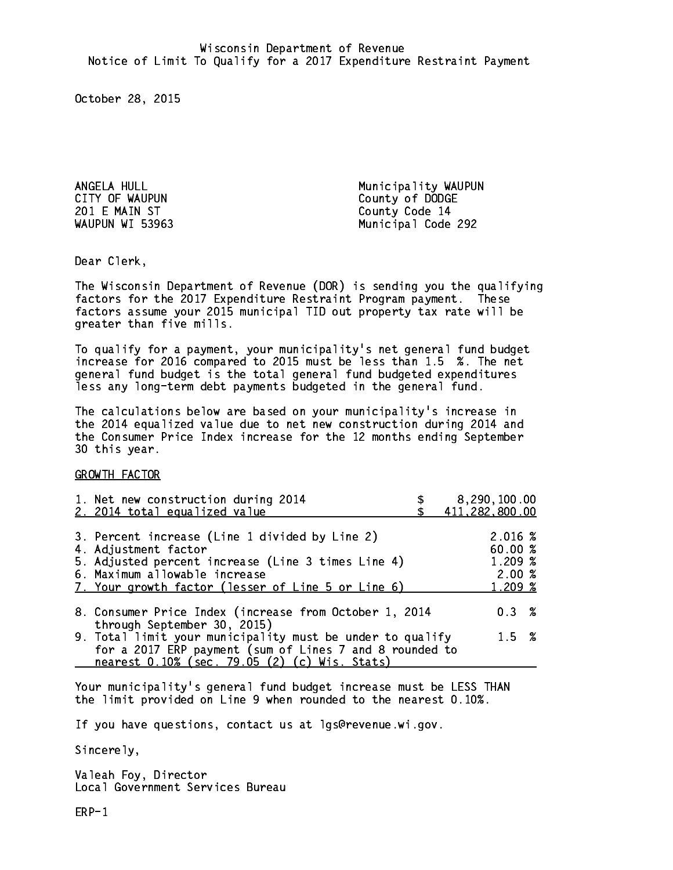201 E MAIN ST County Code 14 WAUPUN WI 53963

ANGELA HULL **Municipality WAUPUN** CITY OF WAUPUN COUNTY County of DODGE Municipal Code 292

Dear Clerk. Dear Clerk,

The Wisconsin Department of Revenue (DOR) is sending you the qualifying factors for the 2017 Expenditure Restraint Program payment. These factors assume your 2015 municipal TID out property tax rate will be greater than five mills.

 To qualify for a payment, your municipality's net general fund budget increase for 2016 compared to 2015 must be less than 1.5 %. The net general fund budget is the total general fund budgeted expenditures less any long-term debt payments budgeted in the general fund.

The calculations below are based on your municipality's increase in the 2014 equalized value due to net new construction during 2014 and the Consumer Price Index increase for the 12 months ending September 30 this year. 30 this year.

GROWTH FACTOR

| 1. Net new construction during 2014<br>2. 2014 total equalized value                                                                                                                                                | 8,290,100.00<br>411,282,800.00                    |
|---------------------------------------------------------------------------------------------------------------------------------------------------------------------------------------------------------------------|---------------------------------------------------|
| 3. Percent increase (Line 1 divided by Line 2)<br>4. Adjustment factor<br>5. Adjusted percent increase (Line 3 times Line 4)<br>6. Maximum allowable increase<br>7. Your growth factor (lesser of Line 5 or Line 6) | 2.016 %<br>60.00 %<br>1.209 %<br>2.00%<br>1.209 % |
| 8. Consumer Price Index (increase from October 1, 2014                                                                                                                                                              | 0.3%                                              |
| through September 30, 2015)<br>9. Total limit your municipality must be under to qualify<br>for a 2017 ERP payment (sum of Lines 7 and 8 rounded to<br>nearest 0.10% (sec. 79.05 (2) (c) Wis. Stats)                | $1.5 \t%$                                         |

Your municipality's general fund budget increase must be LESS THAN the limit provided on Line 9 when rounded to the nearest 0.10%.

If you have questions, contact us at lgs@revenue.wi.gov.

Sincerely,

Valeah Foy, Director Local Government Services Bureau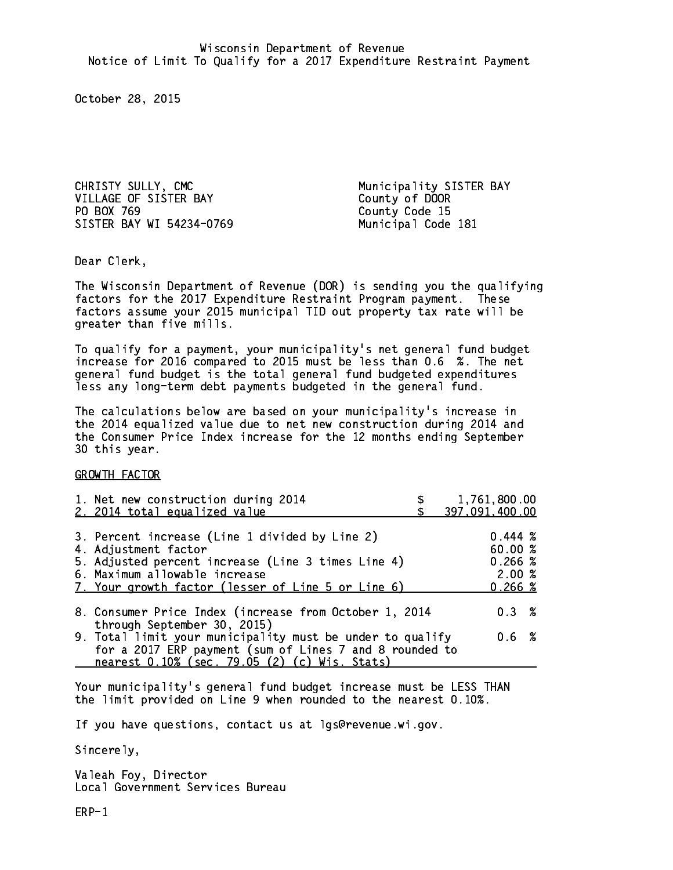CHRISTY SULLY, CMC Municipality SISTER BAY VILLAGE OF SISTER BAY County of DOOR PO BOX 769 County Code 15 SISTER BAY WI 54234-0769 Municipal Code 181

Dear Clerk. Dear Clerk,

The Wisconsin Department of Revenue (DOR) is sending you the qualifying factors for the 2017 Expenditure Restraint Program payment. These factors assume your 2015 municipal TID out property tax rate will be greater than five mills.

 To qualify for a payment, your municipality's net general fund budget increase for 2016 compared to 2015 must be less than 0.6 %. The net general fund budget is the total general fund budgeted expenditures less any long-term debt payments budgeted in the general fund.

The calculations below are based on your municipality's increase in the 2014 equalized value due to net new construction during 2014 and the Consumer Price Index increase for the 12 months ending September 30 this year. 30 this year.

GROWTH FACTOR

| 1. Net new construction during 2014<br>2. 2014 total equalized value                                                                                                                                                | 1,761,800.00<br>397,091,400.00                    |
|---------------------------------------------------------------------------------------------------------------------------------------------------------------------------------------------------------------------|---------------------------------------------------|
| 3. Percent increase (Line 1 divided by Line 2)<br>4. Adjustment factor<br>5. Adjusted percent increase (Line 3 times Line 4)<br>6. Maximum allowable increase<br>7. Your growth factor (lesser of Line 5 or Line 6) | 0.444~%<br>60.00 %<br>0.266~%<br>2.00%<br>0.266~% |
| 8. Consumer Price Index (increase from October 1, 2014<br>through September 30, 2015)                                                                                                                               | 0.3%                                              |
| 9. Total limit your municipality must be under to qualify<br>for a 2017 ERP payment (sum of Lines 7 and 8 rounded to<br>nearest 0.10% (sec. 79.05 (2) (c) Wis. Stats)                                               | $0.6\;$ %                                         |

Your municipality's general fund budget increase must be LESS THAN the limit provided on Line 9 when rounded to the nearest 0.10%.

If you have questions, contact us at lgs@revenue.wi.gov.

Sincerely,

Valeah Foy, Director Local Government Services Bureau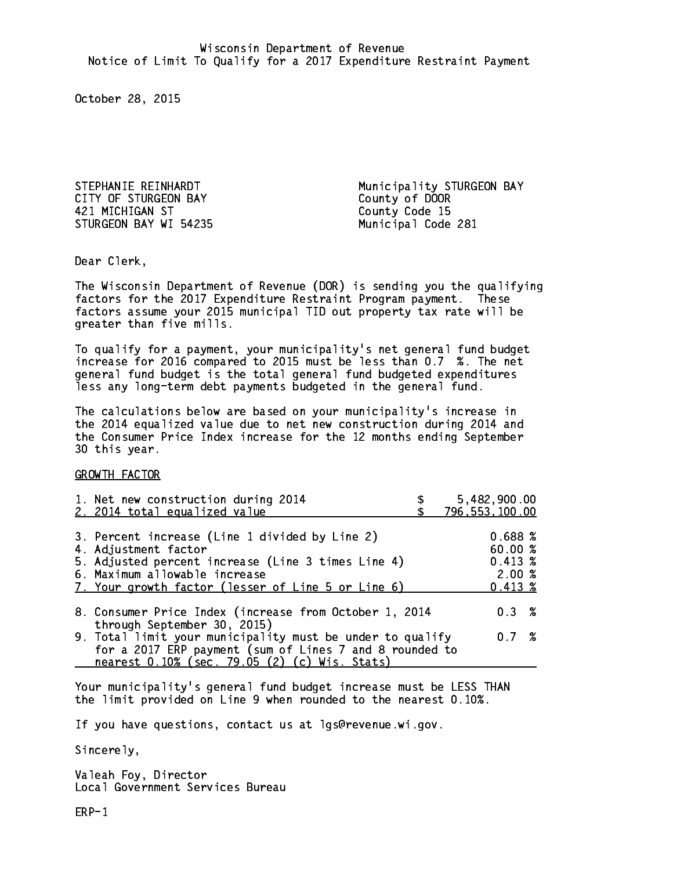CITY OF STURGEON BAY County of DOOR 421 MICHIGAN ST County Code 15 STURGEON BAY WI 54235 Municipal Code 281

STEPHANIE REINHARDT **Municipality STURGEON BAY** 

Dear Clerk. Dear Clerk,

The Wisconsin Department of Revenue (DOR) is sending you the qualifying factors for the 2017 Expenditure Restraint Program payment. These factors assume your 2015 municipal TID out property tax rate will be greater than five mills.

 To qualify for a payment, your municipality's net general fund budget increase for 2016 compared to 2015 must be less than 0.7 %. The net general fund budget is the total general fund budgeted expenditures less any long-term debt payments budgeted in the general fund.

The calculations below are based on your municipality's increase in the 2014 equalized value due to net new construction during 2014 and the Consumer Price Index increase for the 12 months ending September 30 this year. 30 this year.

GROWTH FACTOR

| 1. Net new construction during 2014                                                                                                                                                                  | 5,482,900.00     |
|------------------------------------------------------------------------------------------------------------------------------------------------------------------------------------------------------|------------------|
| 2. 2014 total equalized value                                                                                                                                                                        | 796, 553, 100.00 |
| 3. Percent increase (Line 1 divided by Line 2)                                                                                                                                                       | 0.688~%          |
| 4. Adjustment factor                                                                                                                                                                                 | 60.00 %          |
| 5. Adjusted percent increase (Line 3 times Line 4)                                                                                                                                                   | $0.413 \;$ %     |
| 6. Maximum allowable increase                                                                                                                                                                        | 2.00%            |
| 7. Your growth factor (lesser of Line 5 or Line 6)                                                                                                                                                   | $0.413 \;$ %     |
| 8. Consumer Price Index (increase from October 1, 2014                                                                                                                                               | $0.3 \t%$        |
| through September 30, 2015)<br>9. Total limit your municipality must be under to qualify<br>for a 2017 ERP payment (sum of Lines 7 and 8 rounded to<br>nearest 0.10% (sec. 79.05 (2) (c) Wis. Stats) | 0.7%             |

Your municipality's general fund budget increase must be LESS THAN the limit provided on Line 9 when rounded to the nearest 0.10%.

If you have questions, contact us at lgs@revenue.wi.gov.

Sincerely,

Valeah Foy, Director Local Government Services Bureau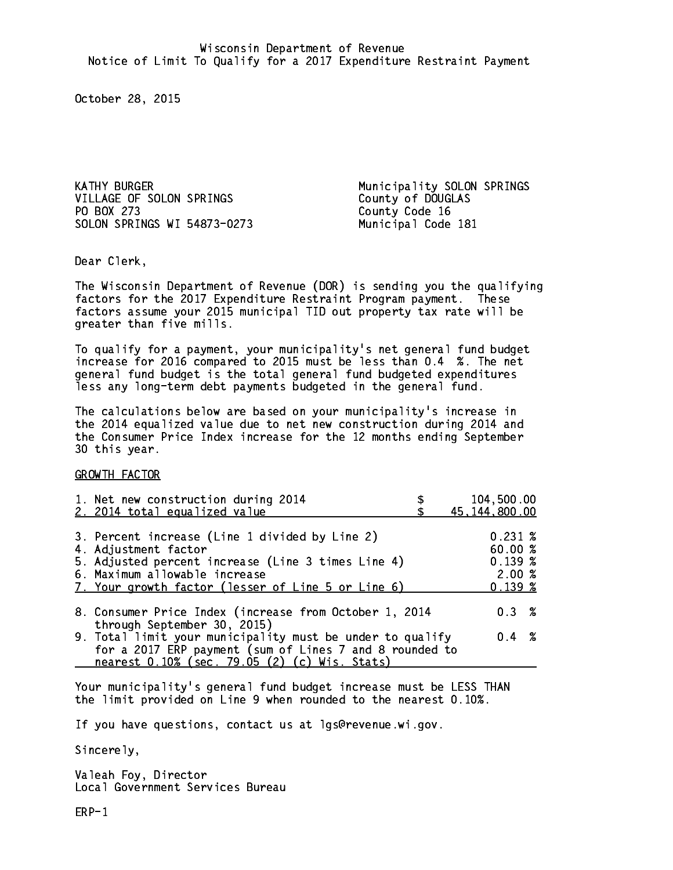VILLAGE OF SOLON SPRINGS County of DOUGLAS PO BOX 273 SOLON SPRINGS WI 54873-0273 Municipal Code 181

KATHY BURGER Municipality SOLON SPRINGS County Code 16

Dear Clerk. Dear Clerk,

The Wisconsin Department of Revenue (DOR) is sending you the qualifying factors for the 2017 Expenditure Restraint Program payment. These factors assume your 2015 municipal TID out property tax rate will be greater than five mills.

 To qualify for a payment, your municipality's net general fund budget increase for 2016 compared to 2015 must be less than 0.4 %. The net general fund budget is the total general fund budgeted expenditures less any long-term debt payments budgeted in the general fund.

The calculations below are based on your municipality's increase in the 2014 equalized value due to net new construction during 2014 and the Consumer Price Index increase for the 12 months ending September 30 this year. 30 this year.

GROWTH FACTOR

| 1. Net new construction during 2014<br>2. 2014 total equalized value                                                                                                                                                | 104,500.00<br>45, 144, 800.00                               |
|---------------------------------------------------------------------------------------------------------------------------------------------------------------------------------------------------------------------|-------------------------------------------------------------|
| 3. Percent increase (Line 1 divided by Line 2)<br>4. Adjustment factor<br>5. Adjusted percent increase (Line 3 times Line 4)<br>6. Maximum allowable increase<br>7. Your growth factor (lesser of Line 5 or Line 6) | $0.231 \;$ %<br>60.00 %<br>0.139~%<br>2.00%<br>$0.139 \;$ % |
| 8. Consumer Price Index (increase from October 1, 2014                                                                                                                                                              | $0.3 \t%$                                                   |
| through September 30, 2015)<br>9. Total limit your municipality must be under to qualify<br>for a 2017 ERP payment (sum of Lines 7 and 8 rounded to<br>nearest 0.10% (sec. 79.05 (2) (c) Wis. Stats)                | $0.4 \t%$                                                   |

Your municipality's general fund budget increase must be LESS THAN the limit provided on Line 9 when rounded to the nearest 0.10%.

If you have questions, contact us at lgs@revenue.wi.gov.

Sincerely,

Valeah Foy, Director Local Government Services Bureau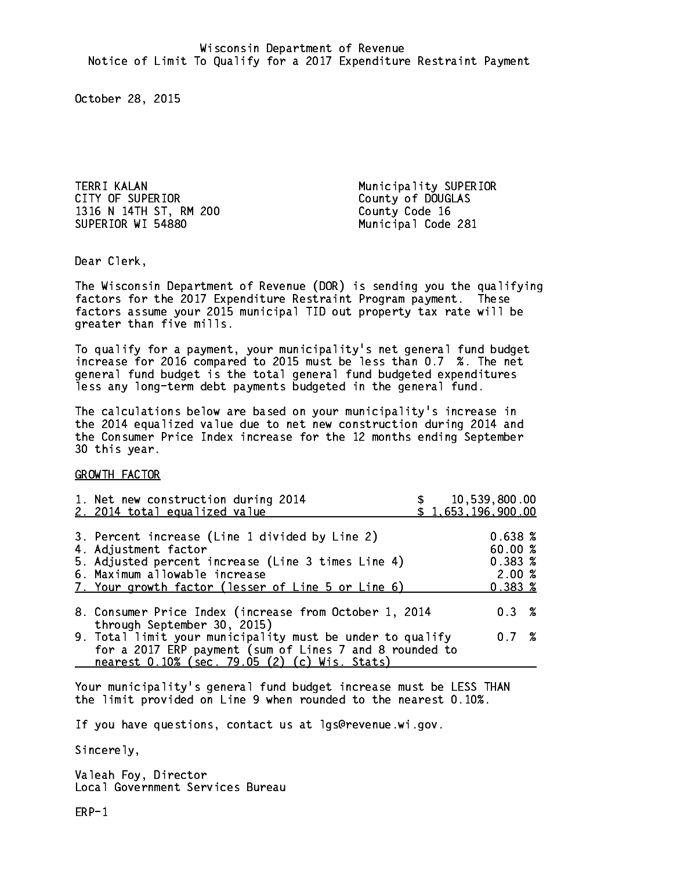TERRI KALAN Municipality SUPERIOR CITY OF SUPERIOR COUNTY OF SUPERIOR 1316 N 14TH ST, RM 200 County Code 16 SUPERIOR WI 54880 Municipal Code 281

Dear Clerk. Dear Clerk,

The Wisconsin Department of Revenue (DOR) is sending you the qualifying factors for the 2017 Expenditure Restraint Program payment. These factors assume your 2015 municipal TID out property tax rate will be greater than five mills.

 To qualify for a payment, your municipality's net general fund budget increase for 2016 compared to 2015 must be less than 0.7 %. The net general fund budget is the total general fund budgeted expenditures less any long-term debt payments budgeted in the general fund.

The calculations below are based on your municipality's increase in the 2014 equalized value due to net new construction during 2014 and the Consumer Price Index increase for the 12 months ending September 30 this year. 30 this year.

GROWTH FACTOR

| 1. Net new construction during 2014<br>2. 2014 total equalized value                                                                                                                                                |  | \$10,539,800.00<br>\$1,653,196,900.00                       |  |
|---------------------------------------------------------------------------------------------------------------------------------------------------------------------------------------------------------------------|--|-------------------------------------------------------------|--|
| 3. Percent increase (Line 1 divided by Line 2)<br>4. Adjustment factor<br>5. Adjusted percent increase (Line 3 times Line 4)<br>6. Maximum allowable increase<br>7. Your growth factor (lesser of Line 5 or Line 6) |  | 0.638~%<br>60.00 %<br>$0.383 \; %$<br>2.00%<br>$0.383 \; %$ |  |
| 8. Consumer Price Index (increase from October 1, 2014<br>through September 30, 2015)                                                                                                                               |  | $0.3 \t%$                                                   |  |
| 9. Total limit your municipality must be under to qualify<br>for a 2017 ERP payment (sum of Lines 7 and 8 rounded to<br>nearest 0.10% (sec. 79.05 (2) (c) Wis. Stats)                                               |  | $0.7\degree$                                                |  |

Your municipality's general fund budget increase must be LESS THAN the limit provided on Line 9 when rounded to the nearest 0.10%.

If you have questions, contact us at lgs@revenue.wi.gov.

Sincerely,

Valeah Foy, Director Local Government Services Bureau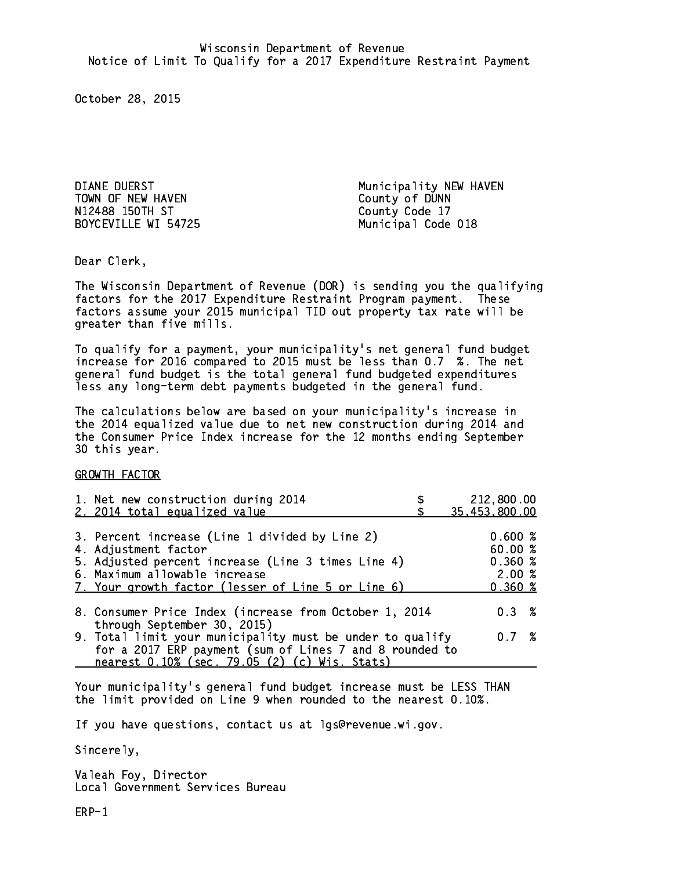TOWN OF NEW HAVEN COUNTY OF DUNN N12488 150TH ST County Code 17 BOYCEVILLE WI 54725 Municipal Code 018

DIANE DUERST **Municipality NEW HAVEN** 

Dear Clerk. Dear Clerk,

The Wisconsin Department of Revenue (DOR) is sending you the qualifying factors for the 2017 Expenditure Restraint Program payment. These factors assume your 2015 municipal TID out property tax rate will be greater than five mills.

 To qualify for a payment, your municipality's net general fund budget increase for 2016 compared to 2015 must be less than 0.7 %. The net general fund budget is the total general fund budgeted expenditures less any long-term debt payments budgeted in the general fund.

The calculations below are based on your municipality's increase in the 2014 equalized value due to net new construction during 2014 and the Consumer Price Index increase for the 12 months ending September 30 this year. 30 this year.

GROWTH FACTOR

| 1. Net new construction during 2014<br>2. 2014 total equalized value                                                                                                                                                | 212,800.00<br>35,453,800.00                      |
|---------------------------------------------------------------------------------------------------------------------------------------------------------------------------------------------------------------------|--------------------------------------------------|
| 3. Percent increase (Line 1 divided by Line 2)<br>4. Adjustment factor<br>5. Adjusted percent increase (Line 3 times Line 4)<br>6. Maximum allowable increase<br>7. Your growth factor (lesser of Line 5 or Line 6) | 0.600~%<br>60.00%<br>0.360~%<br>2.00%<br>0.360~% |
| 8. Consumer Price Index (increase from October 1, 2014                                                                                                                                                              | $0.3 \t%$                                        |
| through September 30, 2015)<br>9. Total limit your municipality must be under to qualify<br>for a 2017 ERP payment (sum of Lines 7 and 8 rounded to<br>nearest 0.10% (sec. 79.05 (2) (c) Wis. Stats)                | 0.7%                                             |

Your municipality's general fund budget increase must be LESS THAN the limit provided on Line 9 when rounded to the nearest 0.10%.

If you have questions, contact us at lgs@revenue.wi.gov.

Sincerely,

Valeah Foy, Director Local Government Services Bureau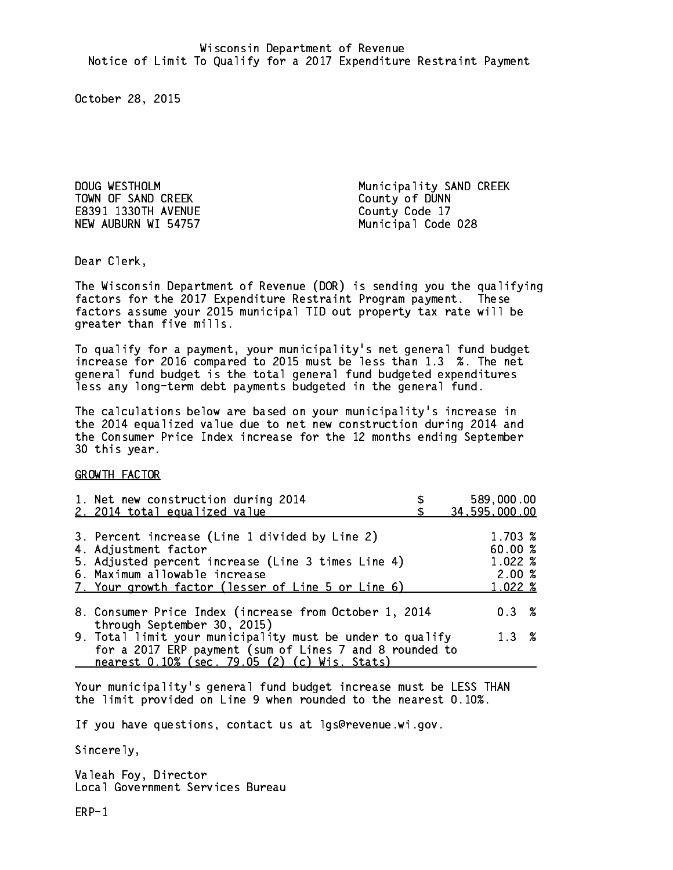TOWN OF SAND CREEK County of DUNN E8391 1330TH AVENUE County Code 17 NEW AUBURN WI 54757 Municipal Code 028

DOUG WESTHOLM Municipality SAND CREEK

Dear Clerk. Dear Clerk,

The Wisconsin Department of Revenue (DOR) is sending you the qualifying factors for the 2017 Expenditure Restraint Program payment. These factors assume your 2015 municipal TID out property tax rate will be greater than five mills.

 To qualify for a payment, your municipality's net general fund budget increase for 2016 compared to 2015 must be less than 1.3 %. The net general fund budget is the total general fund budgeted expenditures less any long-term debt payments budgeted in the general fund.

The calculations below are based on your municipality's increase in the 2014 equalized value due to net new construction during 2014 and the Consumer Price Index increase for the 12 months ending September 30 this year. 30 this year.

GROWTH FACTOR

| 1. Net new construction during 2014<br>2. 2014 total equalized value                                                                      | 589,000.00<br>34,595,000.00      |
|-------------------------------------------------------------------------------------------------------------------------------------------|----------------------------------|
|                                                                                                                                           |                                  |
| 3. Percent increase (Line 1 divided by Line 2)<br>4. Adjustment factor                                                                    | 1.703 %<br>60.00%                |
| 5. Adjusted percent increase (Line 3 times Line 4)<br>6. Maximum allowable increase<br>7. Your growth factor (lesser of Line 5 or Line 6) | $1.022 \;$ %<br>2.00%<br>1.022 % |
|                                                                                                                                           |                                  |
| 8. Consumer Price Index (increase from October 1, 2014<br>through September 30, 2015)                                                     | $0.3 \t%$                        |
| 9. Total limit your municipality must be under to qualify<br>for a 2017 ERP payment (sum of Lines 7 and 8 rounded to                      | 1.3%                             |
| nearest 0.10% (sec. 79.05 (2) (c) Wis. Stats)                                                                                             |                                  |

Your municipality's general fund budget increase must be LESS THAN the limit provided on Line 9 when rounded to the nearest 0.10%.

If you have questions, contact us at lgs@revenue.wi.gov.

Sincerely,

Valeah Foy, Director Local Government Services Bureau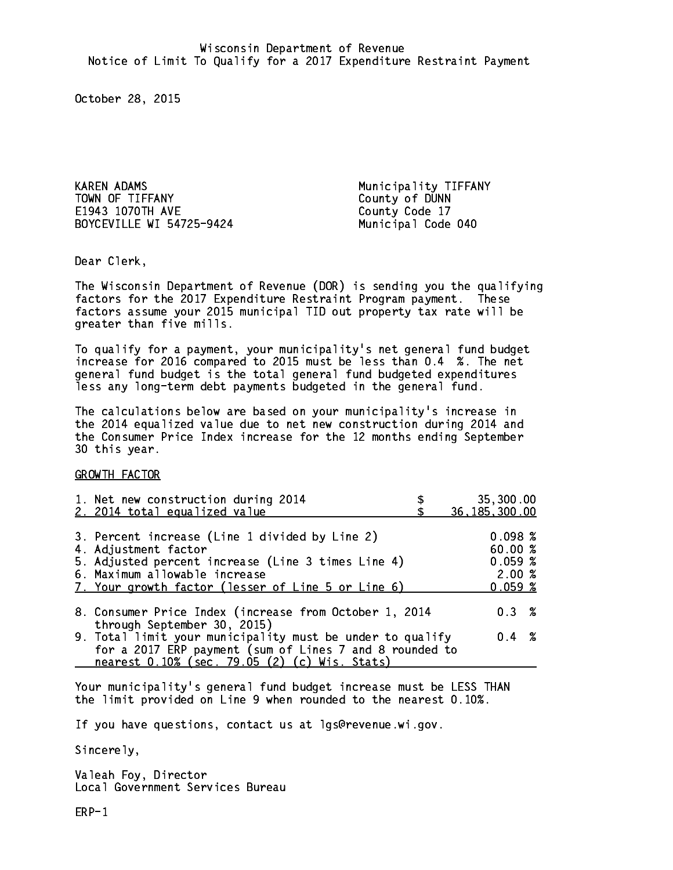KAREN ADAMS **Municipality TIFFANY** TOWN OF TIFFANY County of DUNN E1943 1070TH AVE BOYCEVILLE WI 54725-9424 Municipal Code 040

County Code 17

Dear Clerk. Dear Clerk,

The Wisconsin Department of Revenue (DOR) is sending you the qualifying factors for the 2017 Expenditure Restraint Program payment. These factors assume your 2015 municipal TID out property tax rate will be greater than five mills.

 To qualify for a payment, your municipality's net general fund budget increase for 2016 compared to 2015 must be less than 0.4 %. The net general fund budget is the total general fund budgeted expenditures less any long-term debt payments budgeted in the general fund.

The calculations below are based on your municipality's increase in the 2014 equalized value due to net new construction during 2014 and the Consumer Price Index increase for the 12 months ending September 30 this year. 30 this year.

GROWTH FACTOR

| 1. Net new construction during 2014                                                                                                                                                                                 | 35,300.00                                        |
|---------------------------------------------------------------------------------------------------------------------------------------------------------------------------------------------------------------------|--------------------------------------------------|
| 2. 2014 total equalized value                                                                                                                                                                                       | 36, 185, 300.00                                  |
| 3. Percent increase (Line 1 divided by Line 2)<br>4. Adjustment factor<br>5. Adjusted percent increase (Line 3 times Line 4)<br>6. Maximum allowable increase<br>7. Your growth factor (lesser of Line 5 or Line 6) | 0.098~%<br>60.00%<br>0.059~%<br>2.00%<br>0.059~% |
| 8. Consumer Price Index (increase from October 1, 2014                                                                                                                                                              | $0.3 \t%$                                        |
| through September 30, 2015)<br>9. Total limit your municipality must be under to qualify<br>for a 2017 ERP payment (sum of Lines 7 and 8 rounded to<br>nearest 0.10% (sec. 79.05 (2) (c) Wis. Stats)                | $0.4 \t%$                                        |

Your municipality's general fund budget increase must be LESS THAN the limit provided on Line 9 when rounded to the nearest 0.10%.

If you have questions, contact us at lgs@revenue.wi.gov.

Sincerely,

Valeah Foy, Director Local Government Services Bureau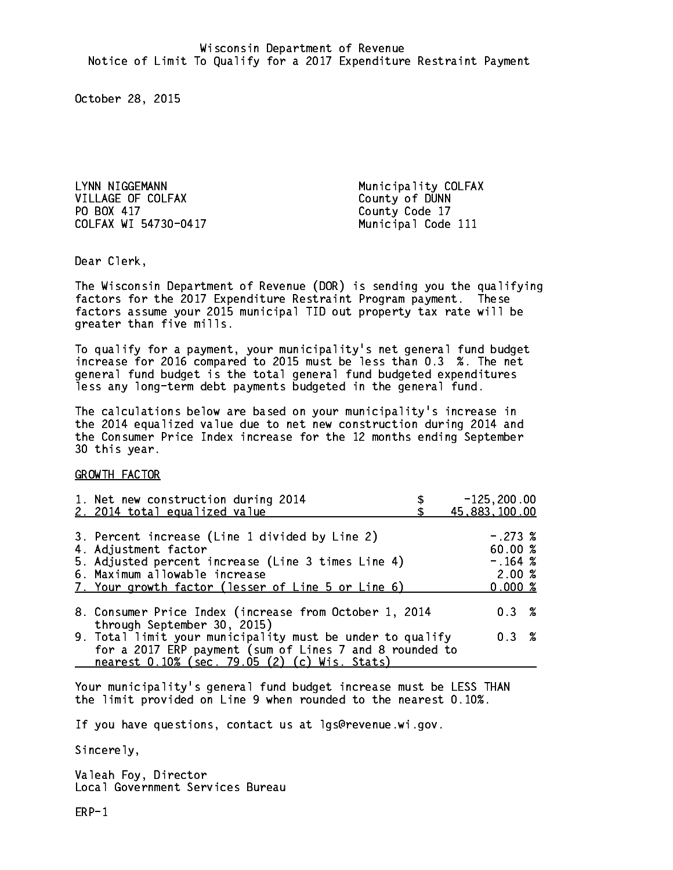LYNN NIGGEMANN Municipality COLFAX VILLAGE OF COLFAX County of DUNN PO BOX 417 County Code 17 COLFAX WI 54730-0417

Municipal Code 111

Dear Clerk. Dear Clerk,

The Wisconsin Department of Revenue (DOR) is sending you the qualifying factors for the 2017 Expenditure Restraint Program payment. These factors assume your 2015 municipal TID out property tax rate will be greater than five mills.

 To qualify for a payment, your municipality's net general fund budget increase for 2016 compared to 2015 must be less than 0.3 %. The net general fund budget is the total general fund budgeted expenditures less any long-term debt payments budgeted in the general fund.

The calculations below are based on your municipality's increase in the 2014 equalized value due to net new construction during 2014 and the Consumer Price Index increase for the 12 months ending September 30 this year. 30 this year.

GROWTH FACTOR

| 1. Net new construction during 2014<br>2. 2014 total equalized value                                                                                                                                                | $-125, 200.00$<br>45,883,100.00                       |
|---------------------------------------------------------------------------------------------------------------------------------------------------------------------------------------------------------------------|-------------------------------------------------------|
| 3. Percent increase (Line 1 divided by Line 2)<br>4. Adjustment factor<br>5. Adjusted percent increase (Line 3 times Line 4)<br>6. Maximum allowable increase<br>7. Your growth factor (lesser of Line 5 or Line 6) | $-.273$ %<br>60.00 %<br>$-.164~%$<br>2.00%<br>0.000 % |
| 8. Consumer Price Index (increase from October 1, 2014                                                                                                                                                              | 0.3%                                                  |
| through September 30, 2015)<br>9. Total limit your municipality must be under to qualify<br>for a 2017 ERP payment (sum of Lines 7 and 8 rounded to<br>nearest 0.10% (sec. 79.05 (2) (c) Wis. Stats)                | 0.3%                                                  |

Your municipality's general fund budget increase must be LESS THAN the limit provided on Line 9 when rounded to the nearest 0.10%.

If you have questions, contact us at lgs@revenue.wi.gov.

Sincerely,

Valeah Foy, Director Local Government Services Bureau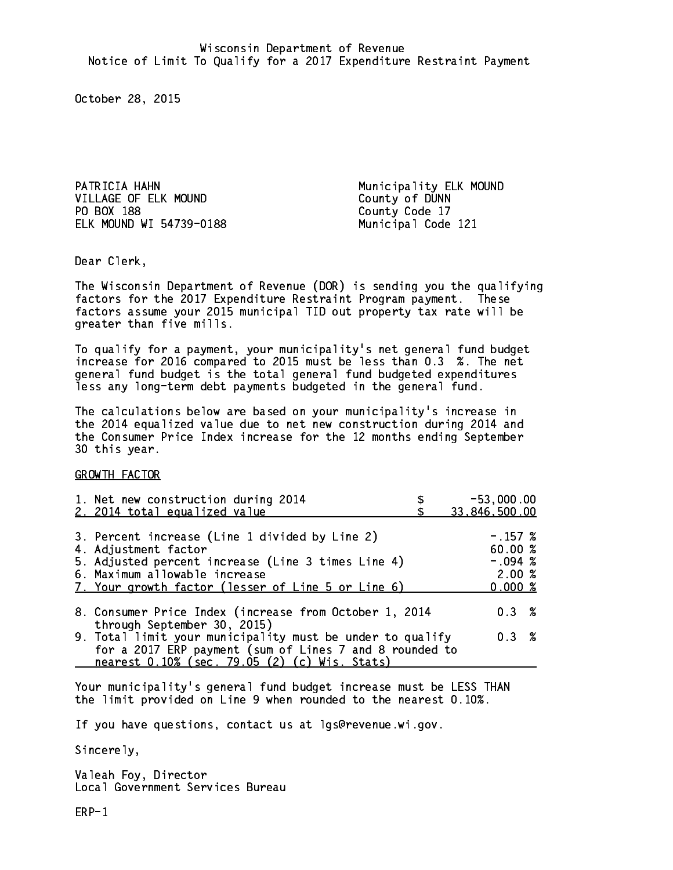PATRICIA HAHN Municipality ELK MOUND VILLAGE OF ELK MOUND County of DUNN PO BOX 188 ELK MOUND WI 54739-0188 Municipal Code 121

County Code 17

Dear Clerk. Dear Clerk,

The Wisconsin Department of Revenue (DOR) is sending you the qualifying factors for the 2017 Expenditure Restraint Program payment. These factors assume your 2015 municipal TID out property tax rate will be greater than five mills.

 To qualify for a payment, your municipality's net general fund budget increase for 2016 compared to 2015 must be less than 0.3 %. The net general fund budget is the total general fund budgeted expenditures less any long-term debt payments budgeted in the general fund.

The calculations below are based on your municipality's increase in the 2014 equalized value due to net new construction during 2014 and the Consumer Price Index increase for the 12 months ending September 30 this year. 30 this year.

GROWTH FACTOR

| 1. Net new construction during 2014<br>2. 2014 total equalized value                                                                                                                                                | $-53,000.00$<br>33,846,500.00                        |
|---------------------------------------------------------------------------------------------------------------------------------------------------------------------------------------------------------------------|------------------------------------------------------|
| 3. Percent increase (Line 1 divided by Line 2)<br>4. Adjustment factor<br>5. Adjusted percent increase (Line 3 times Line 4)<br>6. Maximum allowable increase<br>7. Your growth factor (lesser of Line 5 or Line 6) | $-.157$ %<br>60.00%<br>$-.094~%$<br>2.00%<br>0.000 % |
| 8. Consumer Price Index (increase from October 1, 2014                                                                                                                                                              | 0.3%                                                 |
| through September 30, 2015)<br>9. Total limit your municipality must be under to qualify<br>for a 2017 ERP payment (sum of Lines 7 and 8 rounded to<br>nearest 0.10% (sec. 79.05 (2) (c) Wis. Stats)                | 0.3%                                                 |

Your municipality's general fund budget increase must be LESS THAN the limit provided on Line 9 when rounded to the nearest 0.10%.

If you have questions, contact us at lgs@revenue.wi.gov.

Sincerely,

Valeah Foy, Director Local Government Services Bureau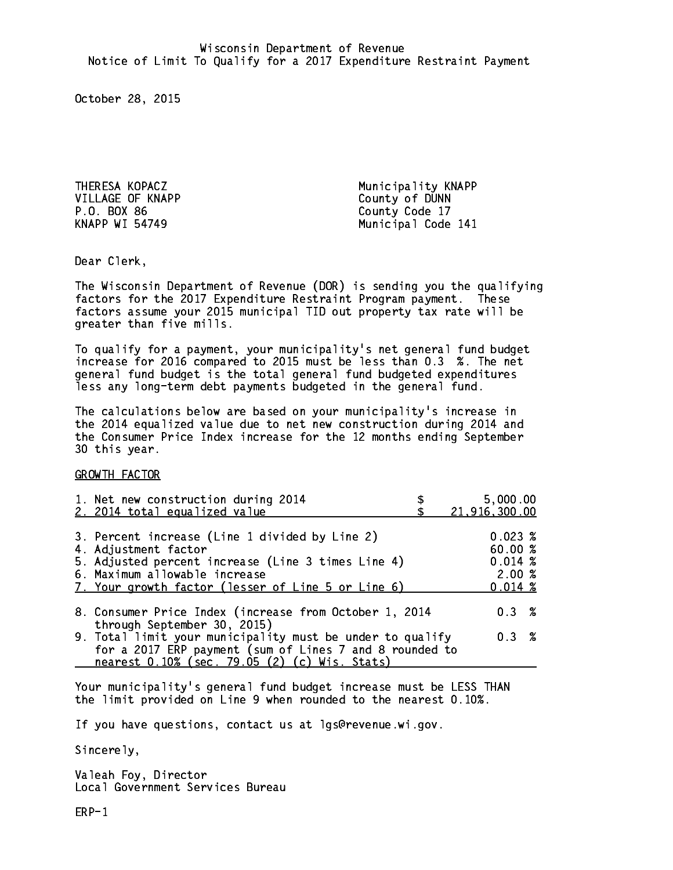VILLAGE OF KNAPP County of DUNN P.O. BOX 86 County Code 17 **KNAPP WI 54749** 

THERESA KOPACZ Municipality KNAPP Municipal Code 141

Dear Clerk. Dear Clerk,

The Wisconsin Department of Revenue (DOR) is sending you the qualifying factors for the 2017 Expenditure Restraint Program payment. These factors assume your 2015 municipal TID out property tax rate will be greater than five mills.

 To qualify for a payment, your municipality's net general fund budget increase for 2016 compared to 2015 must be less than 0.3 %. The net general fund budget is the total general fund budgeted expenditures less any long-term debt payments budgeted in the general fund.

The calculations below are based on your municipality's increase in the 2014 equalized value due to net new construction during 2014 and the Consumer Price Index increase for the 12 months ending September 30 this year. 30 this year.

GROWTH FACTOR

| 1. Net new construction during 2014<br>2. 2014 total equalized value                                                                                                                                                | 5,000.00<br>21,916,300.00                                  |
|---------------------------------------------------------------------------------------------------------------------------------------------------------------------------------------------------------------------|------------------------------------------------------------|
| 3. Percent increase (Line 1 divided by Line 2)<br>4. Adjustment factor<br>5. Adjusted percent increase (Line 3 times Line 4)<br>6. Maximum allowable increase<br>7. Your growth factor (lesser of Line 5 or Line 6) | $0.023 \;$ %<br>60.00%<br>0.014~%<br>2.00%<br>$0.014 \; %$ |
| 8. Consumer Price Index (increase from October 1, 2014<br>through September 30, 2015)                                                                                                                               | 0.3%                                                       |
| 9. Total limit your municipality must be under to qualify<br>for a 2017 ERP payment (sum of Lines 7 and 8 rounded to<br>nearest 0.10% (sec. 79.05 (2) (c) Wis. Stats)                                               | 0.3%                                                       |

Your municipality's general fund budget increase must be LESS THAN the limit provided on Line 9 when rounded to the nearest 0.10%.

If you have questions, contact us at lgs@revenue.wi.gov.

Sincerely,

Valeah Foy, Director Local Government Services Bureau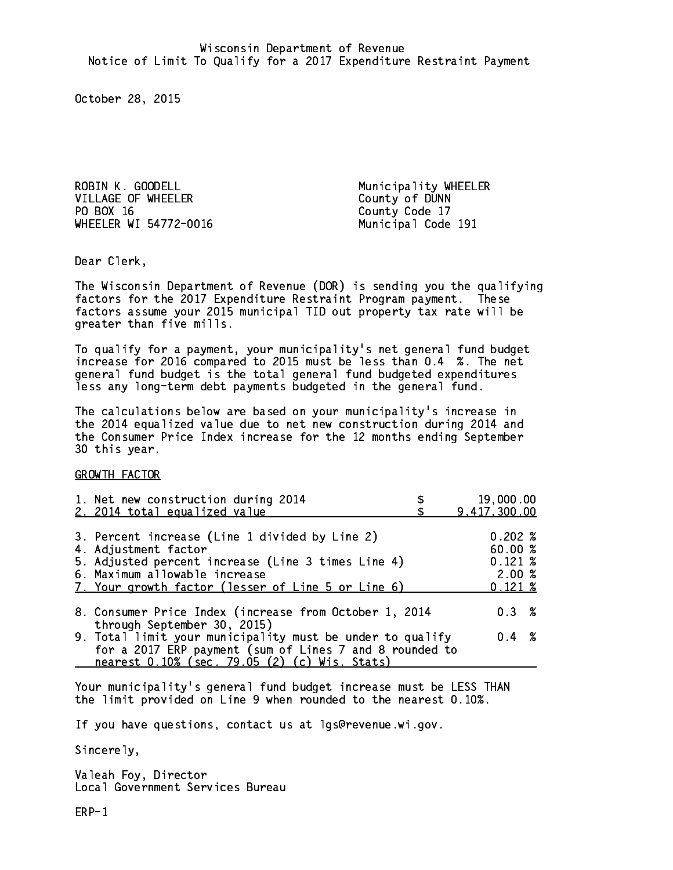ROBIN K. GOODELL Municipality WHEELER VILLAGE OF WHEELER County of DUNN PO BOX 16 County Code 17 WHEELER WI 54772-0016 Municipal Code 191

Dear Clerk. Dear Clerk,

The Wisconsin Department of Revenue (DOR) is sending you the qualifying factors for the 2017 Expenditure Restraint Program payment. These factors assume your 2015 municipal TID out property tax rate will be greater than five mills.

 To qualify for a payment, your municipality's net general fund budget increase for 2016 compared to 2015 must be less than 0.4 %. The net general fund budget is the total general fund budgeted expenditures less any long-term debt payments budgeted in the general fund.

The calculations below are based on your municipality's increase in the 2014 equalized value due to net new construction during 2014 and the Consumer Price Index increase for the 12 months ending September 30 this year. 30 this year.

GROWTH FACTOR

| 1. Net new construction during 2014                                                                                                                                                                                 | 19,000.00                                                 |  |
|---------------------------------------------------------------------------------------------------------------------------------------------------------------------------------------------------------------------|-----------------------------------------------------------|--|
| 2. 2014 total equalized value                                                                                                                                                                                       | 9,417,300.00                                              |  |
| 3. Percent increase (Line 1 divided by Line 2)<br>4. Adjustment factor<br>5. Adjusted percent increase (Line 3 times Line 4)<br>6. Maximum allowable increase<br>7. Your growth factor (lesser of Line 5 or Line 6) | 0.202%<br>60.00%<br>$0.121 \;$ %<br>2.00%<br>$0.121 \;$ % |  |
| 8. Consumer Price Index (increase from October 1, 2014                                                                                                                                                              | $0.3 \t%$                                                 |  |
| through September 30, 2015)<br>9. Total limit your municipality must be under to qualify<br>for a 2017 ERP payment (sum of Lines 7 and 8 rounded to<br>nearest 0.10% (sec. 79.05 (2) (c) Wis. Stats)                | $0.4 \t%$                                                 |  |

Your municipality's general fund budget increase must be LESS THAN the limit provided on Line 9 when rounded to the nearest 0.10%.

If you have questions, contact us at lgs@revenue.wi.gov.

Sincerely,

Valeah Foy, Director Local Government Services Bureau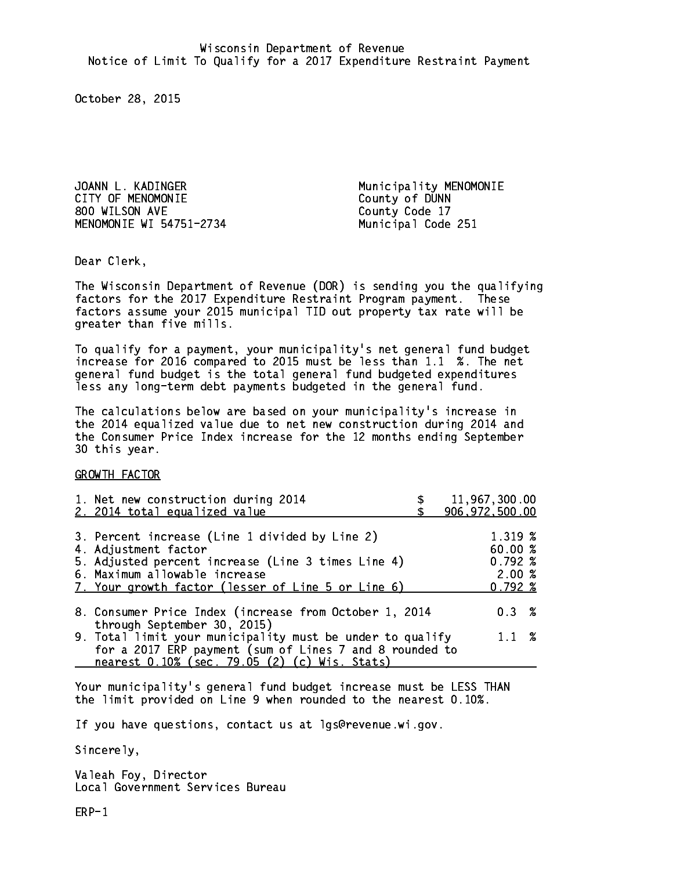JOANN L. KADINGER Municipality MENOMONIE CITY OF MENOMONIE CITY OF MENOMONIE 800 WILSON AVE County Code 17 MENOMONIE WI 54751-2734 Municipal Code 251

Dear Clerk. Dear Clerk,

The Wisconsin Department of Revenue (DOR) is sending you the qualifying factors for the 2017 Expenditure Restraint Program payment. These factors assume your 2015 municipal TID out property tax rate will be greater than five mills.

 To qualify for a payment, your municipality's net general fund budget increase for 2016 compared to 2015 must be less than 1.1 %. The net general fund budget is the total general fund budgeted expenditures less any long-term debt payments budgeted in the general fund.

The calculations below are based on your municipality's increase in the 2014 equalized value due to net new construction during 2014 and the Consumer Price Index increase for the 12 months ending September 30 this year. 30 this year.

GROWTH FACTOR

| 1. Net new construction during 2014<br>2. 2014 total equalized value                                                                                                                                                | 11,967,300.00<br>906, 972, 500.00                           |
|---------------------------------------------------------------------------------------------------------------------------------------------------------------------------------------------------------------------|-------------------------------------------------------------|
| 3. Percent increase (Line 1 divided by Line 2)<br>4. Adjustment factor<br>5. Adjusted percent increase (Line 3 times Line 4)<br>6. Maximum allowable increase<br>7. Your growth factor (lesser of Line 5 or Line 6) | 1.319 %<br>60.00 %<br>$0.792 \;$ %<br>2.00%<br>$0.792 \; %$ |
| 8. Consumer Price Index (increase from October 1, 2014<br>through September 30, 2015)                                                                                                                               | 0.3%                                                        |
| 9. Total limit your municipality must be under to qualify<br>for a 2017 ERP payment (sum of Lines 7 and 8 rounded to<br>nearest 0.10% (sec. 79.05 (2) (c) Wis. Stats)                                               | $1.1 \t%$                                                   |

Your municipality's general fund budget increase must be LESS THAN the limit provided on Line 9 when rounded to the nearest 0.10%.

If you have questions, contact us at lgs@revenue.wi.gov.

Sincerely,

Valeah Foy, Director Local Government Services Bureau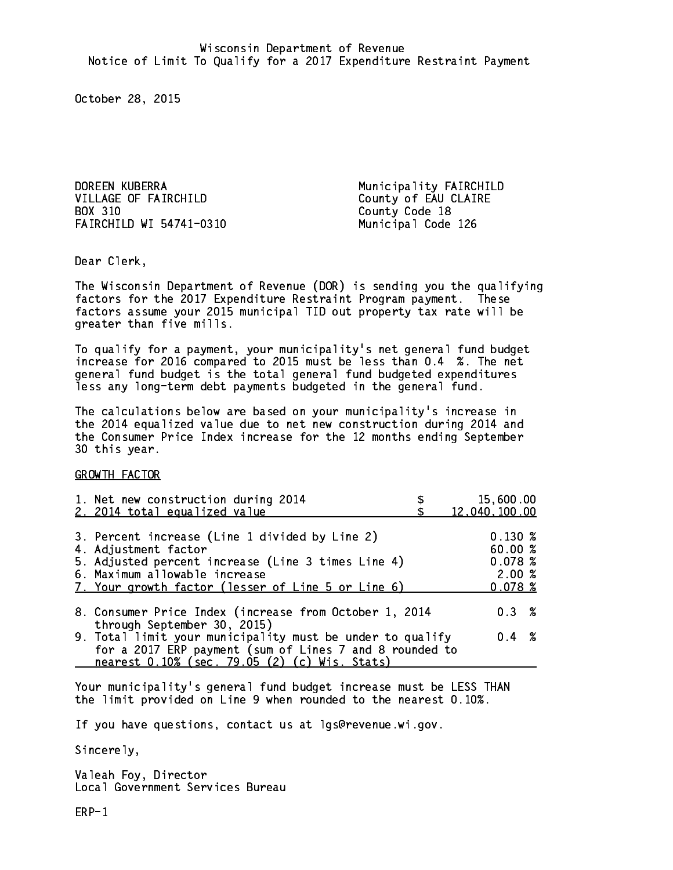DOREEN KUBERRA Municipality FAIRCHILD VILLAGE OF FAIRCHILD County of EAU CLAIRE BOX 310 FAIRCHILD WI 54741-0310 Municipal Code 126

County Code 18

Dear Clerk. Dear Clerk,

The Wisconsin Department of Revenue (DOR) is sending you the qualifying factors for the 2017 Expenditure Restraint Program payment. These factors assume your 2015 municipal TID out property tax rate will be greater than five mills.

 To qualify for a payment, your municipality's net general fund budget increase for 2016 compared to 2015 must be less than 0.4 %. The net general fund budget is the total general fund budgeted expenditures less any long-term debt payments budgeted in the general fund.

The calculations below are based on your municipality's increase in the 2014 equalized value due to net new construction during 2014 and the Consumer Price Index increase for the 12 months ending September 30 this year. 30 this year.

GROWTH FACTOR

| 1. Net new construction during 2014<br>2. 2014 total equalized value                                                                                                                                                | 15,600.00<br>12,040,100.00                            |
|---------------------------------------------------------------------------------------------------------------------------------------------------------------------------------------------------------------------|-------------------------------------------------------|
| 3. Percent increase (Line 1 divided by Line 2)<br>4. Adjustment factor<br>5. Adjusted percent increase (Line 3 times Line 4)<br>6. Maximum allowable increase<br>7. Your growth factor (lesser of Line 5 or Line 6) | $0.130 \;$ %<br>60.00%<br>0.078~%<br>2.00%<br>0.078~% |
| 8. Consumer Price Index (increase from October 1, 2014                                                                                                                                                              | $0.3 \t%$                                             |
| through September 30, 2015)<br>9. Total limit your municipality must be under to qualify<br>for a 2017 ERP payment (sum of Lines 7 and 8 rounded to<br>nearest 0.10% (sec. 79.05 (2) (c) Wis. Stats)                | $0.4 \t%$                                             |

Your municipality's general fund budget increase must be LESS THAN the limit provided on Line 9 when rounded to the nearest 0.10%.

If you have questions, contact us at lgs@revenue.wi.gov.

Sincerely,

Valeah Foy, Director Local Government Services Bureau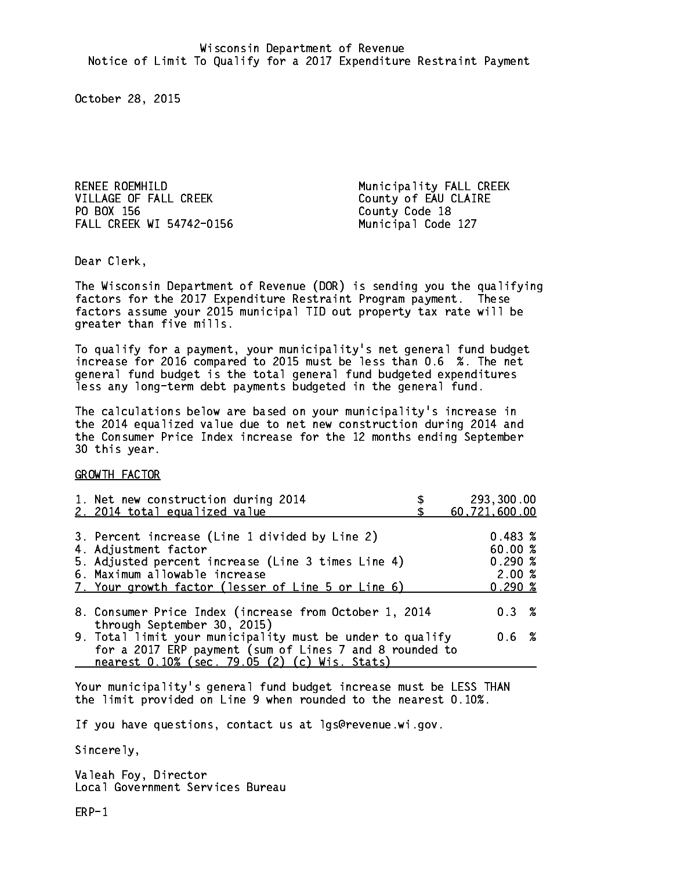RENEE ROEMHILD Municipality FALL CREEK VILLAGE OF FALL CREEK County of EAU CLAIRE PO BOX 156 FALL CREEK WI 54742-0156 Municipal Code 127

County Code 18

Dear Clerk. Dear Clerk,

The Wisconsin Department of Revenue (DOR) is sending you the qualifying factors for the 2017 Expenditure Restraint Program payment. These factors assume your 2015 municipal TID out property tax rate will be greater than five mills.

 To qualify for a payment, your municipality's net general fund budget increase for 2016 compared to 2015 must be less than 0.6 %. The net general fund budget is the total general fund budgeted expenditures less any long-term debt payments budgeted in the general fund.

The calculations below are based on your municipality's increase in the 2014 equalized value due to net new construction during 2014 and the Consumer Price Index increase for the 12 months ending September 30 this year. 30 this year.

GROWTH FACTOR

| 1. Net new construction during 2014                                                                                                                                                                                 | 293,300.00                                                   |
|---------------------------------------------------------------------------------------------------------------------------------------------------------------------------------------------------------------------|--------------------------------------------------------------|
| 2. 2014 total equalized value                                                                                                                                                                                       | 60,721,600.00                                                |
| 3. Percent increase (Line 1 divided by Line 2)<br>4. Adjustment factor<br>5. Adjusted percent increase (Line 3 times Line 4)<br>6. Maximum allowable increase<br>7. Your growth factor (lesser of Line 5 or Line 6) | 0.483~%<br>60.00%<br>$0.290 \; \text{\%}$<br>2.00%<br>0.290% |
| 8. Consumer Price Index (increase from October 1, 2014                                                                                                                                                              | $0.3 \t%$                                                    |
| through September 30, 2015)<br>9. Total limit your municipality must be under to qualify<br>for a 2017 ERP payment (sum of Lines 7 and 8 rounded to<br>nearest 0.10% (sec. 79.05 (2) (c) Wis. Stats)                | 0.6 %                                                        |

Your municipality's general fund budget increase must be LESS THAN the limit provided on Line 9 when rounded to the nearest 0.10%.

If you have questions, contact us at lgs@revenue.wi.gov.

Sincerely,

Valeah Foy, Director Local Government Services Bureau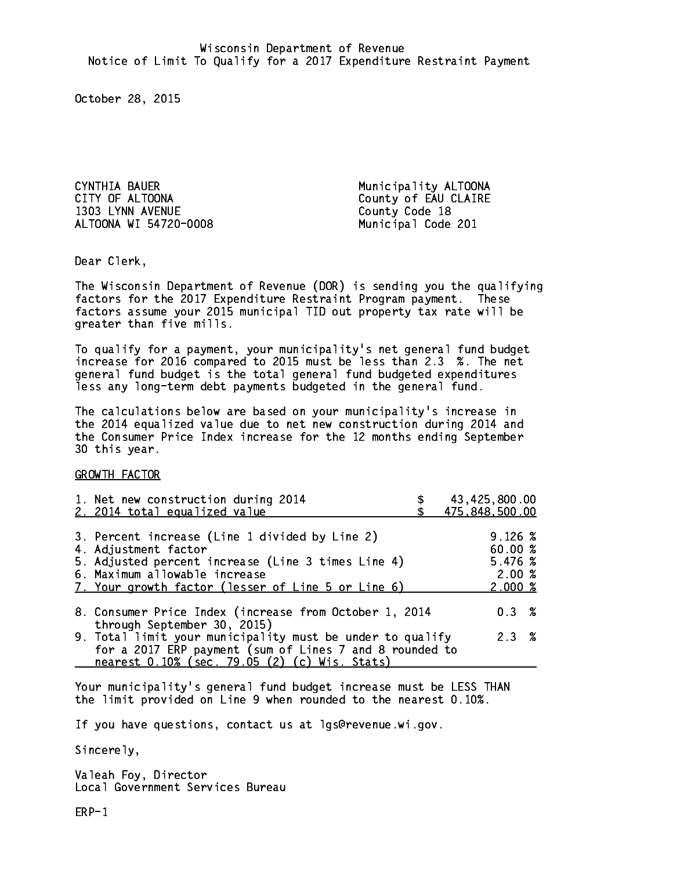CYNTHIA BAUER **Municipality ALTOONA** CITY OF ALTOONA COUNTY OF EAU CLAIRE 1303 LYNN AVENUE County Code 18 ALTOONA WI 54720-0008 Municipal Code 201

Dear Clerk. Dear Clerk,

The Wisconsin Department of Revenue (DOR) is sending you the qualifying factors for the 2017 Expenditure Restraint Program payment. These factors assume your 2015 municipal TID out property tax rate will be greater than five mills.

 To qualify for a payment, your municipality's net general fund budget increase for 2016 compared to 2015 must be less than 2.3 %. The net general fund budget is the total general fund budgeted expenditures less any long-term debt payments budgeted in the general fund.

The calculations below are based on your municipality's increase in the 2014 equalized value due to net new construction during 2014 and the Consumer Price Index increase for the 12 months ending September 30 this year. 30 this year.

GROWTH FACTOR

| 1. Net new construction during 2014<br>2. 2014 total equalized value                                                                                                                                                | 43,425,800.00<br>475,848,500.00                             |
|---------------------------------------------------------------------------------------------------------------------------------------------------------------------------------------------------------------------|-------------------------------------------------------------|
| 3. Percent increase (Line 1 divided by Line 2)<br>4. Adjustment factor<br>5. Adjusted percent increase (Line 3 times Line 4)<br>6. Maximum allowable increase<br>7. Your growth factor (lesser of Line 5 or Line 6) | $9.126 \text{ %}$<br>60.00 %<br>5.476~%<br>2.00%<br>2.000~% |
| 8. Consumer Price Index (increase from October 1, 2014                                                                                                                                                              | 0.3%                                                        |
| through September 30, 2015)<br>9. Total limit your municipality must be under to qualify<br>for a 2017 ERP payment (sum of Lines 7 and 8 rounded to<br>nearest 0.10% (sec. 79.05 (2) (c) Wis. Stats)                | 2.3%                                                        |

Your municipality's general fund budget increase must be LESS THAN the limit provided on Line 9 when rounded to the nearest 0.10%.

If you have questions, contact us at lgs@revenue.wi.gov.

Sincerely,

Valeah Foy, Director Local Government Services Bureau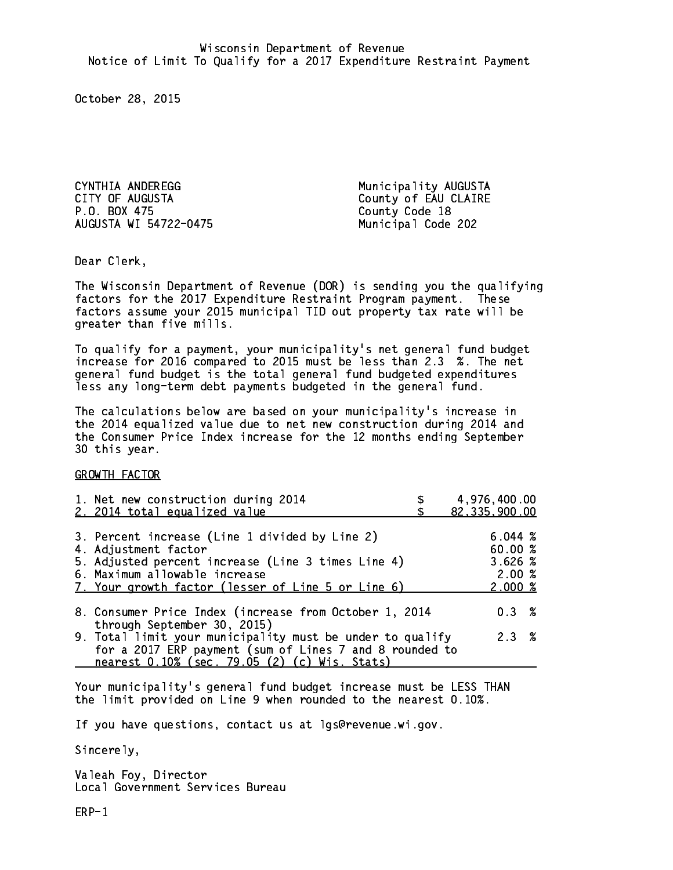CYNTHIA ANDEREGG **Municipality AUGUSTA** CITY OF AUGUSTA COUNTY OF EAU CLAIRE P.O. BOX 475 County Code 18 AUGUSTA WI 54722-0475

Municipal Code 202

Dear Clerk. Dear Clerk,

The Wisconsin Department of Revenue (DOR) is sending you the qualifying factors for the 2017 Expenditure Restraint Program payment. These factors assume your 2015 municipal TID out property tax rate will be greater than five mills.

 To qualify for a payment, your municipality's net general fund budget increase for 2016 compared to 2015 must be less than 2.3 %. The net general fund budget is the total general fund budgeted expenditures less any long-term debt payments budgeted in the general fund.

The calculations below are based on your municipality's increase in the 2014 equalized value due to net new construction during 2014 and the Consumer Price Index increase for the 12 months ending September 30 this year. 30 this year.

GROWTH FACTOR

| 1. Net new construction during 2014<br>2. 2014 total equalized value                                                                                                                                                | 4,976,400.00<br>82,335,900.00                   |
|---------------------------------------------------------------------------------------------------------------------------------------------------------------------------------------------------------------------|-------------------------------------------------|
| 3. Percent increase (Line 1 divided by Line 2)<br>4. Adjustment factor<br>5. Adjusted percent increase (Line 3 times Line 4)<br>6. Maximum allowable increase<br>7. Your growth factor (lesser of Line 5 or Line 6) | 6.044~%<br>60.00%<br>3.626%<br>2.00%<br>2.000~% |
| 8. Consumer Price Index (increase from October 1, 2014                                                                                                                                                              | $0.3 \t%$                                       |
| through September 30, 2015)<br>9. Total limit your municipality must be under to qualify<br>for a 2017 ERP payment (sum of Lines 7 and 8 rounded to<br>nearest 0.10% (sec. 79.05 (2) (c) Wis. Stats)                | 2.3%                                            |

Your municipality's general fund budget increase must be LESS THAN the limit provided on Line 9 when rounded to the nearest 0.10%.

If you have questions, contact us at lgs@revenue.wi.gov.

Sincerely,

Valeah Foy, Director Local Government Services Bureau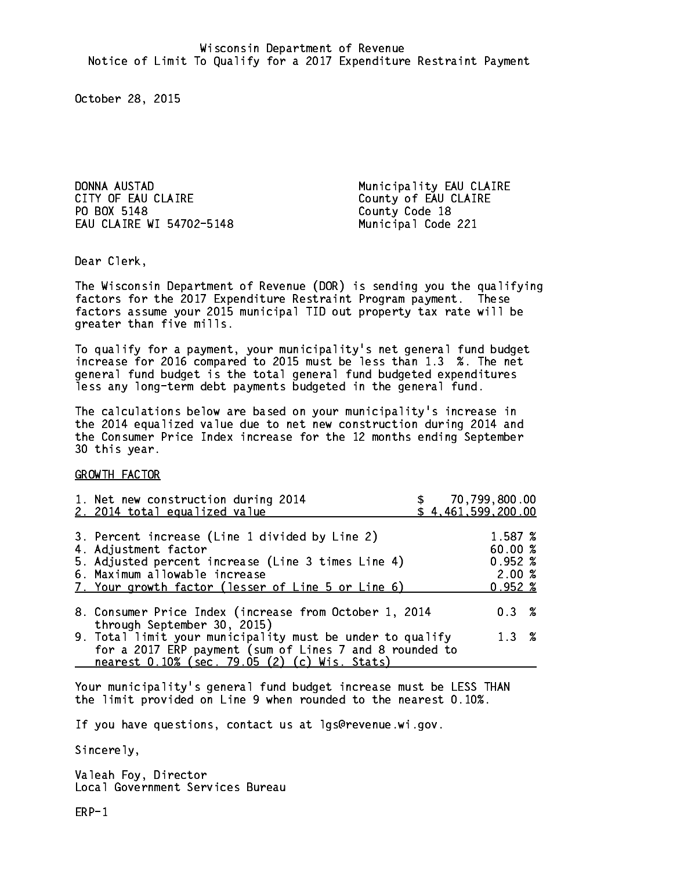DONNA AUSTAD Municipality EAU CLAIRE CITY OF EAU CLAIRE COUNTY OF EAU CLAIRE PO BOX 5148 EAU CLAIRE WI 54702-5148 Municipal Code 221

County Code 18

Dear Clerk. Dear Clerk,

The Wisconsin Department of Revenue (DOR) is sending you the qualifying factors for the 2017 Expenditure Restraint Program payment. These factors assume your 2015 municipal TID out property tax rate will be greater than five mills.

 To qualify for a payment, your municipality's net general fund budget increase for 2016 compared to 2015 must be less than 1.3 %. The net general fund budget is the total general fund budgeted expenditures less any long-term debt payments budgeted in the general fund.

The calculations below are based on your municipality's increase in the 2014 equalized value due to net new construction during 2014 and the Consumer Price Index increase for the 12 months ending September 30 this year. 30 this year.

GROWTH FACTOR

| 1. Net new construction during 2014<br>2. 2014 total equalized value                                                                                                                                                |  | 70,799,800.00<br>\$4,461,599,200.00                        |  |
|---------------------------------------------------------------------------------------------------------------------------------------------------------------------------------------------------------------------|--|------------------------------------------------------------|--|
| 3. Percent increase (Line 1 divided by Line 2)<br>4. Adjustment factor<br>5. Adjusted percent increase (Line 3 times Line 4)<br>6. Maximum allowable increase<br>7. Your growth factor (lesser of Line 5 or Line 6) |  | 1.587 %<br>60.00%<br>$0.952 \; %$<br>2.00%<br>$0.952 \; %$ |  |
| 8. Consumer Price Index (increase from October 1, 2014<br>through September 30, 2015)                                                                                                                               |  | $0.3 \t%$                                                  |  |
| 9. Total limit your municipality must be under to qualify<br>for a 2017 ERP payment (sum of Lines 7 and 8 rounded to<br>nearest 0.10% (sec. 79.05 (2) (c) Wis. Stats)                                               |  | $1.3 \t%$                                                  |  |

Your municipality's general fund budget increase must be LESS THAN the limit provided on Line 9 when rounded to the nearest 0.10%.

If you have questions, contact us at lgs@revenue.wi.gov.

Sincerely,

Valeah Foy, Director Local Government Services Bureau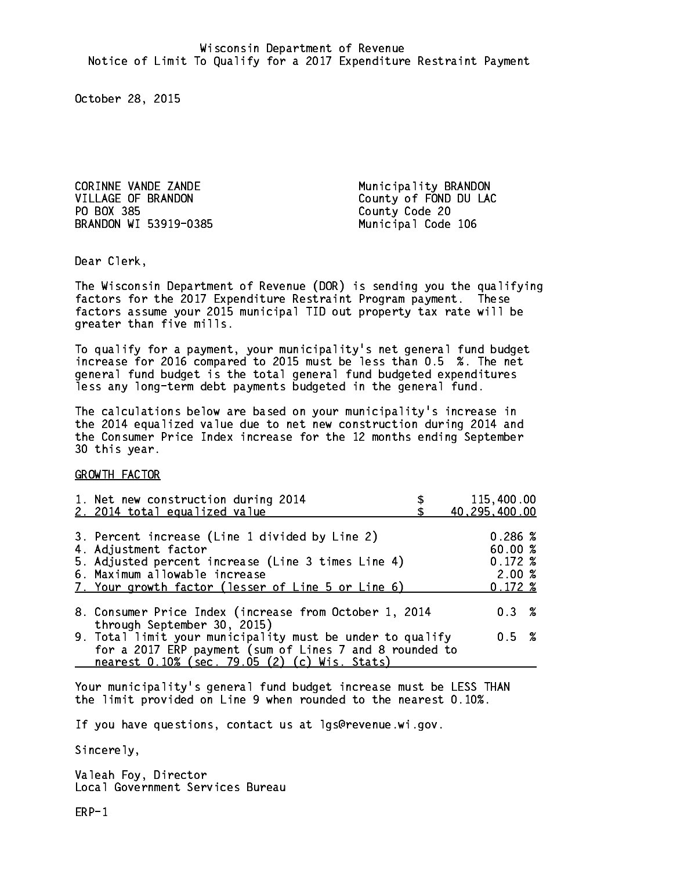CORINNE VANDE ZANDE Municipality BRANDON PO BOX 385 County Code 20 BRANDON WI 53919-0385

VILLAGE OF BRANDON County of FOND DU LAC Municipal Code 106

Dear Clerk. Dear Clerk,

The Wisconsin Department of Revenue (DOR) is sending you the qualifying factors for the 2017 Expenditure Restraint Program payment. These factors assume your 2015 municipal TID out property tax rate will be greater than five mills.

 To qualify for a payment, your municipality's net general fund budget increase for 2016 compared to 2015 must be less than 0.5 %. The net general fund budget is the total general fund budgeted expenditures less any long-term debt payments budgeted in the general fund.

The calculations below are based on your municipality's increase in the 2014 equalized value due to net new construction during 2014 and the Consumer Price Index increase for the 12 months ending September 30 this year. 30 this year.

GROWTH FACTOR

| 1. Net new construction during 2014                                                                                                                                                                                 | 115,400.00                                                 |
|---------------------------------------------------------------------------------------------------------------------------------------------------------------------------------------------------------------------|------------------------------------------------------------|
| 2. 2014 total equalized value                                                                                                                                                                                       | 40,295,400.00                                              |
| 3. Percent increase (Line 1 divided by Line 2)<br>4. Adjustment factor<br>5. Adjusted percent increase (Line 3 times Line 4)<br>6. Maximum allowable increase<br>7. Your growth factor (lesser of Line 5 or Line 6) | 0.286~%<br>60.00%<br>$0.172 \;$ %<br>2.00%<br>$0.172 \; %$ |
| 8. Consumer Price Index (increase from October 1, 2014                                                                                                                                                              | $0.3 \t%$                                                  |
| through September 30, 2015)<br>9. Total limit your municipality must be under to qualify<br>for a 2017 ERP payment (sum of Lines 7 and 8 rounded to<br>nearest 0.10% (sec. 79.05 (2) (c) Wis. Stats)                | 0.5 %                                                      |

Your municipality's general fund budget increase must be LESS THAN the limit provided on Line 9 when rounded to the nearest 0.10%.

If you have questions, contact us at lgs@revenue.wi.gov.

Sincerely,

Valeah Foy, Director Local Government Services Bureau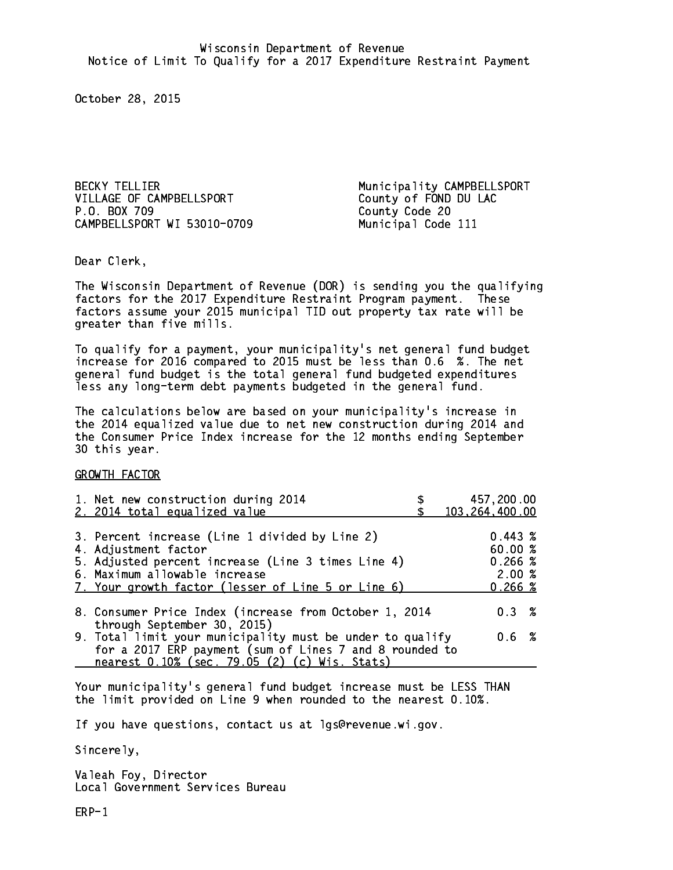VILLAGE OF CAMPBELLSPORT County of FOND DU LAC P.O. BOX 709 CAMPBELLSPORT WI 53010-0709 Municipal Code 111

BECKY TELLIER Municipality CAMPBELLSPORT County Code 20

Dear Clerk. Dear Clerk,

The Wisconsin Department of Revenue (DOR) is sending you the qualifying factors for the 2017 Expenditure Restraint Program payment. These factors assume your 2015 municipal TID out property tax rate will be greater than five mills.

 To qualify for a payment, your municipality's net general fund budget increase for 2016 compared to 2015 must be less than 0.6 %. The net general fund budget is the total general fund budgeted expenditures less any long-term debt payments budgeted in the general fund.

The calculations below are based on your municipality's increase in the 2014 equalized value due to net new construction during 2014 and the Consumer Price Index increase for the 12 months ending September 30 this year. 30 this year.

GROWTH FACTOR

| 1. Net new construction during 2014<br>2. 2014 total equalized value                                                                                                                                                | 457,200.00<br>103,264,400.00                          |
|---------------------------------------------------------------------------------------------------------------------------------------------------------------------------------------------------------------------|-------------------------------------------------------|
| 3. Percent increase (Line 1 divided by Line 2)<br>4. Adjustment factor<br>5. Adjusted percent increase (Line 3 times Line 4)<br>6. Maximum allowable increase<br>7. Your growth factor (lesser of Line 5 or Line 6) | $0.443 \;$ %<br>60.00%<br>0.266~%<br>2.00%<br>0.266~% |
| 8. Consumer Price Index (increase from October 1, 2014                                                                                                                                                              | 0.3%                                                  |
| through September 30, 2015)<br>9. Total limit your municipality must be under to qualify<br>for a 2017 ERP payment (sum of Lines 7 and 8 rounded to<br>nearest 0.10% (sec. 79.05 (2) (c) Wis. Stats)                | 0.6 %                                                 |

Your municipality's general fund budget increase must be LESS THAN the limit provided on Line 9 when rounded to the nearest 0.10%.

If you have questions, contact us at lgs@revenue.wi.gov.

Sincerely,

Valeah Foy, Director Local Government Services Bureau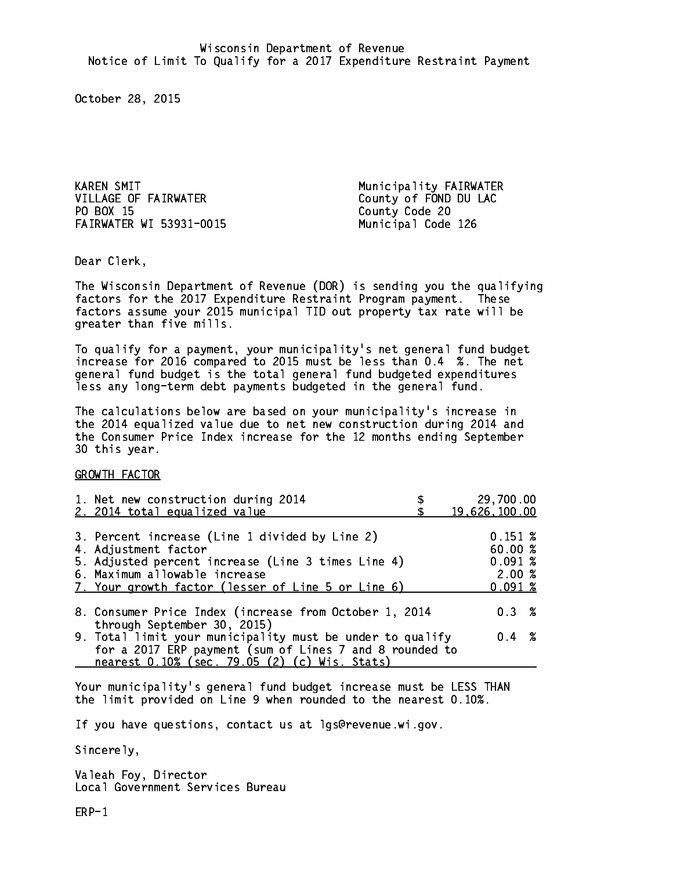KAREN SMIT **Municipality FAIRWATER** VILLAGE OF FAIRWATER County of FOND DU LAC PO BOX 15 FAIRWATER WI 53931-0015 Municipal Code 126

County Code 20

Dear Clerk. Dear Clerk,

The Wisconsin Department of Revenue (DOR) is sending you the qualifying factors for the 2017 Expenditure Restraint Program payment. These factors assume your 2015 municipal TID out property tax rate will be greater than five mills.

 To qualify for a payment, your municipality's net general fund budget increase for 2016 compared to 2015 must be less than 0.4 %. The net general fund budget is the total general fund budgeted expenditures less any long-term debt payments budgeted in the general fund.

The calculations below are based on your municipality's increase in the 2014 equalized value due to net new construction during 2014 and the Consumer Price Index increase for the 12 months ending September 30 this year. 30 this year.

GROWTH FACTOR

| 1. Net new construction during 2014<br>2. 2014 total equalized value | 29,700.00<br>19,626,100.00 |
|----------------------------------------------------------------------|----------------------------|
|                                                                      |                            |
| 3. Percent increase (Line 1 divided by Line 2)                       | 0.151~%                    |
| 4. Adjustment factor                                                 | 60.00%                     |
| 5. Adjusted percent increase (Line 3 times Line 4)                   | 0.091~%                    |
| 6. Maximum allowable increase                                        | 2.00%                      |
| 7. Your growth factor (lesser of Line 5 or Line 6)                   | 0.091%                     |
| 8. Consumer Price Index (increase from October 1, 2014               | $0.3 \t%$                  |
| through September 30, 2015)                                          |                            |
| 9. Total limit your municipality must be under to qualify            | $0.4 \t%$                  |
| for a 2017 ERP payment (sum of Lines 7 and 8 rounded to              |                            |
| nearest 0.10% (sec. 79.05 (2) (c) Wis. Stats)                        |                            |

Your municipality's general fund budget increase must be LESS THAN the limit provided on Line 9 when rounded to the nearest 0.10%.

If you have questions, contact us at lgs@revenue.wi.gov.

Sincerely,

Valeah Foy, Director Local Government Services Bureau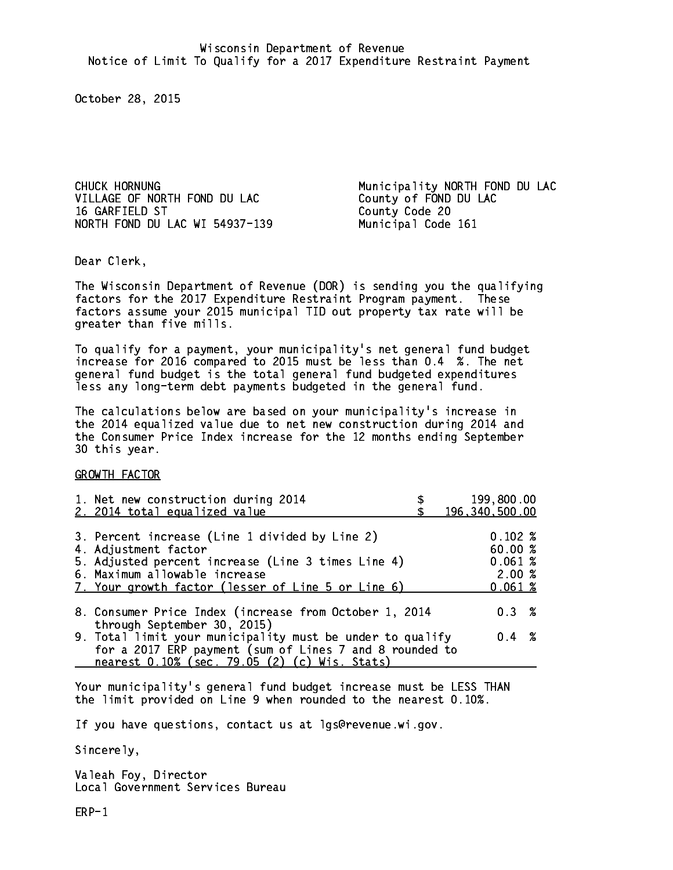VILLAGE OF NORTH FOND DU LAC County of FOND DU LAC 16 GARFIELD ST NORTH FOND DU LAC WI 54937-139 Municipal Code 161

CHUCK HORNUNG **Municipality NORTH FOND DU LAC** County Code 20

Dear Clerk. Dear Clerk,

The Wisconsin Department of Revenue (DOR) is sending you the qualifying factors for the 2017 Expenditure Restraint Program payment. These factors assume your 2015 municipal TID out property tax rate will be greater than five mills.

 To qualify for a payment, your municipality's net general fund budget increase for 2016 compared to 2015 must be less than 0.4 %. The net general fund budget is the total general fund budgeted expenditures less any long-term debt payments budgeted in the general fund.

The calculations below are based on your municipality's increase in the 2014 equalized value due to net new construction during 2014 and the Consumer Price Index increase for the 12 months ending September 30 this year. 30 this year.

GROWTH FACTOR

| 1. Net new construction during 2014<br>2. 2014 total equalized value                                                                                                                                                | 199,800.00<br>196,340,500.00                   |
|---------------------------------------------------------------------------------------------------------------------------------------------------------------------------------------------------------------------|------------------------------------------------|
| 3. Percent increase (Line 1 divided by Line 2)<br>4. Adjustment factor<br>5. Adjusted percent increase (Line 3 times Line 4)<br>6. Maximum allowable increase<br>7. Your growth factor (lesser of Line 5 or Line 6) | 0.102%<br>60.00%<br>0.061~%<br>2.00%<br>0.061% |
| 8. Consumer Price Index (increase from October 1, 2014                                                                                                                                                              | 0.3%                                           |
| through September 30, 2015)<br>9. Total limit your municipality must be under to qualify<br>for a 2017 ERP payment (sum of Lines 7 and 8 rounded to<br>nearest 0.10% (sec. 79.05 (2) (c) Wis. Stats)                | $0.4 \t%$                                      |

Your municipality's general fund budget increase must be LESS THAN the limit provided on Line 9 when rounded to the nearest 0.10%.

If you have questions, contact us at lgs@revenue.wi.gov.

Sincerely,

Valeah Foy, Director Local Government Services Bureau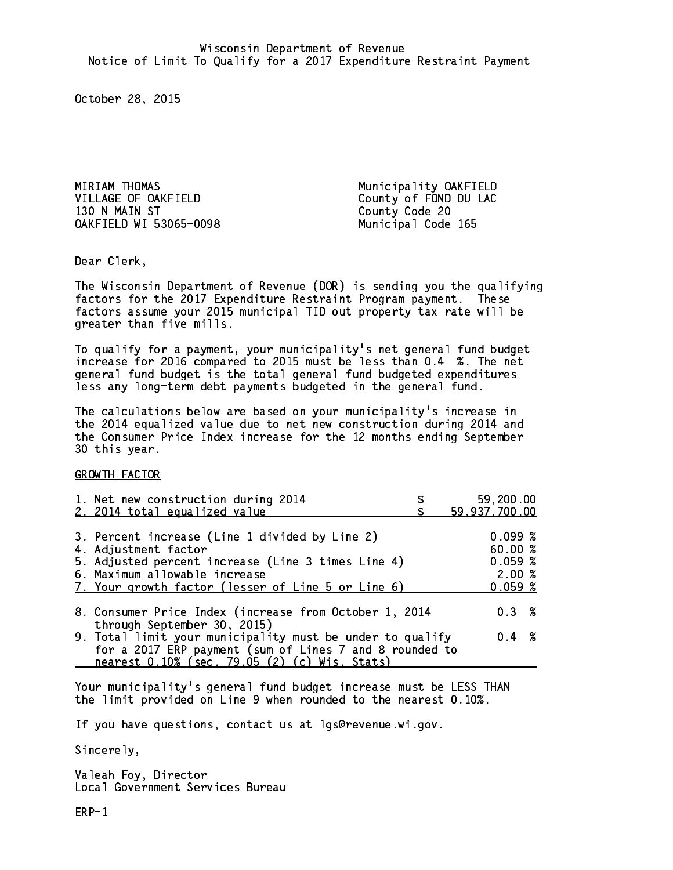MIRIAM THOMAS Municipality OAKFIELD VILLAGE OF OAKFIELD County of FOND DU LAC 130 N MAIN ST County Code 20 OAKFIELD WI 53065-0098 Municipal Code 165

Dear Clerk. Dear Clerk,

The Wisconsin Department of Revenue (DOR) is sending you the qualifying factors for the 2017 Expenditure Restraint Program payment. These factors assume your 2015 municipal TID out property tax rate will be greater than five mills.

 To qualify for a payment, your municipality's net general fund budget increase for 2016 compared to 2015 must be less than 0.4 %. The net general fund budget is the total general fund budgeted expenditures less any long-term debt payments budgeted in the general fund.

The calculations below are based on your municipality's increase in the 2014 equalized value due to net new construction during 2014 and the Consumer Price Index increase for the 12 months ending September 30 this year. 30 this year.

GROWTH FACTOR

| 1. Net new construction during 2014<br>2. 2014 total equalized value                                                                                                                                                | 59,200.00<br>59,937,700.00                      |
|---------------------------------------------------------------------------------------------------------------------------------------------------------------------------------------------------------------------|-------------------------------------------------|
| 3. Percent increase (Line 1 divided by Line 2)<br>4. Adjustment factor<br>5. Adjusted percent increase (Line 3 times Line 4)<br>6. Maximum allowable increase<br>7. Your growth factor (lesser of Line 5 or Line 6) | 0.099%<br>60.00%<br>0.059~%<br>2.00%<br>0.059~% |
| 8. Consumer Price Index (increase from October 1, 2014                                                                                                                                                              | $0.3 \t%$                                       |
| through September 30, 2015)<br>9. Total limit your municipality must be under to qualify<br>for a 2017 ERP payment (sum of Lines 7 and 8 rounded to<br>nearest 0.10% (sec. 79.05 (2) (c) Wis. Stats)                | $0.4 \t%$                                       |

Your municipality's general fund budget increase must be LESS THAN the limit provided on Line 9 when rounded to the nearest 0.10%.

If you have questions, contact us at lgs@revenue.wi.gov.

Sincerely,

Valeah Foy, Director Local Government Services Bureau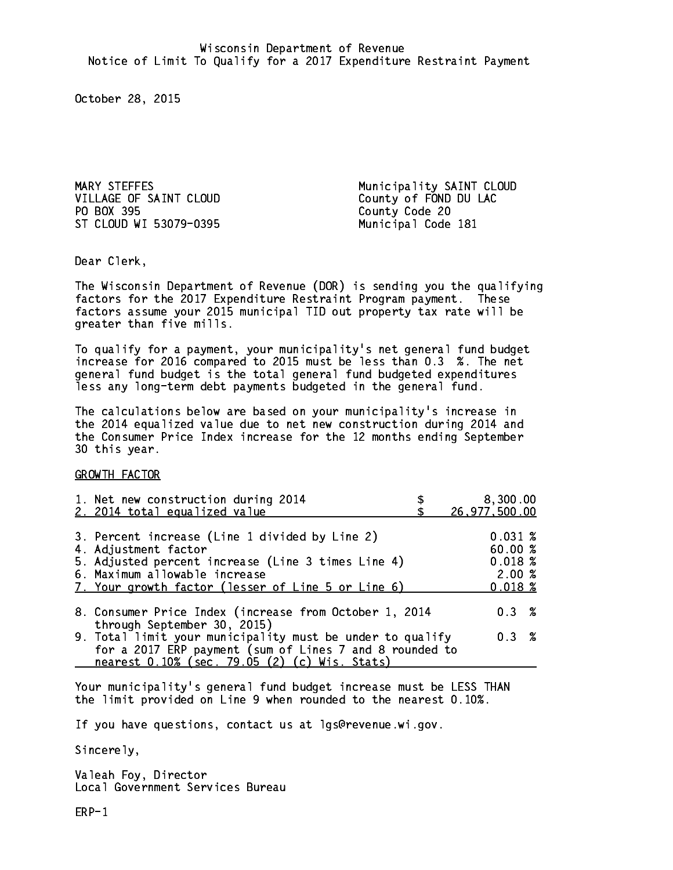VILLAGE OF SAINT CLOUD County of FOND DU LAC PO BOX 395 ST CLOUD WI 53079-0395 Municipal Code 181

MARY STEFFES Municipality SAINT CLOUD County Code 20

Dear Clerk. Dear Clerk,

The Wisconsin Department of Revenue (DOR) is sending you the qualifying factors for the 2017 Expenditure Restraint Program payment. These factors assume your 2015 municipal TID out property tax rate will be greater than five mills.

 To qualify for a payment, your municipality's net general fund budget increase for 2016 compared to 2015 must be less than 0.3 %. The net general fund budget is the total general fund budgeted expenditures less any long-term debt payments budgeted in the general fund.

The calculations below are based on your municipality's increase in the 2014 equalized value due to net new construction during 2014 and the Consumer Price Index increase for the 12 months ending September 30 this year. 30 this year.

GROWTH FACTOR

| 1. Net new construction during 2014                                                                                                                                                                                 | 8,300.00                                         |
|---------------------------------------------------------------------------------------------------------------------------------------------------------------------------------------------------------------------|--------------------------------------------------|
| 2. 2014 total equalized value                                                                                                                                                                                       | 26,977,500.00                                    |
| 3. Percent increase (Line 1 divided by Line 2)<br>4. Adjustment factor<br>5. Adjusted percent increase (Line 3 times Line 4)<br>6. Maximum allowable increase<br>7. Your growth factor (lesser of Line 5 or Line 6) | 0.031~%<br>60.00%<br>0.018~%<br>2.00%<br>0.018~% |
| 8. Consumer Price Index (increase from October 1, 2014                                                                                                                                                              | $0.3 \t%$                                        |
| through September 30, 2015)<br>9. Total limit your municipality must be under to qualify<br>for a 2017 ERP payment (sum of Lines 7 and 8 rounded to<br>nearest 0.10% (sec. 79.05 (2) (c) Wis. Stats)                | 0.3 %                                            |

Your municipality's general fund budget increase must be LESS THAN the limit provided on Line 9 when rounded to the nearest 0.10%.

If you have questions, contact us at lgs@revenue.wi.gov.

Sincerely,

Valeah Foy, Director Local Government Services Bureau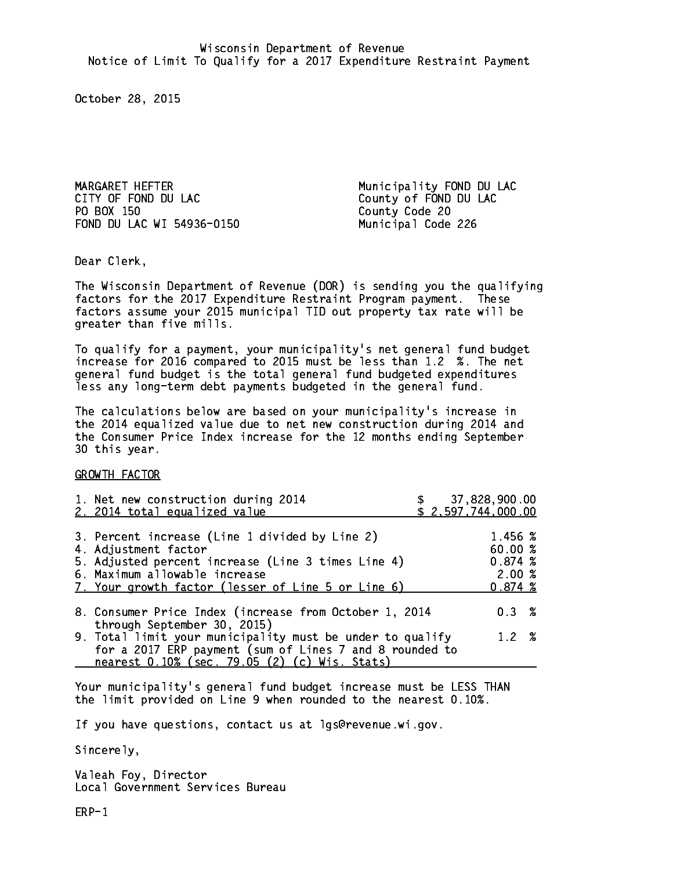MARGARET HEFTER Municipality FOND DU LAC CITY OF FOND DU LAC County of FOND DU LAC PO BOX 150 FOND DU LAC WI 54936-0150 Municipal Code 226

County Code 20

Dear Clerk. Dear Clerk,

The Wisconsin Department of Revenue (DOR) is sending you the qualifying factors for the 2017 Expenditure Restraint Program payment. These factors assume your 2015 municipal TID out property tax rate will be greater than five mills.

 To qualify for a payment, your municipality's net general fund budget increase for 2016 compared to 2015 must be less than 1.2 %. The net general fund budget is the total general fund budgeted expenditures less any long-term debt payments budgeted in the general fund.

The calculations below are based on your municipality's increase in the 2014 equalized value due to net new construction during 2014 and the Consumer Price Index increase for the 12 months ending September 30 this year. 30 this year.

GROWTH FACTOR

| 1. Net new construction during 2014<br>2. 2014 total equalized value                                                                                                                                                |  | 37,828,900.00<br>\$2,597,744,000.00              |  |
|---------------------------------------------------------------------------------------------------------------------------------------------------------------------------------------------------------------------|--|--------------------------------------------------|--|
| 3. Percent increase (Line 1 divided by Line 2)<br>4. Adjustment factor<br>5. Adjusted percent increase (Line 3 times Line 4)<br>6. Maximum allowable increase<br>7. Your growth factor (lesser of Line 5 or Line 6) |  | 1.456 %<br>60.00%<br>0.874~%<br>2.00%<br>0.874~% |  |
| 8. Consumer Price Index (increase from October 1, 2014<br>through September 30, 2015)                                                                                                                               |  | $0.3 \t%$                                        |  |
| 9. Total limit your municipality must be under to qualify<br>for a 2017 ERP payment (sum of Lines 7 and 8 rounded to<br>nearest 0.10% (sec. 79.05 (2) (c) Wis. Stats)                                               |  | 1.2%                                             |  |

Your municipality's general fund budget increase must be LESS THAN the limit provided on Line 9 when rounded to the nearest 0.10%.

If you have questions, contact us at lgs@revenue.wi.gov.

Sincerely,

Valeah Foy, Director Local Government Services Bureau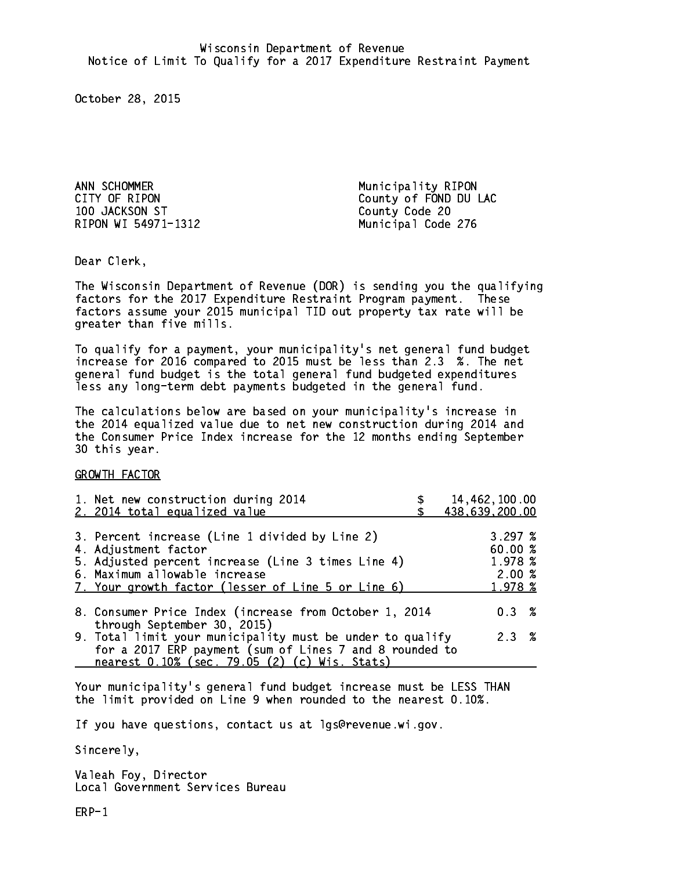ANN SCHOMMER Municipality RIPON 100 JACKSON ST County Code 20 RIPON WI 54971-1312

CITY OF RIPON COUNTY OF RIPON Municipal Code 276

Dear Clerk. Dear Clerk,

The Wisconsin Department of Revenue (DOR) is sending you the qualifying factors for the 2017 Expenditure Restraint Program payment. These factors assume your 2015 municipal TID out property tax rate will be greater than five mills.

 To qualify for a payment, your municipality's net general fund budget increase for 2016 compared to 2015 must be less than 2.3 %. The net general fund budget is the total general fund budgeted expenditures less any long-term debt payments budgeted in the general fund.

The calculations below are based on your municipality's increase in the 2014 equalized value due to net new construction during 2014 and the Consumer Price Index increase for the 12 months ending September 30 this year. 30 this year.

GROWTH FACTOR

| 1. Net new construction during 2014<br>2. 2014 total equalized value                                                                                                                                                | 14,462,100.00<br>438,639,200.00                  |  |
|---------------------------------------------------------------------------------------------------------------------------------------------------------------------------------------------------------------------|--------------------------------------------------|--|
| 3. Percent increase (Line 1 divided by Line 2)<br>4. Adjustment factor<br>5. Adjusted percent increase (Line 3 times Line 4)<br>6. Maximum allowable increase<br>7. Your growth factor (lesser of Line 5 or Line 6) | 3.297~%<br>60.00%<br>1.978 %<br>2.00%<br>1.978 % |  |
| 8. Consumer Price Index (increase from October 1, 2014                                                                                                                                                              | $0.3 \t%$                                        |  |
| 9. Total limit your municipality must be under to qualify<br>for a 2017 ERP payment (sum of Lines 7 and 8 rounded to                                                                                                | 2.3%                                             |  |
| through September 30, 2015)<br>nearest 0.10% (sec. 79.05 (2) (c) Wis. Stats)                                                                                                                                        |                                                  |  |

Your municipality's general fund budget increase must be LESS THAN the limit provided on Line 9 when rounded to the nearest 0.10%.

If you have questions, contact us at lgs@revenue.wi.gov.

Sincerely,

Valeah Foy, Director Local Government Services Bureau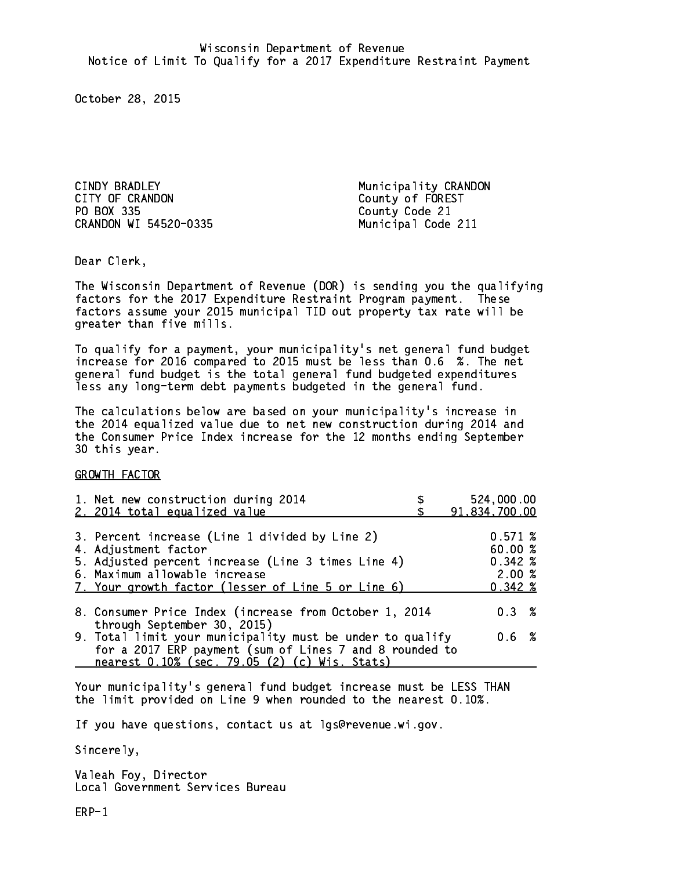CINDY BRADLEY **Municipality CRANDON** CITY OF CRANDON COUNTY OF COUNTY OF COUNTY OF COUNTY OF FOREST PO BOX 335 County Code 21 CRANDON WI 54520-0335 Municipal Code 211

Dear Clerk. Dear Clerk,

The Wisconsin Department of Revenue (DOR) is sending you the qualifying factors for the 2017 Expenditure Restraint Program payment. These factors assume your 2015 municipal TID out property tax rate will be greater than five mills.

 To qualify for a payment, your municipality's net general fund budget increase for 2016 compared to 2015 must be less than 0.6 %. The net general fund budget is the total general fund budgeted expenditures less any long-term debt payments budgeted in the general fund.

The calculations below are based on your municipality's increase in the 2014 equalized value due to net new construction during 2014 and the Consumer Price Index increase for the 12 months ending September 30 this year. 30 this year.

GROWTH FACTOR

| 1. Net new construction during 2014<br>2. 2014 total equalized value                                                                                                                                                | 524,000.00<br>91,834,700.00                                |
|---------------------------------------------------------------------------------------------------------------------------------------------------------------------------------------------------------------------|------------------------------------------------------------|
| 3. Percent increase (Line 1 divided by Line 2)<br>4. Adjustment factor<br>5. Adjusted percent increase (Line 3 times Line 4)<br>6. Maximum allowable increase<br>7. Your growth factor (lesser of Line 5 or Line 6) | 0.571~%<br>60.00%<br>$0.342 \; %$<br>2.00%<br>$0.342 \; %$ |
| 8. Consumer Price Index (increase from October 1, 2014                                                                                                                                                              | $0.3 \t%$                                                  |
| through September 30, 2015)<br>9. Total limit your municipality must be under to qualify<br>for a 2017 ERP payment (sum of Lines 7 and 8 rounded to<br>nearest 0.10% (sec. 79.05 (2) (c) Wis. Stats)                | 0.6 %                                                      |

Your municipality's general fund budget increase must be LESS THAN the limit provided on Line 9 when rounded to the nearest 0.10%.

If you have questions, contact us at lgs@revenue.wi.gov.

Sincerely,

Valeah Foy, Director Local Government Services Bureau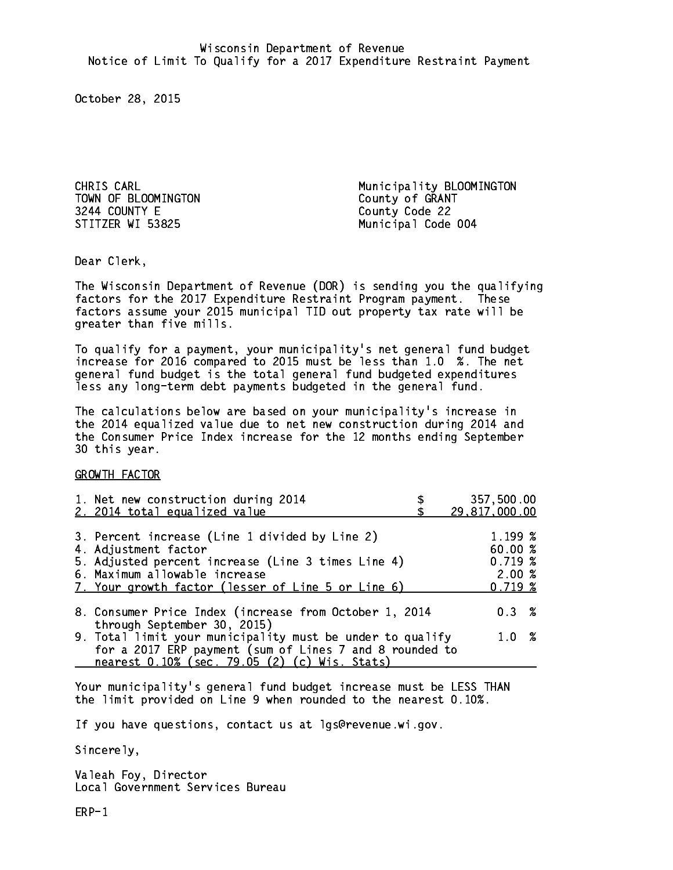TOWN OF BLOOMINGTON County of GRANT 3244 COUNTY E STITZER WI 53825

CHRIS CARL **Municipality BLOOMINGTON** County Code 22 Municipal Code 004

Dear Clerk. Dear Clerk,

The Wisconsin Department of Revenue (DOR) is sending you the qualifying factors for the 2017 Expenditure Restraint Program payment. These factors assume your 2015 municipal TID out property tax rate will be greater than five mills.

 To qualify for a payment, your municipality's net general fund budget increase for 2016 compared to 2015 must be less than 1.0 %. The net general fund budget is the total general fund budgeted expenditures less any long-term debt payments budgeted in the general fund.

The calculations below are based on your municipality's increase in the 2014 equalized value due to net new construction during 2014 and the Consumer Price Index increase for the 12 months ending September 30 this year. 30 this year.

GROWTH FACTOR

| 1. Net new construction during 2014<br>2. 2014 total equalized value                                                                                                  | 357,500.00<br>29,817,000.00     |
|-----------------------------------------------------------------------------------------------------------------------------------------------------------------------|---------------------------------|
|                                                                                                                                                                       |                                 |
| 3. Percent increase (Line 1 divided by Line 2)<br>4. Adjustment factor                                                                                                | $1.199~\%$<br>60.00%<br>0.719~% |
| 5. Adjusted percent increase (Line 3 times Line 4)<br>6. Maximum allowable increase<br>7. Your growth factor (lesser of Line 5 or Line 6)                             | 2.00%<br>0.719~%                |
| 8. Consumer Price Index (increase from October 1, 2014<br>through September 30, 2015)                                                                                 | $0.3 \t%$                       |
| 9. Total limit your municipality must be under to qualify<br>for a 2017 ERP payment (sum of Lines 7 and 8 rounded to<br>nearest 0.10% (sec. 79.05 (2) (c) Wis. Stats) | 1.0%                            |

Your municipality's general fund budget increase must be LESS THAN the limit provided on Line 9 when rounded to the nearest 0.10%.

If you have questions, contact us at lgs@revenue.wi.gov.

Sincerely,

Valeah Foy, Director Local Government Services Bureau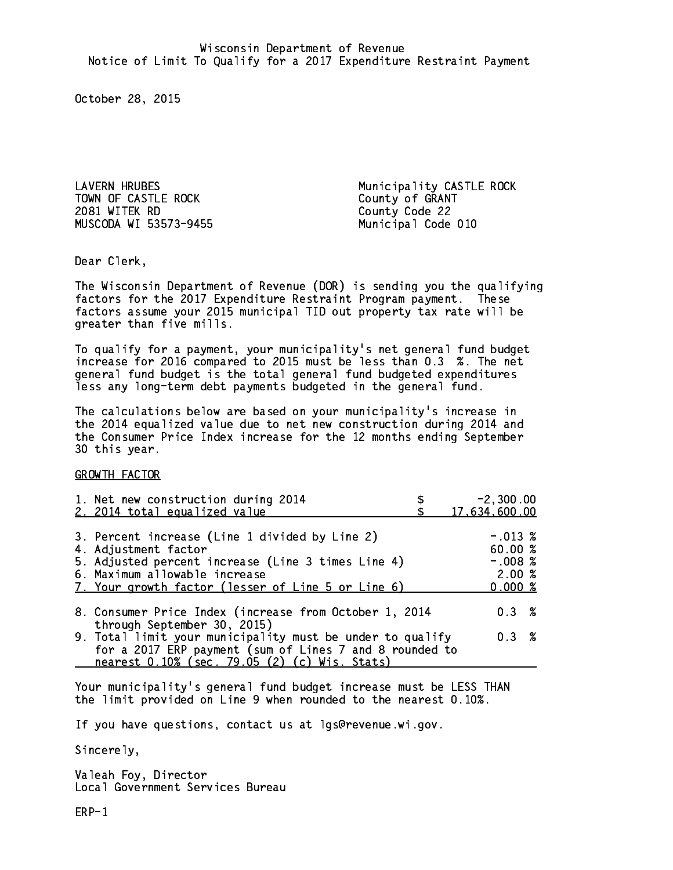TOWN OF CASTLE ROCK<br>2081 WITEK RD<br>2081 WITEK RD MUSCODA WI 53573-9455 Municipal Code 010

LAVERN HRUBES Municipality CASTLE ROCK County Code 22

Dear Clerk. Dear Clerk,

The Wisconsin Department of Revenue (DOR) is sending you the qualifying factors for the 2017 Expenditure Restraint Program payment. These factors assume your 2015 municipal TID out property tax rate will be greater than five mills.

 To qualify for a payment, your municipality's net general fund budget increase for 2016 compared to 2015 must be less than 0.3 %. The net general fund budget is the total general fund budgeted expenditures less any long-term debt payments budgeted in the general fund.

The calculations below are based on your municipality's increase in the 2014 equalized value due to net new construction during 2014 and the Consumer Price Index increase for the 12 months ending September 30 this year. 30 this year.

GROWTH FACTOR

| 1. Net new construction during 2014<br>2. 2014 total equalized value                                                                                                                                                | $-2,300.00$<br>17,634,600.00                         |
|---------------------------------------------------------------------------------------------------------------------------------------------------------------------------------------------------------------------|------------------------------------------------------|
| 3. Percent increase (Line 1 divided by Line 2)<br>4. Adjustment factor<br>5. Adjusted percent increase (Line 3 times Line 4)<br>6. Maximum allowable increase<br>7. Your growth factor (lesser of Line 5 or Line 6) | $-.013~%$<br>60.00%<br>$-.008$ %<br>2.00%<br>0.000 % |
| 8. Consumer Price Index (increase from October 1, 2014<br>through September 30, 2015)                                                                                                                               | 0.3%                                                 |
| 9. Total limit your municipality must be under to qualify<br>for a 2017 ERP payment (sum of Lines 7 and 8 rounded to<br>nearest 0.10% (sec. 79.05 (2) (c) Wis. Stats)                                               | 0.3%                                                 |

Your municipality's general fund budget increase must be LESS THAN the limit provided on Line 9 when rounded to the nearest 0.10%.

If you have questions, contact us at lgs@revenue.wi.gov.

Sincerely,

Valeah Foy, Director Local Government Services Bureau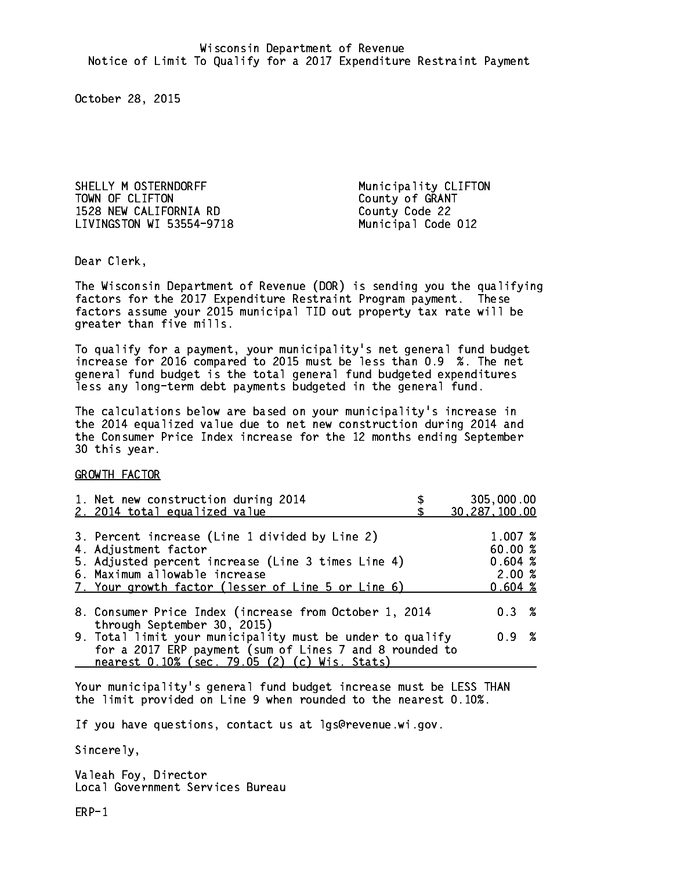SHELLY M OSTERNDORFF Municipality CLIFTON TOWN OF CLIFTON County of GRANT 1528 NEW CALIFORNIA RD County Code 22 LIVINGSTON WI 53554-9718 Municipal Code 012

Dear Clerk. Dear Clerk,

The Wisconsin Department of Revenue (DOR) is sending you the qualifying factors for the 2017 Expenditure Restraint Program payment. These factors assume your 2015 municipal TID out property tax rate will be greater than five mills.

 To qualify for a payment, your municipality's net general fund budget increase for 2016 compared to 2015 must be less than 0.9 %. The net general fund budget is the total general fund budgeted expenditures less any long-term debt payments budgeted in the general fund.

The calculations below are based on your municipality's increase in the 2014 equalized value due to net new construction during 2014 and the Consumer Price Index increase for the 12 months ending September 30 this year. 30 this year.

GROWTH FACTOR

| 1. Net new construction during 2014<br>2. 2014 total equalized value                                                                                                                                                | 305,000.00<br>30,287,100.00                     |
|---------------------------------------------------------------------------------------------------------------------------------------------------------------------------------------------------------------------|-------------------------------------------------|
|                                                                                                                                                                                                                     |                                                 |
| 3. Percent increase (Line 1 divided by Line 2)<br>4. Adjustment factor<br>5. Adjusted percent increase (Line 3 times Line 4)<br>6. Maximum allowable increase<br>7. Your growth factor (lesser of Line 5 or Line 6) | 1.007 %<br>60.00%<br>0.604~%<br>2.00%<br>0.604% |
| 8. Consumer Price Index (increase from October 1, 2014<br>through September 30, 2015)                                                                                                                               | $0.3 \t%$                                       |
| 9. Total limit your municipality must be under to qualify<br>for a 2017 ERP payment (sum of Lines 7 and 8 rounded to<br>nearest 0.10% (sec. 79.05 (2) (c) Wis. Stats)                                               | 0.9 %                                           |

Your municipality's general fund budget increase must be LESS THAN the limit provided on Line 9 when rounded to the nearest 0.10%.

If you have questions, contact us at lgs@revenue.wi.gov.

Sincerely,

Valeah Foy, Director Local Government Services Bureau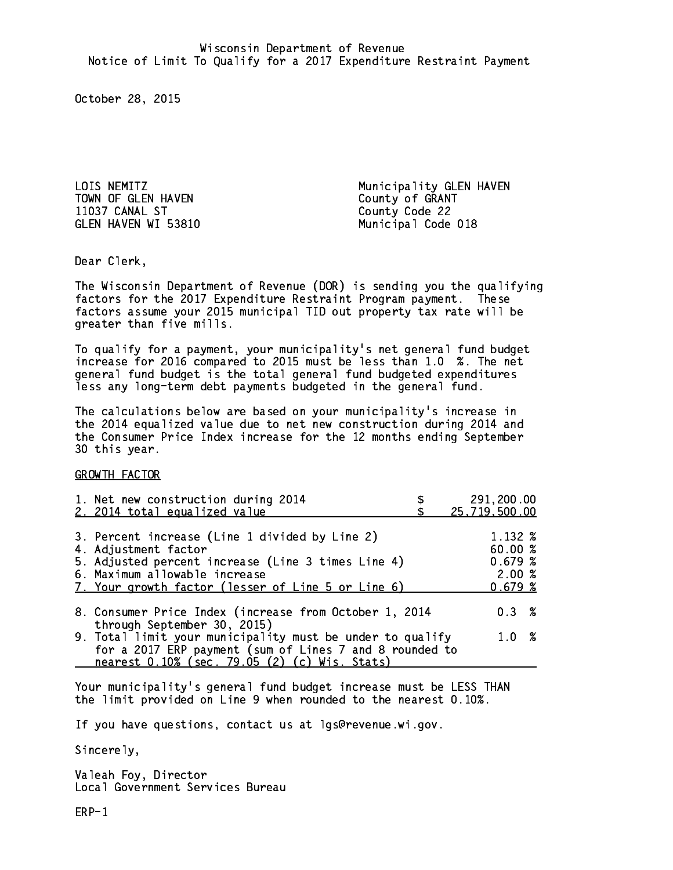TOWN OF GLEN HAVEN COUNTY OF GRANT 11037 CANAL ST County Code 22 GLEN HAVEN WI 53810 Municipal Code 018

LOIS NEMITZ Municipality GLEN HAVEN

Dear Clerk. Dear Clerk,

The Wisconsin Department of Revenue (DOR) is sending you the qualifying factors for the 2017 Expenditure Restraint Program payment. These factors assume your 2015 municipal TID out property tax rate will be greater than five mills.

 To qualify for a payment, your municipality's net general fund budget increase for 2016 compared to 2015 must be less than 1.0 %. The net general fund budget is the total general fund budgeted expenditures less any long-term debt payments budgeted in the general fund.

The calculations below are based on your municipality's increase in the 2014 equalized value due to net new construction during 2014 and the Consumer Price Index increase for the 12 months ending September 30 this year. 30 this year.

GROWTH FACTOR

| 1. Net new construction during 2014<br>2. 2014 total equalized value                                                 | 291,200.00<br>25,719,500.00 |
|----------------------------------------------------------------------------------------------------------------------|-----------------------------|
|                                                                                                                      |                             |
| 3. Percent increase (Line 1 divided by Line 2)<br>4. Adjustment factor                                               | 1.132 %<br>60.00%           |
| 5. Adjusted percent increase (Line 3 times Line 4)<br>6. Maximum allowable increase                                  | 0.679~%<br>2.00%            |
| 7. Your growth factor (lesser of Line 5 or Line 6)                                                                   | 0.679~%                     |
| 8. Consumer Price Index (increase from October 1, 2014<br>through September 30, 2015)                                | $0.3 \t%$                   |
| 9. Total limit your municipality must be under to qualify<br>for a 2017 ERP payment (sum of Lines 7 and 8 rounded to | 1.0%                        |
| nearest 0.10% (sec. 79.05 (2) (c) Wis. Stats)                                                                        |                             |

Your municipality's general fund budget increase must be LESS THAN the limit provided on Line 9 when rounded to the nearest 0.10%.

If you have questions, contact us at lgs@revenue.wi.gov.

Sincerely,

Valeah Foy, Director Local Government Services Bureau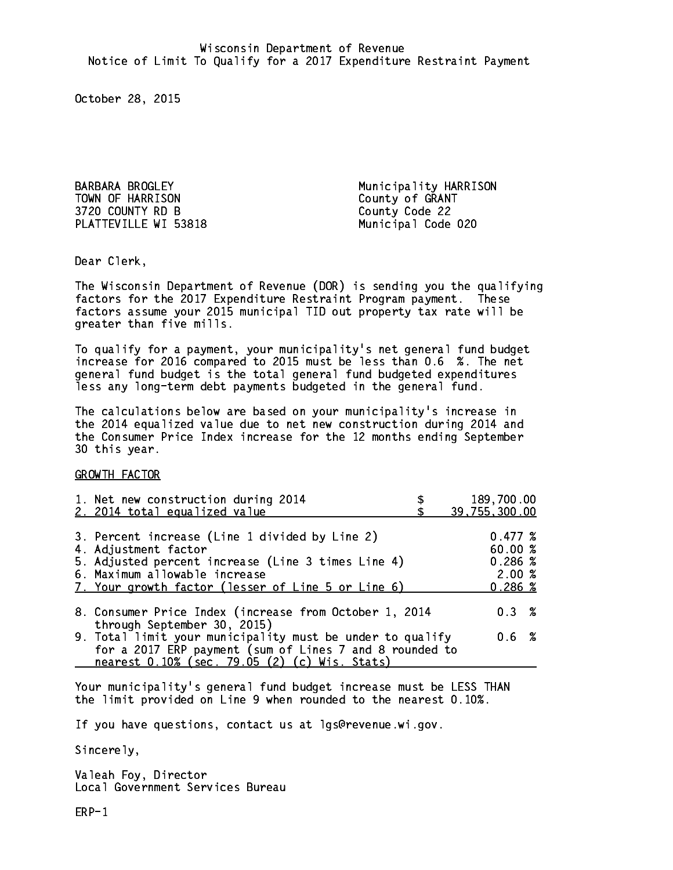BARBARA BROGLEY **Municipality HARRISON** TOWN OF HARRISON County of GRANT 3720 COUNTY RD B County Code 22 PLATTEVILLE WI 53818 Municipal Code 020

Dear Clerk. Dear Clerk,

The Wisconsin Department of Revenue (DOR) is sending you the qualifying factors for the 2017 Expenditure Restraint Program payment. These factors assume your 2015 municipal TID out property tax rate will be greater than five mills.

 To qualify for a payment, your municipality's net general fund budget increase for 2016 compared to 2015 must be less than 0.6 %. The net general fund budget is the total general fund budgeted expenditures less any long-term debt payments budgeted in the general fund.

The calculations below are based on your municipality's increase in the 2014 equalized value due to net new construction during 2014 and the Consumer Price Index increase for the 12 months ending September 30 this year. 30 this year.

GROWTH FACTOR

| 1. Net new construction during 2014<br>2. 2014 total equalized value                                                                                                                                                | 189,700.00<br>39,755,300.00                      |
|---------------------------------------------------------------------------------------------------------------------------------------------------------------------------------------------------------------------|--------------------------------------------------|
| 3. Percent increase (Line 1 divided by Line 2)<br>4. Adjustment factor<br>5. Adjusted percent increase (Line 3 times Line 4)<br>6. Maximum allowable increase<br>7. Your growth factor (lesser of Line 5 or Line 6) | 0.477~%<br>60.00%<br>0.286~%<br>2.00%<br>0.286~% |
| 8. Consumer Price Index (increase from October 1, 2014                                                                                                                                                              | $0.3 \t%$                                        |
| through September 30, 2015)<br>9. Total limit your municipality must be under to qualify<br>for a 2017 ERP payment (sum of Lines 7 and 8 rounded to<br>nearest 0.10% (sec. 79.05 (2) (c) Wis. Stats)                | 0.6 %                                            |

Your municipality's general fund budget increase must be LESS THAN the limit provided on Line 9 when rounded to the nearest 0.10%.

If you have questions, contact us at lgs@revenue.wi.gov.

Sincerely,

Valeah Foy, Director Local Government Services Bureau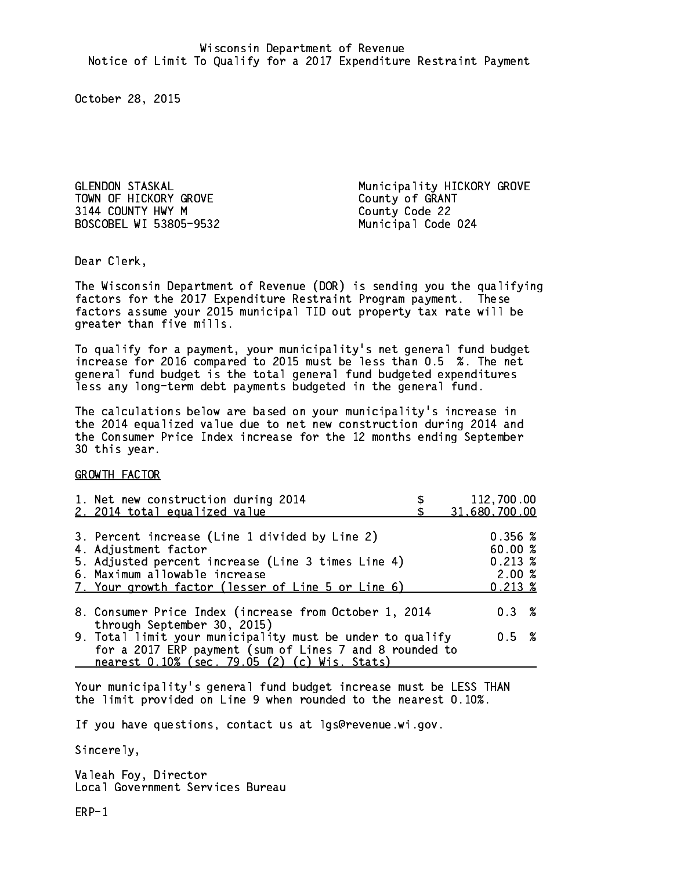3144 COUNTY HWY M County Code 22 BOSCOBEL WI 53805-9532 Municipal Code 024

GLENDON STASKAL Municipality HICKORY GROVE County of GRANT

Dear Clerk. Dear Clerk,

The Wisconsin Department of Revenue (DOR) is sending you the qualifying factors for the 2017 Expenditure Restraint Program payment. These factors assume your 2015 municipal TID out property tax rate will be greater than five mills.

 To qualify for a payment, your municipality's net general fund budget increase for 2016 compared to 2015 must be less than 0.5 %. The net general fund budget is the total general fund budgeted expenditures less any long-term debt payments budgeted in the general fund.

The calculations below are based on your municipality's increase in the 2014 equalized value due to net new construction during 2014 and the Consumer Price Index increase for the 12 months ending September 30 this year. 30 this year.

GROWTH FACTOR

| 1. Net new construction during 2014<br>2. 2014 total equalized value                                                                                                                                                | 112,700.00<br>31,680,700.00                                             |
|---------------------------------------------------------------------------------------------------------------------------------------------------------------------------------------------------------------------|-------------------------------------------------------------------------|
| 3. Percent increase (Line 1 divided by Line 2)<br>4. Adjustment factor<br>5. Adjusted percent increase (Line 3 times Line 4)<br>6. Maximum allowable increase<br>7. Your growth factor (lesser of Line 5 or Line 6) | $0.356 \; \text{\%}$<br>60.00%<br>$0.213 \;$ %<br>2.00%<br>$0.213 \; %$ |
| 8. Consumer Price Index (increase from October 1, 2014                                                                                                                                                              | $0.3 \t%$                                                               |
| through September 30, 2015)<br>9. Total limit your municipality must be under to qualify<br>for a 2017 ERP payment (sum of Lines 7 and 8 rounded to<br>nearest 0.10% (sec. 79.05 (2) (c) Wis. Stats)                | 0.5 %                                                                   |

Your municipality's general fund budget increase must be LESS THAN the limit provided on Line 9 when rounded to the nearest 0.10%.

If you have questions, contact us at lgs@revenue.wi.gov.

Sincerely,

Valeah Foy, Director Local Government Services Bureau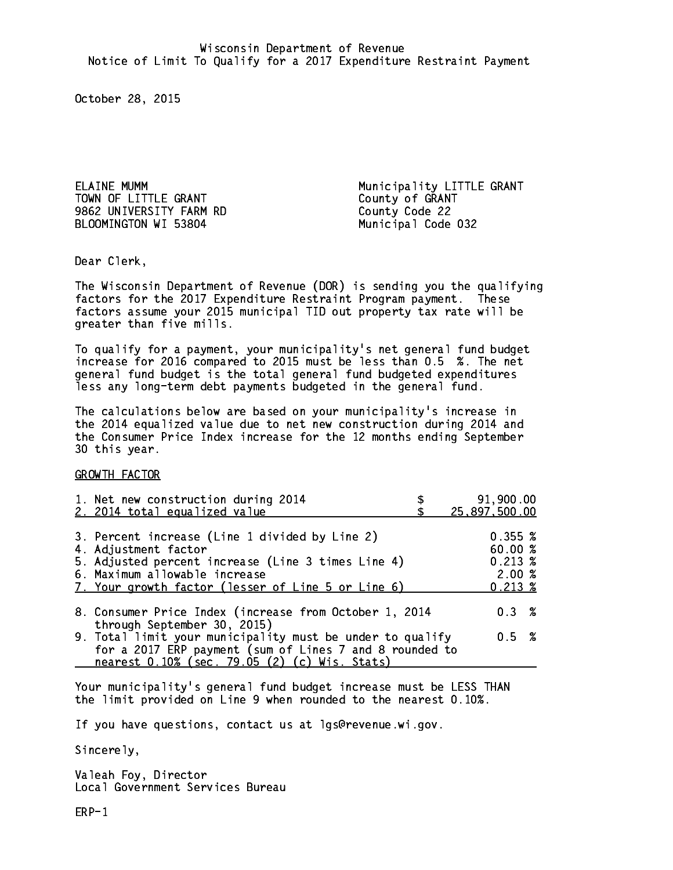TOWN OF LITTLE GRANT County of GRANT 9862 UNIVERSITY FARM RD County Code 22 BLOOMINGTON WI 53804 Municipal Code 032

ELAINE MUMM Municipality LITTLE GRANT

Dear Clerk. Dear Clerk,

The Wisconsin Department of Revenue (DOR) is sending you the qualifying factors for the 2017 Expenditure Restraint Program payment. These factors assume your 2015 municipal TID out property tax rate will be greater than five mills.

 To qualify for a payment, your municipality's net general fund budget increase for 2016 compared to 2015 must be less than 0.5 %. The net general fund budget is the total general fund budgeted expenditures less any long-term debt payments budgeted in the general fund.

The calculations below are based on your municipality's increase in the 2014 equalized value due to net new construction during 2014 and the Consumer Price Index increase for the 12 months ending September 30 this year. 30 this year.

GROWTH FACTOR

| 1. Net new construction during 2014                                                                                                                                                                                 | 91,900.00                                                         |
|---------------------------------------------------------------------------------------------------------------------------------------------------------------------------------------------------------------------|-------------------------------------------------------------------|
| 2. 2014 total equalized value                                                                                                                                                                                       | 25,897,500.00                                                     |
| 3. Percent increase (Line 1 divided by Line 2)<br>4. Adjustment factor<br>5. Adjusted percent increase (Line 3 times Line 4)<br>6. Maximum allowable increase<br>7. Your growth factor (lesser of Line 5 or Line 6) | 0.355~%<br>60.00%<br>$0.213 \; \text{%}$<br>2.00%<br>$0.213 \; %$ |
| 8. Consumer Price Index (increase from October 1, 2014                                                                                                                                                              | $0.3 \t%$                                                         |
| through September 30, 2015)<br>9. Total limit your municipality must be under to qualify<br>for a 2017 ERP payment (sum of Lines 7 and 8 rounded to<br>nearest 0.10% (sec. 79.05 (2) (c) Wis. Stats)                | 0.5 %                                                             |

Your municipality's general fund budget increase must be LESS THAN the limit provided on Line 9 when rounded to the nearest 0.10%.

If you have questions, contact us at lgs@revenue.wi.gov.

Sincerely,

Valeah Foy, Director Local Government Services Bureau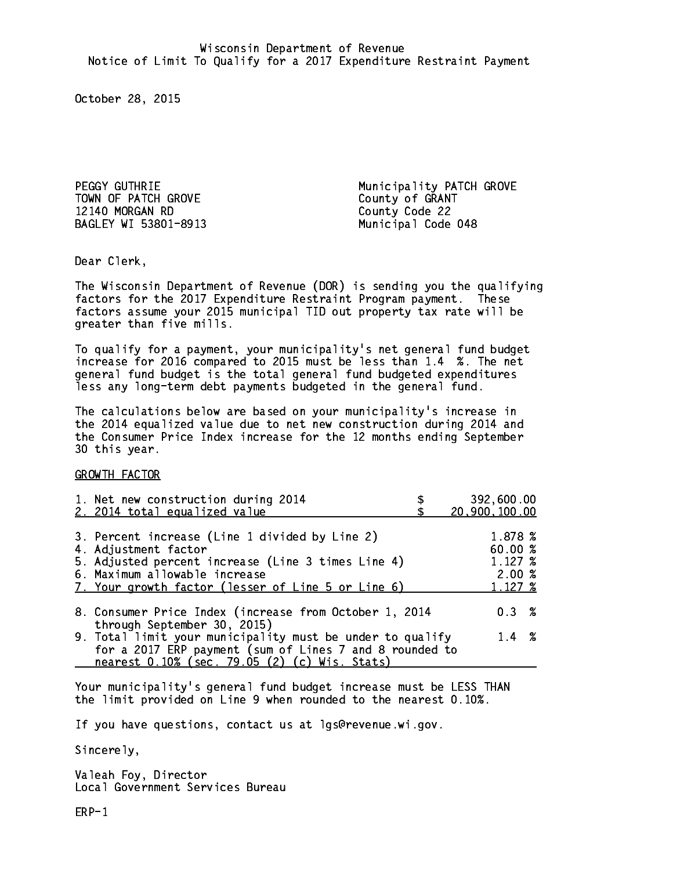TOWN OF PATCH GROVE COUNTY OF GRANT 12140 MORGAN RD County Code 22 BAGLEY WI 53801-8913 Municipal Code 048

PEGGY GUTHRIE Municipality PATCH GROVE

Dear Clerk. Dear Clerk,

The Wisconsin Department of Revenue (DOR) is sending you the qualifying factors for the 2017 Expenditure Restraint Program payment. These factors assume your 2015 municipal TID out property tax rate will be greater than five mills.

 To qualify for a payment, your municipality's net general fund budget increase for 2016 compared to 2015 must be less than 1.4 %. The net general fund budget is the total general fund budgeted expenditures less any long-term debt payments budgeted in the general fund.

The calculations below are based on your municipality's increase in the 2014 equalized value due to net new construction during 2014 and the Consumer Price Index increase for the 12 months ending September 30 this year. 30 this year.

GROWTH FACTOR

| 1. Net new construction during 2014<br>2. 2014 total equalized value                                                                                                                                                | 392,600.00<br>20,900,100.00                            |
|---------------------------------------------------------------------------------------------------------------------------------------------------------------------------------------------------------------------|--------------------------------------------------------|
| 3. Percent increase (Line 1 divided by Line 2)<br>4. Adjustment factor<br>5. Adjusted percent increase (Line 3 times Line 4)<br>6. Maximum allowable increase<br>7. Your growth factor (lesser of Line 5 or Line 6) | 1.878 %<br>60.00 %<br>$1.127 \;$ %<br>2.00%<br>1.127 % |
| 8. Consumer Price Index (increase from October 1, 2014<br>through September 30, 2015)                                                                                                                               | $0.3 \t%$                                              |
| 9. Total limit your municipality must be under to qualify<br>for a 2017 ERP payment (sum of Lines 7 and 8 rounded to<br>nearest 0.10% (sec. 79.05 (2) (c) Wis. Stats)                                               | $1.4 \t%$                                              |

Your municipality's general fund budget increase must be LESS THAN the limit provided on Line 9 when rounded to the nearest 0.10%.

If you have questions, contact us at lgs@revenue.wi.gov.

Sincerely,

Valeah Foy, Director Local Government Services Bureau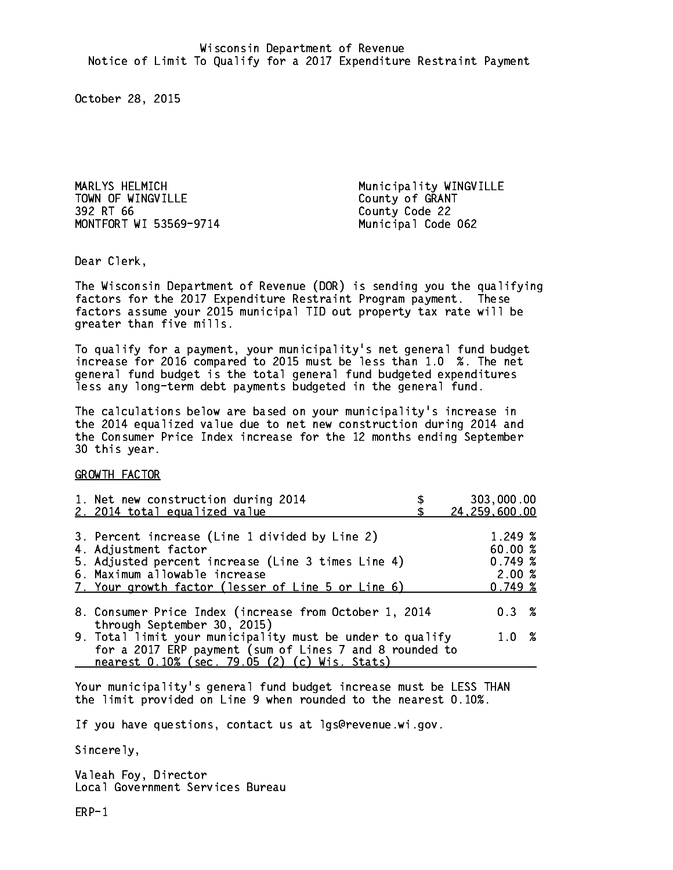MARLYS HELMICH Municipality WINGVILLE TOWN OF WINGVILLE County of GRANT 392 RT 66 MONTFORT WI 53569-9714 Municipal Code 062

County Code 22

Dear Clerk. Dear Clerk,

The Wisconsin Department of Revenue (DOR) is sending you the qualifying factors for the 2017 Expenditure Restraint Program payment. These factors assume your 2015 municipal TID out property tax rate will be greater than five mills.

 To qualify for a payment, your municipality's net general fund budget increase for 2016 compared to 2015 must be less than 1.0 %. The net general fund budget is the total general fund budgeted expenditures less any long-term debt payments budgeted in the general fund.

The calculations below are based on your municipality's increase in the 2014 equalized value due to net new construction during 2014 and the Consumer Price Index increase for the 12 months ending September 30 this year. 30 this year.

GROWTH FACTOR

| 1. Net new construction during 2014                                                                                                                                                                                 |                                                                                                               | 303,000.00                                                                                                                                                                     |
|---------------------------------------------------------------------------------------------------------------------------------------------------------------------------------------------------------------------|---------------------------------------------------------------------------------------------------------------|--------------------------------------------------------------------------------------------------------------------------------------------------------------------------------|
|                                                                                                                                                                                                                     |                                                                                                               | 24,259,600.00                                                                                                                                                                  |
| 3. Percent increase (Line 1 divided by Line 2)<br>4. Adjustment factor<br>5. Adjusted percent increase (Line 3 times Line 4)<br>6. Maximum allowable increase<br>7. Your growth factor (lesser of Line 5 or Line 6) |                                                                                                               | 1.249 %<br>60.00%<br>0.749~%<br>2.00%<br>0.749~%                                                                                                                               |
|                                                                                                                                                                                                                     |                                                                                                               | $0.3 \t%$                                                                                                                                                                      |
|                                                                                                                                                                                                                     |                                                                                                               | 1.0%                                                                                                                                                                           |
|                                                                                                                                                                                                                     | 2. 2014 total equalized value<br>through September 30, 2015)<br>nearest 0.10% (sec. 79.05 (2) (c) Wis. Stats) | 8. Consumer Price Index (increase from October 1, 2014<br>9. Total limit your municipality must be under to qualify<br>for a 2017 ERP payment (sum of Lines 7 and 8 rounded to |

Your municipality's general fund budget increase must be LESS THAN the limit provided on Line 9 when rounded to the nearest 0.10%.

If you have questions, contact us at lgs@revenue.wi.gov.

Sincerely,

Valeah Foy, Director Local Government Services Bureau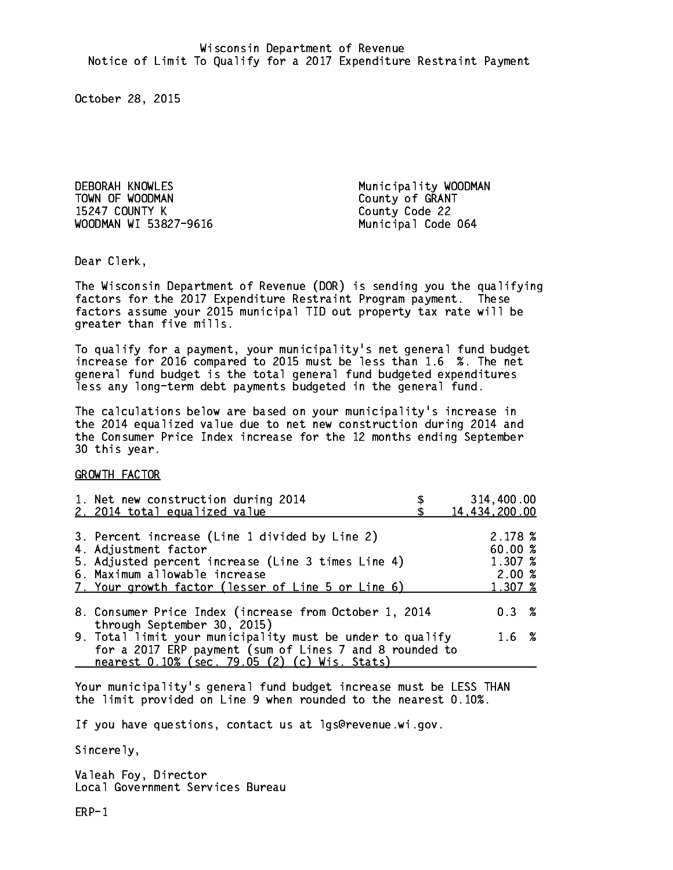DEBORAH KNOWLES Municipality WOODMAN TOWN OF WOODMAN County of GRANT 15247 COUNTY K County Code 22 WOODMAN WI 53827-9616 Municipal Code 064

Dear Clerk. Dear Clerk,

The Wisconsin Department of Revenue (DOR) is sending you the qualifying factors for the 2017 Expenditure Restraint Program payment. These factors assume your 2015 municipal TID out property tax rate will be greater than five mills.

 To qualify for a payment, your municipality's net general fund budget increase for 2016 compared to 2015 must be less than 1.6 %. The net general fund budget is the total general fund budgeted expenditures less any long-term debt payments budgeted in the general fund.

The calculations below are based on your municipality's increase in the 2014 equalized value due to net new construction during 2014 and the Consumer Price Index increase for the 12 months ending September 30 this year. 30 this year.

GROWTH FACTOR

| 1. Net new construction during 2014<br>2. 2014 total equalized value                                                                                                                                                | 314,400.00<br>14,434,200.00                      |
|---------------------------------------------------------------------------------------------------------------------------------------------------------------------------------------------------------------------|--------------------------------------------------|
| 3. Percent increase (Line 1 divided by Line 2)<br>4. Adjustment factor<br>5. Adjusted percent increase (Line 3 times Line 4)<br>6. Maximum allowable increase<br>7. Your growth factor (lesser of Line 5 or Line 6) | 2.178~%<br>60.00%<br>1.307 %<br>2.00%<br>1.307 % |
| 8. Consumer Price Index (increase from October 1, 2014<br>through September 30, 2015)                                                                                                                               | 0.3%                                             |
| 9. Total limit your municipality must be under to qualify<br>for a 2017 ERP payment (sum of Lines 7 and 8 rounded to<br>nearest 0.10% (sec. 79.05 (2) (c) Wis. Stats)                                               | 1.6 %                                            |

Your municipality's general fund budget increase must be LESS THAN the limit provided on Line 9 when rounded to the nearest 0.10%.

If you have questions, contact us at lgs@revenue.wi.gov.

Sincerely,

Valeah Foy, Director Local Government Services Bureau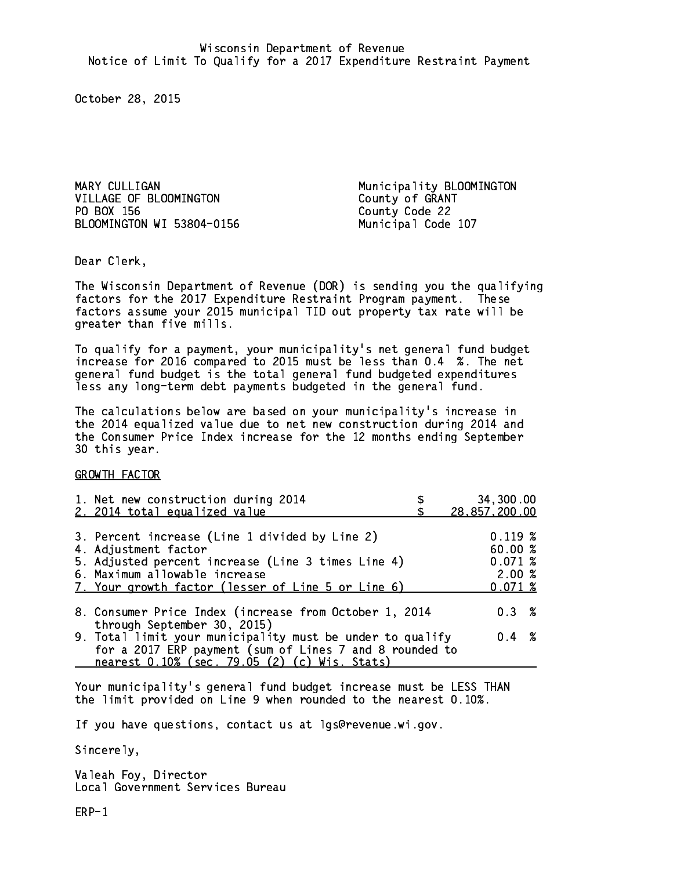MARY CULLIGAN **Municipality BLOOMINGTON** VILLAGE OF BLOOMINGTON County of GRANT PO BOX 156 BLOOMINGTON WI 53804-0156 Municipal Code 107

County Code 22

Dear Clerk. Dear Clerk,

The Wisconsin Department of Revenue (DOR) is sending you the qualifying factors for the 2017 Expenditure Restraint Program payment. These factors assume your 2015 municipal TID out property tax rate will be greater than five mills.

 To qualify for a payment, your municipality's net general fund budget increase for 2016 compared to 2015 must be less than 0.4 %. The net general fund budget is the total general fund budgeted expenditures less any long-term debt payments budgeted in the general fund.

The calculations below are based on your municipality's increase in the 2014 equalized value due to net new construction during 2014 and the Consumer Price Index increase for the 12 months ending September 30 this year. 30 this year.

GROWTH FACTOR

| 1. Net new construction during 2014                                                                                                                                                                                 | 34,300.00                                        |
|---------------------------------------------------------------------------------------------------------------------------------------------------------------------------------------------------------------------|--------------------------------------------------|
| 2. 2014 total equalized value                                                                                                                                                                                       | 28, 857, 200.00                                  |
| 3. Percent increase (Line 1 divided by Line 2)<br>4. Adjustment factor<br>5. Adjusted percent increase (Line 3 times Line 4)<br>6. Maximum allowable increase<br>7. Your growth factor (lesser of Line 5 or Line 6) | 0.119~%<br>60.00%<br>0.071~%<br>2.00%<br>0.071~% |
| 8. Consumer Price Index (increase from October 1, 2014                                                                                                                                                              | $0.3 \t%$                                        |
| through September 30, 2015)<br>9. Total limit your municipality must be under to qualify<br>for a 2017 ERP payment (sum of Lines 7 and 8 rounded to<br>nearest 0.10% (sec. 79.05 (2) (c) Wis. Stats)                | $0.4 \t%$                                        |

Your municipality's general fund budget increase must be LESS THAN the limit provided on Line 9 when rounded to the nearest 0.10%.

If you have questions, contact us at lgs@revenue.wi.gov.

Sincerely,

Valeah Foy, Director Local Government Services Bureau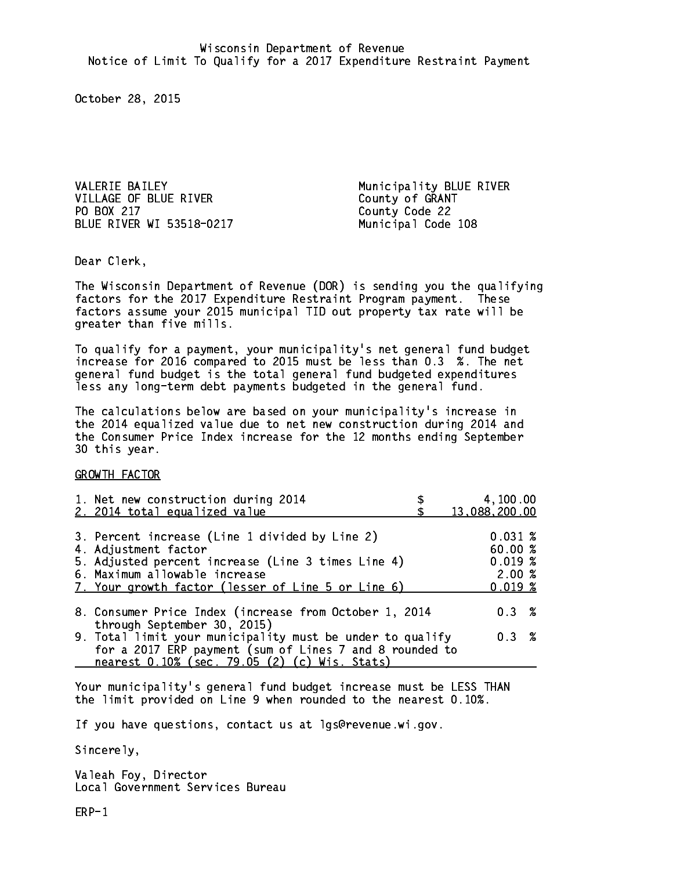VALERIE BAILEY **Municipality BLUE RIVER** VILLAGE OF BLUE RIVER County of GRANT PO BOX 217 BLUE RIVER WI 53518-0217 Municipal Code 108

County Code 22

Dear Clerk. Dear Clerk,

The Wisconsin Department of Revenue (DOR) is sending you the qualifying factors for the 2017 Expenditure Restraint Program payment. These factors assume your 2015 municipal TID out property tax rate will be greater than five mills.

 To qualify for a payment, your municipality's net general fund budget increase for 2016 compared to 2015 must be less than 0.3 %. The net general fund budget is the total general fund budgeted expenditures less any long-term debt payments budgeted in the general fund.

The calculations below are based on your municipality's increase in the 2014 equalized value due to net new construction during 2014 and the Consumer Price Index increase for the 12 months ending September 30 this year. 30 this year.

GROWTH FACTOR

| 1. Net new construction during 2014<br>2. 2014 total equalized value                                                                                                                                                | 4,100.00<br>13,088,200.00                       |
|---------------------------------------------------------------------------------------------------------------------------------------------------------------------------------------------------------------------|-------------------------------------------------|
| 3. Percent increase (Line 1 divided by Line 2)<br>4. Adjustment factor<br>5. Adjusted percent increase (Line 3 times Line 4)<br>6. Maximum allowable increase<br>7. Your growth factor (lesser of Line 5 or Line 6) | 0.031~%<br>60.00%<br>0.019~%<br>2.00%<br>0.019% |
| 8. Consumer Price Index (increase from October 1, 2014                                                                                                                                                              | $0.3 \t%$                                       |
| through September 30, 2015)<br>9. Total limit your municipality must be under to qualify<br>for a 2017 ERP payment (sum of Lines 7 and 8 rounded to<br>nearest 0.10% (sec. 79.05 (2) (c) Wis. Stats)                | 0.3 %                                           |

Your municipality's general fund budget increase must be LESS THAN the limit provided on Line 9 when rounded to the nearest 0.10%.

If you have questions, contact us at lgs@revenue.wi.gov.

Sincerely,

Valeah Foy, Director Local Government Services Bureau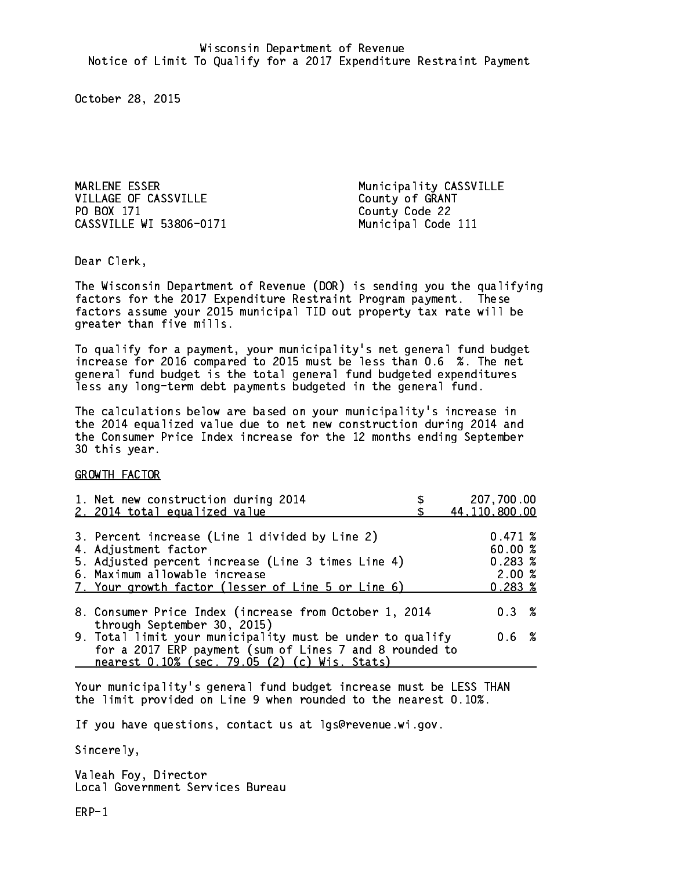MARLENE ESSER Municipality CASSVILLE VILLAGE OF CASSVILLE County of GRANT PO BOX 171 CASSVILLE WI 53806-0171 Municipal Code 111

County Code 22

Dear Clerk. Dear Clerk,

The Wisconsin Department of Revenue (DOR) is sending you the qualifying factors for the 2017 Expenditure Restraint Program payment. These factors assume your 2015 municipal TID out property tax rate will be greater than five mills.

 To qualify for a payment, your municipality's net general fund budget increase for 2016 compared to 2015 must be less than 0.6 %. The net general fund budget is the total general fund budgeted expenditures less any long-term debt payments budgeted in the general fund.

The calculations below are based on your municipality's increase in the 2014 equalized value due to net new construction during 2014 and the Consumer Price Index increase for the 12 months ending September 30 this year. 30 this year.

GROWTH FACTOR

| 1. Net new construction during 2014<br>2. 2014 total equalized value                                                                                                                                                | 207,700.00<br>44, 110, 800.00                         |
|---------------------------------------------------------------------------------------------------------------------------------------------------------------------------------------------------------------------|-------------------------------------------------------|
| 3. Percent increase (Line 1 divided by Line 2)<br>4. Adjustment factor<br>5. Adjusted percent increase (Line 3 times Line 4)<br>6. Maximum allowable increase<br>7. Your growth factor (lesser of Line 5 or Line 6) | 0.471~%<br>60.00%<br>0.283~%<br>2.00%<br>$0.283 \; %$ |
| 8. Consumer Price Index (increase from October 1, 2014                                                                                                                                                              | 0.3%                                                  |
| through September 30, 2015)<br>9. Total limit your municipality must be under to qualify<br>for a 2017 ERP payment (sum of Lines 7 and 8 rounded to<br>nearest 0.10% (sec. 79.05 (2) (c) Wis. Stats)                | 0.6 %                                                 |

Your municipality's general fund budget increase must be LESS THAN the limit provided on Line 9 when rounded to the nearest 0.10%.

If you have questions, contact us at lgs@revenue.wi.gov.

Sincerely,

Valeah Foy, Director Local Government Services Bureau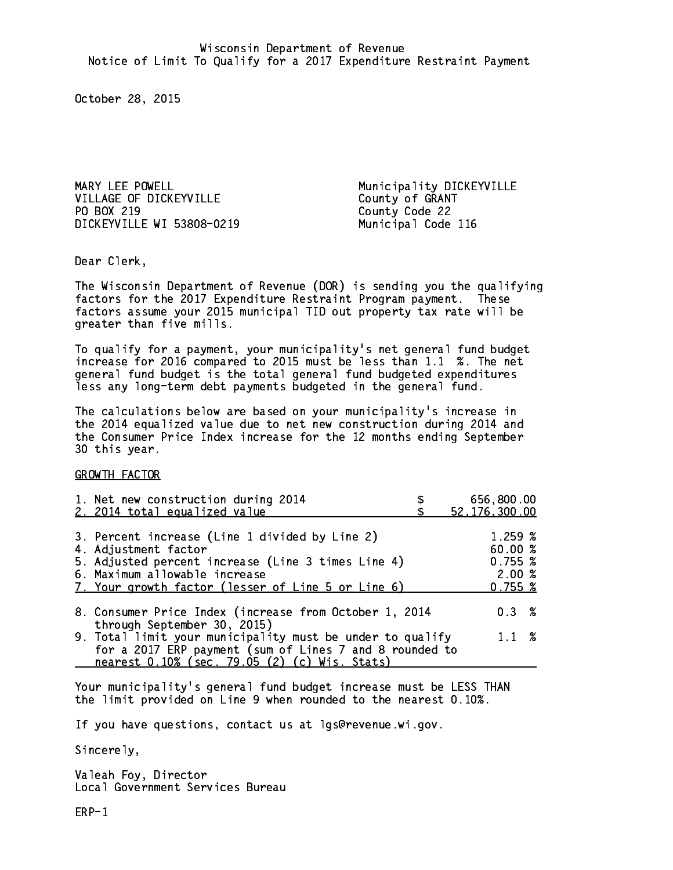MARY LEE POWELL **Municipality DICKEYVILLE** VILLAGE OF DICKEYVILLE County of GRANT PO BOX 219 DICKEYVILLE WI 53808-0219 Municipal Code 116

County Code 22

Dear Clerk. Dear Clerk,

The Wisconsin Department of Revenue (DOR) is sending you the qualifying factors for the 2017 Expenditure Restraint Program payment. These factors assume your 2015 municipal TID out property tax rate will be greater than five mills.

 To qualify for a payment, your municipality's net general fund budget increase for 2016 compared to 2015 must be less than 1.1 %. The net general fund budget is the total general fund budgeted expenditures less any long-term debt payments budgeted in the general fund.

The calculations below are based on your municipality's increase in the 2014 equalized value due to net new construction during 2014 and the Consumer Price Index increase for the 12 months ending September 30 this year. 30 this year.

GROWTH FACTOR

| 1. Net new construction during 2014<br>2. 2014 total equalized value                                                                                                                                                | 656,800.00<br>52, 176, 300.00                     |
|---------------------------------------------------------------------------------------------------------------------------------------------------------------------------------------------------------------------|---------------------------------------------------|
| 3. Percent increase (Line 1 divided by Line 2)<br>4. Adjustment factor<br>5. Adjusted percent increase (Line 3 times Line 4)<br>6. Maximum allowable increase<br>7. Your growth factor (lesser of Line 5 or Line 6) | 1.259~%<br>60.00 %<br>0.755~%<br>2.00%<br>0.755~% |
| 8. Consumer Price Index (increase from October 1, 2014<br>through September 30, 2015)                                                                                                                               | $0.3 \t%$                                         |
| 9. Total limit your municipality must be under to qualify<br>for a 2017 ERP payment (sum of Lines 7 and 8 rounded to<br>nearest 0.10% (sec. 79.05 (2) (c) Wis. Stats)                                               | $1.1 \t%$                                         |

Your municipality's general fund budget increase must be LESS THAN the limit provided on Line 9 when rounded to the nearest 0.10%.

If you have questions, contact us at lgs@revenue.wi.gov.

Sincerely,

Valeah Foy, Director Local Government Services Bureau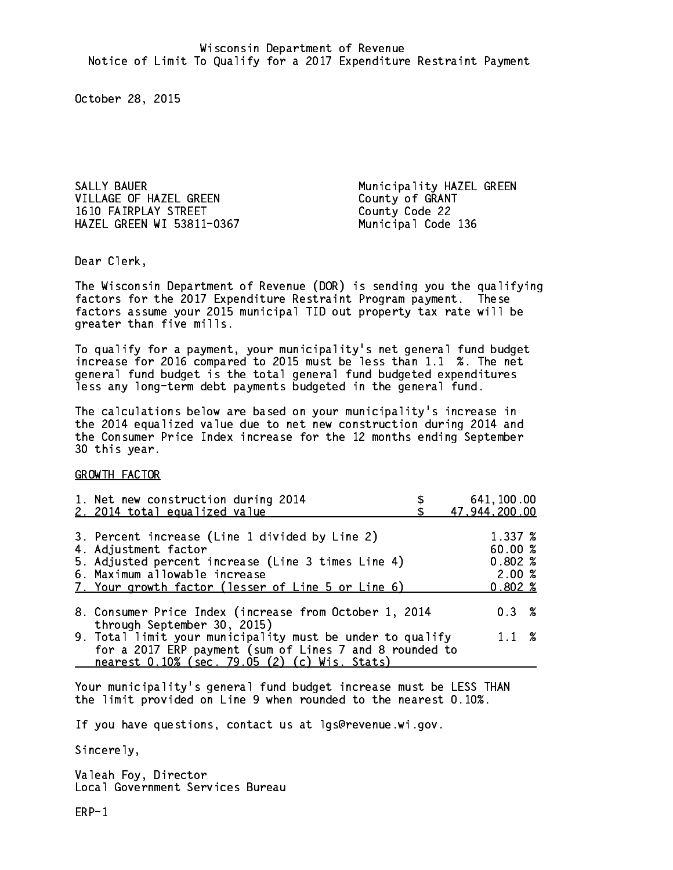SALLY BAUER **Municipality HAZEL GREEN** VILLAGE OF HAZEL GREEN County of GRANT 1610 FAIRPLAY STREET County Code 22 HAZEL GREEN WI 53811-0367 Municipal Code 136

Dear Clerk. Dear Clerk,

The Wisconsin Department of Revenue (DOR) is sending you the qualifying factors for the 2017 Expenditure Restraint Program payment. These factors assume your 2015 municipal TID out property tax rate will be greater than five mills.

 To qualify for a payment, your municipality's net general fund budget increase for 2016 compared to 2015 must be less than 1.1 %. The net general fund budget is the total general fund budgeted expenditures less any long-term debt payments budgeted in the general fund.

The calculations below are based on your municipality's increase in the 2014 equalized value due to net new construction during 2014 and the Consumer Price Index increase for the 12 months ending September 30 this year. 30 this year.

GROWTH FACTOR

| 1. Net new construction during 2014<br>2. 2014 total equalized value                                                                                                                                                | 641,100.00<br>47,944,200.00                    |
|---------------------------------------------------------------------------------------------------------------------------------------------------------------------------------------------------------------------|------------------------------------------------|
| 3. Percent increase (Line 1 divided by Line 2)<br>4. Adjustment factor<br>5. Adjusted percent increase (Line 3 times Line 4)<br>6. Maximum allowable increase<br>7. Your growth factor (lesser of Line 5 or Line 6) | 1.337 %<br>60.00%<br>0.802%<br>2.00%<br>0.802% |
| 8. Consumer Price Index (increase from October 1, 2014<br>through September 30, 2015)                                                                                                                               | $0.3 \t%$                                      |
| 9. Total limit your municipality must be under to qualify<br>for a 2017 ERP payment (sum of Lines 7 and 8 rounded to<br>nearest 0.10% (sec. 79.05 (2) (c) Wis. Stats)                                               | $1.1 \t%$                                      |

Your municipality's general fund budget increase must be LESS THAN the limit provided on Line 9 when rounded to the nearest 0.10%.

If you have questions, contact us at lgs@revenue.wi.gov.

Sincerely,

Valeah Foy, Director Local Government Services Bureau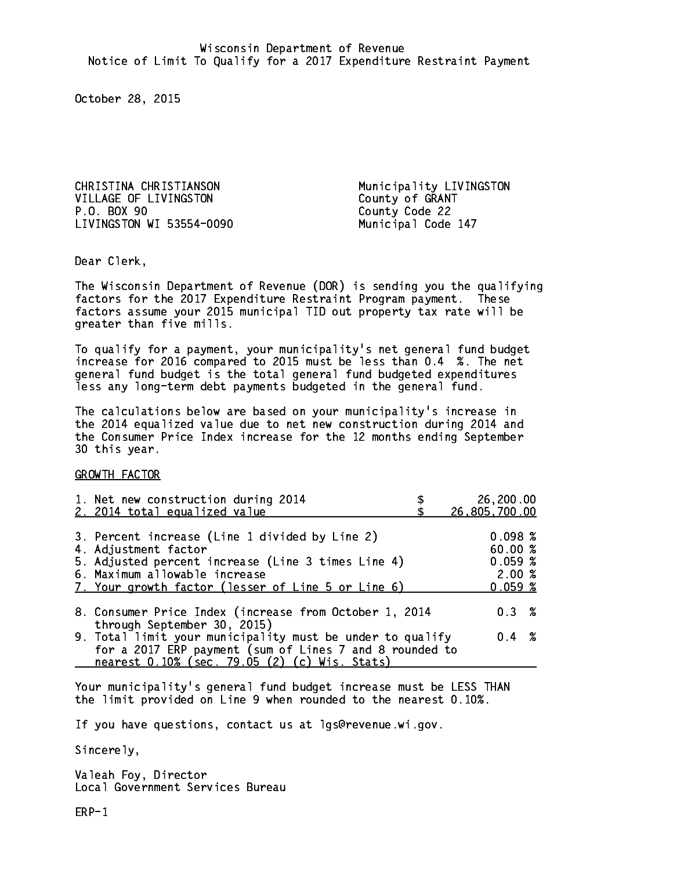CHRISTINA CHRISTIANSON Municipality LIVINGSTON VILLAGE OF LIVINGSTON<br>
P.O. BOX 90<br>
County Code 22 LIVINGSTON WI 53554-0090 Municipal Code 147

County Code 22

Dear Clerk. Dear Clerk,

The Wisconsin Department of Revenue (DOR) is sending you the qualifying factors for the 2017 Expenditure Restraint Program payment. These factors assume your 2015 municipal TID out property tax rate will be greater than five mills.

 To qualify for a payment, your municipality's net general fund budget increase for 2016 compared to 2015 must be less than 0.4 %. The net general fund budget is the total general fund budgeted expenditures less any long-term debt payments budgeted in the general fund.

The calculations below are based on your municipality's increase in the 2014 equalized value due to net new construction during 2014 and the Consumer Price Index increase for the 12 months ending September 30 this year. 30 this year.

GROWTH FACTOR

| 1. Net new construction during 2014                                                                                                                                                                                 | 26,200.00                                        |
|---------------------------------------------------------------------------------------------------------------------------------------------------------------------------------------------------------------------|--------------------------------------------------|
| 2. 2014 total equalized value                                                                                                                                                                                       | 26,805,700.00                                    |
| 3. Percent increase (Line 1 divided by Line 2)<br>4. Adjustment factor<br>5. Adjusted percent increase (Line 3 times Line 4)<br>6. Maximum allowable increase<br>7. Your growth factor (lesser of Line 5 or Line 6) | 0.098~%<br>60.00%<br>0.059~%<br>2.00%<br>0.059~% |
| 8. Consumer Price Index (increase from October 1, 2014                                                                                                                                                              | $0.3 \t%$                                        |
| through September 30, 2015)<br>9. Total limit your municipality must be under to qualify<br>for a 2017 ERP payment (sum of Lines 7 and 8 rounded to<br>nearest 0.10% (sec. 79.05 (2) (c) Wis. Stats)                | $0.4 \t%$                                        |

Your municipality's general fund budget increase must be LESS THAN the limit provided on Line 9 when rounded to the nearest 0.10%.

If you have questions, contact us at lgs@revenue.wi.gov.

Sincerely,

Valeah Foy, Director Local Government Services Bureau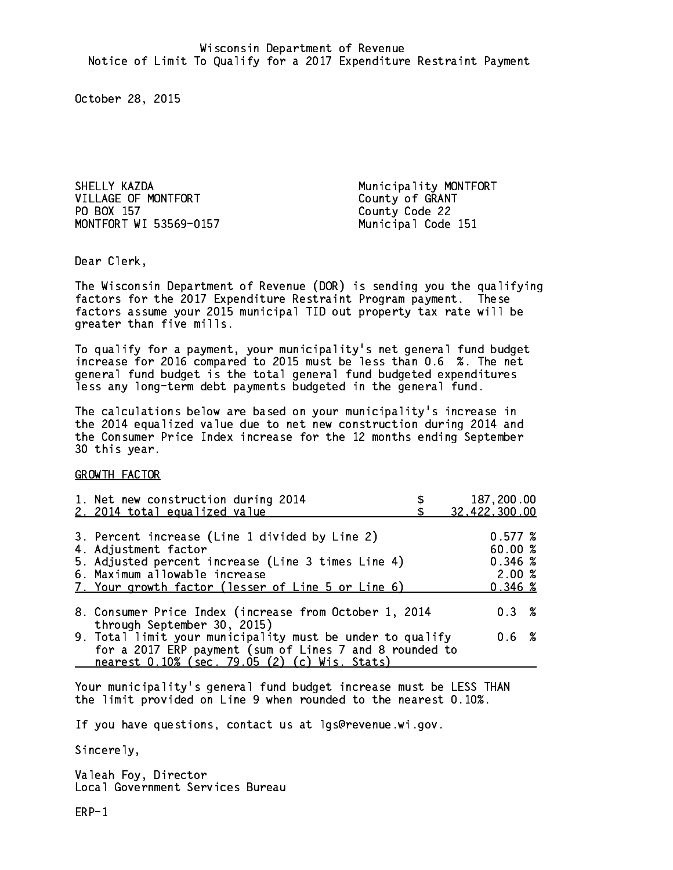SHELLY KAZDA Municipality MONTFORT VILLAGE OF MONTFORT County of GRANT PO BOX 157 MONTFORT WI 53569-0157 Municipal Code 151

County Code 22

Dear Clerk. Dear Clerk,

The Wisconsin Department of Revenue (DOR) is sending you the qualifying factors for the 2017 Expenditure Restraint Program payment. These factors assume your 2015 municipal TID out property tax rate will be greater than five mills.

 To qualify for a payment, your municipality's net general fund budget increase for 2016 compared to 2015 must be less than 0.6 %. The net general fund budget is the total general fund budgeted expenditures less any long-term debt payments budgeted in the general fund.

The calculations below are based on your municipality's increase in the 2014 equalized value due to net new construction during 2014 and the Consumer Price Index increase for the 12 months ending September 30 this year. 30 this year.

GROWTH FACTOR

| 1. Net new construction during 2014<br>2. 2014 total equalized value                                                                                                                                                | 187,200.00<br>32,422,300.00                       |
|---------------------------------------------------------------------------------------------------------------------------------------------------------------------------------------------------------------------|---------------------------------------------------|
| 3. Percent increase (Line 1 divided by Line 2)<br>4. Adjustment factor<br>5. Adjusted percent increase (Line 3 times Line 4)<br>6. Maximum allowable increase<br>7. Your growth factor (lesser of Line 5 or Line 6) | 0.577~%<br>60.00 %<br>0.346~%<br>2.00%<br>0.346~% |
| 8. Consumer Price Index (increase from October 1, 2014                                                                                                                                                              | 0.3%                                              |
| through September 30, 2015)<br>9. Total limit your municipality must be under to qualify<br>for a 2017 ERP payment (sum of Lines 7 and 8 rounded to<br>nearest 0.10% (sec. 79.05 (2) (c) Wis. Stats)                | 0.6 %                                             |

Your municipality's general fund budget increase must be LESS THAN the limit provided on Line 9 when rounded to the nearest 0.10%.

If you have questions, contact us at lgs@revenue.wi.gov.

Sincerely,

Valeah Foy, Director Local Government Services Bureau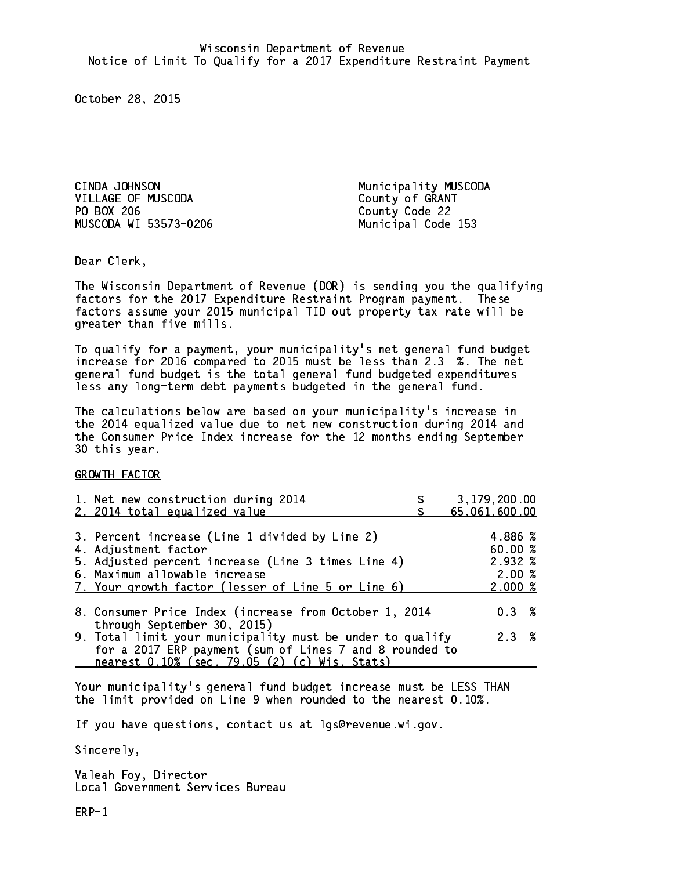CINDA JOHNSON Municipality MUSCODA VILLAGE OF MUSCODA County of GRANT PO BOX 206 County Code 22 MUSCODA WI 53573-0206 Municipal Code 153

Dear Clerk. Dear Clerk,

The Wisconsin Department of Revenue (DOR) is sending you the qualifying factors for the 2017 Expenditure Restraint Program payment. These factors assume your 2015 municipal TID out property tax rate will be greater than five mills.

 To qualify for a payment, your municipality's net general fund budget increase for 2016 compared to 2015 must be less than 2.3 %. The net general fund budget is the total general fund budgeted expenditures less any long-term debt payments budgeted in the general fund.

The calculations below are based on your municipality's increase in the 2014 equalized value due to net new construction during 2014 and the Consumer Price Index increase for the 12 months ending September 30 this year. 30 this year.

GROWTH FACTOR

| 1. Net new construction during 2014<br>2. 2014 total equalized value                                                                                                                                                | 3,179,200.00<br>65,061,600.00                    |
|---------------------------------------------------------------------------------------------------------------------------------------------------------------------------------------------------------------------|--------------------------------------------------|
| 3. Percent increase (Line 1 divided by Line 2)<br>4. Adjustment factor<br>5. Adjusted percent increase (Line 3 times Line 4)<br>6. Maximum allowable increase<br>7. Your growth factor (lesser of Line 5 or Line 6) | 4.886 %<br>60.00%<br>2.932 %<br>2.00%<br>2.000~% |
| 8. Consumer Price Index (increase from October 1, 2014                                                                                                                                                              | $0.3 \t%$                                        |
| through September 30, 2015)<br>9. Total limit your municipality must be under to qualify<br>for a 2017 ERP payment (sum of Lines 7 and 8 rounded to<br>nearest 0.10% (sec. 79.05 (2) (c) Wis. Stats)                | 2.3%                                             |

Your municipality's general fund budget increase must be LESS THAN the limit provided on Line 9 when rounded to the nearest 0.10%.

If you have questions, contact us at lgs@revenue.wi.gov.

Sincerely,

Valeah Foy, Director Local Government Services Bureau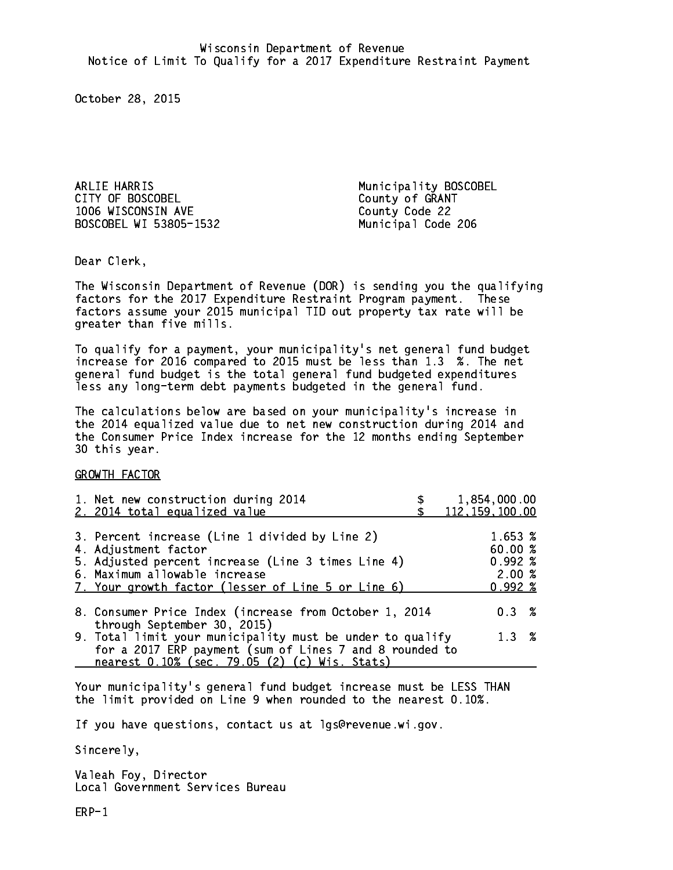ARLIE HARRIS Municipality BOSCOBEL CITY OF BOSCOBEL CITY OF GRANT 1006 WISCONSIN AVE County Code 22 BOSCOBEL WI 53805-1532 Municipal Code 206

Dear Clerk. Dear Clerk,

The Wisconsin Department of Revenue (DOR) is sending you the qualifying factors for the 2017 Expenditure Restraint Program payment. These factors assume your 2015 municipal TID out property tax rate will be greater than five mills.

 To qualify for a payment, your municipality's net general fund budget increase for 2016 compared to 2015 must be less than 1.3 %. The net general fund budget is the total general fund budgeted expenditures less any long-term debt payments budgeted in the general fund.

The calculations below are based on your municipality's increase in the 2014 equalized value due to net new construction during 2014 and the Consumer Price Index increase for the 12 months ending September 30 this year. 30 this year.

GROWTH FACTOR

| 1. Net new construction during 2014<br>2. 2014 total equalized value                                                                                                                                                | 1,854,000.00<br>112, 159, 100.00                       |
|---------------------------------------------------------------------------------------------------------------------------------------------------------------------------------------------------------------------|--------------------------------------------------------|
| 3. Percent increase (Line 1 divided by Line 2)<br>4. Adjustment factor<br>5. Adjusted percent increase (Line 3 times Line 4)<br>6. Maximum allowable increase<br>7. Your growth factor (lesser of Line 5 or Line 6) | 1.653 %<br>60.00%<br>$0.992 \;$ %<br>2.00%<br>$0.992*$ |
| 8. Consumer Price Index (increase from October 1, 2014<br>through September 30, 2015)                                                                                                                               | $0.3 \t%$                                              |
| 9. Total limit your municipality must be under to qualify<br>for a 2017 ERP payment (sum of Lines 7 and 8 rounded to<br>nearest 0.10% (sec. 79.05 (2) (c) Wis. Stats)                                               | 1.3%                                                   |

Your municipality's general fund budget increase must be LESS THAN the limit provided on Line 9 when rounded to the nearest 0.10%.

If you have questions, contact us at lgs@revenue.wi.gov.

Sincerely,

Valeah Foy, Director Local Government Services Bureau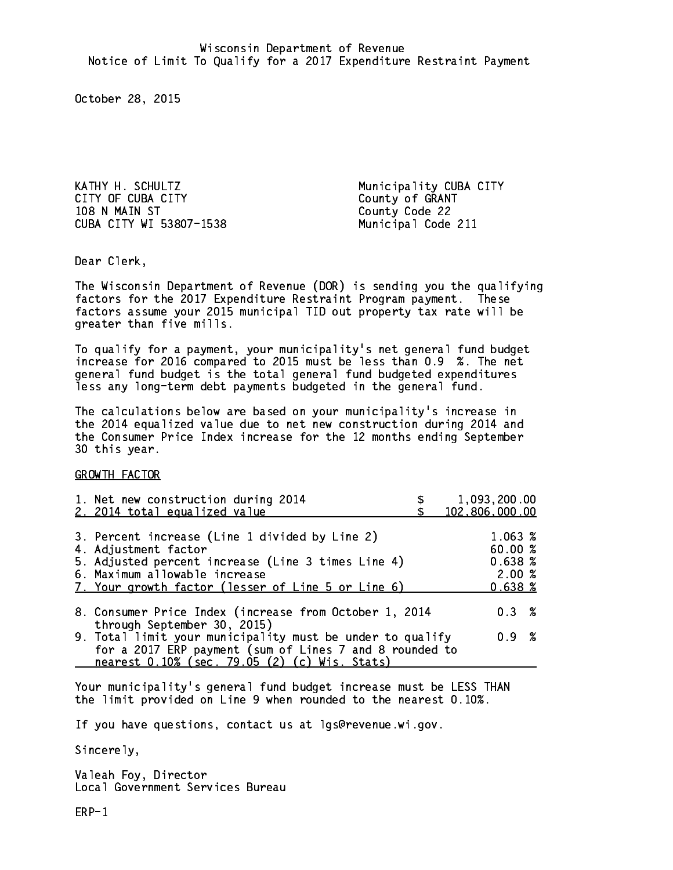KATHY H. SCHULTZ Municipality CUBA CITY CITY OF CUBA CITY<br>108 N MAIN ST County Code 22 CUBA CITY WI 53807-1538 Municipal Code 211

County Code 22

Dear Clerk. Dear Clerk,

The Wisconsin Department of Revenue (DOR) is sending you the qualifying factors for the 2017 Expenditure Restraint Program payment. These factors assume your 2015 municipal TID out property tax rate will be greater than five mills.

 To qualify for a payment, your municipality's net general fund budget increase for 2016 compared to 2015 must be less than 0.9 %. The net general fund budget is the total general fund budgeted expenditures less any long-term debt payments budgeted in the general fund.

The calculations below are based on your municipality's increase in the 2014 equalized value due to net new construction during 2014 and the Consumer Price Index increase for the 12 months ending September 30 this year. 30 this year.

GROWTH FACTOR

| 1,093,200.00<br>102,806,000.00                                                                                                |
|-------------------------------------------------------------------------------------------------------------------------------|
| 1.063~%<br>60.00%<br>0.638~%<br>2.00%<br>0.638~%                                                                              |
| 8. Consumer Price Index (increase from October 1, 2014<br>$0.3 \t%$                                                           |
| 9. Total limit your municipality must be under to qualify<br>0.9 %<br>for a 2017 ERP payment (sum of Lines 7 and 8 rounded to |
|                                                                                                                               |

Your municipality's general fund budget increase must be LESS THAN the limit provided on Line 9 when rounded to the nearest 0.10%.

If you have questions, contact us at lgs@revenue.wi.gov.

Sincerely,

Valeah Foy, Director Local Government Services Bureau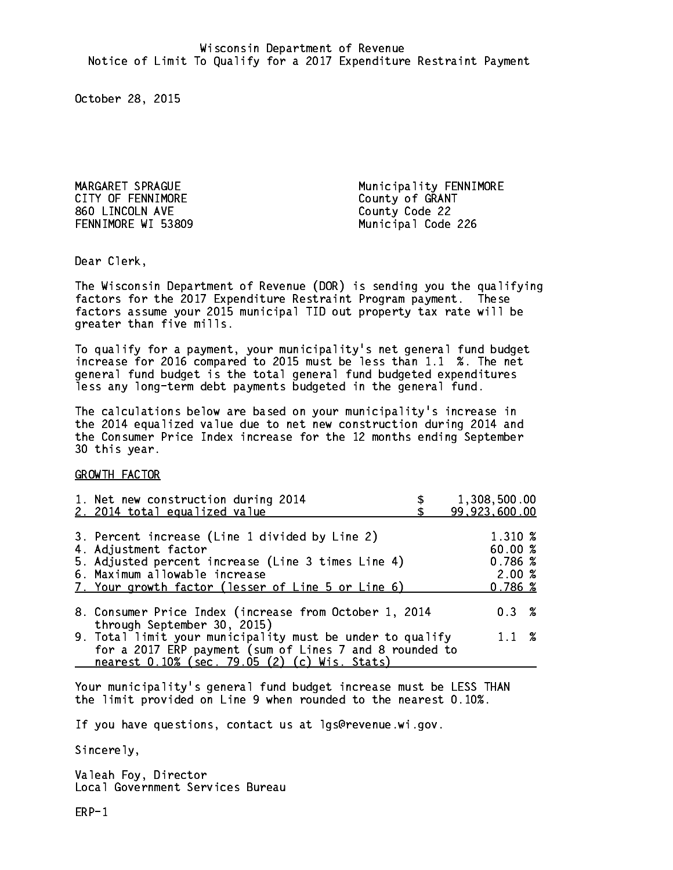CITY OF FENNIMORE CITY OF GRANT 860 LINCOLN AVE County Code 22

MARGARET SPRAGUE **Municipality FENNIMORE** FENNIMORE WI 53809 Municipal Code 226

Dear Clerk. Dear Clerk,

The Wisconsin Department of Revenue (DOR) is sending you the qualifying factors for the 2017 Expenditure Restraint Program payment. These factors assume your 2015 municipal TID out property tax rate will be greater than five mills.

 To qualify for a payment, your municipality's net general fund budget increase for 2016 compared to 2015 must be less than 1.1 %. The net general fund budget is the total general fund budgeted expenditures less any long-term debt payments budgeted in the general fund.

The calculations below are based on your municipality's increase in the 2014 equalized value due to net new construction during 2014 and the Consumer Price Index increase for the 12 months ending September 30 this year. 30 this year.

GROWTH FACTOR

| 1. Net new construction during 2014<br>2. 2014 total equalized value                                                                                                                                                | 1,308,500.00<br>99,923,600.00                     |
|---------------------------------------------------------------------------------------------------------------------------------------------------------------------------------------------------------------------|---------------------------------------------------|
| 3. Percent increase (Line 1 divided by Line 2)<br>4. Adjustment factor<br>5. Adjusted percent increase (Line 3 times Line 4)<br>6. Maximum allowable increase<br>7. Your growth factor (lesser of Line 5 or Line 6) | 1.310 %<br>60.00 %<br>0.786~%<br>2.00%<br>0.786~% |
| 8. Consumer Price Index (increase from October 1, 2014<br>through September 30, 2015)                                                                                                                               | $0.3 \t%$                                         |
| 9. Total limit your municipality must be under to qualify<br>for a 2017 ERP payment (sum of Lines 7 and 8 rounded to<br>nearest 0.10% (sec. 79.05 (2) (c) Wis. Stats)                                               | $1.1 \t%$                                         |

Your municipality's general fund budget increase must be LESS THAN the limit provided on Line 9 when rounded to the nearest 0.10%.

If you have questions, contact us at lgs@revenue.wi.gov.

Sincerely,

Valeah Foy, Director Local Government Services Bureau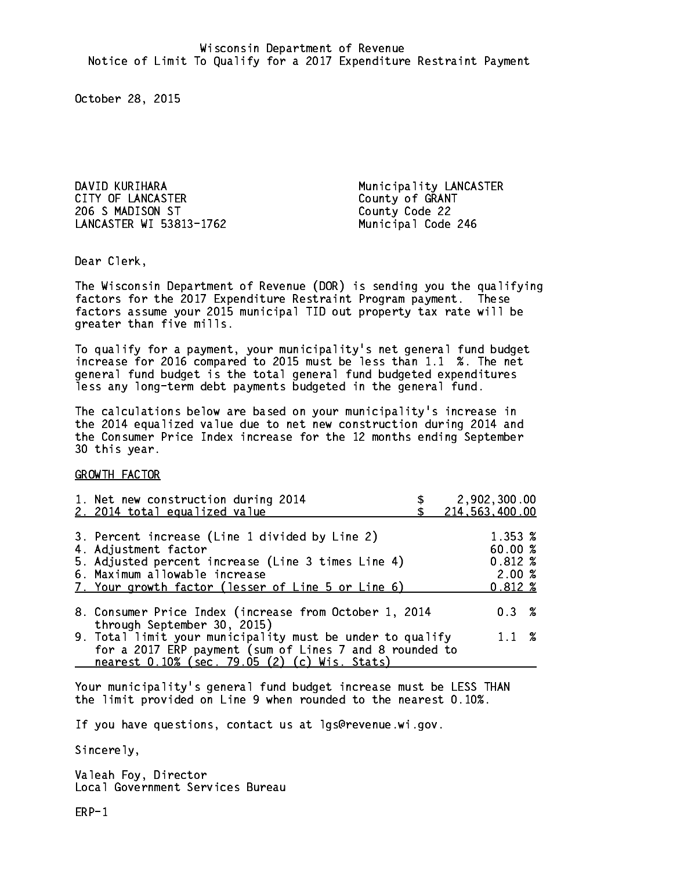DAVID KURIHARA Municipality LANCASTER CITY OF LANCASTER COUNTY OF GRANT 206 S MADISON ST County Code 22 LANCASTER WI 53813-1762 Municipal Code 246

Dear Clerk. Dear Clerk,

The Wisconsin Department of Revenue (DOR) is sending you the qualifying factors for the 2017 Expenditure Restraint Program payment. These factors assume your 2015 municipal TID out property tax rate will be greater than five mills.

 To qualify for a payment, your municipality's net general fund budget increase for 2016 compared to 2015 must be less than 1.1 %. The net general fund budget is the total general fund budgeted expenditures less any long-term debt payments budgeted in the general fund.

The calculations below are based on your municipality's increase in the 2014 equalized value due to net new construction during 2014 and the Consumer Price Index increase for the 12 months ending September 30 this year. 30 this year.

GROWTH FACTOR

| 1. Net new construction during 2014                                                                                                                                                                  | 2,902,300.00   |
|------------------------------------------------------------------------------------------------------------------------------------------------------------------------------------------------------|----------------|
| 2. 2014 total equalized value                                                                                                                                                                        | 214,563,400.00 |
| 3. Percent increase (Line 1 divided by Line 2)                                                                                                                                                       | 1.353 %        |
| 4. Adjustment factor                                                                                                                                                                                 | 60.00%         |
| 5. Adjusted percent increase (Line 3 times Line 4)                                                                                                                                                   | $0.812*$       |
| 6. Maximum allowable increase                                                                                                                                                                        | 2.00%          |
| 7. Your growth factor (lesser of Line 5 or Line 6)                                                                                                                                                   | $0.812 \; %$   |
| 8. Consumer Price Index (increase from October 1, 2014                                                                                                                                               | $0.3 \t%$      |
| through September 30, 2015)<br>9. Total limit your municipality must be under to qualify<br>for a 2017 ERP payment (sum of Lines 7 and 8 rounded to<br>nearest 0.10% (sec. 79.05 (2) (c) Wis. Stats) | $1.1 \t%$      |

Your municipality's general fund budget increase must be LESS THAN the limit provided on Line 9 when rounded to the nearest 0.10%.

If you have questions, contact us at lgs@revenue.wi.gov.

Sincerely,

Valeah Foy, Director Local Government Services Bureau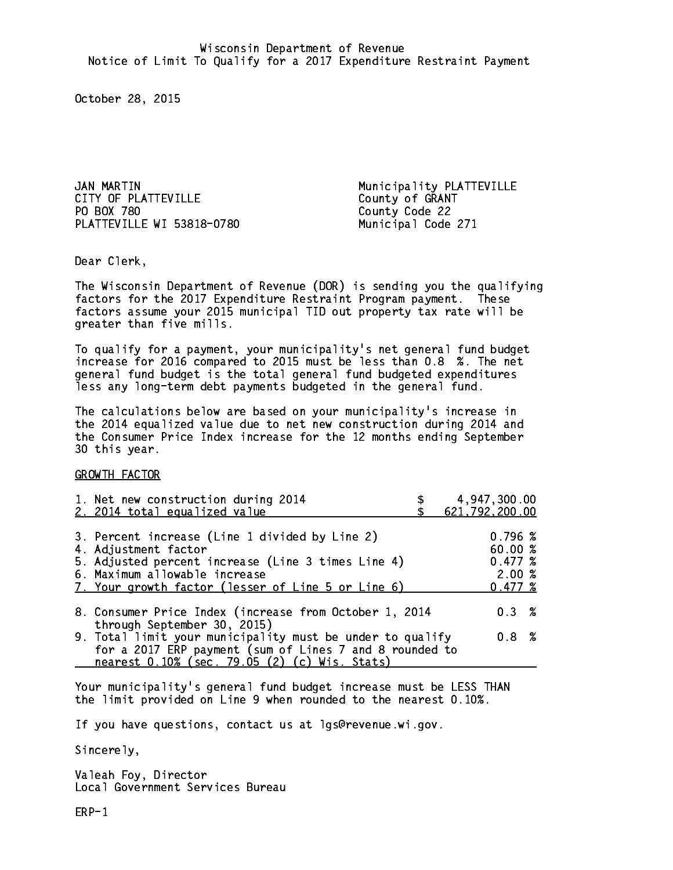JAN MARTIN Municipality PLATTEVILLE CITY OF PLATTEVILLE CITY OF GRANT PO BOX 780 PLATTEVILLE WI 53818-0780 Municipal Code 271

County Code 22

Dear Clerk. Dear Clerk,

The Wisconsin Department of Revenue (DOR) is sending you the qualifying factors for the 2017 Expenditure Restraint Program payment. These factors assume your 2015 municipal TID out property tax rate will be greater than five mills.

 To qualify for a payment, your municipality's net general fund budget increase for 2016 compared to 2015 must be less than 0.8 %. The net general fund budget is the total general fund budgeted expenditures less any long-term debt payments budgeted in the general fund.

The calculations below are based on your municipality's increase in the 2014 equalized value due to net new construction during 2014 and the Consumer Price Index increase for the 12 months ending September 30 this year. 30 this year.

GROWTH FACTOR

| 1. Net new construction during 2014<br>2. 2014 total equalized value                                                                                                                                                | 4,947,300.00<br>621,792,200.00                    |
|---------------------------------------------------------------------------------------------------------------------------------------------------------------------------------------------------------------------|---------------------------------------------------|
| 3. Percent increase (Line 1 divided by Line 2)<br>4. Adjustment factor<br>5. Adjusted percent increase (Line 3 times Line 4)<br>6. Maximum allowable increase<br>7. Your growth factor (lesser of Line 5 or Line 6) | 0.796~%<br>60.00 %<br>0.477~%<br>2.00%<br>0.477~% |
| 8. Consumer Price Index (increase from October 1, 2014                                                                                                                                                              | $0.3 \t%$                                         |
| through September 30, 2015)<br>9. Total limit your municipality must be under to qualify<br>for a 2017 ERP payment (sum of Lines 7 and 8 rounded to<br>nearest 0.10% (sec. 79.05 (2) (c) Wis. Stats)                | 0.8 %                                             |

Your municipality's general fund budget increase must be LESS THAN the limit provided on Line 9 when rounded to the nearest 0.10%.

If you have questions, contact us at lgs@revenue.wi.gov.

Sincerely,

Valeah Foy, Director Local Government Services Bureau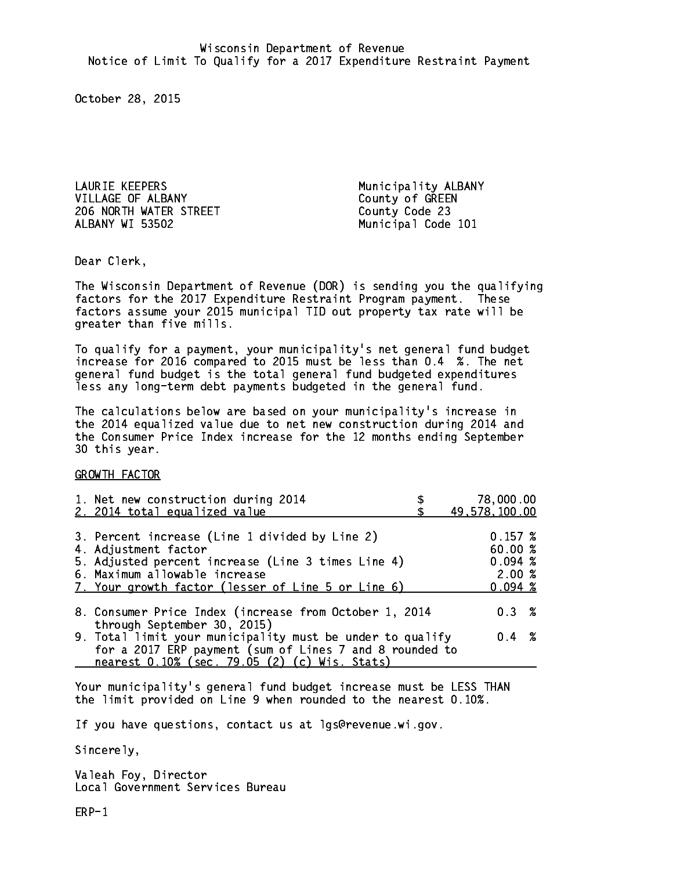LAURIE KEEPERS Municipality ALBANY VILLAGE OF ALBANY County of GREEN 206 NORTH WATER STREET County Code 23 ALBANY WI 53502

Municipal Code 101

Dear Clerk. Dear Clerk,

The Wisconsin Department of Revenue (DOR) is sending you the qualifying factors for the 2017 Expenditure Restraint Program payment. These factors assume your 2015 municipal TID out property tax rate will be greater than five mills.

 To qualify for a payment, your municipality's net general fund budget increase for 2016 compared to 2015 must be less than 0.4 %. The net general fund budget is the total general fund budgeted expenditures less any long-term debt payments budgeted in the general fund.

The calculations below are based on your municipality's increase in the 2014 equalized value due to net new construction during 2014 and the Consumer Price Index increase for the 12 months ending September 30 this year. 30 this year.

GROWTH FACTOR

| 1. Net new construction during 2014<br>2. 2014 total equalized value                | 78,000.00<br>49,578,100.00 |
|-------------------------------------------------------------------------------------|----------------------------|
|                                                                                     |                            |
| 3. Percent increase (Line 1 divided by Line 2)                                      | 0.157~%                    |
| 4. Adjustment factor                                                                | 60.00%                     |
| 5. Adjusted percent increase (Line 3 times Line 4)                                  | 0.094~%<br>2.00%           |
| 6. Maximum allowable increase<br>7. Your growth factor (lesser of Line 5 or Line 6) | $0.094 \; %$               |
|                                                                                     |                            |
| 8. Consumer Price Index (increase from October 1, 2014                              | $0.3 \t%$                  |
| through September 30, 2015)                                                         |                            |
| 9. Total limit your municipality must be under to qualify                           | $0.4 \t%$                  |
| for a 2017 ERP payment (sum of Lines 7 and 8 rounded to                             |                            |
| nearest 0.10% (sec. 79.05 (2) (c) Wis. Stats)                                       |                            |

Your municipality's general fund budget increase must be LESS THAN the limit provided on Line 9 when rounded to the nearest 0.10%.

If you have questions, contact us at lgs@revenue.wi.gov.

Sincerely,

Valeah Foy, Director Local Government Services Bureau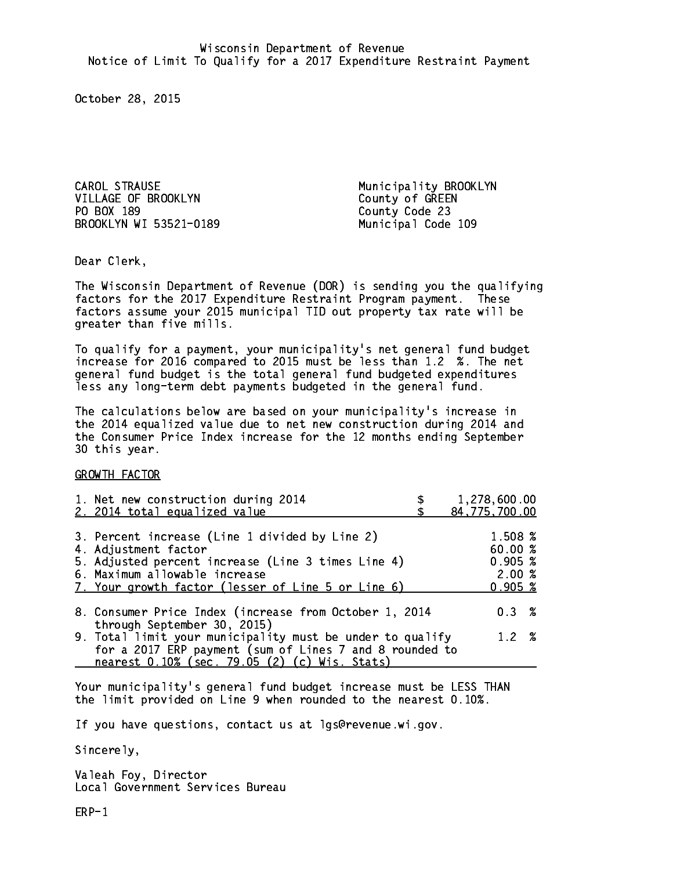CAROL STRAUSE Municipality BROOKLYN VILLAGE OF BROOKLYN COUNTY Of GREEN PO BOX 189 BROOKLYN WI 53521-0189 Municipal Code 109

County Code 23

Dear Clerk. Dear Clerk,

The Wisconsin Department of Revenue (DOR) is sending you the qualifying factors for the 2017 Expenditure Restraint Program payment. These factors assume your 2015 municipal TID out property tax rate will be greater than five mills.

 To qualify for a payment, your municipality's net general fund budget increase for 2016 compared to 2015 must be less than 1.2 %. The net general fund budget is the total general fund budgeted expenditures less any long-term debt payments budgeted in the general fund.

The calculations below are based on your municipality's increase in the 2014 equalized value due to net new construction during 2014 and the Consumer Price Index increase for the 12 months ending September 30 this year. 30 this year.

GROWTH FACTOR

| 1. Net new construction during 2014<br>2. 2014 total equalized value                                                                                                                                                | 1,278,600.00<br>84, 775, 700.00                  |
|---------------------------------------------------------------------------------------------------------------------------------------------------------------------------------------------------------------------|--------------------------------------------------|
| 3. Percent increase (Line 1 divided by Line 2)<br>4. Adjustment factor<br>5. Adjusted percent increase (Line 3 times Line 4)<br>6. Maximum allowable increase<br>7. Your growth factor (lesser of Line 5 or Line 6) | 1.508 %<br>60.00%<br>0.905~%<br>2.00%<br>0.905~% |
| 8. Consumer Price Index (increase from October 1, 2014<br>through September 30, 2015)                                                                                                                               | 0.3%                                             |
| 9. Total limit your municipality must be under to qualify<br>for a 2017 ERP payment (sum of Lines 7 and 8 rounded to<br>nearest 0.10% (sec. 79.05 (2) (c) Wis. Stats)                                               | 1.2%                                             |

Your municipality's general fund budget increase must be LESS THAN the limit provided on Line 9 when rounded to the nearest 0.10%.

If you have questions, contact us at lgs@revenue.wi.gov.

Sincerely,

Valeah Foy, Director Local Government Services Bureau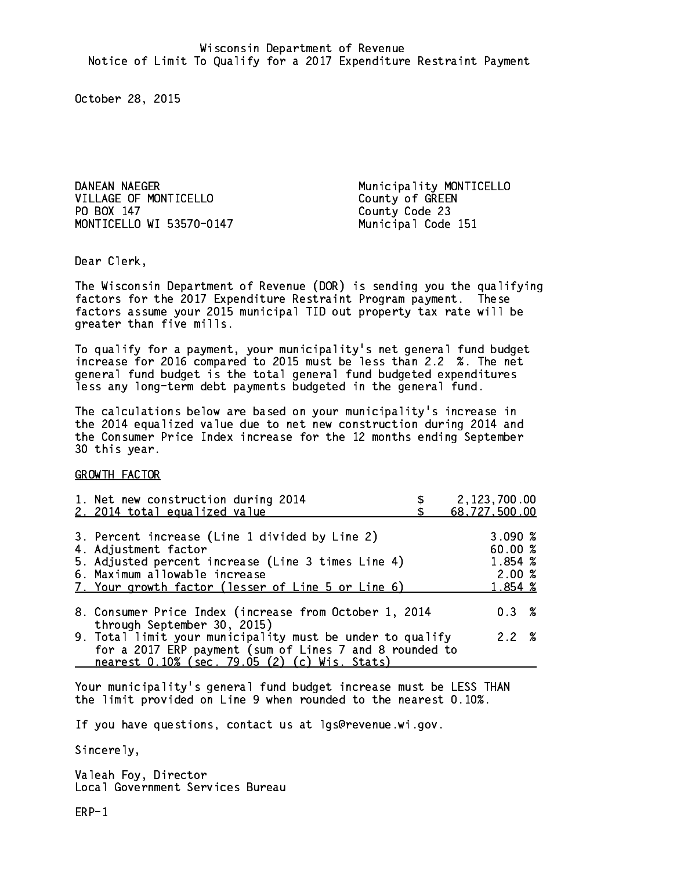DANEAN NAEGER Municipality MONTICELLO VILLAGE OF MONTICELLO County of GREEN PO BOX 147 MONTICELLO WI 53570-0147 Municipal Code 151

County Code 23

Dear Clerk. Dear Clerk,

The Wisconsin Department of Revenue (DOR) is sending you the qualifying factors for the 2017 Expenditure Restraint Program payment. These factors assume your 2015 municipal TID out property tax rate will be greater than five mills.

 To qualify for a payment, your municipality's net general fund budget increase for 2016 compared to 2015 must be less than 2.2 %. The net general fund budget is the total general fund budgeted expenditures less any long-term debt payments budgeted in the general fund.

The calculations below are based on your municipality's increase in the 2014 equalized value due to net new construction during 2014 and the Consumer Price Index increase for the 12 months ending September 30 this year. 30 this year.

GROWTH FACTOR

| 1. Net new construction during 2014<br>2. 2014 total equalized value                                                                                                                                                | 2,123,700.00<br>68,727,500.00                     |
|---------------------------------------------------------------------------------------------------------------------------------------------------------------------------------------------------------------------|---------------------------------------------------|
| 3. Percent increase (Line 1 divided by Line 2)<br>4. Adjustment factor<br>5. Adjusted percent increase (Line 3 times Line 4)<br>6. Maximum allowable increase<br>7. Your growth factor (lesser of Line 5 or Line 6) | 3.090~%<br>60.00 %<br>1.854 %<br>2.00%<br>1.854 % |
| 8. Consumer Price Index (increase from October 1, 2014<br>through September 30, 2015)                                                                                                                               | $0.3 \t%$                                         |
| 9. Total limit your municipality must be under to qualify<br>for a 2017 ERP payment (sum of Lines 7 and 8 rounded to<br>nearest 0.10% (sec. 79.05 (2) (c) Wis. Stats)                                               | 2.2%                                              |

Your municipality's general fund budget increase must be LESS THAN the limit provided on Line 9 when rounded to the nearest 0.10%.

If you have questions, contact us at lgs@revenue.wi.gov.

Sincerely,

Valeah Foy, Director Local Government Services Bureau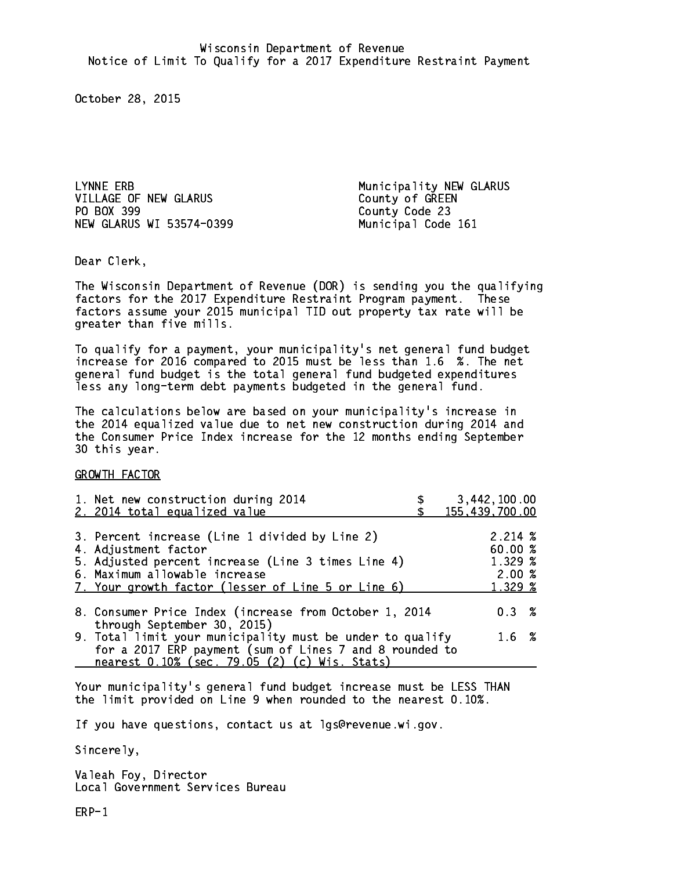VILLAGE OF NEW GLARUS County of GREEN PO BOX 399 NEW GLARUS WI 53574-0399 Municipal Code 161

LYNNE ERB **Municipality NEW GLARUS** County Code 23

Dear Clerk. Dear Clerk,

The Wisconsin Department of Revenue (DOR) is sending you the qualifying factors for the 2017 Expenditure Restraint Program payment. These factors assume your 2015 municipal TID out property tax rate will be greater than five mills.

 To qualify for a payment, your municipality's net general fund budget increase for 2016 compared to 2015 must be less than 1.6 %. The net general fund budget is the total general fund budgeted expenditures less any long-term debt payments budgeted in the general fund.

The calculations below are based on your municipality's increase in the 2014 equalized value due to net new construction during 2014 and the Consumer Price Index increase for the 12 months ending September 30 this year. 30 this year.

GROWTH FACTOR

| 1. Net new construction during 2014<br>2. 2014 total equalized value                                                                                                                                                | 3,442,100.00<br>155,439,700.00                          |
|---------------------------------------------------------------------------------------------------------------------------------------------------------------------------------------------------------------------|---------------------------------------------------------|
| 3. Percent increase (Line 1 divided by Line 2)<br>4. Adjustment factor<br>5. Adjusted percent increase (Line 3 times Line 4)<br>6. Maximum allowable increase<br>7. Your growth factor (lesser of Line 5 or Line 6) | $2.214 \; \%$<br>60.00 %<br>1.329 %<br>2.00%<br>1.329 % |
| 8. Consumer Price Index (increase from October 1, 2014                                                                                                                                                              | $0.3 \t%$                                               |
| through September 30, 2015)<br>9. Total limit your municipality must be under to qualify<br>for a 2017 ERP payment (sum of Lines 7 and 8 rounded to<br>nearest 0.10% (sec. 79.05 (2) (c) Wis. Stats)                | 1.6 %                                                   |

Your municipality's general fund budget increase must be LESS THAN the limit provided on Line 9 when rounded to the nearest 0.10%.

If you have questions, contact us at lgs@revenue.wi.gov.

Sincerely,

Valeah Foy, Director Local Government Services Bureau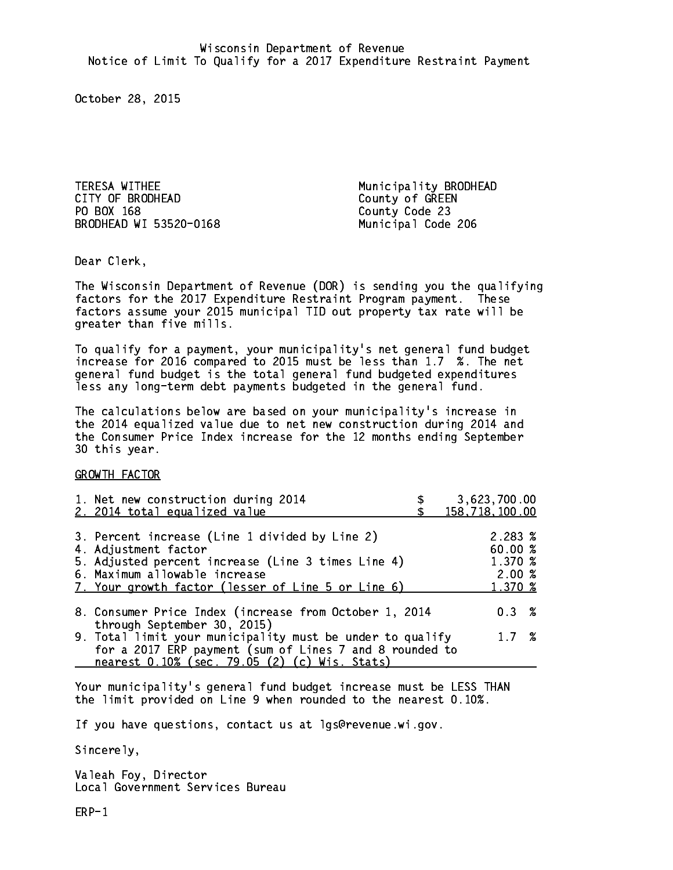TERESA WITHEE Municipality BRODHEAD CITY OF BRODHEAD COUNTY OF GREEN PO BOX 168 BRODHEAD WI 53520-0168 Municipal Code 206

County Code 23

Dear Clerk. Dear Clerk,

The Wisconsin Department of Revenue (DOR) is sending you the qualifying factors for the 2017 Expenditure Restraint Program payment. These factors assume your 2015 municipal TID out property tax rate will be greater than five mills.

 To qualify for a payment, your municipality's net general fund budget increase for 2016 compared to 2015 must be less than 1.7 %. The net general fund budget is the total general fund budgeted expenditures less any long-term debt payments budgeted in the general fund.

The calculations below are based on your municipality's increase in the 2014 equalized value due to net new construction during 2014 and the Consumer Price Index increase for the 12 months ending September 30 this year. 30 this year.

GROWTH FACTOR

| 1. Net new construction during 2014<br>2. 2014 total equalized value                                                                                                                                                | 3,623,700.00<br>158,718,100.00                   |
|---------------------------------------------------------------------------------------------------------------------------------------------------------------------------------------------------------------------|--------------------------------------------------|
| 3. Percent increase (Line 1 divided by Line 2)<br>4. Adjustment factor<br>5. Adjusted percent increase (Line 3 times Line 4)<br>6. Maximum allowable increase<br>7. Your growth factor (lesser of Line 5 or Line 6) | 2.283 %<br>60.00%<br>1.370 %<br>2.00%<br>1.370 % |
| 8. Consumer Price Index (increase from October 1, 2014                                                                                                                                                              | $0.3 \t%$                                        |
| through September 30, 2015)<br>9. Total limit your municipality must be under to qualify<br>for a 2017 ERP payment (sum of Lines 7 and 8 rounded to<br>nearest 0.10% (sec. 79.05 (2) (c) Wis. Stats)                | 1.7%                                             |

Your municipality's general fund budget increase must be LESS THAN the limit provided on Line 9 when rounded to the nearest 0.10%.

If you have questions, contact us at lgs@revenue.wi.gov.

Sincerely,

Valeah Foy, Director Local Government Services Bureau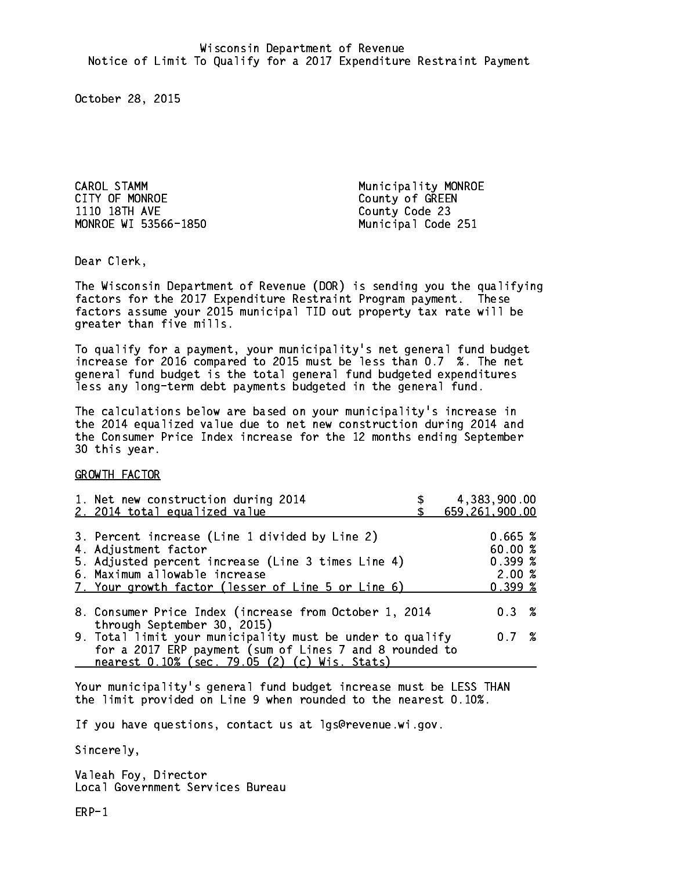CAROL STAMM **Municipality MONROE** CITY OF MONROE COUNTY OF GREEN 1110 18TH AVE County Code 23 MONROE WI 53566-1850 Municipal Code 251

Dear Clerk. Dear Clerk,

The Wisconsin Department of Revenue (DOR) is sending you the qualifying factors for the 2017 Expenditure Restraint Program payment. These factors assume your 2015 municipal TID out property tax rate will be greater than five mills.

 To qualify for a payment, your municipality's net general fund budget increase for 2016 compared to 2015 must be less than 0.7 %. The net general fund budget is the total general fund budgeted expenditures less any long-term debt payments budgeted in the general fund.

The calculations below are based on your municipality's increase in the 2014 equalized value due to net new construction during 2014 and the Consumer Price Index increase for the 12 months ending September 30 this year. 30 this year.

GROWTH FACTOR

| 1. Net new construction during 2014<br>2. 2014 total equalized value                                                                                                                                                | 4,383,900.00<br>659,261,900.00                   |
|---------------------------------------------------------------------------------------------------------------------------------------------------------------------------------------------------------------------|--------------------------------------------------|
| 3. Percent increase (Line 1 divided by Line 2)<br>4. Adjustment factor<br>5. Adjusted percent increase (Line 3 times Line 4)<br>6. Maximum allowable increase<br>7. Your growth factor (lesser of Line 5 or Line 6) | 0.665~%<br>60.00%<br>0.399~%<br>2.00%<br>0.399~% |
| 8. Consumer Price Index (increase from October 1, 2014                                                                                                                                                              | $0.3 \t%$                                        |
| through September 30, 2015)<br>9. Total limit your municipality must be under to qualify<br>for a 2017 ERP payment (sum of Lines 7 and 8 rounded to<br>nearest 0.10% (sec. 79.05 (2) (c) Wis. Stats)                | 0.7%                                             |

Your municipality's general fund budget increase must be LESS THAN the limit provided on Line 9 when rounded to the nearest 0.10%.

If you have questions, contact us at lgs@revenue.wi.gov.

Sincerely,

Valeah Foy, Director Local Government Services Bureau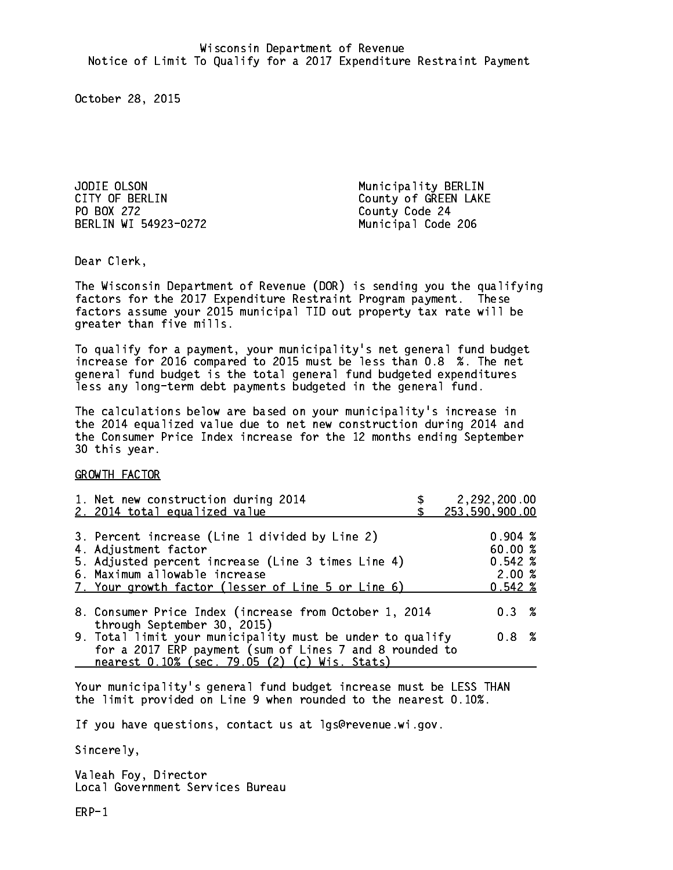JODIE OLSON Municipality BERLIN PO BOX 272 County Code 24 BERLIN WI 54923-0272 Municipal Code 206

CITY OF BERLIN COUNTY OF BERLIN

Dear Clerk. Dear Clerk,

The Wisconsin Department of Revenue (DOR) is sending you the qualifying factors for the 2017 Expenditure Restraint Program payment. These factors assume your 2015 municipal TID out property tax rate will be greater than five mills.

 To qualify for a payment, your municipality's net general fund budget increase for 2016 compared to 2015 must be less than 0.8 %. The net general fund budget is the total general fund budgeted expenditures less any long-term debt payments budgeted in the general fund.

The calculations below are based on your municipality's increase in the 2014 equalized value due to net new construction during 2014 and the Consumer Price Index increase for the 12 months ending September 30 this year. 30 this year.

GROWTH FACTOR

| 1. Net new construction during 2014<br>2. 2014 total equalized value                                                                                                                                                |                                                                              | 2,292,200.00<br>253,590,900.00                                                                                                                                                 |
|---------------------------------------------------------------------------------------------------------------------------------------------------------------------------------------------------------------------|------------------------------------------------------------------------------|--------------------------------------------------------------------------------------------------------------------------------------------------------------------------------|
| 3. Percent increase (Line 1 divided by Line 2)<br>4. Adjustment factor<br>5. Adjusted percent increase (Line 3 times Line 4)<br>6. Maximum allowable increase<br>7. Your growth factor (lesser of Line 5 or Line 6) |                                                                              | $0.904 \;$ %<br>60.00 %<br>$0.542 \; %$<br>2.00%<br>$0.542 \; %$                                                                                                               |
|                                                                                                                                                                                                                     |                                                                              | $0.3 \t%$                                                                                                                                                                      |
|                                                                                                                                                                                                                     |                                                                              | 0.8 %                                                                                                                                                                          |
|                                                                                                                                                                                                                     | through September 30, 2015)<br>nearest 0.10% (sec. 79.05 (2) (c) Wis. Stats) | 8. Consumer Price Index (increase from October 1, 2014<br>9. Total limit your municipality must be under to qualify<br>for a 2017 ERP payment (sum of Lines 7 and 8 rounded to |

Your municipality's general fund budget increase must be LESS THAN the limit provided on Line 9 when rounded to the nearest 0.10%.

If you have questions, contact us at lgs@revenue.wi.gov.

Sincerely,

Valeah Foy, Director Local Government Services Bureau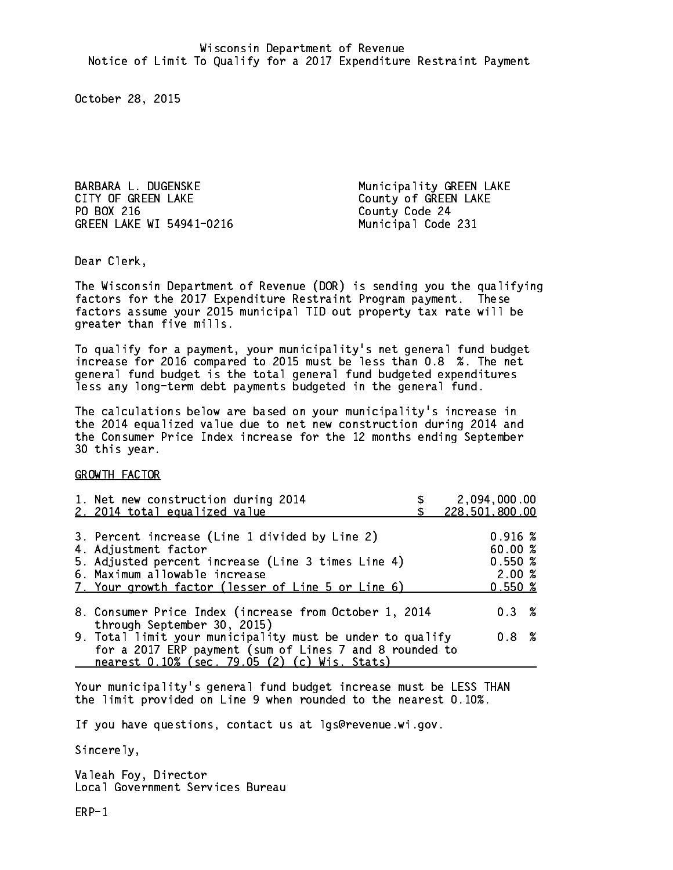BARBARA L. DUGENSKE Municipality GREEN LAKE CITY OF GREEN LAKE COUNTY OF GREEN LAKE PO BOX 216 GREEN LAKE WI 54941-0216 Municipal Code 231

County Code 24

Dear Clerk. Dear Clerk,

The Wisconsin Department of Revenue (DOR) is sending you the qualifying factors for the 2017 Expenditure Restraint Program payment. These factors assume your 2015 municipal TID out property tax rate will be greater than five mills.

 To qualify for a payment, your municipality's net general fund budget increase for 2016 compared to 2015 must be less than 0.8 %. The net general fund budget is the total general fund budgeted expenditures less any long-term debt payments budgeted in the general fund.

The calculations below are based on your municipality's increase in the 2014 equalized value due to net new construction during 2014 and the Consumer Price Index increase for the 12 months ending September 30 this year. 30 this year.

GROWTH FACTOR

| 1. Net new construction during 2014<br>2. 2014 total equalized value                                                                                                                                                | 2,094,000.00<br>228,501,800.00                                  |
|---------------------------------------------------------------------------------------------------------------------------------------------------------------------------------------------------------------------|-----------------------------------------------------------------|
| 3. Percent increase (Line 1 divided by Line 2)<br>4. Adjustment factor<br>5. Adjusted percent increase (Line 3 times Line 4)<br>6. Maximum allowable increase<br>7. Your growth factor (lesser of Line 5 or Line 6) | $0.916 \; \text{\%}$<br>60.00 %<br>$0.550*$<br>2.00%<br>0.550~% |
| 8. Consumer Price Index (increase from October 1, 2014                                                                                                                                                              | $0.3 \t%$                                                       |
| through September 30, 2015)<br>9. Total limit your municipality must be under to qualify<br>for a 2017 ERP payment (sum of Lines 7 and 8 rounded to<br>nearest 0.10% (sec. 79.05 (2) (c) Wis. Stats)                | 0.8 %                                                           |

Your municipality's general fund budget increase must be LESS THAN the limit provided on Line 9 when rounded to the nearest 0.10%.

If you have questions, contact us at lgs@revenue.wi.gov.

Sincerely,

Valeah Foy, Director Local Government Services Bureau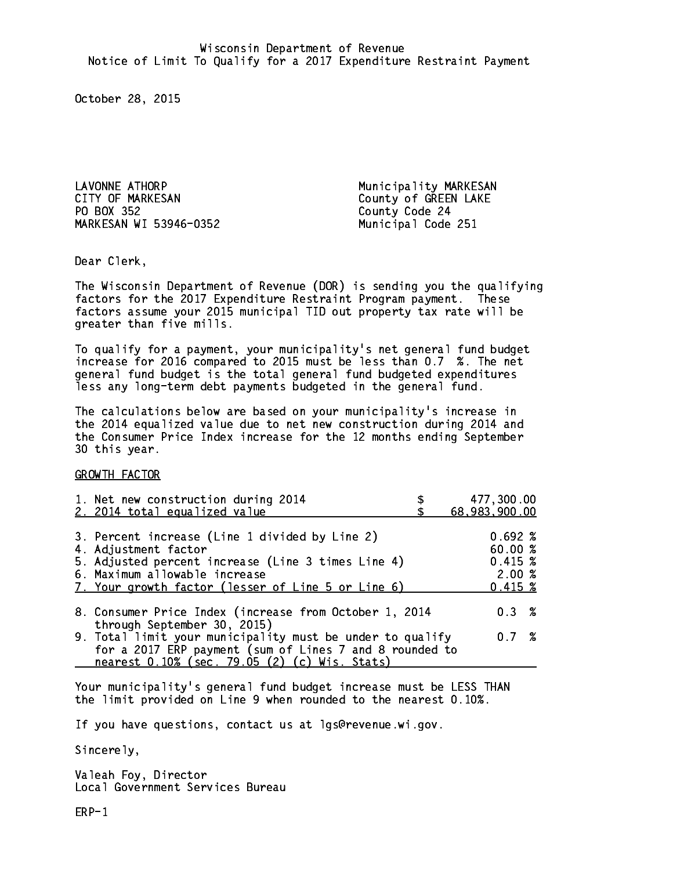LAVONNE ATHORP **Municipality MARKESAN** CITY OF MARKESAN COUNTY OF MARKESAN PO BOX 352 MARKESAN WI 53946-0352 Municipal Code 251

County Code 24

Dear Clerk. Dear Clerk,

The Wisconsin Department of Revenue (DOR) is sending you the qualifying factors for the 2017 Expenditure Restraint Program payment. These factors assume your 2015 municipal TID out property tax rate will be greater than five mills.

 To qualify for a payment, your municipality's net general fund budget increase for 2016 compared to 2015 must be less than 0.7 %. The net general fund budget is the total general fund budgeted expenditures less any long-term debt payments budgeted in the general fund.

The calculations below are based on your municipality's increase in the 2014 equalized value due to net new construction during 2014 and the Consumer Price Index increase for the 12 months ending September 30 this year. 30 this year.

GROWTH FACTOR

| 1. Net new construction during 2014<br>2. 2014 total equalized value                                                                                                                                                | 477,300.00<br>68,983,900.00                          |
|---------------------------------------------------------------------------------------------------------------------------------------------------------------------------------------------------------------------|------------------------------------------------------|
| 3. Percent increase (Line 1 divided by Line 2)<br>4. Adjustment factor<br>5. Adjusted percent increase (Line 3 times Line 4)<br>6. Maximum allowable increase<br>7. Your growth factor (lesser of Line 5 or Line 6) | 0.692%<br>60.00%<br>0.415~%<br>2.00%<br>$0.415 \;$ % |
| 8. Consumer Price Index (increase from October 1, 2014                                                                                                                                                              | $0.3 \t%$                                            |
| through September 30, 2015)<br>9. Total limit your municipality must be under to qualify<br>for a 2017 ERP payment (sum of Lines 7 and 8 rounded to<br>nearest 0.10% (sec. 79.05 (2) (c) Wis. Stats)                | 0.7%                                                 |

Your municipality's general fund budget increase must be LESS THAN the limit provided on Line 9 when rounded to the nearest 0.10%.

If you have questions, contact us at lgs@revenue.wi.gov.

Sincerely,

Valeah Foy, Director Local Government Services Bureau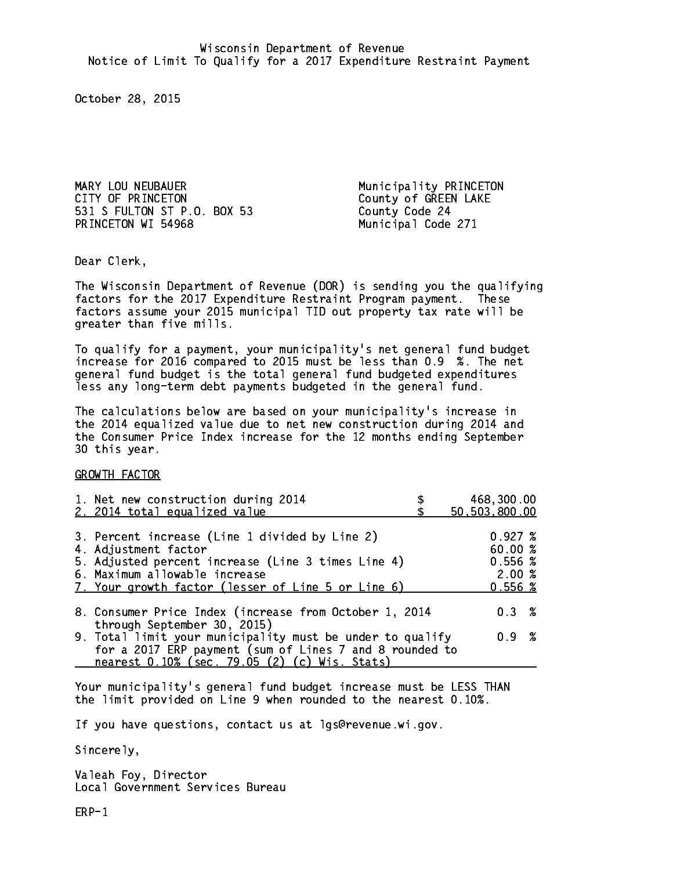MARY LOU NEUBAUER **Municipality PRINCETON** CITY OF PRINCETON COUNTY OF GREEN LAKE 531 S FULTON ST P.O. BOX 53 County Code 24 PRINCETON WI 54968 Municipal Code 271

Dear Clerk. Dear Clerk,

The Wisconsin Department of Revenue (DOR) is sending you the qualifying factors for the 2017 Expenditure Restraint Program payment. These factors assume your 2015 municipal TID out property tax rate will be greater than five mills.

 To qualify for a payment, your municipality's net general fund budget increase for 2016 compared to 2015 must be less than 0.9 %. The net general fund budget is the total general fund budgeted expenditures less any long-term debt payments budgeted in the general fund.

The calculations below are based on your municipality's increase in the 2014 equalized value due to net new construction during 2014 and the Consumer Price Index increase for the 12 months ending September 30 this year. 30 this year.

GROWTH FACTOR

| 1. Net new construction during 2014<br>2. 2014 total equalized value                                                                                                                                                | 468,300.00<br>50,503,800.00                                |
|---------------------------------------------------------------------------------------------------------------------------------------------------------------------------------------------------------------------|------------------------------------------------------------|
| 3. Percent increase (Line 1 divided by Line 2)<br>4. Adjustment factor<br>5. Adjusted percent increase (Line 3 times Line 4)<br>6. Maximum allowable increase<br>7. Your growth factor (lesser of Line 5 or Line 6) | $0.927 \;$ %<br>60.00 %<br>$0.556$ %<br>2.00%<br>$0.556$ % |
| 8. Consumer Price Index (increase from October 1, 2014                                                                                                                                                              | $0.3 \t%$                                                  |
| through September 30, 2015)<br>9. Total limit your municipality must be under to qualify<br>for a 2017 ERP payment (sum of Lines 7 and 8 rounded to<br>nearest 0.10% (sec. 79.05 (2) (c) Wis. Stats)                | 0.9 %                                                      |

Your municipality's general fund budget increase must be LESS THAN the limit provided on Line 9 when rounded to the nearest 0.10%.

If you have questions, contact us at lgs@revenue.wi.gov.

Sincerely,

Valeah Foy, Director Local Government Services Bureau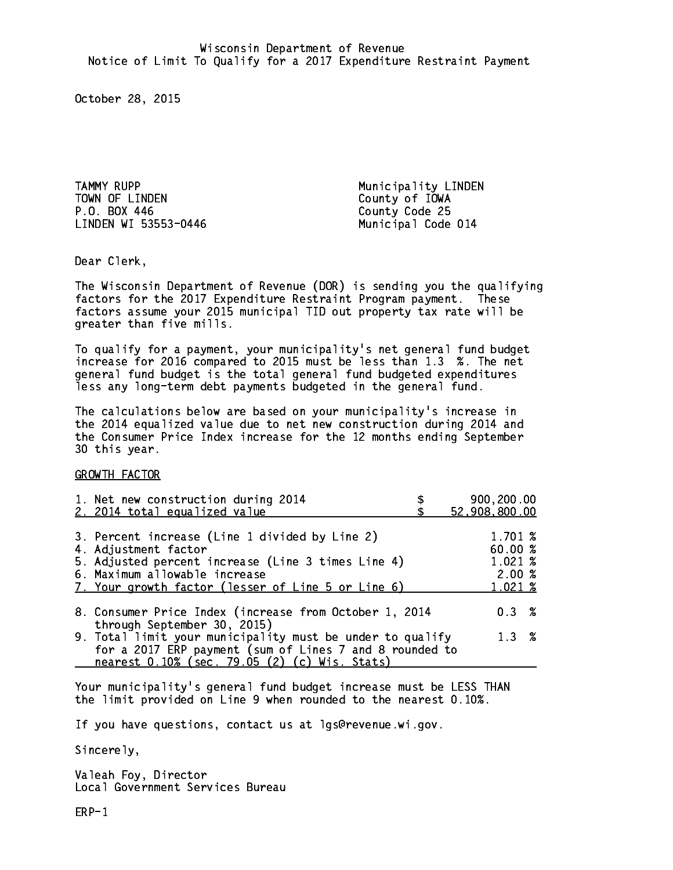TAMMY RUPP **Municipality** LINDEN TOWN OF LINDEN County of IOWA P.O. BOX 446 County Code 25 LINDEN WI 53553-0446 Municipal Code 014

Dear Clerk. Dear Clerk,

The Wisconsin Department of Revenue (DOR) is sending you the qualifying factors for the 2017 Expenditure Restraint Program payment. These factors assume your 2015 municipal TID out property tax rate will be greater than five mills.

 To qualify for a payment, your municipality's net general fund budget increase for 2016 compared to 2015 must be less than 1.3 %. The net general fund budget is the total general fund budgeted expenditures less any long-term debt payments budgeted in the general fund.

The calculations below are based on your municipality's increase in the 2014 equalized value due to net new construction during 2014 and the Consumer Price Index increase for the 12 months ending September 30 this year. 30 this year.

GROWTH FACTOR

| 1. Net new construction during 2014<br>2. 2014 total equalized value                                                                                                                                                | 900,200.00<br>52,908,800.00                      |
|---------------------------------------------------------------------------------------------------------------------------------------------------------------------------------------------------------------------|--------------------------------------------------|
| 3. Percent increase (Line 1 divided by Line 2)<br>4. Adjustment factor<br>5. Adjusted percent increase (Line 3 times Line 4)<br>6. Maximum allowable increase<br>7. Your growth factor (lesser of Line 5 or Line 6) | 1.701 %<br>60.00%<br>1.021 %<br>2.00%<br>1.021 % |
| 8. Consumer Price Index (increase from October 1, 2014<br>through September 30, 2015)                                                                                                                               | $0.3 \t%$                                        |
| 9. Total limit your municipality must be under to qualify<br>for a 2017 ERP payment (sum of Lines 7 and 8 rounded to<br>nearest 0.10% (sec. 79.05 (2) (c) Wis. Stats)                                               | 1.3%                                             |

Your municipality's general fund budget increase must be LESS THAN the limit provided on Line 9 when rounded to the nearest 0.10%.

If you have questions, contact us at lgs@revenue.wi.gov.

Sincerely,

Valeah Foy, Director Local Government Services Bureau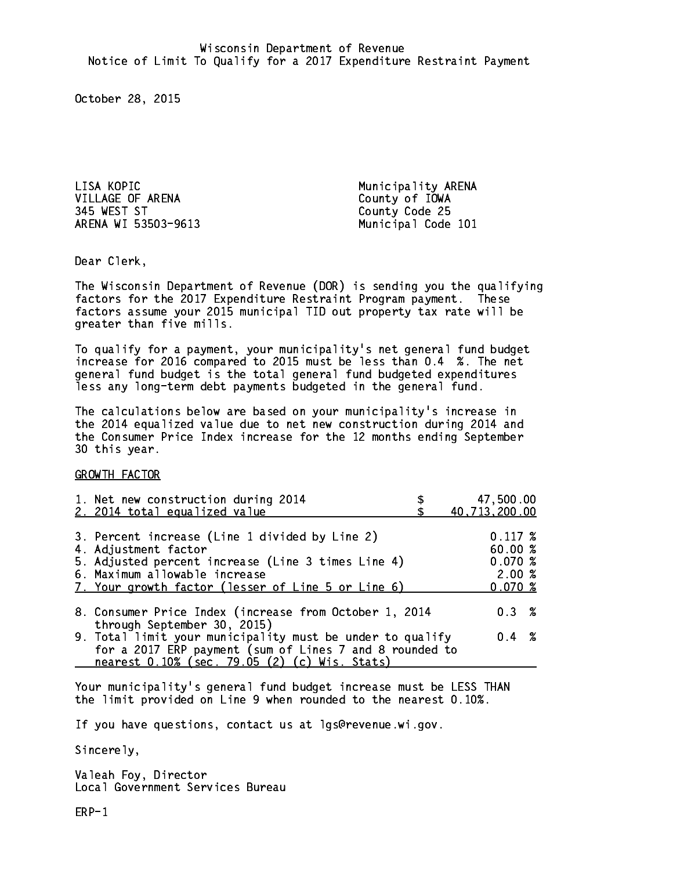LISA KOPIC **Municipality ARENA** VILLAGE OF ARENA County of IOWA 345 WEST ST County Code 25 ARENA WI 53503-9613 Municipal Code 101

Dear Clerk. Dear Clerk,

The Wisconsin Department of Revenue (DOR) is sending you the qualifying factors for the 2017 Expenditure Restraint Program payment. These factors assume your 2015 municipal TID out property tax rate will be greater than five mills.

 To qualify for a payment, your municipality's net general fund budget increase for 2016 compared to 2015 must be less than 0.4 %. The net general fund budget is the total general fund budgeted expenditures less any long-term debt payments budgeted in the general fund.

The calculations below are based on your municipality's increase in the 2014 equalized value due to net new construction during 2014 and the Consumer Price Index increase for the 12 months ending September 30 this year. 30 this year.

GROWTH FACTOR

| 1. Net new construction during 2014<br>2. 2014 total equalized value                                                                                                                                                | 47,500.00<br>40,713,200.00                            |
|---------------------------------------------------------------------------------------------------------------------------------------------------------------------------------------------------------------------|-------------------------------------------------------|
| 3. Percent increase (Line 1 divided by Line 2)<br>4. Adjustment factor<br>5. Adjusted percent increase (Line 3 times Line 4)<br>6. Maximum allowable increase<br>7. Your growth factor (lesser of Line 5 or Line 6) | $0.117 \;$ %<br>60.00%<br>0.070~%<br>2.00%<br>0.070~% |
| 8. Consumer Price Index (increase from October 1, 2014                                                                                                                                                              | 0.3%                                                  |
| through September 30, 2015)<br>9. Total limit your municipality must be under to qualify<br>for a 2017 ERP payment (sum of Lines 7 and 8 rounded to<br>nearest 0.10% (sec. 79.05 (2) (c) Wis. Stats)                | $0.4 \t%$                                             |

Your municipality's general fund budget increase must be LESS THAN the limit provided on Line 9 when rounded to the nearest 0.10%.

If you have questions, contact us at lgs@revenue.wi.gov.

Sincerely,

Valeah Foy, Director Local Government Services Bureau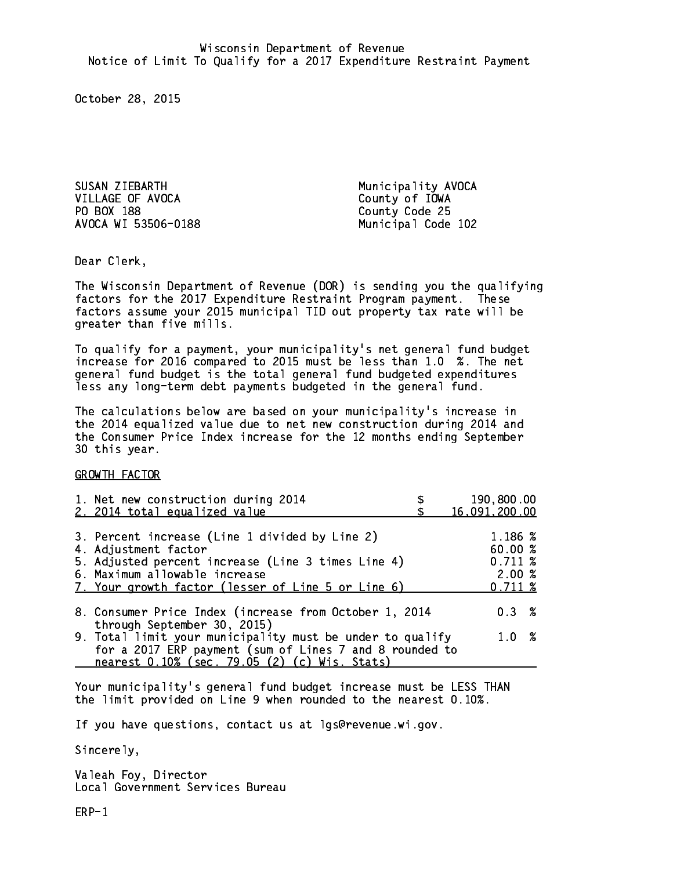SUSAN ZIEBARTH Municipality AVOCA VILLAGE OF AVOCA County of IOWA PO BOX 188 AVOCA WI 53506-0188 Municipal Code 102

County Code 25

Dear Clerk. Dear Clerk,

The Wisconsin Department of Revenue (DOR) is sending you the qualifying factors for the 2017 Expenditure Restraint Program payment. These factors assume your 2015 municipal TID out property tax rate will be greater than five mills.

 To qualify for a payment, your municipality's net general fund budget increase for 2016 compared to 2015 must be less than 1.0 %. The net general fund budget is the total general fund budgeted expenditures less any long-term debt payments budgeted in the general fund.

The calculations below are based on your municipality's increase in the 2014 equalized value due to net new construction during 2014 and the Consumer Price Index increase for the 12 months ending September 30 this year. 30 this year.

GROWTH FACTOR

| 1. Net new construction during 2014<br>2. 2014 total equalized value                                                                                                                                                | 190,800.00<br>16,091,200.00                      |
|---------------------------------------------------------------------------------------------------------------------------------------------------------------------------------------------------------------------|--------------------------------------------------|
| 3. Percent increase (Line 1 divided by Line 2)<br>4. Adjustment factor<br>5. Adjusted percent increase (Line 3 times Line 4)<br>6. Maximum allowable increase<br>7. Your growth factor (lesser of Line 5 or Line 6) | 1.186 %<br>60.00%<br>0.711~%<br>2.00%<br>0.711~% |
| 8. Consumer Price Index (increase from October 1, 2014                                                                                                                                                              | $0.3 \t%$                                        |
| through September 30, 2015)<br>9. Total limit your municipality must be under to qualify<br>for a 2017 ERP payment (sum of Lines 7 and 8 rounded to<br>nearest 0.10% (sec. 79.05 (2) (c) Wis. Stats)                | 1.0%                                             |

Your municipality's general fund budget increase must be LESS THAN the limit provided on Line 9 when rounded to the nearest 0.10%.

If you have questions, contact us at lgs@revenue.wi.gov.

Sincerely,

Valeah Foy, Director Local Government Services Bureau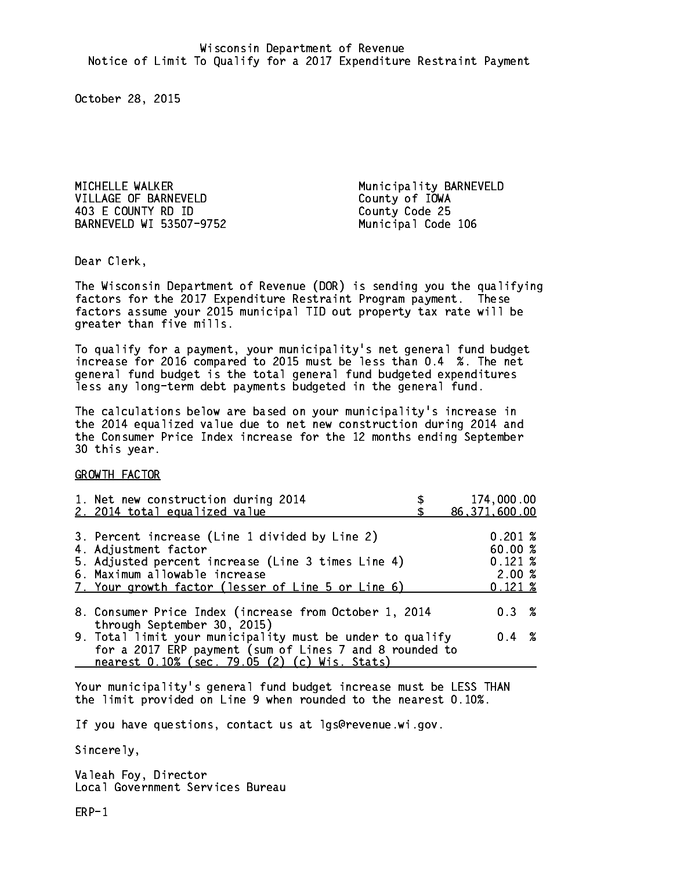MICHELLE WALKER Municipality BARNEVELD VILLAGE OF BARNEVELD County of IOWA 403 E COUNTY RD ID County Code 25 BARNEVELD WI 53507-9752 Municipal Code 106

Dear Clerk. Dear Clerk,

The Wisconsin Department of Revenue (DOR) is sending you the qualifying factors for the 2017 Expenditure Restraint Program payment. These factors assume your 2015 municipal TID out property tax rate will be greater than five mills.

 To qualify for a payment, your municipality's net general fund budget increase for 2016 compared to 2015 must be less than 0.4 %. The net general fund budget is the total general fund budgeted expenditures less any long-term debt payments budgeted in the general fund.

The calculations below are based on your municipality's increase in the 2014 equalized value due to net new construction during 2014 and the Consumer Price Index increase for the 12 months ending September 30 this year. 30 this year.

GROWTH FACTOR

| 1. Net new construction during 2014                                                                                                                                                                                 | 174,000.00                                                      |
|---------------------------------------------------------------------------------------------------------------------------------------------------------------------------------------------------------------------|-----------------------------------------------------------------|
| 2. 2014 total equalized value                                                                                                                                                                                       | 86, 371, 600.00                                                 |
| 3. Percent increase (Line 1 divided by Line 2)<br>4. Adjustment factor<br>5. Adjusted percent increase (Line 3 times Line 4)<br>6. Maximum allowable increase<br>7. Your growth factor (lesser of Line 5 or Line 6) | $0.201 \;$ %<br>60.00%<br>$0.121 \;$ %<br>2.00%<br>$0.121 \;$ % |
| 8. Consumer Price Index (increase from October 1, 2014                                                                                                                                                              | $0.3 \t%$                                                       |
| through September 30, 2015)<br>9. Total limit your municipality must be under to qualify<br>for a 2017 ERP payment (sum of Lines 7 and 8 rounded to<br>nearest 0.10% (sec. 79.05 (2) (c) Wis. Stats)                | $0.4 \t%$                                                       |

Your municipality's general fund budget increase must be LESS THAN the limit provided on Line 9 when rounded to the nearest 0.10%.

If you have questions, contact us at lgs@revenue.wi.gov.

Sincerely,

Valeah Foy, Director Local Government Services Bureau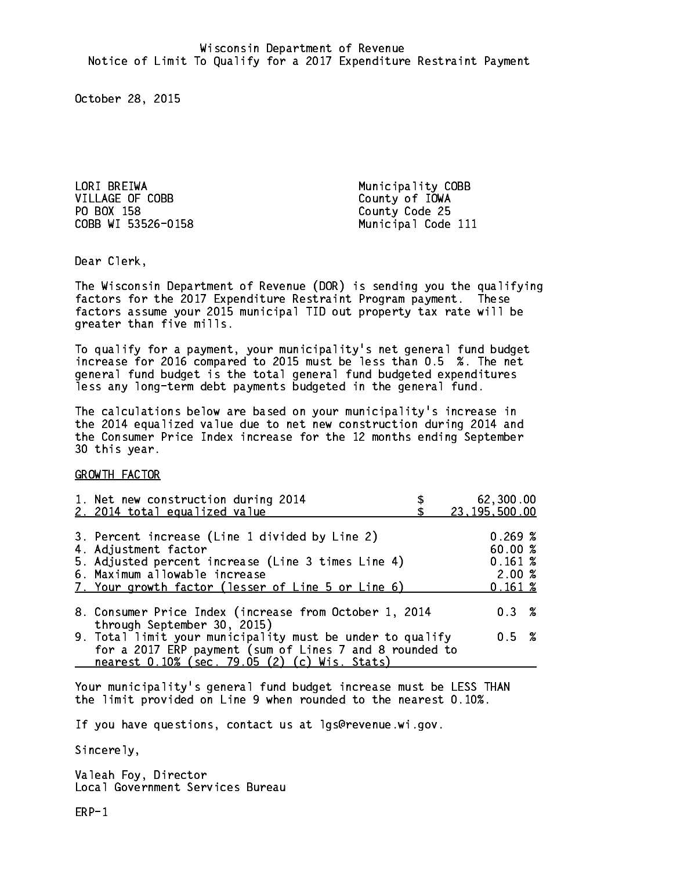LORI BREIWA **Municipality COBB** VILLAGE OF COBB County of IOWA PO BOX 158 County Code 25

COBB WI 53526-0158 Municipal Code 111

Dear Clerk. Dear Clerk,

The Wisconsin Department of Revenue (DOR) is sending you the qualifying factors for the 2017 Expenditure Restraint Program payment. These factors assume your 2015 municipal TID out property tax rate will be greater than five mills.

 To qualify for a payment, your municipality's net general fund budget increase for 2016 compared to 2015 must be less than 0.5 %. The net general fund budget is the total general fund budgeted expenditures less any long-term debt payments budgeted in the general fund.

The calculations below are based on your municipality's increase in the 2014 equalized value due to net new construction during 2014 and the Consumer Price Index increase for the 12 months ending September 30 this year. 30 this year.

GROWTH FACTOR

| 1. Net new construction during 2014<br>2. 2014 total equalized value                                                                                                                                                | 62,300.00<br>23, 195, 500.00                     |
|---------------------------------------------------------------------------------------------------------------------------------------------------------------------------------------------------------------------|--------------------------------------------------|
| 3. Percent increase (Line 1 divided by Line 2)<br>4. Adjustment factor<br>5. Adjusted percent increase (Line 3 times Line 4)<br>6. Maximum allowable increase<br>7. Your growth factor (lesser of Line 5 or Line 6) | 0.269~%<br>60.00%<br>0.161~%<br>2.00%<br>0.161~% |
| 8. Consumer Price Index (increase from October 1, 2014                                                                                                                                                              | 0.3%                                             |
| through September 30, 2015)<br>9. Total limit your municipality must be under to qualify<br>for a 2017 ERP payment (sum of Lines 7 and 8 rounded to<br>nearest 0.10% (sec. 79.05 (2) (c) Wis. Stats)                | 0.5 %                                            |

Your municipality's general fund budget increase must be LESS THAN the limit provided on Line 9 when rounded to the nearest 0.10%.

If you have questions, contact us at lgs@revenue.wi.gov.

Sincerely,

Valeah Foy, Director Local Government Services Bureau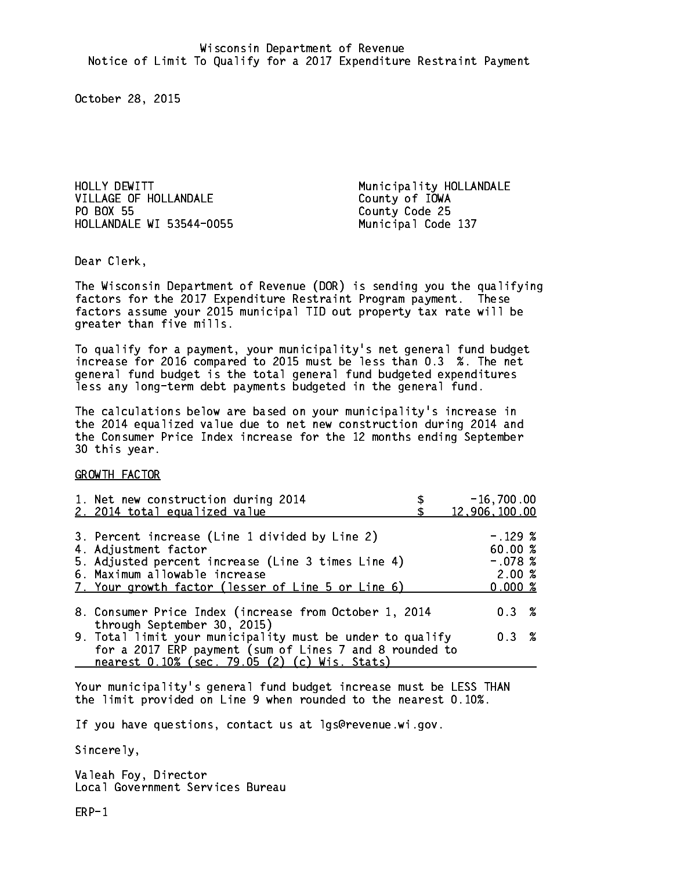HOLLY DEWITT **Municipality HOLLANDALE** VILLAGE OF HOLLANDALE County of IOWA PO BOX 55 HOLLANDALE WI 53544-0055 Municipal Code 137

County Code 25

Dear Clerk. Dear Clerk,

The Wisconsin Department of Revenue (DOR) is sending you the qualifying factors for the 2017 Expenditure Restraint Program payment. These factors assume your 2015 municipal TID out property tax rate will be greater than five mills.

 To qualify for a payment, your municipality's net general fund budget increase for 2016 compared to 2015 must be less than 0.3 %. The net general fund budget is the total general fund budgeted expenditures less any long-term debt payments budgeted in the general fund.

The calculations below are based on your municipality's increase in the 2014 equalized value due to net new construction during 2014 and the Consumer Price Index increase for the 12 months ending September 30 this year. 30 this year.

GROWTH FACTOR

| 1. Net new construction during 2014<br>2. 2014 total equalized value                                                                                                                                                | $-16,700.00$<br>12,906,100.00                        |
|---------------------------------------------------------------------------------------------------------------------------------------------------------------------------------------------------------------------|------------------------------------------------------|
| 3. Percent increase (Line 1 divided by Line 2)<br>4. Adjustment factor<br>5. Adjusted percent increase (Line 3 times Line 4)<br>6. Maximum allowable increase<br>7. Your growth factor (lesser of Line 5 or Line 6) | $-.129~%$<br>60.00%<br>$-.078$ %<br>2.00%<br>0.000 % |
| 8. Consumer Price Index (increase from October 1, 2014<br>through September 30, 2015)                                                                                                                               | $0.3 \t%$                                            |
| 9. Total limit your municipality must be under to qualify<br>for a 2017 ERP payment (sum of Lines 7 and 8 rounded to<br>nearest 0.10% (sec. 79.05 (2) (c) Wis. Stats)                                               | 0.3%                                                 |

Your municipality's general fund budget increase must be LESS THAN the limit provided on Line 9 when rounded to the nearest 0.10%.

If you have questions, contact us at lgs@revenue.wi.gov.

Sincerely,

Valeah Foy, Director Local Government Services Bureau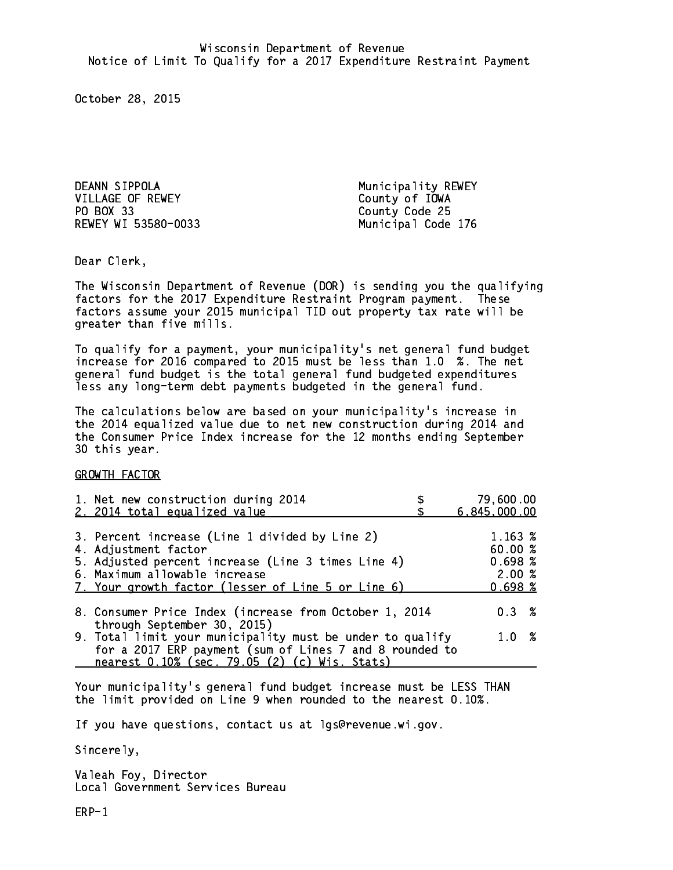DEANN SIPPOLA **Municipality REWEY** VILLAGE OF REWEY County of IOWA PO BOX 33 REWEY WI 53580-0033 Municipal Code 176

County Code 25

Dear Clerk. Dear Clerk,

The Wisconsin Department of Revenue (DOR) is sending you the qualifying factors for the 2017 Expenditure Restraint Program payment. These factors assume your 2015 municipal TID out property tax rate will be greater than five mills.

 To qualify for a payment, your municipality's net general fund budget increase for 2016 compared to 2015 must be less than 1.0 %. The net general fund budget is the total general fund budgeted expenditures less any long-term debt payments budgeted in the general fund.

The calculations below are based on your municipality's increase in the 2014 equalized value due to net new construction during 2014 and the Consumer Price Index increase for the 12 months ending September 30 this year. 30 this year.

GROWTH FACTOR

| 1. Net new construction during 2014<br>2. 2014 total equalized value                                                                                          | 79,600.00<br>6,845,000.00             |
|---------------------------------------------------------------------------------------------------------------------------------------------------------------|---------------------------------------|
|                                                                                                                                                               |                                       |
| 3. Percent increase (Line 1 divided by Line 2)<br>4. Adjustment factor<br>5. Adjusted percent increase (Line 3 times Line 4)<br>6. Maximum allowable increase | 1.163 %<br>60.00%<br>0.698~%<br>2.00% |
| 7. Your growth factor (lesser of Line 5 or Line 6)                                                                                                            | 0.698~%                               |
| 8. Consumer Price Index (increase from October 1, 2014                                                                                                        | $0.3 \t%$                             |
| through September 30, 2015)<br>9. Total limit your municipality must be under to qualify                                                                      | 1.0%                                  |
| for a 2017 ERP payment (sum of Lines 7 and 8 rounded to<br>nearest 0.10% (sec. 79.05 (2) (c) Wis. Stats)                                                      |                                       |

Your municipality's general fund budget increase must be LESS THAN the limit provided on Line 9 when rounded to the nearest 0.10%.

If you have questions, contact us at lgs@revenue.wi.gov.

Sincerely,

Valeah Foy, Director Local Government Services Bureau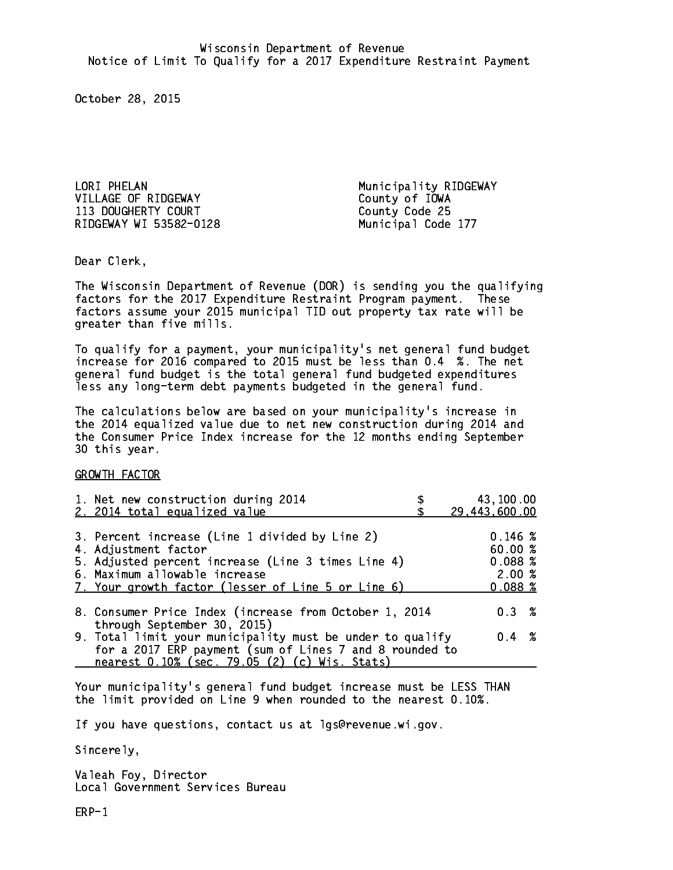LORI PHELAN Municipality RIDGEWAY VILLAGE OF RIDGEWAY County of IOWA 113 DOUGHERTY COURT COURT COUNT County Code 25 RIDGEWAY WI 53582-0128 Municipal Code 177

Dear Clerk. Dear Clerk,

The Wisconsin Department of Revenue (DOR) is sending you the qualifying factors for the 2017 Expenditure Restraint Program payment. These factors assume your 2015 municipal TID out property tax rate will be greater than five mills.

 To qualify for a payment, your municipality's net general fund budget increase for 2016 compared to 2015 must be less than 0.4 %. The net general fund budget is the total general fund budgeted expenditures less any long-term debt payments budgeted in the general fund.

The calculations below are based on your municipality's increase in the 2014 equalized value due to net new construction during 2014 and the Consumer Price Index increase for the 12 months ending September 30 this year. 30 this year.

GROWTH FACTOR

| 1. Net new construction during 2014<br>2. 2014 total equalized value                                                                                                                                                | 43,100.00<br>29,443,600.00                       |
|---------------------------------------------------------------------------------------------------------------------------------------------------------------------------------------------------------------------|--------------------------------------------------|
| 3. Percent increase (Line 1 divided by Line 2)<br>4. Adjustment factor<br>5. Adjusted percent increase (Line 3 times Line 4)<br>6. Maximum allowable increase<br>7. Your growth factor (lesser of Line 5 or Line 6) | 0.146~%<br>60.00%<br>0.088~%<br>2.00%<br>0.088~% |
| 8. Consumer Price Index (increase from October 1, 2014                                                                                                                                                              | 0.3%                                             |
| through September 30, 2015)<br>9. Total limit your municipality must be under to qualify<br>for a 2017 ERP payment (sum of Lines 7 and 8 rounded to<br>nearest 0.10% (sec. 79.05 (2) (c) Wis. Stats)                | $0.4 \t%$                                        |

Your municipality's general fund budget increase must be LESS THAN the limit provided on Line 9 when rounded to the nearest 0.10%.

If you have questions, contact us at lgs@revenue.wi.gov.

Sincerely,

Valeah Foy, Director Local Government Services Bureau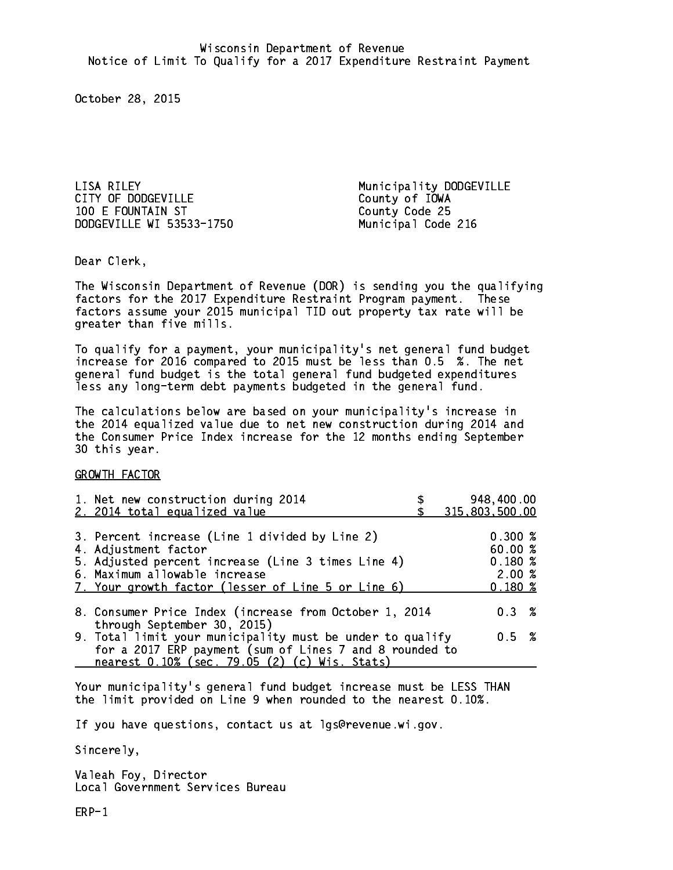LISA RILEY Municipality DODGEVILLE 100 E FOUNTAIN ST County Code 25 DODGEVILLE WI 53533-1750 Municipal Code 216

County of IOWA

Dear Clerk. Dear Clerk,

The Wisconsin Department of Revenue (DOR) is sending you the qualifying factors for the 2017 Expenditure Restraint Program payment. These factors assume your 2015 municipal TID out property tax rate will be greater than five mills.

 To qualify for a payment, your municipality's net general fund budget increase for 2016 compared to 2015 must be less than 0.5 %. The net general fund budget is the total general fund budgeted expenditures less any long-term debt payments budgeted in the general fund.

The calculations below are based on your municipality's increase in the 2014 equalized value due to net new construction during 2014 and the Consumer Price Index increase for the 12 months ending September 30 this year. 30 this year.

GROWTH FACTOR

| 1. Net new construction during 2014<br>2. 2014 total equalized value                                                                                                                                                | 948,400.00<br>315,803,500.00                                 |
|---------------------------------------------------------------------------------------------------------------------------------------------------------------------------------------------------------------------|--------------------------------------------------------------|
| 3. Percent increase (Line 1 divided by Line 2)<br>4. Adjustment factor<br>5. Adjusted percent increase (Line 3 times Line 4)<br>6. Maximum allowable increase<br>7. Your growth factor (lesser of Line 5 or Line 6) | $0.300 \; \text{%}$<br>60.00%<br>$0.180*$<br>2.00%<br>0.180% |
| 8. Consumer Price Index (increase from October 1, 2014                                                                                                                                                              | $0.3 \t%$                                                    |
| through September 30, 2015)<br>9. Total limit your municipality must be under to qualify<br>for a 2017 ERP payment (sum of Lines 7 and 8 rounded to<br>nearest 0.10% (sec. 79.05 (2) (c) Wis. Stats)                | 0.5 %                                                        |

Your municipality's general fund budget increase must be LESS THAN the limit provided on Line 9 when rounded to the nearest 0.10%.

If you have questions, contact us at lgs@revenue.wi.gov.

Sincerely,

Valeah Foy, Director Local Government Services Bureau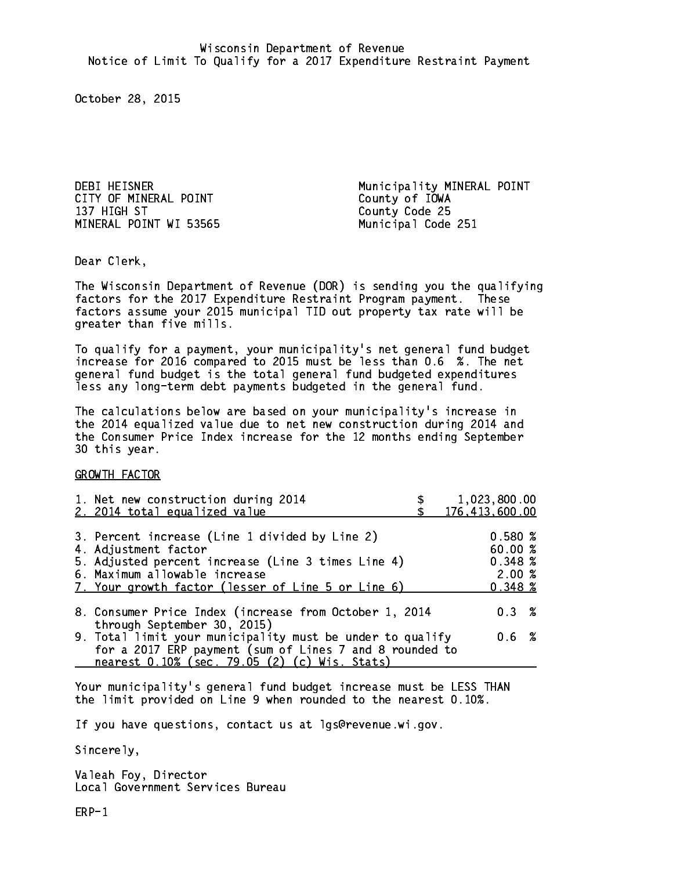CITY OF MINERAL POINT COUNTY OF IOWA 137 HIGH ST MINERAL POINT WI 53565 Municipal Code 251

DEBI HEISNER Municipality MINERAL POINT County Code 25

Dear Clerk. Dear Clerk,

The Wisconsin Department of Revenue (DOR) is sending you the qualifying factors for the 2017 Expenditure Restraint Program payment. These factors assume your 2015 municipal TID out property tax rate will be greater than five mills.

 To qualify for a payment, your municipality's net general fund budget increase for 2016 compared to 2015 must be less than 0.6 %. The net general fund budget is the total general fund budgeted expenditures less any long-term debt payments budgeted in the general fund.

The calculations below are based on your municipality's increase in the 2014 equalized value due to net new construction during 2014 and the Consumer Price Index increase for the 12 months ending September 30 this year. 30 this year.

GROWTH FACTOR

| 1. Net new construction during 2014<br>2. 2014 total equalized value                                                                                                                                                | 1,023,800.00<br>176,413,600.00                   |
|---------------------------------------------------------------------------------------------------------------------------------------------------------------------------------------------------------------------|--------------------------------------------------|
| 3. Percent increase (Line 1 divided by Line 2)<br>4. Adjustment factor<br>5. Adjusted percent increase (Line 3 times Line 4)<br>6. Maximum allowable increase<br>7. Your growth factor (lesser of Line 5 or Line 6) | 0.580%<br>60.00 %<br>0.348~%<br>2.00%<br>0.348~% |
| 8. Consumer Price Index (increase from October 1, 2014                                                                                                                                                              | 0.3%                                             |
| through September 30, 2015)<br>9. Total limit your municipality must be under to qualify<br>for a 2017 ERP payment (sum of Lines 7 and 8 rounded to<br>nearest 0.10% (sec. 79.05 (2) (c) Wis. Stats)                | $0.6\;$ %                                        |

Your municipality's general fund budget increase must be LESS THAN the limit provided on Line 9 when rounded to the nearest 0.10%.

If you have questions, contact us at lgs@revenue.wi.gov.

Sincerely,

Valeah Foy, Director Local Government Services Bureau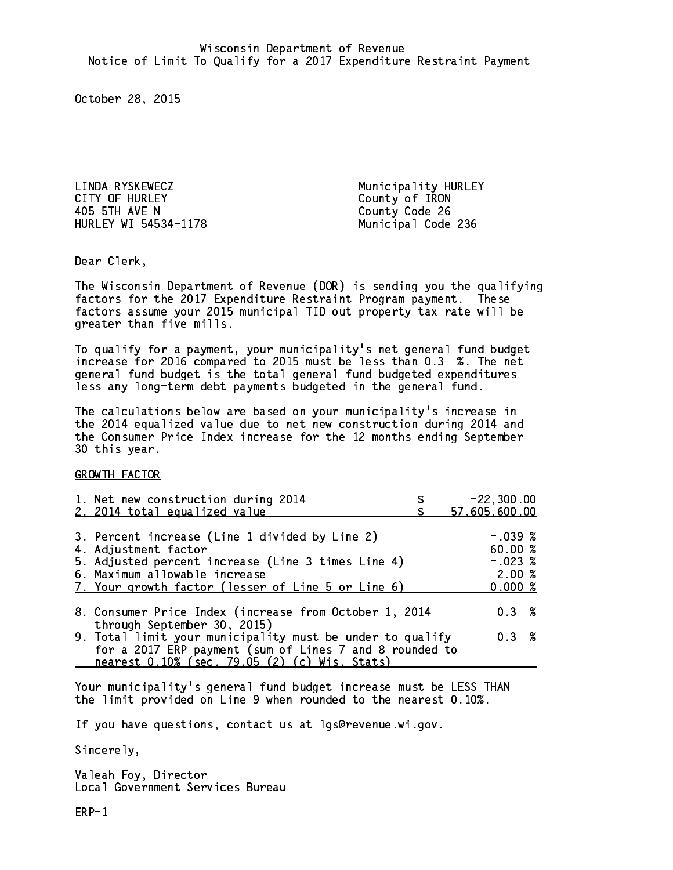LINDA RYSKEWECZ Municipality HURLEY CITY OF HURLEY COUNTY OF TRON 405 5TH AVE N County Code 26 HURLEY WI 54534-1178 Municipal Code 236

Dear Clerk. Dear Clerk,

The Wisconsin Department of Revenue (DOR) is sending you the qualifying factors for the 2017 Expenditure Restraint Program payment. These factors assume your 2015 municipal TID out property tax rate will be greater than five mills.

 To qualify for a payment, your municipality's net general fund budget increase for 2016 compared to 2015 must be less than 0.3 %. The net general fund budget is the total general fund budgeted expenditures less any long-term debt payments budgeted in the general fund.

The calculations below are based on your municipality's increase in the 2014 equalized value due to net new construction during 2014 and the Consumer Price Index increase for the 12 months ending September 30 this year. 30 this year.

GROWTH FACTOR

| 1. Net new construction during 2014<br>2. 2014 total equalized value                                                                                                                                                | $-22, 300.00$<br>57,605,600.00                       |
|---------------------------------------------------------------------------------------------------------------------------------------------------------------------------------------------------------------------|------------------------------------------------------|
| 3. Percent increase (Line 1 divided by Line 2)<br>4. Adjustment factor<br>5. Adjusted percent increase (Line 3 times Line 4)<br>6. Maximum allowable increase<br>7. Your growth factor (lesser of Line 5 or Line 6) | $-.039$ %<br>60.00%<br>$-.023$ %<br>2.00%<br>0.000 % |
| 8. Consumer Price Index (increase from October 1, 2014<br>through September 30, 2015)                                                                                                                               | 0.3%                                                 |
| 9. Total limit your municipality must be under to qualify<br>for a 2017 ERP payment (sum of Lines 7 and 8 rounded to<br>nearest 0.10% (sec. 79.05 (2) (c) Wis. Stats)                                               | 0.3%                                                 |

Your municipality's general fund budget increase must be LESS THAN the limit provided on Line 9 when rounded to the nearest 0.10%.

If you have questions, contact us at lgs@revenue.wi.gov.

Sincerely,

Valeah Foy, Director Local Government Services Bureau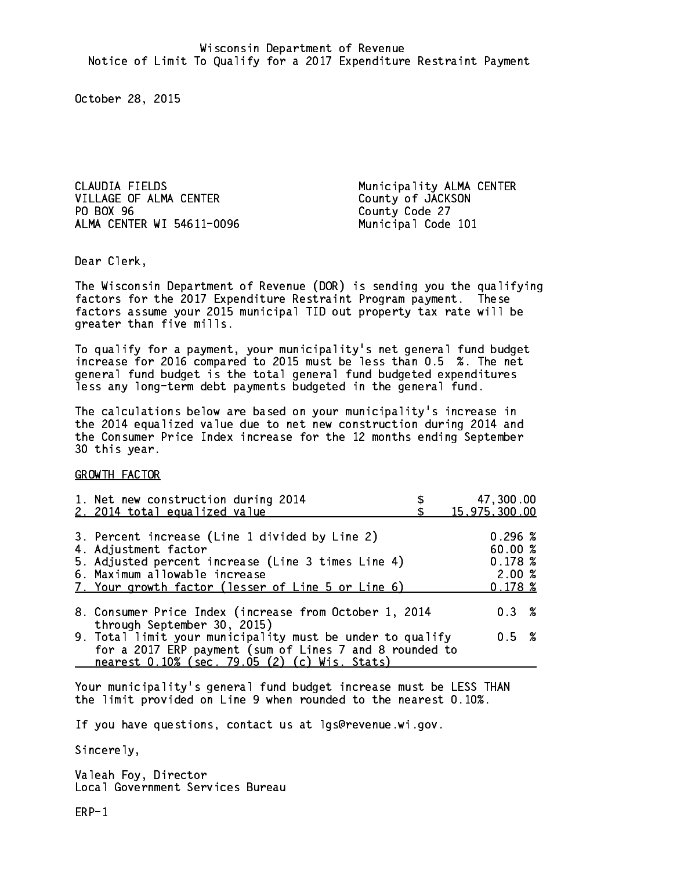CLAUDIA FIELDS Municipality ALMA CENTER VILLAGE OF ALMA CENTER County of JACKSON PO BOX 96 ALMA CENTER WI 54611-0096 Municipal Code 101

County Code 27

Dear Clerk. Dear Clerk,

The Wisconsin Department of Revenue (DOR) is sending you the qualifying factors for the 2017 Expenditure Restraint Program payment. These factors assume your 2015 municipal TID out property tax rate will be greater than five mills.

 To qualify for a payment, your municipality's net general fund budget increase for 2016 compared to 2015 must be less than 0.5 %. The net general fund budget is the total general fund budgeted expenditures less any long-term debt payments budgeted in the general fund.

The calculations below are based on your municipality's increase in the 2014 equalized value due to net new construction during 2014 and the Consumer Price Index increase for the 12 months ending September 30 this year. 30 this year.

GROWTH FACTOR

| 1. Net new construction during 2014                                                                                                                                                                                 | 47,300.00                                             |
|---------------------------------------------------------------------------------------------------------------------------------------------------------------------------------------------------------------------|-------------------------------------------------------|
| 2. 2014 total equalized value                                                                                                                                                                                       | 15,975,300.00                                         |
| 3. Percent increase (Line 1 divided by Line 2)<br>4. Adjustment factor<br>5. Adjusted percent increase (Line 3 times Line 4)<br>6. Maximum allowable increase<br>7. Your growth factor (lesser of Line 5 or Line 6) | $0.296 \; %$<br>60.00%<br>0.178~%<br>2.00%<br>0.178~% |
| 8. Consumer Price Index (increase from October 1, 2014                                                                                                                                                              | $0.3 \t%$                                             |
| through September 30, 2015)<br>9. Total limit your municipality must be under to qualify<br>for a 2017 ERP payment (sum of Lines 7 and 8 rounded to<br>nearest 0.10% (sec. 79.05 (2) (c) Wis. Stats)                | 0.5 %                                                 |

Your municipality's general fund budget increase must be LESS THAN the limit provided on Line 9 when rounded to the nearest 0.10%.

If you have questions, contact us at lgs@revenue.wi.gov.

Sincerely,

Valeah Foy, Director Local Government Services Bureau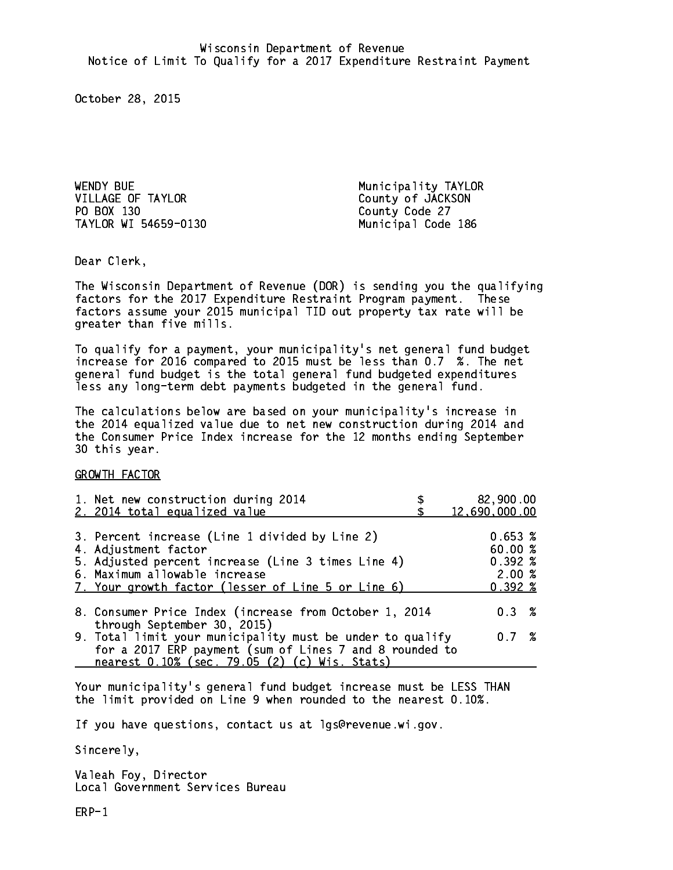WENDY BUE **Municipality TAYLOR** VILLAGE OF TAYLOR County of JACKSON PO BOX 130 County Code 27 TAYLOR WI 54659-0130 Municipal Code 186

Dear Clerk. Dear Clerk,

The Wisconsin Department of Revenue (DOR) is sending you the qualifying factors for the 2017 Expenditure Restraint Program payment. These factors assume your 2015 municipal TID out property tax rate will be greater than five mills.

 To qualify for a payment, your municipality's net general fund budget increase for 2016 compared to 2015 must be less than 0.7 %. The net general fund budget is the total general fund budgeted expenditures less any long-term debt payments budgeted in the general fund.

The calculations below are based on your municipality's increase in the 2014 equalized value due to net new construction during 2014 and the Consumer Price Index increase for the 12 months ending September 30 this year. 30 this year.

GROWTH FACTOR

| 1. Net new construction during 2014<br>2. 2014 total equalized value                                                                                                                                                | 82,900.00<br>12,690,000.00                              |
|---------------------------------------------------------------------------------------------------------------------------------------------------------------------------------------------------------------------|---------------------------------------------------------|
| 3. Percent increase (Line 1 divided by Line 2)<br>4. Adjustment factor<br>5. Adjusted percent increase (Line 3 times Line 4)<br>6. Maximum allowable increase<br>7. Your growth factor (lesser of Line 5 or Line 6) | 0.653~%<br>60.00%<br>$0.392 \; \%$<br>2.00%<br>$0.392*$ |
| 8. Consumer Price Index (increase from October 1, 2014                                                                                                                                                              | $0.3 \t%$                                               |
| through September 30, 2015)<br>9. Total limit your municipality must be under to qualify<br>for a 2017 ERP payment (sum of Lines 7 and 8 rounded to<br>nearest 0.10% (sec. 79.05 (2) (c) Wis. Stats)                | 0.7%                                                    |

Your municipality's general fund budget increase must be LESS THAN the limit provided on Line 9 when rounded to the nearest 0.10%.

If you have questions, contact us at lgs@revenue.wi.gov.

Sincerely,

Valeah Foy, Director Local Government Services Bureau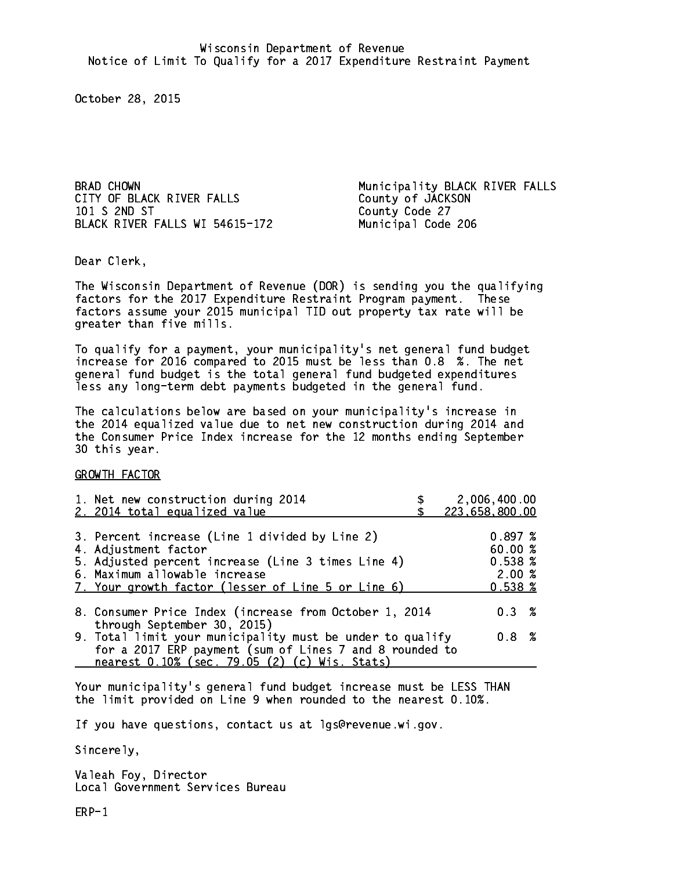CITY OF BLACK RIVER FALLS County of JACKSON 101 S 2ND ST County Code 27 BLACK RIVER FALLS WI 54615-172 Municipal Code 206

BRAD CHOWN **Municipality BLACK RIVER FALLS** 

Dear Clerk. Dear Clerk,

The Wisconsin Department of Revenue (DOR) is sending you the qualifying factors for the 2017 Expenditure Restraint Program payment. These factors assume your 2015 municipal TID out property tax rate will be greater than five mills.

 To qualify for a payment, your municipality's net general fund budget increase for 2016 compared to 2015 must be less than 0.8 %. The net general fund budget is the total general fund budgeted expenditures less any long-term debt payments budgeted in the general fund.

The calculations below are based on your municipality's increase in the 2014 equalized value due to net new construction during 2014 and the Consumer Price Index increase for the 12 months ending September 30 this year. 30 this year.

GROWTH FACTOR

| 1. Net new construction during 2014<br>2. 2014 total equalized value | 2,006,400.00<br>223,658,800.00 |
|----------------------------------------------------------------------|--------------------------------|
|                                                                      |                                |
| 3. Percent increase (Line 1 divided by Line 2)                       | 0.897~%                        |
| 4. Adjustment factor                                                 | 60.00 %                        |
| 5. Adjusted percent increase (Line 3 times Line 4)                   | 0.538~%                        |
| 6. Maximum allowable increase                                        | 2.00%                          |
| 7. Your growth factor (lesser of Line 5 or Line 6)                   | $0.538 \; \text{\%}$           |
|                                                                      |                                |
| 8. Consumer Price Index (increase from October 1, 2014               | $0.3 \t%$                      |
| through September 30, 2015)                                          |                                |
| 9. Total limit your municipality must be under to qualify            | $0.8 \t%$                      |
| for a 2017 ERP payment (sum of Lines 7 and 8 rounded to              |                                |
| nearest 0.10% (sec. 79.05 (2) (c) Wis. Stats)                        |                                |

Your municipality's general fund budget increase must be LESS THAN the limit provided on Line 9 when rounded to the nearest 0.10%.

If you have questions, contact us at lgs@revenue.wi.gov.

Sincerely,

Valeah Foy, Director Local Government Services Bureau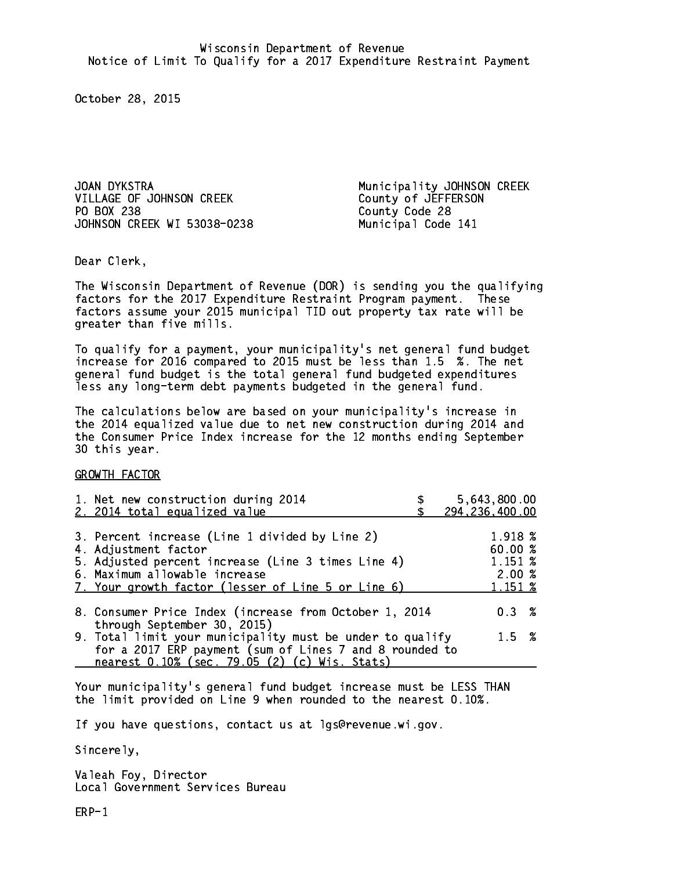VILLAGE OF JOHNSON CREEK County of JEFFERSON PO BOX 238 JOHNSON CREEK WI 53038-0238 Municipal Code 141

JOAN DYKSTRA Municipality JOHNSON CREEK County Code 28

Dear Clerk. Dear Clerk,

The Wisconsin Department of Revenue (DOR) is sending you the qualifying factors for the 2017 Expenditure Restraint Program payment. These factors assume your 2015 municipal TID out property tax rate will be greater than five mills.

 To qualify for a payment, your municipality's net general fund budget increase for 2016 compared to 2015 must be less than 1.5 %. The net general fund budget is the total general fund budgeted expenditures less any long-term debt payments budgeted in the general fund.

The calculations below are based on your municipality's increase in the 2014 equalized value due to net new construction during 2014 and the Consumer Price Index increase for the 12 months ending September 30 this year. 30 this year.

GROWTH FACTOR

| 1. Net new construction during 2014<br>2. 2014 total equalized value                                                                                                                                                | 5,643,800.00<br>294, 236, 400.00                  |  |
|---------------------------------------------------------------------------------------------------------------------------------------------------------------------------------------------------------------------|---------------------------------------------------|--|
| 3. Percent increase (Line 1 divided by Line 2)<br>4. Adjustment factor<br>5. Adjusted percent increase (Line 3 times Line 4)<br>6. Maximum allowable increase<br>7. Your growth factor (lesser of Line 5 or Line 6) | 1.918 %<br>60.00 %<br>1.151 %<br>2.00%<br>1.151 % |  |
| 8. Consumer Price Index (increase from October 1, 2014                                                                                                                                                              | $0.3 \t%$                                         |  |
| 9. Total limit your municipality must be under to qualify<br>for a 2017 ERP payment (sum of Lines 7 and 8 rounded to                                                                                                | $1.5 \t%$                                         |  |
| through September 30, 2015)<br>nearest 0.10% (sec. 79.05 (2) (c) Wis. Stats)                                                                                                                                        |                                                   |  |

Your municipality's general fund budget increase must be LESS THAN the limit provided on Line 9 when rounded to the nearest 0.10%.

If you have questions, contact us at lgs@revenue.wi.gov.

Sincerely,

Valeah Foy, Director Local Government Services Bureau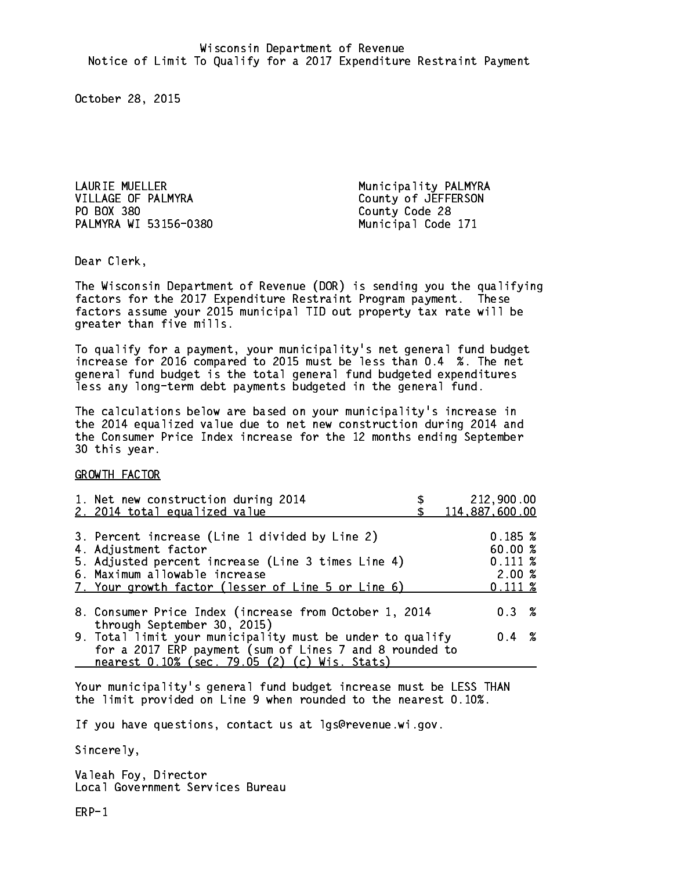LAURIE MUELLER Municipality PALMYRA VILLAGE OF PALMYRA County of JEFFERSON PO BOX 380 County Code 28 PALMYRA WI 53156-0380 Municipal Code 171

Dear Clerk. Dear Clerk,

The Wisconsin Department of Revenue (DOR) is sending you the qualifying factors for the 2017 Expenditure Restraint Program payment. These factors assume your 2015 municipal TID out property tax rate will be greater than five mills.

 To qualify for a payment, your municipality's net general fund budget increase for 2016 compared to 2015 must be less than 0.4 %. The net general fund budget is the total general fund budgeted expenditures less any long-term debt payments budgeted in the general fund.

The calculations below are based on your municipality's increase in the 2014 equalized value due to net new construction during 2014 and the Consumer Price Index increase for the 12 months ending September 30 this year. 30 this year.

GROWTH FACTOR

| 1. Net new construction during 2014<br>2. 2014 total equalized value                                                                                                                                                | 212,900.00<br>114,887,600.00                               |
|---------------------------------------------------------------------------------------------------------------------------------------------------------------------------------------------------------------------|------------------------------------------------------------|
| 3. Percent increase (Line 1 divided by Line 2)<br>4. Adjustment factor<br>5. Adjusted percent increase (Line 3 times Line 4)<br>6. Maximum allowable increase<br>7. Your growth factor (lesser of Line 5 or Line 6) | 0.185~%<br>60.00%<br>$0.111 \;$ %<br>2.00%<br>$0.111 \;$ % |
| 8. Consumer Price Index (increase from October 1, 2014                                                                                                                                                              | $0.3 \t%$                                                  |
| through September 30, 2015)<br>9. Total limit your municipality must be under to qualify<br>for a 2017 ERP payment (sum of Lines 7 and 8 rounded to<br>nearest 0.10% (sec. 79.05 (2) (c) Wis. Stats)                | $0.4 \t%$                                                  |

Your municipality's general fund budget increase must be LESS THAN the limit provided on Line 9 when rounded to the nearest 0.10%.

If you have questions, contact us at lgs@revenue.wi.gov.

Sincerely,

Valeah Foy, Director Local Government Services Bureau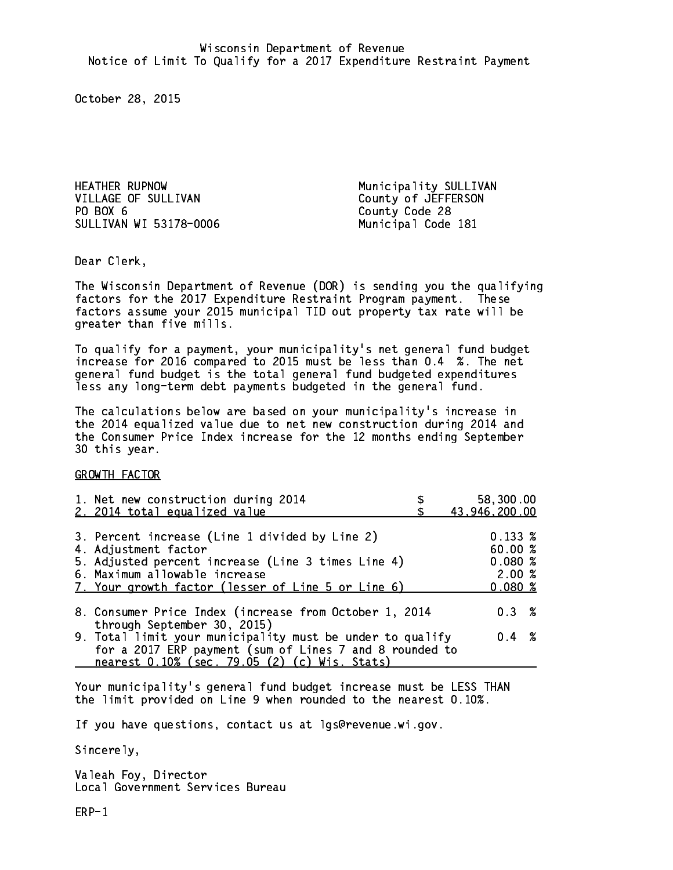HEATHER RUPNOW Municipality SULLIVAN VILLAGE OF SULLIVAN County of JEFFERSON PO BOX 6 SULLIVAN WI 53178-0006 Municipal Code 181

County Code 28

Dear Clerk. Dear Clerk,

The Wisconsin Department of Revenue (DOR) is sending you the qualifying factors for the 2017 Expenditure Restraint Program payment. These factors assume your 2015 municipal TID out property tax rate will be greater than five mills.

 To qualify for a payment, your municipality's net general fund budget increase for 2016 compared to 2015 must be less than 0.4 %. The net general fund budget is the total general fund budgeted expenditures less any long-term debt payments budgeted in the general fund.

The calculations below are based on your municipality's increase in the 2014 equalized value due to net new construction during 2014 and the Consumer Price Index increase for the 12 months ending September 30 this year. 30 this year.

GROWTH FACTOR

| 1. Net new construction during 2014                                                                                                                                                                                 | 58,300.00                                           |
|---------------------------------------------------------------------------------------------------------------------------------------------------------------------------------------------------------------------|-----------------------------------------------------|
| 2. 2014 total equalized value                                                                                                                                                                                       | 43,946,200.00                                       |
| 3. Percent increase (Line 1 divided by Line 2)<br>4. Adjustment factor<br>5. Adjusted percent increase (Line 3 times Line 4)<br>6. Maximum allowable increase<br>7. Your growth factor (lesser of Line 5 or Line 6) | $0.133 \;$ %<br>60.00%<br>0.080%<br>2.00%<br>0.080% |
| 8. Consumer Price Index (increase from October 1, 2014                                                                                                                                                              | $0.3 \t%$                                           |
| through September 30, 2015)<br>9. Total limit your municipality must be under to qualify<br>for a 2017 ERP payment (sum of Lines 7 and 8 rounded to<br>nearest 0.10% (sec. 79.05 (2) (c) Wis. Stats)                | $0.4 \t%$                                           |

Your municipality's general fund budget increase must be LESS THAN the limit provided on Line 9 when rounded to the nearest 0.10%.

If you have questions, contact us at lgs@revenue.wi.gov.

Sincerely,

Valeah Foy, Director Local Government Services Bureau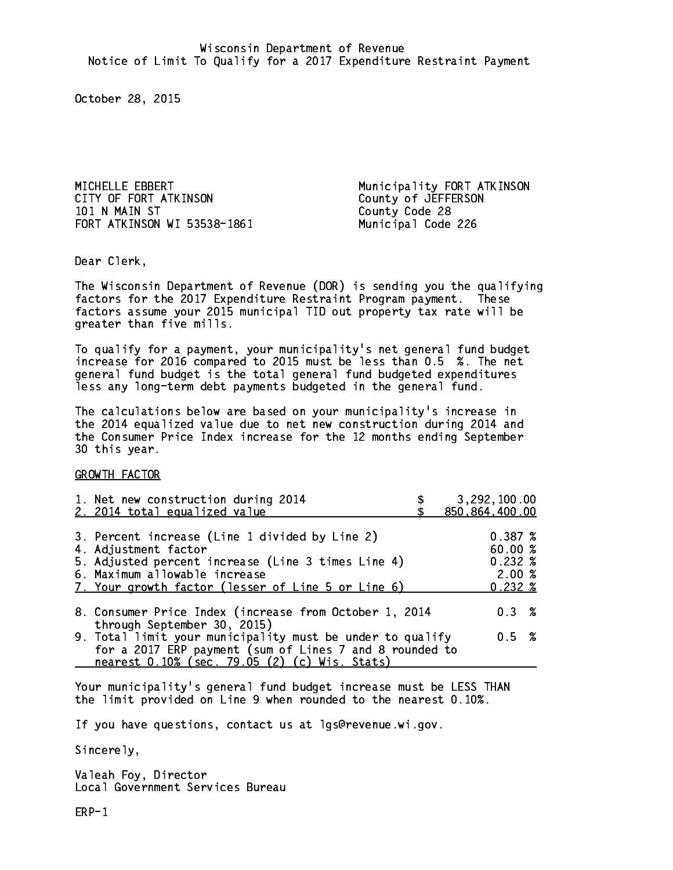MICHELLE EBBERT Municipality FORT ATKINSON CITY OF FORT ATKINSON County of JEFFERSON 101 N MAIN ST County Code 28 FORT ATKINSON WI 53538-1861 Municipal Code 226

Dear Clerk. Dear Clerk,

The Wisconsin Department of Revenue (DOR) is sending you the qualifying factors for the 2017 Expenditure Restraint Program payment. These factors assume your 2015 municipal TID out property tax rate will be greater than five mills.

 To qualify for a payment, your municipality's net general fund budget increase for 2016 compared to 2015 must be less than 0.5 %. The net general fund budget is the total general fund budgeted expenditures less any long-term debt payments budgeted in the general fund.

The calculations below are based on your municipality's increase in the 2014 equalized value due to net new construction during 2014 and the Consumer Price Index increase for the 12 months ending September 30 this year. 30 this year.

GROWTH FACTOR

| 0.387~%<br>60.00%<br>$0.232*$<br>2.00%<br>$0.232*$ |
|----------------------------------------------------|
| $0.3 \t%$                                          |
| 0.5 %                                              |
|                                                    |

Your municipality's general fund budget increase must be LESS THAN the limit provided on Line 9 when rounded to the nearest 0.10%.

If you have questions, contact us at lgs@revenue.wi.gov.

Sincerely,

Valeah Foy, Director Local Government Services Bureau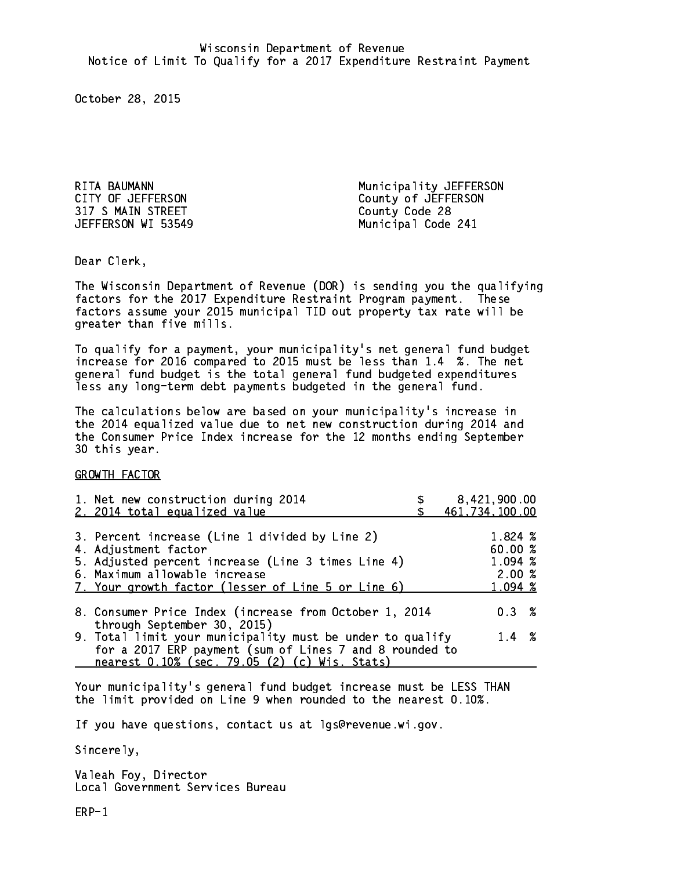317 S MAIN STREET County Code 28

RITA BAUMANN Municipality JEFFERSON CITY OF JEFFERSON COUNTY OF JEFFERSON JEFFERSON WI 53549 Municipal Code 241

Dear Clerk. Dear Clerk,

The Wisconsin Department of Revenue (DOR) is sending you the qualifying factors for the 2017 Expenditure Restraint Program payment. These factors assume your 2015 municipal TID out property tax rate will be greater than five mills.

 To qualify for a payment, your municipality's net general fund budget increase for 2016 compared to 2015 must be less than 1.4 %. The net general fund budget is the total general fund budgeted expenditures less any long-term debt payments budgeted in the general fund.

The calculations below are based on your municipality's increase in the 2014 equalized value due to net new construction during 2014 and the Consumer Price Index increase for the 12 months ending September 30 this year. 30 this year.

GROWTH FACTOR

| 1. Net new construction during 2014<br>2. 2014 total equalized value                                                                                                                                                | 8,421,900.00<br>461,734,100.00                   |
|---------------------------------------------------------------------------------------------------------------------------------------------------------------------------------------------------------------------|--------------------------------------------------|
| 3. Percent increase (Line 1 divided by Line 2)<br>4. Adjustment factor<br>5. Adjusted percent increase (Line 3 times Line 4)<br>6. Maximum allowable increase<br>7. Your growth factor (lesser of Line 5 or Line 6) | 1.824 %<br>60.00%<br>1.094 %<br>2.00%<br>1.094 % |
| 8. Consumer Price Index (increase from October 1, 2014                                                                                                                                                              | $0.3 \t%$                                        |
| through September 30, 2015)<br>9. Total limit your municipality must be under to qualify<br>for a 2017 ERP payment (sum of Lines 7 and 8 rounded to<br>nearest 0.10% (sec. 79.05 (2) (c) Wis. Stats)                | $1.4 \t%$                                        |

Your municipality's general fund budget increase must be LESS THAN the limit provided on Line 9 when rounded to the nearest 0.10%.

If you have questions, contact us at lgs@revenue.wi.gov.

Sincerely,

Valeah Foy, Director Local Government Services Bureau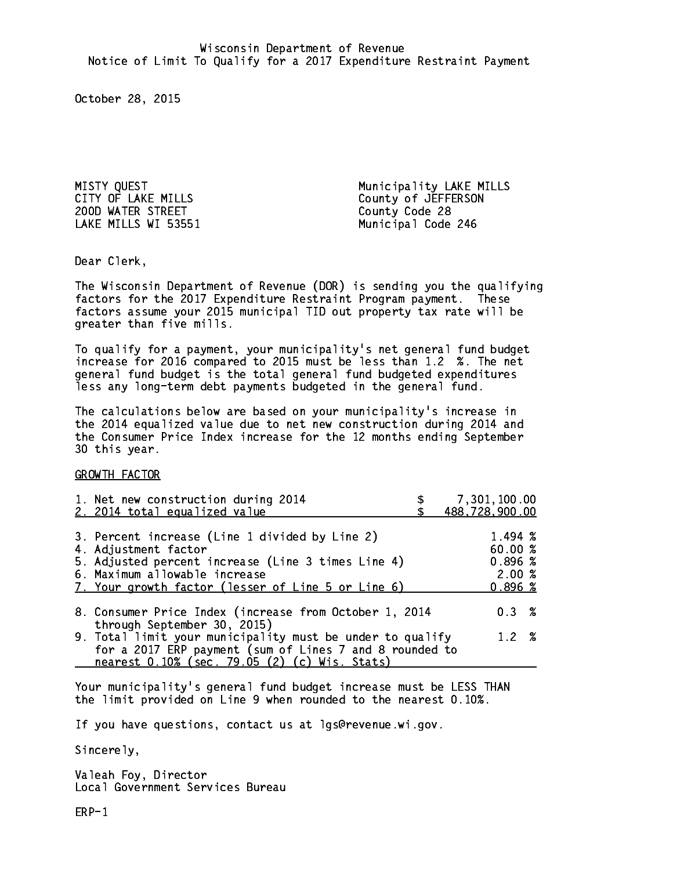200D WATER STREET County Code 28

MISTY QUEST<br>
CITY OF LAKE MILLS<br>
County of JEFFERSON County of JEFFERSON LAKE MILLS WI 53551 Municipal Code 246

Dear Clerk. Dear Clerk,

The Wisconsin Department of Revenue (DOR) is sending you the qualifying factors for the 2017 Expenditure Restraint Program payment. These factors assume your 2015 municipal TID out property tax rate will be greater than five mills.

 To qualify for a payment, your municipality's net general fund budget increase for 2016 compared to 2015 must be less than 1.2 %. The net general fund budget is the total general fund budgeted expenditures less any long-term debt payments budgeted in the general fund.

The calculations below are based on your municipality's increase in the 2014 equalized value due to net new construction during 2014 and the Consumer Price Index increase for the 12 months ending September 30 this year. 30 this year.

GROWTH FACTOR

| 1. Net new construction during 2014<br>2. 2014 total equalized value                                                                                                                                                | 7,301,100.00<br>488,728,900.00                               |
|---------------------------------------------------------------------------------------------------------------------------------------------------------------------------------------------------------------------|--------------------------------------------------------------|
| 3. Percent increase (Line 1 divided by Line 2)<br>4. Adjustment factor<br>5. Adjusted percent increase (Line 3 times Line 4)<br>6. Maximum allowable increase<br>7. Your growth factor (lesser of Line 5 or Line 6) | $1.494 \; \text{\%}$<br>60.00 %<br>0.896%<br>2.00%<br>0.896% |
| 8. Consumer Price Index (increase from October 1, 2014                                                                                                                                                              | $0.3 \t%$                                                    |
| through September 30, 2015)<br>9. Total limit your municipality must be under to qualify<br>for a 2017 ERP payment (sum of Lines 7 and 8 rounded to<br>nearest 0.10% (sec. 79.05 (2) (c) Wis. Stats)                | $1.2 \t%$                                                    |

Your municipality's general fund budget increase must be LESS THAN the limit provided on Line 9 when rounded to the nearest 0.10%.

If you have questions, contact us at lgs@revenue.wi.gov.

Sincerely,

Valeah Foy, Director Local Government Services Bureau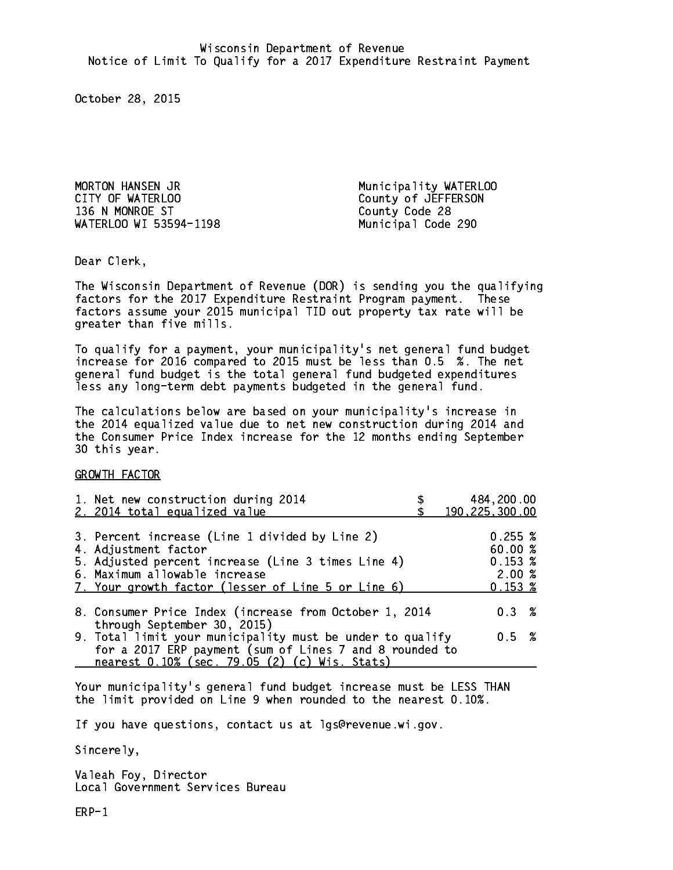MORTON HANSEN JR Municipality WATERLOO CITY OF WATERLOO COUNTY OF WATERSON 136 N MONROE ST County Code 28 WATERLOO WI 53594-1198 Municipal Code 290

Dear Clerk. Dear Clerk,

The Wisconsin Department of Revenue (DOR) is sending you the qualifying factors for the 2017 Expenditure Restraint Program payment. These factors assume your 2015 municipal TID out property tax rate will be greater than five mills.

 To qualify for a payment, your municipality's net general fund budget increase for 2016 compared to 2015 must be less than 0.5 %. The net general fund budget is the total general fund budgeted expenditures less any long-term debt payments budgeted in the general fund.

The calculations below are based on your municipality's increase in the 2014 equalized value due to net new construction during 2014 and the Consumer Price Index increase for the 12 months ending September 30 this year. 30 this year.

GROWTH FACTOR

| 1. Net new construction during 2014<br>2. 2014 total equalized value                                                                                                                                                | 484,200.00<br>190, 225, 300.00                         |
|---------------------------------------------------------------------------------------------------------------------------------------------------------------------------------------------------------------------|--------------------------------------------------------|
| 3. Percent increase (Line 1 divided by Line 2)<br>4. Adjustment factor<br>5. Adjusted percent increase (Line 3 times Line 4)<br>6. Maximum allowable increase<br>7. Your growth factor (lesser of Line 5 or Line 6) | 0.255~%<br>60.00 %<br>0.153~%<br>2.00%<br>$0.153 \;$ % |
| 8. Consumer Price Index (increase from October 1, 2014                                                                                                                                                              | 0.3%                                                   |
| through September 30, 2015)<br>9. Total limit your municipality must be under to qualify<br>for a 2017 ERP payment (sum of Lines 7 and 8 rounded to<br>nearest 0.10% (sec. 79.05 (2) (c) Wis. Stats)                | 0.5 %                                                  |

Your municipality's general fund budget increase must be LESS THAN the limit provided on Line 9 when rounded to the nearest 0.10%.

If you have questions, contact us at lgs@revenue.wi.gov.

Sincerely,

Valeah Foy, Director Local Government Services Bureau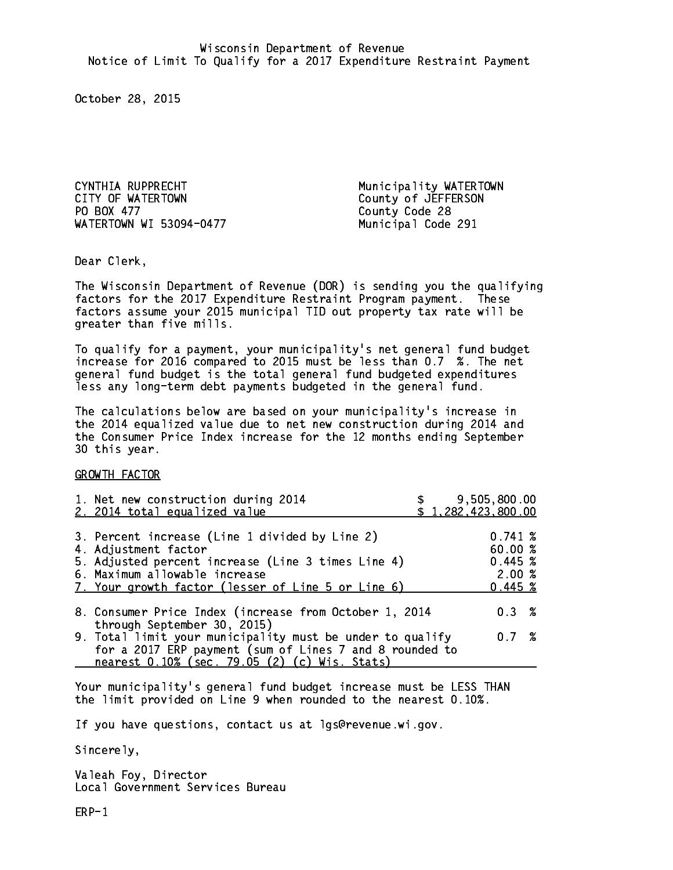CYNTHIA RUPPRECHT Municipality WATERTOWN CITY OF WATERTOWN COUNTY OF VATERSON PO BOX 477 WATERTOWN WI 53094-0477

County Code 28 Municipal Code 291

Dear Clerk. Dear Clerk,

The Wisconsin Department of Revenue (DOR) is sending you the qualifying factors for the 2017 Expenditure Restraint Program payment. These factors assume your 2015 municipal TID out property tax rate will be greater than five mills.

 To qualify for a payment, your municipality's net general fund budget increase for 2016 compared to 2015 must be less than 0.7 %. The net general fund budget is the total general fund budgeted expenditures less any long-term debt payments budgeted in the general fund.

The calculations below are based on your municipality's increase in the 2014 equalized value due to net new construction during 2014 and the Consumer Price Index increase for the 12 months ending September 30 this year. 30 this year.

GROWTH FACTOR

| 1. Net new construction during 2014<br>2. 2014 total equalized value                                                                                                                                                | 9,505,800.00<br>\$1,282,423,800.00                |  |
|---------------------------------------------------------------------------------------------------------------------------------------------------------------------------------------------------------------------|---------------------------------------------------|--|
| 3. Percent increase (Line 1 divided by Line 2)<br>4. Adjustment factor<br>5. Adjusted percent increase (Line 3 times Line 4)<br>6. Maximum allowable increase<br>7. Your growth factor (lesser of Line 5 or Line 6) | 0.741~%<br>60.00 %<br>0.445~%<br>2.00%<br>0.445~% |  |
| 8. Consumer Price Index (increase from October 1, 2014<br>through September 30, 2015)                                                                                                                               | 0.3%                                              |  |
| 9. Total limit your municipality must be under to qualify<br>for a 2017 ERP payment (sum of Lines 7 and 8 rounded to<br>nearest 0.10% (sec. 79.05 (2) (c) Wis. Stats)                                               | 0.7%                                              |  |

Your municipality's general fund budget increase must be LESS THAN the limit provided on Line 9 when rounded to the nearest 0.10%.

If you have questions, contact us at lgs@revenue.wi.gov.

Sincerely,

Valeah Foy, Director Local Government Services Bureau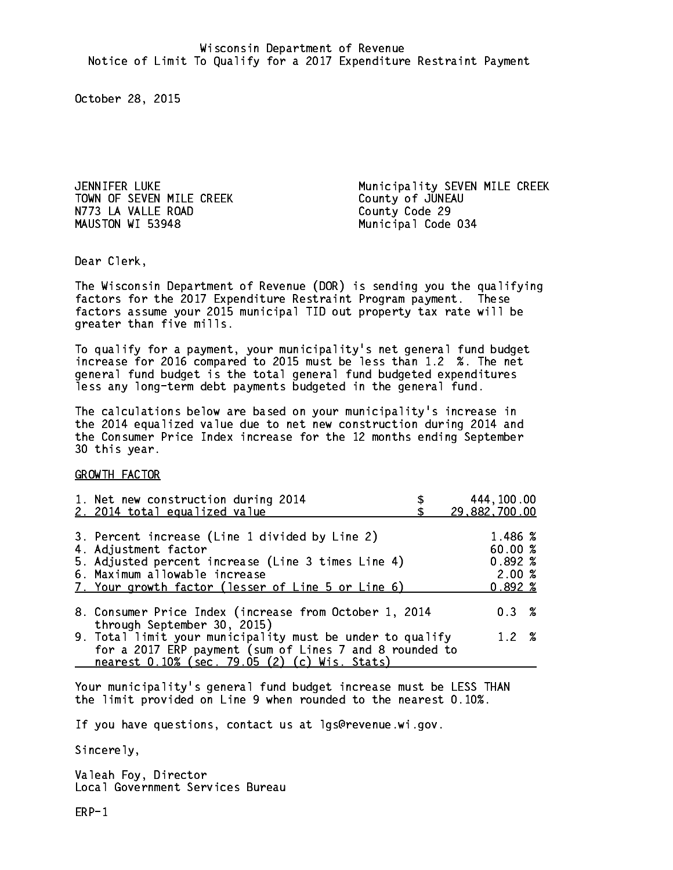TOWN OF SEVEN MILE CREEK County of JUNEAU N773 LA VALLE ROAD County Code 29 MAUSTON WI 53948

JENNIFER LUKE Municipality SEVEN MILE CREEK Municipal Code 034

Dear Clerk. Dear Clerk,

The Wisconsin Department of Revenue (DOR) is sending you the qualifying factors for the 2017 Expenditure Restraint Program payment. These factors assume your 2015 municipal TID out property tax rate will be greater than five mills.

 To qualify for a payment, your municipality's net general fund budget increase for 2016 compared to 2015 must be less than 1.2 %. The net general fund budget is the total general fund budgeted expenditures less any long-term debt payments budgeted in the general fund.

The calculations below are based on your municipality's increase in the 2014 equalized value due to net new construction during 2014 and the Consumer Price Index increase for the 12 months ending September 30 this year. 30 this year.

GROWTH FACTOR

| 1. Net new construction during 2014<br>2. 2014 total equalized value                                                                                                                                                | 444,100.00<br>29,882,700.00                      |
|---------------------------------------------------------------------------------------------------------------------------------------------------------------------------------------------------------------------|--------------------------------------------------|
| 3. Percent increase (Line 1 divided by Line 2)<br>4. Adjustment factor<br>5. Adjusted percent increase (Line 3 times Line 4)<br>6. Maximum allowable increase<br>7. Your growth factor (lesser of Line 5 or Line 6) | 1.486 %<br>60.00%<br>$0.892*$<br>2.00%<br>0.892% |
| 8. Consumer Price Index (increase from October 1, 2014<br>through September 30, 2015)                                                                                                                               | $0.3 \t%$                                        |
| 9. Total limit your municipality must be under to qualify<br>for a 2017 ERP payment (sum of Lines 7 and 8 rounded to<br>nearest 0.10% (sec. 79.05 (2) (c) Wis. Stats)                                               | 1.2%                                             |

Your municipality's general fund budget increase must be LESS THAN the limit provided on Line 9 when rounded to the nearest 0.10%.

If you have questions, contact us at lgs@revenue.wi.gov.

Sincerely,

Valeah Foy, Director Local Government Services Bureau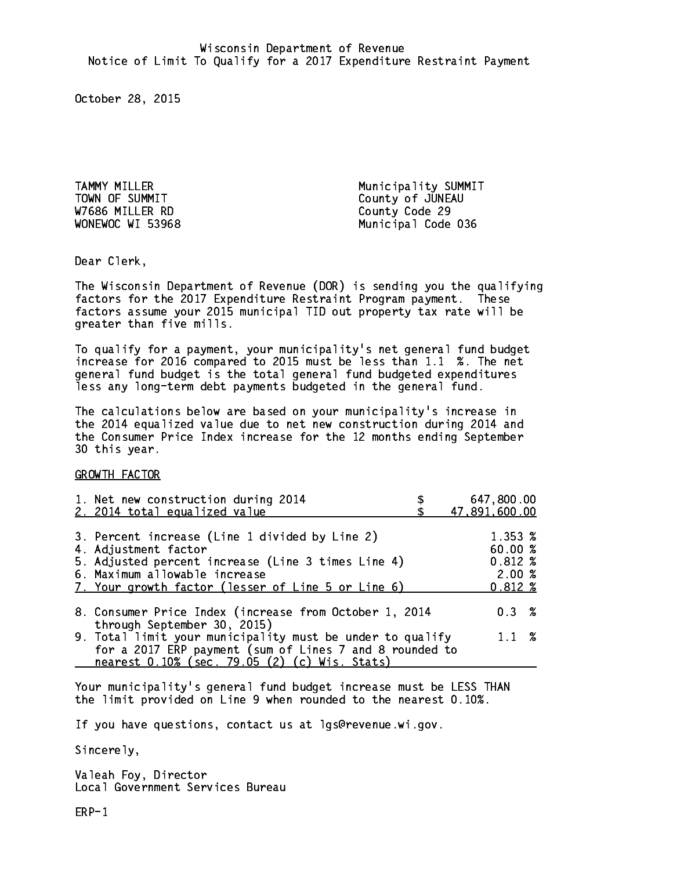W7686 MILLER RD County Code 29

TAMMY MILLER Municipality SUMMIT TOWN OF SUMMIT COUNTY OF JUNEAU WONEWOC WI 53968 Municipal Code 036

Dear Clerk. Dear Clerk,

The Wisconsin Department of Revenue (DOR) is sending you the qualifying factors for the 2017 Expenditure Restraint Program payment. These factors assume your 2015 municipal TID out property tax rate will be greater than five mills.

 To qualify for a payment, your municipality's net general fund budget increase for 2016 compared to 2015 must be less than 1.1 %. The net general fund budget is the total general fund budgeted expenditures less any long-term debt payments budgeted in the general fund.

The calculations below are based on your municipality's increase in the 2014 equalized value due to net new construction during 2014 and the Consumer Price Index increase for the 12 months ending September 30 this year. 30 this year.

GROWTH FACTOR

| 1. Net new construction during 2014<br>2. 2014 total equalized value                                                                                                                                                | 647,800.00<br>47,891,600.00                                 |
|---------------------------------------------------------------------------------------------------------------------------------------------------------------------------------------------------------------------|-------------------------------------------------------------|
| 3. Percent increase (Line 1 divided by Line 2)<br>4. Adjustment factor<br>5. Adjusted percent increase (Line 3 times Line 4)<br>6. Maximum allowable increase<br>7. Your growth factor (lesser of Line 5 or Line 6) | 1.353 %<br>60.00 %<br>$0.812 \; %$<br>2.00%<br>$0.812 \; %$ |
| 8. Consumer Price Index (increase from October 1, 2014<br>through September 30, 2015)                                                                                                                               | $0.3 \t%$                                                   |
| 9. Total limit your municipality must be under to qualify<br>for a 2017 ERP payment (sum of Lines 7 and 8 rounded to<br>nearest 0.10% (sec. 79.05 (2) (c) Wis. Stats)                                               | $1.1 \t%$                                                   |

Your municipality's general fund budget increase must be LESS THAN the limit provided on Line 9 when rounded to the nearest 0.10%.

If you have questions, contact us at lgs@revenue.wi.gov.

Sincerely,

Valeah Foy, Director Local Government Services Bureau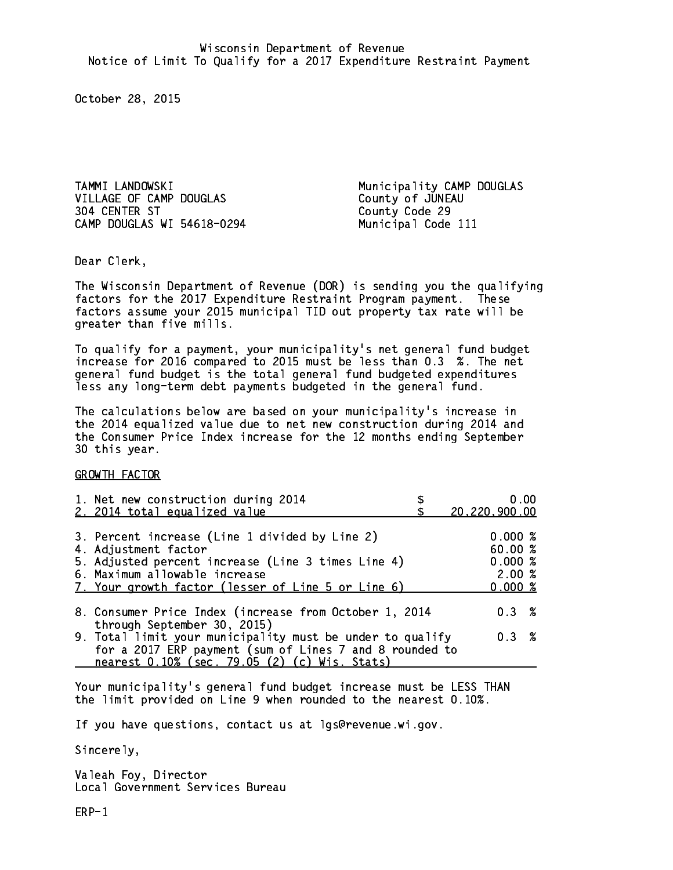VILLAGE OF CAMP DOUGLAS County of JUNEAU 304 CENTER ST CAMP DOUGLAS WI 54618-0294 Municipal Code 111

TAMMI LANDOWSKI Municipality CAMP DOUGLAS County Code 29

Dear Clerk. Dear Clerk,

The Wisconsin Department of Revenue (DOR) is sending you the qualifying factors for the 2017 Expenditure Restraint Program payment. These factors assume your 2015 municipal TID out property tax rate will be greater than five mills.

 To qualify for a payment, your municipality's net general fund budget increase for 2016 compared to 2015 must be less than 0.3 %. The net general fund budget is the total general fund budgeted expenditures less any long-term debt payments budgeted in the general fund.

The calculations below are based on your municipality's increase in the 2014 equalized value due to net new construction during 2014 and the Consumer Price Index increase for the 12 months ending September 30 this year. 30 this year.

GROWTH FACTOR

| 1. Net new construction during 2014<br>2. 2014 total equalized value                                                                                                                                                | 0.00<br>20,220,900.00                           |
|---------------------------------------------------------------------------------------------------------------------------------------------------------------------------------------------------------------------|-------------------------------------------------|
| 3. Percent increase (Line 1 divided by Line 2)<br>4. Adjustment factor<br>5. Adjusted percent increase (Line 3 times Line 4)<br>6. Maximum allowable increase<br>7. Your growth factor (lesser of Line 5 or Line 6) | 0.000%<br>60.00%<br>0.000~%<br>2.00%<br>0.000 % |
| 8. Consumer Price Index (increase from October 1, 2014                                                                                                                                                              | 0.3%                                            |
| through September 30, 2015)<br>9. Total limit your municipality must be under to qualify<br>for a 2017 ERP payment (sum of Lines 7 and 8 rounded to<br>nearest 0.10% (sec. 79.05 (2) (c) Wis. Stats)                | 0.3%                                            |

Your municipality's general fund budget increase must be LESS THAN the limit provided on Line 9 when rounded to the nearest 0.10%.

If you have questions, contact us at lgs@revenue.wi.gov.

Sincerely,

Valeah Foy, Director Local Government Services Bureau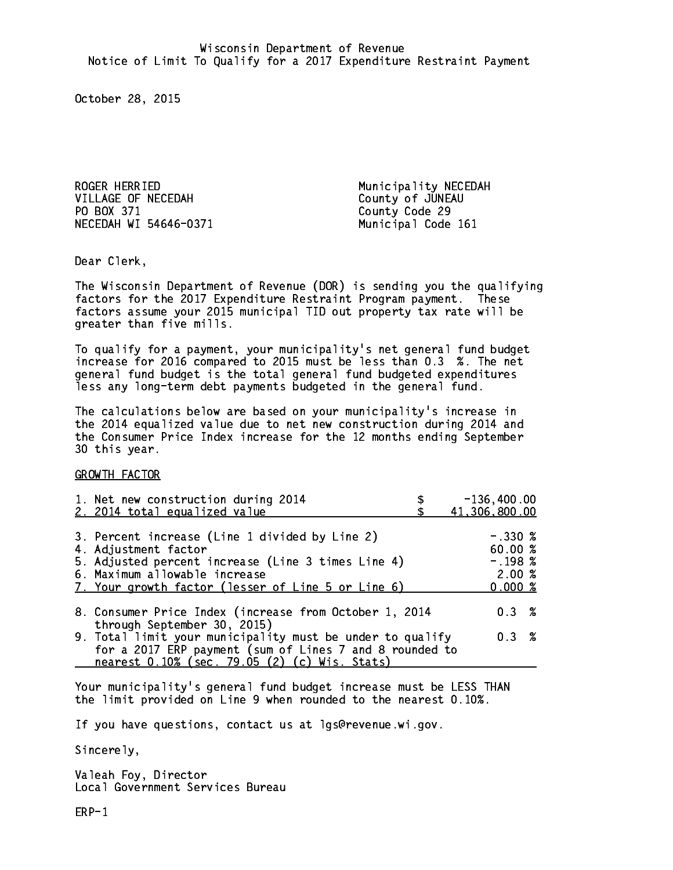ROGER HERRIED **Municipality NECEDAH** VILLAGE OF NECEDAH County of JUNEAU PO BOX 371 County Code 29 NECEDAH WI 54646-0371 Municipal Code 161

Dear Clerk. Dear Clerk,

The Wisconsin Department of Revenue (DOR) is sending you the qualifying factors for the 2017 Expenditure Restraint Program payment. These factors assume your 2015 municipal TID out property tax rate will be greater than five mills.

 To qualify for a payment, your municipality's net general fund budget increase for 2016 compared to 2015 must be less than 0.3 %. The net general fund budget is the total general fund budgeted expenditures less any long-term debt payments budgeted in the general fund.

The calculations below are based on your municipality's increase in the 2014 equalized value due to net new construction during 2014 and the Consumer Price Index increase for the 12 months ending September 30 this year. 30 this year.

GROWTH FACTOR

| 1. Net new construction during 2014<br>2. 2014 total equalized value                                                                                                                                                | $-136,400.00$<br>41,306,800.00                       |
|---------------------------------------------------------------------------------------------------------------------------------------------------------------------------------------------------------------------|------------------------------------------------------|
| 3. Percent increase (Line 1 divided by Line 2)<br>4. Adjustment factor<br>5. Adjusted percent increase (Line 3 times Line 4)<br>6. Maximum allowable increase<br>7. Your growth factor (lesser of Line 5 or Line 6) | $-.3308$<br>60.00 %<br>$-.198~%$<br>2.00%<br>0.000~% |
| 8. Consumer Price Index (increase from October 1, 2014                                                                                                                                                              | $0.3 \t%$                                            |
| through September 30, 2015)<br>9. Total limit your municipality must be under to qualify<br>for a 2017 ERP payment (sum of Lines 7 and 8 rounded to<br>nearest 0.10% (sec. 79.05 (2) (c) Wis. Stats)                | $0.3 \t%$                                            |

Your municipality's general fund budget increase must be LESS THAN the limit provided on Line 9 when rounded to the nearest 0.10%.

If you have questions, contact us at lgs@revenue.wi.gov.

Sincerely,

Valeah Foy, Director Local Government Services Bureau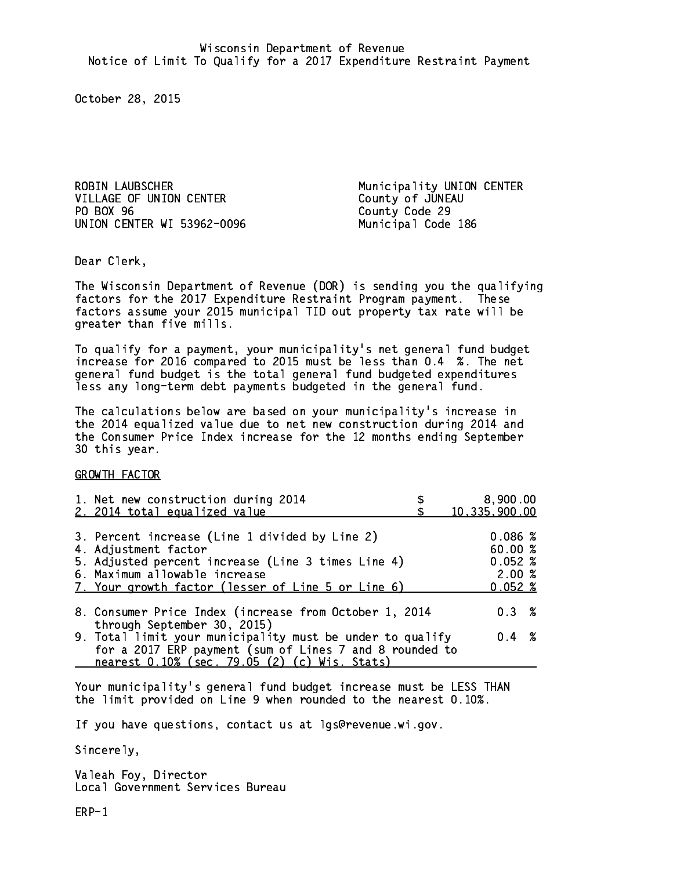VILLAGE OF UNION CENTER County of JUNEAU PO BOX 96 UNION CENTER WI 53962-0096 Municipal Code 186

ROBIN LAUBSCHER Municipality UNION CENTER County Code 29

Dear Clerk. Dear Clerk,

The Wisconsin Department of Revenue (DOR) is sending you the qualifying factors for the 2017 Expenditure Restraint Program payment. These factors assume your 2015 municipal TID out property tax rate will be greater than five mills.

 To qualify for a payment, your municipality's net general fund budget increase for 2016 compared to 2015 must be less than 0.4 %. The net general fund budget is the total general fund budgeted expenditures less any long-term debt payments budgeted in the general fund.

The calculations below are based on your municipality's increase in the 2014 equalized value due to net new construction during 2014 and the Consumer Price Index increase for the 12 months ending September 30 this year. 30 this year.

GROWTH FACTOR

| 1. Net new construction during 2014<br>2. 2014 total equalized value                                                                                                                                                | 8,900.00<br>10,335,900.00                      |
|---------------------------------------------------------------------------------------------------------------------------------------------------------------------------------------------------------------------|------------------------------------------------|
| 3. Percent increase (Line 1 divided by Line 2)<br>4. Adjustment factor<br>5. Adjusted percent increase (Line 3 times Line 4)<br>6. Maximum allowable increase<br>7. Your growth factor (lesser of Line 5 or Line 6) | 0.086~%<br>60.00%<br>0.052%<br>2.00%<br>0.052% |
| 8. Consumer Price Index (increase from October 1, 2014                                                                                                                                                              | 0.3%                                           |
| through September 30, 2015)<br>9. Total limit your municipality must be under to qualify<br>for a 2017 ERP payment (sum of Lines 7 and 8 rounded to<br>nearest 0.10% (sec. 79.05 (2) (c) Wis. Stats)                | $0.4 \t%$                                      |

Your municipality's general fund budget increase must be LESS THAN the limit provided on Line 9 when rounded to the nearest 0.10%.

If you have questions, contact us at lgs@revenue.wi.gov.

Sincerely,

Valeah Foy, Director Local Government Services Bureau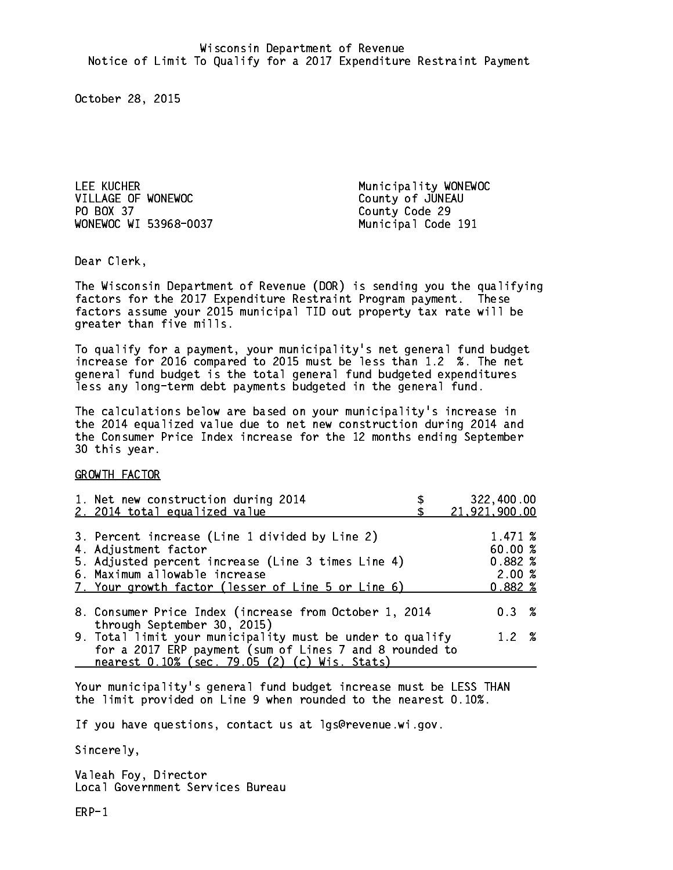LEE KUCHER Municipality WONEWOC VILLAGE OF WONEWOC COUNTY Of JUNEAU PO BOX 37 County Code 29 WONEWOC WI 53968-0037 Municipal Code 191

Dear Clerk. Dear Clerk,

The Wisconsin Department of Revenue (DOR) is sending you the qualifying factors for the 2017 Expenditure Restraint Program payment. These factors assume your 2015 municipal TID out property tax rate will be greater than five mills.

 To qualify for a payment, your municipality's net general fund budget increase for 2016 compared to 2015 must be less than 1.2 %. The net general fund budget is the total general fund budgeted expenditures less any long-term debt payments budgeted in the general fund.

The calculations below are based on your municipality's increase in the 2014 equalized value due to net new construction during 2014 and the Consumer Price Index increase for the 12 months ending September 30 this year. 30 this year.

GROWTH FACTOR

| 1. Net new construction during 2014<br>2. 2014 total equalized value                                                                                                                                                | 322,400.00<br>21,921,900.00                    |  |
|---------------------------------------------------------------------------------------------------------------------------------------------------------------------------------------------------------------------|------------------------------------------------|--|
| 3. Percent increase (Line 1 divided by Line 2)<br>4. Adjustment factor<br>5. Adjusted percent increase (Line 3 times Line 4)<br>6. Maximum allowable increase<br>7. Your growth factor (lesser of Line 5 or Line 6) | 1.471 %<br>60.00%<br>0.882%<br>2.00%<br>0.882% |  |
| 8. Consumer Price Index (increase from October 1, 2014                                                                                                                                                              | $0.3 \t%$                                      |  |
| through September 30, 2015)<br>9. Total limit your municipality must be under to qualify<br>for a 2017 ERP payment (sum of Lines 7 and 8 rounded to<br>nearest 0.10% (sec. 79.05 (2) (c) Wis. Stats)                | 1.2%                                           |  |

Your municipality's general fund budget increase must be LESS THAN the limit provided on Line 9 when rounded to the nearest 0.10%.

If you have questions, contact us at lgs@revenue.wi.gov.

Sincerely,

Valeah Foy, Director Local Government Services Bureau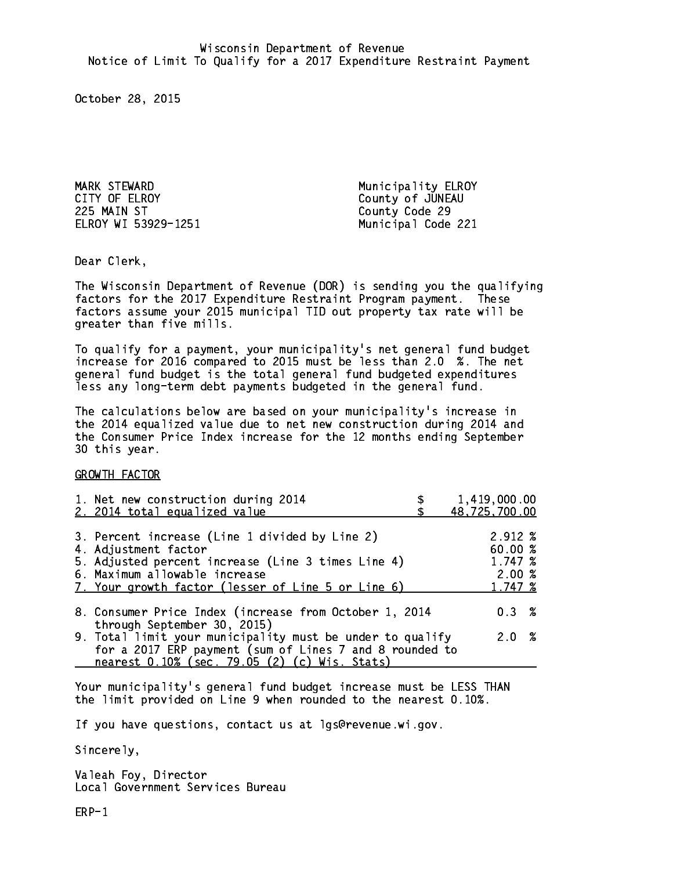MARK STEWARD Municipality ELROY<br>
CITY OF ELROY COUNTY County of JUNEAU 225 MAIN ST County Code 29 ELROY WI 53929-1251 Municipal Code 221

County of JUNEAU

Dear Clerk. Dear Clerk,

The Wisconsin Department of Revenue (DOR) is sending you the qualifying factors for the 2017 Expenditure Restraint Program payment. These factors assume your 2015 municipal TID out property tax rate will be greater than five mills.

 To qualify for a payment, your municipality's net general fund budget increase for 2016 compared to 2015 must be less than 2.0 %. The net general fund budget is the total general fund budgeted expenditures less any long-term debt payments budgeted in the general fund.

The calculations below are based on your municipality's increase in the 2014 equalized value due to net new construction during 2014 and the Consumer Price Index increase for the 12 months ending September 30 this year. 30 this year.

GROWTH FACTOR

| 1. Net new construction during 2014<br>2. 2014 total equalized value                                                                                                                                                | 1,419,000.00<br>48,725,700.00                     |
|---------------------------------------------------------------------------------------------------------------------------------------------------------------------------------------------------------------------|---------------------------------------------------|
| 3. Percent increase (Line 1 divided by Line 2)<br>4. Adjustment factor<br>5. Adjusted percent increase (Line 3 times Line 4)<br>6. Maximum allowable increase<br>7. Your growth factor (lesser of Line 5 or Line 6) | 2.912 %<br>60.00 %<br>1.747 %<br>2.00%<br>1.747 % |
| 8. Consumer Price Index (increase from October 1, 2014<br>through September 30, 2015)                                                                                                                               | $0.3 \t%$                                         |
| 9. Total limit your municipality must be under to qualify<br>for a 2017 ERP payment (sum of Lines 7 and 8 rounded to<br>nearest 0.10% (sec. 79.05 (2) (c) Wis. Stats)                                               | 2.0%                                              |

Your municipality's general fund budget increase must be LESS THAN the limit provided on Line 9 when rounded to the nearest 0.10%.

If you have questions, contact us at lgs@revenue.wi.gov.

Sincerely,

Valeah Foy, Director Local Government Services Bureau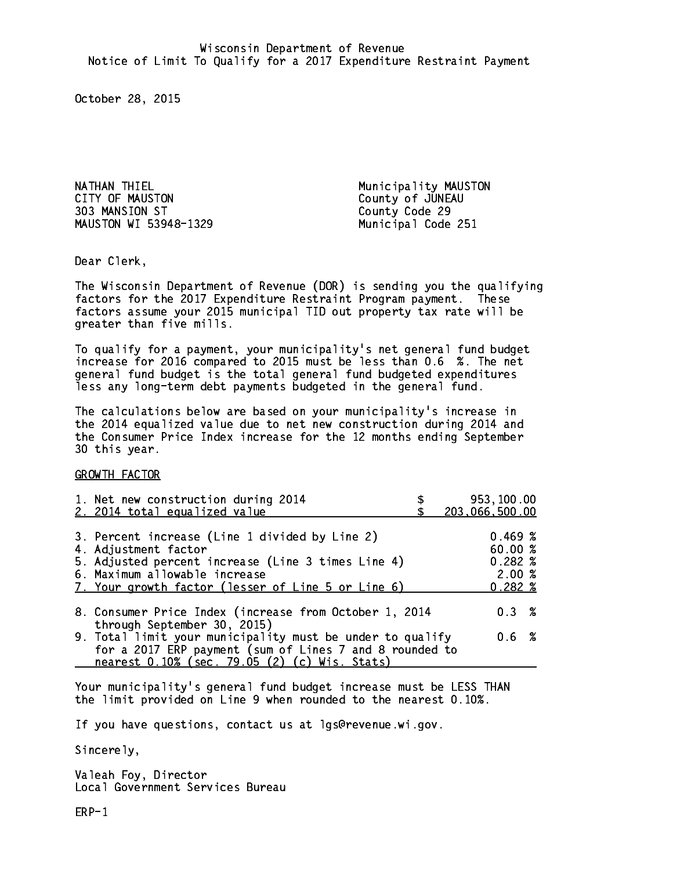NATHAN THIEL **Municipality MAUSTON** CITY OF MAUSTON COUNTY OF MAUSTON 303 MANSION ST County Code 29 MAUSTON WI 53948-1329

Municipal Code 251

Dear Clerk. Dear Clerk,

The Wisconsin Department of Revenue (DOR) is sending you the qualifying factors for the 2017 Expenditure Restraint Program payment. These factors assume your 2015 municipal TID out property tax rate will be greater than five mills.

 To qualify for a payment, your municipality's net general fund budget increase for 2016 compared to 2015 must be less than 0.6 %. The net general fund budget is the total general fund budgeted expenditures less any long-term debt payments budgeted in the general fund.

The calculations below are based on your municipality's increase in the 2014 equalized value due to net new construction during 2014 and the Consumer Price Index increase for the 12 months ending September 30 this year. 30 this year.

GROWTH FACTOR

| 1. Net new construction during 2014<br>2. 2014 total equalized value                                                                                                                                                | 953,100.00<br>203,066,500.00                   |
|---------------------------------------------------------------------------------------------------------------------------------------------------------------------------------------------------------------------|------------------------------------------------|
| 3. Percent increase (Line 1 divided by Line 2)<br>4. Adjustment factor<br>5. Adjusted percent increase (Line 3 times Line 4)<br>6. Maximum allowable increase<br>7. Your growth factor (lesser of Line 5 or Line 6) | 0.469~%<br>60.00%<br>0.282%<br>2.00%<br>0.282% |
| 8. Consumer Price Index (increase from October 1, 2014<br>through September 30, 2015)                                                                                                                               | $0.3 \t%$                                      |
| 9. Total limit your municipality must be under to qualify<br>for a 2017 ERP payment (sum of Lines 7 and 8 rounded to<br>nearest 0.10% (sec. 79.05 (2) (c) Wis. Stats)                                               | 0.6 %                                          |

Your municipality's general fund budget increase must be LESS THAN the limit provided on Line 9 when rounded to the nearest 0.10%.

If you have questions, contact us at lgs@revenue.wi.gov.

Sincerely,

Valeah Foy, Director Local Government Services Bureau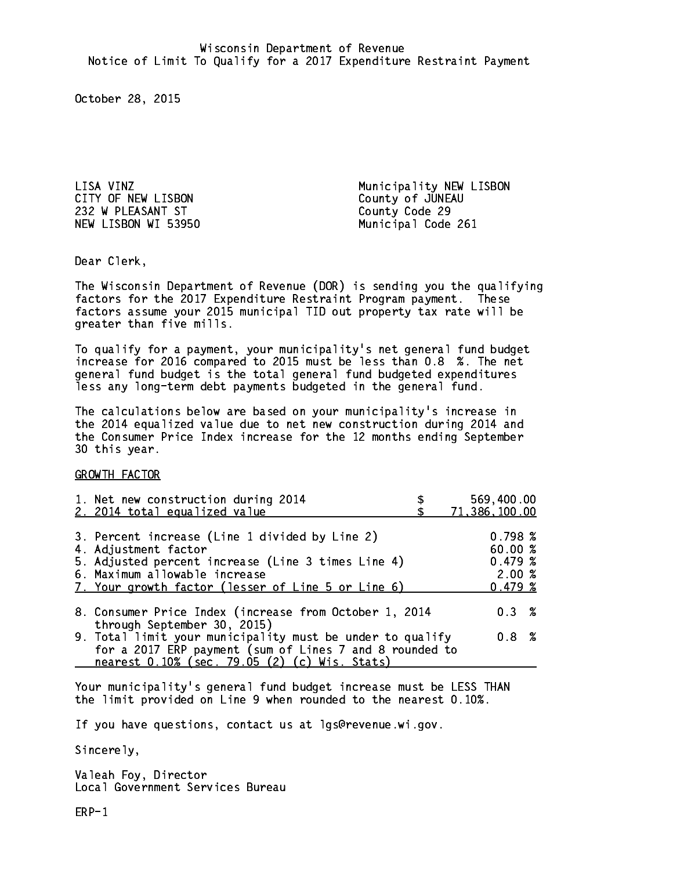LISA VINZ<br>
CITY OF NEW LISBON COUNTY OF NEW LISBON 232 W PLEASANT ST County Code 29 NEW LISBON WI 53950 Municipal Code 261

Municipality NEW LISBON

Dear Clerk. Dear Clerk,

The Wisconsin Department of Revenue (DOR) is sending you the qualifying factors for the 2017 Expenditure Restraint Program payment. These factors assume your 2015 municipal TID out property tax rate will be greater than five mills.

 To qualify for a payment, your municipality's net general fund budget increase for 2016 compared to 2015 must be less than 0.8 %. The net general fund budget is the total general fund budgeted expenditures less any long-term debt payments budgeted in the general fund.

The calculations below are based on your municipality's increase in the 2014 equalized value due to net new construction during 2014 and the Consumer Price Index increase for the 12 months ending September 30 this year. 30 this year.

GROWTH FACTOR

| 1. Net new construction during 2014<br>2. 2014 total equalized value                                                                                                                                                | 569,400.00<br>71,386,100.00                       |
|---------------------------------------------------------------------------------------------------------------------------------------------------------------------------------------------------------------------|---------------------------------------------------|
| 3. Percent increase (Line 1 divided by Line 2)<br>4. Adjustment factor<br>5. Adjusted percent increase (Line 3 times Line 4)<br>6. Maximum allowable increase<br>7. Your growth factor (lesser of Line 5 or Line 6) | 0.798~%<br>60.00 %<br>0.479~%<br>2.00%<br>0.479~% |
| 8. Consumer Price Index (increase from October 1, 2014<br>through September 30, 2015)                                                                                                                               | $0.3 \t%$                                         |
| 9. Total limit your municipality must be under to qualify<br>for a 2017 ERP payment (sum of Lines 7 and 8 rounded to<br>nearest 0.10% (sec. 79.05 (2) (c) Wis. Stats)                                               | 0.8 %                                             |

Your municipality's general fund budget increase must be LESS THAN the limit provided on Line 9 when rounded to the nearest 0.10%.

If you have questions, contact us at lgs@revenue.wi.gov.

Sincerely,

Valeah Foy, Director Local Government Services Bureau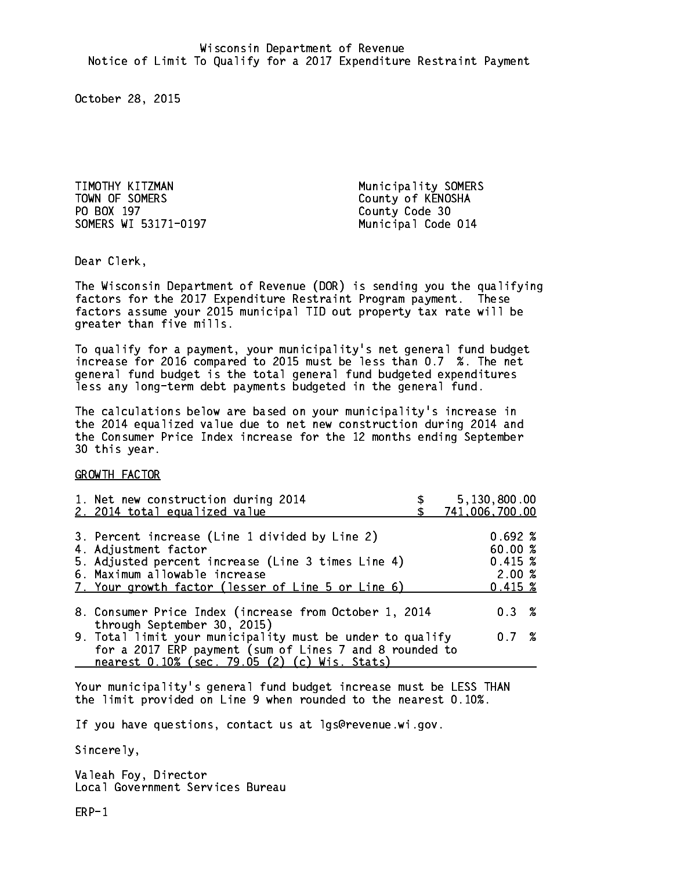TIMOTHY KITZMAN Municipality SOMERS TOWN OF SOMERS County of KENOSHA PO BOX 197 County Code 30 SOMERS WI 53171-0197 Municipal Code 014

Dear Clerk. Dear Clerk,

The Wisconsin Department of Revenue (DOR) is sending you the qualifying factors for the 2017 Expenditure Restraint Program payment. These factors assume your 2015 municipal TID out property tax rate will be greater than five mills.

 To qualify for a payment, your municipality's net general fund budget increase for 2016 compared to 2015 must be less than 0.7 %. The net general fund budget is the total general fund budgeted expenditures less any long-term debt payments budgeted in the general fund.

The calculations below are based on your municipality's increase in the 2014 equalized value due to net new construction during 2014 and the Consumer Price Index increase for the 12 months ending September 30 this year. 30 this year.

GROWTH FACTOR

| 1. Net new construction during 2014<br>2. 2014 total equalized value                                                                                                                                                | 5,130,800.00<br>741,006,700.00                         |
|---------------------------------------------------------------------------------------------------------------------------------------------------------------------------------------------------------------------|--------------------------------------------------------|
| 3. Percent increase (Line 1 divided by Line 2)<br>4. Adjustment factor<br>5. Adjusted percent increase (Line 3 times Line 4)<br>6. Maximum allowable increase<br>7. Your growth factor (lesser of Line 5 or Line 6) | $0.692 \; %$<br>60.00 %<br>0.415~%<br>2.00%<br>0.415~% |
| 8. Consumer Price Index (increase from October 1, 2014<br>through September 30, 2015)                                                                                                                               | 0.3%                                                   |
| 9. Total limit your municipality must be under to qualify<br>for a 2017 ERP payment (sum of Lines 7 and 8 rounded to<br>nearest 0.10% (sec. 79.05 (2) (c) Wis. Stats)                                               | 0.7%                                                   |

Your municipality's general fund budget increase must be LESS THAN the limit provided on Line 9 when rounded to the nearest 0.10%.

If you have questions, contact us at lgs@revenue.wi.gov.

Sincerely,

Valeah Foy, Director Local Government Services Bureau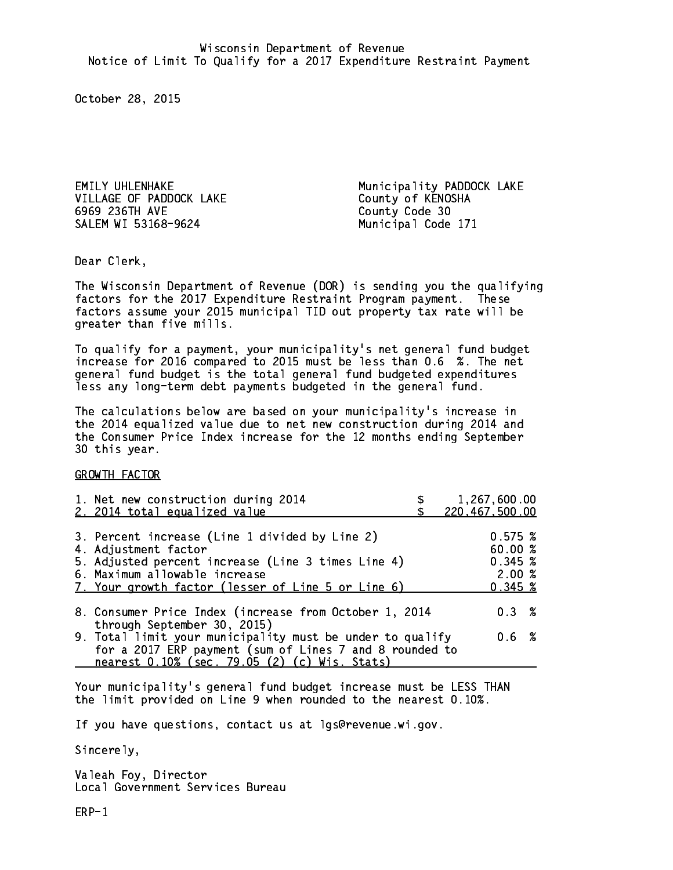VILLAGE OF PADDOCK LAKE County of KENOSHA 6969 236TH AVE County Code 30 SALEM WI 53168-9624

EMILY UHLENHAKE Municipality PADDOCK LAKE Municipal Code 171

Dear Clerk. Dear Clerk,

The Wisconsin Department of Revenue (DOR) is sending you the qualifying factors for the 2017 Expenditure Restraint Program payment. These factors assume your 2015 municipal TID out property tax rate will be greater than five mills.

 To qualify for a payment, your municipality's net general fund budget increase for 2016 compared to 2015 must be less than 0.6 %. The net general fund budget is the total general fund budgeted expenditures less any long-term debt payments budgeted in the general fund.

The calculations below are based on your municipality's increase in the 2014 equalized value due to net new construction during 2014 and the Consumer Price Index increase for the 12 months ending September 30 this year. 30 this year.

GROWTH FACTOR

| 1. Net new construction during 2014<br>2. 2014 total equalized value                                                                                                                                                | 1,267,600.00<br>220,467,500.00                    |
|---------------------------------------------------------------------------------------------------------------------------------------------------------------------------------------------------------------------|---------------------------------------------------|
| 3. Percent increase (Line 1 divided by Line 2)<br>4. Adjustment factor<br>5. Adjusted percent increase (Line 3 times Line 4)<br>6. Maximum allowable increase<br>7. Your growth factor (lesser of Line 5 or Line 6) | 0.575~%<br>60.00 %<br>0.345~%<br>2.00%<br>0.345~% |
| 8. Consumer Price Index (increase from October 1, 2014                                                                                                                                                              | 0.3%                                              |
| through September 30, 2015)<br>9. Total limit your municipality must be under to qualify<br>for a 2017 ERP payment (sum of Lines 7 and 8 rounded to<br>nearest 0.10% (sec. 79.05 (2) (c) Wis. Stats)                | $0.6\;{\;}$ %                                     |

Your municipality's general fund budget increase must be LESS THAN the limit provided on Line 9 when rounded to the nearest 0.10%.

If you have questions, contact us at lgs@revenue.wi.gov.

Sincerely,

Valeah Foy, Director Local Government Services Bureau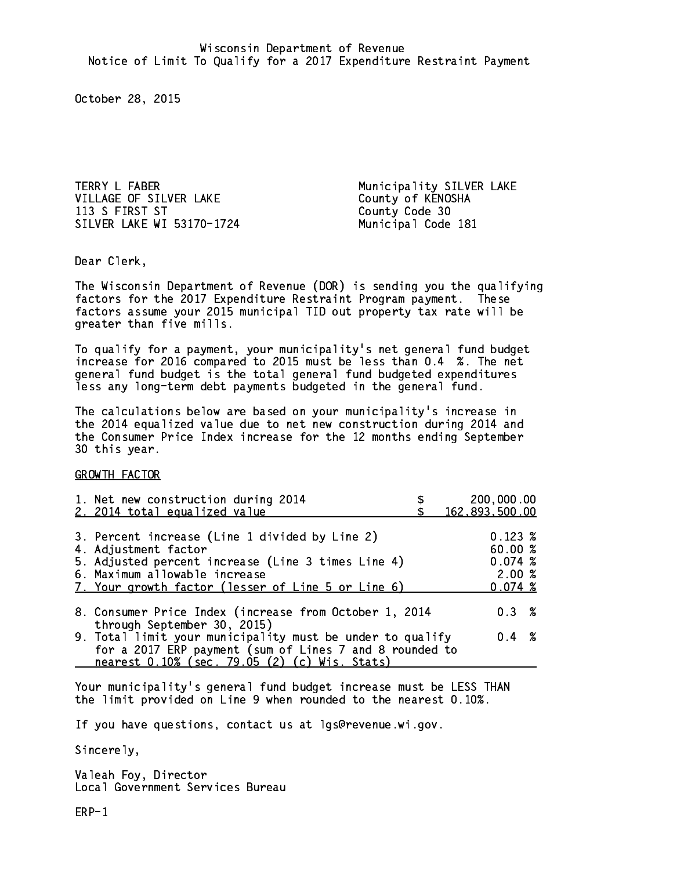TERRY L FABER Municipality SILVER LAKE VILLAGE OF SILVER LAKE County of KENOSHA 113 S FIRST ST County Code 30 SILVER LAKE WI 53170-1724 Municipal Code 181

Dear Clerk. Dear Clerk,

The Wisconsin Department of Revenue (DOR) is sending you the qualifying factors for the 2017 Expenditure Restraint Program payment. These factors assume your 2015 municipal TID out property tax rate will be greater than five mills.

 To qualify for a payment, your municipality's net general fund budget increase for 2016 compared to 2015 must be less than 0.4 %. The net general fund budget is the total general fund budgeted expenditures less any long-term debt payments budgeted in the general fund.

The calculations below are based on your municipality's increase in the 2014 equalized value due to net new construction during 2014 and the Consumer Price Index increase for the 12 months ending September 30 this year. 30 this year.

GROWTH FACTOR

| 1. Net new construction during 2014<br>2. 2014 total equalized value                                                                                                                                                | 200,000.00<br>162,893,500.00                           |
|---------------------------------------------------------------------------------------------------------------------------------------------------------------------------------------------------------------------|--------------------------------------------------------|
| 3. Percent increase (Line 1 divided by Line 2)<br>4. Adjustment factor<br>5. Adjusted percent increase (Line 3 times Line 4)<br>6. Maximum allowable increase<br>7. Your growth factor (lesser of Line 5 or Line 6) | $0.123 \;$ %<br>60.00 %<br>0.074~%<br>2.00%<br>0.074~% |
| 8. Consumer Price Index (increase from October 1, 2014                                                                                                                                                              | $0.3 \t%$                                              |
| through September 30, 2015)<br>9. Total limit your municipality must be under to qualify<br>for a 2017 ERP payment (sum of Lines 7 and 8 rounded to<br>nearest 0.10% (sec. 79.05 (2) (c) Wis. Stats)                | $0.4 \t%$                                              |

Your municipality's general fund budget increase must be LESS THAN the limit provided on Line 9 when rounded to the nearest 0.10%.

If you have questions, contact us at lgs@revenue.wi.gov.

Sincerely,

Valeah Foy, Director Local Government Services Bureau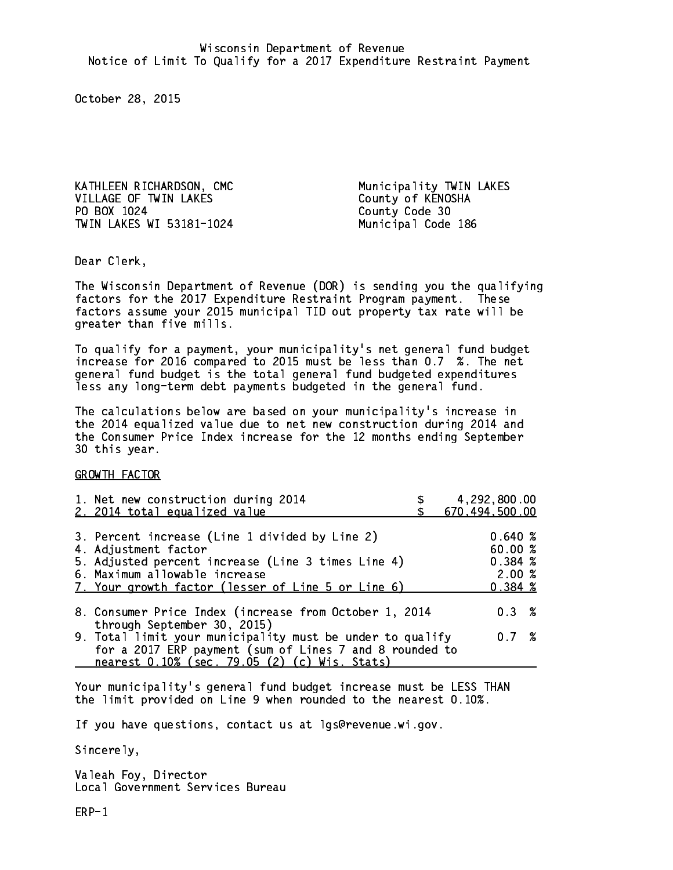KATHLEEN RICHARDSON, CMC Municipality TWIN LAKES VILLAGE OF TWIN LAKES County of KENOSHA PO BOX 1024 TWIN LAKES WI 53181-1024 Municipal Code 186

County Code 30

Dear Clerk. Dear Clerk,

The Wisconsin Department of Revenue (DOR) is sending you the qualifying factors for the 2017 Expenditure Restraint Program payment. These factors assume your 2015 municipal TID out property tax rate will be greater than five mills.

 To qualify for a payment, your municipality's net general fund budget increase for 2016 compared to 2015 must be less than 0.7 %. The net general fund budget is the total general fund budgeted expenditures less any long-term debt payments budgeted in the general fund.

The calculations below are based on your municipality's increase in the 2014 equalized value due to net new construction during 2014 and the Consumer Price Index increase for the 12 months ending September 30 this year. 30 this year.

GROWTH FACTOR

| 4,292,800.00<br>670,494,500.00                                                                                               |
|------------------------------------------------------------------------------------------------------------------------------|
| 0.640%<br>60.00%<br>0.384~%<br>2.00%<br>0.384~%                                                                              |
| 8. Consumer Price Index (increase from October 1, 2014<br>$0.3 \t%$                                                          |
| 9. Total limit your municipality must be under to qualify<br>0.7%<br>for a 2017 ERP payment (sum of Lines 7 and 8 rounded to |
|                                                                                                                              |

Your municipality's general fund budget increase must be LESS THAN the limit provided on Line 9 when rounded to the nearest 0.10%.

If you have questions, contact us at lgs@revenue.wi.gov.

Sincerely,

Valeah Foy, Director Local Government Services Bureau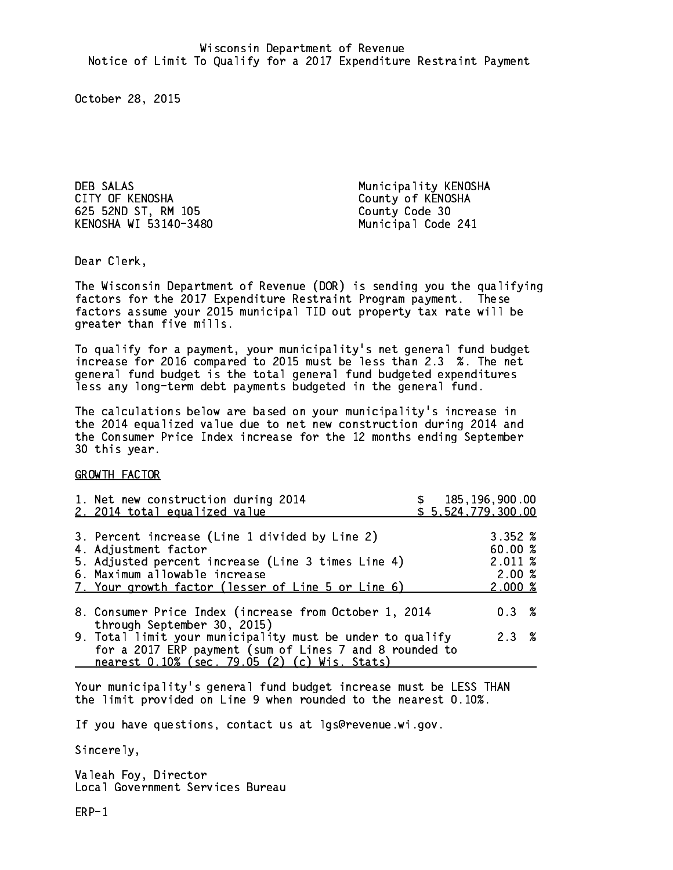DEB SALAS Municipality KENOSHA CITY OF KENOSHA COUNTY OF KENOSHA 625 52ND ST, RM 105 County Code 30 KENOSHA WI 53140-3480 Municipal Code 241

Dear Clerk. Dear Clerk,

The Wisconsin Department of Revenue (DOR) is sending you the qualifying factors for the 2017 Expenditure Restraint Program payment. These factors assume your 2015 municipal TID out property tax rate will be greater than five mills.

 To qualify for a payment, your municipality's net general fund budget increase for 2016 compared to 2015 must be less than 2.3 %. The net general fund budget is the total general fund budgeted expenditures less any long-term debt payments budgeted in the general fund.

The calculations below are based on your municipality's increase in the 2014 equalized value due to net new construction during 2014 and the Consumer Price Index increase for the 12 months ending September 30 this year. 30 this year.

GROWTH FACTOR

| 1. Net new construction during 2014<br>2. 2014 total equalized value                                                                                                                                                |  | \$185, 196, 900.00<br>\$5,524,779,300.00                          |  |
|---------------------------------------------------------------------------------------------------------------------------------------------------------------------------------------------------------------------|--|-------------------------------------------------------------------|--|
| 3. Percent increase (Line 1 divided by Line 2)<br>4. Adjustment factor<br>5. Adjusted percent increase (Line 3 times Line 4)<br>6. Maximum allowable increase<br>7. Your growth factor (lesser of Line 5 or Line 6) |  | 3.352%<br>60.00%<br>$2.011 \;$ %<br>2.00%<br>$2.000 \; \text{\%}$ |  |
| 8. Consumer Price Index (increase from October 1, 2014<br>through September 30, 2015)                                                                                                                               |  | $0.3 \t%$                                                         |  |
| 9. Total limit your municipality must be under to qualify<br>for a 2017 ERP payment (sum of Lines 7 and 8 rounded to<br>nearest 0.10% (sec. 79.05 (2) (c) Wis. Stats)                                               |  | 2.3%                                                              |  |

Your municipality's general fund budget increase must be LESS THAN the limit provided on Line 9 when rounded to the nearest 0.10%.

If you have questions, contact us at lgs@revenue.wi.gov.

Sincerely,

Valeah Foy, Director Local Government Services Bureau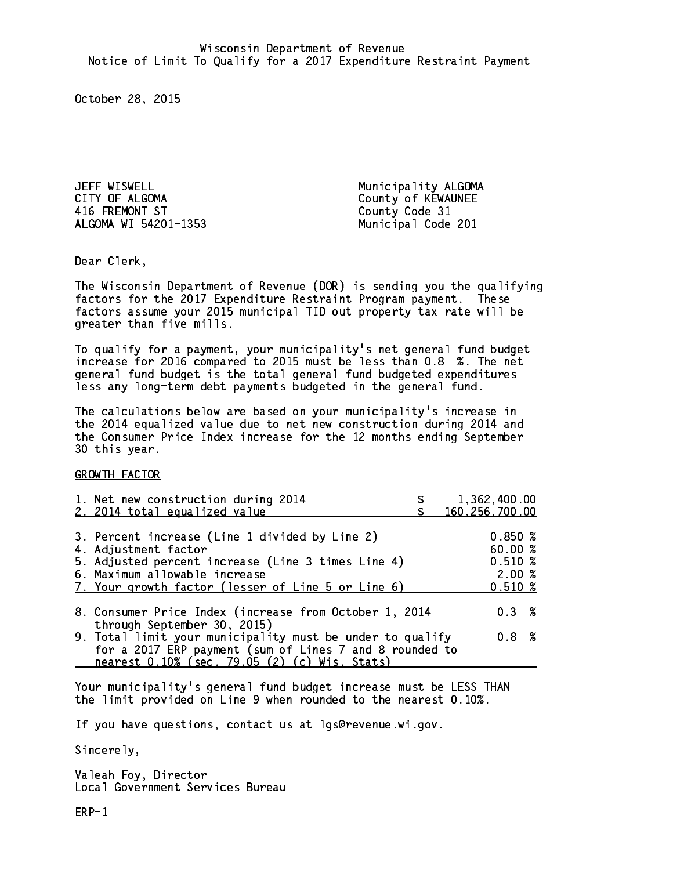JEFF WISWELL Municipality ALGOMA 416 FREMONT ST County Code 31 ALGOMA WI 54201-1353 Municipal Code 201

County of KEWAUNEE

Dear Clerk. Dear Clerk,

The Wisconsin Department of Revenue (DOR) is sending you the qualifying factors for the 2017 Expenditure Restraint Program payment. These factors assume your 2015 municipal TID out property tax rate will be greater than five mills.

 To qualify for a payment, your municipality's net general fund budget increase for 2016 compared to 2015 must be less than 0.8 %. The net general fund budget is the total general fund budgeted expenditures less any long-term debt payments budgeted in the general fund.

The calculations below are based on your municipality's increase in the 2014 equalized value due to net new construction during 2014 and the Consumer Price Index increase for the 12 months ending September 30 this year. 30 this year.

GROWTH FACTOR

| 1. Net new construction during 2014<br>2. 2014 total equalized value                                                                                                                                                | 1,362,400.00<br>160, 256, 700.00                   |
|---------------------------------------------------------------------------------------------------------------------------------------------------------------------------------------------------------------------|----------------------------------------------------|
| 3. Percent increase (Line 1 divided by Line 2)<br>4. Adjustment factor<br>5. Adjusted percent increase (Line 3 times Line 4)<br>6. Maximum allowable increase<br>7. Your growth factor (lesser of Line 5 or Line 6) | 0.850%<br>60.00 %<br>$0.510*$<br>2.00%<br>$0.510*$ |
| 8. Consumer Price Index (increase from October 1, 2014                                                                                                                                                              | $0.3 \t%$                                          |
| through September 30, 2015)<br>9. Total limit your municipality must be under to qualify<br>for a 2017 ERP payment (sum of Lines 7 and 8 rounded to<br>nearest 0.10% (sec. 79.05 (2) (c) Wis. Stats)                | 0.8%                                               |

Your municipality's general fund budget increase must be LESS THAN the limit provided on Line 9 when rounded to the nearest 0.10%.

If you have questions, contact us at lgs@revenue.wi.gov.

Sincerely,

Valeah Foy, Director Local Government Services Bureau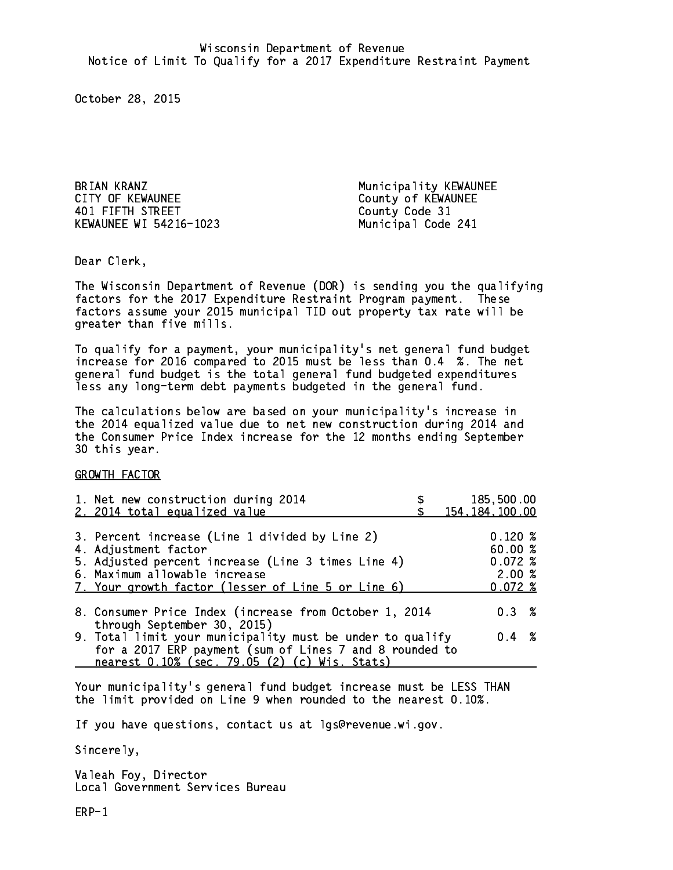BRIAN KRANZ Municipality KEWAUNEE CITY OF KEWAUNEE CITY OF KEWAUNEE 401 FIFTH STREET County Code 31 KEWAUNEE WI 54216-1023 Municipal Code 241

Dear Clerk. Dear Clerk,

The Wisconsin Department of Revenue (DOR) is sending you the qualifying factors for the 2017 Expenditure Restraint Program payment. These factors assume your 2015 municipal TID out property tax rate will be greater than five mills.

 To qualify for a payment, your municipality's net general fund budget increase for 2016 compared to 2015 must be less than 0.4 %. The net general fund budget is the total general fund budgeted expenditures less any long-term debt payments budgeted in the general fund.

The calculations below are based on your municipality's increase in the 2014 equalized value due to net new construction during 2014 and the Consumer Price Index increase for the 12 months ending September 30 this year. 30 this year.

GROWTH FACTOR

| 1. Net new construction during 2014<br>2. 2014 total equalized value                                                                                                                                                | 185,500.00<br>154, 184, 100.00                             |
|---------------------------------------------------------------------------------------------------------------------------------------------------------------------------------------------------------------------|------------------------------------------------------------|
| 3. Percent increase (Line 1 divided by Line 2)<br>4. Adjustment factor<br>5. Adjusted percent increase (Line 3 times Line 4)<br>6. Maximum allowable increase<br>7. Your growth factor (lesser of Line 5 or Line 6) | $0.120 \; \text{%}$<br>60.00%<br>0.072%<br>2.00%<br>0.072% |
| 8. Consumer Price Index (increase from October 1, 2014                                                                                                                                                              | $0.3 \t%$                                                  |
| through September 30, 2015)<br>9. Total limit your municipality must be under to qualify<br>for a 2017 ERP payment (sum of Lines 7 and 8 rounded to<br>nearest 0.10% (sec. 79.05 (2) (c) Wis. Stats)                | $0.4 \t%$                                                  |

Your municipality's general fund budget increase must be LESS THAN the limit provided on Line 9 when rounded to the nearest 0.10%.

If you have questions, contact us at lgs@revenue.wi.gov.

Sincerely,

Valeah Foy, Director Local Government Services Bureau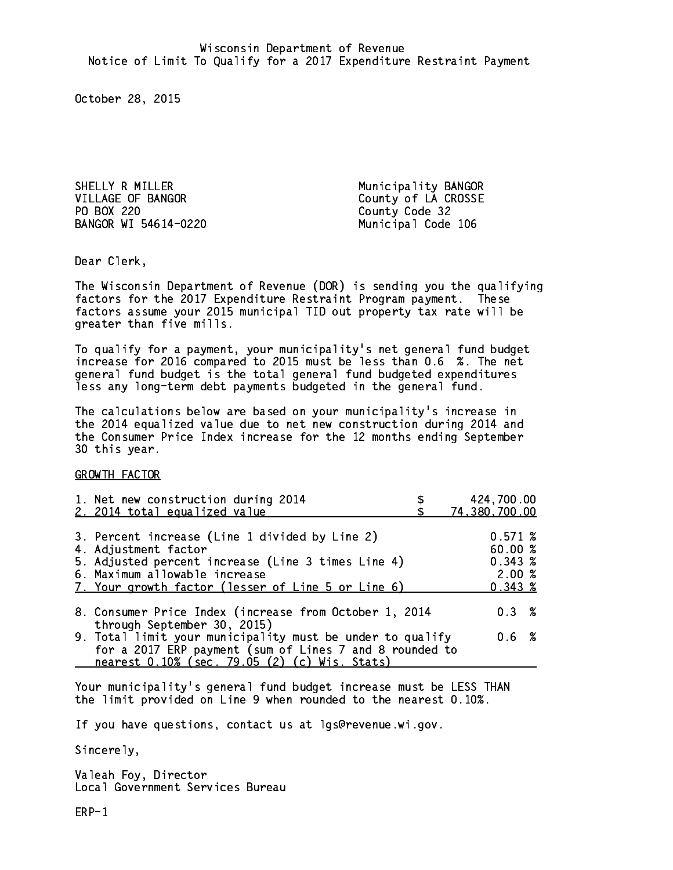Shelly results and the set of the set of the set of the set of the set of the set of the set of the set of the VILLAGE OF BANGOR County of LA CROSSE PO BOX 220 County Code 32 BANGOR WI 54614-0220 Municipal Code 106

Dear Clerk. Dear Clerk,

The Wisconsin Department of Revenue (DOR) is sending you the qualifying factors for the 2017 Expenditure Restraint Program payment. These factors assume your 2015 municipal TID out property tax rate will be greater than five mills.

 To qualify for a payment, your municipality's net general fund budget increase for 2016 compared to 2015 must be less than 0.6 %. The net general fund budget is the total general fund budgeted expenditures less any long-term debt payments budgeted in the general fund.

The calculations below are based on your municipality's increase in the 2014 equalized value due to net new construction during 2014 and the Consumer Price Index increase for the 12 months ending September 30 this year. 30 this year.

GROWTH FACTOR

| 1. Net new construction during 2014<br>2. 2014 total equalized value                                                                                                                                                | 424,700.00<br>74,380,700.00                      |
|---------------------------------------------------------------------------------------------------------------------------------------------------------------------------------------------------------------------|--------------------------------------------------|
| 3. Percent increase (Line 1 divided by Line 2)<br>4. Adjustment factor<br>5. Adjusted percent increase (Line 3 times Line 4)<br>6. Maximum allowable increase<br>7. Your growth factor (lesser of Line 5 or Line 6) | 0.571~%<br>60.00%<br>0.343~%<br>2.00%<br>0.343~% |
| 8. Consumer Price Index (increase from October 1, 2014                                                                                                                                                              | 0.3%                                             |
| through September 30, 2015)<br>9. Total limit your municipality must be under to qualify<br>for a 2017 ERP payment (sum of Lines 7 and 8 rounded to<br>nearest 0.10% (sec. 79.05 (2) (c) Wis. Stats)                | 0.6 %                                            |

Your municipality's general fund budget increase must be LESS THAN the limit provided on Line 9 when rounded to the nearest 0.10%.

If you have questions, contact us at lgs@revenue.wi.gov.

Sincerely,

Valeah Foy, Director Local Government Services Bureau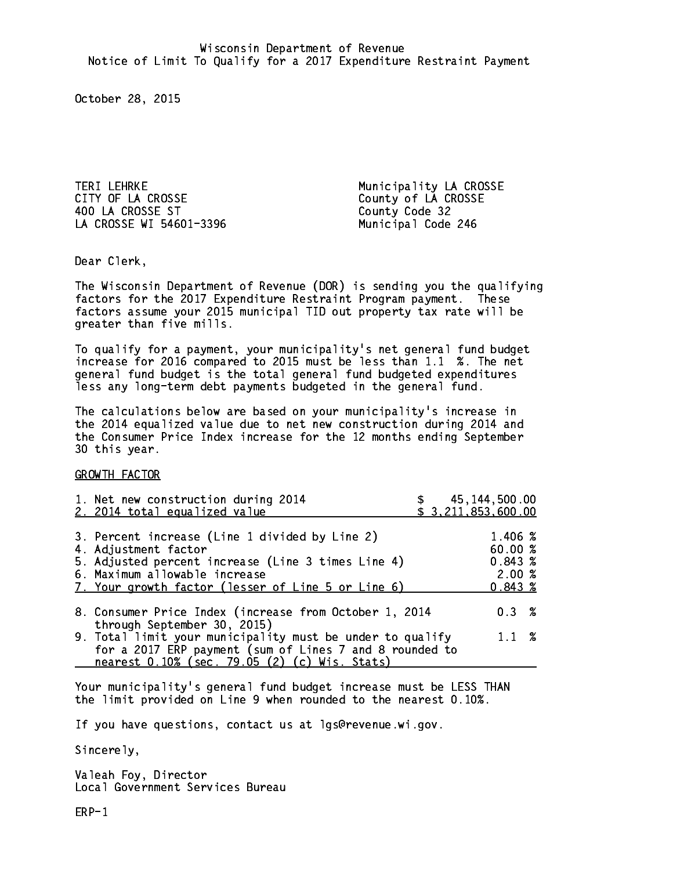Teri Lehri La Crosse municipality La Crosse municipality La Crosse municipality La Crosse municipality La Cross CITY OF LA CROSSE County of LA CROSSE 400 LA CROSSE ST County Code 32 LA CROSSE WI 54601-3396 Municipal Code 246

Dear Clerk. Dear Clerk,

The Wisconsin Department of Revenue (DOR) is sending you the qualifying factors for the 2017 Expenditure Restraint Program payment. These factors assume your 2015 municipal TID out property tax rate will be greater than five mills.

 To qualify for a payment, your municipality's net general fund budget increase for 2016 compared to 2015 must be less than 1.1 %. The net general fund budget is the total general fund budgeted expenditures less any long-term debt payments budgeted in the general fund.

The calculations below are based on your municipality's increase in the 2014 equalized value due to net new construction during 2014 and the Consumer Price Index increase for the 12 months ending September 30 this year. 30 this year.

GROWTH FACTOR

| 1. Net new construction during 2014<br>2. 2014 total equalized value                                                                                                                                                | \$ 45,144,500.00<br>\$3,211,853,600.00                |
|---------------------------------------------------------------------------------------------------------------------------------------------------------------------------------------------------------------------|-------------------------------------------------------|
| 3. Percent increase (Line 1 divided by Line 2)<br>4. Adjustment factor<br>5. Adjusted percent increase (Line 3 times Line 4)<br>6. Maximum allowable increase<br>7. Your growth factor (lesser of Line 5 or Line 6) | 1.406 %<br>60.00%<br>0.843~%<br>2.00%<br>$0.843 \; %$ |
| 8. Consumer Price Index (increase from October 1, 2014<br>through September 30, 2015)                                                                                                                               | $0.3 \t%$                                             |
| 9. Total limit your municipality must be under to qualify<br>for a 2017 ERP payment (sum of Lines 7 and 8 rounded to<br>nearest 0.10% (sec. 79.05 (2) (c) Wis. Stats)                                               | $1.1 \t%$                                             |

Your municipality's general fund budget increase must be LESS THAN the limit provided on Line 9 when rounded to the nearest 0.10%.

If you have questions, contact us at lgs@revenue.wi.gov.

Sincerely,

Valeah Foy, Director Local Government Services Bureau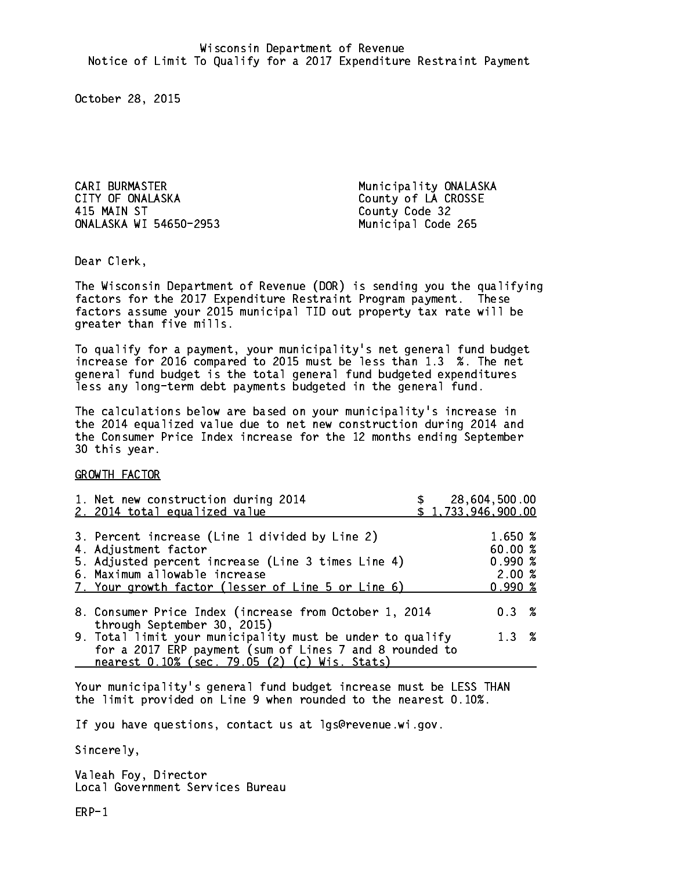CARI BURMASTER Municipality ONALASKA CITY OF ONALASKA County of LA CROSSE 415 MAIN ST ONALASKA WI 54650-2953 Municipal Code 265

County Code 32

Dear Clerk. Dear Clerk,

The Wisconsin Department of Revenue (DOR) is sending you the qualifying factors for the 2017 Expenditure Restraint Program payment. These factors assume your 2015 municipal TID out property tax rate will be greater than five mills.

 To qualify for a payment, your municipality's net general fund budget increase for 2016 compared to 2015 must be less than 1.3 %. The net general fund budget is the total general fund budgeted expenditures less any long-term debt payments budgeted in the general fund.

The calculations below are based on your municipality's increase in the 2014 equalized value due to net new construction during 2014 and the Consumer Price Index increase for the 12 months ending September 30 this year. 30 this year.

GROWTH FACTOR

| 1. Net new construction during 2014<br>2. 2014 total equalized value                                                                                                                                                | 28,604,500.00<br>\$1,733,946,900.00 |                                                      |  |
|---------------------------------------------------------------------------------------------------------------------------------------------------------------------------------------------------------------------|-------------------------------------|------------------------------------------------------|--|
| 3. Percent increase (Line 1 divided by Line 2)<br>4. Adjustment factor<br>5. Adjusted percent increase (Line 3 times Line 4)<br>6. Maximum allowable increase<br>7. Your growth factor (lesser of Line 5 or Line 6) |                                     | 1.650 %<br>60.00%<br>0.990%<br>2.00%<br>$0.990 \; %$ |  |
| 8. Consumer Price Index (increase from October 1, 2014<br>through September 30, 2015)                                                                                                                               |                                     | $0.3 \t%$                                            |  |
| 9. Total limit your municipality must be under to qualify<br>for a 2017 ERP payment (sum of Lines 7 and 8 rounded to<br>nearest 0.10% (sec. 79.05 (2) (c) Wis. Stats)                                               |                                     | $1.3 \t%$                                            |  |

Your municipality's general fund budget increase must be LESS THAN the limit provided on Line 9 when rounded to the nearest 0.10%.

If you have questions, contact us at lgs@revenue.wi.gov.

Sincerely,

Valeah Foy, Director Local Government Services Bureau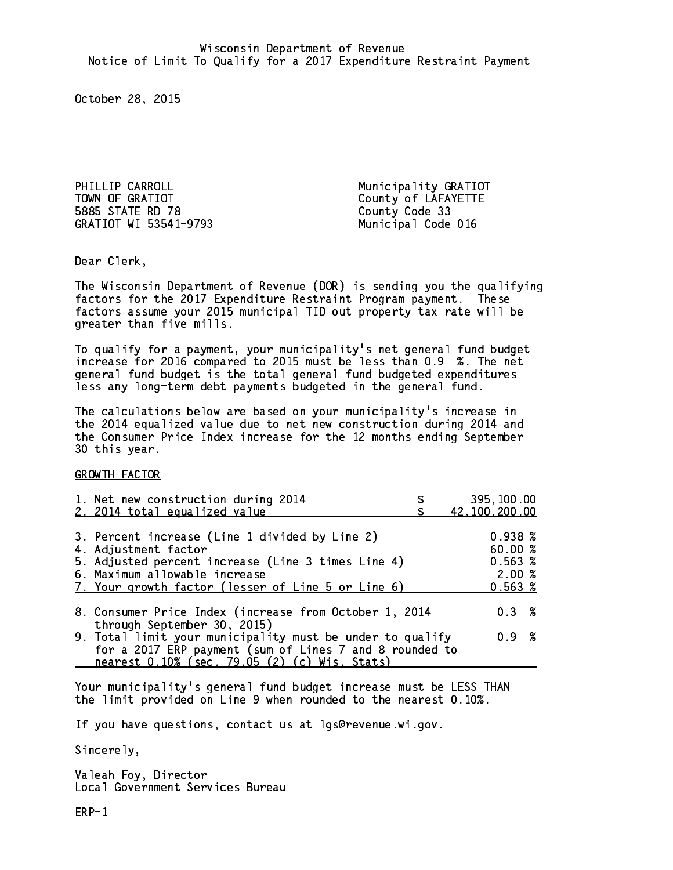PHILLIP CARROLL **Municipality GRATIOT** TOWN OF GRATIOT County of LAFAYETTE 5885 STATE RD 78 County Code 33 GRATIOT WI 53541-9793

Municipal Code 016

Dear Clerk. Dear Clerk,

The Wisconsin Department of Revenue (DOR) is sending you the qualifying factors for the 2017 Expenditure Restraint Program payment. These factors assume your 2015 municipal TID out property tax rate will be greater than five mills.

 To qualify for a payment, your municipality's net general fund budget increase for 2016 compared to 2015 must be less than 0.9 %. The net general fund budget is the total general fund budgeted expenditures less any long-term debt payments budgeted in the general fund.

The calculations below are based on your municipality's increase in the 2014 equalized value due to net new construction during 2014 and the Consumer Price Index increase for the 12 months ending September 30 this year. 30 this year.

GROWTH FACTOR

| 1. Net new construction during 2014                                                                                                                                                                                 | 395,100.00                                            |
|---------------------------------------------------------------------------------------------------------------------------------------------------------------------------------------------------------------------|-------------------------------------------------------|
| 2. 2014 total equalized value                                                                                                                                                                                       | 42,100,200.00                                         |
| 3. Percent increase (Line 1 divided by Line 2)<br>4. Adjustment factor<br>5. Adjusted percent increase (Line 3 times Line 4)<br>6. Maximum allowable increase<br>7. Your growth factor (lesser of Line 5 or Line 6) | $0.938 \;$ %<br>60.00%<br>0.563~%<br>2.00%<br>0.563~% |
| 8. Consumer Price Index (increase from October 1, 2014                                                                                                                                                              | $0.3 \t%$                                             |
| through September 30, 2015)<br>9. Total limit your municipality must be under to qualify<br>for a 2017 ERP payment (sum of Lines 7 and 8 rounded to<br>nearest 0.10% (sec. 79.05 (2) (c) Wis. Stats)                | 0.9 %                                                 |

Your municipality's general fund budget increase must be LESS THAN the limit provided on Line 9 when rounded to the nearest 0.10%.

If you have questions, contact us at lgs@revenue.wi.gov.

Sincerely,

Valeah Foy, Director Local Government Services Bureau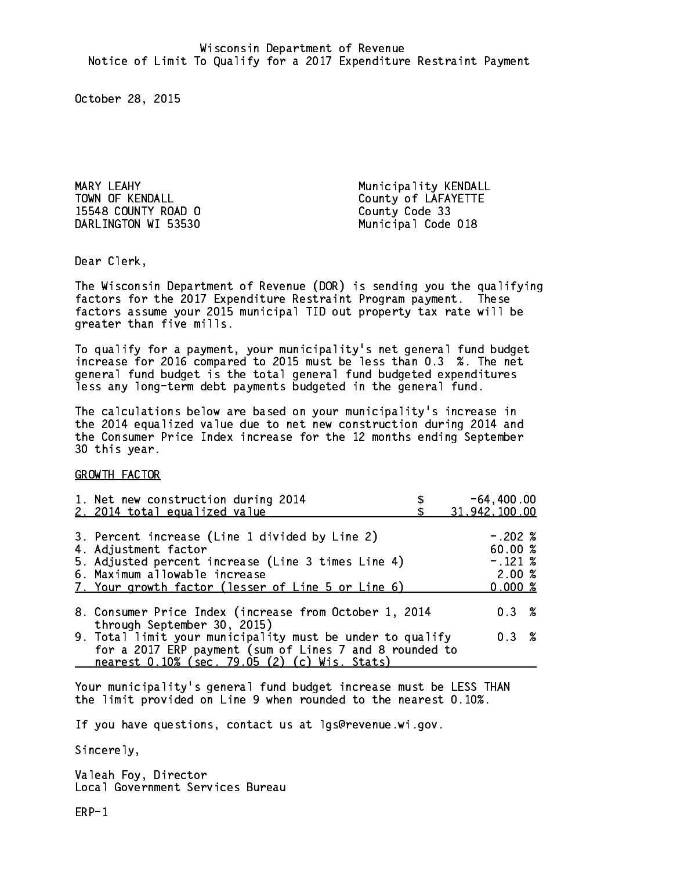MARY LEAHY Municipality KENDALL 15548 COUNTY ROAD O County Code 33 DARLINGTON WI 53530 Municipal Code 018

TOWN OF KENDALL **COUNTY OF LAFAYETTE** 

Dear Clerk. Dear Clerk,

The Wisconsin Department of Revenue (DOR) is sending you the qualifying factors for the 2017 Expenditure Restraint Program payment. These factors assume your 2015 municipal TID out property tax rate will be greater than five mills.

 To qualify for a payment, your municipality's net general fund budget increase for 2016 compared to 2015 must be less than 0.3 %. The net general fund budget is the total general fund budgeted expenditures less any long-term debt payments budgeted in the general fund.

The calculations below are based on your municipality's increase in the 2014 equalized value due to net new construction during 2014 and the Consumer Price Index increase for the 12 months ending September 30 this year. 30 this year.

GROWTH FACTOR

| 1. Net new construction during 2014<br>2. 2014 total equalized value                                                                                                                                                | $-64, 400.00$<br>31,942,100.00                        |
|---------------------------------------------------------------------------------------------------------------------------------------------------------------------------------------------------------------------|-------------------------------------------------------|
| 3. Percent increase (Line 1 divided by Line 2)<br>4. Adjustment factor<br>5. Adjusted percent increase (Line 3 times Line 4)<br>6. Maximum allowable increase<br>7. Your growth factor (lesser of Line 5 or Line 6) | $-.202~%$<br>60.00 %<br>$-.121~%$<br>2.00%<br>0.000~% |
| 8. Consumer Price Index (increase from October 1, 2014<br>through September 30, 2015)                                                                                                                               | $0.3 \t%$                                             |
| 9. Total limit your municipality must be under to qualify<br>for a 2017 ERP payment (sum of Lines 7 and 8 rounded to                                                                                                | $0.3 \t%$                                             |
| nearest 0.10% (sec. 79.05 (2) (c) Wis. Stats)                                                                                                                                                                       |                                                       |

Your municipality's general fund budget increase must be LESS THAN the limit provided on Line 9 when rounded to the nearest 0.10%.

If you have questions, contact us at lgs@revenue.wi.gov.

Sincerely,

Valeah Foy, Director Local Government Services Bureau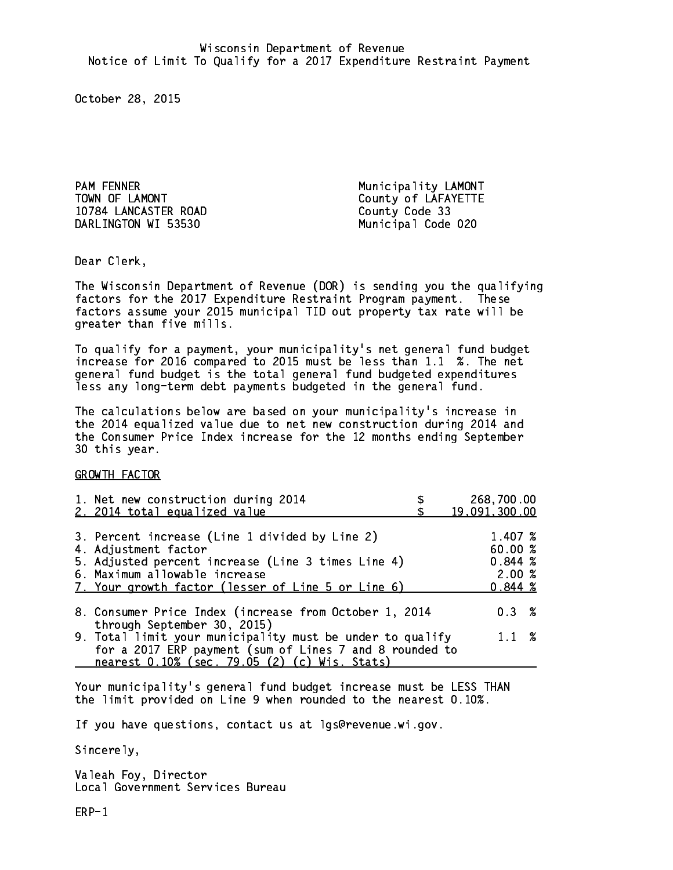PAM FENNER Municipality LAMONT TOWN OF LAMONT County of LAFAYETTE 10784 LANCASTER ROAD County Code 33 DARLINGTON WI 53530 Municipal Code 020

Dear Clerk. Dear Clerk,

The Wisconsin Department of Revenue (DOR) is sending you the qualifying factors for the 2017 Expenditure Restraint Program payment. These factors assume your 2015 municipal TID out property tax rate will be greater than five mills.

 To qualify for a payment, your municipality's net general fund budget increase for 2016 compared to 2015 must be less than 1.1 %. The net general fund budget is the total general fund budgeted expenditures less any long-term debt payments budgeted in the general fund.

The calculations below are based on your municipality's increase in the 2014 equalized value due to net new construction during 2014 and the Consumer Price Index increase for the 12 months ending September 30 this year. 30 this year.

GROWTH FACTOR

| 1. Net new construction during 2014<br>2. 2014 total equalized value                                                                                                                                                | 268,700.00<br>19,091,300.00                      |
|---------------------------------------------------------------------------------------------------------------------------------------------------------------------------------------------------------------------|--------------------------------------------------|
| 3. Percent increase (Line 1 divided by Line 2)<br>4. Adjustment factor<br>5. Adjusted percent increase (Line 3 times Line 4)<br>6. Maximum allowable increase<br>7. Your growth factor (lesser of Line 5 or Line 6) | 1.407 %<br>60.00%<br>0.844~%<br>2.00%<br>0.844~% |
| 8. Consumer Price Index (increase from October 1, 2014                                                                                                                                                              | 0.3%                                             |
| through September 30, 2015)<br>9. Total limit your municipality must be under to qualify<br>for a 2017 ERP payment (sum of Lines 7 and 8 rounded to<br>nearest 0.10% (sec. 79.05 (2) (c) Wis. Stats)                | $1.1 \t%$                                        |

Your municipality's general fund budget increase must be LESS THAN the limit provided on Line 9 when rounded to the nearest 0.10%.

If you have questions, contact us at lgs@revenue.wi.gov.

Sincerely,

Valeah Foy, Director Local Government Services Bureau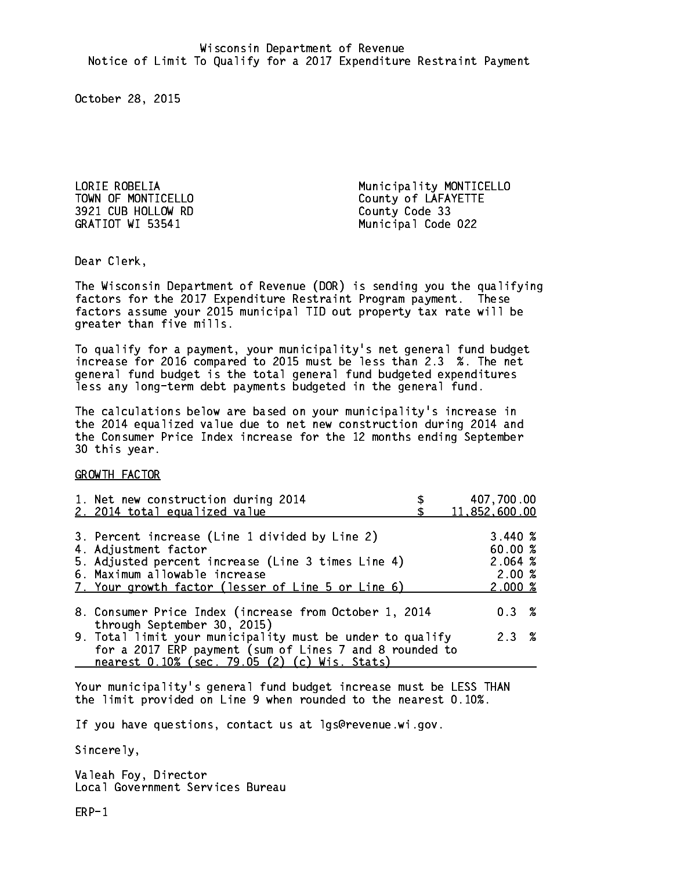3921 CUB HOLLOW RD County Code 33

LORIE ROBELIA **Municipality MONTICELLO** TOWN OF MONTICELLO County of LAFAYETTE GRATIOT WI 53541 Municipal Code 022

Dear Clerk. Dear Clerk,

The Wisconsin Department of Revenue (DOR) is sending you the qualifying factors for the 2017 Expenditure Restraint Program payment. These factors assume your 2015 municipal TID out property tax rate will be greater than five mills.

 To qualify for a payment, your municipality's net general fund budget increase for 2016 compared to 2015 must be less than 2.3 %. The net general fund budget is the total general fund budgeted expenditures less any long-term debt payments budgeted in the general fund.

The calculations below are based on your municipality's increase in the 2014 equalized value due to net new construction during 2014 and the Consumer Price Index increase for the 12 months ending September 30 this year. 30 this year. This year of the second terms of the second terms in the second terms in the second terms in the

GROWTH FACTOR

| 1. Net new construction during 2014<br>2. 2014 total equalized value                                                                                                                                                | 407,700.00<br>11,852,600.00                                   |
|---------------------------------------------------------------------------------------------------------------------------------------------------------------------------------------------------------------------|---------------------------------------------------------------|
| 3. Percent increase (Line 1 divided by Line 2)<br>4. Adjustment factor<br>5. Adjusted percent increase (Line 3 times Line 4)<br>6. Maximum allowable increase<br>7. Your growth factor (lesser of Line 5 or Line 6) | 3.440~%<br>60.00%<br>2.064~%<br>2.00%<br>$2.000 \; \text{\%}$ |
| 8. Consumer Price Index (increase from October 1, 2014<br>through September 30, 2015)                                                                                                                               | $0.3 \t%$                                                     |
| 9. Total limit your municipality must be under to qualify<br>for a 2017 ERP payment (sum of Lines 7 and 8 rounded to<br>nearest 0.10% (sec. 79.05 (2) (c) Wis. Stats)                                               | 2.3%                                                          |

Your municipality's general fund budget increase must be LESS THAN the limit provided on Line 9 when rounded to the nearest 0.10%.

If you have questions, contact us at lgs@revenue.wi.gov.

Sincerely,

Valeah Foy, Director Local Government Services Bureau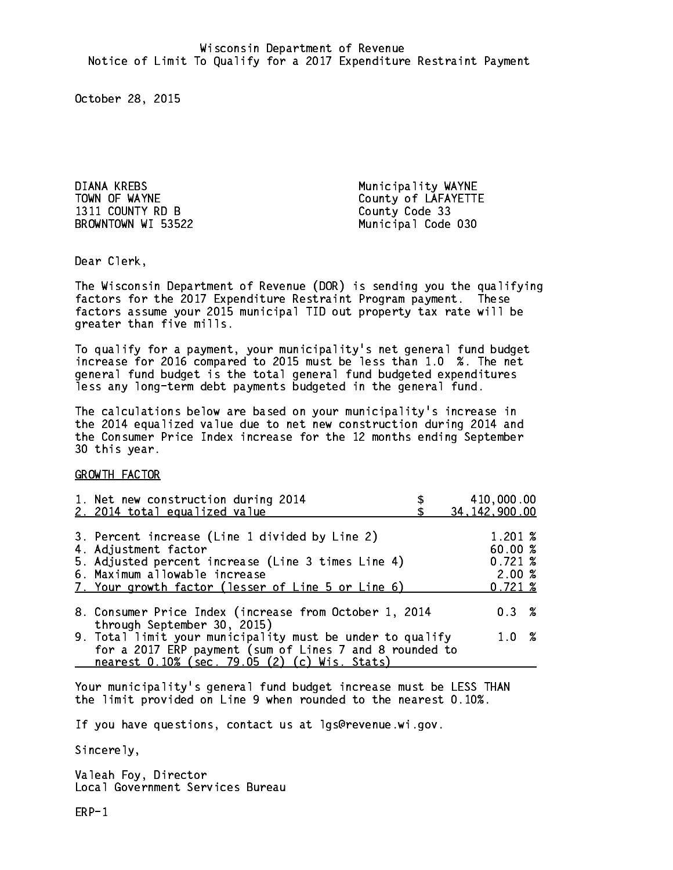DIANA KREBS Municipality WAYNE 1311 COUNTY RD B County Code 33

TOWN OF WAYNE County of LAFAYETTE BROWNTOWN WI 53522 Municipal Code 030

Dear Clerk. Dear Clerk,

The Wisconsin Department of Revenue (DOR) is sending you the qualifying factors for the 2017 Expenditure Restraint Program payment. These factors assume your 2015 municipal TID out property tax rate will be greater than five mills.

 To qualify for a payment, your municipality's net general fund budget increase for 2016 compared to 2015 must be less than 1.0 %. The net general fund budget is the total general fund budgeted expenditures less any long-term debt payments budgeted in the general fund.

The calculations below are based on your municipality's increase in the 2014 equalized value due to net new construction during 2014 and the Consumer Price Index increase for the 12 months ending September 30 this year. 30 this year. This year of the second terms of the second terms in the second terms in the second terms in the

GROWTH FACTOR

| 1. Net new construction during 2014<br>2. 2014 total equalized value                                                                                                                                                | 410,000.00<br>34, 142, 900.00                               |
|---------------------------------------------------------------------------------------------------------------------------------------------------------------------------------------------------------------------|-------------------------------------------------------------|
| 3. Percent increase (Line 1 divided by Line 2)<br>4. Adjustment factor<br>5. Adjusted percent increase (Line 3 times Line 4)<br>6. Maximum allowable increase<br>7. Your growth factor (lesser of Line 5 or Line 6) | $1.201 \;$ %<br>60.00 %<br>$0.721 \;$ %<br>2.00%<br>0.721~% |
| 8. Consumer Price Index (increase from October 1, 2014                                                                                                                                                              | $0.3 \t%$                                                   |
| through September 30, 2015)<br>9. Total limit your municipality must be under to qualify<br>for a 2017 ERP payment (sum of Lines 7 and 8 rounded to<br>nearest 0.10% (sec. 79.05 (2) (c) Wis. Stats)                | 1.0 %                                                       |

Your municipality's general fund budget increase must be LESS THAN the limit provided on Line 9 when rounded to the nearest 0.10%.

If you have questions, contact us at lgs@revenue.wi.gov.

Sincerely,

Valeah Foy, Director Local Government Services Bureau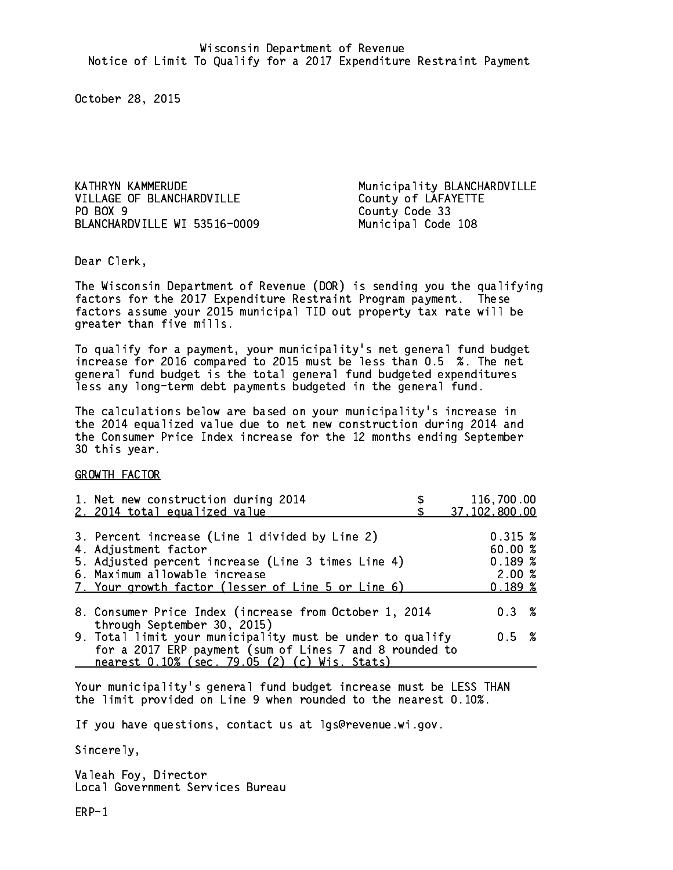VILLAGE OF BLANCHARDVILLE County of LAFAYETTE PO BOX 9 BLANCHARDVILLE WI 53516-0009 Municipal Code 108

KATHRYN KAMMERUDE **Municipality BLANCHARDVILLE** County Code 33

Dear Clerk. Dear Clerk,

The Wisconsin Department of Revenue (DOR) is sending you the qualifying factors for the 2017 Expenditure Restraint Program payment. These factors assume your 2015 municipal TID out property tax rate will be greater than five mills.

 To qualify for a payment, your municipality's net general fund budget increase for 2016 compared to 2015 must be less than 0.5 %. The net general fund budget is the total general fund budgeted expenditures less any long-term debt payments budgeted in the general fund.

The calculations below are based on your municipality's increase in the 2014 equalized value due to net new construction during 2014 and the Consumer Price Index increase for the 12 months ending September 30 this year. 30 this year. This year of the second terms of the second terms in the second terms in the second terms in the

GROWTH FACTOR

| 1. Net new construction during 2014<br>2. 2014 total equalized value                                                                                                                                                | 116,700.00<br>37,102,800.00                                    |
|---------------------------------------------------------------------------------------------------------------------------------------------------------------------------------------------------------------------|----------------------------------------------------------------|
| 3. Percent increase (Line 1 divided by Line 2)<br>4. Adjustment factor<br>5. Adjusted percent increase (Line 3 times Line 4)<br>6. Maximum allowable increase<br>7. Your growth factor (lesser of Line 5 or Line 6) | $0.315 \; \text{%}$<br>60.00 %<br>0.189~%<br>2.00%<br>$0.189*$ |
| 8. Consumer Price Index (increase from October 1, 2014<br>through September 30, 2015)                                                                                                                               | $0.3 \t%$                                                      |
| 9. Total limit your municipality must be under to qualify<br>for a 2017 ERP payment (sum of Lines 7 and 8 rounded to<br>nearest 0.10% (sec. 79.05 (2) (c) Wis. Stats)                                               | 0.5 %                                                          |

Your municipality's general fund budget increase must be LESS THAN the limit provided on Line 9 when rounded to the nearest 0.10%.

If you have questions, contact us at lgs@revenue.wi.gov.

Sincerely,

Valeah Foy, Director Local Government Services Bureau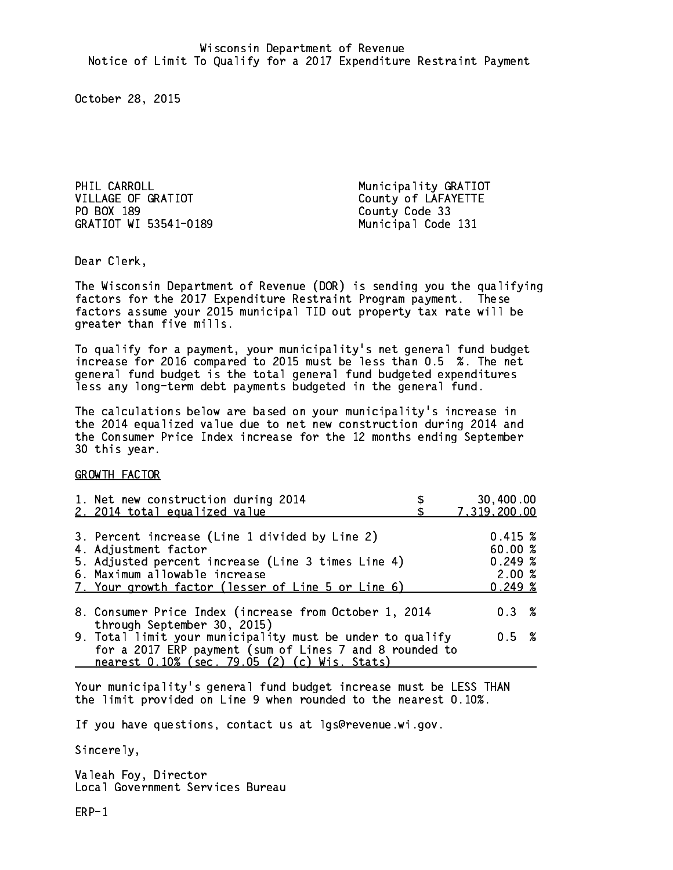PHIL CARROLL **Municipality GRATIOT** VILLAGE OF GRATIOT County of LAFAYETTE PO BOX 189 County Code 33 GRATIOT WI 53541-0189 Municipal Code 131

Dear Clerk. Dear Clerk,

The Wisconsin Department of Revenue (DOR) is sending you the qualifying factors for the 2017 Expenditure Restraint Program payment. These factors assume your 2015 municipal TID out property tax rate will be greater than five mills.

 To qualify for a payment, your municipality's net general fund budget increase for 2016 compared to 2015 must be less than 0.5 %. The net general fund budget is the total general fund budgeted expenditures less any long-term debt payments budgeted in the general fund.

The calculations below are based on your municipality's increase in the 2014 equalized value due to net new construction during 2014 and the Consumer Price Index increase for the 12 months ending September 30 this year. 30 this year.

GROWTH FACTOR

| 1. Net new construction during 2014<br>2. 2014 total equalized value                                                 | 30,400.00<br>7,319,200.00 |  |
|----------------------------------------------------------------------------------------------------------------------|---------------------------|--|
|                                                                                                                      |                           |  |
| 3. Percent increase (Line 1 divided by Line 2)<br>4. Adjustment factor                                               | $0.415 \;$ %<br>60.00%    |  |
| 5. Adjusted percent increase (Line 3 times Line 4)                                                                   | 0.249~%                   |  |
| 6. Maximum allowable increase<br>7. Your growth factor (lesser of Line 5 or Line 6)                                  | 2.00%<br>0.249~%          |  |
| 8. Consumer Price Index (increase from October 1, 2014<br>through September 30, 2015)                                | $0.3 \t%$                 |  |
| 9. Total limit your municipality must be under to qualify<br>for a 2017 ERP payment (sum of Lines 7 and 8 rounded to | 0.5 %                     |  |
| nearest 0.10% (sec. 79.05 (2) (c) Wis. Stats)                                                                        |                           |  |

Your municipality's general fund budget increase must be LESS THAN the limit provided on Line 9 when rounded to the nearest 0.10%.

If you have questions, contact us at lgs@revenue.wi.gov.

Sincerely,

Valeah Foy, Director Local Government Services Bureau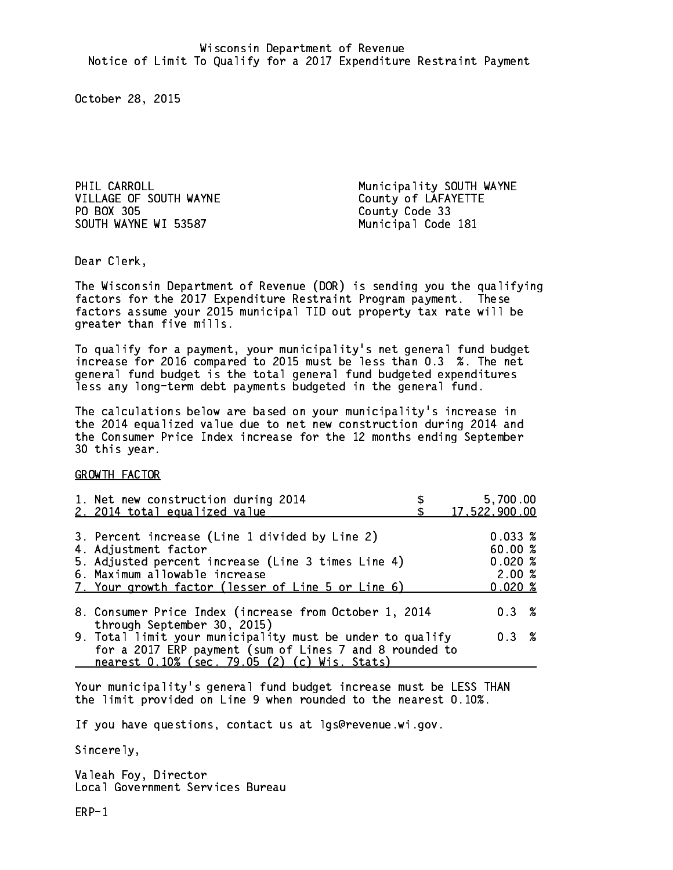VILLAGE OF SOUTH WAYNE County of LAFAYETTE PO BOX 305 County Code 33 SOUTH WAYNE WI 53587 Municipal Code 181

PHIL CARROLL **Municipality SOUTH WAYNE** 

Dear Clerk. Dear Clerk,

The Wisconsin Department of Revenue (DOR) is sending you the qualifying factors for the 2017 Expenditure Restraint Program payment. These factors assume your 2015 municipal TID out property tax rate will be greater than five mills.

 To qualify for a payment, your municipality's net general fund budget increase for 2016 compared to 2015 must be less than 0.3 %. The net general fund budget is the total general fund budgeted expenditures less any long-term debt payments budgeted in the general fund.

The calculations below are based on your municipality's increase in the 2014 equalized value due to net new construction during 2014 and the Consumer Price Index increase for the 12 months ending September 30 this year. 30 this year.

GROWTH FACTOR

| 1. Net new construction during 2014<br>2. 2014 total equalized value                                                                                                                                                | 5,700.00<br>17, 522, 900.00                         |
|---------------------------------------------------------------------------------------------------------------------------------------------------------------------------------------------------------------------|-----------------------------------------------------|
| 3. Percent increase (Line 1 divided by Line 2)<br>4. Adjustment factor<br>5. Adjusted percent increase (Line 3 times Line 4)<br>6. Maximum allowable increase<br>7. Your growth factor (lesser of Line 5 or Line 6) | $0.033 \;$ %<br>60.00%<br>0.020%<br>2.00%<br>0.020% |
| 8. Consumer Price Index (increase from October 1, 2014<br>through September 30, 2015)                                                                                                                               | $0.3 \t%$                                           |
| 9. Total limit your municipality must be under to qualify<br>for a 2017 ERP payment (sum of Lines 7 and 8 rounded to<br>nearest 0.10% (sec. 79.05 (2) (c) Wis. Stats)                                               | 0.3%                                                |

Your municipality's general fund budget increase must be LESS THAN the limit provided on Line 9 when rounded to the nearest 0.10%.

If you have questions, contact us at lgs@revenue.wi.gov.

Sincerely,

Valeah Foy, Director Local Government Services Bureau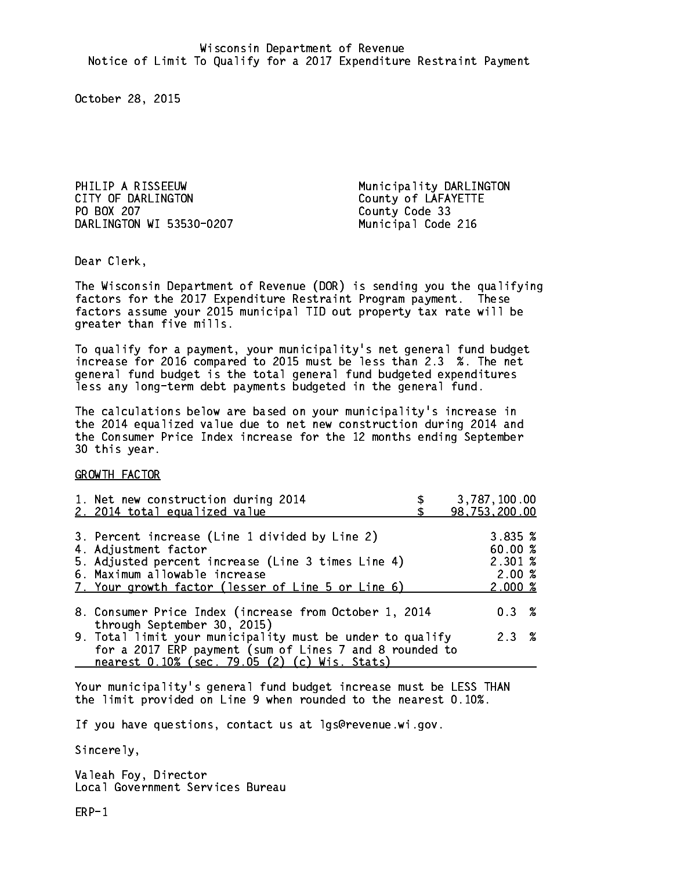PHILIP A RISSEEUW Municipality DARLINGTON CITY OF DARLINGTON COUNTY OF LAFAYETTE PO BOX 207 DARLINGTON WI 53530-0207 Municipal Code 216

County Code 33

Dear Clerk. Dear Clerk,

The Wisconsin Department of Revenue (DOR) is sending you the qualifying factors for the 2017 Expenditure Restraint Program payment. These factors assume your 2015 municipal TID out property tax rate will be greater than five mills.

 To qualify for a payment, your municipality's net general fund budget increase for 2016 compared to 2015 must be less than 2.3 %. The net general fund budget is the total general fund budgeted expenditures less any long-term debt payments budgeted in the general fund.

The calculations below are based on your municipality's increase in the 2014 equalized value due to net new construction during 2014 and the Consumer Price Index increase for the 12 months ending September 30 this year. 30 this year.

GROWTH FACTOR

| 1. Net new construction during 2014<br>2. 2014 total equalized value                                                                                                                                                | 3,787,100.00<br>98,753,200.00                                 |
|---------------------------------------------------------------------------------------------------------------------------------------------------------------------------------------------------------------------|---------------------------------------------------------------|
| 3. Percent increase (Line 1 divided by Line 2)<br>4. Adjustment factor<br>5. Adjusted percent increase (Line 3 times Line 4)<br>6. Maximum allowable increase<br>7. Your growth factor (lesser of Line 5 or Line 6) | $3.835 \; \text{\%}$<br>60.00%<br>2.301 %<br>2.00%<br>2.000~% |
| 8. Consumer Price Index (increase from October 1, 2014                                                                                                                                                              | $0.3 \t%$                                                     |
| through September 30, 2015)<br>9. Total limit your municipality must be under to qualify<br>for a 2017 ERP payment (sum of Lines 7 and 8 rounded to<br>nearest 0.10% (sec. 79.05 (2) (c) Wis. Stats)                | 2.3%                                                          |

Your municipality's general fund budget increase must be LESS THAN the limit provided on Line 9 when rounded to the nearest 0.10%.

If you have questions, contact us at lgs@revenue.wi.gov.

Sincerely,

Valeah Foy, Director Local Government Services Bureau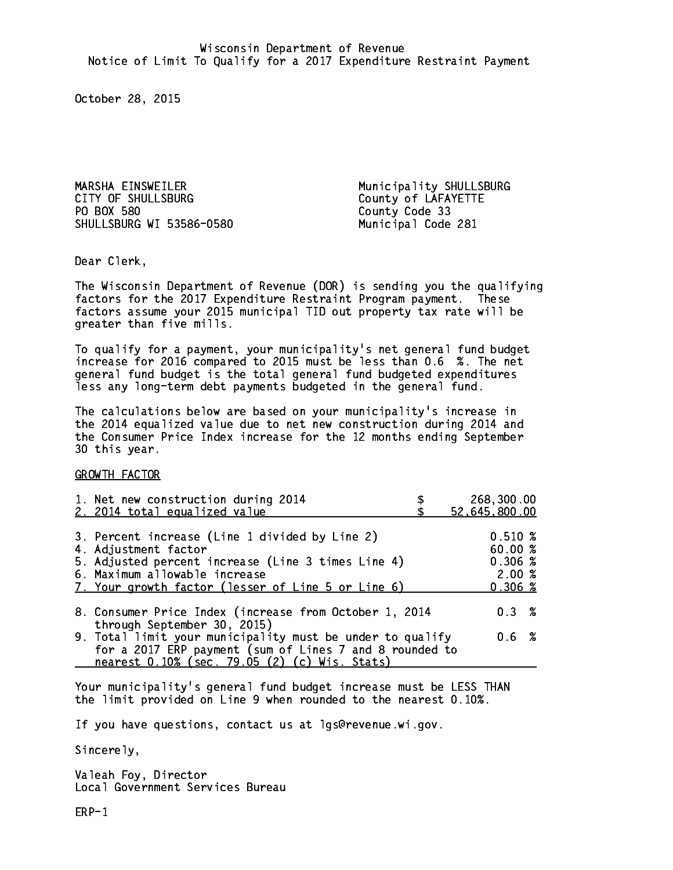MARSHA EINSWEILER Municipality SHULLSBURG CITY OF SHULLSBURG COUNTY OF LAFAYETTE PO BOX 580 SHULLSBURG WI 53586-0580 Municipal Code 281

County Code 33

Dear Clerk. Dear Clerk,

The Wisconsin Department of Revenue (DOR) is sending you the qualifying factors for the 2017 Expenditure Restraint Program payment. These factors assume your 2015 municipal TID out property tax rate will be greater than five mills.

 To qualify for a payment, your municipality's net general fund budget increase for 2016 compared to 2015 must be less than 0.6 %. The net general fund budget is the total general fund budgeted expenditures less any long-term debt payments budgeted in the general fund.

The calculations below are based on your municipality's increase in the 2014 equalized value due to net new construction during 2014 and the Consumer Price Index increase for the 12 months ending September 30 this year. 30 this year.

GROWTH FACTOR

| 1. Net new construction during 2014<br>2. 2014 total equalized value                                                                                                                                                | 268,300.00<br>52,645,800.00                                  |
|---------------------------------------------------------------------------------------------------------------------------------------------------------------------------------------------------------------------|--------------------------------------------------------------|
| 3. Percent increase (Line 1 divided by Line 2)<br>4. Adjustment factor<br>5. Adjusted percent increase (Line 3 times Line 4)<br>6. Maximum allowable increase<br>7. Your growth factor (lesser of Line 5 or Line 6) | 0.510%<br>60.00%<br>$0.306 \; \text{\%}$<br>2.00%<br>0.306~% |
| 8. Consumer Price Index (increase from October 1, 2014<br>through September 30, 2015)                                                                                                                               | 0.3%                                                         |
| 9. Total limit your municipality must be under to qualify<br>for a 2017 ERP payment (sum of Lines 7 and 8 rounded to<br>nearest 0.10% (sec. 79.05 (2) (c) Wis. Stats)                                               | 0.6 %                                                        |

Your municipality's general fund budget increase must be LESS THAN the limit provided on Line 9 when rounded to the nearest 0.10%.

If you have questions, contact us at lgs@revenue.wi.gov.

Sincerely,

Valeah Foy, Director Local Government Services Bureau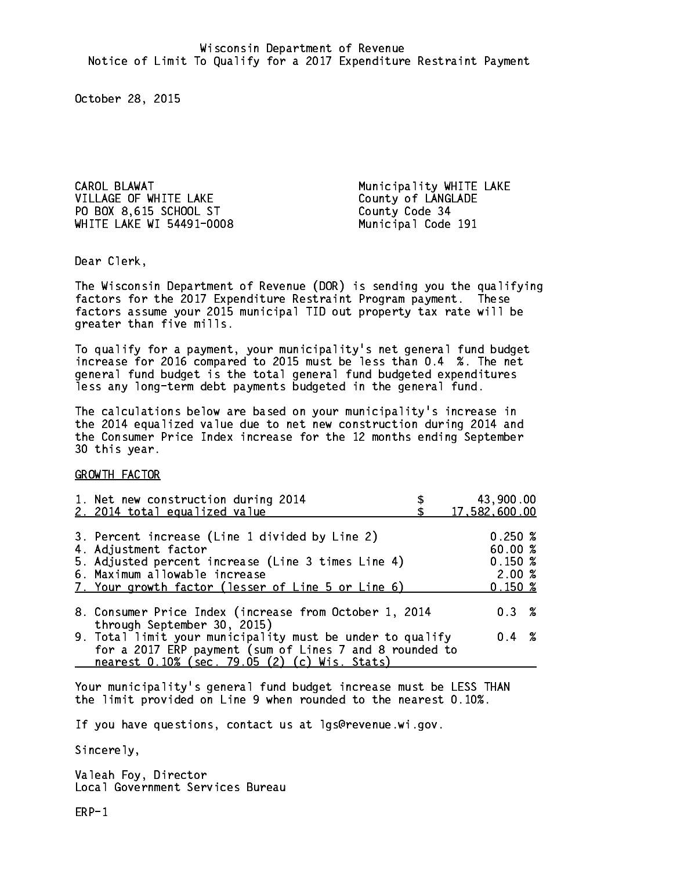CAROL BLAWAT **Municipality WHITE LAKE** VILLAGE OF WHITE LAKE County of LANGLADE PO BOX 8,615 SCHOOL ST County Code 34 WHITE LAKE WI 54491-0008 Municipal Code 191

Dear Clerk. Dear Clerk,

The Wisconsin Department of Revenue (DOR) is sending you the qualifying factors for the 2017 Expenditure Restraint Program payment. These factors assume your 2015 municipal TID out property tax rate will be greater than five mills.

 To qualify for a payment, your municipality's net general fund budget increase for 2016 compared to 2015 must be less than 0.4 %. The net general fund budget is the total general fund budgeted expenditures less any long-term debt payments budgeted in the general fund.

The calculations below are based on your municipality's increase in the 2014 equalized value due to net new construction during 2014 and the Consumer Price Index increase for the 12 months ending September 30 this year. 30 this year.

GROWTH FACTOR

| 1. Net new construction during 2014                                                                                                                                                                                 | 43,900.00                                       |
|---------------------------------------------------------------------------------------------------------------------------------------------------------------------------------------------------------------------|-------------------------------------------------|
| 2. 2014 total equalized value                                                                                                                                                                                       | 17,582,600.00                                   |
| 3. Percent increase (Line 1 divided by Line 2)<br>4. Adjustment factor<br>5. Adjusted percent increase (Line 3 times Line 4)<br>6. Maximum allowable increase<br>7. Your growth factor (lesser of Line 5 or Line 6) | 0.250%<br>60.00%<br>0.150~%<br>2.00%<br>0.150~% |
| 8. Consumer Price Index (increase from October 1, 2014                                                                                                                                                              | $0.3 \t%$                                       |
| through September 30, 2015)<br>9. Total limit your municipality must be under to qualify<br>for a 2017 ERP payment (sum of Lines 7 and 8 rounded to<br>nearest 0.10% (sec. 79.05 (2) (c) Wis. Stats)                | $0.4 \t%$                                       |

Your municipality's general fund budget increase must be LESS THAN the limit provided on Line 9 when rounded to the nearest 0.10%.

If you have questions, contact us at lgs@revenue.wi.gov.

Sincerely,

Valeah Foy, Director Local Government Services Bureau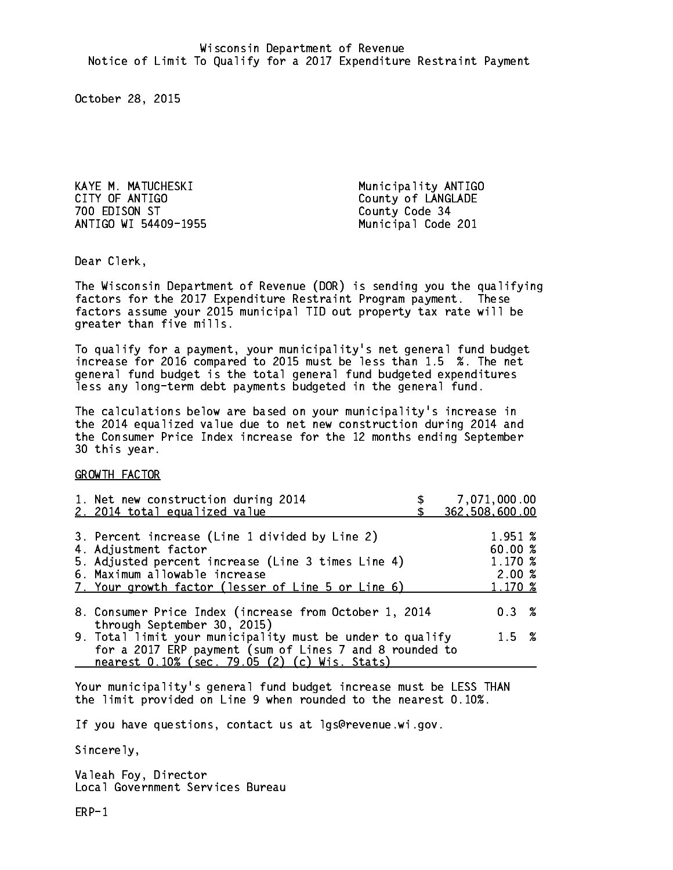KAYE M. MATUCHESKI Municipality ANTIGO 700 EDISON ST County Code 34 ANTIGO WI 54409-1955 Municipal Code 201

County of LANGLADE

Dear Clerk. Dear Clerk,

The Wisconsin Department of Revenue (DOR) is sending you the qualifying factors for the 2017 Expenditure Restraint Program payment. These factors assume your 2015 municipal TID out property tax rate will be greater than five mills.

 To qualify for a payment, your municipality's net general fund budget increase for 2016 compared to 2015 must be less than 1.5 %. The net general fund budget is the total general fund budgeted expenditures less any long-term debt payments budgeted in the general fund.

The calculations below are based on your municipality's increase in the 2014 equalized value due to net new construction during 2014 and the Consumer Price Index increase for the 12 months ending September 30 this year. 30 this year.

GROWTH FACTOR

| 1. Net new construction during 2014<br>2. 2014 total equalized value                                                                                                                                                | 7,071,000.00<br>362,508,600.00                    |
|---------------------------------------------------------------------------------------------------------------------------------------------------------------------------------------------------------------------|---------------------------------------------------|
| 3. Percent increase (Line 1 divided by Line 2)<br>4. Adjustment factor<br>5. Adjusted percent increase (Line 3 times Line 4)<br>6. Maximum allowable increase<br>7. Your growth factor (lesser of Line 5 or Line 6) | 1.951 %<br>60.00 %<br>1.170 %<br>2.00%<br>1.170 % |
| 8. Consumer Price Index (increase from October 1, 2014<br>through September 30, 2015)                                                                                                                               | $0.3 \t%$                                         |
| 9. Total limit your municipality must be under to qualify<br>for a 2017 ERP payment (sum of Lines 7 and 8 rounded to<br>nearest 0.10% (sec. 79.05 (2) (c) Wis. Stats)                                               | $1.5 \t%$                                         |
|                                                                                                                                                                                                                     |                                                   |

Your municipality's general fund budget increase must be LESS THAN the limit provided on Line 9 when rounded to the nearest 0.10%.

If you have questions, contact us at lgs@revenue.wi.gov.

Sincerely,

Valeah Foy, Director Local Government Services Bureau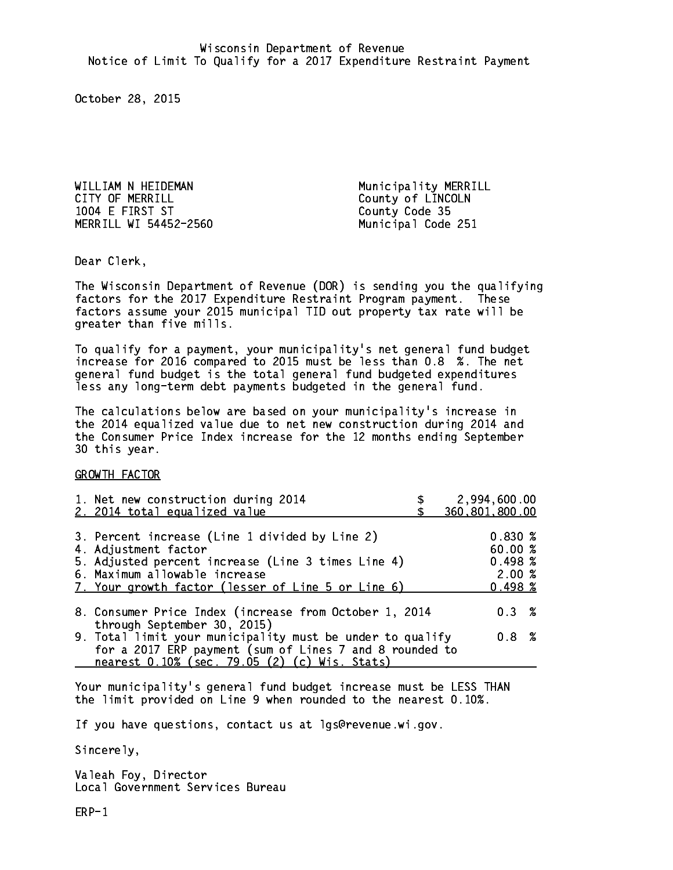WILLIAM N HEIDEMAN **Municipality MERRILL** CITY OF MERRILL CITY OF MERRILL 1004 E FIRST ST County Code 35 MERRILL WI 54452-2560 Municipal Code 251

Dear Clerk. Dear Clerk,

The Wisconsin Department of Revenue (DOR) is sending you the qualifying factors for the 2017 Expenditure Restraint Program payment. These factors assume your 2015 municipal TID out property tax rate will be greater than five mills.

 To qualify for a payment, your municipality's net general fund budget increase for 2016 compared to 2015 must be less than 0.8 %. The net general fund budget is the total general fund budgeted expenditures less any long-term debt payments budgeted in the general fund.

The calculations below are based on your municipality's increase in the 2014 equalized value due to net new construction during 2014 and the Consumer Price Index increase for the 12 months ending September 30 this year. 30 this year.

GROWTH FACTOR

|                                                                                                                      | 2,994,600.00<br>360,801,800.00                        |
|----------------------------------------------------------------------------------------------------------------------|-------------------------------------------------------|
| 5. Adjusted percent increase (Line 3 times Line 4)<br>7. Your growth factor (lesser of Line 5 or Line 6)             | 0.830%<br>60.00 %<br>0.498~%<br>2.00%<br>$0.498 \;$ % |
| 8. Consumer Price Index (increase from October 1, 2014                                                               | $0.3 \t%$                                             |
| 9. Total limit your municipality must be under to qualify<br>for a 2017 ERP payment (sum of Lines 7 and 8 rounded to | 0.8%                                                  |
|                                                                                                                      |                                                       |

Your municipality's general fund budget increase must be LESS THAN the limit provided on Line 9 when rounded to the nearest 0.10%.

If you have questions, contact us at lgs@revenue.wi.gov.

Sincerely,

Valeah Foy, Director Local Government Services Bureau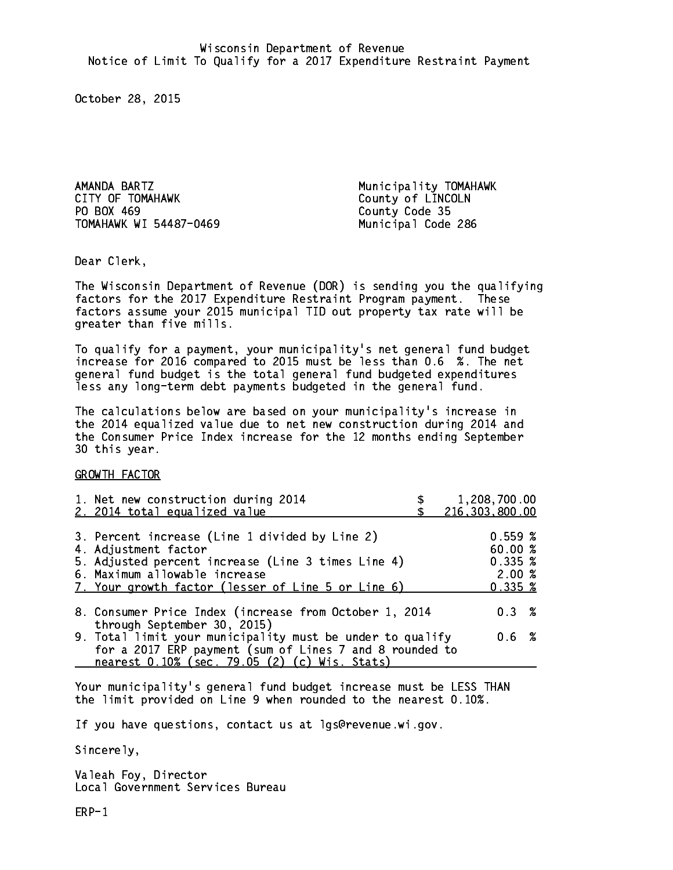AMANDA BARTZ Municipality TOMAHAWK CITY OF TOMAHAWK COUNTY OF LINCOLN PO BOX 469 TOMAHAWK WI 54487-0469 Municipal Code 286

County Code 35

Dear Clerk. Dear Clerk,

The Wisconsin Department of Revenue (DOR) is sending you the qualifying factors for the 2017 Expenditure Restraint Program payment. These factors assume your 2015 municipal TID out property tax rate will be greater than five mills.

 To qualify for a payment, your municipality's net general fund budget increase for 2016 compared to 2015 must be less than 0.6 %. The net general fund budget is the total general fund budgeted expenditures less any long-term debt payments budgeted in the general fund.

The calculations below are based on your municipality's increase in the 2014 equalized value due to net new construction during 2014 and the Consumer Price Index increase for the 12 months ending September 30 this year. 30 this year.

GROWTH FACTOR

| 1. Net new construction during 2014<br>2. 2014 total equalized value                                                                                                                                                | 1,208,700.00<br>216,303,800.00                                 |
|---------------------------------------------------------------------------------------------------------------------------------------------------------------------------------------------------------------------|----------------------------------------------------------------|
| 3. Percent increase (Line 1 divided by Line 2)<br>4. Adjustment factor<br>5. Adjusted percent increase (Line 3 times Line 4)<br>6. Maximum allowable increase<br>7. Your growth factor (lesser of Line 5 or Line 6) | 0.559~%<br>60.00 %<br>0.335~%<br>2.00%<br>$0.335 \; \text{\%}$ |
| 8. Consumer Price Index (increase from October 1, 2014                                                                                                                                                              | 0.3%                                                           |
| through September 30, 2015)<br>9. Total limit your municipality must be under to qualify<br>for a 2017 ERP payment (sum of Lines 7 and 8 rounded to<br>nearest 0.10% (sec. 79.05 (2) (c) Wis. Stats)                | $0.6\;$ %                                                      |

Your municipality's general fund budget increase must be LESS THAN the limit provided on Line 9 when rounded to the nearest 0.10%.

If you have questions, contact us at lgs@revenue.wi.gov.

Sincerely,

Valeah Foy, Director Local Government Services Bureau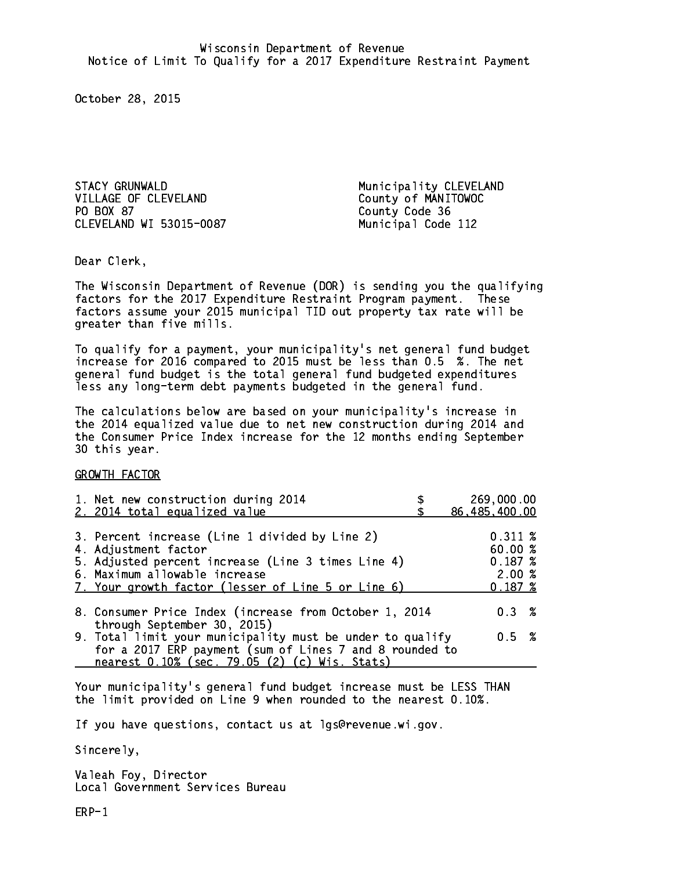STACY GRUNWALD Municipality CLEVELAND VILLAGE OF CLEVELAND County of MANITOWOC PO BOX 87 CLEVELAND WI 53015-0087 Municipal Code 112

County Code 36

Dear Clerk. Dear Clerk,

The Wisconsin Department of Revenue (DOR) is sending you the qualifying factors for the 2017 Expenditure Restraint Program payment. These factors assume your 2015 municipal TID out property tax rate will be greater than five mills.

 To qualify for a payment, your municipality's net general fund budget increase for 2016 compared to 2015 must be less than 0.5 %. The net general fund budget is the total general fund budgeted expenditures less any long-term debt payments budgeted in the general fund.

The calculations below are based on your municipality's increase in the 2014 equalized value due to net new construction during 2014 and the Consumer Price Index increase for the 12 months ending September 30 this year. 30 this year.

GROWTH FACTOR

|                                                                                                                                                                                                                                                                                                                                                                             | 0.311~%<br>60.00%<br>0.187~%<br>2.00%<br>0.187~%                                                                    |                                                                                        |
|-----------------------------------------------------------------------------------------------------------------------------------------------------------------------------------------------------------------------------------------------------------------------------------------------------------------------------------------------------------------------------|---------------------------------------------------------------------------------------------------------------------|----------------------------------------------------------------------------------------|
|                                                                                                                                                                                                                                                                                                                                                                             | $0.3 \t%$                                                                                                           |                                                                                        |
|                                                                                                                                                                                                                                                                                                                                                                             | 0.5 %                                                                                                               |                                                                                        |
| 1. Net new construction during 2014<br>2. 2014 total equalized value<br>3. Percent increase (Line 1 divided by Line 2)<br>4. Adjustment factor<br>5. Adjusted percent increase (Line 3 times Line 4)<br>6. Maximum allowable increase<br>7. Your growth factor (lesser of Line 5 or Line 6)<br>through September 30, 2015)<br>nearest 0.10% (sec. 79.05 (2) (c) Wis. Stats) | 8. Consumer Price Index (increase from October 1, 2014<br>9. Total limit your municipality must be under to qualify | 269,000.00<br>86,485,400.00<br>for a 2017 ERP payment (sum of Lines 7 and 8 rounded to |

Your municipality's general fund budget increase must be LESS THAN the limit provided on Line 9 when rounded to the nearest 0.10%.

If you have questions, contact us at lgs@revenue.wi.gov.

Sincerely,

Valeah Foy, Director Local Government Services Bureau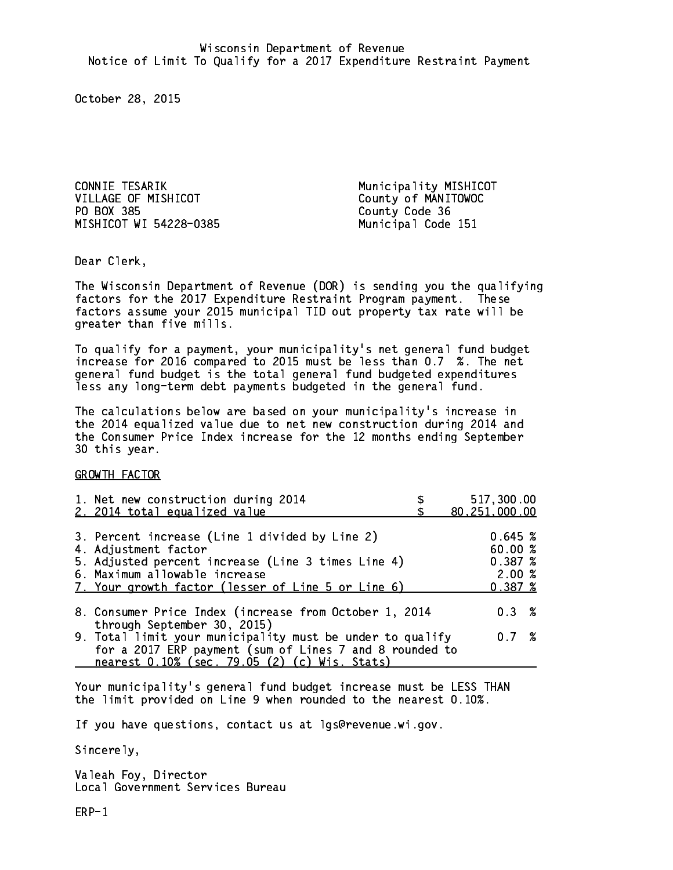CONNIE TESARIK Municipality MISHICOT VILLAGE OF MISHICOT County of MANITOWOC PO BOX 385 MISHICOT WI 54228-0385 Municipal Code 151

County Code 36

Dear Clerk. Dear Clerk,

The Wisconsin Department of Revenue (DOR) is sending you the qualifying factors for the 2017 Expenditure Restraint Program payment. These factors assume your 2015 municipal TID out property tax rate will be greater than five mills.

 To qualify for a payment, your municipality's net general fund budget increase for 2016 compared to 2015 must be less than 0.7 %. The net general fund budget is the total general fund budgeted expenditures less any long-term debt payments budgeted in the general fund.

The calculations below are based on your municipality's increase in the 2014 equalized value due to net new construction during 2014 and the Consumer Price Index increase for the 12 months ending September 30 this year. 30 this year.

GROWTH FACTOR

| 1. Net new construction during 2014<br>2. 2014 total equalized value                                     | 517,300.00<br>80,251,000.00 |  |
|----------------------------------------------------------------------------------------------------------|-----------------------------|--|
|                                                                                                          |                             |  |
| 3. Percent increase (Line 1 divided by Line 2)                                                           | 0.645~%                     |  |
| 4. Adjustment factor                                                                                     | 60.00%                      |  |
| 5. Adjusted percent increase (Line 3 times Line 4)                                                       | 0.387~%                     |  |
| 6. Maximum allowable increase                                                                            | 2.00%                       |  |
| 7. Your growth factor (lesser of Line 5 or Line 6)                                                       | 0.387~%                     |  |
| 8. Consumer Price Index (increase from October 1, 2014                                                   | $0.3 \t%$                   |  |
| through September 30, 2015)<br>9. Total limit your municipality must be under to qualify                 | 0.7%                        |  |
| for a 2017 ERP payment (sum of Lines 7 and 8 rounded to<br>nearest 0.10% (sec. 79.05 (2) (c) Wis. Stats) |                             |  |

Your municipality's general fund budget increase must be LESS THAN the limit provided on Line 9 when rounded to the nearest 0.10%.

If you have questions, contact us at lgs@revenue.wi.gov.

Sincerely,

Valeah Foy, Director Local Government Services Bureau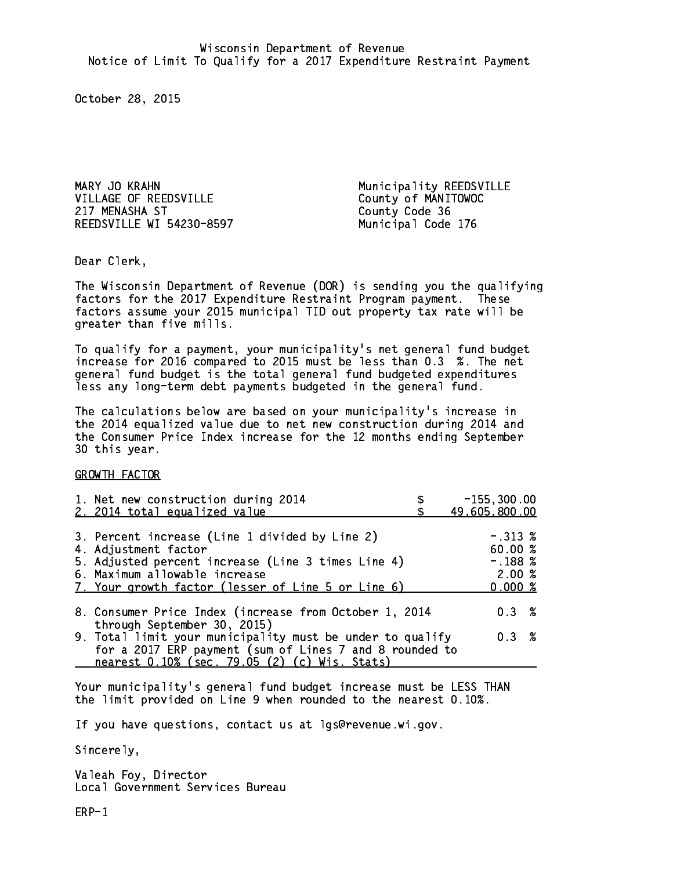MARY JO KRAHN MUNICIPALITY REEDSVILLE VILLAGE OF REEDSVILLE County of MANITOWOC 217 MENASHA ST REEDSVILLE WI 54230-8597 Municipal Code 176

County Code 36

Dear Clerk. Dear Clerk,

The Wisconsin Department of Revenue (DOR) is sending you the qualifying factors for the 2017 Expenditure Restraint Program payment. These factors assume your 2015 municipal TID out property tax rate will be greater than five mills.

 To qualify for a payment, your municipality's net general fund budget increase for 2016 compared to 2015 must be less than 0.3 %. The net general fund budget is the total general fund budgeted expenditures less any long-term debt payments budgeted in the general fund.

The calculations below are based on your municipality's increase in the 2014 equalized value due to net new construction during 2014 and the Consumer Price Index increase for the 12 months ending September 30 this year. 30 this year.

GROWTH FACTOR

| 1. Net new construction during 2014<br>2. 2014 total equalized value                                                                                                                                                | $-155, 300.00$<br>49,605,800.00                       |
|---------------------------------------------------------------------------------------------------------------------------------------------------------------------------------------------------------------------|-------------------------------------------------------|
| 3. Percent increase (Line 1 divided by Line 2)<br>4. Adjustment factor<br>5. Adjusted percent increase (Line 3 times Line 4)<br>6. Maximum allowable increase<br>7. Your growth factor (lesser of Line 5 or Line 6) | $-.313~%$<br>60.00 %<br>$-.188~%$<br>2.00%<br>0.000~% |
| 8. Consumer Price Index (increase from October 1, 2014                                                                                                                                                              | $0.3 \t%$                                             |
| through September 30, 2015)<br>9. Total limit your municipality must be under to qualify<br>for a 2017 ERP payment (sum of Lines 7 and 8 rounded to<br>nearest 0.10% (sec. 79.05 (2) (c) Wis. Stats)                | $0.3 \t%$                                             |

Your municipality's general fund budget increase must be LESS THAN the limit provided on Line 9 when rounded to the nearest 0.10%.

If you have questions, contact us at lgs@revenue.wi.gov.

Sincerely,

Valeah Foy, Director Local Government Services Bureau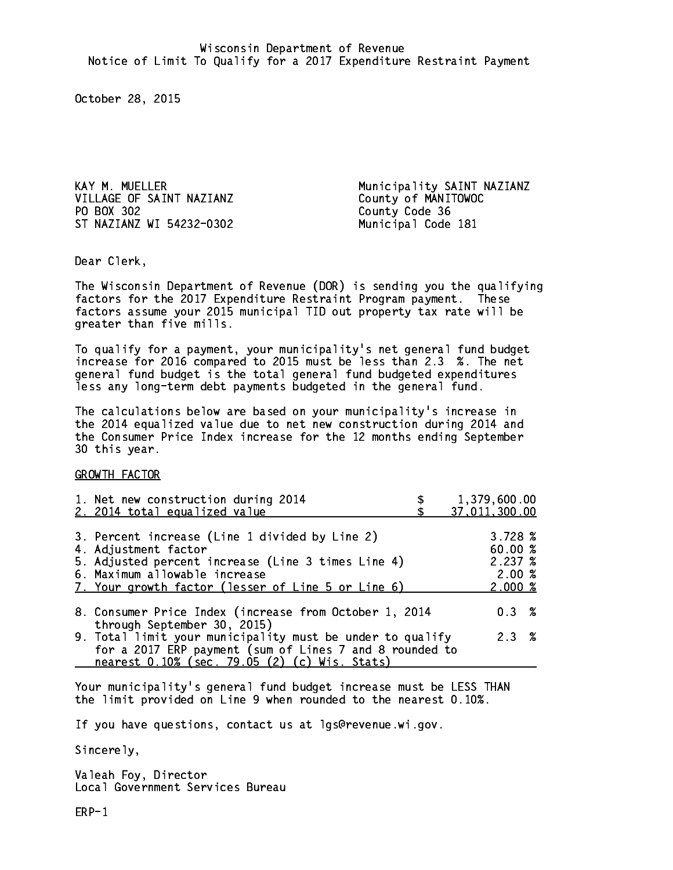VILLAGE OF SAINT NAZIANZ County of MANITOWOC PO BOX 302 County Code 36 ST NAZIANZ WI 54232-0302 Municipal Code 181

KAY M. MUELLER Municipality SAINT NAZIANZ

Dear Clerk. Dear Clerk,

The Wisconsin Department of Revenue (DOR) is sending you the qualifying factors for the 2017 Expenditure Restraint Program payment. These factors assume your 2015 municipal TID out property tax rate will be greater than five mills.

 To qualify for a payment, your municipality's net general fund budget increase for 2016 compared to 2015 must be less than 2.3 %. The net general fund budget is the total general fund budgeted expenditures less any long-term debt payments budgeted in the general fund.

The calculations below are based on your municipality's increase in the 2014 equalized value due to net new construction during 2014 and the Consumer Price Index increase for the 12 months ending September 30 this year. 30 this year.

GROWTH FACTOR

| 1. Net new construction during 2014<br>2. 2014 total equalized value                                                                                                                                                | 1,379,600.00<br>37,011,300.00                   |
|---------------------------------------------------------------------------------------------------------------------------------------------------------------------------------------------------------------------|-------------------------------------------------|
| 3. Percent increase (Line 1 divided by Line 2)<br>4. Adjustment factor<br>5. Adjusted percent increase (Line 3 times Line 4)<br>6. Maximum allowable increase<br>7. Your growth factor (lesser of Line 5 or Line 6) | 3.728~%<br>60.00%<br>2.237%<br>2.00%<br>2.000~% |
| 8. Consumer Price Index (increase from October 1, 2014                                                                                                                                                              | $0.3 \t%$                                       |
| through September 30, 2015)<br>9. Total limit your municipality must be under to qualify<br>for a 2017 ERP payment (sum of Lines 7 and 8 rounded to<br>nearest 0.10% (sec. 79.05 (2) (c) Wis. Stats)                | 2.3%                                            |

Your municipality's general fund budget increase must be LESS THAN the limit provided on Line 9 when rounded to the nearest 0.10%.

If you have questions, contact us at lgs@revenue.wi.gov.

Sincerely,

Valeah Foy, Director Local Government Services Bureau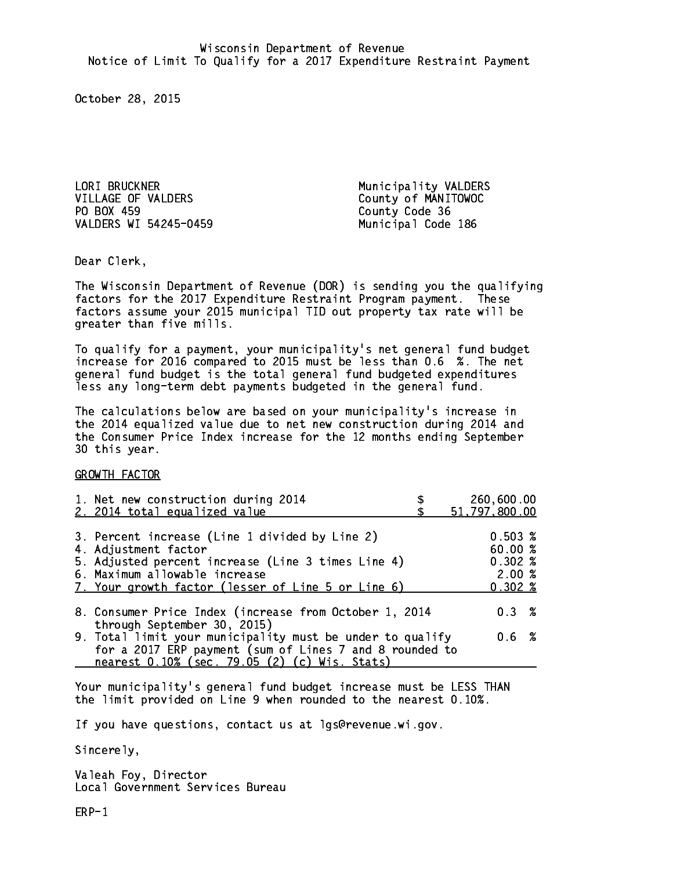LORI BRUCKNER **Municipality VALDERS** VILLAGE OF VALDERS County of MANITOWOC PO BOX 459 VALDERS WI 54245-0459 Municipal Code 186

County Code 36

Dear Clerk. Dear Clerk,

The Wisconsin Department of Revenue (DOR) is sending you the qualifying factors for the 2017 Expenditure Restraint Program payment. These factors assume your 2015 municipal TID out property tax rate will be greater than five mills.

 To qualify for a payment, your municipality's net general fund budget increase for 2016 compared to 2015 must be less than 0.6 %. The net general fund budget is the total general fund budgeted expenditures less any long-term debt payments budgeted in the general fund.

The calculations below are based on your municipality's increase in the 2014 equalized value due to net new construction during 2014 and the Consumer Price Index increase for the 12 months ending September 30 this year. 30 this year.

GROWTH FACTOR

| 1. Net new construction during 2014<br>2. 2014 total equalized value                                                                                                                                                | 260,600.00<br>51,797,800.00                         |
|---------------------------------------------------------------------------------------------------------------------------------------------------------------------------------------------------------------------|-----------------------------------------------------|
| 3. Percent increase (Line 1 divided by Line 2)<br>4. Adjustment factor<br>5. Adjusted percent increase (Line 3 times Line 4)<br>6. Maximum allowable increase<br>7. Your growth factor (lesser of Line 5 or Line 6) | 0.503%<br>60.00%<br>0.302%<br>2.00%<br>$0.302 \; %$ |
| 8. Consumer Price Index (increase from October 1, 2014<br>through September 30, 2015)                                                                                                                               | 0.3%                                                |
| 9. Total limit your municipality must be under to qualify<br>for a 2017 ERP payment (sum of Lines 7 and 8 rounded to<br>nearest 0.10% (sec. 79.05 (2) (c) Wis. Stats)                                               | 0.6 %                                               |

Your municipality's general fund budget increase must be LESS THAN the limit provided on Line 9 when rounded to the nearest 0.10%.

If you have questions, contact us at lgs@revenue.wi.gov.

Sincerely,

Valeah Foy, Director Local Government Services Bureau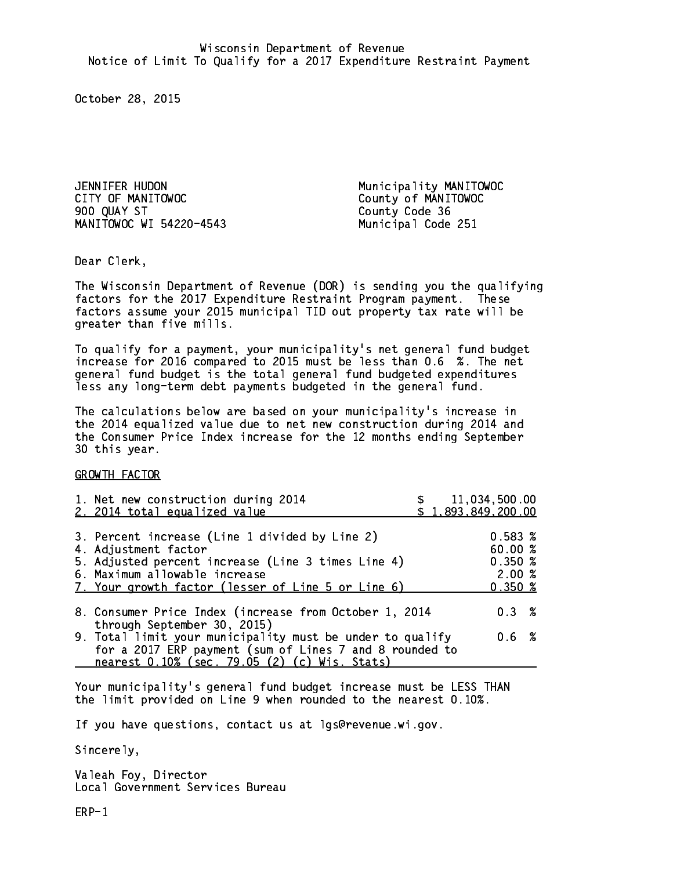JENNIFER HUDON Municipality MANITOWOC CITY OF MANITOWOC COUNTY OF MANITOWOC 900 QUAY ST County Code 36 MANITOWOC WI 54220-4543 Municipal Code 251

Dear Clerk. Dear Clerk,

The Wisconsin Department of Revenue (DOR) is sending you the qualifying factors for the 2017 Expenditure Restraint Program payment. These factors assume your 2015 municipal TID out property tax rate will be greater than five mills.

 To qualify for a payment, your municipality's net general fund budget increase for 2016 compared to 2015 must be less than 0.6 %. The net general fund budget is the total general fund budgeted expenditures less any long-term debt payments budgeted in the general fund.

The calculations below are based on your municipality's increase in the 2014 equalized value due to net new construction during 2014 and the Consumer Price Index increase for the 12 months ending September 30 this year. 30 this year.

GROWTH FACTOR

| 1. Net new construction during 2014<br>2. 2014 total equalized value                                                                                                                                                |                             |                                                                                                                                                                                |                                       |
|---------------------------------------------------------------------------------------------------------------------------------------------------------------------------------------------------------------------|-----------------------------|--------------------------------------------------------------------------------------------------------------------------------------------------------------------------------|---------------------------------------|
| 3. Percent increase (Line 1 divided by Line 2)<br>4. Adjustment factor<br>5. Adjusted percent increase (Line 3 times Line 4)<br>6. Maximum allowable increase<br>7. Your growth factor (lesser of Line 5 or Line 6) |                             | $0.583 \; %$<br>60.00%<br>0.350~%<br>2.00%<br>0.350~%                                                                                                                          |                                       |
|                                                                                                                                                                                                                     |                             | 0.3%                                                                                                                                                                           |                                       |
| nearest 0.10% (sec. 79.05 (2) (c) Wis. Stats)                                                                                                                                                                       |                             | 0.6 %                                                                                                                                                                          |                                       |
|                                                                                                                                                                                                                     | through September 30, 2015) | 8. Consumer Price Index (increase from October 1, 2014<br>9. Total limit your municipality must be under to qualify<br>for a 2017 ERP payment (sum of Lines 7 and 8 rounded to | \$11,034,500.00<br>\$1,893,849,200.00 |

Your municipality's general fund budget increase must be LESS THAN the limit provided on Line 9 when rounded to the nearest 0.10%.

If you have questions, contact us at lgs@revenue.wi.gov.

Sincerely,

Valeah Foy, Director Local Government Services Bureau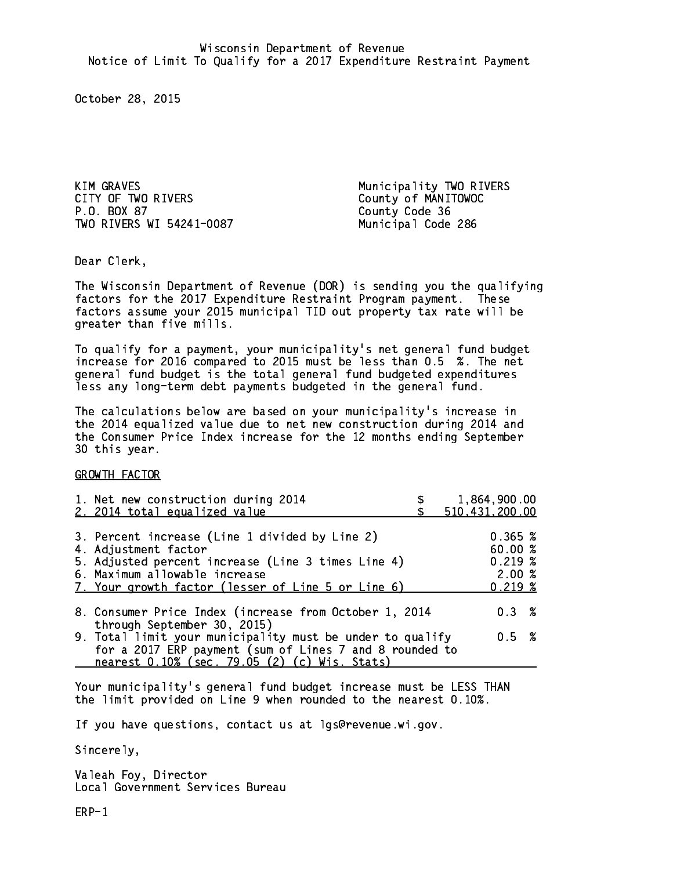KIM GRAVES **Municipality TWO RIVERS** CITY OF TWO RIVERS<br>
P.O. BOX 87<br>
P.O. BOX 87 TWO RIVERS WI 54241-0087 Municipal Code 286

County Code 36

Dear Clerk. Dear Clerk,

The Wisconsin Department of Revenue (DOR) is sending you the qualifying factors for the 2017 Expenditure Restraint Program payment. These factors assume your 2015 municipal TID out property tax rate will be greater than five mills.

 To qualify for a payment, your municipality's net general fund budget increase for 2016 compared to 2015 must be less than 0.5 %. The net general fund budget is the total general fund budgeted expenditures less any long-term debt payments budgeted in the general fund.

The calculations below are based on your municipality's increase in the 2014 equalized value due to net new construction during 2014 and the Consumer Price Index increase for the 12 months ending September 30 this year. 30 this year.

GROWTH FACTOR

| 1. Net new construction during 2014<br>2. 2014 total equalized value                                                                                                                                                                                           | 1,864,900.00<br>510,431,200.00                   |  |
|----------------------------------------------------------------------------------------------------------------------------------------------------------------------------------------------------------------------------------------------------------------|--------------------------------------------------|--|
| 3. Percent increase (Line 1 divided by Line 2)<br>4. Adjustment factor<br>5. Adjusted percent increase (Line 3 times Line 4)<br>6. Maximum allowable increase<br>7. Your growth factor (lesser of Line 5 or Line 6)                                            | 0.365~%<br>60.00%<br>0.219~%<br>2.00%<br>0.219~% |  |
| 8. Consumer Price Index (increase from October 1, 2014<br>through September 30, 2015)<br>9. Total limit your municipality must be under to qualify<br>for a 2017 ERP payment (sum of Lines 7 and 8 rounded to<br>nearest 0.10% (sec. 79.05 (2) (c) Wis. Stats) | $0.3 \t%$<br>0.5 %                               |  |

Your municipality's general fund budget increase must be LESS THAN the limit provided on Line 9 when rounded to the nearest 0.10%.

If you have questions, contact us at lgs@revenue.wi.gov.

Sincerely,

Valeah Foy, Director Local Government Services Bureau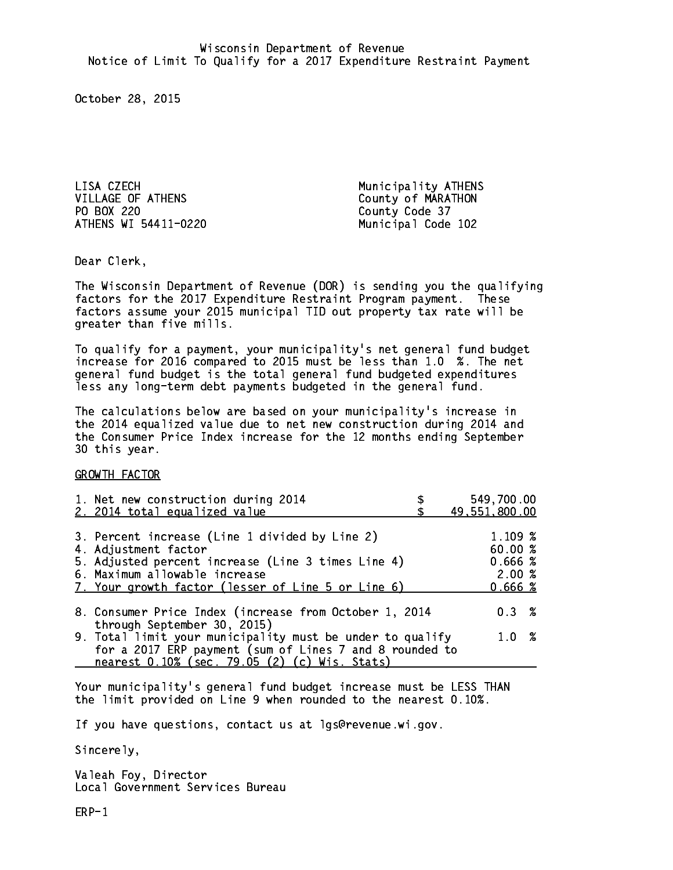LISA CZECH Municipality ATHENS VILLAGE OF ATHENS County of MARATHON PO BOX 220 County Code 37 ATHENS WI 54411-0220 Municipal Code 102

Dear Clerk. Dear Clerk,

The Wisconsin Department of Revenue (DOR) is sending you the qualifying factors for the 2017 Expenditure Restraint Program payment. These factors assume your 2015 municipal TID out property tax rate will be greater than five mills.

 To qualify for a payment, your municipality's net general fund budget increase for 2016 compared to 2015 must be less than 1.0 %. The net general fund budget is the total general fund budgeted expenditures less any long-term debt payments budgeted in the general fund.

The calculations below are based on your municipality's increase in the 2014 equalized value due to net new construction during 2014 and the Consumer Price Index increase for the 12 months ending September 30 this year. 30 this year.

GROWTH FACTOR

| 1. Net new construction during 2014<br>2. 2014 total equalized value                  | 549,700.00<br>49,551,800.00 |
|---------------------------------------------------------------------------------------|-----------------------------|
|                                                                                       |                             |
| 3. Percent increase (Line 1 divided by Line 2)                                        | 1.109 %                     |
| 4. Adjustment factor                                                                  | 60.00%                      |
| 5. Adjusted percent increase (Line 3 times Line 4)                                    | 0.666~%                     |
| 6. Maximum allowable increase                                                         | 2.00%                       |
| 7. Your growth factor (lesser of Line 5 or Line 6)                                    | 0.666~%                     |
|                                                                                       |                             |
| 8. Consumer Price Index (increase from October 1, 2014<br>through September 30, 2015) | $0.3 \t%$                   |
| 9. Total limit your municipality must be under to qualify                             | 1.0%                        |
| for a 2017 ERP payment (sum of Lines 7 and 8 rounded to                               |                             |
| nearest 0.10% (sec. 79.05 (2) (c) Wis. Stats)                                         |                             |
|                                                                                       |                             |

Your municipality's general fund budget increase must be LESS THAN the limit provided on Line 9 when rounded to the nearest 0.10%.

If you have questions, contact us at lgs@revenue.wi.gov.

Sincerely,

Valeah Foy, Director Local Government Services Bureau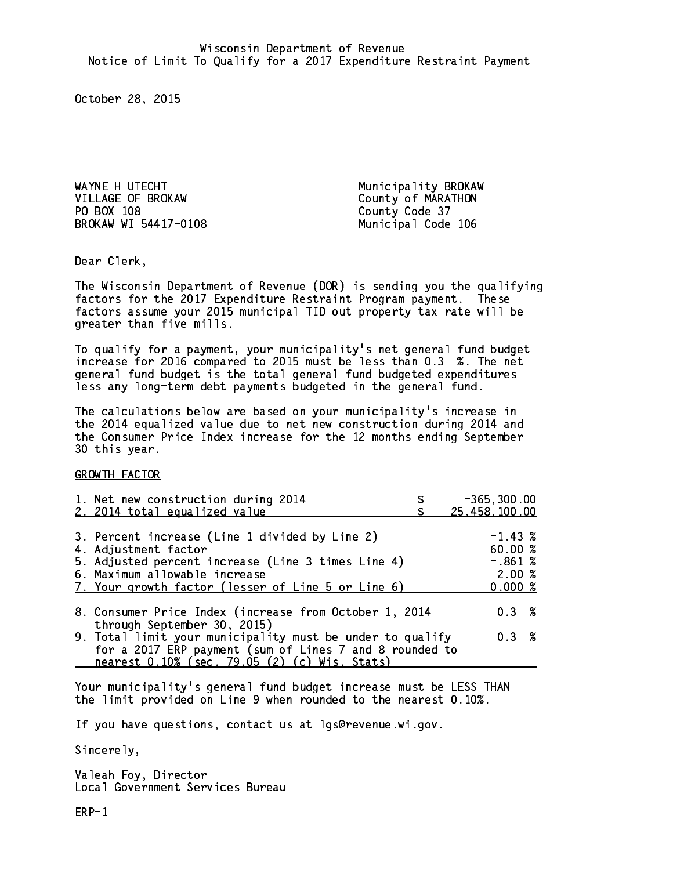WAYNE H UTECHT **Municipality BROKAW** VILLAGE OF BROKAW County of MARATHON PO BOX 108 County Code 37 BROKAW WI 54417-0108 Municipal Code 106

Dear Clerk. Dear Clerk,

The Wisconsin Department of Revenue (DOR) is sending you the qualifying factors for the 2017 Expenditure Restraint Program payment. These factors assume your 2015 municipal TID out property tax rate will be greater than five mills.

 To qualify for a payment, your municipality's net general fund budget increase for 2016 compared to 2015 must be less than 0.3 %. The net general fund budget is the total general fund budgeted expenditures less any long-term debt payments budgeted in the general fund.

The calculations below are based on your municipality's increase in the 2014 equalized value due to net new construction during 2014 and the Consumer Price Index increase for the 12 months ending September 30 this year. 30 this year. This year of the second terms of the second terms in the second terms in the second terms in the

GROWTH FACTOR

| 1. Net new construction during 2014<br>2. 2014 total equalized value                                                                                                                                                | $-365, 300.00$<br>25, 458, 100.00                   |
|---------------------------------------------------------------------------------------------------------------------------------------------------------------------------------------------------------------------|-----------------------------------------------------|
| 3. Percent increase (Line 1 divided by Line 2)<br>4. Adjustment factor<br>5. Adjusted percent increase (Line 3 times Line 4)<br>6. Maximum allowable increase<br>7. Your growth factor (lesser of Line 5 or Line 6) | $-1.43~%$<br>60.00%<br>$-.861%$<br>2.00%<br>0.000 % |
| 8. Consumer Price Index (increase from October 1, 2014<br>through September 30, 2015)                                                                                                                               | 0.3%                                                |
| 9. Total limit your municipality must be under to qualify<br>for a 2017 ERP payment (sum of Lines 7 and 8 rounded to<br>nearest 0.10% (sec. 79.05 (2) (c) Wis. Stats)                                               | 0.3%                                                |

Your municipality's general fund budget increase must be LESS THAN the limit provided on Line 9 when rounded to the nearest 0.10%.

If you have questions, contact us at lgs@revenue.wi.gov.

Sincerely,

Valeah Foy, Director Local Government Services Bureau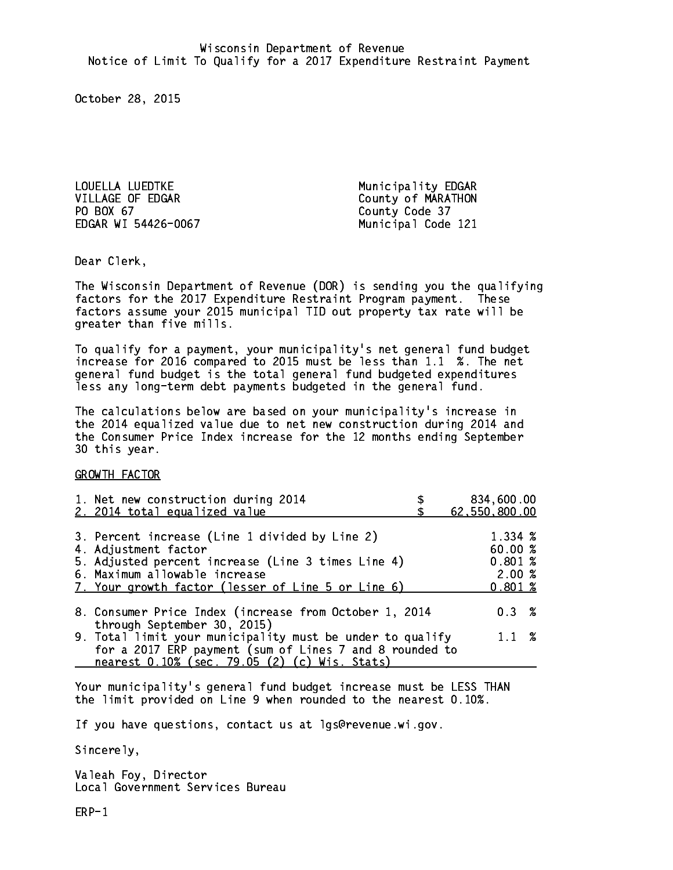LOUELLA LUEDTKE Municipality EDGAR VILLAGE OF EDGAR County of MARATHON PO BOX 67 EDGAR WI 54426-0067 Municipal Code 121

County Code 37

Dear Clerk. Dear Clerk,

The Wisconsin Department of Revenue (DOR) is sending you the qualifying factors for the 2017 Expenditure Restraint Program payment. These factors assume your 2015 municipal TID out property tax rate will be greater than five mills.

 To qualify for a payment, your municipality's net general fund budget increase for 2016 compared to 2015 must be less than 1.1 %. The net general fund budget is the total general fund budgeted expenditures less any long-term debt payments budgeted in the general fund.

The calculations below are based on your municipality's increase in the 2014 equalized value due to net new construction during 2014 and the Consumer Price Index increase for the 12 months ending September 30 this year. 30 this year. This year of the second terms of the second terms in the second terms in the second terms in the

GROWTH FACTOR

| 1. Net new construction during 2014<br>2. 2014 total equalized value                                                                                                                                                | 834,600.00<br>62,550,800.00                     |
|---------------------------------------------------------------------------------------------------------------------------------------------------------------------------------------------------------------------|-------------------------------------------------|
| 3. Percent increase (Line 1 divided by Line 2)<br>4. Adjustment factor<br>5. Adjusted percent increase (Line 3 times Line 4)<br>6. Maximum allowable increase<br>7. Your growth factor (lesser of Line 5 or Line 6) | 1.334 %<br>60.00%<br>0.801~%<br>2.00%<br>0.801% |
| 8. Consumer Price Index (increase from October 1, 2014                                                                                                                                                              | 0.3%                                            |
| through September 30, 2015)<br>9. Total limit your municipality must be under to qualify<br>for a 2017 ERP payment (sum of Lines 7 and 8 rounded to<br>nearest 0.10% (sec. 79.05 (2) (c) Wis. Stats)                | $1.1 \t%$                                       |

Your municipality's general fund budget increase must be LESS THAN the limit provided on Line 9 when rounded to the nearest 0.10%.

If you have questions, contact us at lgs@revenue.wi.gov.

Sincerely,

Valeah Foy, Director Local Government Services Bureau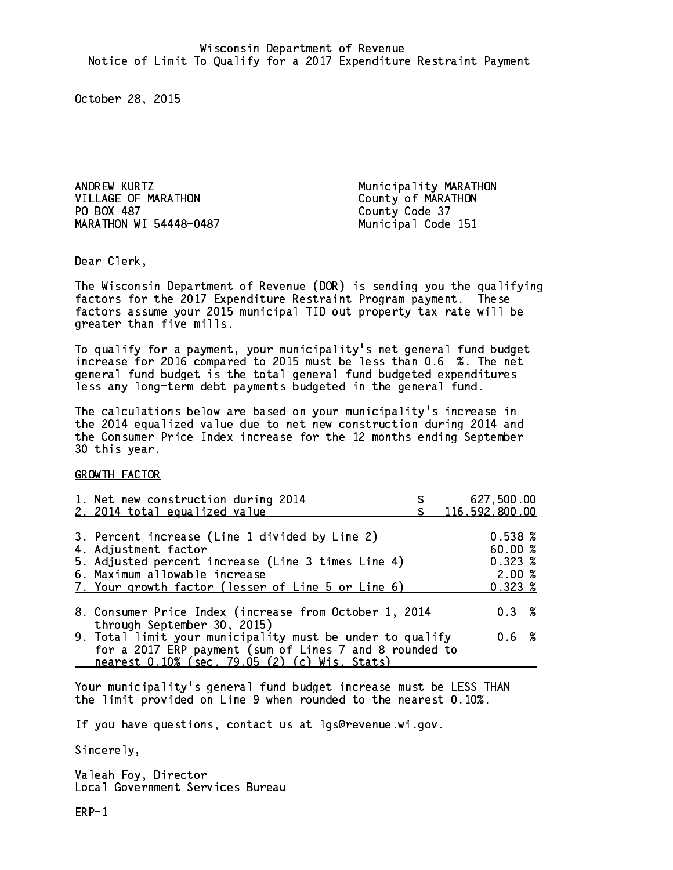ANDREW KURTZ **Municipality MARATHON** VILLAGE OF MARATHON County of MARATHON PO BOX 487 MARATHON WI 54448-0487 Municipal Code 151

County Code 37

Dear Clerk. Dear Clerk,

The Wisconsin Department of Revenue (DOR) is sending you the qualifying factors for the 2017 Expenditure Restraint Program payment. These factors assume your 2015 municipal TID out property tax rate will be greater than five mills.

 To qualify for a payment, your municipality's net general fund budget increase for 2016 compared to 2015 must be less than 0.6 %. The net general fund budget is the total general fund budgeted expenditures less any long-term debt payments budgeted in the general fund.

The calculations below are based on your municipality's increase in the 2014 equalized value due to net new construction during 2014 and the Consumer Price Index increase for the 12 months ending September 30 this year. 30 this year. This year of the second terms of the second terms in the second terms in the second terms in the

GROWTH FACTOR

| 1. Net new construction during 2014<br>2. 2014 total equalized value                                                                                                                                                | 627,500.00<br>116,592,800.00                                             |
|---------------------------------------------------------------------------------------------------------------------------------------------------------------------------------------------------------------------|--------------------------------------------------------------------------|
| 3. Percent increase (Line 1 divided by Line 2)<br>4. Adjustment factor<br>5. Adjusted percent increase (Line 3 times Line 4)<br>6. Maximum allowable increase<br>7. Your growth factor (lesser of Line 5 or Line 6) | $0.538 \; \text{\%}$<br>60.00 %<br>$0.323 \; %$<br>2.00%<br>$0.323 \; %$ |
| 8. Consumer Price Index (increase from October 1, 2014                                                                                                                                                              | $0.3 \t%$                                                                |
| through September 30, 2015)<br>9. Total limit your municipality must be under to qualify<br>for a 2017 ERP payment (sum of Lines 7 and 8 rounded to<br>nearest 0.10% (sec. 79.05 (2) (c) Wis. Stats)                | 0.6 %                                                                    |

Your municipality's general fund budget increase must be LESS THAN the limit provided on Line 9 when rounded to the nearest 0.10%.

If you have questions, contact us at lgs@revenue.wi.gov.

Sincerely,

Valeah Foy, Director Local Government Services Bureau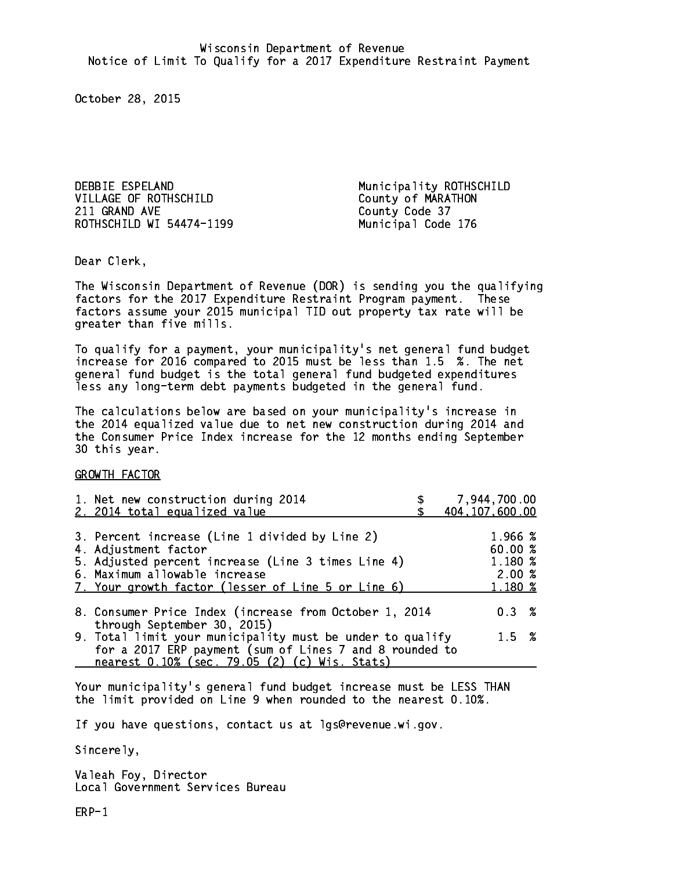DEBBIE ESPELAND Municipality ROTHSCHILD VILLAGE OF ROTHSCHILD County of MARATHON 211 GRAND AVE County Code 37 ROTHSCHILD WI 54474-1199 Municipal Code 176

Dear Clerk. Dear Clerk,

The Wisconsin Department of Revenue (DOR) is sending you the qualifying factors for the 2017 Expenditure Restraint Program payment. These factors assume your 2015 municipal TID out property tax rate will be greater than five mills.

 To qualify for a payment, your municipality's net general fund budget increase for 2016 compared to 2015 must be less than 1.5 %. The net general fund budget is the total general fund budgeted expenditures less any long-term debt payments budgeted in the general fund.

The calculations below are based on your municipality's increase in the 2014 equalized value due to net new construction during 2014 and the Consumer Price Index increase for the 12 months ending September 30 this year. 30 this year. This year of the second terms of the second terms in the second terms in the second terms in the

GROWTH FACTOR

| 1. Net new construction during 2014<br>2. 2014 total equalized value                                                                                                                                                | 7,944,700.00<br>404, 107, 600.00                  |
|---------------------------------------------------------------------------------------------------------------------------------------------------------------------------------------------------------------------|---------------------------------------------------|
| 3. Percent increase (Line 1 divided by Line 2)<br>4. Adjustment factor<br>5. Adjusted percent increase (Line 3 times Line 4)<br>6. Maximum allowable increase<br>7. Your growth factor (lesser of Line 5 or Line 6) | 1.966 %<br>60.00 %<br>1.180 %<br>2.00%<br>1.180 % |
| 8. Consumer Price Index (increase from October 1, 2014                                                                                                                                                              | $0.3 \t%$                                         |
| through September 30, 2015)<br>9. Total limit your municipality must be under to qualify<br>for a 2017 ERP payment (sum of Lines 7 and 8 rounded to<br>nearest 0.10% (sec. 79.05 (2) (c) Wis. Stats)                | $1.5 \t%$                                         |

Your municipality's general fund budget increase must be LESS THAN the limit provided on Line 9 when rounded to the nearest 0.10%.

If you have questions, contact us at lgs@revenue.wi.gov.

Sincerely,

Valeah Foy, Director Local Government Services Bureau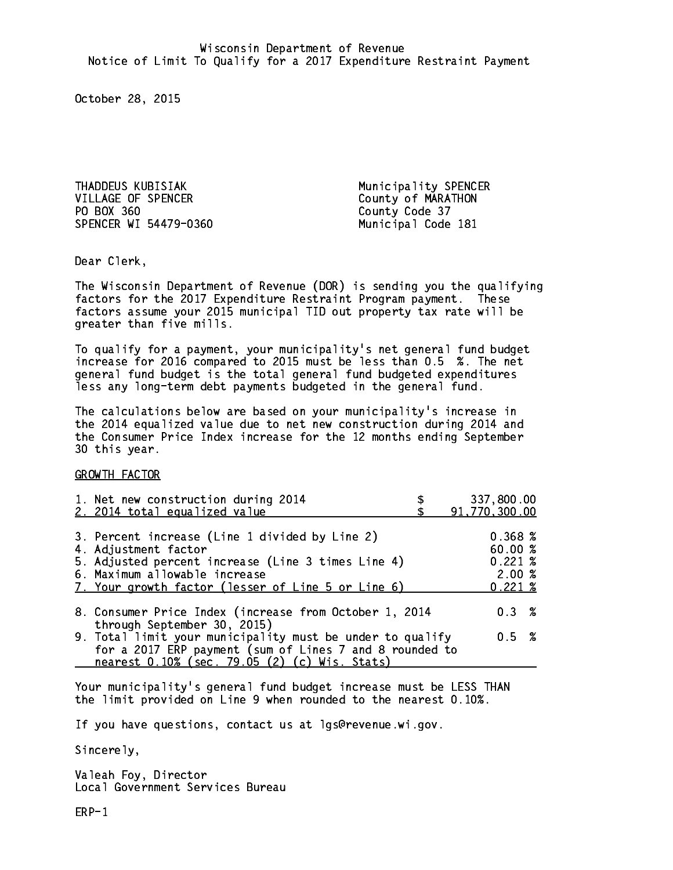THADDEUS KUBISIAK Municipality SPENCER VILLAGE OF SPENCER County of MARATHON PO BOX 360 County Code 37 SPENCER WI 54479-0360 Municipal Code 181

Dear Clerk. Dear Clerk,

The Wisconsin Department of Revenue (DOR) is sending you the qualifying factors for the 2017 Expenditure Restraint Program payment. These factors assume your 2015 municipal TID out property tax rate will be greater than five mills.

 To qualify for a payment, your municipality's net general fund budget increase for 2016 compared to 2015 must be less than 0.5 %. The net general fund budget is the total general fund budgeted expenditures less any long-term debt payments budgeted in the general fund.

The calculations below are based on your municipality's increase in the 2014 equalized value due to net new construction during 2014 and the Consumer Price Index increase for the 12 months ending September 30 this year. 30 this year. This year of the second terms of the second terms in the second terms in the second terms in the

GROWTH FACTOR

| 1. Net new construction during 2014<br>2. 2014 total equalized value                                                                                                                                                | 337,800.00<br>91,770,300.00                                |
|---------------------------------------------------------------------------------------------------------------------------------------------------------------------------------------------------------------------|------------------------------------------------------------|
| 3. Percent increase (Line 1 divided by Line 2)<br>4. Adjustment factor<br>5. Adjusted percent increase (Line 3 times Line 4)<br>6. Maximum allowable increase<br>7. Your growth factor (lesser of Line 5 or Line 6) | 0.368~%<br>60.00%<br>$0.221 \;$ %<br>2.00%<br>$0.221 \;$ % |
| 8. Consumer Price Index (increase from October 1, 2014                                                                                                                                                              | $0.3 \t%$                                                  |
| through September 30, 2015)<br>9. Total limit your municipality must be under to qualify<br>for a 2017 ERP payment (sum of Lines 7 and 8 rounded to<br>nearest 0.10% (sec. 79.05 (2) (c) Wis. Stats)                | 0.5 %                                                      |

Your municipality's general fund budget increase must be LESS THAN the limit provided on Line 9 when rounded to the nearest 0.10%.

If you have questions, contact us at lgs@revenue.wi.gov.

Sincerely,

Valeah Foy, Director Local Government Services Bureau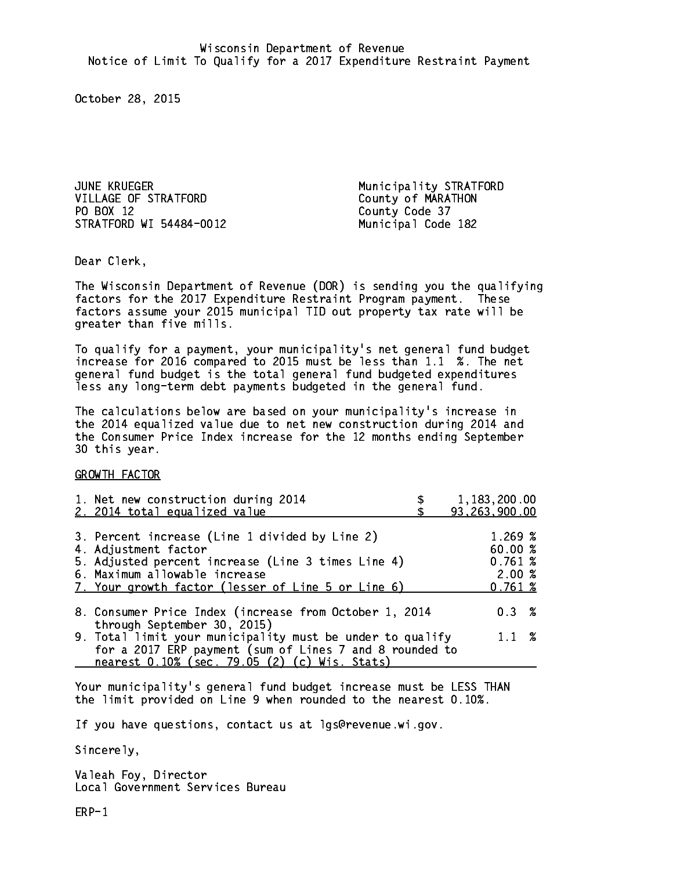JUNE KRUEGER Municipality STRATFORD VILLAGE OF STRATFORD County of MARATHON PO BOX 12 STRATFORD WI 54484-0012 Municipal Code 182

County Code 37

Dear Clerk. Dear Clerk,

The Wisconsin Department of Revenue (DOR) is sending you the qualifying factors for the 2017 Expenditure Restraint Program payment. These factors assume your 2015 municipal TID out property tax rate will be greater than five mills.

 To qualify for a payment, your municipality's net general fund budget increase for 2016 compared to 2015 must be less than 1.1 %. The net general fund budget is the total general fund budgeted expenditures less any long-term debt payments budgeted in the general fund.

The calculations below are based on your municipality's increase in the 2014 equalized value due to net new construction during 2014 and the Consumer Price Index increase for the 12 months ending September 30 this year. 30 this year. This year of the second terms of the second terms in the second terms in the second terms in the

GROWTH FACTOR

| 1. Net new construction during 2014<br>2. 2014 total equalized value                                                                                                                                                | 1,183,200.00<br>93,263,900.00                    |
|---------------------------------------------------------------------------------------------------------------------------------------------------------------------------------------------------------------------|--------------------------------------------------|
| 3. Percent increase (Line 1 divided by Line 2)<br>4. Adjustment factor<br>5. Adjusted percent increase (Line 3 times Line 4)<br>6. Maximum allowable increase<br>7. Your growth factor (lesser of Line 5 or Line 6) | 1.269~%<br>60.00%<br>0.761~%<br>2.00%<br>0.761~% |
| 8. Consumer Price Index (increase from October 1, 2014<br>through September 30, 2015)                                                                                                                               | 0.3%                                             |
| 9. Total limit your municipality must be under to qualify<br>for a 2017 ERP payment (sum of Lines 7 and 8 rounded to<br>nearest 0.10% (sec. 79.05 (2) (c) Wis. Stats)                                               | $1.1 \t%$                                        |

Your municipality's general fund budget increase must be LESS THAN the limit provided on Line 9 when rounded to the nearest 0.10%.

If you have questions, contact us at lgs@revenue.wi.gov.

Sincerely,

Valeah Foy, Director Local Government Services Bureau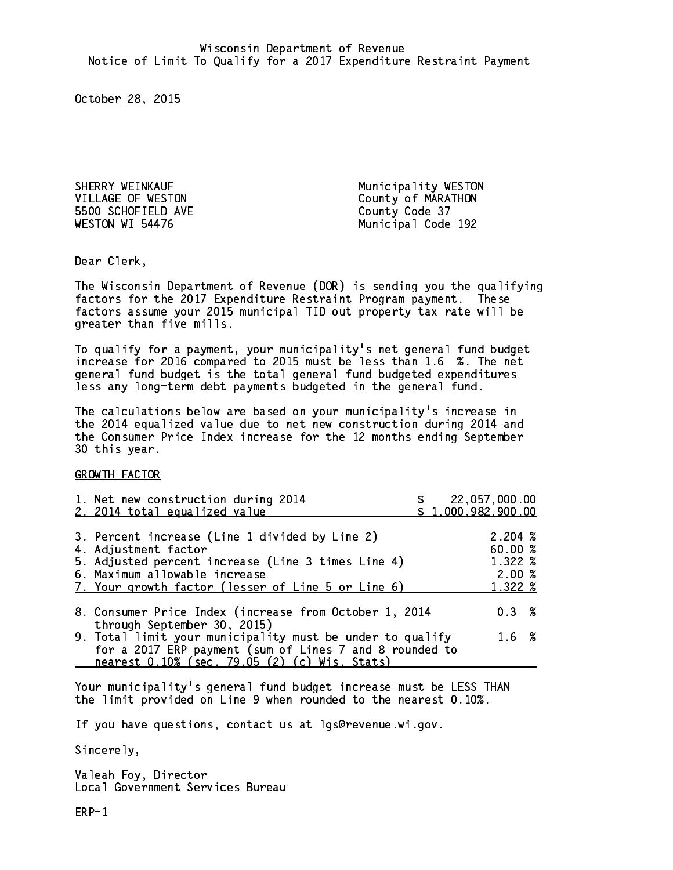SHERRY WEINKAUF **Municipality WESTON** 5500 SCHOFIELD AVE County Code 37 WESTON WI 54476

VILLAGE OF WESTON County of MARATHON Municipal Code 192

Dear Clerk. Dear Clerk,

The Wisconsin Department of Revenue (DOR) is sending you the qualifying factors for the 2017 Expenditure Restraint Program payment. These factors assume your 2015 municipal TID out property tax rate will be greater than five mills.

 To qualify for a payment, your municipality's net general fund budget increase for 2016 compared to 2015 must be less than 1.6 %. The net general fund budget is the total general fund budgeted expenditures less any long-term debt payments budgeted in the general fund.

The calculations below are based on your municipality's increase in the 2014 equalized value due to net new construction during 2014 and the Consumer Price Index increase for the 12 months ending September 30 this year. 30 this year. This year of the second terms of the second terms in the second terms in the second terms in the

GROWTH FACTOR

| 2. 2014 total equalized value                                                                                                                                                                                       | 22,057,000.00<br>\$1,000,982,900.00              |
|---------------------------------------------------------------------------------------------------------------------------------------------------------------------------------------------------------------------|--------------------------------------------------|
| 3. Percent increase (Line 1 divided by Line 2)<br>4. Adjustment factor<br>5. Adjusted percent increase (Line 3 times Line 4)<br>6. Maximum allowable increase<br>7. Your growth factor (lesser of Line 5 or Line 6) | 2.204~%<br>60.00%<br>1.322 %<br>2.00%<br>1.322 % |
| 8. Consumer Price Index (increase from October 1, 2014<br>through September 30, 2015)                                                                                                                               | 0.3%                                             |
| 9. Total limit your municipality must be under to qualify<br>for a 2017 ERP payment (sum of Lines 7 and 8 rounded to<br>nearest 0.10% (sec. 79.05 (2) (c) Wis. Stats)                                               | 1.6%                                             |

Your municipality's general fund budget increase must be LESS THAN the limit provided on Line 9 when rounded to the nearest 0.10%.

If you have questions, contact us at lgs@revenue.wi.gov.

Sincerely,

Valeah Foy, Director Local Government Services Bureau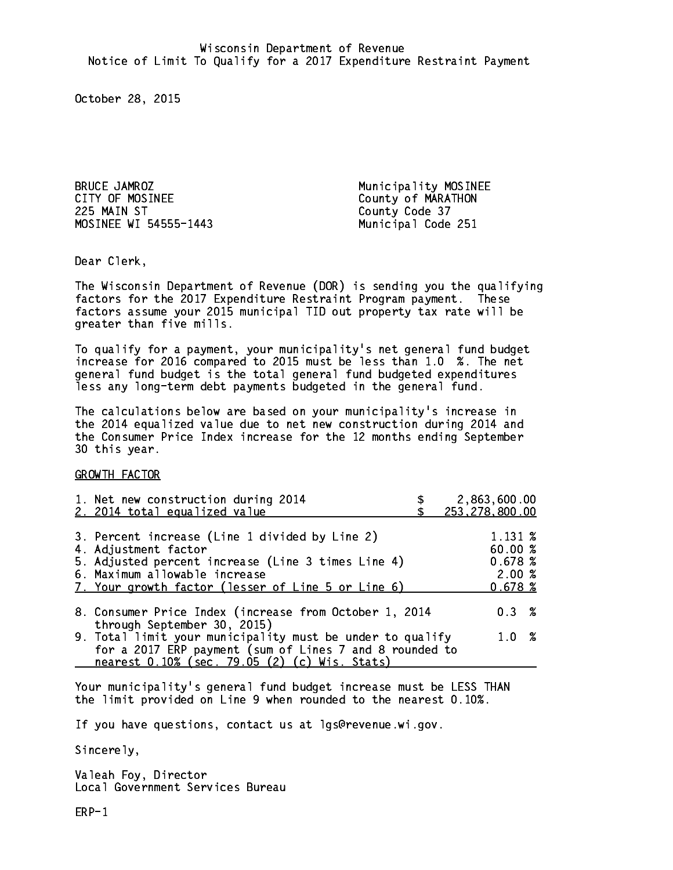BRUCE JAMROZ Municipality MOSINEE CITY OF MOSINEE CITY OF MARATHON 225 MAIN ST County Code 37 MOSINEE WI 54555-1443 Municipal Code 251

Dear Clerk. Dear Clerk,

The Wisconsin Department of Revenue (DOR) is sending you the qualifying factors for the 2017 Expenditure Restraint Program payment. These factors assume your 2015 municipal TID out property tax rate will be greater than five mills.

 To qualify for a payment, your municipality's net general fund budget increase for 2016 compared to 2015 must be less than 1.0 %. The net general fund budget is the total general fund budgeted expenditures less any long-term debt payments budgeted in the general fund.

The calculations below are based on your municipality's increase in the 2014 equalized value due to net new construction during 2014 and the Consumer Price Index increase for the 12 months ending September 30 this year. 30 this year. This year of the second terms of the second terms in the second terms in the second terms in the

GROWTH FACTOR

| 1. Net new construction during 2014<br>2. 2014 total equalized value                                                                                                                                                | 2,863,600.00<br>253,278,800.00                   |
|---------------------------------------------------------------------------------------------------------------------------------------------------------------------------------------------------------------------|--------------------------------------------------|
| 3. Percent increase (Line 1 divided by Line 2)<br>4. Adjustment factor<br>5. Adjusted percent increase (Line 3 times Line 4)<br>6. Maximum allowable increase<br>7. Your growth factor (lesser of Line 5 or Line 6) | 1.131 %<br>60.00%<br>0.678~%<br>2.00%<br>0.678~% |
| 8. Consumer Price Index (increase from October 1, 2014                                                                                                                                                              | $0.3 \t%$                                        |
| through September 30, 2015)<br>9. Total limit your municipality must be under to qualify<br>for a 2017 ERP payment (sum of Lines 7 and 8 rounded to<br>nearest 0.10% (sec. 79.05 (2) (c) Wis. Stats)                | 1.0 %                                            |

Your municipality's general fund budget increase must be LESS THAN the limit provided on Line 9 when rounded to the nearest 0.10%.

If you have questions, contact us at lgs@revenue.wi.gov.

Sincerely,

Valeah Foy, Director Local Government Services Bureau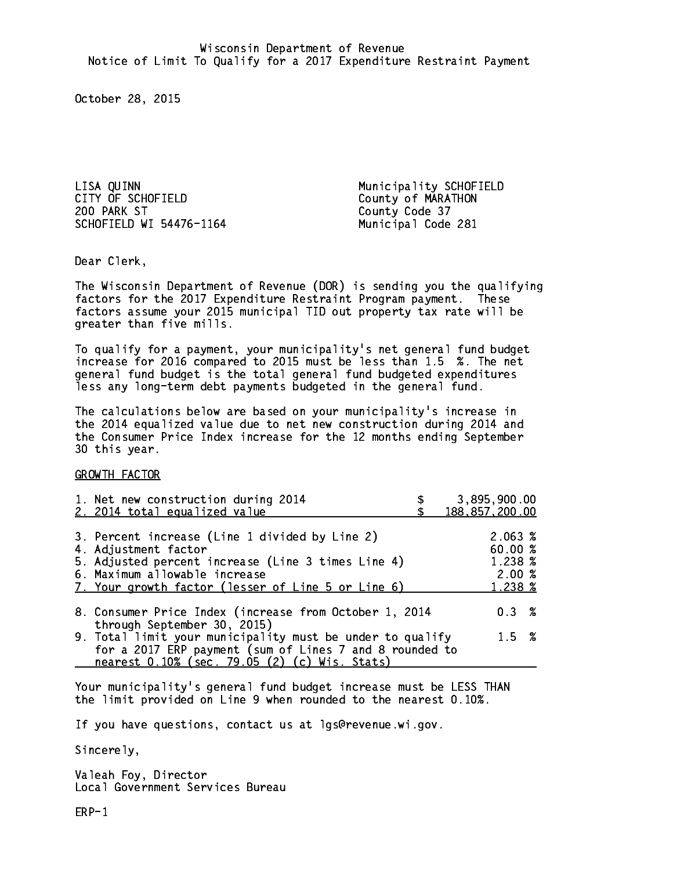LISA QUINN<br>
CITY OF SCHOFIELD<br>
County of MARATHON 200 PARK ST County Code 37 SCHOFIELD WI 54476-1164 Municipal Code 281

County of MARATHON

Dear Clerk. Dear Clerk,

The Wisconsin Department of Revenue (DOR) is sending you the qualifying factors for the 2017 Expenditure Restraint Program payment. These factors assume your 2015 municipal TID out property tax rate will be greater than five mills.

 To qualify for a payment, your municipality's net general fund budget increase for 2016 compared to 2015 must be less than 1.5 %. The net general fund budget is the total general fund budgeted expenditures less any long-term debt payments budgeted in the general fund.

The calculations below are based on your municipality's increase in the 2014 equalized value due to net new construction during 2014 and the Consumer Price Index increase for the 12 months ending September 30 this year. 30 this year. This year of the second terms of the second terms in the second terms in the second terms in the

GROWTH FACTOR

| 1. Net new construction during 2014<br>2. 2014 total equalized value                                                                                                                                                | 3,895,900.00<br>188, 857, 200.00                 |
|---------------------------------------------------------------------------------------------------------------------------------------------------------------------------------------------------------------------|--------------------------------------------------|
| 3. Percent increase (Line 1 divided by Line 2)<br>4. Adjustment factor<br>5. Adjusted percent increase (Line 3 times Line 4)<br>6. Maximum allowable increase<br>7. Your growth factor (lesser of Line 5 or Line 6) | 2.063~%<br>60.00%<br>1.238 %<br>2.00%<br>1.238 % |
| 8. Consumer Price Index (increase from October 1, 2014<br>through September 30, 2015)                                                                                                                               | $0.3 \t%$                                        |
| 9. Total limit your municipality must be under to qualify<br>for a 2017 ERP payment (sum of Lines 7 and 8 rounded to<br>nearest 0.10% (sec. 79.05 (2) (c) Wis. Stats)                                               | $1.5 \t%$                                        |

Your municipality's general fund budget increase must be LESS THAN the limit provided on Line 9 when rounded to the nearest 0.10%.

If you have questions, contact us at lgs@revenue.wi.gov.

Sincerely,

Valeah Foy, Director Local Government Services Bureau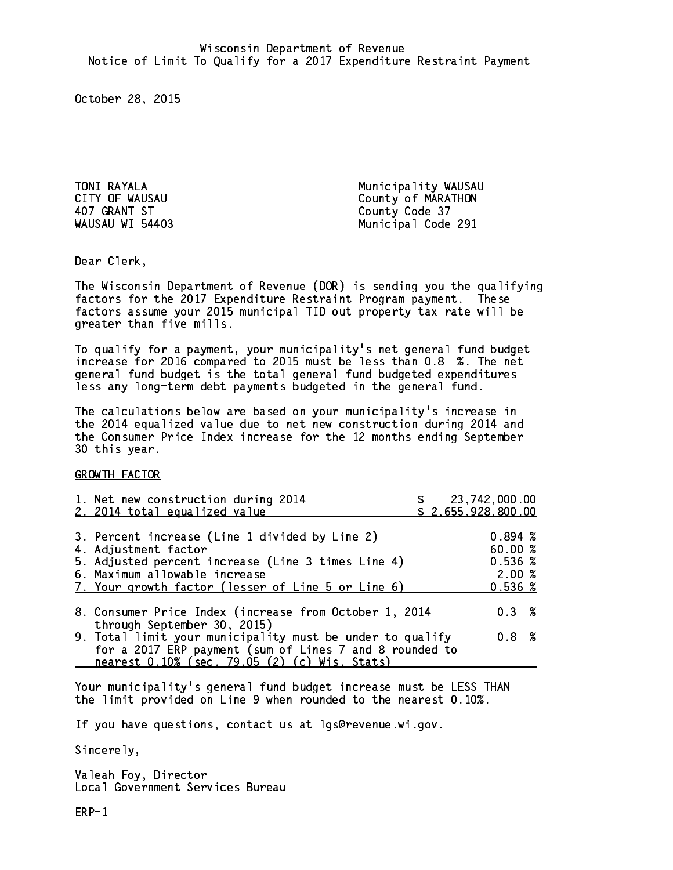407 GRANT ST WAUSAU WI 54403

TONI RAYALA Municipality WAUSAU CITY OF WAUSAU COUNTY OF WARATHON County Code 37 Municipal Code 291

Dear Clerk. Dear Clerk,

The Wisconsin Department of Revenue (DOR) is sending you the qualifying factors for the 2017 Expenditure Restraint Program payment. These factors assume your 2015 municipal TID out property tax rate will be greater than five mills.

 To qualify for a payment, your municipality's net general fund budget increase for 2016 compared to 2015 must be less than 0.8 %. The net general fund budget is the total general fund budgeted expenditures less any long-term debt payments budgeted in the general fund.

The calculations below are based on your municipality's increase in the 2014 equalized value due to net new construction during 2014 and the Consumer Price Index increase for the 12 months ending September 30 this year. 30 this year. This year of the second terms of the second terms in the second terms in the second terms in the

GROWTH FACTOR

| 1. Net new construction during 2014<br>2. 2014 total equalized value                                                                                                                                                |  | \$ 23,742,000.00<br>\$2,655,928,800.00                                     |  |
|---------------------------------------------------------------------------------------------------------------------------------------------------------------------------------------------------------------------|--|----------------------------------------------------------------------------|--|
| 3. Percent increase (Line 1 divided by Line 2)<br>4. Adjustment factor<br>5. Adjusted percent increase (Line 3 times Line 4)<br>6. Maximum allowable increase<br>7. Your growth factor (lesser of Line 5 or Line 6) |  | 0.894~%<br>60.00%<br>$0.536 \; \text{\%}$<br>2.00%<br>$0.536 \; \text{\%}$ |  |
| 8. Consumer Price Index (increase from October 1, 2014                                                                                                                                                              |  | 0.3%                                                                       |  |
| through September 30, 2015)<br>9. Total limit your municipality must be under to qualify<br>for a 2017 ERP payment (sum of Lines 7 and 8 rounded to<br>nearest 0.10% (sec. 79.05 (2) (c) Wis. Stats)                |  | 0.8 <sup>8</sup>                                                           |  |
|                                                                                                                                                                                                                     |  |                                                                            |  |

Your municipality's general fund budget increase must be LESS THAN the limit provided on Line 9 when rounded to the nearest 0.10%.

If you have questions, contact us at lgs@revenue.wi.gov.

Sincerely,

Valeah Foy, Director Local Government Services Bureau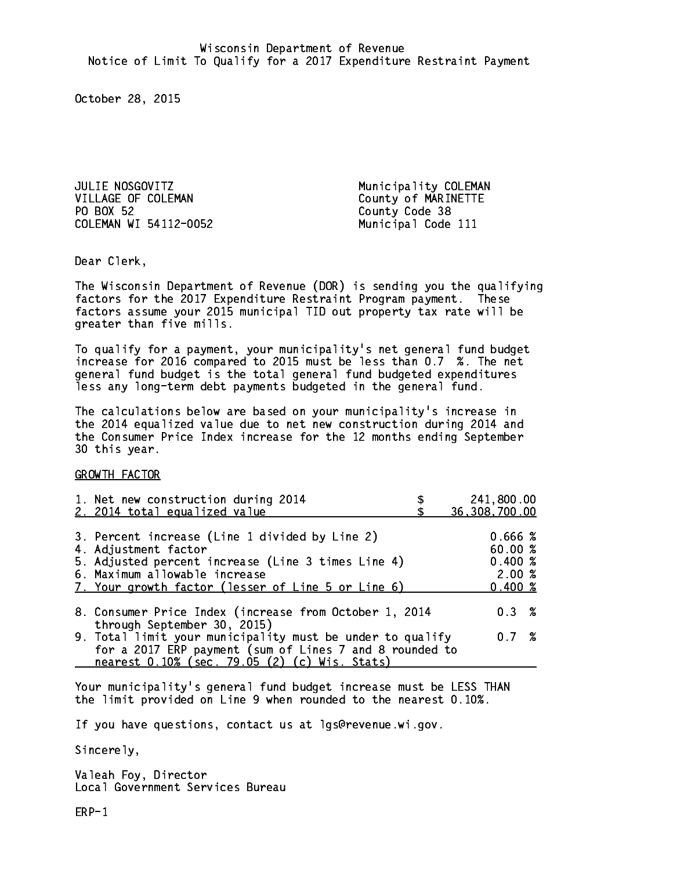JULIE NOSGOVITZ **Municipality COLEMAN** VILLAGE OF COLEMAN County of MARINETTE PO BOX 52 COLEMAN WI 54112-0052 Municipal Code 111

County Code 38

Dear Clerk. Dear Clerk,

The Wisconsin Department of Revenue (DOR) is sending you the qualifying factors for the 2017 Expenditure Restraint Program payment. These factors assume your 2015 municipal TID out property tax rate will be greater than five mills.

 To qualify for a payment, your municipality's net general fund budget increase for 2016 compared to 2015 must be less than 0.7 %. The net general fund budget is the total general fund budgeted expenditures less any long-term debt payments budgeted in the general fund.

The calculations below are based on your municipality's increase in the 2014 equalized value due to net new construction during 2014 and the Consumer Price Index increase for the 12 months ending September 30 this year. 30 this year. This year of the second terms of the second terms in the second terms in the second terms in the

GROWTH FACTOR

| 1. Net new construction during 2014                       | 241,800.00    |  |
|-----------------------------------------------------------|---------------|--|
| 2. 2014 total equalized value                             | 36,308,700.00 |  |
| 3. Percent increase (Line 1 divided by Line 2)            | 0.666~%       |  |
| 4. Adjustment factor                                      | 60.00%        |  |
| 5. Adjusted percent increase (Line 3 times Line 4)        | 0.400~%       |  |
| 6. Maximum allowable increase                             | 2.00%         |  |
| 7. Your growth factor (lesser of Line 5 or Line 6)        | $0.400 \; %$  |  |
|                                                           |               |  |
| 8. Consumer Price Index (increase from October 1, 2014    | $0.3 \t%$     |  |
| through September 30, 2015)                               |               |  |
| 9. Total limit your municipality must be under to qualify | 0.7%          |  |
| for a 2017 ERP payment (sum of Lines 7 and 8 rounded to   |               |  |
| nearest 0.10% (sec. 79.05 (2) (c) Wis. Stats)             |               |  |

Your municipality's general fund budget increase must be LESS THAN the limit provided on Line 9 when rounded to the nearest 0.10%.

If you have questions, contact us at lgs@revenue.wi.gov.

Sincerely,

Valeah Foy, Director Local Government Services Bureau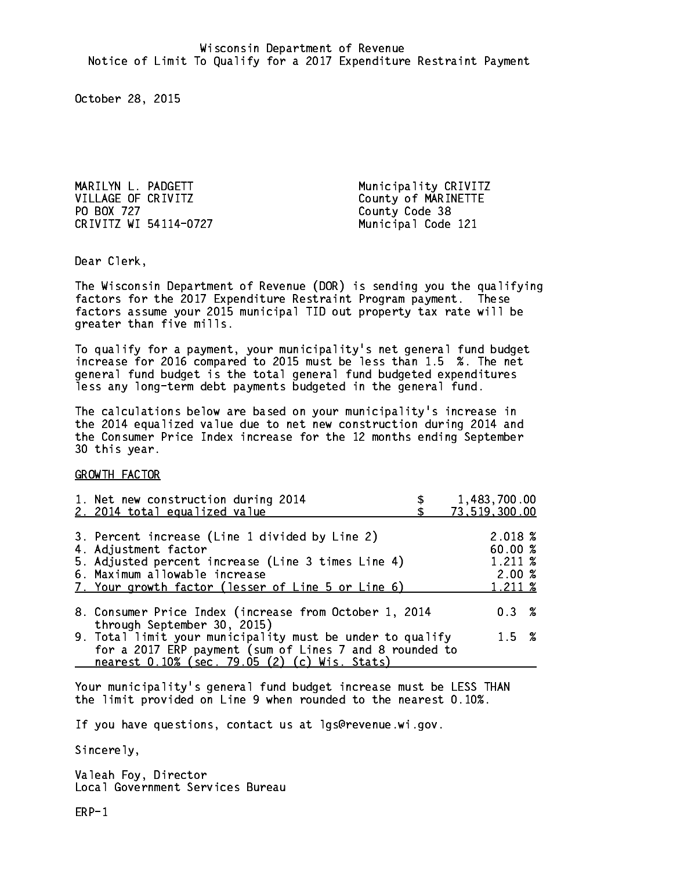MARILYN L. PADGETT **Municipality CRIVITZ** VILLAGE OF CRIVITZ County of MARINETTE PO BOX 727 CRIVITZ WI 54114-0727 Municipal Code 121

County Code 38

Dear Clerk. Dear Clerk,

The Wisconsin Department of Revenue (DOR) is sending you the qualifying factors for the 2017 Expenditure Restraint Program payment. These factors assume your 2015 municipal TID out property tax rate will be greater than five mills.

 To qualify for a payment, your municipality's net general fund budget increase for 2016 compared to 2015 must be less than 1.5 %. The net general fund budget is the total general fund budgeted expenditures less any long-term debt payments budgeted in the general fund.

The calculations below are based on your municipality's increase in the 2014 equalized value due to net new construction during 2014 and the Consumer Price Index increase for the 12 months ending September 30 this year. 30 this year. This year of the second terms of the second terms in the second terms in the second terms in the

GROWTH FACTOR

| 1. Net new construction during 2014<br>2. 2014 total equalized value                                                                                                                                                | 1,483,700.00<br>73,519,300.00                     |
|---------------------------------------------------------------------------------------------------------------------------------------------------------------------------------------------------------------------|---------------------------------------------------|
| 3. Percent increase (Line 1 divided by Line 2)<br>4. Adjustment factor<br>5. Adjusted percent increase (Line 3 times Line 4)<br>6. Maximum allowable increase<br>7. Your growth factor (lesser of Line 5 or Line 6) | 2.018 %<br>60.00 %<br>1.211 %<br>2.00%<br>1.211 % |
| 8. Consumer Price Index (increase from October 1, 2014<br>through September 30, 2015)                                                                                                                               | $0.3 \t%$                                         |
| 9. Total limit your municipality must be under to qualify<br>for a 2017 ERP payment (sum of Lines 7 and 8 rounded to<br>nearest 0.10% (sec. 79.05 (2) (c) Wis. Stats)                                               | $1.5 \t%$                                         |

Your municipality's general fund budget increase must be LESS THAN the limit provided on Line 9 when rounded to the nearest 0.10%.

If you have questions, contact us at lgs@revenue.wi.gov.

Sincerely,

Valeah Foy, Director Local Government Services Bureau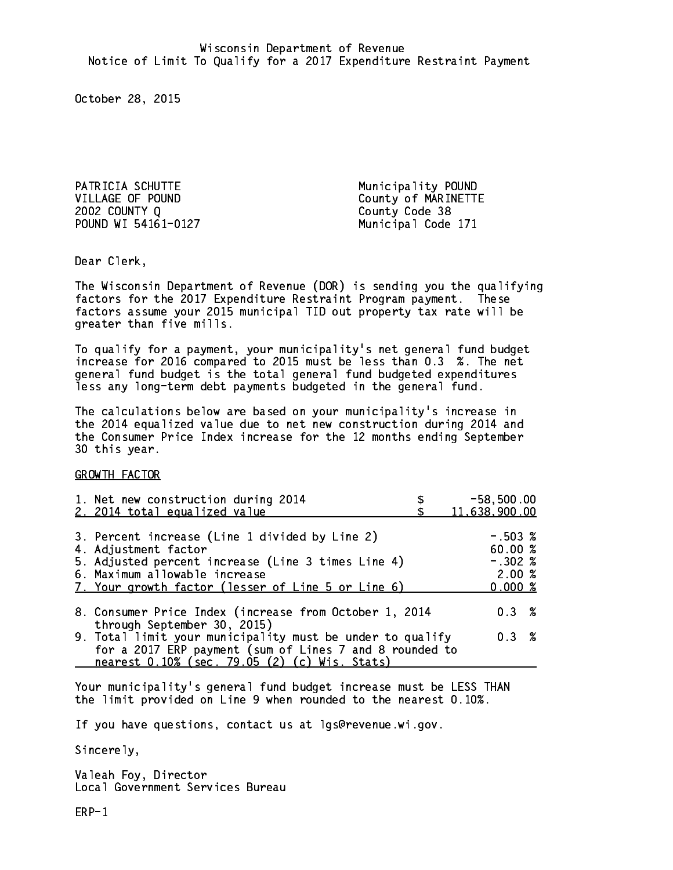PATRICIA SCHUTTE Municipality POUND 2002 COUNTY Q County Code 38 POUND WI 54161-0127 Municipal Code 171

VILLAGE OF POUND County of MARINETTE

Dear Clerk. Dear Clerk,

The Wisconsin Department of Revenue (DOR) is sending you the qualifying factors for the 2017 Expenditure Restraint Program payment. These factors assume your 2015 municipal TID out property tax rate will be greater than five mills.

 To qualify for a payment, your municipality's net general fund budget increase for 2016 compared to 2015 must be less than 0.3 %. The net general fund budget is the total general fund budgeted expenditures less any long-term debt payments budgeted in the general fund.

The calculations below are based on your municipality's increase in the 2014 equalized value due to net new construction during 2014 and the Consumer Price Index increase for the 12 months ending September 30 this year. 30 this year. This year of the second terms of the second terms in the second terms in the second terms in the

GROWTH FACTOR

| 1. Net new construction during 2014<br>2. 2014 total equalized value                                                                                                                                                | $-58,500.00$<br>11,638,900.00                         |
|---------------------------------------------------------------------------------------------------------------------------------------------------------------------------------------------------------------------|-------------------------------------------------------|
| 3. Percent increase (Line 1 divided by Line 2)<br>4. Adjustment factor<br>5. Adjusted percent increase (Line 3 times Line 4)<br>6. Maximum allowable increase<br>7. Your growth factor (lesser of Line 5 or Line 6) | $-.503~%$<br>60.00 %<br>$-.302$ %<br>2.00%<br>0.000 % |
| 8. Consumer Price Index (increase from October 1, 2014<br>through September 30, 2015)                                                                                                                               | $0.3 \t%$                                             |
| 9. Total limit your municipality must be under to qualify<br>for a 2017 ERP payment (sum of Lines 7 and 8 rounded to<br>nearest 0.10% (sec. 79.05 (2) (c) Wis. Stats)                                               | 0.3%                                                  |

Your municipality's general fund budget increase must be LESS THAN the limit provided on Line 9 when rounded to the nearest 0.10%.

If you have questions, contact us at lgs@revenue.wi.gov.

Sincerely,

Valeah Foy, Director Local Government Services Bureau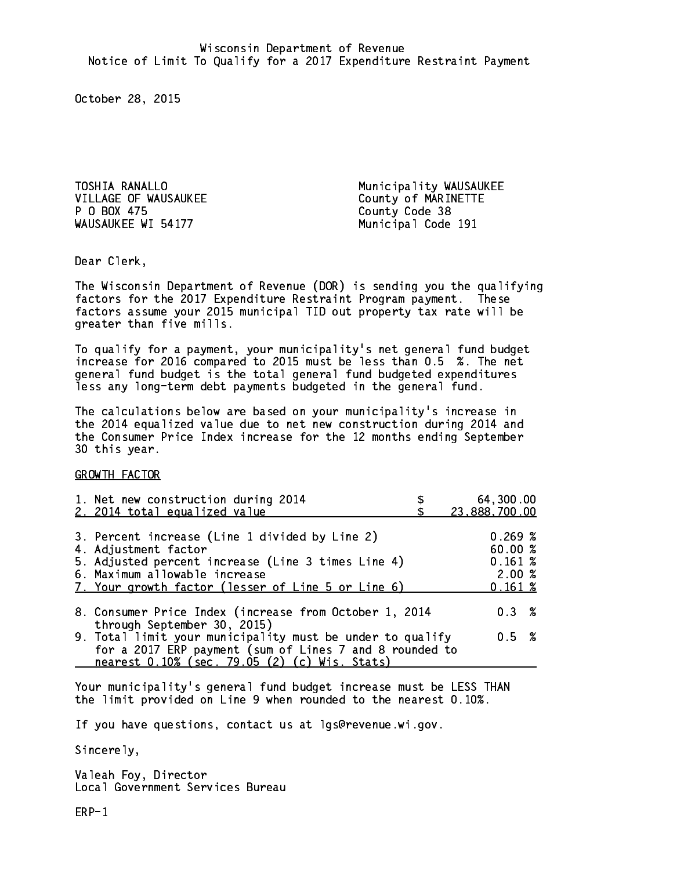TOSHIA RANALLO **Municipality WAUSAUKEE** VILLAGE OF WAUSAUKEE COUNTY OF MARINETTE P 0 BOX 475 WAUSAUKEE WI 54177 Municipal Code 191

County Code 38

Dear Clerk. Dear Clerk,

The Wisconsin Department of Revenue (DOR) is sending you the qualifying factors for the 2017 Expenditure Restraint Program payment. These factors assume your 2015 municipal TID out property tax rate will be greater than five mills.

 To qualify for a payment, your municipality's net general fund budget increase for 2016 compared to 2015 must be less than 0.5 %. The net general fund budget is the total general fund budgeted expenditures less any long-term debt payments budgeted in the general fund.

The calculations below are based on your municipality's increase in the 2014 equalized value due to net new construction during 2014 and the Consumer Price Index increase for the 12 months ending September 30 this year. 30 this year. This year of the second terms of the second terms in the second terms in the second terms in the

GROWTH FACTOR

| 1. Net new construction during 2014<br>2. 2014 total equalized value                                                                                                                                                | 64,300.00<br>23,888,700.00                        |
|---------------------------------------------------------------------------------------------------------------------------------------------------------------------------------------------------------------------|---------------------------------------------------|
| 3. Percent increase (Line 1 divided by Line 2)<br>4. Adjustment factor<br>5. Adjusted percent increase (Line 3 times Line 4)<br>6. Maximum allowable increase<br>7. Your growth factor (lesser of Line 5 or Line 6) | 0.269~%<br>60.00 %<br>0.161~%<br>2.00%<br>0.161~% |
| 8. Consumer Price Index (increase from October 1, 2014                                                                                                                                                              | $0.3 \t%$                                         |
| through September 30, 2015)<br>9. Total limit your municipality must be under to qualify<br>for a 2017 ERP payment (sum of Lines 7 and 8 rounded to<br>nearest 0.10% (sec. 79.05 (2) (c) Wis. Stats)                | 0.5 %                                             |

Your municipality's general fund budget increase must be LESS THAN the limit provided on Line 9 when rounded to the nearest 0.10%.

If you have questions, contact us at lgs@revenue.wi.gov.

Sincerely,

Valeah Foy, Director Local Government Services Bureau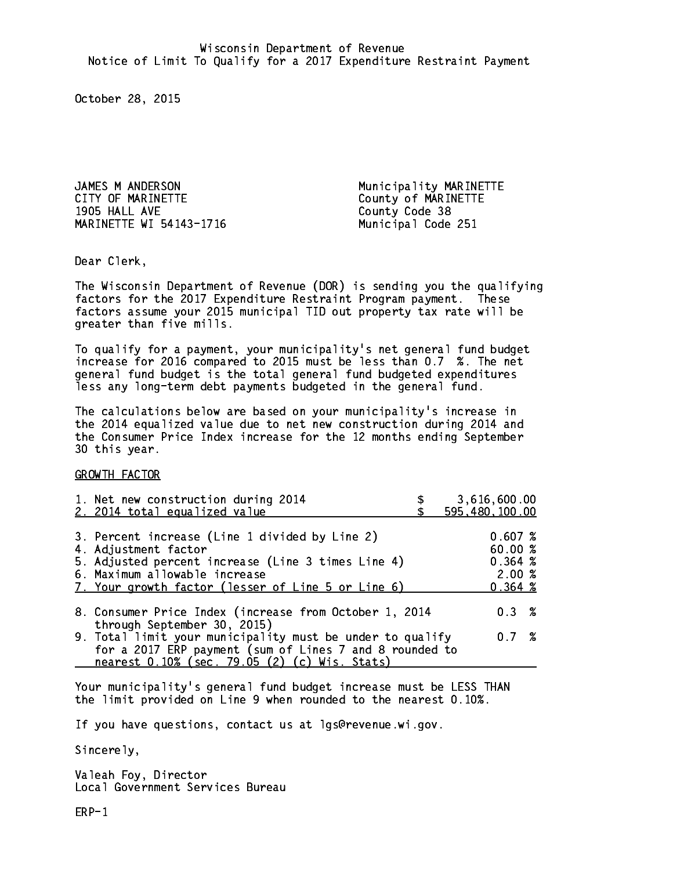JAMES M ANDERSON Municipality MARINETTE CITY OF MARINETTE COUNTY OF MARINETTE 1905 HALL AVE County Code 38 MARINETTE WI 54143-1716 Municipal Code 251

Dear Clerk. Dear Clerk,

The Wisconsin Department of Revenue (DOR) is sending you the qualifying factors for the 2017 Expenditure Restraint Program payment. These factors assume your 2015 municipal TID out property tax rate will be greater than five mills.

 To qualify for a payment, your municipality's net general fund budget increase for 2016 compared to 2015 must be less than 0.7 %. The net general fund budget is the total general fund budgeted expenditures less any long-term debt payments budgeted in the general fund.

The calculations below are based on your municipality's increase in the 2014 equalized value due to net new construction during 2014 and the Consumer Price Index increase for the 12 months ending September 30 this year. 30 this year. This year of the second terms of the second terms in the second terms in the second terms in the

GROWTH FACTOR

| 1. Net new construction during 2014<br>2. 2014 total equalized value                                                 | 3,616,600.00<br>595,480,100.00 |
|----------------------------------------------------------------------------------------------------------------------|--------------------------------|
| 3. Percent increase (Line 1 divided by Line 2)                                                                       | 0.607%                         |
| 4. Adjustment factor<br>5. Adjusted percent increase (Line 3 times Line 4)                                           | 60.00%<br>0.364~%              |
| 6. Maximum allowable increase<br>7. Your growth factor (lesser of Line 5 or Line 6)                                  | 2.00%<br>0.364~%               |
| 8. Consumer Price Index (increase from October 1, 2014<br>through September 30, 2015)                                | $0.3 \t%$                      |
| 9. Total limit your municipality must be under to qualify<br>for a 2017 ERP payment (sum of Lines 7 and 8 rounded to | 0.7%                           |
| nearest 0.10% (sec. 79.05 (2) (c) Wis. Stats)                                                                        |                                |

Your municipality's general fund budget increase must be LESS THAN the limit provided on Line 9 when rounded to the nearest 0.10%.

If you have questions, contact us at lgs@revenue.wi.gov.

Sincerely,

Valeah Foy, Director Local Government Services Bureau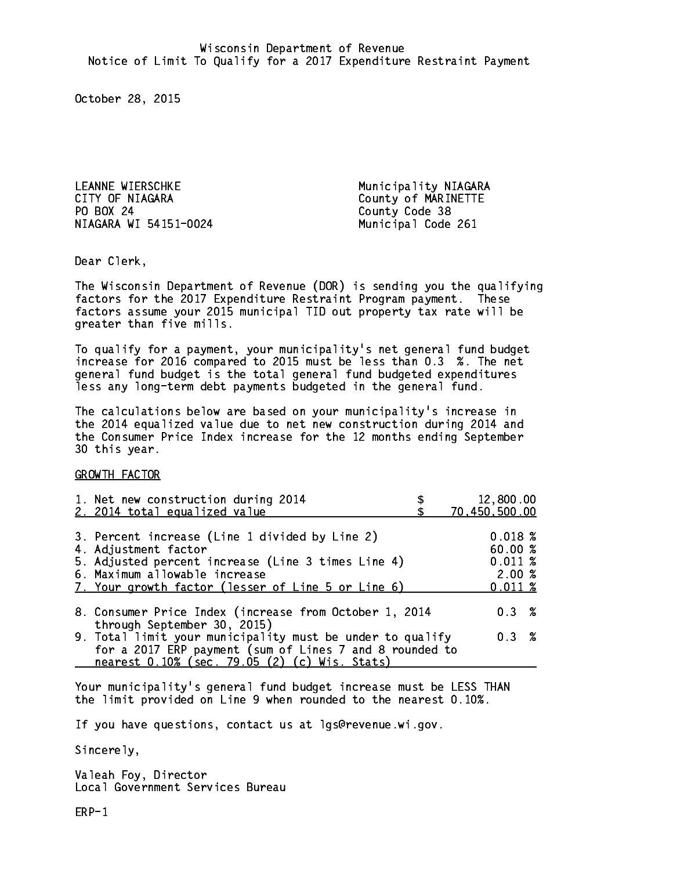LEANNE WIERSCHKE Municipality NIAGARA CITY OF NIAGARA COUNTY OF NARINETTE PO BOX 24 NIAGARA WI 54151-0024 Municipal Code 261

County Code 38

Dear Clerk. Dear Clerk,

The Wisconsin Department of Revenue (DOR) is sending you the qualifying factors for the 2017 Expenditure Restraint Program payment. These factors assume your 2015 municipal TID out property tax rate will be greater than five mills.

 To qualify for a payment, your municipality's net general fund budget increase for 2016 compared to 2015 must be less than 0.3 %. The net general fund budget is the total general fund budgeted expenditures less any long-term debt payments budgeted in the general fund.

The calculations below are based on your municipality's increase in the 2014 equalized value due to net new construction during 2014 and the Consumer Price Index increase for the 12 months ending September 30 this year. 30 this year. This year of the second terms of the second terms in the second terms in the second terms in the

GROWTH FACTOR

| 1. Net new construction during 2014<br>2. 2014 total equalized value                                                                                                                                                | 12,800.00<br>70,450,500.00                       |
|---------------------------------------------------------------------------------------------------------------------------------------------------------------------------------------------------------------------|--------------------------------------------------|
| 3. Percent increase (Line 1 divided by Line 2)<br>4. Adjustment factor<br>5. Adjusted percent increase (Line 3 times Line 4)<br>6. Maximum allowable increase<br>7. Your growth factor (lesser of Line 5 or Line 6) | 0.018~%<br>60.00%<br>0.011~%<br>2.00%<br>0.011~% |
| 8. Consumer Price Index (increase from October 1, 2014<br>through September 30, 2015)                                                                                                                               | $0.3 \t%$                                        |
| 9. Total limit your municipality must be under to qualify<br>for a 2017 ERP payment (sum of Lines 7 and 8 rounded to<br>nearest 0.10% (sec. 79.05 (2) (c) Wis. Stats)                                               | 0.3%                                             |

Your municipality's general fund budget increase must be LESS THAN the limit provided on Line 9 when rounded to the nearest 0.10%.

If you have questions, contact us at lgs@revenue.wi.gov.

Sincerely,

Valeah Foy, Director Local Government Services Bureau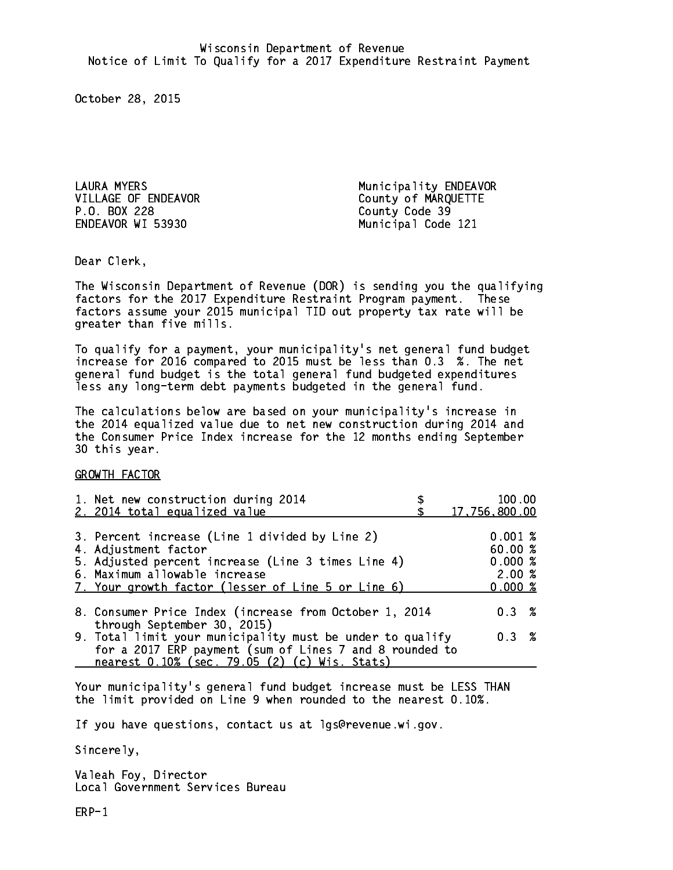P.O. BOX 228 County Code 39 ENDEAVOR WI 53930

LAURA MYERS **Municipality ENDEAVOR** VILLAGE OF ENDEAVOR County of MARQUETTE Municipal Code 121

Dear Clerk. Dear Clerk,

The Wisconsin Department of Revenue (DOR) is sending you the qualifying factors for the 2017 Expenditure Restraint Program payment. These factors assume your 2015 municipal TID out property tax rate will be greater than five mills.

 To qualify for a payment, your municipality's net general fund budget increase for 2016 compared to 2015 must be less than 0.3 %. The net general fund budget is the total general fund budgeted expenditures less any long-term debt payments budgeted in the general fund.

The calculations below are based on your municipality's increase in the 2014 equalized value due to net new construction during 2014 and the Consumer Price Index increase for the 12 months ending September 30 this year. 30 this year. This year of the second terms of the second terms in the second terms in the second terms in the

GROWTH FACTOR

| 1. Net new construction during 2014<br>2. 2014 total equalized value                                                                                                                                                | 100.00<br>17,756,800.00                         |
|---------------------------------------------------------------------------------------------------------------------------------------------------------------------------------------------------------------------|-------------------------------------------------|
| 3. Percent increase (Line 1 divided by Line 2)<br>4. Adjustment factor<br>5. Adjusted percent increase (Line 3 times Line 4)<br>6. Maximum allowable increase<br>7. Your growth factor (lesser of Line 5 or Line 6) | 0.001%<br>60.00%<br>0.000~%<br>2.00%<br>0.000 % |
| 8. Consumer Price Index (increase from October 1, 2014<br>through September 30, 2015)                                                                                                                               | 0.3%                                            |
| 9. Total limit your municipality must be under to qualify<br>for a 2017 ERP payment (sum of Lines 7 and 8 rounded to<br>nearest 0.10% (sec. 79.05 (2) (c) Wis. Stats)                                               | 0.3%                                            |

Your municipality's general fund budget increase must be LESS THAN the limit provided on Line 9 when rounded to the nearest 0.10%.

If you have questions, contact us at lgs@revenue.wi.gov.

Sincerely,

Valeah Foy, Director Local Government Services Bureau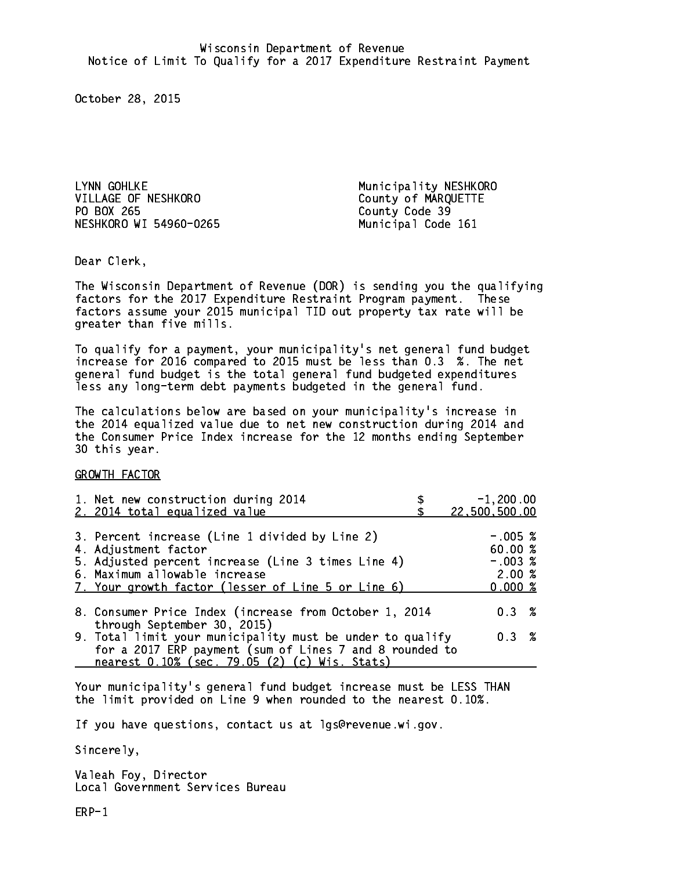LYNN GOHLKE Municipality NESHKORO VILLAGE OF NESHKORO County of MARQUETTE PO BOX 265 NESHKORO WI 54960-0265 Municipal Code 161

County Code 39

Dear Clerk. Dear Clerk,

The Wisconsin Department of Revenue (DOR) is sending you the qualifying factors for the 2017 Expenditure Restraint Program payment. These factors assume your 2015 municipal TID out property tax rate will be greater than five mills.

 To qualify for a payment, your municipality's net general fund budget increase for 2016 compared to 2015 must be less than 0.3 %. The net general fund budget is the total general fund budgeted expenditures less any long-term debt payments budgeted in the general fund.

The calculations below are based on your municipality's increase in the 2014 equalized value due to net new construction during 2014 and the Consumer Price Index increase for the 12 months ending September 30 this year. 30 this year. This year of the second terms of the second terms in the second terms in the second terms in the

GROWTH FACTOR

| 1. Net new construction during 2014<br>2. 2014 total equalized value                                                                                                                                                | $-1,200.00$<br>22,500,500.00                         |
|---------------------------------------------------------------------------------------------------------------------------------------------------------------------------------------------------------------------|------------------------------------------------------|
| 3. Percent increase (Line 1 divided by Line 2)<br>4. Adjustment factor<br>5. Adjusted percent increase (Line 3 times Line 4)<br>6. Maximum allowable increase<br>7. Your growth factor (lesser of Line 5 or Line 6) | $-.005$ %<br>60.00%<br>$-.003$ %<br>2.00%<br>0.000~% |
| 8. Consumer Price Index (increase from October 1, 2014<br>through September 30, 2015)                                                                                                                               | $0.3 \t%$                                            |
| 9. Total limit your municipality must be under to qualify<br>for a 2017 ERP payment (sum of Lines 7 and 8 rounded to<br>nearest 0.10% (sec. 79.05 (2) (c) Wis. Stats)                                               | 0.3%                                                 |

Your municipality's general fund budget increase must be LESS THAN the limit provided on Line 9 when rounded to the nearest 0.10%.

If you have questions, contact us at lgs@revenue.wi.gov.

Sincerely,

Valeah Foy, Director Local Government Services Bureau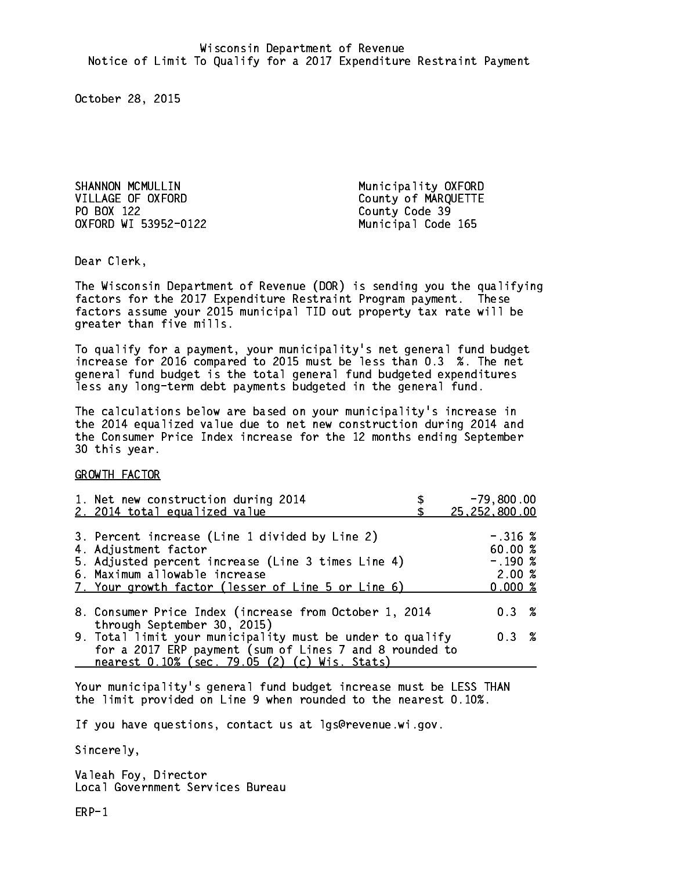SHANNON MCMULLIN Municipality OXFORD VILLAGE OF OXFORD<br>
PO BOX 122<br>
County Code 39 OXFORD WI 53952-0122 Municipal Code 165

County Code 39

Dear Clerk. Dear Clerk,

The Wisconsin Department of Revenue (DOR) is sending you the qualifying factors for the 2017 Expenditure Restraint Program payment. These factors assume your 2015 municipal TID out property tax rate will be greater than five mills.

 To qualify for a payment, your municipality's net general fund budget increase for 2016 compared to 2015 must be less than 0.3 %. The net general fund budget is the total general fund budgeted expenditures less any long-term debt payments budgeted in the general fund.

The calculations below are based on your municipality's increase in the 2014 equalized value due to net new construction during 2014 and the Consumer Price Index increase for the 12 months ending September 30 this year. 30 this year. This year of the second terms of the second terms in the second terms in the second terms in the

GROWTH FACTOR

| 1. Net new construction during 2014<br>2. 2014 total equalized value                                                                                                                                                | $-79,800.00$<br>25,252,800.00                         |
|---------------------------------------------------------------------------------------------------------------------------------------------------------------------------------------------------------------------|-------------------------------------------------------|
| 3. Percent increase (Line 1 divided by Line 2)<br>4. Adjustment factor<br>5. Adjusted percent increase (Line 3 times Line 4)<br>6. Maximum allowable increase<br>7. Your growth factor (lesser of Line 5 or Line 6) | $-.316$ %<br>60.00 %<br>$-.190~%$<br>2.00%<br>0.000 % |
| 8. Consumer Price Index (increase from October 1, 2014                                                                                                                                                              | $0.3 \t%$                                             |
| through September 30, 2015)<br>9. Total limit your municipality must be under to qualify<br>for a 2017 ERP payment (sum of Lines 7 and 8 rounded to<br>nearest 0.10% (sec. 79.05 (2) (c) Wis. Stats)                | 0.3%                                                  |

Your municipality's general fund budget increase must be LESS THAN the limit provided on Line 9 when rounded to the nearest 0.10%.

If you have questions, contact us at lgs@revenue.wi.gov.

Sincerely,

Valeah Foy, Director Local Government Services Bureau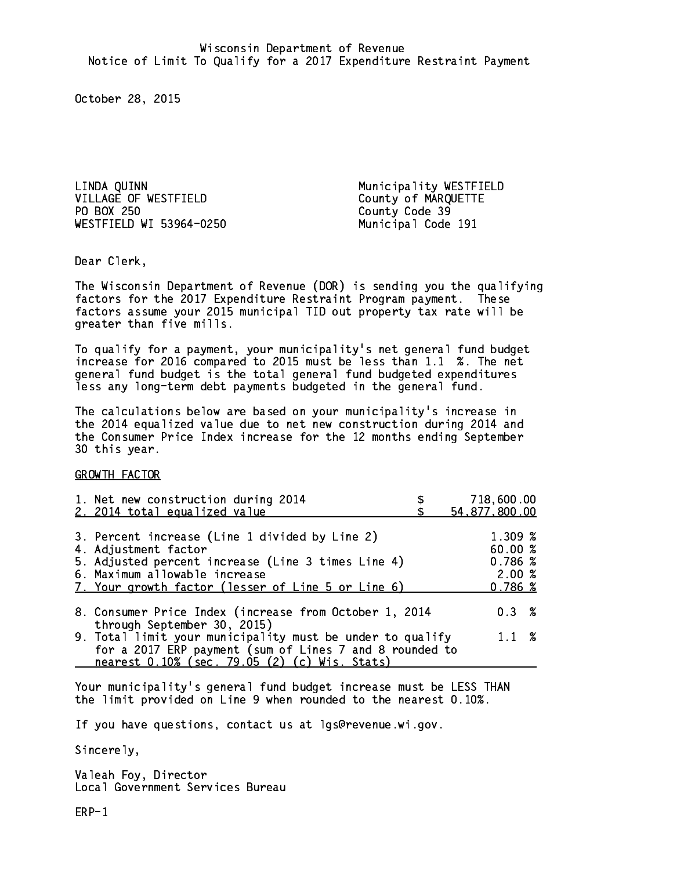LINDA QUINN Municipality WESTFIELD PO BOX 250 WESTFIELD WI 53964-0250 Municipal Code 191

County of MARQUETTE County Code 39

Dear Clerk. Dear Clerk,

The Wisconsin Department of Revenue (DOR) is sending you the qualifying factors for the 2017 Expenditure Restraint Program payment. These factors assume your 2015 municipal TID out property tax rate will be greater than five mills.

 To qualify for a payment, your municipality's net general fund budget increase for 2016 compared to 2015 must be less than 1.1 %. The net general fund budget is the total general fund budgeted expenditures less any long-term debt payments budgeted in the general fund.

The calculations below are based on your municipality's increase in the 2014 equalized value due to net new construction during 2014 and the Consumer Price Index increase for the 12 months ending September 30 this year. 30 this year. This year of the second terms of the second terms in the second terms in the second terms in the

GROWTH FACTOR

| 1. Net new construction during 2014<br>2. 2014 total equalized value                                                                                                                                                | 718,600.00<br>54,877,800.00                      |
|---------------------------------------------------------------------------------------------------------------------------------------------------------------------------------------------------------------------|--------------------------------------------------|
| 3. Percent increase (Line 1 divided by Line 2)<br>4. Adjustment factor<br>5. Adjusted percent increase (Line 3 times Line 4)<br>6. Maximum allowable increase<br>7. Your growth factor (lesser of Line 5 or Line 6) | 1.309 %<br>60.00%<br>0.786~%<br>2.00%<br>0.786~% |
| 8. Consumer Price Index (increase from October 1, 2014                                                                                                                                                              | $0.3 \t%$                                        |
| through September 30, 2015)<br>9. Total limit your municipality must be under to qualify<br>for a 2017 ERP payment (sum of Lines 7 and 8 rounded to<br>nearest 0.10% (sec. 79.05 (2) (c) Wis. Stats)                | $1.1 \t%$                                        |

Your municipality's general fund budget increase must be LESS THAN the limit provided on Line 9 when rounded to the nearest 0.10%.

If you have questions, contact us at lgs@revenue.wi.gov.

Sincerely,

Valeah Foy, Director Local Government Services Bureau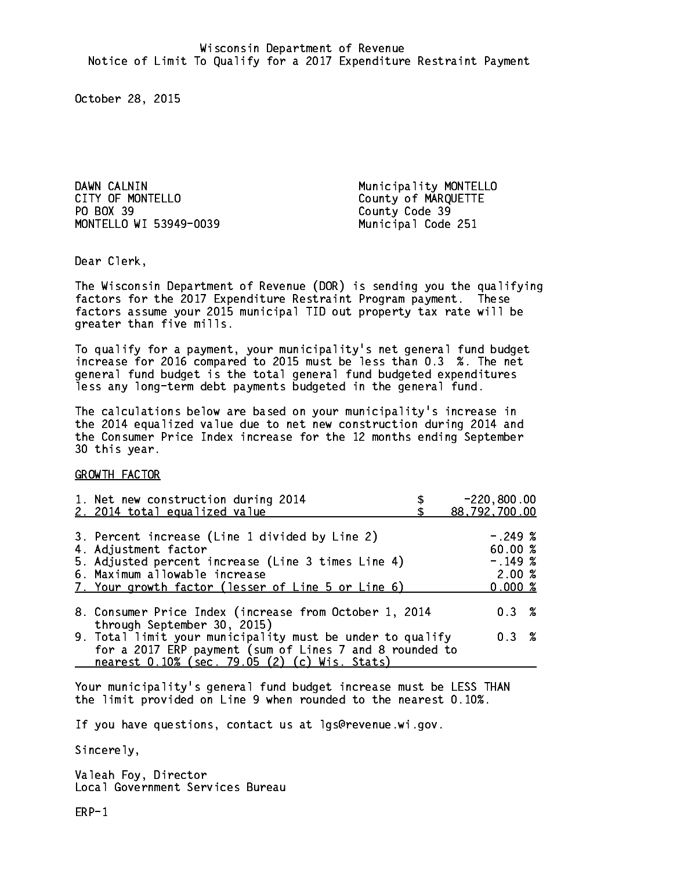DAWN CALNIN **Municipality MONTELLO** CITY OF MONTELLO COUNTY OF MARQUETTE PO BOX 39 County Code 39 MONTELLO WI 53949-0039 Municipal Code 251

Dear Clerk. Dear Clerk,

The Wisconsin Department of Revenue (DOR) is sending you the qualifying factors for the 2017 Expenditure Restraint Program payment. These factors assume your 2015 municipal TID out property tax rate will be greater than five mills.

 To qualify for a payment, your municipality's net general fund budget increase for 2016 compared to 2015 must be less than 0.3 %. The net general fund budget is the total general fund budgeted expenditures less any long-term debt payments budgeted in the general fund.

The calculations below are based on your municipality's increase in the 2014 equalized value due to net new construction during 2014 and the Consumer Price Index increase for the 12 months ending September 30 this year. 30 this year.

GROWTH FACTOR

| 1. Net new construction during 2014<br>2. 2014 total equalized value                                                                                                                                                | $-220,800.00$<br>88,792,700.00                        |
|---------------------------------------------------------------------------------------------------------------------------------------------------------------------------------------------------------------------|-------------------------------------------------------|
| 3. Percent increase (Line 1 divided by Line 2)<br>4. Adjustment factor<br>5. Adjusted percent increase (Line 3 times Line 4)<br>6. Maximum allowable increase<br>7. Your growth factor (lesser of Line 5 or Line 6) | $-.249~%$<br>60.00 %<br>$-.149~%$<br>2.00%<br>0.000 % |
| 8. Consumer Price Index (increase from October 1, 2014<br>through September 30, 2015)                                                                                                                               | 0.3%                                                  |
| 9. Total limit your municipality must be under to qualify<br>for a 2017 ERP payment (sum of Lines 7 and 8 rounded to<br>nearest 0.10% (sec. 79.05 (2) (c) Wis. Stats)                                               | 0.3%                                                  |

Your municipality's general fund budget increase must be LESS THAN the limit provided on Line 9 when rounded to the nearest 0.10%.

If you have questions, contact us at lgs@revenue.wi.gov.

Sincerely,

Valeah Foy, Director Local Government Services Bureau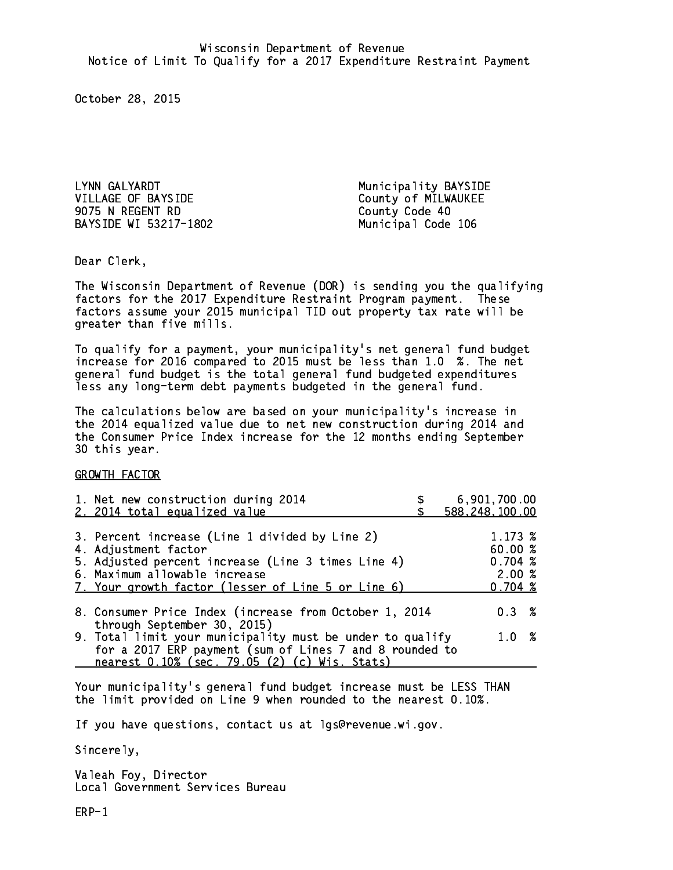LYNN GALYARDT **Municipality BAYSIDE** VILLAGE OF BAYSIDE County of MILWAUKEE 9075 N REGENT RD County Code 40 BAYSIDE WI 53217-1802

Municipal Code 106

Dear Clerk. Dear Clerk,

The Wisconsin Department of Revenue (DOR) is sending you the qualifying factors for the 2017 Expenditure Restraint Program payment. These factors assume your 2015 municipal TID out property tax rate will be greater than five mills.

 To qualify for a payment, your municipality's net general fund budget increase for 2016 compared to 2015 must be less than 1.0 %. The net general fund budget is the total general fund budgeted expenditures less any long-term debt payments budgeted in the general fund.

The calculations below are based on your municipality's increase in the 2014 equalized value due to net new construction during 2014 and the Consumer Price Index increase for the 12 months ending September 30 this year. 30 this year.

GROWTH FACTOR

| 1. Net new construction during 2014<br>2. 2014 total equalized value                                     | 6,901,700.00<br>588, 248, 100.00 |
|----------------------------------------------------------------------------------------------------------|----------------------------------|
|                                                                                                          |                                  |
| 3. Percent increase (Line 1 divided by Line 2)                                                           | 1.173~%                          |
| 4. Adjustment factor                                                                                     | 60.00 %                          |
| 5. Adjusted percent increase (Line 3 times Line 4)                                                       | 0.704~%                          |
| 6. Maximum allowable increase                                                                            | 2.00%                            |
| 7. Your growth factor (lesser of Line 5 or Line 6)                                                       | 0.704~%                          |
| 8. Consumer Price Index (increase from October 1, 2014<br>through September 30, 2015)                    | $0.3 \t%$                        |
| 9. Total limit your municipality must be under to qualify                                                | 1.0 %                            |
| for a 2017 ERP payment (sum of Lines 7 and 8 rounded to<br>nearest 0.10% (sec. 79.05 (2) (c) Wis. Stats) |                                  |

Your municipality's general fund budget increase must be LESS THAN the limit provided on Line 9 when rounded to the nearest 0.10%.

If you have questions, contact us at lgs@revenue.wi.gov.

Sincerely,

Valeah Foy, Director Local Government Services Bureau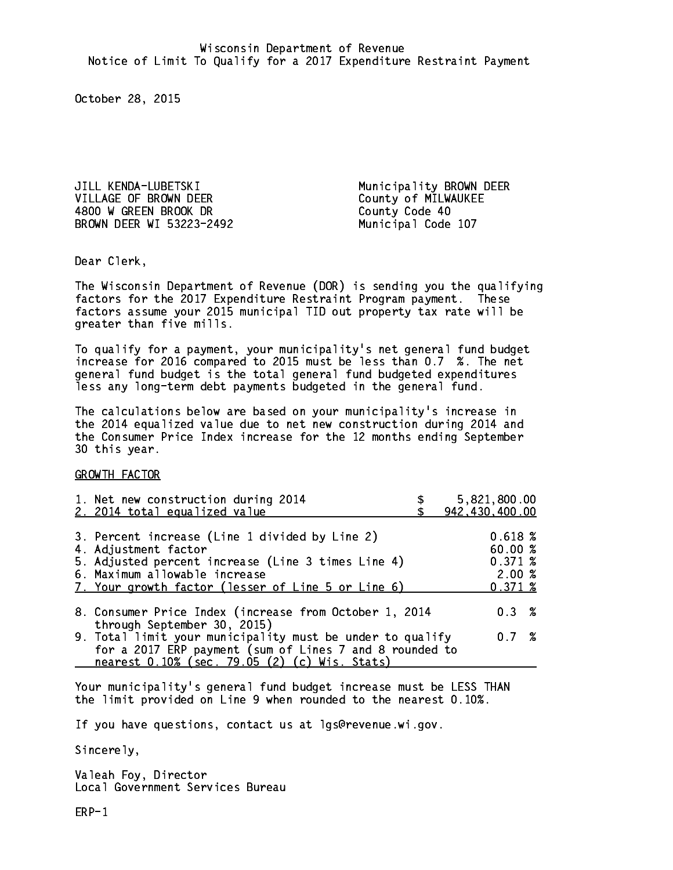JILL KENDA-LUBETSKI Municipality BROWN DEER VILLAGE OF BROWN DEER County of MILWAUKEE 4800 W GREEN BROOK DR County Code 40 BROWN DEER WI 53223-2492 Municipal Code 107

Dear Clerk. Dear Clerk,

The Wisconsin Department of Revenue (DOR) is sending you the qualifying factors for the 2017 Expenditure Restraint Program payment. These factors assume your 2015 municipal TID out property tax rate will be greater than five mills.

 To qualify for a payment, your municipality's net general fund budget increase for 2016 compared to 2015 must be less than 0.7 %. The net general fund budget is the total general fund budgeted expenditures less any long-term debt payments budgeted in the general fund.

The calculations below are based on your municipality's increase in the 2014 equalized value due to net new construction during 2014 and the Consumer Price Index increase for the 12 months ending September 30 this year. 30 this year.

GROWTH FACTOR

| 5,821,800.00<br>942,430,400.00                                                                                               |
|------------------------------------------------------------------------------------------------------------------------------|
| 0.618%<br>60.00 %<br>0.371~%<br>2.00%<br>0.371~%                                                                             |
| $0.3 \t%$                                                                                                                    |
| 9. Total limit your municipality must be under to qualify<br>0.7%<br>for a 2017 ERP payment (sum of Lines 7 and 8 rounded to |
|                                                                                                                              |

Your municipality's general fund budget increase must be LESS THAN the limit provided on Line 9 when rounded to the nearest 0.10%.

If you have questions, contact us at lgs@revenue.wi.gov.

Sincerely,

Valeah Foy, Director Local Government Services Bureau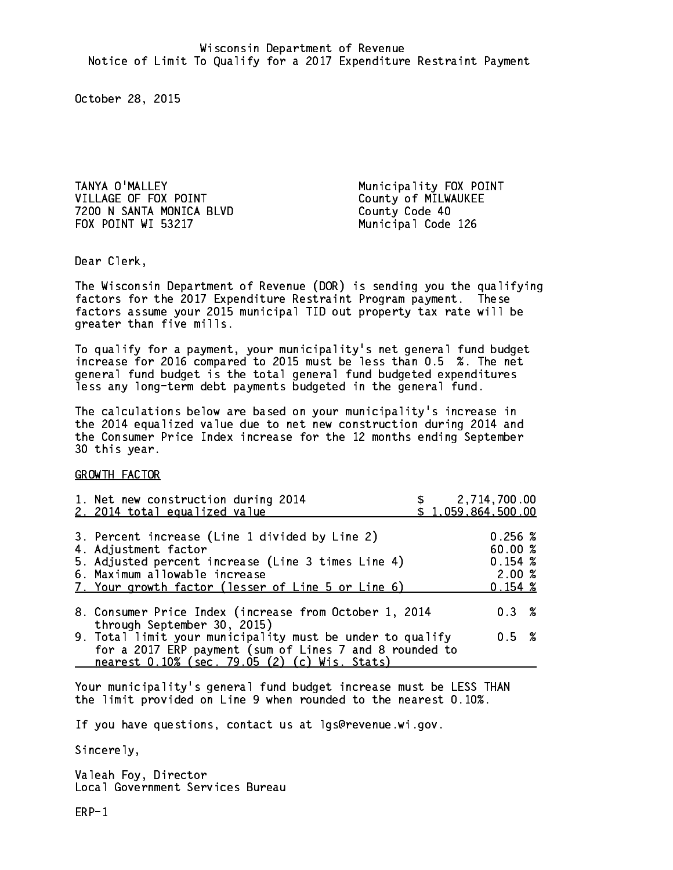TANYA O'MALLEY **Municipality FOX POINT** VILLAGE OF FOX POINT County of MILWAUKEE 7200 N SANTA MONICA BLVD County Code 40 FOX POINT WI 53217 Municipal Code 126

Dear Clerk. Dear Clerk,

The Wisconsin Department of Revenue (DOR) is sending you the qualifying factors for the 2017 Expenditure Restraint Program payment. These factors assume your 2015 municipal TID out property tax rate will be greater than five mills.

 To qualify for a payment, your municipality's net general fund budget increase for 2016 compared to 2015 must be less than 0.5 %. The net general fund budget is the total general fund budgeted expenditures less any long-term debt payments budgeted in the general fund.

The calculations below are based on your municipality's increase in the 2014 equalized value due to net new construction during 2014 and the Consumer Price Index increase for the 12 months ending September 30 this year. 30 this year.

GROWTH FACTOR

| 1. Net new construction during 2014<br>2. 2014 total equalized value                                                                                                                                                | \$1,059,864,500.00 | 2,714,700.00                                      |  |
|---------------------------------------------------------------------------------------------------------------------------------------------------------------------------------------------------------------------|--------------------|---------------------------------------------------|--|
| 3. Percent increase (Line 1 divided by Line 2)<br>4. Adjustment factor<br>5. Adjusted percent increase (Line 3 times Line 4)<br>6. Maximum allowable increase<br>7. Your growth factor (lesser of Line 5 or Line 6) |                    | 0.256~%<br>60.00 %<br>0.154~%<br>2.00%<br>0.154~% |  |
| 8. Consumer Price Index (increase from October 1, 2014<br>through September 30, 2015)                                                                                                                               |                    | 0.3%                                              |  |
| 9. Total limit your municipality must be under to qualify<br>for a 2017 ERP payment (sum of Lines 7 and 8 rounded to<br>nearest 0.10% (sec. 79.05 (2) (c) Wis. Stats)                                               |                    | 0.5 %                                             |  |

Your municipality's general fund budget increase must be LESS THAN the limit provided on Line 9 when rounded to the nearest 0.10%.

If you have questions, contact us at lgs@revenue.wi.gov.

Sincerely,

Valeah Foy, Director Local Government Services Bureau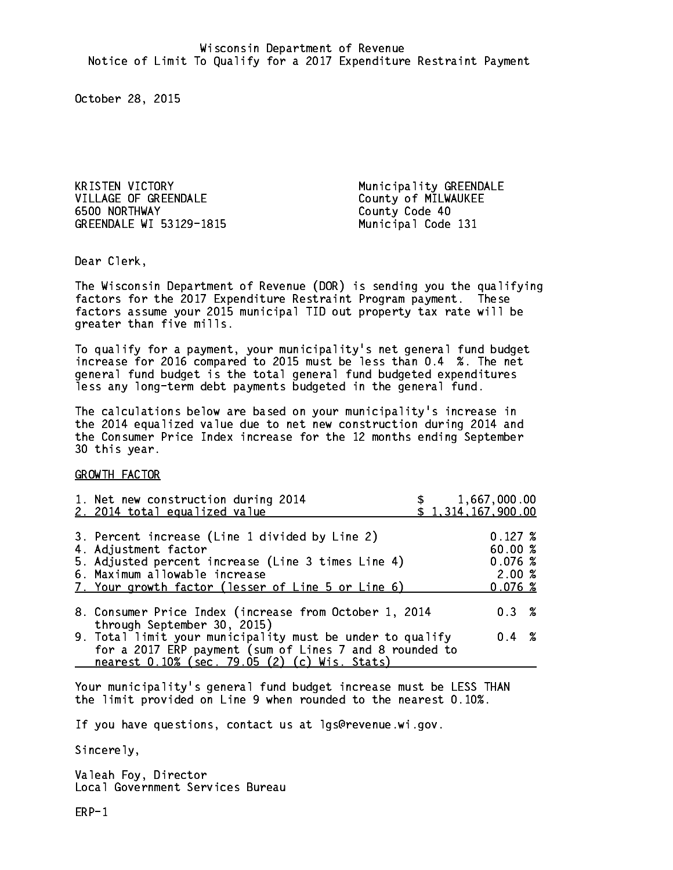KRISTEN VICTORY Municipality GREENDALE 6500 NORTHWAY GREENDALE WI 53129-1815 Municipal Code 131

County of MILWAUKEE County Code 40

Dear Clerk. Dear Clerk,

The Wisconsin Department of Revenue (DOR) is sending you the qualifying factors for the 2017 Expenditure Restraint Program payment. These factors assume your 2015 municipal TID out property tax rate will be greater than five mills.

 To qualify for a payment, your municipality's net general fund budget increase for 2016 compared to 2015 must be less than 0.4 %. The net general fund budget is the total general fund budgeted expenditures less any long-term debt payments budgeted in the general fund.

The calculations below are based on your municipality's increase in the 2014 equalized value due to net new construction during 2014 and the Consumer Price Index increase for the 12 months ending September 30 this year. 30 this year.

GROWTH FACTOR

| 1. Net new construction during 2014<br>2. 2014 total equalized value                                                                                                                                                | 1,667,000.00<br>\$1,314,167,900.00                     |  |
|---------------------------------------------------------------------------------------------------------------------------------------------------------------------------------------------------------------------|--------------------------------------------------------|--|
| 3. Percent increase (Line 1 divided by Line 2)<br>4. Adjustment factor<br>5. Adjusted percent increase (Line 3 times Line 4)<br>6. Maximum allowable increase<br>7. Your growth factor (lesser of Line 5 or Line 6) | $0.127 \;$ %<br>60.00 %<br>0.076~%<br>2.00%<br>0.076~% |  |
| 8. Consumer Price Index (increase from October 1, 2014<br>through September 30, 2015)                                                                                                                               | $0.3 \t%$                                              |  |
| 9. Total limit your municipality must be under to qualify<br>for a 2017 ERP payment (sum of Lines 7 and 8 rounded to<br>nearest 0.10% (sec. 79.05 (2) (c) Wis. Stats)                                               | $0.4 \t%$                                              |  |

Your municipality's general fund budget increase must be LESS THAN the limit provided on Line 9 when rounded to the nearest 0.10%.

If you have questions, contact us at lgs@revenue.wi.gov.

Sincerely,

Valeah Foy, Director Local Government Services Bureau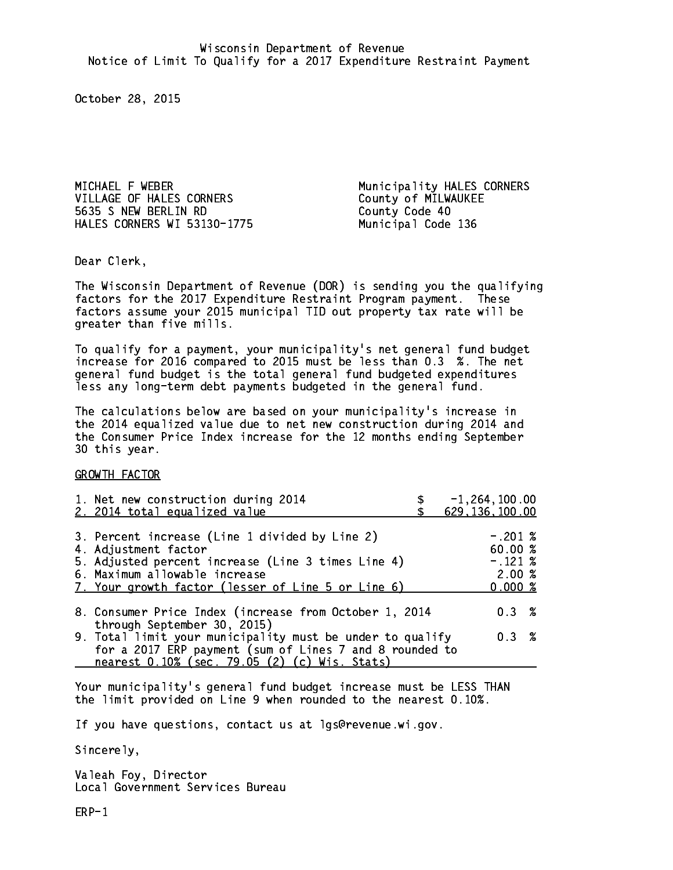MICHAEL F WEBER Municipality HALES CORNERS VILLAGE OF HALES CORNERS CORNERS COUNTY OF MILWAUKEE 5635 S NEW BERLIN RD County Code 40 HALES CORNERS WI 53130-1775 Municipal Code 136

Dear Clerk. Dear Clerk,

The Wisconsin Department of Revenue (DOR) is sending you the qualifying factors for the 2017 Expenditure Restraint Program payment. These factors assume your 2015 municipal TID out property tax rate will be greater than five mills.

 To qualify for a payment, your municipality's net general fund budget increase for 2016 compared to 2015 must be less than 0.3 %. The net general fund budget is the total general fund budgeted expenditures less any long-term debt payments budgeted in the general fund.

The calculations below are based on your municipality's increase in the 2014 equalized value due to net new construction during 2014 and the Consumer Price Index increase for the 12 months ending September 30 this year. 30 this year.

GROWTH FACTOR

| 1. Net new construction during 2014<br>2. 2014 total equalized value                                                                                                                                                | $-1, 264, 100.00$<br>629, 136, 100.00                 |
|---------------------------------------------------------------------------------------------------------------------------------------------------------------------------------------------------------------------|-------------------------------------------------------|
| 3. Percent increase (Line 1 divided by Line 2)<br>4. Adjustment factor<br>5. Adjusted percent increase (Line 3 times Line 4)<br>6. Maximum allowable increase<br>7. Your growth factor (lesser of Line 5 or Line 6) | $-.201~%$<br>60.00 %<br>$-.121~%$<br>2.00%<br>0.000~% |
| 8. Consumer Price Index (increase from October 1, 2014                                                                                                                                                              | $0.3 \t%$                                             |
| through September 30, 2015)<br>9. Total limit your municipality must be under to qualify<br>for a 2017 ERP payment (sum of Lines 7 and 8 rounded to<br>nearest 0.10% (sec. 79.05 (2) (c) Wis. Stats)                | 0.3%                                                  |

Your municipality's general fund budget increase must be LESS THAN the limit provided on Line 9 when rounded to the nearest 0.10%.

If you have questions, contact us at lgs@revenue.wi.gov.

Sincerely,

Valeah Foy, Director Local Government Services Bureau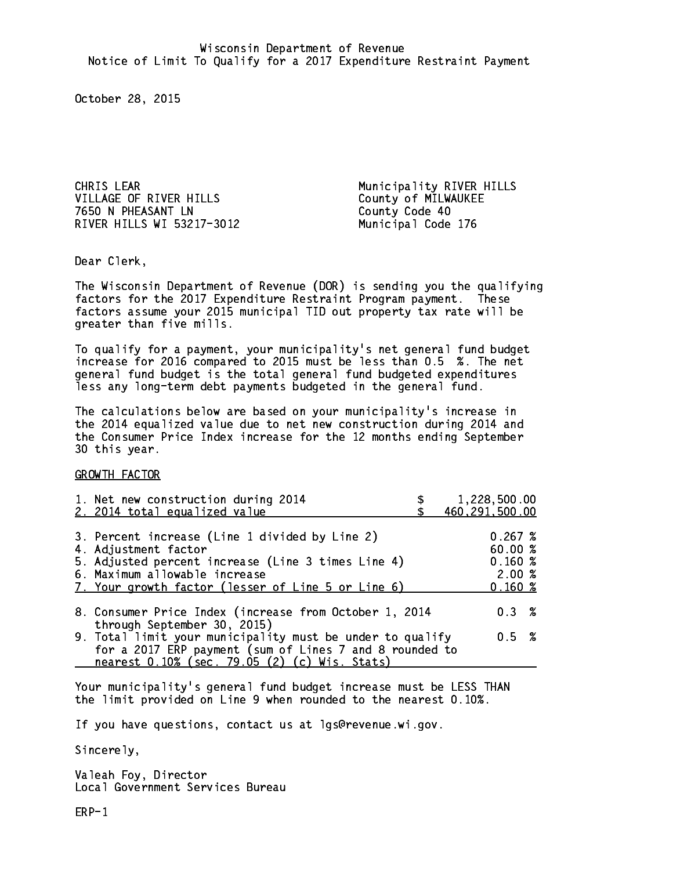CHRIS LEAR Municipality RIVER HILLS VILLAGE OF RIVER HILLS County of MILWAUKEE 7650 N PHEASANT LN County Code 40 RIVER HILLS WI 53217-3012 Municipal Code 176

Dear Clerk. Dear Clerk,

The Wisconsin Department of Revenue (DOR) is sending you the qualifying factors for the 2017 Expenditure Restraint Program payment. These factors assume your 2015 municipal TID out property tax rate will be greater than five mills.

 To qualify for a payment, your municipality's net general fund budget increase for 2016 compared to 2015 must be less than 0.5 %. The net general fund budget is the total general fund budgeted expenditures less any long-term debt payments budgeted in the general fund.

The calculations below are based on your municipality's increase in the 2014 equalized value due to net new construction during 2014 and the Consumer Price Index increase for the 12 months ending September 30 this year. 30 this year.

GROWTH FACTOR

| 1. Net new construction during 2014                                                                                                                                                                  | 1,228,500.00     |
|------------------------------------------------------------------------------------------------------------------------------------------------------------------------------------------------------|------------------|
| 2. 2014 total equalized value                                                                                                                                                                        | 460, 291, 500.00 |
| 3. Percent increase (Line 1 divided by Line 2)                                                                                                                                                       | 0.267~%          |
| 4. Adjustment factor                                                                                                                                                                                 | 60.00 %          |
| 5. Adjusted percent increase (Line 3 times Line 4)                                                                                                                                                   | 0.160~%          |
| 6. Maximum allowable increase                                                                                                                                                                        | 2.00%            |
| 7. Your growth factor (lesser of Line 5 or Line 6)                                                                                                                                                   | 0.160~%          |
| 8. Consumer Price Index (increase from October 1, 2014                                                                                                                                               | $0.3 \t%$        |
| through September 30, 2015)<br>9. Total limit your municipality must be under to qualify<br>for a 2017 ERP payment (sum of Lines 7 and 8 rounded to<br>nearest 0.10% (sec. 79.05 (2) (c) Wis. Stats) | 0.5 %            |

Your municipality's general fund budget increase must be LESS THAN the limit provided on Line 9 when rounded to the nearest 0.10%.

If you have questions, contact us at lgs@revenue.wi.gov.

Sincerely,

Valeah Foy, Director Local Government Services Bureau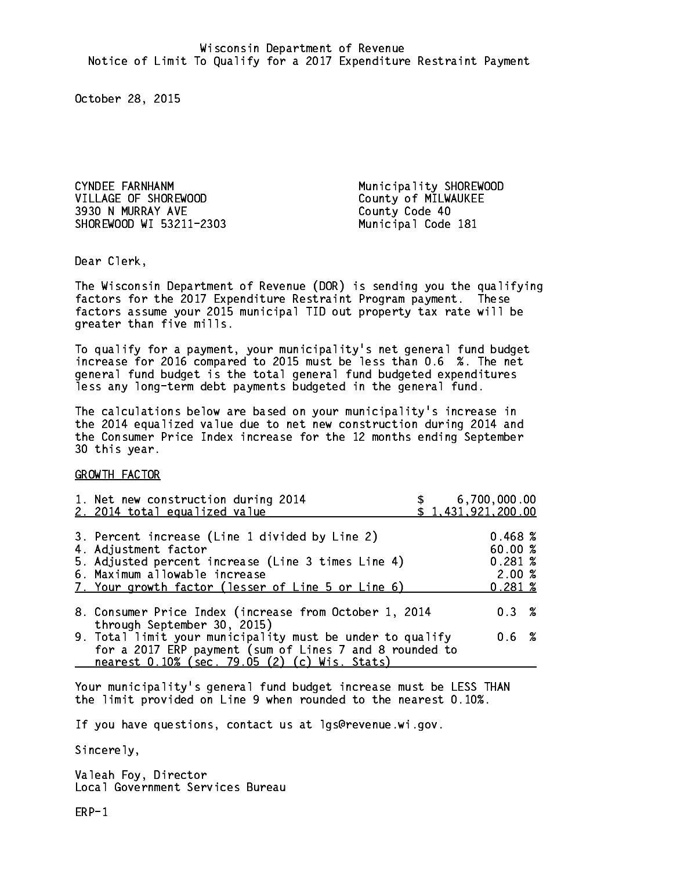CYNDEE FARNHANM Municipality SHOREWOOD VILLAGE OF SHOREWOOD County of MILWAUKEE 3930 N MURRAY AVE County Code 40 SHOREWOOD WI 53211-2303 Municipal Code 181

Dear Clerk. Dear Clerk,

The Wisconsin Department of Revenue (DOR) is sending you the qualifying factors for the 2017 Expenditure Restraint Program payment. These factors assume your 2015 municipal TID out property tax rate will be greater than five mills.

 To qualify for a payment, your municipality's net general fund budget increase for 2016 compared to 2015 must be less than 0.6 %. The net general fund budget is the total general fund budgeted expenditures less any long-term debt payments budgeted in the general fund.

The calculations below are based on your municipality's increase in the 2014 equalized value due to net new construction during 2014 and the Consumer Price Index increase for the 12 months ending September 30 this year. 30 this year.

GROWTH FACTOR

| 1. Net new construction during 2014<br>2. 2014 total equalized value                                                                                                                                                |  | 6,700,000.00<br>\$1,431,921,200.00              |  |
|---------------------------------------------------------------------------------------------------------------------------------------------------------------------------------------------------------------------|--|-------------------------------------------------|--|
| 3. Percent increase (Line 1 divided by Line 2)<br>4. Adjustment factor<br>5. Adjusted percent increase (Line 3 times Line 4)<br>6. Maximum allowable increase<br>7. Your growth factor (lesser of Line 5 or Line 6) |  | 0.468~%<br>60.00%<br>0.281~%<br>2.00%<br>0.281% |  |
| 8. Consumer Price Index (increase from October 1, 2014<br>through September 30, 2015)                                                                                                                               |  | $0.3 \t%$                                       |  |
| 9. Total limit your municipality must be under to qualify<br>for a 2017 ERP payment (sum of Lines 7 and 8 rounded to<br>nearest 0.10% (sec. 79.05 (2) (c) Wis. Stats)                                               |  | 0.6 %                                           |  |

Your municipality's general fund budget increase must be LESS THAN the limit provided on Line 9 when rounded to the nearest 0.10%.

If you have questions, contact us at lgs@revenue.wi.gov.

Sincerely,

Valeah Foy, Director Local Government Services Bureau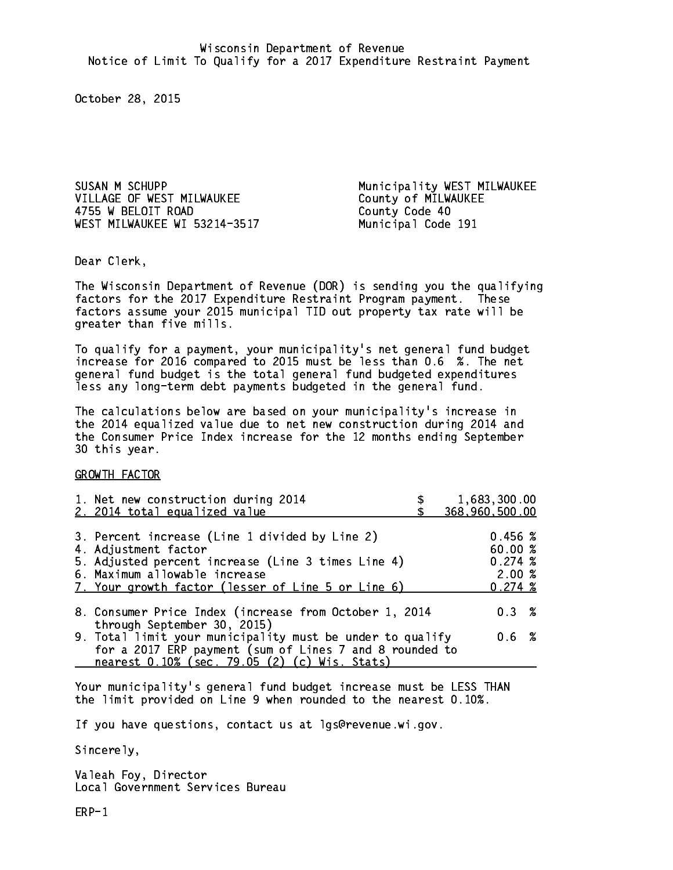SUSAN M SCHUPP Municipality WEST MILWAUKEE VILLAGE OF WEST MILWAUKEE County of MILWAUKEE 4755 W BELOIT ROAD County Code 40 WEST MILWAUKEE WI 53214-3517 Municipal Code 191

Dear Clerk. Dear Clerk,

The Wisconsin Department of Revenue (DOR) is sending you the qualifying factors for the 2017 Expenditure Restraint Program payment. These factors assume your 2015 municipal TID out property tax rate will be greater than five mills.

 To qualify for a payment, your municipality's net general fund budget increase for 2016 compared to 2015 must be less than 0.6 %. The net general fund budget is the total general fund budgeted expenditures less any long-term debt payments budgeted in the general fund.

The calculations below are based on your municipality's increase in the 2014 equalized value due to net new construction during 2014 and the Consumer Price Index increase for the 12 months ending September 30 this year. 30 this year.

GROWTH FACTOR

| 1,683,300.00<br>368,960,500.00                                                                                                                                                                                                                                                                                                                                                                |
|-----------------------------------------------------------------------------------------------------------------------------------------------------------------------------------------------------------------------------------------------------------------------------------------------------------------------------------------------------------------------------------------------|
| 0.456~%<br>60.00 %<br>0.274~%<br>2.00%<br>0.274~%                                                                                                                                                                                                                                                                                                                                             |
| 0.3%                                                                                                                                                                                                                                                                                                                                                                                          |
| $0.6\;$ %                                                                                                                                                                                                                                                                                                                                                                                     |
| 3. Percent increase (Line 1 divided by Line 2)<br>5. Adjusted percent increase (Line 3 times Line 4)<br>7. Your growth factor (lesser of Line 5 or Line 6)<br>8. Consumer Price Index (increase from October 1, 2014<br>9. Total limit your municipality must be under to qualify<br>for a 2017 ERP payment (sum of Lines 7 and 8 rounded to<br>nearest 0.10% (sec. 79.05 (2) (c) Wis. Stats) |

Your municipality's general fund budget increase must be LESS THAN the limit provided on Line 9 when rounded to the nearest 0.10%.

If you have questions, contact us at lgs@revenue.wi.gov.

Sincerely,

Valeah Foy, Director Local Government Services Bureau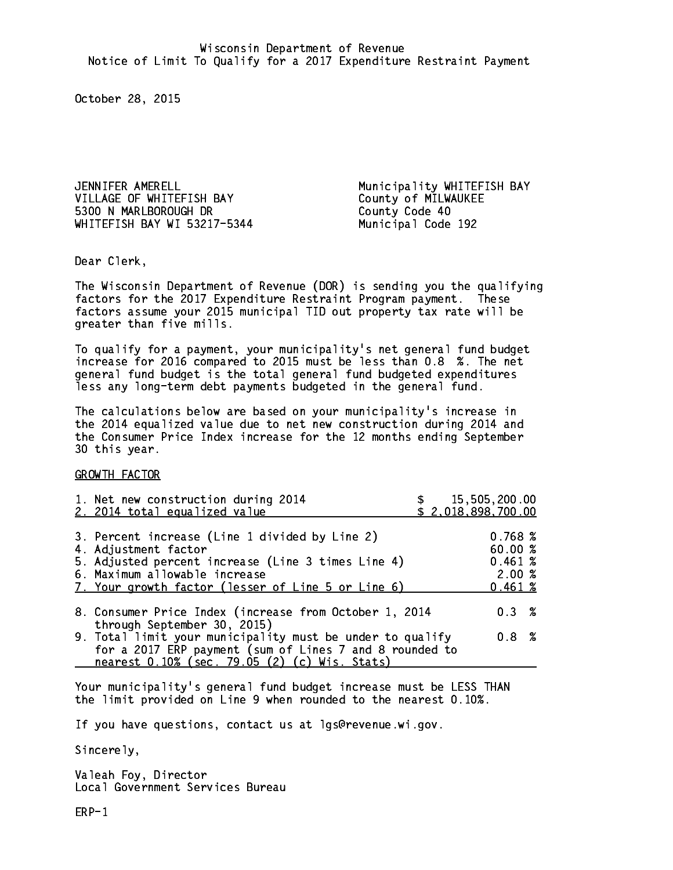JENNIFER AMERELL Municipality WHITEFISH BAY VILLAGE OF WHITEFISH BAY County of MILWAUKEE 5300 N MARLBOROUGH DR County Code 40 WHITEFISH BAY WI 53217-5344 Municipal Code 192

Dear Clerk. Dear Clerk,

The Wisconsin Department of Revenue (DOR) is sending you the qualifying factors for the 2017 Expenditure Restraint Program payment. These factors assume your 2015 municipal TID out property tax rate will be greater than five mills.

 To qualify for a payment, your municipality's net general fund budget increase for 2016 compared to 2015 must be less than 0.8 %. The net general fund budget is the total general fund budgeted expenditures less any long-term debt payments budgeted in the general fund.

The calculations below are based on your municipality's increase in the 2014 equalized value due to net new construction during 2014 and the Consumer Price Index increase for the 12 months ending September 30 this year. 30 this year.

GROWTH FACTOR

| 1. Net new construction during 2014<br>2. 2014 total equalized value                                                                                                                                                | 15,505,200.00<br>\$2,018,898,700.00             |
|---------------------------------------------------------------------------------------------------------------------------------------------------------------------------------------------------------------------|-------------------------------------------------|
| 3. Percent increase (Line 1 divided by Line 2)<br>4. Adjustment factor<br>5. Adjusted percent increase (Line 3 times Line 4)<br>6. Maximum allowable increase<br>7. Your growth factor (lesser of Line 5 or Line 6) | 0.768~%<br>60.00%<br>0.461~%<br>2.00%<br>0.461% |
| 8. Consumer Price Index (increase from October 1, 2014<br>through September 30, 2015)                                                                                                                               | $0.3 \t%$                                       |
| 9. Total limit your municipality must be under to qualify<br>for a 2017 ERP payment (sum of Lines 7 and 8 rounded to<br>nearest 0.10% (sec. 79.05 (2) (c) Wis. Stats)                                               | 0.8 <sup>8</sup>                                |

Your municipality's general fund budget increase must be LESS THAN the limit provided on Line 9 when rounded to the nearest 0.10%.

If you have questions, contact us at lgs@revenue.wi.gov.

Sincerely,

Valeah Foy, Director Local Government Services Bureau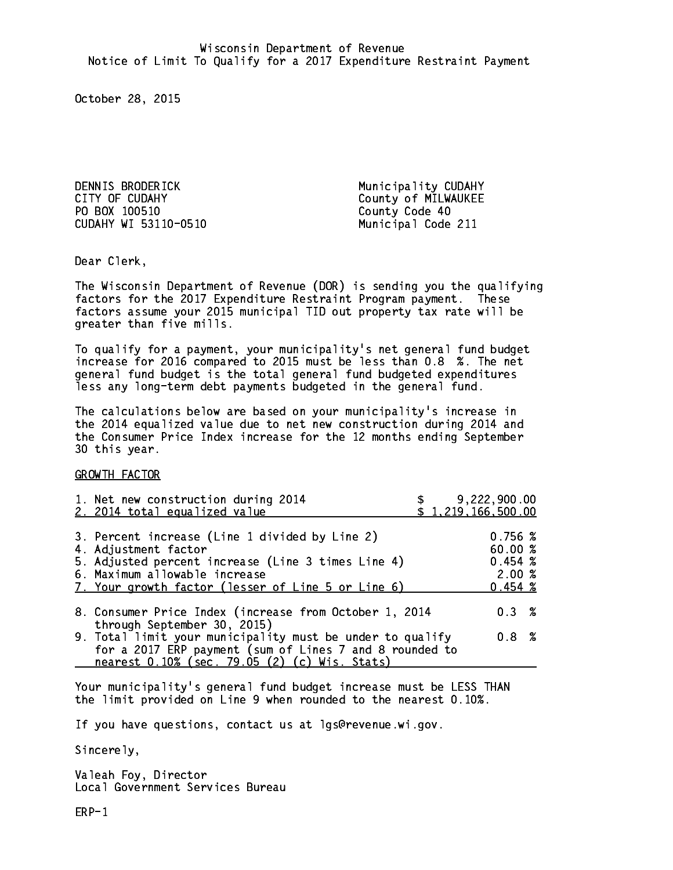DENNIS BRODERICK Municipality CUDAHY CITY OF CUDAHY COUNTY County of MILWAUKEE PO BOX 100510 County Code 40 CUDAHY WI 53110-0510 Municipal Code 211

Dear Clerk. Dear Clerk,

The Wisconsin Department of Revenue (DOR) is sending you the qualifying factors for the 2017 Expenditure Restraint Program payment. These factors assume your 2015 municipal TID out property tax rate will be greater than five mills.

 To qualify for a payment, your municipality's net general fund budget increase for 2016 compared to 2015 must be less than 0.8 %. The net general fund budget is the total general fund budgeted expenditures less any long-term debt payments budgeted in the general fund.

The calculations below are based on your municipality's increase in the 2014 equalized value due to net new construction during 2014 and the Consumer Price Index increase for the 12 months ending September 30 this year. 30 this year.

GROWTH FACTOR

| 1. Net new construction during 2014<br>2. 2014 total equalized value                                                                                                                                                | 9,222,900.00<br>\$1,219,166,500.00                |  |
|---------------------------------------------------------------------------------------------------------------------------------------------------------------------------------------------------------------------|---------------------------------------------------|--|
| 3. Percent increase (Line 1 divided by Line 2)<br>4. Adjustment factor<br>5. Adjusted percent increase (Line 3 times Line 4)<br>6. Maximum allowable increase<br>7. Your growth factor (lesser of Line 5 or Line 6) | 0.756~%<br>60.00 %<br>0.454~%<br>2.00%<br>0.454~% |  |
| 8. Consumer Price Index (increase from October 1, 2014<br>through September 30, 2015)                                                                                                                               | 0.3%                                              |  |
| 9. Total limit your municipality must be under to qualify<br>for a 2017 ERP payment (sum of Lines 7 and 8 rounded to<br>nearest 0.10% (sec. 79.05 (2) (c) Wis. Stats)                                               | 0.8 <sup>8</sup>                                  |  |

Your municipality's general fund budget increase must be LESS THAN the limit provided on Line 9 when rounded to the nearest 0.10%.

If you have questions, contact us at lgs@revenue.wi.gov.

Sincerely,

Valeah Foy, Director Local Government Services Bureau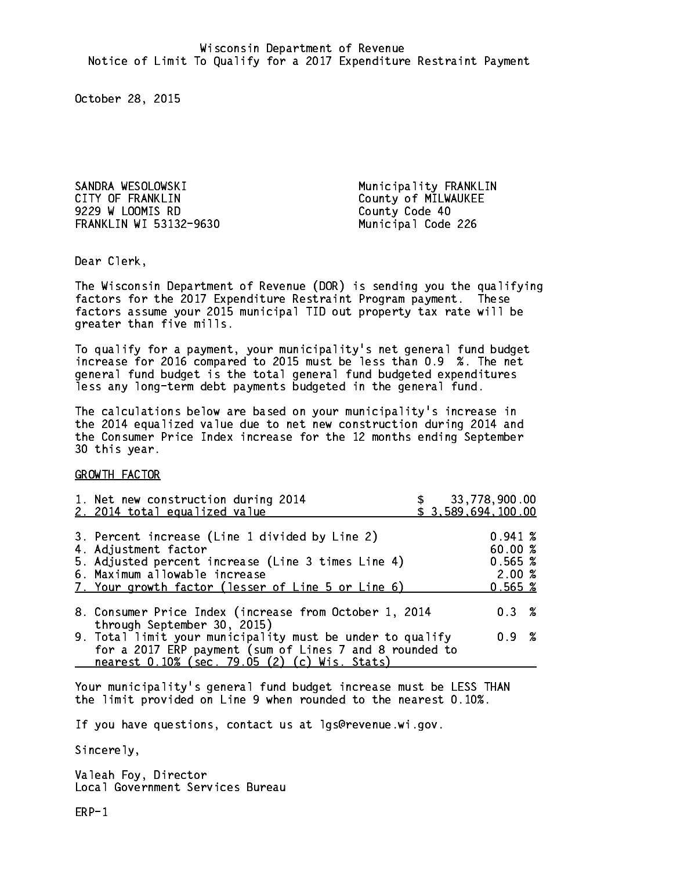SANDRA WESOLOWSKI Municipality FRANKLIN CITY OF FRANKLIN COUNTY OF MILWAUKEE 9229 W LOOMIS RD County Code 40 FRANKLIN WI 53132-9630 Municipal Code 226

Dear Clerk. Dear Clerk,

The Wisconsin Department of Revenue (DOR) is sending you the qualifying factors for the 2017 Expenditure Restraint Program payment. These factors assume your 2015 municipal TID out property tax rate will be greater than five mills.

 To qualify for a payment, your municipality's net general fund budget increase for 2016 compared to 2015 must be less than 0.9 %. The net general fund budget is the total general fund budgeted expenditures less any long-term debt payments budgeted in the general fund.

The calculations below are based on your municipality's increase in the 2014 equalized value due to net new construction during 2014 and the Consumer Price Index increase for the 12 months ending September 30 this year. 30 this year.

GROWTH FACTOR

| 1. Net new construction during 2014<br>2. 2014 total equalized value                                                                                                                                                |  | 33,778,900.00<br>\$3,589,694,100.00               |  |
|---------------------------------------------------------------------------------------------------------------------------------------------------------------------------------------------------------------------|--|---------------------------------------------------|--|
| 3. Percent increase (Line 1 divided by Line 2)<br>4. Adjustment factor<br>5. Adjusted percent increase (Line 3 times Line 4)<br>6. Maximum allowable increase<br>7. Your growth factor (lesser of Line 5 or Line 6) |  | 0.941~%<br>60.00 %<br>0.565~%<br>2.00%<br>0.565~% |  |
| 8. Consumer Price Index (increase from October 1, 2014<br>through September 30, 2015)                                                                                                                               |  | $0.3 \t%$                                         |  |
| 9. Total limit your municipality must be under to qualify<br>for a 2017 ERP payment (sum of Lines 7 and 8 rounded to<br>nearest 0.10% (sec. 79.05 (2) (c) Wis. Stats)                                               |  | 0.9 %                                             |  |

Your municipality's general fund budget increase must be LESS THAN the limit provided on Line 9 when rounded to the nearest 0.10%.

If you have questions, contact us at lgs@revenue.wi.gov.

Sincerely,

Valeah Foy, Director Local Government Services Bureau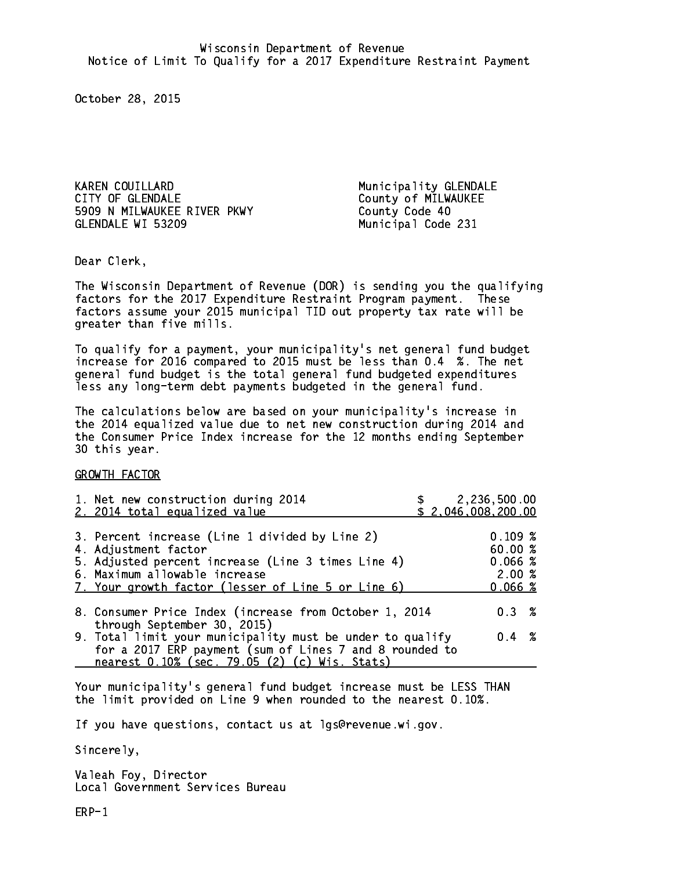KAREN COUILLARD Municipality GLENDALE CITY OF GLENDALE COUNTY OF MILWAUKEE 5909 N MILWAUKEE RIVER PKWY County Code 40 GLENDALE WI 53209 Municipal Code 231

Dear Clerk. Dear Clerk,

The Wisconsin Department of Revenue (DOR) is sending you the qualifying factors for the 2017 Expenditure Restraint Program payment. These factors assume your 2015 municipal TID out property tax rate will be greater than five mills.

 To qualify for a payment, your municipality's net general fund budget increase for 2016 compared to 2015 must be less than 0.4 %. The net general fund budget is the total general fund budgeted expenditures less any long-term debt payments budgeted in the general fund.

The calculations below are based on your municipality's increase in the 2014 equalized value due to net new construction during 2014 and the Consumer Price Index increase for the 12 months ending September 30 this year. 30 this year.

GROWTH FACTOR

| 1. Net new construction during 2014<br>2. 2014 total equalized value                                                                                                                                                | 2,236,500.00<br>\$2,046,008,200.00                |  |
|---------------------------------------------------------------------------------------------------------------------------------------------------------------------------------------------------------------------|---------------------------------------------------|--|
| 3. Percent increase (Line 1 divided by Line 2)<br>4. Adjustment factor<br>5. Adjusted percent increase (Line 3 times Line 4)<br>6. Maximum allowable increase<br>7. Your growth factor (lesser of Line 5 or Line 6) | 0.109~%<br>60.00 %<br>0.066~%<br>2.00%<br>0.066~% |  |
| 8. Consumer Price Index (increase from October 1, 2014<br>through September 30, 2015)                                                                                                                               | $0.3 \t%$                                         |  |
| 9. Total limit your municipality must be under to qualify<br>for a 2017 ERP payment (sum of Lines 7 and 8 rounded to<br>nearest 0.10% (sec. 79.05 (2) (c) Wis. Stats)                                               | $0.4 \t%$                                         |  |

Your municipality's general fund budget increase must be LESS THAN the limit provided on Line 9 when rounded to the nearest 0.10%.

If you have questions, contact us at lgs@revenue.wi.gov.

Sincerely,

Valeah Foy, Director Local Government Services Bureau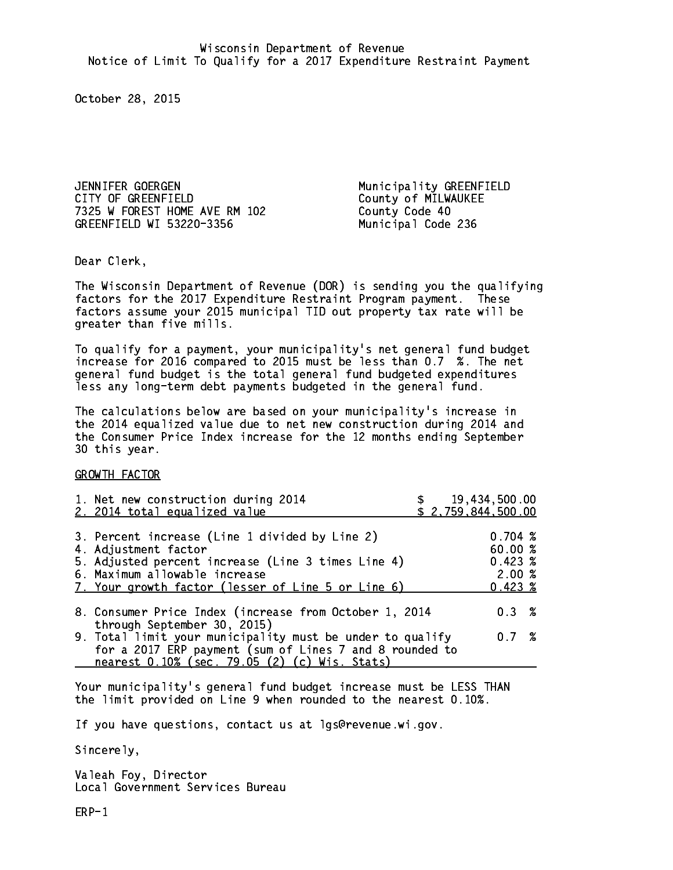JENNIFER GOERGEN Municipality GREENFIELD CITY OF GREENFIELD County of MILWAUKEE 7325 W FOREST HOME AVE RM 102 County Code 40 GREENFIELD WI 53220-3356 Municipal Code 236

Dear Clerk. Dear Clerk,

The Wisconsin Department of Revenue (DOR) is sending you the qualifying factors for the 2017 Expenditure Restraint Program payment. These factors assume your 2015 municipal TID out property tax rate will be greater than five mills.

 To qualify for a payment, your municipality's net general fund budget increase for 2016 compared to 2015 must be less than 0.7 %. The net general fund budget is the total general fund budgeted expenditures less any long-term debt payments budgeted in the general fund.

The calculations below are based on your municipality's increase in the 2014 equalized value due to net new construction during 2014 and the Consumer Price Index increase for the 12 months ending September 30 this year. 30 this year.

GROWTH FACTOR

| 1. Net new construction during 2014<br>2. 2014 total equalized value                                                                                                                                                | \$19,434,500.00<br>\$2,759,844,500.00 |                                                             |  |
|---------------------------------------------------------------------------------------------------------------------------------------------------------------------------------------------------------------------|---------------------------------------|-------------------------------------------------------------|--|
| 3. Percent increase (Line 1 divided by Line 2)<br>4. Adjustment factor<br>5. Adjusted percent increase (Line 3 times Line 4)<br>6. Maximum allowable increase<br>7. Your growth factor (lesser of Line 5 or Line 6) |                                       | 0.704~%<br>60.00 %<br>$0.423 \; %$<br>2.00%<br>$0.423 \; %$ |  |
| 8. Consumer Price Index (increase from October 1, 2014<br>through September 30, 2015)                                                                                                                               |                                       | $0.3 \t%$                                                   |  |
| 9. Total limit your municipality must be under to qualify<br>for a 2017 ERP payment (sum of Lines 7 and 8 rounded to<br>nearest 0.10% (sec. 79.05 (2) (c) Wis. Stats)                                               |                                       | $0.7\degree$                                                |  |

Your municipality's general fund budget increase must be LESS THAN the limit provided on Line 9 when rounded to the nearest 0.10%.

If you have questions, contact us at lgs@revenue.wi.gov.

Sincerely,

Valeah Foy, Director Local Government Services Bureau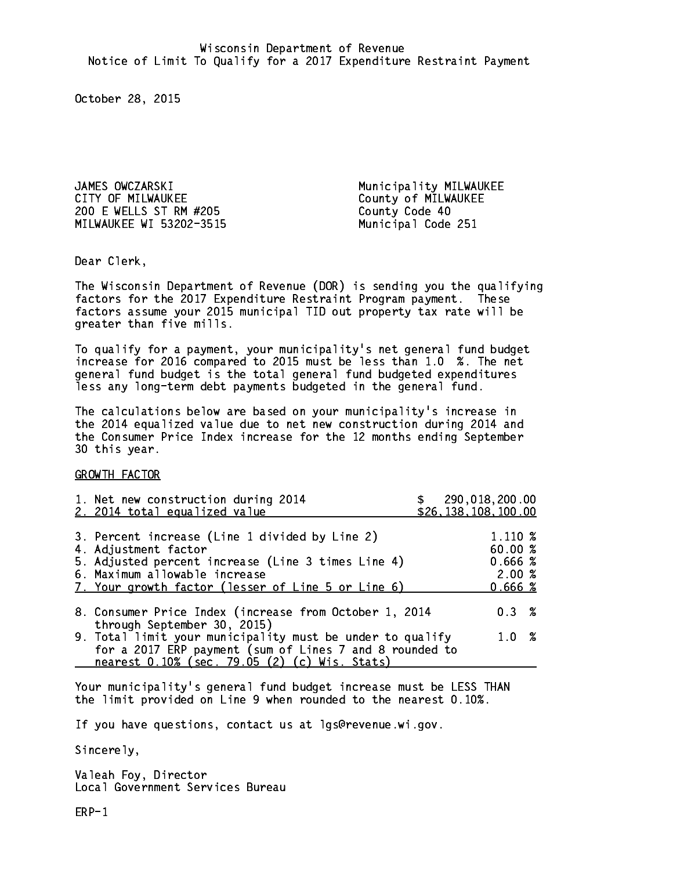JAMES OWCZARSKI Municipality MILWAUKEE CITY OF MILWAUKEE CITY OF MILWAUKEE 200 E WELLS ST RM #205 MILWAUKEE WI 53202-3515 Municipal Code 251

Dear Clerk. Dear Clerk,

The Wisconsin Department of Revenue (DOR) is sending you the qualifying factors for the 2017 Expenditure Restraint Program payment. These factors assume your 2015 municipal TID out property tax rate will be greater than five mills.

 To qualify for a payment, your municipality's net general fund budget increase for 2016 compared to 2015 must be less than 1.0 %. The net general fund budget is the total general fund budgeted expenditures less any long-term debt payments budgeted in the general fund.

The calculations below are based on your municipality's increase in the 2014 equalized value due to net new construction during 2014 and the Consumer Price Index increase for the 12 months ending September 30 this year. 30 this year.

GROWTH FACTOR

| 1. Net new construction during 2014<br>2. 2014 total equalized value                                                                                                                                                | \$290,018,200.00<br>\$26,138,108,100.00           |
|---------------------------------------------------------------------------------------------------------------------------------------------------------------------------------------------------------------------|---------------------------------------------------|
| 3. Percent increase (Line 1 divided by Line 2)<br>4. Adjustment factor<br>5. Adjusted percent increase (Line 3 times Line 4)<br>6. Maximum allowable increase<br>7. Your growth factor (lesser of Line 5 or Line 6) | 1.110 %<br>60.00 %<br>0.666~%<br>2.00%<br>0.666~% |
| 8. Consumer Price Index (increase from October 1, 2014<br>through September 30, 2015)                                                                                                                               | 0.3%                                              |
| 9. Total limit your municipality must be under to qualify<br>for a 2017 ERP payment (sum of Lines 7 and 8 rounded to<br>nearest 0.10% (sec. 79.05 (2) (c) Wis. Stats)                                               | 1.0%                                              |

Your municipality's general fund budget increase must be LESS THAN the limit provided on Line 9 when rounded to the nearest 0.10%.

If you have questions, contact us at lgs@revenue.wi.gov.

Sincerely,

Valeah Foy, Director Local Government Services Bureau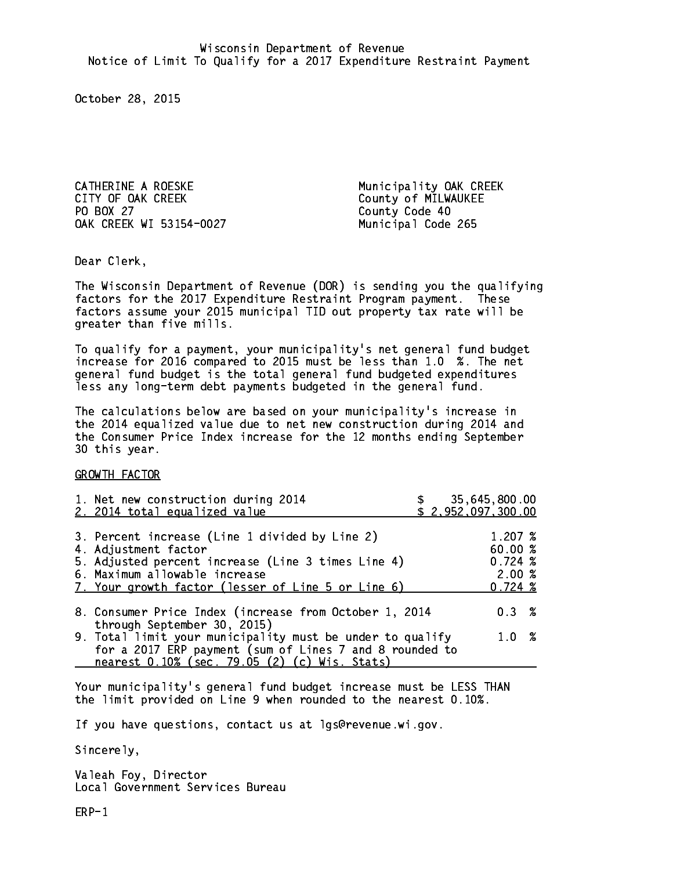CATHERINE A ROESKE Municipality OAK CREEK CITY OF OAK CREEK COUNTY OF MILWAUKEE PO BOX 27 OAK CREEK WI 53154-0027 Municipal Code 265

County Code 40

Dear Clerk. Dear Clerk,

The Wisconsin Department of Revenue (DOR) is sending you the qualifying factors for the 2017 Expenditure Restraint Program payment. These factors assume your 2015 municipal TID out property tax rate will be greater than five mills.

 To qualify for a payment, your municipality's net general fund budget increase for 2016 compared to 2015 must be less than 1.0 %. The net general fund budget is the total general fund budgeted expenditures less any long-term debt payments budgeted in the general fund.

The calculations below are based on your municipality's increase in the 2014 equalized value due to net new construction during 2014 and the Consumer Price Index increase for the 12 months ending September 30 this year. 30 this year.

GROWTH FACTOR

| 1. Net new construction during 2014<br>2. 2014 total equalized value                                                                                                                                                |  | 35,645,800.00<br>\$2,952,097,300.00                                      |  |
|---------------------------------------------------------------------------------------------------------------------------------------------------------------------------------------------------------------------|--|--------------------------------------------------------------------------|--|
| 3. Percent increase (Line 1 divided by Line 2)<br>4. Adjustment factor<br>5. Adjusted percent increase (Line 3 times Line 4)<br>6. Maximum allowable increase<br>7. Your growth factor (lesser of Line 5 or Line 6) |  | $1.207 \; \text{\%}$<br>60.00 %<br>$0.724 \;$ %<br>2.00%<br>$0.724 \; %$ |  |
| 8. Consumer Price Index (increase from October 1, 2014                                                                                                                                                              |  | 0.3%                                                                     |  |
| through September 30, 2015)<br>9. Total limit your municipality must be under to qualify<br>for a 2017 ERP payment (sum of Lines 7 and 8 rounded to<br>nearest 0.10% (sec. 79.05 (2) (c) Wis. Stats)                |  | 1.0 %                                                                    |  |

Your municipality's general fund budget increase must be LESS THAN the limit provided on Line 9 when rounded to the nearest 0.10%.

If you have questions, contact us at lgs@revenue.wi.gov.

Sincerely,

Valeah Foy, Director Local Government Services Bureau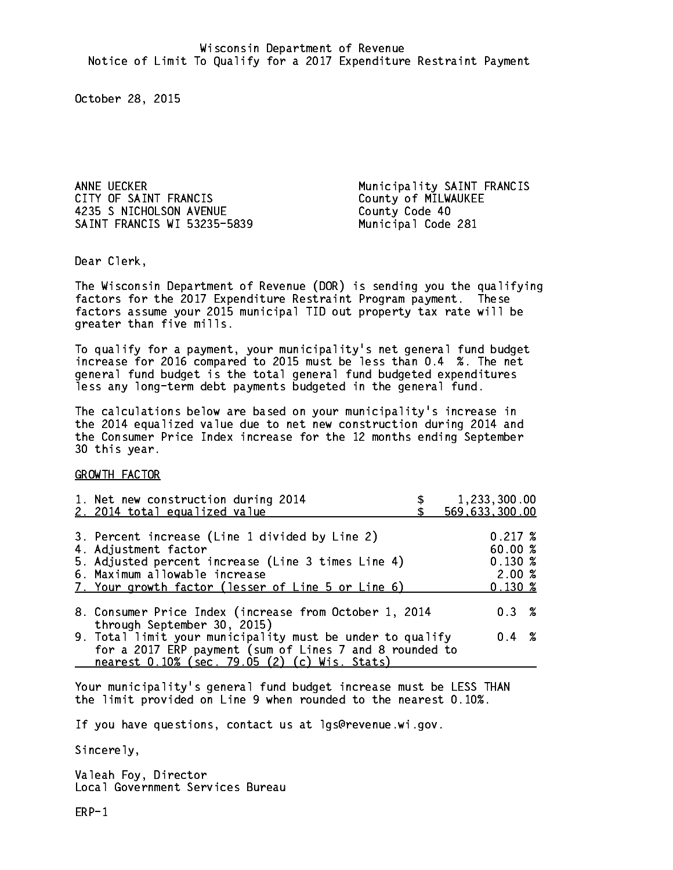4235 S NICHOLSON AVENUE County Code 40 SAINT FRANCIS WI 53235-5839 Municipal Code 281

ANNE UECKER<br>CITY OF SAINT FRANCIS FOR THE MUNICIPALITY OF SAINT FRANCIS County of MILWAUKEE

Dear Clerk. Dear Clerk,

The Wisconsin Department of Revenue (DOR) is sending you the qualifying factors for the 2017 Expenditure Restraint Program payment. These factors assume your 2015 municipal TID out property tax rate will be greater than five mills.

 To qualify for a payment, your municipality's net general fund budget increase for 2016 compared to 2015 must be less than 0.4 %. The net general fund budget is the total general fund budgeted expenditures less any long-term debt payments budgeted in the general fund.

The calculations below are based on your municipality's increase in the 2014 equalized value due to net new construction during 2014 and the Consumer Price Index increase for the 12 months ending September 30 this year. 30 this year.

GROWTH FACTOR

| 1. Net new construction during 2014<br>2. 2014 total equalized value                                                                                                                                                | 1,233,300.00<br>569,633,300.00                              |
|---------------------------------------------------------------------------------------------------------------------------------------------------------------------------------------------------------------------|-------------------------------------------------------------|
| 3. Percent increase (Line 1 divided by Line 2)<br>4. Adjustment factor<br>5. Adjusted percent increase (Line 3 times Line 4)<br>6. Maximum allowable increase<br>7. Your growth factor (lesser of Line 5 or Line 6) | $0.217 \;$ %<br>60.00%<br>$0.130*$<br>2.00%<br>$0.130 \; %$ |
| 8. Consumer Price Index (increase from October 1, 2014                                                                                                                                                              | $0.3 \t%$                                                   |
| through September 30, 2015)<br>9. Total limit your municipality must be under to qualify<br>for a 2017 ERP payment (sum of Lines 7 and 8 rounded to<br>nearest 0.10% (sec. 79.05 (2) (c) Wis. Stats)                | $0.4 \t%$                                                   |

Your municipality's general fund budget increase must be LESS THAN the limit provided on Line 9 when rounded to the nearest 0.10%.

If you have questions, contact us at lgs@revenue.wi.gov.

Sincerely,

Valeah Foy, Director Local Government Services Bureau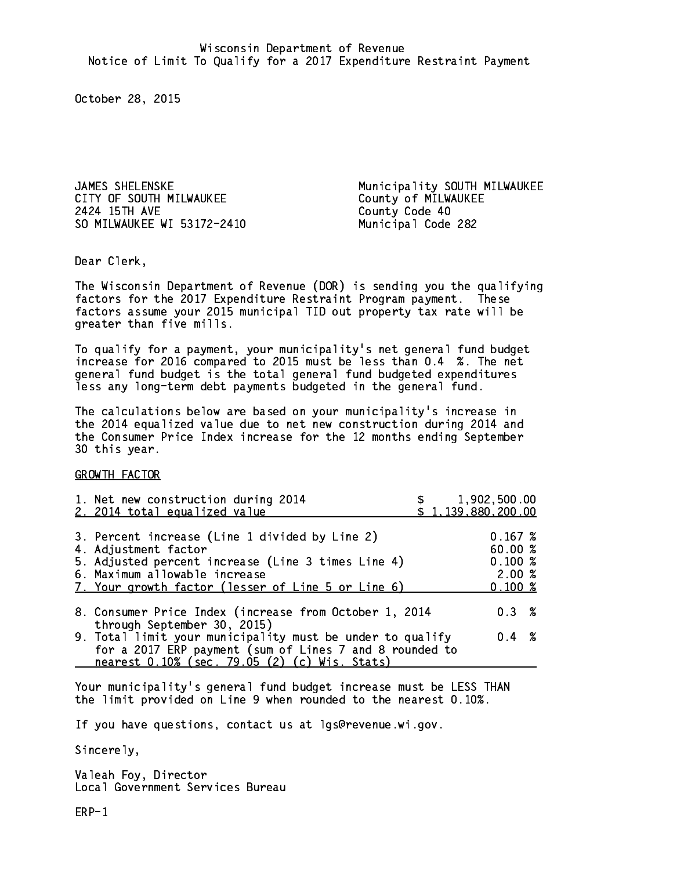CITY OF SOUTH MILWAUKEE COUNTY OF MILWAUKEE 2424 15TH AVE SO MILWAUKEE WI 53172-2410 Municipal Code 282

JAMES SHELENSKE Municipality SOUTH MILWAUKEE County Code 40

Dear Clerk. Dear Clerk,

The Wisconsin Department of Revenue (DOR) is sending you the qualifying factors for the 2017 Expenditure Restraint Program payment. These factors assume your 2015 municipal TID out property tax rate will be greater than five mills.

 To qualify for a payment, your municipality's net general fund budget increase for 2016 compared to 2015 must be less than 0.4 %. The net general fund budget is the total general fund budgeted expenditures less any long-term debt payments budgeted in the general fund.

The calculations below are based on your municipality's increase in the 2014 equalized value due to net new construction during 2014 and the Consumer Price Index increase for the 12 months ending September 30 this year. 30 this year.

GROWTH FACTOR

| 1. Net new construction during 2014<br>2. 2014 total equalized value                                                                                                                                                | 1,902,500.00<br>\$1,139,880,200.00                                        |  |
|---------------------------------------------------------------------------------------------------------------------------------------------------------------------------------------------------------------------|---------------------------------------------------------------------------|--|
| 3. Percent increase (Line 1 divided by Line 2)<br>4. Adjustment factor<br>5. Adjusted percent increase (Line 3 times Line 4)<br>6. Maximum allowable increase<br>7. Your growth factor (lesser of Line 5 or Line 6) | 0.167~%<br>60.00 %<br>$0.100 \; \text{%}$<br>2.00%<br>$0.100 \; \text{%}$ |  |
| 8. Consumer Price Index (increase from October 1, 2014                                                                                                                                                              | $0.3 \t%$                                                                 |  |
| through September 30, 2015)<br>9. Total limit your municipality must be under to qualify<br>for a 2017 ERP payment (sum of Lines 7 and 8 rounded to<br>nearest 0.10% (sec. 79.05 (2) (c) Wis. Stats)                | $0.4 \t%$                                                                 |  |

Your municipality's general fund budget increase must be LESS THAN the limit provided on Line 9 when rounded to the nearest 0.10%.

If you have questions, contact us at lgs@revenue.wi.gov.

Sincerely,

Valeah Foy, Director Local Government Services Bureau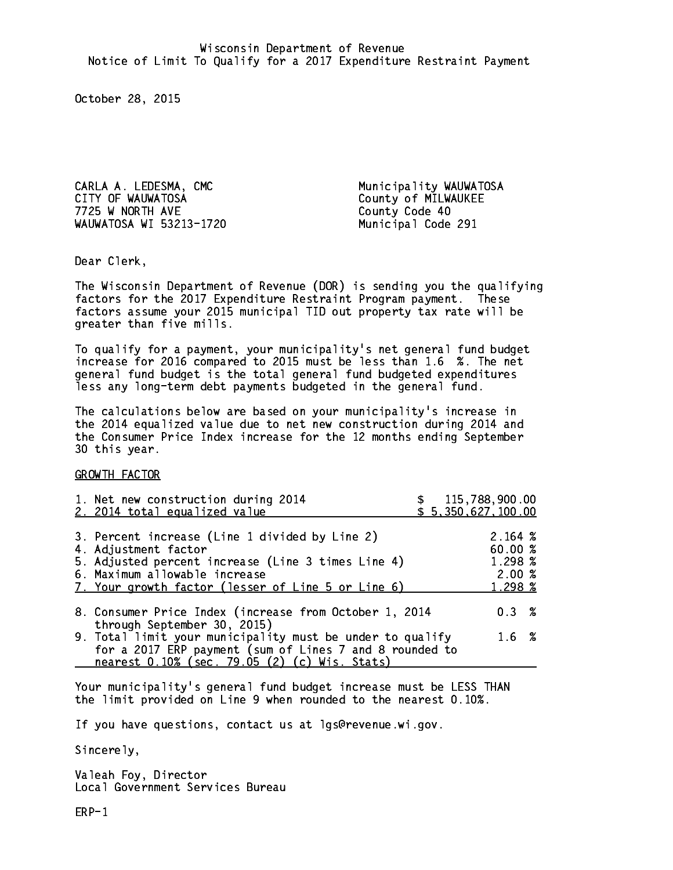CARLA A. LEDESMA, CMC **Municipality WAUWATOSA** CITY OF WAUWATOSA COUNTY OF MILWAUKEE 7725 W NORTH AVE County Code 40 WAUWATOSA WI 53213-1720 Municipal Code 291

Dear Clerk. Dear Clerk,

The Wisconsin Department of Revenue (DOR) is sending you the qualifying factors for the 2017 Expenditure Restraint Program payment. These factors assume your 2015 municipal TID out property tax rate will be greater than five mills.

 To qualify for a payment, your municipality's net general fund budget increase for 2016 compared to 2015 must be less than 1.6 %. The net general fund budget is the total general fund budgeted expenditures less any long-term debt payments budgeted in the general fund.

The calculations below are based on your municipality's increase in the 2014 equalized value due to net new construction during 2014 and the Consumer Price Index increase for the 12 months ending September 30 this year. 30 this year.

GROWTH FACTOR

| 1. Net new construction during 2014<br>2. 2014 total equalized value                                                                                                                                                | \$115,788,900.00<br>\$5,350,627,100.00            |  |
|---------------------------------------------------------------------------------------------------------------------------------------------------------------------------------------------------------------------|---------------------------------------------------|--|
| 3. Percent increase (Line 1 divided by Line 2)<br>4. Adjustment factor<br>5. Adjusted percent increase (Line 3 times Line 4)<br>6. Maximum allowable increase<br>7. Your growth factor (lesser of Line 5 or Line 6) | 2.164~%<br>60.00 %<br>1.298 %<br>2.00%<br>1.298 % |  |
| 8. Consumer Price Index (increase from October 1, 2014<br>through September 30, 2015)                                                                                                                               | 0.3%                                              |  |
| 9. Total limit your municipality must be under to qualify<br>for a 2017 ERP payment (sum of Lines 7 and 8 rounded to<br>nearest 0.10% (sec. 79.05 (2) (c) Wis. Stats)                                               | 1.6%                                              |  |

Your municipality's general fund budget increase must be LESS THAN the limit provided on Line 9 when rounded to the nearest 0.10%.

If you have questions, contact us at lgs@revenue.wi.gov.

Sincerely,

Valeah Foy, Director Local Government Services Bureau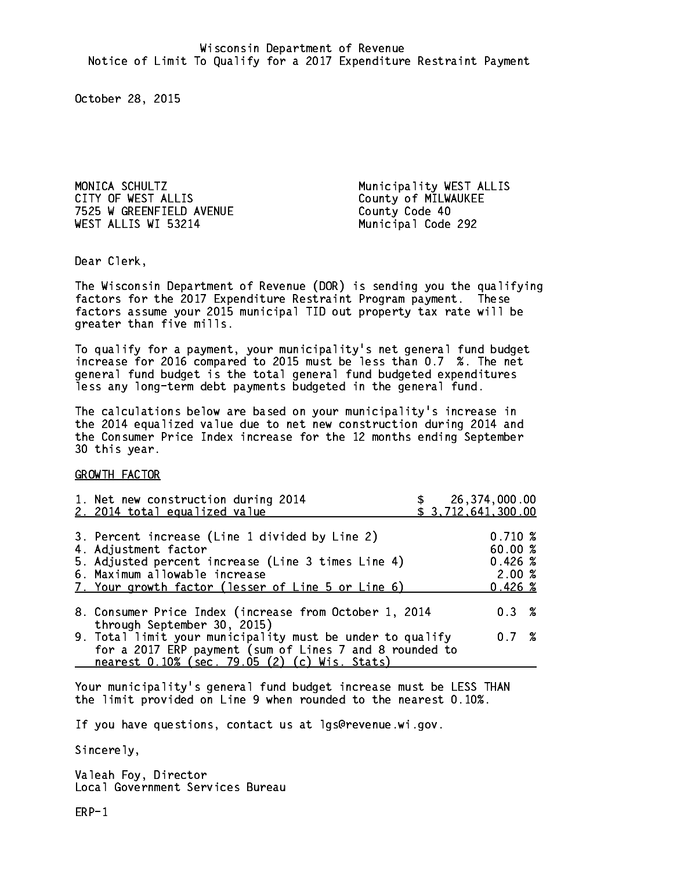MONICA SCHULTZ Municipality WEST ALLIS CITY OF WEST ALLIS County of MILWAUKEE 7525 W GREENFIELD AVENUE County Code 40 WEST ALLIS WI 53214 Municipal Code 292

Dear Clerk. Dear Clerk,

The Wisconsin Department of Revenue (DOR) is sending you the qualifying factors for the 2017 Expenditure Restraint Program payment. These factors assume your 2015 municipal TID out property tax rate will be greater than five mills.

 To qualify for a payment, your municipality's net general fund budget increase for 2016 compared to 2015 must be less than 0.7 %. The net general fund budget is the total general fund budgeted expenditures less any long-term debt payments budgeted in the general fund.

The calculations below are based on your municipality's increase in the 2014 equalized value due to net new construction during 2014 and the Consumer Price Index increase for the 12 months ending September 30 this year. 30 this year.

GROWTH FACTOR

| 1. Net new construction during 2014<br>2. 2014 total equalized value                                                                                                                                                | \$ 26,374,000.00<br>\$3,712,641,300.00           |  |
|---------------------------------------------------------------------------------------------------------------------------------------------------------------------------------------------------------------------|--------------------------------------------------|--|
| 3. Percent increase (Line 1 divided by Line 2)<br>4. Adjustment factor<br>5. Adjusted percent increase (Line 3 times Line 4)<br>6. Maximum allowable increase<br>7. Your growth factor (lesser of Line 5 or Line 6) | 0.710%<br>60.00 %<br>0.426~%<br>2.00%<br>0.426~% |  |
| 8. Consumer Price Index (increase from October 1, 2014<br>through September 30, 2015)                                                                                                                               | $0.3 \t%$                                        |  |
| 9. Total limit your municipality must be under to qualify<br>for a 2017 ERP payment (sum of Lines 7 and 8 rounded to<br>nearest 0.10% (sec. 79.05 (2) (c) Wis. Stats)                                               | 0.7%                                             |  |

Your municipality's general fund budget increase must be LESS THAN the limit provided on Line 9 when rounded to the nearest 0.10%.

If you have questions, contact us at lgs@revenue.wi.gov.

Sincerely,

Valeah Foy, Director Local Government Services Bureau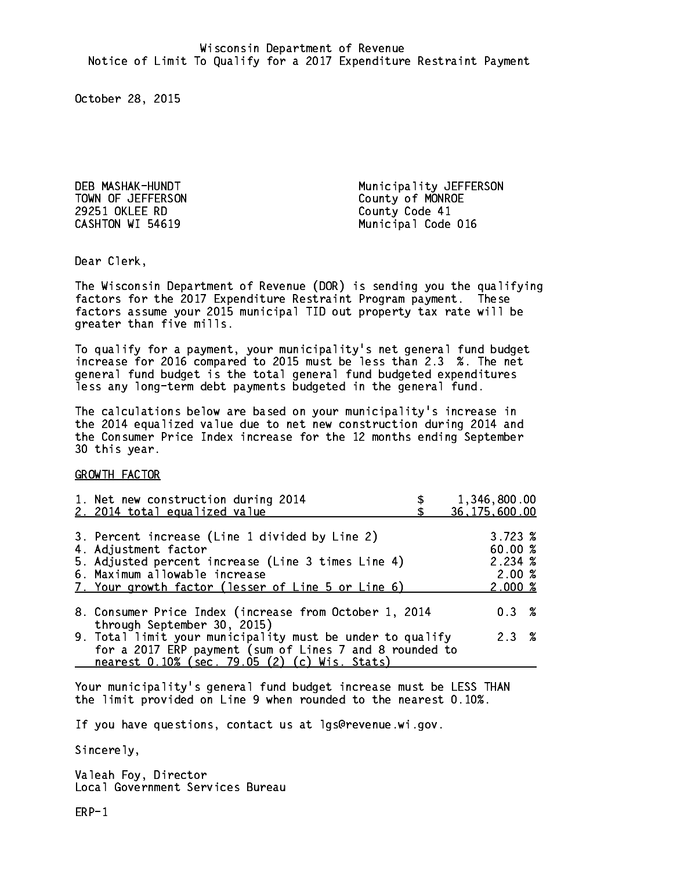TOWN OF JEFFERSON County of MONROE 29251 OKLEE RD County Code 41 CASHTON WI 54619

DEB MASHAK-HUNDT Municipality JEFFERSON Municipal Code 016

Dear Clerk. Dear Clerk,

The Wisconsin Department of Revenue (DOR) is sending you the qualifying factors for the 2017 Expenditure Restraint Program payment. These factors assume your 2015 municipal TID out property tax rate will be greater than five mills.

 To qualify for a payment, your municipality's net general fund budget increase for 2016 compared to 2015 must be less than 2.3 %. The net general fund budget is the total general fund budgeted expenditures less any long-term debt payments budgeted in the general fund.

The calculations below are based on your municipality's increase in the 2014 equalized value due to net new construction during 2014 and the Consumer Price Index increase for the 12 months ending September 30 this year. 30 this year.

GROWTH FACTOR

| 1. Net new construction during 2014<br>2. 2014 total equalized value                                                                                                                                                | 1,346,800.00<br>36, 175, 600.00                 |
|---------------------------------------------------------------------------------------------------------------------------------------------------------------------------------------------------------------------|-------------------------------------------------|
| 3. Percent increase (Line 1 divided by Line 2)<br>4. Adjustment factor<br>5. Adjusted percent increase (Line 3 times Line 4)<br>6. Maximum allowable increase<br>7. Your growth factor (lesser of Line 5 or Line 6) | 3.723~%<br>60.00%<br>2.234%<br>2.00%<br>2.000~% |
| 8. Consumer Price Index (increase from October 1, 2014<br>through September 30, 2015)                                                                                                                               | $0.3 \t%$                                       |
| 9. Total limit your municipality must be under to qualify<br>for a 2017 ERP payment (sum of Lines 7 and 8 rounded to<br>nearest 0.10% (sec. 79.05 (2) (c) Wis. Stats)                                               | 2.3%                                            |

Your municipality's general fund budget increase must be LESS THAN the limit provided on Line 9 when rounded to the nearest 0.10%.

If you have questions, contact us at lgs@revenue.wi.gov.

Sincerely,

Valeah Foy, Director Local Government Services Bureau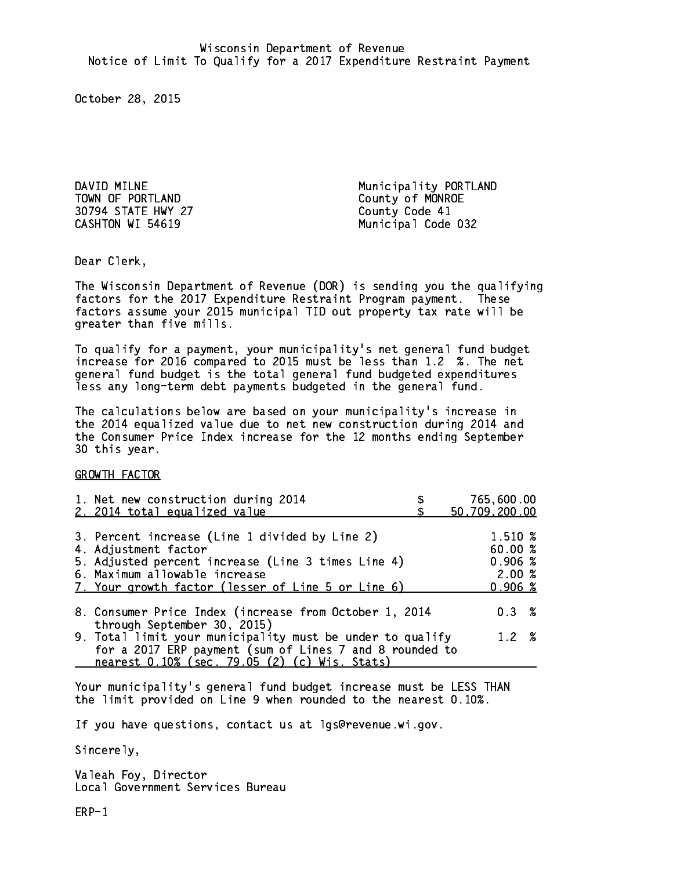TOWN OF PORTLAND County of MONROE 30794 STATE HWY 27 County Code 41

DAVID MILNE Municipality PORTLAND CASHTON WI 54619 Municipal Code 032

Dear Clerk. Dear Clerk,

The Wisconsin Department of Revenue (DOR) is sending you the qualifying factors for the 2017 Expenditure Restraint Program payment. These factors assume your 2015 municipal TID out property tax rate will be greater than five mills.

 To qualify for a payment, your municipality's net general fund budget increase for 2016 compared to 2015 must be less than 1.2 %. The net general fund budget is the total general fund budgeted expenditures less any long-term debt payments budgeted in the general fund.

The calculations below are based on your municipality's increase in the 2014 equalized value due to net new construction during 2014 and the Consumer Price Index increase for the 12 months ending September 30 this year. 30 this year.

GROWTH FACTOR

| 1. Net new construction during 2014<br>2. 2014 total equalized value                                                                                                                                                | 765,600.00<br>50,709,200.00                                                |
|---------------------------------------------------------------------------------------------------------------------------------------------------------------------------------------------------------------------|----------------------------------------------------------------------------|
| 3. Percent increase (Line 1 divided by Line 2)<br>4. Adjustment factor<br>5. Adjusted percent increase (Line 3 times Line 4)<br>6. Maximum allowable increase<br>7. Your growth factor (lesser of Line 5 or Line 6) | 1.510 %<br>60.00%<br>$0.906 \; \text{\%}$<br>2.00%<br>$0.906 \; \text{\%}$ |
| 8. Consumer Price Index (increase from October 1, 2014                                                                                                                                                              | $0.3 \t%$                                                                  |
| through September 30, 2015)<br>9. Total limit your municipality must be under to qualify<br>for a 2017 ERP payment (sum of Lines 7 and 8 rounded to<br>nearest 0.10% (sec. 79.05 (2) (c) Wis. Stats)                | 1.2%                                                                       |

Your municipality's general fund budget increase must be LESS THAN the limit provided on Line 9 when rounded to the nearest 0.10%.

If you have questions, contact us at lgs@revenue.wi.gov.

Sincerely,

Valeah Foy, Director Local Government Services Bureau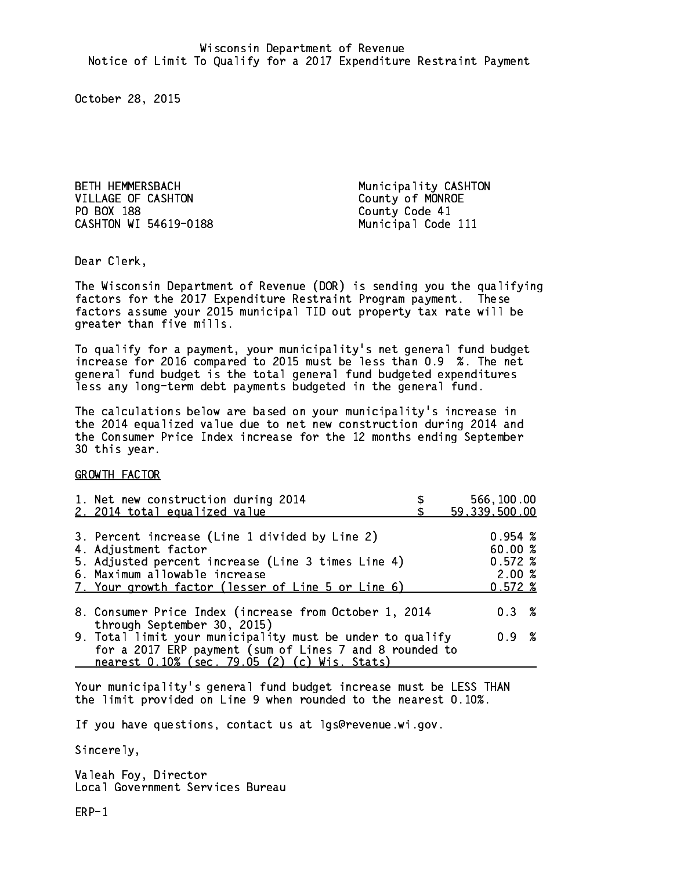BETH HEMMERSBACH Municipality CASHTON VILLAGE OF CASHTON COUNTY Of MONROE PO BOX 188 County Code 41 CASHTON WI 54619-0188 Municipal Code 111

Dear Clerk. Dear Clerk,

The Wisconsin Department of Revenue (DOR) is sending you the qualifying factors for the 2017 Expenditure Restraint Program payment. These factors assume your 2015 municipal TID out property tax rate will be greater than five mills.

 To qualify for a payment, your municipality's net general fund budget increase for 2016 compared to 2015 must be less than 0.9 %. The net general fund budget is the total general fund budgeted expenditures less any long-term debt payments budgeted in the general fund.

The calculations below are based on your municipality's increase in the 2014 equalized value due to net new construction during 2014 and the Consumer Price Index increase for the 12 months ending September 30 this year. 30 this year.

GROWTH FACTOR

| 1. Net new construction during 2014<br>2. 2014 total equalized value                                                                                                                                                | 566,100.00<br>59,339,500.00                          |
|---------------------------------------------------------------------------------------------------------------------------------------------------------------------------------------------------------------------|------------------------------------------------------|
| 3. Percent increase (Line 1 divided by Line 2)<br>4. Adjustment factor<br>5. Adjusted percent increase (Line 3 times Line 4)<br>6. Maximum allowable increase<br>7. Your growth factor (lesser of Line 5 or Line 6) | $0.954 \;$ %<br>60.00%<br>0.572~%<br>2.00%<br>0.572% |
| 8. Consumer Price Index (increase from October 1, 2014<br>through September 30, 2015)                                                                                                                               | $0.3 \t%$                                            |
| 9. Total limit your municipality must be under to qualify<br>for a 2017 ERP payment (sum of Lines 7 and 8 rounded to<br>nearest 0.10% (sec. 79.05 (2) (c) Wis. Stats)                                               | 0.9 %                                                |

Your municipality's general fund budget increase must be LESS THAN the limit provided on Line 9 when rounded to the nearest 0.10%.

If you have questions, contact us at lgs@revenue.wi.gov.

Sincerely,

Valeah Foy, Director Local Government Services Bureau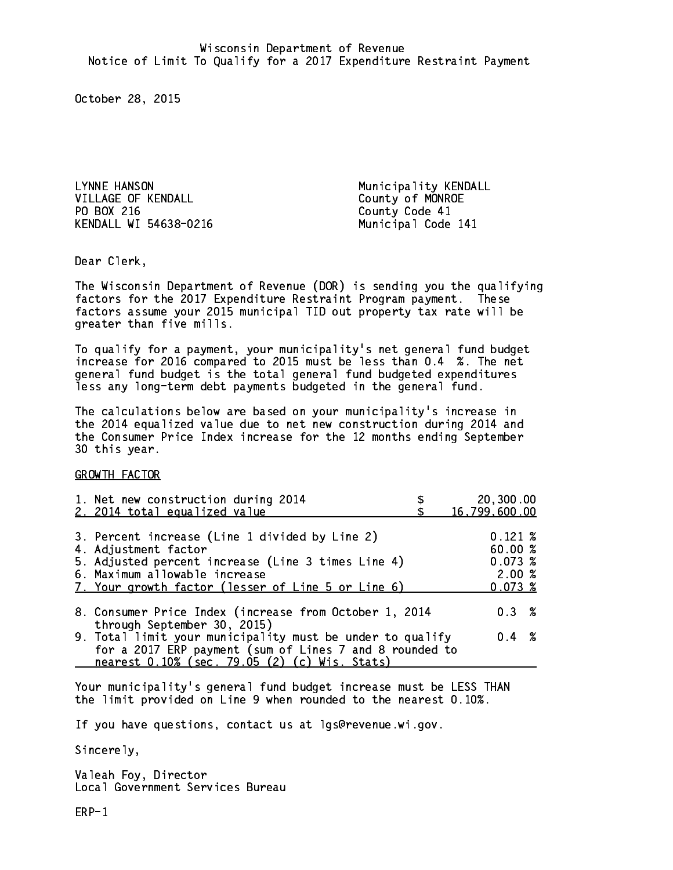LYNNE HANSON Municipality KENDALL VILLAGE OF KENDALL County of MONROE PO BOX 216 County Code 41 KENDALL WI 54638-0216 Municipal Code 141

Dear Clerk. Dear Clerk,

The Wisconsin Department of Revenue (DOR) is sending you the qualifying factors for the 2017 Expenditure Restraint Program payment. These factors assume your 2015 municipal TID out property tax rate will be greater than five mills.

 To qualify for a payment, your municipality's net general fund budget increase for 2016 compared to 2015 must be less than 0.4 %. The net general fund budget is the total general fund budgeted expenditures less any long-term debt payments budgeted in the general fund.

The calculations below are based on your municipality's increase in the 2014 equalized value due to net new construction during 2014 and the Consumer Price Index increase for the 12 months ending September 30 this year. 30 this year.

GROWTH FACTOR

| 1. Net new construction during 2014                                                                                                                                                                                 | 20,300.00                                             |
|---------------------------------------------------------------------------------------------------------------------------------------------------------------------------------------------------------------------|-------------------------------------------------------|
| 2. 2014 total equalized value                                                                                                                                                                                       | 16,799,600.00                                         |
| 3. Percent increase (Line 1 divided by Line 2)<br>4. Adjustment factor<br>5. Adjusted percent increase (Line 3 times Line 4)<br>6. Maximum allowable increase<br>7. Your growth factor (lesser of Line 5 or Line 6) | $0.121 \;$ %<br>60.00%<br>0.073~%<br>2.00%<br>0.073~% |
| 8. Consumer Price Index (increase from October 1, 2014                                                                                                                                                              | $0.3 \t%$                                             |
| through September 30, 2015)<br>9. Total limit your municipality must be under to qualify<br>for a 2017 ERP payment (sum of Lines 7 and 8 rounded to<br>nearest 0.10% (sec. 79.05 (2) (c) Wis. Stats)                | $0.4 \t%$                                             |

Your municipality's general fund budget increase must be LESS THAN the limit provided on Line 9 when rounded to the nearest 0.10%.

If you have questions, contact us at lgs@revenue.wi.gov.

Sincerely,

Valeah Foy, Director Local Government Services Bureau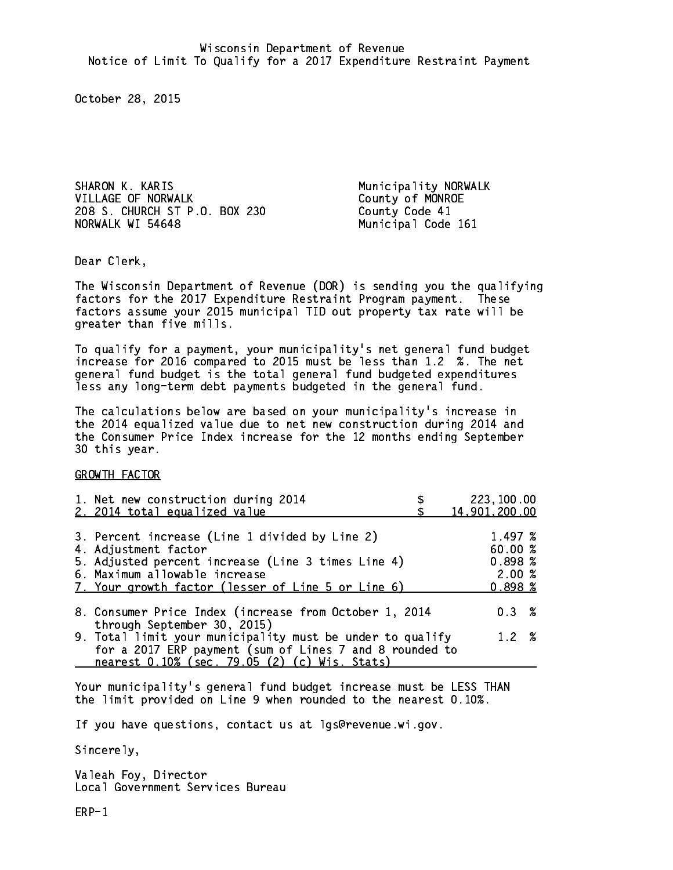SHARON K. KARIS **Municipality NORWALK** VILLAGE OF NORWALK County of MONROE 208 S. CHURCH ST P.O. BOX 230 County Code 41 NORWALK WI 54648

Municipal Code 161

Dear Clerk. Dear Clerk,

The Wisconsin Department of Revenue (DOR) is sending you the qualifying factors for the 2017 Expenditure Restraint Program payment. These factors assume your 2015 municipal TID out property tax rate will be greater than five mills.

 To qualify for a payment, your municipality's net general fund budget increase for 2016 compared to 2015 must be less than 1.2 %. The net general fund budget is the total general fund budgeted expenditures less any long-term debt payments budgeted in the general fund.

The calculations below are based on your municipality's increase in the 2014 equalized value due to net new construction during 2014 and the Consumer Price Index increase for the 12 months ending September 30 this year. 30 this year.

GROWTH FACTOR

| 1. Net new construction during 2014<br>2. 2014 total equalized value                                                                                                                                                | 223,100.00<br>14,901,200.00                      |
|---------------------------------------------------------------------------------------------------------------------------------------------------------------------------------------------------------------------|--------------------------------------------------|
| 3. Percent increase (Line 1 divided by Line 2)<br>4. Adjustment factor<br>5. Adjusted percent increase (Line 3 times Line 4)<br>6. Maximum allowable increase<br>7. Your growth factor (lesser of Line 5 or Line 6) | 1.497 %<br>60.00%<br>0.898~%<br>2.00%<br>0.898~% |
| 8. Consumer Price Index (increase from October 1, 2014                                                                                                                                                              | $0.3 \t%$                                        |
| through September 30, 2015)<br>9. Total limit your municipality must be under to qualify<br>for a 2017 ERP payment (sum of Lines 7 and 8 rounded to<br>nearest 0.10% (sec. 79.05 (2) (c) Wis. Stats)                | 1.2%                                             |

Your municipality's general fund budget increase must be LESS THAN the limit provided on Line 9 when rounded to the nearest 0.10%.

If you have questions, contact us at lgs@revenue.wi.gov.

Sincerely,

Valeah Foy, Director Local Government Services Bureau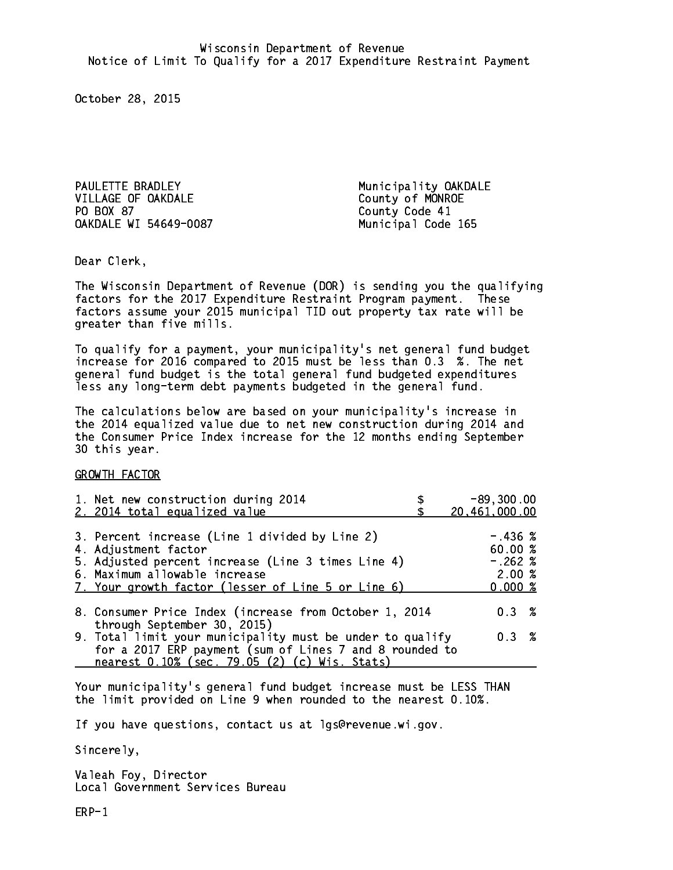PAULETTE BRADLEY **Municipality OAKDALE** VILLAGE OF OAKDALE County of MONROE PO BOX 87 OAKDALE WI 54649-0087 Municipal Code 165

County Code 41

Dear Clerk. Dear Clerk,

The Wisconsin Department of Revenue (DOR) is sending you the qualifying factors for the 2017 Expenditure Restraint Program payment. These factors assume your 2015 municipal TID out property tax rate will be greater than five mills.

 To qualify for a payment, your municipality's net general fund budget increase for 2016 compared to 2015 must be less than 0.3 %. The net general fund budget is the total general fund budgeted expenditures less any long-term debt payments budgeted in the general fund.

The calculations below are based on your municipality's increase in the 2014 equalized value due to net new construction during 2014 and the Consumer Price Index increase for the 12 months ending September 30 this year. 30 this year.

GROWTH FACTOR

| 1. Net new construction during 2014<br>2. 2014 total equalized value                                                                                                                                                | $-89, 300.00$<br>20,461,000.00                      |
|---------------------------------------------------------------------------------------------------------------------------------------------------------------------------------------------------------------------|-----------------------------------------------------|
| 3. Percent increase (Line 1 divided by Line 2)<br>4. Adjustment factor<br>5. Adjusted percent increase (Line 3 times Line 4)<br>6. Maximum allowable increase<br>7. Your growth factor (lesser of Line 5 or Line 6) | $-.436~%$<br>60.00%<br>$-.262%$<br>2.00%<br>0.000 % |
| 8. Consumer Price Index (increase from October 1, 2014                                                                                                                                                              | 0.3%                                                |
| through September 30, 2015)<br>9. Total limit your municipality must be under to qualify<br>for a 2017 ERP payment (sum of Lines 7 and 8 rounded to<br>nearest 0.10% (sec. 79.05 (2) (c) Wis. Stats)                | 0.3%                                                |

Your municipality's general fund budget increase must be LESS THAN the limit provided on Line 9 when rounded to the nearest 0.10%.

If you have questions, contact us at lgs@revenue.wi.gov.

Sincerely,

Valeah Foy, Director Local Government Services Bureau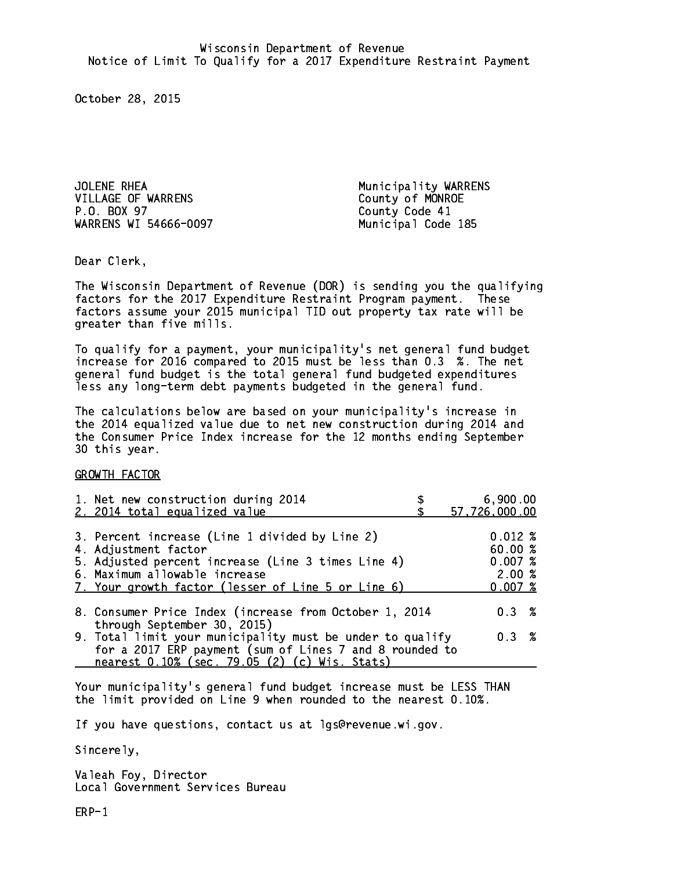JOLENE RHEA Municipality WARRENS VILLAGE OF WARRENS County of MONROE P.O. BOX 97 WARRENS WI 54666-0097 Municipal Code 185

County Code 41

Dear Clerk. Dear Clerk,

The Wisconsin Department of Revenue (DOR) is sending you the qualifying factors for the 2017 Expenditure Restraint Program payment. These factors assume your 2015 municipal TID out property tax rate will be greater than five mills.

 To qualify for a payment, your municipality's net general fund budget increase for 2016 compared to 2015 must be less than 0.3 %. The net general fund budget is the total general fund budgeted expenditures less any long-term debt payments budgeted in the general fund.

The calculations below are based on your municipality's increase in the 2014 equalized value due to net new construction during 2014 and the Consumer Price Index increase for the 12 months ending September 30 this year. 30 this year.

GROWTH FACTOR

| 1. Net new construction during 2014<br>2. 2014 total equalized value                                                                                                                                                | 6,900.00<br>57,726,000.00                      |
|---------------------------------------------------------------------------------------------------------------------------------------------------------------------------------------------------------------------|------------------------------------------------|
| 3. Percent increase (Line 1 divided by Line 2)<br>4. Adjustment factor<br>5. Adjusted percent increase (Line 3 times Line 4)<br>6. Maximum allowable increase<br>7. Your growth factor (lesser of Line 5 or Line 6) | 0.012%<br>60.00%<br>0.007~%<br>2.00%<br>0.007% |
| 8. Consumer Price Index (increase from October 1, 2014<br>through September 30, 2015)                                                                                                                               | 0.3%                                           |
| 9. Total limit your municipality must be under to qualify<br>for a 2017 ERP payment (sum of Lines 7 and 8 rounded to<br>nearest 0.10% (sec. 79.05 (2) (c) Wis. Stats)                                               | 0.3%                                           |

Your municipality's general fund budget increase must be LESS THAN the limit provided on Line 9 when rounded to the nearest 0.10%.

If you have questions, contact us at lgs@revenue.wi.gov.

Sincerely,

Valeah Foy, Director Local Government Services Bureau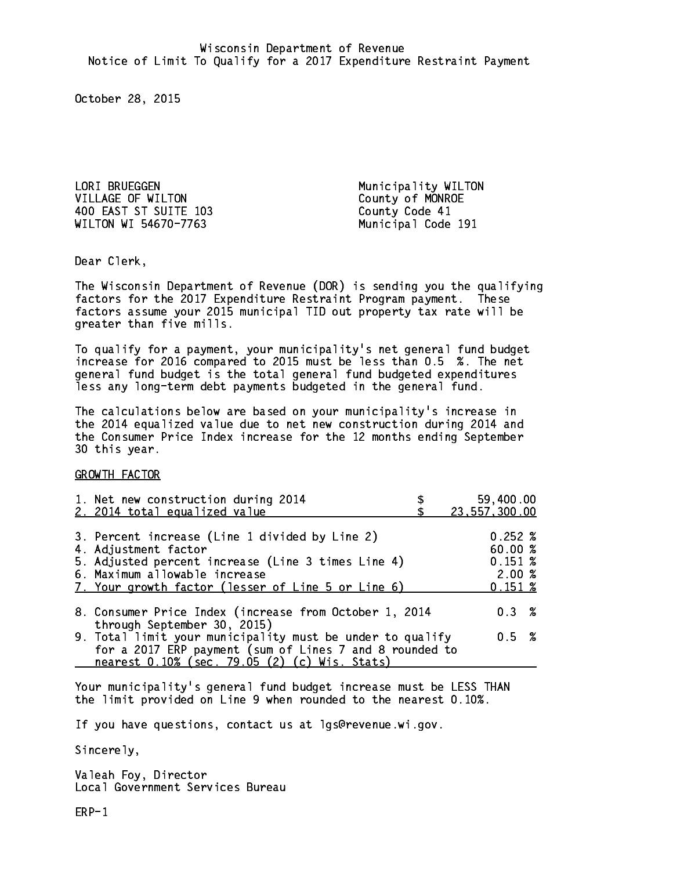LORI BRUEGGEN Municipality WILTON VILLAGE OF WILTON County of MONROE 400 EAST ST SUITE 103 County Code 41 WILTON WI 54670-7763 Municipal Code 191

Dear Clerk. Dear Clerk,

The Wisconsin Department of Revenue (DOR) is sending you the qualifying factors for the 2017 Expenditure Restraint Program payment. These factors assume your 2015 municipal TID out property tax rate will be greater than five mills.

 To qualify for a payment, your municipality's net general fund budget increase for 2016 compared to 2015 must be less than 0.5 %. The net general fund budget is the total general fund budgeted expenditures less any long-term debt payments budgeted in the general fund.

The calculations below are based on your municipality's increase in the 2014 equalized value due to net new construction during 2014 and the Consumer Price Index increase for the 12 months ending September 30 this year. 30 this year.

GROWTH FACTOR

| 1. Net new construction during 2014                       | 59,400.00       |
|-----------------------------------------------------------|-----------------|
| 2. 2014 total equalized value                             | 23, 557, 300.00 |
|                                                           |                 |
| 3. Percent increase (Line 1 divided by Line 2)            | $0.252 \; %$    |
| 4. Adjustment factor                                      | 60.00%          |
| 5. Adjusted percent increase (Line 3 times Line 4)        | 0.151~%         |
| 6. Maximum allowable increase                             | 2.00%           |
| 7. Your growth factor (lesser of Line 5 or Line 6)        | 0.151~%         |
|                                                           |                 |
| 8. Consumer Price Index (increase from October 1, 2014    | $0.3 \t%$       |
| through September 30, 2015)                               |                 |
| 9. Total limit your municipality must be under to qualify | 0.5 %           |
| for a 2017 ERP payment (sum of Lines 7 and 8 rounded to   |                 |
| nearest 0.10% (sec. 79.05 (2) (c) Wis. Stats)             |                 |

Your municipality's general fund budget increase must be LESS THAN the limit provided on Line 9 when rounded to the nearest 0.10%.

If you have questions, contact us at lgs@revenue.wi.gov.

Sincerely,

Valeah Foy, Director Local Government Services Bureau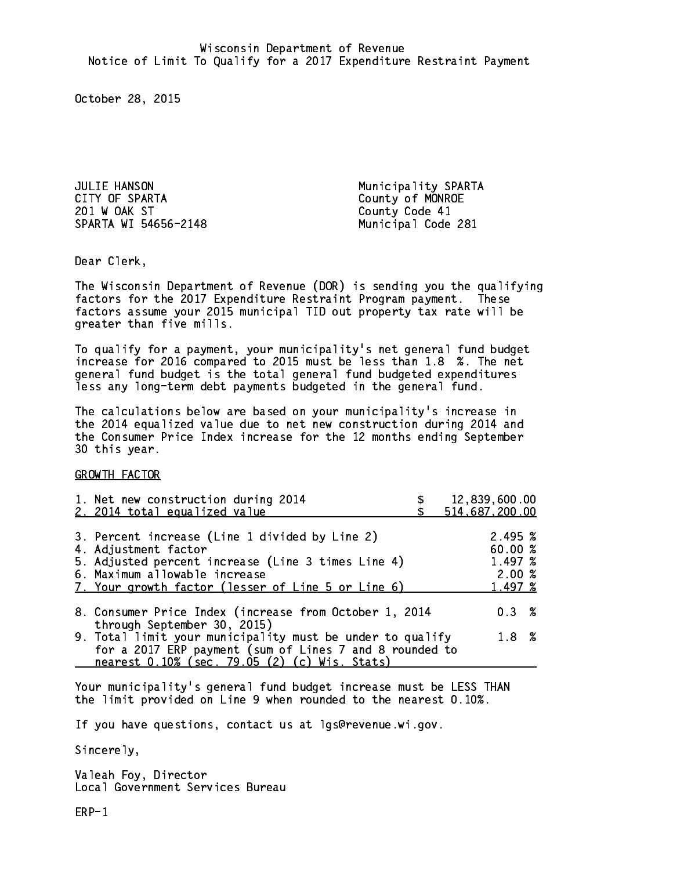JULIE HANSON Municipality SPARTA CITY OF SPARTA COUNTY OF SPARTA 201 W OAK ST County Code 41 SPARTA WI 54656-2148 Municipal Code 281

Dear Clerk. Dear Clerk,

The Wisconsin Department of Revenue (DOR) is sending you the qualifying factors for the 2017 Expenditure Restraint Program payment. These factors assume your 2015 municipal TID out property tax rate will be greater than five mills.

 To qualify for a payment, your municipality's net general fund budget increase for 2016 compared to 2015 must be less than 1.8 %. The net general fund budget is the total general fund budgeted expenditures less any long-term debt payments budgeted in the general fund.

The calculations below are based on your municipality's increase in the 2014 equalized value due to net new construction during 2014 and the Consumer Price Index increase for the 12 months ending September 30 this year. 30 this year.

GROWTH FACTOR

| 1. Net new construction during 2014<br>2. 2014 total equalized value                                                                                                                                                | 12,839,600.00<br>514,687,200.00                   |
|---------------------------------------------------------------------------------------------------------------------------------------------------------------------------------------------------------------------|---------------------------------------------------|
| 3. Percent increase (Line 1 divided by Line 2)<br>4. Adjustment factor<br>5. Adjusted percent increase (Line 3 times Line 4)<br>6. Maximum allowable increase<br>7. Your growth factor (lesser of Line 5 or Line 6) | 2.495~%<br>60.00 %<br>1.497 %<br>2.00%<br>1.497 % |
| 8. Consumer Price Index (increase from October 1, 2014<br>through September 30, 2015)                                                                                                                               | $0.3 \t%$                                         |
| 9. Total limit your municipality must be under to qualify<br>for a 2017 ERP payment (sum of Lines 7 and 8 rounded to                                                                                                | 1.8%                                              |
| nearest 0.10% (sec. 79.05 (2) (c) Wis. Stats)                                                                                                                                                                       |                                                   |

Your municipality's general fund budget increase must be LESS THAN the limit provided on Line 9 when rounded to the nearest 0.10%.

If you have questions, contact us at lgs@revenue.wi.gov.

Sincerely,

Valeah Foy, Director Local Government Services Bureau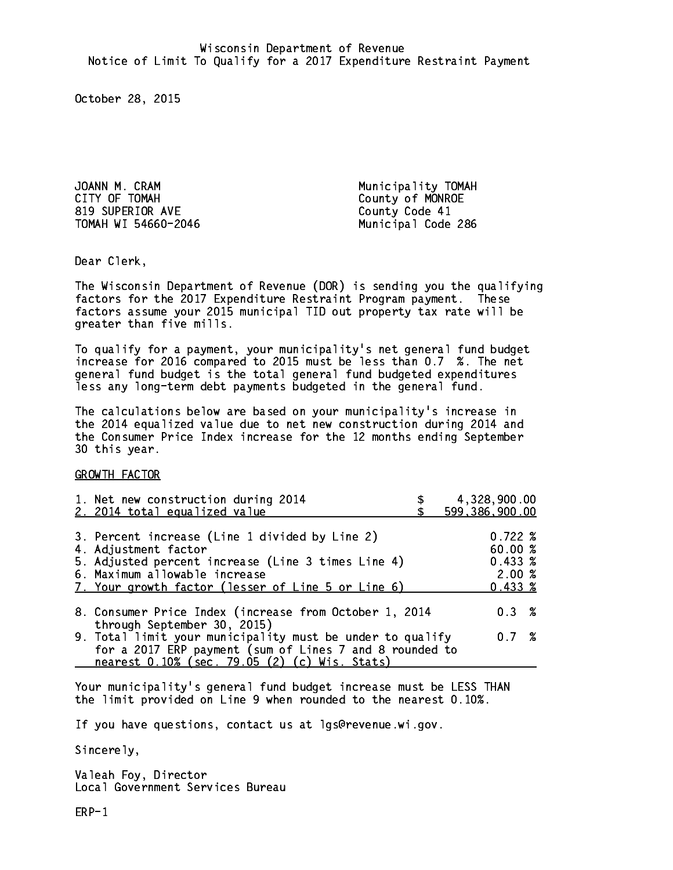JOANN M. CRAM Municipality TOMAH CITY OF TOMAH COUNTY OF TOMAH 819 SUPERIOR AVE County Code 41 TOMAH WI 54660-2046

Municipal Code 286

Dear Clerk. Dear Clerk,

The Wisconsin Department of Revenue (DOR) is sending you the qualifying factors for the 2017 Expenditure Restraint Program payment. These factors assume your 2015 municipal TID out property tax rate will be greater than five mills.

 To qualify for a payment, your municipality's net general fund budget increase for 2016 compared to 2015 must be less than 0.7 %. The net general fund budget is the total general fund budgeted expenditures less any long-term debt payments budgeted in the general fund.

The calculations below are based on your municipality's increase in the 2014 equalized value due to net new construction during 2014 and the Consumer Price Index increase for the 12 months ending September 30 this year. 30 this year.

GROWTH FACTOR

| 1. Net new construction during 2014<br>2. 2014 total equalized value                                                                                                                                                | 4,328,900.00<br>599,386,900.00                                  |
|---------------------------------------------------------------------------------------------------------------------------------------------------------------------------------------------------------------------|-----------------------------------------------------------------|
| 3. Percent increase (Line 1 divided by Line 2)<br>4. Adjustment factor<br>5. Adjusted percent increase (Line 3 times Line 4)<br>6. Maximum allowable increase<br>7. Your growth factor (lesser of Line 5 or Line 6) | $0.722 \;$ %<br>60.00%<br>$0.433 \;$ %<br>2.00%<br>$0.433 \;$ % |
| 8. Consumer Price Index (increase from October 1, 2014<br>through September 30, 2015)<br>9. Total limit your municipality must be under to qualify<br>for a 2017 ERP payment (sum of Lines 7 and 8 rounded to       | $0.3 \t%$<br>0.7%                                               |
| nearest 0.10% (sec. 79.05 (2) (c) Wis. Stats)                                                                                                                                                                       |                                                                 |

Your municipality's general fund budget increase must be LESS THAN the limit provided on Line 9 when rounded to the nearest 0.10%.

If you have questions, contact us at lgs@revenue.wi.gov.

Sincerely,

Valeah Foy, Director Local Government Services Bureau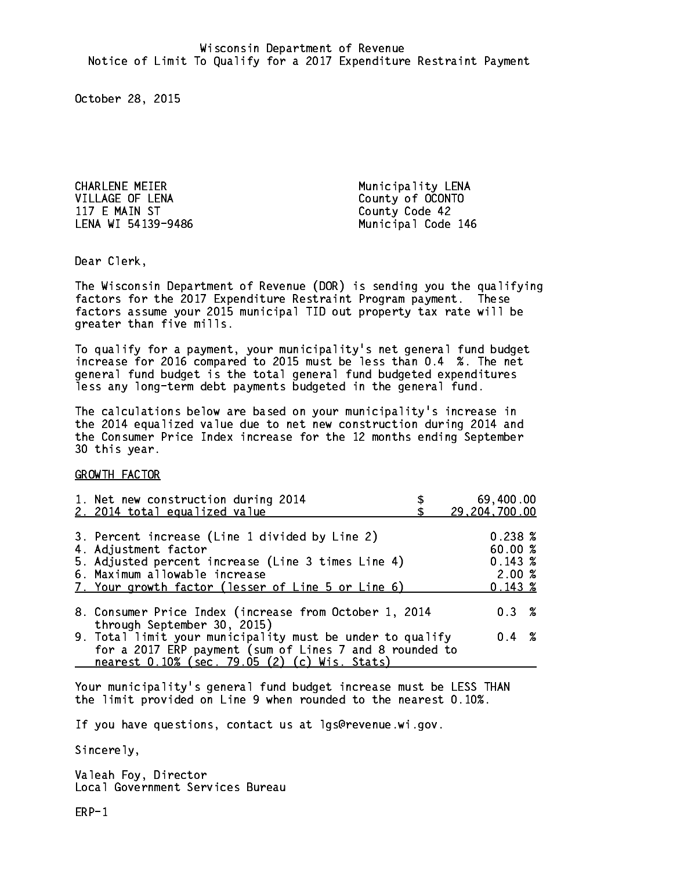CHARLENE MEIER Municipality LENA VILLAGE OF LENA County of OCONTO 117 E MAIN ST County Code 42 LENA WI 54139-9486

Municipal Code 146

Dear Clerk. Dear Clerk,

The Wisconsin Department of Revenue (DOR) is sending you the qualifying factors for the 2017 Expenditure Restraint Program payment. These factors assume your 2015 municipal TID out property tax rate will be greater than five mills.

 To qualify for a payment, your municipality's net general fund budget increase for 2016 compared to 2015 must be less than 0.4 %. The net general fund budget is the total general fund budgeted expenditures less any long-term debt payments budgeted in the general fund.

The calculations below are based on your municipality's increase in the 2014 equalized value due to net new construction during 2014 and the Consumer Price Index increase for the 12 months ending September 30 this year. 30 this year.

GROWTH FACTOR

| 1. Net new construction during 2014<br>2. 2014 total equalized value                                                                                                                                 | 69,400.00<br>29,204,700.00                 |  |
|------------------------------------------------------------------------------------------------------------------------------------------------------------------------------------------------------|--------------------------------------------|--|
| 3. Percent increase (Line 1 divided by Line 2)<br>4. Adjustment factor<br>5. Adjusted percent increase (Line 3 times Line 4)<br>6. Maximum allowable increase                                        | $0.238 \; %$<br>60.00%<br>0.143~%<br>2.00% |  |
| 7. Your growth factor (lesser of Line 5 or Line 6)<br>8. Consumer Price Index (increase from October 1, 2014                                                                                         | 0.143~%<br>$0.3 \t%$                       |  |
| through September 30, 2015)<br>9. Total limit your municipality must be under to qualify<br>for a 2017 ERP payment (sum of Lines 7 and 8 rounded to<br>nearest 0.10% (sec. 79.05 (2) (c) Wis. Stats) | $0.4 \t%$                                  |  |

Your municipality's general fund budget increase must be LESS THAN the limit provided on Line 9 when rounded to the nearest 0.10%.

If you have questions, contact us at lgs@revenue.wi.gov.

Sincerely,

Valeah Foy, Director Local Government Services Bureau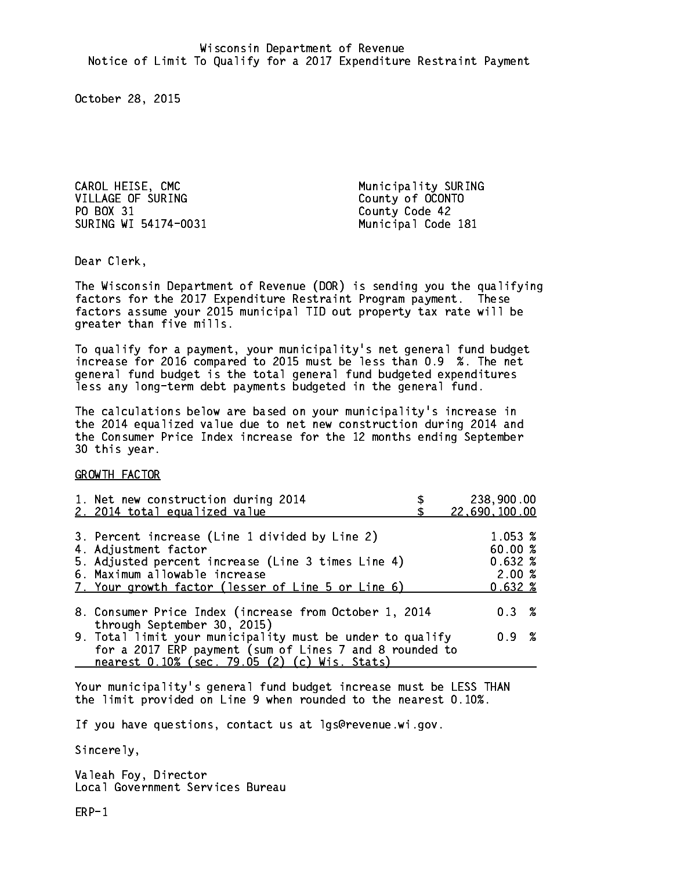CAROL HEISE, CMC VILLAGE OF SURING County of OCONTO PO BOX 31 County Code 42 SURING WI 54174-0031 Municipal Code 181

Municipality SURING

Dear Clerk. Dear Clerk,

The Wisconsin Department of Revenue (DOR) is sending you the qualifying factors for the 2017 Expenditure Restraint Program payment. These factors assume your 2015 municipal TID out property tax rate will be greater than five mills.

 To qualify for a payment, your municipality's net general fund budget increase for 2016 compared to 2015 must be less than 0.9 %. The net general fund budget is the total general fund budgeted expenditures less any long-term debt payments budgeted in the general fund.

The calculations below are based on your municipality's increase in the 2014 equalized value due to net new construction during 2014 and the Consumer Price Index increase for the 12 months ending September 30 this year. 30 this year.

GROWTH FACTOR

| 1. Net new construction during 2014<br>2. 2014 total equalized value                                                                                                                                                | 238,900.00<br>22,690,100.00                    |
|---------------------------------------------------------------------------------------------------------------------------------------------------------------------------------------------------------------------|------------------------------------------------|
| 3. Percent increase (Line 1 divided by Line 2)<br>4. Adjustment factor<br>5. Adjusted percent increase (Line 3 times Line 4)<br>6. Maximum allowable increase<br>7. Your growth factor (lesser of Line 5 or Line 6) | 1.053 %<br>60.00%<br>0.632%<br>2.00%<br>0.632% |
| 8. Consumer Price Index (increase from October 1, 2014                                                                                                                                                              | $0.3 \t%$                                      |
| through September 30, 2015)<br>9. Total limit your municipality must be under to qualify<br>for a 2017 ERP payment (sum of Lines 7 and 8 rounded to<br>nearest 0.10% (sec. 79.05 (2) (c) Wis. Stats)                | 0.9 %                                          |

Your municipality's general fund budget increase must be LESS THAN the limit provided on Line 9 when rounded to the nearest 0.10%.

If you have questions, contact us at lgs@revenue.wi.gov.

Sincerely,

Valeah Foy, Director Local Government Services Bureau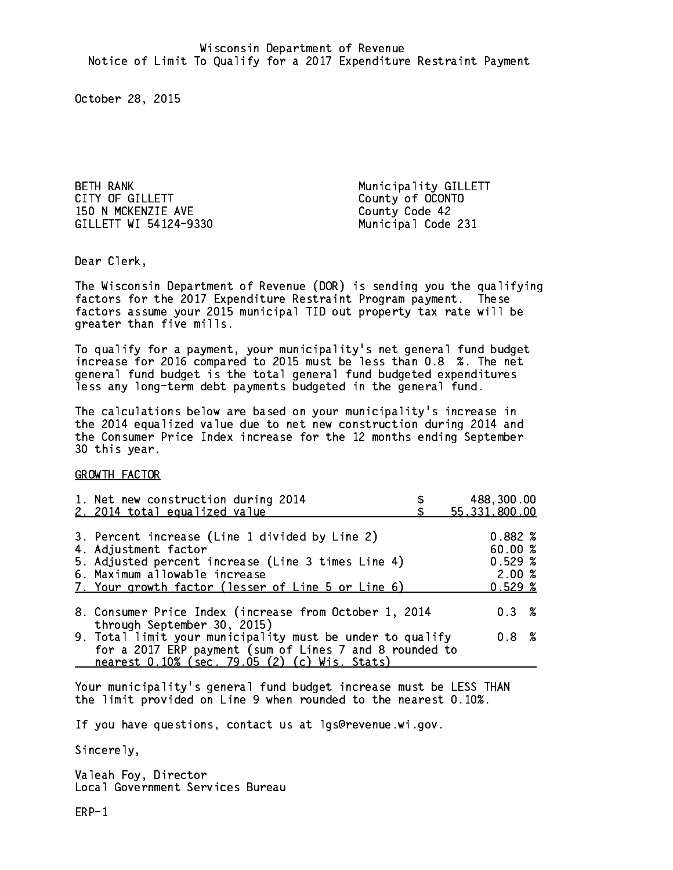BETH RANK **Municipality GILLETT** CITY OF GILLETT COUNTY OF GILLETT 150 N MCKENZIE AVE County Code 42 GILLETT WI 54124-9330 Municipal Code 231

Dear Clerk. Dear Clerk,

The Wisconsin Department of Revenue (DOR) is sending you the qualifying factors for the 2017 Expenditure Restraint Program payment. These factors assume your 2015 municipal TID out property tax rate will be greater than five mills.

 To qualify for a payment, your municipality's net general fund budget increase for 2016 compared to 2015 must be less than 0.8 %. The net general fund budget is the total general fund budgeted expenditures less any long-term debt payments budgeted in the general fund.

The calculations below are based on your municipality's increase in the 2014 equalized value due to net new construction during 2014 and the Consumer Price Index increase for the 12 months ending September 30 this year. 30 this year.

GROWTH FACTOR

| 1. Net new construction during 2014<br>2. 2014 total equalized value                                                                                                                                                | 488,300.00<br>55, 331, 800.00                  |
|---------------------------------------------------------------------------------------------------------------------------------------------------------------------------------------------------------------------|------------------------------------------------|
| 3. Percent increase (Line 1 divided by Line 2)<br>4. Adjustment factor<br>5. Adjusted percent increase (Line 3 times Line 4)<br>6. Maximum allowable increase<br>7. Your growth factor (lesser of Line 5 or Line 6) | 0.882%<br>60.00 %<br>0.529%<br>2.00%<br>0.529% |
| 8. Consumer Price Index (increase from October 1, 2014                                                                                                                                                              | $0.3 \t%$                                      |
| through September 30, 2015)<br>9. Total limit your municipality must be under to qualify<br>for a 2017 ERP payment (sum of Lines 7 and 8 rounded to<br>nearest 0.10% (sec. 79.05 (2) (c) Wis. Stats)                | 0.8 %                                          |

Your municipality's general fund budget increase must be LESS THAN the limit provided on Line 9 when rounded to the nearest 0.10%.

If you have questions, contact us at lgs@revenue.wi.gov.

Sincerely,

Valeah Foy, Director Local Government Services Bureau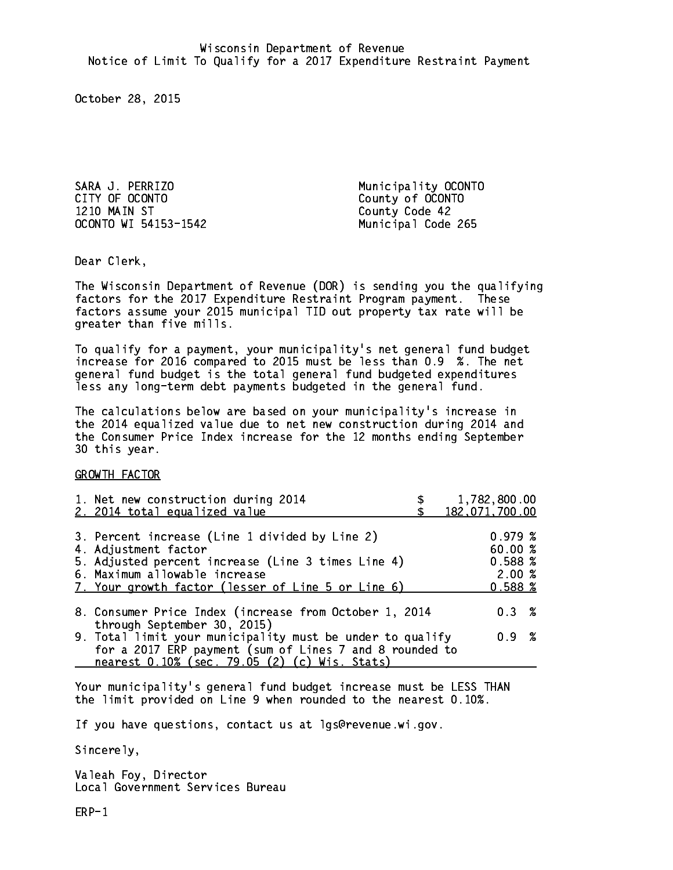SARA J. PERRIZO Municipality OCONTO 1210 MAIN ST County Code 42 OCONTO WI 54153-1542 Municipal Code 265

County of OCONTO

Dear Clerk. Dear Clerk,

The Wisconsin Department of Revenue (DOR) is sending you the qualifying factors for the 2017 Expenditure Restraint Program payment. These factors assume your 2015 municipal TID out property tax rate will be greater than five mills.

 To qualify for a payment, your municipality's net general fund budget increase for 2016 compared to 2015 must be less than 0.9 %. The net general fund budget is the total general fund budgeted expenditures less any long-term debt payments budgeted in the general fund.

The calculations below are based on your municipality's increase in the 2014 equalized value due to net new construction during 2014 and the Consumer Price Index increase for the 12 months ending September 30 this year. 30 this year.

GROWTH FACTOR

| 1. Net new construction during 2014<br>2. 2014 total equalized value                                                                                                                                                | 1,782,800.00<br>182,071,700.00                   |
|---------------------------------------------------------------------------------------------------------------------------------------------------------------------------------------------------------------------|--------------------------------------------------|
| 3. Percent increase (Line 1 divided by Line 2)<br>4. Adjustment factor<br>5. Adjusted percent increase (Line 3 times Line 4)<br>6. Maximum allowable increase<br>7. Your growth factor (lesser of Line 5 or Line 6) | 0.979~%<br>60.00%<br>0.588~%<br>2.00%<br>0.588~% |
| 8. Consumer Price Index (increase from October 1, 2014                                                                                                                                                              | $0.3 \t%$                                        |
| through September 30, 2015)<br>9. Total limit your municipality must be under to qualify<br>for a 2017 ERP payment (sum of Lines 7 and 8 rounded to<br>nearest 0.10% (sec. 79.05 (2) (c) Wis. Stats)                | 0.9 %                                            |

Your municipality's general fund budget increase must be LESS THAN the limit provided on Line 9 when rounded to the nearest 0.10%.

If you have questions, contact us at lgs@revenue.wi.gov.

Sincerely,

Valeah Foy, Director Local Government Services Bureau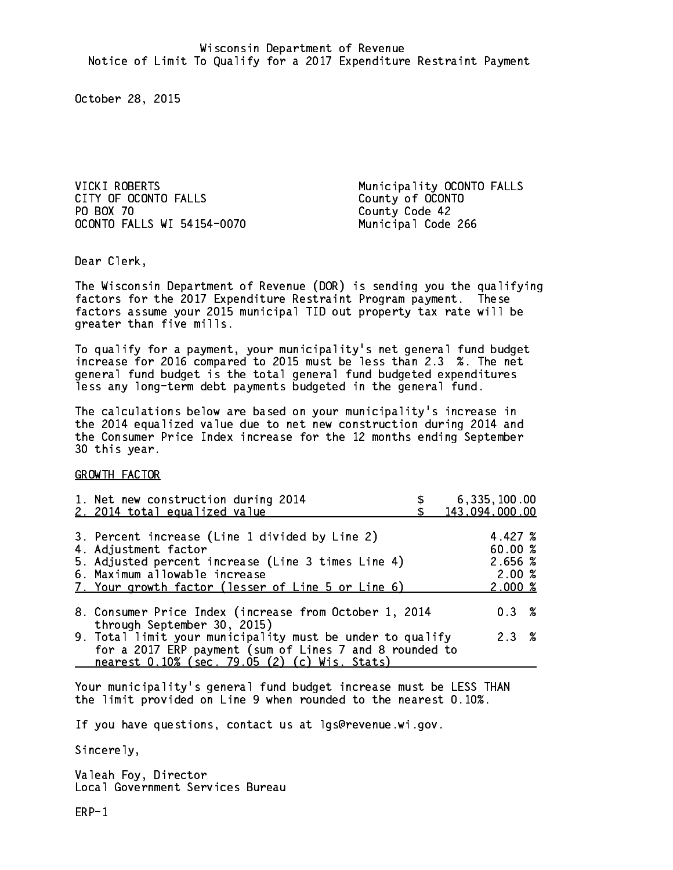VICKI ROBERTS Municipality OCONTO FALLS CITY OF OCONTO FALLS County of OCONTO PO BOX 70 County Code 42 OCONTO FALLS WI 54154-0070 Municipal Code 266

Dear Clerk. Dear Clerk,

The Wisconsin Department of Revenue (DOR) is sending you the qualifying factors for the 2017 Expenditure Restraint Program payment. These factors assume your 2015 municipal TID out property tax rate will be greater than five mills.

 To qualify for a payment, your municipality's net general fund budget increase for 2016 compared to 2015 must be less than 2.3 %. The net general fund budget is the total general fund budgeted expenditures less any long-term debt payments budgeted in the general fund.

The calculations below are based on your municipality's increase in the 2014 equalized value due to net new construction during 2014 and the Consumer Price Index increase for the 12 months ending September 30 this year. 30 this year.

GROWTH FACTOR

| 1. Net new construction during 2014<br>2. 2014 total equalized value                                                                                                                                                | 6,335,100.00<br>143,094,000.00                    |
|---------------------------------------------------------------------------------------------------------------------------------------------------------------------------------------------------------------------|---------------------------------------------------|
| 3. Percent increase (Line 1 divided by Line 2)<br>4. Adjustment factor<br>5. Adjusted percent increase (Line 3 times Line 4)<br>6. Maximum allowable increase<br>7. Your growth factor (lesser of Line 5 or Line 6) | 4.427 %<br>60.00 %<br>2.656 %<br>2.00%<br>2.000~% |
| 8. Consumer Price Index (increase from October 1, 2014                                                                                                                                                              | $0.3 \t%$                                         |
| through September 30, 2015)<br>9. Total limit your municipality must be under to qualify<br>for a 2017 ERP payment (sum of Lines 7 and 8 rounded to<br>nearest 0.10% (sec. 79.05 (2) (c) Wis. Stats)                | 2.3%                                              |

Your municipality's general fund budget increase must be LESS THAN the limit provided on Line 9 when rounded to the nearest 0.10%.

If you have questions, contact us at lgs@revenue.wi.gov.

Sincerely,

Valeah Foy, Director Local Government Services Bureau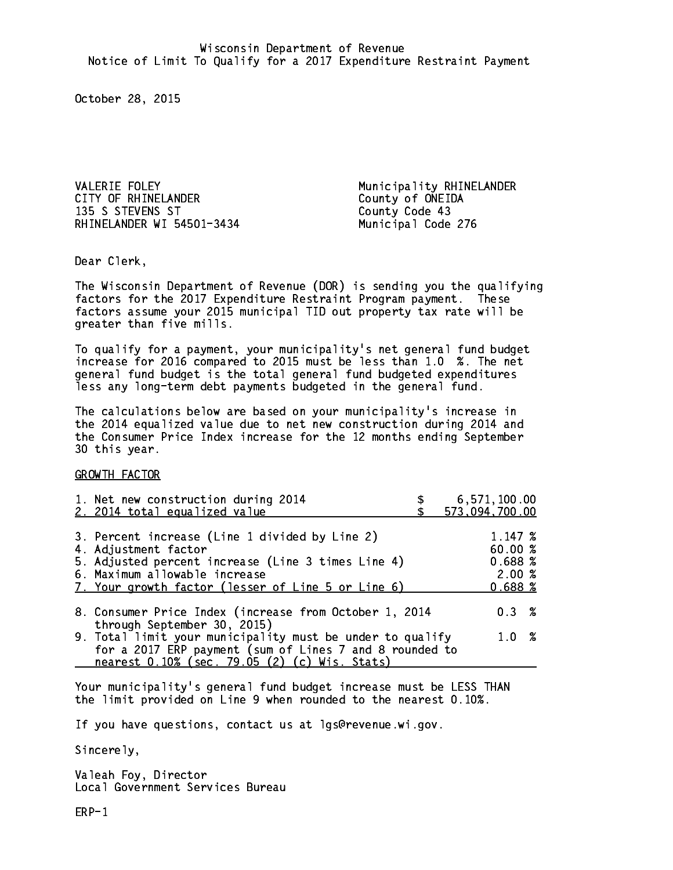VALERIE FOLEY **Municipality RHINELANDER** CITY OF RHINELANDER COUNTY OF ONEIDA 135 S STEVENS ST County Code 43 RHINELANDER WI 54501-3434 Municipal Code 276

Dear Clerk. Dear Clerk,

The Wisconsin Department of Revenue (DOR) is sending you the qualifying factors for the 2017 Expenditure Restraint Program payment. These factors assume your 2015 municipal TID out property tax rate will be greater than five mills.

 To qualify for a payment, your municipality's net general fund budget increase for 2016 compared to 2015 must be less than 1.0 %. The net general fund budget is the total general fund budgeted expenditures less any long-term debt payments budgeted in the general fund.

The calculations below are based on your municipality's increase in the 2014 equalized value due to net new construction during 2014 and the Consumer Price Index increase for the 12 months ending September 30 this year. 30 this year.

GROWTH FACTOR

| 1. Net new construction during 2014<br>2. 2014 total equalized value                                                                                                                                                | 6,571,100.00<br>573,094,700.00                   |
|---------------------------------------------------------------------------------------------------------------------------------------------------------------------------------------------------------------------|--------------------------------------------------|
| 3. Percent increase (Line 1 divided by Line 2)<br>4. Adjustment factor<br>5. Adjusted percent increase (Line 3 times Line 4)<br>6. Maximum allowable increase<br>7. Your growth factor (lesser of Line 5 or Line 6) | 1.147~%<br>60.00%<br>0.688~%<br>2.00%<br>0.688~% |
| 8. Consumer Price Index (increase from October 1, 2014                                                                                                                                                              | $0.3 \t%$                                        |
| through September 30, 2015)<br>9. Total limit your municipality must be under to qualify<br>for a 2017 ERP payment (sum of Lines 7 and 8 rounded to<br>nearest 0.10% (sec. 79.05 (2) (c) Wis. Stats)                | 1.0 %                                            |

Your municipality's general fund budget increase must be LESS THAN the limit provided on Line 9 when rounded to the nearest 0.10%.

If you have questions, contact us at lgs@revenue.wi.gov.

Sincerely,

Valeah Foy, Director Local Government Services Bureau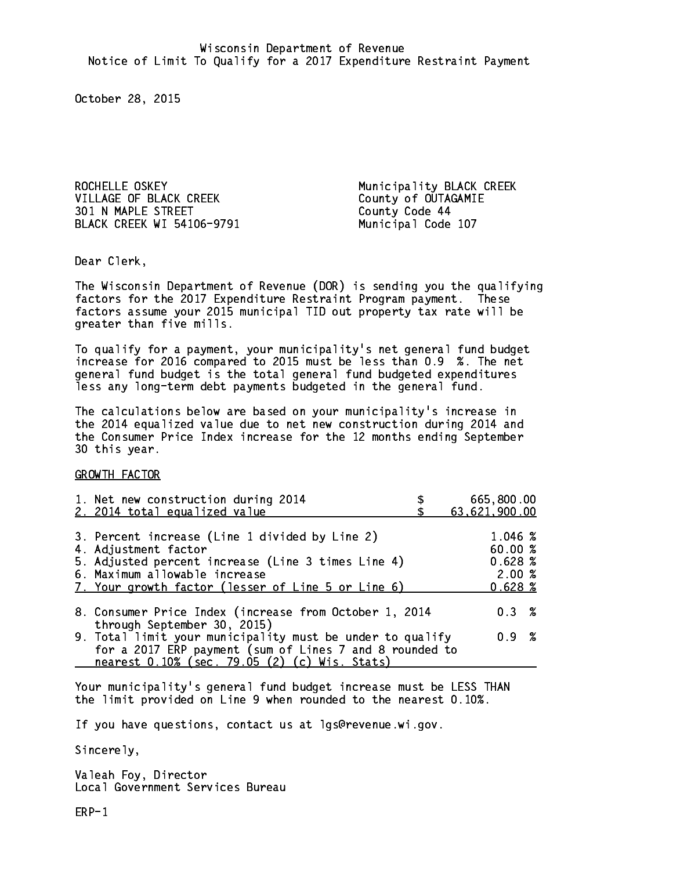ROCHELLE OSKEY **Municipality BLACK** CREEK VILLAGE OF BLACK CREEK COUNTY County of OUTAGAMIE 301 N MAPLE STREET County Code 44 BLACK CREEK WI 54106-9791 Municipal Code 107

Dear Clerk. Dear Clerk,

The Wisconsin Department of Revenue (DOR) is sending you the qualifying factors for the 2017 Expenditure Restraint Program payment. These factors assume your 2015 municipal TID out property tax rate will be greater than five mills.

 To qualify for a payment, your municipality's net general fund budget increase for 2016 compared to 2015 must be less than 0.9 %. The net general fund budget is the total general fund budgeted expenditures less any long-term debt payments budgeted in the general fund.

The calculations below are based on your municipality's increase in the 2014 equalized value due to net new construction during 2014 and the Consumer Price Index increase for the 12 months ending September 30 this year. 30 this year.

GROWTH FACTOR

| 1. Net new construction during 2014<br>2. 2014 total equalized value                                                                                                  | 665,800.00<br>63,621,900.00  |
|-----------------------------------------------------------------------------------------------------------------------------------------------------------------------|------------------------------|
|                                                                                                                                                                       |                              |
| 3. Percent increase (Line 1 divided by Line 2)<br>4. Adjustment factor<br>5. Adjusted percent increase (Line 3 times Line 4)                                          | 1.046 %<br>60.00%<br>0.628~% |
| 6. Maximum allowable increase<br>7. Your growth factor (lesser of Line 5 or Line 6)                                                                                   | 2.00%<br>0.628~%             |
| 8. Consumer Price Index (increase from October 1, 2014<br>through September 30, 2015)                                                                                 | $0.3 \t%$                    |
| 9. Total limit your municipality must be under to qualify<br>for a 2017 ERP payment (sum of Lines 7 and 8 rounded to<br>nearest 0.10% (sec. 79.05 (2) (c) Wis. Stats) | 0.9 %                        |

Your municipality's general fund budget increase must be LESS THAN the limit provided on Line 9 when rounded to the nearest 0.10%.

If you have questions, contact us at lgs@revenue.wi.gov.

Sincerely,

Valeah Foy, Director Local Government Services Bureau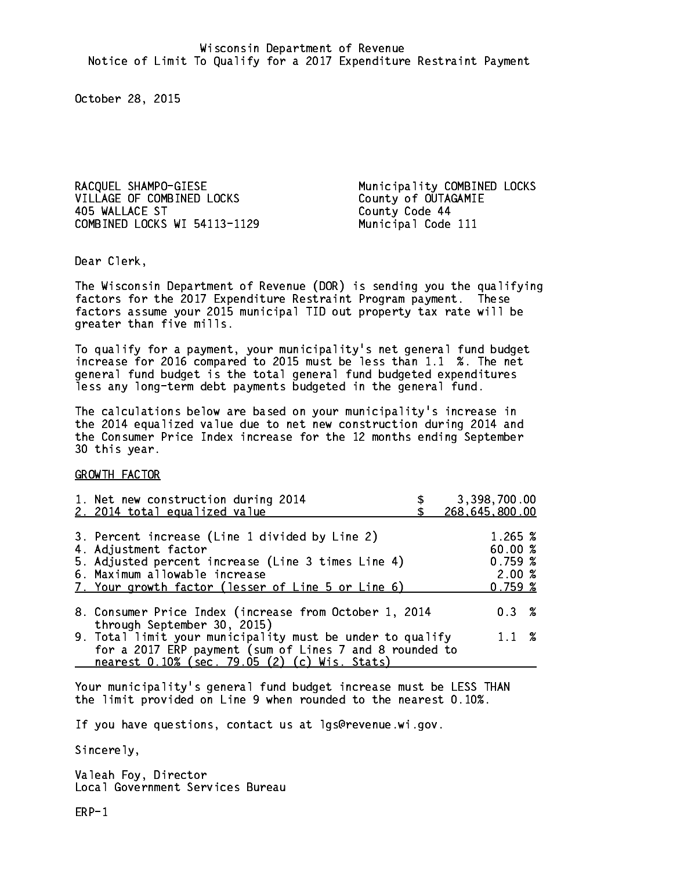VILLAGE OF COMBINED LOCKS County of OUTAGAMIE 405 WALLACE ST COMBINED LOCKS WI 54113-1129 Municipal Code 111

RACQUEL SHAMPO-GIESE Municipality COMBINED LOCKS County Code 44

Dear Clerk. Dear Clerk,

The Wisconsin Department of Revenue (DOR) is sending you the qualifying factors for the 2017 Expenditure Restraint Program payment. These factors assume your 2015 municipal TID out property tax rate will be greater than five mills.

 To qualify for a payment, your municipality's net general fund budget increase for 2016 compared to 2015 must be less than 1.1 %. The net general fund budget is the total general fund budgeted expenditures less any long-term debt payments budgeted in the general fund.

The calculations below are based on your municipality's increase in the 2014 equalized value due to net new construction during 2014 and the Consumer Price Index increase for the 12 months ending September 30 this year. 30 this year.

GROWTH FACTOR

| 1. Net new construction during 2014<br>2. 2014 total equalized value                                                                                                                                                | 3,398,700.00<br>268,645,800.00                    |
|---------------------------------------------------------------------------------------------------------------------------------------------------------------------------------------------------------------------|---------------------------------------------------|
| 3. Percent increase (Line 1 divided by Line 2)<br>4. Adjustment factor<br>5. Adjusted percent increase (Line 3 times Line 4)<br>6. Maximum allowable increase<br>7. Your growth factor (lesser of Line 5 or Line 6) | 1.265~%<br>60.00 %<br>0.759~%<br>2.00%<br>0.759~% |
| 8. Consumer Price Index (increase from October 1, 2014                                                                                                                                                              | $0.3 \t%$                                         |
| through September 30, 2015)<br>9. Total limit your municipality must be under to qualify<br>for a 2017 ERP payment (sum of Lines 7 and 8 rounded to<br>nearest 0.10% (sec. 79.05 (2) (c) Wis. Stats)                | $1.1 \t%$                                         |

Your municipality's general fund budget increase must be LESS THAN the limit provided on Line 9 when rounded to the nearest 0.10%.

If you have questions, contact us at lgs@revenue.wi.gov.

Sincerely,

Valeah Foy, Director Local Government Services Bureau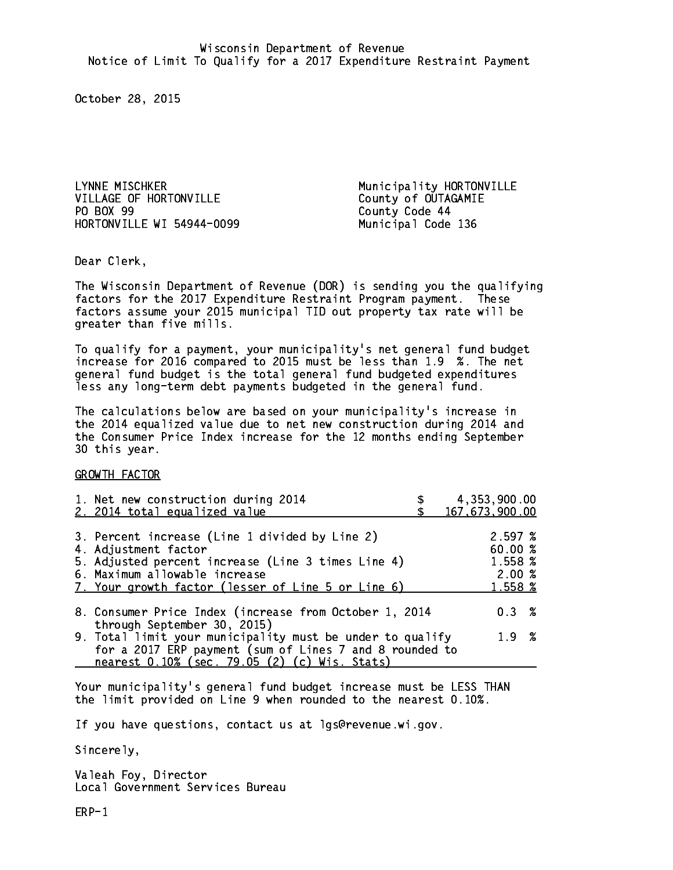LYNNE MISCHKER MUNICIPALITY Municipality HORTONVILLE VILLAGE OF HORTONVILLE County of OUTAGAMIE PO BOX 99 HORTONVILLE WI 54944-0099 Municipal Code 136

County Code 44

Dear Clerk. Dear Clerk,

The Wisconsin Department of Revenue (DOR) is sending you the qualifying factors for the 2017 Expenditure Restraint Program payment. These factors assume your 2015 municipal TID out property tax rate will be greater than five mills.

 To qualify for a payment, your municipality's net general fund budget increase for 2016 compared to 2015 must be less than 1.9 %. The net general fund budget is the total general fund budgeted expenditures less any long-term debt payments budgeted in the general fund.

The calculations below are based on your municipality's increase in the 2014 equalized value due to net new construction during 2014 and the Consumer Price Index increase for the 12 months ending September 30 this year. 30 this year.

GROWTH FACTOR

| 1. Net new construction during 2014<br>2. 2014 total equalized value                                                                                                                                                | 4,353,900.00<br>167, 673, 900.00                 |
|---------------------------------------------------------------------------------------------------------------------------------------------------------------------------------------------------------------------|--------------------------------------------------|
| 3. Percent increase (Line 1 divided by Line 2)<br>4. Adjustment factor<br>5. Adjusted percent increase (Line 3 times Line 4)<br>6. Maximum allowable increase<br>7. Your growth factor (lesser of Line 5 or Line 6) | 2.597%<br>60.00 %<br>1.558 %<br>2.00%<br>1.558 % |
| 8. Consumer Price Index (increase from October 1, 2014                                                                                                                                                              | $0.3 \t%$                                        |
| through September 30, 2015)<br>9. Total limit your municipality must be under to qualify<br>for a 2017 ERP payment (sum of Lines 7 and 8 rounded to<br>nearest 0.10% (sec. 79.05 (2) (c) Wis. Stats)                | 1.9 %                                            |

Your municipality's general fund budget increase must be LESS THAN the limit provided on Line 9 when rounded to the nearest 0.10%.

If you have questions, contact us at lgs@revenue.wi.gov.

Sincerely,

Valeah Foy, Director Local Government Services Bureau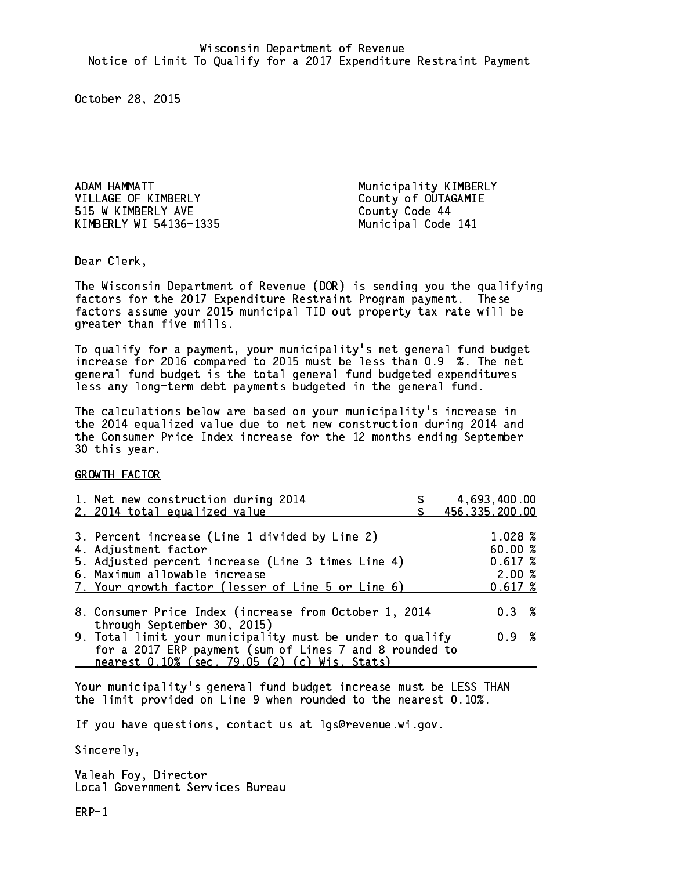ADAM HAMMATT NEWSLET Municipality KIMBERLY VILLAGE OF KIMBERLY County of OUTAGAMIE 515 W KIMBERLY AVE County Code 44 KIMBERLY WI 54136-1335 Municipal Code 141

Dear Clerk. Dear Clerk,

The Wisconsin Department of Revenue (DOR) is sending you the qualifying factors for the 2017 Expenditure Restraint Program payment. These factors assume your 2015 municipal TID out property tax rate will be greater than five mills.

 To qualify for a payment, your municipality's net general fund budget increase for 2016 compared to 2015 must be less than 0.9 %. The net general fund budget is the total general fund budgeted expenditures less any long-term debt payments budgeted in the general fund.

The calculations below are based on your municipality's increase in the 2014 equalized value due to net new construction during 2014 and the Consumer Price Index increase for the 12 months ending September 30 this year. 30 this year.

GROWTH FACTOR

| 1. Net new construction during 2014<br>2. 2014 total equalized value                                                                                                                                                | 4,693,400.00<br>456, 335, 200.00                 |
|---------------------------------------------------------------------------------------------------------------------------------------------------------------------------------------------------------------------|--------------------------------------------------|
| 3. Percent increase (Line 1 divided by Line 2)<br>4. Adjustment factor<br>5. Adjusted percent increase (Line 3 times Line 4)<br>6. Maximum allowable increase<br>7. Your growth factor (lesser of Line 5 or Line 6) | 1.028 %<br>60.00%<br>0.617~%<br>2.00%<br>0.617~% |
| 8. Consumer Price Index (increase from October 1, 2014                                                                                                                                                              | 0.3%                                             |
| through September 30, 2015)<br>9. Total limit your municipality must be under to qualify<br>for a 2017 ERP payment (sum of Lines 7 and 8 rounded to<br>nearest 0.10% (sec. 79.05 (2) (c) Wis. Stats)                | 0.9 %                                            |

Your municipality's general fund budget increase must be LESS THAN the limit provided on Line 9 when rounded to the nearest 0.10%.

If you have questions, contact us at lgs@revenue.wi.gov.

Sincerely,

Valeah Foy, Director Local Government Services Bureau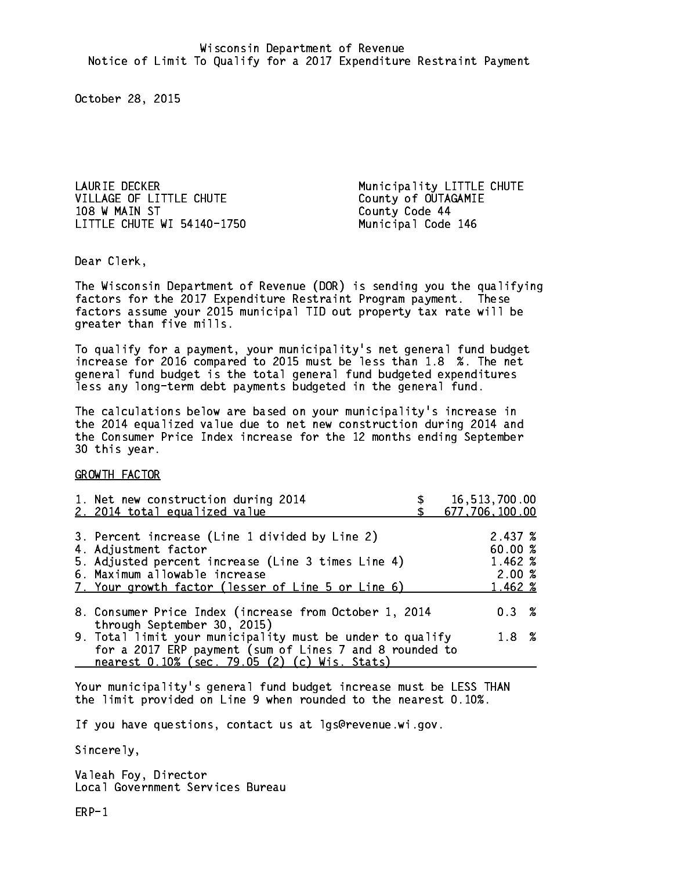LAURIE DECKER Municipality LITTLE CHUTE VILLAGE OF LITTLE CHUTE COUNTY OF OUTAGAMIE 108 W MAIN ST County Code 44 LITTLE CHUTE WI 54140-1750 Municipal Code 146

Dear Clerk. Dear Clerk,

The Wisconsin Department of Revenue (DOR) is sending you the qualifying factors for the 2017 Expenditure Restraint Program payment. These factors assume your 2015 municipal TID out property tax rate will be greater than five mills.

 To qualify for a payment, your municipality's net general fund budget increase for 2016 compared to 2015 must be less than 1.8 %. The net general fund budget is the total general fund budgeted expenditures less any long-term debt payments budgeted in the general fund.

The calculations below are based on your municipality's increase in the 2014 equalized value due to net new construction during 2014 and the Consumer Price Index increase for the 12 months ending September 30 this year. 30 this year.

GROWTH FACTOR

| 1. Net new construction during 2014<br>2. 2014 total equalized value                                                                                                                                                | 16,513,700.00<br>677,706,100.00                   |
|---------------------------------------------------------------------------------------------------------------------------------------------------------------------------------------------------------------------|---------------------------------------------------|
| 3. Percent increase (Line 1 divided by Line 2)<br>4. Adjustment factor<br>5. Adjusted percent increase (Line 3 times Line 4)<br>6. Maximum allowable increase<br>7. Your growth factor (lesser of Line 5 or Line 6) | 2.437~%<br>60.00 %<br>1.462 %<br>2.00%<br>1.462 % |
| 8. Consumer Price Index (increase from October 1, 2014<br>through September 30, 2015)                                                                                                                               | 0.3%                                              |
| 9. Total limit your municipality must be under to qualify<br>for a 2017 ERP payment (sum of Lines 7 and 8 rounded to<br>nearest 0.10% (sec. 79.05 (2) (c) Wis. Stats)                                               | $1.8 \t%$                                         |

Your municipality's general fund budget increase must be LESS THAN the limit provided on Line 9 when rounded to the nearest 0.10%.

If you have questions, contact us at lgs@revenue.wi.gov.

Sincerely,

Valeah Foy, Director Local Government Services Bureau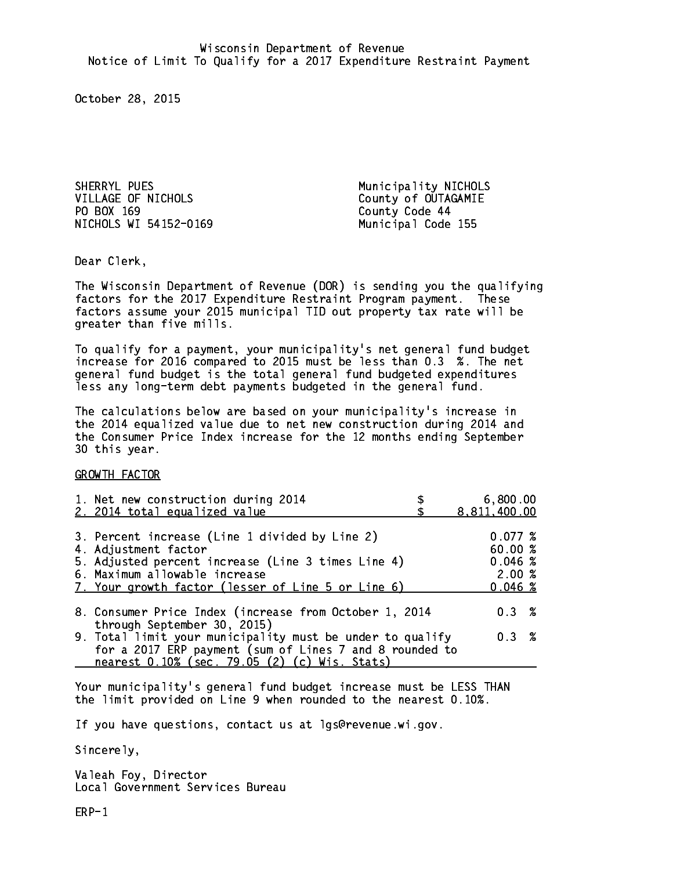SHERRYL PUES Municipality NICHOLS VILLAGE OF NICHOLS County of OUTAGAMIE PO BOX 169 County Code 44 NICHOLS WI 54152-0169 Municipal Code 155

Dear Clerk. Dear Clerk,

The Wisconsin Department of Revenue (DOR) is sending you the qualifying factors for the 2017 Expenditure Restraint Program payment. These factors assume your 2015 municipal TID out property tax rate will be greater than five mills.

 To qualify for a payment, your municipality's net general fund budget increase for 2016 compared to 2015 must be less than 0.3 %. The net general fund budget is the total general fund budgeted expenditures less any long-term debt payments budgeted in the general fund.

The calculations below are based on your municipality's increase in the 2014 equalized value due to net new construction during 2014 and the Consumer Price Index increase for the 12 months ending September 30 this year. 30 this year.

GROWTH FACTOR

| 1. Net new construction during 2014<br>2. 2014 total equalized value                                                                                                                                                | 6,800.00<br>8,811,400.00                         |
|---------------------------------------------------------------------------------------------------------------------------------------------------------------------------------------------------------------------|--------------------------------------------------|
| 3. Percent increase (Line 1 divided by Line 2)<br>4. Adjustment factor<br>5. Adjusted percent increase (Line 3 times Line 4)<br>6. Maximum allowable increase<br>7. Your growth factor (lesser of Line 5 or Line 6) | 0.077~%<br>60.00%<br>0.046~%<br>2.00%<br>0.046~% |
| 8. Consumer Price Index (increase from October 1, 2014                                                                                                                                                              | $0.3 \t%$                                        |
| through September 30, 2015)<br>9. Total limit your municipality must be under to qualify<br>for a 2017 ERP payment (sum of Lines 7 and 8 rounded to<br>nearest 0.10% (sec. 79.05 (2) (c) Wis. Stats)                | 0.3%                                             |

Your municipality's general fund budget increase must be LESS THAN the limit provided on Line 9 when rounded to the nearest 0.10%.

If you have questions, contact us at lgs@revenue.wi.gov.

Sincerely,

Valeah Foy, Director Local Government Services Bureau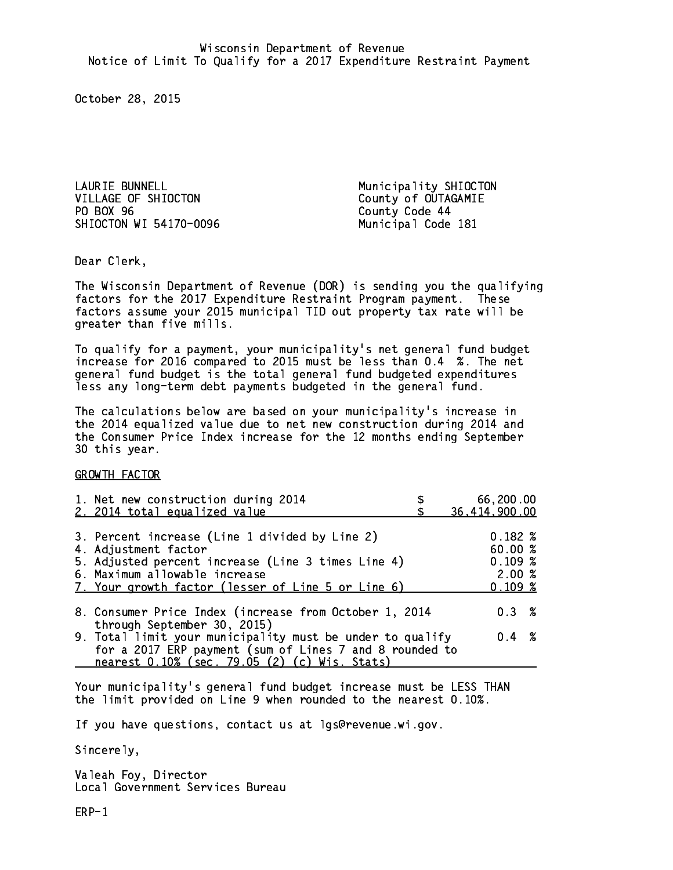LAURIE BUNNELL **Municipality SHIOCTON** VILLAGE OF SHIOCTON County of OUTAGAMIE PO BOX 96 SHIOCTON WI 54170-0096 Municipal Code 181

County Code 44

Dear Clerk. Dear Clerk,

The Wisconsin Department of Revenue (DOR) is sending you the qualifying factors for the 2017 Expenditure Restraint Program payment. These factors assume your 2015 municipal TID out property tax rate will be greater than five mills.

 To qualify for a payment, your municipality's net general fund budget increase for 2016 compared to 2015 must be less than 0.4 %. The net general fund budget is the total general fund budgeted expenditures less any long-term debt payments budgeted in the general fund.

The calculations below are based on your municipality's increase in the 2014 equalized value due to net new construction during 2014 and the Consumer Price Index increase for the 12 months ending September 30 this year. 30 this year.

GROWTH FACTOR

| 1. Net new construction during 2014                                                                                                                                                                                 | 66,200.00                                             |
|---------------------------------------------------------------------------------------------------------------------------------------------------------------------------------------------------------------------|-------------------------------------------------------|
| 2. 2014 total equalized value                                                                                                                                                                                       | 36,414,900.00                                         |
| 3. Percent increase (Line 1 divided by Line 2)<br>4. Adjustment factor<br>5. Adjusted percent increase (Line 3 times Line 4)<br>6. Maximum allowable increase<br>7. Your growth factor (lesser of Line 5 or Line 6) | $0.182 \; %$<br>60.00%<br>0.109~%<br>2.00%<br>0.109~% |
| 8. Consumer Price Index (increase from October 1, 2014                                                                                                                                                              | $0.3 \t%$                                             |
| through September 30, 2015)<br>9. Total limit your municipality must be under to qualify<br>for a 2017 ERP payment (sum of Lines 7 and 8 rounded to<br>nearest 0.10% (sec. 79.05 (2) (c) Wis. Stats)                | $0.4 \t%$                                             |

Your municipality's general fund budget increase must be LESS THAN the limit provided on Line 9 when rounded to the nearest 0.10%.

If you have questions, contact us at lgs@revenue.wi.gov.

Sincerely,

Valeah Foy, Director Local Government Services Bureau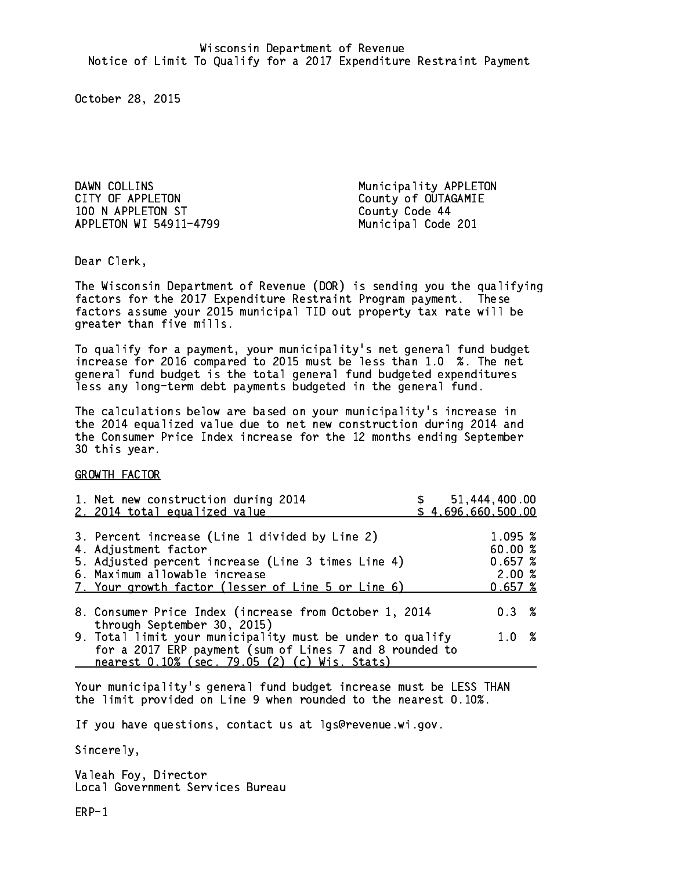DAWN COLLINS Municipality APPLETON CITY OF APPLETON COUNTY OF APPLETON 100 N APPLETON ST County Code 44 APPLETON WI 54911-4799 Municipal Code 201

Dear Clerk. Dear Clerk,

The Wisconsin Department of Revenue (DOR) is sending you the qualifying factors for the 2017 Expenditure Restraint Program payment. These factors assume your 2015 municipal TID out property tax rate will be greater than five mills.

 To qualify for a payment, your municipality's net general fund budget increase for 2016 compared to 2015 must be less than 1.0 %. The net general fund budget is the total general fund budgeted expenditures less any long-term debt payments budgeted in the general fund.

The calculations below are based on your municipality's increase in the 2014 equalized value due to net new construction during 2014 and the Consumer Price Index increase for the 12 months ending September 30 this year. 30 this year.

GROWTH FACTOR

| 1. Net new construction during 2014<br>2. 2014 total equalized value                                                                                                                                                |  | \$51,444,400.00<br>\$4,696,660,500.00             |  |
|---------------------------------------------------------------------------------------------------------------------------------------------------------------------------------------------------------------------|--|---------------------------------------------------|--|
| 3. Percent increase (Line 1 divided by Line 2)<br>4. Adjustment factor<br>5. Adjusted percent increase (Line 3 times Line 4)<br>6. Maximum allowable increase<br>7. Your growth factor (lesser of Line 5 or Line 6) |  | 1.095 %<br>60.00 %<br>0.657~%<br>2.00%<br>0.657~% |  |
| 8. Consumer Price Index (increase from October 1, 2014<br>through September 30, 2015)                                                                                                                               |  | $0.3 \t%$                                         |  |
| 9. Total limit your municipality must be under to qualify<br>for a 2017 ERP payment (sum of Lines 7 and 8 rounded to<br>nearest 0.10% (sec. 79.05 (2) (c) Wis. Stats)                                               |  | 1.0%                                              |  |

Your municipality's general fund budget increase must be LESS THAN the limit provided on Line 9 when rounded to the nearest 0.10%.

If you have questions, contact us at lgs@revenue.wi.gov.

Sincerely,

Valeah Foy, Director Local Government Services Bureau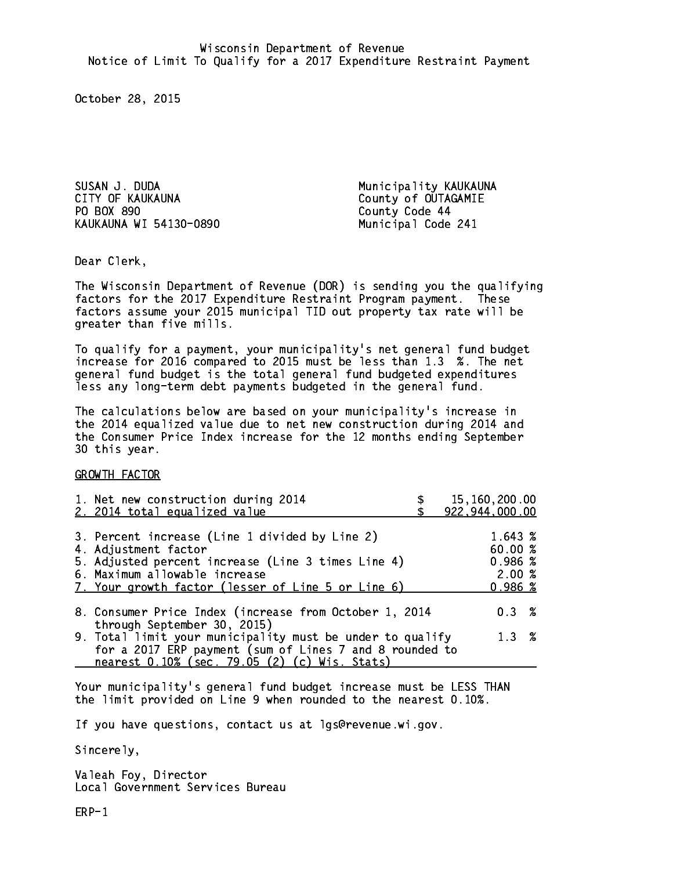SUSAN J. DUDA Municipality KAUKAUNA CITY OF KAUKAUNA COUNTY OF COUNTY OF COUTAGAMIE PO BOX 890 KAUKAUNA WI 54130-0890 Municipal Code 241

County Code 44

Dear Clerk. Dear Clerk,

The Wisconsin Department of Revenue (DOR) is sending you the qualifying factors for the 2017 Expenditure Restraint Program payment. These factors assume your 2015 municipal TID out property tax rate will be greater than five mills.

 To qualify for a payment, your municipality's net general fund budget increase for 2016 compared to 2015 must be less than 1.3 %. The net general fund budget is the total general fund budgeted expenditures less any long-term debt payments budgeted in the general fund.

The calculations below are based on your municipality's increase in the 2014 equalized value due to net new construction during 2014 and the Consumer Price Index increase for the 12 months ending September 30 this year. 30 this year.

GROWTH FACTOR

| 1. Net new construction during 2014<br>2. 2014 total equalized value                                                                                                                                                | 15,160,200.00<br>922,944,000.00                  |
|---------------------------------------------------------------------------------------------------------------------------------------------------------------------------------------------------------------------|--------------------------------------------------|
| 3. Percent increase (Line 1 divided by Line 2)<br>4. Adjustment factor<br>5. Adjusted percent increase (Line 3 times Line 4)<br>6. Maximum allowable increase<br>7. Your growth factor (lesser of Line 5 or Line 6) | 1.643 %<br>60.00 %<br>0.986~%<br>2.00%<br>0.986% |
| 8. Consumer Price Index (increase from October 1, 2014                                                                                                                                                              | 0.3%                                             |
| through September 30, 2015)<br>9. Total limit your municipality must be under to qualify<br>for a 2017 ERP payment (sum of Lines 7 and 8 rounded to<br>nearest 0.10% (sec. 79.05 (2) (c) Wis. Stats)                | $1.3 \t%$                                        |

Your municipality's general fund budget increase must be LESS THAN the limit provided on Line 9 when rounded to the nearest 0.10%.

If you have questions, contact us at lgs@revenue.wi.gov.

Sincerely,

Valeah Foy, Director Local Government Services Bureau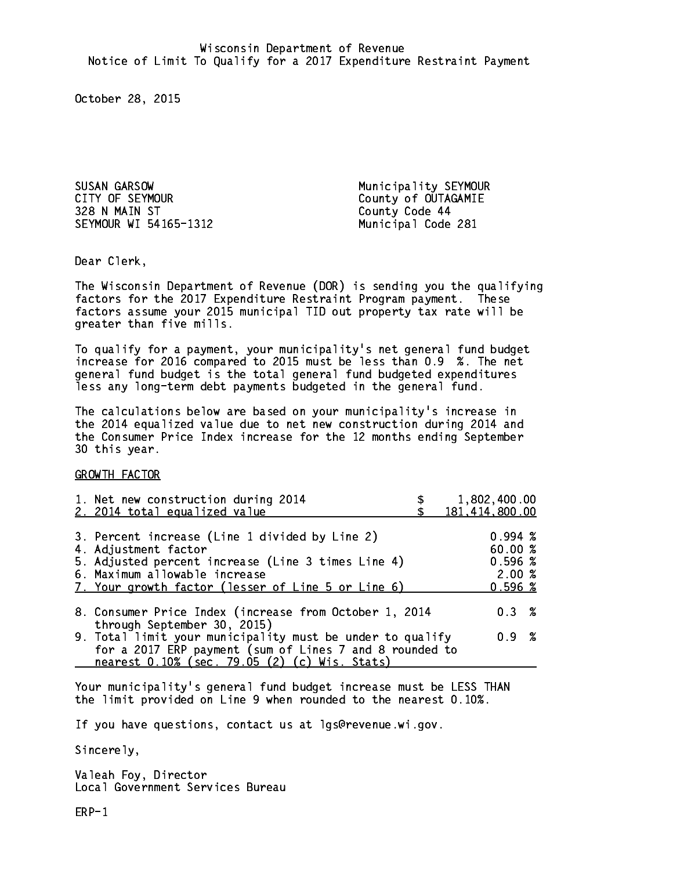SUSAN GARSOW Municipality SEYMOUR CITY OF SEYMOUR COUNTY OF SEYMOUR 328 N MAIN ST County Code 44 SEYMOUR WI 54165-1312 Municipal Code 281

Dear Clerk. Dear Clerk,

The Wisconsin Department of Revenue (DOR) is sending you the qualifying factors for the 2017 Expenditure Restraint Program payment. These factors assume your 2015 municipal TID out property tax rate will be greater than five mills.

 To qualify for a payment, your municipality's net general fund budget increase for 2016 compared to 2015 must be less than 0.9 %. The net general fund budget is the total general fund budgeted expenditures less any long-term debt payments budgeted in the general fund.

The calculations below are based on your municipality's increase in the 2014 equalized value due to net new construction during 2014 and the Consumer Price Index increase for the 12 months ending September 30 this year. 30 this year.

GROWTH FACTOR

| 1,802,400.00<br>181,414,800.00                                                                                                |
|-------------------------------------------------------------------------------------------------------------------------------|
| $0.994 \;$ %<br>60.00 %<br>0.596%<br>2.00%<br>0.596~%                                                                         |
| $0.3 \t%$                                                                                                                     |
| 9. Total limit your municipality must be under to qualify<br>0.9 %<br>for a 2017 ERP payment (sum of Lines 7 and 8 rounded to |
|                                                                                                                               |

Your municipality's general fund budget increase must be LESS THAN the limit provided on Line 9 when rounded to the nearest 0.10%.

If you have questions, contact us at lgs@revenue.wi.gov.

Sincerely,

Valeah Foy, Director Local Government Services Bureau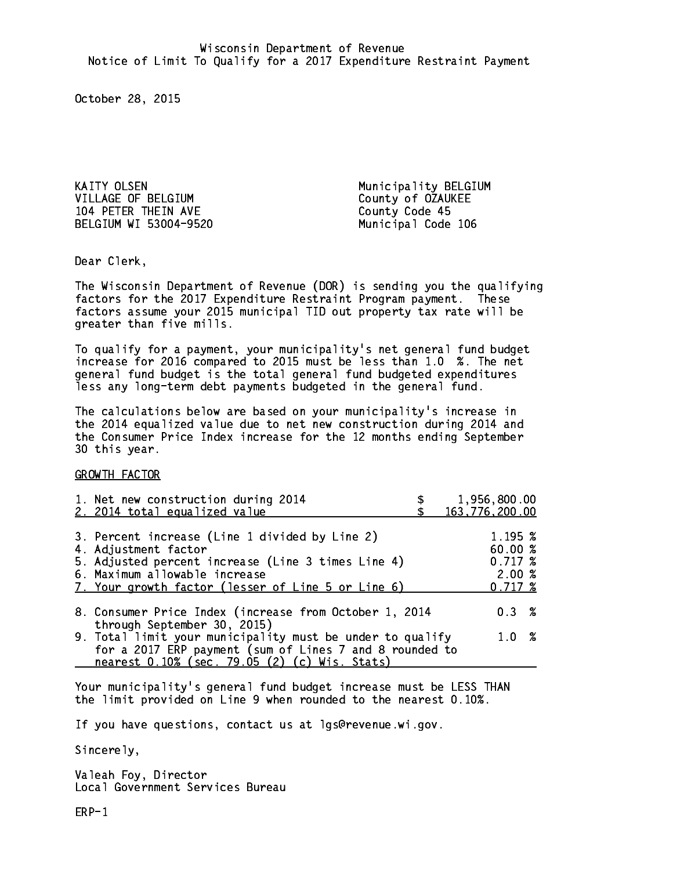KAITY OLSEN 1999 - ANNO 1999 - Municipality BELGIUM VILLAGE OF BELGIUM County of OZAUKEE 104 PETER THEIN AVE County Code 45 BELGIUM WI 53004-9520 Municipal Code 106

Dear Clerk. Dear Clerk,

The Wisconsin Department of Revenue (DOR) is sending you the qualifying factors for the 2017 Expenditure Restraint Program payment. These factors assume your 2015 municipal TID out property tax rate will be greater than five mills.

 To qualify for a payment, your municipality's net general fund budget increase for 2016 compared to 2015 must be less than 1.0 %. The net general fund budget is the total general fund budgeted expenditures less any long-term debt payments budgeted in the general fund.

The calculations below are based on your municipality's increase in the 2014 equalized value due to net new construction during 2014 and the Consumer Price Index increase for the 12 months ending September 30 this year. 30 this year.

GROWTH FACTOR

| 1. Net new construction during 2014<br>2. 2014 total equalized value                                                                                                                                                | 1,956,800.00<br>163,776,200.00                   |
|---------------------------------------------------------------------------------------------------------------------------------------------------------------------------------------------------------------------|--------------------------------------------------|
| 3. Percent increase (Line 1 divided by Line 2)<br>4. Adjustment factor<br>5. Adjusted percent increase (Line 3 times Line 4)<br>6. Maximum allowable increase<br>7. Your growth factor (lesser of Line 5 or Line 6) | 1.195~%<br>60.00%<br>0.717~%<br>2.00%<br>0.717~% |
| 8. Consumer Price Index (increase from October 1, 2014<br>through September 30, 2015)                                                                                                                               | $0.3 \t%$                                        |
| 9. Total limit your municipality must be under to qualify<br>for a 2017 ERP payment (sum of Lines 7 and 8 rounded to<br>nearest 0.10% (sec. 79.05 (2) (c) Wis. Stats)                                               | 1.0 %                                            |

Your municipality's general fund budget increase must be LESS THAN the limit provided on Line 9 when rounded to the nearest 0.10%.

If you have questions, contact us at lgs@revenue.wi.gov.

Sincerely,

Valeah Foy, Director Local Government Services Bureau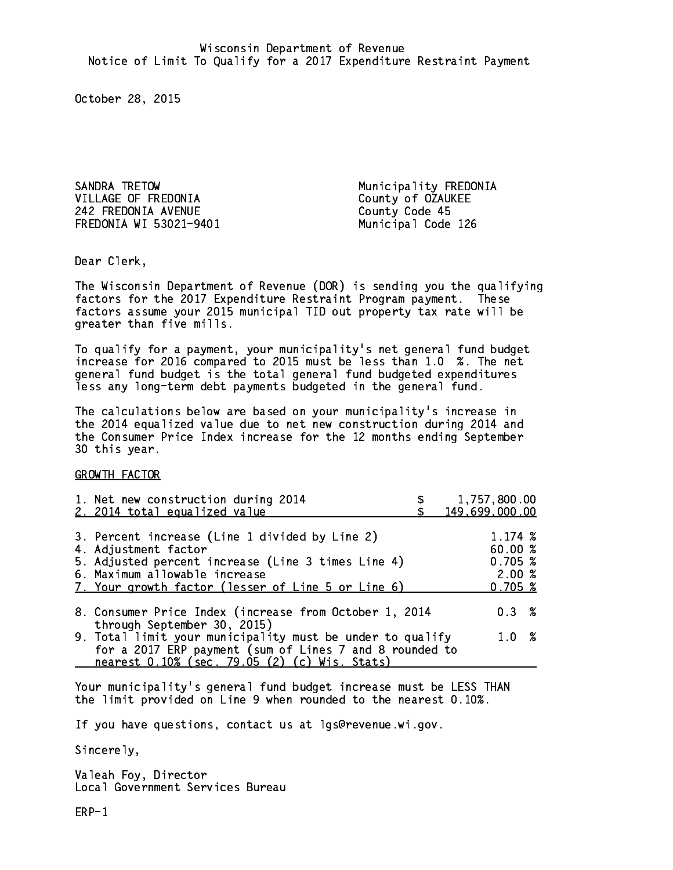SANDRA TRETOW Municipality FREDONIA VILLAGE OF FREDONIA County of OZAUKEE 242 FREDONIA AVENUE County Code 45 FREDONIA WI 53021-9401 Municipal Code 126

Dear Clerk. Dear Clerk,

The Wisconsin Department of Revenue (DOR) is sending you the qualifying factors for the 2017 Expenditure Restraint Program payment. These factors assume your 2015 municipal TID out property tax rate will be greater than five mills.

 To qualify for a payment, your municipality's net general fund budget increase for 2016 compared to 2015 must be less than 1.0 %. The net general fund budget is the total general fund budgeted expenditures less any long-term debt payments budgeted in the general fund.

The calculations below are based on your municipality's increase in the 2014 equalized value due to net new construction during 2014 and the Consumer Price Index increase for the 12 months ending September 30 this year. 30 this year.

GROWTH FACTOR

|                                                                                                                      | 1,757,800.00<br>149,699,000.00                    |
|----------------------------------------------------------------------------------------------------------------------|---------------------------------------------------|
|                                                                                                                      | 1.174~%<br>60.00 %<br>0.705~%<br>2.00%<br>0.705~% |
| 8. Consumer Price Index (increase from October 1, 2014                                                               | $0.3 \t%$                                         |
| 9. Total limit your municipality must be under to qualify<br>for a 2017 ERP payment (sum of Lines 7 and 8 rounded to | 1.0 %                                             |
|                                                                                                                      |                                                   |

Your municipality's general fund budget increase must be LESS THAN the limit provided on Line 9 when rounded to the nearest 0.10%.

If you have questions, contact us at lgs@revenue.wi.gov.

Sincerely,

Valeah Foy, Director Local Government Services Bureau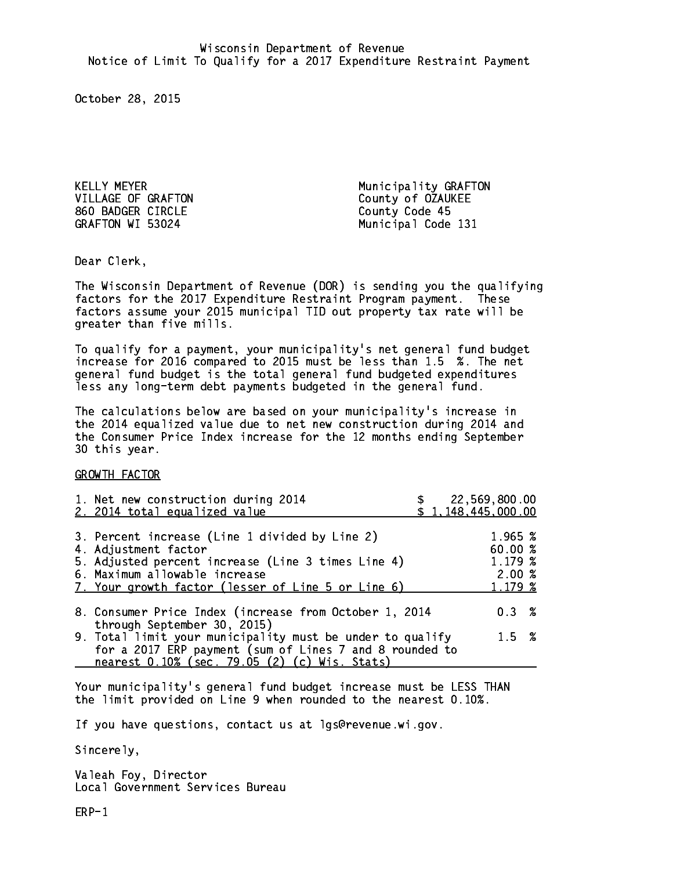VILLAGE OF GRAFTON County of OZAUKEE 860 BADGER CIRCLE COUNTY Code 45 GRAFTON WI 53024

KELLY MEYER **Municipality GRAFTON** Municipal Code 131

Dear Clerk. Dear Clerk,

The Wisconsin Department of Revenue (DOR) is sending you the qualifying factors for the 2017 Expenditure Restraint Program payment. These factors assume your 2015 municipal TID out property tax rate will be greater than five mills.

 To qualify for a payment, your municipality's net general fund budget increase for 2016 compared to 2015 must be less than 1.5 %. The net general fund budget is the total general fund budgeted expenditures less any long-term debt payments budgeted in the general fund.

The calculations below are based on your municipality's increase in the 2014 equalized value due to net new construction during 2014 and the Consumer Price Index increase for the 12 months ending September 30 this year. 30 this year.

GROWTH FACTOR

| 1. Net new construction during 2014<br>2. 2014 total equalized value                                                                                                                                                |  | \$22,569,800.00<br>\$1,148,445,000.00             |  |
|---------------------------------------------------------------------------------------------------------------------------------------------------------------------------------------------------------------------|--|---------------------------------------------------|--|
| 3. Percent increase (Line 1 divided by Line 2)<br>4. Adjustment factor<br>5. Adjusted percent increase (Line 3 times Line 4)<br>6. Maximum allowable increase<br>7. Your growth factor (lesser of Line 5 or Line 6) |  | 1.965 %<br>60.00 %<br>1.179 %<br>2.00%<br>1.179 % |  |
| 8. Consumer Price Index (increase from October 1, 2014<br>through September 30, 2015)                                                                                                                               |  | $0.3 \t%$                                         |  |
| 9. Total limit your municipality must be under to qualify<br>for a 2017 ERP payment (sum of Lines 7 and 8 rounded to<br>nearest 0.10% (sec. 79.05 (2) (c) Wis. Stats)                                               |  | $1.5 \t%$                                         |  |

Your municipality's general fund budget increase must be LESS THAN the limit provided on Line 9 when rounded to the nearest 0.10%.

If you have questions, contact us at lgs@revenue.wi.gov.

Sincerely,

Valeah Foy, Director Local Government Services Bureau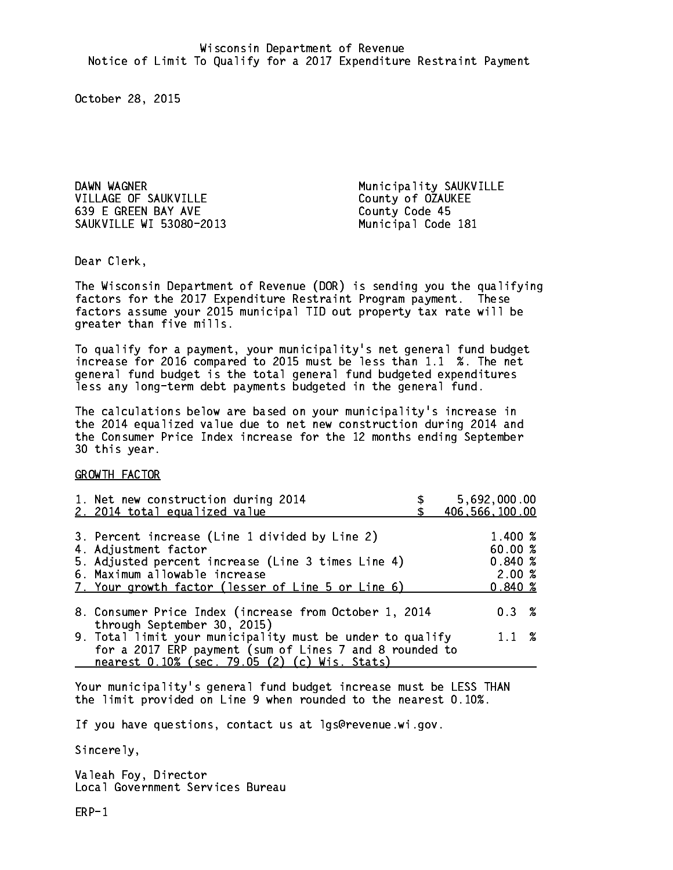DAWN WAGNER **Municipality SAUKVILLE** VILLAGE OF SAUKVILLE County of OZAUKEE 639 E GREEN BAY AVE County Code 45 SAUKVILLE WI 53080-2013 Municipal Code 181

Dear Clerk. Dear Clerk,

The Wisconsin Department of Revenue (DOR) is sending you the qualifying factors for the 2017 Expenditure Restraint Program payment. These factors assume your 2015 municipal TID out property tax rate will be greater than five mills.

 To qualify for a payment, your municipality's net general fund budget increase for 2016 compared to 2015 must be less than 1.1 %. The net general fund budget is the total general fund budgeted expenditures less any long-term debt payments budgeted in the general fund.

The calculations below are based on your municipality's increase in the 2014 equalized value due to net new construction during 2014 and the Consumer Price Index increase for the 12 months ending September 30 this year. 30 this year.

GROWTH FACTOR

| 1. Net new construction during 2014<br>2. 2014 total equalized value                                                                                                                                                | 5,692,000.00<br>406,566,100.00                  |
|---------------------------------------------------------------------------------------------------------------------------------------------------------------------------------------------------------------------|-------------------------------------------------|
| 3. Percent increase (Line 1 divided by Line 2)<br>4. Adjustment factor<br>5. Adjusted percent increase (Line 3 times Line 4)<br>6. Maximum allowable increase<br>7. Your growth factor (lesser of Line 5 or Line 6) | 1.400 %<br>60.00%<br>0.840~%<br>2.00%<br>0.840% |
| 8. Consumer Price Index (increase from October 1, 2014<br>through September 30, 2015)                                                                                                                               | 0.3%                                            |
| 9. Total limit your municipality must be under to qualify<br>for a 2017 ERP payment (sum of Lines 7 and 8 rounded to<br>nearest 0.10% (sec. 79.05 (2) (c) Wis. Stats)                                               | $1.1 \t%$                                       |

Your municipality's general fund budget increase must be LESS THAN the limit provided on Line 9 when rounded to the nearest 0.10%.

If you have questions, contact us at lgs@revenue.wi.gov.

Sincerely,

Valeah Foy, Director Local Government Services Bureau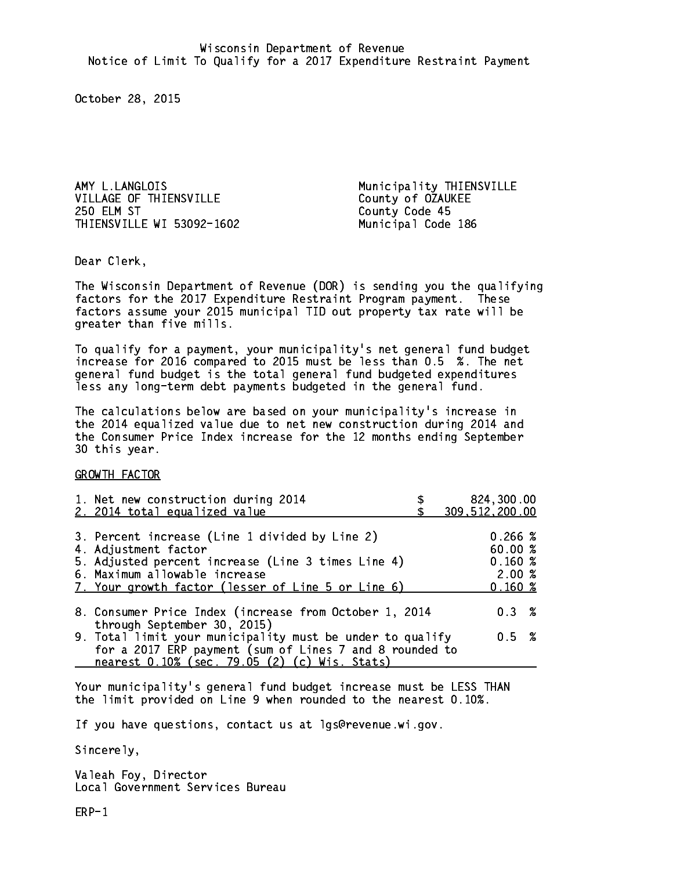AMY L.LANGLOIS Municipality THIENSVILLE VILLAGE OF THIENSVILLE County of OZAUKEE **250 ELM ST** THIENSVILLE WI 53092-1602 Municipal Code 186

County Code 45

Dear Clerk. Dear Clerk,

The Wisconsin Department of Revenue (DOR) is sending you the qualifying factors for the 2017 Expenditure Restraint Program payment. These factors assume your 2015 municipal TID out property tax rate will be greater than five mills.

 To qualify for a payment, your municipality's net general fund budget increase for 2016 compared to 2015 must be less than 0.5 %. The net general fund budget is the total general fund budgeted expenditures less any long-term debt payments budgeted in the general fund.

The calculations below are based on your municipality's increase in the 2014 equalized value due to net new construction during 2014 and the Consumer Price Index increase for the 12 months ending September 30 this year. 30 this year.

GROWTH FACTOR

| 1. Net new construction during 2014<br>2. 2014 total equalized value                                                                                                                                                | 824,300.00<br>309,512,200.00                          |
|---------------------------------------------------------------------------------------------------------------------------------------------------------------------------------------------------------------------|-------------------------------------------------------|
| 3. Percent increase (Line 1 divided by Line 2)<br>4. Adjustment factor<br>5. Adjusted percent increase (Line 3 times Line 4)<br>6. Maximum allowable increase<br>7. Your growth factor (lesser of Line 5 or Line 6) | 0.266~%<br>60.00%<br>0.160~%<br>2.00%<br>$0.160 \;$ % |
| 8. Consumer Price Index (increase from October 1, 2014                                                                                                                                                              | 0.3%                                                  |
| through September 30, 2015)<br>9. Total limit your municipality must be under to qualify<br>for a 2017 ERP payment (sum of Lines 7 and 8 rounded to<br>nearest 0.10% (sec. 79.05 (2) (c) Wis. Stats)                | 0.5 %                                                 |

Your municipality's general fund budget increase must be LESS THAN the limit provided on Line 9 when rounded to the nearest 0.10%.

If you have questions, contact us at lgs@revenue.wi.gov.

Sincerely,

Valeah Foy, Director Local Government Services Bureau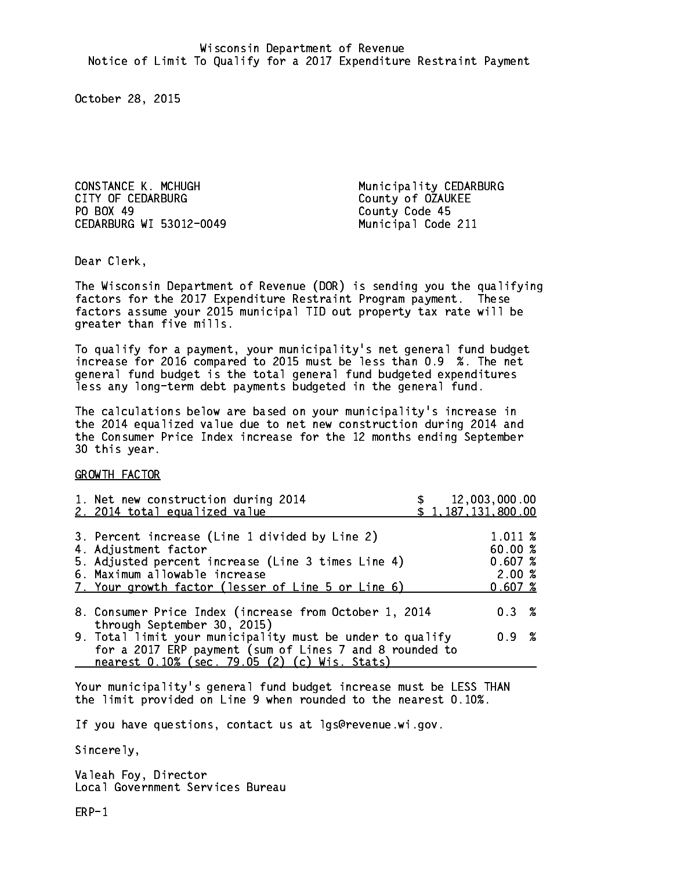CONSTANCE K. MCHUGH Municipality CEDARBURG CITY OF CEDARBURG COUNTY OF OZAUKEE PO BOX 49 CEDARBURG WI 53012-0049 Municipal Code 211

County Code 45

Dear Clerk. Dear Clerk,

The Wisconsin Department of Revenue (DOR) is sending you the qualifying factors for the 2017 Expenditure Restraint Program payment. These factors assume your 2015 municipal TID out property tax rate will be greater than five mills.

 To qualify for a payment, your municipality's net general fund budget increase for 2016 compared to 2015 must be less than 0.9 %. The net general fund budget is the total general fund budgeted expenditures less any long-term debt payments budgeted in the general fund.

The calculations below are based on your municipality's increase in the 2014 equalized value due to net new construction during 2014 and the Consumer Price Index increase for the 12 months ending September 30 this year. 30 this year.

GROWTH FACTOR

| 1. Net new construction during 2014<br>2. 2014 total equalized value                                                                                                                                                |  | 12,003,000.00<br>\$1,187,131,800.00              |  |
|---------------------------------------------------------------------------------------------------------------------------------------------------------------------------------------------------------------------|--|--------------------------------------------------|--|
| 3. Percent increase (Line 1 divided by Line 2)<br>4. Adjustment factor<br>5. Adjusted percent increase (Line 3 times Line 4)<br>6. Maximum allowable increase<br>7. Your growth factor (lesser of Line 5 or Line 6) |  | 1.011 %<br>60.00 %<br>0.607~%<br>2.00%<br>0.607% |  |
| 8. Consumer Price Index (increase from October 1, 2014<br>through September 30, 2015)                                                                                                                               |  | $0.3 \t%$                                        |  |
| 9. Total limit your municipality must be under to qualify<br>for a 2017 ERP payment (sum of Lines 7 and 8 rounded to<br>nearest 0.10% (sec. 79.05 (2) (c) Wis. Stats)                                               |  | 0.9 %                                            |  |

Your municipality's general fund budget increase must be LESS THAN the limit provided on Line 9 when rounded to the nearest 0.10%.

If you have questions, contact us at lgs@revenue.wi.gov.

Sincerely,

Valeah Foy, Director Local Government Services Bureau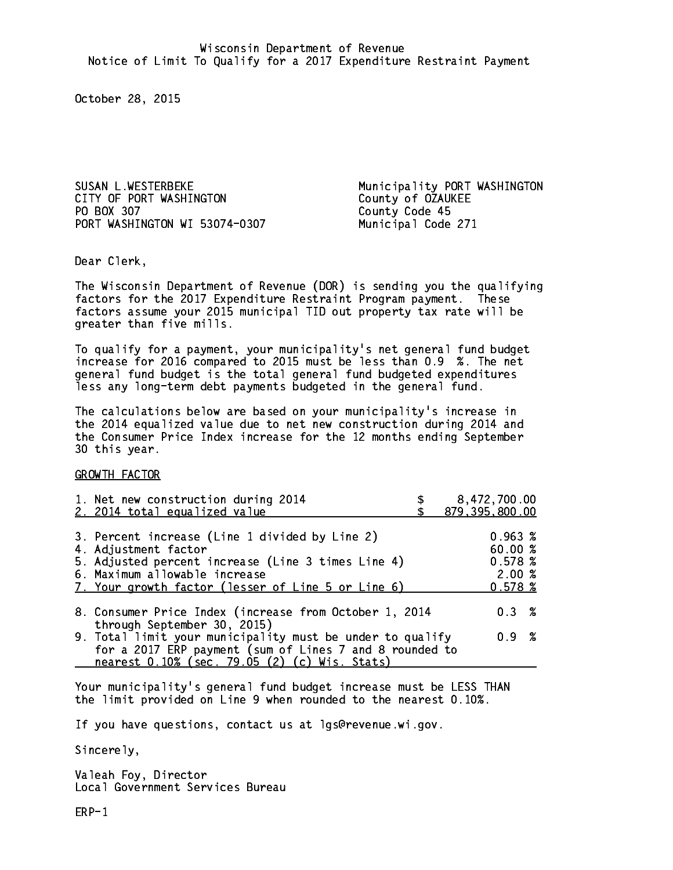CITY OF PORT WASHINGTON COUNTY OF OZAUKEE PO BOX 307 PORT WASHINGTON WI 53074-0307 Municipal Code 271

SUSAN L.WESTERBEKE Municipality PORT WASHINGTON County Code 45

Dear Clerk. Dear Clerk,

The Wisconsin Department of Revenue (DOR) is sending you the qualifying factors for the 2017 Expenditure Restraint Program payment. These factors assume your 2015 municipal TID out property tax rate will be greater than five mills.

 To qualify for a payment, your municipality's net general fund budget increase for 2016 compared to 2015 must be less than 0.9 %. The net general fund budget is the total general fund budgeted expenditures less any long-term debt payments budgeted in the general fund.

The calculations below are based on your municipality's increase in the 2014 equalized value due to net new construction during 2014 and the Consumer Price Index increase for the 12 months ending September 30 this year. 30 this year.

GROWTH FACTOR

| 1. Net new construction during 2014<br>2. 2014 total equalized value                                                                                                                                                | 8,472,700.00<br>879,395,800.00                    |
|---------------------------------------------------------------------------------------------------------------------------------------------------------------------------------------------------------------------|---------------------------------------------------|
| 3. Percent increase (Line 1 divided by Line 2)<br>4. Adjustment factor<br>5. Adjusted percent increase (Line 3 times Line 4)<br>6. Maximum allowable increase<br>7. Your growth factor (lesser of Line 5 or Line 6) | 0.963~%<br>60.00 %<br>0.578~%<br>2.00%<br>0.578~% |
| 8. Consumer Price Index (increase from October 1, 2014<br>through September 30, 2015)                                                                                                                               | 0.3%                                              |
| 9. Total limit your municipality must be under to qualify<br>for a 2017 ERP payment (sum of Lines 7 and 8 rounded to<br>nearest 0.10% (sec. 79.05 (2) (c) Wis. Stats)                                               | 0.9 %                                             |

Your municipality's general fund budget increase must be LESS THAN the limit provided on Line 9 when rounded to the nearest 0.10%.

If you have questions, contact us at lgs@revenue.wi.gov.

Sincerely,

Valeah Foy, Director Local Government Services Bureau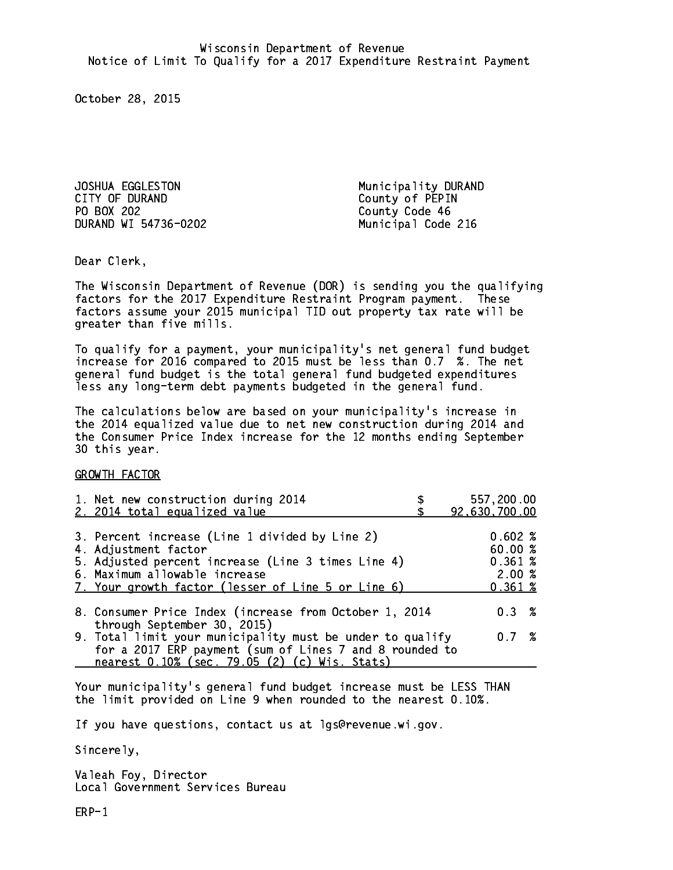JOSHUA EGGLESTON Municipality DURAND CITY OF DURAND COUNTY OF PEPIN PO BOX 202 County Code 46 DURAND WI 54736-0202

Municipal Code 216

Dear Clerk. Dear Clerk,

The Wisconsin Department of Revenue (DOR) is sending you the qualifying factors for the 2017 Expenditure Restraint Program payment. These factors assume your 2015 municipal TID out property tax rate will be greater than five mills.

 To qualify for a payment, your municipality's net general fund budget increase for 2016 compared to 2015 must be less than 0.7 %. The net general fund budget is the total general fund budgeted expenditures less any long-term debt payments budgeted in the general fund.

The calculations below are based on your municipality's increase in the 2014 equalized value due to net new construction during 2014 and the Consumer Price Index increase for the 12 months ending September 30 this year. 30 this year.

GROWTH FACTOR

| 1. Net new construction during 2014<br>2. 2014 total equalized value                                                                                                                                                | 557,200.00<br>92,630,700.00                     |
|---------------------------------------------------------------------------------------------------------------------------------------------------------------------------------------------------------------------|-------------------------------------------------|
| 3. Percent increase (Line 1 divided by Line 2)<br>4. Adjustment factor<br>5. Adjusted percent increase (Line 3 times Line 4)<br>6. Maximum allowable increase<br>7. Your growth factor (lesser of Line 5 or Line 6) | 0.602%<br>60.00%<br>0.361~%<br>2.00%<br>0.361~% |
| 8. Consumer Price Index (increase from October 1, 2014                                                                                                                                                              | 0.3%                                            |
| through September 30, 2015)<br>9. Total limit your municipality must be under to qualify<br>for a 2017 ERP payment (sum of Lines 7 and 8 rounded to<br>nearest 0.10% (sec. 79.05 (2) (c) Wis. Stats)                | 0.7%                                            |

Your municipality's general fund budget increase must be LESS THAN the limit provided on Line 9 when rounded to the nearest 0.10%.

If you have questions, contact us at lgs@revenue.wi.gov.

Sincerely,

Valeah Foy, Director Local Government Services Bureau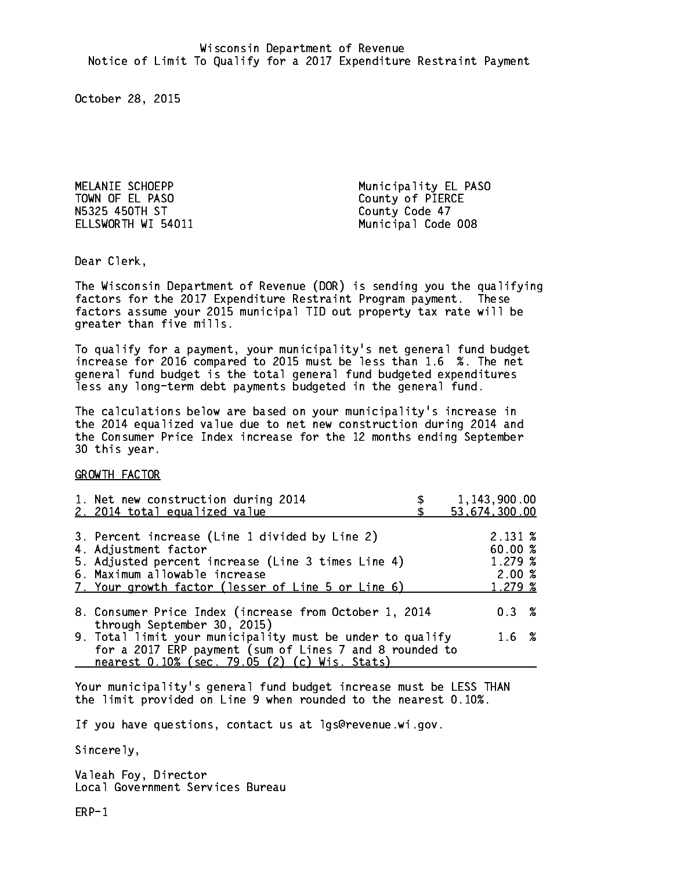TOWN OF EL PASO County of PIERCE N5325 450TH ST County Code 47

MELANIE SCHOEPP **Municipality EL PASO** ELLSWORTH WI 54011 Municipal Code 008

Dear Clerk. Dear Clerk,

The Wisconsin Department of Revenue (DOR) is sending you the qualifying factors for the 2017 Expenditure Restraint Program payment. These factors assume your 2015 municipal TID out property tax rate will be greater than five mills.

 To qualify for a payment, your municipality's net general fund budget increase for 2016 compared to 2015 must be less than 1.6 %. The net general fund budget is the total general fund budgeted expenditures less any long-term debt payments budgeted in the general fund.

The calculations below are based on your municipality's increase in the 2014 equalized value due to net new construction during 2014 and the Consumer Price Index increase for the 12 months ending September 30 this year. 30 this year.

GROWTH FACTOR

| 1. Net new construction during 2014<br>2. 2014 total equalized value                                                                                                                                                | 1,143,900.00<br>53,674,300.00                                  |
|---------------------------------------------------------------------------------------------------------------------------------------------------------------------------------------------------------------------|----------------------------------------------------------------|
| 3. Percent increase (Line 1 divided by Line 2)<br>4. Adjustment factor<br>5. Adjusted percent increase (Line 3 times Line 4)<br>6. Maximum allowable increase<br>7. Your growth factor (lesser of Line 5 or Line 6) | $2.131 \; \text{\%}$<br>60.00 %<br>1.279~%<br>2.00%<br>1.279 % |
| 8. Consumer Price Index (increase from October 1, 2014                                                                                                                                                              | $0.3 \t%$                                                      |
| through September 30, 2015)<br>9. Total limit your municipality must be under to qualify<br>for a 2017 ERP payment (sum of Lines 7 and 8 rounded to<br>nearest 0.10% (sec. 79.05 (2) (c) Wis. Stats)                | 1.6 %                                                          |

Your municipality's general fund budget increase must be LESS THAN the limit provided on Line 9 when rounded to the nearest 0.10%.

If you have questions, contact us at lgs@revenue.wi.gov.

Sincerely,

Valeah Foy, Director Local Government Services Bureau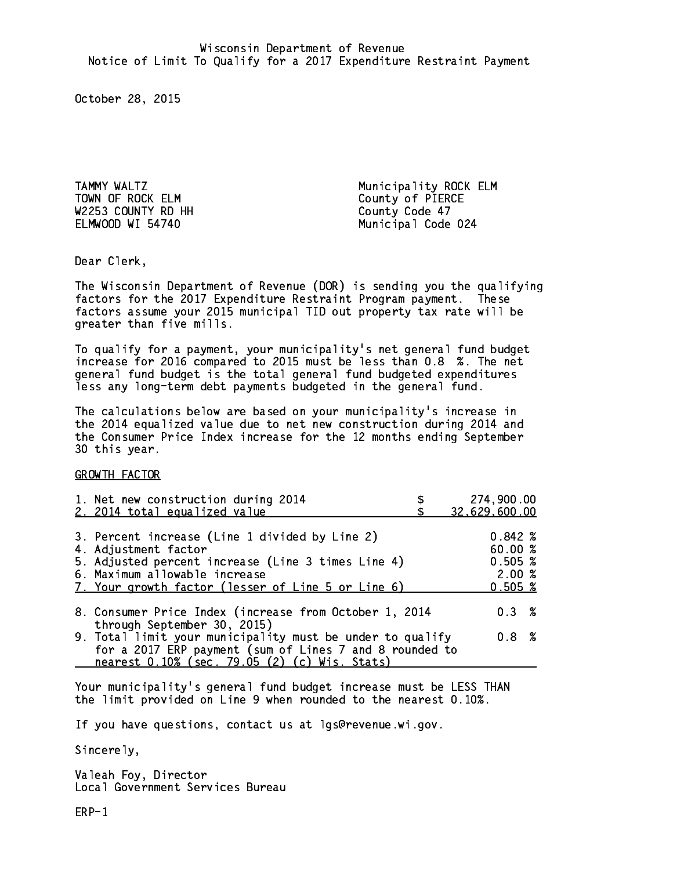TOWN OF ROCK ELM County of PIERCE W2253 COUNTY RD HH County Code 47 ELMWOOD WI 54740

TAMMY WALTZ **Municipality ROCK ELM** Municipal Code 024

Dear Clerk. Dear Clerk,

The Wisconsin Department of Revenue (DOR) is sending you the qualifying factors for the 2017 Expenditure Restraint Program payment. These factors assume your 2015 municipal TID out property tax rate will be greater than five mills.

 To qualify for a payment, your municipality's net general fund budget increase for 2016 compared to 2015 must be less than 0.8 %. The net general fund budget is the total general fund budgeted expenditures less any long-term debt payments budgeted in the general fund.

The calculations below are based on your municipality's increase in the 2014 equalized value due to net new construction during 2014 and the Consumer Price Index increase for the 12 months ending September 30 this year. 30 this year.

GROWTH FACTOR

| 1. Net new construction during 2014<br>2. 2014 total equalized value                                                                                                                                                | 274,900.00<br>32,629,600.00                           |
|---------------------------------------------------------------------------------------------------------------------------------------------------------------------------------------------------------------------|-------------------------------------------------------|
| 3. Percent increase (Line 1 divided by Line 2)<br>4. Adjustment factor<br>5. Adjusted percent increase (Line 3 times Line 4)<br>6. Maximum allowable increase<br>7. Your growth factor (lesser of Line 5 or Line 6) | $0.842 \; %$<br>60.00%<br>0.505~%<br>2.00%<br>0.505~% |
| 8. Consumer Price Index (increase from October 1, 2014<br>through September 30, 2015)                                                                                                                               | $0.3 \t%$                                             |
| 9. Total limit your municipality must be under to qualify<br>for a 2017 ERP payment (sum of Lines 7 and 8 rounded to<br>nearest 0.10% (sec. 79.05 (2) (c) Wis. Stats)                                               | 0.8%                                                  |

Your municipality's general fund budget increase must be LESS THAN the limit provided on Line 9 when rounded to the nearest 0.10%.

If you have questions, contact us at lgs@revenue.wi.gov.

Sincerely,

Valeah Foy, Director Local Government Services Bureau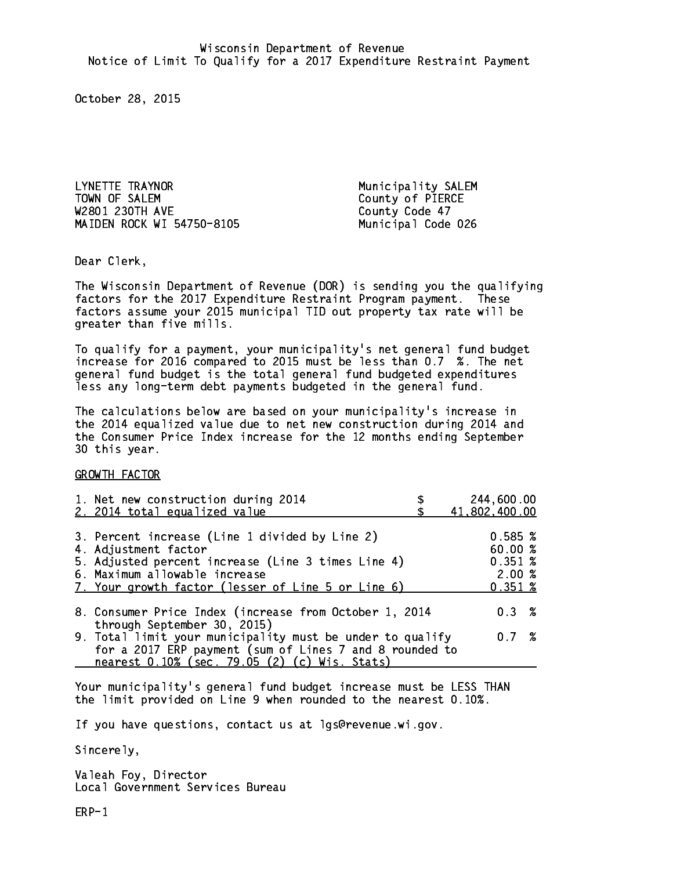LYNETTE TRAYNOR<br>TOWN OF SALEM W2801 230TH AVE County Code 47 MAIDEN ROCK WI 54750-8105 Municipal Code 026

Municipality SALEM County of PIERCE

Dear Clerk. Dear Clerk,

The Wisconsin Department of Revenue (DOR) is sending you the qualifying factors for the 2017 Expenditure Restraint Program payment. These factors assume your 2015 municipal TID out property tax rate will be greater than five mills.

 To qualify for a payment, your municipality's net general fund budget increase for 2016 compared to 2015 must be less than 0.7 %. The net general fund budget is the total general fund budgeted expenditures less any long-term debt payments budgeted in the general fund.

The calculations below are based on your municipality's increase in the 2014 equalized value due to net new construction during 2014 and the Consumer Price Index increase for the 12 months ending September 30 this year. 30 this year.

GROWTH FACTOR

| 1. Net new construction during 2014<br>2. 2014 total equalized value                                                                                                                                                | 244,600.00<br>41,802,400.00                      |
|---------------------------------------------------------------------------------------------------------------------------------------------------------------------------------------------------------------------|--------------------------------------------------|
| 3. Percent increase (Line 1 divided by Line 2)<br>4. Adjustment factor<br>5. Adjusted percent increase (Line 3 times Line 4)<br>6. Maximum allowable increase<br>7. Your growth factor (lesser of Line 5 or Line 6) | 0.585~%<br>60.00%<br>0.351~%<br>2.00%<br>0.351~% |
| 8. Consumer Price Index (increase from October 1, 2014                                                                                                                                                              | 0.3%                                             |
| through September 30, 2015)<br>9. Total limit your municipality must be under to qualify<br>for a 2017 ERP payment (sum of Lines 7 and 8 rounded to<br>nearest 0.10% (sec. 79.05 (2) (c) Wis. Stats)                | 0.7%                                             |

Your municipality's general fund budget increase must be LESS THAN the limit provided on Line 9 when rounded to the nearest 0.10%.

If you have questions, contact us at lgs@revenue.wi.gov.

Sincerely,

Valeah Foy, Director Local Government Services Bureau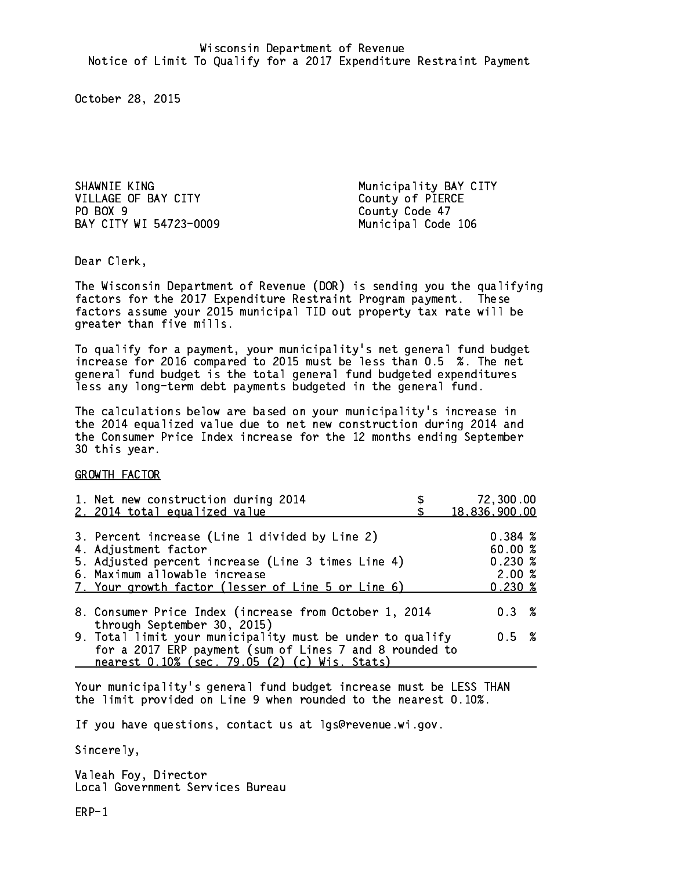SHAWNIE KING **Municipality BAY CITY** VILLAGE OF BAY CITY COUNTY County of PIERCE PO BOX 9 BAY CITY WI 54723-0009 Municipal Code 106

County Code 47

Dear Clerk. Dear Clerk,

The Wisconsin Department of Revenue (DOR) is sending you the qualifying factors for the 2017 Expenditure Restraint Program payment. These factors assume your 2015 municipal TID out property tax rate will be greater than five mills.

 To qualify for a payment, your municipality's net general fund budget increase for 2016 compared to 2015 must be less than 0.5 %. The net general fund budget is the total general fund budgeted expenditures less any long-term debt payments budgeted in the general fund.

The calculations below are based on your municipality's increase in the 2014 equalized value due to net new construction during 2014 and the Consumer Price Index increase for the 12 months ending September 30 this year. 30 this year.

GROWTH FACTOR

| 1. Net new construction during 2014<br>2. 2014 total equalized value                                                                                                                                                | 72,300.00<br>18,836,900.00                                    |
|---------------------------------------------------------------------------------------------------------------------------------------------------------------------------------------------------------------------|---------------------------------------------------------------|
| 3. Percent increase (Line 1 divided by Line 2)<br>4. Adjustment factor<br>5. Adjusted percent increase (Line 3 times Line 4)<br>6. Maximum allowable increase<br>7. Your growth factor (lesser of Line 5 or Line 6) | 0.384~%<br>60.00%<br>$0.230*$<br>2.00%<br>$0.230 \; \text{%}$ |
| 8. Consumer Price Index (increase from October 1, 2014                                                                                                                                                              | 0.3%                                                          |
| through September 30, 2015)<br>9. Total limit your municipality must be under to qualify<br>for a 2017 ERP payment (sum of Lines 7 and 8 rounded to<br>nearest 0.10% (sec. 79.05 (2) (c) Wis. Stats)                | 0.5 %                                                         |

Your municipality's general fund budget increase must be LESS THAN the limit provided on Line 9 when rounded to the nearest 0.10%.

If you have questions, contact us at lgs@revenue.wi.gov.

Sincerely,

Valeah Foy, Director Local Government Services Bureau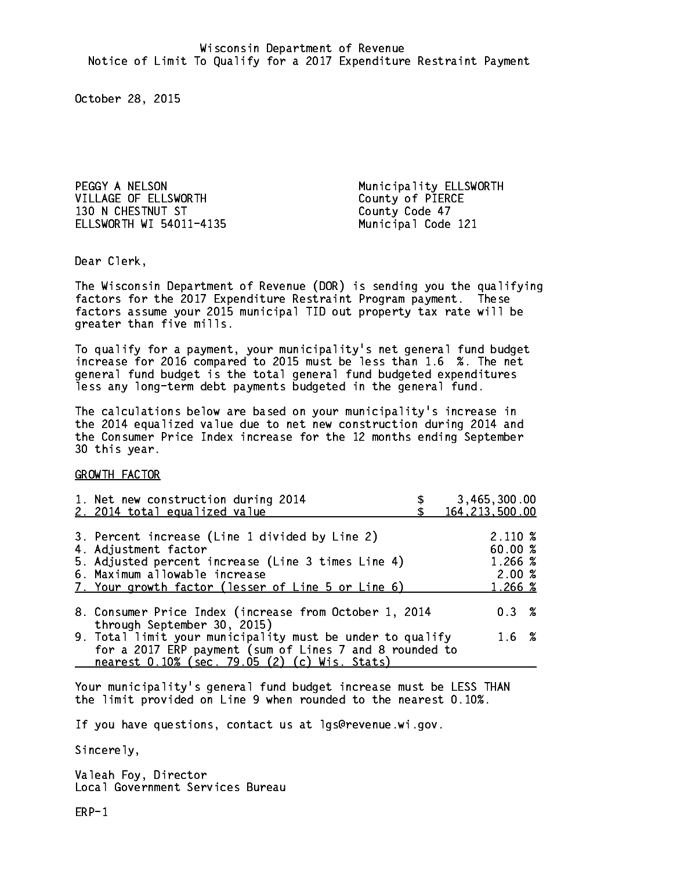PEGGY A NELSON **Municipality ELLSWORTH** VILLAGE OF ELLSWORTH County of PIERCE 130 N CHESTNUT ST County Code 47 ELLSWORTH WI 54011-4135 Municipal Code 121

Dear Clerk. Dear Clerk,

The Wisconsin Department of Revenue (DOR) is sending you the qualifying factors for the 2017 Expenditure Restraint Program payment. These factors assume your 2015 municipal TID out property tax rate will be greater than five mills.

 To qualify for a payment, your municipality's net general fund budget increase for 2016 compared to 2015 must be less than 1.6 %. The net general fund budget is the total general fund budgeted expenditures less any long-term debt payments budgeted in the general fund.

The calculations below are based on your municipality's increase in the 2014 equalized value due to net new construction during 2014 and the Consumer Price Index increase for the 12 months ending September 30 this year. 30 this year.

GROWTH FACTOR

| 1. Net new construction during 2014                                                                                                                                                                  | 3,465,300.00     |
|------------------------------------------------------------------------------------------------------------------------------------------------------------------------------------------------------|------------------|
| 2. 2014 total equalized value                                                                                                                                                                        | 164, 213, 500.00 |
| 3. Percent increase (Line 1 divided by Line 2)                                                                                                                                                       | $2.110\%$        |
| 4. Adjustment factor                                                                                                                                                                                 | 60.00%           |
| 5. Adjusted percent increase (Line 3 times Line 4)                                                                                                                                                   | 1.266 %          |
| 6. Maximum allowable increase                                                                                                                                                                        | 2.00%            |
| 7. Your growth factor (lesser of Line 5 or Line 6)                                                                                                                                                   | 1.266 %          |
| 8. Consumer Price Index (increase from October 1, 2014                                                                                                                                               | $0.3 \t%$        |
| through September 30, 2015)<br>9. Total limit your municipality must be under to qualify<br>for a 2017 ERP payment (sum of Lines 7 and 8 rounded to<br>nearest 0.10% (sec. 79.05 (2) (c) Wis. Stats) | 1.6 %            |

Your municipality's general fund budget increase must be LESS THAN the limit provided on Line 9 when rounded to the nearest 0.10%.

If you have questions, contact us at lgs@revenue.wi.gov.

Sincerely,

Valeah Foy, Director Local Government Services Bureau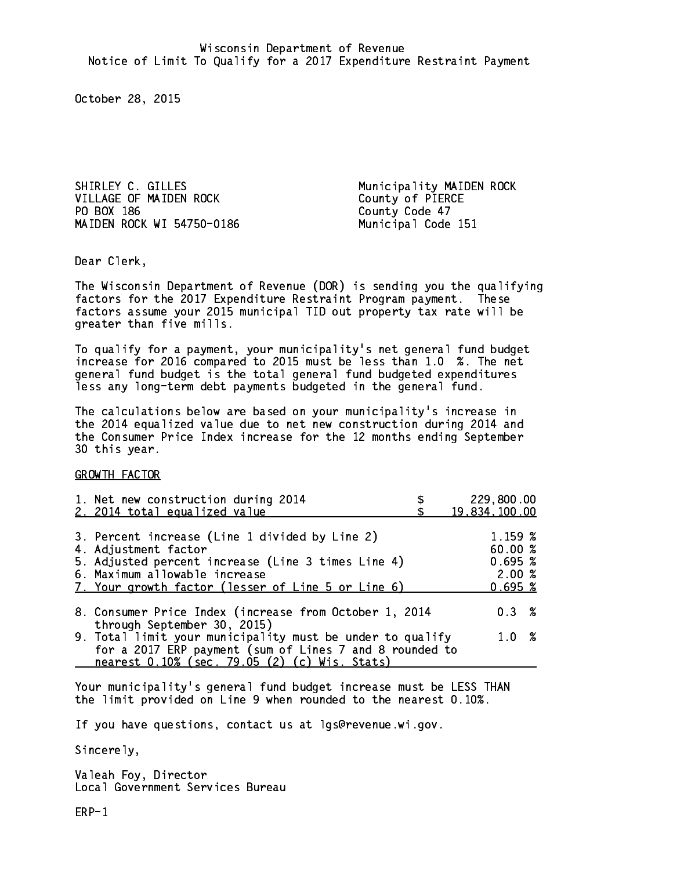SHIRLEY C. GILLES Municipality MAIDEN ROCK VILLAGE OF MAIDEN ROCK County of PIERCE PO BOX 186 County Code 47 MAIDEN ROCK WI 54750-0186 Municipal Code 151

Dear Clerk. Dear Clerk,

The Wisconsin Department of Revenue (DOR) is sending you the qualifying factors for the 2017 Expenditure Restraint Program payment. These factors assume your 2015 municipal TID out property tax rate will be greater than five mills.

 To qualify for a payment, your municipality's net general fund budget increase for 2016 compared to 2015 must be less than 1.0 %. The net general fund budget is the total general fund budgeted expenditures less any long-term debt payments budgeted in the general fund.

The calculations below are based on your municipality's increase in the 2014 equalized value due to net new construction during 2014 and the Consumer Price Index increase for the 12 months ending September 30 this year. 30 this year.

GROWTH FACTOR

| 1. Net new construction during 2014<br>2. 2014 total equalized value                                                                                                  | 229,800.00<br>19,834,100.00  |
|-----------------------------------------------------------------------------------------------------------------------------------------------------------------------|------------------------------|
|                                                                                                                                                                       |                              |
| 3. Percent increase (Line 1 divided by Line 2)<br>4. Adjustment factor<br>5. Adjusted percent increase (Line 3 times Line 4)                                          | 1.159 %<br>60.00%<br>0.695~% |
| 6. Maximum allowable increase<br>7. Your growth factor (lesser of Line 5 or Line 6)                                                                                   | 2.00%<br>0.695~%             |
| 8. Consumer Price Index (increase from October 1, 2014<br>through September 30, 2015)                                                                                 | $0.3 \t%$                    |
| 9. Total limit your municipality must be under to qualify<br>for a 2017 ERP payment (sum of Lines 7 and 8 rounded to<br>nearest 0.10% (sec. 79.05 (2) (c) Wis. Stats) | 1.0%                         |

Your municipality's general fund budget increase must be LESS THAN the limit provided on Line 9 when rounded to the nearest 0.10%.

If you have questions, contact us at lgs@revenue.wi.gov.

Sincerely,

Valeah Foy, Director Local Government Services Bureau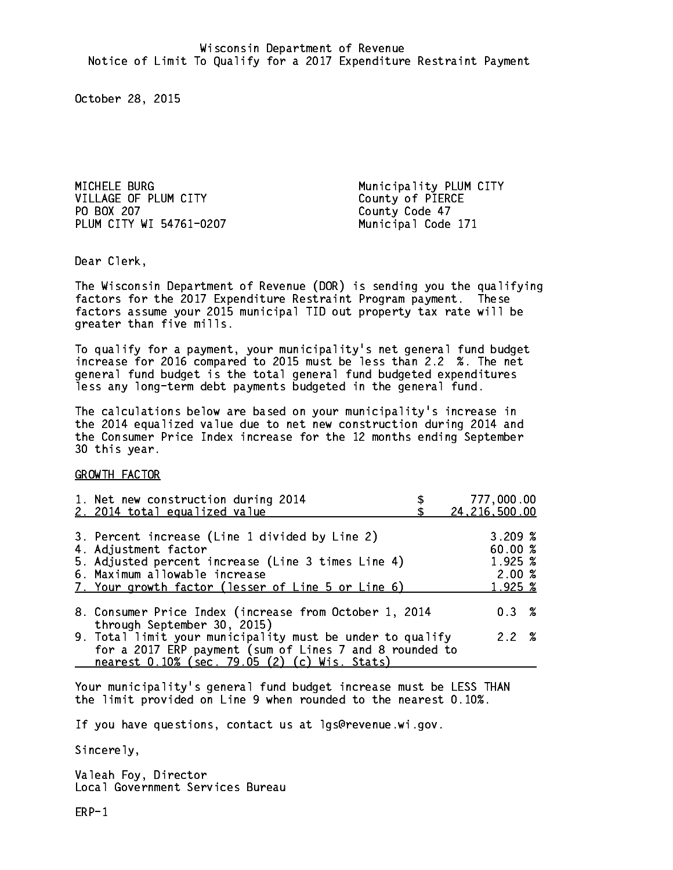MICHELE BURG Municipality PLUM CITY VILLAGE OF PLUM CITY County of PIERCE PO BOX 207 PLUM CITY WI 54761-0207 Municipal Code 171

County Code 47

Dear Clerk. Dear Clerk,

The Wisconsin Department of Revenue (DOR) is sending you the qualifying factors for the 2017 Expenditure Restraint Program payment. These factors assume your 2015 municipal TID out property tax rate will be greater than five mills.

 To qualify for a payment, your municipality's net general fund budget increase for 2016 compared to 2015 must be less than 2.2 %. The net general fund budget is the total general fund budgeted expenditures less any long-term debt payments budgeted in the general fund.

The calculations below are based on your municipality's increase in the 2014 equalized value due to net new construction during 2014 and the Consumer Price Index increase for the 12 months ending September 30 this year. 30 this year.

GROWTH FACTOR

| 1. Net new construction during 2014<br>2. 2014 total equalized value                                                                                                                                                | 777,000.00<br>24, 216, 500.00                   |
|---------------------------------------------------------------------------------------------------------------------------------------------------------------------------------------------------------------------|-------------------------------------------------|
| 3. Percent increase (Line 1 divided by Line 2)<br>4. Adjustment factor<br>5. Adjusted percent increase (Line 3 times Line 4)<br>6. Maximum allowable increase<br>7. Your growth factor (lesser of Line 5 or Line 6) | 3.209%<br>60.00%<br>1.925 %<br>2.00%<br>1.925 % |
| 8. Consumer Price Index (increase from October 1, 2014<br>through September 30, 2015)                                                                                                                               | $0.3 \t%$                                       |
| 9. Total limit your municipality must be under to qualify<br>for a 2017 ERP payment (sum of Lines 7 and 8 rounded to<br>nearest 0.10% (sec. 79.05 (2) (c) Wis. Stats)                                               | 2.2%                                            |

Your municipality's general fund budget increase must be LESS THAN the limit provided on Line 9 when rounded to the nearest 0.10%.

If you have questions, contact us at lgs@revenue.wi.gov.

Sincerely,

Valeah Foy, Director Local Government Services Bureau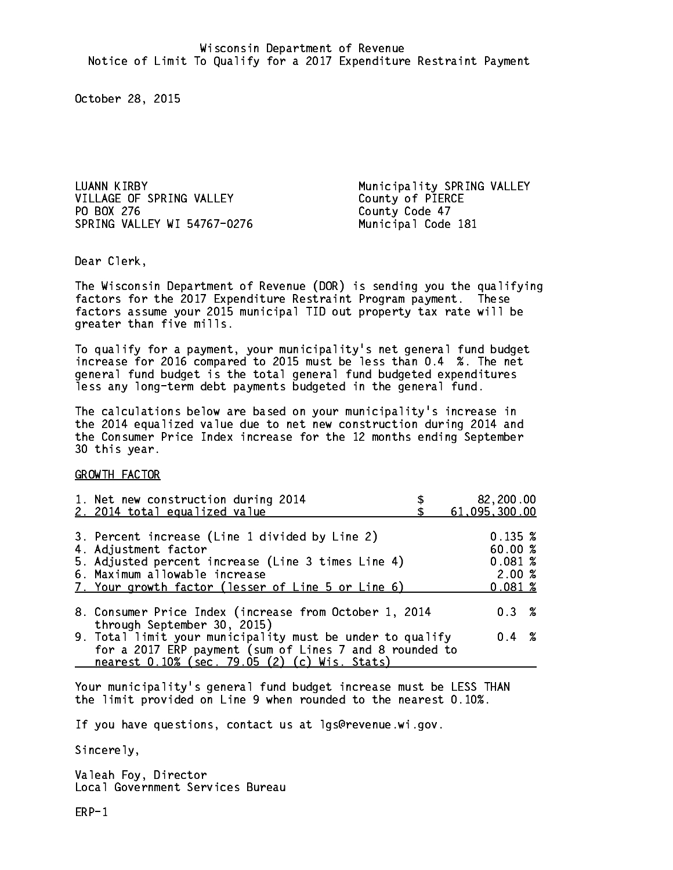LUANN KIRBY **Municipality SPRING VALLEY** VILLAGE OF SPRING VALLEY County of PIERCE PO BOX 276 County Code 47 SPRING VALLEY WI 54767-0276 Municipal Code 181

Dear Clerk. Dear Clerk,

The Wisconsin Department of Revenue (DOR) is sending you the qualifying factors for the 2017 Expenditure Restraint Program payment. These factors assume your 2015 municipal TID out property tax rate will be greater than five mills.

 To qualify for a payment, your municipality's net general fund budget increase for 2016 compared to 2015 must be less than 0.4 %. The net general fund budget is the total general fund budgeted expenditures less any long-term debt payments budgeted in the general fund.

The calculations below are based on your municipality's increase in the 2014 equalized value due to net new construction during 2014 and the Consumer Price Index increase for the 12 months ending September 30 this year. 30 this year.

GROWTH FACTOR

| 1. Net new construction during 2014<br>2. 2014 total equalized value                                                                                                                                                | 82,200.00<br>61,095,300.00                      |
|---------------------------------------------------------------------------------------------------------------------------------------------------------------------------------------------------------------------|-------------------------------------------------|
| 3. Percent increase (Line 1 divided by Line 2)<br>4. Adjustment factor<br>5. Adjusted percent increase (Line 3 times Line 4)<br>6. Maximum allowable increase<br>7. Your growth factor (lesser of Line 5 or Line 6) | 0.135~%<br>60.00%<br>0.081~%<br>2.00%<br>0.081% |
| 8. Consumer Price Index (increase from October 1, 2014<br>through September 30, 2015)                                                                                                                               | $0.3 \t%$                                       |
| 9. Total limit your municipality must be under to qualify<br>for a 2017 ERP payment (sum of Lines 7 and 8 rounded to<br>nearest 0.10% (sec. 79.05 (2) (c) Wis. Stats)                                               | $0.4 \t%$                                       |

Your municipality's general fund budget increase must be LESS THAN the limit provided on Line 9 when rounded to the nearest 0.10%.

If you have questions, contact us at lgs@revenue.wi.gov.

Sincerely,

Valeah Foy, Director Local Government Services Bureau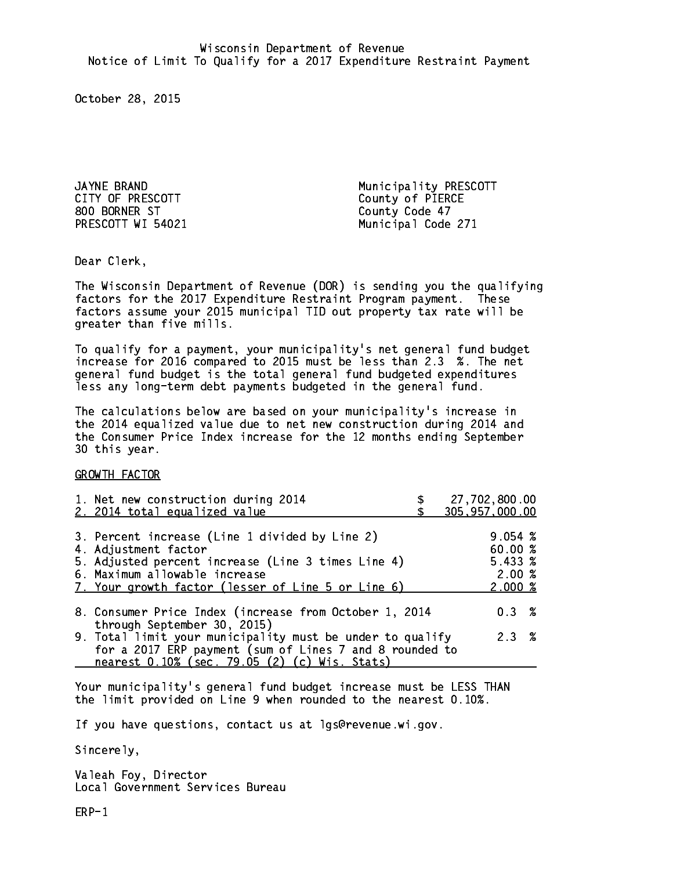CITY OF PRESCOTT COUNTY OF PIERCE 800 BORNER ST County Code 47

JAYNE BRAND **Municipality PRESCOTT** PRESCOTT WI 54021 Municipal Code 271

Dear Clerk. Dear Clerk,

The Wisconsin Department of Revenue (DOR) is sending you the qualifying factors for the 2017 Expenditure Restraint Program payment. These factors assume your 2015 municipal TID out property tax rate will be greater than five mills.

 To qualify for a payment, your municipality's net general fund budget increase for 2016 compared to 2015 must be less than 2.3 %. The net general fund budget is the total general fund budgeted expenditures less any long-term debt payments budgeted in the general fund.

The calculations below are based on your municipality's increase in the 2014 equalized value due to net new construction during 2014 and the Consumer Price Index increase for the 12 months ending September 30 this year. 30 this year.

GROWTH FACTOR

| 1. Net new construction during 2014<br>2. 2014 total equalized value                                                                                                                                                | 27,702,800.00<br>305,957,000.00                  |
|---------------------------------------------------------------------------------------------------------------------------------------------------------------------------------------------------------------------|--------------------------------------------------|
| 3. Percent increase (Line 1 divided by Line 2)<br>4. Adjustment factor<br>5. Adjusted percent increase (Line 3 times Line 4)<br>6. Maximum allowable increase<br>7. Your growth factor (lesser of Line 5 or Line 6) | 9.054~%<br>60.00%<br>5.433~%<br>2.00%<br>2.000~% |
| 8. Consumer Price Index (increase from October 1, 2014                                                                                                                                                              | $0.3 \t%$                                        |
| through September 30, 2015)<br>9. Total limit your municipality must be under to qualify<br>for a 2017 ERP payment (sum of Lines 7 and 8 rounded to<br>nearest 0.10% (sec. 79.05 (2) (c) Wis. Stats)                | 2.3%                                             |

Your municipality's general fund budget increase must be LESS THAN the limit provided on Line 9 when rounded to the nearest 0.10%.

If you have questions, contact us at lgs@revenue.wi.gov.

Sincerely,

Valeah Foy, Director Local Government Services Bureau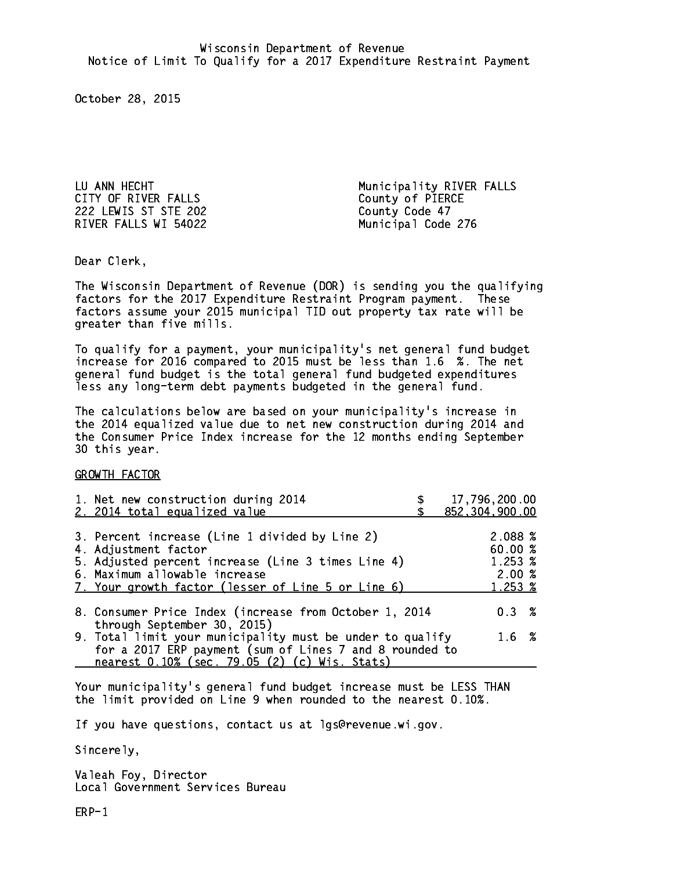CITY OF RIVER FALLS County of PIERCE 222 LEWIS ST STE 202 County Code 47 RIVER FALLS WI 54022 Municipal Code 276

LU ANN HECHT Municipality RIVER FALLS

Dear Clerk. Dear Clerk,

The Wisconsin Department of Revenue (DOR) is sending you the qualifying factors for the 2017 Expenditure Restraint Program payment. These factors assume your 2015 municipal TID out property tax rate will be greater than five mills.

 To qualify for a payment, your municipality's net general fund budget increase for 2016 compared to 2015 must be less than 1.6 %. The net general fund budget is the total general fund budgeted expenditures less any long-term debt payments budgeted in the general fund.

The calculations below are based on your municipality's increase in the 2014 equalized value due to net new construction during 2014 and the Consumer Price Index increase for the 12 months ending September 30 this year. 30 this year.

GROWTH FACTOR

| 1. Net new construction during 2014<br>2. 2014 total equalized value                                                                                                                                                | 17,796,200.00<br>852,304,900.00                                |
|---------------------------------------------------------------------------------------------------------------------------------------------------------------------------------------------------------------------|----------------------------------------------------------------|
| 3. Percent increase (Line 1 divided by Line 2)<br>4. Adjustment factor<br>5. Adjusted percent increase (Line 3 times Line 4)<br>6. Maximum allowable increase<br>7. Your growth factor (lesser of Line 5 or Line 6) | 2.088 %<br>60.00 %<br>1.253 %<br>2.00%<br>$1.253 \; \text{\%}$ |
| 8. Consumer Price Index (increase from October 1, 2014<br>through September 30, 2015)                                                                                                                               | $0.3 \t%$                                                      |
| 9. Total limit your municipality must be under to qualify<br>for a 2017 ERP payment (sum of Lines 7 and 8 rounded to<br>nearest 0.10% (sec. 79.05 (2) (c) Wis. Stats)                                               | 1.6%                                                           |

Your municipality's general fund budget increase must be LESS THAN the limit provided on Line 9 when rounded to the nearest 0.10%.

If you have questions, contact us at lgs@revenue.wi.gov.

Sincerely,

Valeah Foy, Director Local Government Services Bureau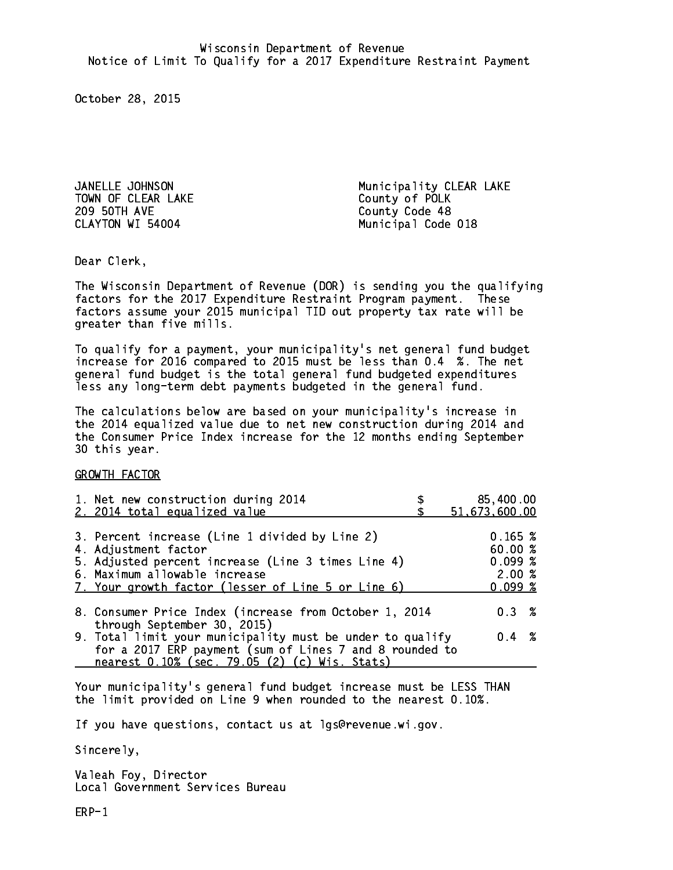TOWN OF CLEAR LAKE COUNTY OF POLK 209 50TH AVE County Code 48 CLAYTON WI 54004

JANELLE JOHNSON **Municipality CLEAR LAKE** Municipal Code 018

Dear Clerk. Dear Clerk,

The Wisconsin Department of Revenue (DOR) is sending you the qualifying factors for the 2017 Expenditure Restraint Program payment. These factors assume your 2015 municipal TID out property tax rate will be greater than five mills.

 To qualify for a payment, your municipality's net general fund budget increase for 2016 compared to 2015 must be less than 0.4 %. The net general fund budget is the total general fund budgeted expenditures less any long-term debt payments budgeted in the general fund.

The calculations below are based on your municipality's increase in the 2014 equalized value due to net new construction during 2014 and the Consumer Price Index increase for the 12 months ending September 30 this year. 30 this year.

GROWTH FACTOR

| 1. Net new construction during 2014<br>2. 2014 total equalized value                                                                                                                                                | 85,400.00<br>51,673,600.00                       |
|---------------------------------------------------------------------------------------------------------------------------------------------------------------------------------------------------------------------|--------------------------------------------------|
| 3. Percent increase (Line 1 divided by Line 2)<br>4. Adjustment factor<br>5. Adjusted percent increase (Line 3 times Line 4)<br>6. Maximum allowable increase<br>7. Your growth factor (lesser of Line 5 or Line 6) | 0.165~%<br>60.00%<br>0.099~%<br>2.00%<br>0.099~% |
| 8. Consumer Price Index (increase from October 1, 2014                                                                                                                                                              | $0.3 \t%$                                        |
| through September 30, 2015)<br>9. Total limit your municipality must be under to qualify<br>for a 2017 ERP payment (sum of Lines 7 and 8 rounded to<br>nearest 0.10% (sec. 79.05 (2) (c) Wis. Stats)                | $0.4 \t%$                                        |

Your municipality's general fund budget increase must be LESS THAN the limit provided on Line 9 when rounded to the nearest 0.10%.

If you have questions, contact us at lgs@revenue.wi.gov.

Sincerely,

Valeah Foy, Director Local Government Services Bureau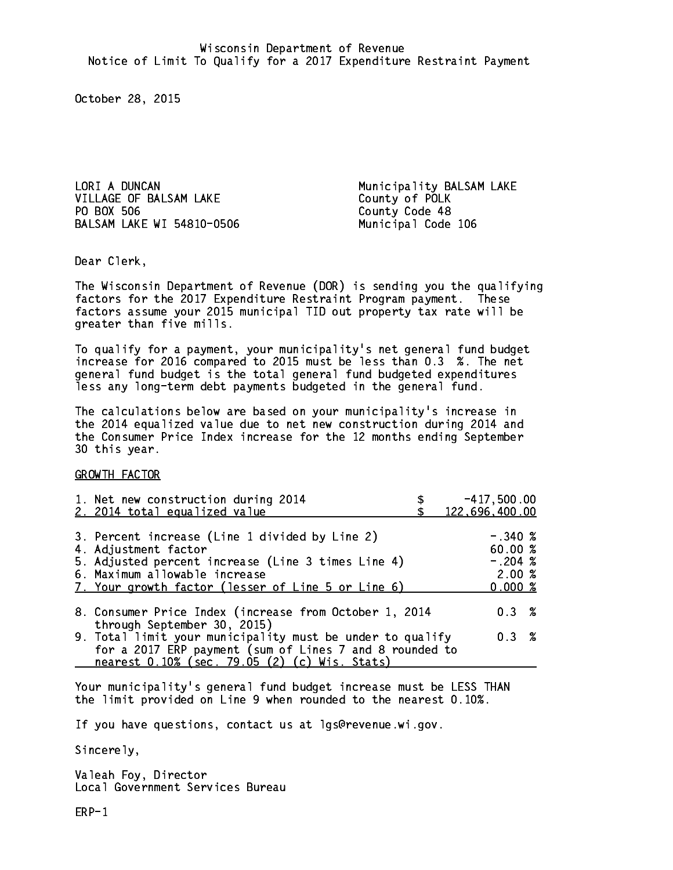LORI A DUNCAN Municipality BALSAM LAKE VILLAGE OF BALSAM LAKE County of POLK PO BOX 506 County Code 48 BALSAM LAKE WI 54810-0506 Municipal Code 106

Dear Clerk. Dear Clerk,

The Wisconsin Department of Revenue (DOR) is sending you the qualifying factors for the 2017 Expenditure Restraint Program payment. These factors assume your 2015 municipal TID out property tax rate will be greater than five mills.

 To qualify for a payment, your municipality's net general fund budget increase for 2016 compared to 2015 must be less than 0.3 %. The net general fund budget is the total general fund budgeted expenditures less any long-term debt payments budgeted in the general fund.

The calculations below are based on your municipality's increase in the 2014 equalized value due to net new construction during 2014 and the Consumer Price Index increase for the 12 months ending September 30 this year. 30 this year.

GROWTH FACTOR

| 1. Net new construction during 2014<br>2. 2014 total equalized value                                                                                                                                                | $-417,500.00$<br>122,696,400.00                       |
|---------------------------------------------------------------------------------------------------------------------------------------------------------------------------------------------------------------------|-------------------------------------------------------|
| 3. Percent increase (Line 1 divided by Line 2)<br>4. Adjustment factor<br>5. Adjusted percent increase (Line 3 times Line 4)<br>6. Maximum allowable increase<br>7. Your growth factor (lesser of Line 5 or Line 6) | $-.340~%$<br>60.00 %<br>$-.204$ %<br>2.00%<br>0.000~% |
| 8. Consumer Price Index (increase from October 1, 2014<br>through September 30, 2015)                                                                                                                               | 0.3%                                                  |
| 9. Total limit your municipality must be under to qualify<br>for a 2017 ERP payment (sum of Lines 7 and 8 rounded to<br>nearest 0.10% (sec. 79.05 (2) (c) Wis. Stats)                                               | 0.3%                                                  |

Your municipality's general fund budget increase must be LESS THAN the limit provided on Line 9 when rounded to the nearest 0.10%.

If you have questions, contact us at lgs@revenue.wi.gov.

Sincerely,

Valeah Foy, Director Local Government Services Bureau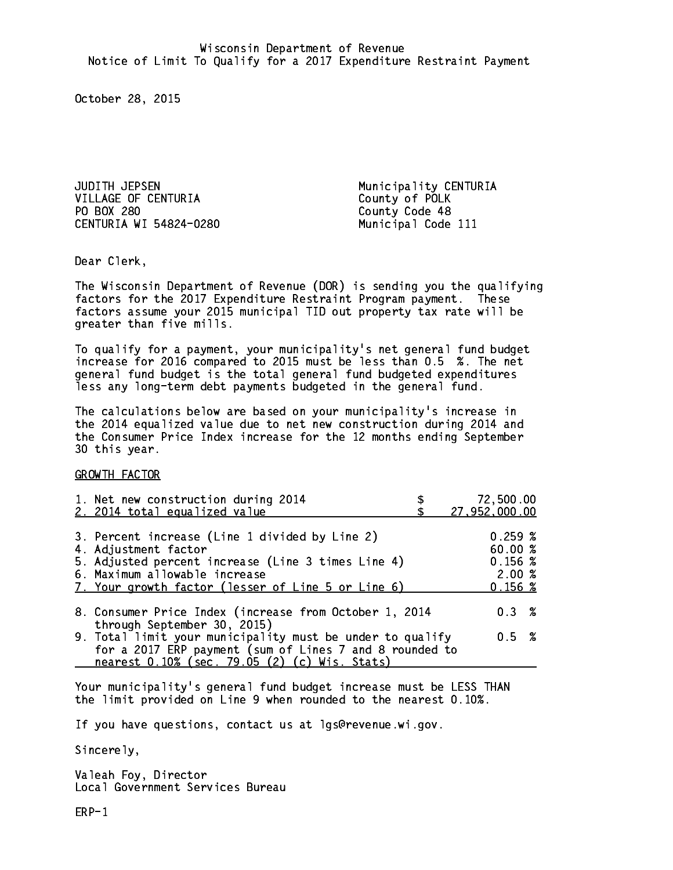JUDITH JEPSEN Municipality CENTURIA VILLAGE OF CENTURIA County of POLK PO BOX 280 CENTURIA WI 54824-0280 Municipal Code 111

County Code 48

Dear Clerk. Dear Clerk,

The Wisconsin Department of Revenue (DOR) is sending you the qualifying factors for the 2017 Expenditure Restraint Program payment. These factors assume your 2015 municipal TID out property tax rate will be greater than five mills.

 To qualify for a payment, your municipality's net general fund budget increase for 2016 compared to 2015 must be less than 0.5 %. The net general fund budget is the total general fund budgeted expenditures less any long-term debt payments budgeted in the general fund.

The calculations below are based on your municipality's increase in the 2014 equalized value due to net new construction during 2014 and the Consumer Price Index increase for the 12 months ending September 30 this year. 30 this year. This year of the second terms of the second terms in the second terms in the second terms in the

GROWTH FACTOR

| 1. Net new construction during 2014<br>2. 2014 total equalized value                                                                                                                                                | 72,500.00<br>27,952,000.00                       |
|---------------------------------------------------------------------------------------------------------------------------------------------------------------------------------------------------------------------|--------------------------------------------------|
| 3. Percent increase (Line 1 divided by Line 2)<br>4. Adjustment factor<br>5. Adjusted percent increase (Line 3 times Line 4)<br>6. Maximum allowable increase<br>7. Your growth factor (lesser of Line 5 or Line 6) | 0.259~%<br>60.00%<br>0.156~%<br>2.00%<br>0.156~% |
| 8. Consumer Price Index (increase from October 1, 2014                                                                                                                                                              | $0.3 \t%$                                        |
| through September 30, 2015)<br>9. Total limit your municipality must be under to qualify<br>for a 2017 ERP payment (sum of Lines 7 and 8 rounded to<br>nearest 0.10% (sec. 79.05 (2) (c) Wis. Stats)                | 0.5 %                                            |

Your municipality's general fund budget increase must be LESS THAN the limit provided on Line 9 when rounded to the nearest 0.10%.

If you have questions, contact us at lgs@revenue.wi.gov.

Sincerely,

Valeah Foy, Director Local Government Services Bureau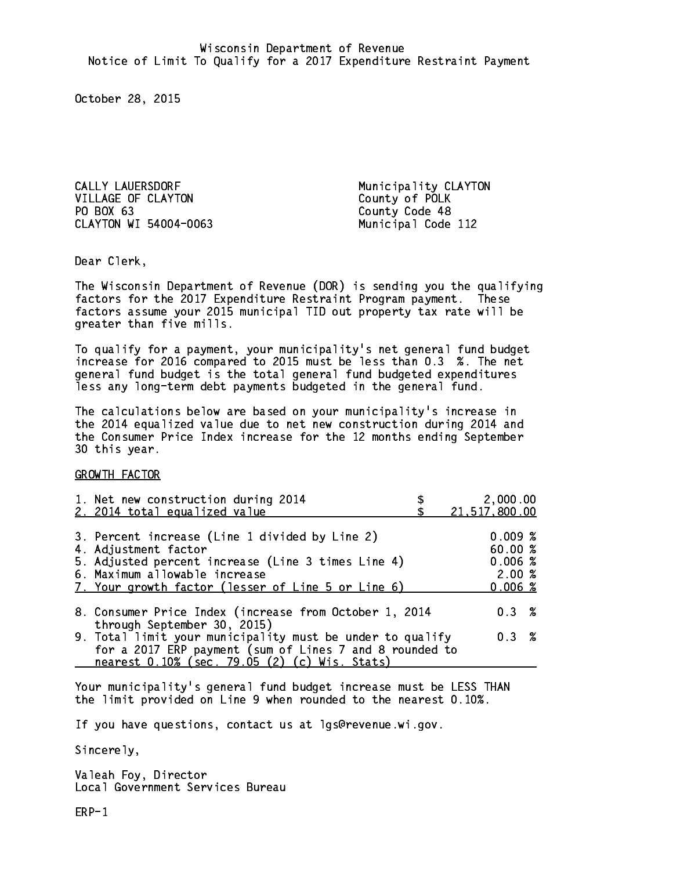CALLY LAUERSDORF **Municipality CLAYTON** VILLAGE OF CLAYTON County of POLK PO BOX 63 CLAYTON WI 54004-0063 Municipal Code 112

County Code 48

Dear Clerk. Dear Clerk,

The Wisconsin Department of Revenue (DOR) is sending you the qualifying factors for the 2017 Expenditure Restraint Program payment. These factors assume your 2015 municipal TID out property tax rate will be greater than five mills.

 To qualify for a payment, your municipality's net general fund budget increase for 2016 compared to 2015 must be less than 0.3 %. The net general fund budget is the total general fund budgeted expenditures less any long-term debt payments budgeted in the general fund.

The calculations below are based on your municipality's increase in the 2014 equalized value due to net new construction during 2014 and the Consumer Price Index increase for the 12 months ending September 30 this year. 30 this year. This year of the second terms of the second terms in the second terms in the second terms in the

GROWTH FACTOR

| 1. Net new construction during 2014<br>2. 2014 total equalized value                                                                                                                                                | 2,000.00<br>21,517,800.00                      |
|---------------------------------------------------------------------------------------------------------------------------------------------------------------------------------------------------------------------|------------------------------------------------|
| 3. Percent increase (Line 1 divided by Line 2)<br>4. Adjustment factor<br>5. Adjusted percent increase (Line 3 times Line 4)<br>6. Maximum allowable increase<br>7. Your growth factor (lesser of Line 5 or Line 6) | 0.009%<br>60.00%<br>0.006%<br>2.00%<br>0.006~% |
| 8. Consumer Price Index (increase from October 1, 2014                                                                                                                                                              | $0.3 \t%$                                      |
| through September 30, 2015)<br>9. Total limit your municipality must be under to qualify<br>for a 2017 ERP payment (sum of Lines 7 and 8 rounded to<br>nearest 0.10% (sec. 79.05 (2) (c) Wis. Stats)                | 0.3 %                                          |

Your municipality's general fund budget increase must be LESS THAN the limit provided on Line 9 when rounded to the nearest 0.10%.

If you have questions, contact us at lgs@revenue.wi.gov.

Sincerely,

Valeah Foy, Director Local Government Services Bureau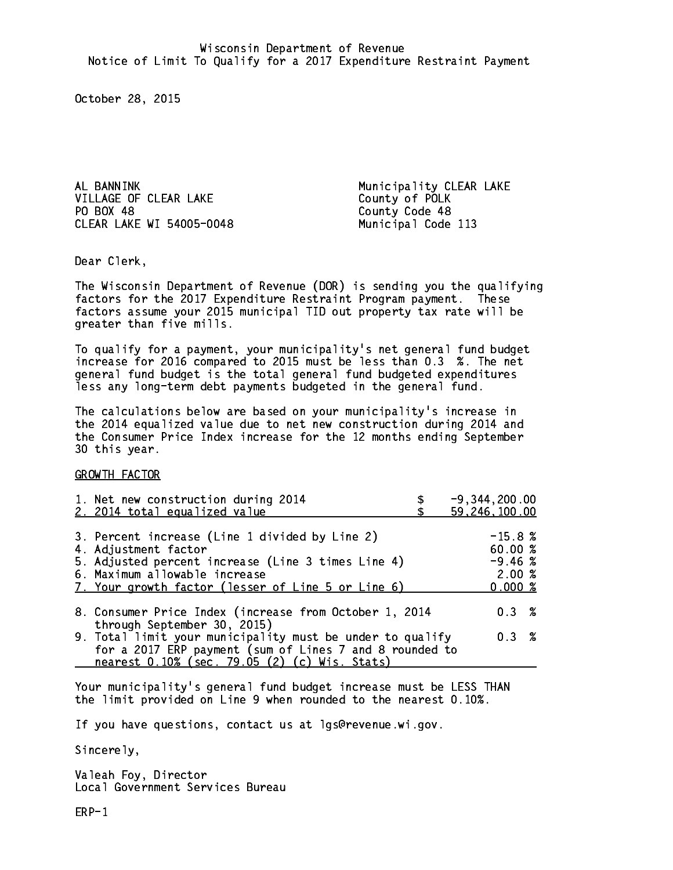AL BANNINK Municipality CLEAR LAKE VILLAGE OF CLEAR LAKE County of POLK PO BOX 48 CLEAR LAKE WI 54005-0048 Municipal Code 113

County Code 48

Dear Clerk. Dear Clerk,

The Wisconsin Department of Revenue (DOR) is sending you the qualifying factors for the 2017 Expenditure Restraint Program payment. These factors assume your 2015 municipal TID out property tax rate will be greater than five mills.

 To qualify for a payment, your municipality's net general fund budget increase for 2016 compared to 2015 must be less than 0.3 %. The net general fund budget is the total general fund budgeted expenditures less any long-term debt payments budgeted in the general fund.

The calculations below are based on your municipality's increase in the 2014 equalized value due to net new construction during 2014 and the Consumer Price Index increase for the 12 months ending September 30 this year. 30 this year. This year of the second terms of the second terms in the second terms in the second terms in the

GROWTH FACTOR

| 1. Net new construction during 2014<br>2. 2014 total equalized value                                                                                                                                                | $-9, 344, 200.00$<br>59,246,100.00                   |
|---------------------------------------------------------------------------------------------------------------------------------------------------------------------------------------------------------------------|------------------------------------------------------|
| 3. Percent increase (Line 1 divided by Line 2)<br>4. Adjustment factor<br>5. Adjusted percent increase (Line 3 times Line 4)<br>6. Maximum allowable increase<br>7. Your growth factor (lesser of Line 5 or Line 6) | $-15.8%$<br>60.00 %<br>$-9.46~%$<br>2.00%<br>0.000 % |
| 8. Consumer Price Index (increase from October 1, 2014<br>through September 30, 2015)                                                                                                                               | 0.3%                                                 |
| 9. Total limit your municipality must be under to qualify<br>for a 2017 ERP payment (sum of Lines 7 and 8 rounded to<br>nearest 0.10% (sec. 79.05 (2) (c) Wis. Stats)                                               | 0.3%                                                 |

Your municipality's general fund budget increase must be LESS THAN the limit provided on Line 9 when rounded to the nearest 0.10%.

If you have questions, contact us at lgs@revenue.wi.gov.

Sincerely,

Valeah Foy, Director Local Government Services Bureau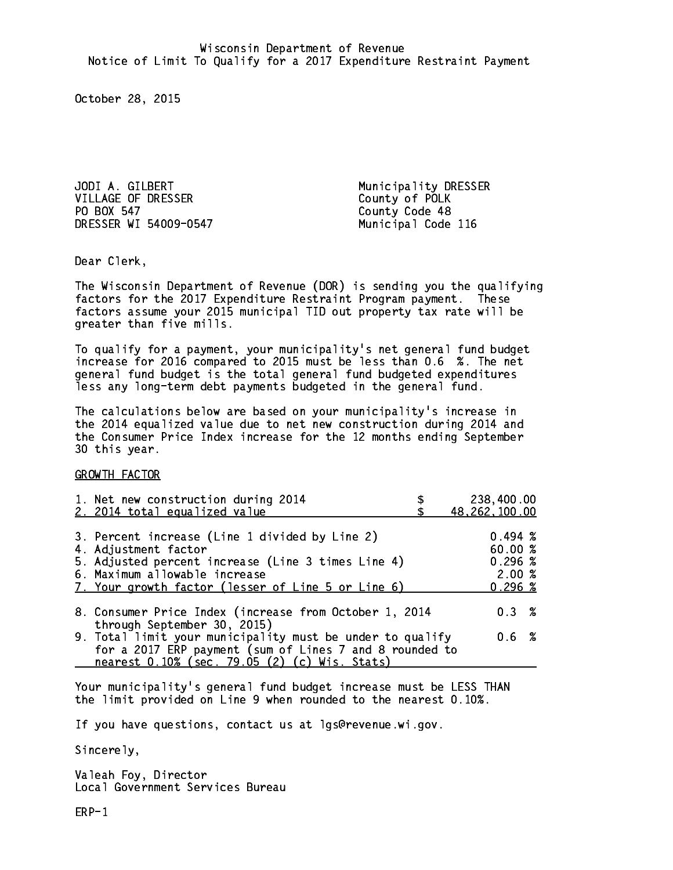JODI A. GILBERT Municipality DRESSER VILLAGE OF DRESSER County of POLK PO BOX 547 County Code 48

Municipal Code 116

Dear Clerk. Dear Clerk,

The Wisconsin Department of Revenue (DOR) is sending you the qualifying factors for the 2017 Expenditure Restraint Program payment. These factors assume your 2015 municipal TID out property tax rate will be greater than five mills.

 To qualify for a payment, your municipality's net general fund budget increase for 2016 compared to 2015 must be less than 0.6 %. The net general fund budget is the total general fund budgeted expenditures less any long-term debt payments budgeted in the general fund.

The calculations below are based on your municipality's increase in the 2014 equalized value due to net new construction during 2014 and the Consumer Price Index increase for the 12 months ending September 30 this year. 30 this year. This year of the second terms of the second terms in the second terms in the second terms in the

GROWTH FACTOR

| 1. Net new construction during 2014<br>2. 2014 total equalized value                                                                                                  | 238,400.00<br>48,262,100.00              |
|-----------------------------------------------------------------------------------------------------------------------------------------------------------------------|------------------------------------------|
| 3. Percent increase (Line 1 divided by Line 2)<br>4. Adjustment factor                                                                                                | $0.494 \; %$<br>60.00%                   |
| 5. Adjusted percent increase (Line 3 times Line 4)<br>6. Maximum allowable increase<br>7. Your growth factor (lesser of Line 5 or Line 6)                             | $0.296 \; \text{\%}$<br>2.00%<br>0.296~% |
| 8. Consumer Price Index (increase from October 1, 2014<br>through September 30, 2015)                                                                                 | $0.3 \t%$                                |
| 9. Total limit your municipality must be under to qualify<br>for a 2017 ERP payment (sum of Lines 7 and 8 rounded to<br>nearest 0.10% (sec. 79.05 (2) (c) Wis. Stats) | 0.6 %                                    |

Your municipality's general fund budget increase must be LESS THAN the limit provided on Line 9 when rounded to the nearest 0.10%.

If you have questions, contact us at lgs@revenue.wi.gov.

Sincerely,

Valeah Foy, Director Local Government Services Bureau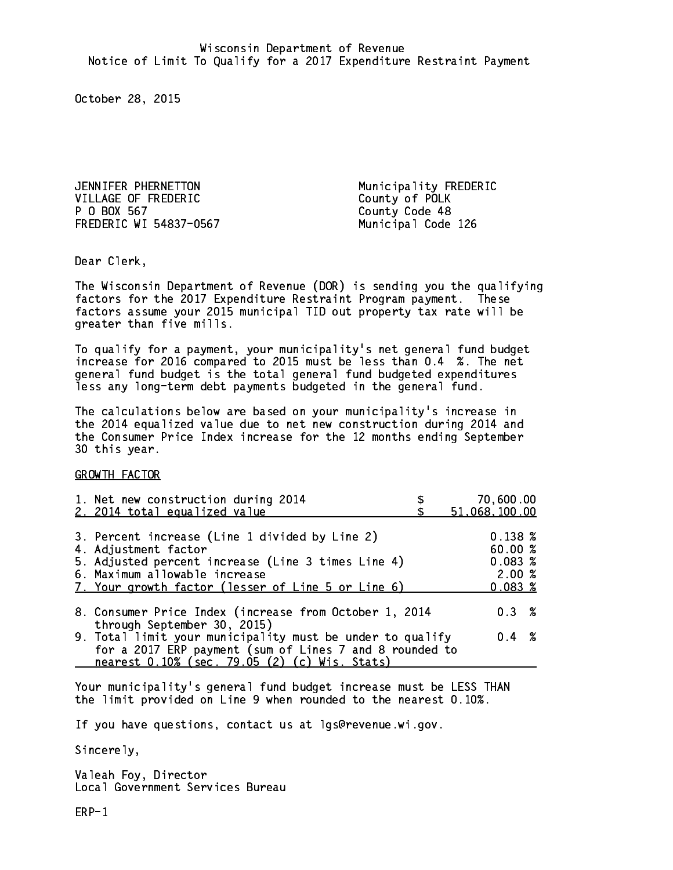JENNIFER PHERNETTON Municipality FREDERIC VILLAGE OF FREDERIC County of POLK P 0 BOX 567 FREDERIC WI 54837-0567 Municipal Code 126

County Code 48

Dear Clerk. Dear Clerk,

The Wisconsin Department of Revenue (DOR) is sending you the qualifying factors for the 2017 Expenditure Restraint Program payment. These factors assume your 2015 municipal TID out property tax rate will be greater than five mills.

 To qualify for a payment, your municipality's net general fund budget increase for 2016 compared to 2015 must be less than 0.4 %. The net general fund budget is the total general fund budgeted expenditures less any long-term debt payments budgeted in the general fund.

The calculations below are based on your municipality's increase in the 2014 equalized value due to net new construction during 2014 and the Consumer Price Index increase for the 12 months ending September 30 this year. 30 this year. This year of the second terms of the second terms in the second terms in the second terms in the

GROWTH FACTOR

| 1. Net new construction during 2014<br>2. 2014 total equalized value                                                                                                                                                | 70,600.00<br>51,068,100.00                            |
|---------------------------------------------------------------------------------------------------------------------------------------------------------------------------------------------------------------------|-------------------------------------------------------|
| 3. Percent increase (Line 1 divided by Line 2)<br>4. Adjustment factor<br>5. Adjusted percent increase (Line 3 times Line 4)<br>6. Maximum allowable increase<br>7. Your growth factor (lesser of Line 5 or Line 6) | $0.138 \;$ %<br>60.00%<br>0.083~%<br>2.00%<br>0.083~% |
| 8. Consumer Price Index (increase from October 1, 2014                                                                                                                                                              | $0.3 \t%$                                             |
| through September 30, 2015)<br>9. Total limit your municipality must be under to qualify<br>for a 2017 ERP payment (sum of Lines 7 and 8 rounded to<br>nearest 0.10% (sec. 79.05 (2) (c) Wis. Stats)                | $0.4 \t%$                                             |

Your municipality's general fund budget increase must be LESS THAN the limit provided on Line 9 when rounded to the nearest 0.10%.

If you have questions, contact us at lgs@revenue.wi.gov.

Sincerely,

Valeah Foy, Director Local Government Services Bureau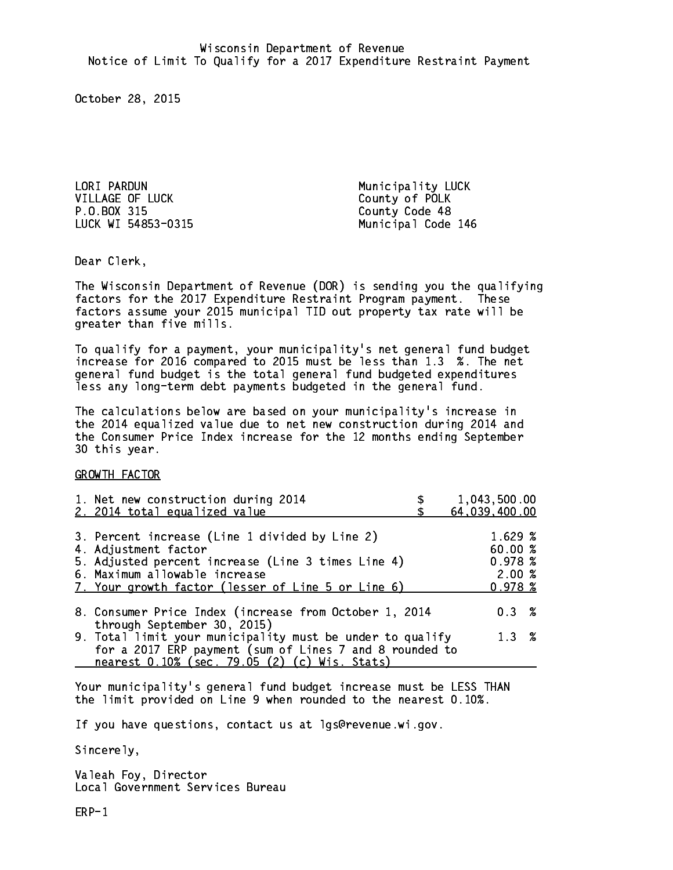LORI PARDUN Municipality LUCK VILLAGE OF LUCK County of POLK P.O.BOX 315 County Code 48

LUCK WI 54853-0315 Municipal Code 146

Dear Clerk. Dear Clerk,

The Wisconsin Department of Revenue (DOR) is sending you the qualifying factors for the 2017 Expenditure Restraint Program payment. These factors assume your 2015 municipal TID out property tax rate will be greater than five mills.

 To qualify for a payment, your municipality's net general fund budget increase for 2016 compared to 2015 must be less than 1.3 %. The net general fund budget is the total general fund budgeted expenditures less any long-term debt payments budgeted in the general fund.

The calculations below are based on your municipality's increase in the 2014 equalized value due to net new construction during 2014 and the Consumer Price Index increase for the 12 months ending September 30 this year. 30 this year. This year of the second terms of the second terms in the second terms in the second terms in the

GROWTH FACTOR

| 1. Net new construction during 2014<br>2. 2014 total equalized value                                                                                                                                                | 1,043,500.00<br>64,039,400.00                   |
|---------------------------------------------------------------------------------------------------------------------------------------------------------------------------------------------------------------------|-------------------------------------------------|
| 3. Percent increase (Line 1 divided by Line 2)<br>4. Adjustment factor<br>5. Adjusted percent increase (Line 3 times Line 4)<br>6. Maximum allowable increase<br>7. Your growth factor (lesser of Line 5 or Line 6) | 1.629%<br>60.00%<br>0.978~%<br>2.00%<br>0.978~% |
| 8. Consumer Price Index (increase from October 1, 2014                                                                                                                                                              | $0.3 \t%$                                       |
| through September 30, 2015)<br>9. Total limit your municipality must be under to qualify<br>for a 2017 ERP payment (sum of Lines 7 and 8 rounded to<br>nearest 0.10% (sec. 79.05 (2) (c) Wis. Stats)                | 1.3%                                            |

Your municipality's general fund budget increase must be LESS THAN the limit provided on Line 9 when rounded to the nearest 0.10%.

If you have questions, contact us at lgs@revenue.wi.gov.

Sincerely,

Valeah Foy, Director Local Government Services Bureau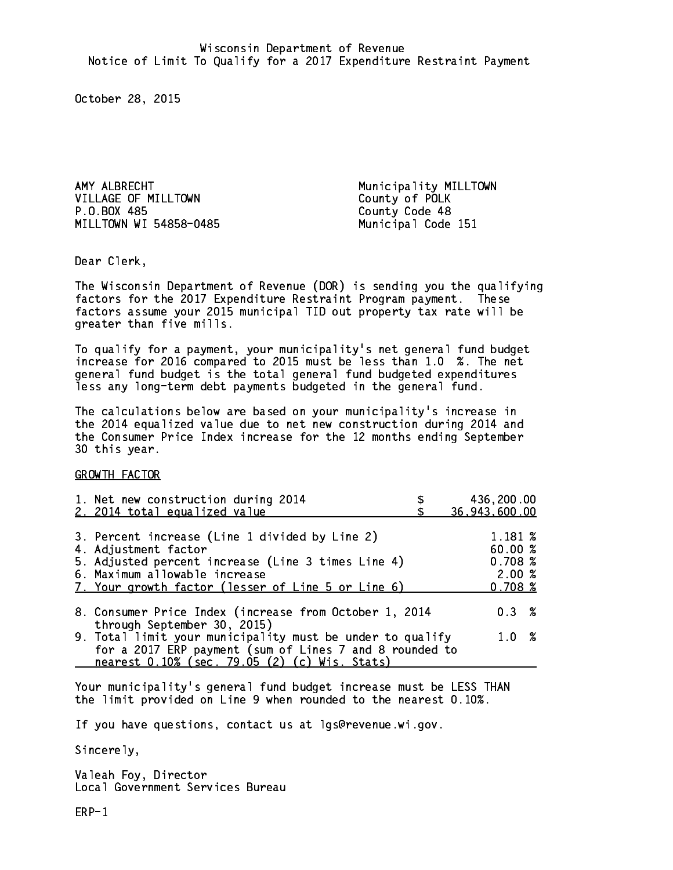AMY ALBRECHT **Municipality MILLTOWN** VILLAGE OF MILLTOWN County of POLK P.O.BOX 485 MILLTOWN WI 54858-0485 Municipal Code 151

County Code 48

Dear Clerk. Dear Clerk,

The Wisconsin Department of Revenue (DOR) is sending you the qualifying factors for the 2017 Expenditure Restraint Program payment. These factors assume your 2015 municipal TID out property tax rate will be greater than five mills.

 To qualify for a payment, your municipality's net general fund budget increase for 2016 compared to 2015 must be less than 1.0 %. The net general fund budget is the total general fund budgeted expenditures less any long-term debt payments budgeted in the general fund.

The calculations below are based on your municipality's increase in the 2014 equalized value due to net new construction during 2014 and the Consumer Price Index increase for the 12 months ending September 30 this year. 30 this year.

GROWTH FACTOR

| 1. Net new construction during 2014                                                                                                                                                                                 | 436,200.00                                       |
|---------------------------------------------------------------------------------------------------------------------------------------------------------------------------------------------------------------------|--------------------------------------------------|
| 2. 2014 total equalized value                                                                                                                                                                                       | 36,943,600.00                                    |
| 3. Percent increase (Line 1 divided by Line 2)<br>4. Adjustment factor<br>5. Adjusted percent increase (Line 3 times Line 4)<br>6. Maximum allowable increase<br>7. Your growth factor (lesser of Line 5 or Line 6) | 1.181 %<br>60.00%<br>0.708~%<br>2.00%<br>0.708~% |
| 8. Consumer Price Index (increase from October 1, 2014                                                                                                                                                              | $0.3 \t%$                                        |
| through September 30, 2015)<br>9. Total limit your municipality must be under to qualify<br>for a 2017 ERP payment (sum of Lines 7 and 8 rounded to<br>nearest 0.10% (sec. 79.05 (2) (c) Wis. Stats)                | 1.0%                                             |

Your municipality's general fund budget increase must be LESS THAN the limit provided on Line 9 when rounded to the nearest 0.10%.

If you have questions, contact us at lgs@revenue.wi.gov.

Sincerely,

Valeah Foy, Director Local Government Services Bureau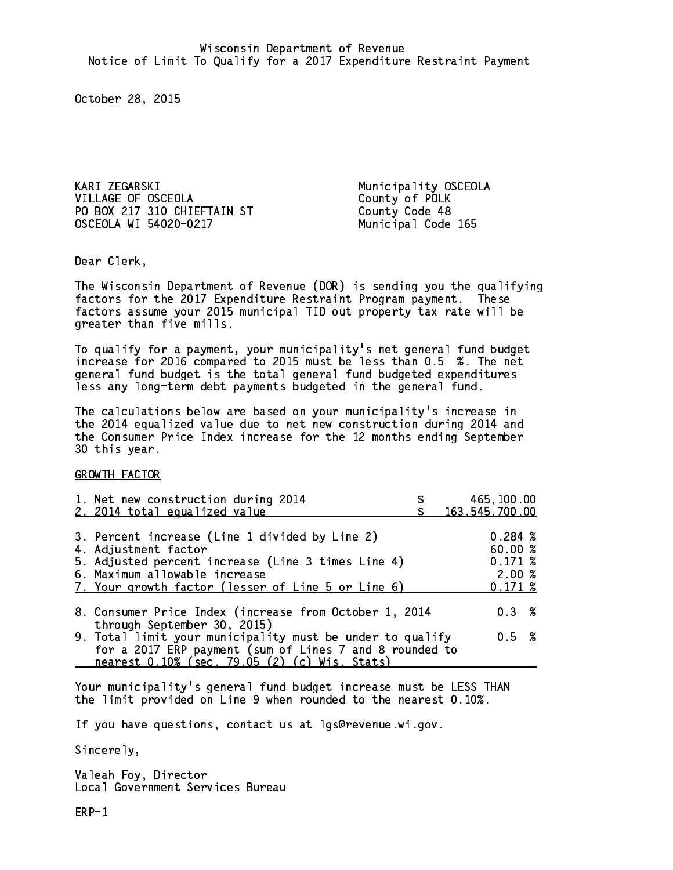KARI ZEGARSKI Municipality OSCEOLA VILLAGE OF OSCEOLA County of POLK PO BOX 217 310 CHIEFTAIN ST County Code 48 OSCEOLA WI 54020-0217 Municipal Code 165

Dear Clerk. Dear Clerk,

The Wisconsin Department of Revenue (DOR) is sending you the qualifying factors for the 2017 Expenditure Restraint Program payment. These factors assume your 2015 municipal TID out property tax rate will be greater than five mills.

 To qualify for a payment, your municipality's net general fund budget increase for 2016 compared to 2015 must be less than 0.5 %. The net general fund budget is the total general fund budgeted expenditures less any long-term debt payments budgeted in the general fund.

The calculations below are based on your municipality's increase in the 2014 equalized value due to net new construction during 2014 and the Consumer Price Index increase for the 12 months ending September 30 this year. 30 this year.

GROWTH FACTOR

| 1. Net new construction during 2014<br>2. 2014 total equalized value                                                                                                                                                | 465,100.00<br>163, 545, 700.00                   |
|---------------------------------------------------------------------------------------------------------------------------------------------------------------------------------------------------------------------|--------------------------------------------------|
| 3. Percent increase (Line 1 divided by Line 2)<br>4. Adjustment factor<br>5. Adjusted percent increase (Line 3 times Line 4)<br>6. Maximum allowable increase<br>7. Your growth factor (lesser of Line 5 or Line 6) | 0.284~%<br>60.00%<br>0.171~%<br>2.00%<br>0.171~% |
| 8. Consumer Price Index (increase from October 1, 2014                                                                                                                                                              | $0.3 \t%$                                        |
| through September 30, 2015)<br>9. Total limit your municipality must be under to qualify<br>for a 2017 ERP payment (sum of Lines 7 and 8 rounded to<br>nearest 0.10% (sec. 79.05 (2) (c) Wis. Stats)                | 0.5 %                                            |

Your municipality's general fund budget increase must be LESS THAN the limit provided on Line 9 when rounded to the nearest 0.10%.

If you have questions, contact us at lgs@revenue.wi.gov.

Sincerely,

Valeah Foy, Director Local Government Services Bureau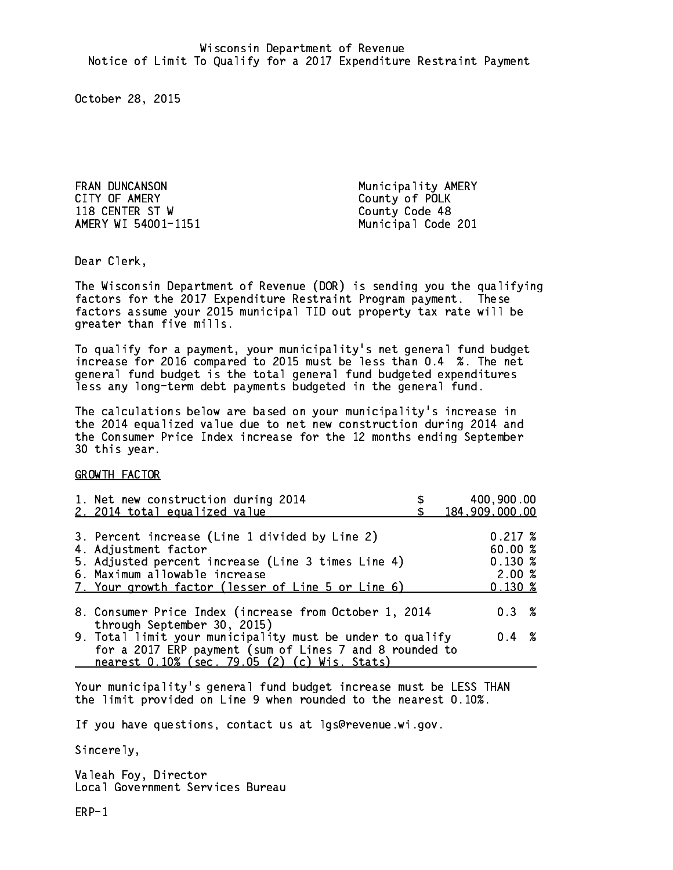FRAN DUNCANSON Municipality AMERY CITY OF AMERY **COUNTY COUNTY OF AMERY** 118 CENTER ST W County Code 48 AMERY WI 54001-1151 Municipal Code 201

Dear Clerk. Dear Clerk,

The Wisconsin Department of Revenue (DOR) is sending you the qualifying factors for the 2017 Expenditure Restraint Program payment. These factors assume your 2015 municipal TID out property tax rate will be greater than five mills.

 To qualify for a payment, your municipality's net general fund budget increase for 2016 compared to 2015 must be less than 0.4 %. The net general fund budget is the total general fund budgeted expenditures less any long-term debt payments budgeted in the general fund.

The calculations below are based on your municipality's increase in the 2014 equalized value due to net new construction during 2014 and the Consumer Price Index increase for the 12 months ending September 30 this year. 30 this year.

GROWTH FACTOR

| 1. Net new construction during 2014<br>2. 2014 total equalized value                                                                                                                                                | 400,900.00<br>184,909,000.00                                |
|---------------------------------------------------------------------------------------------------------------------------------------------------------------------------------------------------------------------|-------------------------------------------------------------|
| 3. Percent increase (Line 1 divided by Line 2)<br>4. Adjustment factor<br>5. Adjusted percent increase (Line 3 times Line 4)<br>6. Maximum allowable increase<br>7. Your growth factor (lesser of Line 5 or Line 6) | $0.217 \;$ %<br>60.00%<br>$0.130*$<br>2.00%<br>$0.130 \;$ % |
| 8. Consumer Price Index (increase from October 1, 2014                                                                                                                                                              | 0.3%                                                        |
| through September 30, 2015)<br>9. Total limit your municipality must be under to qualify<br>for a 2017 ERP payment (sum of Lines 7 and 8 rounded to<br>nearest 0.10% (sec. 79.05 (2) (c) Wis. Stats)                | $0.4 \t%$                                                   |

Your municipality's general fund budget increase must be LESS THAN the limit provided on Line 9 when rounded to the nearest 0.10%.

If you have questions, contact us at lgs@revenue.wi.gov.

Sincerely,

Valeah Foy, Director Local Government Services Bureau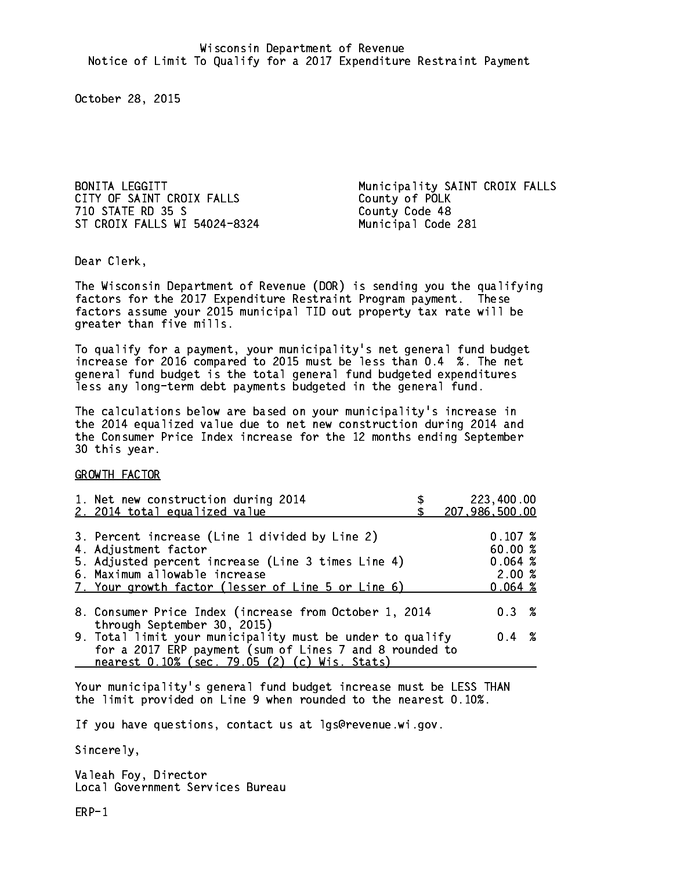CITY OF SAINT CROIX FALLS County of POLK 710 STATE RD 35 S County Code 48 ST CROIX FALLS WI 54024-8324 Municipal Code 281

BONITA LEGGITT **Municipality SAINT CROIX FALLS** 

Dear Clerk. Dear Clerk,

The Wisconsin Department of Revenue (DOR) is sending you the qualifying factors for the 2017 Expenditure Restraint Program payment. These factors assume your 2015 municipal TID out property tax rate will be greater than five mills.

 To qualify for a payment, your municipality's net general fund budget increase for 2016 compared to 2015 must be less than 0.4 %. The net general fund budget is the total general fund budgeted expenditures less any long-term debt payments budgeted in the general fund.

The calculations below are based on your municipality's increase in the 2014 equalized value due to net new construction during 2014 and the Consumer Price Index increase for the 12 months ending September 30 this year. 30 this year.

GROWTH FACTOR

| 1. Net new construction during 2014<br>2. 2014 total equalized value                                                                                                                                                | 223,400.00<br>207,986,500.00                      |
|---------------------------------------------------------------------------------------------------------------------------------------------------------------------------------------------------------------------|---------------------------------------------------|
| 3. Percent increase (Line 1 divided by Line 2)<br>4. Adjustment factor<br>5. Adjusted percent increase (Line 3 times Line 4)<br>6. Maximum allowable increase<br>7. Your growth factor (lesser of Line 5 or Line 6) | 0.107~%<br>60.00 %<br>0.064~%<br>2.00%<br>0.064~% |
| 8. Consumer Price Index (increase from October 1, 2014                                                                                                                                                              | $0.3 \t%$                                         |
| through September 30, 2015)<br>9. Total limit your municipality must be under to qualify<br>for a 2017 ERP payment (sum of Lines 7 and 8 rounded to<br>nearest 0.10% (sec. 79.05 (2) (c) Wis. Stats)                | $0.4 \t%$                                         |

Your municipality's general fund budget increase must be LESS THAN the limit provided on Line 9 when rounded to the nearest 0.10%.

If you have questions, contact us at lgs@revenue.wi.gov.

Sincerely,

Valeah Foy, Director Local Government Services Bureau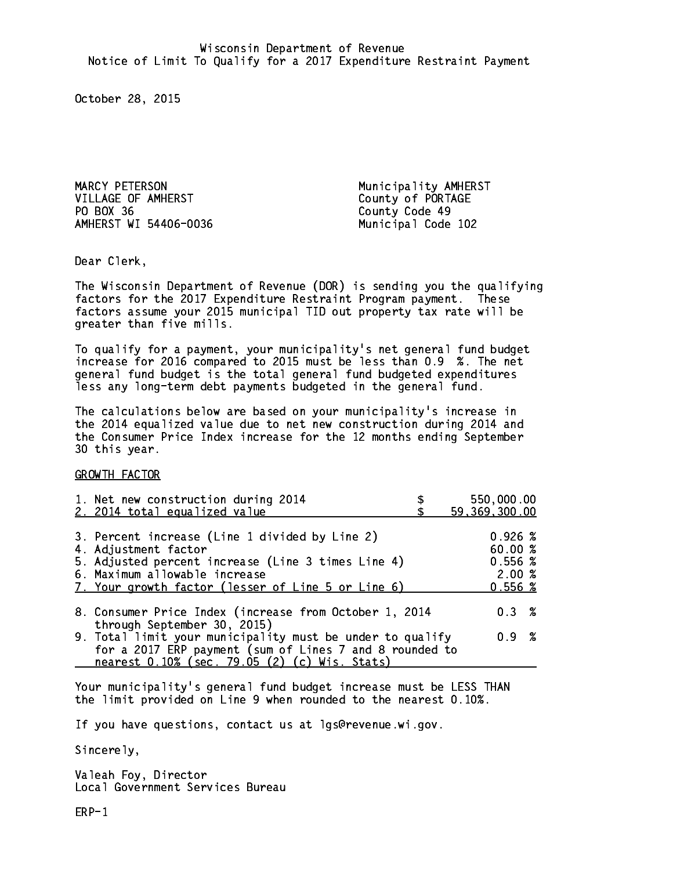MARCY PETERSON Municipality AMHERST VILLAGE OF AMHERST County of PORTAGE PO BOX 36 County Code 49 AMHERST WI 54406-0036 Municipal Code 102

Dear Clerk. Dear Clerk,

The Wisconsin Department of Revenue (DOR) is sending you the qualifying factors for the 2017 Expenditure Restraint Program payment. These factors assume your 2015 municipal TID out property tax rate will be greater than five mills.

 To qualify for a payment, your municipality's net general fund budget increase for 2016 compared to 2015 must be less than 0.9 %. The net general fund budget is the total general fund budgeted expenditures less any long-term debt payments budgeted in the general fund.

The calculations below are based on your municipality's increase in the 2014 equalized value due to net new construction during 2014 and the Consumer Price Index increase for the 12 months ending September 30 this year. 30 this year.

GROWTH FACTOR

| 1. Net new construction during 2014                                                                                  | 550,000.00             |
|----------------------------------------------------------------------------------------------------------------------|------------------------|
| 2. 2014 total equalized value                                                                                        | 59,369,300.00          |
| 3. Percent increase (Line 1 divided by Line 2)<br>4. Adjustment factor                                               | $0.926 \; %$<br>60.00% |
| 5. Adjusted percent increase (Line 3 times Line 4)                                                                   | $0.556$ %              |
| 6. Maximum allowable increase<br>7. Your growth factor (lesser of Line 5 or Line 6)                                  | 2.00%<br>$0.556$ %     |
| 8. Consumer Price Index (increase from October 1, 2014<br>through September 30, 2015)                                | $0.3 \t%$              |
| 9. Total limit your municipality must be under to qualify<br>for a 2017 ERP payment (sum of Lines 7 and 8 rounded to | 0.9 %                  |
| nearest 0.10% (sec. 79.05 (2) (c) Wis. Stats)                                                                        |                        |

Your municipality's general fund budget increase must be LESS THAN the limit provided on Line 9 when rounded to the nearest 0.10%.

If you have questions, contact us at lgs@revenue.wi.gov.

Sincerely,

Valeah Foy, Director Local Government Services Bureau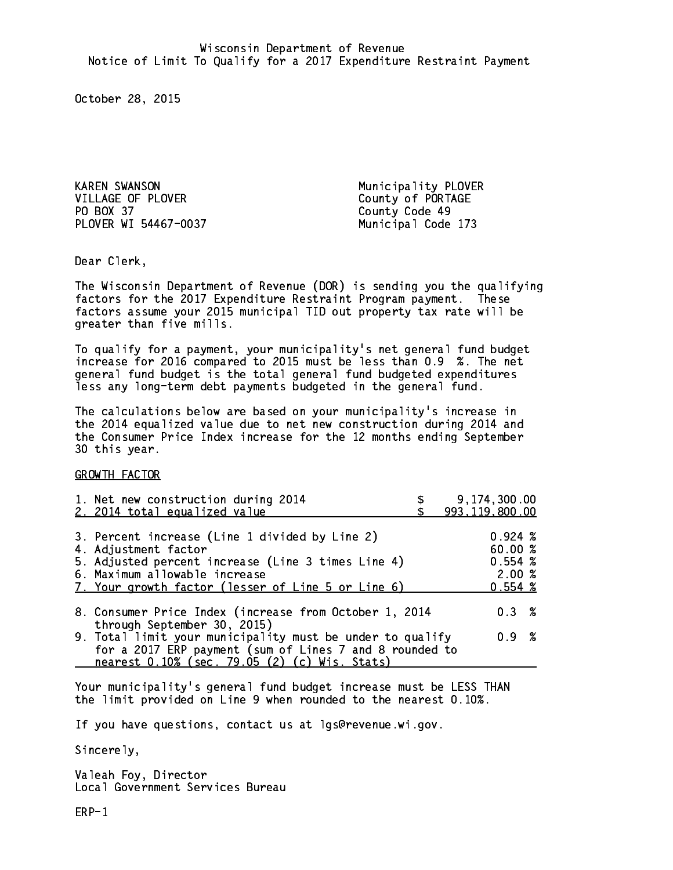KAREN SWANSON Municipality PLOVER VILLAGE OF PLOVER County of PORTAGE PO BOX 37 County Code 49 PLOVER WI 54467-0037 Municipal Code 173

Dear Clerk. Dear Clerk,

The Wisconsin Department of Revenue (DOR) is sending you the qualifying factors for the 2017 Expenditure Restraint Program payment. These factors assume your 2015 municipal TID out property tax rate will be greater than five mills.

 To qualify for a payment, your municipality's net general fund budget increase for 2016 compared to 2015 must be less than 0.9 %. The net general fund budget is the total general fund budgeted expenditures less any long-term debt payments budgeted in the general fund.

The calculations below are based on your municipality's increase in the 2014 equalized value due to net new construction during 2014 and the Consumer Price Index increase for the 12 months ending September 30 this year. 30 this year.

GROWTH FACTOR

| 1. Net new construction during 2014<br>2. 2014 total equalized value                                                                                                                                                | 9,174,300.00<br>993, 119, 800.00                       |
|---------------------------------------------------------------------------------------------------------------------------------------------------------------------------------------------------------------------|--------------------------------------------------------|
| 3. Percent increase (Line 1 divided by Line 2)<br>4. Adjustment factor<br>5. Adjusted percent increase (Line 3 times Line 4)<br>6. Maximum allowable increase<br>7. Your growth factor (lesser of Line 5 or Line 6) | $0.924 \;$ %<br>60.00 %<br>0.554~%<br>2.00%<br>0.554~% |
| 8. Consumer Price Index (increase from October 1, 2014<br>through September 30, 2015)                                                                                                                               | $0.3 \t%$                                              |
| 9. Total limit your municipality must be under to qualify<br>for a 2017 ERP payment (sum of Lines 7 and 8 rounded to<br>nearest 0.10% (sec. 79.05 (2) (c) Wis. Stats)                                               | 0.9 %                                                  |

Your municipality's general fund budget increase must be LESS THAN the limit provided on Line 9 when rounded to the nearest 0.10%.

If you have questions, contact us at lgs@revenue.wi.gov.

Sincerely,

Valeah Foy, Director Local Government Services Bureau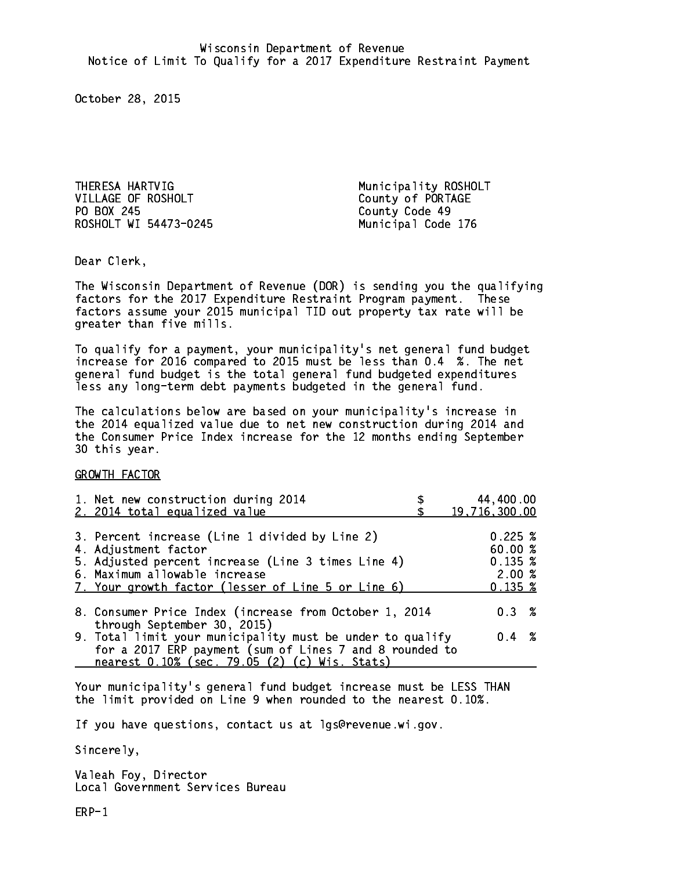THERESA HARTVIG Municipality ROSHOLT VILLAGE OF ROSHOLT County of PORTAGE PO BOX 245 County Code 49 ROSHOLT WI 54473-0245 Municipal Code 176

Dear Clerk. Dear Clerk,

The Wisconsin Department of Revenue (DOR) is sending you the qualifying factors for the 2017 Expenditure Restraint Program payment. These factors assume your 2015 municipal TID out property tax rate will be greater than five mills.

 To qualify for a payment, your municipality's net general fund budget increase for 2016 compared to 2015 must be less than 0.4 %. The net general fund budget is the total general fund budgeted expenditures less any long-term debt payments budgeted in the general fund.

The calculations below are based on your municipality's increase in the 2014 equalized value due to net new construction during 2014 and the Consumer Price Index increase for the 12 months ending September 30 this year. 30 this year.

GROWTH FACTOR

| 1. Net new construction during 2014<br>2. 2014 total equalized value                                                                                                                                                | 44,400.00<br>19,716,300.00                       |  |
|---------------------------------------------------------------------------------------------------------------------------------------------------------------------------------------------------------------------|--------------------------------------------------|--|
| 3. Percent increase (Line 1 divided by Line 2)<br>4. Adjustment factor<br>5. Adjusted percent increase (Line 3 times Line 4)<br>6. Maximum allowable increase<br>7. Your growth factor (lesser of Line 5 or Line 6) | 0.225~%<br>60.00%<br>0.135~%<br>2.00%<br>0.135~% |  |
| 8. Consumer Price Index (increase from October 1, 2014                                                                                                                                                              | $0.3 \t%$                                        |  |
| through September 30, 2015)<br>9. Total limit your municipality must be under to qualify<br>for a 2017 ERP payment (sum of Lines 7 and 8 rounded to<br>nearest 0.10% (sec. 79.05 (2) (c) Wis. Stats)                | $0.4 \t%$                                        |  |

Your municipality's general fund budget increase must be LESS THAN the limit provided on Line 9 when rounded to the nearest 0.10%.

If you have questions, contact us at lgs@revenue.wi.gov.

Sincerely,

Valeah Foy, Director Local Government Services Bureau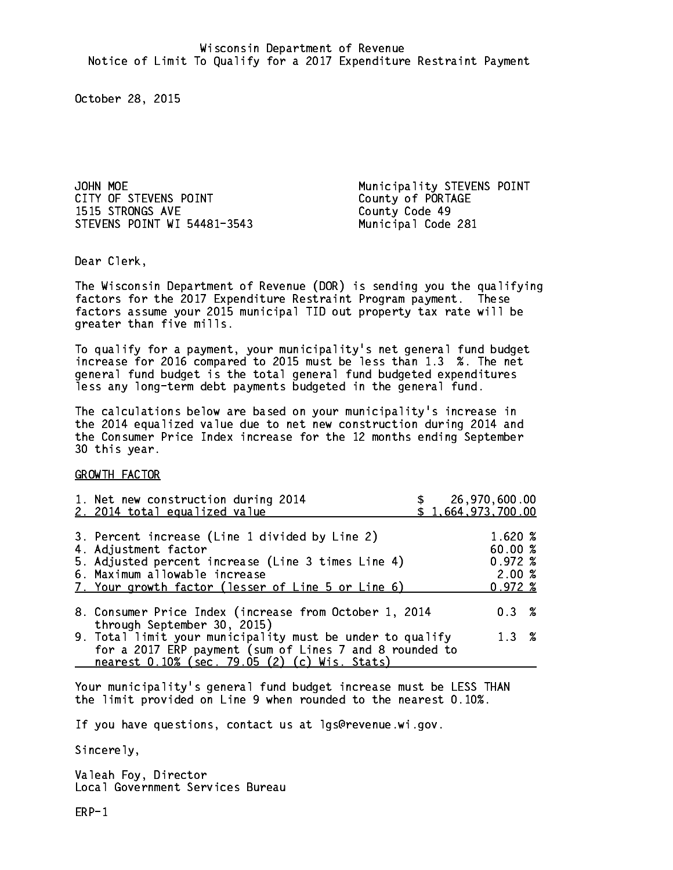JOHN MOE<br>CITY OF STEVENS POINT THE Municipality STEVENS POINT<br>County of PORTAGE 1515 STRONGS AVE County Code 49 STEVENS POINT WI 54481-3543 Municipal Code 281

County of PORTAGE

Dear Clerk. Dear Clerk,

The Wisconsin Department of Revenue (DOR) is sending you the qualifying factors for the 2017 Expenditure Restraint Program payment. These factors assume your 2015 municipal TID out property tax rate will be greater than five mills.

 To qualify for a payment, your municipality's net general fund budget increase for 2016 compared to 2015 must be less than 1.3 %. The net general fund budget is the total general fund budgeted expenditures less any long-term debt payments budgeted in the general fund.

The calculations below are based on your municipality's increase in the 2014 equalized value due to net new construction during 2014 and the Consumer Price Index increase for the 12 months ending September 30 this year. 30 this year.

GROWTH FACTOR

| 1. Net new construction during 2014<br>2. 2014 total equalized value                                                                                                                                                | \$1,664,973,700.00 | 26,970,600.00                                        |  |
|---------------------------------------------------------------------------------------------------------------------------------------------------------------------------------------------------------------------|--------------------|------------------------------------------------------|--|
| 3. Percent increase (Line 1 divided by Line 2)<br>4. Adjustment factor<br>5. Adjusted percent increase (Line 3 times Line 4)<br>6. Maximum allowable increase<br>7. Your growth factor (lesser of Line 5 or Line 6) |                    | 1.620%<br>60.00 %<br>$0.972 \;$ %<br>2.00%<br>0.972% |  |
| 8. Consumer Price Index (increase from October 1, 2014<br>through September 30, 2015)                                                                                                                               |                    | $0.3 \t%$                                            |  |
| 9. Total limit your municipality must be under to qualify<br>for a 2017 ERP payment (sum of Lines 7 and 8 rounded to<br>nearest 0.10% (sec. 79.05 (2) (c) Wis. Stats)                                               |                    | $1.3 \t%$                                            |  |

Your municipality's general fund budget increase must be LESS THAN the limit provided on Line 9 when rounded to the nearest 0.10%.

If you have questions, contact us at lgs@revenue.wi.gov.

Sincerely,

Valeah Foy, Director Local Government Services Bureau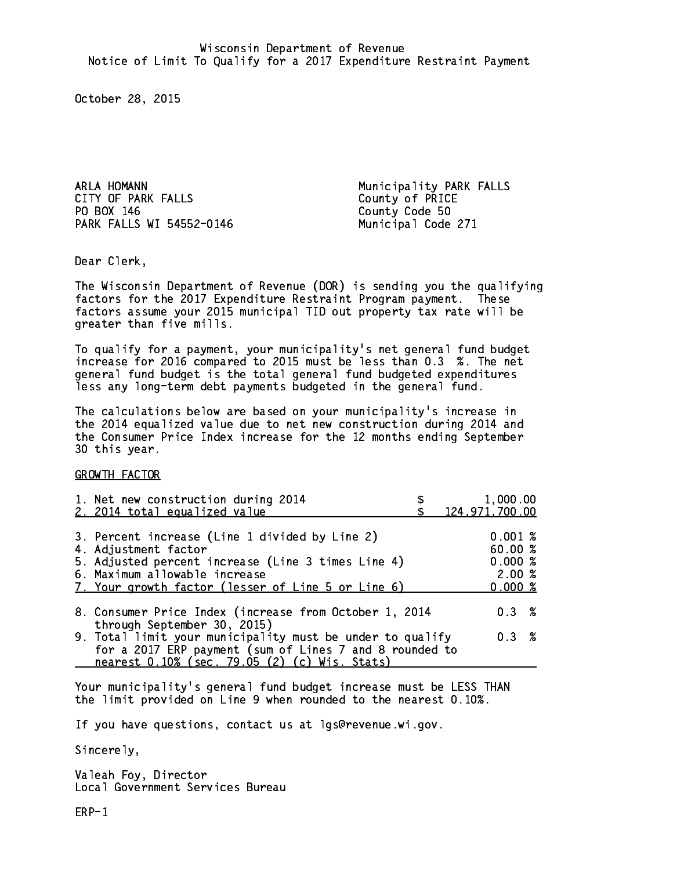ARLA HOMANN Municipality PARK FALLS CITY OF PARK FALLS County of PRICE PO BOX 146 PARK FALLS WI 54552-0146 Municipal Code 271

County Code 50

Dear Clerk. Dear Clerk,

The Wisconsin Department of Revenue (DOR) is sending you the qualifying factors for the 2017 Expenditure Restraint Program payment. These factors assume your 2015 municipal TID out property tax rate will be greater than five mills.

 To qualify for a payment, your municipality's net general fund budget increase for 2016 compared to 2015 must be less than 0.3 %. The net general fund budget is the total general fund budgeted expenditures less any long-term debt payments budgeted in the general fund.

The calculations below are based on your municipality's increase in the 2014 equalized value due to net new construction during 2014 and the Consumer Price Index increase for the 12 months ending September 30 this year. 30 this year.

GROWTH FACTOR

| 1. Net new construction during 2014<br>2. 2014 total equalized value                                                                                                                                                | 1,000.00<br>124,971,700.00                      |           |
|---------------------------------------------------------------------------------------------------------------------------------------------------------------------------------------------------------------------|-------------------------------------------------|-----------|
| 3. Percent increase (Line 1 divided by Line 2)<br>4. Adjustment factor<br>5. Adjusted percent increase (Line 3 times Line 4)<br>6. Maximum allowable increase<br>7. Your growth factor (lesser of Line 5 or Line 6) | 0.001%<br>60.00%<br>0.000~%<br>2.00%<br>0.000~% |           |
| 8. Consumer Price Index (increase from October 1, 2014                                                                                                                                                              |                                                 | $0.3 \t%$ |
| through September 30, 2015)<br>9. Total limit your municipality must be under to qualify<br>for a 2017 ERP payment (sum of Lines 7 and 8 rounded to<br>nearest 0.10% (sec. 79.05 (2) (c) Wis. Stats)                |                                                 | 0.3 %     |

Your municipality's general fund budget increase must be LESS THAN the limit provided on Line 9 when rounded to the nearest 0.10%.

If you have questions, contact us at lgs@revenue.wi.gov.

Sincerely,

Valeah Foy, Director Local Government Services Bureau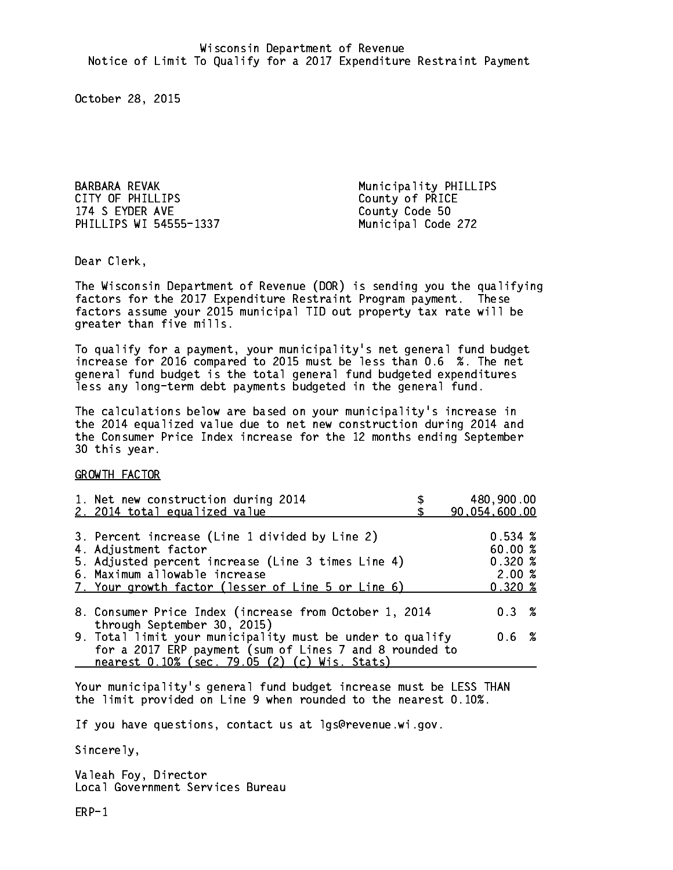BARBARA REVAK Municipality PHILLIPS CITY OF PHILLIPS County of PRICE 174 S EYDER AVE County Code 50 PHILLIPS WI 54555-1337 Municipal Code 272

Dear Clerk. Dear Clerk,

The Wisconsin Department of Revenue (DOR) is sending you the qualifying factors for the 2017 Expenditure Restraint Program payment. These factors assume your 2015 municipal TID out property tax rate will be greater than five mills.

 To qualify for a payment, your municipality's net general fund budget increase for 2016 compared to 2015 must be less than 0.6 %. The net general fund budget is the total general fund budgeted expenditures less any long-term debt payments budgeted in the general fund.

The calculations below are based on your municipality's increase in the 2014 equalized value due to net new construction during 2014 and the Consumer Price Index increase for the 12 months ending September 30 this year. 30 this year.

GROWTH FACTOR

| 1. Net new construction during 2014<br>2. 2014 total equalized value                                                                                                                                                | 480,900.00<br>90,054,600.00                                  |
|---------------------------------------------------------------------------------------------------------------------------------------------------------------------------------------------------------------------|--------------------------------------------------------------|
| 3. Percent increase (Line 1 divided by Line 2)<br>4. Adjustment factor<br>5. Adjusted percent increase (Line 3 times Line 4)<br>6. Maximum allowable increase<br>7. Your growth factor (lesser of Line 5 or Line 6) | 0.534~%<br>60.00%<br>0.320%<br>2.00%<br>$0.320 \; \text{\%}$ |
| 8. Consumer Price Index (increase from October 1, 2014                                                                                                                                                              | $0.3 \t%$                                                    |
| through September 30, 2015)<br>9. Total limit your municipality must be under to qualify<br>for a 2017 ERP payment (sum of Lines 7 and 8 rounded to<br>nearest 0.10% (sec. 79.05 (2) (c) Wis. Stats)                | 0.6 %                                                        |

Your municipality's general fund budget increase must be LESS THAN the limit provided on Line 9 when rounded to the nearest 0.10%.

If you have questions, contact us at lgs@revenue.wi.gov.

Sincerely,

Valeah Foy, Director Local Government Services Bureau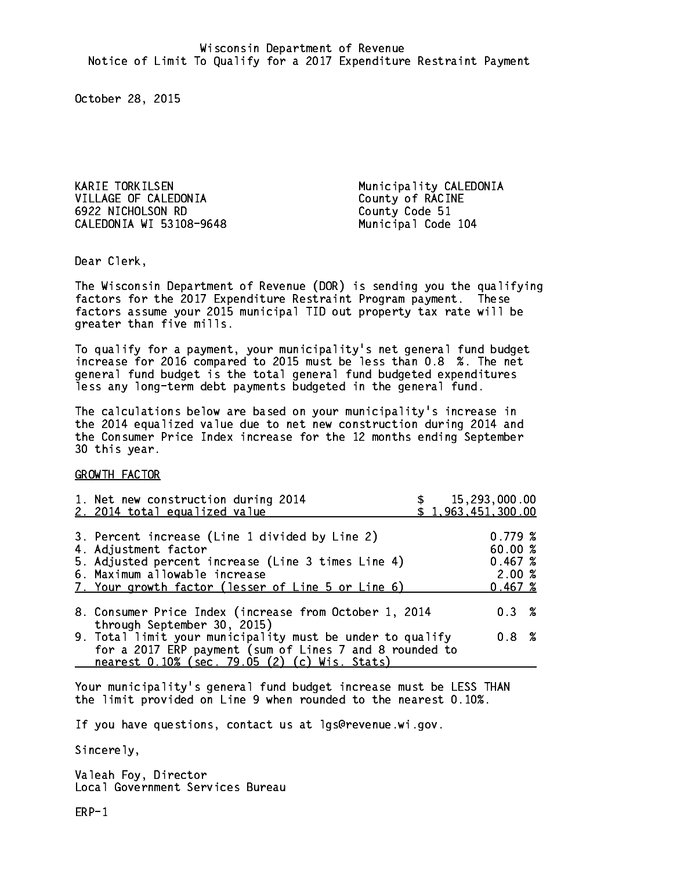KARIE TORKILSEN Municipality CALEDONIA VILLAGE OF CALEDONIA County of RACINE 6922 NICHOLSON RD County Code 51 CALEDONIA WI 53108-9648 Municipal Code 104

Dear Clerk. Dear Clerk,

The Wisconsin Department of Revenue (DOR) is sending you the qualifying factors for the 2017 Expenditure Restraint Program payment. These factors assume your 2015 municipal TID out property tax rate will be greater than five mills.

 To qualify for a payment, your municipality's net general fund budget increase for 2016 compared to 2015 must be less than 0.8 %. The net general fund budget is the total general fund budgeted expenditures less any long-term debt payments budgeted in the general fund.

The calculations below are based on your municipality's increase in the 2014 equalized value due to net new construction during 2014 and the Consumer Price Index increase for the 12 months ending September 30 this year. 30 this year.

GROWTH FACTOR

| 1. Net new construction during 2014<br>2. 2014 total equalized value                                                                                                                                                | \$15,293,000.00<br>\$1,963,451,300.00             |
|---------------------------------------------------------------------------------------------------------------------------------------------------------------------------------------------------------------------|---------------------------------------------------|
| 3. Percent increase (Line 1 divided by Line 2)<br>4. Adjustment factor<br>5. Adjusted percent increase (Line 3 times Line 4)<br>6. Maximum allowable increase<br>7. Your growth factor (lesser of Line 5 or Line 6) | 0.779~%<br>60.00 %<br>0.467~%<br>2.00%<br>0.467~% |
| 8. Consumer Price Index (increase from October 1, 2014                                                                                                                                                              | 0.3%                                              |
| through September 30, 2015)<br>9. Total limit your municipality must be under to qualify<br>for a 2017 ERP payment (sum of Lines 7 and 8 rounded to<br>nearest 0.10% (sec. 79.05 (2) (c) Wis. Stats)                | $0.8 \t%$                                         |

Your municipality's general fund budget increase must be LESS THAN the limit provided on Line 9 when rounded to the nearest 0.10%.

If you have questions, contact us at lgs@revenue.wi.gov.

Sincerely,

Valeah Foy, Director Local Government Services Bureau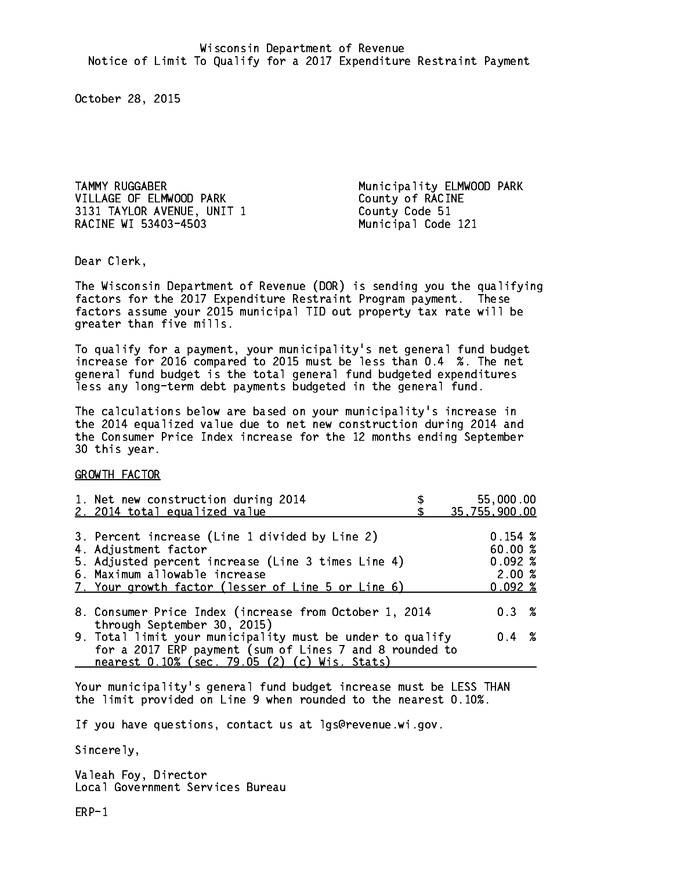TAMMY RUGGABER Municipality ELMWOOD PARK VILLAGE OF ELMWOOD PARK County of RACINE 3131 TAYLOR AVENUE, UNIT 1 County Code 51 RACINE WI 53403-4503 Municipal Code 121

Dear Clerk. Dear Clerk,

The Wisconsin Department of Revenue (DOR) is sending you the qualifying factors for the 2017 Expenditure Restraint Program payment. These factors assume your 2015 municipal TID out property tax rate will be greater than five mills.

 To qualify for a payment, your municipality's net general fund budget increase for 2016 compared to 2015 must be less than 0.4 %. The net general fund budget is the total general fund budgeted expenditures less any long-term debt payments budgeted in the general fund.

The calculations below are based on your municipality's increase in the 2014 equalized value due to net new construction during 2014 and the Consumer Price Index increase for the 12 months ending September 30 this year. 30 this year.

GROWTH FACTOR

| 1. Net new construction during 2014<br>2. 2014 total equalized value                                                                                                                                                | 55,000.00<br>35,755,900.00                     |
|---------------------------------------------------------------------------------------------------------------------------------------------------------------------------------------------------------------------|------------------------------------------------|
| 3. Percent increase (Line 1 divided by Line 2)<br>4. Adjustment factor<br>5. Adjusted percent increase (Line 3 times Line 4)<br>6. Maximum allowable increase<br>7. Your growth factor (lesser of Line 5 or Line 6) | 0.154~%<br>60.00%<br>0.092%<br>2.00%<br>0.092% |
| 8. Consumer Price Index (increase from October 1, 2014<br>through September 30, 2015)                                                                                                                               | $0.3 \t%$                                      |
| 9. Total limit your municipality must be under to qualify<br>for a 2017 ERP payment (sum of Lines 7 and 8 rounded to<br>nearest 0.10% (sec. 79.05 (2) (c) Wis. Stats)                                               | $0.4 \t%$                                      |

Your municipality's general fund budget increase must be LESS THAN the limit provided on Line 9 when rounded to the nearest 0.10%.

If you have questions, contact us at lgs@revenue.wi.gov.

Sincerely,

Valeah Foy, Director Local Government Services Bureau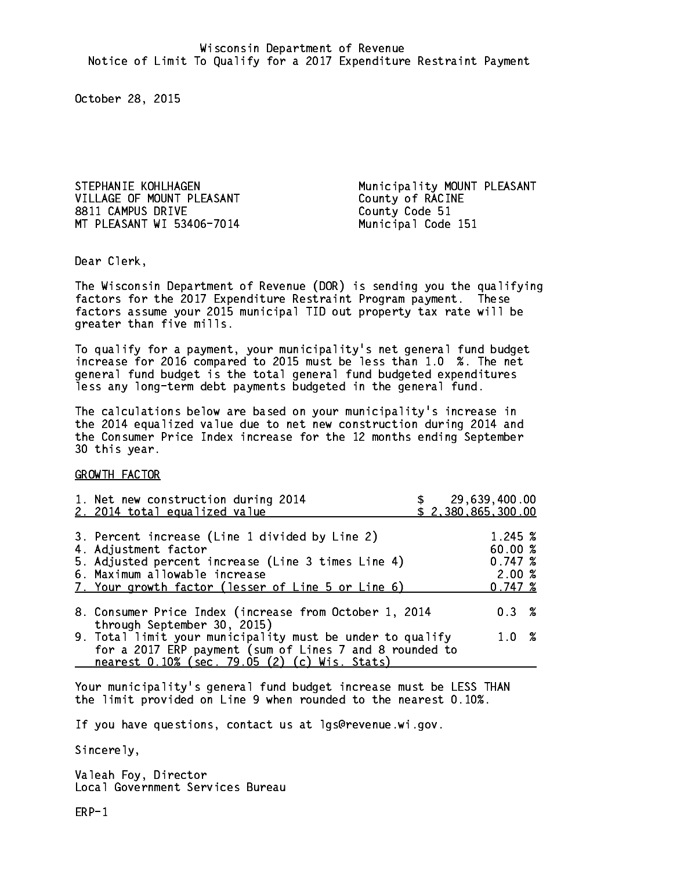VILLAGE OF MOUNT PLEASANT County of RACINE 8811 CAMPUS DRIVE County Code 51 MT PLEASANT WI 53406-7014 Municipal Code 151

STEPHANIE KOHLHAGEN Municipality MOUNT PLEASANT

Dear Clerk. Dear Clerk,

The Wisconsin Department of Revenue (DOR) is sending you the qualifying factors for the 2017 Expenditure Restraint Program payment. These factors assume your 2015 municipal TID out property tax rate will be greater than five mills.

 To qualify for a payment, your municipality's net general fund budget increase for 2016 compared to 2015 must be less than 1.0 %. The net general fund budget is the total general fund budgeted expenditures less any long-term debt payments budgeted in the general fund.

The calculations below are based on your municipality's increase in the 2014 equalized value due to net new construction during 2014 and the Consumer Price Index increase for the 12 months ending September 30 this year. 30 this year.

GROWTH FACTOR

| 1. Net new construction during 2014<br>2. 2014 total equalized value                                                                                                                                                | 29,639,400.00<br>\$2,380,865,300.00                            |  |
|---------------------------------------------------------------------------------------------------------------------------------------------------------------------------------------------------------------------|----------------------------------------------------------------|--|
| 3. Percent increase (Line 1 divided by Line 2)<br>4. Adjustment factor<br>5. Adjusted percent increase (Line 3 times Line 4)<br>6. Maximum allowable increase<br>7. Your growth factor (lesser of Line 5 or Line 6) | $1.245 \; \text{\%}$<br>60.00 %<br>0.747~%<br>2.00%<br>0.747~% |  |
| 8. Consumer Price Index (increase from October 1, 2014<br>through September 30, 2015)                                                                                                                               | $0.3 \t%$                                                      |  |
| 9. Total limit your municipality must be under to qualify<br>for a 2017 ERP payment (sum of Lines 7 and 8 rounded to<br>nearest 0.10% (sec. 79.05 (2) (c) Wis. Stats)                                               | $1.0 \t%$                                                      |  |

Your municipality's general fund budget increase must be LESS THAN the limit provided on Line 9 when rounded to the nearest 0.10%.

If you have questions, contact us at lgs@revenue.wi.gov.

Sincerely,

Valeah Foy, Director Local Government Services Bureau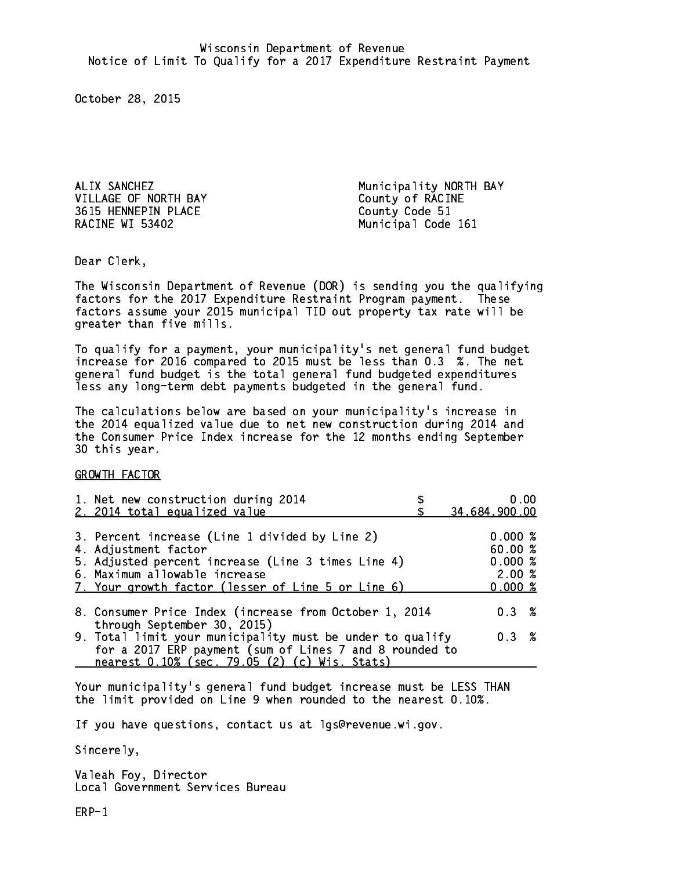VILLAGE OF NORTH BAY County of RACINE 3615 HENNEPIN PLACE County Code 51 RACINE WI 53402

ALIX SANCHEZ Municipality NORTH BAY Municipal Code 161

Dear Clerk. Dear Clerk,

The Wisconsin Department of Revenue (DOR) is sending you the qualifying factors for the 2017 Expenditure Restraint Program payment. These factors assume your 2015 municipal TID out property tax rate will be greater than five mills.

 To qualify for a payment, your municipality's net general fund budget increase for 2016 compared to 2015 must be less than 0.3 %. The net general fund budget is the total general fund budgeted expenditures less any long-term debt payments budgeted in the general fund.

The calculations below are based on your municipality's increase in the 2014 equalized value due to net new construction during 2014 and the Consumer Price Index increase for the 12 months ending September 30 this year. 30 this year.

GROWTH FACTOR

| 1. Net new construction during 2014<br>2. 2014 total equalized value                                                                                                                                                | 0.00<br>34,684,900.00                           |
|---------------------------------------------------------------------------------------------------------------------------------------------------------------------------------------------------------------------|-------------------------------------------------|
| 3. Percent increase (Line 1 divided by Line 2)<br>4. Adjustment factor<br>5. Adjusted percent increase (Line 3 times Line 4)<br>6. Maximum allowable increase<br>7. Your growth factor (lesser of Line 5 or Line 6) | 0.000%<br>60.00%<br>0.000~%<br>2.00%<br>0.000 % |
| 8. Consumer Price Index (increase from October 1, 2014<br>through September 30, 2015)                                                                                                                               | 0.3%                                            |
| 9. Total limit your municipality must be under to qualify<br>for a 2017 ERP payment (sum of Lines 7 and 8 rounded to<br>nearest 0.10% (sec. 79.05 (2) (c) Wis. Stats)                                               | 0.3%                                            |

Your municipality's general fund budget increase must be LESS THAN the limit provided on Line 9 when rounded to the nearest 0.10%.

If you have questions, contact us at lgs@revenue.wi.gov.

Sincerely,

Valeah Foy, Director Local Government Services Bureau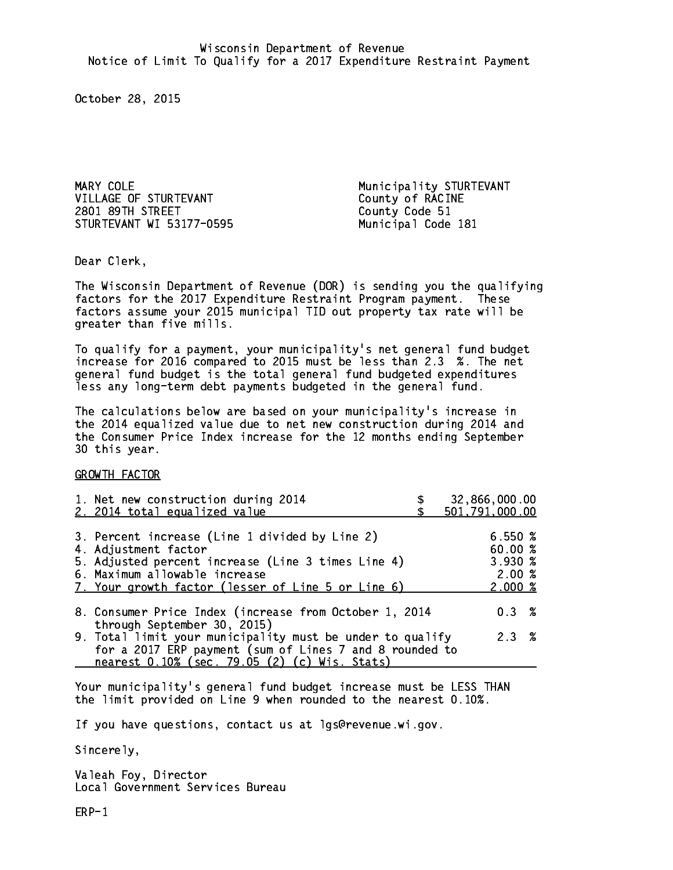MARY COLE and the matrix of the Municipality STURTEVANT VILLAGE OF STURTEVANT County of RACINE 2801 89TH STREET County Code 51 STURTEVANT WI 53177-0595 Municipal Code 181

Dear Clerk. Dear Clerk,

The Wisconsin Department of Revenue (DOR) is sending you the qualifying factors for the 2017 Expenditure Restraint Program payment. These factors assume your 2015 municipal TID out property tax rate will be greater than five mills.

 To qualify for a payment, your municipality's net general fund budget increase for 2016 compared to 2015 must be less than 2.3 %. The net general fund budget is the total general fund budgeted expenditures less any long-term debt payments budgeted in the general fund.

The calculations below are based on your municipality's increase in the 2014 equalized value due to net new construction during 2014 and the Consumer Price Index increase for the 12 months ending September 30 this year. 30 this year.

GROWTH FACTOR

| 1. Net new construction during 2014<br>2. 2014 total equalized value                                                                                                                                                | 32,866,000.00<br>501,791,000.00                               |
|---------------------------------------------------------------------------------------------------------------------------------------------------------------------------------------------------------------------|---------------------------------------------------------------|
| 3. Percent increase (Line 1 divided by Line 2)<br>4. Adjustment factor<br>5. Adjusted percent increase (Line 3 times Line 4)<br>6. Maximum allowable increase<br>7. Your growth factor (lesser of Line 5 or Line 6) | 6.550%<br>60.00 %<br>$3.930 \; \text{\%}$<br>2.00%<br>2.000~% |
| 8. Consumer Price Index (increase from October 1, 2014                                                                                                                                                              | $0.3 \t%$                                                     |
| through September 30, 2015)<br>9. Total limit your municipality must be under to qualify<br>for a 2017 ERP payment (sum of Lines 7 and 8 rounded to<br>nearest 0.10% (sec. 79.05 (2) (c) Wis. Stats)                | 2.3%                                                          |

Your municipality's general fund budget increase must be LESS THAN the limit provided on Line 9 when rounded to the nearest 0.10%.

If you have questions, contact us at lgs@revenue.wi.gov.

Sincerely,

Valeah Foy, Director Local Government Services Bureau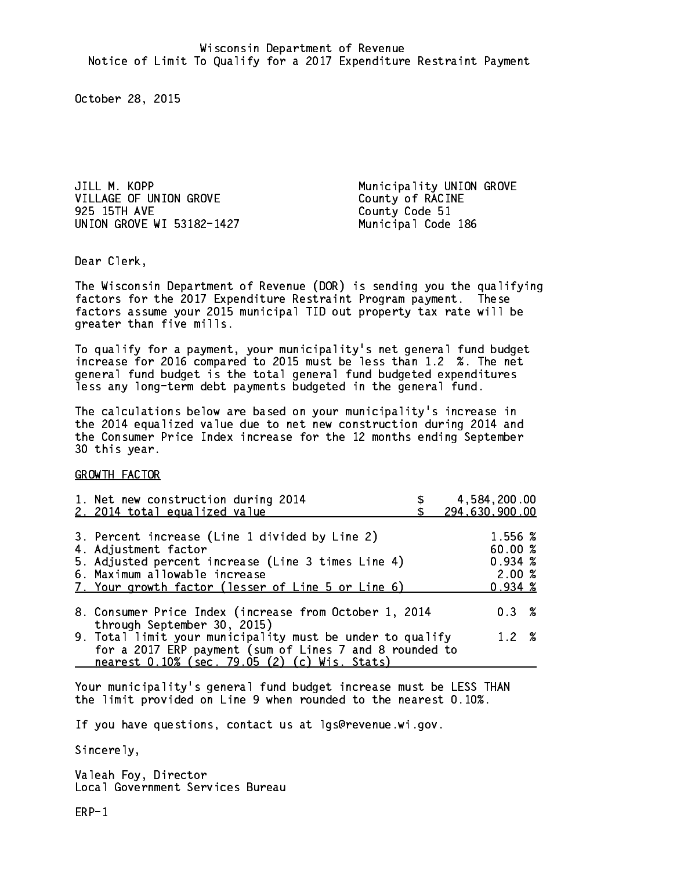JILL M. KOPP **Municipality UNION GROVE** VILLAGE OF UNION GROVE County of RACINE<br>925 15TH AVE COUNTY Code 51 UNION GROVE WI 53182-1427 Municipal Code 186

County Code 51

Dear Clerk. Dear Clerk,

The Wisconsin Department of Revenue (DOR) is sending you the qualifying factors for the 2017 Expenditure Restraint Program payment. These factors assume your 2015 municipal TID out property tax rate will be greater than five mills.

 To qualify for a payment, your municipality's net general fund budget increase for 2016 compared to 2015 must be less than 1.2 %. The net general fund budget is the total general fund budgeted expenditures less any long-term debt payments budgeted in the general fund.

The calculations below are based on your municipality's increase in the 2014 equalized value due to net new construction during 2014 and the Consumer Price Index increase for the 12 months ending September 30 this year. 30 this year.

GROWTH FACTOR

| 1. Net new construction during 2014<br>2. 2014 total equalized value                                                                                                                                                | 4,584,200.00<br>294,630,900.00                              |
|---------------------------------------------------------------------------------------------------------------------------------------------------------------------------------------------------------------------|-------------------------------------------------------------|
| 3. Percent increase (Line 1 divided by Line 2)<br>4. Adjustment factor<br>5. Adjusted percent increase (Line 3 times Line 4)<br>6. Maximum allowable increase<br>7. Your growth factor (lesser of Line 5 or Line 6) | 1.556 %<br>60.00 %<br>$0.934 \; %$<br>2.00%<br>$0.934 \;$ % |
| 8. Consumer Price Index (increase from October 1, 2014<br>through September 30, 2015)                                                                                                                               | $0.3 \t%$                                                   |
| 9. Total limit your municipality must be under to qualify<br>for a 2017 ERP payment (sum of Lines 7 and 8 rounded to<br>nearest 0.10% (sec. 79.05 (2) (c) Wis. Stats)                                               | 1.2%                                                        |
|                                                                                                                                                                                                                     |                                                             |

Your municipality's general fund budget increase must be LESS THAN the limit provided on Line 9 when rounded to the nearest 0.10%.

If you have questions, contact us at lgs@revenue.wi.gov.

Sincerely,

Valeah Foy, Director Local Government Services Bureau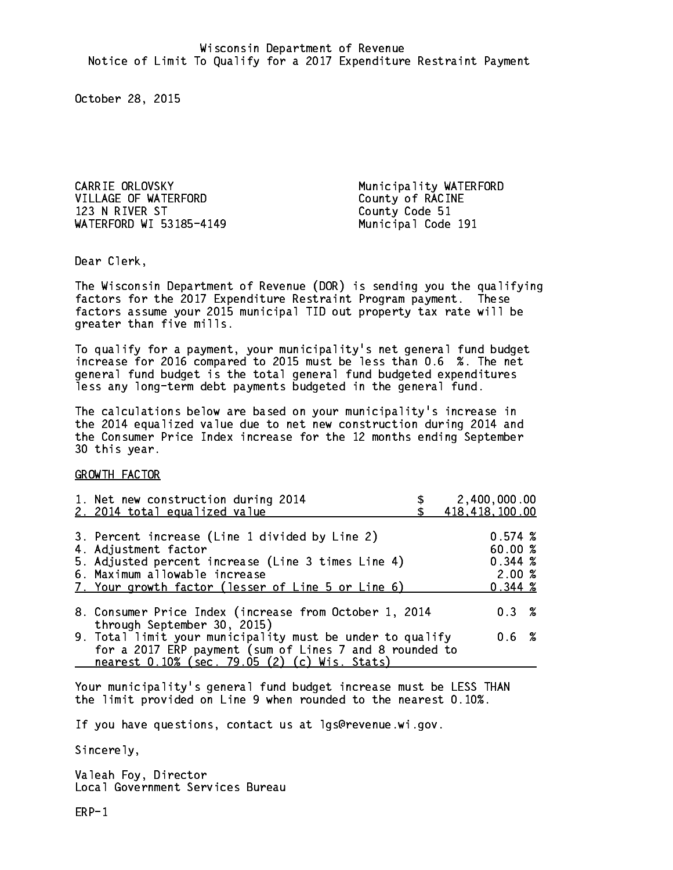CARRIE ORLOVSKY **Municipality WATERFORD** VILLAGE OF WATERFORD County of RACINE 123 N RIVER ST County Code 51 WATERFORD WI 53185-4149

Municipal Code 191

Dear Clerk. Dear Clerk,

The Wisconsin Department of Revenue (DOR) is sending you the qualifying factors for the 2017 Expenditure Restraint Program payment. These factors assume your 2015 municipal TID out property tax rate will be greater than five mills.

 To qualify for a payment, your municipality's net general fund budget increase for 2016 compared to 2015 must be less than 0.6 %. The net general fund budget is the total general fund budgeted expenditures less any long-term debt payments budgeted in the general fund.

The calculations below are based on your municipality's increase in the 2014 equalized value due to net new construction during 2014 and the Consumer Price Index increase for the 12 months ending September 30 this year. 30 this year.

GROWTH FACTOR

| 1. Net new construction during 2014<br>2. 2014 total equalized value                                                                                                                                                | 2,400,000.00<br>418, 418, 100.00                  |
|---------------------------------------------------------------------------------------------------------------------------------------------------------------------------------------------------------------------|---------------------------------------------------|
| 3. Percent increase (Line 1 divided by Line 2)<br>4. Adjustment factor<br>5. Adjusted percent increase (Line 3 times Line 4)<br>6. Maximum allowable increase<br>7. Your growth factor (lesser of Line 5 or Line 6) | 0.574~%<br>60.00 %<br>0.344~%<br>2.00%<br>0.344~% |
| 8. Consumer Price Index (increase from October 1, 2014<br>through September 30, 2015)                                                                                                                               | 0.3%                                              |
| 9. Total limit your municipality must be under to qualify<br>for a 2017 ERP payment (sum of Lines 7 and 8 rounded to<br>nearest 0.10% (sec. 79.05 (2) (c) Wis. Stats)                                               | $0.6\;{\;}\;%$                                    |

Your municipality's general fund budget increase must be LESS THAN the limit provided on Line 9 when rounded to the nearest 0.10%.

If you have questions, contact us at lgs@revenue.wi.gov.

Sincerely,

Valeah Foy, Director Local Government Services Bureau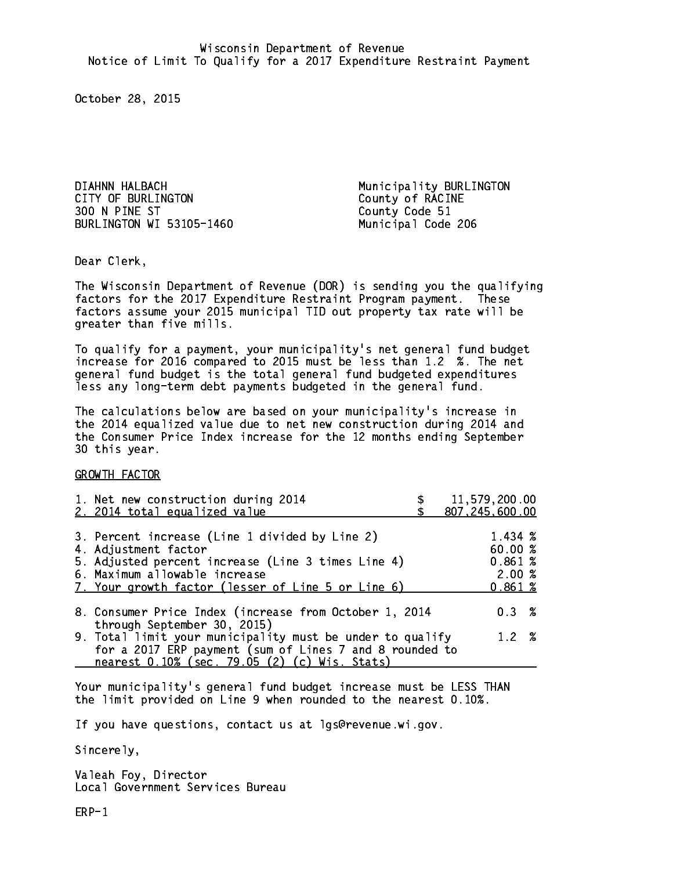DIAHNN HALBACH Municipality BURLINGTON CITY OF BURLINGTON COUNTY OF RACINE 300 N PINE ST County Code 51 BURLINGTON WI 53105-1460 Municipal Code 206

Dear Clerk. Dear Clerk,

The Wisconsin Department of Revenue (DOR) is sending you the qualifying factors for the 2017 Expenditure Restraint Program payment. These factors assume your 2015 municipal TID out property tax rate will be greater than five mills.

 To qualify for a payment, your municipality's net general fund budget increase for 2016 compared to 2015 must be less than 1.2 %. The net general fund budget is the total general fund budgeted expenditures less any long-term debt payments budgeted in the general fund.

The calculations below are based on your municipality's increase in the 2014 equalized value due to net new construction during 2014 and the Consumer Price Index increase for the 12 months ending September 30 this year. 30 this year.

GROWTH FACTOR

| 1. Net new construction during 2014<br>2. 2014 total equalized value                                                                                                                                                | 11,579,200.00<br>807,245,600.00                   |
|---------------------------------------------------------------------------------------------------------------------------------------------------------------------------------------------------------------------|---------------------------------------------------|
| 3. Percent increase (Line 1 divided by Line 2)<br>4. Adjustment factor<br>5. Adjusted percent increase (Line 3 times Line 4)<br>6. Maximum allowable increase<br>7. Your growth factor (lesser of Line 5 or Line 6) | 1.434 %<br>60.00 %<br>0.861~%<br>2.00%<br>0.861~% |
| 8. Consumer Price Index (increase from October 1, 2014                                                                                                                                                              | $0.3 \t%$                                         |
| through September 30, 2015)<br>9. Total limit your municipality must be under to qualify<br>for a 2017 ERP payment (sum of Lines 7 and 8 rounded to<br>nearest 0.10% (sec. 79.05 (2) (c) Wis. Stats)                | $1.2 \t%$                                         |

Your municipality's general fund budget increase must be LESS THAN the limit provided on Line 9 when rounded to the nearest 0.10%.

If you have questions, contact us at lgs@revenue.wi.gov.

Sincerely,

Valeah Foy, Director Local Government Services Bureau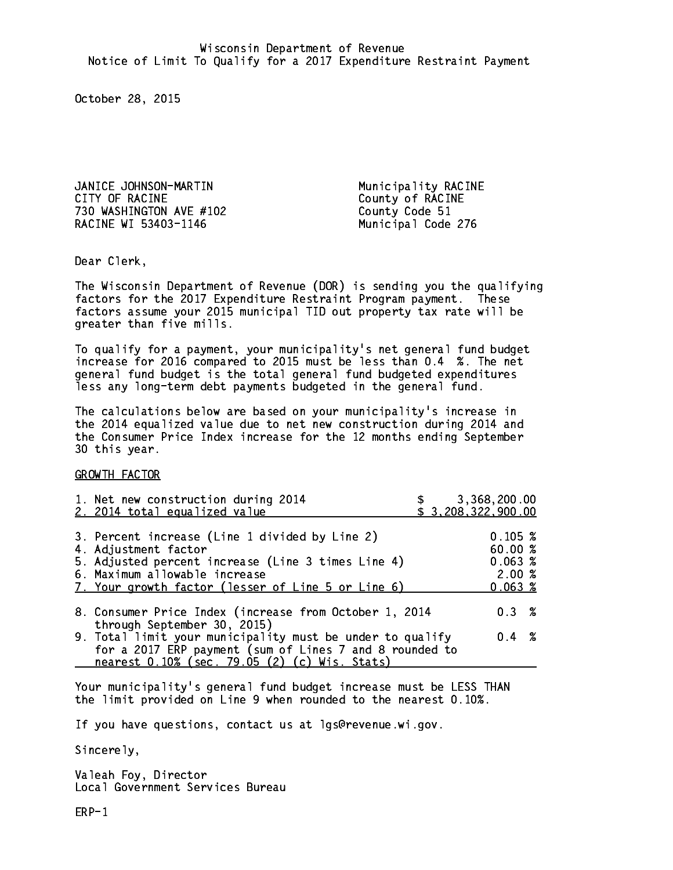JANICE JOHNSON-MARTIN Municipality RACINE CITY OF RACINE COUNTY OF RACINE 730 WASHINGTON AVE #102 County Code 51 RACINE WI 53403-1146 Municipal Code 276

Dear Clerk. Dear Clerk,

The Wisconsin Department of Revenue (DOR) is sending you the qualifying factors for the 2017 Expenditure Restraint Program payment. These factors assume your 2015 municipal TID out property tax rate will be greater than five mills.

 To qualify for a payment, your municipality's net general fund budget increase for 2016 compared to 2015 must be less than 0.4 %. The net general fund budget is the total general fund budgeted expenditures less any long-term debt payments budgeted in the general fund.

The calculations below are based on your municipality's increase in the 2014 equalized value due to net new construction during 2014 and the Consumer Price Index increase for the 12 months ending September 30 this year. 30 this year.

GROWTH FACTOR

| 1. Net new construction during 2014<br>2. 2014 total equalized value                                                                                                                                                | 3,368,200.00<br>\$3,208,322,900.00               |  |
|---------------------------------------------------------------------------------------------------------------------------------------------------------------------------------------------------------------------|--------------------------------------------------|--|
| 3. Percent increase (Line 1 divided by Line 2)<br>4. Adjustment factor<br>5. Adjusted percent increase (Line 3 times Line 4)<br>6. Maximum allowable increase<br>7. Your growth factor (lesser of Line 5 or Line 6) | 0.105~%<br>60.00%<br>0.063~%<br>2.00%<br>0.063~% |  |
| 8. Consumer Price Index (increase from October 1, 2014<br>through September 30, 2015)                                                                                                                               | $0.3 \t%$                                        |  |
| 9. Total limit your municipality must be under to qualify<br>for a 2017 ERP payment (sum of Lines 7 and 8 rounded to<br>nearest 0.10% (sec. 79.05 (2) (c) Wis. Stats)                                               | $0.4 \t%$                                        |  |

Your municipality's general fund budget increase must be LESS THAN the limit provided on Line 9 when rounded to the nearest 0.10%.

If you have questions, contact us at lgs@revenue.wi.gov.

Sincerely,

Valeah Foy, Director Local Government Services Bureau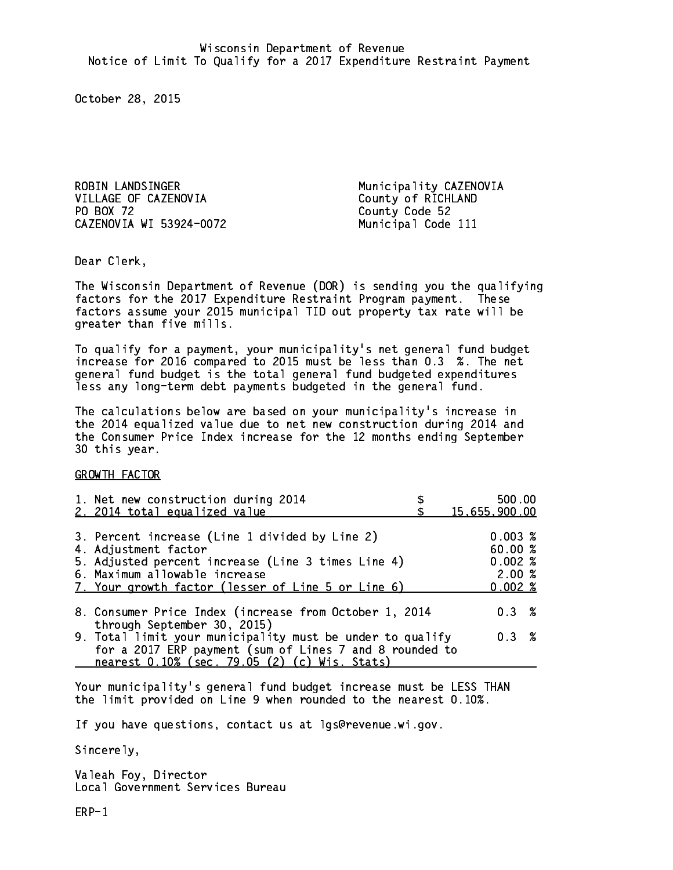ROBIN LANDSINGER Municipality CAZENOVIA VILLAGE OF CAZENOVIA County of RICHLAND PO BOX 72 CAZENOVIA WI 53924-0072 Municipal Code 111

County Code 52

Dear Clerk. Dear Clerk,

The Wisconsin Department of Revenue (DOR) is sending you the qualifying factors for the 2017 Expenditure Restraint Program payment. These factors assume your 2015 municipal TID out property tax rate will be greater than five mills.

 To qualify for a payment, your municipality's net general fund budget increase for 2016 compared to 2015 must be less than 0.3 %. The net general fund budget is the total general fund budgeted expenditures less any long-term debt payments budgeted in the general fund.

The calculations below are based on your municipality's increase in the 2014 equalized value due to net new construction during 2014 and the Consumer Price Index increase for the 12 months ending September 30 this year. 30 this year.

GROWTH FACTOR

| 1. Net new construction during 2014<br>2. 2014 total equalized value                                                                                                                                                | 500.00<br>15,655,900.00                       |
|---------------------------------------------------------------------------------------------------------------------------------------------------------------------------------------------------------------------|-----------------------------------------------|
| 3. Percent increase (Line 1 divided by Line 2)<br>4. Adjustment factor<br>5. Adjusted percent increase (Line 3 times Line 4)<br>6. Maximum allowable increase<br>7. Your growth factor (lesser of Line 5 or Line 6) | 0.003%<br>60.00%<br>0.002%<br>2.00%<br>0.002% |
| 8. Consumer Price Index (increase from October 1, 2014                                                                                                                                                              | $0.3 \t%$                                     |
| through September 30, 2015)<br>9. Total limit your municipality must be under to qualify<br>for a 2017 ERP payment (sum of Lines 7 and 8 rounded to<br>nearest 0.10% (sec. 79.05 (2) (c) Wis. Stats)                | 0.3 %                                         |

Your municipality's general fund budget increase must be LESS THAN the limit provided on Line 9 when rounded to the nearest 0.10%.

If you have questions, contact us at lgs@revenue.wi.gov.

Sincerely,

Valeah Foy, Director Local Government Services Bureau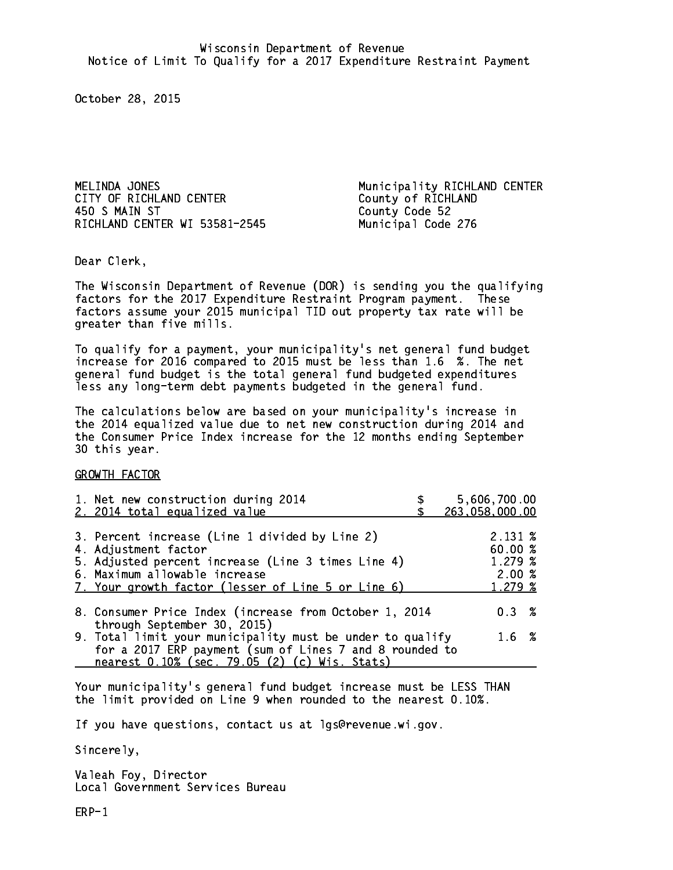CITY OF RICHLAND CENTER<br>450 S MAIN ST<br>County Code 52 RICHLAND CENTER WI 53581-2545 Municipal Code 276

MELINDA JONES **Municipality RICHLAND CENTER** County Code 52

Dear Clerk. Dear Clerk,

The Wisconsin Department of Revenue (DOR) is sending you the qualifying factors for the 2017 Expenditure Restraint Program payment. These factors assume your 2015 municipal TID out property tax rate will be greater than five mills.

 To qualify for a payment, your municipality's net general fund budget increase for 2016 compared to 2015 must be less than 1.6 %. The net general fund budget is the total general fund budgeted expenditures less any long-term debt payments budgeted in the general fund.

The calculations below are based on your municipality's increase in the 2014 equalized value due to net new construction during 2014 and the Consumer Price Index increase for the 12 months ending September 30 this year. 30 this year.

GROWTH FACTOR

| 1. Net new construction during 2014<br>2. 2014 total equalized value                                                                                | 5,606,700.00<br>263,058,000.00 |
|-----------------------------------------------------------------------------------------------------------------------------------------------------|--------------------------------|
| 3. Percent increase (Line 1 divided by Line 2)                                                                                                      | $2.131 \;$ %                   |
| 4. Adjustment factor<br>5. Adjusted percent increase (Line 3 times Line 4)                                                                          | 60.00%<br>1.279~%              |
| 6. Maximum allowable increase<br>7. Your growth factor (lesser of Line 5 or Line 6)                                                                 | 2.00%<br>1.279 %               |
| 8. Consumer Price Index (increase from October 1, 2014                                                                                              | $0.3 \t%$                      |
| through September 30, 2015)<br>9. Total limit your municipality must be under to qualify<br>for a 2017 ERP payment (sum of Lines 7 and 8 rounded to | $1.6 \t%$                      |
| nearest 0.10% (sec. 79.05 (2) (c) Wis. Stats)                                                                                                       |                                |

Your municipality's general fund budget increase must be LESS THAN the limit provided on Line 9 when rounded to the nearest 0.10%.

If you have questions, contact us at lgs@revenue.wi.gov.

Sincerely,

Valeah Foy, Director Local Government Services Bureau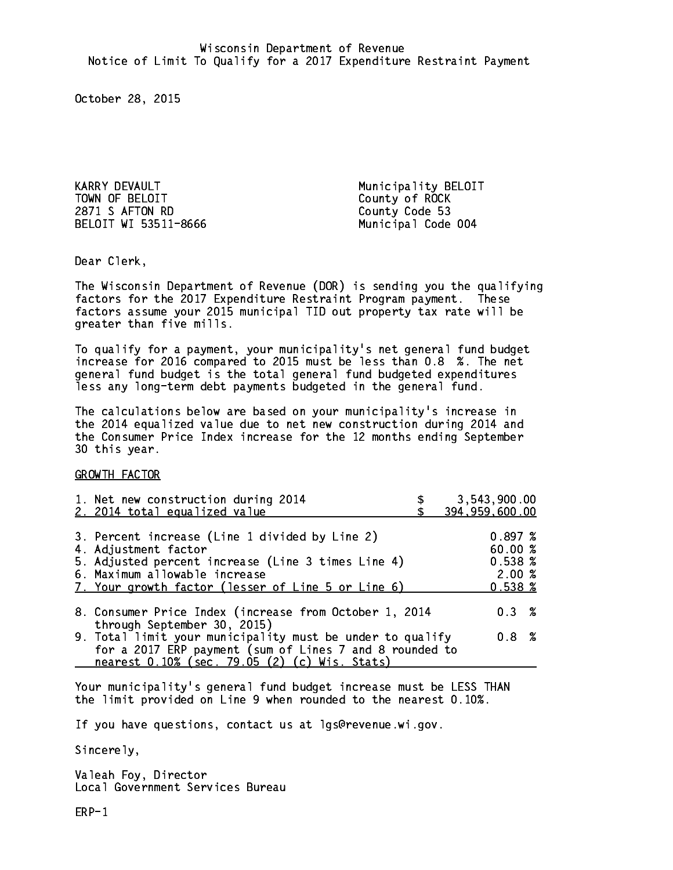KARRY DEVAULT NARRY Municipality BELOIT TOWN OF BELOIT County of ROCK 2871 S AFTON RD County Code 53 BELOIT WI 53511-8666 Municipal Code 004

Dear Clerk. Dear Clerk,

The Wisconsin Department of Revenue (DOR) is sending you the qualifying factors for the 2017 Expenditure Restraint Program payment. These factors assume your 2015 municipal TID out property tax rate will be greater than five mills.

 To qualify for a payment, your municipality's net general fund budget increase for 2016 compared to 2015 must be less than 0.8 %. The net general fund budget is the total general fund budgeted expenditures less any long-term debt payments budgeted in the general fund.

The calculations below are based on your municipality's increase in the 2014 equalized value due to net new construction during 2014 and the Consumer Price Index increase for the 12 months ending September 30 this year. 30 this year.

GROWTH FACTOR

| 1. Net new construction during 2014<br>2. 2014 total equalized value                                     | 3,543,900.00<br>394,959,600.00 |
|----------------------------------------------------------------------------------------------------------|--------------------------------|
|                                                                                                          |                                |
| 3. Percent increase (Line 1 divided by Line 2)<br>4. Adjustment factor                                   | 0.897~%<br>60.00 %             |
| 5. Adjusted percent increase (Line 3 times Line 4)                                                       | 0.538~%<br>2.00%               |
| 6. Maximum allowable increase<br>7. Your growth factor (lesser of Line 5 or Line 6)                      | $0.538 \; \text{\%}$           |
| 8. Consumer Price Index (increase from October 1, 2014                                                   | 0.3%                           |
| through September 30, 2015)<br>9. Total limit your municipality must be under to qualify                 | $0.8 \t%$                      |
| for a 2017 ERP payment (sum of Lines 7 and 8 rounded to<br>nearest 0.10% (sec. 79.05 (2) (c) Wis. Stats) |                                |

Your municipality's general fund budget increase must be LESS THAN the limit provided on Line 9 when rounded to the nearest 0.10%.

If you have questions, contact us at lgs@revenue.wi.gov.

Sincerely,

Valeah Foy, Director Local Government Services Bureau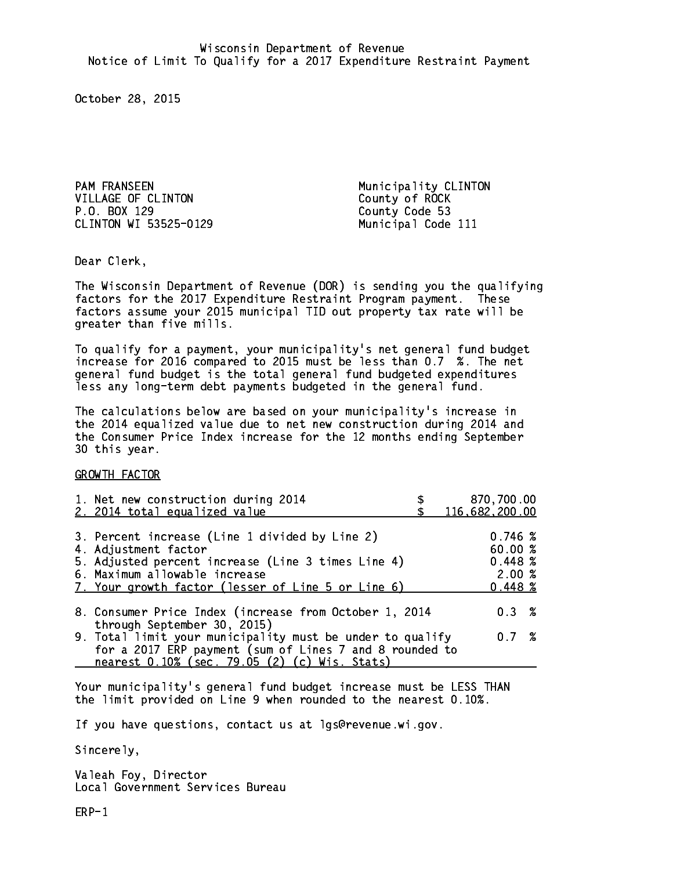PAM FRANSEEN Municipality CLINTON VILLAGE OF CLINTON County of ROCK P.O. BOX 129 CLINTON WI 53525-0129 Municipal Code 111

County Code 53

Dear Clerk. Dear Clerk,

The Wisconsin Department of Revenue (DOR) is sending you the qualifying factors for the 2017 Expenditure Restraint Program payment. These factors assume your 2015 municipal TID out property tax rate will be greater than five mills.

 To qualify for a payment, your municipality's net general fund budget increase for 2016 compared to 2015 must be less than 0.7 %. The net general fund budget is the total general fund budgeted expenditures less any long-term debt payments budgeted in the general fund.

The calculations below are based on your municipality's increase in the 2014 equalized value due to net new construction during 2014 and the Consumer Price Index increase for the 12 months ending September 30 this year. 30 this year.

GROWTH FACTOR

| 1. Net new construction during 2014<br>2. 2014 total equalized value                                                                                                                                                | 870,700.00<br>116,682,200.00                     |
|---------------------------------------------------------------------------------------------------------------------------------------------------------------------------------------------------------------------|--------------------------------------------------|
| 3. Percent increase (Line 1 divided by Line 2)<br>4. Adjustment factor<br>5. Adjusted percent increase (Line 3 times Line 4)<br>6. Maximum allowable increase<br>7. Your growth factor (lesser of Line 5 or Line 6) | 0.746~%<br>60.00%<br>0.448~%<br>2.00%<br>0.448~% |
| 8. Consumer Price Index (increase from October 1, 2014                                                                                                                                                              | $0.3 \t%$                                        |
| through September 30, 2015)<br>9. Total limit your municipality must be under to qualify<br>for a 2017 ERP payment (sum of Lines 7 and 8 rounded to<br>nearest 0.10% (sec. 79.05 (2) (c) Wis. Stats)                | 0.7%                                             |

Your municipality's general fund budget increase must be LESS THAN the limit provided on Line 9 when rounded to the nearest 0.10%.

If you have questions, contact us at lgs@revenue.wi.gov.

Sincerely,

Valeah Foy, Director Local Government Services Bureau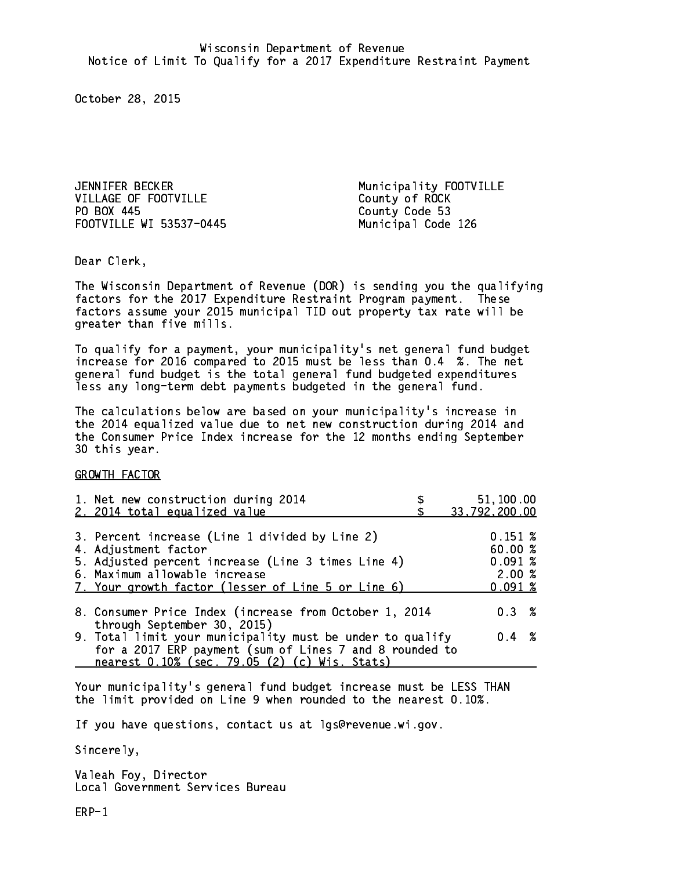JENNIFER BECKER Municipality FOOTVILLE VILLAGE OF FOOTVILLE County of ROCK PO BOX 445 FOOTVILLE WI 53537-0445 Municipal Code 126

County Code 53

Dear Clerk. Dear Clerk,

The Wisconsin Department of Revenue (DOR) is sending you the qualifying factors for the 2017 Expenditure Restraint Program payment. These factors assume your 2015 municipal TID out property tax rate will be greater than five mills.

 To qualify for a payment, your municipality's net general fund budget increase for 2016 compared to 2015 must be less than 0.4 %. The net general fund budget is the total general fund budgeted expenditures less any long-term debt payments budgeted in the general fund.

The calculations below are based on your municipality's increase in the 2014 equalized value due to net new construction during 2014 and the Consumer Price Index increase for the 12 months ending September 30 this year. 30 this year.

GROWTH FACTOR

| 1. Net new construction during 2014<br>2. 2014 total equalized value                                                                                                                                                | 51,100.00<br>33,792,200.00                     |
|---------------------------------------------------------------------------------------------------------------------------------------------------------------------------------------------------------------------|------------------------------------------------|
| 3. Percent increase (Line 1 divided by Line 2)<br>4. Adjustment factor<br>5. Adjusted percent increase (Line 3 times Line 4)<br>6. Maximum allowable increase<br>7. Your growth factor (lesser of Line 5 or Line 6) | 0.151~%<br>60.00%<br>0.091%<br>2.00%<br>0.091% |
| 8. Consumer Price Index (increase from October 1, 2014                                                                                                                                                              | 0.3%                                           |
| through September 30, 2015)<br>9. Total limit your municipality must be under to qualify<br>for a 2017 ERP payment (sum of Lines 7 and 8 rounded to<br>nearest 0.10% (sec. 79.05 (2) (c) Wis. Stats)                | $0.4 \t%$                                      |

Your municipality's general fund budget increase must be LESS THAN the limit provided on Line 9 when rounded to the nearest 0.10%.

If you have questions, contact us at lgs@revenue.wi.gov.

Sincerely,

Valeah Foy, Director Local Government Services Bureau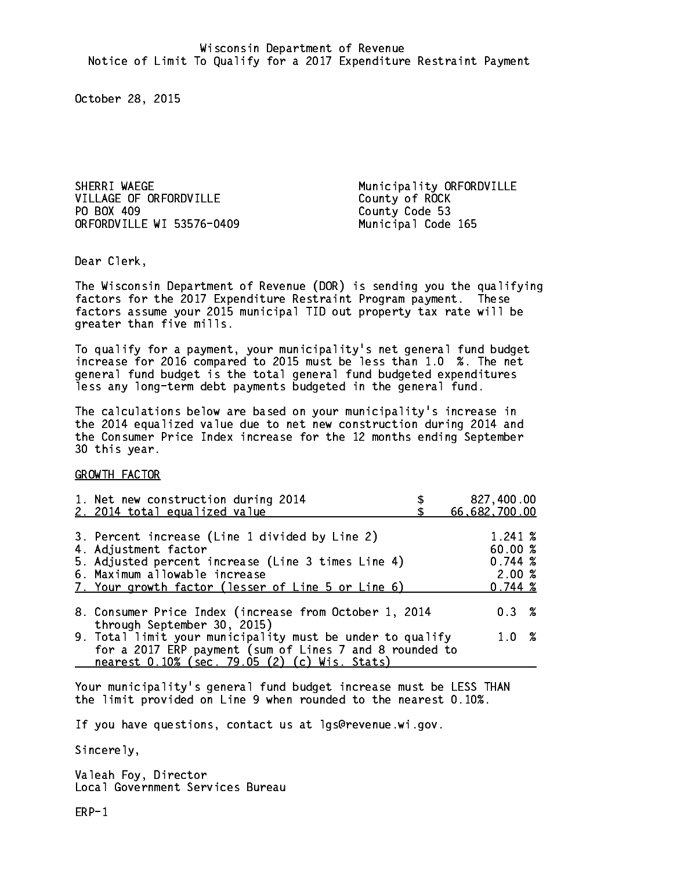SHERRI WAEGE Municipality ORFORDVILLE VILLAGE OF ORFORDVILLE County of ROCK PO BOX 409 ORFORDVILLE WI 53576-0409 Municipal Code 165

County Code 53

Dear Clerk. Dear Clerk,

The Wisconsin Department of Revenue (DOR) is sending you the qualifying factors for the 2017 Expenditure Restraint Program payment. These factors assume your 2015 municipal TID out property tax rate will be greater than five mills.

 To qualify for a payment, your municipality's net general fund budget increase for 2016 compared to 2015 must be less than 1.0 %. The net general fund budget is the total general fund budgeted expenditures less any long-term debt payments budgeted in the general fund.

The calculations below are based on your municipality's increase in the 2014 equalized value due to net new construction during 2014 and the Consumer Price Index increase for the 12 months ending September 30 this year. 30 this year.

GROWTH FACTOR

| 1. Net new construction during 2014                                                                                                                                                                                 | 827,400.00                                       |
|---------------------------------------------------------------------------------------------------------------------------------------------------------------------------------------------------------------------|--------------------------------------------------|
| 2. 2014 total equalized value                                                                                                                                                                                       | 66,682,700.00                                    |
| 3. Percent increase (Line 1 divided by Line 2)<br>4. Adjustment factor<br>5. Adjusted percent increase (Line 3 times Line 4)<br>6. Maximum allowable increase<br>7. Your growth factor (lesser of Line 5 or Line 6) | 1.241 %<br>60.00%<br>0.744~%<br>2.00%<br>0.744~% |
| 8. Consumer Price Index (increase from October 1, 2014                                                                                                                                                              | $0.3 \t%$                                        |
| through September 30, 2015)<br>9. Total limit your municipality must be under to qualify<br>for a 2017 ERP payment (sum of Lines 7 and 8 rounded to<br>nearest 0.10% (sec. 79.05 (2) (c) Wis. Stats)                | 1.0%                                             |

Your municipality's general fund budget increase must be LESS THAN the limit provided on Line 9 when rounded to the nearest 0.10%.

If you have questions, contact us at lgs@revenue.wi.gov.

Sincerely,

Valeah Foy, Director Local Government Services Bureau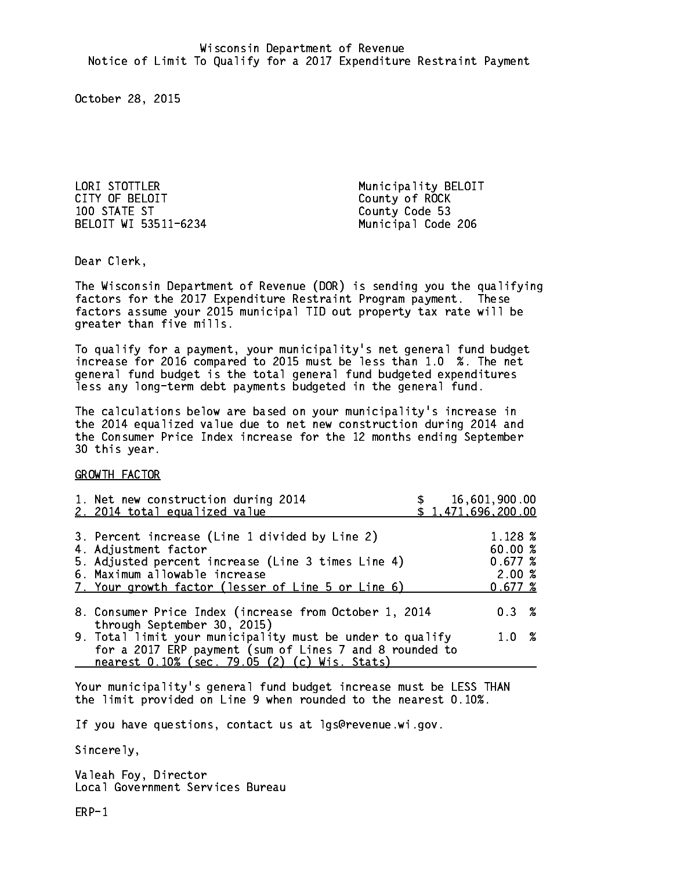LORI STOTTLER<br>
CITY OF BELOIT CITY COunty of ROCK 100 STATE ST County Code 53 BELOIT WI 53511-6234 Municipal Code 206

County of ROCK

Dear Clerk. Dear Clerk,

The Wisconsin Department of Revenue (DOR) is sending you the qualifying factors for the 2017 Expenditure Restraint Program payment. These factors assume your 2015 municipal TID out property tax rate will be greater than five mills.

 To qualify for a payment, your municipality's net general fund budget increase for 2016 compared to 2015 must be less than 1.0 %. The net general fund budget is the total general fund budgeted expenditures less any long-term debt payments budgeted in the general fund.

The calculations below are based on your municipality's increase in the 2014 equalized value due to net new construction during 2014 and the Consumer Price Index increase for the 12 months ending September 30 this year. 30 this year.

GROWTH FACTOR

| 1. Net new construction during 2014<br>2. 2014 total equalized value                                                                                                                                                | \$1,471,696,200.00 | 16,601,900.00                                     |  |
|---------------------------------------------------------------------------------------------------------------------------------------------------------------------------------------------------------------------|--------------------|---------------------------------------------------|--|
| 3. Percent increase (Line 1 divided by Line 2)<br>4. Adjustment factor<br>5. Adjusted percent increase (Line 3 times Line 4)<br>6. Maximum allowable increase<br>7. Your growth factor (lesser of Line 5 or Line 6) |                    | 1.128 %<br>60.00 %<br>0.677~%<br>2.00%<br>0.677~% |  |
| 8. Consumer Price Index (increase from October 1, 2014<br>through September 30, 2015)                                                                                                                               |                    | 0.3%                                              |  |
| 9. Total limit your municipality must be under to qualify<br>for a 2017 ERP payment (sum of Lines 7 and 8 rounded to<br>nearest 0.10% (sec. 79.05 (2) (c) Wis. Stats)                                               |                    | 1.0%                                              |  |

Your municipality's general fund budget increase must be LESS THAN the limit provided on Line 9 when rounded to the nearest 0.10%.

If you have questions, contact us at lgs@revenue.wi.gov.

Sincerely,

Valeah Foy, Director Local Government Services Bureau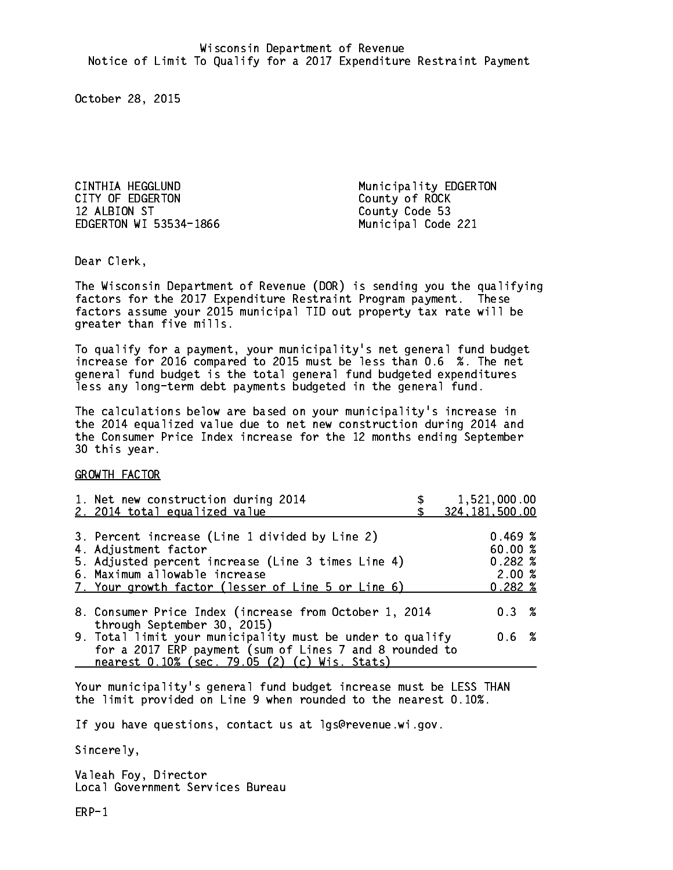CINTHIA HEGGLUND **Municipality EDGERTON** CITY OF EDGERTON COUNTY OF ROCK 12 ALBION ST EDGERTON WI 53534-1866 Municipal Code 221

County Code 53

Dear Clerk. Dear Clerk,

The Wisconsin Department of Revenue (DOR) is sending you the qualifying factors for the 2017 Expenditure Restraint Program payment. These factors assume your 2015 municipal TID out property tax rate will be greater than five mills.

 To qualify for a payment, your municipality's net general fund budget increase for 2016 compared to 2015 must be less than 0.6 %. The net general fund budget is the total general fund budgeted expenditures less any long-term debt payments budgeted in the general fund.

The calculations below are based on your municipality's increase in the 2014 equalized value due to net new construction during 2014 and the Consumer Price Index increase for the 12 months ending September 30 this year. 30 this year.

GROWTH FACTOR

| 1. Net new construction during 2014<br>2. 2014 total equalized value                                                                                                                                                | 1,521,000.00<br>324, 181, 500.00               |
|---------------------------------------------------------------------------------------------------------------------------------------------------------------------------------------------------------------------|------------------------------------------------|
| 3. Percent increase (Line 1 divided by Line 2)<br>4. Adjustment factor<br>5. Adjusted percent increase (Line 3 times Line 4)<br>6. Maximum allowable increase<br>7. Your growth factor (lesser of Line 5 or Line 6) | 0.469~%<br>60.00%<br>0.282%<br>2.00%<br>0.282% |
| 8. Consumer Price Index (increase from October 1, 2014                                                                                                                                                              | $0.3 \t%$                                      |
| through September 30, 2015)<br>9. Total limit your municipality must be under to qualify<br>for a 2017 ERP payment (sum of Lines 7 and 8 rounded to<br>nearest 0.10% (sec. 79.05 (2) (c) Wis. Stats)                | 0.6 %                                          |

Your municipality's general fund budget increase must be LESS THAN the limit provided on Line 9 when rounded to the nearest 0.10%.

If you have questions, contact us at lgs@revenue.wi.gov.

Sincerely,

Valeah Foy, Director Local Government Services Bureau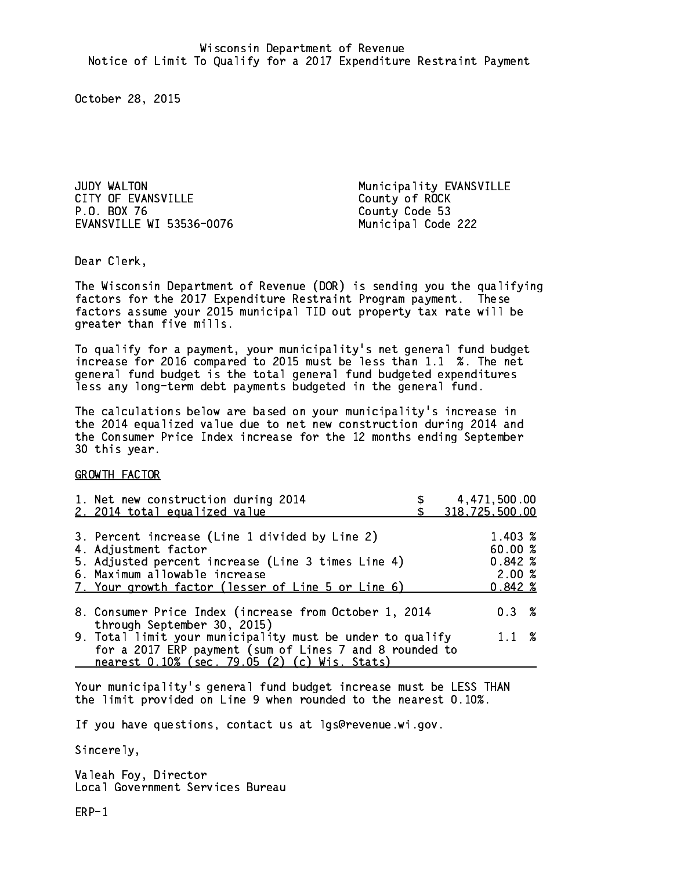JUDY WALTON **Municipality EVANSVILLE** CITY OF EVANSVILLE CITY OF ROCK P.O. BOX 76 County Code 53 EVANSVILLE WI 53536-0076 Municipal Code 222

Dear Clerk. Dear Clerk,

The Wisconsin Department of Revenue (DOR) is sending you the qualifying factors for the 2017 Expenditure Restraint Program payment. These factors assume your 2015 municipal TID out property tax rate will be greater than five mills.

 To qualify for a payment, your municipality's net general fund budget increase for 2016 compared to 2015 must be less than 1.1 %. The net general fund budget is the total general fund budgeted expenditures less any long-term debt payments budgeted in the general fund.

The calculations below are based on your municipality's increase in the 2014 equalized value due to net new construction during 2014 and the Consumer Price Index increase for the 12 months ending September 30 this year. 30 this year.

GROWTH FACTOR

| 1. Net new construction during 2014                                                                                                                                                                  | 4,471,500.00   |
|------------------------------------------------------------------------------------------------------------------------------------------------------------------------------------------------------|----------------|
| 2. 2014 total equalized value                                                                                                                                                                        | 318,725,500.00 |
| 3. Percent increase (Line 1 divided by Line 2)                                                                                                                                                       | 1.403 %        |
| 4. Adjustment factor                                                                                                                                                                                 | 60.00%         |
| 5. Adjusted percent increase (Line 3 times Line 4)                                                                                                                                                   | $0.842*$       |
| 6. Maximum allowable increase                                                                                                                                                                        | 2.00%          |
| 7. Your growth factor (lesser of Line 5 or Line 6)                                                                                                                                                   | $0.842 \; %$   |
| 8. Consumer Price Index (increase from October 1, 2014                                                                                                                                               | $0.3 \t%$      |
| through September 30, 2015)<br>9. Total limit your municipality must be under to qualify<br>for a 2017 ERP payment (sum of Lines 7 and 8 rounded to<br>nearest 0.10% (sec. 79.05 (2) (c) Wis. Stats) | $1.1 \t%$      |

Your municipality's general fund budget increase must be LESS THAN the limit provided on Line 9 when rounded to the nearest 0.10%.

If you have questions, contact us at lgs@revenue.wi.gov.

Sincerely,

Valeah Foy, Director Local Government Services Bureau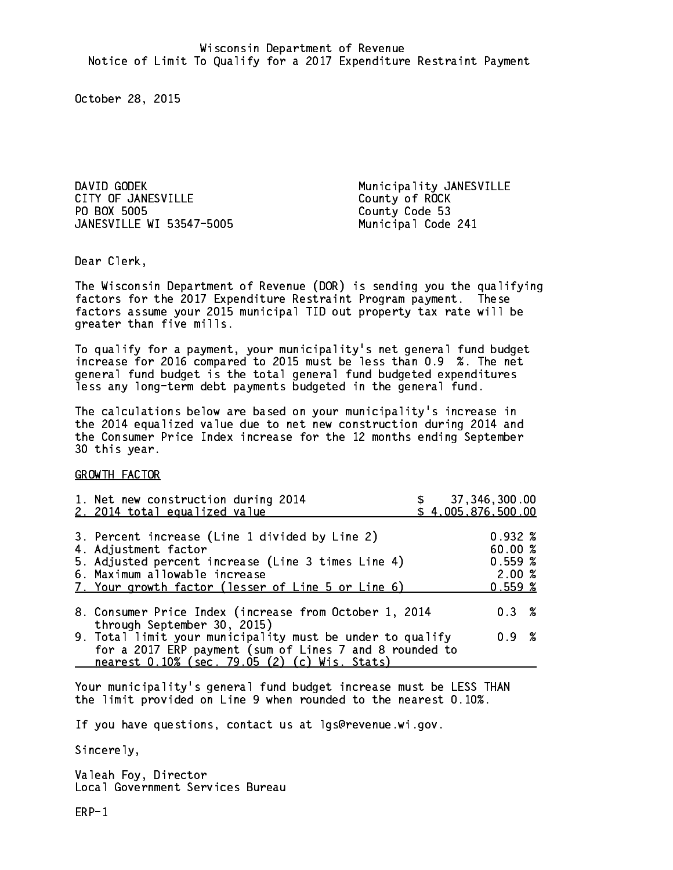DAVID GODEK Municipality JANESVILLE CITY OF JANESVILLE CITY OF ROCK PO BOX 5005 JANESVILLE WI 53547-5005 Municipal Code 241

County Code 53

Dear Clerk. Dear Clerk,

The Wisconsin Department of Revenue (DOR) is sending you the qualifying factors for the 2017 Expenditure Restraint Program payment. These factors assume your 2015 municipal TID out property tax rate will be greater than five mills.

 To qualify for a payment, your municipality's net general fund budget increase for 2016 compared to 2015 must be less than 0.9 %. The net general fund budget is the total general fund budgeted expenditures less any long-term debt payments budgeted in the general fund.

The calculations below are based on your municipality's increase in the 2014 equalized value due to net new construction during 2014 and the Consumer Price Index increase for the 12 months ending September 30 this year. 30 this year.

GROWTH FACTOR

| 1. Net new construction during 2014<br>2. 2014 total equalized value                                                                                                                                                | \$37,346,300.00<br>\$4,005,876,500.00 |                                                        |  |
|---------------------------------------------------------------------------------------------------------------------------------------------------------------------------------------------------------------------|---------------------------------------|--------------------------------------------------------|--|
| 3. Percent increase (Line 1 divided by Line 2)<br>4. Adjustment factor<br>5. Adjusted percent increase (Line 3 times Line 4)<br>6. Maximum allowable increase<br>7. Your growth factor (lesser of Line 5 or Line 6) |                                       | $0.932 \;$ %<br>60.00 %<br>0.559~%<br>2.00%<br>0.559~% |  |
| 8. Consumer Price Index (increase from October 1, 2014<br>through September 30, 2015)                                                                                                                               |                                       | $0.3 \t%$                                              |  |
| 9. Total limit your municipality must be under to qualify<br>for a 2017 ERP payment (sum of Lines 7 and 8 rounded to<br>nearest 0.10% (sec. 79.05 (2) (c) Wis. Stats)                                               |                                       | 0.9 %                                                  |  |

Your municipality's general fund budget increase must be LESS THAN the limit provided on Line 9 when rounded to the nearest 0.10%.

If you have questions, contact us at lgs@revenue.wi.gov.

Sincerely,

Valeah Foy, Director Local Government Services Bureau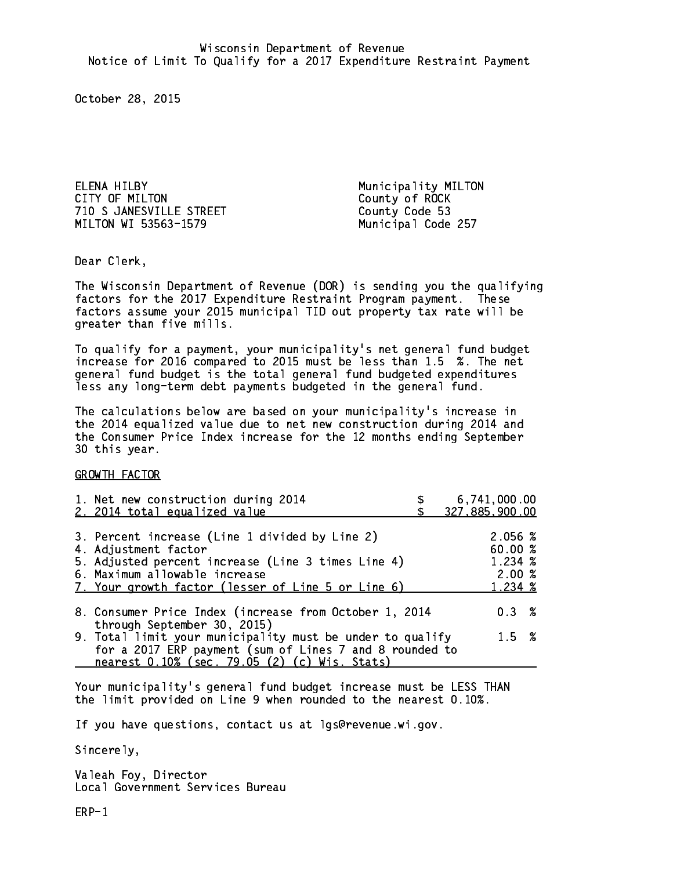ELENA HILBY **Municipality MILTON** CITY OF MILTON COUNTY OF ROCK 710 S JANESVILLE STREET County Code 53 MILTON WI 53563-1579 Municipal Code 257

Dear Clerk. Dear Clerk,

The Wisconsin Department of Revenue (DOR) is sending you the qualifying factors for the 2017 Expenditure Restraint Program payment. These factors assume your 2015 municipal TID out property tax rate will be greater than five mills.

 To qualify for a payment, your municipality's net general fund budget increase for 2016 compared to 2015 must be less than 1.5 %. The net general fund budget is the total general fund budgeted expenditures less any long-term debt payments budgeted in the general fund.

The calculations below are based on your municipality's increase in the 2014 equalized value due to net new construction during 2014 and the Consumer Price Index increase for the 12 months ending September 30 this year. 30 this year.

GROWTH FACTOR

| 1. Net new construction during 2014<br>2. 2014 total equalized value                                     | 6,741,000.00<br>327,885,900.00 |
|----------------------------------------------------------------------------------------------------------|--------------------------------|
|                                                                                                          |                                |
| 3. Percent increase (Line 1 divided by Line 2)                                                           | 2.056~%                        |
| 4. Adjustment factor                                                                                     | 60.00%                         |
| 5. Adjusted percent increase (Line 3 times Line 4)                                                       | $1.234 \; \text{\%}$           |
| 6. Maximum allowable increase                                                                            | 2.00%                          |
| 7. Your growth factor (lesser of Line 5 or Line 6)                                                       | 1.234 %                        |
| 8. Consumer Price Index (increase from October 1, 2014                                                   | $0.3 \t%$                      |
| through September 30, 2015)<br>9. Total limit your municipality must be under to qualify                 | $1.5 \t%$                      |
| for a 2017 ERP payment (sum of Lines 7 and 8 rounded to<br>nearest 0.10% (sec. 79.05 (2) (c) Wis. Stats) |                                |

Your municipality's general fund budget increase must be LESS THAN the limit provided on Line 9 when rounded to the nearest 0.10%.

If you have questions, contact us at lgs@revenue.wi.gov.

Sincerely,

Valeah Foy, Director Local Government Services Bureau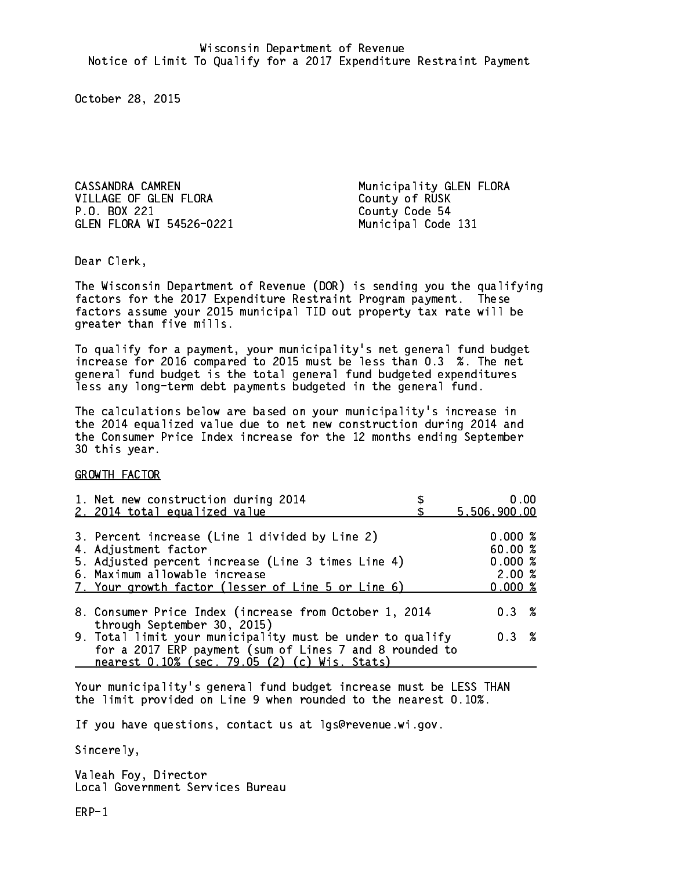CASSANDRA CAMREN Municipality GLEN FLORA VILLAGE OF GLEN FLORA County of RUSK P.O. BOX 221 GLEN FLORA WI 54526-0221 Municipal Code 131

County Code 54

Dear Clerk. Dear Clerk,

The Wisconsin Department of Revenue (DOR) is sending you the qualifying factors for the 2017 Expenditure Restraint Program payment. These factors assume your 2015 municipal TID out property tax rate will be greater than five mills.

 To qualify for a payment, your municipality's net general fund budget increase for 2016 compared to 2015 must be less than 0.3 %. The net general fund budget is the total general fund budgeted expenditures less any long-term debt payments budgeted in the general fund.

The calculations below are based on your municipality's increase in the 2014 equalized value due to net new construction during 2014 and the Consumer Price Index increase for the 12 months ending September 30 this year. 30 this year.

GROWTH FACTOR

| 1. Net new construction during 2014<br>2. 2014 total equalized value                                     | 0.00<br>5,506,900.00 |  |
|----------------------------------------------------------------------------------------------------------|----------------------|--|
| 3. Percent increase (Line 1 divided by Line 2)                                                           | 0.000%               |  |
| 4. Adjustment factor<br>5. Adjusted percent increase (Line 3 times Line 4)                               | 60.00%<br>0.000~%    |  |
| 6. Maximum allowable increase<br>7. Your growth factor (lesser of Line 5 or Line 6)                      | 2.00%<br>0.000~%     |  |
| 8. Consumer Price Index (increase from October 1, 2014                                                   | $0.3 \t%$            |  |
| through September 30, 2015)<br>9. Total limit your municipality must be under to qualify                 | 0.3 %                |  |
| for a 2017 ERP payment (sum of Lines 7 and 8 rounded to<br>nearest 0.10% (sec. 79.05 (2) (c) Wis. Stats) |                      |  |

Your municipality's general fund budget increase must be LESS THAN the limit provided on Line 9 when rounded to the nearest 0.10%.

If you have questions, contact us at lgs@revenue.wi.gov.

Sincerely,

Valeah Foy, Director Local Government Services Bureau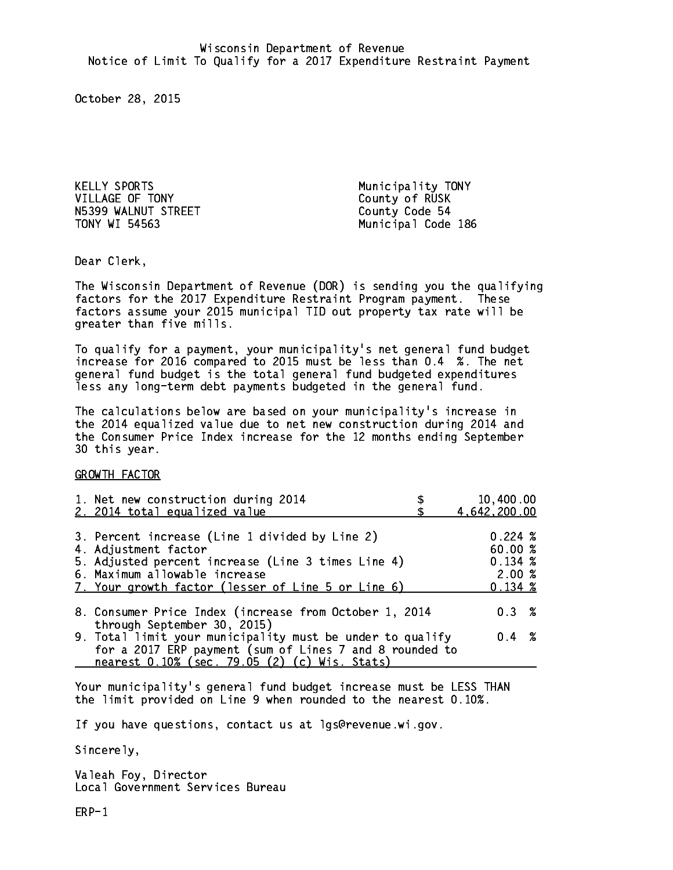KELLY SPORTS **Municipality** TONY VILLAGE OF TONY County of RUSK N5399 WALNUT STREET County Code 54 TONY WI 54563

Municipal Code 186

Dear Clerk. Dear Clerk,

The Wisconsin Department of Revenue (DOR) is sending you the qualifying factors for the 2017 Expenditure Restraint Program payment. These factors assume your 2015 municipal TID out property tax rate will be greater than five mills.

 To qualify for a payment, your municipality's net general fund budget increase for 2016 compared to 2015 must be less than 0.4 %. The net general fund budget is the total general fund budgeted expenditures less any long-term debt payments budgeted in the general fund.

The calculations below are based on your municipality's increase in the 2014 equalized value due to net new construction during 2014 and the Consumer Price Index increase for the 12 months ending September 30 this year. 30 this year.

GROWTH FACTOR

| 1. Net new construction during 2014<br>2. 2014 total equalized value                                                                                                                                                | 10,400.00<br>4,642,200.00                                  |
|---------------------------------------------------------------------------------------------------------------------------------------------------------------------------------------------------------------------|------------------------------------------------------------|
| 3. Percent increase (Line 1 divided by Line 2)<br>4. Adjustment factor<br>5. Adjusted percent increase (Line 3 times Line 4)<br>6. Maximum allowable increase<br>7. Your growth factor (lesser of Line 5 or Line 6) | $0.224 \;$ %<br>60.00%<br>0.134~%<br>2.00%<br>$0.134 \;$ % |
| 8. Consumer Price Index (increase from October 1, 2014                                                                                                                                                              | 0.3%                                                       |
| through September 30, 2015)<br>9. Total limit your municipality must be under to qualify<br>for a 2017 ERP payment (sum of Lines 7 and 8 rounded to<br>nearest 0.10% (sec. 79.05 (2) (c) Wis. Stats)                | $0.4 \t%$                                                  |

Your municipality's general fund budget increase must be LESS THAN the limit provided on Line 9 when rounded to the nearest 0.10%.

If you have questions, contact us at lgs@revenue.wi.gov.

Sincerely,

Valeah Foy, Director Local Government Services Bureau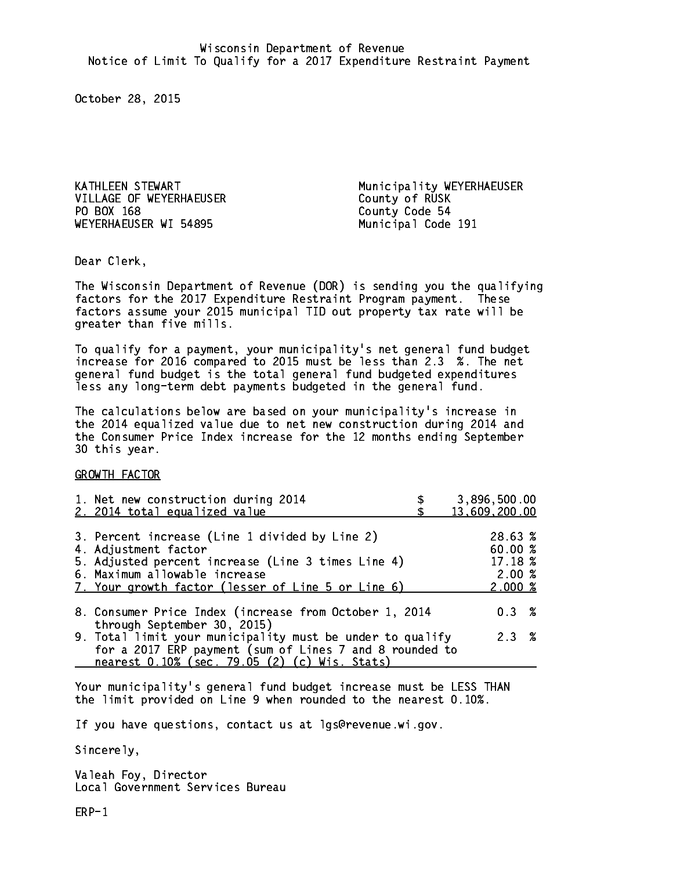VILLAGE OF WEYERHAEUSER County of RUSK PO BOX 168 WEYERHAEUSER WI 54895 Municipal Code 191

KATHLEEN STEWART Municipality WEYERHAEUSER County Code 54

Dear Clerk. Dear Clerk,

The Wisconsin Department of Revenue (DOR) is sending you the qualifying factors for the 2017 Expenditure Restraint Program payment. These factors assume your 2015 municipal TID out property tax rate will be greater than five mills.

 To qualify for a payment, your municipality's net general fund budget increase for 2016 compared to 2015 must be less than 2.3 %. The net general fund budget is the total general fund budgeted expenditures less any long-term debt payments budgeted in the general fund.

The calculations below are based on your municipality's increase in the 2014 equalized value due to net new construction during 2014 and the Consumer Price Index increase for the 12 months ending September 30 this year. 30 this year.

GROWTH FACTOR

| 1. Net new construction during 2014<br>2. 2014 total equalized value                                                                                                                                                | 3,896,500.00<br>13,609,200.00                                 |
|---------------------------------------------------------------------------------------------------------------------------------------------------------------------------------------------------------------------|---------------------------------------------------------------|
| 3. Percent increase (Line 1 divided by Line 2)<br>4. Adjustment factor<br>5. Adjusted percent increase (Line 3 times Line 4)<br>6. Maximum allowable increase<br>7. Your growth factor (lesser of Line 5 or Line 6) | 28.63 %<br>60.00%<br>17.18 %<br>2.00%<br>$2.000 \; \text{\%}$ |
| 8. Consumer Price Index (increase from October 1, 2014<br>through September 30, 2015)                                                                                                                               | 0.3%                                                          |
| 9. Total limit your municipality must be under to qualify<br>for a 2017 ERP payment (sum of Lines 7 and 8 rounded to<br>nearest 0.10% (sec. 79.05 (2) (c) Wis. Stats)                                               | 2.3%                                                          |

Your municipality's general fund budget increase must be LESS THAN the limit provided on Line 9 when rounded to the nearest 0.10%.

If you have questions, contact us at lgs@revenue.wi.gov.

Sincerely,

Valeah Foy, Director Local Government Services Bureau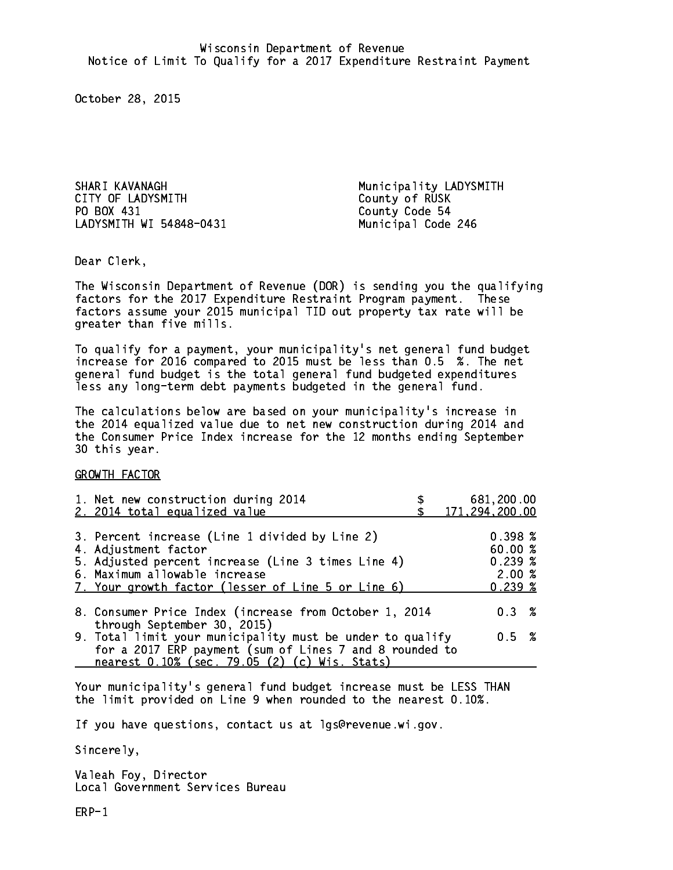SHARI KAVANAGH Municipality LADYSMITH CITY OF LADYSMITH CITY County of RUSK PO BOX 431 LADYSMITH WI 54848-0431 Municipal Code 246

County Code 54

Dear Clerk. Dear Clerk,

The Wisconsin Department of Revenue (DOR) is sending you the qualifying factors for the 2017 Expenditure Restraint Program payment. These factors assume your 2015 municipal TID out property tax rate will be greater than five mills.

 To qualify for a payment, your municipality's net general fund budget increase for 2016 compared to 2015 must be less than 0.5 %. The net general fund budget is the total general fund budgeted expenditures less any long-term debt payments budgeted in the general fund.

The calculations below are based on your municipality's increase in the 2014 equalized value due to net new construction during 2014 and the Consumer Price Index increase for the 12 months ending September 30 this year. 30 this year.

GROWTH FACTOR

| 1. Net new construction during 2014<br>2. 2014 total equalized value                                                                                                                                                | 681,200.00<br>171,294,200.00                                  |
|---------------------------------------------------------------------------------------------------------------------------------------------------------------------------------------------------------------------|---------------------------------------------------------------|
| 3. Percent increase (Line 1 divided by Line 2)<br>4. Adjustment factor<br>5. Adjusted percent increase (Line 3 times Line 4)<br>6. Maximum allowable increase<br>7. Your growth factor (lesser of Line 5 or Line 6) | $0.398 \; \text{\%}$<br>60.00%<br>$0.239*$<br>2.00%<br>0.239% |
| 8. Consumer Price Index (increase from October 1, 2014<br>through September 30, 2015)                                                                                                                               | $0.3 \t%$                                                     |
| 9. Total limit your municipality must be under to qualify<br>for a 2017 ERP payment (sum of Lines 7 and 8 rounded to<br>nearest 0.10% (sec. 79.05 (2) (c) Wis. Stats)                                               | 0.5 %                                                         |

Your municipality's general fund budget increase must be LESS THAN the limit provided on Line 9 when rounded to the nearest 0.10%.

If you have questions, contact us at lgs@revenue.wi.gov.

Sincerely,

Valeah Foy, Director Local Government Services Bureau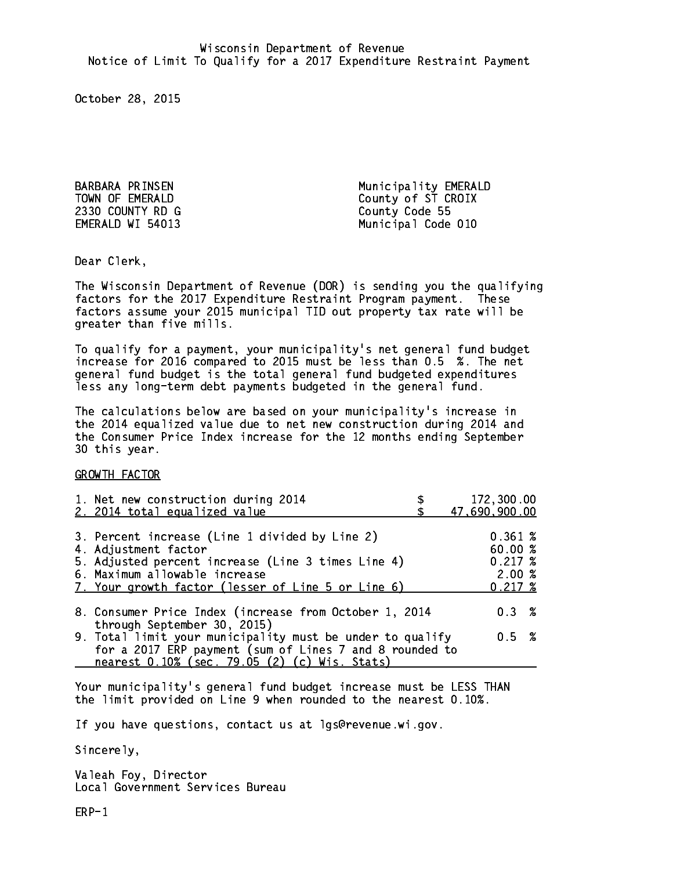2330 COUNTY RD G County Code 55 EMERALD WI 54013

BARBARA PRINSEN Municipality EMERALD TOWN OF EMERALD County of ST CROIX Municipal Code 010

Dear Clerk. Dear Clerk,

The Wisconsin Department of Revenue (DOR) is sending you the qualifying factors for the 2017 Expenditure Restraint Program payment. These factors assume your 2015 municipal TID out property tax rate will be greater than five mills.

 To qualify for a payment, your municipality's net general fund budget increase for 2016 compared to 2015 must be less than 0.5 %. The net general fund budget is the total general fund budgeted expenditures less any long-term debt payments budgeted in the general fund.

The calculations below are based on your municipality's increase in the 2014 equalized value due to net new construction during 2014 and the Consumer Price Index increase for the 12 months ending September 30 this year. 30 this year.

GROWTH FACTOR

| 1. Net new construction during 2014<br>2. 2014 total equalized value                                                                                                                                                | 172,300.00<br>47,690,900.00                                |
|---------------------------------------------------------------------------------------------------------------------------------------------------------------------------------------------------------------------|------------------------------------------------------------|
| 3. Percent increase (Line 1 divided by Line 2)<br>4. Adjustment factor<br>5. Adjusted percent increase (Line 3 times Line 4)<br>6. Maximum allowable increase<br>7. Your growth factor (lesser of Line 5 or Line 6) | 0.361~%<br>60.00%<br>$0.217 \;$ %<br>2.00%<br>$0.217 \; %$ |
| 8. Consumer Price Index (increase from October 1, 2014                                                                                                                                                              | 0.3%                                                       |
| through September 30, 2015)<br>9. Total limit your municipality must be under to qualify<br>for a 2017 ERP payment (sum of Lines 7 and 8 rounded to<br>nearest 0.10% (sec. 79.05 (2) (c) Wis. Stats)                | 0.5 %                                                      |

Your municipality's general fund budget increase must be LESS THAN the limit provided on Line 9 when rounded to the nearest 0.10%.

If you have questions, contact us at lgs@revenue.wi.gov.

Sincerely,

Valeah Foy, Director Local Government Services Bureau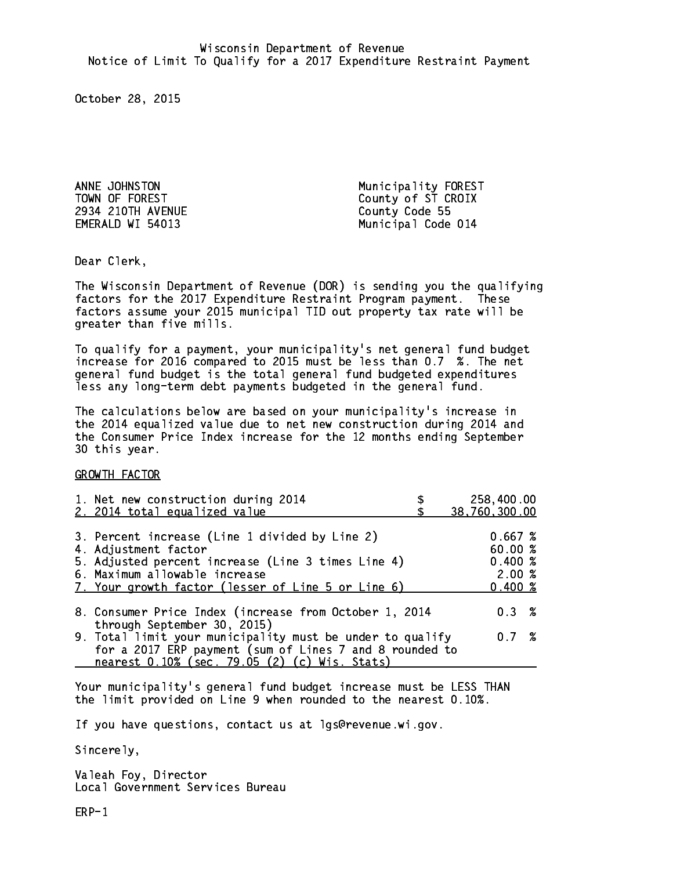2934 210TH AVENUE County Code 55

ANNE JOHNSTON Municipality FOREST TOWN OF FOREST County of ST CROIX EMERALD WI 54013 Municipal Code 014

Dear Clerk. Dear Clerk,

The Wisconsin Department of Revenue (DOR) is sending you the qualifying factors for the 2017 Expenditure Restraint Program payment. These factors assume your 2015 municipal TID out property tax rate will be greater than five mills.

 To qualify for a payment, your municipality's net general fund budget increase for 2016 compared to 2015 must be less than 0.7 %. The net general fund budget is the total general fund budgeted expenditures less any long-term debt payments budgeted in the general fund.

The calculations below are based on your municipality's increase in the 2014 equalized value due to net new construction during 2014 and the Consumer Price Index increase for the 12 months ending September 30 this year. 30 this year.

GROWTH FACTOR

| 1. Net new construction during 2014<br>2. 2014 total equalized value                                                                                                  | 258,400.00<br>38,760,300.00      |
|-----------------------------------------------------------------------------------------------------------------------------------------------------------------------|----------------------------------|
|                                                                                                                                                                       |                                  |
| 3. Percent increase (Line 1 divided by Line 2)<br>4. Adjustment factor                                                                                                | 0.667~%<br>60.00%                |
| 5. Adjusted percent increase (Line 3 times Line 4)<br>6. Maximum allowable increase<br>7. Your growth factor (lesser of Line 5 or Line 6)                             | 0.400~%<br>2.00%<br>$0.400 \; %$ |
| 8. Consumer Price Index (increase from October 1, 2014<br>through September 30, 2015)                                                                                 | $0.3 \t%$                        |
| 9. Total limit your municipality must be under to qualify<br>for a 2017 ERP payment (sum of Lines 7 and 8 rounded to<br>nearest 0.10% (sec. 79.05 (2) (c) Wis. Stats) | 0.7%                             |

Your municipality's general fund budget increase must be LESS THAN the limit provided on Line 9 when rounded to the nearest 0.10%.

If you have questions, contact us at lgs@revenue.wi.gov.

Sincerely,

Valeah Foy, Director Local Government Services Bureau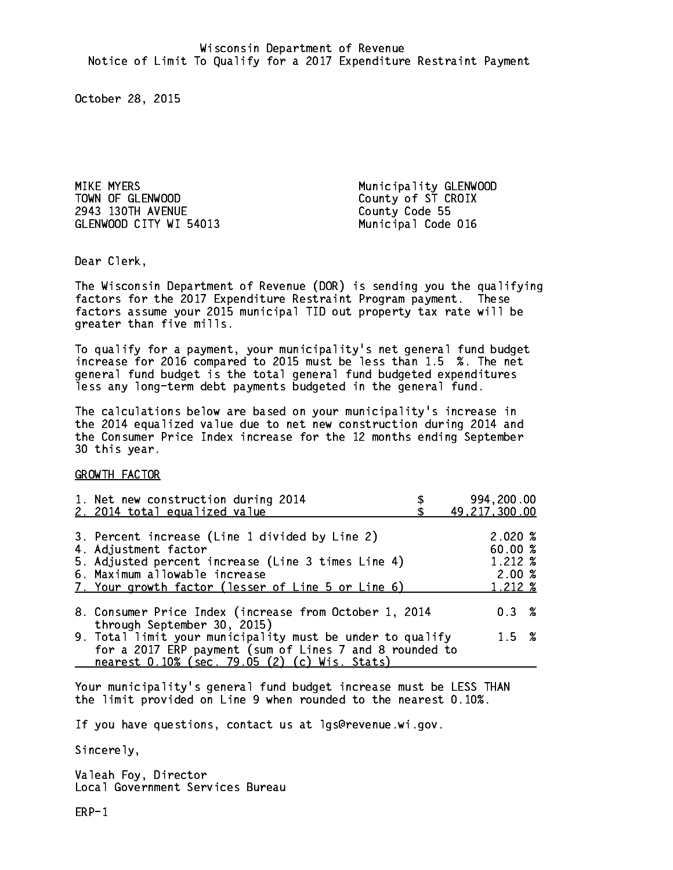MIKE MYERS Municipality GLENWOOD TOWN OF GLENWOOD County of ST CROIX 2943 130TH AVENUE County Code 55 GLENWOOD CITY WI 54013 Municipal Code 016

Dear Clerk. Dear Clerk,

The Wisconsin Department of Revenue (DOR) is sending you the qualifying factors for the 2017 Expenditure Restraint Program payment. These factors assume your 2015 municipal TID out property tax rate will be greater than five mills.

 To qualify for a payment, your municipality's net general fund budget increase for 2016 compared to 2015 must be less than 1.5 %. The net general fund budget is the total general fund budgeted expenditures less any long-term debt payments budgeted in the general fund.

The calculations below are based on your municipality's increase in the 2014 equalized value due to net new construction during 2014 and the Consumer Price Index increase for the 12 months ending September 30 this year. 30 this year.

GROWTH FACTOR

| 1. Net new construction during 2014<br>2. 2014 total equalized value                                                                                                                                                | 994,200.00<br>49, 217, 300.00                   |
|---------------------------------------------------------------------------------------------------------------------------------------------------------------------------------------------------------------------|-------------------------------------------------|
| 3. Percent increase (Line 1 divided by Line 2)<br>4. Adjustment factor<br>5. Adjusted percent increase (Line 3 times Line 4)<br>6. Maximum allowable increase<br>7. Your growth factor (lesser of Line 5 or Line 6) | 2.020%<br>60.00%<br>1.212 %<br>2.00%<br>1.212 % |
| 8. Consumer Price Index (increase from October 1, 2014                                                                                                                                                              | $0.3 \t%$                                       |
| through September 30, 2015)<br>9. Total limit your municipality must be under to qualify<br>for a 2017 ERP payment (sum of Lines 7 and 8 rounded to<br>nearest 0.10% (sec. 79.05 (2) (c) Wis. Stats)                | $1.5 \t%$                                       |

Your municipality's general fund budget increase must be LESS THAN the limit provided on Line 9 when rounded to the nearest 0.10%.

If you have questions, contact us at lgs@revenue.wi.gov.

Sincerely,

Valeah Foy, Director Local Government Services Bureau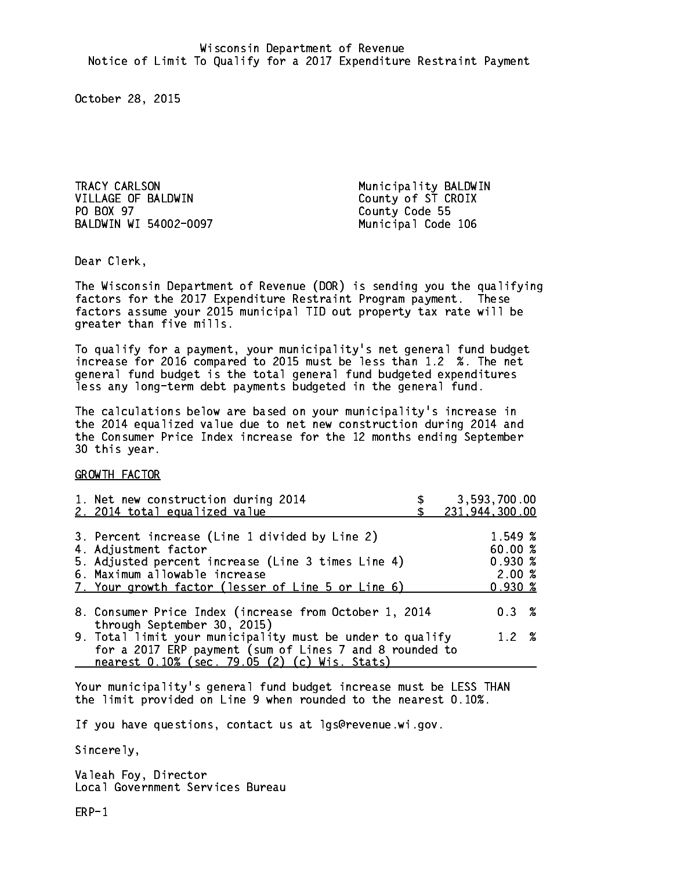TRACY CARLSON MUNICIPALITY BALL CARLSON MUNICIPALITY BALL CARLSON MUNICIPALITY BALL CARLSON MUNICIPALITY BALL CARLS VILLAGE OF BALDWIN County of ST CROIX PO BOX 97 BALDWIN WI 54002-0097 Municipal Code 106

County Code 55

Dear Clerk. Dear Clerk,

The Wisconsin Department of Revenue (DOR) is sending you the qualifying factors for the 2017 Expenditure Restraint Program payment. These factors assume your 2015 municipal TID out property tax rate will be greater than five mills.

 To qualify for a payment, your municipality's net general fund budget increase for 2016 compared to 2015 must be less than 1.2 %. The net general fund budget is the total general fund budgeted expenditures less any long-term debt payments budgeted in the general fund.

The calculations below are based on your municipality's increase in the 2014 equalized value due to net new construction during 2014 and the Consumer Price Index increase for the 12 months ending September 30 this year. 30 this year.

GROWTH FACTOR

| 1. Net new construction during 2014<br>2. 2014 total equalized value                                                                                                                                                | 3,593,700.00<br>231,944,300.00                         |
|---------------------------------------------------------------------------------------------------------------------------------------------------------------------------------------------------------------------|--------------------------------------------------------|
| 3. Percent increase (Line 1 divided by Line 2)<br>4. Adjustment factor<br>5. Adjusted percent increase (Line 3 times Line 4)<br>6. Maximum allowable increase<br>7. Your growth factor (lesser of Line 5 or Line 6) | 1.549 %<br>60.00%<br>$0.930*$<br>2.00%<br>$0.930 \; %$ |
| 8. Consumer Price Index (increase from October 1, 2014<br>through September 30, 2015)                                                                                                                               | $0.3 \t%$                                              |
| 9. Total limit your municipality must be under to qualify<br>for a 2017 ERP payment (sum of Lines 7 and 8 rounded to<br>nearest 0.10% (sec. 79.05 (2) (c) Wis. Stats)                                               | 1.2%                                                   |

Your municipality's general fund budget increase must be LESS THAN the limit provided on Line 9 when rounded to the nearest 0.10%.

If you have questions, contact us at lgs@revenue.wi.gov.

Sincerely,

Valeah Foy, Director Local Government Services Bureau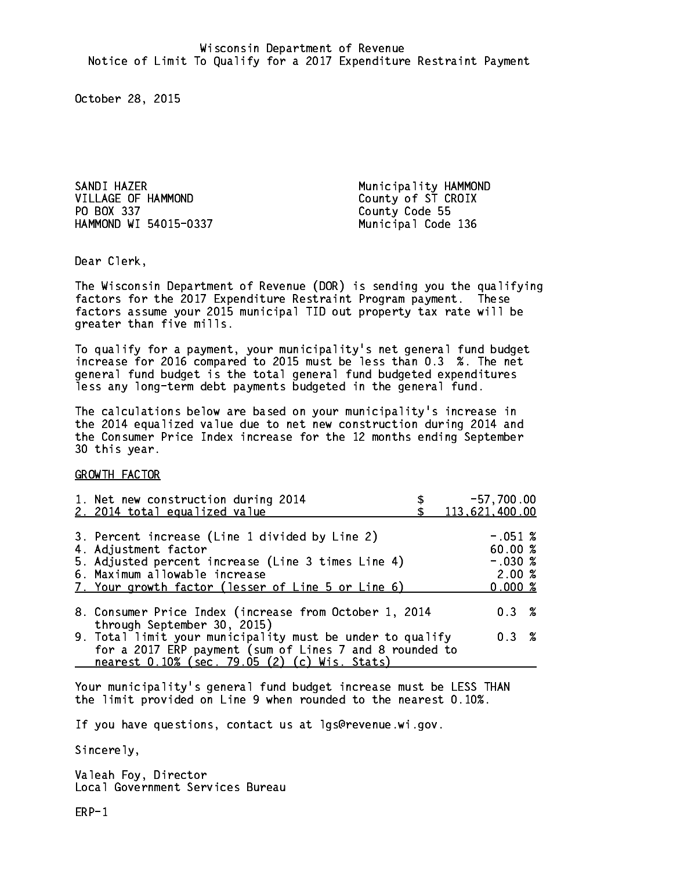sand in the same dependent of the same dependent of the same dependent of the same dependent of the same dependence of the same dependence of the same dependence of the same dependence of the same dependence of the same de VILLAGE OF HAMMOND County of ST CROIX PO BOX 337 County Code 55 HAMMOND WI 54015-0337 Municipal Code 136

Dear Clerk. Dear Clerk,

The Wisconsin Department of Revenue (DOR) is sending you the qualifying factors for the 2017 Expenditure Restraint Program payment. These factors assume your 2015 municipal TID out property tax rate will be greater than five mills.

 To qualify for a payment, your municipality's net general fund budget increase for 2016 compared to 2015 must be less than 0.3 %. The net general fund budget is the total general fund budgeted expenditures less any long-term debt payments budgeted in the general fund.

The calculations below are based on your municipality's increase in the 2014 equalized value due to net new construction during 2014 and the Consumer Price Index increase for the 12 months ending September 30 this year. 30 this year.

GROWTH FACTOR

| 1. Net new construction during 2014<br>2. 2014 total equalized value                                                                                                                                                | $-57,700.00$<br>113,621,400.00                       |
|---------------------------------------------------------------------------------------------------------------------------------------------------------------------------------------------------------------------|------------------------------------------------------|
| 3. Percent increase (Line 1 divided by Line 2)<br>4. Adjustment factor<br>5. Adjusted percent increase (Line 3 times Line 4)<br>6. Maximum allowable increase<br>7. Your growth factor (lesser of Line 5 or Line 6) | $-.051$ %<br>60.00%<br>$-.030~%$<br>2.00%<br>0.000~% |
| 8. Consumer Price Index (increase from October 1, 2014<br>through September 30, 2015)                                                                                                                               | $0.3 \t%$                                            |
| 9. Total limit your municipality must be under to qualify<br>for a 2017 ERP payment (sum of Lines 7 and 8 rounded to<br>nearest 0.10% (sec. 79.05 (2) (c) Wis. Stats)                                               | 0.3%                                                 |

Your municipality's general fund budget increase must be LESS THAN the limit provided on Line 9 when rounded to the nearest 0.10%.

If you have questions, contact us at lgs@revenue.wi.gov.

Sincerely,

Valeah Foy, Director Local Government Services Bureau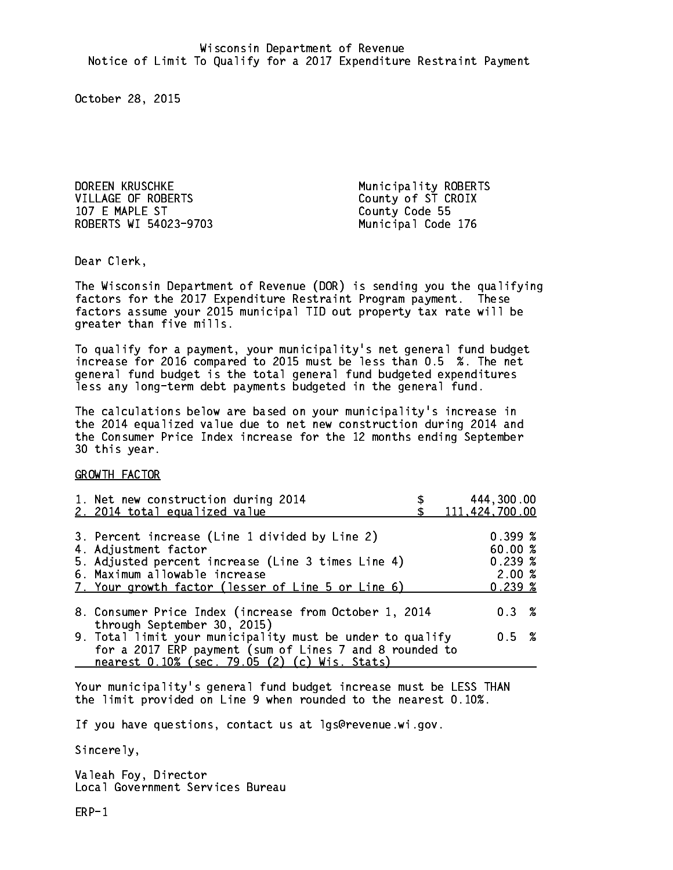DOREEN KRUSCHKE Municipality ROBERTS VILLAGE OF ROBERTS County of ST CROIX 107 E MAPLE ST ROBERTS WI 54023-9703

County Code 55 Municipal Code 176

Dear Clerk. Dear Clerk,

The Wisconsin Department of Revenue (DOR) is sending you the qualifying factors for the 2017 Expenditure Restraint Program payment. These factors assume your 2015 municipal TID out property tax rate will be greater than five mills.

 To qualify for a payment, your municipality's net general fund budget increase for 2016 compared to 2015 must be less than 0.5 %. The net general fund budget is the total general fund budgeted expenditures less any long-term debt payments budgeted in the general fund.

The calculations below are based on your municipality's increase in the 2014 equalized value due to net new construction during 2014 and the Consumer Price Index increase for the 12 months ending September 30 this year. 30 this year.

GROWTH FACTOR

| 1. Net new construction during 2014<br>2. 2014 total equalized value                                                                                                                                                | 444,300.00<br>111,424,700.00                       |
|---------------------------------------------------------------------------------------------------------------------------------------------------------------------------------------------------------------------|----------------------------------------------------|
| 3. Percent increase (Line 1 divided by Line 2)<br>4. Adjustment factor<br>5. Adjusted percent increase (Line 3 times Line 4)<br>6. Maximum allowable increase<br>7. Your growth factor (lesser of Line 5 or Line 6) | 0.399~%<br>60.00%<br>$0.239*$<br>2.00%<br>$0.239*$ |
| 8. Consumer Price Index (increase from October 1, 2014<br>through September 30, 2015)                                                                                                                               | 0.3%                                               |
| 9. Total limit your municipality must be under to qualify<br>for a 2017 ERP payment (sum of Lines 7 and 8 rounded to<br>nearest 0.10% (sec. 79.05 (2) (c) Wis. Stats)                                               | 0.5 %                                              |

Your municipality's general fund budget increase must be LESS THAN the limit provided on Line 9 when rounded to the nearest 0.10%.

If you have questions, contact us at lgs@revenue.wi.gov.

Sincerely,

Valeah Foy, Director Local Government Services Bureau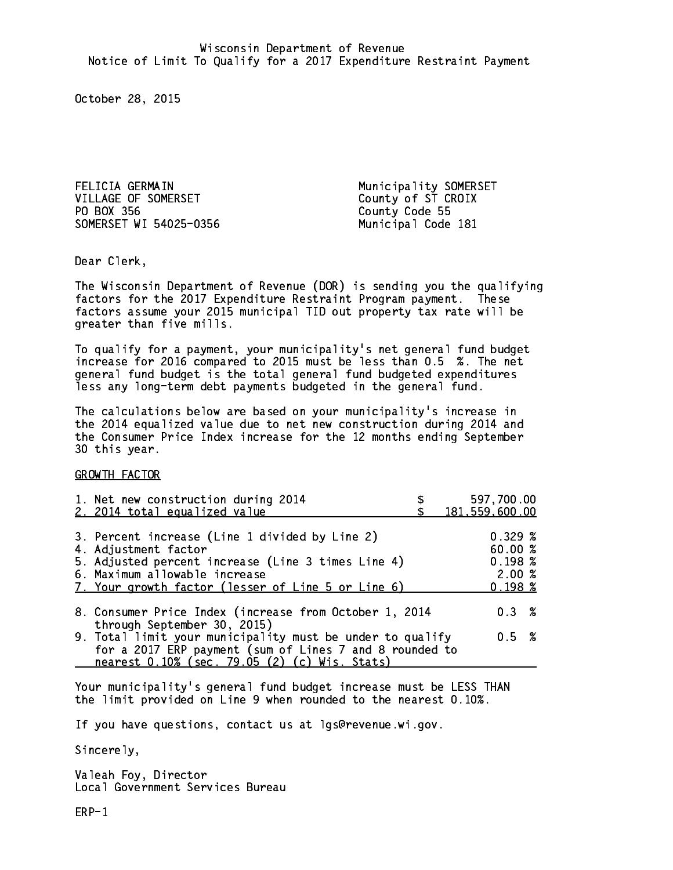FELICIA GERMAIN Municipality SOMERSET VILLAGE OF SOMERSET County of ST CROIX PO BOX 356 County Code 55 SOMERSET WI 54025-0356 Municipal Code 181

Dear Clerk. Dear Clerk,

The Wisconsin Department of Revenue (DOR) is sending you the qualifying factors for the 2017 Expenditure Restraint Program payment. These factors assume your 2015 municipal TID out property tax rate will be greater than five mills.

 To qualify for a payment, your municipality's net general fund budget increase for 2016 compared to 2015 must be less than 0.5 %. The net general fund budget is the total general fund budgeted expenditures less any long-term debt payments budgeted in the general fund.

The calculations below are based on your municipality's increase in the 2014 equalized value due to net new construction during 2014 and the Consumer Price Index increase for the 12 months ending September 30 this year. 30 this year.

GROWTH FACTOR

| 1. Net new construction during 2014<br>2. 2014 total equalized value                                                                                                                                                | 597,700.00<br>181,559,600.00                     |
|---------------------------------------------------------------------------------------------------------------------------------------------------------------------------------------------------------------------|--------------------------------------------------|
| 3. Percent increase (Line 1 divided by Line 2)<br>4. Adjustment factor<br>5. Adjusted percent increase (Line 3 times Line 4)<br>6. Maximum allowable increase<br>7. Your growth factor (lesser of Line 5 or Line 6) | 0.329~%<br>60.00%<br>0.198~%<br>2.00%<br>0.198~% |
| 8. Consumer Price Index (increase from October 1, 2014                                                                                                                                                              | $0.3 \t%$                                        |
| through September 30, 2015)<br>9. Total limit your municipality must be under to qualify<br>for a 2017 ERP payment (sum of Lines 7 and 8 rounded to<br>nearest 0.10% (sec. 79.05 (2) (c) Wis. Stats)                | 0.5 %                                            |

Your municipality's general fund budget increase must be LESS THAN the limit provided on Line 9 when rounded to the nearest 0.10%.

If you have questions, contact us at lgs@revenue.wi.gov.

Sincerely,

Valeah Foy, Director Local Government Services Bureau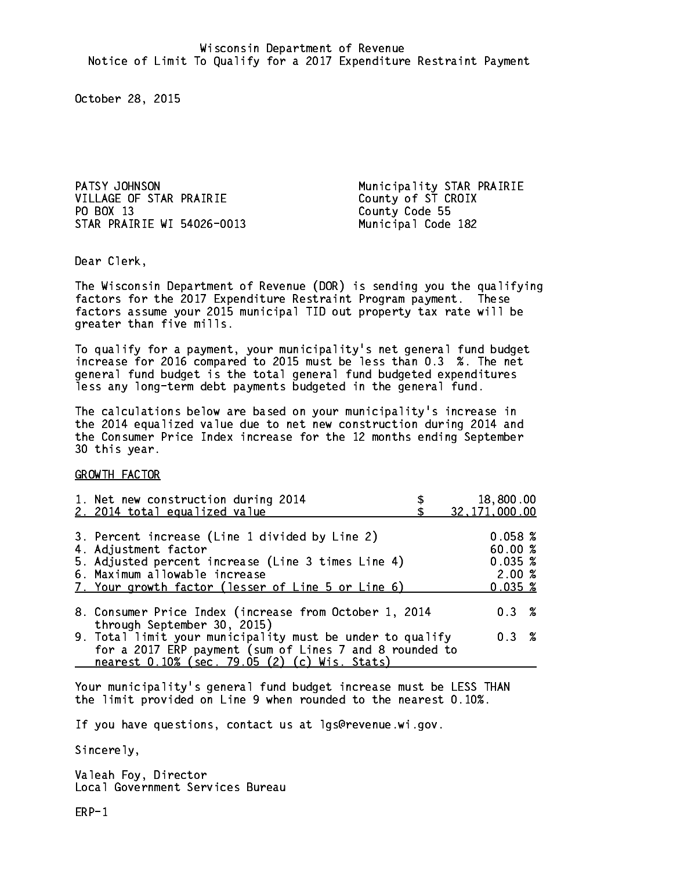PATSY JOHNSON Municipality STAR PRAIRIE VILLAGE OF STAR PRAIRIE County of ST CROIX PO BOX 13 STAR PRAIRIE WI 54026-0013 Municipal Code 182

County Code 55

Dear Clerk. Dear Clerk,

The Wisconsin Department of Revenue (DOR) is sending you the qualifying factors for the 2017 Expenditure Restraint Program payment. These factors assume your 2015 municipal TID out property tax rate will be greater than five mills.

 To qualify for a payment, your municipality's net general fund budget increase for 2016 compared to 2015 must be less than 0.3 %. The net general fund budget is the total general fund budgeted expenditures less any long-term debt payments budgeted in the general fund.

The calculations below are based on your municipality's increase in the 2014 equalized value due to net new construction during 2014 and the Consumer Price Index increase for the 12 months ending September 30 this year. 30 this year.

GROWTH FACTOR

| 1. Net new construction during 2014<br>2. 2014 total equalized value                                                                                                                                                | 18,800.00<br>32, 171, 000.00                      |
|---------------------------------------------------------------------------------------------------------------------------------------------------------------------------------------------------------------------|---------------------------------------------------|
| 3. Percent increase (Line 1 divided by Line 2)<br>4. Adjustment factor<br>5. Adjusted percent increase (Line 3 times Line 4)<br>6. Maximum allowable increase<br>7. Your growth factor (lesser of Line 5 or Line 6) | 0.058~%<br>60.00 %<br>0.035~%<br>2.00%<br>0.035~% |
| 8. Consumer Price Index (increase from October 1, 2014                                                                                                                                                              | $0.3 \t%$                                         |
| through September 30, 2015)<br>9. Total limit your municipality must be under to qualify<br>for a 2017 ERP payment (sum of Lines 7 and 8 rounded to<br>nearest 0.10% (sec. 79.05 (2) (c) Wis. Stats)                | 0.3%                                              |

Your municipality's general fund budget increase must be LESS THAN the limit provided on Line 9 when rounded to the nearest 0.10%.

If you have questions, contact us at lgs@revenue.wi.gov.

Sincerely,

Valeah Foy, Director Local Government Services Bureau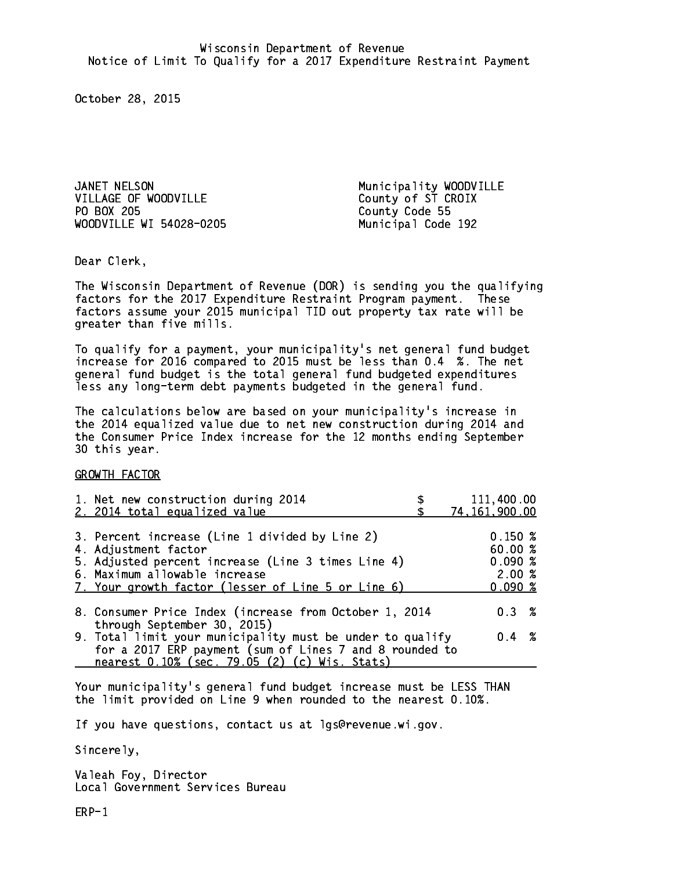JANET NELSON Municipality WOODVILLE VILLAGE OF WOODVILLE County of ST CROIX PO BOX 205 WOODVILLE WI 54028-0205 Municipal Code 192

County Code 55

Dear Clerk. Dear Clerk,

The Wisconsin Department of Revenue (DOR) is sending you the qualifying factors for the 2017 Expenditure Restraint Program payment. These factors assume your 2015 municipal TID out property tax rate will be greater than five mills.

 To qualify for a payment, your municipality's net general fund budget increase for 2016 compared to 2015 must be less than 0.4 %. The net general fund budget is the total general fund budgeted expenditures less any long-term debt payments budgeted in the general fund.

The calculations below are based on your municipality's increase in the 2014 equalized value due to net new construction during 2014 and the Consumer Price Index increase for the 12 months ending September 30 this year. 30 this year.

GROWTH FACTOR

| 1. Net new construction during 2014<br>2. 2014 total equalized value                                                                                                                                                | 111,400.00<br>74, 161, 900.00                    |
|---------------------------------------------------------------------------------------------------------------------------------------------------------------------------------------------------------------------|--------------------------------------------------|
| 3. Percent increase (Line 1 divided by Line 2)<br>4. Adjustment factor<br>5. Adjusted percent increase (Line 3 times Line 4)<br>6. Maximum allowable increase<br>7. Your growth factor (lesser of Line 5 or Line 6) | 0.150~%<br>60.00%<br>0.090%<br>2.00%<br>$0.090*$ |
| 8. Consumer Price Index (increase from October 1, 2014                                                                                                                                                              | $0.3 \t%$                                        |
| through September 30, 2015)<br>9. Total limit your municipality must be under to qualify<br>for a 2017 ERP payment (sum of Lines 7 and 8 rounded to<br>nearest 0.10% (sec. 79.05 (2) (c) Wis. Stats)                | $0.4 \t%$                                        |

Your municipality's general fund budget increase must be LESS THAN the limit provided on Line 9 when rounded to the nearest 0.10%.

If you have questions, contact us at lgs@revenue.wi.gov.

Sincerely,

Valeah Foy, Director Local Government Services Bureau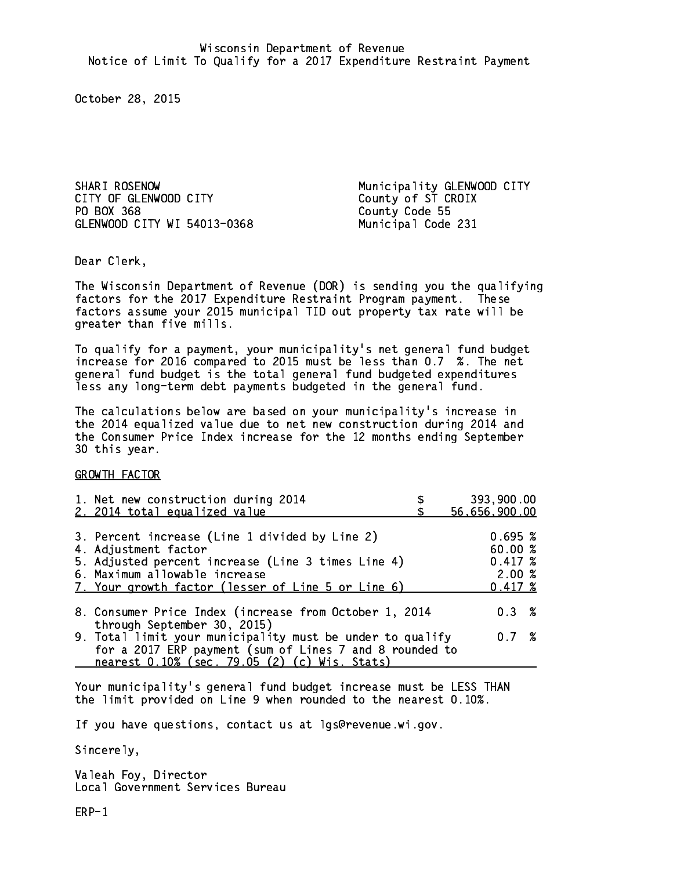SHARI ROSENOW Municipality GLENWOOD CITY CITY OF GLENWOOD CITY County of ST CROIX PO BOX 368 GLENWOOD CITY WI 54013-0368 Municipal Code 231

County Code 55

Dear Clerk. Dear Clerk,

The Wisconsin Department of Revenue (DOR) is sending you the qualifying factors for the 2017 Expenditure Restraint Program payment. These factors assume your 2015 municipal TID out property tax rate will be greater than five mills.

 To qualify for a payment, your municipality's net general fund budget increase for 2016 compared to 2015 must be less than 0.7 %. The net general fund budget is the total general fund budgeted expenditures less any long-term debt payments budgeted in the general fund.

The calculations below are based on your municipality's increase in the 2014 equalized value due to net new construction during 2014 and the Consumer Price Index increase for the 12 months ending September 30 this year. 30 this year.

GROWTH FACTOR

| 1. Net new construction during 2014                                                                                                                                                                                 | 393,900.00                                            |
|---------------------------------------------------------------------------------------------------------------------------------------------------------------------------------------------------------------------|-------------------------------------------------------|
| 2. 2014 total equalized value                                                                                                                                                                                       | 56,656,900.00                                         |
| 3. Percent increase (Line 1 divided by Line 2)<br>4. Adjustment factor<br>5. Adjusted percent increase (Line 3 times Line 4)<br>6. Maximum allowable increase<br>7. Your growth factor (lesser of Line 5 or Line 6) | 0.695~%<br>60.00%<br>0.417~%<br>2.00%<br>$0.417 \;$ % |
| 8. Consumer Price Index (increase from October 1, 2014                                                                                                                                                              | $0.3 \t%$                                             |
| through September 30, 2015)<br>9. Total limit your municipality must be under to qualify<br>for a 2017 ERP payment (sum of Lines 7 and 8 rounded to<br>nearest 0.10% (sec. 79.05 (2) (c) Wis. Stats)                | 0.7 %                                                 |

Your municipality's general fund budget increase must be LESS THAN the limit provided on Line 9 when rounded to the nearest 0.10%.

If you have questions, contact us at lgs@revenue.wi.gov.

Sincerely,

Valeah Foy, Director Local Government Services Bureau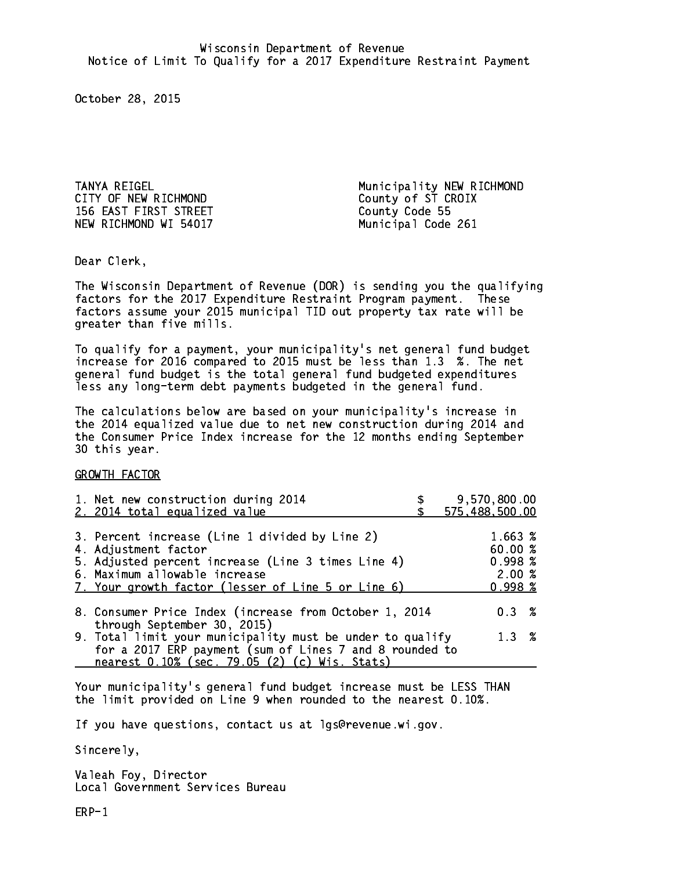CITY OF NEW RICHMOND County of ST CROIX 156 EAST FIRST STREET County Code 55 NEW RICHMOND WI 54017 Municipal Code 261

TANYA REIGEL Municipality NEW RICHMOND

Dear Clerk. Dear Clerk,

The Wisconsin Department of Revenue (DOR) is sending you the qualifying factors for the 2017 Expenditure Restraint Program payment. These factors assume your 2015 municipal TID out property tax rate will be greater than five mills.

 To qualify for a payment, your municipality's net general fund budget increase for 2016 compared to 2015 must be less than 1.3 %. The net general fund budget is the total general fund budgeted expenditures less any long-term debt payments budgeted in the general fund.

The calculations below are based on your municipality's increase in the 2014 equalized value due to net new construction during 2014 and the Consumer Price Index increase for the 12 months ending September 30 this year. 30 this year.

GROWTH FACTOR

| 1. Net new construction during 2014<br>2. 2014 total equalized value                                                                                                                                                | 9,570,800.00<br>575,488,500.00                         |
|---------------------------------------------------------------------------------------------------------------------------------------------------------------------------------------------------------------------|--------------------------------------------------------|
| 3. Percent increase (Line 1 divided by Line 2)<br>4. Adjustment factor<br>5. Adjusted percent increase (Line 3 times Line 4)<br>6. Maximum allowable increase<br>7. Your growth factor (lesser of Line 5 or Line 6) | 1.663 %<br>60.00 %<br>0.998~%<br>2.00%<br>$0.998 \; %$ |
| 8. Consumer Price Index (increase from October 1, 2014                                                                                                                                                              | $0.3 \t%$                                              |
| through September 30, 2015)<br>9. Total limit your municipality must be under to qualify<br>for a 2017 ERP payment (sum of Lines 7 and 8 rounded to<br>nearest 0.10% (sec. 79.05 (2) (c) Wis. Stats)                | 1.3%                                                   |

Your municipality's general fund budget increase must be LESS THAN the limit provided on Line 9 when rounded to the nearest 0.10%.

If you have questions, contact us at lgs@revenue.wi.gov.

Sincerely,

Valeah Foy, Director Local Government Services Bureau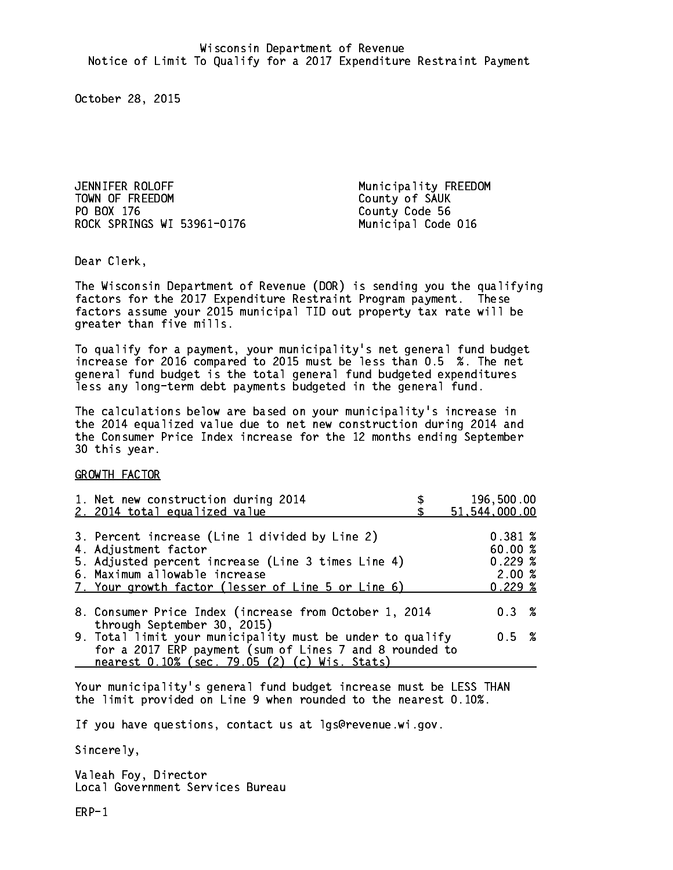JENNIFER ROLOFF Municipality FREEDOM TOWN OF FREEDOM County of SAUK PO BOX 176 ROCK SPRINGS WI 53961-0176 Municipal Code 016

County Code 56

Dear Clerk. Dear Clerk,

The Wisconsin Department of Revenue (DOR) is sending you the qualifying factors for the 2017 Expenditure Restraint Program payment. These factors assume your 2015 municipal TID out property tax rate will be greater than five mills.

 To qualify for a payment, your municipality's net general fund budget increase for 2016 compared to 2015 must be less than 0.5 %. The net general fund budget is the total general fund budgeted expenditures less any long-term debt payments budgeted in the general fund.

The calculations below are based on your municipality's increase in the 2014 equalized value due to net new construction during 2014 and the Consumer Price Index increase for the 12 months ending September 30 this year. 30 this year.

GROWTH FACTOR

| 1. Net new construction during 2014<br>2. 2014 total equalized value                                                                                                                                                | 196,500.00<br>51,544,000.00                    |
|---------------------------------------------------------------------------------------------------------------------------------------------------------------------------------------------------------------------|------------------------------------------------|
| 3. Percent increase (Line 1 divided by Line 2)<br>4. Adjustment factor<br>5. Adjusted percent increase (Line 3 times Line 4)<br>6. Maximum allowable increase<br>7. Your growth factor (lesser of Line 5 or Line 6) | 0.381~%<br>60.00%<br>0.229%<br>2.00%<br>0.229% |
| 8. Consumer Price Index (increase from October 1, 2014                                                                                                                                                              | $0.3 \t%$                                      |
| through September 30, 2015)<br>9. Total limit your municipality must be under to qualify<br>for a 2017 ERP payment (sum of Lines 7 and 8 rounded to<br>nearest 0.10% (sec. 79.05 (2) (c) Wis. Stats)                | 0.5 %                                          |

Your municipality's general fund budget increase must be LESS THAN the limit provided on Line 9 when rounded to the nearest 0.10%.

If you have questions, contact us at lgs@revenue.wi.gov.

Sincerely,

Valeah Foy, Director Local Government Services Bureau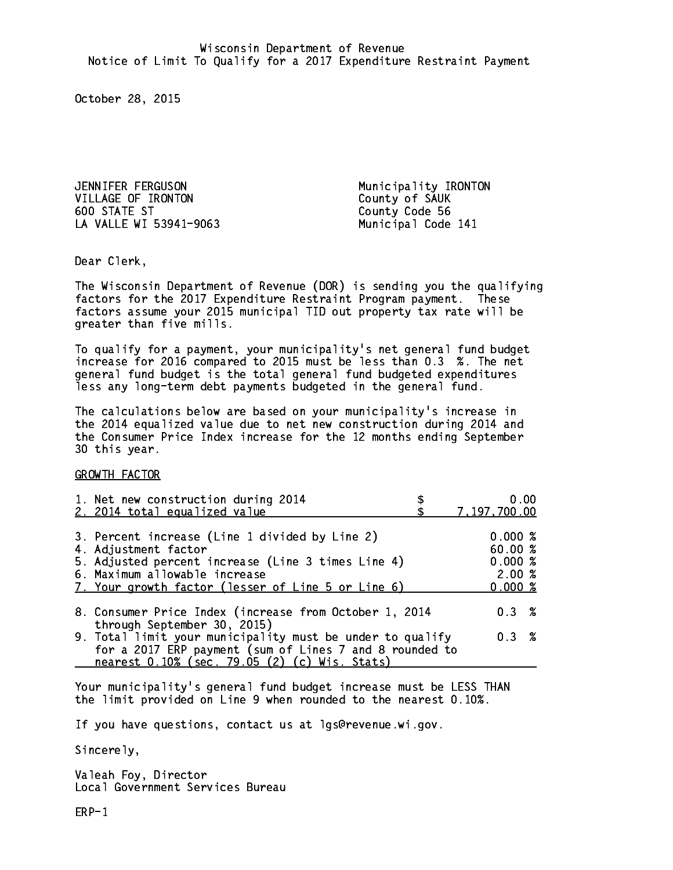JENNIFER FERGUSON Municipality IRONTON VILLAGE OF IRONTON County of SAUK 600 STATE ST LA VALLE WI 53941-9063 Municipal Code 141

County Code 56

Dear Clerk. Dear Clerk,

The Wisconsin Department of Revenue (DOR) is sending you the qualifying factors for the 2017 Expenditure Restraint Program payment. These factors assume your 2015 municipal TID out property tax rate will be greater than five mills.

 To qualify for a payment, your municipality's net general fund budget increase for 2016 compared to 2015 must be less than 0.3 %. The net general fund budget is the total general fund budgeted expenditures less any long-term debt payments budgeted in the general fund.

The calculations below are based on your municipality's increase in the 2014 equalized value due to net new construction during 2014 and the Consumer Price Index increase for the 12 months ending September 30 this year. 30 this year.

GROWTH FACTOR

| 1. Net new construction during 2014<br>2. 2014 total equalized value                                                                                                  | 0.00<br>7,197,700.00        |  |
|-----------------------------------------------------------------------------------------------------------------------------------------------------------------------|-----------------------------|--|
| 3. Percent increase (Line 1 divided by Line 2)<br>4. Adjustment factor                                                                                                | 0.000%<br>60.00%            |  |
| 5. Adjusted percent increase (Line 3 times Line 4)<br>6. Maximum allowable increase<br>7. Your growth factor (lesser of Line 5 or Line 6)                             | 0.000~%<br>2.00%<br>0.000~% |  |
| 8. Consumer Price Index (increase from October 1, 2014<br>through September 30, 2015)                                                                                 | $0.3 \t%$                   |  |
| 9. Total limit your municipality must be under to qualify<br>for a 2017 ERP payment (sum of Lines 7 and 8 rounded to<br>nearest 0.10% (sec. 79.05 (2) (c) Wis. Stats) | 0.3 %                       |  |

Your municipality's general fund budget increase must be LESS THAN the limit provided on Line 9 when rounded to the nearest 0.10%.

If you have questions, contact us at lgs@revenue.wi.gov.

Sincerely,

Valeah Foy, Director Local Government Services Bureau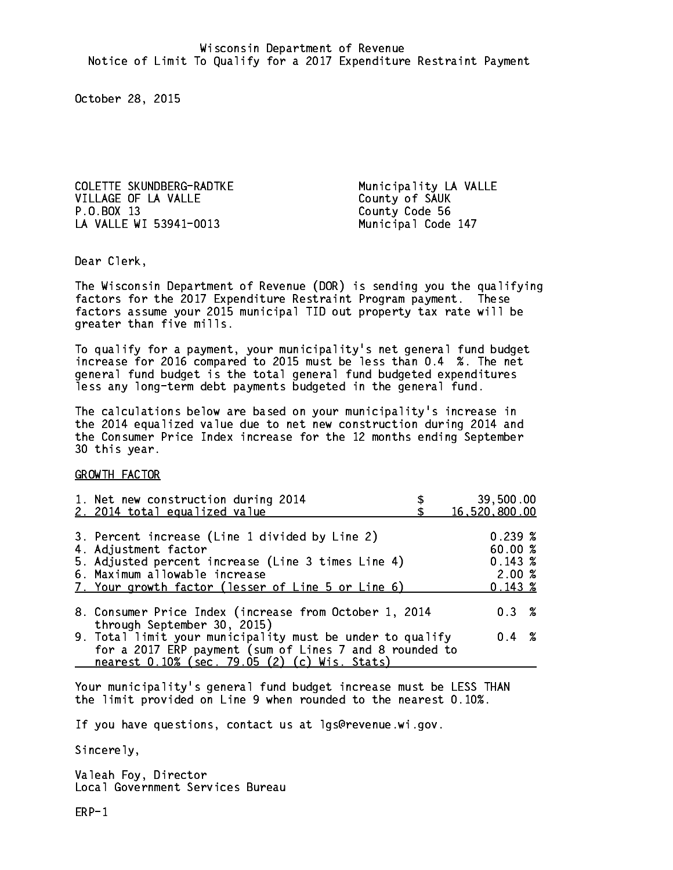COLETTE SKUNDBERG-RADTKE Municipality LA VALLE VILLAGE OF LA VALLE<br>
P.O.BOX 13 County Code 56 LA VALLE WI 53941-0013 Municipal Code 147

County Code 56

Dear Clerk. Dear Clerk,

The Wisconsin Department of Revenue (DOR) is sending you the qualifying factors for the 2017 Expenditure Restraint Program payment. These factors assume your 2015 municipal TID out property tax rate will be greater than five mills.

 To qualify for a payment, your municipality's net general fund budget increase for 2016 compared to 2015 must be less than 0.4 %. The net general fund budget is the total general fund budgeted expenditures less any long-term debt payments budgeted in the general fund.

The calculations below are based on your municipality's increase in the 2014 equalized value due to net new construction during 2014 and the Consumer Price Index increase for the 12 months ending September 30 this year. 30 this year.

GROWTH FACTOR

| 1. Net new construction during 2014                                                                                                                                                                                 | 39,500.00                                       |
|---------------------------------------------------------------------------------------------------------------------------------------------------------------------------------------------------------------------|-------------------------------------------------|
| 2. 2014 total equalized value                                                                                                                                                                                       | 16,520,800.00                                   |
| 3. Percent increase (Line 1 divided by Line 2)<br>4. Adjustment factor<br>5. Adjusted percent increase (Line 3 times Line 4)<br>6. Maximum allowable increase<br>7. Your growth factor (lesser of Line 5 or Line 6) | 0.239%<br>60.00%<br>0.143~%<br>2.00%<br>0.143~% |
| 8. Consumer Price Index (increase from October 1, 2014                                                                                                                                                              | $0.3 \t%$                                       |
| through September 30, 2015)<br>9. Total limit your municipality must be under to qualify<br>for a 2017 ERP payment (sum of Lines 7 and 8 rounded to<br>nearest 0.10% (sec. 79.05 (2) (c) Wis. Stats)                | $0.4 \t%$                                       |

Your municipality's general fund budget increase must be LESS THAN the limit provided on Line 9 when rounded to the nearest 0.10%.

If you have questions, contact us at lgs@revenue.wi.gov.

Sincerely,

Valeah Foy, Director Local Government Services Bureau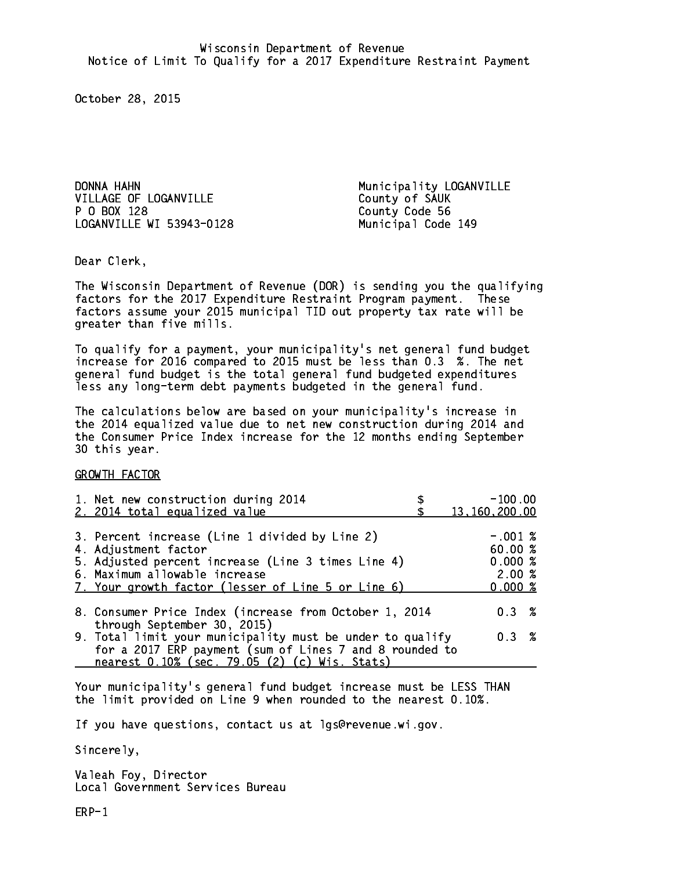DONNA HAHN Municipality LOGANVILLE VILLAGE OF LOGANVILLE County of SAUK P 0 BOX 128 LOGANVILLE WI 53943-0128 Municipal Code 149

County Code 56

Dear Clerk. Dear Clerk,

The Wisconsin Department of Revenue (DOR) is sending you the qualifying factors for the 2017 Expenditure Restraint Program payment. These factors assume your 2015 municipal TID out property tax rate will be greater than five mills.

 To qualify for a payment, your municipality's net general fund budget increase for 2016 compared to 2015 must be less than 0.3 %. The net general fund budget is the total general fund budgeted expenditures less any long-term debt payments budgeted in the general fund.

The calculations below are based on your municipality's increase in the 2014 equalized value due to net new construction during 2014 and the Consumer Price Index increase for the 12 months ending September 30 this year. 30 this year.

GROWTH FACTOR

| 1. Net new construction during 2014<br>2. 2014 total equalized value                                                                                                                                                | $-100.00$<br>13, 160, 200.00                       |
|---------------------------------------------------------------------------------------------------------------------------------------------------------------------------------------------------------------------|----------------------------------------------------|
| 3. Percent increase (Line 1 divided by Line 2)<br>4. Adjustment factor<br>5. Adjusted percent increase (Line 3 times Line 4)<br>6. Maximum allowable increase<br>7. Your growth factor (lesser of Line 5 or Line 6) | $-.001$ %<br>60.00%<br>0.000~%<br>2.00%<br>0.000 % |
| 8. Consumer Price Index (increase from October 1, 2014<br>through September 30, 2015)                                                                                                                               | $0.3 \t%$                                          |
| 9. Total limit your municipality must be under to qualify<br>for a 2017 ERP payment (sum of Lines 7 and 8 rounded to<br>nearest 0.10% (sec. 79.05 (2) (c) Wis. Stats)                                               | 0.3%                                               |

Your municipality's general fund budget increase must be LESS THAN the limit provided on Line 9 when rounded to the nearest 0.10%.

If you have questions, contact us at lgs@revenue.wi.gov.

Sincerely,

Valeah Foy, Director Local Government Services Bureau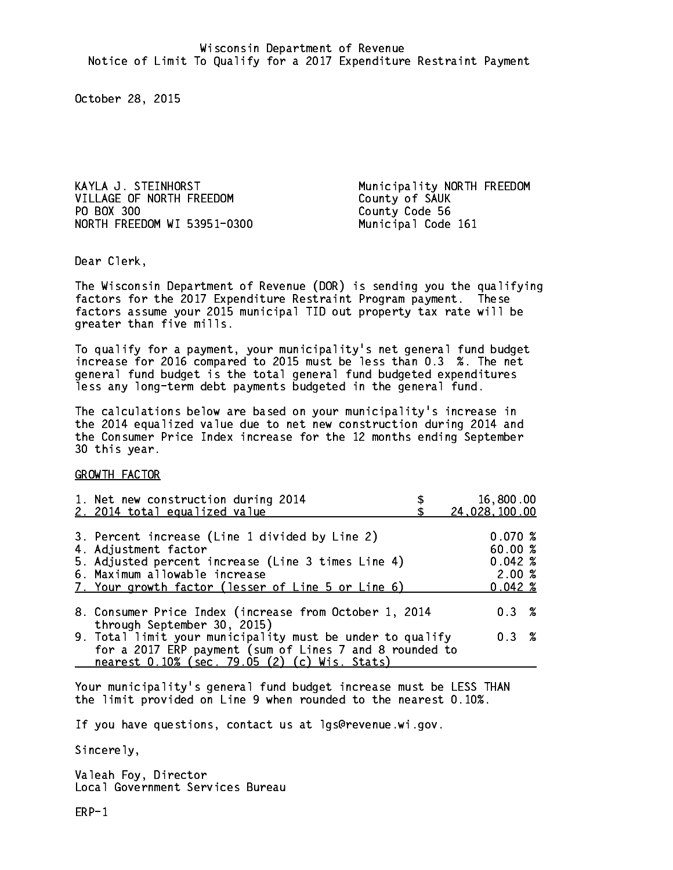VILLAGE OF NORTH FREEDOM County of SAUK PO BOX 300 County Code 56 NORTH FREEDOM WI 53951-0300 Municipal Code 161

KAYLA J. STEINHORST **Municipality NORTH FREEDOM** 

Dear Clerk. Dear Clerk,

The Wisconsin Department of Revenue (DOR) is sending you the qualifying factors for the 2017 Expenditure Restraint Program payment. These factors assume your 2015 municipal TID out property tax rate will be greater than five mills.

 To qualify for a payment, your municipality's net general fund budget increase for 2016 compared to 2015 must be less than 0.3 %. The net general fund budget is the total general fund budgeted expenditures less any long-term debt payments budgeted in the general fund.

The calculations below are based on your municipality's increase in the 2014 equalized value due to net new construction during 2014 and the Consumer Price Index increase for the 12 months ending September 30 this year. 30 this year.

GROWTH FACTOR

| 1. Net new construction during 2014                                                                                                                                                                                 | 16,800.00                                                  |
|---------------------------------------------------------------------------------------------------------------------------------------------------------------------------------------------------------------------|------------------------------------------------------------|
| 2. 2014 total equalized value                                                                                                                                                                                       | 24,028,100.00                                              |
| 3. Percent increase (Line 1 divided by Line 2)<br>4. Adjustment factor<br>5. Adjusted percent increase (Line 3 times Line 4)<br>6. Maximum allowable increase<br>7. Your growth factor (lesser of Line 5 or Line 6) | 0.070~%<br>60.00%<br>$0.042 \;$ %<br>2.00%<br>$0.042 \; %$ |
| 8. Consumer Price Index (increase from October 1, 2014                                                                                                                                                              | $0.3 \t%$                                                  |
| through September 30, 2015)<br>9. Total limit your municipality must be under to qualify<br>for a 2017 ERP payment (sum of Lines 7 and 8 rounded to<br>nearest 0.10% (sec. 79.05 (2) (c) Wis. Stats)                | 0.3 %                                                      |

Your municipality's general fund budget increase must be LESS THAN the limit provided on Line 9 when rounded to the nearest 0.10%.

If you have questions, contact us at lgs@revenue.wi.gov.

Sincerely,

Valeah Foy, Director Local Government Services Bureau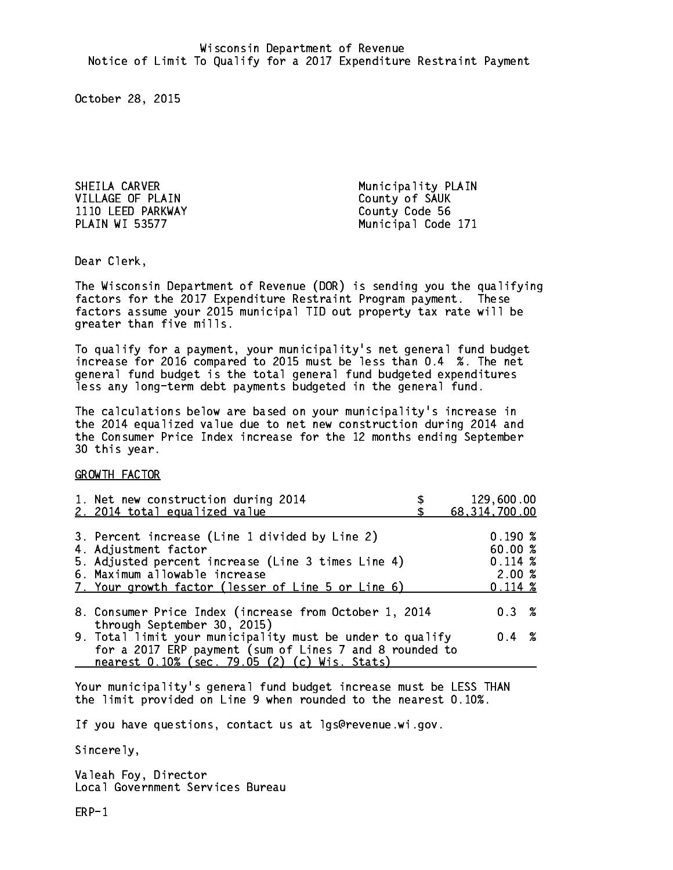SHEILA CARVER Municipality PLAIN VILLAGE OF PLAIN County of SAUK 1110 LEED PARKWAY County County Code 56 **PLAIN WI 53577** 

Municipal Code 171

Dear Clerk. Dear Clerk,

The Wisconsin Department of Revenue (DOR) is sending you the qualifying factors for the 2017 Expenditure Restraint Program payment. These factors assume your 2015 municipal TID out property tax rate will be greater than five mills.

 To qualify for a payment, your municipality's net general fund budget increase for 2016 compared to 2015 must be less than 0.4 %. The net general fund budget is the total general fund budgeted expenditures less any long-term debt payments budgeted in the general fund.

The calculations below are based on your municipality's increase in the 2014 equalized value due to net new construction during 2014 and the Consumer Price Index increase for the 12 months ending September 30 this year. 30 this year.

GROWTH FACTOR

| 1. Net new construction during 2014<br>2. 2014 total equalized value                                                                                                                                                | 129,600.00<br>68, 314, 700.00                                          |
|---------------------------------------------------------------------------------------------------------------------------------------------------------------------------------------------------------------------|------------------------------------------------------------------------|
| 3. Percent increase (Line 1 divided by Line 2)<br>4. Adjustment factor<br>5. Adjusted percent increase (Line 3 times Line 4)<br>6. Maximum allowable increase<br>7. Your growth factor (lesser of Line 5 or Line 6) | $0.190 \; \text{%}$<br>60.00%<br>$0.114 \;$ %<br>2.00%<br>$0.114 \; %$ |
| 8. Consumer Price Index (increase from October 1, 2014                                                                                                                                                              | 0.3%                                                                   |
| through September 30, 2015)<br>9. Total limit your municipality must be under to qualify<br>for a 2017 ERP payment (sum of Lines 7 and 8 rounded to<br>nearest 0.10% (sec. 79.05 (2) (c) Wis. Stats)                | $0.4 \t%$                                                              |

Your municipality's general fund budget increase must be LESS THAN the limit provided on Line 9 when rounded to the nearest 0.10%.

If you have questions, contact us at lgs@revenue.wi.gov.

Sincerely,

Valeah Foy, Director Local Government Services Bureau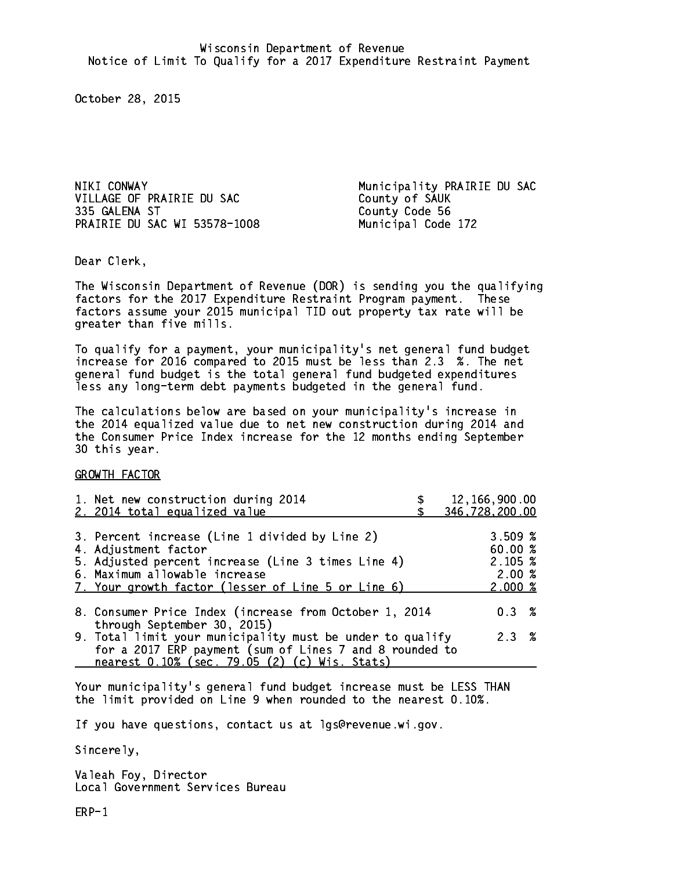NIKI CONWAY Municipality PRAIRIE DU SAC VILLAGE OF PRAIRIE DU SAC County of SAUK 335 GALENA ST PRAIRIE DU SAC WI 53578-1008 Municipal Code 172

County Code 56

Dear Clerk. Dear Clerk,

The Wisconsin Department of Revenue (DOR) is sending you the qualifying factors for the 2017 Expenditure Restraint Program payment. These factors assume your 2015 municipal TID out property tax rate will be greater than five mills.

 To qualify for a payment, your municipality's net general fund budget increase for 2016 compared to 2015 must be less than 2.3 %. The net general fund budget is the total general fund budgeted expenditures less any long-term debt payments budgeted in the general fund.

The calculations below are based on your municipality's increase in the 2014 equalized value due to net new construction during 2014 and the Consumer Price Index increase for the 12 months ending September 30 this year. 30 this year.

GROWTH FACTOR

| 1. Net new construction during 2014<br>2. 2014 total equalized value                                                                                                                                                | 12,166,900.00<br>346,728,200.00                   |
|---------------------------------------------------------------------------------------------------------------------------------------------------------------------------------------------------------------------|---------------------------------------------------|
| 3. Percent increase (Line 1 divided by Line 2)<br>4. Adjustment factor<br>5. Adjusted percent increase (Line 3 times Line 4)<br>6. Maximum allowable increase<br>7. Your growth factor (lesser of Line 5 or Line 6) | 3.509~%<br>60.00 %<br>2.105~%<br>2.00%<br>2.000~% |
| 8. Consumer Price Index (increase from October 1, 2014                                                                                                                                                              | 0.3%                                              |
| through September 30, 2015)<br>9. Total limit your municipality must be under to qualify<br>for a 2017 ERP payment (sum of Lines 7 and 8 rounded to<br>nearest 0.10% (sec. 79.05 (2) (c) Wis. Stats)                | 2.3%                                              |

Your municipality's general fund budget increase must be LESS THAN the limit provided on Line 9 when rounded to the nearest 0.10%.

If you have questions, contact us at lgs@revenue.wi.gov.

Sincerely,

Valeah Foy, Director Local Government Services Bureau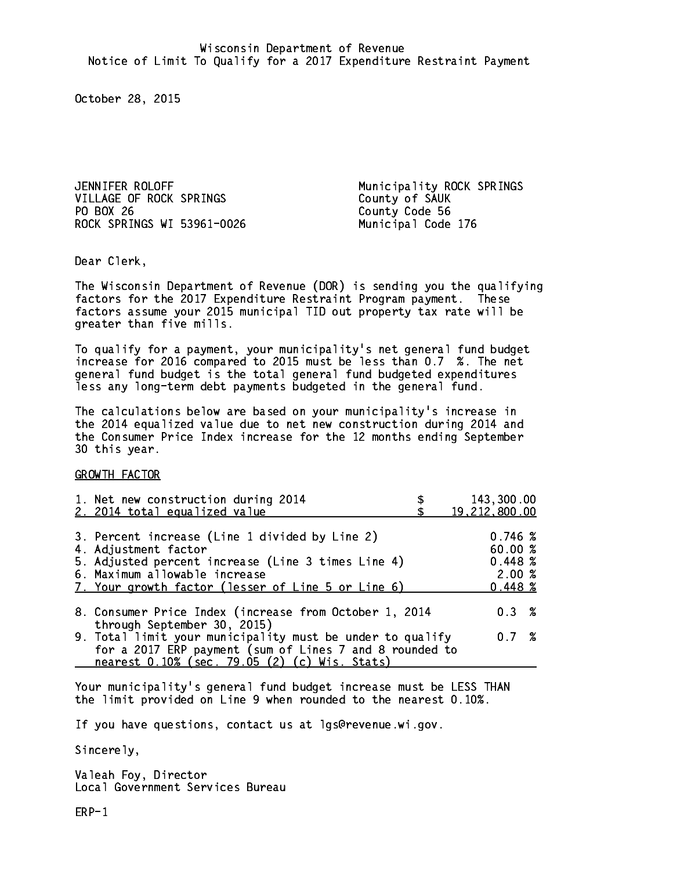JENNIFER ROLOFF **Municipality ROCK SPRINGS** VILLAGE OF ROCK SPRINGS County of SAUK PO BOX 26 ROCK SPRINGS WI 53961-0026 Municipal Code 176

County Code 56

Dear Clerk. Dear Clerk,

The Wisconsin Department of Revenue (DOR) is sending you the qualifying factors for the 2017 Expenditure Restraint Program payment. These factors assume your 2015 municipal TID out property tax rate will be greater than five mills.

 To qualify for a payment, your municipality's net general fund budget increase for 2016 compared to 2015 must be less than 0.7 %. The net general fund budget is the total general fund budgeted expenditures less any long-term debt payments budgeted in the general fund.

The calculations below are based on your municipality's increase in the 2014 equalized value due to net new construction during 2014 and the Consumer Price Index increase for the 12 months ending September 30 this year. 30 this year.

GROWTH FACTOR

| 1. Net new construction during 2014<br>2. 2014 total equalized value                                                                                                                                                | 143,300.00<br>19,212,800.00                      |
|---------------------------------------------------------------------------------------------------------------------------------------------------------------------------------------------------------------------|--------------------------------------------------|
| 3. Percent increase (Line 1 divided by Line 2)<br>4. Adjustment factor<br>5. Adjusted percent increase (Line 3 times Line 4)<br>6. Maximum allowable increase<br>7. Your growth factor (lesser of Line 5 or Line 6) | 0.746~%<br>60.00%<br>0.448~%<br>2.00%<br>0.448~% |
| 8. Consumer Price Index (increase from October 1, 2014                                                                                                                                                              | $0.3 \t%$                                        |
| through September 30, 2015)<br>9. Total limit your municipality must be under to qualify<br>for a 2017 ERP payment (sum of Lines 7 and 8 rounded to<br>nearest 0.10% (sec. 79.05 (2) (c) Wis. Stats)                | 0.7%                                             |

Your municipality's general fund budget increase must be LESS THAN the limit provided on Line 9 when rounded to the nearest 0.10%.

If you have questions, contact us at lgs@revenue.wi.gov.

Sincerely,

Valeah Foy, Director Local Government Services Bureau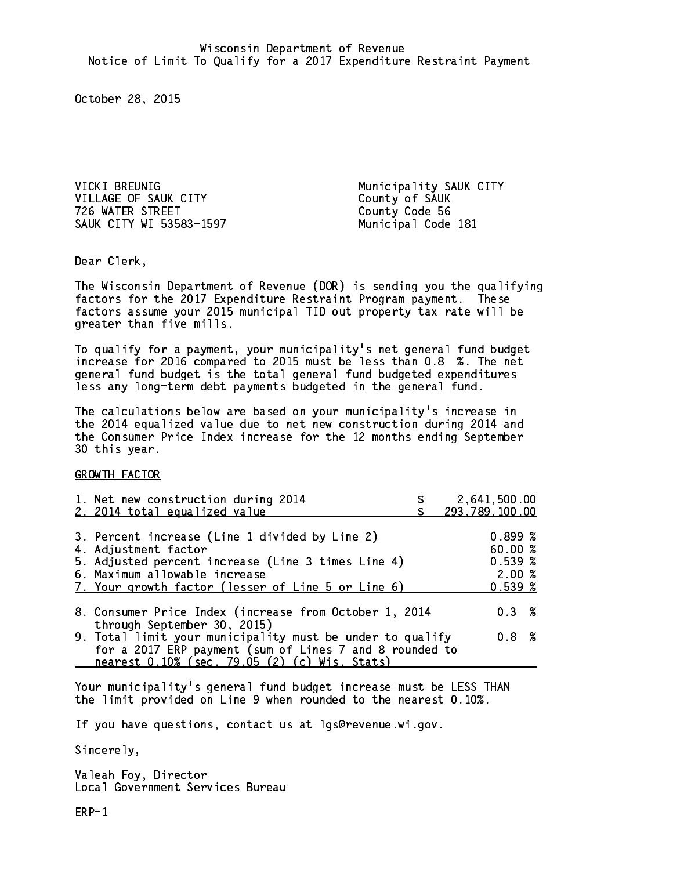VICKI BREUNIG **Municipality SAUK CITY** VILLAGE OF SAUK CITY County of SAUK 726 WATER STREET County Code 56 SAUK CITY WI 53583-1597 Municipal Code 181

Dear Clerk. Dear Clerk,

The Wisconsin Department of Revenue (DOR) is sending you the qualifying factors for the 2017 Expenditure Restraint Program payment. These factors assume your 2015 municipal TID out property tax rate will be greater than five mills.

 To qualify for a payment, your municipality's net general fund budget increase for 2016 compared to 2015 must be less than 0.8 %. The net general fund budget is the total general fund budgeted expenditures less any long-term debt payments budgeted in the general fund.

The calculations below are based on your municipality's increase in the 2014 equalized value due to net new construction during 2014 and the Consumer Price Index increase for the 12 months ending September 30 this year. 30 this year.

GROWTH FACTOR

| 1. Net new construction during 2014<br>2. 2014 total equalized value                                                                                                                                                | 2,641,500.00<br>293,789,100.00                   |
|---------------------------------------------------------------------------------------------------------------------------------------------------------------------------------------------------------------------|--------------------------------------------------|
| 3. Percent increase (Line 1 divided by Line 2)<br>4. Adjustment factor<br>5. Adjusted percent increase (Line 3 times Line 4)<br>6. Maximum allowable increase<br>7. Your growth factor (lesser of Line 5 or Line 6) | 0.899%<br>60.00 %<br>$0.539*$<br>2.00%<br>0.539% |
| 8. Consumer Price Index (increase from October 1, 2014                                                                                                                                                              | $0.3 \t%$                                        |
| through September 30, 2015)<br>9. Total limit your municipality must be under to qualify<br>for a 2017 ERP payment (sum of Lines 7 and 8 rounded to<br>nearest 0.10% (sec. 79.05 (2) (c) Wis. Stats)                | $0.8 \t%$                                        |

Your municipality's general fund budget increase must be LESS THAN the limit provided on Line 9 when rounded to the nearest 0.10%.

If you have questions, contact us at lgs@revenue.wi.gov.

Sincerely,

Valeah Foy, Director Local Government Services Bureau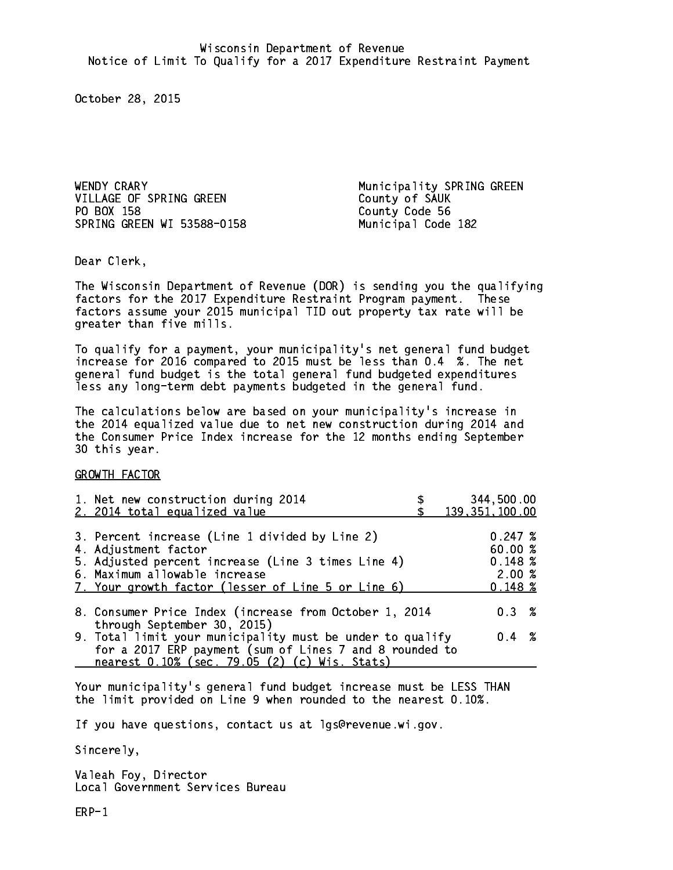WENDY CRARY **Municipality SPRING GREEN** VILLAGE OF SPRING GREEN County of SAUK PO BOX 158 County Code 56 SPRING GREEN WI 53588-0158 Municipal Code 182

Dear Clerk. Dear Clerk,

The Wisconsin Department of Revenue (DOR) is sending you the qualifying factors for the 2017 Expenditure Restraint Program payment. These factors assume your 2015 municipal TID out property tax rate will be greater than five mills.

 To qualify for a payment, your municipality's net general fund budget increase for 2016 compared to 2015 must be less than 0.4 %. The net general fund budget is the total general fund budgeted expenditures less any long-term debt payments budgeted in the general fund.

The calculations below are based on your municipality's increase in the 2014 equalized value due to net new construction during 2014 and the Consumer Price Index increase for the 12 months ending September 30 this year. 30 this year.

GROWTH FACTOR

| 1. Net new construction during 2014<br>2. 2014 total equalized value                                                                                                                                                | 344,500.00<br>139, 351, 100.00                   |
|---------------------------------------------------------------------------------------------------------------------------------------------------------------------------------------------------------------------|--------------------------------------------------|
| 3. Percent increase (Line 1 divided by Line 2)<br>4. Adjustment factor<br>5. Adjusted percent increase (Line 3 times Line 4)<br>6. Maximum allowable increase<br>7. Your growth factor (lesser of Line 5 or Line 6) | 0.247~%<br>60.00%<br>0.148~%<br>2.00%<br>0.148~% |
| 8. Consumer Price Index (increase from October 1, 2014                                                                                                                                                              | $0.3 \t%$                                        |
| through September 30, 2015)<br>9. Total limit your municipality must be under to qualify<br>for a 2017 ERP payment (sum of Lines 7 and 8 rounded to<br>nearest 0.10% (sec. 79.05 (2) (c) Wis. Stats)                | $0.4 \t%$                                        |

Your municipality's general fund budget increase must be LESS THAN the limit provided on Line 9 when rounded to the nearest 0.10%.

If you have questions, contact us at lgs@revenue.wi.gov.

Sincerely,

Valeah Foy, Director Local Government Services Bureau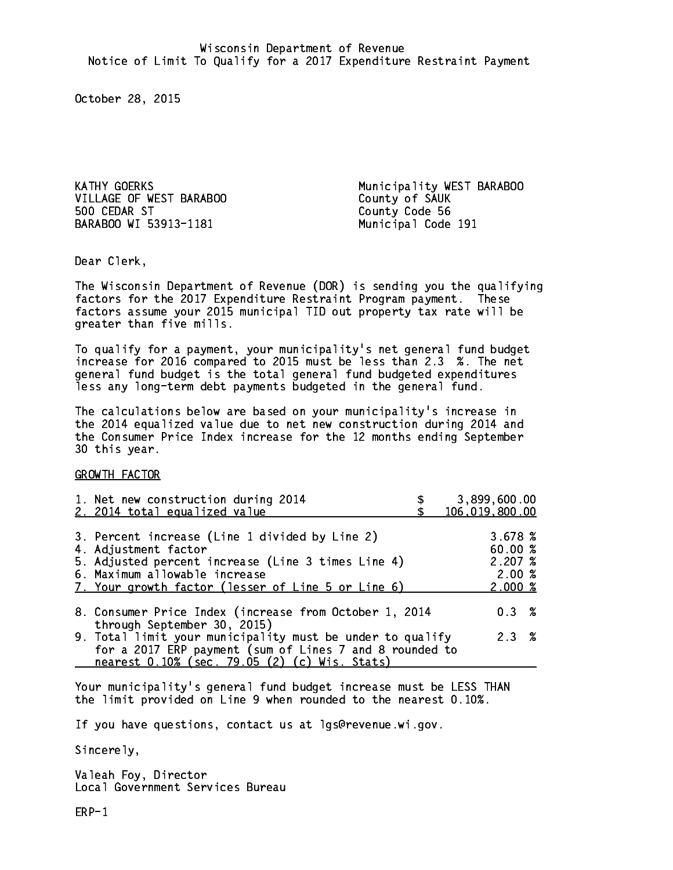VILLAGE OF WEST BARABOO County of SAUK 500 CEDAR ST BARABOO WI 53913-1181 Municipal Code 191

KATHY GOERKS Municipality WEST BARABOO County Code 56

Dear Clerk. Dear Clerk,

The Wisconsin Department of Revenue (DOR) is sending you the qualifying factors for the 2017 Expenditure Restraint Program payment. These factors assume your 2015 municipal TID out property tax rate will be greater than five mills.

 To qualify for a payment, your municipality's net general fund budget increase for 2016 compared to 2015 must be less than 2.3 %. The net general fund budget is the total general fund budgeted expenditures less any long-term debt payments budgeted in the general fund.

The calculations below are based on your municipality's increase in the 2014 equalized value due to net new construction during 2014 and the Consumer Price Index increase for the 12 months ending September 30 this year. 30 this year.

GROWTH FACTOR

|                                                                                                                      | 3,899,600.00<br>106,019,800.00                  |
|----------------------------------------------------------------------------------------------------------------------|-------------------------------------------------|
|                                                                                                                      | 3.678~%<br>60.00%<br>2.207%<br>2.00%<br>2.000~% |
| 8. Consumer Price Index (increase from October 1, 2014                                                               | $0.3 \t%$                                       |
| 9. Total limit your municipality must be under to qualify<br>for a 2017 ERP payment (sum of Lines 7 and 8 rounded to | 2.3%                                            |
|                                                                                                                      |                                                 |

Your municipality's general fund budget increase must be LESS THAN the limit provided on Line 9 when rounded to the nearest 0.10%.

If you have questions, contact us at lgs@revenue.wi.gov.

Sincerely,

Valeah Foy, Director Local Government Services Bureau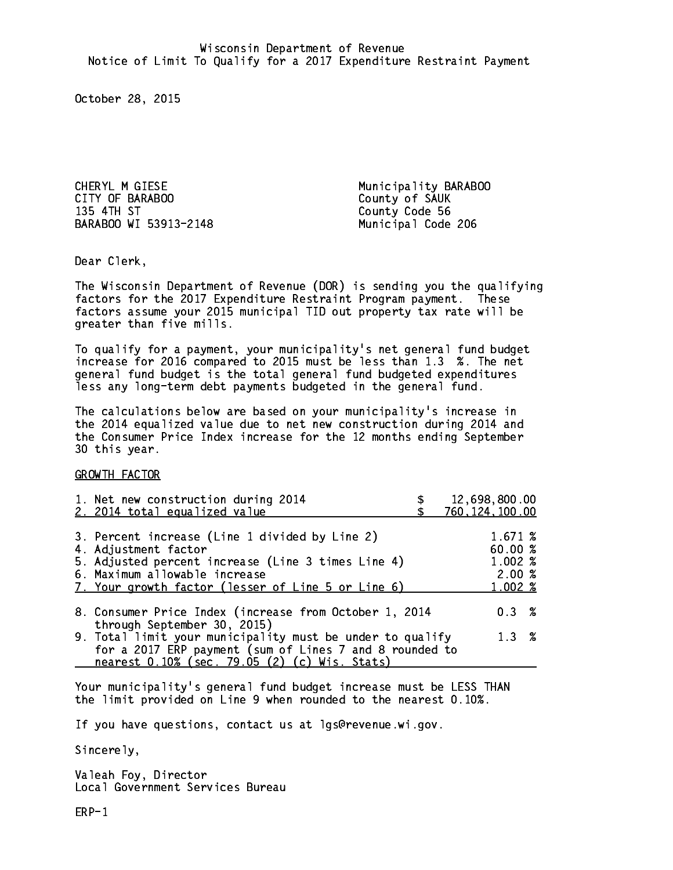CHERYL M GIESE **Municipality BARABOO** CITY OF BARABOO COUNTY OF SAUK 135 4TH ST BARABOO WI 53913-2148 Municipal Code 206

County Code 56

Dear Clerk. Dear Clerk,

The Wisconsin Department of Revenue (DOR) is sending you the qualifying factors for the 2017 Expenditure Restraint Program payment. These factors assume your 2015 municipal TID out property tax rate will be greater than five mills.

 To qualify for a payment, your municipality's net general fund budget increase for 2016 compared to 2015 must be less than 1.3 %. The net general fund budget is the total general fund budgeted expenditures less any long-term debt payments budgeted in the general fund.

The calculations below are based on your municipality's increase in the 2014 equalized value due to net new construction during 2014 and the Consumer Price Index increase for the 12 months ending September 30 this year. 30 this year. This year of the second terms of the second terms in the second terms in the second terms in the

GROWTH FACTOR

| 1. Net new construction during 2014<br>2. 2014 total equalized value                                                                                                                                                | 12,698,800.00<br>760, 124, 100.00                      |
|---------------------------------------------------------------------------------------------------------------------------------------------------------------------------------------------------------------------|--------------------------------------------------------|
| 3. Percent increase (Line 1 divided by Line 2)<br>4. Adjustment factor<br>5. Adjusted percent increase (Line 3 times Line 4)<br>6. Maximum allowable increase<br>7. Your growth factor (lesser of Line 5 or Line 6) | 1.671 %<br>60.00 %<br>1.002 %<br>2.00%<br>$1.002 \; %$ |
| 8. Consumer Price Index (increase from October 1, 2014                                                                                                                                                              | $0.3 \t%$                                              |
| through September 30, 2015)<br>9. Total limit your municipality must be under to qualify<br>for a 2017 ERP payment (sum of Lines 7 and 8 rounded to<br>nearest 0.10% (sec. 79.05 (2) (c) Wis. Stats)                | 1.3%                                                   |

Your municipality's general fund budget increase must be LESS THAN the limit provided on Line 9 when rounded to the nearest 0.10%.

If you have questions, contact us at lgs@revenue.wi.gov.

Sincerely,

Valeah Foy, Director Local Government Services Bureau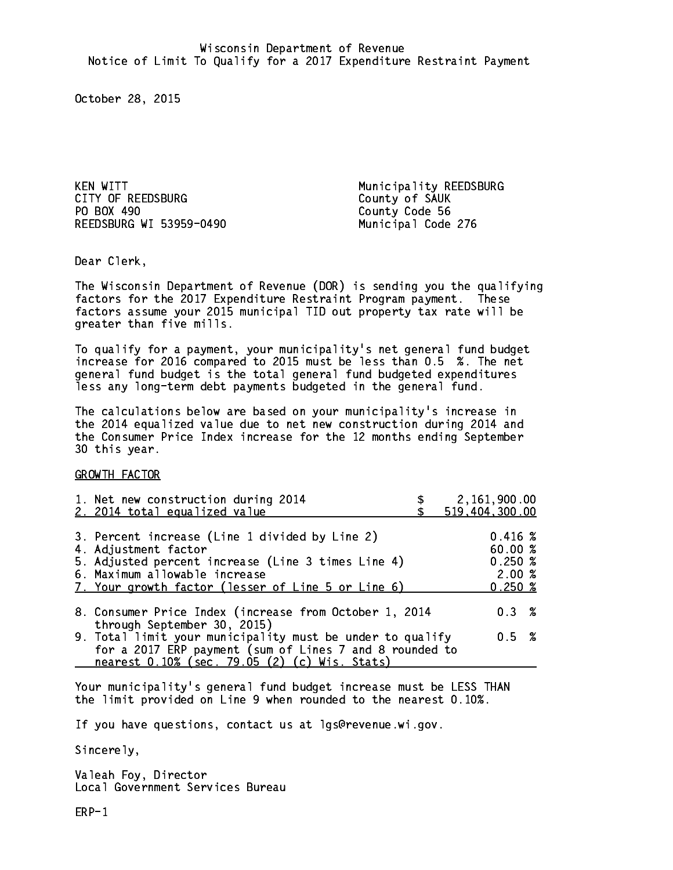KEN WITT **Municipality REEDSBURG** CITY OF REEDSBURG COUNTY OF SAUK PO BOX 490 REEDSBURG WI 53959-0490 Municipal Code 276

County Code 56

Dear Clerk. Dear Clerk,

The Wisconsin Department of Revenue (DOR) is sending you the qualifying factors for the 2017 Expenditure Restraint Program payment. These factors assume your 2015 municipal TID out property tax rate will be greater than five mills.

 To qualify for a payment, your municipality's net general fund budget increase for 2016 compared to 2015 must be less than 0.5 %. The net general fund budget is the total general fund budgeted expenditures less any long-term debt payments budgeted in the general fund.

The calculations below are based on your municipality's increase in the 2014 equalized value due to net new construction during 2014 and the Consumer Price Index increase for the 12 months ending September 30 this year. 30 this year. This year of the second terms of the second terms in the second terms in the second terms in the

GROWTH FACTOR

| 1. Net new construction during 2014<br>2. 2014 total equalized value                                                                                                                                                | 2,161,900.00<br>519,404,300.00                                |
|---------------------------------------------------------------------------------------------------------------------------------------------------------------------------------------------------------------------|---------------------------------------------------------------|
| 3. Percent increase (Line 1 divided by Line 2)<br>4. Adjustment factor<br>5. Adjusted percent increase (Line 3 times Line 4)<br>6. Maximum allowable increase<br>7. Your growth factor (lesser of Line 5 or Line 6) | $0.416 \; \text{\%}$<br>60.00%<br>0.250~%<br>2.00%<br>0.250~% |
| 8. Consumer Price Index (increase from October 1, 2014                                                                                                                                                              | $0.3 \t%$                                                     |
| through September 30, 2015)<br>9. Total limit your municipality must be under to qualify<br>for a 2017 ERP payment (sum of Lines 7 and 8 rounded to<br>nearest 0.10% (sec. 79.05 (2) (c) Wis. Stats)                | 0.5 %                                                         |
|                                                                                                                                                                                                                     |                                                               |

Your municipality's general fund budget increase must be LESS THAN the limit provided on Line 9 when rounded to the nearest 0.10%.

If you have questions, contact us at lgs@revenue.wi.gov.

Sincerely,

Valeah Foy, Director Local Government Services Bureau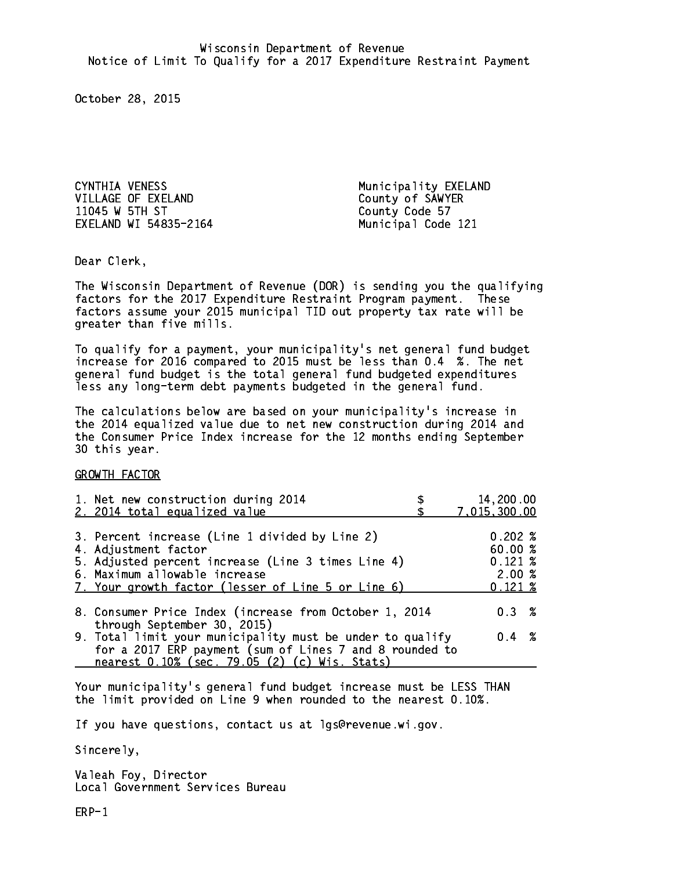CYNTHIA VENESS Municipality EXELAND VILLAGE OF EXELAND County of SAWYER 11045 W 5TH ST County Code 57 EXELAND WI 54835-2164 Municipal Code 121

Dear Clerk. Dear Clerk,

The Wisconsin Department of Revenue (DOR) is sending you the qualifying factors for the 2017 Expenditure Restraint Program payment. These factors assume your 2015 municipal TID out property tax rate will be greater than five mills.

 To qualify for a payment, your municipality's net general fund budget increase for 2016 compared to 2015 must be less than 0.4 %. The net general fund budget is the total general fund budgeted expenditures less any long-term debt payments budgeted in the general fund.

The calculations below are based on your municipality's increase in the 2014 equalized value due to net new construction during 2014 and the Consumer Price Index increase for the 12 months ending September 30 this year. 30 this year. This year of the second terms of the second terms in the second terms in the second terms in the

GROWTH FACTOR

| 1. Net new construction during 2014<br>2. 2014 total equalized value | 14,200.00<br>7,015,300.00 |  |
|----------------------------------------------------------------------|---------------------------|--|
|                                                                      |                           |  |
| 3. Percent increase (Line 1 divided by Line 2)                       | 0.202%                    |  |
| 4. Adjustment factor                                                 | 60.00%                    |  |
| 5. Adjusted percent increase (Line 3 times Line 4)                   | $0.121 \;$ %              |  |
| 6. Maximum allowable increase                                        | 2.00%                     |  |
| 7. Your growth factor (lesser of Line 5 or Line 6)                   | $0.121 \;$ %              |  |
| 8. Consumer Price Index (increase from October 1, 2014               | $0.3 \t%$                 |  |
| through September 30, 2015)                                          |                           |  |
| 9. Total limit your municipality must be under to qualify            | $0.4 \t%$                 |  |
| for a 2017 ERP payment (sum of Lines 7 and 8 rounded to              |                           |  |
| nearest 0.10% (sec. 79.05 (2) (c) Wis. Stats)                        |                           |  |

Your municipality's general fund budget increase must be LESS THAN the limit provided on Line 9 when rounded to the nearest 0.10%.

If you have questions, contact us at lgs@revenue.wi.gov.

Sincerely,

Valeah Foy, Director Local Government Services Bureau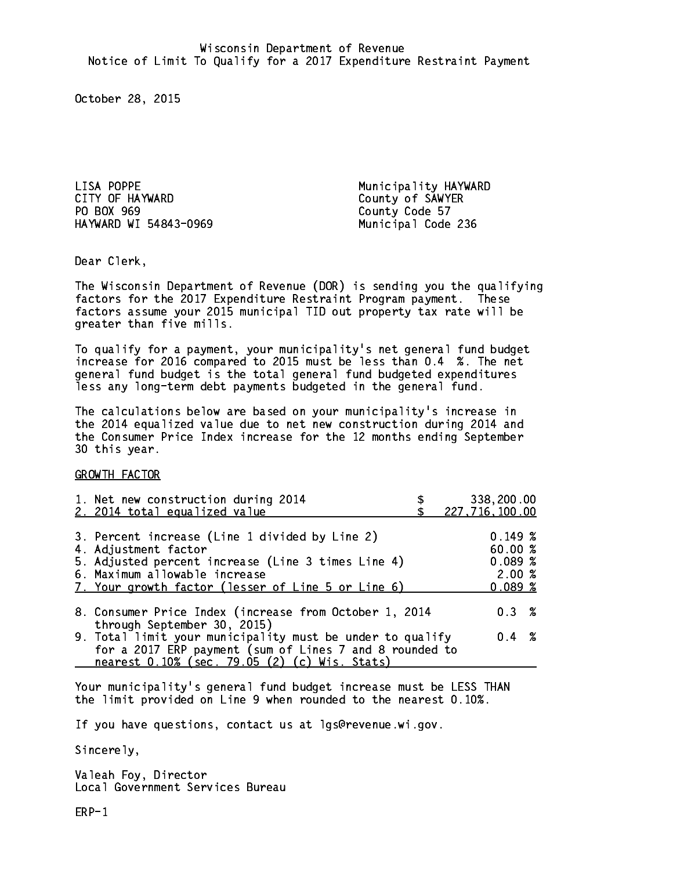LISA POPPE Municipality HAYWARD CITY OF HAYWARD COUNTY OF SAWYER PO BOX 969 HAYWARD WI 54843-0969 Municipal Code 236

County Code 57

Dear Clerk. Dear Clerk,

The Wisconsin Department of Revenue (DOR) is sending you the qualifying factors for the 2017 Expenditure Restraint Program payment. These factors assume your 2015 municipal TID out property tax rate will be greater than five mills.

 To qualify for a payment, your municipality's net general fund budget increase for 2016 compared to 2015 must be less than 0.4 %. The net general fund budget is the total general fund budgeted expenditures less any long-term debt payments budgeted in the general fund.

The calculations below are based on your municipality's increase in the 2014 equalized value due to net new construction during 2014 and the Consumer Price Index increase for the 12 months ending September 30 this year. 30 this year. This year of the second terms of the second terms in the second terms in the second terms in the

GROWTH FACTOR

| 1. Net new construction during 2014<br>2. 2014 total equalized value                                                                                                                                                | 338,200.00<br>227,716,100.00                   |
|---------------------------------------------------------------------------------------------------------------------------------------------------------------------------------------------------------------------|------------------------------------------------|
| 3. Percent increase (Line 1 divided by Line 2)<br>4. Adjustment factor<br>5. Adjusted percent increase (Line 3 times Line 4)<br>6. Maximum allowable increase<br>7. Your growth factor (lesser of Line 5 or Line 6) | 0.149~%<br>60.00%<br>0.089%<br>2.00%<br>0.089% |
| 8. Consumer Price Index (increase from October 1, 2014<br>through September 30, 2015)                                                                                                                               | 0.3%                                           |
| 9. Total limit your municipality must be under to qualify<br>for a 2017 ERP payment (sum of Lines 7 and 8 rounded to<br>nearest 0.10% (sec. 79.05 (2) (c) Wis. Stats)                                               | $0.4 \t%$                                      |

Your municipality's general fund budget increase must be LESS THAN the limit provided on Line 9 when rounded to the nearest 0.10%.

If you have questions, contact us at lgs@revenue.wi.gov.

Sincerely,

Valeah Foy, Director Local Government Services Bureau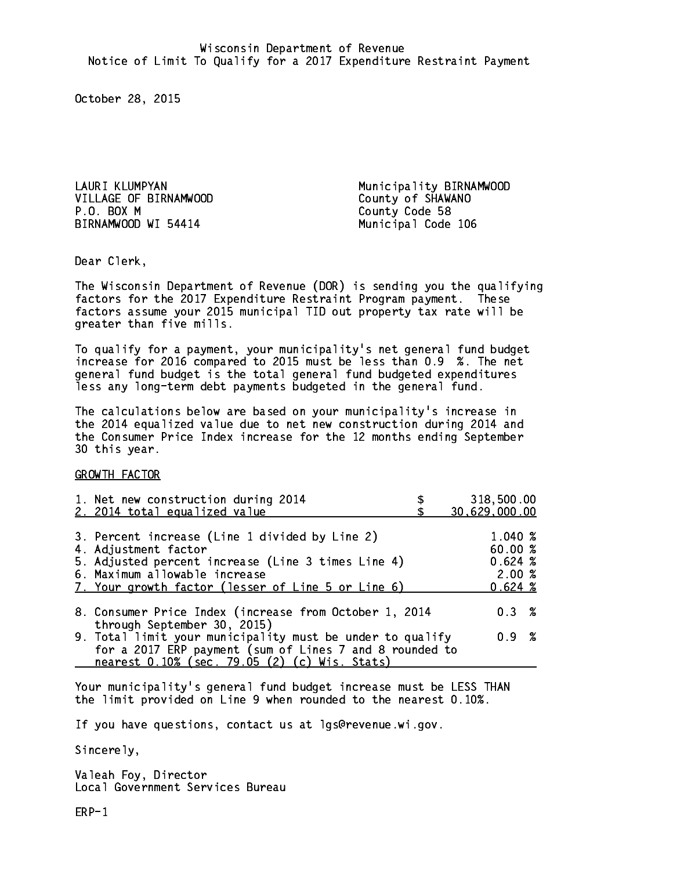VILLAGE OF BIRNAMWOOD County of SHAWANO P.O. BOX M BIRNAMWOOD WI 54414 Municipal Code 106

LAURI KLUMPYAN Municipality BIRNAMWOOD County Code 58

Dear Clerk. Dear Clerk,

The Wisconsin Department of Revenue (DOR) is sending you the qualifying factors for the 2017 Expenditure Restraint Program payment. These factors assume your 2015 municipal TID out property tax rate will be greater than five mills.

 To qualify for a payment, your municipality's net general fund budget increase for 2016 compared to 2015 must be less than 0.9 %. The net general fund budget is the total general fund budgeted expenditures less any long-term debt payments budgeted in the general fund.

The calculations below are based on your municipality's increase in the 2014 equalized value due to net new construction during 2014 and the Consumer Price Index increase for the 12 months ending September 30 this year. 30 this year. This year of the second terms of the second terms in the second terms in the second terms in the

GROWTH FACTOR

| 1. Net new construction during 2014<br>2. 2014 total equalized value                                                                                                                                                | 318,500.00<br>30,629,000.00                    |
|---------------------------------------------------------------------------------------------------------------------------------------------------------------------------------------------------------------------|------------------------------------------------|
| 3. Percent increase (Line 1 divided by Line 2)<br>4. Adjustment factor<br>5. Adjusted percent increase (Line 3 times Line 4)<br>6. Maximum allowable increase<br>7. Your growth factor (lesser of Line 5 or Line 6) | 1.040 %<br>60.00%<br>0.624%<br>2.00%<br>0.624% |
| 8. Consumer Price Index (increase from October 1, 2014                                                                                                                                                              | $0.3 \t%$                                      |
| through September 30, 2015)<br>9. Total limit your municipality must be under to qualify<br>for a 2017 ERP payment (sum of Lines 7 and 8 rounded to<br>nearest 0.10% (sec. 79.05 (2) (c) Wis. Stats)                | 0.9 %                                          |

Your municipality's general fund budget increase must be LESS THAN the limit provided on Line 9 when rounded to the nearest 0.10%.

If you have questions, contact us at lgs@revenue.wi.gov.

Sincerely,

Valeah Foy, Director Local Government Services Bureau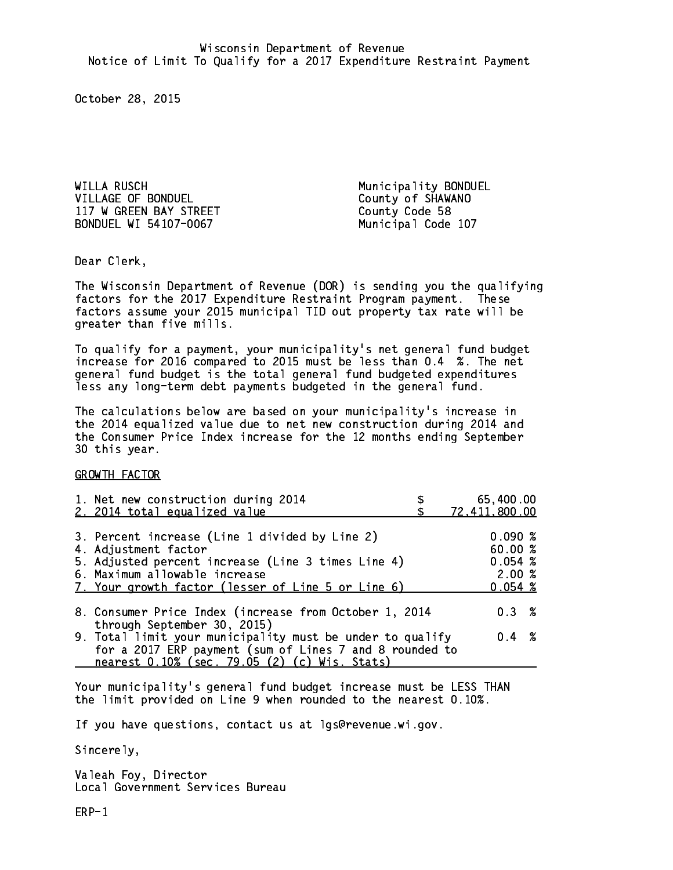WILLA RUSCH Municipality BONDUEL VILLAGE OF BONDUEL County of SHAWANO 117 W GREEN BAY STREET County Code 58 BONDUEL WI 54107-0067 Municipal Code 107

Dear Clerk. Dear Clerk,

The Wisconsin Department of Revenue (DOR) is sending you the qualifying factors for the 2017 Expenditure Restraint Program payment. These factors assume your 2015 municipal TID out property tax rate will be greater than five mills.

 To qualify for a payment, your municipality's net general fund budget increase for 2016 compared to 2015 must be less than 0.4 %. The net general fund budget is the total general fund budgeted expenditures less any long-term debt payments budgeted in the general fund.

The calculations below are based on your municipality's increase in the 2014 equalized value due to net new construction during 2014 and the Consumer Price Index increase for the 12 months ending September 30 this year. 30 this year. This year of the second terms of the second terms in the second terms in the second terms in the

GROWTH FACTOR

| 1. Net new construction during 2014<br>2. 2014 total equalized value                                                                                                                                                | 65,400.00<br>72, 411, 800.00                    |
|---------------------------------------------------------------------------------------------------------------------------------------------------------------------------------------------------------------------|-------------------------------------------------|
| 3. Percent increase (Line 1 divided by Line 2)<br>4. Adjustment factor<br>5. Adjusted percent increase (Line 3 times Line 4)<br>6. Maximum allowable increase<br>7. Your growth factor (lesser of Line 5 or Line 6) | 0.090%<br>60.00%<br>0.054~%<br>2.00%<br>0.054~% |
| 8. Consumer Price Index (increase from October 1, 2014<br>through September 30, 2015)                                                                                                                               | 0.3%                                            |
| 9. Total limit your municipality must be under to qualify<br>for a 2017 ERP payment (sum of Lines 7 and 8 rounded to<br>nearest 0.10% (sec. 79.05 (2) (c) Wis. Stats)                                               | $0.4 \t%$                                       |

Your municipality's general fund budget increase must be LESS THAN the limit provided on Line 9 when rounded to the nearest 0.10%.

If you have questions, contact us at lgs@revenue.wi.gov.

Sincerely,

Valeah Foy, Director Local Government Services Bureau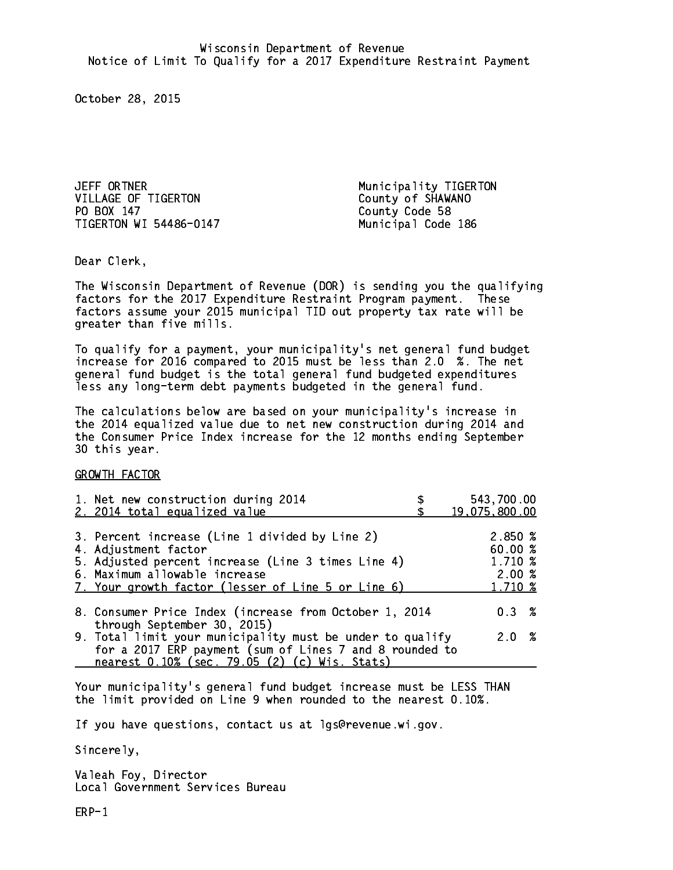JEFF ORTNER **Municipality TIGERTON** VILLAGE OF TIGERTON County of SHAWANO PO BOX 147 TIGERTON WI 54486-0147 Municipal Code 186

County Code 58

Dear Clerk. Dear Clerk,

The Wisconsin Department of Revenue (DOR) is sending you the qualifying factors for the 2017 Expenditure Restraint Program payment. These factors assume your 2015 municipal TID out property tax rate will be greater than five mills.

 To qualify for a payment, your municipality's net general fund budget increase for 2016 compared to 2015 must be less than 2.0 %. The net general fund budget is the total general fund budgeted expenditures less any long-term debt payments budgeted in the general fund.

The calculations below are based on your municipality's increase in the 2014 equalized value due to net new construction during 2014 and the Consumer Price Index increase for the 12 months ending September 30 this year. 30 this year. This year of the second terms of the second terms in the second terms in the second terms in the

GROWTH FACTOR

| 1. Net new construction during 2014<br>2. 2014 total equalized value                                                                      | 543,700.00<br>19,075,800.00 |
|-------------------------------------------------------------------------------------------------------------------------------------------|-----------------------------|
|                                                                                                                                           |                             |
| 3. Percent increase (Line 1 divided by Line 2)<br>4. Adjustment factor                                                                    | 2.850 %<br>60.00%           |
| 5. Adjusted percent increase (Line 3 times Line 4)<br>6. Maximum allowable increase<br>7. Your growth factor (lesser of Line 5 or Line 6) | 1.710 %<br>2.00%<br>1.710 % |
|                                                                                                                                           |                             |
| 8. Consumer Price Index (increase from October 1, 2014<br>through September 30, 2015)                                                     | $0.3 \t%$                   |
| 9. Total limit your municipality must be under to qualify<br>for a 2017 ERP payment (sum of Lines 7 and 8 rounded to                      | 2.0%                        |
| nearest 0.10% (sec. 79.05 (2) (c) Wis. Stats)                                                                                             |                             |

Your municipality's general fund budget increase must be LESS THAN the limit provided on Line 9 when rounded to the nearest 0.10%.

If you have questions, contact us at lgs@revenue.wi.gov.

Sincerely,

Valeah Foy, Director Local Government Services Bureau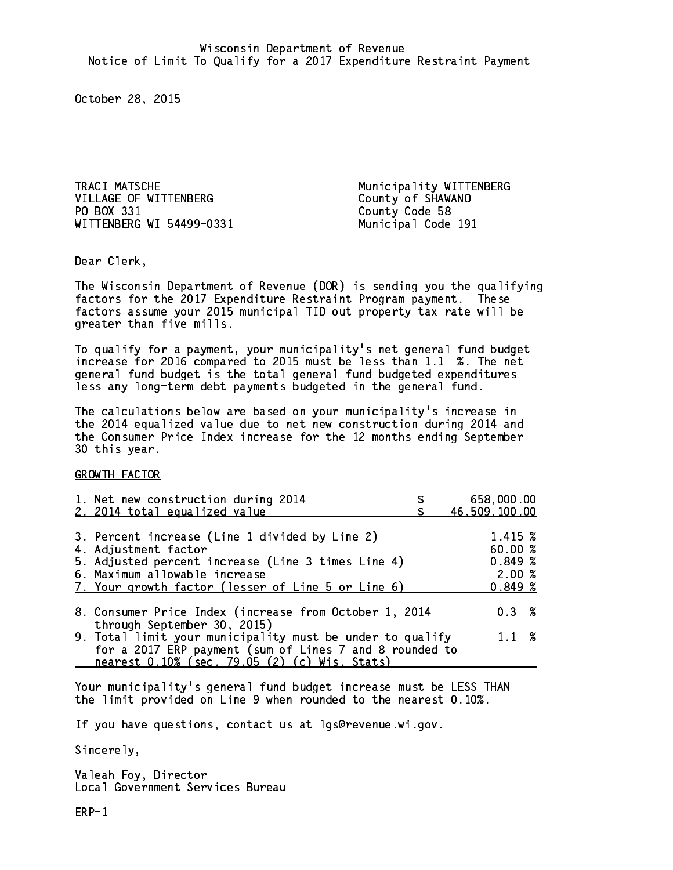TRACI MATSCHE Municipality WITTENBERG VILLAGE OF WITTENBERG County of SHAWANO PO BOX 331 WITTENBERG WI 54499-0331 Municipal Code 191

County Code 58

Dear Clerk. Dear Clerk,

The Wisconsin Department of Revenue (DOR) is sending you the qualifying factors for the 2017 Expenditure Restraint Program payment. These factors assume your 2015 municipal TID out property tax rate will be greater than five mills.

 To qualify for a payment, your municipality's net general fund budget increase for 2016 compared to 2015 must be less than 1.1 %. The net general fund budget is the total general fund budgeted expenditures less any long-term debt payments budgeted in the general fund.

The calculations below are based on your municipality's increase in the 2014 equalized value due to net new construction during 2014 and the Consumer Price Index increase for the 12 months ending September 30 this year. 30 this year. This year of the second terms of the second terms in the second terms in the second terms in the

GROWTH FACTOR

| 1. Net new construction during 2014                                                                                                                                                                                 | 658,000.00                                       |
|---------------------------------------------------------------------------------------------------------------------------------------------------------------------------------------------------------------------|--------------------------------------------------|
| 2. 2014 total equalized value                                                                                                                                                                                       | 46,509,100.00                                    |
| 3. Percent increase (Line 1 divided by Line 2)<br>4. Adjustment factor<br>5. Adjusted percent increase (Line 3 times Line 4)<br>6. Maximum allowable increase<br>7. Your growth factor (lesser of Line 5 or Line 6) | 1.415 %<br>60.00%<br>0.849~%<br>2.00%<br>0.849~% |
| 8. Consumer Price Index (increase from October 1, 2014                                                                                                                                                              | $0.3 \t%$                                        |
| through September 30, 2015)<br>9. Total limit your municipality must be under to qualify<br>for a 2017 ERP payment (sum of Lines 7 and 8 rounded to<br>nearest 0.10% (sec. 79.05 (2) (c) Wis. Stats)                | $1.1 \t%$                                        |

Your municipality's general fund budget increase must be LESS THAN the limit provided on Line 9 when rounded to the nearest 0.10%.

If you have questions, contact us at lgs@revenue.wi.gov.

Sincerely,

Valeah Foy, Director Local Government Services Bureau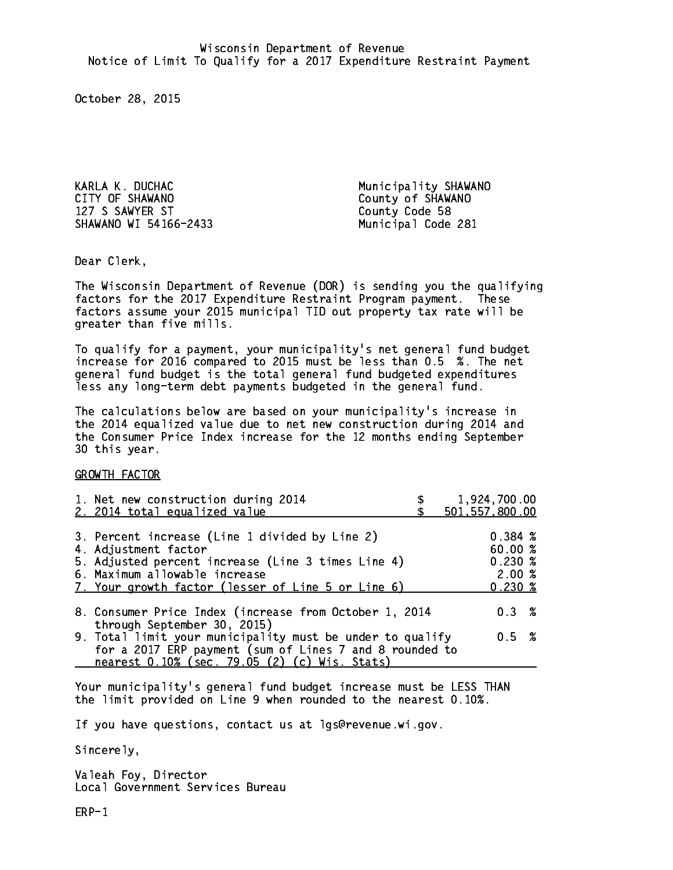KARLA K. DUCHAC Municipality SHAWANO CITY OF SHAWANO COUNTY OF SHAWANO 127 S SAWYER ST County Code 58 SHAWANO WI 54166-2433 Municipal Code 281

Dear Clerk. Dear Clerk,

The Wisconsin Department of Revenue (DOR) is sending you the qualifying factors for the 2017 Expenditure Restraint Program payment. These factors assume your 2015 municipal TID out property tax rate will be greater than five mills.

 To qualify for a payment, your municipality's net general fund budget increase for 2016 compared to 2015 must be less than 0.5 %. The net general fund budget is the total general fund budgeted expenditures less any long-term debt payments budgeted in the general fund.

The calculations below are based on your municipality's increase in the 2014 equalized value due to net new construction during 2014 and the Consumer Price Index increase for the 12 months ending September 30 this year. 30 this year. This year of the second terms of the second terms in the second terms in the second terms in the

GROWTH FACTOR

| 1. Net new construction during 2014<br>2. 2014 total equalized value                                                                                                                                                | 1,924,700.00<br>501, 557, 800.00                   |
|---------------------------------------------------------------------------------------------------------------------------------------------------------------------------------------------------------------------|----------------------------------------------------|
| 3. Percent increase (Line 1 divided by Line 2)<br>4. Adjustment factor<br>5. Adjusted percent increase (Line 3 times Line 4)<br>6. Maximum allowable increase<br>7. Your growth factor (lesser of Line 5 or Line 6) | 0.384~%<br>60.00%<br>$0.230*$<br>2.00%<br>$0.230*$ |
| 8. Consumer Price Index (increase from October 1, 2014                                                                                                                                                              | $0.3 \t%$                                          |
| through September 30, 2015)<br>9. Total limit your municipality must be under to qualify<br>for a 2017 ERP payment (sum of Lines 7 and 8 rounded to<br>nearest 0.10% (sec. 79.05 (2) (c) Wis. Stats)                | 0.5 %                                              |

Your municipality's general fund budget increase must be LESS THAN the limit provided on Line 9 when rounded to the nearest 0.10%.

If you have questions, contact us at lgs@revenue.wi.gov.

Sincerely,

Valeah Foy, Director Local Government Services Bureau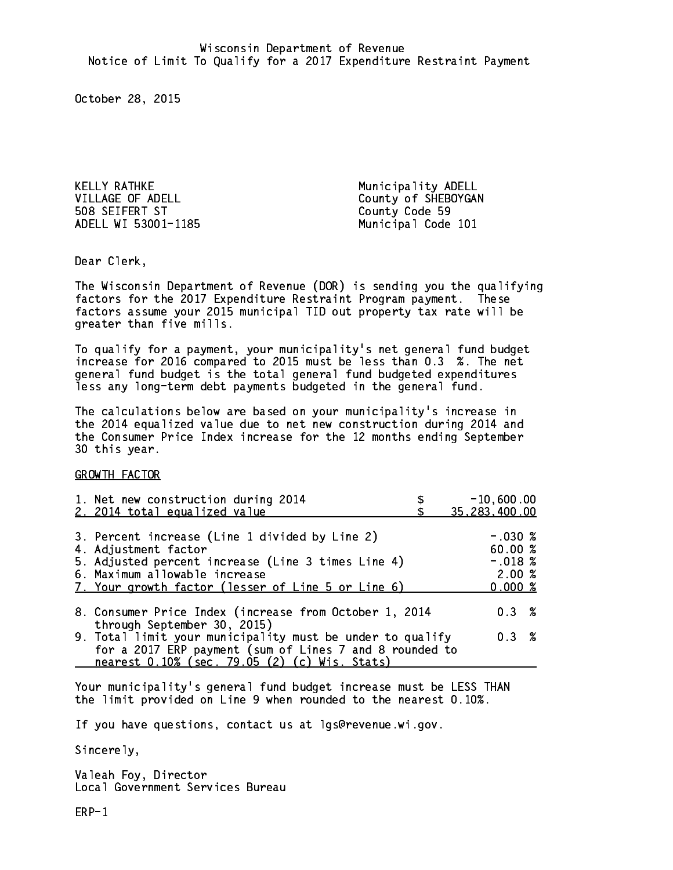KELLY RATHKE Municipality ADELL 508 SEIFERT ST County Code 59 ADELL WI 53001-1185 Municipal Code 101

VILLAGE OF ADELL County of SHEBOYGAN

Dear Clerk. Dear Clerk,

The Wisconsin Department of Revenue (DOR) is sending you the qualifying factors for the 2017 Expenditure Restraint Program payment. These factors assume your 2015 municipal TID out property tax rate will be greater than five mills.

 To qualify for a payment, your municipality's net general fund budget increase for 2016 compared to 2015 must be less than 0.3 %. The net general fund budget is the total general fund budgeted expenditures less any long-term debt payments budgeted in the general fund.

The calculations below are based on your municipality's increase in the 2014 equalized value due to net new construction during 2014 and the Consumer Price Index increase for the 12 months ending September 30 this year. 30 this year. This year of the second terms of the second terms in the second terms in the second terms in the

GROWTH FACTOR

| 1. Net new construction during 2014<br>2. 2014 total equalized value                                                                                                                                                | $-10,600.00$<br>35,283,400.00                        |
|---------------------------------------------------------------------------------------------------------------------------------------------------------------------------------------------------------------------|------------------------------------------------------|
| 3. Percent increase (Line 1 divided by Line 2)<br>4. Adjustment factor<br>5. Adjusted percent increase (Line 3 times Line 4)<br>6. Maximum allowable increase<br>7. Your growth factor (lesser of Line 5 or Line 6) | $-.030~%$<br>60.00%<br>$-.018$ %<br>2.00%<br>0.000 % |
| 8. Consumer Price Index (increase from October 1, 2014                                                                                                                                                              | 0.3%                                                 |
| through September 30, 2015)<br>9. Total limit your municipality must be under to qualify<br>for a 2017 ERP payment (sum of Lines 7 and 8 rounded to<br>nearest 0.10% (sec. 79.05 (2) (c) Wis. Stats)                | 0.3%                                                 |

Your municipality's general fund budget increase must be LESS THAN the limit provided on Line 9 when rounded to the nearest 0.10%.

If you have questions, contact us at lgs@revenue.wi.gov.

Sincerely,

Valeah Foy, Director Local Government Services Bureau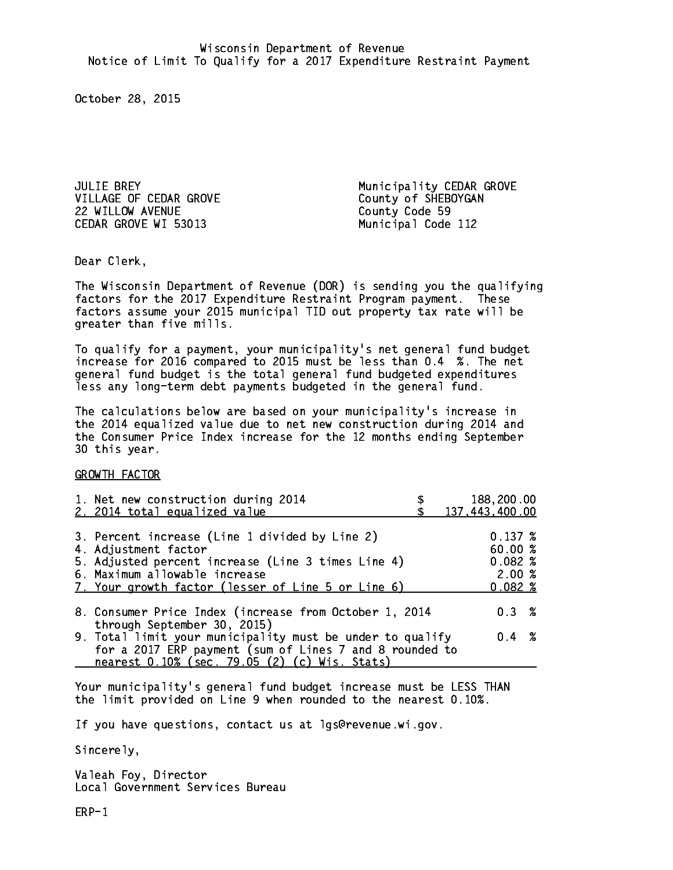VILLAGE OF CEDAR GROVE County of SHEBOYGAN 22 WILLOW AVENUE **County** County Code 59 CEDAR GROVE WI 53013 Municipal Code 112

JULIE BREY Municipality CEDAR GROVE

Dear Clerk. Dear Clerk,

The Wisconsin Department of Revenue (DOR) is sending you the qualifying factors for the 2017 Expenditure Restraint Program payment. These factors assume your 2015 municipal TID out property tax rate will be greater than five mills.

 To qualify for a payment, your municipality's net general fund budget increase for 2016 compared to 2015 must be less than 0.4 %. The net general fund budget is the total general fund budgeted expenditures less any long-term debt payments budgeted in the general fund.

The calculations below are based on your municipality's increase in the 2014 equalized value due to net new construction during 2014 and the Consumer Price Index increase for the 12 months ending September 30 this year. 30 this year. This year of the second terms of the second terms in the second terms in the second terms in the

GROWTH FACTOR

| 1. Net new construction during 2014<br>2. 2014 total equalized value                                                                                                                                                | 188,200.00<br>137,443,400.00                        |
|---------------------------------------------------------------------------------------------------------------------------------------------------------------------------------------------------------------------|-----------------------------------------------------|
| 3. Percent increase (Line 1 divided by Line 2)<br>4. Adjustment factor<br>5. Adjusted percent increase (Line 3 times Line 4)<br>6. Maximum allowable increase<br>7. Your growth factor (lesser of Line 5 or Line 6) | $0.137 \;$ %<br>60.00%<br>0.082%<br>2.00%<br>0.082% |
| 8. Consumer Price Index (increase from October 1, 2014<br>through September 30, 2015)                                                                                                                               | 0.3%                                                |
| 9. Total limit your municipality must be under to qualify<br>for a 2017 ERP payment (sum of Lines 7 and 8 rounded to<br>nearest 0.10% (sec. 79.05 (2) (c) Wis. Stats)                                               | $0.4 \t%$                                           |

Your municipality's general fund budget increase must be LESS THAN the limit provided on Line 9 when rounded to the nearest 0.10%.

If you have questions, contact us at lgs@revenue.wi.gov.

Sincerely,

Valeah Foy, Director Local Government Services Bureau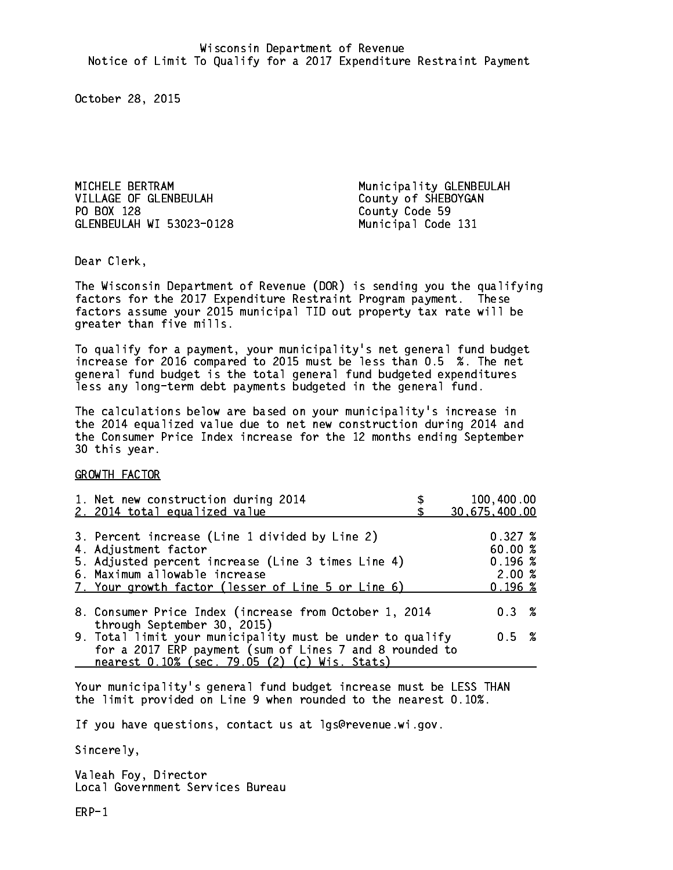MICHELE BERTRAM Municipality GLENBEULAH VILLAGE OF GLENBEULAH County of SHEBOYGAN PO BOX 128 GLENBEULAH WI 53023-0128 Municipal Code 131

County Code 59

Dear Clerk. Dear Clerk,

The Wisconsin Department of Revenue (DOR) is sending you the qualifying factors for the 2017 Expenditure Restraint Program payment. These factors assume your 2015 municipal TID out property tax rate will be greater than five mills.

 To qualify for a payment, your municipality's net general fund budget increase for 2016 compared to 2015 must be less than 0.5 %. The net general fund budget is the total general fund budgeted expenditures less any long-term debt payments budgeted in the general fund.

The calculations below are based on your municipality's increase in the 2014 equalized value due to net new construction during 2014 and the Consumer Price Index increase for the 12 months ending September 30 this year. 30 this year. This year of the second terms of the second terms in the second terms in the second terms in the

GROWTH FACTOR

| 1. Net new construction during 2014                       | 100,400.00    |
|-----------------------------------------------------------|---------------|
| 2. 2014 total equalized value                             | 30,675,400.00 |
|                                                           |               |
| 3. Percent increase (Line 1 divided by Line 2)            | 0.327~%       |
| 4. Adjustment factor                                      | 60.00%        |
| 5. Adjusted percent increase (Line 3 times Line 4)        | 0.196~%       |
| 6. Maximum allowable increase                             | 2.00%         |
| 7. Your growth factor (lesser of Line 5 or Line 6)        | 0.196~%       |
|                                                           |               |
| 8. Consumer Price Index (increase from October 1, 2014    | $0.3 \t%$     |
| through September 30, 2015)                               |               |
| 9. Total limit your municipality must be under to qualify | 0.5 %         |
| for a 2017 ERP payment (sum of Lines 7 and 8 rounded to   |               |
| nearest 0.10% (sec. 79.05 (2) (c) Wis. Stats)             |               |

Your municipality's general fund budget increase must be LESS THAN the limit provided on Line 9 when rounded to the nearest 0.10%.

If you have questions, contact us at lgs@revenue.wi.gov.

Sincerely,

Valeah Foy, Director Local Government Services Bureau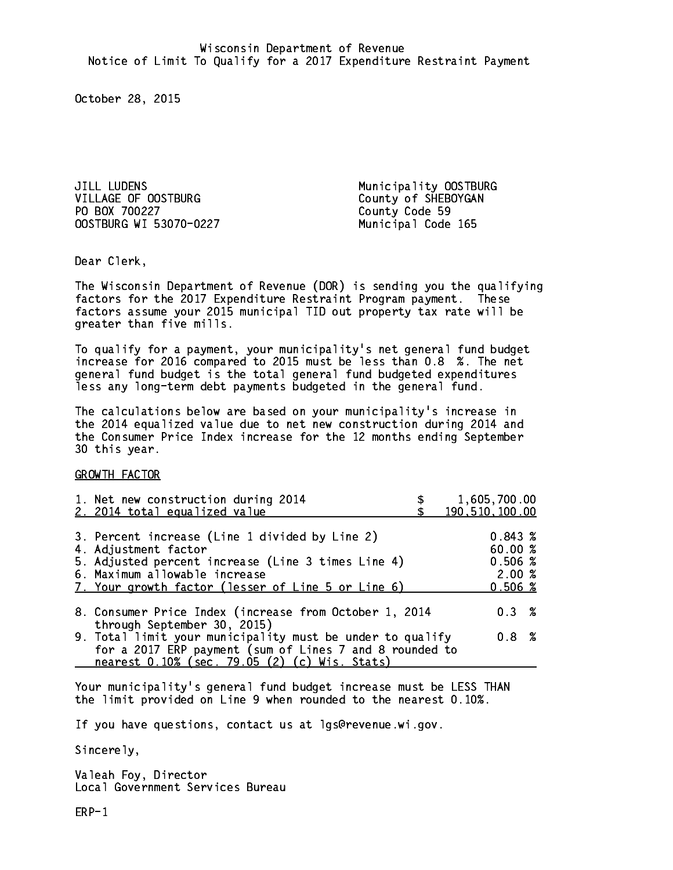JILL LUDENS Municipality OOSTBURG VILLAGE OF OOSTBURG County of SHEBOYGAN PO BOX 700227 OOSTBURG WI 53070-0227 Municipal Code 165

County Code 59

Dear Clerk. Dear Clerk,

The Wisconsin Department of Revenue (DOR) is sending you the qualifying factors for the 2017 Expenditure Restraint Program payment. These factors assume your 2015 municipal TID out property tax rate will be greater than five mills.

 To qualify for a payment, your municipality's net general fund budget increase for 2016 compared to 2015 must be less than 0.8 %. The net general fund budget is the total general fund budgeted expenditures less any long-term debt payments budgeted in the general fund.

The calculations below are based on your municipality's increase in the 2014 equalized value due to net new construction during 2014 and the Consumer Price Index increase for the 12 months ending September 30 this year. 30 this year. This year of the second terms of the second terms in the second terms in the second terms in the

GROWTH FACTOR

| 1. Net new construction during 2014<br>2. 2014 total equalized value                                                                                                                                                | 1,605,700.00<br>190, 510, 100.00                 |
|---------------------------------------------------------------------------------------------------------------------------------------------------------------------------------------------------------------------|--------------------------------------------------|
| 3. Percent increase (Line 1 divided by Line 2)<br>4. Adjustment factor<br>5. Adjusted percent increase (Line 3 times Line 4)<br>6. Maximum allowable increase<br>7. Your growth factor (lesser of Line 5 or Line 6) | 0.843~%<br>60.00%<br>0.506~%<br>2.00%<br>0.506~% |
| 8. Consumer Price Index (increase from October 1, 2014                                                                                                                                                              | $0.3 \t%$                                        |
| through September 30, 2015)<br>9. Total limit your municipality must be under to qualify<br>for a 2017 ERP payment (sum of Lines 7 and 8 rounded to<br>nearest 0.10% (sec. 79.05 (2) (c) Wis. Stats)                | 0.8 <sup>8</sup>                                 |

Your municipality's general fund budget increase must be LESS THAN the limit provided on Line 9 when rounded to the nearest 0.10%.

If you have questions, contact us at lgs@revenue.wi.gov.

Sincerely,

Valeah Foy, Director Local Government Services Bureau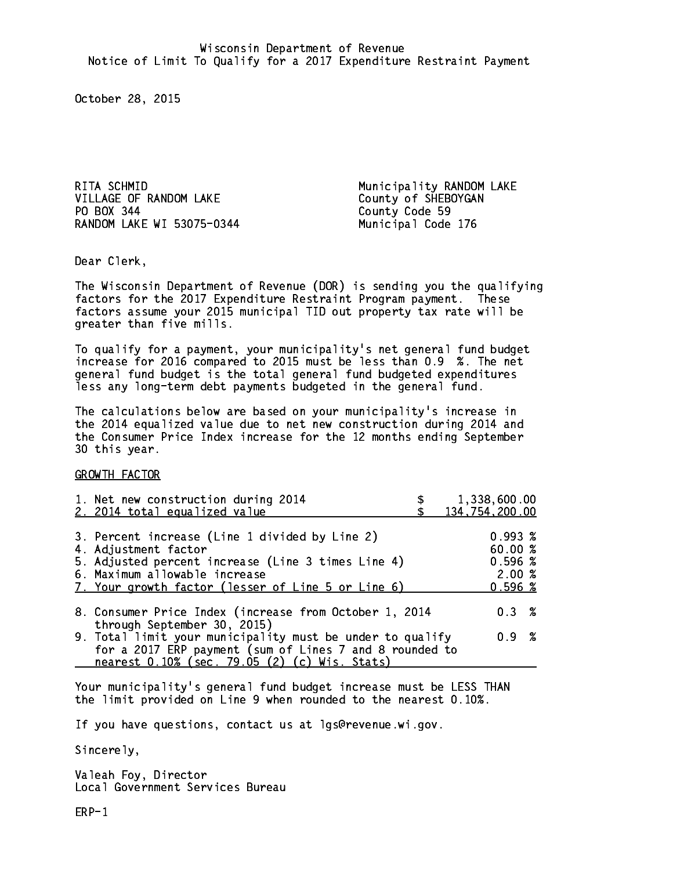RITA SCHMID **Municipality RANDOM LAKE** VILLAGE OF RANDOM LAKE County of SHEBOYGAN PO BOX 344 County Code 59 RANDOM LAKE WI 53075-0344 Municipal Code 176

Dear Clerk. Dear Clerk,

The Wisconsin Department of Revenue (DOR) is sending you the qualifying factors for the 2017 Expenditure Restraint Program payment. These factors assume your 2015 municipal TID out property tax rate will be greater than five mills.

 To qualify for a payment, your municipality's net general fund budget increase for 2016 compared to 2015 must be less than 0.9 %. The net general fund budget is the total general fund budgeted expenditures less any long-term debt payments budgeted in the general fund.

The calculations below are based on your municipality's increase in the 2014 equalized value due to net new construction during 2014 and the Consumer Price Index increase for the 12 months ending September 30 this year. 30 this year. This year of the second terms of the second terms in the second terms in the second terms in the

GROWTH FACTOR

| 1. Net new construction during 2014<br>2. 2014 total equalized value                                                                                                                                                | 1,338,600.00<br>134,754,200.00                        |
|---------------------------------------------------------------------------------------------------------------------------------------------------------------------------------------------------------------------|-------------------------------------------------------|
| 3. Percent increase (Line 1 divided by Line 2)<br>4. Adjustment factor<br>5. Adjusted percent increase (Line 3 times Line 4)<br>6. Maximum allowable increase<br>7. Your growth factor (lesser of Line 5 or Line 6) | $0.993 \;$ %<br>60.00 %<br>0.596%<br>2.00%<br>0.596~% |
| 8. Consumer Price Index (increase from October 1, 2014                                                                                                                                                              | $0.3 \t%$                                             |
| through September 30, 2015)<br>9. Total limit your municipality must be under to qualify<br>for a 2017 ERP payment (sum of Lines 7 and 8 rounded to<br>nearest 0.10% (sec. 79.05 (2) (c) Wis. Stats)                | 0.9 %                                                 |

Your municipality's general fund budget increase must be LESS THAN the limit provided on Line 9 when rounded to the nearest 0.10%.

If you have questions, contact us at lgs@revenue.wi.gov.

Sincerely,

Valeah Foy, Director Local Government Services Bureau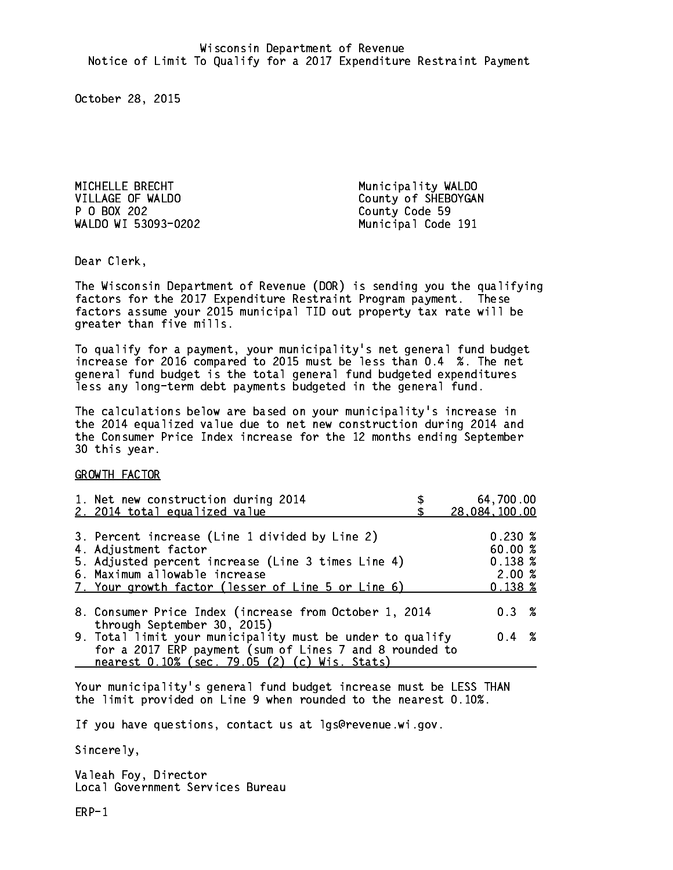MICHELLE BRECHT Municipality WALDO P O BOX 202 County Code 59 WALDO WI 53093-0202 Municipal Code 191

VILLAGE OF WALDO County of SHEBOYGAN

Dear Clerk. Dear Clerk,

The Wisconsin Department of Revenue (DOR) is sending you the qualifying factors for the 2017 Expenditure Restraint Program payment. These factors assume your 2015 municipal TID out property tax rate will be greater than five mills.

 To qualify for a payment, your municipality's net general fund budget increase for 2016 compared to 2015 must be less than 0.4 %. The net general fund budget is the total general fund budgeted expenditures less any long-term debt payments budgeted in the general fund.

The calculations below are based on your municipality's increase in the 2014 equalized value due to net new construction during 2014 and the Consumer Price Index increase for the 12 months ending September 30 this year. 30 this year.

GROWTH FACTOR

| 1. Net new construction during 2014<br>2. 2014 total equalized value                                                                                                                                                | 64,700.00<br>28,084,100.00                           |
|---------------------------------------------------------------------------------------------------------------------------------------------------------------------------------------------------------------------|------------------------------------------------------|
| 3. Percent increase (Line 1 divided by Line 2)<br>4. Adjustment factor<br>5. Adjusted percent increase (Line 3 times Line 4)<br>6. Maximum allowable increase<br>7. Your growth factor (lesser of Line 5 or Line 6) | 0.230%<br>60.00%<br>0.138~%<br>2.00%<br>$0.138 \;$ % |
| 8. Consumer Price Index (increase from October 1, 2014                                                                                                                                                              | $0.3 \t%$                                            |
| through September 30, 2015)<br>9. Total limit your municipality must be under to qualify<br>for a 2017 ERP payment (sum of Lines 7 and 8 rounded to<br>nearest 0.10% (sec. 79.05 (2) (c) Wis. Stats)                | $0.4 \t%$                                            |

Your municipality's general fund budget increase must be LESS THAN the limit provided on Line 9 when rounded to the nearest 0.10%.

If you have questions, contact us at lgs@revenue.wi.gov.

Sincerely,

Valeah Foy, Director Local Government Services Bureau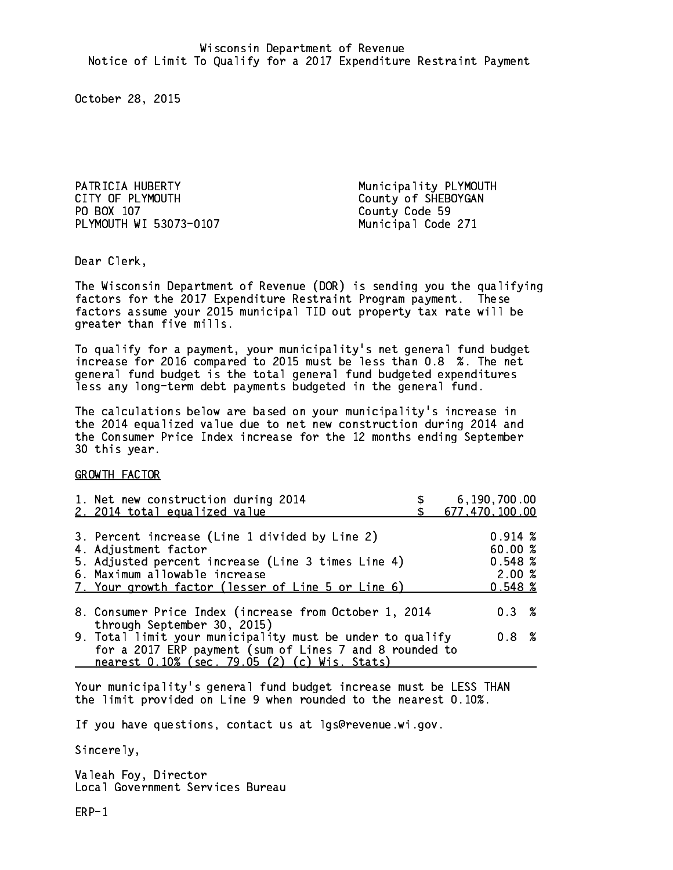PATRICIA HUBERTY **Municipality PLYMOUTH** CITY OF PLYMOUTH CITY OF PLYMOUTH PO BOX 107 County Code 59 PLYMOUTH WI 53073-0107 Municipal Code 271

Dear Clerk. Dear Clerk,

The Wisconsin Department of Revenue (DOR) is sending you the qualifying factors for the 2017 Expenditure Restraint Program payment. These factors assume your 2015 municipal TID out property tax rate will be greater than five mills.

 To qualify for a payment, your municipality's net general fund budget increase for 2016 compared to 2015 must be less than 0.8 %. The net general fund budget is the total general fund budgeted expenditures less any long-term debt payments budgeted in the general fund.

The calculations below are based on your municipality's increase in the 2014 equalized value due to net new construction during 2014 and the Consumer Price Index increase for the 12 months ending September 30 this year. 30 this year.

GROWTH FACTOR

| 1. Net new construction during 2014<br>2. 2014 total equalized value                                                                                                                                                | 6,190,700.00<br>677,470,100.00                         |
|---------------------------------------------------------------------------------------------------------------------------------------------------------------------------------------------------------------------|--------------------------------------------------------|
| 3. Percent increase (Line 1 divided by Line 2)<br>4. Adjustment factor<br>5. Adjusted percent increase (Line 3 times Line 4)<br>6. Maximum allowable increase<br>7. Your growth factor (lesser of Line 5 or Line 6) | $0.914 \;$ %<br>60.00 %<br>0.548~%<br>2.00%<br>0.548~% |
| 8. Consumer Price Index (increase from October 1, 2014<br>through September 30, 2015)                                                                                                                               | 0.3%                                                   |
| 9. Total limit your municipality must be under to qualify<br>for a 2017 ERP payment (sum of Lines 7 and 8 rounded to<br>nearest 0.10% (sec. 79.05 (2) (c) Wis. Stats)                                               | 0.8 <sup>8</sup>                                       |

Your municipality's general fund budget increase must be LESS THAN the limit provided on Line 9 when rounded to the nearest 0.10%.

If you have questions, contact us at lgs@revenue.wi.gov.

Sincerely,

Valeah Foy, Director Local Government Services Bureau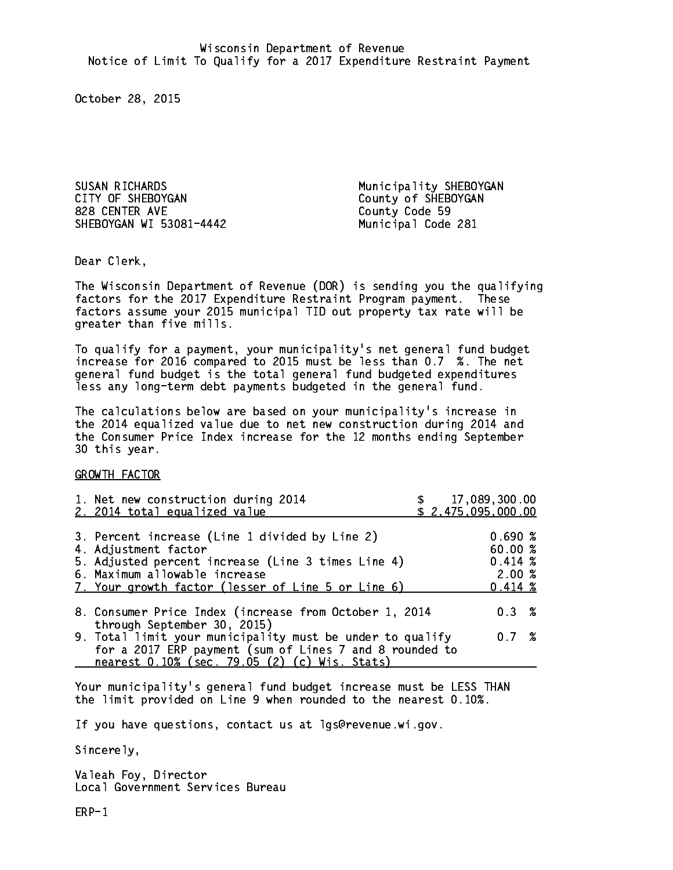SUSAN RICHARDS Municipality SHEBOYGAN CITY OF SHEBOYGAN COUNTY OF SHEBOYGAN 828 CENTER AVE SHEBOYGAN WI 53081-4442 Municipal Code 281

County Code 59

Dear Clerk. Dear Clerk,

The Wisconsin Department of Revenue (DOR) is sending you the qualifying factors for the 2017 Expenditure Restraint Program payment. These factors assume your 2015 municipal TID out property tax rate will be greater than five mills.

 To qualify for a payment, your municipality's net general fund budget increase for 2016 compared to 2015 must be less than 0.7 %. The net general fund budget is the total general fund budgeted expenditures less any long-term debt payments budgeted in the general fund.

The calculations below are based on your municipality's increase in the 2014 equalized value due to net new construction during 2014 and the Consumer Price Index increase for the 12 months ending September 30 this year. 30 this year. This year of the second terms of the second terms in the second terms in the second terms in the

GROWTH FACTOR

| 1. Net new construction during 2014<br>2. 2014 total equalized value                                                                                                                                                | \$17,089,300.00<br>\$2,475,095,000.00 |                                                            |  |
|---------------------------------------------------------------------------------------------------------------------------------------------------------------------------------------------------------------------|---------------------------------------|------------------------------------------------------------|--|
| 3. Percent increase (Line 1 divided by Line 2)<br>4. Adjustment factor<br>5. Adjusted percent increase (Line 3 times Line 4)<br>6. Maximum allowable increase<br>7. Your growth factor (lesser of Line 5 or Line 6) |                                       | 0.690%<br>60.00 %<br>$0.414 \;$ %<br>2.00%<br>$0.414 \; %$ |  |
| 8. Consumer Price Index (increase from October 1, 2014<br>through September 30, 2015)                                                                                                                               |                                       | $0.3 \t%$                                                  |  |
| 9. Total limit your municipality must be under to qualify<br>for a 2017 ERP payment (sum of Lines 7 and 8 rounded to<br>nearest 0.10% (sec. 79.05 (2) (c) Wis. Stats)                                               |                                       | 0.7%                                                       |  |

Your municipality's general fund budget increase must be LESS THAN the limit provided on Line 9 when rounded to the nearest 0.10%.

If you have questions, contact us at lgs@revenue.wi.gov.

Sincerely,

Valeah Foy, Director Local Government Services Bureau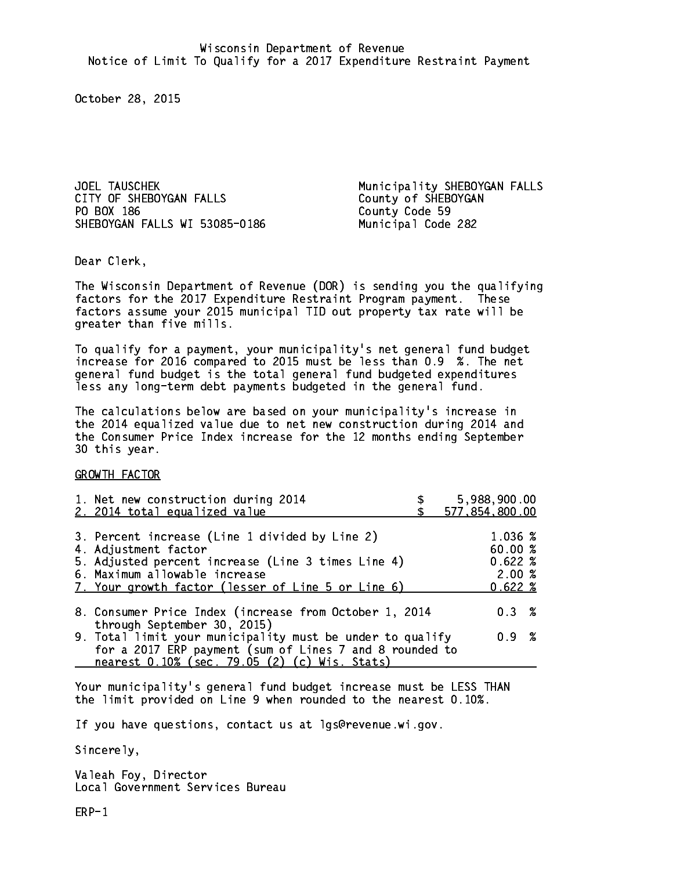JOEL TAUSCHEK<br>CITY OF SHEBOYGAN FALLS County of SHEBOYGAN PO BOX 186 SHEBOYGAN FALLS WI 53085-0186 Municipal Code 282

Municipality SHEBOYGAN FALLS County Code 59

Dear Clerk. Dear Clerk,

The Wisconsin Department of Revenue (DOR) is sending you the qualifying factors for the 2017 Expenditure Restraint Program payment. These factors assume your 2015 municipal TID out property tax rate will be greater than five mills.

 To qualify for a payment, your municipality's net general fund budget increase for 2016 compared to 2015 must be less than 0.9 %. The net general fund budget is the total general fund budgeted expenditures less any long-term debt payments budgeted in the general fund.

The calculations below are based on your municipality's increase in the 2014 equalized value due to net new construction during 2014 and the Consumer Price Index increase for the 12 months ending September 30 this year. 30 this year. This year of the second terms of the second terms in the second terms in the second terms in the

GROWTH FACTOR

| 1. Net new construction during 2014<br>2. 2014 total equalized value                                                                                                                                                | 5,988,900.00<br>577,854,800.00                 |
|---------------------------------------------------------------------------------------------------------------------------------------------------------------------------------------------------------------------|------------------------------------------------|
| 3. Percent increase (Line 1 divided by Line 2)<br>4. Adjustment factor<br>5. Adjusted percent increase (Line 3 times Line 4)<br>6. Maximum allowable increase<br>7. Your growth factor (lesser of Line 5 or Line 6) | 1.036 %<br>60.00%<br>0.622%<br>2.00%<br>0.622% |
| 8. Consumer Price Index (increase from October 1, 2014                                                                                                                                                              | $0.3 \t%$                                      |
| through September 30, 2015)<br>9. Total limit your municipality must be under to qualify<br>for a 2017 ERP payment (sum of Lines 7 and 8 rounded to<br>nearest 0.10% (sec. 79.05 (2) (c) Wis. Stats)                | 0.9 %                                          |

Your municipality's general fund budget increase must be LESS THAN the limit provided on Line 9 when rounded to the nearest 0.10%.

If you have questions, contact us at lgs@revenue.wi.gov.

Sincerely,

Valeah Foy, Director Local Government Services Bureau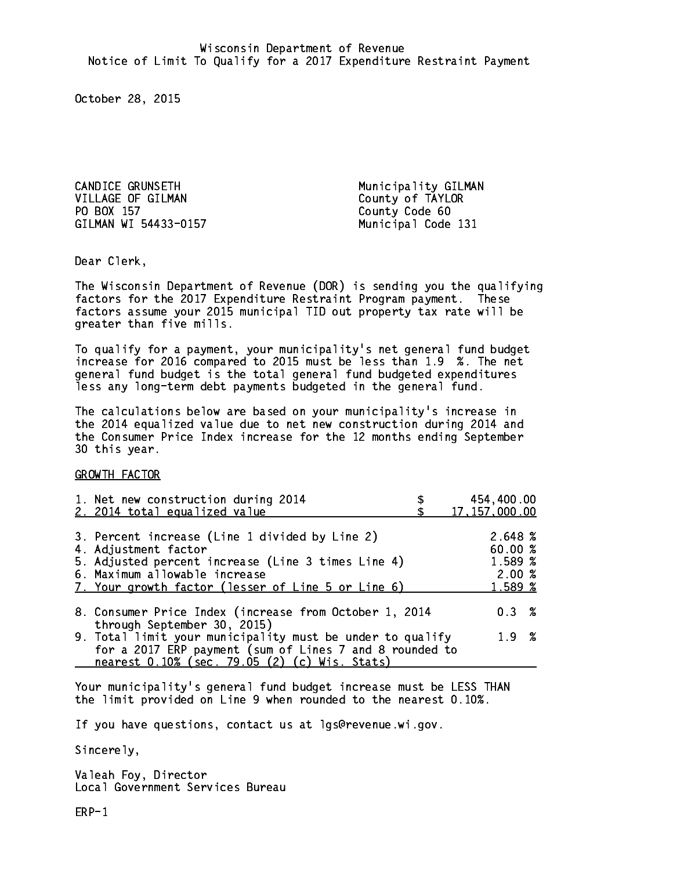CANDICE GRUNSETH Municipality GILMAN VILLAGE OF GILMAN County of TAYLOR PO BOX 157 County Code 60 GILMAN WI 54433-0157 Municipal Code 131

Dear Clerk. Dear Clerk,

The Wisconsin Department of Revenue (DOR) is sending you the qualifying factors for the 2017 Expenditure Restraint Program payment. These factors assume your 2015 municipal TID out property tax rate will be greater than five mills.

 To qualify for a payment, your municipality's net general fund budget increase for 2016 compared to 2015 must be less than 1.9 %. The net general fund budget is the total general fund budgeted expenditures less any long-term debt payments budgeted in the general fund.

The calculations below are based on your municipality's increase in the 2014 equalized value due to net new construction during 2014 and the Consumer Price Index increase for the 12 months ending September 30 this year. 30 this year. This year of the second terms of the second terms in the second terms in the second terms in the

GROWTH FACTOR

| 1. Net new construction during 2014<br>2. 2014 total equalized value                                                                                                                                                | 454,400.00<br>17, 157, 000.00                    |
|---------------------------------------------------------------------------------------------------------------------------------------------------------------------------------------------------------------------|--------------------------------------------------|
| 3. Percent increase (Line 1 divided by Line 2)<br>4. Adjustment factor<br>5. Adjusted percent increase (Line 3 times Line 4)<br>6. Maximum allowable increase<br>7. Your growth factor (lesser of Line 5 or Line 6) | 2.648 %<br>60.00%<br>1.589 %<br>2.00%<br>1.589 % |
| 8. Consumer Price Index (increase from October 1, 2014<br>through September 30, 2015)                                                                                                                               | $0.3 \t%$                                        |
| 9. Total limit your municipality must be under to qualify<br>for a 2017 ERP payment (sum of Lines 7 and 8 rounded to<br>nearest 0.10% (sec. 79.05 (2) (c) Wis. Stats)                                               | 1.9 %                                            |

Your municipality's general fund budget increase must be LESS THAN the limit provided on Line 9 when rounded to the nearest 0.10%.

If you have questions, contact us at lgs@revenue.wi.gov.

Sincerely,

Valeah Foy, Director Local Government Services Bureau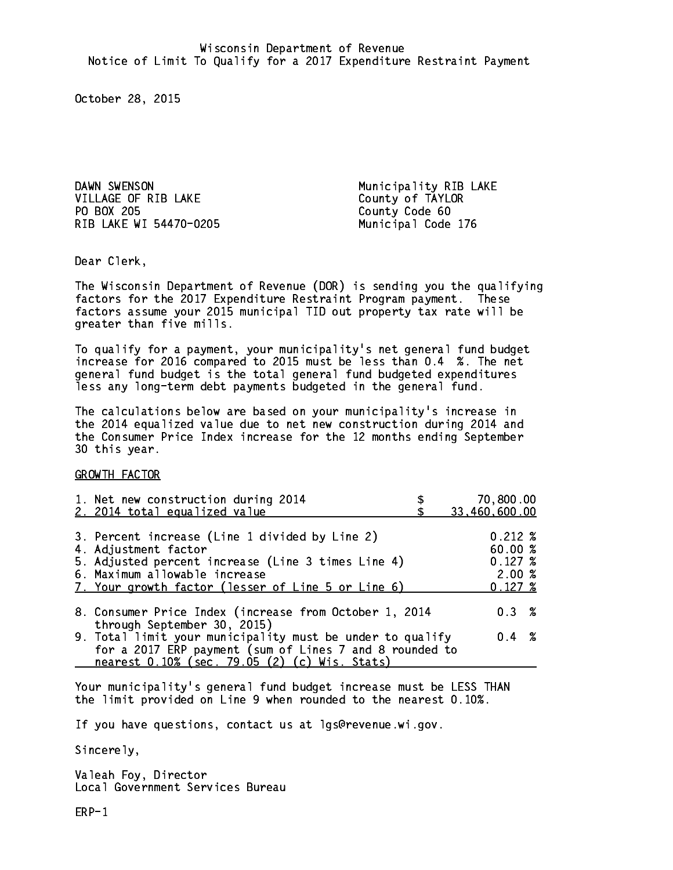DAWN SWENSON **Municipality RIB LAKE** VILLAGE OF RIB LAKE County of TAYLOR PO BOX 205 RIB LAKE WI 54470-0205 Municipal Code 176

County Code 60

Dear Clerk. Dear Clerk,

The Wisconsin Department of Revenue (DOR) is sending you the qualifying factors for the 2017 Expenditure Restraint Program payment. These factors assume your 2015 municipal TID out property tax rate will be greater than five mills.

 To qualify for a payment, your municipality's net general fund budget increase for 2016 compared to 2015 must be less than 0.4 %. The net general fund budget is the total general fund budgeted expenditures less any long-term debt payments budgeted in the general fund.

The calculations below are based on your municipality's increase in the 2014 equalized value due to net new construction during 2014 and the Consumer Price Index increase for the 12 months ending September 30 this year. 30 this year. This year of the second terms of the second terms in the second terms in the second terms in the

GROWTH FACTOR

| 1. Net new construction during 2014<br>2. 2014 total equalized value                                                                                                                                                | 70,800.00<br>33,460,600.00                                      |
|---------------------------------------------------------------------------------------------------------------------------------------------------------------------------------------------------------------------|-----------------------------------------------------------------|
| 3. Percent increase (Line 1 divided by Line 2)<br>4. Adjustment factor<br>5. Adjusted percent increase (Line 3 times Line 4)<br>6. Maximum allowable increase<br>7. Your growth factor (lesser of Line 5 or Line 6) | $0.212 \;$ %<br>60.00%<br>$0.127 \;$ %<br>2.00%<br>$0.127 \;$ % |
| 8. Consumer Price Index (increase from October 1, 2014                                                                                                                                                              | 0.3%                                                            |
| through September 30, 2015)<br>9. Total limit your municipality must be under to qualify<br>for a 2017 ERP payment (sum of Lines 7 and 8 rounded to<br>nearest 0.10% (sec. 79.05 (2) (c) Wis. Stats)                | $0.4 \t%$                                                       |

Your municipality's general fund budget increase must be LESS THAN the limit provided on Line 9 when rounded to the nearest 0.10%.

If you have questions, contact us at lgs@revenue.wi.gov.

Sincerely,

Valeah Foy, Director Local Government Services Bureau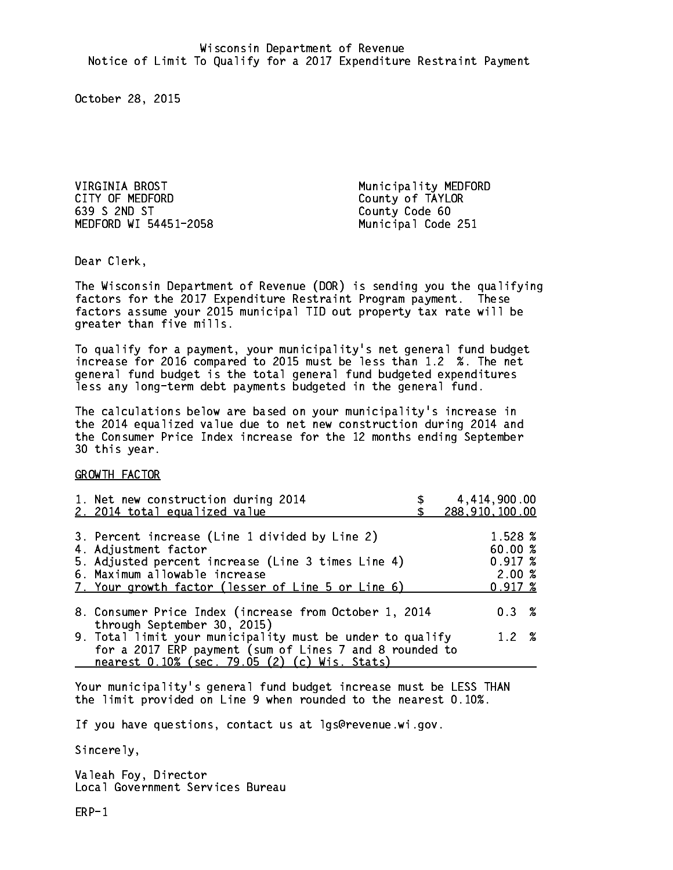VIRGINIA BROST Municipality MEDFORD CITY OF MEDFORD COUNTY OF TAYLOR 639 S 2ND ST County Code 60 MEDFORD WI 54451-2058 Municipal Code 251

Dear Clerk. Dear Clerk,

The Wisconsin Department of Revenue (DOR) is sending you the qualifying factors for the 2017 Expenditure Restraint Program payment. These factors assume your 2015 municipal TID out property tax rate will be greater than five mills.

 To qualify for a payment, your municipality's net general fund budget increase for 2016 compared to 2015 must be less than 1.2 %. The net general fund budget is the total general fund budgeted expenditures less any long-term debt payments budgeted in the general fund.

The calculations below are based on your municipality's increase in the 2014 equalized value due to net new construction during 2014 and the Consumer Price Index increase for the 12 months ending September 30 this year. 30 this year. This year of the second terms of the second terms in the second terms in the second terms in the

GROWTH FACTOR

| 1. Net new construction during 2014<br>2. 2014 total equalized value                                                                                                                                                | 4,414,900.00<br>288,910,100.00                        |
|---------------------------------------------------------------------------------------------------------------------------------------------------------------------------------------------------------------------|-------------------------------------------------------|
| 3. Percent increase (Line 1 divided by Line 2)<br>4. Adjustment factor<br>5. Adjusted percent increase (Line 3 times Line 4)<br>6. Maximum allowable increase<br>7. Your growth factor (lesser of Line 5 or Line 6) | 1.528 %<br>60.00%<br>$0.917 \;$ %<br>2.00%<br>0.917~% |
| 8. Consumer Price Index (increase from October 1, 2014<br>through September 30, 2015)                                                                                                                               | $0.3 \t%$                                             |
| 9. Total limit your municipality must be under to qualify<br>for a 2017 ERP payment (sum of Lines 7 and 8 rounded to<br>nearest 0.10% (sec. 79.05 (2) (c) Wis. Stats)                                               | 1.2%                                                  |

Your municipality's general fund budget increase must be LESS THAN the limit provided on Line 9 when rounded to the nearest 0.10%.

If you have questions, contact us at lgs@revenue.wi.gov.

Sincerely,

Valeah Foy, Director Local Government Services Bureau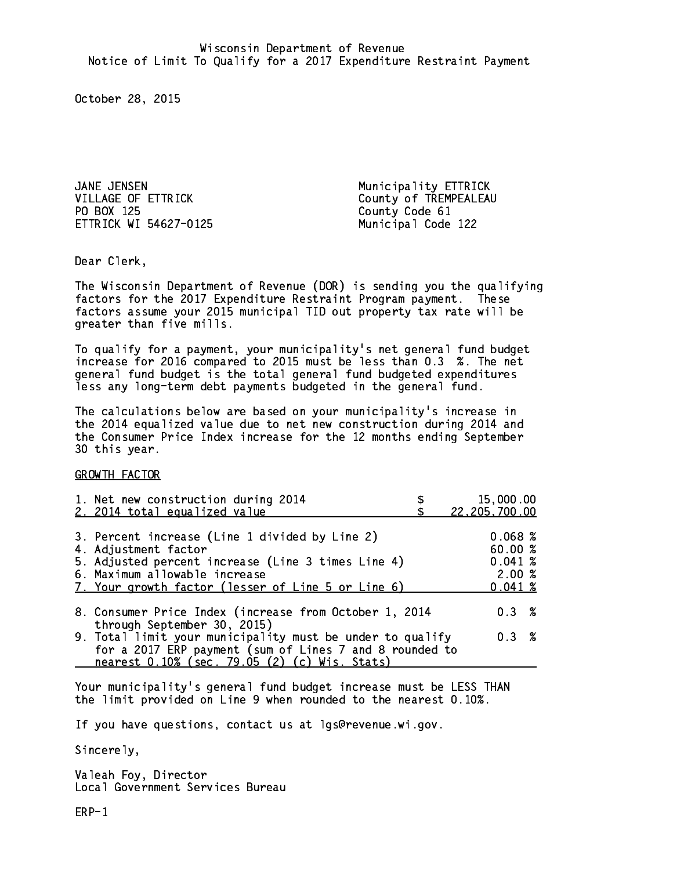JANE JENSEN Municipality ETTRICK PO BOX 125 County Code 61 ETTRICK WI 54627-0125 Municipal Code 122

VILLAGE OF ETTRICK County of TREMPEALEAU

Dear Clerk. Dear Clerk,

The Wisconsin Department of Revenue (DOR) is sending you the qualifying factors for the 2017 Expenditure Restraint Program payment. These factors assume your 2015 municipal TID out property tax rate will be greater than five mills.

 To qualify for a payment, your municipality's net general fund budget increase for 2016 compared to 2015 must be less than 0.3 %. The net general fund budget is the total general fund budgeted expenditures less any long-term debt payments budgeted in the general fund.

The calculations below are based on your municipality's increase in the 2014 equalized value due to net new construction during 2014 and the Consumer Price Index increase for the 12 months ending September 30 this year. 30 this year. This year of the second terms of the second terms in the second terms in the second terms in the

GROWTH FACTOR

| 1. Net new construction during 2014                                                                                                                                                                                 | 15,000.00                                        |
|---------------------------------------------------------------------------------------------------------------------------------------------------------------------------------------------------------------------|--------------------------------------------------|
| 2. 2014 total equalized value                                                                                                                                                                                       | 22,205,700.00                                    |
| 3. Percent increase (Line 1 divided by Line 2)<br>4. Adjustment factor<br>5. Adjusted percent increase (Line 3 times Line 4)<br>6. Maximum allowable increase<br>7. Your growth factor (lesser of Line 5 or Line 6) | 0.068~%<br>60.00%<br>0.041~%<br>2.00%<br>0.041~% |
| 8. Consumer Price Index (increase from October 1, 2014                                                                                                                                                              | $0.3 \t%$                                        |
| through September 30, 2015)<br>9. Total limit your municipality must be under to qualify<br>for a 2017 ERP payment (sum of Lines 7 and 8 rounded to<br>nearest 0.10% (sec. 79.05 (2) (c) Wis. Stats)                | 0.3 %                                            |

Your municipality's general fund budget increase must be LESS THAN the limit provided on Line 9 when rounded to the nearest 0.10%.

If you have questions, contact us at lgs@revenue.wi.gov.

Sincerely,

Valeah Foy, Director Local Government Services Bureau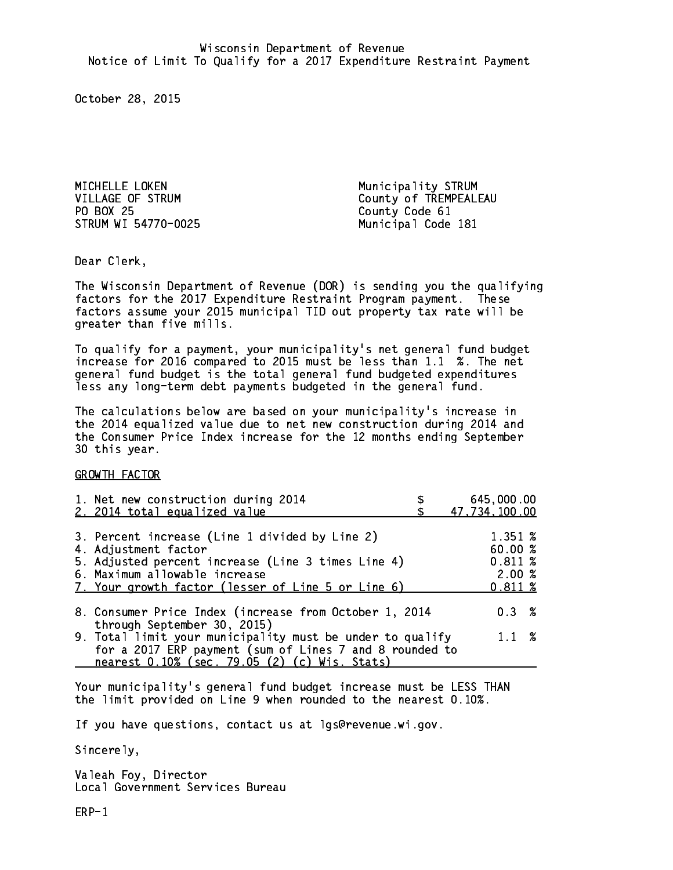MICHELLE LOKEN **Municipality STRUM** PO BOX 25 STRUM WI 54770-0025 Municipal Code 181

VILLAGE OF STRUM County of TREMPEALEAU County Code 61

Dear Clerk. Dear Clerk,

The Wisconsin Department of Revenue (DOR) is sending you the qualifying factors for the 2017 Expenditure Restraint Program payment. These factors assume your 2015 municipal TID out property tax rate will be greater than five mills.

 To qualify for a payment, your municipality's net general fund budget increase for 2016 compared to 2015 must be less than 1.1 %. The net general fund budget is the total general fund budgeted expenditures less any long-term debt payments budgeted in the general fund.

The calculations below are based on your municipality's increase in the 2014 equalized value due to net new construction during 2014 and the Consumer Price Index increase for the 12 months ending September 30 this year. 30 this year. This year of the second terms of the second terms in the second terms in the second terms in the

GROWTH FACTOR

| 1. Net new construction during 2014<br>2. 2014 total equalized value                                                                                                                                                | 645,000.00<br>47,734,100.00                      |
|---------------------------------------------------------------------------------------------------------------------------------------------------------------------------------------------------------------------|--------------------------------------------------|
| 3. Percent increase (Line 1 divided by Line 2)<br>4. Adjustment factor<br>5. Adjusted percent increase (Line 3 times Line 4)<br>6. Maximum allowable increase<br>7. Your growth factor (lesser of Line 5 or Line 6) | 1.351 %<br>60.00%<br>0.811~%<br>2.00%<br>0.811~% |
| 8. Consumer Price Index (increase from October 1, 2014<br>through September 30, 2015)                                                                                                                               | $0.3 \t%$                                        |
| 9. Total limit your municipality must be under to qualify<br>for a 2017 ERP payment (sum of Lines 7 and 8 rounded to<br>nearest 0.10% (sec. 79.05 (2) (c) Wis. Stats)                                               | $1.1 \t%$                                        |

Your municipality's general fund budget increase must be LESS THAN the limit provided on Line 9 when rounded to the nearest 0.10%.

If you have questions, contact us at lgs@revenue.wi.gov.

Sincerely,

Valeah Foy, Director Local Government Services Bureau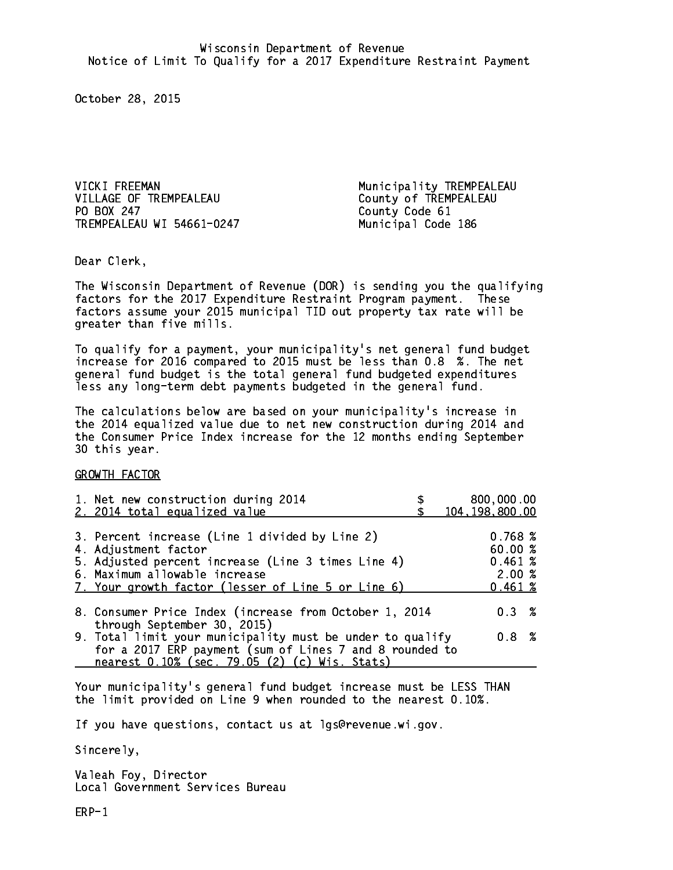VICKI FREEMAN Municipality TREMPEALEAU VILLAGE OF TREMPEALEAU County of TREMPEALEAU PO BOX 247 TREMPEALEAU WI 54661-0247 Municipal Code 186

County Code 61

Dear Clerk. Dear Clerk,

The Wisconsin Department of Revenue (DOR) is sending you the qualifying factors for the 2017 Expenditure Restraint Program payment. These factors assume your 2015 municipal TID out property tax rate will be greater than five mills.

 To qualify for a payment, your municipality's net general fund budget increase for 2016 compared to 2015 must be less than 0.8 %. The net general fund budget is the total general fund budgeted expenditures less any long-term debt payments budgeted in the general fund.

The calculations below are based on your municipality's increase in the 2014 equalized value due to net new construction during 2014 and the Consumer Price Index increase for the 12 months ending September 30 this year. 30 this year. This year of the second terms of the second terms in the second terms in the second terms in the

GROWTH FACTOR

| 1. Net new construction during 2014<br>2. 2014 total equalized value                                                                                                                                                | 800,000.00<br>104, 198, 800.00                  |
|---------------------------------------------------------------------------------------------------------------------------------------------------------------------------------------------------------------------|-------------------------------------------------|
| 3. Percent increase (Line 1 divided by Line 2)<br>4. Adjustment factor<br>5. Adjusted percent increase (Line 3 times Line 4)<br>6. Maximum allowable increase<br>7. Your growth factor (lesser of Line 5 or Line 6) | 0.768~%<br>60.00%<br>0.461~%<br>2.00%<br>0.461% |
| 8. Consumer Price Index (increase from October 1, 2014<br>through September 30, 2015)<br>9. Total limit your municipality must be under to qualify                                                                  | 0.3%<br>0.8 %                                   |
| for a 2017 ERP payment (sum of Lines 7 and 8 rounded to<br>nearest 0.10% (sec. 79.05 (2) (c) Wis. Stats)                                                                                                            |                                                 |

Your municipality's general fund budget increase must be LESS THAN the limit provided on Line 9 when rounded to the nearest 0.10%.

If you have questions, contact us at lgs@revenue.wi.gov.

Sincerely,

Valeah Foy, Director Local Government Services Bureau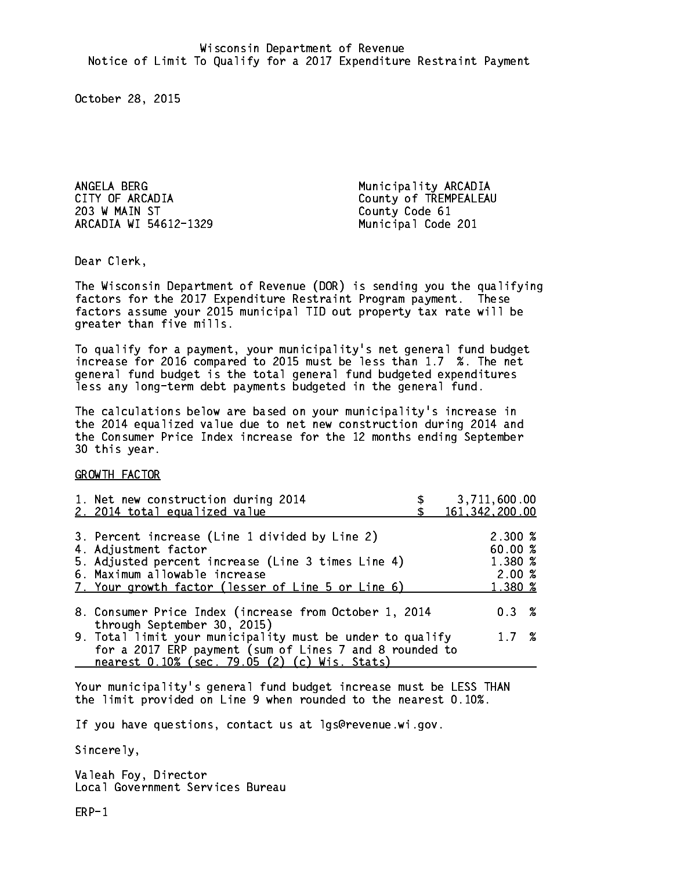ANGELA BERG **Municipality ARCADIA** 203 W MAIN ST County Code 61 ARCADIA WI 54612-1329

CITY OF ARCADIA COUNTY OF TREMPEALEAU Municipal Code 201

Dear Clerk. Dear Clerk,

The Wisconsin Department of Revenue (DOR) is sending you the qualifying factors for the 2017 Expenditure Restraint Program payment. These factors assume your 2015 municipal TID out property tax rate will be greater than five mills.

 To qualify for a payment, your municipality's net general fund budget increase for 2016 compared to 2015 must be less than 1.7 %. The net general fund budget is the total general fund budgeted expenditures less any long-term debt payments budgeted in the general fund.

The calculations below are based on your municipality's increase in the 2014 equalized value due to net new construction during 2014 and the Consumer Price Index increase for the 12 months ending September 30 this year. 30 this year. This year of the second terms of the second terms in the second terms in the second terms in the

GROWTH FACTOR

| 1. Net new construction during 2014<br>2. 2014 total equalized value                                                                                                                                                | 3,711,600.00<br>161, 342, 200.00                            |
|---------------------------------------------------------------------------------------------------------------------------------------------------------------------------------------------------------------------|-------------------------------------------------------------|
| 3. Percent increase (Line 1 divided by Line 2)<br>4. Adjustment factor<br>5. Adjusted percent increase (Line 3 times Line 4)<br>6. Maximum allowable increase<br>7. Your growth factor (lesser of Line 5 or Line 6) | $2.300 \text{ %}$<br>60.00 %<br>1.380 %<br>2.00%<br>1.380 % |
| 8. Consumer Price Index (increase from October 1, 2014<br>through September 30, 2015)                                                                                                                               | 0.3%                                                        |
| 9. Total limit your municipality must be under to qualify<br>for a 2017 ERP payment (sum of Lines 7 and 8 rounded to<br>nearest 0.10% (sec. 79.05 (2) (c) Wis. Stats)                                               | 1.7%                                                        |

Your municipality's general fund budget increase must be LESS THAN the limit provided on Line 9 when rounded to the nearest 0.10%.

If you have questions, contact us at lgs@revenue.wi.gov.

Sincerely,

Valeah Foy, Director Local Government Services Bureau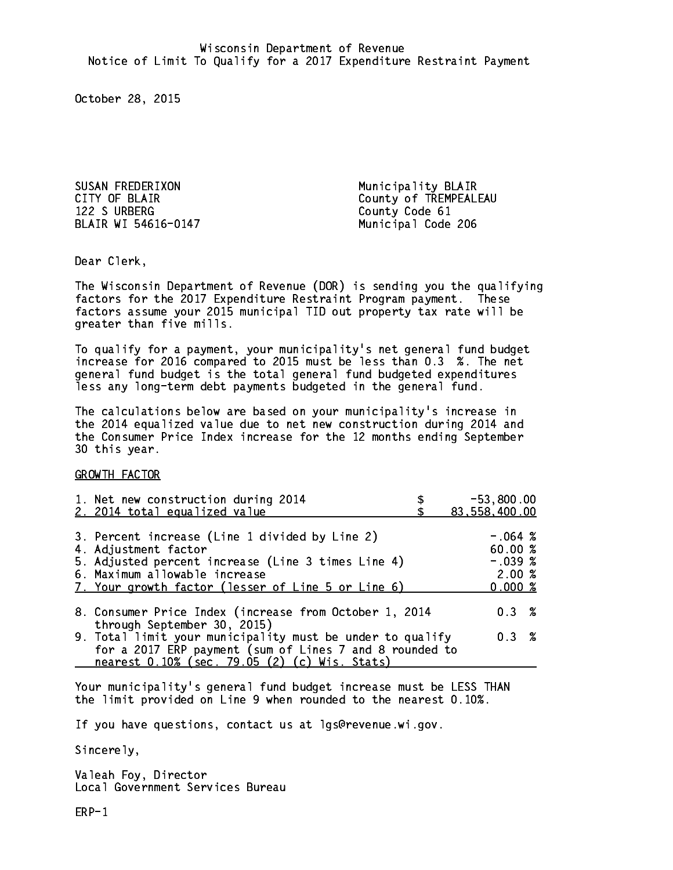SUSAN FREDERIXON Municipality BLAIR 122 S URBERG County Code 61 BLAIR WI 54616-0147 Municipal Code 206

CITY OF BLAIR COUNTY OF BLAIR

Dear Clerk. Dear Clerk,

The Wisconsin Department of Revenue (DOR) is sending you the qualifying factors for the 2017 Expenditure Restraint Program payment. These factors assume your 2015 municipal TID out property tax rate will be greater than five mills.

 To qualify for a payment, your municipality's net general fund budget increase for 2016 compared to 2015 must be less than 0.3 %. The net general fund budget is the total general fund budgeted expenditures less any long-term debt payments budgeted in the general fund.

The calculations below are based on your municipality's increase in the 2014 equalized value due to net new construction during 2014 and the Consumer Price Index increase for the 12 months ending September 30 this year. 30 this year. This year of the second terms of the second terms in the second terms in the second terms in the

GROWTH FACTOR

| 1. Net new construction during 2014<br>2. 2014 total equalized value                                                                                                                                                | $-53,800.00$<br>83,558,400.00                        |
|---------------------------------------------------------------------------------------------------------------------------------------------------------------------------------------------------------------------|------------------------------------------------------|
| 3. Percent increase (Line 1 divided by Line 2)<br>4. Adjustment factor<br>5. Adjusted percent increase (Line 3 times Line 4)<br>6. Maximum allowable increase<br>7. Your growth factor (lesser of Line 5 or Line 6) | $-.064~%$<br>60.00%<br>$-.039$ %<br>2.00%<br>0.000 % |
| 8. Consumer Price Index (increase from October 1, 2014<br>through September 30, 2015)                                                                                                                               | 0.3%                                                 |
| 9. Total limit your municipality must be under to qualify<br>for a 2017 ERP payment (sum of Lines 7 and 8 rounded to<br>nearest 0.10% (sec. 79.05 (2) (c) Wis. Stats)                                               | 0.3%                                                 |

Your municipality's general fund budget increase must be LESS THAN the limit provided on Line 9 when rounded to the nearest 0.10%.

If you have questions, contact us at lgs@revenue.wi.gov.

Sincerely,

Valeah Foy, Director Local Government Services Bureau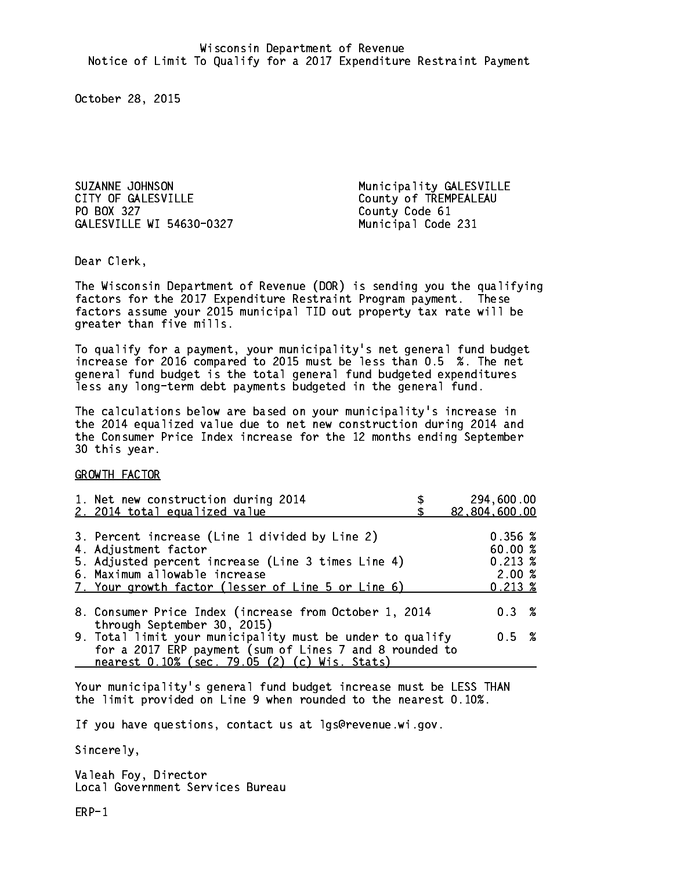SUZANNE JOHNSON Municipality GALESVILLE CITY OF GALESVILLE CITY OF GALESVILLE PO BOX 327 GALESVILLE WI 54630-0327 Municipal Code 231

County Code 61

Dear Clerk. Dear Clerk,

The Wisconsin Department of Revenue (DOR) is sending you the qualifying factors for the 2017 Expenditure Restraint Program payment. These factors assume your 2015 municipal TID out property tax rate will be greater than five mills.

 To qualify for a payment, your municipality's net general fund budget increase for 2016 compared to 2015 must be less than 0.5 %. The net general fund budget is the total general fund budgeted expenditures less any long-term debt payments budgeted in the general fund.

The calculations below are based on your municipality's increase in the 2014 equalized value due to net new construction during 2014 and the Consumer Price Index increase for the 12 months ending September 30 this year. 30 this year. This year of the second terms of the second terms in the second terms in the second terms in the

GROWTH FACTOR

| 1. Net new construction during 2014<br>2. 2014 total equalized value                                                                                                                                                | 294,600.00<br>82,804,600.00                                             |
|---------------------------------------------------------------------------------------------------------------------------------------------------------------------------------------------------------------------|-------------------------------------------------------------------------|
| 3. Percent increase (Line 1 divided by Line 2)<br>4. Adjustment factor<br>5. Adjusted percent increase (Line 3 times Line 4)<br>6. Maximum allowable increase<br>7. Your growth factor (lesser of Line 5 or Line 6) | $0.356 \; \text{\%}$<br>60.00%<br>$0.213 \;$ %<br>2.00%<br>$0.213 \; %$ |
| 8. Consumer Price Index (increase from October 1, 2014<br>through September 30, 2015)                                                                                                                               | 0.3%                                                                    |
| 9. Total limit your municipality must be under to qualify<br>for a 2017 ERP payment (sum of Lines 7 and 8 rounded to<br>nearest 0.10% (sec. 79.05 (2) (c) Wis. Stats)                                               | 0.5 %                                                                   |

Your municipality's general fund budget increase must be LESS THAN the limit provided on Line 9 when rounded to the nearest 0.10%.

If you have questions, contact us at lgs@revenue.wi.gov.

Sincerely,

Valeah Foy, Director Local Government Services Bureau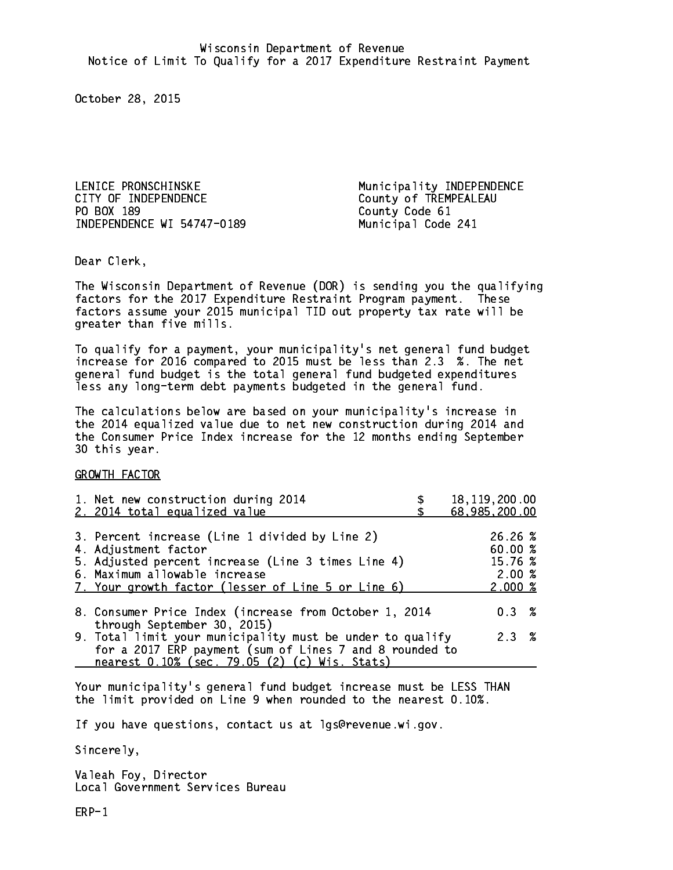LENICE PRONSCHINSKE Municipality INDEPENDENCE CITY OF INDEPENDENCE COUNTY OF TREMPEALEAU PO BOX 189 INDEPENDENCE WI 54747-0189 Municipal Code 241

County Code 61

Dear Clerk. Dear Clerk,

The Wisconsin Department of Revenue (DOR) is sending you the qualifying factors for the 2017 Expenditure Restraint Program payment. These factors assume your 2015 municipal TID out property tax rate will be greater than five mills.

 To qualify for a payment, your municipality's net general fund budget increase for 2016 compared to 2015 must be less than 2.3 %. The net general fund budget is the total general fund budgeted expenditures less any long-term debt payments budgeted in the general fund.

The calculations below are based on your municipality's increase in the 2014 equalized value due to net new construction during 2014 and the Consumer Price Index increase for the 12 months ending September 30 this year. 30 this year. This year of the second terms of the second terms in the second terms in the second terms in the

GROWTH FACTOR

| 1. Net new construction during 2014<br>2. 2014 total equalized value                                                                                                                                                | 18, 119, 200.00<br>68,985,200.00                             |
|---------------------------------------------------------------------------------------------------------------------------------------------------------------------------------------------------------------------|--------------------------------------------------------------|
| 3. Percent increase (Line 1 divided by Line 2)<br>4. Adjustment factor<br>5. Adjusted percent increase (Line 3 times Line 4)<br>6. Maximum allowable increase<br>7. Your growth factor (lesser of Line 5 or Line 6) | 26.26%<br>60.00%<br>15.76 %<br>2.00%<br>$2.000 \; \text{\%}$ |
| 8. Consumer Price Index (increase from October 1, 2014<br>through September 30, 2015)                                                                                                                               | 0.3%                                                         |
| 9. Total limit your municipality must be under to qualify<br>for a 2017 ERP payment (sum of Lines 7 and 8 rounded to<br>nearest 0.10% (sec. 79.05 (2) (c) Wis. Stats)                                               | 2.3%                                                         |

Your municipality's general fund budget increase must be LESS THAN the limit provided on Line 9 when rounded to the nearest 0.10%.

If you have questions, contact us at lgs@revenue.wi.gov.

Sincerely,

Valeah Foy, Director Local Government Services Bureau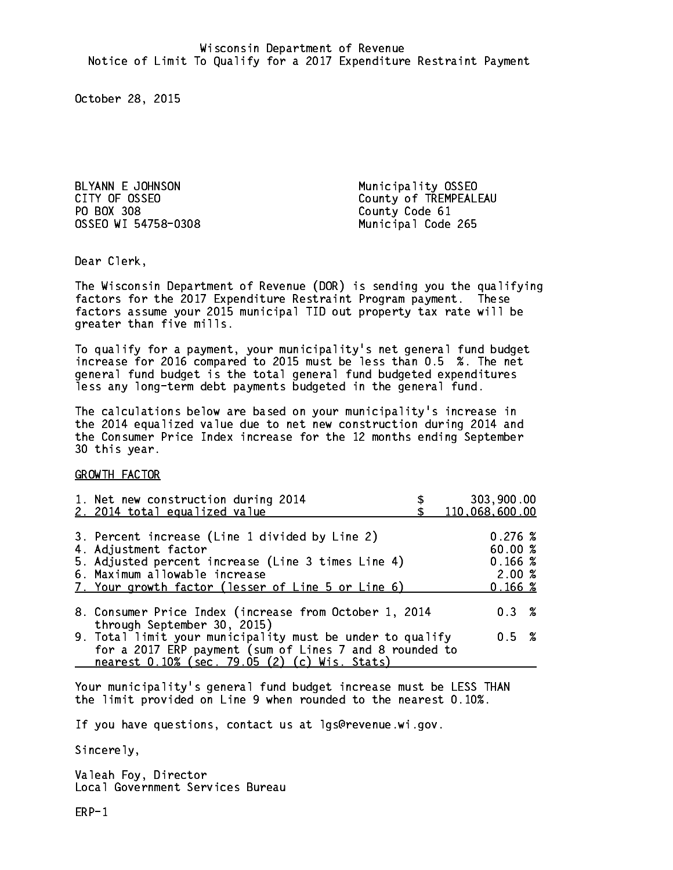BLYANN E JOHNSON Municipality OSSEO PO BOX 308 County Code 61 OSSEO WI 54758-0308 Municipal Code 265

CITY OF OSSEO COUNTY OF TREMPEALEAU

Dear Clerk. Dear Clerk,

The Wisconsin Department of Revenue (DOR) is sending you the qualifying factors for the 2017 Expenditure Restraint Program payment. These factors assume your 2015 municipal TID out property tax rate will be greater than five mills.

 To qualify for a payment, your municipality's net general fund budget increase for 2016 compared to 2015 must be less than 0.5 %. The net general fund budget is the total general fund budgeted expenditures less any long-term debt payments budgeted in the general fund.

The calculations below are based on your municipality's increase in the 2014 equalized value due to net new construction during 2014 and the Consumer Price Index increase for the 12 months ending September 30 this year. 30 this year. This year of the second terms of the second terms in the second terms in the second terms in the

GROWTH FACTOR

| 1. Net new construction during 2014<br>2. 2014 total equalized value                                                                                                                                                | 303,900.00<br>110,068,600.00                     |
|---------------------------------------------------------------------------------------------------------------------------------------------------------------------------------------------------------------------|--------------------------------------------------|
| 3. Percent increase (Line 1 divided by Line 2)<br>4. Adjustment factor<br>5. Adjusted percent increase (Line 3 times Line 4)<br>6. Maximum allowable increase<br>7. Your growth factor (lesser of Line 5 or Line 6) | 0.276~%<br>60.00%<br>0.166~%<br>2.00%<br>0.166~% |
| 8. Consumer Price Index (increase from October 1, 2014                                                                                                                                                              | 0.3%                                             |
| through September 30, 2015)<br>9. Total limit your municipality must be under to qualify<br>for a 2017 ERP payment (sum of Lines 7 and 8 rounded to<br>nearest 0.10% (sec. 79.05 (2) (c) Wis. Stats)                | 0.5 %                                            |

Your municipality's general fund budget increase must be LESS THAN the limit provided on Line 9 when rounded to the nearest 0.10%.

If you have questions, contact us at lgs@revenue.wi.gov.

Sincerely,

Valeah Foy, Director Local Government Services Bureau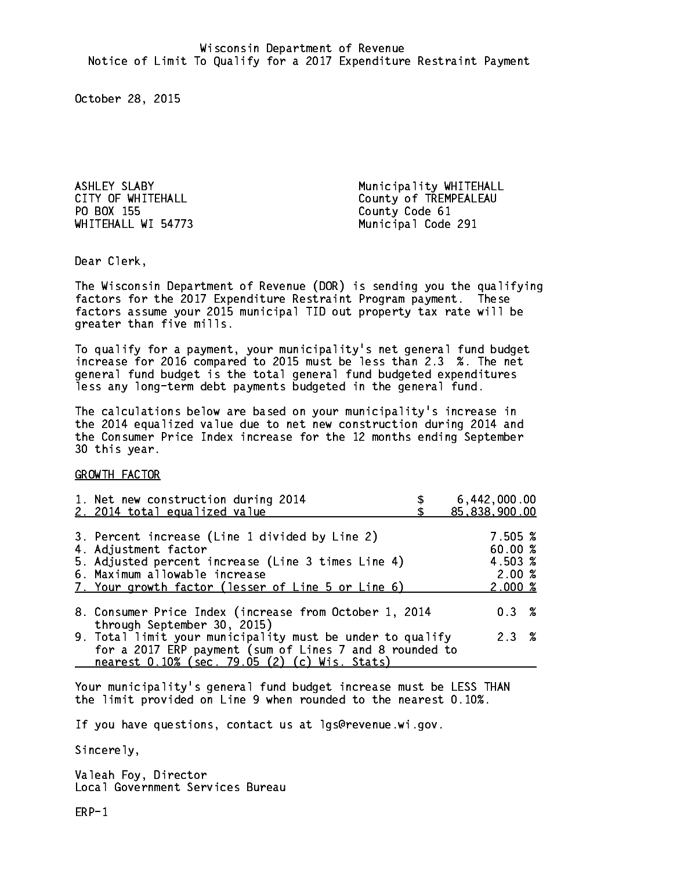PO BOX 155

ASHLEY SLABY **Municipality WHITEHALL** CITY OF WHITEHALL CITY OF WHITEHALL COUNTY OF TREMPEALEAU County Code 61 WHITEHALL WI 54773 Municipal Code 291

Dear Clerk. Dear Clerk,

The Wisconsin Department of Revenue (DOR) is sending you the qualifying factors for the 2017 Expenditure Restraint Program payment. These factors assume your 2015 municipal TID out property tax rate will be greater than five mills.

 To qualify for a payment, your municipality's net general fund budget increase for 2016 compared to 2015 must be less than 2.3 %. The net general fund budget is the total general fund budgeted expenditures less any long-term debt payments budgeted in the general fund.

The calculations below are based on your municipality's increase in the 2014 equalized value due to net new construction during 2014 and the Consumer Price Index increase for the 12 months ending September 30 this year. 30 this year. This year of the second terms of the second terms in the second terms in the second terms in the

GROWTH FACTOR

| 1. Net new construction during 2014<br>2. 2014 total equalized value                                                                                                                                                | 6,442,000.00<br>85,838,900.00                     |
|---------------------------------------------------------------------------------------------------------------------------------------------------------------------------------------------------------------------|---------------------------------------------------|
| 3. Percent increase (Line 1 divided by Line 2)<br>4. Adjustment factor<br>5. Adjusted percent increase (Line 3 times Line 4)<br>6. Maximum allowable increase<br>7. Your growth factor (lesser of Line 5 or Line 6) | 7.505 %<br>60.00 %<br>4.503 %<br>2.00%<br>2.000~% |
| 8. Consumer Price Index (increase from October 1, 2014<br>through September 30, 2015)                                                                                                                               | $0.3 \t%$                                         |
| 9. Total limit your municipality must be under to qualify<br>for a 2017 ERP payment (sum of Lines 7 and 8 rounded to<br>nearest 0.10% (sec. 79.05 (2) (c) Wis. Stats)                                               | 2.3%                                              |

Your municipality's general fund budget increase must be LESS THAN the limit provided on Line 9 when rounded to the nearest 0.10%.

If you have questions, contact us at lgs@revenue.wi.gov.

Sincerely,

Valeah Foy, Director Local Government Services Bureau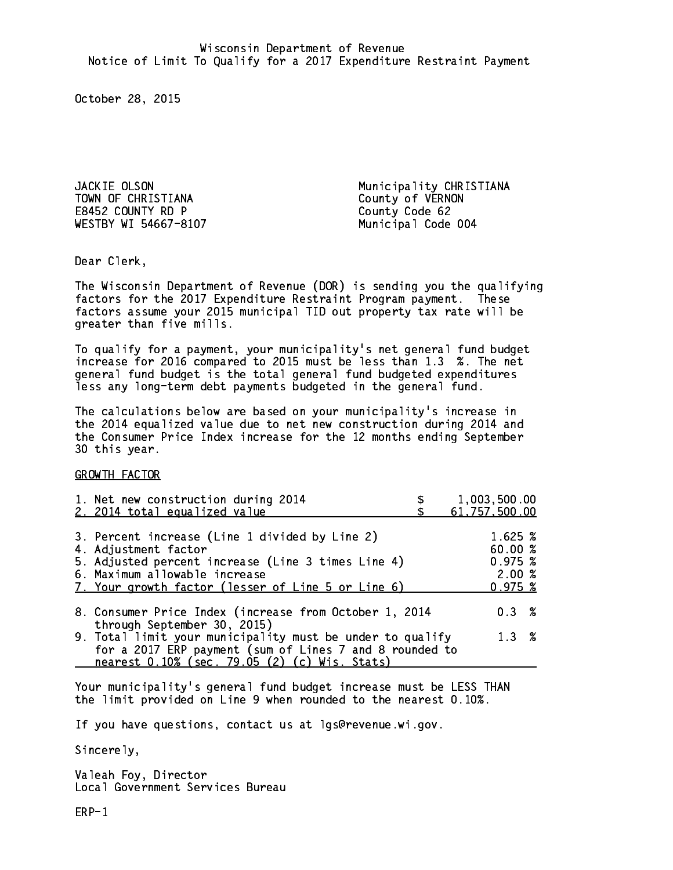TOWN OF CHRISTIANA County of VERNON E8452 COUNTY RD P County Code 62 WESTBY WI 54667-8107 Municipal Code 004

JACKIE OLSON Municipality CHRISTIANA

Dear Clerk. Dear Clerk,

The Wisconsin Department of Revenue (DOR) is sending you the qualifying factors for the 2017 Expenditure Restraint Program payment. These factors assume your 2015 municipal TID out property tax rate will be greater than five mills.

 To qualify for a payment, your municipality's net general fund budget increase for 2016 compared to 2015 must be less than 1.3 %. The net general fund budget is the total general fund budgeted expenditures less any long-term debt payments budgeted in the general fund.

The calculations below are based on your municipality's increase in the 2014 equalized value due to net new construction during 2014 and the Consumer Price Index increase for the 12 months ending September 30 this year. 30 this year. This year of the second terms of the second terms in the second terms in the second terms in the

GROWTH FACTOR

| 1. Net new construction during 2014<br>2. 2014 total equalized value                                                                                                                                                | 1,003,500.00<br>61,757,500.00                    |
|---------------------------------------------------------------------------------------------------------------------------------------------------------------------------------------------------------------------|--------------------------------------------------|
| 3. Percent increase (Line 1 divided by Line 2)<br>4. Adjustment factor<br>5. Adjusted percent increase (Line 3 times Line 4)<br>6. Maximum allowable increase<br>7. Your growth factor (lesser of Line 5 or Line 6) | 1.625 %<br>60.00%<br>0.975~%<br>2.00%<br>0.975~% |
| 8. Consumer Price Index (increase from October 1, 2014<br>through September 30, 2015)                                                                                                                               | 0.3%                                             |
| 9. Total limit your municipality must be under to qualify<br>for a 2017 ERP payment (sum of Lines 7 and 8 rounded to<br>nearest 0.10% (sec. 79.05 (2) (c) Wis. Stats)                                               | 1.3%                                             |

Your municipality's general fund budget increase must be LESS THAN the limit provided on Line 9 when rounded to the nearest 0.10%.

If you have questions, contact us at lgs@revenue.wi.gov.

Sincerely,

Valeah Foy, Director Local Government Services Bureau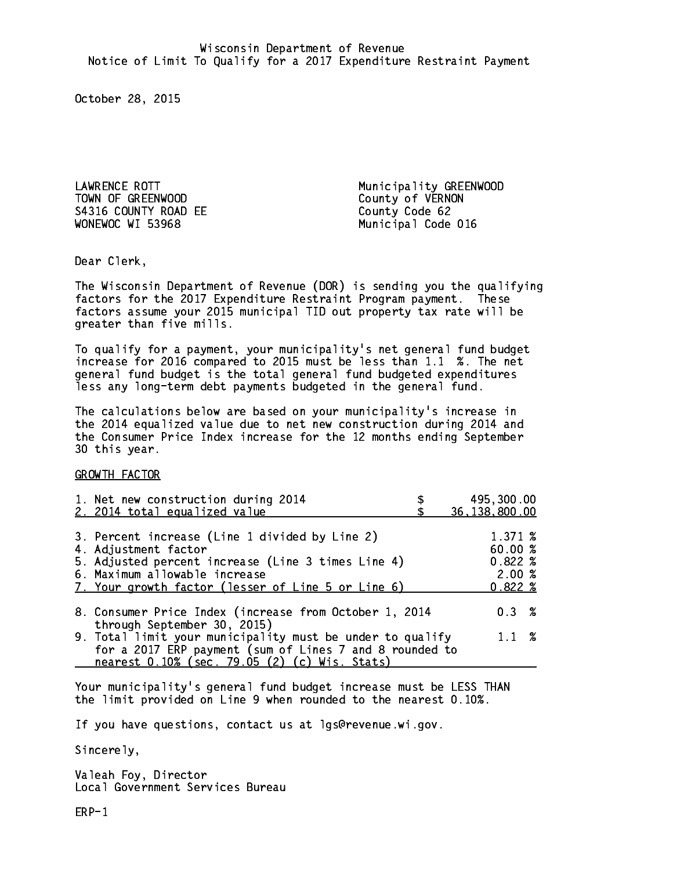TOWN OF GREENWOOD County of VERNON S4316 COUNTY ROAD EE County Code 62 WONEWOC WI 53968

LAWRENCE ROTT **Municipality GREENWOOD** Municipal Code 016

Dear Clerk. Dear Clerk,

The Wisconsin Department of Revenue (DOR) is sending you the qualifying factors for the 2017 Expenditure Restraint Program payment. These factors assume your 2015 municipal TID out property tax rate will be greater than five mills.

 To qualify for a payment, your municipality's net general fund budget increase for 2016 compared to 2015 must be less than 1.1 %. The net general fund budget is the total general fund budgeted expenditures less any long-term debt payments budgeted in the general fund.

The calculations below are based on your municipality's increase in the 2014 equalized value due to net new construction during 2014 and the Consumer Price Index increase for the 12 months ending September 30 this year. 30 this year. This year of the second terms of the second terms in the second terms in the second terms in the

GROWTH FACTOR

| 1. Net new construction during 2014<br>2. 2014 total equalized value                                                                                                                                                | 495,300.00<br>36, 138, 800.00                  |
|---------------------------------------------------------------------------------------------------------------------------------------------------------------------------------------------------------------------|------------------------------------------------|
| 3. Percent increase (Line 1 divided by Line 2)<br>4. Adjustment factor<br>5. Adjusted percent increase (Line 3 times Line 4)<br>6. Maximum allowable increase<br>7. Your growth factor (lesser of Line 5 or Line 6) | 1.371 %<br>60.00%<br>0.822%<br>2.00%<br>0.822% |
| 8. Consumer Price Index (increase from October 1, 2014                                                                                                                                                              | $0.3 \t%$                                      |
| through September 30, 2015)<br>9. Total limit your municipality must be under to qualify<br>for a 2017 ERP payment (sum of Lines 7 and 8 rounded to<br>nearest 0.10% (sec. 79.05 (2) (c) Wis. Stats)                | $1.1 \t%$                                      |

Your municipality's general fund budget increase must be LESS THAN the limit provided on Line 9 when rounded to the nearest 0.10%.

If you have questions, contact us at lgs@revenue.wi.gov.

Sincerely,

Valeah Foy, Director Local Government Services Bureau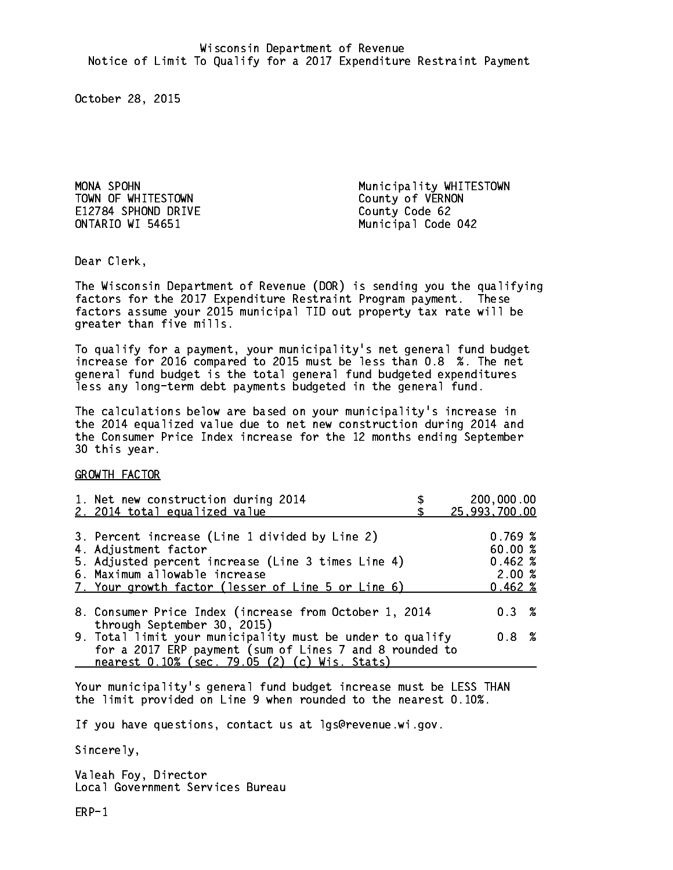TOWN OF WHITESTOWN COUNTY OF VERNON E12784 SPHOND DRIVE COUNTY Code 62 ONTARIO WI 54651

MONA SPOHN Municipality WHITESTOWN Municipal Code 042

Dear Clerk. Dear Clerk,

The Wisconsin Department of Revenue (DOR) is sending you the qualifying factors for the 2017 Expenditure Restraint Program payment. These factors assume your 2015 municipal TID out property tax rate will be greater than five mills.

 To qualify for a payment, your municipality's net general fund budget increase for 2016 compared to 2015 must be less than 0.8 %. The net general fund budget is the total general fund budgeted expenditures less any long-term debt payments budgeted in the general fund.

The calculations below are based on your municipality's increase in the 2014 equalized value due to net new construction during 2014 and the Consumer Price Index increase for the 12 months ending September 30 this year. 30 this year. This year of the second terms of the second terms in the second terms in the second terms in the

GROWTH FACTOR

| 1. Net new construction during 2014<br>2. 2014 total equalized value                                                                                                                                                | 200,000.00<br>25,993,700.00                                |
|---------------------------------------------------------------------------------------------------------------------------------------------------------------------------------------------------------------------|------------------------------------------------------------|
| 3. Percent increase (Line 1 divided by Line 2)<br>4. Adjustment factor<br>5. Adjusted percent increase (Line 3 times Line 4)<br>6. Maximum allowable increase<br>7. Your growth factor (lesser of Line 5 or Line 6) | 0.769~%<br>60.00%<br>$0.462 \; %$<br>2.00%<br>$0.462 \; %$ |
| 8. Consumer Price Index (increase from October 1, 2014                                                                                                                                                              | 0.3%                                                       |
| through September 30, 2015)<br>9. Total limit your municipality must be under to qualify<br>for a 2017 ERP payment (sum of Lines 7 and 8 rounded to<br>nearest 0.10% (sec. 79.05 (2) (c) Wis. Stats)                | 0.8 %                                                      |

Your municipality's general fund budget increase must be LESS THAN the limit provided on Line 9 when rounded to the nearest 0.10%.

If you have questions, contact us at lgs@revenue.wi.gov.

Sincerely,

Valeah Foy, Director Local Government Services Bureau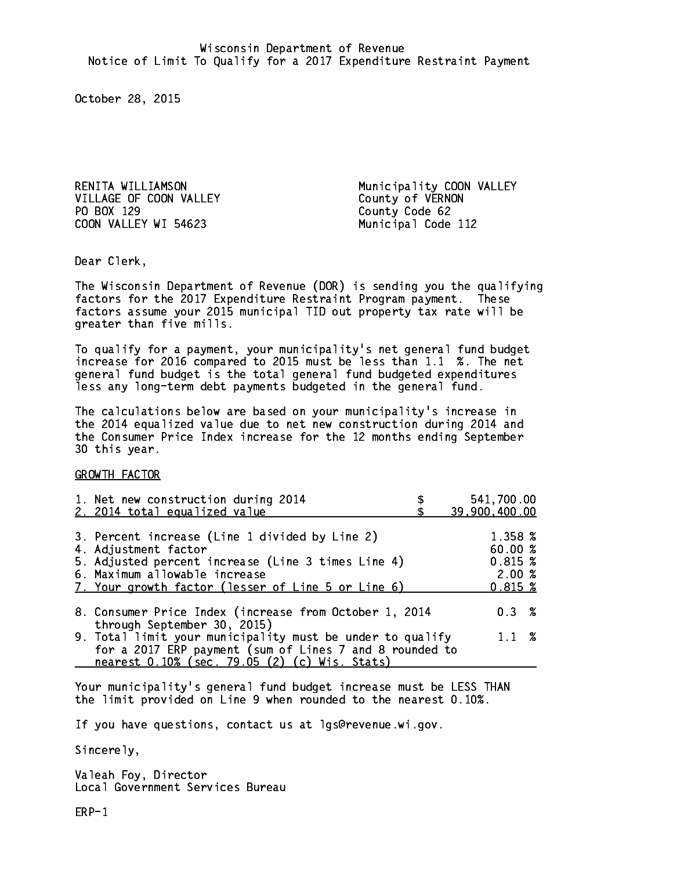VILLAGE OF COON VALLEY County of VERNON PO BOX 129 COON VALLEY WI 54623 Municipal Code 112

RENITA WILLIAMSON **Municipality COON VALLEY** County Code 62

Dear Clerk. Dear Clerk,

The Wisconsin Department of Revenue (DOR) is sending you the qualifying factors for the 2017 Expenditure Restraint Program payment. These factors assume your 2015 municipal TID out property tax rate will be greater than five mills.

 To qualify for a payment, your municipality's net general fund budget increase for 2016 compared to 2015 must be less than 1.1 %. The net general fund budget is the total general fund budgeted expenditures less any long-term debt payments budgeted in the general fund.

The calculations below are based on your municipality's increase in the 2014 equalized value due to net new construction during 2014 and the Consumer Price Index increase for the 12 months ending September 30 this year. 30 this year. This year of the second terms of the second terms in the second terms in the second terms in the

GROWTH FACTOR

| 1. Net new construction during 2014<br>2. 2014 total equalized value                                                                                                                                                | 541,700.00<br>39,900,400.00                           |
|---------------------------------------------------------------------------------------------------------------------------------------------------------------------------------------------------------------------|-------------------------------------------------------|
| 3. Percent increase (Line 1 divided by Line 2)<br>4. Adjustment factor<br>5. Adjusted percent increase (Line 3 times Line 4)<br>6. Maximum allowable increase<br>7. Your growth factor (lesser of Line 5 or Line 6) | 1.358 %<br>60.00%<br>0.815~%<br>2.00%<br>$0.815 \; %$ |
| 8. Consumer Price Index (increase from October 1, 2014<br>through September 30, 2015)                                                                                                                               | $0.3 \t%$                                             |
| 9. Total limit your municipality must be under to qualify<br>for a 2017 ERP payment (sum of Lines 7 and 8 rounded to<br>nearest 0.10% (sec. 79.05 (2) (c) Wis. Stats)                                               | $1.1 \t%$                                             |

Your municipality's general fund budget increase must be LESS THAN the limit provided on Line 9 when rounded to the nearest 0.10%.

If you have questions, contact us at lgs@revenue.wi.gov.

Sincerely,

Valeah Foy, Director Local Government Services Bureau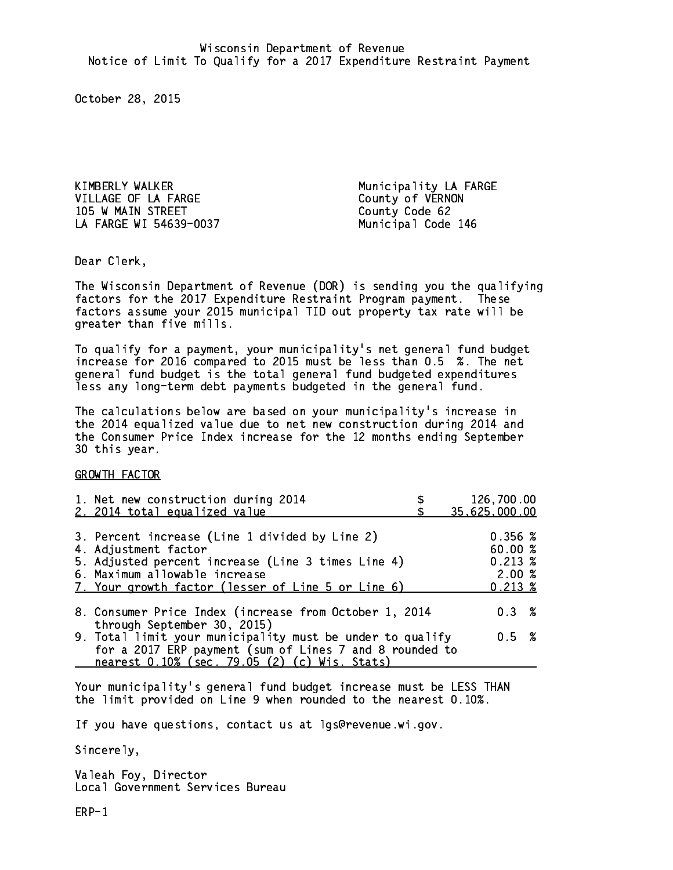KIMBERLY WALKER Municipality LA FARGE VILLAGE OF LA FARGE County of VERNON 105 W MAIN STREET County Code 62 LA FARGE WI 54639-0037 Municipal Code 146

Dear Clerk. Dear Clerk,

The Wisconsin Department of Revenue (DOR) is sending you the qualifying factors for the 2017 Expenditure Restraint Program payment. These factors assume your 2015 municipal TID out property tax rate will be greater than five mills.

 To qualify for a payment, your municipality's net general fund budget increase for 2016 compared to 2015 must be less than 0.5 %. The net general fund budget is the total general fund budgeted expenditures less any long-term debt payments budgeted in the general fund.

The calculations below are based on your municipality's increase in the 2014 equalized value due to net new construction during 2014 and the Consumer Price Index increase for the 12 months ending September 30 this year. 30 this year. This year of the second terms of the second terms in the second terms in the second terms in the

GROWTH FACTOR

| 1. Net new construction during 2014                                                                                                                                                                                 | 126,700.00                                                 |
|---------------------------------------------------------------------------------------------------------------------------------------------------------------------------------------------------------------------|------------------------------------------------------------|
| 2. 2014 total equalized value                                                                                                                                                                                       | 35,625,000.00                                              |
| 3. Percent increase (Line 1 divided by Line 2)<br>4. Adjustment factor<br>5. Adjusted percent increase (Line 3 times Line 4)<br>6. Maximum allowable increase<br>7. Your growth factor (lesser of Line 5 or Line 6) | 0.356~%<br>60.00%<br>$0.213 \;$ %<br>2.00%<br>$0.213 \; %$ |
| 8. Consumer Price Index (increase from October 1, 2014                                                                                                                                                              | $0.3 \t%$                                                  |
| through September 30, 2015)<br>9. Total limit your municipality must be under to qualify<br>for a 2017 ERP payment (sum of Lines 7 and 8 rounded to<br>nearest 0.10% (sec. 79.05 (2) (c) Wis. Stats)                | 0.5 %                                                      |

Your municipality's general fund budget increase must be LESS THAN the limit provided on Line 9 when rounded to the nearest 0.10%.

If you have questions, contact us at lgs@revenue.wi.gov.

Sincerely,

Valeah Foy, Director Local Government Services Bureau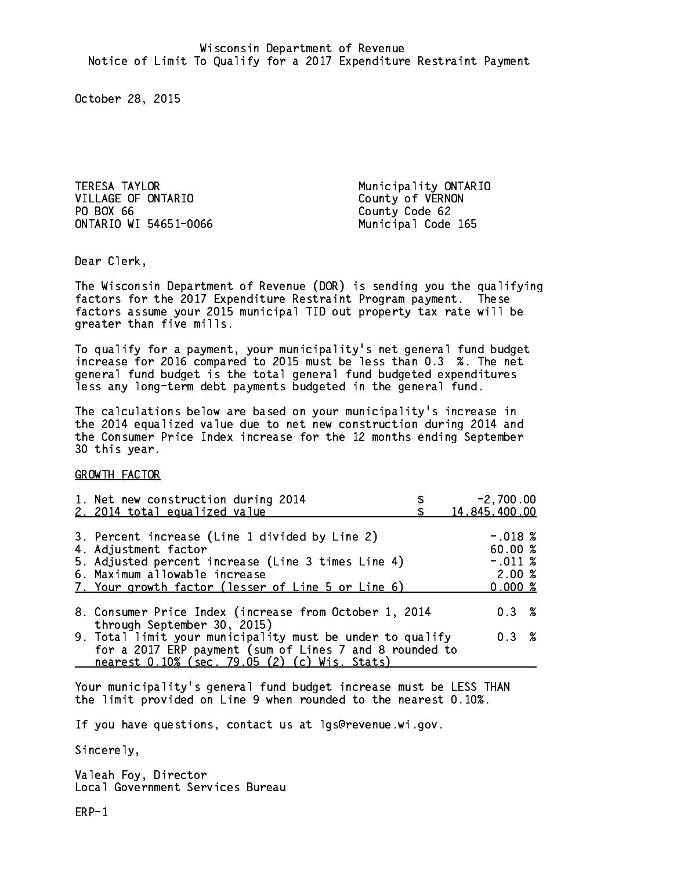TERESA TAYLOR Municipality ONTARIO VILLAGE OF ONTARIO County of VERNON PO BOX 66 ONTARIO WI 54651-0066 Municipal Code 165

County Code 62

Dear Clerk. Dear Clerk,

The Wisconsin Department of Revenue (DOR) is sending you the qualifying factors for the 2017 Expenditure Restraint Program payment. These factors assume your 2015 municipal TID out property tax rate will be greater than five mills.

 To qualify for a payment, your municipality's net general fund budget increase for 2016 compared to 2015 must be less than 0.3 %. The net general fund budget is the total general fund budgeted expenditures less any long-term debt payments budgeted in the general fund.

The calculations below are based on your municipality's increase in the 2014 equalized value due to net new construction during 2014 and the Consumer Price Index increase for the 12 months ending September 30 this year. 30 this year. This year of the second terms of the second terms in the second terms in the second terms in the

GROWTH FACTOR

| 1. Net new construction during 2014<br>2. 2014 total equalized value                                                                                                                                                | $-2,700.00$<br>14,845,400.00                         |
|---------------------------------------------------------------------------------------------------------------------------------------------------------------------------------------------------------------------|------------------------------------------------------|
| 3. Percent increase (Line 1 divided by Line 2)<br>4. Adjustment factor<br>5. Adjusted percent increase (Line 3 times Line 4)<br>6. Maximum allowable increase<br>7. Your growth factor (lesser of Line 5 or Line 6) | $-.018$ %<br>60.00%<br>$-.011~%$<br>2.00%<br>0.000 % |
| 8. Consumer Price Index (increase from October 1, 2014<br>through September 30, 2015)                                                                                                                               | 0.3%                                                 |
| 9. Total limit your municipality must be under to qualify<br>for a 2017 ERP payment (sum of Lines 7 and 8 rounded to<br>nearest 0.10% (sec. 79.05 (2) (c) Wis. Stats)                                               | 0.3%                                                 |

Your municipality's general fund budget increase must be LESS THAN the limit provided on Line 9 when rounded to the nearest 0.10%.

If you have questions, contact us at lgs@revenue.wi.gov.

Sincerely,

Valeah Foy, Director Local Government Services Bureau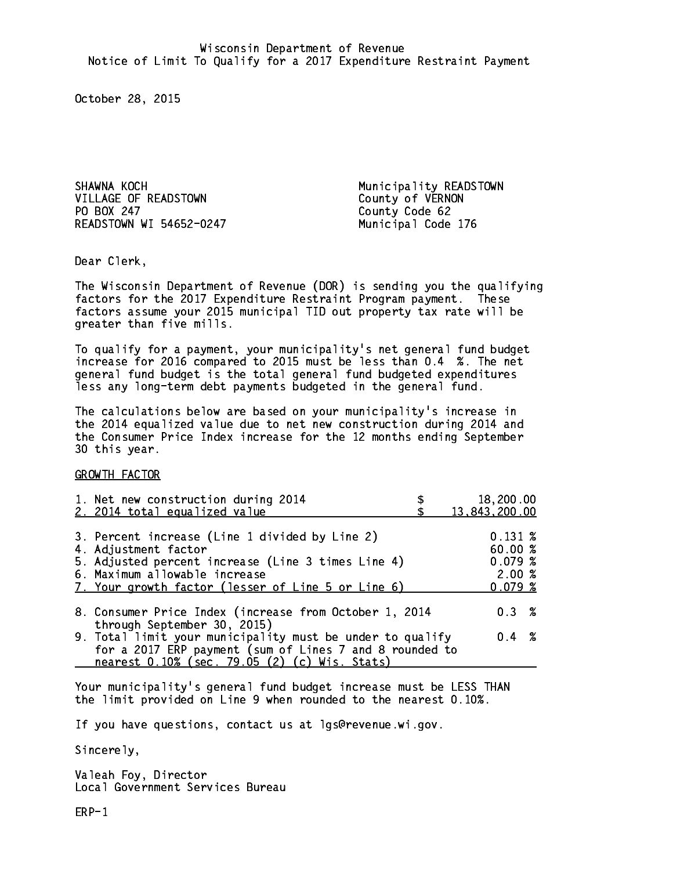SHAWNA KOCH **Municipality READSTOWN** VILLAGE OF READSTOWN County of VERNON PO BOX 247 READSTOWN WI 54652-0247 Municipal Code 176

County Code 62

Dear Clerk. Dear Clerk,

The Wisconsin Department of Revenue (DOR) is sending you the qualifying factors for the 2017 Expenditure Restraint Program payment. These factors assume your 2015 municipal TID out property tax rate will be greater than five mills.

 To qualify for a payment, your municipality's net general fund budget increase for 2016 compared to 2015 must be less than 0.4 %. The net general fund budget is the total general fund budgeted expenditures less any long-term debt payments budgeted in the general fund.

The calculations below are based on your municipality's increase in the 2014 equalized value due to net new construction during 2014 and the Consumer Price Index increase for the 12 months ending September 30 this year. 30 this year. This year of the second terms of the second terms in the second terms in the second terms in the

GROWTH FACTOR

| 1. Net new construction during 2014                                                                                                                                                                                 | 18,200.00                                             |
|---------------------------------------------------------------------------------------------------------------------------------------------------------------------------------------------------------------------|-------------------------------------------------------|
| 2. 2014 total equalized value                                                                                                                                                                                       | 13,843,200.00                                         |
| 3. Percent increase (Line 1 divided by Line 2)<br>4. Adjustment factor<br>5. Adjusted percent increase (Line 3 times Line 4)<br>6. Maximum allowable increase<br>7. Your growth factor (lesser of Line 5 or Line 6) | $0.131 \;$ %<br>60.00%<br>0.079~%<br>2.00%<br>0.079~% |
| 8. Consumer Price Index (increase from October 1, 2014                                                                                                                                                              | $0.3 \t%$                                             |
| through September 30, 2015)<br>9. Total limit your municipality must be under to qualify<br>for a 2017 ERP payment (sum of Lines 7 and 8 rounded to<br>nearest 0.10% (sec. 79.05 (2) (c) Wis. Stats)                | $0.4 \t%$                                             |

Your municipality's general fund budget increase must be LESS THAN the limit provided on Line 9 when rounded to the nearest 0.10%.

If you have questions, contact us at lgs@revenue.wi.gov.

Sincerely,

Valeah Foy, Director Local Government Services Bureau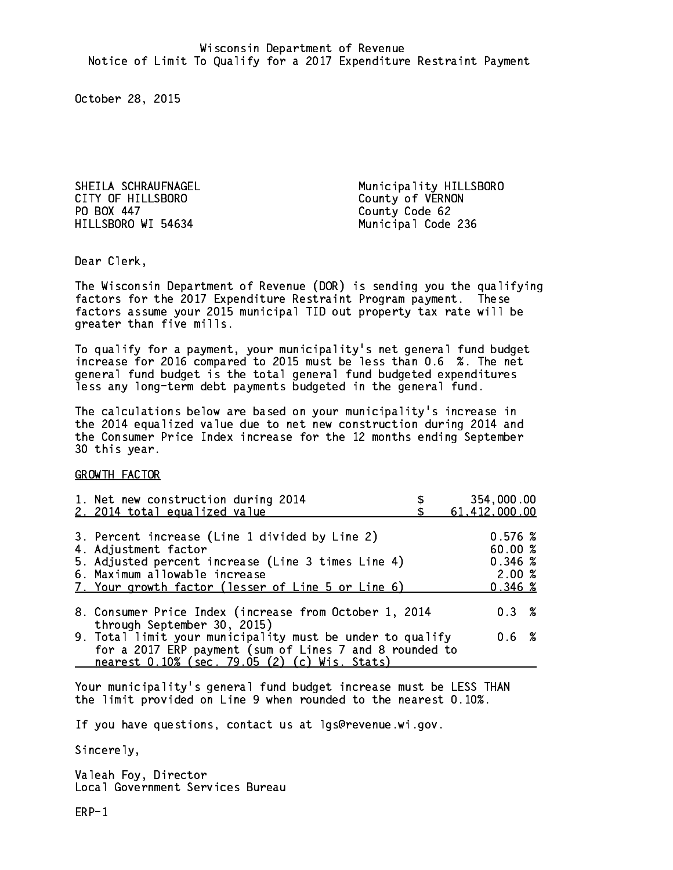CITY OF HILLSBORO COUNTY OF WERNON PO BOX 447 HILLSBORO WI 54634 Municipal Code 236

SHEILA SCHRAUFNAGEL **Municipality HILLSBORO** County Code 62

Dear Clerk. Dear Clerk,

The Wisconsin Department of Revenue (DOR) is sending you the qualifying factors for the 2017 Expenditure Restraint Program payment. These factors assume your 2015 municipal TID out property tax rate will be greater than five mills.

 To qualify for a payment, your municipality's net general fund budget increase for 2016 compared to 2015 must be less than 0.6 %. The net general fund budget is the total general fund budgeted expenditures less any long-term debt payments budgeted in the general fund.

The calculations below are based on your municipality's increase in the 2014 equalized value due to net new construction during 2014 and the Consumer Price Index increase for the 12 months ending September 30 this year. 30 this year. This year of the second terms of the second terms in the second terms in the second terms in the

GROWTH FACTOR

| 1. Net new construction during 2014<br>2. 2014 total equalized value                                                                                                                                                | 354,000.00<br>61,412,000.00                      |
|---------------------------------------------------------------------------------------------------------------------------------------------------------------------------------------------------------------------|--------------------------------------------------|
| 3. Percent increase (Line 1 divided by Line 2)<br>4. Adjustment factor<br>5. Adjusted percent increase (Line 3 times Line 4)<br>6. Maximum allowable increase<br>7. Your growth factor (lesser of Line 5 or Line 6) | 0.576%<br>60.00 %<br>0.346~%<br>2.00%<br>0.346~% |
| 8. Consumer Price Index (increase from October 1, 2014<br>through September 30, 2015)                                                                                                                               | 0.3%                                             |
| 9. Total limit your municipality must be under to qualify<br>for a 2017 ERP payment (sum of Lines 7 and 8 rounded to<br>nearest 0.10% (sec. 79.05 (2) (c) Wis. Stats)                                               | 0.6 %                                            |

Your municipality's general fund budget increase must be LESS THAN the limit provided on Line 9 when rounded to the nearest 0.10%.

If you have questions, contact us at lgs@revenue.wi.gov.

Sincerely,

Valeah Foy, Director Local Government Services Bureau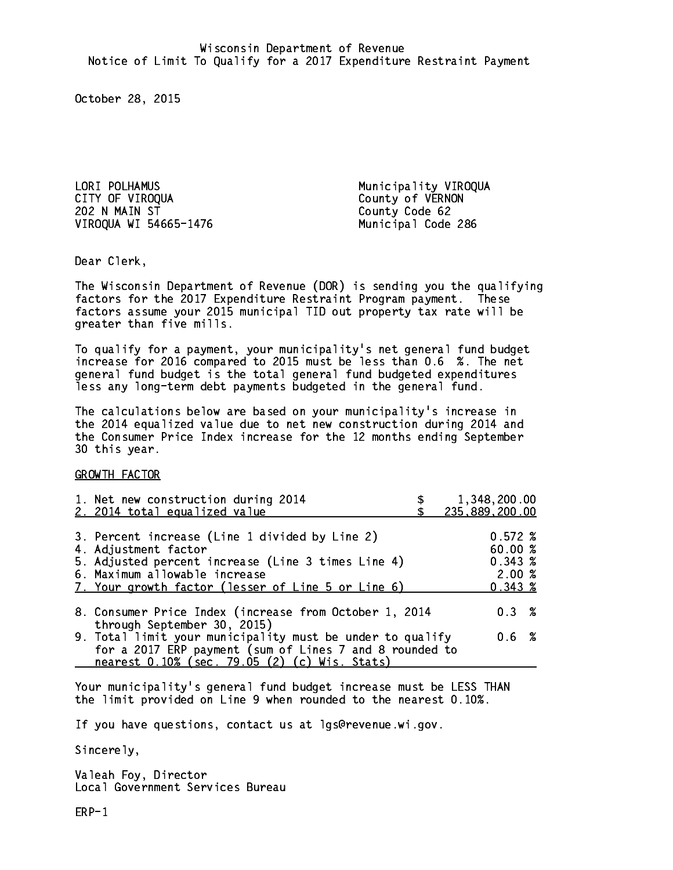LORI POLHAMUS Municipality VIROQUA 202 N MAIN ST County Code 62 VIROQUA WI 54665-1476 Municipal Code 286

County of VERNON

Dear Clerk. Dear Clerk,

The Wisconsin Department of Revenue (DOR) is sending you the qualifying factors for the 2017 Expenditure Restraint Program payment. These factors assume your 2015 municipal TID out property tax rate will be greater than five mills.

 To qualify for a payment, your municipality's net general fund budget increase for 2016 compared to 2015 must be less than 0.6 %. The net general fund budget is the total general fund budgeted expenditures less any long-term debt payments budgeted in the general fund.

The calculations below are based on your municipality's increase in the 2014 equalized value due to net new construction during 2014 and the Consumer Price Index increase for the 12 months ending September 30 this year. 30 this year. This year of the second terms of the second terms in the second terms in the second terms in the

GROWTH FACTOR

| 1. Net new construction during 2014<br>2. 2014 total equalized value                                                                                                                                                | 1,348,200.00<br>235,889,200.00                        |
|---------------------------------------------------------------------------------------------------------------------------------------------------------------------------------------------------------------------|-------------------------------------------------------|
| 3. Percent increase (Line 1 divided by Line 2)<br>4. Adjustment factor<br>5. Adjusted percent increase (Line 3 times Line 4)<br>6. Maximum allowable increase<br>7. Your growth factor (lesser of Line 5 or Line 6) | $0.572 \;$ %<br>60.00%<br>0.343~%<br>2.00%<br>0.343~% |
| 8. Consumer Price Index (increase from October 1, 2014                                                                                                                                                              | $0.3 \t%$                                             |
| through September 30, 2015)<br>9. Total limit your municipality must be under to qualify<br>for a 2017 ERP payment (sum of Lines 7 and 8 rounded to<br>nearest 0.10% (sec. 79.05 (2) (c) Wis. Stats)                | 0.6 %                                                 |

Your municipality's general fund budget increase must be LESS THAN the limit provided on Line 9 when rounded to the nearest 0.10%.

If you have questions, contact us at lgs@revenue.wi.gov.

Sincerely,

Valeah Foy, Director Local Government Services Bureau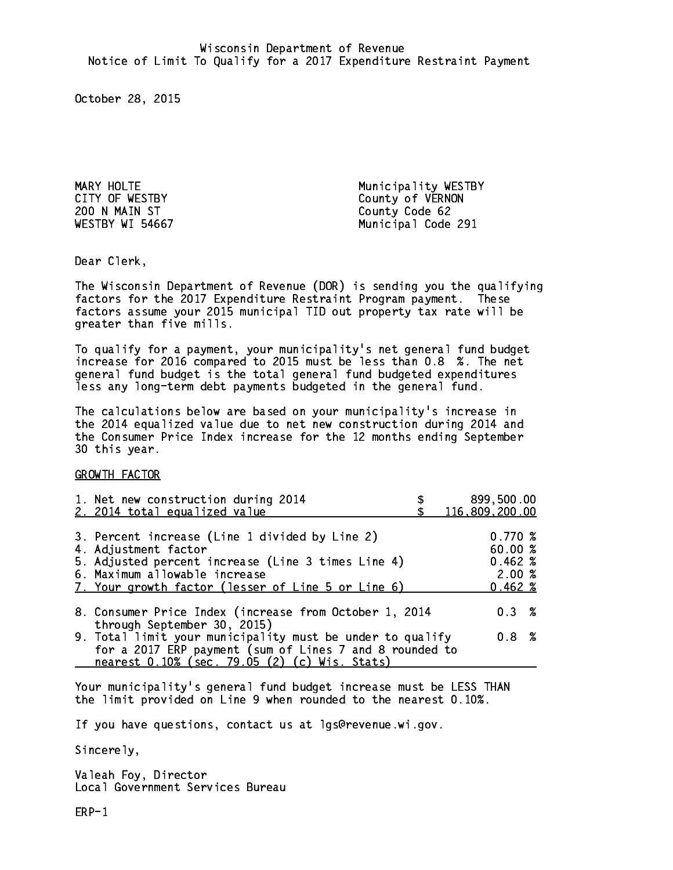200 N MAIN ST County Code 62

MARY HOLTE MARY HOLTE CITY OF WESTBY COUNTY OF WESTBY WESTBY WI 54667 Municipal Code 291

Dear Clerk. Dear Clerk,

The Wisconsin Department of Revenue (DOR) is sending you the qualifying factors for the 2017 Expenditure Restraint Program payment. These factors assume your 2015 municipal TID out property tax rate will be greater than five mills.

 To qualify for a payment, your municipality's net general fund budget increase for 2016 compared to 2015 must be less than 0.8 %. The net general fund budget is the total general fund budgeted expenditures less any long-term debt payments budgeted in the general fund.

The calculations below are based on your municipality's increase in the 2014 equalized value due to net new construction during 2014 and the Consumer Price Index increase for the 12 months ending September 30 this year. 30 this year. This year of the second terms of the second terms in the second terms in the second terms in the

GROWTH FACTOR

| 1. Net new construction during 2014<br>2. 2014 total equalized value                                                                                                                                                | 899,500.00<br>116,809,200.00                               |
|---------------------------------------------------------------------------------------------------------------------------------------------------------------------------------------------------------------------|------------------------------------------------------------|
| 3. Percent increase (Line 1 divided by Line 2)<br>4. Adjustment factor<br>5. Adjusted percent increase (Line 3 times Line 4)<br>6. Maximum allowable increase<br>7. Your growth factor (lesser of Line 5 or Line 6) | 0.770~%<br>60.00%<br>$0.462 \; %$<br>2.00%<br>$0.462 \; %$ |
| 8. Consumer Price Index (increase from October 1, 2014                                                                                                                                                              | 0.3%                                                       |
| through September 30, 2015)<br>9. Total limit your municipality must be under to qualify<br>for a 2017 ERP payment (sum of Lines 7 and 8 rounded to<br>nearest 0.10% (sec. 79.05 (2) (c) Wis. Stats)                | 0.8 %                                                      |

Your municipality's general fund budget increase must be LESS THAN the limit provided on Line 9 when rounded to the nearest 0.10%.

If you have questions, contact us at lgs@revenue.wi.gov.

Sincerely,

Valeah Foy, Director Local Government Services Bureau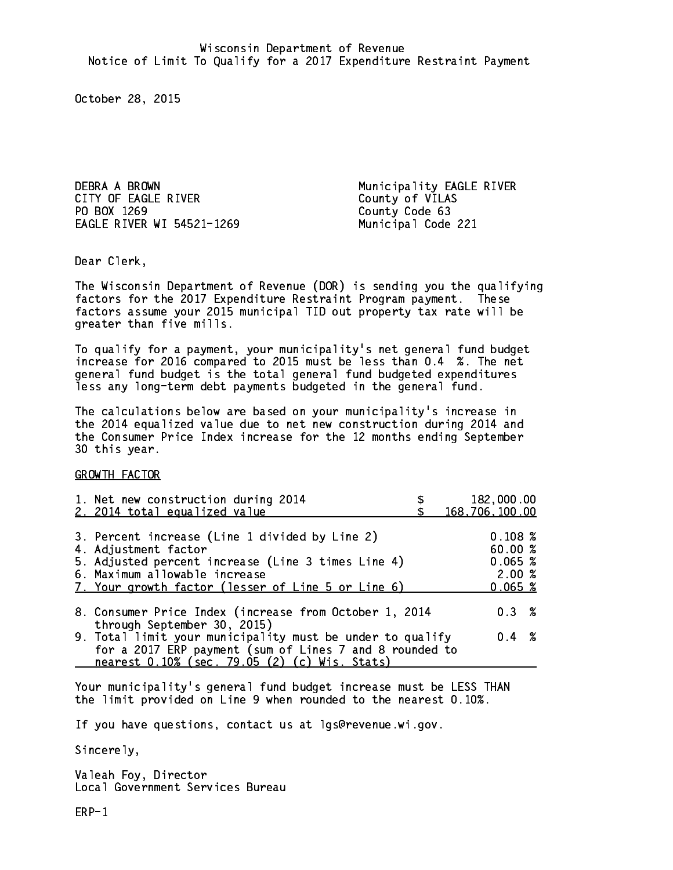DEBRA A BROWN Municipality EAGLE RIVER CITY OF EAGLE RIVER COUNTY OF VILAS PO BOX 1269 County Code 63 EAGLE RIVER WI 54521-1269 Municipal Code 221

Dear Clerk. Dear Clerk,

The Wisconsin Department of Revenue (DOR) is sending you the qualifying factors for the 2017 Expenditure Restraint Program payment. These factors assume your 2015 municipal TID out property tax rate will be greater than five mills.

 To qualify for a payment, your municipality's net general fund budget increase for 2016 compared to 2015 must be less than 0.4 %. The net general fund budget is the total general fund budgeted expenditures less any long-term debt payments budgeted in the general fund.

The calculations below are based on your municipality's increase in the 2014 equalized value due to net new construction during 2014 and the Consumer Price Index increase for the 12 months ending September 30 this year. 30 this year. This year of the second terms of the second terms in the second terms in the second terms in the

GROWTH FACTOR

| 1. Net new construction during 2014<br>2. 2014 total equalized value                                                                                                                                                | 182,000.00<br>168,706,100.00                     |
|---------------------------------------------------------------------------------------------------------------------------------------------------------------------------------------------------------------------|--------------------------------------------------|
| 3. Percent increase (Line 1 divided by Line 2)<br>4. Adjustment factor<br>5. Adjusted percent increase (Line 3 times Line 4)<br>6. Maximum allowable increase<br>7. Your growth factor (lesser of Line 5 or Line 6) | 0.108~%<br>60.00%<br>0.065~%<br>2.00%<br>0.065~% |
| 8. Consumer Price Index (increase from October 1, 2014                                                                                                                                                              | 0.3%                                             |
| through September 30, 2015)<br>9. Total limit your municipality must be under to qualify<br>for a 2017 ERP payment (sum of Lines 7 and 8 rounded to<br>nearest 0.10% (sec. 79.05 (2) (c) Wis. Stats)                | $0.4 \t%$                                        |

Your municipality's general fund budget increase must be LESS THAN the limit provided on Line 9 when rounded to the nearest 0.10%.

If you have questions, contact us at lgs@revenue.wi.gov.

Sincerely,

Valeah Foy, Director Local Government Services Bureau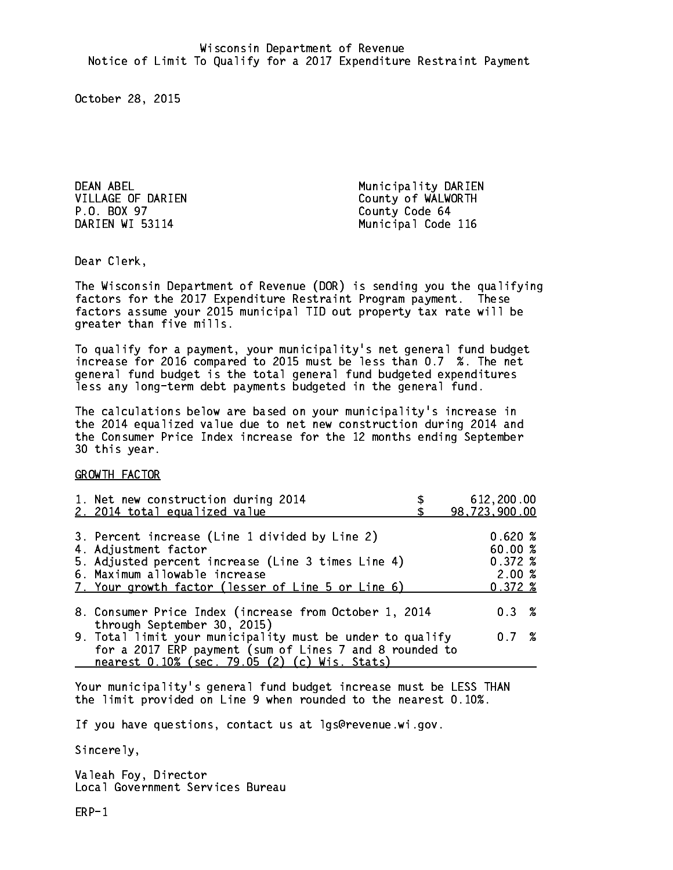DEAN ABEL **Municipality DARIEN** P.O. BOX 97 DARIEN WI 53114

VILLAGE OF DARIEN County of WALWORTH County Code 64 Municipal Code 116

Dear Clerk. Dear Clerk,

The Wisconsin Department of Revenue (DOR) is sending you the qualifying factors for the 2017 Expenditure Restraint Program payment. These factors assume your 2015 municipal TID out property tax rate will be greater than five mills.

 To qualify for a payment, your municipality's net general fund budget increase for 2016 compared to 2015 must be less than 0.7 %. The net general fund budget is the total general fund budgeted expenditures less any long-term debt payments budgeted in the general fund.

The calculations below are based on your municipality's increase in the 2014 equalized value due to net new construction during 2014 and the Consumer Price Index increase for the 12 months ending September 30 this year. 30 this year. This year of the second terms of the second terms in the second terms in the second terms in the

GROWTH FACTOR

| 1. Net new construction during 2014<br>2. 2014 total equalized value                                                                                                                                                | 612,200.00<br>98,723,900.00                         |
|---------------------------------------------------------------------------------------------------------------------------------------------------------------------------------------------------------------------|-----------------------------------------------------|
| 3. Percent increase (Line 1 divided by Line 2)<br>4. Adjustment factor<br>5. Adjusted percent increase (Line 3 times Line 4)<br>6. Maximum allowable increase<br>7. Your growth factor (lesser of Line 5 or Line 6) | 0.620%<br>60.00%<br>0.372%<br>2.00%<br>$0.372 \; %$ |
| 8. Consumer Price Index (increase from October 1, 2014<br>through September 30, 2015)                                                                                                                               | $0.3 \t%$                                           |
| 9. Total limit your municipality must be under to qualify<br>for a 2017 ERP payment (sum of Lines 7 and 8 rounded to<br>nearest 0.10% (sec. 79.05 (2) (c) Wis. Stats)                                               | 0.7%                                                |

Your municipality's general fund budget increase must be LESS THAN the limit provided on Line 9 when rounded to the nearest 0.10%.

If you have questions, contact us at lgs@revenue.wi.gov.

Sincerely,

Valeah Foy, Director Local Government Services Bureau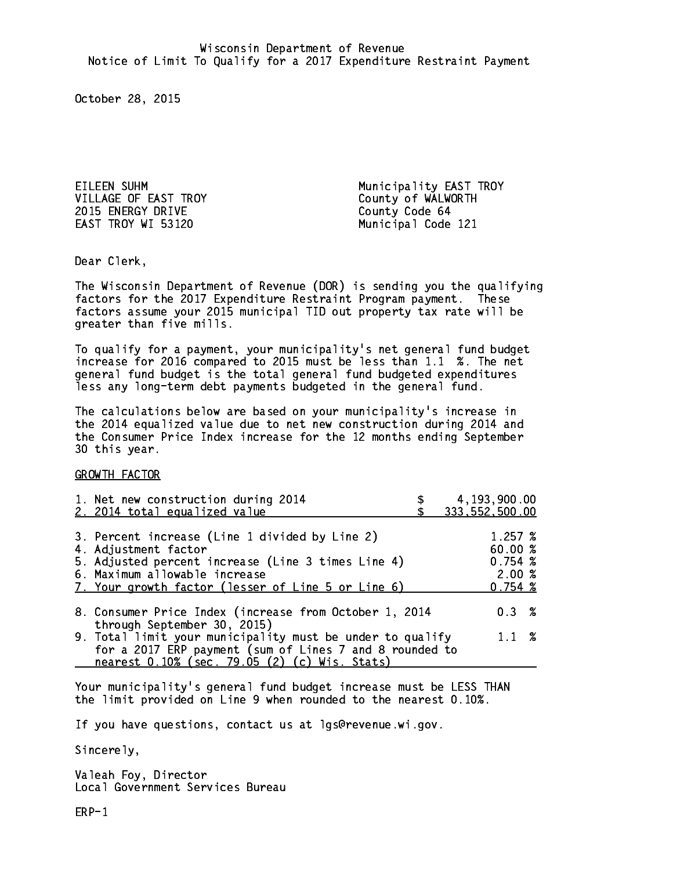2015 ENERGY DRIVE **COUNTY** County Code 64 EAST TROY WI 53120 Municipal Code 121

EILEEN SUHM Municipality EAST TROY County of WALWORTH

Dear Clerk. Dear Clerk,

The Wisconsin Department of Revenue (DOR) is sending you the qualifying factors for the 2017 Expenditure Restraint Program payment. These factors assume your 2015 municipal TID out property tax rate will be greater than five mills.

 To qualify for a payment, your municipality's net general fund budget increase for 2016 compared to 2015 must be less than 1.1 %. The net general fund budget is the total general fund budgeted expenditures less any long-term debt payments budgeted in the general fund.

The calculations below are based on your municipality's increase in the 2014 equalized value due to net new construction during 2014 and the Consumer Price Index increase for the 12 months ending September 30 this year. 30 this year.

GROWTH FACTOR

| 1. Net new construction during 2014<br>2. 2014 total equalized value                                                                                                                                                | 4, 193, 900.00<br>333, 552, 500.00                |
|---------------------------------------------------------------------------------------------------------------------------------------------------------------------------------------------------------------------|---------------------------------------------------|
| 3. Percent increase (Line 1 divided by Line 2)<br>4. Adjustment factor<br>5. Adjusted percent increase (Line 3 times Line 4)<br>6. Maximum allowable increase<br>7. Your growth factor (lesser of Line 5 or Line 6) | 1.257~%<br>60.00 %<br>0.754~%<br>2.00%<br>0.754~% |
| 8. Consumer Price Index (increase from October 1, 2014<br>through September 30, 2015)<br>9. Total limit your municipality must be under to qualify<br>for a 2017 ERP payment (sum of Lines 7 and 8 rounded to       | $0.3 \t%$<br>$1.1 \t%$                            |
| nearest 0.10% (sec. 79.05 (2) (c) Wis. Stats)                                                                                                                                                                       |                                                   |

Your municipality's general fund budget increase must be LESS THAN the limit provided on Line 9 when rounded to the nearest 0.10%.

If you have questions, contact us at lgs@revenue.wi.gov.

Sincerely,

Valeah Foy, Director Local Government Services Bureau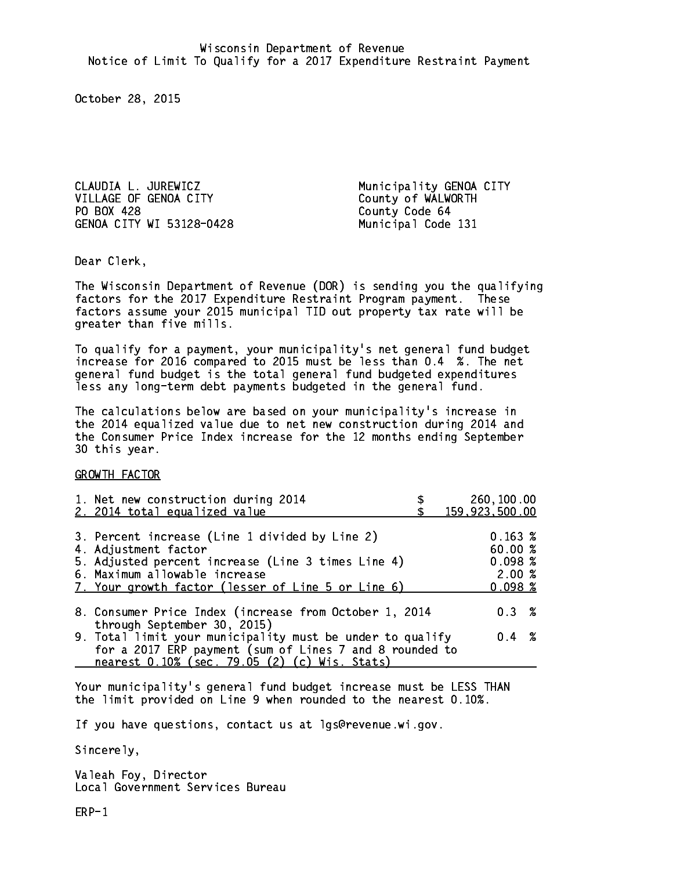CLAUDIA L. JUREWICZ Municipality GENOA CITY VILLAGE OF GENOA CITY County of WALWORTH PO BOX 428 GENOA CITY WI 53128-0428 Municipal Code 131

County Code 64

Dear Clerk. Dear Clerk,

The Wisconsin Department of Revenue (DOR) is sending you the qualifying factors for the 2017 Expenditure Restraint Program payment. These factors assume your 2015 municipal TID out property tax rate will be greater than five mills.

 To qualify for a payment, your municipality's net general fund budget increase for 2016 compared to 2015 must be less than 0.4 %. The net general fund budget is the total general fund budgeted expenditures less any long-term debt payments budgeted in the general fund.

The calculations below are based on your municipality's increase in the 2014 equalized value due to net new construction during 2014 and the Consumer Price Index increase for the 12 months ending September 30 this year. 30 this year.

GROWTH FACTOR

| 1. Net new construction during 2014<br>2. 2014 total equalized value                                                                                                                                                | 260,100.00<br>159,923,500.00                     |
|---------------------------------------------------------------------------------------------------------------------------------------------------------------------------------------------------------------------|--------------------------------------------------|
| 3. Percent increase (Line 1 divided by Line 2)<br>4. Adjustment factor<br>5. Adjusted percent increase (Line 3 times Line 4)<br>6. Maximum allowable increase<br>7. Your growth factor (lesser of Line 5 or Line 6) | 0.163~%<br>60.00%<br>0.098~%<br>2.00%<br>0.098~% |
| 8. Consumer Price Index (increase from October 1, 2014                                                                                                                                                              | $0.3 \t%$                                        |
| through September 30, 2015)<br>9. Total limit your municipality must be under to qualify<br>for a 2017 ERP payment (sum of Lines 7 and 8 rounded to<br>nearest 0.10% (sec. 79.05 (2) (c) Wis. Stats)                | $0.4 \t%$                                        |

Your municipality's general fund budget increase must be LESS THAN the limit provided on Line 9 when rounded to the nearest 0.10%.

If you have questions, contact us at lgs@revenue.wi.gov.

Sincerely,

Valeah Foy, Director Local Government Services Bureau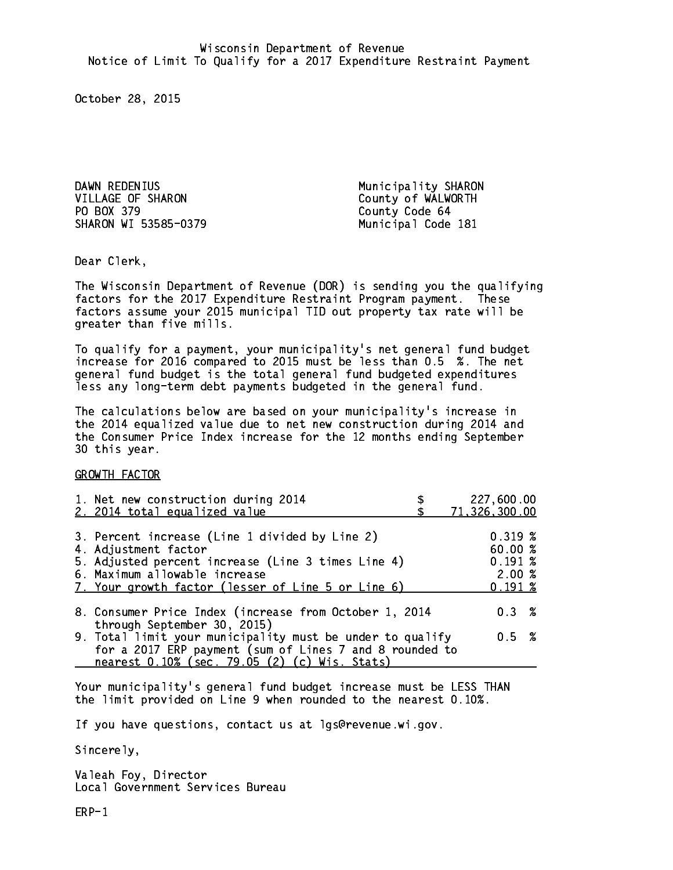DAWN REDENIUS **Municipality SHARON** VILLAGE OF SHARON County of WALWORTH PO BOX 379 County Code 64 SHARON WI 53585-0379 Municipal Code 181

Dear Clerk. Dear Clerk,

The Wisconsin Department of Revenue (DOR) is sending you the qualifying factors for the 2017 Expenditure Restraint Program payment. These factors assume your 2015 municipal TID out property tax rate will be greater than five mills.

 To qualify for a payment, your municipality's net general fund budget increase for 2016 compared to 2015 must be less than 0.5 %. The net general fund budget is the total general fund budgeted expenditures less any long-term debt payments budgeted in the general fund.

The calculations below are based on your municipality's increase in the 2014 equalized value due to net new construction during 2014 and the Consumer Price Index increase for the 12 months ending September 30 this year. 30 this year.

GROWTH FACTOR

| 1. Net new construction during 2014<br>2. 2014 total equalized value                                                                                                                                                | 227,600.00<br>71,326,300.00                     |
|---------------------------------------------------------------------------------------------------------------------------------------------------------------------------------------------------------------------|-------------------------------------------------|
| 3. Percent increase (Line 1 divided by Line 2)<br>4. Adjustment factor<br>5. Adjusted percent increase (Line 3 times Line 4)<br>6. Maximum allowable increase<br>7. Your growth factor (lesser of Line 5 or Line 6) | 0.319~%<br>60.00%<br>0.191~%<br>2.00%<br>0.191% |
| 8. Consumer Price Index (increase from October 1, 2014                                                                                                                                                              | 0.3%                                            |
| through September 30, 2015)<br>9. Total limit your municipality must be under to qualify<br>for a 2017 ERP payment (sum of Lines 7 and 8 rounded to<br>nearest 0.10% (sec. 79.05 (2) (c) Wis. Stats)                | 0.5 %                                           |

Your municipality's general fund budget increase must be LESS THAN the limit provided on Line 9 when rounded to the nearest 0.10%.

If you have questions, contact us at lgs@revenue.wi.gov.

Sincerely,

Valeah Foy, Director Local Government Services Bureau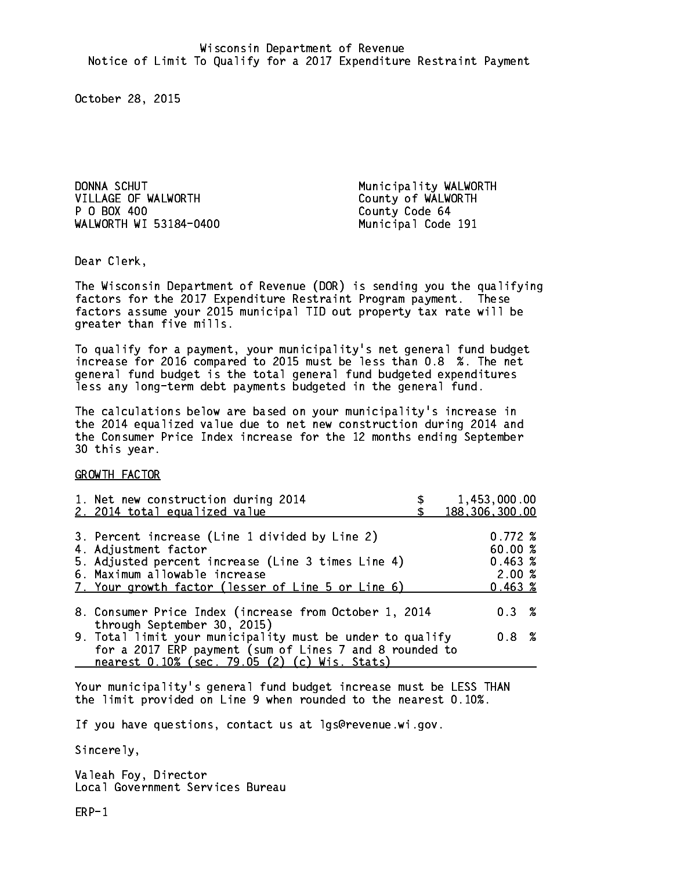DONNA SCHUT NEWSLEY Municipality WALWORTH VILLAGE OF WALWORTH County of WALWORTH P 0 BOX 400 WALWORTH WI 53184-0400 Municipal Code 191

County Code 64

Dear Clerk. Dear Clerk,

The Wisconsin Department of Revenue (DOR) is sending you the qualifying factors for the 2017 Expenditure Restraint Program payment. These factors assume your 2015 municipal TID out property tax rate will be greater than five mills.

 To qualify for a payment, your municipality's net general fund budget increase for 2016 compared to 2015 must be less than 0.8 %. The net general fund budget is the total general fund budgeted expenditures less any long-term debt payments budgeted in the general fund.

The calculations below are based on your municipality's increase in the 2014 equalized value due to net new construction during 2014 and the Consumer Price Index increase for the 12 months ending September 30 this year. 30 this year.

GROWTH FACTOR

| 1. Net new construction during 2014                                                                                                                           |                                                                                                               | 1,453,000.00<br>188, 306, 300.00                                                                                                                                               |
|---------------------------------------------------------------------------------------------------------------------------------------------------------------|---------------------------------------------------------------------------------------------------------------|--------------------------------------------------------------------------------------------------------------------------------------------------------------------------------|
| 3. Percent increase (Line 1 divided by Line 2)<br>4. Adjustment factor<br>5. Adjusted percent increase (Line 3 times Line 4)<br>6. Maximum allowable increase |                                                                                                               | 0.772%<br>60.00 %<br>0.463~%<br>2.00%                                                                                                                                          |
| 7. Your growth factor (lesser of Line 5 or Line 6)                                                                                                            |                                                                                                               | 0.463~%                                                                                                                                                                        |
|                                                                                                                                                               |                                                                                                               | $0.3 \t%$                                                                                                                                                                      |
|                                                                                                                                                               |                                                                                                               | 0.8 %                                                                                                                                                                          |
|                                                                                                                                                               | 2. 2014 total equalized value<br>through September 30, 2015)<br>nearest 0.10% (sec. 79.05 (2) (c) Wis. Stats) | 8. Consumer Price Index (increase from October 1, 2014<br>9. Total limit your municipality must be under to qualify<br>for a 2017 ERP payment (sum of Lines 7 and 8 rounded to |

Your municipality's general fund budget increase must be LESS THAN the limit provided on Line 9 when rounded to the nearest 0.10%.

If you have questions, contact us at lgs@revenue.wi.gov.

Sincerely,

Valeah Foy, Director Local Government Services Bureau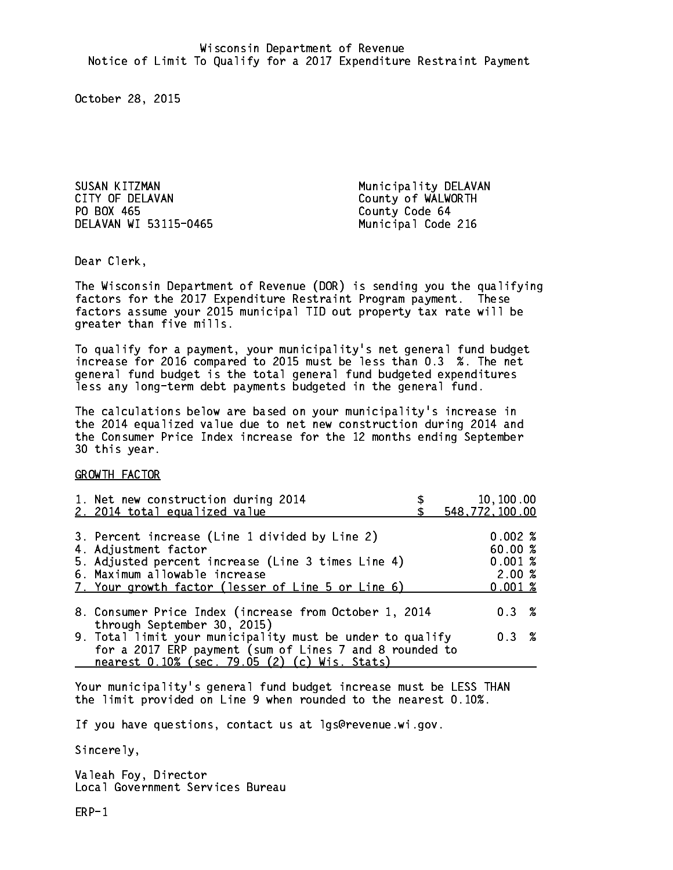SUSAN KITZMAN Municipality DELAVAN CITY OF DELAVAN COUNTY OF WALWORTH PO BOX 465 DELAVAN WI 53115-0465 Municipal Code 216

County Code 64

Dear Clerk. Dear Clerk,

The Wisconsin Department of Revenue (DOR) is sending you the qualifying factors for the 2017 Expenditure Restraint Program payment. These factors assume your 2015 municipal TID out property tax rate will be greater than five mills.

 To qualify for a payment, your municipality's net general fund budget increase for 2016 compared to 2015 must be less than 0.3 %. The net general fund budget is the total general fund budgeted expenditures less any long-term debt payments budgeted in the general fund.

The calculations below are based on your municipality's increase in the 2014 equalized value due to net new construction during 2014 and the Consumer Price Index increase for the 12 months ending September 30 this year. 30 this year.

GROWTH FACTOR

| 1. Net new construction during 2014<br>2. 2014 total equalized value                                                                                                                                                | 10,100.00<br>548,772,100.00                   |
|---------------------------------------------------------------------------------------------------------------------------------------------------------------------------------------------------------------------|-----------------------------------------------|
| 3. Percent increase (Line 1 divided by Line 2)<br>4. Adjustment factor<br>5. Adjusted percent increase (Line 3 times Line 4)<br>6. Maximum allowable increase<br>7. Your growth factor (lesser of Line 5 or Line 6) | 0.002%<br>60.00%<br>0.001%<br>2.00%<br>0.001% |
| 8. Consumer Price Index (increase from October 1, 2014<br>through September 30, 2015)                                                                                                                               | $0.3 \t%$                                     |
| 9. Total limit your municipality must be under to qualify<br>for a 2017 ERP payment (sum of Lines 7 and 8 rounded to<br>nearest 0.10% (sec. 79.05 (2) (c) Wis. Stats)                                               | 0.3%                                          |

Your municipality's general fund budget increase must be LESS THAN the limit provided on Line 9 when rounded to the nearest 0.10%.

If you have questions, contact us at lgs@revenue.wi.gov.

Sincerely,

Valeah Foy, Director Local Government Services Bureau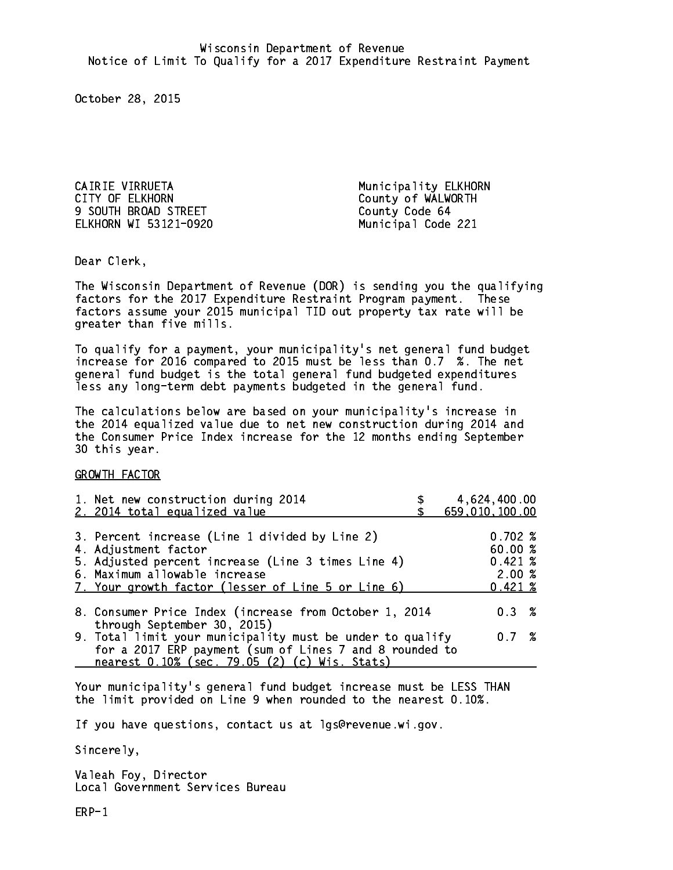CAIRIE VIRRUETA Municipality ELKHORN CITY OF ELKHORN COUNTY OF WALWORTH 9 SOUTH BROAD STREET County Code 64 ELKHORN WI 53121-0920 Municipal Code 221

Dear Clerk. Dear Clerk,

The Wisconsin Department of Revenue (DOR) is sending you the qualifying factors for the 2017 Expenditure Restraint Program payment. These factors assume your 2015 municipal TID out property tax rate will be greater than five mills.

 To qualify for a payment, your municipality's net general fund budget increase for 2016 compared to 2015 must be less than 0.7 %. The net general fund budget is the total general fund budgeted expenditures less any long-term debt payments budgeted in the general fund.

The calculations below are based on your municipality's increase in the 2014 equalized value due to net new construction during 2014 and the Consumer Price Index increase for the 12 months ending September 30 this year. 30 this year.

GROWTH FACTOR

| 1. Net new construction during 2014<br>2. 2014 total equalized value                                                                                                                                                | 4,624,400.00<br>659,010,100.00                      |  |
|---------------------------------------------------------------------------------------------------------------------------------------------------------------------------------------------------------------------|-----------------------------------------------------|--|
| 3. Percent increase (Line 1 divided by Line 2)<br>4. Adjustment factor<br>5. Adjusted percent increase (Line 3 times Line 4)<br>6. Maximum allowable increase<br>7. Your growth factor (lesser of Line 5 or Line 6) | 0.702%<br>60.00%<br>0.421%<br>2.00%<br>$0.421 \; %$ |  |
| 8. Consumer Price Index (increase from October 1, 2014                                                                                                                                                              | $0.3 \t%$                                           |  |
| 9. Total limit your municipality must be under to qualify<br>for a 2017 ERP payment (sum of Lines 7 and 8 rounded to                                                                                                | 0.7%                                                |  |
| through September 30, 2015)<br>nearest 0.10% (sec. 79.05 (2) (c) Wis. Stats)                                                                                                                                        |                                                     |  |

Your municipality's general fund budget increase must be LESS THAN the limit provided on Line 9 when rounded to the nearest 0.10%.

If you have questions, contact us at lgs@revenue.wi.gov.

Sincerely,

Valeah Foy, Director Local Government Services Bureau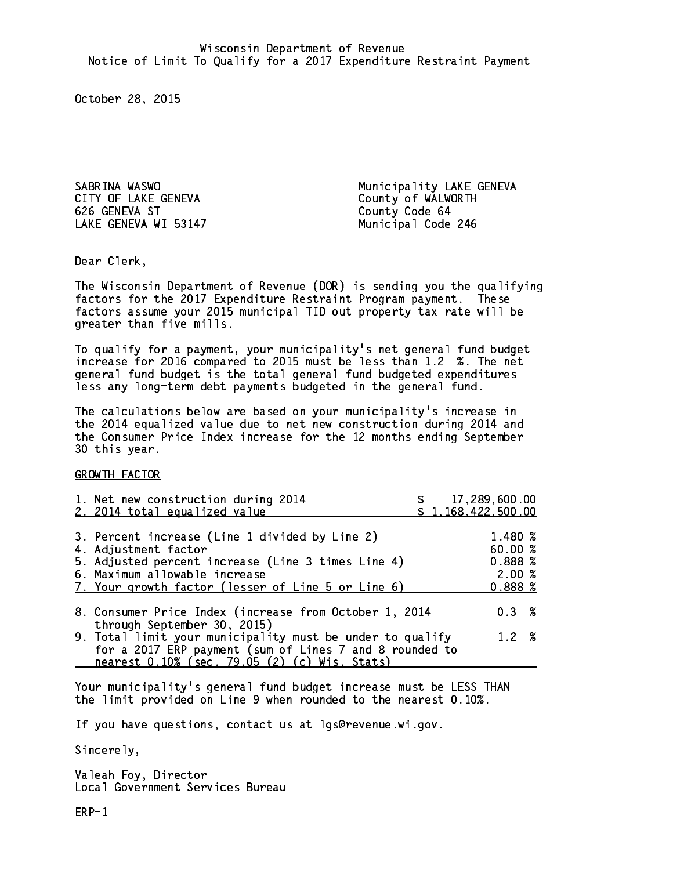CITY OF LAKE GENEVA COUNTY OF WALWORTH 626 GENEVA ST County Code 64 LAKE GENEVA WI 53147 Municipal Code 246

SABRINA WASWO **Municipality LAKE GENEVA** 

Dear Clerk. Dear Clerk,

The Wisconsin Department of Revenue (DOR) is sending you the qualifying factors for the 2017 Expenditure Restraint Program payment. These factors assume your 2015 municipal TID out property tax rate will be greater than five mills.

 To qualify for a payment, your municipality's net general fund budget increase for 2016 compared to 2015 must be less than 1.2 %. The net general fund budget is the total general fund budgeted expenditures less any long-term debt payments budgeted in the general fund.

The calculations below are based on your municipality's increase in the 2014 equalized value due to net new construction during 2014 and the Consumer Price Index increase for the 12 months ending September 30 this year. 30 this year.

GROWTH FACTOR

| 1. Net new construction during 2014<br>2. 2014 total equalized value                                                                                                                                                | \$17,289,600.00<br>\$1,168,422,500.00            |  |
|---------------------------------------------------------------------------------------------------------------------------------------------------------------------------------------------------------------------|--------------------------------------------------|--|
| 3. Percent increase (Line 1 divided by Line 2)<br>4. Adjustment factor<br>5. Adjusted percent increase (Line 3 times Line 4)<br>6. Maximum allowable increase<br>7. Your growth factor (lesser of Line 5 or Line 6) | 1.480 %<br>60.00 %<br>0.888~%<br>2.00%<br>0.888% |  |
| 8. Consumer Price Index (increase from October 1, 2014<br>through September 30, 2015)                                                                                                                               | 0.3%                                             |  |
| 9. Total limit your municipality must be under to qualify<br>for a 2017 ERP payment (sum of Lines 7 and 8 rounded to<br>nearest 0.10% (sec. 79.05 (2) (c) Wis. Stats)                                               | 1.2%                                             |  |

Your municipality's general fund budget increase must be LESS THAN the limit provided on Line 9 when rounded to the nearest 0.10%.

If you have questions, contact us at lgs@revenue.wi.gov.

Sincerely,

Valeah Foy, Director Local Government Services Bureau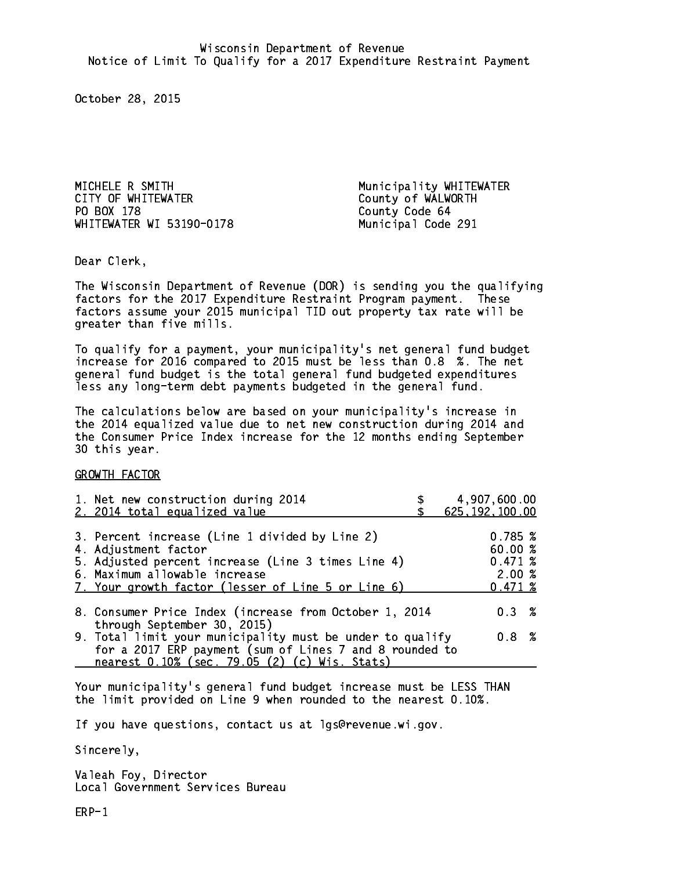MICHELE R SMITH Municipality WHITEWATER CITY OF WHITEWATER COUNTY OF WALWORTH PO BOX 178 WHITEWATER WI 53190-0178 Municipal Code 291

County Code 64

Dear Clerk. Dear Clerk,

The Wisconsin Department of Revenue (DOR) is sending you the qualifying factors for the 2017 Expenditure Restraint Program payment. These factors assume your 2015 municipal TID out property tax rate will be greater than five mills.

 To qualify for a payment, your municipality's net general fund budget increase for 2016 compared to 2015 must be less than 0.8 %. The net general fund budget is the total general fund budgeted expenditures less any long-term debt payments budgeted in the general fund.

The calculations below are based on your municipality's increase in the 2014 equalized value due to net new construction during 2014 and the Consumer Price Index increase for the 12 months ending September 30 this year. 30 this year.

GROWTH FACTOR

| 1. Net new construction during 2014<br>2. 2014 total equalized value                                                                                                  | 4,907,600.00<br>625, 192, 100.00       |
|-----------------------------------------------------------------------------------------------------------------------------------------------------------------------|----------------------------------------|
| 3. Percent increase (Line 1 divided by Line 2)<br>4. Adjustment factor<br>5. Adjusted percent increase (Line 3 times Line 4)<br>6. Maximum allowable increase         | 0.785~%<br>60.00 %<br>0.471~%<br>2.00% |
| 7. Your growth factor (lesser of Line 5 or Line 6)                                                                                                                    | 0.471~%                                |
| 8. Consumer Price Index (increase from October 1, 2014<br>through September 30, 2015)                                                                                 | $0.3 \t%$                              |
| 9. Total limit your municipality must be under to qualify<br>for a 2017 ERP payment (sum of Lines 7 and 8 rounded to<br>nearest 0.10% (sec. 79.05 (2) (c) Wis. Stats) | 0.8 %                                  |
|                                                                                                                                                                       |                                        |

Your municipality's general fund budget increase must be LESS THAN the limit provided on Line 9 when rounded to the nearest 0.10%.

If you have questions, contact us at lgs@revenue.wi.gov.

Sincerely,

Valeah Foy, Director Local Government Services Bureau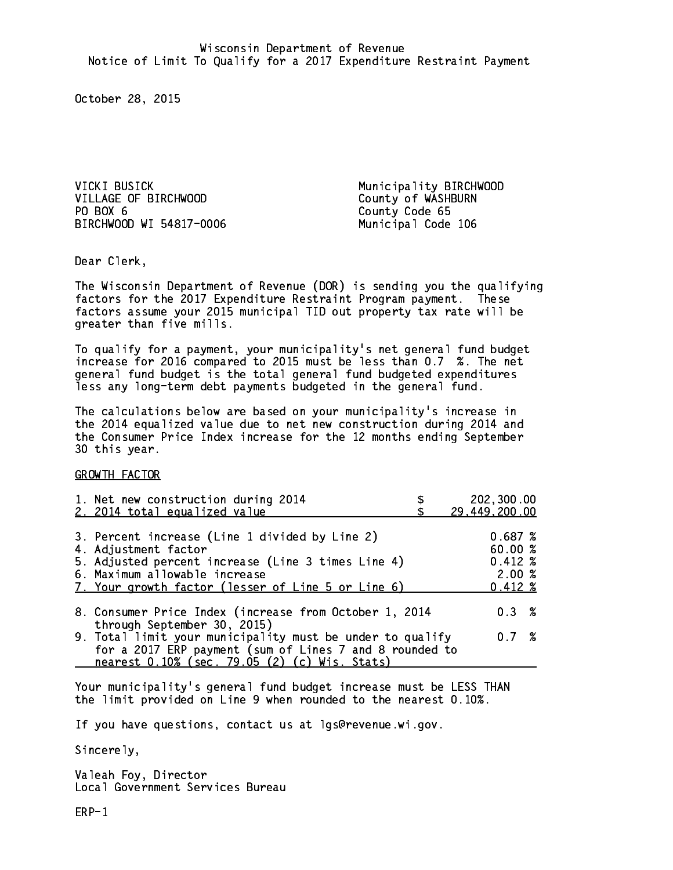VICKI BUSICK Municipality BIRCHWOOD VILLAGE OF BIRCHWOOD County of WASHBURN PO BOX 6 BIRCHWOOD WI 54817-0006 Municipal Code 106

County Code 65

Dear Clerk. Dear Clerk,

The Wisconsin Department of Revenue (DOR) is sending you the qualifying factors for the 2017 Expenditure Restraint Program payment. These factors assume your 2015 municipal TID out property tax rate will be greater than five mills.

 To qualify for a payment, your municipality's net general fund budget increase for 2016 compared to 2015 must be less than 0.7 %. The net general fund budget is the total general fund budgeted expenditures less any long-term debt payments budgeted in the general fund.

The calculations below are based on your municipality's increase in the 2014 equalized value due to net new construction during 2014 and the Consumer Price Index increase for the 12 months ending September 30 this year. 30 this year.

GROWTH FACTOR

| 1. Net new construction during 2014<br>2. 2014 total equalized value                                                                                                                                                | 202,300.00<br>29,449,200.00                        |
|---------------------------------------------------------------------------------------------------------------------------------------------------------------------------------------------------------------------|----------------------------------------------------|
| 3. Percent increase (Line 1 divided by Line 2)<br>4. Adjustment factor<br>5. Adjusted percent increase (Line 3 times Line 4)<br>6. Maximum allowable increase<br>7. Your growth factor (lesser of Line 5 or Line 6) | 0.687~%<br>60.00%<br>$0.412*$<br>2.00%<br>$0.412*$ |
| 8. Consumer Price Index (increase from October 1, 2014<br>through September 30, 2015)                                                                                                                               | 0.3%                                               |
| 9. Total limit your municipality must be under to qualify<br>for a 2017 ERP payment (sum of Lines 7 and 8 rounded to<br>nearest 0.10% (sec. 79.05 (2) (c) Wis. Stats)                                               | 0.7%                                               |

Your municipality's general fund budget increase must be LESS THAN the limit provided on Line 9 when rounded to the nearest 0.10%.

If you have questions, contact us at lgs@revenue.wi.gov.

Sincerely,

Valeah Foy, Director Local Government Services Bureau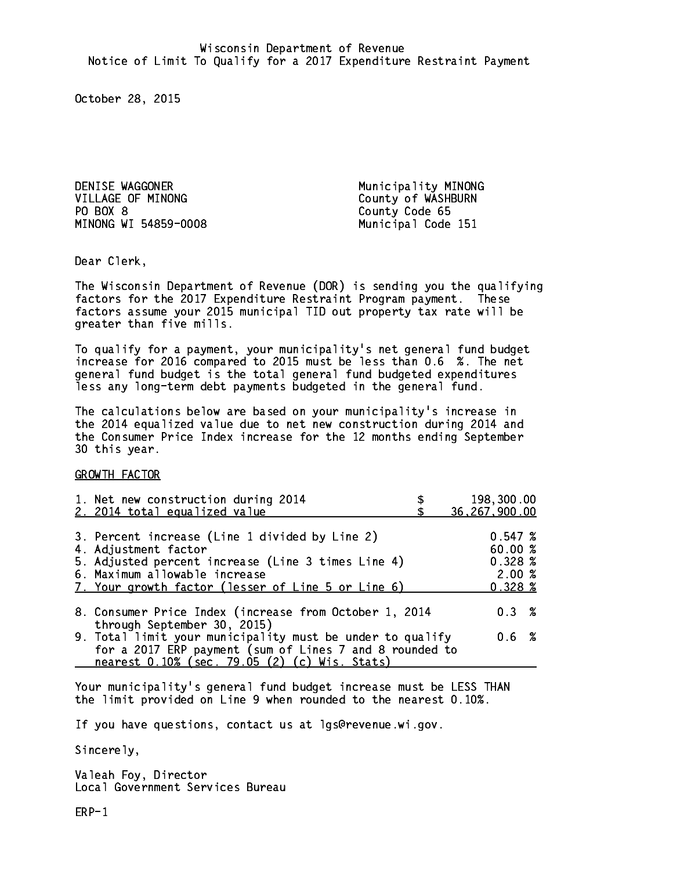DENISE WAGGONER **Municipality MINONG** VILLAGE OF MINONG County of WASHBURN PO BOX 8 MINONG WI 54859-0008 Municipal Code 151

County Code 65

Dear Clerk. Dear Clerk,

The Wisconsin Department of Revenue (DOR) is sending you the qualifying factors for the 2017 Expenditure Restraint Program payment. These factors assume your 2015 municipal TID out property tax rate will be greater than five mills.

 To qualify for a payment, your municipality's net general fund budget increase for 2016 compared to 2015 must be less than 0.6 %. The net general fund budget is the total general fund budgeted expenditures less any long-term debt payments budgeted in the general fund.

The calculations below are based on your municipality's increase in the 2014 equalized value due to net new construction during 2014 and the Consumer Price Index increase for the 12 months ending September 30 this year. 30 this year.

GROWTH FACTOR

| 1. Net new construction during 2014                                                                                                                                                                                 | 198,300.00                                                                 |
|---------------------------------------------------------------------------------------------------------------------------------------------------------------------------------------------------------------------|----------------------------------------------------------------------------|
| 2. 2014 total equalized value                                                                                                                                                                                       | 36, 267, 900.00                                                            |
| 3. Percent increase (Line 1 divided by Line 2)<br>4. Adjustment factor<br>5. Adjusted percent increase (Line 3 times Line 4)<br>6. Maximum allowable increase<br>7. Your growth factor (lesser of Line 5 or Line 6) | 0.547~%<br>60.00%<br>$0.328 \; \text{\%}$<br>2.00%<br>$0.328 \; \text{\%}$ |
| 8. Consumer Price Index (increase from October 1, 2014                                                                                                                                                              | $0.3 \t%$                                                                  |
| through September 30, 2015)<br>9. Total limit your municipality must be under to qualify<br>for a 2017 ERP payment (sum of Lines 7 and 8 rounded to<br>nearest 0.10% (sec. 79.05 (2) (c) Wis. Stats)                | 0.6 %                                                                      |

Your municipality's general fund budget increase must be LESS THAN the limit provided on Line 9 when rounded to the nearest 0.10%.

If you have questions, contact us at lgs@revenue.wi.gov.

Sincerely,

Valeah Foy, Director Local Government Services Bureau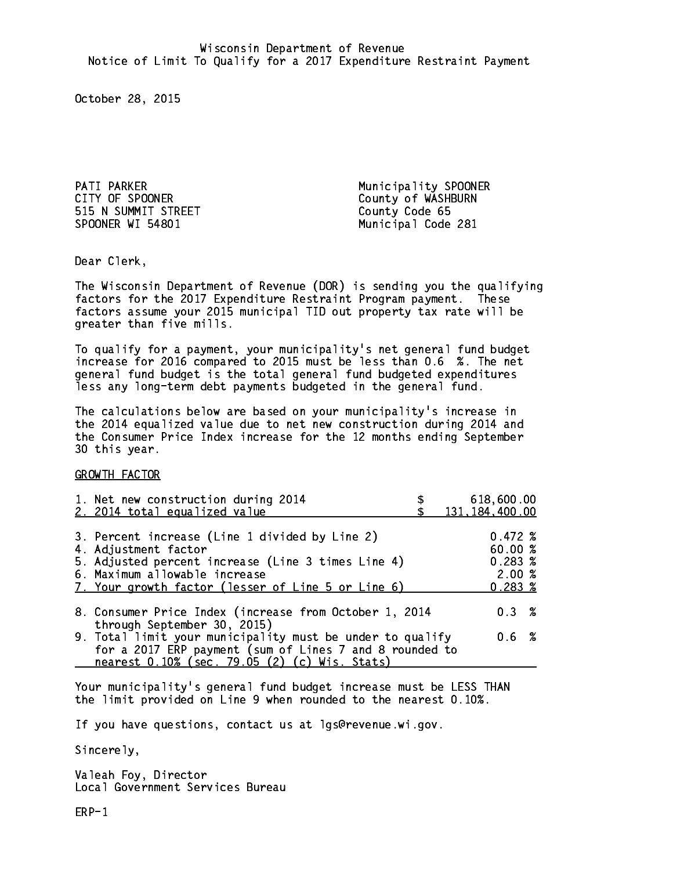PATI PARKER **Municipality SPOONER** CITY OF SPOONER COUNTY OF SPOONER 515 N SUMMIT STREET County Code 65 SPOONER WI 54801 Municipal Code 281

Dear Clerk. Dear Clerk,

The Wisconsin Department of Revenue (DOR) is sending you the qualifying factors for the 2017 Expenditure Restraint Program payment. These factors assume your 2015 municipal TID out property tax rate will be greater than five mills.

 To qualify for a payment, your municipality's net general fund budget increase for 2016 compared to 2015 must be less than 0.6 %. The net general fund budget is the total general fund budgeted expenditures less any long-term debt payments budgeted in the general fund.

The calculations below are based on your municipality's increase in the 2014 equalized value due to net new construction during 2014 and the Consumer Price Index increase for the 12 months ending September 30 this year. 30 this year.

GROWTH FACTOR

| 1. Net new construction during 2014<br>2. 2014 total equalized value                                     | 618,600.00<br>131, 184, 400.00 |
|----------------------------------------------------------------------------------------------------------|--------------------------------|
|                                                                                                          |                                |
| 3. Percent increase (Line 1 divided by Line 2)                                                           | $0.472 \;$ %                   |
| 4. Adjustment factor                                                                                     | 60.00%                         |
| 5. Adjusted percent increase (Line 3 times Line 4)                                                       | 0.283~%                        |
| 6. Maximum allowable increase                                                                            | 2.00%                          |
| 7. Your growth factor (lesser of Line 5 or Line 6)                                                       | $0.283 \; %$                   |
| 8. Consumer Price Index (increase from October 1, 2014<br>through September 30, 2015)                    | $0.3 \t%$                      |
| 9. Total limit your municipality must be under to qualify                                                | 0.6 %                          |
| for a 2017 ERP payment (sum of Lines 7 and 8 rounded to<br>nearest 0.10% (sec. 79.05 (2) (c) Wis. Stats) |                                |

Your municipality's general fund budget increase must be LESS THAN the limit provided on Line 9 when rounded to the nearest 0.10%.

If you have questions, contact us at lgs@revenue.wi.gov.

Sincerely,

Valeah Foy, Director Local Government Services Bureau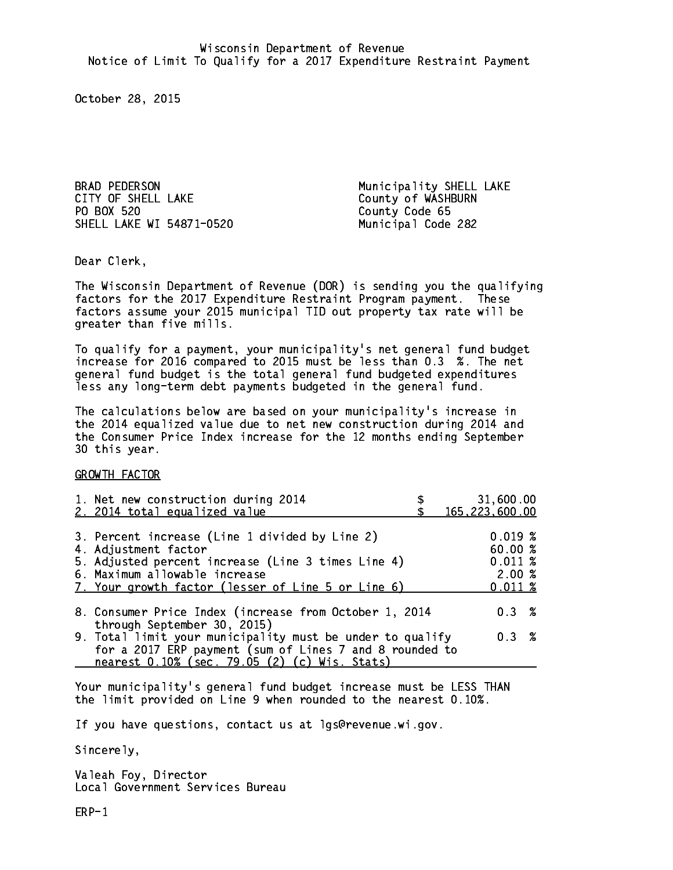BRAD PEDERSON Municipality SHELL LAKE CITY OF SHELL LAKE County of WASHBURN PO BOX 520 SHELL LAKE WI 54871-0520 Municipal Code 282

County Code 65

Dear Clerk. Dear Clerk,

The Wisconsin Department of Revenue (DOR) is sending you the qualifying factors for the 2017 Expenditure Restraint Program payment. These factors assume your 2015 municipal TID out property tax rate will be greater than five mills.

 To qualify for a payment, your municipality's net general fund budget increase for 2016 compared to 2015 must be less than 0.3 %. The net general fund budget is the total general fund budgeted expenditures less any long-term debt payments budgeted in the general fund.

The calculations below are based on your municipality's increase in the 2014 equalized value due to net new construction during 2014 and the Consumer Price Index increase for the 12 months ending September 30 this year. 30 this year.

GROWTH FACTOR

| 1. Net new construction during 2014<br>2. 2014 total equalized value                                                                                                                                                | 31,600.00<br>165, 223, 600.00                        |
|---------------------------------------------------------------------------------------------------------------------------------------------------------------------------------------------------------------------|------------------------------------------------------|
| 3. Percent increase (Line 1 divided by Line 2)<br>4. Adjustment factor<br>5. Adjusted percent increase (Line 3 times Line 4)<br>6. Maximum allowable increase<br>7. Your growth factor (lesser of Line 5 or Line 6) | 0.019%<br>60.00%<br>0.011~%<br>2.00%<br>$0.011 \;$ % |
| 8. Consumer Price Index (increase from October 1, 2014                                                                                                                                                              | $0.3 \t%$                                            |
| through September 30, 2015)<br>9. Total limit your municipality must be under to qualify<br>for a 2017 ERP payment (sum of Lines 7 and 8 rounded to<br>nearest 0.10% (sec. 79.05 (2) (c) Wis. Stats)                | 0.3 %                                                |

Your municipality's general fund budget increase must be LESS THAN the limit provided on Line 9 when rounded to the nearest 0.10%.

If you have questions, contact us at lgs@revenue.wi.gov.

Sincerely,

Valeah Foy, Director Local Government Services Bureau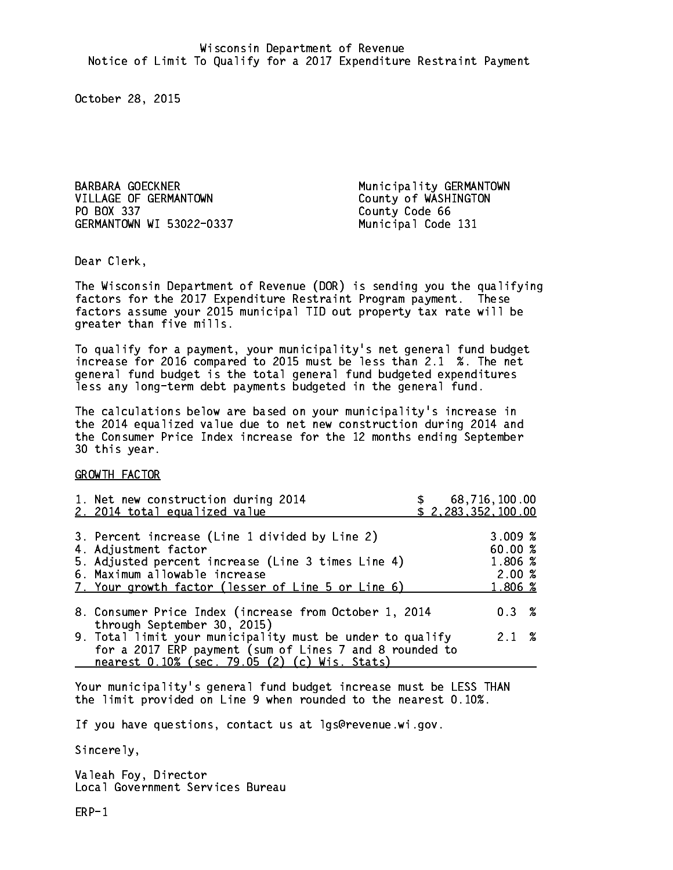BARBARA GOECKNER Municipality GERMANTOWN VILLAGE OF GERMANTOWN County of WASHINGTON PO BOX 337 County Code 66 GERMANTOWN WI 53022-0337 Municipal Code 131

Dear Clerk. Dear Clerk,

The Wisconsin Department of Revenue (DOR) is sending you the qualifying factors for the 2017 Expenditure Restraint Program payment. These factors assume your 2015 municipal TID out property tax rate will be greater than five mills.

 To qualify for a payment, your municipality's net general fund budget increase for 2016 compared to 2015 must be less than 2.1 %. The net general fund budget is the total general fund budgeted expenditures less any long-term debt payments budgeted in the general fund.

The calculations below are based on your municipality's increase in the 2014 equalized value due to net new construction during 2014 and the Consumer Price Index increase for the 12 months ending September 30 this year. 30 this year.

GROWTH FACTOR

| 1. Net new construction during 2014<br>2. 2014 total equalized value                                                                                                                                                |  | 68,716,100.00<br>\$2,283,352,100.00              |  |
|---------------------------------------------------------------------------------------------------------------------------------------------------------------------------------------------------------------------|--|--------------------------------------------------|--|
| 3. Percent increase (Line 1 divided by Line 2)<br>4. Adjustment factor<br>5. Adjusted percent increase (Line 3 times Line 4)<br>6. Maximum allowable increase<br>7. Your growth factor (lesser of Line 5 or Line 6) |  | 3.009~%<br>60.00%<br>1.806 %<br>2.00%<br>1.806 % |  |
| 8. Consumer Price Index (increase from October 1, 2014<br>through September 30, 2015)                                                                                                                               |  | $0.3 \t%$                                        |  |
| 9. Total limit your municipality must be under to qualify<br>for a 2017 ERP payment (sum of Lines 7 and 8 rounded to<br>nearest 0.10% (sec. 79.05 (2) (c) Wis. Stats)                                               |  | $2.1 \t%$                                        |  |

Your municipality's general fund budget increase must be LESS THAN the limit provided on Line 9 when rounded to the nearest 0.10%.

If you have questions, contact us at lgs@revenue.wi.gov.

Sincerely,

Valeah Foy, Director Local Government Services Bureau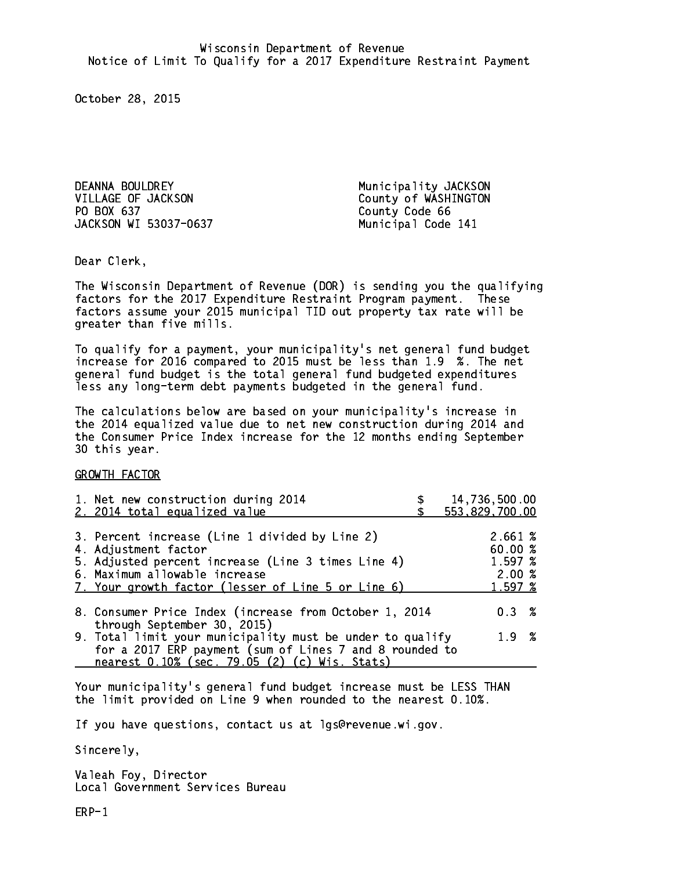DEANNA BOULDREY **Municipality JACKSON** VILLAGE OF JACKSON County of WASHINGTON PO BOX 637 JACKSON WI 53037-0637 Municipal Code 141

County Code 66

Dear Clerk. Dear Clerk,

The Wisconsin Department of Revenue (DOR) is sending you the qualifying factors for the 2017 Expenditure Restraint Program payment. These factors assume your 2015 municipal TID out property tax rate will be greater than five mills.

 To qualify for a payment, your municipality's net general fund budget increase for 2016 compared to 2015 must be less than 1.9 %. The net general fund budget is the total general fund budgeted expenditures less any long-term debt payments budgeted in the general fund.

The calculations below are based on your municipality's increase in the 2014 equalized value due to net new construction during 2014 and the Consumer Price Index increase for the 12 months ending September 30 this year. 30 this year.

GROWTH FACTOR

| 1. Net new construction during 2014<br>2. 2014 total equalized value                                                                                                                                                | 14,736,500.00<br>553,829,700.00                   |
|---------------------------------------------------------------------------------------------------------------------------------------------------------------------------------------------------------------------|---------------------------------------------------|
| 3. Percent increase (Line 1 divided by Line 2)<br>4. Adjustment factor<br>5. Adjusted percent increase (Line 3 times Line 4)<br>6. Maximum allowable increase<br>7. Your growth factor (lesser of Line 5 or Line 6) | 2.661 %<br>60.00 %<br>1.597 %<br>2.00%<br>1.597~% |
| 8. Consumer Price Index (increase from October 1, 2014                                                                                                                                                              | 0.3%                                              |
| through September 30, 2015)<br>9. Total limit your municipality must be under to qualify<br>for a 2017 ERP payment (sum of Lines 7 and 8 rounded to<br>nearest 0.10% (sec. 79.05 (2) (c) Wis. Stats)                | 1.9%                                              |

Your municipality's general fund budget increase must be LESS THAN the limit provided on Line 9 when rounded to the nearest 0.10%.

If you have questions, contact us at lgs@revenue.wi.gov.

Sincerely,

Valeah Foy, Director Local Government Services Bureau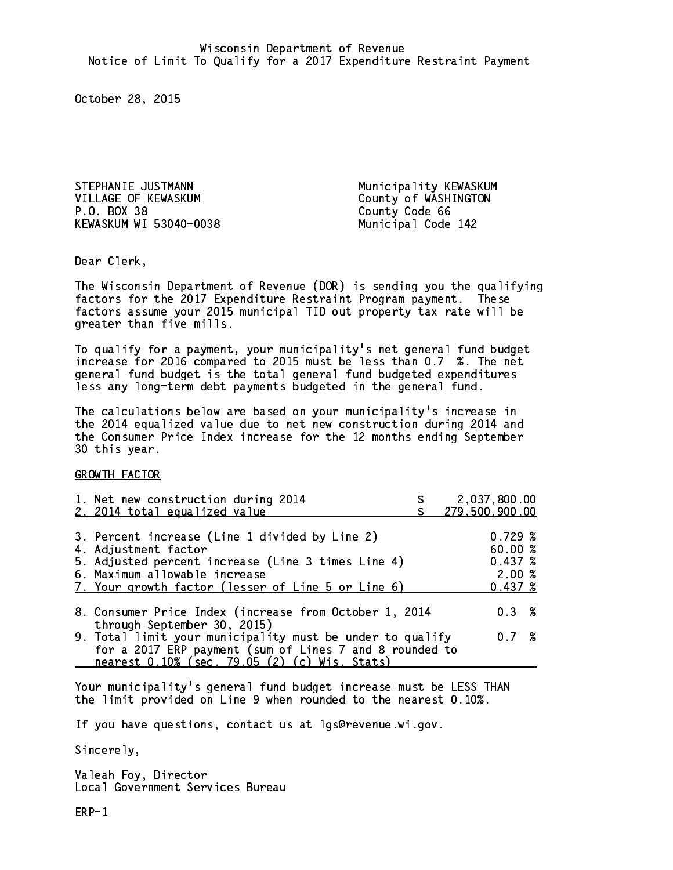STEPHANIE JUSTMANN Municipality KEWASKUM VILLAGE OF KEWASKUM County of WASHINGTON P.O. BOX 38 County Code 66 KEWASKUM WI 53040-0038 Municipal Code 142

Dear Clerk. Dear Clerk,

The Wisconsin Department of Revenue (DOR) is sending you the qualifying factors for the 2017 Expenditure Restraint Program payment. These factors assume your 2015 municipal TID out property tax rate will be greater than five mills.

 To qualify for a payment, your municipality's net general fund budget increase for 2016 compared to 2015 must be less than 0.7 %. The net general fund budget is the total general fund budgeted expenditures less any long-term debt payments budgeted in the general fund.

The calculations below are based on your municipality's increase in the 2014 equalized value due to net new construction during 2014 and the Consumer Price Index increase for the 12 months ending September 30 this year. 30 this year.

GROWTH FACTOR

| 1. Net new construction during 2014<br>2. 2014 total equalized value                                                                                                                                                | 2,037,800.00<br>279,500,900.00                    |  |
|---------------------------------------------------------------------------------------------------------------------------------------------------------------------------------------------------------------------|---------------------------------------------------|--|
| 3. Percent increase (Line 1 divided by Line 2)<br>4. Adjustment factor<br>5. Adjusted percent increase (Line 3 times Line 4)<br>6. Maximum allowable increase<br>7. Your growth factor (lesser of Line 5 or Line 6) | 0.729~%<br>60.00 %<br>0.437~%<br>2.00%<br>0.437~% |  |
| 8. Consumer Price Index (increase from October 1, 2014                                                                                                                                                              | $0.3 \t%$                                         |  |
| through September 30, 2015)<br>9. Total limit your municipality must be under to qualify<br>for a 2017 ERP payment (sum of Lines 7 and 8 rounded to<br>nearest 0.10% (sec. 79.05 (2) (c) Wis. Stats)                | 0.7%                                              |  |

Your municipality's general fund budget increase must be LESS THAN the limit provided on Line 9 when rounded to the nearest 0.10%.

If you have questions, contact us at lgs@revenue.wi.gov.

Sincerely,

Valeah Foy, Director Local Government Services Bureau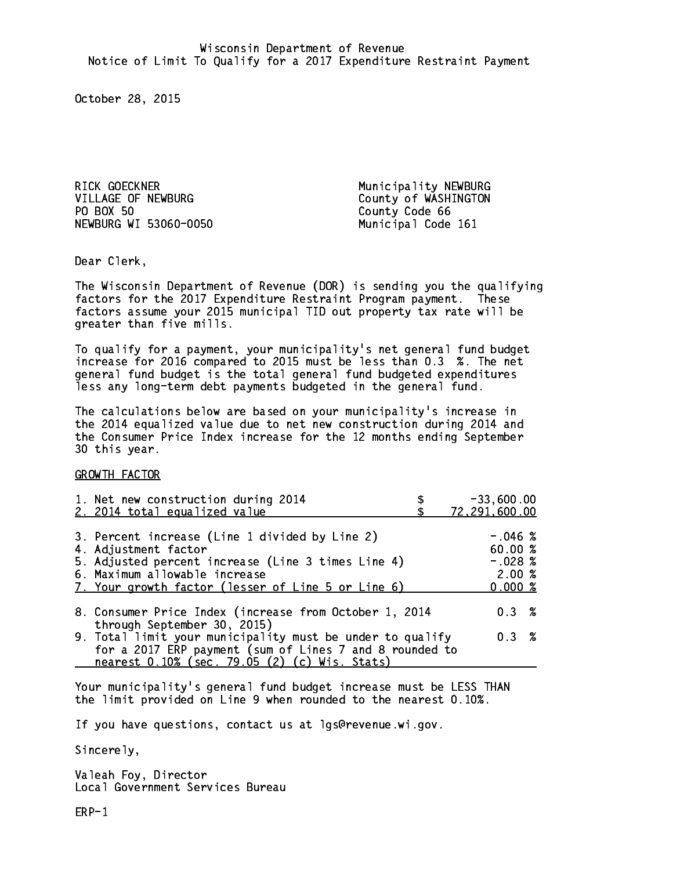RICK GOECKNER **Municipality NEWBURG** VILLAGE OF NEWBURG County of WASHINGTON PO BOX 50 NEWBURG WI 53060-0050 Municipal Code 161

County Code 66

Dear Clerk. Dear Clerk,

The Wisconsin Department of Revenue (DOR) is sending you the qualifying factors for the 2017 Expenditure Restraint Program payment. These factors assume your 2015 municipal TID out property tax rate will be greater than five mills.

 To qualify for a payment, your municipality's net general fund budget increase for 2016 compared to 2015 must be less than 0.3 %. The net general fund budget is the total general fund budgeted expenditures less any long-term debt payments budgeted in the general fund.

The calculations below are based on your municipality's increase in the 2014 equalized value due to net new construction during 2014 and the Consumer Price Index increase for the 12 months ending September 30 this year. 30 this year.

GROWTH FACTOR

| 1. Net new construction during 2014<br>2. 2014 total equalized value                                                                                                                                                | $-33,600.00$<br>72,291,600.00                        |
|---------------------------------------------------------------------------------------------------------------------------------------------------------------------------------------------------------------------|------------------------------------------------------|
| 3. Percent increase (Line 1 divided by Line 2)<br>4. Adjustment factor<br>5. Adjusted percent increase (Line 3 times Line 4)<br>6. Maximum allowable increase<br>7. Your growth factor (lesser of Line 5 or Line 6) | $-.046~%$<br>60.00%<br>$-.028$ %<br>2.00%<br>0.000 % |
| 8. Consumer Price Index (increase from October 1, 2014<br>through September 30, 2015)                                                                                                                               | 0.3%                                                 |
| 9. Total limit your municipality must be under to qualify<br>for a 2017 ERP payment (sum of Lines 7 and 8 rounded to<br>nearest 0.10% (sec. 79.05 (2) (c) Wis. Stats)                                               | 0.3%                                                 |

Your municipality's general fund budget increase must be LESS THAN the limit provided on Line 9 when rounded to the nearest 0.10%.

If you have questions, contact us at lgs@revenue.wi.gov.

Sincerely,

Valeah Foy, Director Local Government Services Bureau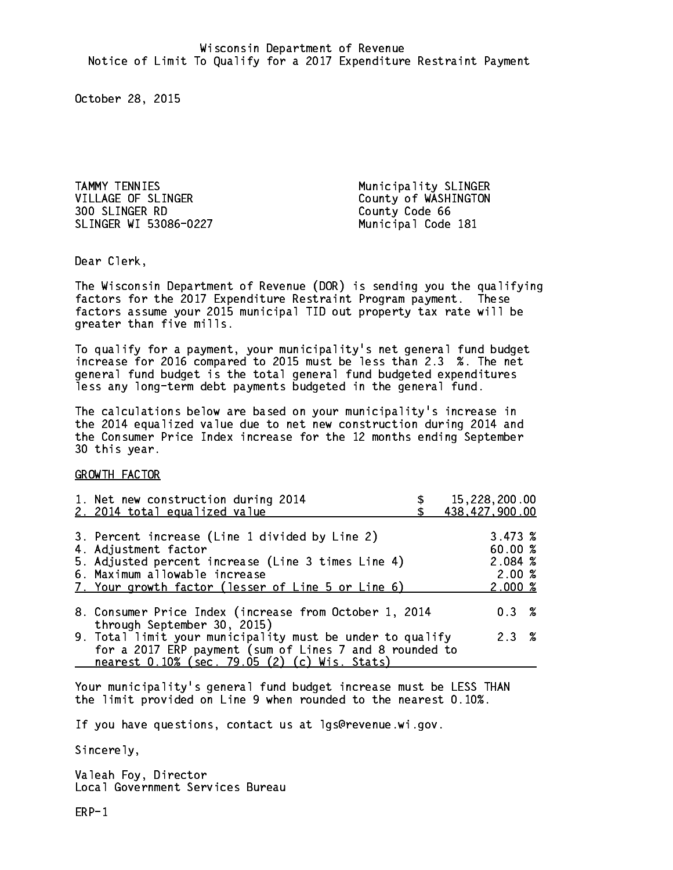TAMMY TENNIES Municipality SLINGER VILLAGE OF SLINGER County of WASHINGTON 300 SLINGER RD County Code 66 SLINGER WI 53086-0227 Municipal Code 181

Dear Clerk. Dear Clerk,

The Wisconsin Department of Revenue (DOR) is sending you the qualifying factors for the 2017 Expenditure Restraint Program payment. These factors assume your 2015 municipal TID out property tax rate will be greater than five mills.

 To qualify for a payment, your municipality's net general fund budget increase for 2016 compared to 2015 must be less than 2.3 %. The net general fund budget is the total general fund budgeted expenditures less any long-term debt payments budgeted in the general fund.

The calculations below are based on your municipality's increase in the 2014 equalized value due to net new construction during 2014 and the Consumer Price Index increase for the 12 months ending September 30 this year. 30 this year.

GROWTH FACTOR

| 1. Net new construction during 2014<br>2. 2014 total equalized value                                                                                                                                                | 15,228,200.00<br>438,427,900.00                  |
|---------------------------------------------------------------------------------------------------------------------------------------------------------------------------------------------------------------------|--------------------------------------------------|
| 3. Percent increase (Line 1 divided by Line 2)<br>4. Adjustment factor<br>5. Adjusted percent increase (Line 3 times Line 4)<br>6. Maximum allowable increase<br>7. Your growth factor (lesser of Line 5 or Line 6) | 3.473~%<br>60.00%<br>2.084~%<br>2.00%<br>2.000~% |
| 8. Consumer Price Index (increase from October 1, 2014                                                                                                                                                              | $0.3 \t%$                                        |
| through September 30, 2015)<br>9. Total limit your municipality must be under to qualify<br>for a 2017 ERP payment (sum of Lines 7 and 8 rounded to<br>nearest 0.10% (sec. 79.05 (2) (c) Wis. Stats)                | 2.3%                                             |

Your municipality's general fund budget increase must be LESS THAN the limit provided on Line 9 when rounded to the nearest 0.10%.

If you have questions, contact us at lgs@revenue.wi.gov.

Sincerely,

Valeah Foy, Director Local Government Services Bureau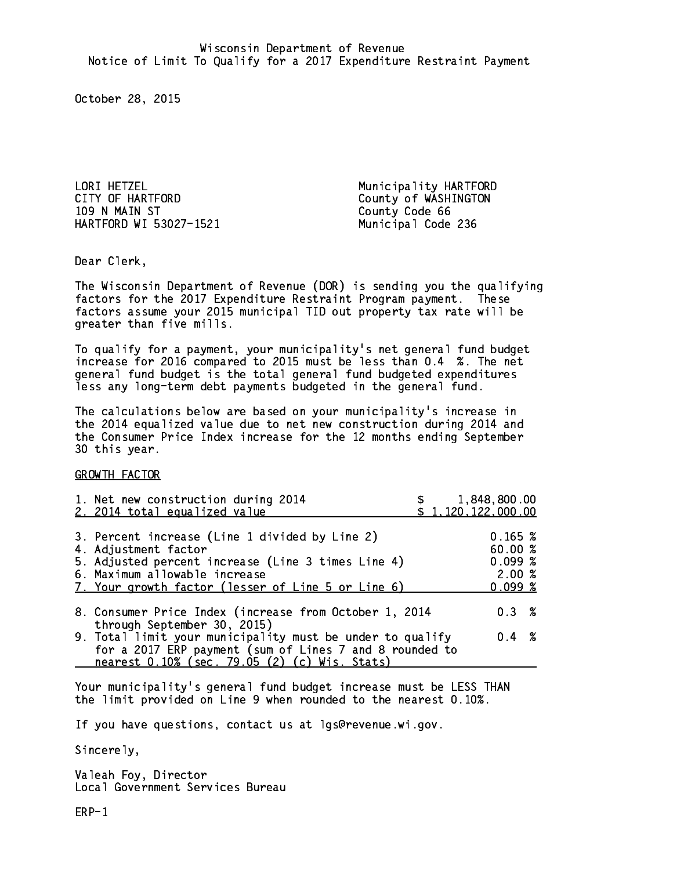LORI HETZEL Municipality HARTFORD CITY OF HARTFORD COUNTY OF WASHINGTON 109 N MAIN ST County Code 66 HARTFORD WI 53027-1521 Municipal Code 236

Dear Clerk. Dear Clerk,

The Wisconsin Department of Revenue (DOR) is sending you the qualifying factors for the 2017 Expenditure Restraint Program payment. These factors assume your 2015 municipal TID out property tax rate will be greater than five mills.

 To qualify for a payment, your municipality's net general fund budget increase for 2016 compared to 2015 must be less than 0.4 %. The net general fund budget is the total general fund budgeted expenditures less any long-term debt payments budgeted in the general fund.

The calculations below are based on your municipality's increase in the 2014 equalized value due to net new construction during 2014 and the Consumer Price Index increase for the 12 months ending September 30 this year. 30 this year.

GROWTH FACTOR

| 1. Net new construction during 2014<br>2. 2014 total equalized value                                                                                                                                                | 1,848,800.00<br>\$1,120,122,000.00             |  |
|---------------------------------------------------------------------------------------------------------------------------------------------------------------------------------------------------------------------|------------------------------------------------|--|
| 3. Percent increase (Line 1 divided by Line 2)<br>4. Adjustment factor<br>5. Adjusted percent increase (Line 3 times Line 4)<br>6. Maximum allowable increase<br>7. Your growth factor (lesser of Line 5 or Line 6) | 0.165~%<br>60.00%<br>0.099%<br>2.00%<br>0.099% |  |
| 8. Consumer Price Index (increase from October 1, 2014<br>through September 30, 2015)                                                                                                                               | $0.3 \t%$                                      |  |
| 9. Total limit your municipality must be under to qualify<br>for a 2017 ERP payment (sum of Lines 7 and 8 rounded to<br>nearest 0.10% (sec. 79.05 (2) (c) Wis. Stats)                                               | $0.4 \t%$                                      |  |

Your municipality's general fund budget increase must be LESS THAN the limit provided on Line 9 when rounded to the nearest 0.10%.

If you have questions, contact us at lgs@revenue.wi.gov.

Sincerely,

Valeah Foy, Director Local Government Services Bureau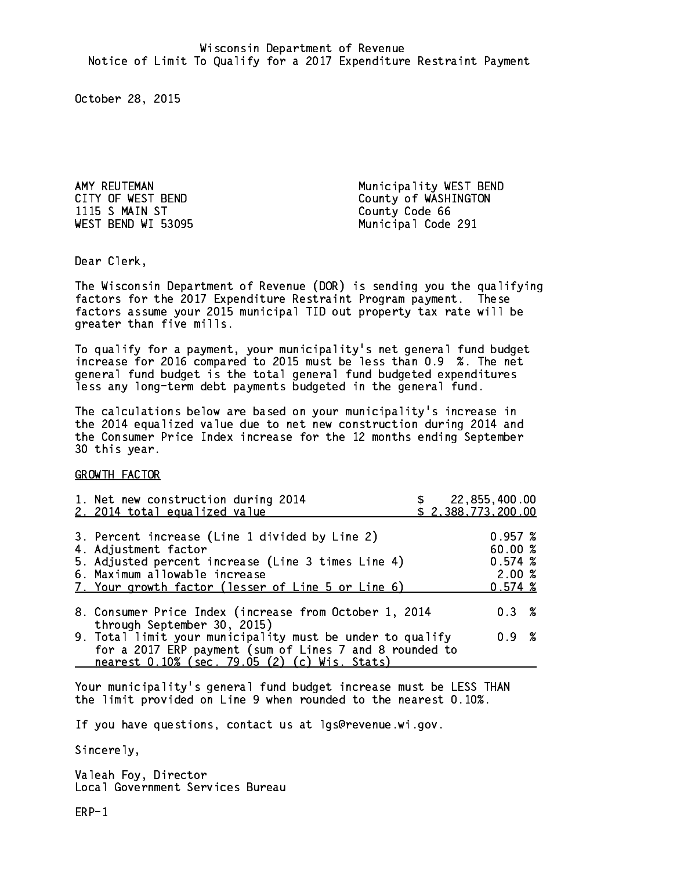1115 S MAIN ST County Code 66

AMY REUTEMAN Municipality WEST BEND CITY OF WEST BEND County of WASHINGTON WEST BEND WI 53095 Municipal Code 291

Dear Clerk. Dear Clerk,

The Wisconsin Department of Revenue (DOR) is sending you the qualifying factors for the 2017 Expenditure Restraint Program payment. These factors assume your 2015 municipal TID out property tax rate will be greater than five mills.

 To qualify for a payment, your municipality's net general fund budget increase for 2016 compared to 2015 must be less than 0.9 %. The net general fund budget is the total general fund budgeted expenditures less any long-term debt payments budgeted in the general fund.

The calculations below are based on your municipality's increase in the 2014 equalized value due to net new construction during 2014 and the Consumer Price Index increase for the 12 months ending September 30 this year. 30 this year.

GROWTH FACTOR

| 1. Net new construction during 2014<br>2. 2014 total equalized value                                                                                                                                                | 22,855,400.00<br>\$2,388,773,200.00      |           |  |
|---------------------------------------------------------------------------------------------------------------------------------------------------------------------------------------------------------------------|------------------------------------------|-----------|--|
| 3. Percent increase (Line 1 divided by Line 2)<br>4. Adjustment factor<br>5. Adjusted percent increase (Line 3 times Line 4)<br>6. Maximum allowable increase<br>7. Your growth factor (lesser of Line 5 or Line 6) | 0.957~%<br>60.00 %<br>0.574~%<br>0.574~% | 2.00%     |  |
| 8. Consumer Price Index (increase from October 1, 2014<br>through September 30, 2015)                                                                                                                               |                                          | $0.3 \t%$ |  |
| 9. Total limit your municipality must be under to qualify<br>for a 2017 ERP payment (sum of Lines 7 and 8 rounded to<br>nearest 0.10% (sec. 79.05 (2) (c) Wis. Stats)                                               |                                          | 0.9 %     |  |

Your municipality's general fund budget increase must be LESS THAN the limit provided on Line 9 when rounded to the nearest 0.10%.

If you have questions, contact us at lgs@revenue.wi.gov.

Sincerely,

Valeah Foy, Director Local Government Services Bureau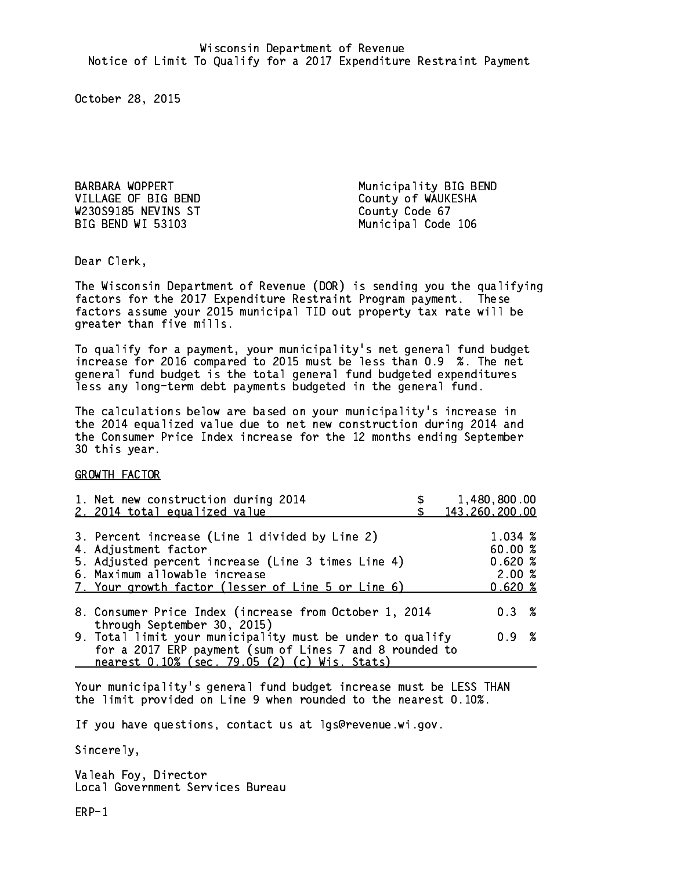BARBARA WOPPERT **Municipality BIG BEND** VILLAGE OF BIG BEND County of WAUKESHA W230S9185 NEVINS ST County Code 67 BIG BEND WI 53103 Municipal Code 106

Dear Clerk. Dear Clerk,

The Wisconsin Department of Revenue (DOR) is sending you the qualifying factors for the 2017 Expenditure Restraint Program payment. These factors assume your 2015 municipal TID out property tax rate will be greater than five mills.

 To qualify for a payment, your municipality's net general fund budget increase for 2016 compared to 2015 must be less than 0.9 %. The net general fund budget is the total general fund budgeted expenditures less any long-term debt payments budgeted in the general fund.

The calculations below are based on your municipality's increase in the 2014 equalized value due to net new construction during 2014 and the Consumer Price Index increase for the 12 months ending September 30 this year. 30 this year.

GROWTH FACTOR

| 1. Net new construction during 2014<br>2. 2014 total equalized value                                                                                                                                                | 1,480,800.00<br>143,260,200.00                 |
|---------------------------------------------------------------------------------------------------------------------------------------------------------------------------------------------------------------------|------------------------------------------------|
| 3. Percent increase (Line 1 divided by Line 2)<br>4. Adjustment factor<br>5. Adjusted percent increase (Line 3 times Line 4)<br>6. Maximum allowable increase<br>7. Your growth factor (lesser of Line 5 or Line 6) | 1.034 %<br>60.00%<br>0.620%<br>2.00%<br>0.620% |
| 8. Consumer Price Index (increase from October 1, 2014                                                                                                                                                              | 0.3%                                           |
| through September 30, 2015)<br>9. Total limit your municipality must be under to qualify<br>for a 2017 ERP payment (sum of Lines 7 and 8 rounded to<br>nearest 0.10% (sec. 79.05 (2) (c) Wis. Stats)                | 0.9 %                                          |

Your municipality's general fund budget increase must be LESS THAN the limit provided on Line 9 when rounded to the nearest 0.10%.

If you have questions, contact us at lgs@revenue.wi.gov.

Sincerely,

Valeah Foy, Director Local Government Services Bureau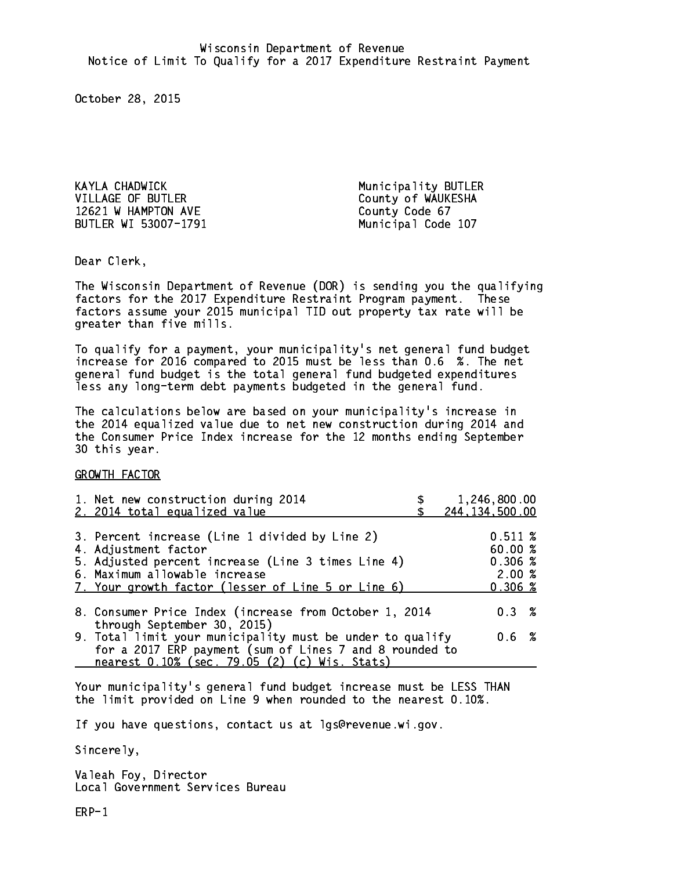KAYLA CHADWICK Municipality BUTLER VILLAGE OF BUTLER County of WAUKESHA 12621 W HAMPTON AVE County Code 67 BUTLER WI 53007-1791 Municipal Code 107

Dear Clerk. Dear Clerk,

The Wisconsin Department of Revenue (DOR) is sending you the qualifying factors for the 2017 Expenditure Restraint Program payment. These factors assume your 2015 municipal TID out property tax rate will be greater than five mills.

 To qualify for a payment, your municipality's net general fund budget increase for 2016 compared to 2015 must be less than 0.6 %. The net general fund budget is the total general fund budgeted expenditures less any long-term debt payments budgeted in the general fund.

The calculations below are based on your municipality's increase in the 2014 equalized value due to net new construction during 2014 and the Consumer Price Index increase for the 12 months ending September 30 this year. 30 this year.

GROWTH FACTOR

| 1. Net new construction during 2014<br>2. 2014 total equalized value                                                                                                                                                | 1,246,800.00<br>244, 134, 500.00                                            |
|---------------------------------------------------------------------------------------------------------------------------------------------------------------------------------------------------------------------|-----------------------------------------------------------------------------|
| 3. Percent increase (Line 1 divided by Line 2)<br>4. Adjustment factor<br>5. Adjusted percent increase (Line 3 times Line 4)<br>6. Maximum allowable increase<br>7. Your growth factor (lesser of Line 5 or Line 6) | 0.511~%<br>60.00 %<br>$0.306 \; \text{\%}$<br>2.00%<br>$0.306 \; \text{\%}$ |
| 8. Consumer Price Index (increase from October 1, 2014                                                                                                                                                              | 0.3%                                                                        |
| through September 30, 2015)<br>9. Total limit your municipality must be under to qualify<br>for a 2017 ERP payment (sum of Lines 7 and 8 rounded to<br>nearest 0.10% (sec. 79.05 (2) (c) Wis. Stats)                | $0.6\;{\;}\;%$                                                              |

Your municipality's general fund budget increase must be LESS THAN the limit provided on Line 9 when rounded to the nearest 0.10%.

If you have questions, contact us at lgs@revenue.wi.gov.

Sincerely,

Valeah Foy, Director Local Government Services Bureau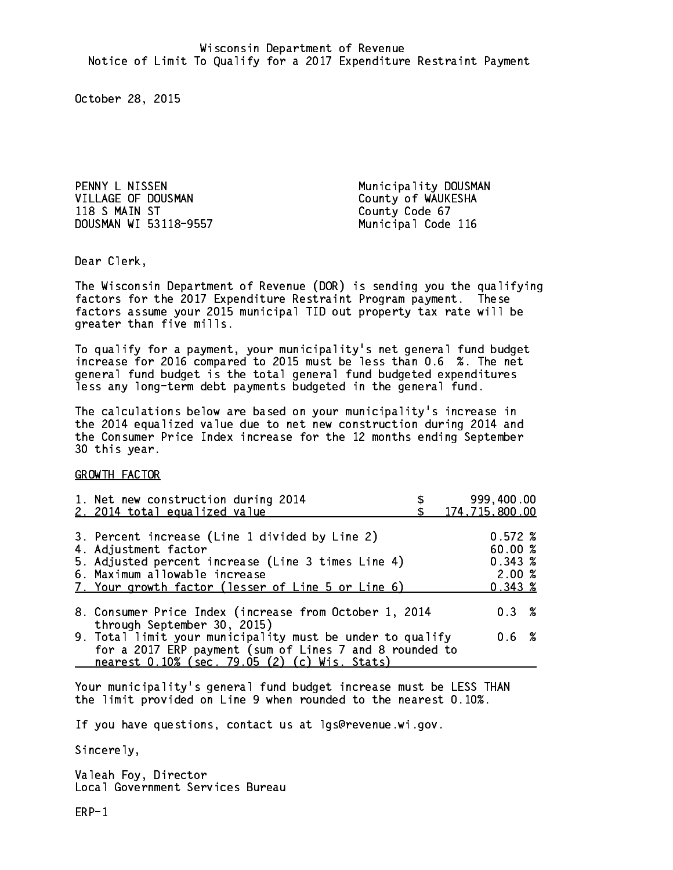PENNY L NISSEN Municipality DOUSMAN VILLAGE OF DOUSMAN County of WAUKESHA 118 S MAIN ST County Code 67 DOUSMAN WI 53118-9557 Municipal Code 116

Dear Clerk. Dear Clerk,

The Wisconsin Department of Revenue (DOR) is sending you the qualifying factors for the 2017 Expenditure Restraint Program payment. These factors assume your 2015 municipal TID out property tax rate will be greater than five mills.

 To qualify for a payment, your municipality's net general fund budget increase for 2016 compared to 2015 must be less than 0.6 %. The net general fund budget is the total general fund budgeted expenditures less any long-term debt payments budgeted in the general fund.

The calculations below are based on your municipality's increase in the 2014 equalized value due to net new construction during 2014 and the Consumer Price Index increase for the 12 months ending September 30 this year. 30 this year.

GROWTH FACTOR

| 1. Net new construction during 2014<br>2. 2014 total equalized value                                                                                                                                                | 999,400.00<br>174,715,800.00                    |
|---------------------------------------------------------------------------------------------------------------------------------------------------------------------------------------------------------------------|-------------------------------------------------|
| 3. Percent increase (Line 1 divided by Line 2)<br>4. Adjustment factor<br>5. Adjusted percent increase (Line 3 times Line 4)<br>6. Maximum allowable increase<br>7. Your growth factor (lesser of Line 5 or Line 6) | 0.572%<br>60.00%<br>0.343~%<br>2.00%<br>0.343~% |
| 8. Consumer Price Index (increase from October 1, 2014<br>through September 30, 2015)                                                                                                                               | $0.3 \t%$                                       |
| 9. Total limit your municipality must be under to qualify<br>for a 2017 ERP payment (sum of Lines 7 and 8 rounded to<br>nearest 0.10% (sec. 79.05 (2) (c) Wis. Stats)                                               | 0.6 %                                           |

Your municipality's general fund budget increase must be LESS THAN the limit provided on Line 9 when rounded to the nearest 0.10%.

If you have questions, contact us at lgs@revenue.wi.gov.

Sincerely,

Valeah Foy, Director Local Government Services Bureau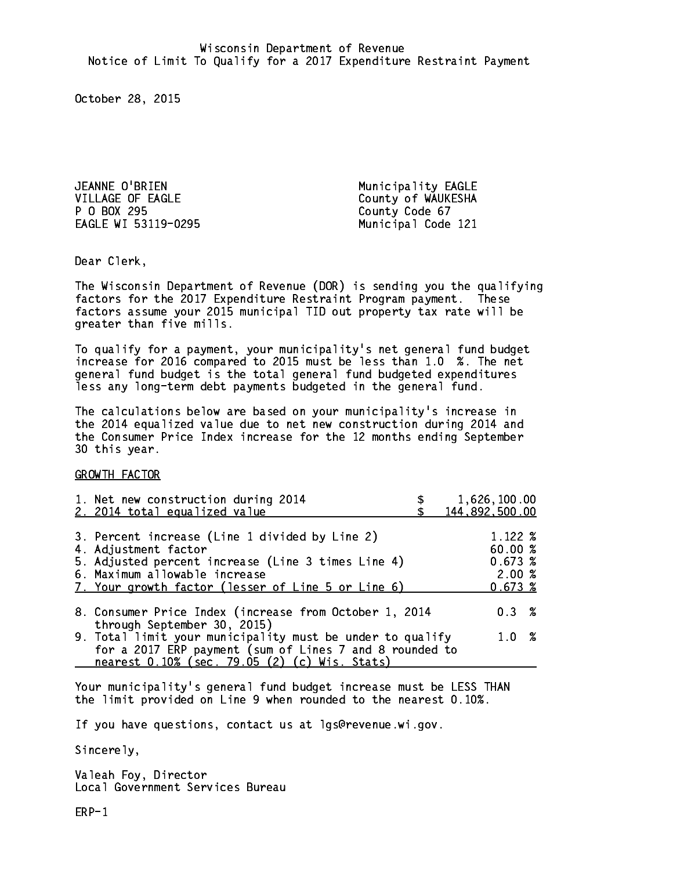JEANNE O'BRIEN Municipality EAGLE VILLAGE OF EAGLE County of WAUKESHA P O BOX 295 County Code 67 EAGLE WI 53119-0295 Municipal Code 121

Dear Clerk. Dear Clerk,

The Wisconsin Department of Revenue (DOR) is sending you the qualifying factors for the 2017 Expenditure Restraint Program payment. These factors assume your 2015 municipal TID out property tax rate will be greater than five mills.

 To qualify for a payment, your municipality's net general fund budget increase for 2016 compared to 2015 must be less than 1.0 %. The net general fund budget is the total general fund budgeted expenditures less any long-term debt payments budgeted in the general fund.

The calculations below are based on your municipality's increase in the 2014 equalized value due to net new construction during 2014 and the Consumer Price Index increase for the 12 months ending September 30 this year. 30 this year.

GROWTH FACTOR

| 1. Net new construction during 2014<br>2. 2014 total equalized value                                                                                                                                                | 1,626,100.00<br>144,892,500.00                        |
|---------------------------------------------------------------------------------------------------------------------------------------------------------------------------------------------------------------------|-------------------------------------------------------|
| 3. Percent increase (Line 1 divided by Line 2)<br>4. Adjustment factor<br>5. Adjusted percent increase (Line 3 times Line 4)<br>6. Maximum allowable increase<br>7. Your growth factor (lesser of Line 5 or Line 6) | $1.122 \;$ %<br>60.00%<br>0.673~%<br>2.00%<br>0.673~% |
| 8. Consumer Price Index (increase from October 1, 2014<br>through September 30, 2015)                                                                                                                               | $0.3 \t%$                                             |
| 9. Total limit your municipality must be under to qualify<br>for a 2017 ERP payment (sum of Lines 7 and 8 rounded to                                                                                                | 1.0 %                                                 |
| nearest 0.10% (sec. 79.05 (2) (c) Wis. Stats)                                                                                                                                                                       |                                                       |

Your municipality's general fund budget increase must be LESS THAN the limit provided on Line 9 when rounded to the nearest 0.10%.

If you have questions, contact us at lgs@revenue.wi.gov.

Sincerely,

Valeah Foy, Director Local Government Services Bureau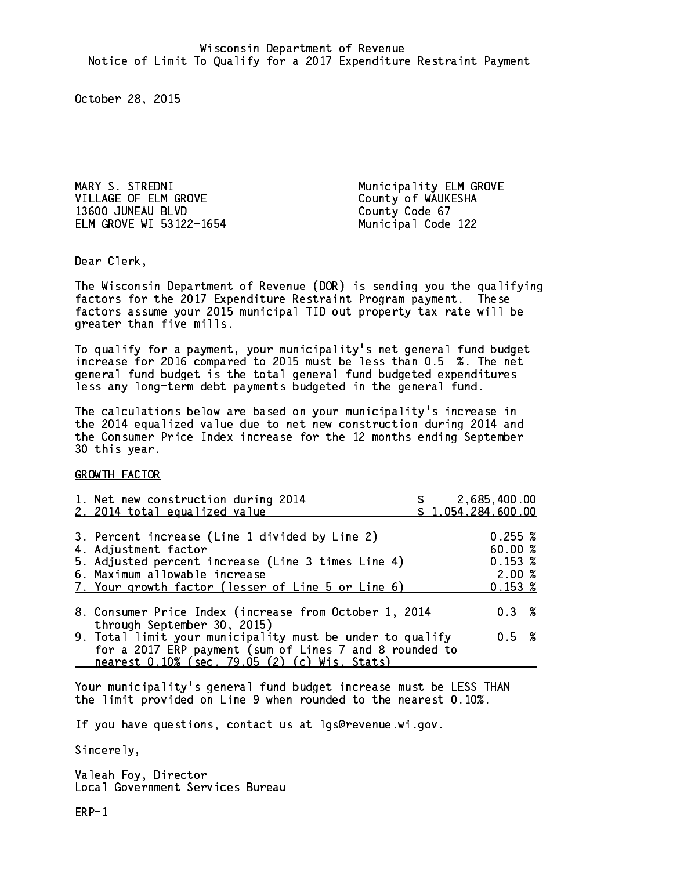MARY S. STREDNI Municipality ELM GROVE VILLAGE OF ELM GROVE County of WAUKESHA 13600 JUNEAU BLVD County Code 67 ELM GROVE WI 53122-1654 Municipal Code 122

Dear Clerk. Dear Clerk,

The Wisconsin Department of Revenue (DOR) is sending you the qualifying factors for the 2017 Expenditure Restraint Program payment. These factors assume your 2015 municipal TID out property tax rate will be greater than five mills.

 To qualify for a payment, your municipality's net general fund budget increase for 2016 compared to 2015 must be less than 0.5 %. The net general fund budget is the total general fund budgeted expenditures less any long-term debt payments budgeted in the general fund.

The calculations below are based on your municipality's increase in the 2014 equalized value due to net new construction during 2014 and the Consumer Price Index increase for the 12 months ending September 30 this year. 30 this year.

GROWTH FACTOR

| 1. Net new construction during 2014<br>2. 2014 total equalized value                                                                                                                                                | 2,685,400.00<br>\$1,054,284,600.00                     |  |
|---------------------------------------------------------------------------------------------------------------------------------------------------------------------------------------------------------------------|--------------------------------------------------------|--|
| 3. Percent increase (Line 1 divided by Line 2)<br>4. Adjustment factor<br>5. Adjusted percent increase (Line 3 times Line 4)<br>6. Maximum allowable increase<br>7. Your growth factor (lesser of Line 5 or Line 6) | 0.255~%<br>60.00 %<br>0.153~%<br>2.00%<br>$0.153 \;$ % |  |
| 8. Consumer Price Index (increase from October 1, 2014                                                                                                                                                              | $0.3 \t%$                                              |  |
| through September 30, 2015)<br>9. Total limit your municipality must be under to qualify<br>for a 2017 ERP payment (sum of Lines 7 and 8 rounded to<br>nearest 0.10% (sec. 79.05 (2) (c) Wis. Stats)                | $0.5 \t%$                                              |  |

Your municipality's general fund budget increase must be LESS THAN the limit provided on Line 9 when rounded to the nearest 0.10%.

If you have questions, contact us at lgs@revenue.wi.gov.

Sincerely,

Valeah Foy, Director Local Government Services Bureau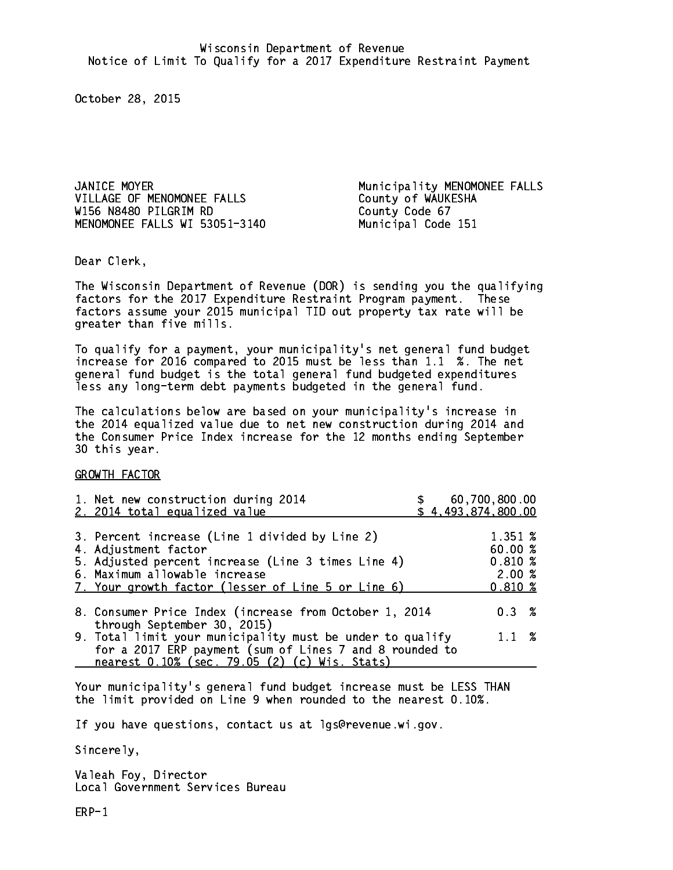JANICE MOYER Municipality MENOMONEE FALLS VILLAGE OF MENOMONEE FALLS County of WAUKESHA W156 N8480 PILGRIM RD County Code 67 MENOMONEE FALLS WI 53051-3140 Municipal Code 151

Dear Clerk. Dear Clerk,

The Wisconsin Department of Revenue (DOR) is sending you the qualifying factors for the 2017 Expenditure Restraint Program payment. These factors assume your 2015 municipal TID out property tax rate will be greater than five mills.

 To qualify for a payment, your municipality's net general fund budget increase for 2016 compared to 2015 must be less than 1.1 %. The net general fund budget is the total general fund budgeted expenditures less any long-term debt payments budgeted in the general fund.

The calculations below are based on your municipality's increase in the 2014 equalized value due to net new construction during 2014 and the Consumer Price Index increase for the 12 months ending September 30 this year. 30 this year.

GROWTH FACTOR

| 3. Percent increase (Line 1 divided by Line 2)<br>1.351 %<br>60.00%<br>4. Adjustment factor<br>0.810%<br>5. Adjusted percent increase (Line 3 times Line 4)<br>2.00%<br>6. Maximum allowable increase<br>$0.810*$<br>7. Your growth factor (lesser of Line 5 or Line 6)<br>0.3%<br>8. Consumer Price Index (increase from October 1, 2014 | 60,700,800.00<br>\$4,493,874,800.00 |
|-------------------------------------------------------------------------------------------------------------------------------------------------------------------------------------------------------------------------------------------------------------------------------------------------------------------------------------------|-------------------------------------|
|                                                                                                                                                                                                                                                                                                                                           |                                     |
|                                                                                                                                                                                                                                                                                                                                           |                                     |
| through September 30, 2015)<br>$1.1 \t%$<br>9. Total limit your municipality must be under to qualify<br>for a 2017 ERP payment (sum of Lines 7 and 8 rounded to<br>nearest 0.10% (sec. 79.05 (2) (c) Wis. Stats)                                                                                                                         |                                     |

Your municipality's general fund budget increase must be LESS THAN the limit provided on Line 9 when rounded to the nearest 0.10%.

If you have questions, contact us at lgs@revenue.wi.gov.

Sincerely,

Valeah Foy, Director Local Government Services Bureau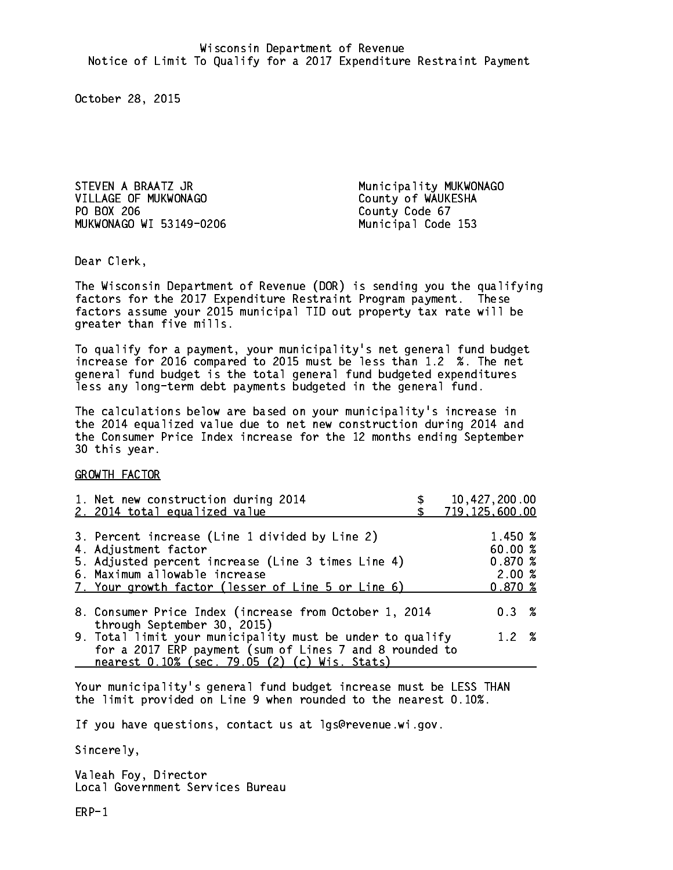STEVEN A BRAATZ JR Municipality MUKWONAGO VILLAGE OF MUKWONAGO County of WAUKESHA PO BOX 206 MUKWONAGO WI 53149-0206 Municipal Code 153

County Code 67

Dear Clerk. Dear Clerk,

The Wisconsin Department of Revenue (DOR) is sending you the qualifying factors for the 2017 Expenditure Restraint Program payment. These factors assume your 2015 municipal TID out property tax rate will be greater than five mills.

 To qualify for a payment, your municipality's net general fund budget increase for 2016 compared to 2015 must be less than 1.2 %. The net general fund budget is the total general fund budgeted expenditures less any long-term debt payments budgeted in the general fund.

The calculations below are based on your municipality's increase in the 2014 equalized value due to net new construction during 2014 and the Consumer Price Index increase for the 12 months ending September 30 this year. 30 this year.

GROWTH FACTOR

| 1. Net new construction during 2014<br>2. 2014 total equalized value                                                                                                                                                | 10,427,200.00<br>719,125,600.00                 |  |
|---------------------------------------------------------------------------------------------------------------------------------------------------------------------------------------------------------------------|-------------------------------------------------|--|
| 3. Percent increase (Line 1 divided by Line 2)<br>4. Adjustment factor<br>5. Adjusted percent increase (Line 3 times Line 4)<br>6. Maximum allowable increase<br>7. Your growth factor (lesser of Line 5 or Line 6) | 1.450 %<br>60.00%<br>0.870~%<br>2.00%<br>0.870% |  |
| 8. Consumer Price Index (increase from October 1, 2014                                                                                                                                                              | $0.3 \t%$                                       |  |
| through September 30, 2015)<br>9. Total limit your municipality must be under to qualify<br>for a 2017 ERP payment (sum of Lines 7 and 8 rounded to<br>nearest 0.10% (sec. 79.05 (2) (c) Wis. Stats)                | 1.2%                                            |  |

Your municipality's general fund budget increase must be LESS THAN the limit provided on Line 9 when rounded to the nearest 0.10%.

If you have questions, contact us at lgs@revenue.wi.gov.

Sincerely,

Valeah Foy, Director Local Government Services Bureau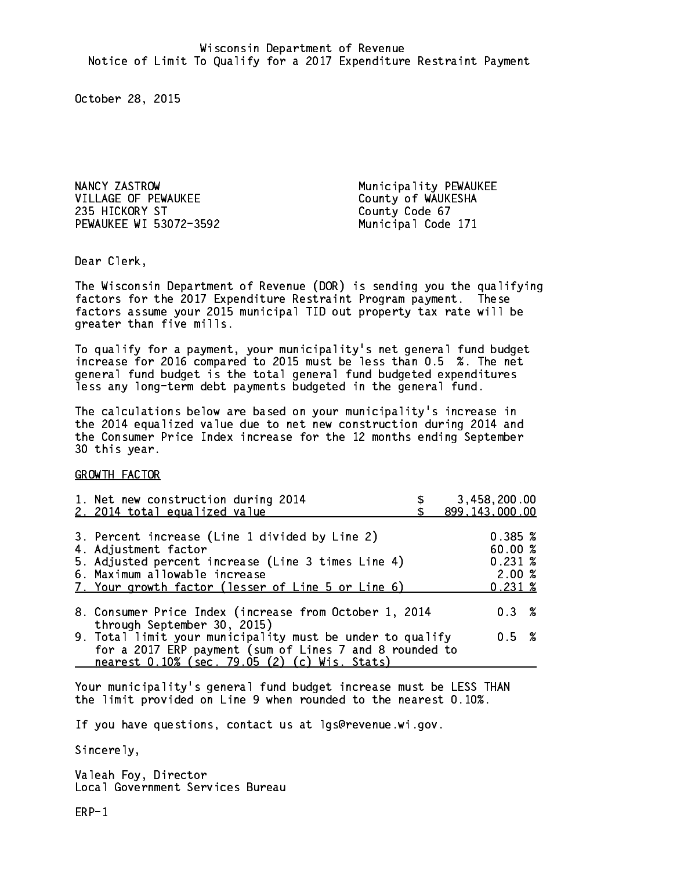NANCY ZASTROW Municipality PEWAUKEE VILLAGE OF PEWAUKEE County of WAUKESHA 235 HICKORY ST County Code 67 PEWAUKEE WI 53072-3592 Municipal Code 171

Dear Clerk. Dear Clerk,

The Wisconsin Department of Revenue (DOR) is sending you the qualifying factors for the 2017 Expenditure Restraint Program payment. These factors assume your 2015 municipal TID out property tax rate will be greater than five mills.

 To qualify for a payment, your municipality's net general fund budget increase for 2016 compared to 2015 must be less than 0.5 %. The net general fund budget is the total general fund budgeted expenditures less any long-term debt payments budgeted in the general fund.

The calculations below are based on your municipality's increase in the 2014 equalized value due to net new construction during 2014 and the Consumer Price Index increase for the 12 months ending September 30 this year. 30 this year.

GROWTH FACTOR

| 1. Net new construction during 2014<br>2. 2014 total equalized value                                                                                                                                                | 3,458,200.00<br>899, 143, 000.00                            |
|---------------------------------------------------------------------------------------------------------------------------------------------------------------------------------------------------------------------|-------------------------------------------------------------|
| 3. Percent increase (Line 1 divided by Line 2)<br>4. Adjustment factor<br>5. Adjusted percent increase (Line 3 times Line 4)<br>6. Maximum allowable increase<br>7. Your growth factor (lesser of Line 5 or Line 6) | 0.385~%<br>60.00 %<br>$0.231 \;$ %<br>2.00%<br>$0.231 \; %$ |
| 8. Consumer Price Index (increase from October 1, 2014<br>through September 30, 2015)                                                                                                                               | 0.3%                                                        |
| 9. Total limit your municipality must be under to qualify<br>for a 2017 ERP payment (sum of Lines 7 and 8 rounded to<br>nearest 0.10% (sec. 79.05 (2) (c) Wis. Stats)                                               | $0.5 \t%$                                                   |

Your municipality's general fund budget increase must be LESS THAN the limit provided on Line 9 when rounded to the nearest 0.10%.

If you have questions, contact us at lgs@revenue.wi.gov.

Sincerely,

Valeah Foy, Director Local Government Services Bureau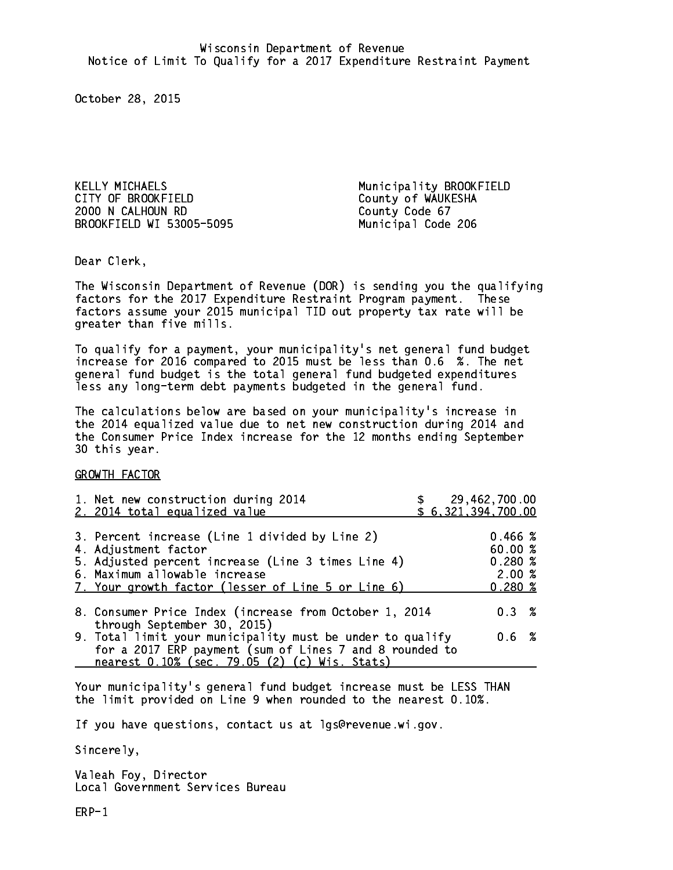KELLY MICHAELS Municipality BROOKFIELD CITY OF BROOKFIELD COUNTY OF WAUKESHA 2000 N CALHOUN RD County Code 67 BROOKFIELD WI 53005-5095 Municipal Code 206

Dear Clerk. Dear Clerk,

The Wisconsin Department of Revenue (DOR) is sending you the qualifying factors for the 2017 Expenditure Restraint Program payment. These factors assume your 2015 municipal TID out property tax rate will be greater than five mills.

 To qualify for a payment, your municipality's net general fund budget increase for 2016 compared to 2015 must be less than 0.6 %. The net general fund budget is the total general fund budgeted expenditures less any long-term debt payments budgeted in the general fund.

The calculations below are based on your municipality's increase in the 2014 equalized value due to net new construction during 2014 and the Consumer Price Index increase for the 12 months ending September 30 this year. 30 this year.

GROWTH FACTOR

| 1. Net new construction during 2014<br>2. 2014 total equalized value                                                                                                                                                | \$ 29,462,700.00<br>\$6,321,394,700.00 |                                                 |  |
|---------------------------------------------------------------------------------------------------------------------------------------------------------------------------------------------------------------------|----------------------------------------|-------------------------------------------------|--|
| 3. Percent increase (Line 1 divided by Line 2)<br>4. Adjustment factor<br>5. Adjusted percent increase (Line 3 times Line 4)<br>6. Maximum allowable increase<br>7. Your growth factor (lesser of Line 5 or Line 6) |                                        | 0.466~%<br>60.00 %<br>0.280%<br>2.00%<br>0.280% |  |
| 8. Consumer Price Index (increase from October 1, 2014                                                                                                                                                              |                                        | 0.3%                                            |  |
| through September 30, 2015)<br>9. Total limit your municipality must be under to qualify<br>for a 2017 ERP payment (sum of Lines 7 and 8 rounded to<br>nearest 0.10% (sec. 79.05 (2) (c) Wis. Stats)                |                                        | $0.6\;$ %                                       |  |

Your municipality's general fund budget increase must be LESS THAN the limit provided on Line 9 when rounded to the nearest 0.10%.

If you have questions, contact us at lgs@revenue.wi.gov.

Sincerely,

Valeah Foy, Director Local Government Services Bureau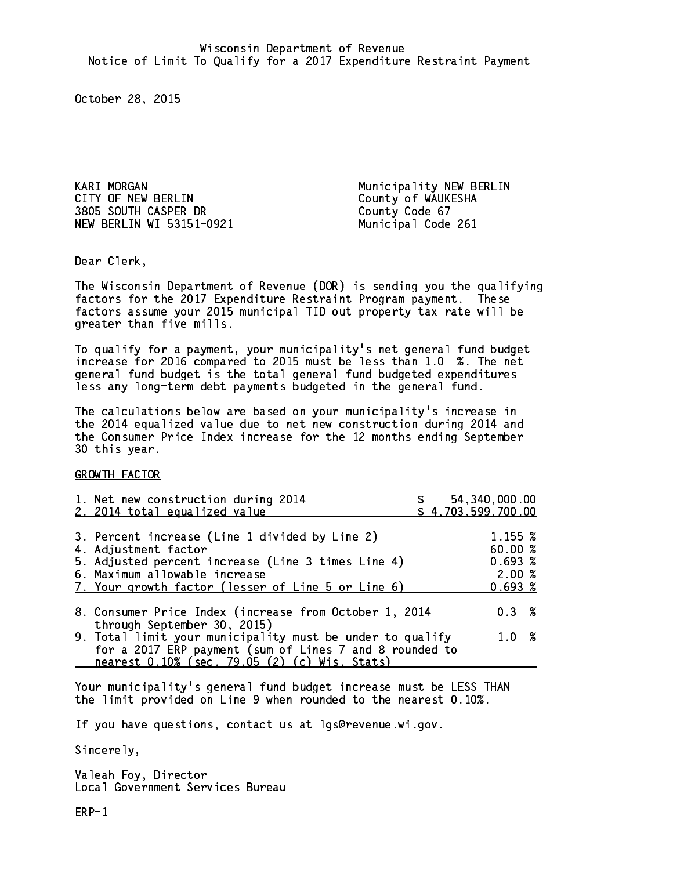KARI MORGAN MUNICIPALITY NEW BERLIN CITY OF NEW BERLIN COUNTY OF WAUKESHA 3805 SOUTH CASPER DR County Code 67 NEW BERLIN WI 53151-0921 Municipal Code 261

Dear Clerk. Dear Clerk,

The Wisconsin Department of Revenue (DOR) is sending you the qualifying factors for the 2017 Expenditure Restraint Program payment. These factors assume your 2015 municipal TID out property tax rate will be greater than five mills.

 To qualify for a payment, your municipality's net general fund budget increase for 2016 compared to 2015 must be less than 1.0 %. The net general fund budget is the total general fund budgeted expenditures less any long-term debt payments budgeted in the general fund.

The calculations below are based on your municipality's increase in the 2014 equalized value due to net new construction during 2014 and the Consumer Price Index increase for the 12 months ending September 30 this year. 30 this year.

GROWTH FACTOR

| 1. Net new construction during 2014<br>2. 2014 total equalized value                                                                                                                                                | 54,340,000.00<br>\$4,703,599,700.00              |  |
|---------------------------------------------------------------------------------------------------------------------------------------------------------------------------------------------------------------------|--------------------------------------------------|--|
| 3. Percent increase (Line 1 divided by Line 2)<br>4. Adjustment factor<br>5. Adjusted percent increase (Line 3 times Line 4)<br>6. Maximum allowable increase<br>7. Your growth factor (lesser of Line 5 or Line 6) | 1.155 %<br>60.00%<br>0.693%<br>2.00%<br>$0.693*$ |  |
| 8. Consumer Price Index (increase from October 1, 2014<br>through September 30, 2015)                                                                                                                               | $0.3 \t%$                                        |  |
| 9. Total limit your municipality must be under to qualify<br>for a 2017 ERP payment (sum of Lines 7 and 8 rounded to<br>nearest 0.10% (sec. 79.05 (2) (c) Wis. Stats)                                               | $1.0 \t%$                                        |  |

Your municipality's general fund budget increase must be LESS THAN the limit provided on Line 9 when rounded to the nearest 0.10%.

If you have questions, contact us at lgs@revenue.wi.gov.

Sincerely,

Valeah Foy, Director Local Government Services Bureau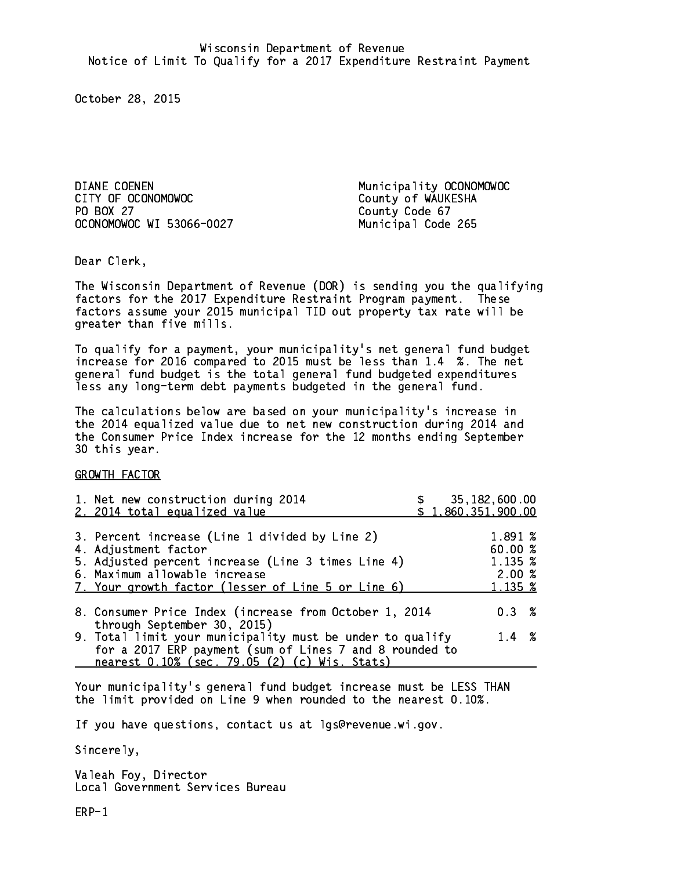DIANE COENEN Municipality OCONOMOWOC CITY OF OCONOMOWOC COUNTY OF WAUKESHA PO BOX 27 PO BOX 27 County Code 67 OCONOMOWOC WI 53066-0027 Municipal Code 265

Dear Clerk. Dear Clerk,

The Wisconsin Department of Revenue (DOR) is sending you the qualifying factors for the 2017 Expenditure Restraint Program payment. These factors assume your 2015 municipal TID out property tax rate will be greater than five mills.

 To qualify for a payment, your municipality's net general fund budget increase for 2016 compared to 2015 must be less than 1.4 %. The net general fund budget is the total general fund budgeted expenditures less any long-term debt payments budgeted in the general fund.

The calculations below are based on your municipality's increase in the 2014 equalized value due to net new construction during 2014 and the Consumer Price Index increase for the 12 months ending September 30 this year. 30 this year.

GROWTH FACTOR

| 1. Net new construction during 2014<br>2. 2014 total equalized value                                                                                                                                                |  | 35,182,600.00<br>\$1,860,351,900.00               |  |
|---------------------------------------------------------------------------------------------------------------------------------------------------------------------------------------------------------------------|--|---------------------------------------------------|--|
| 3. Percent increase (Line 1 divided by Line 2)<br>4. Adjustment factor<br>5. Adjusted percent increase (Line 3 times Line 4)<br>6. Maximum allowable increase<br>7. Your growth factor (lesser of Line 5 or Line 6) |  | 1.891 %<br>60.00 %<br>1.135 %<br>2.00%<br>1.135 % |  |
| 8. Consumer Price Index (increase from October 1, 2014<br>through September 30, 2015)                                                                                                                               |  | $0.3 \t%$                                         |  |
| 9. Total limit your municipality must be under to qualify<br>for a 2017 ERP payment (sum of Lines 7 and 8 rounded to<br>nearest 0.10% (sec. 79.05 (2) (c) Wis. Stats)                                               |  | $1.4 \t%$                                         |  |

Your municipality's general fund budget increase must be LESS THAN the limit provided on Line 9 when rounded to the nearest 0.10%.

If you have questions, contact us at lgs@revenue.wi.gov.

Sincerely,

Valeah Foy, Director Local Government Services Bureau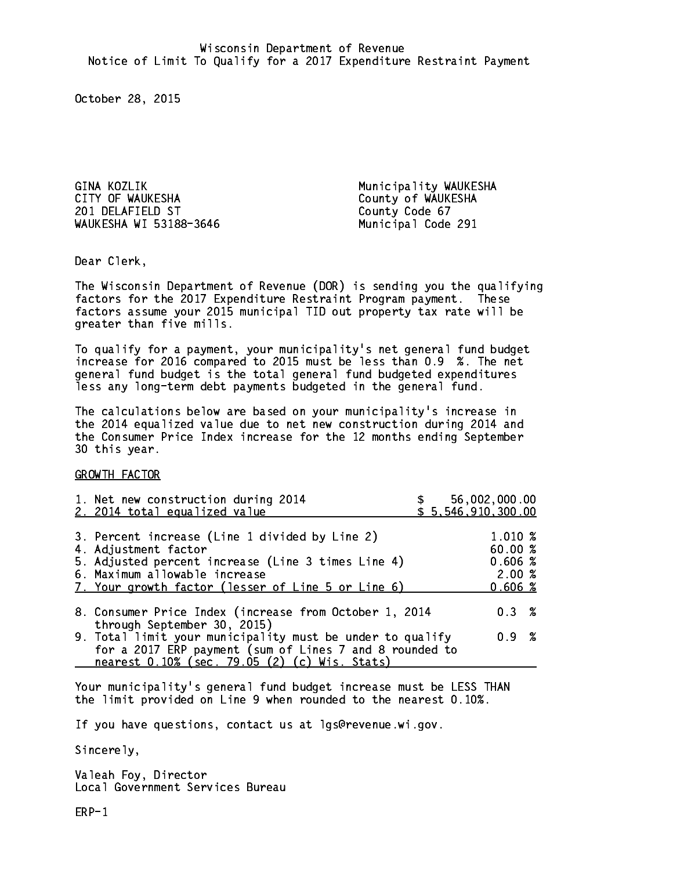GINA KOZLIK Municipality WAUKESHA CITY OF WAUKESHA COUNTY OF WAUKESHA 201 DELAFIELD ST County Code 67 WAUKESHA WI 53188-3646 Municipal Code 291

Dear Clerk. Dear Clerk,

The Wisconsin Department of Revenue (DOR) is sending you the qualifying factors for the 2017 Expenditure Restraint Program payment. These factors assume your 2015 municipal TID out property tax rate will be greater than five mills.

 To qualify for a payment, your municipality's net general fund budget increase for 2016 compared to 2015 must be less than 0.9 %. The net general fund budget is the total general fund budgeted expenditures less any long-term debt payments budgeted in the general fund.

The calculations below are based on your municipality's increase in the 2014 equalized value due to net new construction during 2014 and the Consumer Price Index increase for the 12 months ending September 30 this year. 30 this year.

GROWTH FACTOR

| 1. Net new construction during 2014<br>2. 2014 total equalized value                                                                                                                                                |  | \$56,002,000.00<br>\$5,546,910,300.00          |  |
|---------------------------------------------------------------------------------------------------------------------------------------------------------------------------------------------------------------------|--|------------------------------------------------|--|
| 3. Percent increase (Line 1 divided by Line 2)<br>4. Adjustment factor<br>5. Adjusted percent increase (Line 3 times Line 4)<br>6. Maximum allowable increase<br>7. Your growth factor (lesser of Line 5 or Line 6) |  | 1.010 %<br>60.00%<br>0.606%<br>2.00%<br>0.606% |  |
| 8. Consumer Price Index (increase from October 1, 2014<br>through September 30, 2015)                                                                                                                               |  | $0.3 \t%$                                      |  |
| 9. Total limit your municipality must be under to qualify<br>for a 2017 ERP payment (sum of Lines 7 and 8 rounded to<br>nearest 0.10% (sec. 79.05 (2) (c) Wis. Stats)                                               |  | 0.9 %                                          |  |

Your municipality's general fund budget increase must be LESS THAN the limit provided on Line 9 when rounded to the nearest 0.10%.

If you have questions, contact us at lgs@revenue.wi.gov.

Sincerely,

Valeah Foy, Director Local Government Services Bureau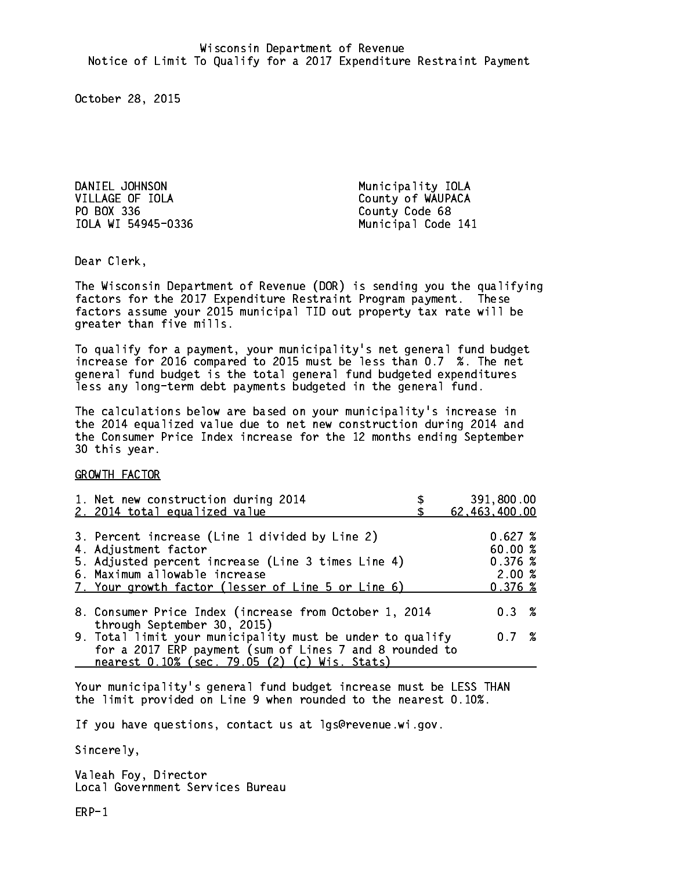DANIEL JOHNSON Municipality IOLA VILLAGE OF IOLA County of WAUPACA PO BOX 336 County Code 68

IOLA WI 54945-0336 Municipal Code 141

Dear Clerk. Dear Clerk,

The Wisconsin Department of Revenue (DOR) is sending you the qualifying factors for the 2017 Expenditure Restraint Program payment. These factors assume your 2015 municipal TID out property tax rate will be greater than five mills.

 To qualify for a payment, your municipality's net general fund budget increase for 2016 compared to 2015 must be less than 0.7 %. The net general fund budget is the total general fund budgeted expenditures less any long-term debt payments budgeted in the general fund.

The calculations below are based on your municipality's increase in the 2014 equalized value due to net new construction during 2014 and the Consumer Price Index increase for the 12 months ending September 30 this year. 30 this year.

GROWTH FACTOR

| 1. Net new construction during 2014<br>2. 2014 total equalized value                                                                                                                                                | 391,800.00<br>62,463,400.00                     |
|---------------------------------------------------------------------------------------------------------------------------------------------------------------------------------------------------------------------|-------------------------------------------------|
| 3. Percent increase (Line 1 divided by Line 2)<br>4. Adjustment factor<br>5. Adjusted percent increase (Line 3 times Line 4)<br>6. Maximum allowable increase<br>7. Your growth factor (lesser of Line 5 or Line 6) | 0.627%<br>60.00%<br>0.376~%<br>2.00%<br>0.376~% |
| 8. Consumer Price Index (increase from October 1, 2014                                                                                                                                                              | 0.3%                                            |
| through September 30, 2015)<br>9. Total limit your municipality must be under to qualify<br>for a 2017 ERP payment (sum of Lines 7 and 8 rounded to<br>nearest 0.10% (sec. 79.05 (2) (c) Wis. Stats)                | 0.7%                                            |

Your municipality's general fund budget increase must be LESS THAN the limit provided on Line 9 when rounded to the nearest 0.10%.

If you have questions, contact us at lgs@revenue.wi.gov.

Sincerely,

Valeah Foy, Director Local Government Services Bureau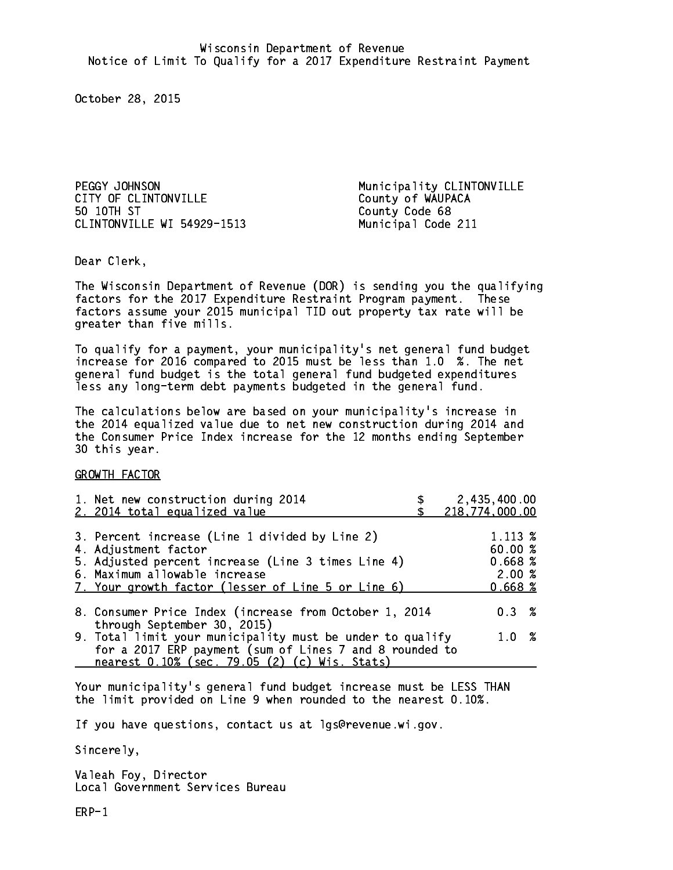PEGGY JOHNSON **Municipality CLINTONVILLE** CITY OF CLINTONVILLE COUNTY OF WAUPACA 50 10TH ST CLINTONVILLE WI 54929-1513 Municipal Code 211

County Code 68

Dear Clerk. Dear Clerk,

The Wisconsin Department of Revenue (DOR) is sending you the qualifying factors for the 2017 Expenditure Restraint Program payment. These factors assume your 2015 municipal TID out property tax rate will be greater than five mills.

 To qualify for a payment, your municipality's net general fund budget increase for 2016 compared to 2015 must be less than 1.0 %. The net general fund budget is the total general fund budgeted expenditures less any long-term debt payments budgeted in the general fund.

The calculations below are based on your municipality's increase in the 2014 equalized value due to net new construction during 2014 and the Consumer Price Index increase for the 12 months ending September 30 this year. 30 this year.

GROWTH FACTOR

| 1. Net new construction during 2014<br>2. 2014 total equalized value                                                                                                                                                | 2,435,400.00<br>218,774,000.00                    |
|---------------------------------------------------------------------------------------------------------------------------------------------------------------------------------------------------------------------|---------------------------------------------------|
| 3. Percent increase (Line 1 divided by Line 2)<br>4. Adjustment factor<br>5. Adjusted percent increase (Line 3 times Line 4)<br>6. Maximum allowable increase<br>7. Your growth factor (lesser of Line 5 or Line 6) | 1.113 %<br>60.00 %<br>0.668~%<br>2.00%<br>0.668~% |
| 8. Consumer Price Index (increase from October 1, 2014                                                                                                                                                              | 0.3%                                              |
| through September 30, 2015)<br>9. Total limit your municipality must be under to qualify<br>for a 2017 ERP payment (sum of Lines 7 and 8 rounded to<br>nearest 0.10% (sec. 79.05 (2) (c) Wis. Stats)                | 1.0 %                                             |

Your municipality's general fund budget increase must be LESS THAN the limit provided on Line 9 when rounded to the nearest 0.10%.

If you have questions, contact us at lgs@revenue.wi.gov.

Sincerely,

Valeah Foy, Director Local Government Services Bureau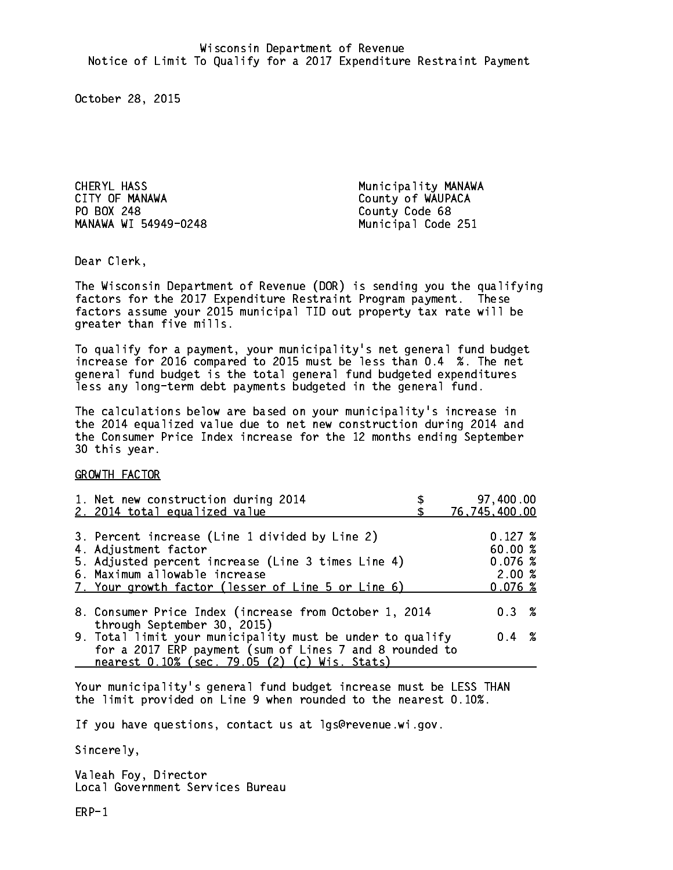CHERYL HASS Municipality MANAWA CITY OF MANAWA COUNTY OF WAUPACA PO BOX 248 County Code 68 MANAWA WI 54949-0248 Municipal Code 251

Dear Clerk. Dear Clerk,

The Wisconsin Department of Revenue (DOR) is sending you the qualifying factors for the 2017 Expenditure Restraint Program payment. These factors assume your 2015 municipal TID out property tax rate will be greater than five mills.

 To qualify for a payment, your municipality's net general fund budget increase for 2016 compared to 2015 must be less than 0.4 %. The net general fund budget is the total general fund budgeted expenditures less any long-term debt payments budgeted in the general fund.

The calculations below are based on your municipality's increase in the 2014 equalized value due to net new construction during 2014 and the Consumer Price Index increase for the 12 months ending September 30 this year. 30 this year.

GROWTH FACTOR

| 1. Net new construction during 2014<br>2. 2014 total equalized value                                                                                                                                                | 97,400.00<br>76,745,400.00                             |
|---------------------------------------------------------------------------------------------------------------------------------------------------------------------------------------------------------------------|--------------------------------------------------------|
| 3. Percent increase (Line 1 divided by Line 2)<br>4. Adjustment factor<br>5. Adjusted percent increase (Line 3 times Line 4)<br>6. Maximum allowable increase<br>7. Your growth factor (lesser of Line 5 or Line 6) | $0.127 \;$ %<br>60.00 %<br>0.076~%<br>2.00%<br>0.076~% |
| 8. Consumer Price Index (increase from October 1, 2014                                                                                                                                                              | $0.3 \t%$                                              |
| through September 30, 2015)<br>9. Total limit your municipality must be under to qualify<br>for a 2017 ERP payment (sum of Lines 7 and 8 rounded to<br>nearest 0.10% (sec. 79.05 (2) (c) Wis. Stats)                | $0.4 \t%$                                              |

Your municipality's general fund budget increase must be LESS THAN the limit provided on Line 9 when rounded to the nearest 0.10%.

If you have questions, contact us at lgs@revenue.wi.gov.

Sincerely,

Valeah Foy, Director Local Government Services Bureau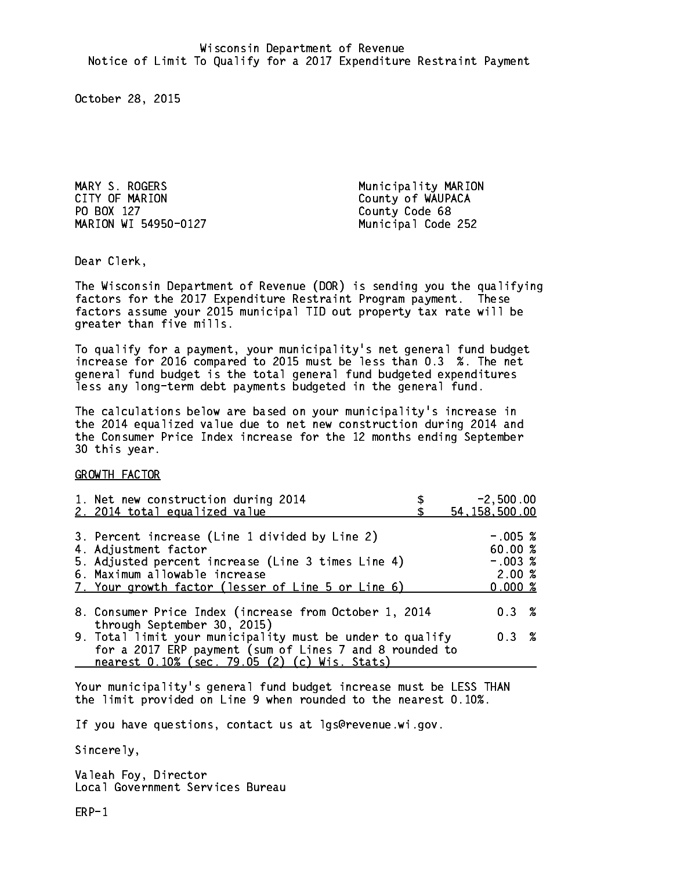PO BOX 127 County Code 68 MARION WI 54950-0127 Municipal Code 252

MARY S. ROGERS Municipality MARION County of WAUPACA

Dear Clerk. Dear Clerk,

The Wisconsin Department of Revenue (DOR) is sending you the qualifying factors for the 2017 Expenditure Restraint Program payment. These factors assume your 2015 municipal TID out property tax rate will be greater than five mills.

 To qualify for a payment, your municipality's net general fund budget increase for 2016 compared to 2015 must be less than 0.3 %. The net general fund budget is the total general fund budgeted expenditures less any long-term debt payments budgeted in the general fund.

The calculations below are based on your municipality's increase in the 2014 equalized value due to net new construction during 2014 and the Consumer Price Index increase for the 12 months ending September 30 this year. 30 this year.

GROWTH FACTOR

| 1. Net new construction during 2014<br>2. 2014 total equalized value                                                                                                                                                | $-2,500.00$<br>54, 158, 500.00                       |
|---------------------------------------------------------------------------------------------------------------------------------------------------------------------------------------------------------------------|------------------------------------------------------|
| 3. Percent increase (Line 1 divided by Line 2)<br>4. Adjustment factor<br>5. Adjusted percent increase (Line 3 times Line 4)<br>6. Maximum allowable increase<br>7. Your growth factor (lesser of Line 5 or Line 6) | $-.005$ %<br>60.00%<br>$-.003$ %<br>2.00%<br>0.000~% |
| 8. Consumer Price Index (increase from October 1, 2014<br>through September 30, 2015)                                                                                                                               | $0.3 \t%$                                            |
| 9. Total limit your municipality must be under to qualify<br>for a 2017 ERP payment (sum of Lines 7 and 8 rounded to<br>nearest 0.10% (sec. 79.05 (2) (c) Wis. Stats)                                               | 0.3%                                                 |

Your municipality's general fund budget increase must be LESS THAN the limit provided on Line 9 when rounded to the nearest 0.10%.

If you have questions, contact us at lgs@revenue.wi.gov.

Sincerely,

Valeah Foy, Director Local Government Services Bureau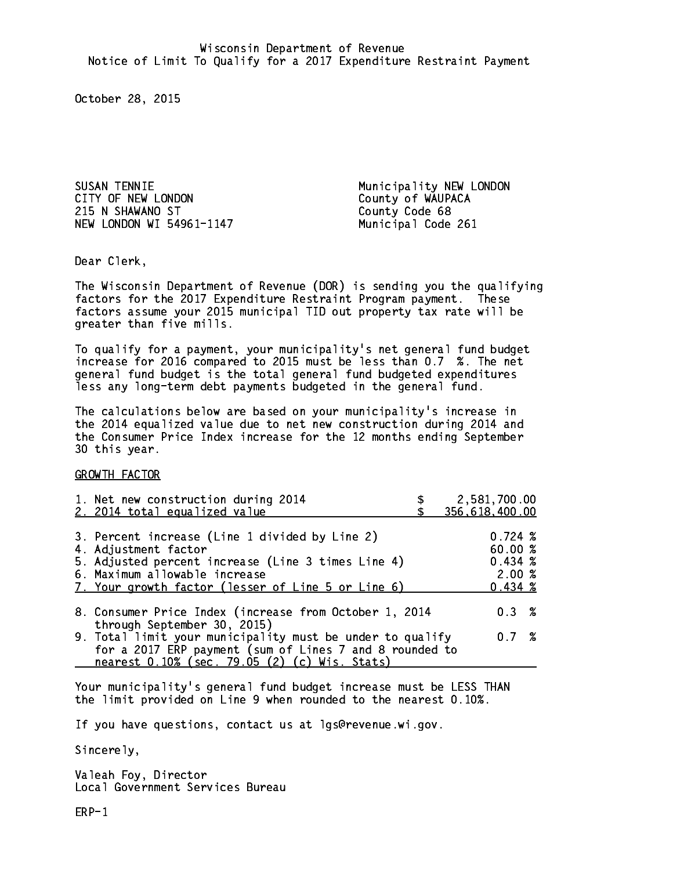SUSAN TENNIE Municipality NEW LONDON CITY OF NEW LONDON COUNTY OF WAUPACA 215 N SHAWANO ST County Code 68 NEW LONDON WI 54961-1147 Municipal Code 261

Dear Clerk. Dear Clerk,

The Wisconsin Department of Revenue (DOR) is sending you the qualifying factors for the 2017 Expenditure Restraint Program payment. These factors assume your 2015 municipal TID out property tax rate will be greater than five mills.

 To qualify for a payment, your municipality's net general fund budget increase for 2016 compared to 2015 must be less than 0.7 %. The net general fund budget is the total general fund budgeted expenditures less any long-term debt payments budgeted in the general fund.

The calculations below are based on your municipality's increase in the 2014 equalized value due to net new construction during 2014 and the Consumer Price Index increase for the 12 months ending September 30 this year. 30 this year.

GROWTH FACTOR

| 356,618,400.00<br>2. 2014 total equalized value                                                                                                                                                                     |                                                             | 2,581,700.00 |
|---------------------------------------------------------------------------------------------------------------------------------------------------------------------------------------------------------------------|-------------------------------------------------------------|--------------|
| 3. Percent increase (Line 1 divided by Line 2)<br>4. Adjustment factor<br>5. Adjusted percent increase (Line 3 times Line 4)<br>6. Maximum allowable increase<br>7. Your growth factor (lesser of Line 5 or Line 6) | $0.724 \;$ %<br>60.00 %<br>0.434~%<br>2.00%<br>$0.434 \; %$ |              |
| 8. Consumer Price Index (increase from October 1, 2014                                                                                                                                                              | $0.3 \t%$                                                   |              |
| through September 30, 2015)<br>9. Total limit your municipality must be under to qualify<br>for a 2017 ERP payment (sum of Lines 7 and 8 rounded to<br>nearest 0.10% (sec. 79.05 (2) (c) Wis. Stats)                | 0.7%                                                        |              |

Your municipality's general fund budget increase must be LESS THAN the limit provided on Line 9 when rounded to the nearest 0.10%.

If you have questions, contact us at lgs@revenue.wi.gov.

Sincerely,

Valeah Foy, Director Local Government Services Bureau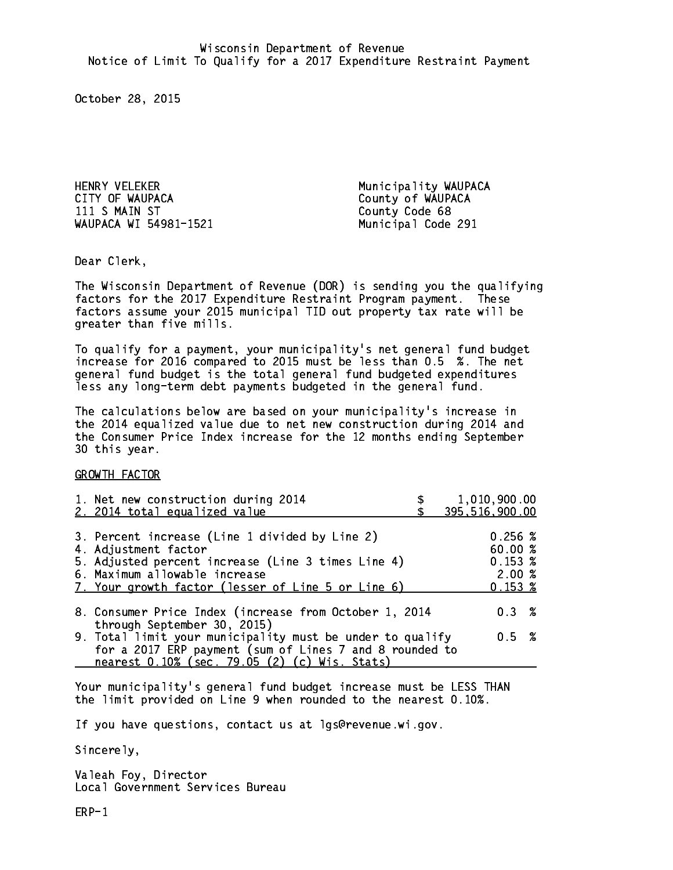HENRY VELEKER Municipality WAUPACA CITY OF WAUPACA County of WAUPACA WAUPACA WI 54981-1521 Municipal Code 291

County Code 68

Dear Clerk. Dear Clerk,

The Wisconsin Department of Revenue (DOR) is sending you the qualifying factors for the 2017 Expenditure Restraint Program payment. These factors assume your 2015 municipal TID out property tax rate will be greater than five mills.

 To qualify for a payment, your municipality's net general fund budget increase for 2016 compared to 2015 must be less than 0.5 %. The net general fund budget is the total general fund budgeted expenditures less any long-term debt payments budgeted in the general fund.

The calculations below are based on your municipality's increase in the 2014 equalized value due to net new construction during 2014 and the Consumer Price Index increase for the 12 months ending September 30 this year. 30 this year.

GROWTH FACTOR

| 1. Net new construction during 2014<br>2. 2014 total equalized value                                                                                                  | 1,010,900.00<br>395,516,900.00 |
|-----------------------------------------------------------------------------------------------------------------------------------------------------------------------|--------------------------------|
|                                                                                                                                                                       |                                |
| 3. Percent increase (Line 1 divided by Line 2)                                                                                                                        | 0.256~%                        |
| 4. Adjustment factor                                                                                                                                                  | 60.00 %                        |
| 5. Adjusted percent increase (Line 3 times Line 4)                                                                                                                    | 0.153~%                        |
| 6. Maximum allowable increase                                                                                                                                         | 2.00%                          |
| 7. Your growth factor (lesser of Line 5 or Line 6)                                                                                                                    | 0.153~%                        |
| 8. Consumer Price Index (increase from October 1, 2014                                                                                                                | $0.3 \t%$                      |
| through September 30, 2015)                                                                                                                                           |                                |
| 9. Total limit your municipality must be under to qualify<br>for a 2017 ERP payment (sum of Lines 7 and 8 rounded to<br>nearest 0.10% (sec. 79.05 (2) (c) Wis. Stats) | 0.5 %                          |

Your municipality's general fund budget increase must be LESS THAN the limit provided on Line 9 when rounded to the nearest 0.10%.

If you have questions, contact us at lgs@revenue.wi.gov.

Sincerely,

Valeah Foy, Director Local Government Services Bureau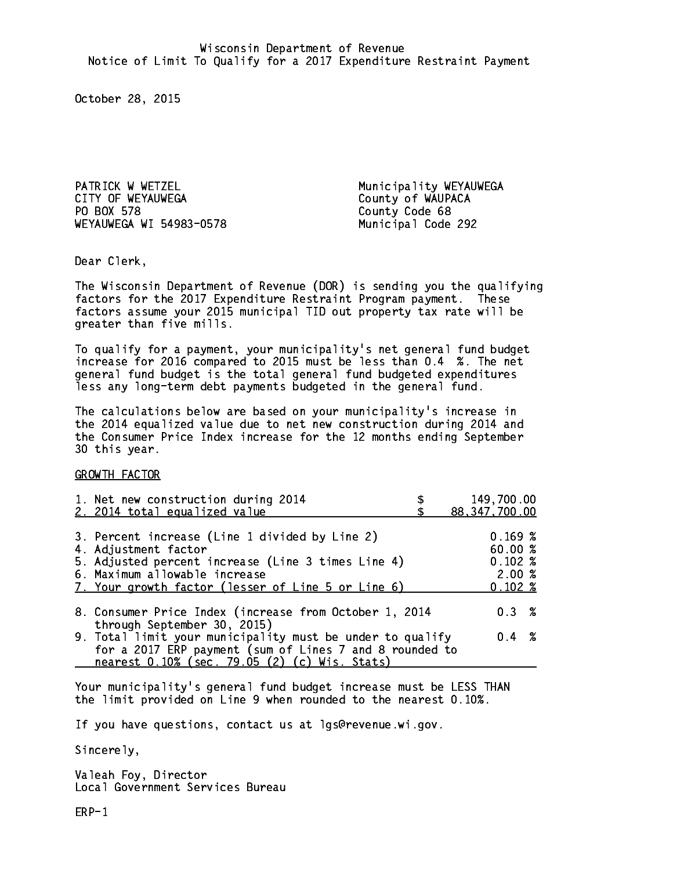PATRICK W WETZEL Municipality WEYAUWEGA CITY OF WEYAUWEGA COUNTY OF WAUPACA PO BOX 578 WEYAUWEGA WI 54983-0578 Municipal Code 292

County Code 68

Dear Clerk. Dear Clerk,

The Wisconsin Department of Revenue (DOR) is sending you the qualifying factors for the 2017 Expenditure Restraint Program payment. These factors assume your 2015 municipal TID out property tax rate will be greater than five mills.

 To qualify for a payment, your municipality's net general fund budget increase for 2016 compared to 2015 must be less than 0.4 %. The net general fund budget is the total general fund budgeted expenditures less any long-term debt payments budgeted in the general fund.

The calculations below are based on your municipality's increase in the 2014 equalized value due to net new construction during 2014 and the Consumer Price Index increase for the 12 months ending September 30 this year. 30 this year.

GROWTH FACTOR

| 1. Net new construction during 2014                                                                                                                                                                                 | 149,700.00                                           |
|---------------------------------------------------------------------------------------------------------------------------------------------------------------------------------------------------------------------|------------------------------------------------------|
| 2. 2014 total equalized value                                                                                                                                                                                       | 88, 347, 700.00                                      |
| 3. Percent increase (Line 1 divided by Line 2)<br>4. Adjustment factor<br>5. Adjusted percent increase (Line 3 times Line 4)<br>6. Maximum allowable increase<br>7. Your growth factor (lesser of Line 5 or Line 6) | 0.169~%<br>60.00%<br>$0.102 \;$ %<br>2.00%<br>0.102% |
| 8. Consumer Price Index (increase from October 1, 2014                                                                                                                                                              | $0.3 \t%$                                            |
| through September 30, 2015)<br>9. Total limit your municipality must be under to qualify<br>for a 2017 ERP payment (sum of Lines 7 and 8 rounded to<br>nearest 0.10% (sec. 79.05 (2) (c) Wis. Stats)                | $0.4 \t%$                                            |

Your municipality's general fund budget increase must be LESS THAN the limit provided on Line 9 when rounded to the nearest 0.10%.

If you have questions, contact us at lgs@revenue.wi.gov.

Sincerely,

Valeah Foy, Director Local Government Services Bureau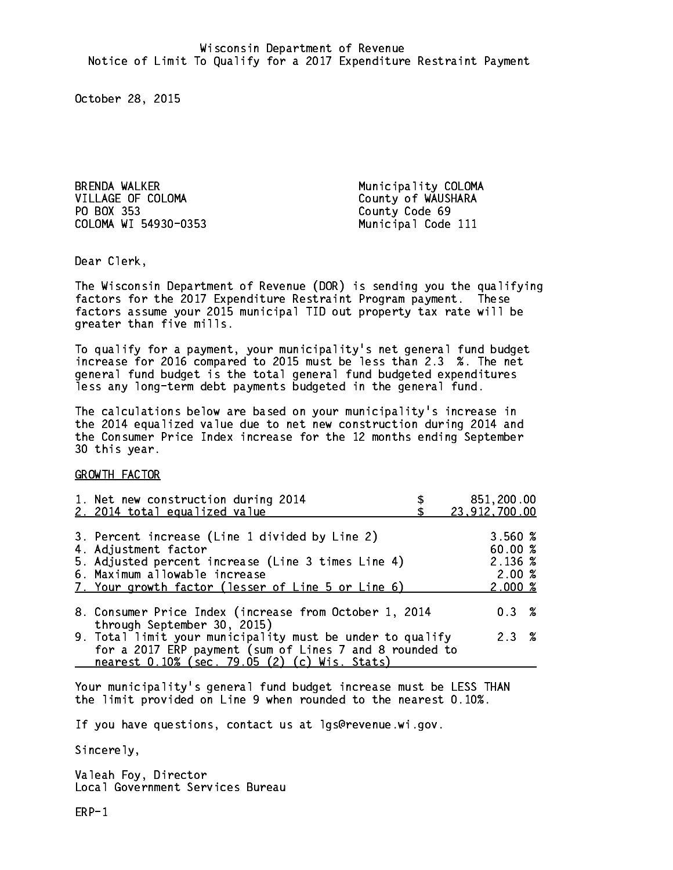BRENDA WALKER Municipality COLOMA VILLAGE OF COLOMA County of WAUSHARA PO BOX 353 County Code 69 COLOMA WI 54930-0353 Municipal Code 111

Dear Clerk. Dear Clerk,

The Wisconsin Department of Revenue (DOR) is sending you the qualifying factors for the 2017 Expenditure Restraint Program payment. These factors assume your 2015 municipal TID out property tax rate will be greater than five mills.

 To qualify for a payment, your municipality's net general fund budget increase for 2016 compared to 2015 must be less than 2.3 %. The net general fund budget is the total general fund budgeted expenditures less any long-term debt payments budgeted in the general fund.

The calculations below are based on your municipality's increase in the 2014 equalized value due to net new construction during 2014 and the Consumer Price Index increase for the 12 months ending September 30 this year. 30 this year.

GROWTH FACTOR

| 1. Net new construction during 2014<br>2. 2014 total equalized value                                                                                                                                                | 851,200.00<br>23, 912, 700.00                                 |
|---------------------------------------------------------------------------------------------------------------------------------------------------------------------------------------------------------------------|---------------------------------------------------------------|
| 3. Percent increase (Line 1 divided by Line 2)<br>4. Adjustment factor<br>5. Adjusted percent increase (Line 3 times Line 4)<br>6. Maximum allowable increase<br>7. Your growth factor (lesser of Line 5 or Line 6) | 3.560 %<br>60.00%<br>2.136 %<br>2.00%<br>$2.000 \; \text{\%}$ |
| 8. Consumer Price Index (increase from October 1, 2014<br>through September 30, 2015)                                                                                                                               | $0.3 \t%$                                                     |
| 9. Total limit your municipality must be under to qualify<br>for a 2017 ERP payment (sum of Lines 7 and 8 rounded to<br>nearest 0.10% (sec. 79.05 (2) (c) Wis. Stats)                                               | 2.3%                                                          |

Your municipality's general fund budget increase must be LESS THAN the limit provided on Line 9 when rounded to the nearest 0.10%.

If you have questions, contact us at lgs@revenue.wi.gov.

Sincerely,

Valeah Foy, Director Local Government Services Bureau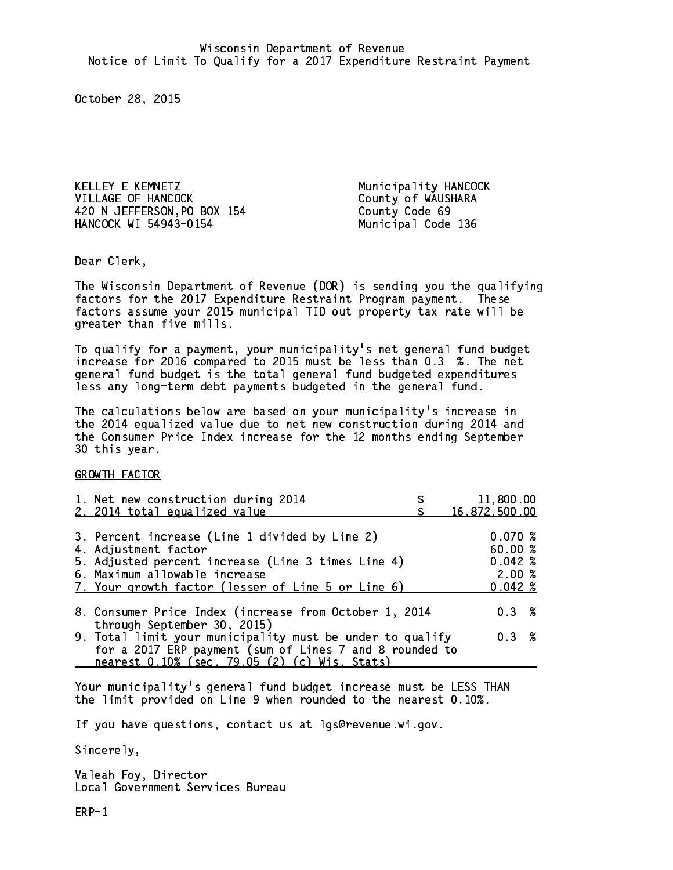KELLEY E KEMNETZ Municipality HANCOCK VILLAGE OF HANCOCK County of WAUSHARA 420 N JEFFERSON,PO BOX 154 County Code 69 HANCOCK WI 54943-0154 Municipal Code 136

Dear Clerk. Dear Clerk,

The Wisconsin Department of Revenue (DOR) is sending you the qualifying factors for the 2017 Expenditure Restraint Program payment. These factors assume your 2015 municipal TID out property tax rate will be greater than five mills.

 To qualify for a payment, your municipality's net general fund budget increase for 2016 compared to 2015 must be less than 0.3 %. The net general fund budget is the total general fund budgeted expenditures less any long-term debt payments budgeted in the general fund.

The calculations below are based on your municipality's increase in the 2014 equalized value due to net new construction during 2014 and the Consumer Price Index increase for the 12 months ending September 30 this year. 30 this year.

GROWTH FACTOR

| 16,872,500.00     |  |
|-------------------|--|
|                   |  |
| 0.070~%<br>60.00% |  |
| $0.042 \;$ %      |  |
| 2.00%             |  |
| $0.042 \; %$      |  |
| $0.3 \t%$         |  |
| 0.3 %             |  |
|                   |  |
|                   |  |

Your municipality's general fund budget increase must be LESS THAN the limit provided on Line 9 when rounded to the nearest 0.10%.

If you have questions, contact us at lgs@revenue.wi.gov.

Sincerely,

Valeah Foy, Director Local Government Services Bureau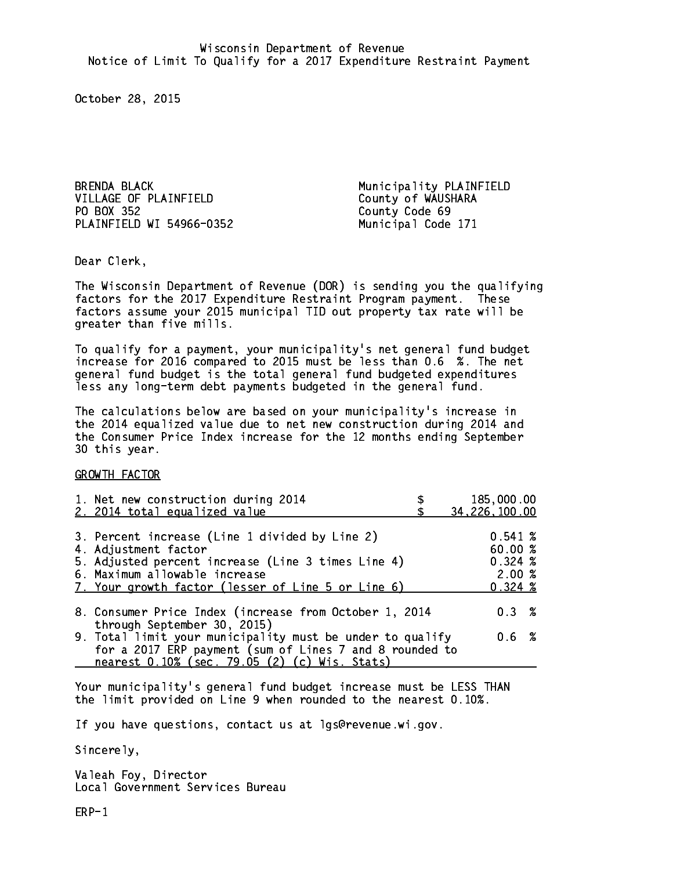BRENDA BLACK Municipality PLAINFIELD VILLAGE OF PLAINFIELD County of WAUSHARA PO BOX 352 PLAINFIELD WI 54966-0352 Municipal Code 171

County Code 69

Dear Clerk. Dear Clerk,

The Wisconsin Department of Revenue (DOR) is sending you the qualifying factors for the 2017 Expenditure Restraint Program payment. These factors assume your 2015 municipal TID out property tax rate will be greater than five mills.

 To qualify for a payment, your municipality's net general fund budget increase for 2016 compared to 2015 must be less than 0.6 %. The net general fund budget is the total general fund budgeted expenditures less any long-term debt payments budgeted in the general fund.

The calculations below are based on your municipality's increase in the 2014 equalized value due to net new construction during 2014 and the Consumer Price Index increase for the 12 months ending September 30 this year. 30 this year.

GROWTH FACTOR

| 1. Net new construction during 2014<br>2. 2014 total equalized value                                                                                                                                                | 185,000.00<br>34, 226, 100.00                         |  |
|---------------------------------------------------------------------------------------------------------------------------------------------------------------------------------------------------------------------|-------------------------------------------------------|--|
| 3. Percent increase (Line 1 divided by Line 2)<br>4. Adjustment factor<br>5. Adjusted percent increase (Line 3 times Line 4)<br>6. Maximum allowable increase<br>7. Your growth factor (lesser of Line 5 or Line 6) | 0.541~%<br>60.00%<br>0.324~%<br>2.00%<br>$0.324 \; %$ |  |
| 8. Consumer Price Index (increase from October 1, 2014                                                                                                                                                              | $0.3 \t%$                                             |  |
| through September 30, 2015)<br>9. Total limit your municipality must be under to qualify<br>for a 2017 ERP payment (sum of Lines 7 and 8 rounded to<br>nearest 0.10% (sec. 79.05 (2) (c) Wis. Stats)                | 0.6 %                                                 |  |

Your municipality's general fund budget increase must be LESS THAN the limit provided on Line 9 when rounded to the nearest 0.10%.

If you have questions, contact us at lgs@revenue.wi.gov.

Sincerely,

Valeah Foy, Director Local Government Services Bureau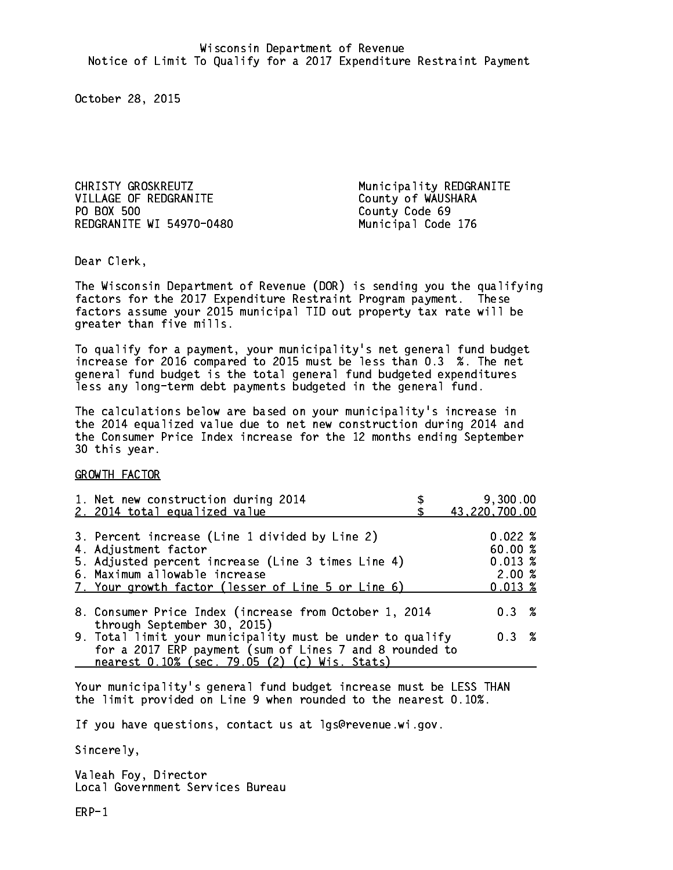CHRISTY GROSKREUTZ Municipality REDGRANITE VILLAGE OF REDGRANITE County of WAUSHARA PO BOX 500 REDGRANITE WI 54970-0480 Municipal Code 176

County Code 69

Dear Clerk. Dear Clerk,

The Wisconsin Department of Revenue (DOR) is sending you the qualifying factors for the 2017 Expenditure Restraint Program payment. These factors assume your 2015 municipal TID out property tax rate will be greater than five mills.

 To qualify for a payment, your municipality's net general fund budget increase for 2016 compared to 2015 must be less than 0.3 %. The net general fund budget is the total general fund budgeted expenditures less any long-term debt payments budgeted in the general fund.

The calculations below are based on your municipality's increase in the 2014 equalized value due to net new construction during 2014 and the Consumer Price Index increase for the 12 months ending September 30 this year. 30 this year.

GROWTH FACTOR

| 1. Net new construction during 2014                                                                                                                                                                                 | 9,300.00                                                  |
|---------------------------------------------------------------------------------------------------------------------------------------------------------------------------------------------------------------------|-----------------------------------------------------------|
| 2. 2014 total equalized value                                                                                                                                                                                       | 43,220,700.00                                             |
| 3. Percent increase (Line 1 divided by Line 2)<br>4. Adjustment factor<br>5. Adjusted percent increase (Line 3 times Line 4)<br>6. Maximum allowable increase<br>7. Your growth factor (lesser of Line 5 or Line 6) | 0.022%<br>60.00%<br>$0.013 \;$ %<br>2.00%<br>$0.013 \;$ % |
| 8. Consumer Price Index (increase from October 1, 2014                                                                                                                                                              | $0.3 \t%$                                                 |
| through September 30, 2015)<br>9. Total limit your municipality must be under to qualify<br>for a 2017 ERP payment (sum of Lines 7 and 8 rounded to<br>nearest 0.10% (sec. 79.05 (2) (c) Wis. Stats)                | 0.3 %                                                     |

Your municipality's general fund budget increase must be LESS THAN the limit provided on Line 9 when rounded to the nearest 0.10%.

If you have questions, contact us at lgs@revenue.wi.gov.

Sincerely,

Valeah Foy, Director Local Government Services Bureau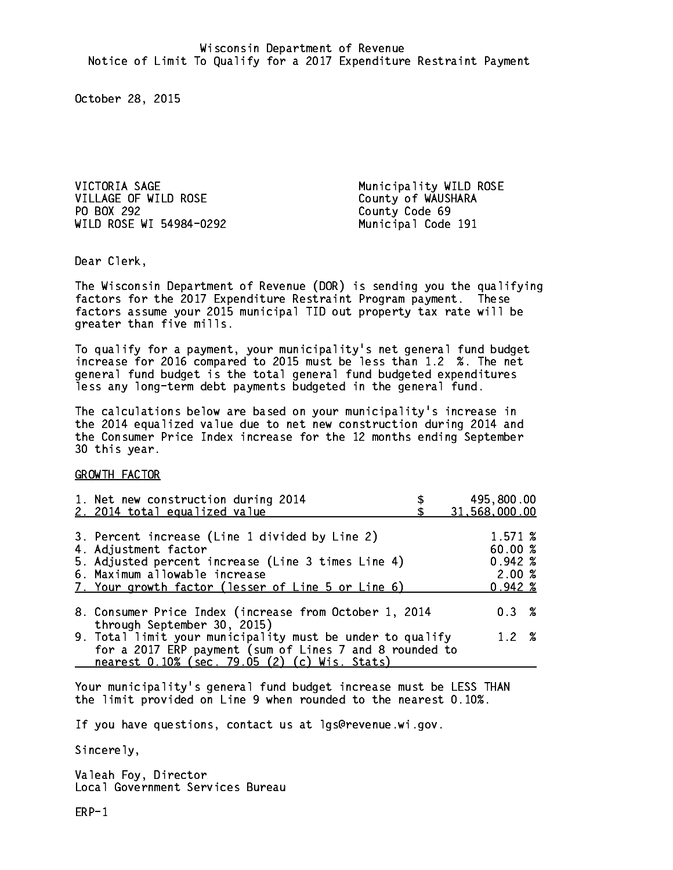VICTORIA SAGE Municipality WILD ROSE VILLAGE OF WILD ROSE County of WAUSHARA PO BOX 292 WILD ROSE WI 54984-0292 Municipal Code 191

County Code 69

Dear Clerk. Dear Clerk,

The Wisconsin Department of Revenue (DOR) is sending you the qualifying factors for the 2017 Expenditure Restraint Program payment. These factors assume your 2015 municipal TID out property tax rate will be greater than five mills.

 To qualify for a payment, your municipality's net general fund budget increase for 2016 compared to 2015 must be less than 1.2 %. The net general fund budget is the total general fund budgeted expenditures less any long-term debt payments budgeted in the general fund.

The calculations below are based on your municipality's increase in the 2014 equalized value due to net new construction during 2014 and the Consumer Price Index increase for the 12 months ending September 30 this year. 30 this year.

GROWTH FACTOR

| 1. Net new construction during 2014<br>2. 2014 total equalized value                                                                                                                                                | 495,800.00<br>31,568,000.00                                |
|---------------------------------------------------------------------------------------------------------------------------------------------------------------------------------------------------------------------|------------------------------------------------------------|
| 3. Percent increase (Line 1 divided by Line 2)<br>4. Adjustment factor<br>5. Adjusted percent increase (Line 3 times Line 4)<br>6. Maximum allowable increase<br>7. Your growth factor (lesser of Line 5 or Line 6) | 1.571 %<br>60.00%<br>$0.942 \; %$<br>2.00%<br>$0.942 \; %$ |
| 8. Consumer Price Index (increase from October 1, 2014<br>through September 30, 2015)                                                                                                                               | $0.3 \t%$                                                  |
| 9. Total limit your municipality must be under to qualify<br>for a 2017 ERP payment (sum of Lines 7 and 8 rounded to<br>nearest 0.10% (sec. 79.05 (2) (c) Wis. Stats)                                               | 1.2%                                                       |

Your municipality's general fund budget increase must be LESS THAN the limit provided on Line 9 when rounded to the nearest 0.10%.

If you have questions, contact us at lgs@revenue.wi.gov.

Sincerely,

Valeah Foy, Director Local Government Services Bureau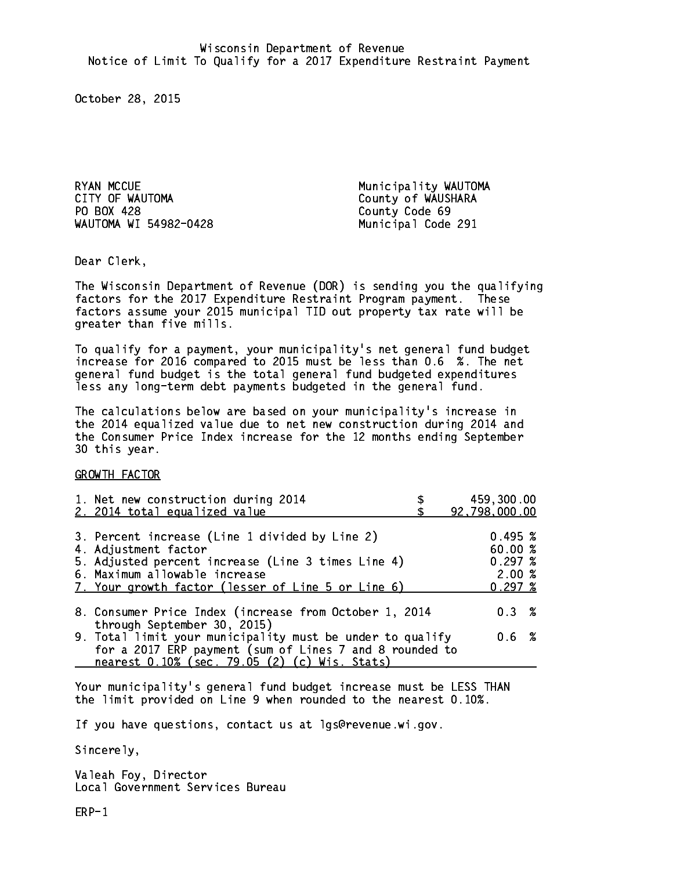RYAN MCCUE **Municipality WAUTOMA** CITY OF WAUTOMA COUNTY OF WAUSHARA PO BOX 428 County Code 69 WAUTOMA WI 54982-0428 Municipal Code 291

Dear Clerk. Dear Clerk,

The Wisconsin Department of Revenue (DOR) is sending you the qualifying factors for the 2017 Expenditure Restraint Program payment. These factors assume your 2015 municipal TID out property tax rate will be greater than five mills.

 To qualify for a payment, your municipality's net general fund budget increase for 2016 compared to 2015 must be less than 0.6 %. The net general fund budget is the total general fund budgeted expenditures less any long-term debt payments budgeted in the general fund.

The calculations below are based on your municipality's increase in the 2014 equalized value due to net new construction during 2014 and the Consumer Price Index increase for the 12 months ending September 30 this year. 30 this year.

GROWTH FACTOR

| 1. Net new construction during 2014<br>2. 2014 total equalized value                                                                                                                                                | 459,300.00<br>92,798,000.00                     |
|---------------------------------------------------------------------------------------------------------------------------------------------------------------------------------------------------------------------|-------------------------------------------------|
| 3. Percent increase (Line 1 divided by Line 2)<br>4. Adjustment factor<br>5. Adjusted percent increase (Line 3 times Line 4)<br>6. Maximum allowable increase<br>7. Your growth factor (lesser of Line 5 or Line 6) | 0.495~%<br>60.00%<br>0.297~%<br>2.00%<br>0.297% |
| 8. Consumer Price Index (increase from October 1, 2014<br>through September 30, 2015)                                                                                                                               | 0.3%                                            |
| 9. Total limit your municipality must be under to qualify<br>for a 2017 ERP payment (sum of Lines 7 and 8 rounded to<br>nearest 0.10% (sec. 79.05 (2) (c) Wis. Stats)                                               | 0.6 %                                           |

Your municipality's general fund budget increase must be LESS THAN the limit provided on Line 9 when rounded to the nearest 0.10%.

If you have questions, contact us at lgs@revenue.wi.gov.

Sincerely,

Valeah Foy, Director Local Government Services Bureau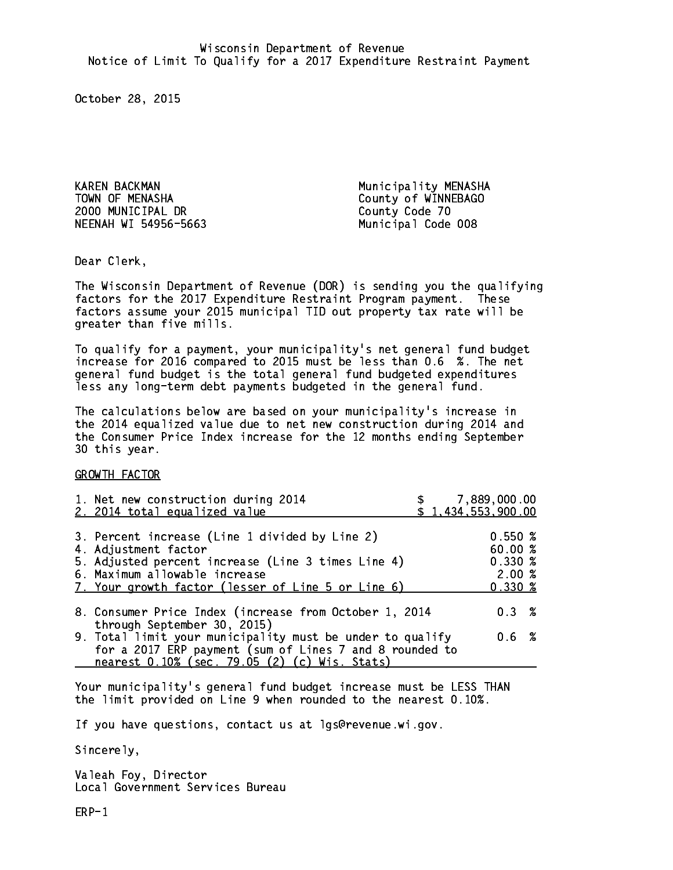KAREN BACKMAN Municipality MENASHA TOWN OF MENASHA County of WINNEBAGO 2000 MUNICIPAL DR County Code 70 NEENAH WI 54956-5663 Municipal Code 008

Dear Clerk. Dear Clerk,

The Wisconsin Department of Revenue (DOR) is sending you the qualifying factors for the 2017 Expenditure Restraint Program payment. These factors assume your 2015 municipal TID out property tax rate will be greater than five mills.

 To qualify for a payment, your municipality's net general fund budget increase for 2016 compared to 2015 must be less than 0.6 %. The net general fund budget is the total general fund budgeted expenditures less any long-term debt payments budgeted in the general fund.

The calculations below are based on your municipality's increase in the 2014 equalized value due to net new construction during 2014 and the Consumer Price Index increase for the 12 months ending September 30 this year. 30 this year.

GROWTH FACTOR

| 1. Net new construction during 2014<br>2. 2014 total equalized value                                                                                                                                                | \$7,889,000.00<br>\$1,434,553,900.00                           |  |
|---------------------------------------------------------------------------------------------------------------------------------------------------------------------------------------------------------------------|----------------------------------------------------------------|--|
| 3. Percent increase (Line 1 divided by Line 2)<br>4. Adjustment factor<br>5. Adjusted percent increase (Line 3 times Line 4)<br>6. Maximum allowable increase<br>7. Your growth factor (lesser of Line 5 or Line 6) | 0.550~%<br>60.00 %<br>$0.330 \; \text{%}$<br>2.00%<br>$0.330*$ |  |
| 8. Consumer Price Index (increase from October 1, 2014<br>through September 30, 2015)                                                                                                                               | 0.3%                                                           |  |
| 9. Total limit your municipality must be under to qualify<br>for a 2017 ERP payment (sum of Lines 7 and 8 rounded to<br>nearest 0.10% (sec. 79.05 (2) (c) Wis. Stats)                                               | 0.6%                                                           |  |

Your municipality's general fund budget increase must be LESS THAN the limit provided on Line 9 when rounded to the nearest 0.10%.

If you have questions, contact us at lgs@revenue.wi.gov.

Sincerely,

Valeah Foy, Director Local Government Services Bureau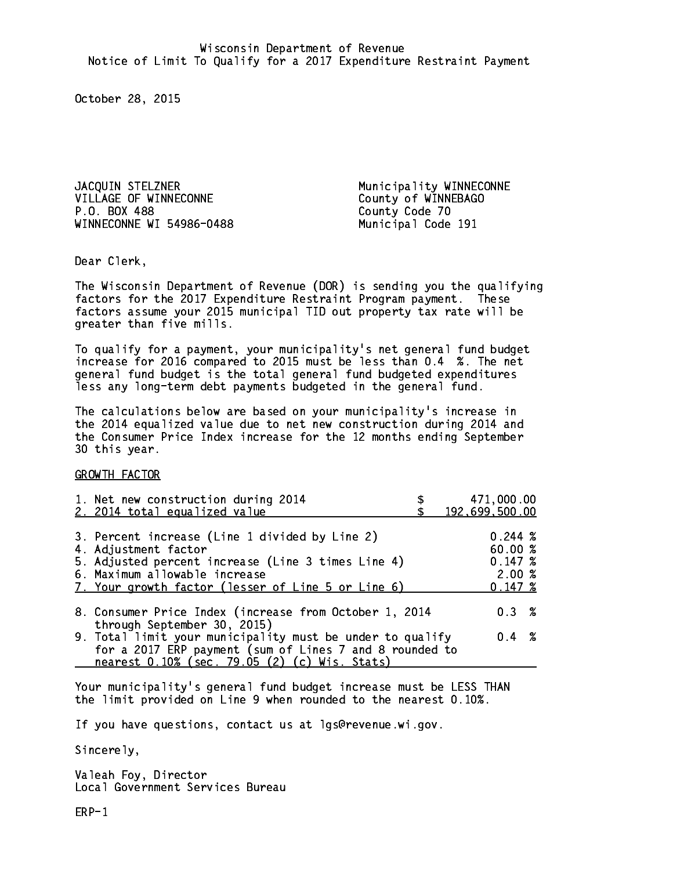JACQUIN STELZNER Municipality WINNECONNE VILLAGE OF WINNECONNE County of WINNEBAGO P.O. BOX 488 WINNECONNE WI 54986-0488 Municipal Code 191

County Code 70

Dear Clerk. Dear Clerk,

The Wisconsin Department of Revenue (DOR) is sending you the qualifying factors for the 2017 Expenditure Restraint Program payment. These factors assume your 2015 municipal TID out property tax rate will be greater than five mills.

 To qualify for a payment, your municipality's net general fund budget increase for 2016 compared to 2015 must be less than 0.4 %. The net general fund budget is the total general fund budgeted expenditures less any long-term debt payments budgeted in the general fund.

The calculations below are based on your municipality's increase in the 2014 equalized value due to net new construction during 2014 and the Consumer Price Index increase for the 12 months ending September 30 this year. 30 this year.

GROWTH FACTOR

| 1. Net new construction during 2014<br>2. 2014 total equalized value                                                                                                                                                | 471,000.00<br>192,699,500.00                     |
|---------------------------------------------------------------------------------------------------------------------------------------------------------------------------------------------------------------------|--------------------------------------------------|
| 3. Percent increase (Line 1 divided by Line 2)<br>4. Adjustment factor<br>5. Adjusted percent increase (Line 3 times Line 4)<br>6. Maximum allowable increase<br>7. Your growth factor (lesser of Line 5 or Line 6) | 0.244~%<br>60.00%<br>0.147~%<br>2.00%<br>0.147~% |
| 8. Consumer Price Index (increase from October 1, 2014                                                                                                                                                              | 0.3%                                             |
| through September 30, 2015)<br>9. Total limit your municipality must be under to qualify<br>for a 2017 ERP payment (sum of Lines 7 and 8 rounded to<br>nearest 0.10% (sec. 79.05 (2) (c) Wis. Stats)                | $0.4 \t%$                                        |

Your municipality's general fund budget increase must be LESS THAN the limit provided on Line 9 when rounded to the nearest 0.10%.

If you have questions, contact us at lgs@revenue.wi.gov.

Sincerely,

Valeah Foy, Director Local Government Services Bureau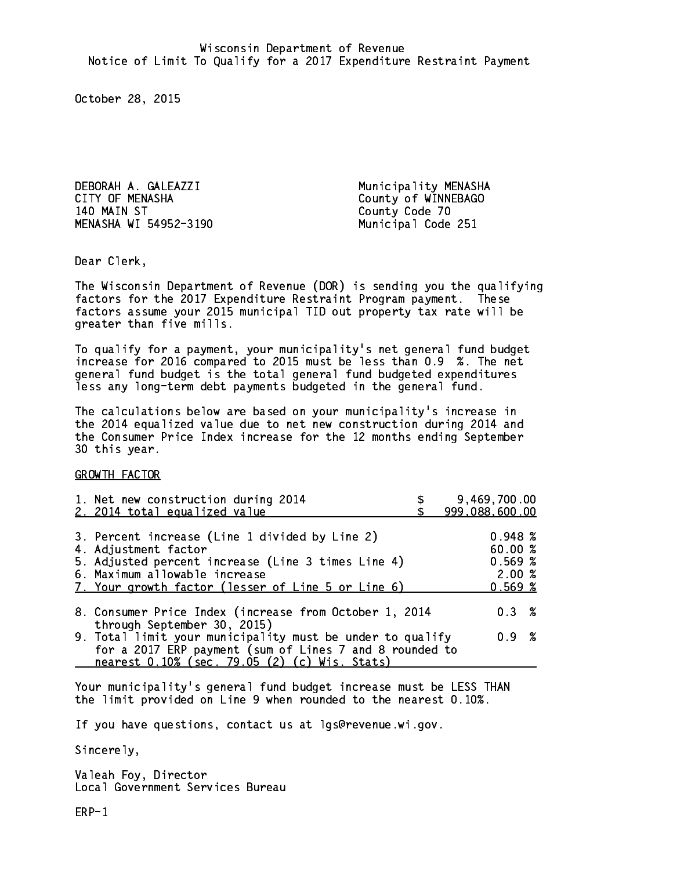DEBORAH A. GALEAZZI Municipality MENASHA CITY OF MENASHA COUNTY OF MENASHA 140 MAIN ST MENASHA WI 54952-3190

County Code 70 Municipal Code 251

Dear Clerk. Dear Clerk,

The Wisconsin Department of Revenue (DOR) is sending you the qualifying factors for the 2017 Expenditure Restraint Program payment. These factors assume your 2015 municipal TID out property tax rate will be greater than five mills.

 To qualify for a payment, your municipality's net general fund budget increase for 2016 compared to 2015 must be less than 0.9 %. The net general fund budget is the total general fund budgeted expenditures less any long-term debt payments budgeted in the general fund.

The calculations below are based on your municipality's increase in the 2014 equalized value due to net new construction during 2014 and the Consumer Price Index increase for the 12 months ending September 30 this year. 30 this year.

GROWTH FACTOR

| 1. Net new construction during 2014<br>2. 2014 total equalized value                                                                                                                                                                                           | 9,469,700.00<br>999,088,600.00                   |
|----------------------------------------------------------------------------------------------------------------------------------------------------------------------------------------------------------------------------------------------------------------|--------------------------------------------------|
| 3. Percent increase (Line 1 divided by Line 2)<br>4. Adjustment factor<br>5. Adjusted percent increase (Line 3 times Line 4)<br>6. Maximum allowable increase<br>7. Your growth factor (lesser of Line 5 or Line 6)                                            | 0.948~%<br>60.00 %<br>0.569%<br>2.00%<br>0.569~% |
| 8. Consumer Price Index (increase from October 1, 2014<br>through September 30, 2015)<br>9. Total limit your municipality must be under to qualify<br>for a 2017 ERP payment (sum of Lines 7 and 8 rounded to<br>nearest 0.10% (sec. 79.05 (2) (c) Wis. Stats) | 0.3%<br>0.9 %                                    |

Your municipality's general fund budget increase must be LESS THAN the limit provided on Line 9 when rounded to the nearest 0.10%.

If you have questions, contact us at lgs@revenue.wi.gov.

Sincerely,

Valeah Foy, Director Local Government Services Bureau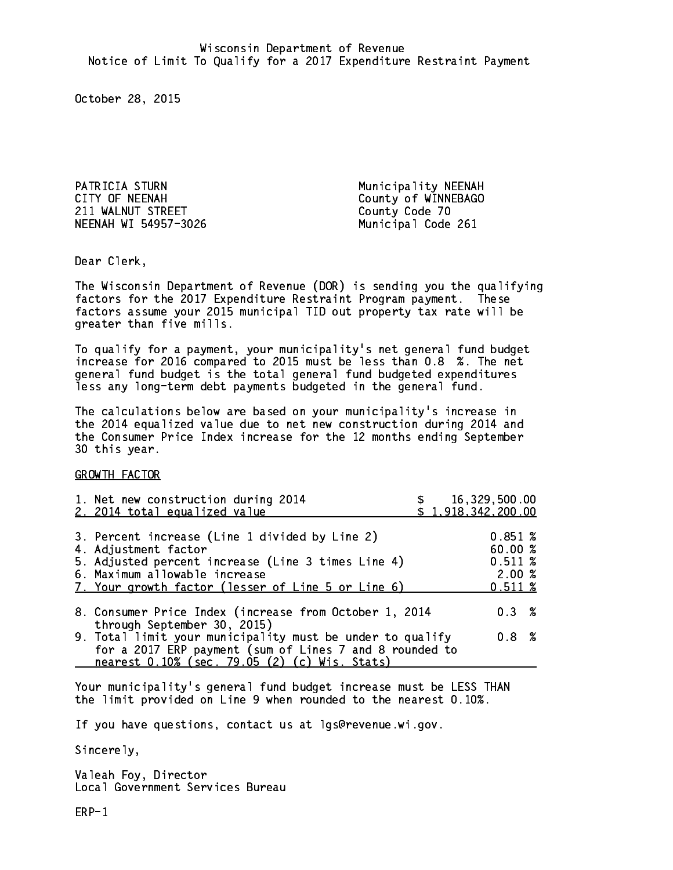PATRICIA STURN Municipality NEENAH CITY OF NEENAH COUNTY OF NEENAH 211 WALNUT STREET County Code 70 NEENAH WI 54957-3026 Municipal Code 261

Dear Clerk. Dear Clerk,

The Wisconsin Department of Revenue (DOR) is sending you the qualifying factors for the 2017 Expenditure Restraint Program payment. These factors assume your 2015 municipal TID out property tax rate will be greater than five mills.

 To qualify for a payment, your municipality's net general fund budget increase for 2016 compared to 2015 must be less than 0.8 %. The net general fund budget is the total general fund budgeted expenditures less any long-term debt payments budgeted in the general fund.

The calculations below are based on your municipality's increase in the 2014 equalized value due to net new construction during 2014 and the Consumer Price Index increase for the 12 months ending September 30 this year. 30 this year.

GROWTH FACTOR

| 1. Net new construction during 2014<br>2. 2014 total equalized value                                                                                                                                                |  | 16,329,500.00<br>\$1,918,342,200.00               |  |
|---------------------------------------------------------------------------------------------------------------------------------------------------------------------------------------------------------------------|--|---------------------------------------------------|--|
| 3. Percent increase (Line 1 divided by Line 2)<br>4. Adjustment factor<br>5. Adjusted percent increase (Line 3 times Line 4)<br>6. Maximum allowable increase<br>7. Your growth factor (lesser of Line 5 or Line 6) |  | 0.851~%<br>60.00 %<br>0.511~%<br>2.00%<br>0.511~% |  |
| 8. Consumer Price Index (increase from October 1, 2014<br>through September 30, 2015)                                                                                                                               |  | $0.3 \t%$                                         |  |
| 9. Total limit your municipality must be under to qualify<br>for a 2017 ERP payment (sum of Lines 7 and 8 rounded to<br>nearest 0.10% (sec. 79.05 (2) (c) Wis. Stats)                                               |  | 0.8 <sup>8</sup>                                  |  |

Your municipality's general fund budget increase must be LESS THAN the limit provided on Line 9 when rounded to the nearest 0.10%.

If you have questions, contact us at lgs@revenue.wi.gov.

Sincerely,

Valeah Foy, Director Local Government Services Bureau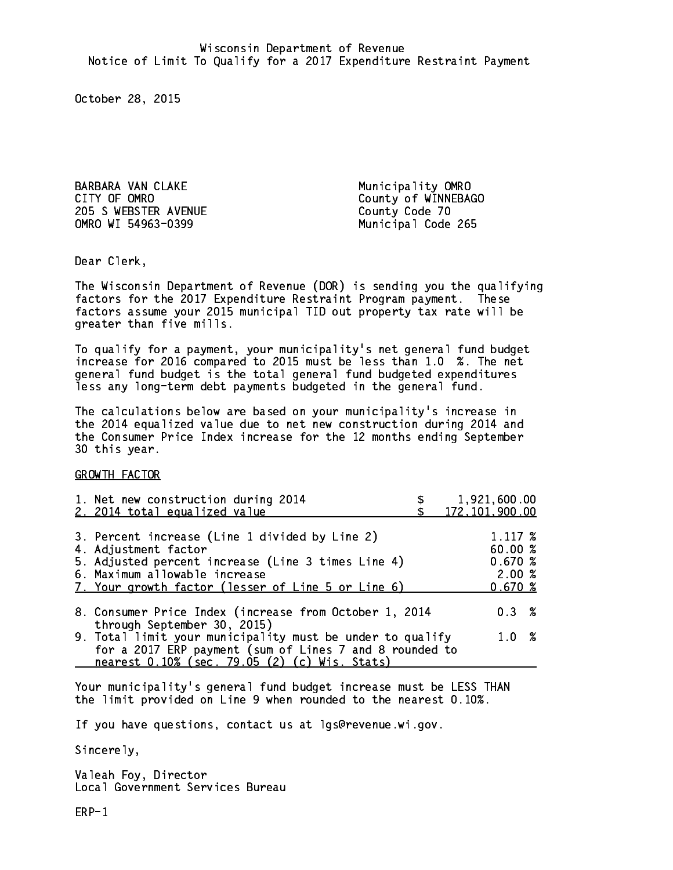BARBARA VAN CLAKE Municipality OMRO CITY OF OMRO **COULD COULD COULD COULD COULD COULD** COULD COULD COULD COULD COULD COULD COULD COULD COULD COULD COULD COULD COULD COULD COULD COULD COULD COULD COULD COULD COULD COULD COULD COULD COULD COULD COULD COULD COU 205 S WEBSTER AVENUE County Code 70 OMRO WI 54963-0399

Municipal Code 265

Dear Clerk. Dear Clerk,

The Wisconsin Department of Revenue (DOR) is sending you the qualifying factors for the 2017 Expenditure Restraint Program payment. These factors assume your 2015 municipal TID out property tax rate will be greater than five mills.

 To qualify for a payment, your municipality's net general fund budget increase for 2016 compared to 2015 must be less than 1.0 %. The net general fund budget is the total general fund budgeted expenditures less any long-term debt payments budgeted in the general fund.

The calculations below are based on your municipality's increase in the 2014 equalized value due to net new construction during 2014 and the Consumer Price Index increase for the 12 months ending September 30 this year. 30 this year.

GROWTH FACTOR

| 1. Net new construction during 2014                                                                                                                                                                  | 1,921,600.00     |
|------------------------------------------------------------------------------------------------------------------------------------------------------------------------------------------------------|------------------|
| 2. 2014 total equalized value                                                                                                                                                                        | 172, 101, 900.00 |
| 3. Percent increase (Line 1 divided by Line 2)                                                                                                                                                       | 1.117~%          |
| 4. Adjustment factor                                                                                                                                                                                 | 60.00%           |
| 5. Adjusted percent increase (Line 3 times Line 4)                                                                                                                                                   | 0.670~%          |
| 6. Maximum allowable increase                                                                                                                                                                        | 2.00%            |
| 7. Your growth factor (lesser of Line 5 or Line 6)                                                                                                                                                   | 0.670%           |
| 8. Consumer Price Index (increase from October 1, 2014                                                                                                                                               | $0.3 \t%$        |
| through September 30, 2015)<br>9. Total limit your municipality must be under to qualify<br>for a 2017 ERP payment (sum of Lines 7 and 8 rounded to<br>nearest 0.10% (sec. 79.05 (2) (c) Wis. Stats) | 1.0 %            |

Your municipality's general fund budget increase must be LESS THAN the limit provided on Line 9 when rounded to the nearest 0.10%.

If you have questions, contact us at lgs@revenue.wi.gov.

Sincerely,

Valeah Foy, Director Local Government Services Bureau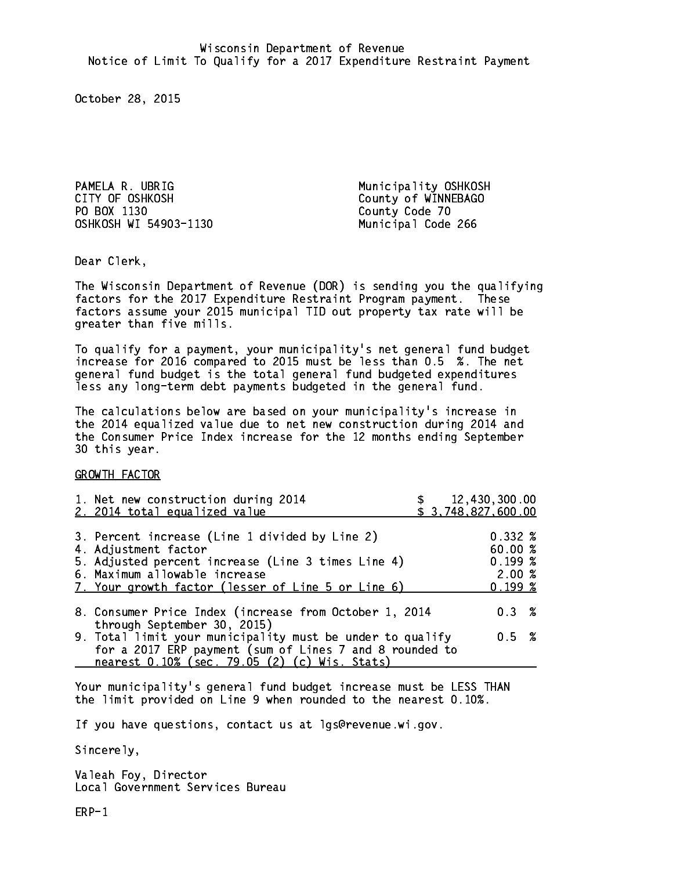PAMELA R. UBRIG Municipality OSHKOSH CITY OF OSHKOSH COUNTY OF WINNEBAGO PO BOX 1130 County Code 70 OSHKOSH WI 54903-1130 Municipal Code 266

Dear Clerk. Dear Clerk,

The Wisconsin Department of Revenue (DOR) is sending you the qualifying factors for the 2017 Expenditure Restraint Program payment. These factors assume your 2015 municipal TID out property tax rate will be greater than five mills.

 To qualify for a payment, your municipality's net general fund budget increase for 2016 compared to 2015 must be less than 0.5 %. The net general fund budget is the total general fund budgeted expenditures less any long-term debt payments budgeted in the general fund.

The calculations below are based on your municipality's increase in the 2014 equalized value due to net new construction during 2014 and the Consumer Price Index increase for the 12 months ending September 30 this year. 30 this year.

GROWTH FACTOR

| 1. Net new construction during 2014<br>2. 2014 total equalized value                                                                                                                                                | \$3,748,827,600.00 | 12,430,300.00                                          |  |
|---------------------------------------------------------------------------------------------------------------------------------------------------------------------------------------------------------------------|--------------------|--------------------------------------------------------|--|
| 3. Percent increase (Line 1 divided by Line 2)<br>4. Adjustment factor<br>5. Adjusted percent increase (Line 3 times Line 4)<br>6. Maximum allowable increase<br>7. Your growth factor (lesser of Line 5 or Line 6) |                    | $0.332 \;$ %<br>60.00 %<br>0.199~%<br>2.00%<br>0.199~% |  |
| 8. Consumer Price Index (increase from October 1, 2014<br>through September 30, 2015)                                                                                                                               |                    | 0.3%                                                   |  |
| 9. Total limit your municipality must be under to qualify<br>for a 2017 ERP payment (sum of Lines 7 and 8 rounded to<br>nearest 0.10% (sec. 79.05 (2) (c) Wis. Stats)                                               |                    | 0.5 %                                                  |  |

Your municipality's general fund budget increase must be LESS THAN the limit provided on Line 9 when rounded to the nearest 0.10%.

If you have questions, contact us at lgs@revenue.wi.gov.

Sincerely,

Valeah Foy, Director Local Government Services Bureau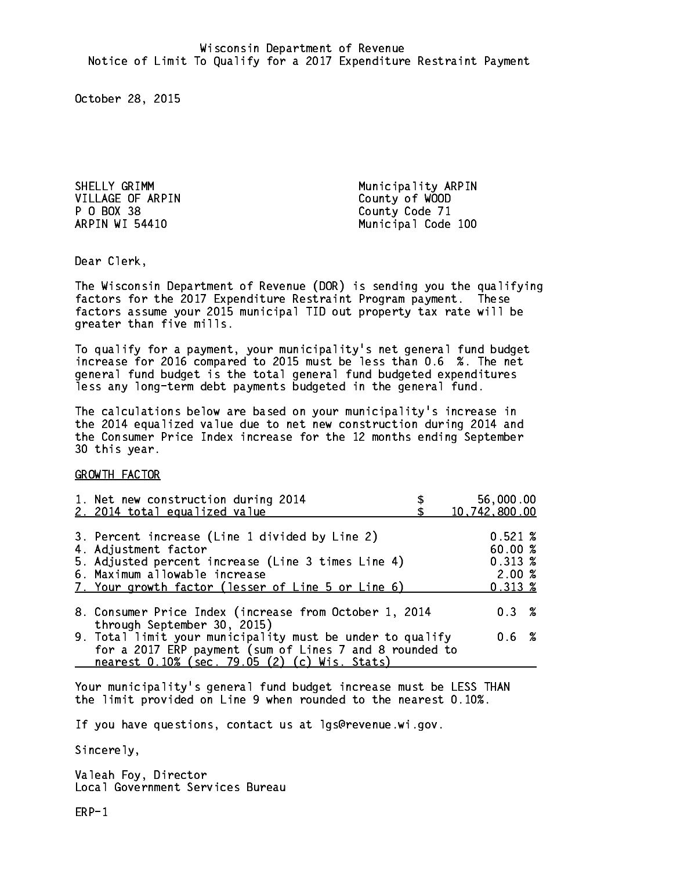VILLAGE OF ARPIN County of WOOD P O BOX 38 County Code 71 ARPIN WI 54410

SHELLY GRIMM Municipality ARPIN Municipal Code 100

Dear Clerk. Dear Clerk,

The Wisconsin Department of Revenue (DOR) is sending you the qualifying factors for the 2017 Expenditure Restraint Program payment. These factors assume your 2015 municipal TID out property tax rate will be greater than five mills.

 To qualify for a payment, your municipality's net general fund budget increase for 2016 compared to 2015 must be less than 0.6 %. The net general fund budget is the total general fund budgeted expenditures less any long-term debt payments budgeted in the general fund.

The calculations below are based on your municipality's increase in the 2014 equalized value due to net new construction during 2014 and the Consumer Price Index increase for the 12 months ending September 30 this year. 30 this year.

GROWTH FACTOR

| 1. Net new construction during 2014<br>2. 2014 total equalized value                                                                                                                                                | 56,000.00<br>10,742,800.00                                      |
|---------------------------------------------------------------------------------------------------------------------------------------------------------------------------------------------------------------------|-----------------------------------------------------------------|
| 3. Percent increase (Line 1 divided by Line 2)<br>4. Adjustment factor<br>5. Adjusted percent increase (Line 3 times Line 4)<br>6. Maximum allowable increase<br>7. Your growth factor (lesser of Line 5 or Line 6) | $0.521 \;$ %<br>60.00%<br>$0.313 \; %$<br>2.00%<br>$0.313 \; %$ |
| 8. Consumer Price Index (increase from October 1, 2014<br>through September 30, 2015)                                                                                                                               | $0.3 \t%$                                                       |
| 9. Total limit your municipality must be under to qualify<br>for a 2017 ERP payment (sum of Lines 7 and 8 rounded to<br>nearest 0.10% (sec. 79.05 (2) (c) Wis. Stats)                                               | 0.6 %                                                           |

Your municipality's general fund budget increase must be LESS THAN the limit provided on Line 9 when rounded to the nearest 0.10%.

If you have questions, contact us at lgs@revenue.wi.gov.

Sincerely,

Valeah Foy, Director Local Government Services Bureau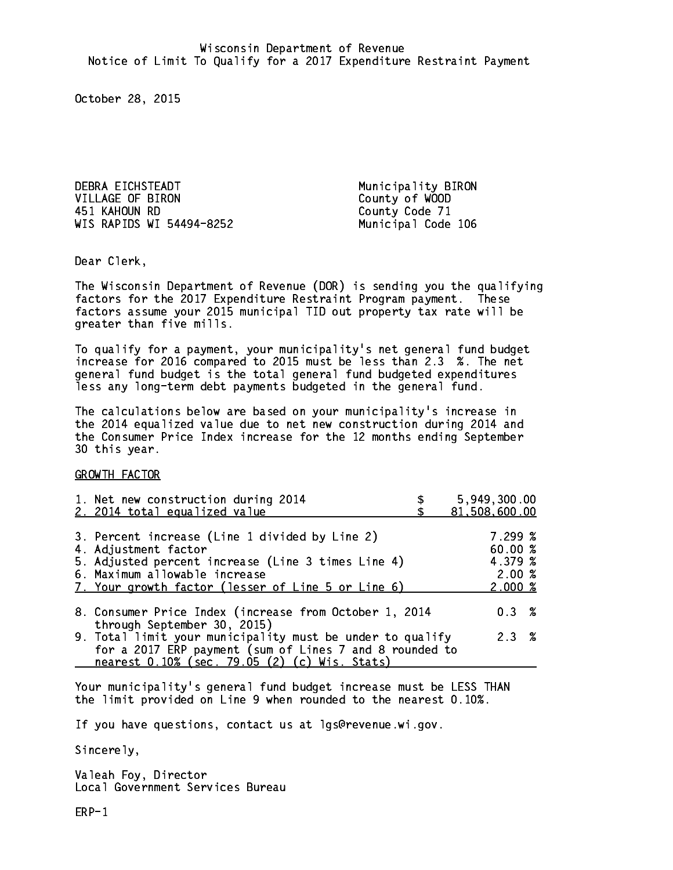DEBRA EICHSTEADT Municipality BIRON VILLAGE OF BIRON County of WOOD 451 KAHOUN RD County Code 71 WIS RAPIDS WI 54494-8252 Municipal Code 106

Dear Clerk. Dear Clerk,

The Wisconsin Department of Revenue (DOR) is sending you the qualifying factors for the 2017 Expenditure Restraint Program payment. These factors assume your 2015 municipal TID out property tax rate will be greater than five mills.

 To qualify for a payment, your municipality's net general fund budget increase for 2016 compared to 2015 must be less than 2.3 %. The net general fund budget is the total general fund budgeted expenditures less any long-term debt payments budgeted in the general fund.

The calculations below are based on your municipality's increase in the 2014 equalized value due to net new construction during 2014 and the Consumer Price Index increase for the 12 months ending September 30 this year. 30 this year.

GROWTH FACTOR

| 1. Net new construction during 2014<br>2. 2014 total equalized value                                                                                                                                                | 5,949,300.00<br>81,508,600.00                     |
|---------------------------------------------------------------------------------------------------------------------------------------------------------------------------------------------------------------------|---------------------------------------------------|
| 3. Percent increase (Line 1 divided by Line 2)<br>4. Adjustment factor<br>5. Adjusted percent increase (Line 3 times Line 4)<br>6. Maximum allowable increase<br>7. Your growth factor (lesser of Line 5 or Line 6) | 7.299~%<br>60.00 %<br>4.379 %<br>2.00%<br>2.000~% |
| 8. Consumer Price Index (increase from October 1, 2014<br>through September 30, 2015)                                                                                                                               | $0.3 \t%$                                         |
| 9. Total limit your municipality must be under to qualify<br>for a 2017 ERP payment (sum of Lines 7 and 8 rounded to<br>nearest 0.10% (sec. 79.05 (2) (c) Wis. Stats)                                               | 2.3%                                              |

Your municipality's general fund budget increase must be LESS THAN the limit provided on Line 9 when rounded to the nearest 0.10%.

If you have questions, contact us at lgs@revenue.wi.gov.

Sincerely,

Valeah Foy, Director Local Government Services Bureau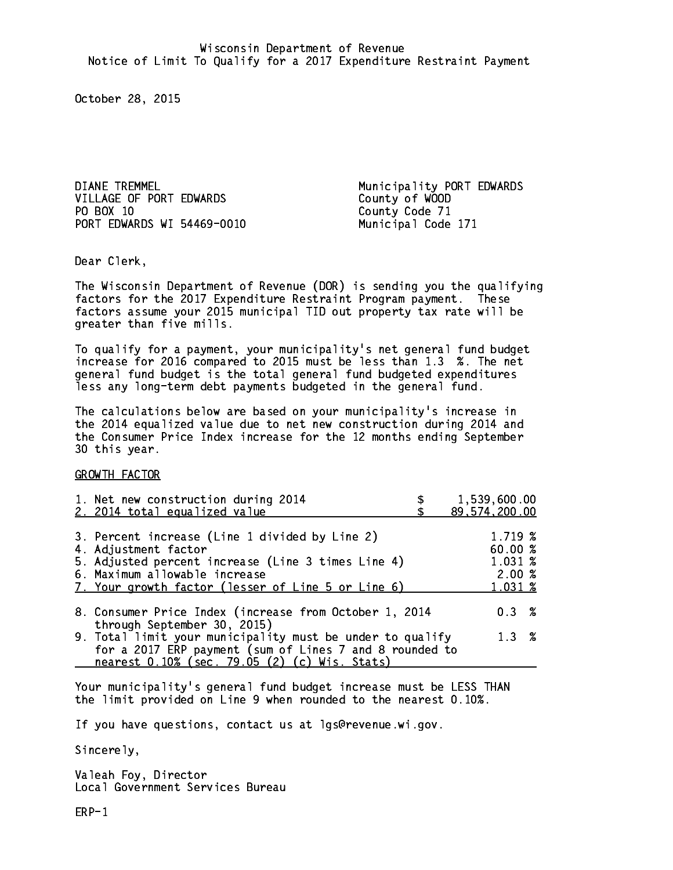DIANE TREMMEL **Municipality PORT EDWARDS** VILLAGE OF PORT EDWARDS County of WOOD PO BOX 10 PORT EDWARDS WI 54469-0010 Municipal Code 171

County Code 71

Dear Clerk. Dear Clerk,

The Wisconsin Department of Revenue (DOR) is sending you the qualifying factors for the 2017 Expenditure Restraint Program payment. These factors assume your 2015 municipal TID out property tax rate will be greater than five mills.

 To qualify for a payment, your municipality's net general fund budget increase for 2016 compared to 2015 must be less than 1.3 %. The net general fund budget is the total general fund budgeted expenditures less any long-term debt payments budgeted in the general fund.

The calculations below are based on your municipality's increase in the 2014 equalized value due to net new construction during 2014 and the Consumer Price Index increase for the 12 months ending September 30 this year. 30 this year.

GROWTH FACTOR

| 1. Net new construction during 2014<br>2. 2014 total equalized value                                                                                                                                                | 1,539,600.00<br>89, 574, 200.00                  |
|---------------------------------------------------------------------------------------------------------------------------------------------------------------------------------------------------------------------|--------------------------------------------------|
| 3. Percent increase (Line 1 divided by Line 2)<br>4. Adjustment factor<br>5. Adjusted percent increase (Line 3 times Line 4)<br>6. Maximum allowable increase<br>7. Your growth factor (lesser of Line 5 or Line 6) | 1.719 %<br>60.00%<br>1.031 %<br>2.00%<br>1.031 % |
| 8. Consumer Price Index (increase from October 1, 2014<br>through September 30, 2015)                                                                                                                               | $0.3 \t%$                                        |
| 9. Total limit your municipality must be under to qualify<br>for a 2017 ERP payment (sum of Lines 7 and 8 rounded to<br>nearest 0.10% (sec. 79.05 (2) (c) Wis. Stats)                                               | 1.3%                                             |

Your municipality's general fund budget increase must be LESS THAN the limit provided on Line 9 when rounded to the nearest 0.10%.

If you have questions, contact us at lgs@revenue.wi.gov.

Sincerely,

Valeah Foy, Director Local Government Services Bureau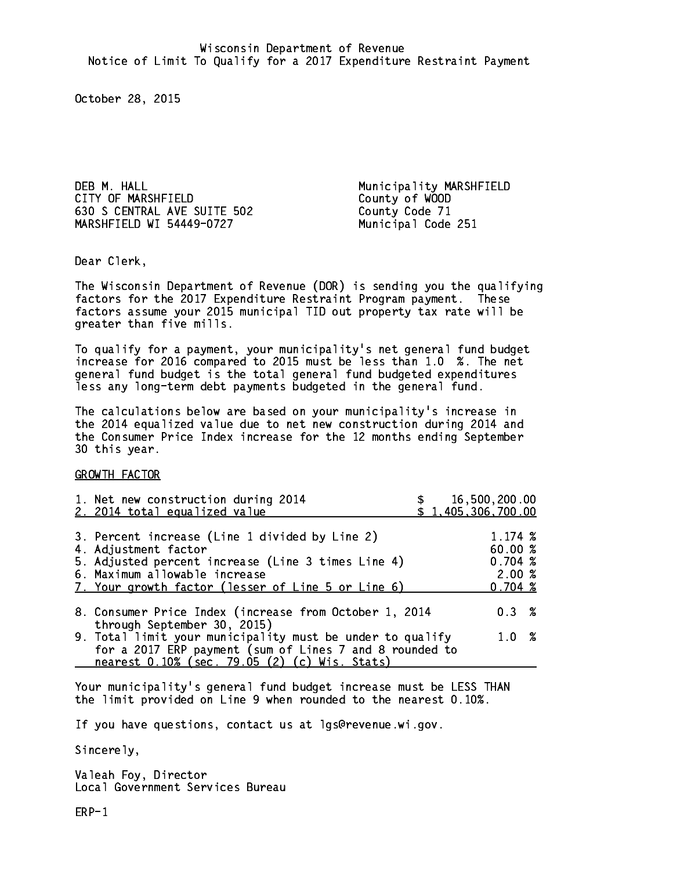DEB M. HALL **Municipality MARSHFIELD** CITY OF MARSHFIELD COUNTY OF WOOD 630 S CENTRAL AVE SUITE 502 County Code 71 MARSHFIELD WI 54449-0727 Municipal Code 251

Dear Clerk. Dear Clerk,

The Wisconsin Department of Revenue (DOR) is sending you the qualifying factors for the 2017 Expenditure Restraint Program payment. These factors assume your 2015 municipal TID out property tax rate will be greater than five mills.

 To qualify for a payment, your municipality's net general fund budget increase for 2016 compared to 2015 must be less than 1.0 %. The net general fund budget is the total general fund budgeted expenditures less any long-term debt payments budgeted in the general fund.

The calculations below are based on your municipality's increase in the 2014 equalized value due to net new construction during 2014 and the Consumer Price Index increase for the 12 months ending September 30 this year. 30 this year.

GROWTH FACTOR

| 1. Net new construction during 2014<br>2. 2014 total equalized value                                                                                                                                                |  | 16,500,200.00<br>\$1,405,306,700.00                    |  |
|---------------------------------------------------------------------------------------------------------------------------------------------------------------------------------------------------------------------|--|--------------------------------------------------------|--|
| 3. Percent increase (Line 1 divided by Line 2)<br>4. Adjustment factor<br>5. Adjusted percent increase (Line 3 times Line 4)<br>6. Maximum allowable increase<br>7. Your growth factor (lesser of Line 5 or Line 6) |  | 1.174~%<br>60.00 %<br>0.704~%<br>2.00%<br>$0.704 \; %$ |  |
| 8. Consumer Price Index (increase from October 1, 2014                                                                                                                                                              |  | 0.3%                                                   |  |
| through September 30, 2015)<br>9. Total limit your municipality must be under to qualify<br>for a 2017 ERP payment (sum of Lines 7 and 8 rounded to<br>nearest 0.10% (sec. 79.05 (2) (c) Wis. Stats)                |  | 1.0%                                                   |  |

Your municipality's general fund budget increase must be LESS THAN the limit provided on Line 9 when rounded to the nearest 0.10%.

If you have questions, contact us at lgs@revenue.wi.gov.

Sincerely,

Valeah Foy, Director Local Government Services Bureau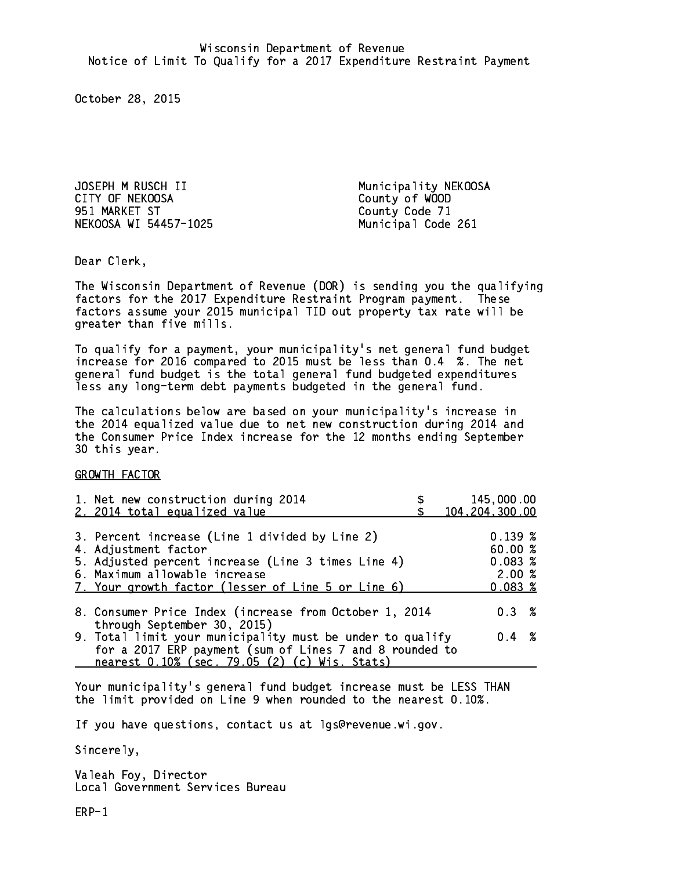JOSEPH M RUSCH II Municipality NEKOOSA CITY OF NEKOOSA County of WOOD 951 MARKET ST County Code 71 NEKOOSA WI 54457-1025 Municipal Code 261

Dear Clerk. Dear Clerk,

The Wisconsin Department of Revenue (DOR) is sending you the qualifying factors for the 2017 Expenditure Restraint Program payment. These factors assume your 2015 municipal TID out property tax rate will be greater than five mills.

 To qualify for a payment, your municipality's net general fund budget increase for 2016 compared to 2015 must be less than 0.4 %. The net general fund budget is the total general fund budgeted expenditures less any long-term debt payments budgeted in the general fund.

The calculations below are based on your municipality's increase in the 2014 equalized value due to net new construction during 2014 and the Consumer Price Index increase for the 12 months ending September 30 this year. 30 this year.

GROWTH FACTOR

| 1. Net new construction during 2014<br>2. 2014 total equalized value                                                                                                                                                | 145,000.00<br>104, 204, 300.00                   |
|---------------------------------------------------------------------------------------------------------------------------------------------------------------------------------------------------------------------|--------------------------------------------------|
| 3. Percent increase (Line 1 divided by Line 2)<br>4. Adjustment factor<br>5. Adjusted percent increase (Line 3 times Line 4)<br>6. Maximum allowable increase<br>7. Your growth factor (lesser of Line 5 or Line 6) | 0.139~%<br>60.00%<br>0.083~%<br>2.00%<br>0.083~% |
| 8. Consumer Price Index (increase from October 1, 2014<br>through September 30, 2015)                                                                                                                               | 0.3%                                             |
| 9. Total limit your municipality must be under to qualify<br>for a 2017 ERP payment (sum of Lines 7 and 8 rounded to<br>nearest 0.10% (sec. 79.05 (2) (c) Wis. Stats)                                               | $0.4 \t%$                                        |

Your municipality's general fund budget increase must be LESS THAN the limit provided on Line 9 when rounded to the nearest 0.10%.

If you have questions, contact us at lgs@revenue.wi.gov.

Sincerely,

Valeah Foy, Director Local Government Services Bureau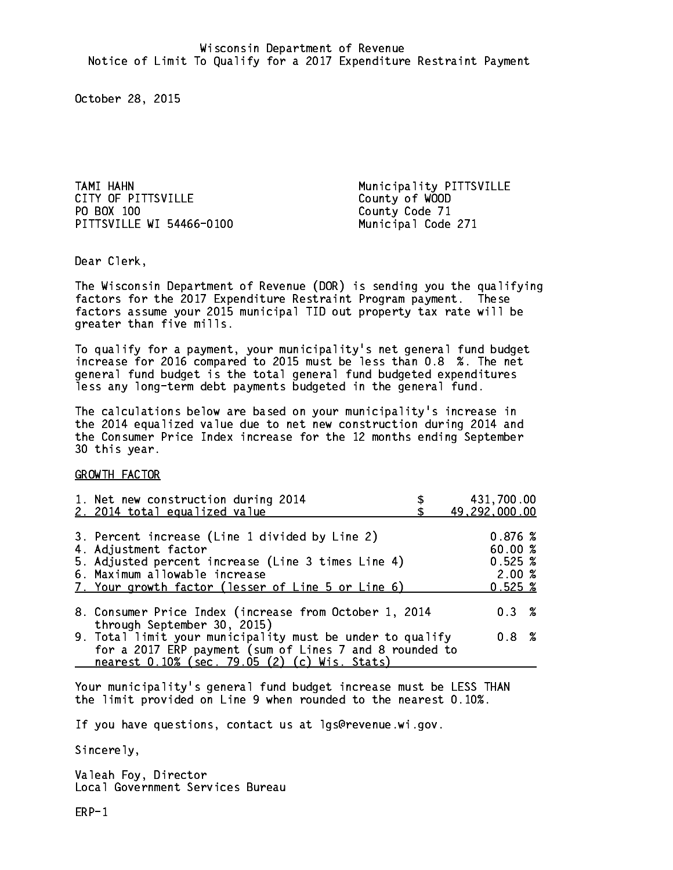TAMI HAHN Municipality PITTSVILLE CITY OF PITTSVILLE CITY County of WOOD PO BOX 100 PITTSVILLE WI 54466-0100 Municipal Code 271

County Code 71

Dear Clerk. Dear Clerk,

The Wisconsin Department of Revenue (DOR) is sending you the qualifying factors for the 2017 Expenditure Restraint Program payment. These factors assume your 2015 municipal TID out property tax rate will be greater than five mills.

 To qualify for a payment, your municipality's net general fund budget increase for 2016 compared to 2015 must be less than 0.8 %. The net general fund budget is the total general fund budgeted expenditures less any long-term debt payments budgeted in the general fund.

The calculations below are based on your municipality's increase in the 2014 equalized value due to net new construction during 2014 and the Consumer Price Index increase for the 12 months ending September 30 this year. 30 this year.

GROWTH FACTOR

| 1. Net new construction during 2014<br>2. 2014 total equalized value                                                                                                                                                | 431,700.00<br>49,292,000.00                               |
|---------------------------------------------------------------------------------------------------------------------------------------------------------------------------------------------------------------------|-----------------------------------------------------------|
| 3. Percent increase (Line 1 divided by Line 2)<br>4. Adjustment factor<br>5. Adjusted percent increase (Line 3 times Line 4)<br>6. Maximum allowable increase<br>7. Your growth factor (lesser of Line 5 or Line 6) | 0.876%<br>60.00%<br>$0.525 \;$ %<br>2.00%<br>$0.525 \;$ % |
| 8. Consumer Price Index (increase from October 1, 2014                                                                                                                                                              | $0.3 \t%$                                                 |
| through September 30, 2015)<br>9. Total limit your municipality must be under to qualify<br>for a 2017 ERP payment (sum of Lines 7 and 8 rounded to<br>nearest 0.10% (sec. 79.05 (2) (c) Wis. Stats)                | 0.8 %                                                     |

Your municipality's general fund budget increase must be LESS THAN the limit provided on Line 9 when rounded to the nearest 0.10%.

If you have questions, contact us at lgs@revenue.wi.gov.

Sincerely,

Valeah Foy, Director Local Government Services Bureau